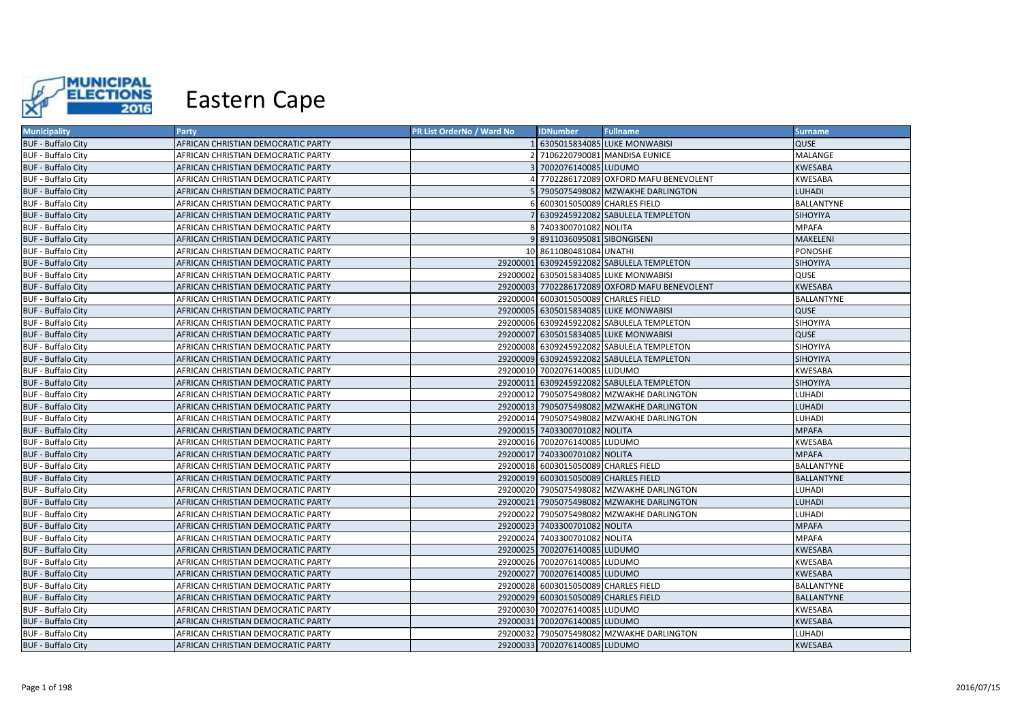

| <b>Municipality</b>       | Party                              | <b>PR List OrderNo / Ward No</b> | <b>IDNumber</b>                      | <b>Fullname</b>                               | <b>Surname</b>    |
|---------------------------|------------------------------------|----------------------------------|--------------------------------------|-----------------------------------------------|-------------------|
| <b>BUF - Buffalo City</b> | AFRICAN CHRISTIAN DEMOCRATIC PARTY |                                  |                                      | 1 6305015834085 LUKE MONWABISI                | <b>QUSE</b>       |
| <b>BUF - Buffalo City</b> | AFRICAN CHRISTIAN DEMOCRATIC PARTY |                                  |                                      | 2 7106220790081 MANDISA EUNICE                | MALANGE           |
| <b>BUF - Buffalo City</b> | AFRICAN CHRISTIAN DEMOCRATIC PARTY |                                  | 3 7002076140085 LUDUMO               |                                               | <b>KWESABA</b>    |
| <b>BUF - Buffalo City</b> | AFRICAN CHRISTIAN DEMOCRATIC PARTY |                                  |                                      | 4 7702286172089 OXFORD MAFU BENEVOLENT        | KWESABA           |
| <b>BUF - Buffalo City</b> | AFRICAN CHRISTIAN DEMOCRATIC PARTY |                                  |                                      | 7905075498082 MZWAKHE DARLINGTON              | <b>LUHADI</b>     |
| <b>BUF - Buffalo City</b> | AFRICAN CHRISTIAN DEMOCRATIC PARTY |                                  | 6 6003015050089 CHARLES FIELD        |                                               | <b>BALLANTYNE</b> |
| <b>BUF - Buffalo City</b> | AFRICAN CHRISTIAN DEMOCRATIC PARTY |                                  |                                      | 7 6309245922082 SABULELA TEMPLETON            | <b>SIHOYIYA</b>   |
| <b>BUF - Buffalo City</b> | AFRICAN CHRISTIAN DEMOCRATIC PARTY |                                  | 8 7403300701082 NOLITA               |                                               | <b>MPAFA</b>      |
| <b>BUF - Buffalo City</b> | AFRICAN CHRISTIAN DEMOCRATIC PARTY |                                  | 9 8911036095081 SIBONGISENI          |                                               | MAKELENI          |
| <b>BUF - Buffalo City</b> | AFRICAN CHRISTIAN DEMOCRATIC PARTY |                                  | 10 8611080481084 UNATHI              |                                               | <b>PONOSHE</b>    |
| <b>BUF - Buffalo City</b> | AFRICAN CHRISTIAN DEMOCRATIC PARTY |                                  |                                      | 29200001 6309245922082 SABULELA TEMPLETON     | <b>SIHOYIYA</b>   |
| <b>BUF - Buffalo City</b> | AFRICAN CHRISTIAN DEMOCRATIC PARTY |                                  |                                      | 29200002 6305015834085 LUKE MONWABISI         | QUSE              |
| <b>BUF - Buffalo City</b> | AFRICAN CHRISTIAN DEMOCRATIC PARTY |                                  |                                      | 29200003 7702286172089 OXFORD MAFU BENEVOLENT | <b>KWESABA</b>    |
| <b>BUF - Buffalo City</b> | AFRICAN CHRISTIAN DEMOCRATIC PARTY |                                  | 29200004 6003015050089 CHARLES FIELD |                                               | <b>BALLANTYNE</b> |
| <b>BUF - Buffalo City</b> | AFRICAN CHRISTIAN DEMOCRATIC PARTY |                                  |                                      | 29200005 6305015834085 LUKE MONWABISI         | <b>QUSE</b>       |
| <b>BUF - Buffalo City</b> | AFRICAN CHRISTIAN DEMOCRATIC PARTY |                                  |                                      | 29200006 6309245922082 SABULELA TEMPLETON     | SIHOYIYA          |
| <b>BUF - Buffalo City</b> | AFRICAN CHRISTIAN DEMOCRATIC PARTY |                                  |                                      | 29200007 6305015834085 LUKE MONWABISI         | <b>QUSE</b>       |
| <b>BUF - Buffalo City</b> | AFRICAN CHRISTIAN DEMOCRATIC PARTY |                                  |                                      | 29200008 6309245922082 SABULELA TEMPLETON     | SIHOYIYA          |
| <b>BUF - Buffalo City</b> | AFRICAN CHRISTIAN DEMOCRATIC PARTY |                                  |                                      | 29200009 6309245922082 SABULELA TEMPLETON     | SIHOYIYA          |
| <b>BUF - Buffalo City</b> | AFRICAN CHRISTIAN DEMOCRATIC PARTY |                                  | 29200010 7002076140085 LUDUMO        |                                               | <b>KWESABA</b>    |
| <b>BUF - Buffalo City</b> | AFRICAN CHRISTIAN DEMOCRATIC PARTY |                                  |                                      | 29200011 6309245922082 SABULELA TEMPLETON     | <b>SIHOYIYA</b>   |
| <b>BUF - Buffalo City</b> | AFRICAN CHRISTIAN DEMOCRATIC PARTY |                                  |                                      | 29200012 7905075498082 MZWAKHE DARLINGTON     | LUHADI            |
| <b>BUF - Buffalo City</b> | AFRICAN CHRISTIAN DEMOCRATIC PARTY |                                  |                                      | 29200013 7905075498082 MZWAKHE DARLINGTON     | <b>LUHADI</b>     |
| <b>BUF - Buffalo City</b> | AFRICAN CHRISTIAN DEMOCRATIC PARTY |                                  |                                      | 29200014 7905075498082 MZWAKHE DARLINGTON     | LUHADI            |
| <b>BUF - Buffalo City</b> | AFRICAN CHRISTIAN DEMOCRATIC PARTY |                                  | 29200015 7403300701082 NOLITA        |                                               | <b>MPAFA</b>      |
| <b>BUF - Buffalo City</b> | AFRICAN CHRISTIAN DEMOCRATIC PARTY |                                  | 29200016 7002076140085 LUDUMO        |                                               | KWESABA           |
| <b>BUF - Buffalo City</b> | AFRICAN CHRISTIAN DEMOCRATIC PARTY |                                  | 29200017 7403300701082 NOLITA        |                                               | <b>MPAFA</b>      |
| <b>BUF - Buffalo City</b> | AFRICAN CHRISTIAN DEMOCRATIC PARTY |                                  | 29200018 6003015050089 CHARLES FIELD |                                               | <b>BALLANTYNE</b> |
| <b>BUF - Buffalo City</b> | AFRICAN CHRISTIAN DEMOCRATIC PARTY |                                  | 29200019 6003015050089 CHARLES FIELD |                                               | <b>BALLANTYNE</b> |
| <b>BUF - Buffalo City</b> | AFRICAN CHRISTIAN DEMOCRATIC PARTY |                                  |                                      | 29200020 7905075498082 MZWAKHE DARLINGTON     | LUHADI            |
| <b>BUF - Buffalo City</b> | AFRICAN CHRISTIAN DEMOCRATIC PARTY |                                  |                                      | 29200021 7905075498082 MZWAKHE DARLINGTON     | <b>LUHADI</b>     |
| <b>BUF - Buffalo City</b> | AFRICAN CHRISTIAN DEMOCRATIC PARTY |                                  |                                      | 29200022 7905075498082 MZWAKHE DARLINGTON     | <b>LUHADI</b>     |
| <b>BUF - Buffalo City</b> | AFRICAN CHRISTIAN DEMOCRATIC PARTY |                                  | 29200023 7403300701082 NOLITA        |                                               | <b>MPAFA</b>      |
| <b>BUF - Buffalo City</b> | AFRICAN CHRISTIAN DEMOCRATIC PARTY |                                  | 29200024 7403300701082 NOLITA        |                                               | <b>MPAFA</b>      |
| <b>BUF - Buffalo City</b> | AFRICAN CHRISTIAN DEMOCRATIC PARTY |                                  | 29200025 7002076140085 LUDUMO        |                                               | <b>KWESABA</b>    |
| <b>BUF - Buffalo City</b> | AFRICAN CHRISTIAN DEMOCRATIC PARTY |                                  | 29200026 7002076140085 LUDUMO        |                                               | KWESABA           |
| <b>BUF - Buffalo City</b> | AFRICAN CHRISTIAN DEMOCRATIC PARTY |                                  | 29200027 7002076140085 LUDUMO        |                                               | <b>KWESABA</b>    |
| <b>BUF - Buffalo City</b> | AFRICAN CHRISTIAN DEMOCRATIC PARTY |                                  | 29200028 6003015050089 CHARLES FIELD |                                               | BALLANTYNE        |
| <b>BUF - Buffalo City</b> | AFRICAN CHRISTIAN DEMOCRATIC PARTY |                                  | 29200029 6003015050089 CHARLES FIELD |                                               | <b>BALLANTYNE</b> |
| <b>BUF - Buffalo City</b> | AFRICAN CHRISTIAN DEMOCRATIC PARTY |                                  | 29200030 7002076140085 LUDUMO        |                                               | <b>KWESABA</b>    |
| <b>BUF - Buffalo City</b> | AFRICAN CHRISTIAN DEMOCRATIC PARTY |                                  | 29200031 7002076140085 LUDUMO        |                                               | <b>KWESABA</b>    |
| <b>BUF - Buffalo City</b> | AFRICAN CHRISTIAN DEMOCRATIC PARTY |                                  |                                      | 29200032 7905075498082 MZWAKHE DARLINGTON     | LUHADI            |
| <b>BUF - Buffalo City</b> | AFRICAN CHRISTIAN DEMOCRATIC PARTY |                                  | 29200033 7002076140085 LUDUMO        |                                               | <b>KWESABA</b>    |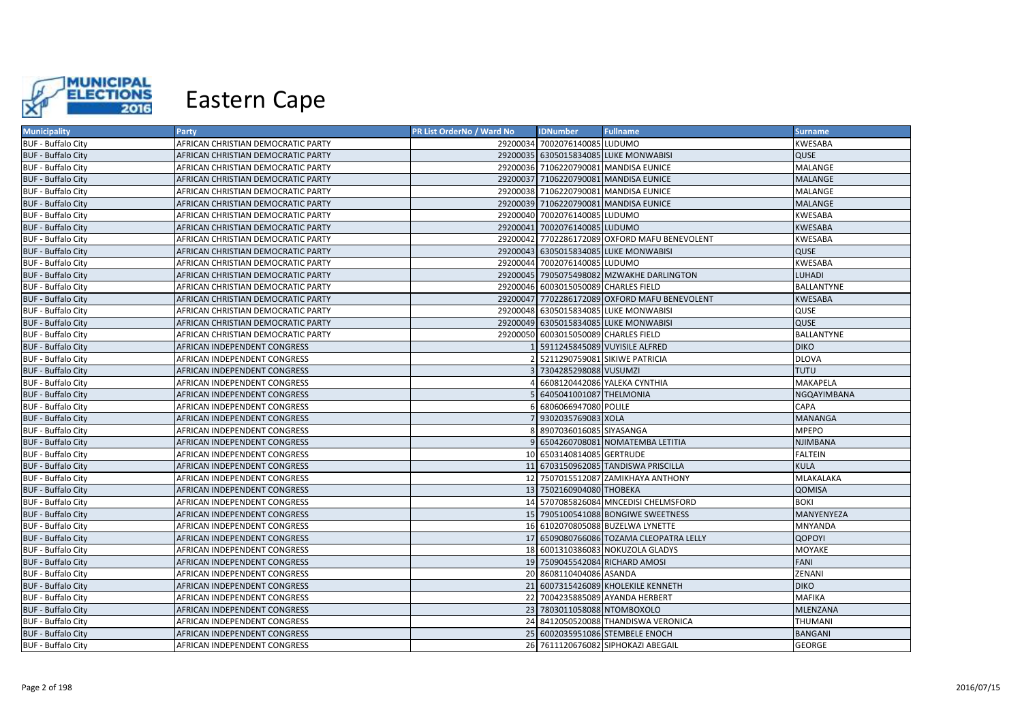

| <b>Municipality</b>       | Party                              | PR List OrderNo / Ward No | <b>IDNumber</b>                      | <b>Fullname</b>                               | <b>Surname</b>    |
|---------------------------|------------------------------------|---------------------------|--------------------------------------|-----------------------------------------------|-------------------|
| <b>BUF - Buffalo City</b> | AFRICAN CHRISTIAN DEMOCRATIC PARTY |                           | 29200034 7002076140085 LUDUMO        |                                               | KWESABA           |
| <b>BUF - Buffalo City</b> | AFRICAN CHRISTIAN DEMOCRATIC PARTY |                           |                                      | 29200035 6305015834085 LUKE MONWABISI         | QUSE              |
| <b>BUF - Buffalo City</b> | AFRICAN CHRISTIAN DEMOCRATIC PARTY |                           |                                      | 29200036 7106220790081 MANDISA EUNICE         | MALANGE           |
| <b>BUF - Buffalo City</b> | AFRICAN CHRISTIAN DEMOCRATIC PARTY |                           |                                      | 29200037 7106220790081 MANDISA EUNICE         | MALANGE           |
| <b>BUF - Buffalo City</b> | AFRICAN CHRISTIAN DEMOCRATIC PARTY |                           |                                      | 29200038 7106220790081 MANDISA EUNICE         | MALANGE           |
| <b>BUF - Buffalo City</b> | AFRICAN CHRISTIAN DEMOCRATIC PARTY |                           |                                      | 29200039 7106220790081 MANDISA EUNICE         | MALANGE           |
| <b>BUF - Buffalo City</b> | AFRICAN CHRISTIAN DEMOCRATIC PARTY |                           | 29200040 7002076140085 LUDUMO        |                                               | <b>KWESABA</b>    |
| <b>BUF - Buffalo City</b> | AFRICAN CHRISTIAN DEMOCRATIC PARTY |                           | 29200041 7002076140085 LUDUMO        |                                               | <b>KWESABA</b>    |
| <b>BUF - Buffalo City</b> | AFRICAN CHRISTIAN DEMOCRATIC PARTY |                           |                                      | 29200042 7702286172089 OXFORD MAFU BENEVOLENT | <b>KWESABA</b>    |
| <b>BUF - Buffalo City</b> | AFRICAN CHRISTIAN DEMOCRATIC PARTY |                           |                                      | 29200043 6305015834085 LUKE MONWABISI         | QUSE              |
| <b>BUF - Buffalo City</b> | AFRICAN CHRISTIAN DEMOCRATIC PARTY |                           | 29200044 7002076140085 LUDUMO        |                                               | <b>KWESABA</b>    |
| <b>BUF - Buffalo City</b> | AFRICAN CHRISTIAN DEMOCRATIC PARTY |                           |                                      | 29200045 7905075498082 MZWAKHE DARLINGTON     | <b>LUHADI</b>     |
| <b>BUF - Buffalo City</b> | AFRICAN CHRISTIAN DEMOCRATIC PARTY |                           | 29200046 6003015050089 CHARLES FIELD |                                               | BALLANTYNE        |
| <b>BUF - Buffalo City</b> | AFRICAN CHRISTIAN DEMOCRATIC PARTY |                           |                                      | 29200047 7702286172089 OXFORD MAFU BENEVOLENT | <b>KWESABA</b>    |
| <b>BUF - Buffalo City</b> | AFRICAN CHRISTIAN DEMOCRATIC PARTY |                           |                                      | 29200048 6305015834085 LUKE MONWABISI         | QUSE              |
| <b>BUF - Buffalo City</b> | AFRICAN CHRISTIAN DEMOCRATIC PARTY |                           |                                      | 29200049 6305015834085 LUKE MONWABISI         | QUSE              |
| <b>BUF - Buffalo City</b> | AFRICAN CHRISTIAN DEMOCRATIC PARTY |                           | 29200050 6003015050089 CHARLES FIELD |                                               | <b>BALLANTYNE</b> |
| <b>BUF - Buffalo City</b> | AFRICAN INDEPENDENT CONGRESS       |                           |                                      | 5911245845089 VUYISILE ALFRED                 | <b>DIKO</b>       |
| <b>BUF - Buffalo City</b> | AFRICAN INDEPENDENT CONGRESS       |                           |                                      | 5211290759081 SIKIWE PATRICIA                 | <b>DLOVA</b>      |
| <b>BUF - Buffalo City</b> | AFRICAN INDEPENDENT CONGRESS       |                           | 7304285298088 VUSUMZI                |                                               | <b>TUTU</b>       |
| <b>BUF - Buffalo City</b> | AFRICAN INDEPENDENT CONGRESS       |                           |                                      | 6608120442086 YALEKA CYNTHIA                  | MAKAPELA          |
| <b>BUF - Buffalo City</b> | AFRICAN INDEPENDENT CONGRESS       |                           | 6405041001087 THELMONIA              |                                               | NGQAYIMBANA       |
| <b>BUF - Buffalo City</b> | AFRICAN INDEPENDENT CONGRESS       |                           | 6806066947080 POLILE                 |                                               | CAPA              |
| <b>BUF - Buffalo City</b> | AFRICAN INDEPENDENT CONGRESS       |                           | 7 9302035769083 XOLA                 |                                               | <b>MANANGA</b>    |
| <b>BUF - Buffalo City</b> | AFRICAN INDEPENDENT CONGRESS       |                           | 8907036016085 SIYASANGA              |                                               | <b>MPEPO</b>      |
| <b>BUF - Buffalo City</b> | AFRICAN INDEPENDENT CONGRESS       |                           |                                      | 6504260708081 NOMATEMBA LETITIA               | <b>NJIMBANA</b>   |
| <b>BUF - Buffalo City</b> | AFRICAN INDEPENDENT CONGRESS       |                           | 10 6503140814085 GERTRUDE            |                                               | <b>FALTEIN</b>    |
| <b>BUF - Buffalo City</b> | AFRICAN INDEPENDENT CONGRESS       |                           |                                      | 11 6703150962085 TANDISWA PRISCILLA           | <b>KULA</b>       |
| <b>BUF - Buffalo City</b> | AFRICAN INDEPENDENT CONGRESS       |                           |                                      | 12 7507015512087 ZAMIKHAYA ANTHONY            | MLAKALAKA         |
| <b>BUF - Buffalo City</b> | AFRICAN INDEPENDENT CONGRESS       |                           | 13 7502160904080 THOBEKA             |                                               | QOMISA            |
| <b>BUF - Buffalo City</b> | AFRICAN INDEPENDENT CONGRESS       |                           |                                      | 14 5707085826084 MNCEDISI CHELMSFORD          | <b>BOKI</b>       |
| <b>BUF - Buffalo City</b> | AFRICAN INDEPENDENT CONGRESS       |                           |                                      | 15 7905100541088 BONGIWE SWEETNESS            | MANYENYEZA        |
| <b>BUF - Buffalo City</b> | AFRICAN INDEPENDENT CONGRESS       |                           |                                      | 16 6102070805088 BUZELWA LYNETTE              | MNYANDA           |
| <b>BUF - Buffalo City</b> | AFRICAN INDEPENDENT CONGRESS       |                           |                                      | 17 6509080766086 TOZAMA CLEOPATRA LELLY       | <b>QOPOYI</b>     |
| <b>BUF - Buffalo City</b> | AFRICAN INDEPENDENT CONGRESS       |                           |                                      | 18 6001310386083 NOKUZOLA GLADYS              | MOYAKE            |
| <b>BUF - Buffalo City</b> | AFRICAN INDEPENDENT CONGRESS       |                           | 19 7509045542084 RICHARD AMOSI       |                                               | FANI              |
| <b>BUF - Buffalo City</b> | AFRICAN INDEPENDENT CONGRESS       |                           | 20 8608110404086 ASANDA              |                                               | ZENANI            |
| <b>BUF - Buffalo City</b> | AFRICAN INDEPENDENT CONGRESS       |                           |                                      | 21 6007315426089 KHOLEKILE KENNETH            | <b>DIKO</b>       |
| <b>BUF - Buffalo City</b> | AFRICAN INDEPENDENT CONGRESS       |                           |                                      | 22 7004235885089 AYANDA HERBERT               | <b>MAFIKA</b>     |
| <b>BUF - Buffalo City</b> | AFRICAN INDEPENDENT CONGRESS       |                           | 23 7803011058088 NTOMBOXOLO          |                                               | MLENZANA          |
| <b>BUF - Buffalo City</b> | AFRICAN INDEPENDENT CONGRESS       |                           |                                      | 24 8412050520088 THANDISWA VERONICA           | THUMANI           |
| <b>BUF - Buffalo City</b> | AFRICAN INDEPENDENT CONGRESS       |                           |                                      | 25 6002035951086 STEMBELE ENOCH               | <b>BANGANI</b>    |
| <b>BUF - Buffalo City</b> | AFRICAN INDEPENDENT CONGRESS       |                           |                                      | 26 7611120676082 SIPHOKAZI ABEGAIL            | <b>GEORGE</b>     |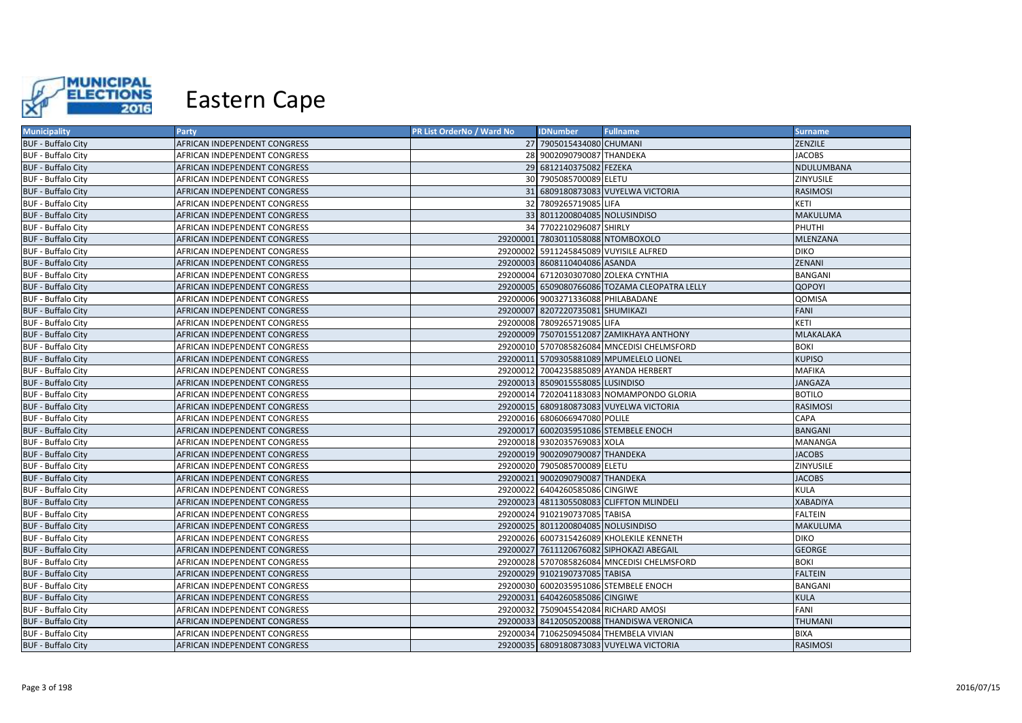

| <b>Municipality</b>       | <b>Party</b>                 | PR List OrderNo / Ward No | <b>IDNumber</b>                      | <b>Fullname</b>                               | <b>Surname</b>   |
|---------------------------|------------------------------|---------------------------|--------------------------------------|-----------------------------------------------|------------------|
| <b>BUF - Buffalo City</b> | AFRICAN INDEPENDENT CONGRESS |                           | 27 7905015434080 CHUMANI             |                                               | ZENZILE          |
| <b>BUF - Buffalo City</b> | AFRICAN INDEPENDENT CONGRESS |                           | 28 9002090790087 THANDEKA            |                                               | <b>JACOBS</b>    |
| <b>BUF - Buffalo City</b> | AFRICAN INDEPENDENT CONGRESS |                           | 29 6812140375082 FEZEKA              |                                               | NDULUMBANA       |
| <b>BUF - Buffalo City</b> | AFRICAN INDEPENDENT CONGRESS |                           | 30 7905085700089 ELETU               |                                               | ZINYUSILE        |
| <b>BUF - Buffalo City</b> | AFRICAN INDEPENDENT CONGRESS |                           |                                      | 31 6809180873083 VUYELWA VICTORIA             | <b>RASIMOSI</b>  |
| <b>BUF - Buffalo City</b> | AFRICAN INDEPENDENT CONGRESS |                           | 32 7809265719085 LIFA                |                                               | KETI             |
| <b>BUF - Buffalo City</b> | AFRICAN INDEPENDENT CONGRESS |                           | 33 8011200804085 NOLUSINDISO         |                                               | <b>MAKULUMA</b>  |
| <b>BUF - Buffalo City</b> | AFRICAN INDEPENDENT CONGRESS |                           | 34 7702210296087 SHIRLY              |                                               | PHUTHI           |
| <b>BUF - Buffalo City</b> | AFRICAN INDEPENDENT CONGRESS |                           | 29200001 7803011058088 NTOMBOXOLO    |                                               | MLENZANA         |
| <b>BUF - Buffalo City</b> | AFRICAN INDEPENDENT CONGRESS |                           |                                      | 29200002 5911245845089 VUYISILE ALFRED        | <b>DIKO</b>      |
| <b>BUF - Buffalo City</b> | AFRICAN INDEPENDENT CONGRESS |                           | 29200003 8608110404086 ASANDA        |                                               | ZENANI           |
| <b>BUF - Buffalo City</b> | AFRICAN INDEPENDENT CONGRESS |                           |                                      | 29200004 6712030307080 ZOLEKA CYNTHIA         | BANGANI          |
| <b>BUF - Buffalo City</b> | AFRICAN INDEPENDENT CONGRESS |                           |                                      | 29200005 6509080766086 TOZAMA CLEOPATRA LELLY | <b>QOPOYI</b>    |
| <b>BUF - Buffalo City</b> | AFRICAN INDEPENDENT CONGRESS |                           | 29200006 9003271336088 PHILABADANE   |                                               | QOMISA           |
| <b>BUF - Buffalo City</b> | AFRICAN INDEPENDENT CONGRESS |                           | 29200007 8207220735081 SHUMIKAZI     |                                               | FANI             |
| <b>BUF - Buffalo City</b> | AFRICAN INDEPENDENT CONGRESS |                           | 29200008 7809265719085 LIFA          |                                               | KETI             |
| <b>BUF - Buffalo City</b> | AFRICAN INDEPENDENT CONGRESS |                           |                                      | 29200009 7507015512087 ZAMIKHAYA ANTHONY      | <b>MLAKALAKA</b> |
| <b>BUF - Buffalo City</b> | AFRICAN INDEPENDENT CONGRESS |                           |                                      | 29200010 5707085826084 MNCEDISI CHELMSFORD    | <b>BOKI</b>      |
| <b>BUF - Buffalo City</b> | AFRICAN INDEPENDENT CONGRESS |                           |                                      | 29200011 5709305881089 MPUMELELO LIONEL       | <b>KUPISO</b>    |
| <b>BUF - Buffalo City</b> | AFRICAN INDEPENDENT CONGRESS |                           |                                      | 29200012 7004235885089 AYANDA HERBERT         | <b>MAFIKA</b>    |
| <b>BUF - Buffalo City</b> | AFRICAN INDEPENDENT CONGRESS |                           | 29200013 8509015558085 LUSINDISO     |                                               | <b>JANGAZA</b>   |
| <b>BUF - Buffalo City</b> | AFRICAN INDEPENDENT CONGRESS |                           |                                      | 29200014 7202041183083 NOMAMPONDO GLORIA      | <b>BOTILO</b>    |
| <b>BUF - Buffalo City</b> | AFRICAN INDEPENDENT CONGRESS |                           |                                      | 29200015 6809180873083 VUYELWA VICTORIA       | <b>RASIMOSI</b>  |
| <b>BUF - Buffalo City</b> | AFRICAN INDEPENDENT CONGRESS |                           | 29200016 6806066947080 POLILE        |                                               | CAPA             |
| <b>BUF - Buffalo City</b> | AFRICAN INDEPENDENT CONGRESS |                           |                                      | 29200017 6002035951086 STEMBELE ENOCH         | <b>BANGANI</b>   |
| <b>BUF - Buffalo City</b> | AFRICAN INDEPENDENT CONGRESS |                           | 29200018 9302035769083 XOLA          |                                               | MANANGA          |
| <b>BUF - Buffalo City</b> | AFRICAN INDEPENDENT CONGRESS |                           | 29200019 9002090790087 THANDEKA      |                                               | <b>JACOBS</b>    |
| <b>BUF - Buffalo City</b> | AFRICAN INDEPENDENT CONGRESS |                           | 29200020 7905085700089 ELETU         |                                               | ZINYUSILE        |
| <b>BUF - Buffalo City</b> | AFRICAN INDEPENDENT CONGRESS |                           | 29200021 9002090790087 THANDEKA      |                                               | <b>JACOBS</b>    |
| <b>BUF - Buffalo City</b> | AFRICAN INDEPENDENT CONGRESS |                           | 29200022 6404260585086 CINGIWE       |                                               | KULA             |
| <b>BUF - Buffalo City</b> | AFRICAN INDEPENDENT CONGRESS |                           |                                      | 29200023 4811305508083 CLIFFTON MLINDELI      | <b>XABADIYA</b>  |
| <b>BUF - Buffalo City</b> | AFRICAN INDEPENDENT CONGRESS |                           | 29200024 9102190737085 TABISA        |                                               | <b>FALTEIN</b>   |
| <b>BUF - Buffalo City</b> | AFRICAN INDEPENDENT CONGRESS |                           | 29200025 8011200804085 NOLUSINDISO   |                                               | MAKULUMA         |
| <b>BUF - Buffalo City</b> | AFRICAN INDEPENDENT CONGRESS |                           |                                      | 29200026 6007315426089 KHOLEKILE KENNETH      | <b>DIKO</b>      |
| <b>BUF - Buffalo City</b> | AFRICAN INDEPENDENT CONGRESS |                           |                                      | 29200027 7611120676082 SIPHOKAZI ABEGAIL      | <b>GEORGE</b>    |
| <b>BUF - Buffalo City</b> | AFRICAN INDEPENDENT CONGRESS |                           |                                      | 29200028 5707085826084 MNCEDISI CHELMSFORD    | <b>BOKI</b>      |
| <b>BUF - Buffalo City</b> | AFRICAN INDEPENDENT CONGRESS |                           | 29200029 9102190737085 TABISA        |                                               | <b>FALTEIN</b>   |
| <b>BUF - Buffalo City</b> | AFRICAN INDEPENDENT CONGRESS |                           |                                      | 29200030 6002035951086 STEMBELE ENOCH         | BANGANI          |
| <b>BUF - Buffalo City</b> | AFRICAN INDEPENDENT CONGRESS |                           | 29200031 6404260585086 CINGIWE       |                                               | <b>KULA</b>      |
| <b>BUF - Buffalo City</b> | AFRICAN INDEPENDENT CONGRESS |                           | 29200032 7509045542084 RICHARD AMOSI |                                               | FANI             |
| <b>BUF - Buffalo City</b> | AFRICAN INDEPENDENT CONGRESS |                           |                                      | 29200033 8412050520088 THANDISWA VERONICA     | <b>THUMANI</b>   |
| <b>BUF - Buffalo City</b> | AFRICAN INDEPENDENT CONGRESS |                           |                                      | 29200034 7106250945084 THEMBELA VIVIAN        | <b>BIXA</b>      |
| <b>BUF - Buffalo City</b> | AFRICAN INDEPENDENT CONGRESS |                           |                                      | 29200035 6809180873083 VUYELWA VICTORIA       | <b>RASIMOSI</b>  |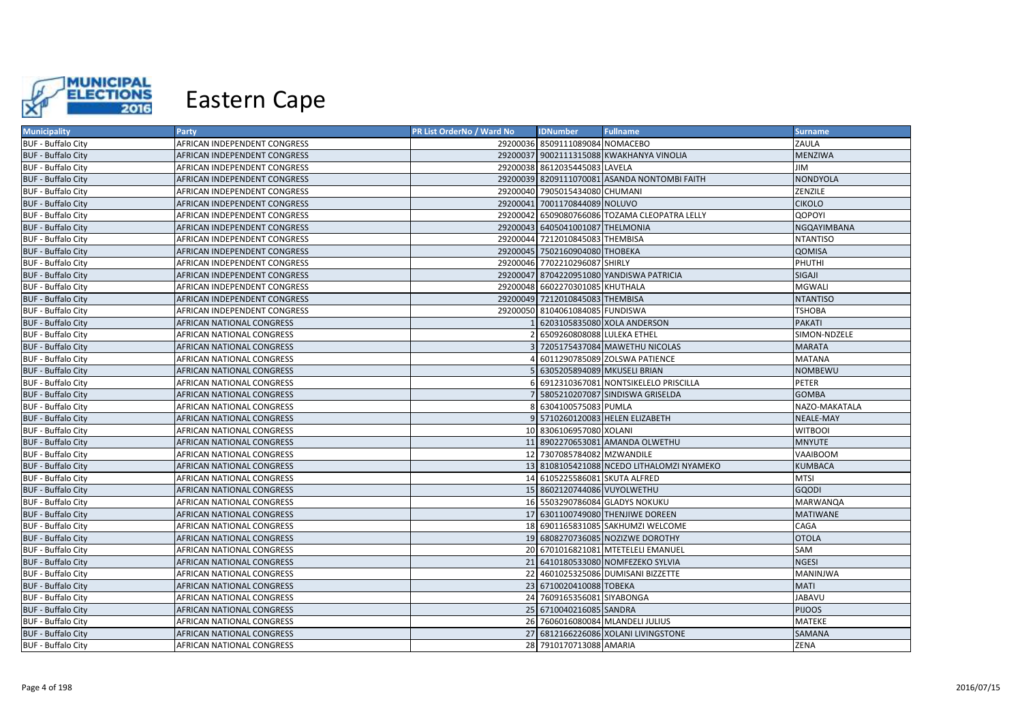

| <b>Municipality</b>       | <b>Party</b>                 | PR List OrderNo / Ward No | <b>IDNumber</b>                  | <b>Fullname</b>                               | <b>Surname</b>   |
|---------------------------|------------------------------|---------------------------|----------------------------------|-----------------------------------------------|------------------|
| <b>BUF - Buffalo City</b> | AFRICAN INDEPENDENT CONGRESS |                           | 29200036 8509111089084 NOMACEBO  |                                               | ZAULA            |
| <b>BUF - Buffalo City</b> | AFRICAN INDEPENDENT CONGRESS |                           |                                  | 29200037 9002111315088 KWAKHANYA VINOLIA      | MENZIWA          |
| <b>BUF - Buffalo City</b> | AFRICAN INDEPENDENT CONGRESS |                           | 29200038 8612035445083 LAVELA    |                                               | ЛIГ              |
| <b>BUF - Buffalo City</b> | AFRICAN INDEPENDENT CONGRESS |                           |                                  | 29200039 8209111070081 ASANDA NONTOMBI FAITH  | <b>NONDYOLA</b>  |
| <b>BUF - Buffalo City</b> | AFRICAN INDEPENDENT CONGRESS |                           | 29200040 7905015434080 CHUMANI   |                                               | ZENZILE          |
| <b>BUF - Buffalo City</b> | AFRICAN INDEPENDENT CONGRESS |                           | 29200041 7001170844089 NOLUVO    |                                               | <b>CIKOLO</b>    |
| <b>BUF - Buffalo City</b> | AFRICAN INDEPENDENT CONGRESS |                           |                                  | 29200042 6509080766086 TOZAMA CLEOPATRA LELLY | QOPOYI           |
| <b>BUF - Buffalo City</b> | AFRICAN INDEPENDENT CONGRESS |                           | 29200043 6405041001087 THELMONIA |                                               | NGQAYIMBANA      |
| <b>BUF - Buffalo City</b> | AFRICAN INDEPENDENT CONGRESS |                           | 29200044 7212010845083 THEMBISA  |                                               | <b>NTANTISO</b>  |
| <b>BUF - Buffalo City</b> | AFRICAN INDEPENDENT CONGRESS |                           | 29200045 7502160904080 THOBEKA   |                                               | QOMISA           |
| <b>BUF - Buffalo City</b> | AFRICAN INDEPENDENT CONGRESS |                           | 29200046 7702210296087 SHIRLY    |                                               | PHUTHI           |
| <b>BUF - Buffalo City</b> | AFRICAN INDEPENDENT CONGRESS |                           |                                  | 29200047 8704220951080 YANDISWA PATRICIA      | SIGAJI           |
| <b>BUF - Buffalo City</b> | AFRICAN INDEPENDENT CONGRESS |                           | 29200048 6602270301085 KHUTHALA  |                                               | <b>MGWALI</b>    |
| <b>BUF - Buffalo City</b> | AFRICAN INDEPENDENT CONGRESS |                           | 29200049 7212010845083 THEMBISA  |                                               | <b>NTANTISO</b>  |
| <b>BUF - Buffalo City</b> | AFRICAN INDEPENDENT CONGRESS |                           | 29200050 8104061084085 FUNDISWA  |                                               | <b>TSHOBA</b>    |
| <b>BUF - Buffalo City</b> | AFRICAN NATIONAL CONGRESS    |                           |                                  | 6203105835080 XOLA ANDERSON                   | <b>PAKATI</b>    |
| <b>BUF - Buffalo City</b> | AFRICAN NATIONAL CONGRESS    |                           | 6509260808088 LULEKA ETHEL       |                                               | SIMON-NDZELE     |
| <b>BUF - Buffalo City</b> | AFRICAN NATIONAL CONGRESS    |                           |                                  | 7205175437084 MAWETHU NICOLAS                 | <b>MARATA</b>    |
| <b>BUF - Buffalo City</b> | AFRICAN NATIONAL CONGRESS    |                           |                                  | 6011290785089 ZOLSWA PATIENCE                 | <b>MATANA</b>    |
| <b>BUF - Buffalo City</b> | AFRICAN NATIONAL CONGRESS    |                           | 6305205894089 MKUSELI BRIAN      |                                               | <b>NOMBEWU</b>   |
| <b>BUF - Buffalo City</b> | AFRICAN NATIONAL CONGRESS    |                           |                                  | 6912310367081 NONTSIKELELO PRISCILLA          | PETER            |
| <b>BUF - Buffalo City</b> | AFRICAN NATIONAL CONGRESS    |                           |                                  | 5805210207087 SINDISWA GRISELDA               | <b>GOMBA</b>     |
| <b>BUF - Buffalo City</b> | AFRICAN NATIONAL CONGRESS    |                           | 6304100575083 PUMLA              |                                               | NAZO-MAKATALA    |
| <b>BUF - Buffalo City</b> | AFRICAN NATIONAL CONGRESS    |                           |                                  | 9 5710260120083 HELEN ELIZABETH               | <b>NEALE-MAY</b> |
| <b>BUF - Buffalo City</b> | AFRICAN NATIONAL CONGRESS    |                           | 10 8306106957080 XOLANI          |                                               | <b>WITBOOI</b>   |
| <b>BUF - Buffalo City</b> | AFRICAN NATIONAL CONGRESS    |                           |                                  | 11 8902270653081 AMANDA OLWETHU               | <b>MNYUTE</b>    |
| <b>BUF - Buffalo City</b> | AFRICAN NATIONAL CONGRESS    |                           | 12 7307085784082 MZWANDILE       |                                               | VAAIBOOM         |
| <b>BUF - Buffalo City</b> | AFRICAN NATIONAL CONGRESS    |                           |                                  | 13 8108105421088 NCEDO LITHALOMZI NYAMEKO     | <b>KUMBACA</b>   |
| <b>BUF - Buffalo City</b> | AFRICAN NATIONAL CONGRESS    |                           | 14 6105225586081 SKUTA ALFRED    |                                               | <b>MTSI</b>      |
| <b>BUF - Buffalo City</b> | AFRICAN NATIONAL CONGRESS    |                           | 15 8602120744086 VUYOLWETHU      |                                               | <b>GQODI</b>     |
| <b>BUF - Buffalo City</b> | AFRICAN NATIONAL CONGRESS    |                           |                                  | 16 5503290786084 GLADYS NOKUKU                | <b>MARWANQA</b>  |
| <b>BUF - Buffalo City</b> | AFRICAN NATIONAL CONGRESS    |                           |                                  | 17 6301100749080 THENJIWE DOREEN              | <b>MATIWANE</b>  |
| <b>BUF - Buffalo City</b> | AFRICAN NATIONAL CONGRESS    |                           |                                  | 18 6901165831085 SAKHUMZI WELCOME             | CAGA             |
| <b>BUF - Buffalo City</b> | AFRICAN NATIONAL CONGRESS    |                           |                                  | 19 6808270736085 NOZIZWE DOROTHY              | <b>OTOLA</b>     |
| <b>BUF - Buffalo City</b> | AFRICAN NATIONAL CONGRESS    |                           |                                  | 20 6701016821081 MTETELELI EMANUEL            | SAM              |
| <b>BUF - Buffalo City</b> | AFRICAN NATIONAL CONGRESS    |                           |                                  | 21 6410180533080 NOMFEZEKO SYLVIA             | <b>NGESI</b>     |
| <b>BUF - Buffalo City</b> | AFRICAN NATIONAL CONGRESS    |                           |                                  | 22 4601025325086 DUMISANI BIZZETTE            | MANINJWA         |
| <b>BUF - Buffalo City</b> | AFRICAN NATIONAL CONGRESS    |                           | 23 6710020410088 TOBEKA          |                                               | <b>MATI</b>      |
| <b>BUF - Buffalo City</b> | AFRICAN NATIONAL CONGRESS    |                           | 24 7609165356081 SIYABONGA       |                                               | <b>UVABAV</b>    |
| <b>BUF - Buffalo City</b> | AFRICAN NATIONAL CONGRESS    |                           | 25 6710040216085 SANDRA          |                                               | <b>PIJOOS</b>    |
| <b>BUF - Buffalo City</b> | AFRICAN NATIONAL CONGRESS    |                           |                                  | 26 7606016080084 MLANDELI JULIUS              | MATEKE           |
| <b>BUF - Buffalo City</b> | AFRICAN NATIONAL CONGRESS    |                           |                                  | 27 6812166226086 XOLANI LIVINGSTONE           | SAMANA           |
| <b>BUF - Buffalo City</b> | AFRICAN NATIONAL CONGRESS    |                           | 28 7910170713088 AMARIA          |                                               | <b>ZENA</b>      |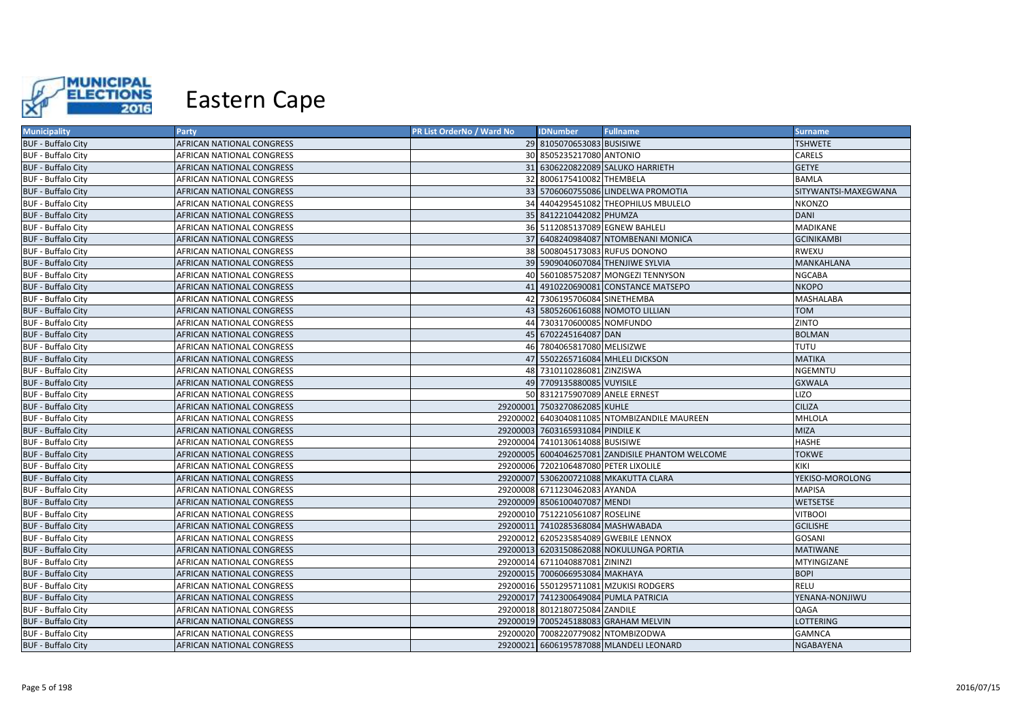

| <b>Municipality</b>       | Party                            | PR List OrderNo / Ward No | <b>IDNumber</b>                       | <b>Fullname</b>                                  | <b>Surname</b>       |
|---------------------------|----------------------------------|---------------------------|---------------------------------------|--------------------------------------------------|----------------------|
| <b>BUF - Buffalo City</b> | AFRICAN NATIONAL CONGRESS        |                           | 29 8105070653083 BUSISIWE             |                                                  | <b>TSHWETE</b>       |
| <b>BUF - Buffalo City</b> | AFRICAN NATIONAL CONGRESS        |                           | 30 8505235217080 ANTONIO              |                                                  | CARELS               |
| <b>BUF - Buffalo City</b> | AFRICAN NATIONAL CONGRESS        |                           |                                       | 31 6306220822089 SALUKO HARRIETH                 | <b>GETYE</b>         |
| <b>BUF - Buffalo City</b> | AFRICAN NATIONAL CONGRESS        |                           | 32 8006175410082 THEMBELA             |                                                  | <b>BAMLA</b>         |
| <b>BUF - Buffalo City</b> | AFRICAN NATIONAL CONGRESS        |                           |                                       | 33 5706060755086 LINDELWA PROMOTIA               | SITYWANTSI-MAXEGWANA |
| <b>BUF - Buffalo City</b> | AFRICAN NATIONAL CONGRESS        |                           |                                       | 34 4404295451082 THEOPHILUS MBULELO              | <b>NKONZO</b>        |
| <b>BUF - Buffalo City</b> | AFRICAN NATIONAL CONGRESS        |                           | 35 8412210442082 PHUMZA               |                                                  | <b>DANI</b>          |
| <b>BUF - Buffalo City</b> | AFRICAN NATIONAL CONGRESS        |                           | 36 5112085137089 EGNEW BAHLELI        |                                                  | MADIKANE             |
| <b>BUF - Buffalo City</b> | AFRICAN NATIONAL CONGRESS        |                           |                                       | 37 6408240984087 NTOMBENANI MONICA               | <b>GCINIKAMBI</b>    |
| <b>BUF - Buffalo City</b> | AFRICAN NATIONAL CONGRESS        |                           |                                       | 38 5008045173083 RUFUS DONONO                    | <b>RWEXU</b>         |
| <b>BUF - Buffalo City</b> | AFRICAN NATIONAL CONGRESS        |                           |                                       | 39 5909040607084 THENJIWE SYLVIA                 | MANKAHLANA           |
| <b>BUF - Buffalo City</b> | AFRICAN NATIONAL CONGRESS        |                           |                                       | 40 5601085752087 MONGEZI TENNYSON                | NGCABA               |
| <b>BUF - Buffalo City</b> | AFRICAN NATIONAL CONGRESS        |                           |                                       | 41 4910220690081 CONSTANCE MATSEPO               | <b>NKOPO</b>         |
| <b>BUF - Buffalo City</b> | AFRICAN NATIONAL CONGRESS        |                           | 42 7306195706084 SINETHEMBA           |                                                  | <b>MASHALABA</b>     |
| <b>BUF - Buffalo City</b> | AFRICAN NATIONAL CONGRESS        |                           |                                       | 43 5805260616088 NOMOTO LILLIAN                  | <b>TOM</b>           |
| <b>BUF - Buffalo City</b> | AFRICAN NATIONAL CONGRESS        |                           | 44 7303170600085 NOMFUNDO             |                                                  | ZINTO                |
| <b>BUF - Buffalo City</b> | AFRICAN NATIONAL CONGRESS        |                           | 45 6702245164087 DAN                  |                                                  | <b>BOLMAN</b>        |
| <b>BUF - Buffalo City</b> | AFRICAN NATIONAL CONGRESS        |                           | 46 7804065817080 MELISIZWE            |                                                  | <b>TUTU</b>          |
| <b>BUF - Buffalo City</b> | AFRICAN NATIONAL CONGRESS        |                           |                                       | 47 5502265716084 MHLELI DICKSON                  | <b>MATIKA</b>        |
| <b>BUF - Buffalo City</b> | AFRICAN NATIONAL CONGRESS        |                           | 48 7310110286081 ZINZISWA             |                                                  | <b>NGEMNTU</b>       |
| <b>BUF - Buffalo City</b> | AFRICAN NATIONAL CONGRESS        |                           | 49 7709135880085 VUYISILE             |                                                  | <b>GXWALA</b>        |
| <b>BUF - Buffalo City</b> | AFRICAN NATIONAL CONGRESS        |                           | 50 8312175907089 ANELE ERNEST         |                                                  | <b>LIZO</b>          |
| <b>BUF - Buffalo City</b> | AFRICAN NATIONAL CONGRESS        |                           | 29200001 7503270862085 KUHLE          |                                                  | <b>CILIZA</b>        |
| <b>BUF - Buffalo City</b> | AFRICAN NATIONAL CONGRESS        |                           |                                       | 29200002 6403040811085 NTOMBIZANDILE MAUREEN     | MHLOLA               |
| <b>BUF - Buffalo City</b> | AFRICAN NATIONAL CONGRESS        |                           | 29200003 7603165931084 PINDILE K      |                                                  | <b>MIZA</b>          |
| <b>BUF - Buffalo City</b> | AFRICAN NATIONAL CONGRESS        |                           | 29200004 7410130614088 BUSISIWE       |                                                  | <b>HASHE</b>         |
| <b>BUF - Buffalo City</b> | AFRICAN NATIONAL CONGRESS        |                           |                                       | 29200005 6004046257081 ZANDISILE PHANTOM WELCOME | <b>TOKWE</b>         |
| <b>BUF - Buffalo City</b> | AFRICAN NATIONAL CONGRESS        |                           | 29200006 7202106487080 PETER LIXOLILE |                                                  | KIKI                 |
| <b>BUF - Buffalo City</b> | AFRICAN NATIONAL CONGRESS        |                           |                                       | 29200007 5306200721088 MKAKUTTA CLARA            | YEKISO-MOROLONG      |
| <b>BUF - Buffalo City</b> | AFRICAN NATIONAL CONGRESS        |                           | 29200008 6711230462083 AYANDA         |                                                  | <b>MAPISA</b>        |
| <b>BUF - Buffalo City</b> | AFRICAN NATIONAL CONGRESS        |                           | 29200009 8506100407087 MENDI          |                                                  | <b>WETSETSE</b>      |
| <b>BUF - Buffalo City</b> | AFRICAN NATIONAL CONGRESS        |                           | 29200010 7512210561087 ROSELINE       |                                                  | <b>VITBOOI</b>       |
| <b>BUF - Buffalo City</b> | AFRICAN NATIONAL CONGRESS        |                           | 29200011 7410285368084 MASHWABADA     |                                                  | <b>GCILISHE</b>      |
| <b>BUF - Buffalo City</b> | AFRICAN NATIONAL CONGRESS        |                           |                                       | 29200012 6205235854089 GWEBILE LENNOX            | GOSANI               |
| <b>BUF - Buffalo City</b> | AFRICAN NATIONAL CONGRESS        |                           |                                       | 29200013 6203150862088 NOKULUNGA PORTIA          | <b>MATIWANE</b>      |
| <b>BUF - Buffalo City</b> | AFRICAN NATIONAL CONGRESS        |                           | 29200014 6711040887081 ZININZI        |                                                  | MTYINGIZANE          |
| <b>BUF - Buffalo City</b> | AFRICAN NATIONAL CONGRESS        |                           | 29200015 7006066953084 MAKHAYA        |                                                  | <b>BOPI</b>          |
| <b>BUF - Buffalo City</b> | AFRICAN NATIONAL CONGRESS        |                           |                                       | 29200016 5501295711081 MZUKISI RODGERS           | <b>RELU</b>          |
| <b>BUF - Buffalo City</b> | AFRICAN NATIONAL CONGRESS        |                           |                                       | 29200017 7412300649084 PUMLA PATRICIA            | YENANA-NONJIWU       |
| <b>BUF - Buffalo City</b> | AFRICAN NATIONAL CONGRESS        |                           | 29200018 8012180725084 ZANDILE        |                                                  | QAGA                 |
| <b>BUF - Buffalo City</b> | AFRICAN NATIONAL CONGRESS        |                           |                                       | 29200019 7005245188083 GRAHAM MELVIN             | <b>LOTTERING</b>     |
| <b>BUF - Buffalo City</b> | AFRICAN NATIONAL CONGRESS        |                           | 29200020 7008220779082 NTOMBIZODWA    |                                                  | <b>GAMNCA</b>        |
| <b>BUF - Buffalo City</b> | <b>AFRICAN NATIONAL CONGRESS</b> |                           |                                       | 29200021 6606195787088 MLANDELI LEONARD          | <b>NGABAYENA</b>     |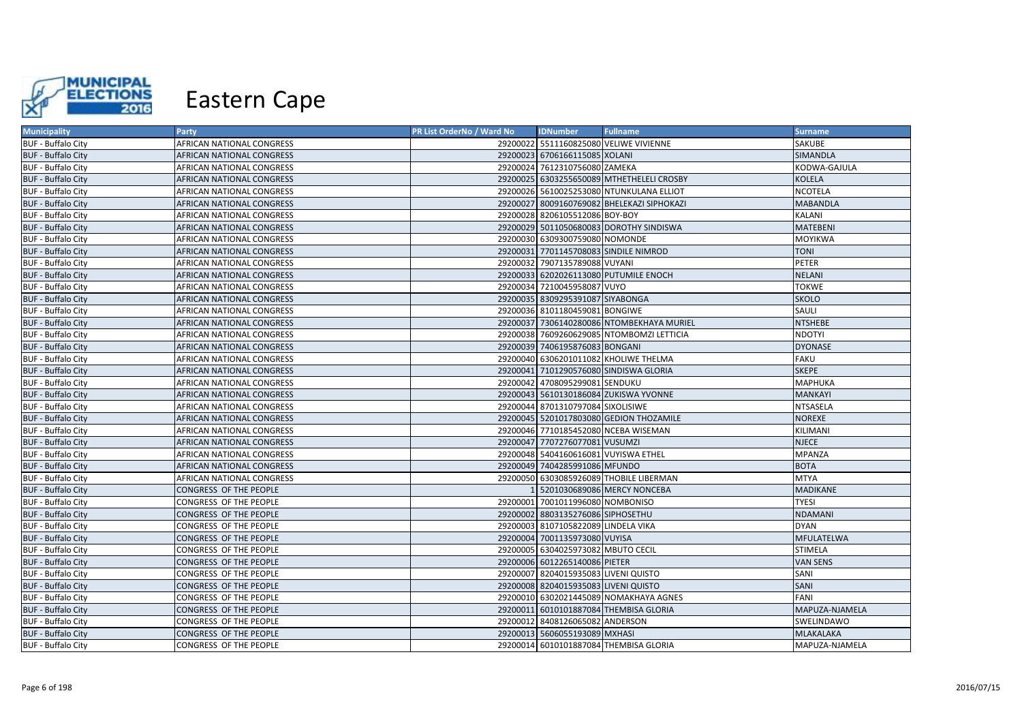

| <b>Municipality</b>       | <b>Party</b>              | PR List OrderNo / Ward No | <b>IDNumber</b>                      | <b>Fullname</b>                            | <b>Surname</b>   |
|---------------------------|---------------------------|---------------------------|--------------------------------------|--------------------------------------------|------------------|
| <b>BUF - Buffalo City</b> | AFRICAN NATIONAL CONGRESS |                           |                                      | 29200022 5511160825080 VELIWE VIVIENNE     | SAKUBE           |
| <b>BUF - Buffalo City</b> | AFRICAN NATIONAL CONGRESS |                           | 29200023 6706166115085 XOLANI        |                                            | <b>SIMANDLA</b>  |
| <b>BUF - Buffalo City</b> | AFRICAN NATIONAL CONGRESS |                           | 29200024 7612310756080 ZAMEKA        |                                            | KODWA-GAJULA     |
| <b>BUF - Buffalo City</b> | AFRICAN NATIONAL CONGRESS |                           |                                      | 29200025 6303255650089 MTHETHELELI CROSBY  | <b>KOLELA</b>    |
| <b>BUF - Buffalo City</b> | AFRICAN NATIONAL CONGRESS |                           |                                      | 29200026 5610025253080 NTUNKULANA ELLIOT   | NCOTELA          |
| <b>BUF - Buffalo City</b> | AFRICAN NATIONAL CONGRESS |                           |                                      | 29200027 8009160769082 BHELEKAZI SIPHOKAZI | <b>MABANDLA</b>  |
| <b>BUF - Buffalo City</b> | AFRICAN NATIONAL CONGRESS |                           | 29200028 8206105512086 BOY-BOY       |                                            | <b>KALANI</b>    |
| <b>BUF - Buffalo City</b> | AFRICAN NATIONAL CONGRESS |                           |                                      | 29200029 5011050680083 DOROTHY SINDISWA    | <b>MATEBENI</b>  |
| <b>BUF - Buffalo City</b> | AFRICAN NATIONAL CONGRESS |                           | 29200030 6309300759080 NOMONDE       |                                            | <b>MOYIKWA</b>   |
| <b>BUF - Buffalo City</b> | AFRICAN NATIONAL CONGRESS |                           |                                      | 29200031 7701145708083 SINDILE NIMROD      | <b>TONI</b>      |
| <b>BUF - Buffalo City</b> | AFRICAN NATIONAL CONGRESS |                           | 29200032 7907135789088 VUYANI        |                                            | PETER            |
| <b>BUF - Buffalo City</b> | AFRICAN NATIONAL CONGRESS |                           |                                      | 29200033 6202026113080 PUTUMILE ENOCH      | <b>NELANI</b>    |
| <b>BUF - Buffalo City</b> | AFRICAN NATIONAL CONGRESS |                           | 29200034 7210045958087 VUYO          |                                            | <b>TOKWE</b>     |
| <b>BUF - Buffalo City</b> | AFRICAN NATIONAL CONGRESS |                           | 29200035 8309295391087 SIYABONGA     |                                            | <b>SKOLO</b>     |
| <b>BUF - Buffalo City</b> | AFRICAN NATIONAL CONGRESS |                           | 29200036 8101180459081 BONGIWE       |                                            | SAULI            |
| <b>BUF - Buffalo City</b> | AFRICAN NATIONAL CONGRESS |                           |                                      | 29200037 7306140280086 NTOMBEKHAYA MURIEL  | <b>NTSHEBE</b>   |
| <b>BUF - Buffalo City</b> | AFRICAN NATIONAL CONGRESS |                           |                                      | 29200038 7609260629085 NTOMBOMZI LETTICIA  | <b>NDOTYI</b>    |
| <b>BUF - Buffalo City</b> | AFRICAN NATIONAL CONGRESS |                           | 29200039 7406195876083 BONGANI       |                                            | <b>DYONASE</b>   |
| <b>BUF - Buffalo City</b> | AFRICAN NATIONAL CONGRESS |                           |                                      | 29200040 6306201011082 KHOLIWE THELMA      | <b>FAKU</b>      |
| <b>BUF - Buffalo City</b> | AFRICAN NATIONAL CONGRESS |                           |                                      | 29200041 7101290576080 SINDISWA GLORIA     | <b>SKEPE</b>     |
| <b>BUF - Buffalo City</b> | AFRICAN NATIONAL CONGRESS |                           | 29200042 4708095299081 SENDUKU       |                                            | <b>MAPHUKA</b>   |
| <b>BUF - Buffalo City</b> | AFRICAN NATIONAL CONGRESS |                           |                                      | 29200043 5610130186084 ZUKISWA YVONNE      | <b>MANKAYI</b>   |
| <b>BUF - Buffalo City</b> | AFRICAN NATIONAL CONGRESS |                           | 29200044 8701310797084 SIXOLISIWE    |                                            | <b>NTSASELA</b>  |
| <b>BUF - Buffalo City</b> | AFRICAN NATIONAL CONGRESS |                           |                                      | 29200045 5201017803080 GEDION THOZAMILE    | <b>NOREXE</b>    |
| <b>BUF - Buffalo City</b> | AFRICAN NATIONAL CONGRESS |                           |                                      | 29200046 7710185452080 NCEBA WISEMAN       | KILIMANI         |
| <b>BUF - Buffalo City</b> | AFRICAN NATIONAL CONGRESS |                           | 29200047 7707276077081 VUSUMZI       |                                            | <b>NJECE</b>     |
| <b>BUF - Buffalo City</b> | AFRICAN NATIONAL CONGRESS |                           | 29200048 5404160616081 VUYISWA ETHEL |                                            | <b>MPANZA</b>    |
| <b>BUF - Buffalo City</b> | AFRICAN NATIONAL CONGRESS |                           | 29200049 7404285991086 MFUNDO        |                                            | <b>BOTA</b>      |
| <b>BUF - Buffalo City</b> | AFRICAN NATIONAL CONGRESS |                           |                                      | 29200050 6303085926089 THOBILE LIBERMAN    | <b>MTYA</b>      |
| <b>BUF - Buffalo City</b> | CONGRESS OF THE PEOPLE    |                           |                                      | 1 5201030689086 MERCY NONCEBA              | MADIKANE         |
| <b>BUF - Buffalo City</b> | CONGRESS OF THE PEOPLE    |                           | 29200001 7001011996080 NOMBONISO     |                                            | <b>TYESI</b>     |
| <b>BUF - Buffalo City</b> | CONGRESS OF THE PEOPLE    |                           | 29200002 8803135276086 SIPHOSETHU    |                                            | <b>NDAMANI</b>   |
| <b>BUF - Buffalo City</b> | CONGRESS OF THE PEOPLE    |                           | 29200003 8107105822089 LINDELA VIKA  |                                            | <b>DYAN</b>      |
| <b>BUF - Buffalo City</b> | CONGRESS OF THE PEOPLE    |                           | 29200004 7001135973080 VUYISA        |                                            | MFULATELWA       |
| <b>BUF - Buffalo City</b> | CONGRESS OF THE PEOPLE    |                           | 29200005 6304025973082 MBUTO CECIL   |                                            | STIMELA          |
| <b>BUF - Buffalo City</b> | CONGRESS OF THE PEOPLE    |                           | 29200006 6012265140086 PIETER        |                                            | <b>VAN SENS</b>  |
| <b>BUF - Buffalo City</b> | CONGRESS OF THE PEOPLE    |                           | 29200007 8204015935083 LIVENI QUISTO |                                            | SANI             |
| <b>BUF - Buffalo City</b> | CONGRESS OF THE PEOPLE    |                           | 29200008 8204015935083 LIVENI QUISTO |                                            | SANI             |
| <b>BUF - Buffalo City</b> | CONGRESS OF THE PEOPLE    |                           |                                      | 29200010 6302021445089 NOMAKHAYA AGNES     | FANI             |
| <b>BUF - Buffalo City</b> | CONGRESS OF THE PEOPLE    |                           |                                      | 29200011 6010101887084 THEMBISA GLORIA     | MAPUZA-NJAMELA   |
| <b>BUF - Buffalo City</b> | CONGRESS OF THE PEOPLE    |                           | 29200012 8408126065082 ANDERSON      |                                            | SWELINDAWO       |
| <b>BUF - Buffalo City</b> | CONGRESS OF THE PEOPLE    |                           | 29200013 5606055193089 MXHASI        |                                            | <b>MLAKALAKA</b> |
| <b>BUF - Buffalo City</b> | CONGRESS OF THE PEOPLE    |                           |                                      | 29200014 6010101887084 THEMBISA GLORIA     | MAPUZA-NJAMELA   |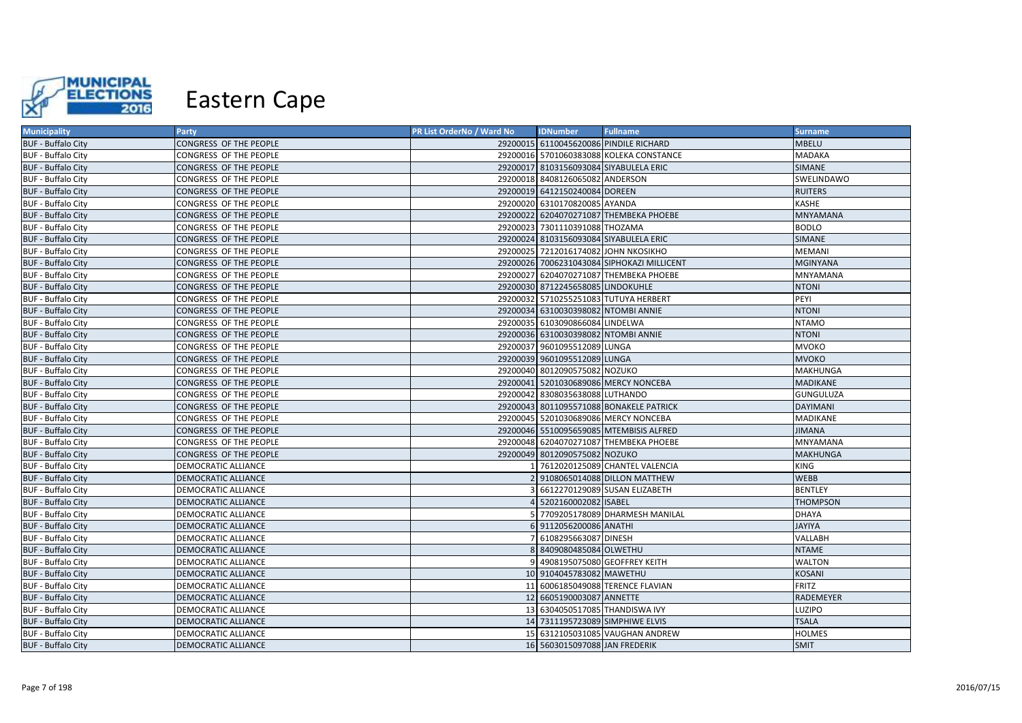

| <b>Municipality</b>       | Party                         | PR List OrderNo / Ward No | <b>IDNumber</b>                      | <b>Fullname</b>                            | <b>Surname</b>   |
|---------------------------|-------------------------------|---------------------------|--------------------------------------|--------------------------------------------|------------------|
| <b>BUF - Buffalo City</b> | <b>CONGRESS OF THE PEOPLE</b> |                           |                                      | 29200015 6110045620086 PINDILE RICHARD     | <b>MBELU</b>     |
| <b>BUF - Buffalo City</b> | CONGRESS OF THE PEOPLE        |                           |                                      | 29200016 5701060383088 KOLEKA CONSTANCE    | <b>MADAKA</b>    |
| <b>BUF - Buffalo City</b> | CONGRESS OF THE PEOPLE        |                           |                                      | 29200017 8103156093084 SIYABULELA ERIC     | <b>SIMANE</b>    |
| <b>BUF - Buffalo City</b> | CONGRESS OF THE PEOPLE        |                           | 29200018 8408126065082 ANDERSON      |                                            | SWELINDAWO       |
| <b>BUF - Buffalo City</b> | CONGRESS OF THE PEOPLE        |                           | 29200019 6412150240084 DOREEN        |                                            | <b>RUITERS</b>   |
| <b>BUF - Buffalo City</b> | <b>CONGRESS OF THE PEOPLE</b> |                           | 29200020 6310170820085 AYANDA        |                                            | KASHE            |
| <b>BUF - Buffalo City</b> | <b>CONGRESS OF THE PEOPLE</b> |                           |                                      | 29200022 6204070271087 THEMBEKA PHOEBE     | <b>MNYAMANA</b>  |
| <b>BUF - Buffalo City</b> | CONGRESS OF THE PEOPLE        |                           | 29200023 7301110391088 THOZAMA       |                                            | <b>BODLO</b>     |
| <b>BUF - Buffalo City</b> | CONGRESS OF THE PEOPLE        |                           |                                      | 29200024 8103156093084 SIYABULELA ERIC     | <b>SIMANE</b>    |
| <b>BUF - Buffalo City</b> | <b>CONGRESS OF THE PEOPLE</b> |                           | 29200025 7212016174082 JOHN NKOSIKHO |                                            | <b>MEMANI</b>    |
| <b>BUF - Buffalo City</b> | CONGRESS OF THE PEOPLE        |                           |                                      | 29200026 7006231043084 SIPHOKAZI MILLICENT | <b>MGINYANA</b>  |
| <b>BUF - Buffalo City</b> | CONGRESS OF THE PEOPLE        |                           |                                      | 29200027 6204070271087 THEMBEKA PHOEBE     | MNYAMANA         |
| <b>BUF - Buffalo City</b> | <b>CONGRESS OF THE PEOPLE</b> |                           | 29200030 8712245658085 LINDOKUHLE    |                                            | <b>NTONI</b>     |
| <b>BUF - Buffalo City</b> | <b>CONGRESS OF THE PEOPLE</b> |                           |                                      | 29200032 5710255251083 TUTUYA HERBERT      | PEYI             |
| <b>BUF - Buffalo City</b> | <b>CONGRESS OF THE PEOPLE</b> |                           | 29200034 6310030398082 NTOMBI ANNIE  |                                            | <b>NTONI</b>     |
| <b>BUF - Buffalo City</b> | <b>CONGRESS OF THE PEOPLE</b> |                           | 29200035 6103090866084 LINDELWA      |                                            | <b>NTAMO</b>     |
| <b>BUF - Buffalo City</b> | <b>CONGRESS OF THE PEOPLE</b> |                           | 29200036 6310030398082 NTOMBI ANNIE  |                                            | <b>NTONI</b>     |
| <b>BUF - Buffalo City</b> | CONGRESS OF THE PEOPLE        |                           | 29200037 9601095512089 LUNGA         |                                            | <b>MVOKO</b>     |
| <b>BUF - Buffalo City</b> | CONGRESS OF THE PEOPLE        |                           | 29200039 9601095512089 LUNGA         |                                            | <b>MVOKO</b>     |
| <b>BUF - Buffalo City</b> | <b>CONGRESS OF THE PEOPLE</b> |                           | 29200040 8012090575082 NOZUKO        |                                            | <b>MAKHUNGA</b>  |
| <b>BUF - Buffalo City</b> | <b>CONGRESS OF THE PEOPLE</b> |                           |                                      | 29200041 5201030689086 MERCY NONCEBA       | <b>MADIKANE</b>  |
| <b>BUF - Buffalo City</b> | <b>CONGRESS OF THE PEOPLE</b> |                           | 29200042 8308035638088 LUTHANDO      |                                            | <b>GUNGULUZA</b> |
| <b>BUF - Buffalo City</b> | CONGRESS OF THE PEOPLE        |                           |                                      | 29200043 8011095571088 BONAKELE PATRICK    | <b>DAYIMANI</b>  |
| <b>BUF - Buffalo City</b> | CONGRESS OF THE PEOPLE        |                           |                                      | 29200045 5201030689086 MERCY NONCEBA       | <b>MADIKANE</b>  |
| <b>BUF - Buffalo City</b> | <b>CONGRESS OF THE PEOPLE</b> |                           |                                      | 29200046 5510095659085 MTEMBISIS ALFRED    | <b>JIMANA</b>    |
| <b>BUF - Buffalo City</b> | CONGRESS OF THE PEOPLE        |                           |                                      | 29200048 6204070271087 THEMBEKA PHOEBE     | MNYAMANA         |
| <b>BUF - Buffalo City</b> | <b>CONGRESS OF THE PEOPLE</b> |                           | 29200049 8012090575082 NOZUKO        |                                            | <b>MAKHUNGA</b>  |
| <b>BUF - Buffalo City</b> | <b>DEMOCRATIC ALLIANCE</b>    |                           |                                      | 7612020125089 CHANTEL VALENCIA             | <b>KING</b>      |
| <b>BUF - Buffalo City</b> | <b>DEMOCRATIC ALLIANCE</b>    |                           |                                      | 9108065014088 DILLON MATTHEW               | <b>WEBB</b>      |
| <b>BUF - Buffalo City</b> | <b>DEMOCRATIC ALLIANCE</b>    |                           |                                      | 6612270129089 SUSAN ELIZABETH              | <b>BENTLEY</b>   |
| <b>BUF - Buffalo City</b> | <b>DEMOCRATIC ALLIANCE</b>    |                           | 4 5202160002082 ISABEL               |                                            | <b>THOMPSON</b>  |
| <b>BUF - Buffalo City</b> | <b>DEMOCRATIC ALLIANCE</b>    |                           |                                      | 5 7709205178089 DHARMESH MANILAL           | <b>DHAYA</b>     |
| <b>BUF - Buffalo City</b> | <b>DEMOCRATIC ALLIANCE</b>    |                           | 6 9112056200086 ANATHI               |                                            | <b>JAYIYA</b>    |
| <b>BUF - Buffalo City</b> | <b>DEMOCRATIC ALLIANCE</b>    |                           | 6108295663087 DINESH                 |                                            | <b>VALLABH</b>   |
| <b>BUF - Buffalo City</b> | <b>DEMOCRATIC ALLIANCE</b>    |                           | 8 8409080485084 OLWETHU              |                                            | <b>NTAME</b>     |
| <b>BUF - Buffalo City</b> | <b>DEMOCRATIC ALLIANCE</b>    |                           |                                      | 9 4908195075080 GEOFFREY KEITH             | <b>WALTON</b>    |
| <b>BUF - Buffalo City</b> | <b>DEMOCRATIC ALLIANCE</b>    |                           | 10 9104045783082 MAWETHU             |                                            | <b>KOSANI</b>    |
| <b>BUF - Buffalo City</b> | <b>DEMOCRATIC ALLIANCE</b>    |                           |                                      | 11 6006185049088 TERENCE FLAVIAN           | <b>FRITZ</b>     |
| <b>BUF - Buffalo City</b> | DEMOCRATIC ALLIANCE           |                           | 12 6605190003087 ANNETTE             |                                            | RADEMEYER        |
| <b>BUF - Buffalo City</b> | <b>DEMOCRATIC ALLIANCE</b>    |                           | 13 6304050517085 THANDISWA IVY       |                                            | LUZIPO           |
| <b>BUF - Buffalo City</b> | <b>DEMOCRATIC ALLIANCE</b>    |                           | 14 7311195723089 SIMPHIWE ELVIS      |                                            | <b>TSALA</b>     |
| <b>BUF - Buffalo City</b> | <b>DEMOCRATIC ALLIANCE</b>    |                           |                                      | 15 6312105031085 VAUGHAN ANDREW            | <b>HOLMES</b>    |
| <b>BUF - Buffalo City</b> | <b>DEMOCRATIC ALLIANCE</b>    |                           | 16 5603015097088 JAN FREDERIK        |                                            | <b>SMIT</b>      |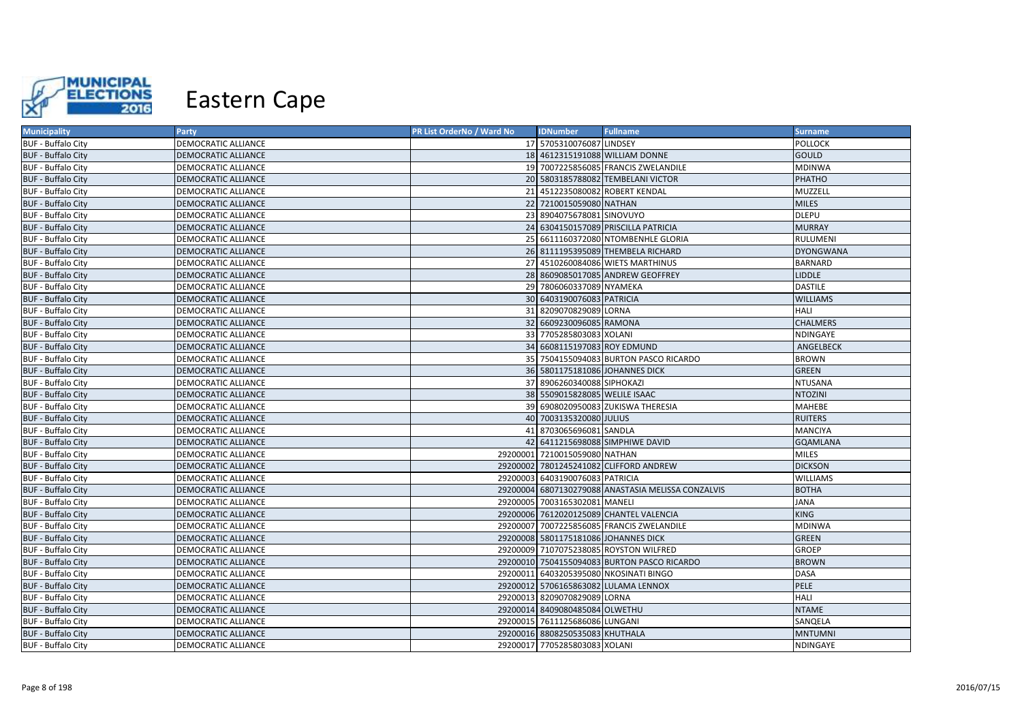

| <b>Municipality</b>       | Party                      | PR List OrderNo / Ward No | <b>IDNumber</b>                      | <b>Fullname</b>                                    | <b>Surname</b>   |
|---------------------------|----------------------------|---------------------------|--------------------------------------|----------------------------------------------------|------------------|
| <b>BUF - Buffalo City</b> | <b>DEMOCRATIC ALLIANCE</b> |                           | 17 5705310076087 LINDSEY             |                                                    | <b>POLLOCK</b>   |
| <b>BUF - Buffalo City</b> | <b>DEMOCRATIC ALLIANCE</b> |                           |                                      | 18 4612315191088 WILLIAM DONNE                     | <b>GOULD</b>     |
| <b>BUF - Buffalo City</b> | <b>DEMOCRATIC ALLIANCE</b> |                           |                                      | 19 7007225856085 FRANCIS ZWELANDILE                | <b>MDINWA</b>    |
| <b>BUF - Buffalo City</b> | DEMOCRATIC ALLIANCE        |                           |                                      | 20 5803185788082 TEMBELANI VICTOR                  | PHATHO           |
| <b>BUF - Buffalo City</b> | DEMOCRATIC ALLIANCE        |                           | 21 4512235080082 ROBERT KENDAL       |                                                    | MUZZELL          |
| <b>BUF - Buffalo City</b> | <b>DEMOCRATIC ALLIANCE</b> |                           | 22 7210015059080 NATHAN              |                                                    | <b>MILES</b>     |
| <b>BUF - Buffalo City</b> | <b>DEMOCRATIC ALLIANCE</b> |                           | 23 8904075678081 SINOVUYO            |                                                    | <b>DLEPU</b>     |
| <b>BUF - Buffalo City</b> | <b>DEMOCRATIC ALLIANCE</b> |                           |                                      | 24 6304150157089 PRISCILLA PATRICIA                | <b>MURRAY</b>    |
| <b>BUF - Buffalo City</b> | DEMOCRATIC ALLIANCE        |                           |                                      | 25 6611160372080 NTOMBENHLE GLORIA                 | RULUMENI         |
| <b>BUF - Buffalo City</b> | <b>DEMOCRATIC ALLIANCE</b> |                           |                                      | 26 8111195395089 THEMBELA RICHARD                  | <b>DYONGWANA</b> |
| <b>BUF - Buffalo City</b> | DEMOCRATIC ALLIANCE        |                           |                                      | 27 4510260084086 WIETS MARTHINUS                   | <b>BARNARD</b>   |
| <b>BUF - Buffalo City</b> | DEMOCRATIC ALLIANCE        |                           |                                      | 28 8609085017085 ANDREW GEOFFREY                   | <b>LIDDLE</b>    |
| <b>BUF - Buffalo City</b> | <b>DEMOCRATIC ALLIANCE</b> |                           | 29 7806060337089 NYAMEKA             |                                                    | <b>DASTILE</b>   |
| <b>BUF - Buffalo City</b> | <b>DEMOCRATIC ALLIANCE</b> |                           | 30 6403190076083 PATRICIA            |                                                    | <b>WILLIAMS</b>  |
| <b>BUF - Buffalo City</b> | <b>DEMOCRATIC ALLIANCE</b> |                           | 31 8209070829089 LORNA               |                                                    | <b>HALI</b>      |
| <b>BUF - Buffalo City</b> | <b>DEMOCRATIC ALLIANCE</b> |                           | 32 6609230096085 RAMONA              |                                                    | <b>CHALMERS</b>  |
| <b>BUF - Buffalo City</b> | <b>DEMOCRATIC ALLIANCE</b> |                           | 33 7705285803083 XOLANI              |                                                    | NDINGAYE         |
| <b>BUF - Buffalo City</b> | <b>DEMOCRATIC ALLIANCE</b> |                           | 34 6608115197083 ROY EDMUND          |                                                    | ANGELBECK        |
| <b>BUF - Buffalo City</b> | DEMOCRATIC ALLIANCE        |                           |                                      | 35 7504155094083 BURTON PASCO RICARDO              | <b>BROWN</b>     |
| <b>BUF - Buffalo City</b> | <b>DEMOCRATIC ALLIANCE</b> |                           | 36 5801175181086 JOHANNES DICK       |                                                    | <b>GREEN</b>     |
| <b>BUF - Buffalo City</b> | <b>DEMOCRATIC ALLIANCE</b> |                           | 37 8906260340088 SIPHOKAZI           |                                                    | <b>NTUSANA</b>   |
| <b>BUF - Buffalo City</b> | DEMOCRATIC ALLIANCE        |                           | 38 5509015828085 WELILE ISAAC        |                                                    | <b>NTOZINI</b>   |
| <b>BUF - Buffalo City</b> | <b>DEMOCRATIC ALLIANCE</b> |                           |                                      | 39 6908020950083 ZUKISWA THERESIA                  | <b>MAHEBE</b>    |
| <b>BUF - Buffalo City</b> | <b>DEMOCRATIC ALLIANCE</b> |                           | 40 7003135320080 JULIUS              |                                                    | <b>RUITERS</b>   |
| <b>BUF - Buffalo City</b> | <b>DEMOCRATIC ALLIANCE</b> | 41                        | 8703065696081 SANDLA                 |                                                    | <b>MANCIYA</b>   |
| <b>BUF - Buffalo City</b> | <b>DEMOCRATIC ALLIANCE</b> |                           |                                      | 42 6411215698088 SIMPHIWE DAVID                    | <b>GQAMLANA</b>  |
| <b>BUF - Buffalo City</b> | <b>DEMOCRATIC ALLIANCE</b> |                           | 29200001 7210015059080 NATHAN        |                                                    | <b>MILES</b>     |
| <b>BUF - Buffalo City</b> | <b>DEMOCRATIC ALLIANCE</b> |                           |                                      | 29200002 7801245241082 CLIFFORD ANDREW             | <b>DICKSON</b>   |
| <b>BUF - Buffalo City</b> | <b>DEMOCRATIC ALLIANCE</b> |                           | 29200003 6403190076083 PATRICIA      |                                                    | <b>WILLIAMS</b>  |
| <b>BUF - Buffalo City</b> | <b>DEMOCRATIC ALLIANCE</b> |                           |                                      | 29200004 6807130279088 ANASTASIA MELISSA CONZALVIS | <b>BOTHA</b>     |
| <b>BUF - Buffalo City</b> | <b>DEMOCRATIC ALLIANCE</b> |                           | 29200005 7003165302081 MANELI        |                                                    | <b>JANA</b>      |
| <b>BUF - Buffalo City</b> | <b>DEMOCRATIC ALLIANCE</b> |                           |                                      | 29200006 7612020125089 CHANTEL VALENCIA            | <b>KING</b>      |
| <b>BUF - Buffalo City</b> | <b>DEMOCRATIC ALLIANCE</b> |                           |                                      | 29200007 7007225856085 FRANCIS ZWELANDILE          | <b>MDINWA</b>    |
| <b>BUF - Buffalo City</b> | <b>DEMOCRATIC ALLIANCE</b> |                           | 29200008 5801175181086 JOHANNES DICK |                                                    | <b>GREEN</b>     |
| <b>BUF - Buffalo City</b> | DEMOCRATIC ALLIANCE        |                           |                                      | 29200009 7107075238085 ROYSTON WILFRED             | <b>GROEP</b>     |
| <b>BUF - Buffalo City</b> | DEMOCRATIC ALLIANCE        |                           |                                      | 29200010 7504155094083 BURTON PASCO RICARDO        | <b>BROWN</b>     |
| <b>BUF - Buffalo City</b> | <b>DEMOCRATIC ALLIANCE</b> |                           |                                      | 29200011 6403205395080 NKOSINATI BINGO             | <b>DASA</b>      |
| <b>BUF - Buffalo City</b> | DEMOCRATIC ALLIANCE        |                           |                                      | 29200012 5706165863082 LULAMA LENNOX               | PELE             |
| <b>BUF - Buffalo City</b> | DEMOCRATIC ALLIANCE        |                           | 29200013 8209070829089 LORNA         |                                                    | <b>HALI</b>      |
| <b>BUF - Buffalo City</b> | <b>DEMOCRATIC ALLIANCE</b> |                           | 29200014 8409080485084 OLWETHU       |                                                    | <b>NTAME</b>     |
| <b>BUF - Buffalo City</b> | DEMOCRATIC ALLIANCE        |                           | 29200015 7611125686086 LUNGANI       |                                                    | SANQELA          |
| <b>BUF - Buffalo City</b> | <b>DEMOCRATIC ALLIANCE</b> |                           | 29200016 8808250535083 KHUTHALA      |                                                    | <b>MNTUMNI</b>   |
| <b>BUF - Buffalo City</b> | <b>DEMOCRATIC ALLIANCE</b> |                           | 29200017 7705285803083 XOLANI        |                                                    | NDINGAYE         |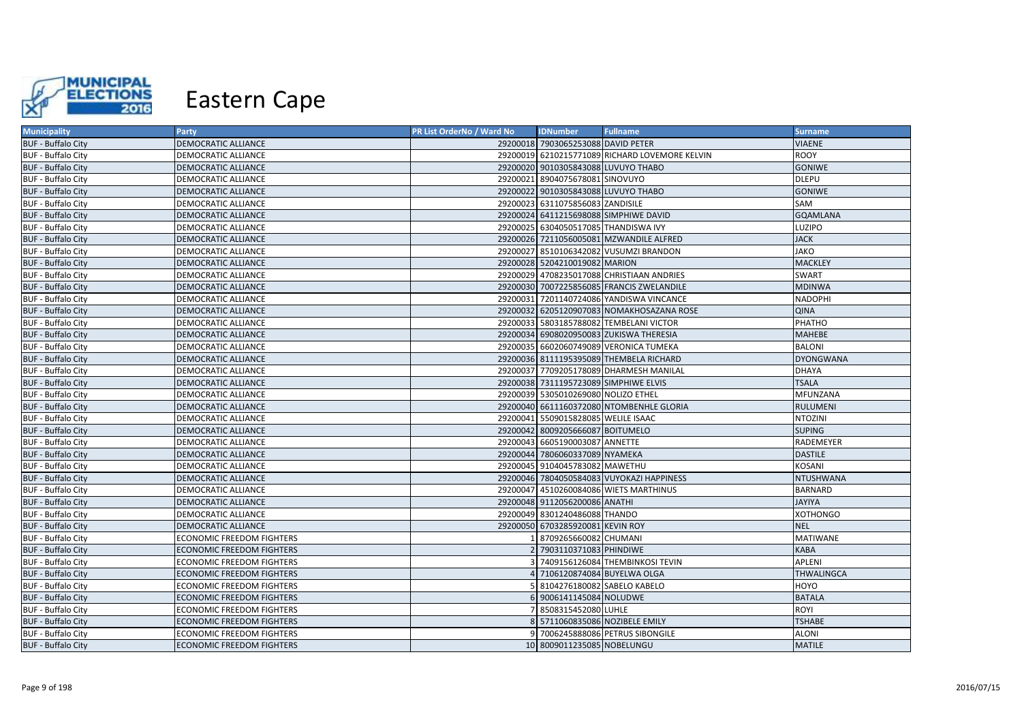

| <b>Municipality</b>       | Party                            | PR List OrderNo / Ward No | <b>IDNumber</b>                       | <b>Fullname</b>                                | <b>Surname</b>   |
|---------------------------|----------------------------------|---------------------------|---------------------------------------|------------------------------------------------|------------------|
| <b>BUF - Buffalo City</b> | <b>DEMOCRATIC ALLIANCE</b>       |                           | 29200018 7903065253088 DAVID PETER    |                                                | <b>VIAENE</b>    |
| <b>BUF - Buffalo City</b> | DEMOCRATIC ALLIANCE              |                           |                                       | 29200019 6210215771089 RICHARD LOVEMORE KELVIN | <b>ROOY</b>      |
| <b>BUF - Buffalo City</b> | <b>DEMOCRATIC ALLIANCE</b>       |                           | 29200020 9010305843088 LUVUYO THABO   |                                                | <b>GONIWE</b>    |
| <b>BUF - Buffalo City</b> | DEMOCRATIC ALLIANCE              |                           | 29200021 8904075678081 SINOVUYO       |                                                | <b>DLEPU</b>     |
| <b>BUF - Buffalo City</b> | <b>DEMOCRATIC ALLIANCE</b>       |                           | 29200022 9010305843088 LUVUYO THABO   |                                                | <b>GONIWE</b>    |
| <b>BUF - Buffalo City</b> | DEMOCRATIC ALLIANCE              |                           | 29200023 6311075856083 ZANDISILE      |                                                | SAM              |
| <b>BUF - Buffalo City</b> | <b>DEMOCRATIC ALLIANCE</b>       |                           |                                       | 29200024 6411215698088 SIMPHIWE DAVID          | <b>GQAMLANA</b>  |
| <b>BUF - Buffalo City</b> | DEMOCRATIC ALLIANCE              |                           | 29200025 6304050517085 THANDISWA IVY  |                                                | LUZIPO           |
| <b>BUF - Buffalo City</b> | <b>DEMOCRATIC ALLIANCE</b>       |                           |                                       | 29200026 7211056005081 MZWANDILE ALFRED        | <b>JACK</b>      |
| <b>BUF - Buffalo City</b> | DEMOCRATIC ALLIANCE              |                           |                                       | 29200027 8510106342082 VUSUMZI BRANDON         | <b>JAKO</b>      |
| <b>BUF - Buffalo City</b> | DEMOCRATIC ALLIANCE              |                           | 29200028 5204210019082 MARION         |                                                | <b>MACKLEY</b>   |
| <b>BUF - Buffalo City</b> | DEMOCRATIC ALLIANCE              |                           |                                       | 29200029 4708235017088 CHRISTIAAN ANDRIES      | <b>SWART</b>     |
| <b>BUF - Buffalo City</b> | DEMOCRATIC ALLIANCE              |                           |                                       | 29200030 7007225856085 FRANCIS ZWELANDILE      | <b>MDINWA</b>    |
| <b>BUF - Buffalo City</b> | DEMOCRATIC ALLIANCE              |                           |                                       | 29200031 7201140724086 YANDISWA VINCANCE       | <b>NADOPHI</b>   |
| <b>BUF - Buffalo City</b> | DEMOCRATIC ALLIANCE              |                           |                                       | 29200032 6205120907083 NOMAKHOSAZANA ROSE      | <b>QINA</b>      |
| <b>BUF - Buffalo City</b> | DEMOCRATIC ALLIANCE              |                           |                                       | 29200033 5803185788082 TEMBELANI VICTOR        | PHATHO           |
| <b>BUF - Buffalo City</b> | <b>DEMOCRATIC ALLIANCE</b>       |                           |                                       | 29200034 6908020950083 ZUKISWA THERESIA        | <b>MAHEBE</b>    |
| <b>BUF - Buffalo City</b> | DEMOCRATIC ALLIANCE              |                           |                                       | 29200035 6602060749089 VERONICA TUMEKA         | <b>BALONI</b>    |
| <b>BUF - Buffalo City</b> | <b>DEMOCRATIC ALLIANCE</b>       |                           |                                       | 29200036 8111195395089 THEMBELA RICHARD        | <b>DYONGWANA</b> |
| <b>BUF - Buffalo City</b> | DEMOCRATIC ALLIANCE              |                           |                                       | 29200037 7709205178089 DHARMESH MANILAL        | <b>DHAYA</b>     |
| <b>BUF - Buffalo City</b> | <b>DEMOCRATIC ALLIANCE</b>       |                           | 29200038 7311195723089 SIMPHIWE ELVIS |                                                | <b>TSALA</b>     |
| <b>BUF - Buffalo City</b> | DEMOCRATIC ALLIANCE              |                           | 29200039 5305010269080 NOLIZO ETHEL   |                                                | MFUNZANA         |
| <b>BUF - Buffalo City</b> | DEMOCRATIC ALLIANCE              |                           |                                       | 29200040 6611160372080 NTOMBENHLE GLORIA       | <b>RULUMENI</b>  |
| <b>BUF - Buffalo City</b> | DEMOCRATIC ALLIANCE              |                           | 29200041 5509015828085 WELILE ISAAC   |                                                | <b>NTOZINI</b>   |
| <b>BUF - Buffalo City</b> | <b>DEMOCRATIC ALLIANCE</b>       |                           | 29200042 8009205666087 BOITUMELO      |                                                | <b>SUPING</b>    |
| <b>BUF - Buffalo City</b> | DEMOCRATIC ALLIANCE              |                           | 29200043 6605190003087 ANNETTE        |                                                | RADEMEYER        |
| <b>BUF - Buffalo City</b> | DEMOCRATIC ALLIANCE              |                           | 29200044 7806060337089 NYAMEKA        |                                                | <b>DASTILE</b>   |
| <b>BUF - Buffalo City</b> | DEMOCRATIC ALLIANCE              |                           | 29200045 9104045783082 MAWETHU        |                                                | KOSANI           |
| <b>BUF - Buffalo City</b> | DEMOCRATIC ALLIANCE              |                           |                                       | 29200046 7804050584083 VUYOKAZI HAPPINESS      | NTUSHWANA        |
| <b>BUF - Buffalo City</b> | DEMOCRATIC ALLIANCE              |                           |                                       | 29200047 4510260084086 WIETS MARTHINUS         | <b>BARNARD</b>   |
| <b>BUF - Buffalo City</b> | DEMOCRATIC ALLIANCE              |                           | 29200048 9112056200086 ANATHI         |                                                | <b>JAYIYA</b>    |
| <b>BUF - Buffalo City</b> | DEMOCRATIC ALLIANCE              |                           | 29200049 8301240486088 THANDO         |                                                | <b>XOTHONGO</b>  |
| <b>BUF - Buffalo City</b> | <b>DEMOCRATIC ALLIANCE</b>       |                           | 29200050 6703285920081 KEVIN ROY      |                                                | <b>NEL</b>       |
| <b>BUF - Buffalo City</b> | <b>ECONOMIC FREEDOM FIGHTERS</b> |                           | 1 8709265660082 CHUMANI               |                                                | <b>MATIWANE</b>  |
| <b>BUF - Buffalo City</b> | <b>ECONOMIC FREEDOM FIGHTERS</b> |                           | 7903110371083 PHINDIWE                |                                                | <b>KABA</b>      |
| <b>BUF - Buffalo City</b> | <b>ECONOMIC FREEDOM FIGHTERS</b> |                           |                                       | 3 7409156126084 THEMBINKOSI TEVIN              | APLENI           |
| <b>BUF - Buffalo City</b> | <b>ECONOMIC FREEDOM FIGHTERS</b> |                           | 4 7106120874084 BUYELWA OLGA          |                                                | THWALINGCA       |
| <b>BUF - Buffalo City</b> | <b>ECONOMIC FREEDOM FIGHTERS</b> |                           | 5 8104276180082 SABELO KABELO         |                                                | <b>HOYO</b>      |
| <b>BUF - Buffalo City</b> | <b>ECONOMIC FREEDOM FIGHTERS</b> |                           | 6 9006141145084 NOLUDWE               |                                                | <b>BATALA</b>    |
| <b>BUF - Buffalo City</b> | <b>ECONOMIC FREEDOM FIGHTERS</b> |                           | 7 8508315452080 LUHLE                 |                                                | ROYI             |
| <b>BUF - Buffalo City</b> | <b>ECONOMIC FREEDOM FIGHTERS</b> |                           | 8 5711060835086 NOZIBELE EMILY        |                                                | <b>TSHABE</b>    |
| <b>BUF - Buffalo City</b> | <b>ECONOMIC FREEDOM FIGHTERS</b> |                           |                                       | 9 7006245888086 PETRUS SIBONGILE               | <b>ALONI</b>     |
| <b>BUF - Buffalo City</b> | <b>ECONOMIC FREEDOM FIGHTERS</b> |                           | 10 8009011235085 NOBELUNGU            |                                                | <b>MATILE</b>    |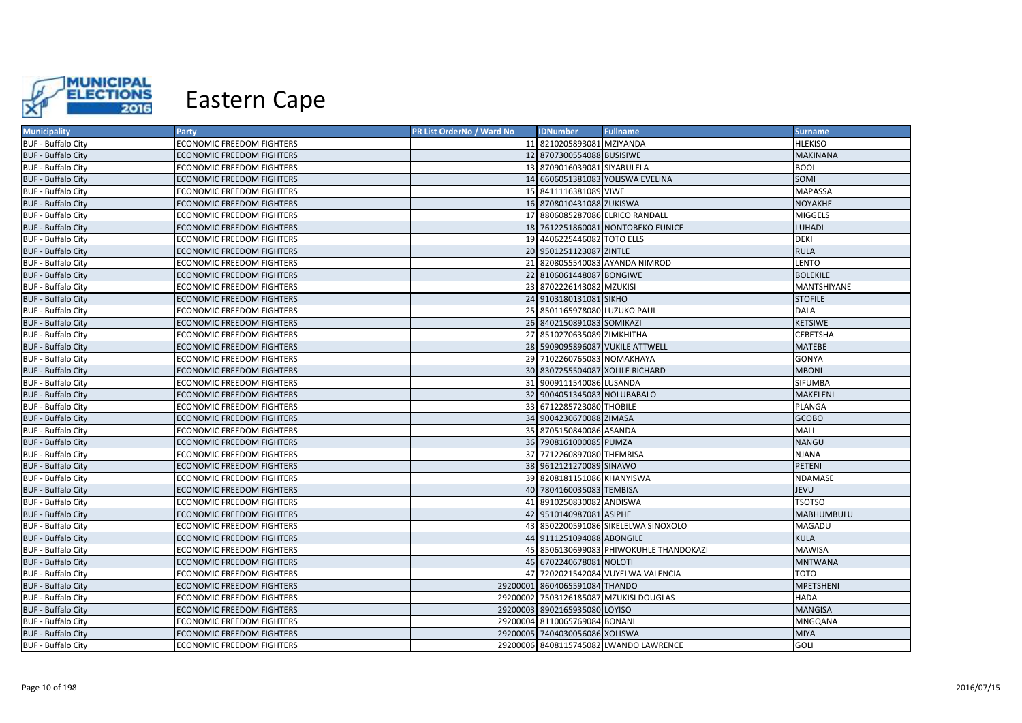

| <b>Municipality</b>       | <b>Party</b>                     | PR List OrderNo / Ward No | <b>IDNumber</b>                 | <b>Fullname</b>                        | <b>Surname</b>    |
|---------------------------|----------------------------------|---------------------------|---------------------------------|----------------------------------------|-------------------|
| <b>BUF - Buffalo City</b> | ECONOMIC FREEDOM FIGHTERS        |                           | 11 8210205893081 MZIYANDA       |                                        | <b>HLEKISO</b>    |
| <b>BUF - Buffalo City</b> | ECONOMIC FREEDOM FIGHTERS        |                           | 12 8707300554088 BUSISIWE       |                                        | <b>MAKINANA</b>   |
| <b>BUF - Buffalo City</b> | <b>ECONOMIC FREEDOM FIGHTERS</b> |                           | 13 8709016039081 SIYABULELA     |                                        | <b>BOOI</b>       |
| <b>BUF - Buffalo City</b> | ECONOMIC FREEDOM FIGHTERS        |                           |                                 | 14 6606051381083 YOLISWA EVELINA       | SOMI              |
| <b>BUF - Buffalo City</b> | ECONOMIC FREEDOM FIGHTERS        |                           | 15 8411116381089 VIWE           |                                        | <b>MAPASSA</b>    |
| <b>BUF - Buffalo City</b> | <b>ECONOMIC FREEDOM FIGHTERS</b> |                           | 16 8708010431088 ZUKISWA        |                                        | NOYAKHE           |
| <b>BUF - Buffalo City</b> | ECONOMIC FREEDOM FIGHTERS        |                           |                                 | 17 8806085287086 ELRICO RANDALL        | <b>MIGGELS</b>    |
| <b>BUF - Buffalo City</b> | <b>ECONOMIC FREEDOM FIGHTERS</b> |                           |                                 | 18 7612251860081 NONTOBEKO EUNICE      | <b>LUHADI</b>     |
| <b>BUF - Buffalo City</b> | ECONOMIC FREEDOM FIGHTERS        |                           | 19 4406225446082 TOTO ELLS      |                                        | DEKI              |
| <b>BUF - Buffalo City</b> | <b>ECONOMIC FREEDOM FIGHTERS</b> |                           | 20 9501251123087 ZINTLE         |                                        | <b>RULA</b>       |
| <b>BUF - Buffalo City</b> | ECONOMIC FREEDOM FIGHTERS        |                           |                                 | 21 8208055540083 AYANDA NIMROD         | LENTO             |
| <b>BUF - Buffalo City</b> | ECONOMIC FREEDOM FIGHTERS        |                           | 22 8106061448087 BONGIWE        |                                        | <b>BOLEKILE</b>   |
| <b>BUF - Buffalo City</b> | ECONOMIC FREEDOM FIGHTERS        |                           | 23 8702226143082 MZUKISI        |                                        | MANTSHIYANE       |
| <b>BUF - Buffalo City</b> | <b>ECONOMIC FREEDOM FIGHTERS</b> |                           | 24 9103180131081 SIKHO          |                                        | <b>STOFILE</b>    |
| <b>BUF - Buffalo City</b> | ECONOMIC FREEDOM FIGHTERS        |                           | 25 8501165978080 LUZUKO PAUL    |                                        | <b>DALA</b>       |
| <b>BUF - Buffalo City</b> | ECONOMIC FREEDOM FIGHTERS        |                           | 26 8402150891083 SOMIKAZI       |                                        | <b>KETSIWE</b>    |
| <b>BUF - Buffalo City</b> | ECONOMIC FREEDOM FIGHTERS        |                           | 27 8510270635089 ZIMKHITHA      |                                        | <b>CEBETSHA</b>   |
| <b>BUF - Buffalo City</b> | <b>ECONOMIC FREEDOM FIGHTERS</b> |                           |                                 | 28 5909095896087 VUKILE ATTWELL        | <b>MATEBE</b>     |
| <b>BUF - Buffalo City</b> | ECONOMIC FREEDOM FIGHTERS        |                           | 29 7102260765083 NOMAKHAYA      |                                        | <b>GONYA</b>      |
| <b>BUF - Buffalo City</b> | ECONOMIC FREEDOM FIGHTERS        |                           | 30 8307255504087 XOLILE RICHARD |                                        | <b>MBONI</b>      |
| <b>BUF - Buffalo City</b> | ECONOMIC FREEDOM FIGHTERS        |                           | 31 9009111540086 LUSANDA        |                                        | SIFUMBA           |
| <b>BUF - Buffalo City</b> | ECONOMIC FREEDOM FIGHTERS        |                           | 32 9004051345083 NOLUBABALO     |                                        | <b>MAKELENI</b>   |
| <b>BUF - Buffalo City</b> | ECONOMIC FREEDOM FIGHTERS        |                           | 33 6712285723080 THOBILE        |                                        | PLANGA            |
| <b>BUF - Buffalo City</b> | <b>ECONOMIC FREEDOM FIGHTERS</b> |                           | 34 9004230670088 ZIMASA         |                                        | <b>GCOBO</b>      |
| <b>BUF - Buffalo City</b> | ECONOMIC FREEDOM FIGHTERS        |                           | 35 8705150840086 ASANDA         |                                        | <b>MALI</b>       |
| <b>BUF - Buffalo City</b> | ECONOMIC FREEDOM FIGHTERS        |                           | 36 7908161000085 PUMZA          |                                        | <b>NANGU</b>      |
| <b>BUF - Buffalo City</b> | ECONOMIC FREEDOM FIGHTERS        |                           | 37 7712260897080 THEMBISA       |                                        | <b>NJANA</b>      |
| <b>BUF - Buffalo City</b> | <b>ECONOMIC FREEDOM FIGHTERS</b> |                           | 38 9612121270089 SINAWO         |                                        | <b>PETENI</b>     |
| <b>BUF - Buffalo City</b> | ECONOMIC FREEDOM FIGHTERS        |                           | 39 8208181151086 KHANYISWA      |                                        | NDAMASE           |
| <b>BUF - Buffalo City</b> | <b>ECONOMIC FREEDOM FIGHTERS</b> |                           | 40 7804160035083 TEMBISA        |                                        | <b>JEVU</b>       |
| <b>BUF - Buffalo City</b> | ECONOMIC FREEDOM FIGHTERS        |                           | 41 8910250830082 ANDISWA        |                                        | <b>TSOTSO</b>     |
| <b>BUF - Buffalo City</b> | <b>ECONOMIC FREEDOM FIGHTERS</b> |                           | 42 9510140987081 ASIPHE         |                                        | <b>MABHUMBULU</b> |
| <b>BUF - Buffalo City</b> | ECONOMIC FREEDOM FIGHTERS        |                           |                                 | 43 8502200591086 SIKELELWA SINOXOLO    | MAGADU            |
| <b>BUF - Buffalo City</b> | <b>ECONOMIC FREEDOM FIGHTERS</b> |                           | 44 9111251094088 ABONGILE       |                                        | <b>KULA</b>       |
| <b>BUF - Buffalo City</b> | ECONOMIC FREEDOM FIGHTERS        |                           |                                 | 45 8506130699083 PHIWOKUHLE THANDOKAZI | <b>MAWISA</b>     |
| <b>BUF - Buffalo City</b> | ECONOMIC FREEDOM FIGHTERS        |                           | 46 6702240678081 NOLOTI         |                                        | <b>MNTWANA</b>    |
| <b>BUF - Buffalo City</b> | ECONOMIC FREEDOM FIGHTERS        |                           |                                 | 47 7202021542084 VUYELWA VALENCIA      | TOTO              |
| <b>BUF - Buffalo City</b> | ECONOMIC FREEDOM FIGHTERS        |                           | 29200001 8604065591084 THANDO   |                                        | <b>MPETSHENI</b>  |
| <b>BUF - Buffalo City</b> | ECONOMIC FREEDOM FIGHTERS        |                           |                                 | 29200002 7503126185087 MZUKISI DOUGLAS | <b>HADA</b>       |
| <b>BUF - Buffalo City</b> | <b>ECONOMIC FREEDOM FIGHTERS</b> |                           | 29200003 8902165935080 LOYISO   |                                        | <b>MANGISA</b>    |
| <b>BUF - Buffalo City</b> | ECONOMIC FREEDOM FIGHTERS        |                           | 29200004 8110065769084 BONANI   |                                        | MNGQANA           |
| <b>BUF - Buffalo City</b> | <b>ECONOMIC FREEDOM FIGHTERS</b> |                           | 29200005 7404030056086 XOLISWA  |                                        | <b>MIYA</b>       |
| <b>BUF - Buffalo City</b> | ECONOMIC FREEDOM FIGHTERS        |                           |                                 | 29200006 8408115745082 LWANDO LAWRENCE | <b>GOLI</b>       |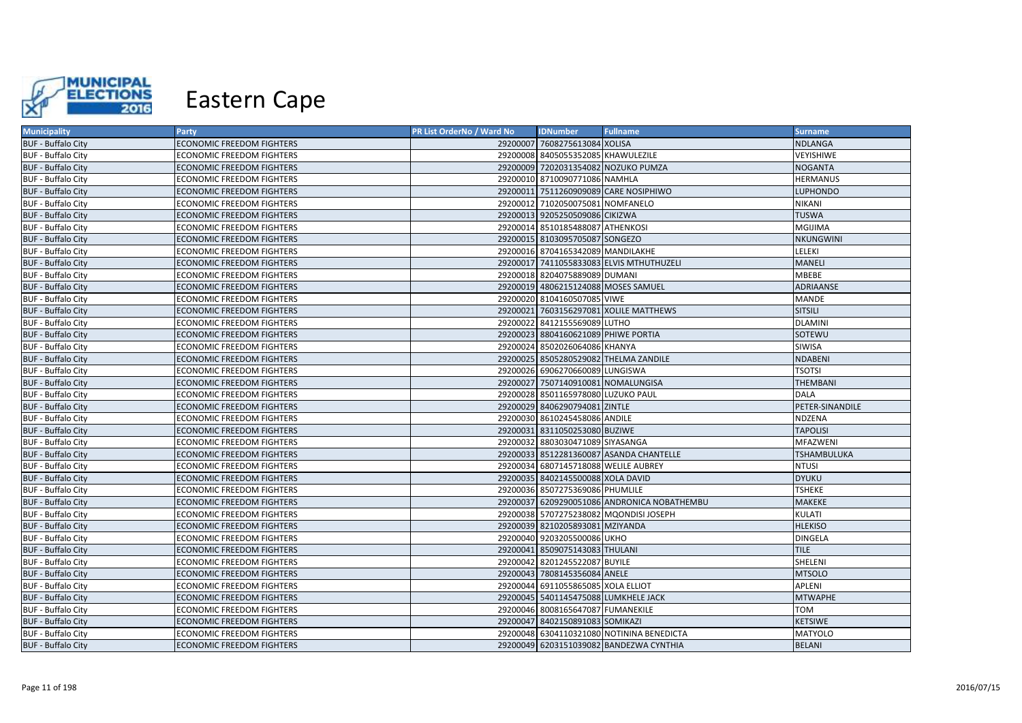

| <b>Municipality</b>       | Party                            | PR List OrderNo / Ward No | <b>IDNumber</b>                      | <b>Fullname</b>                             | <b>Surname</b>   |
|---------------------------|----------------------------------|---------------------------|--------------------------------------|---------------------------------------------|------------------|
| <b>BUF - Buffalo City</b> | <b>ECONOMIC FREEDOM FIGHTERS</b> |                           | 29200007 7608275613084 XOLISA        |                                             | <b>NDLANGA</b>   |
| <b>BUF - Buffalo City</b> | <b>ECONOMIC FREEDOM FIGHTERS</b> |                           | 29200008 8405055352085 KHAWULEZILE   |                                             | VEYISHIWE        |
| <b>BUF - Buffalo City</b> | <b>ECONOMIC FREEDOM FIGHTERS</b> |                           |                                      | 29200009 7202031354082 NOZUKO PUMZA         | <b>NOGANTA</b>   |
| <b>BUF - Buffalo City</b> | <b>ECONOMIC FREEDOM FIGHTERS</b> |                           | 29200010 8710090771086 NAMHLA        |                                             | <b>HERMANUS</b>  |
| <b>BUF - Buffalo City</b> | <b>ECONOMIC FREEDOM FIGHTERS</b> |                           |                                      | 29200011 7511260909089 CARE NOSIPHIWO       | <b>LUPHONDO</b>  |
| <b>BUF - Buffalo City</b> | <b>ECONOMIC FREEDOM FIGHTERS</b> |                           | 29200012 7102050075081 NOMFANELO     |                                             | NIKANI           |
| <b>BUF - Buffalo City</b> | <b>ECONOMIC FREEDOM FIGHTERS</b> |                           | 29200013 9205250509086 CIKIZWA       |                                             | <b>TUSWA</b>     |
| <b>BUF - Buffalo City</b> | <b>ECONOMIC FREEDOM FIGHTERS</b> |                           | 29200014 8510185488087 ATHENKOSI     |                                             | MGIJIMA          |
| <b>BUF - Buffalo City</b> | <b>ECONOMIC FREEDOM FIGHTERS</b> |                           | 29200015 8103095705087 SONGEZO       |                                             | <b>NKUNGWINI</b> |
| <b>BUF - Buffalo City</b> | <b>ECONOMIC FREEDOM FIGHTERS</b> |                           | 29200016 8704165342089 MANDILAKHE    |                                             | LELEKI           |
| <b>BUF - Buffalo City</b> | <b>ECONOMIC FREEDOM FIGHTERS</b> |                           |                                      | 29200017 7411055833083 ELVIS MTHUTHUZELI    | MANELI           |
| <b>BUF - Buffalo City</b> | <b>ECONOMIC FREEDOM FIGHTERS</b> |                           | 29200018 8204075889089 DUMANI        |                                             | MBEBE            |
| <b>BUF - Buffalo City</b> | <b>ECONOMIC FREEDOM FIGHTERS</b> |                           | 29200019 4806215124088 MOSES SAMUEL  |                                             | <b>ADRIAANSE</b> |
| <b>BUF - Buffalo City</b> | <b>ECONOMIC FREEDOM FIGHTERS</b> |                           | 29200020 8104160507085 VIWE          |                                             | MANDE            |
| <b>BUF - Buffalo City</b> | <b>ECONOMIC FREEDOM FIGHTERS</b> |                           |                                      | 29200021 7603156297081 XOLILE MATTHEWS      | <b>SITSILI</b>   |
| <b>BUF - Buffalo City</b> | <b>ECONOMIC FREEDOM FIGHTERS</b> |                           | 29200022 8412155569089 LUTHO         |                                             | <b>DLAMINI</b>   |
| <b>BUF - Buffalo City</b> | <b>ECONOMIC FREEDOM FIGHTERS</b> |                           | 29200023 8804160621089 PHIWE PORTIA  |                                             | SOTEWU           |
| <b>BUF - Buffalo City</b> | <b>ECONOMIC FREEDOM FIGHTERS</b> |                           | 29200024 8502026064086 KHANYA        |                                             | SIWISA           |
| <b>BUF - Buffalo City</b> | <b>ECONOMIC FREEDOM FIGHTERS</b> |                           |                                      | 29200025 8505280529082 THELMA ZANDILE       | <b>NDABENI</b>   |
| <b>BUF - Buffalo City</b> | <b>ECONOMIC FREEDOM FIGHTERS</b> |                           | 29200026 6906270660089 LUNGISWA      |                                             | <b>TSOTSI</b>    |
| <b>BUF - Buffalo City</b> | <b>ECONOMIC FREEDOM FIGHTERS</b> |                           | 29200027 7507140910081 NOMALUNGISA   |                                             | THEMBANI         |
| <b>BUF - Buffalo City</b> | <b>ECONOMIC FREEDOM FIGHTERS</b> |                           | 29200028 8501165978080 LUZUKO PAUL   |                                             | <b>DALA</b>      |
| <b>BUF - Buffalo City</b> | <b>ECONOMIC FREEDOM FIGHTERS</b> |                           | 29200029 8406290794081 ZINTLE        |                                             | PETER-SINANDILE  |
| <b>BUF - Buffalo City</b> | <b>ECONOMIC FREEDOM FIGHTERS</b> |                           | 29200030 8610245458086 ANDILE        |                                             | NDZENA           |
| <b>BUF - Buffalo City</b> | <b>ECONOMIC FREEDOM FIGHTERS</b> |                           | 29200031 8311050253080 BUZIWE        |                                             | <b>TAPOLISI</b>  |
| <b>BUF - Buffalo City</b> | <b>ECONOMIC FREEDOM FIGHTERS</b> |                           | 29200032 8803030471089 SIYASANGA     |                                             | MFAZWENI         |
| <b>BUF - Buffalo City</b> | <b>ECONOMIC FREEDOM FIGHTERS</b> |                           |                                      | 29200033 8512281360087 ASANDA CHANTELLE     | TSHAMBULUKA      |
| <b>BUF - Buffalo City</b> | <b>ECONOMIC FREEDOM FIGHTERS</b> |                           | 29200034 6807145718088 WELILE AUBREY |                                             | <b>NTUSI</b>     |
| <b>BUF - Buffalo City</b> | <b>ECONOMIC FREEDOM FIGHTERS</b> |                           | 29200035 8402145500088 XOLA DAVID    |                                             | <b>DYUKU</b>     |
| <b>BUF - Buffalo City</b> | <b>ECONOMIC FREEDOM FIGHTERS</b> |                           | 29200036 8507275369086 PHUMLILE      |                                             | <b>TSHEKE</b>    |
| <b>BUF - Buffalo City</b> | <b>ECONOMIC FREEDOM FIGHTERS</b> |                           |                                      | 29200037 6209290051086 ANDRONICA NOBATHEMBU | <b>MAKEKE</b>    |
| <b>BUF - Buffalo City</b> | <b>ECONOMIC FREEDOM FIGHTERS</b> |                           |                                      | 29200038 5707275238082 MQONDISI JOSEPH      | KULATI           |
| <b>BUF - Buffalo City</b> | <b>ECONOMIC FREEDOM FIGHTERS</b> |                           | 29200039 8210205893081 MZIYANDA      |                                             | <b>HLEKISO</b>   |
| <b>BUF - Buffalo City</b> | <b>ECONOMIC FREEDOM FIGHTERS</b> |                           | 29200040 9203205500086 UKHO          |                                             | <b>DINGELA</b>   |
| <b>BUF - Buffalo City</b> | <b>ECONOMIC FREEDOM FIGHTERS</b> |                           | 29200041 8509075143083 THULANI       |                                             | <b>TILE</b>      |
| <b>BUF - Buffalo City</b> | <b>ECONOMIC FREEDOM FIGHTERS</b> |                           | 29200042 8201245522087 BUYILE        |                                             | SHELENI          |
| <b>BUF - Buffalo City</b> | <b>ECONOMIC FREEDOM FIGHTERS</b> |                           | 29200043 7808145356084 ANELE         |                                             | <b>MTSOLO</b>    |
| <b>BUF - Buffalo City</b> | <b>ECONOMIC FREEDOM FIGHTERS</b> |                           | 29200044 6911055865085 XOLA ELLIOT   |                                             | APLENI           |
| <b>BUF - Buffalo City</b> | <b>ECONOMIC FREEDOM FIGHTERS</b> |                           | 29200045 5401145475088 LUMKHELE JACK |                                             | <b>MTWAPHE</b>   |
| <b>BUF - Buffalo City</b> | <b>ECONOMIC FREEDOM FIGHTERS</b> |                           | 29200046 8008165647087 FUMANEKILE    |                                             | <b>TOM</b>       |
| <b>BUF - Buffalo City</b> | <b>ECONOMIC FREEDOM FIGHTERS</b> |                           | 29200047 8402150891083 SOMIKAZI      |                                             | <b>KETSIWE</b>   |
| <b>BUF - Buffalo City</b> | <b>ECONOMIC FREEDOM FIGHTERS</b> |                           |                                      | 29200048 6304110321080 NOTININA BENEDICTA   | MATYOLO          |
| <b>BUF - Buffalo City</b> | <b>ECONOMIC FREEDOM FIGHTERS</b> |                           |                                      | 29200049 6203151039082 BANDEZWA CYNTHIA     | <b>BELANI</b>    |
|                           |                                  |                           |                                      |                                             |                  |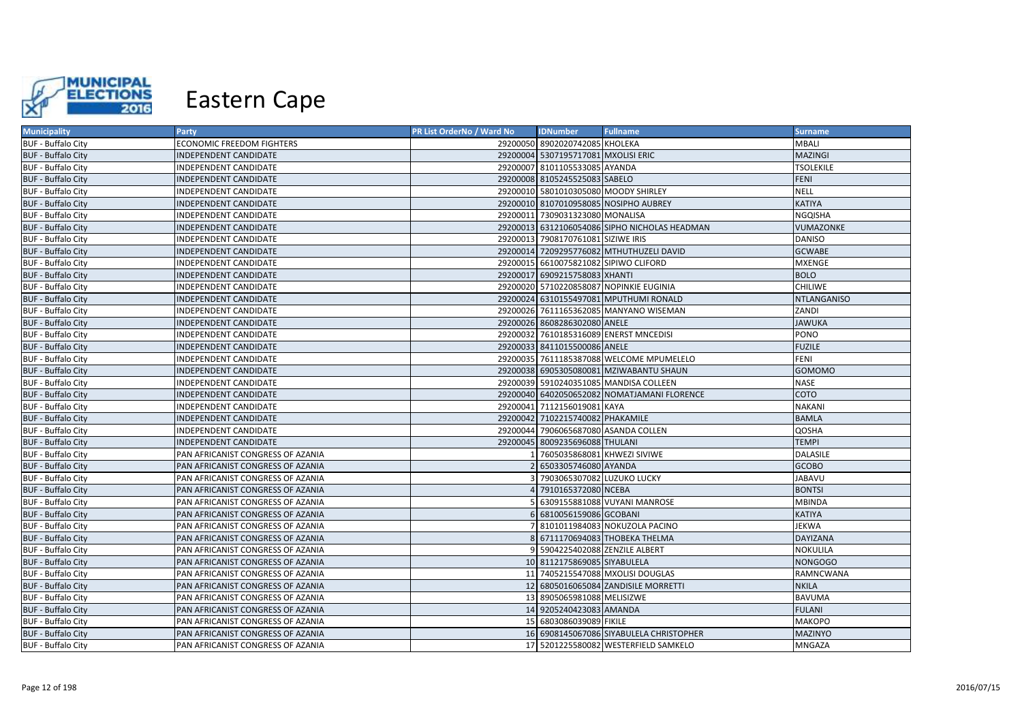

| <b>Municipality</b>       | Party                             | PR List OrderNo / Ward No | <b>IDNumber</b>                     | <b>Fullname</b>                               | Surname            |
|---------------------------|-----------------------------------|---------------------------|-------------------------------------|-----------------------------------------------|--------------------|
| <b>BUF - Buffalo City</b> | <b>ECONOMIC FREEDOM FIGHTERS</b>  |                           | 29200050 8902020742085 KHOLEKA      |                                               | MBALI              |
| <b>BUF - Buffalo City</b> | INDEPENDENT CANDIDATE             |                           | 29200004 5307195717081 MXOLISI ERIC |                                               | <b>MAZINGI</b>     |
| <b>BUF - Buffalo City</b> | INDEPENDENT CANDIDATE             |                           | 29200007 8101105533085 AYANDA       |                                               | <b>TSOLEKILE</b>   |
| <b>BUF - Buffalo City</b> | INDEPENDENT CANDIDATE             |                           | 29200008 8105245525083 SABELO       |                                               | <b>FENI</b>        |
| <b>BUF - Buffalo City</b> | INDEPENDENT CANDIDATE             |                           |                                     | 29200010 5801010305080 MOODY SHIRLEY          | <b>NELL</b>        |
| <b>BUF - Buffalo City</b> | <b>INDEPENDENT CANDIDATE</b>      |                           |                                     | 29200010 8107010958085 NOSIPHO AUBREY         | <b>KATIYA</b>      |
| <b>BUF - Buffalo City</b> | INDEPENDENT CANDIDATE             |                           | 29200011 7309031323080 MONALISA     |                                               | <b>NGQISHA</b>     |
| <b>BUF - Buffalo City</b> | <b>INDEPENDENT CANDIDATE</b>      |                           |                                     | 29200013 6312106054086 SIPHO NICHOLAS HEADMAN | VUMAZONKE          |
| <b>BUF - Buffalo City</b> | INDEPENDENT CANDIDATE             |                           | 29200013 7908170761081 SIZIWE IRIS  |                                               | <b>DANISO</b>      |
| <b>BUF - Buffalo City</b> | <b>INDEPENDENT CANDIDATE</b>      |                           |                                     | 29200014 7209295776082 MTHUTHUZELI DAVID      | <b>GCWABE</b>      |
| <b>BUF - Buffalo City</b> | INDEPENDENT CANDIDATE             |                           |                                     | 29200015 6610075821082 SIPIWO CLIFORD         | <b>MXENGE</b>      |
| <b>BUF - Buffalo City</b> | <b>INDEPENDENT CANDIDATE</b>      |                           | 29200017 6909215758083 XHANTI       |                                               | <b>BOLO</b>        |
| <b>BUF - Buffalo City</b> | INDEPENDENT CANDIDATE             |                           |                                     | 29200020 5710220858087 NOPINKIE EUGINIA       | <b>CHILIWE</b>     |
| <b>BUF - Buffalo City</b> | <b>INDEPENDENT CANDIDATE</b>      |                           |                                     | 29200024 6310155497081 MPUTHUMI RONALD        | <b>NTLANGANISO</b> |
| <b>BUF - Buffalo City</b> | INDEPENDENT CANDIDATE             |                           |                                     | 29200026 7611165362085 MANYANO WISEMAN        | ZANDI              |
| <b>BUF - Buffalo City</b> | <b>INDEPENDENT CANDIDATE</b>      |                           | 29200026 8608286302080 ANELE        |                                               | <b>JAWUKA</b>      |
| <b>BUF - Buffalo City</b> | INDEPENDENT CANDIDATE             |                           |                                     | 29200032 7610185316089 ENERST MNCEDISI        | PONO               |
| <b>BUF - Buffalo City</b> | <b>INDEPENDENT CANDIDATE</b>      |                           | 29200033 8411015500086 ANELE        |                                               | <b>FUZILE</b>      |
| <b>BUF - Buffalo City</b> | INDEPENDENT CANDIDATE             |                           |                                     | 29200035 7611185387088 WELCOME MPUMELELO      | <b>FENI</b>        |
| <b>BUF - Buffalo City</b> | <b>INDEPENDENT CANDIDATE</b>      |                           |                                     | 29200038 6905305080081 MZIWABANTU SHAUN       | <b>GOMOMO</b>      |
| <b>BUF - Buffalo City</b> | INDEPENDENT CANDIDATE             |                           |                                     | 29200039 5910240351085 MANDISA COLLEEN        | <b>NASE</b>        |
| <b>BUF - Buffalo City</b> | <b>INDEPENDENT CANDIDATE</b>      |                           |                                     | 29200040 6402050652082 NOMATJAMANI FLORENCE   | COTO               |
| <b>BUF - Buffalo City</b> | INDEPENDENT CANDIDATE             |                           | 29200041 7112156019081 KAYA         |                                               | <b>NAKANI</b>      |
| <b>BUF - Buffalo City</b> | <b>INDEPENDENT CANDIDATE</b>      |                           | 29200042 7102215740082 PHAKAMILE    |                                               | <b>BAMLA</b>       |
| <b>BUF - Buffalo City</b> | INDEPENDENT CANDIDATE             |                           |                                     | 29200044 7906065687080 ASANDA COLLEN          | QOSHA              |
| <b>BUF - Buffalo City</b> | INDEPENDENT CANDIDATE             |                           | 29200045 8009235696088 THULANI      |                                               | <b>TEMPI</b>       |
| <b>BUF - Buffalo City</b> | PAN AFRICANIST CONGRESS OF AZANIA |                           | 7605035868081 KHWEZI SIVIWE         |                                               | <b>DALASILE</b>    |
| <b>BUF - Buffalo City</b> | PAN AFRICANIST CONGRESS OF AZANIA |                           | 6503305746080 AYANDA                |                                               | <b>GCOBO</b>       |
| <b>BUF - Buffalo City</b> | PAN AFRICANIST CONGRESS OF AZANIA |                           | 7903065307082 LUZUKO LUCKY          |                                               | JABAVU             |
| <b>BUF - Buffalo City</b> | PAN AFRICANIST CONGRESS OF AZANIA |                           | 7910165372080 NCEBA                 |                                               | <b>BONTSI</b>      |
| <b>BUF - Buffalo City</b> | PAN AFRICANIST CONGRESS OF AZANIA |                           |                                     | 6309155881088 VUYANI MANROSE                  | <b>MBINDA</b>      |
| <b>BUF - Buffalo City</b> | PAN AFRICANIST CONGRESS OF AZANIA |                           | 6810056159086 GCOBANI               |                                               | <b>KATIYA</b>      |
| <b>BUF - Buffalo City</b> | PAN AFRICANIST CONGRESS OF AZANIA |                           |                                     | 8101011984083 NOKUZOLA PACINO                 | JEKWA              |
| <b>BUF - Buffalo City</b> | PAN AFRICANIST CONGRESS OF AZANIA |                           |                                     | 6711170694083 THOBEKA THELMA                  | <b>DAYIZANA</b>    |
| <b>BUF - Buffalo City</b> | PAN AFRICANIST CONGRESS OF AZANIA |                           | 5904225402088 ZENZILE ALBERT        |                                               | <b>NOKULILA</b>    |
| <b>BUF - Buffalo City</b> | PAN AFRICANIST CONGRESS OF AZANIA |                           | 10 8112175869085 SIYABULELA         |                                               | <b>NONGOGO</b>     |
| <b>BUF - Buffalo City</b> | PAN AFRICANIST CONGRESS OF AZANIA |                           |                                     | 11 7405215547088 MXOLISI DOUGLAS              | RAMNCWANA          |
| <b>BUF - Buffalo City</b> | PAN AFRICANIST CONGRESS OF AZANIA |                           |                                     | 12 6805016065084 ZANDISILE MORRETTI           | <b>NKILA</b>       |
| <b>BUF - Buffalo City</b> | PAN AFRICANIST CONGRESS OF AZANIA | 13 <sup>1</sup>           | 8905065981088 MELISIZWE             |                                               | <b>BAVUMA</b>      |
| <b>BUF - Buffalo City</b> | PAN AFRICANIST CONGRESS OF AZANIA |                           | 14 9205240423083 AMANDA             |                                               | <b>FULANI</b>      |
| <b>BUF - Buffalo City</b> | PAN AFRICANIST CONGRESS OF AZANIA |                           | 15 6803086039089 FIKILE             |                                               | <b>MAKOPO</b>      |
| <b>BUF - Buffalo City</b> | PAN AFRICANIST CONGRESS OF AZANIA |                           |                                     | 16 6908145067086 SIYABULELA CHRISTOPHER       | <b>MAZINYO</b>     |
| <b>BUF - Buffalo City</b> | PAN AFRICANIST CONGRESS OF AZANIA |                           |                                     | 17 5201225580082 WESTERFIELD SAMKELO          | MNGAZA             |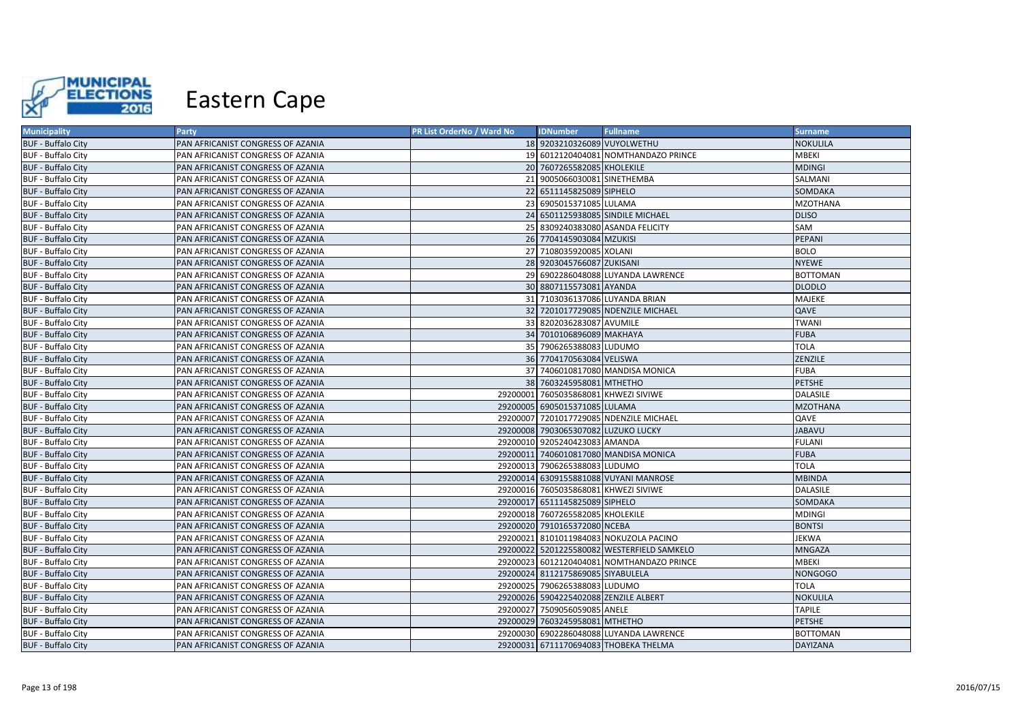

| <b>Municipality</b>       | <b>Party</b>                      | PR List OrderNo / Ward No | <b>IDNumber</b>                       | <b>Fullname</b>                            | <b>Surname</b>  |
|---------------------------|-----------------------------------|---------------------------|---------------------------------------|--------------------------------------------|-----------------|
| <b>BUF - Buffalo City</b> | PAN AFRICANIST CONGRESS OF AZANIA |                           | 18 9203210326089 VUYOLWETHU           |                                            | <b>NOKULILA</b> |
| <b>BUF - Buffalo City</b> | PAN AFRICANIST CONGRESS OF AZANIA |                           |                                       | 19 6012120404081 NOMTHANDAZO PRINCE        | MBEKI           |
| <b>BUF - Buffalo City</b> | PAN AFRICANIST CONGRESS OF AZANIA |                           | 20 7607265582085 KHOLEKILE            |                                            | <b>MDINGI</b>   |
| <b>BUF - Buffalo City</b> | PAN AFRICANIST CONGRESS OF AZANIA |                           | 21 9005066030081 SINETHEMBA           |                                            | SALMANI         |
| <b>BUF - Buffalo City</b> | PAN AFRICANIST CONGRESS OF AZANIA |                           | 22 6511145825089 SIPHELO              |                                            | SOMDAKA         |
| <b>BUF - Buffalo City</b> | PAN AFRICANIST CONGRESS OF AZANIA |                           | 23 6905015371085 LULAMA               |                                            | MZOTHANA        |
| <b>BUF - Buffalo City</b> | PAN AFRICANIST CONGRESS OF AZANIA |                           |                                       | 24 6501125938085 SINDILE MICHAEL           | <b>DLISO</b>    |
| <b>BUF - Buffalo City</b> | PAN AFRICANIST CONGRESS OF AZANIA |                           |                                       | 25 8309240383080 ASANDA FELICITY           | SAM             |
| <b>BUF - Buffalo City</b> | PAN AFRICANIST CONGRESS OF AZANIA |                           | 26 7704145903084 MZUKISI              |                                            | <b>PEPANI</b>   |
| <b>BUF - Buffalo City</b> | PAN AFRICANIST CONGRESS OF AZANIA |                           | 27 7108035920085 XOLANI               |                                            | <b>BOLO</b>     |
| <b>BUF - Buffalo City</b> | PAN AFRICANIST CONGRESS OF AZANIA |                           | 28 9203045766087 ZUKISANI             |                                            | <b>NYEWE</b>    |
| <b>BUF - Buffalo City</b> | PAN AFRICANIST CONGRESS OF AZANIA |                           |                                       | 29 6902286048088 LUYANDA LAWRENCE          | <b>BOTTOMAN</b> |
| <b>BUF - Buffalo City</b> | PAN AFRICANIST CONGRESS OF AZANIA |                           | 30 8807115573081 AYANDA               |                                            | <b>DLODLO</b>   |
| <b>BUF - Buffalo City</b> | PAN AFRICANIST CONGRESS OF AZANIA |                           |                                       | 31 7103036137086 LUYANDA BRIAN             | MAJEKE          |
| <b>BUF - Buffalo City</b> | PAN AFRICANIST CONGRESS OF AZANIA |                           |                                       | 32 7201017729085 NDENZILE MICHAEL          | QAVE            |
| <b>BUF - Buffalo City</b> | PAN AFRICANIST CONGRESS OF AZANIA |                           | 33 8202036283087 AVUMILE              |                                            | <b>TWANI</b>    |
| <b>BUF - Buffalo City</b> | PAN AFRICANIST CONGRESS OF AZANIA |                           | 34 7010106896089 MAKHAYA              |                                            | <b>FUBA</b>     |
| <b>BUF - Buffalo City</b> | PAN AFRICANIST CONGRESS OF AZANIA |                           | 35 7906265388083 LUDUMO               |                                            | <b>TOLA</b>     |
| <b>BUF - Buffalo City</b> | PAN AFRICANIST CONGRESS OF AZANIA |                           | 36 7704170563084 VELISWA              |                                            | ZENZILE         |
| <b>BUF - Buffalo City</b> | PAN AFRICANIST CONGRESS OF AZANIA |                           |                                       | 37 7406010817080 MANDISA MONICA            | <b>FUBA</b>     |
| <b>BUF - Buffalo City</b> | PAN AFRICANIST CONGRESS OF AZANIA |                           | 38 7603245958081 MTHETHO              |                                            | <b>PETSHE</b>   |
| <b>BUF - Buffalo City</b> | PAN AFRICANIST CONGRESS OF AZANIA |                           | 29200001 7605035868081 KHWEZI SIVIWE  |                                            | <b>DALASILE</b> |
| <b>BUF - Buffalo City</b> | PAN AFRICANIST CONGRESS OF AZANIA |                           | 29200005 6905015371085 LULAMA         |                                            | <b>MZOTHANA</b> |
| <b>BUF - Buffalo City</b> | PAN AFRICANIST CONGRESS OF AZANIA |                           |                                       | 29200007 7201017729085 NDENZILE MICHAEL    | <b>QAVE</b>     |
| <b>BUF - Buffalo City</b> | PAN AFRICANIST CONGRESS OF AZANIA |                           | 29200008 7903065307082 LUZUKO LUCKY   |                                            | <b>JABAVU</b>   |
| <b>BUF - Buffalo City</b> | PAN AFRICANIST CONGRESS OF AZANIA |                           | 29200010 9205240423083 AMANDA         |                                            | <b>FULANI</b>   |
| <b>BUF - Buffalo City</b> | PAN AFRICANIST CONGRESS OF AZANIA |                           |                                       | 29200011 7406010817080 MANDISA MONICA      | <b>FUBA</b>     |
| <b>BUF - Buffalo City</b> | PAN AFRICANIST CONGRESS OF AZANIA |                           | 29200013 7906265388083 LUDUMO         |                                            | <b>TOLA</b>     |
| <b>BUF - Buffalo City</b> | PAN AFRICANIST CONGRESS OF AZANIA |                           |                                       | 29200014 6309155881088 VUYANI MANROSE      | <b>MBINDA</b>   |
| <b>BUF - Buffalo City</b> | PAN AFRICANIST CONGRESS OF AZANIA |                           | 29200016 7605035868081 KHWEZI SIVIWE  |                                            | <b>DALASILE</b> |
| <b>BUF - Buffalo City</b> | PAN AFRICANIST CONGRESS OF AZANIA |                           | 29200017 6511145825089 SIPHELO        |                                            | SOMDAKA         |
| <b>BUF - Buffalo City</b> | PAN AFRICANIST CONGRESS OF AZANIA |                           | 29200018 7607265582085 KHOLEKILE      |                                            | <b>MDINGI</b>   |
| <b>BUF - Buffalo City</b> | PAN AFRICANIST CONGRESS OF AZANIA |                           | 29200020 7910165372080 NCEBA          |                                            | <b>BONTSI</b>   |
| <b>BUF - Buffalo City</b> | PAN AFRICANIST CONGRESS OF AZANIA |                           |                                       | 29200021 8101011984083 NOKUZOLA PACINO     | JEKWA           |
| <b>BUF - Buffalo City</b> | PAN AFRICANIST CONGRESS OF AZANIA |                           |                                       | 29200022 5201225580082 WESTERFIELD SAMKELO | MNGAZA          |
| <b>BUF - Buffalo City</b> | PAN AFRICANIST CONGRESS OF AZANIA |                           |                                       | 29200023 6012120404081 NOMTHANDAZO PRINCE  | <b>MBEKI</b>    |
| <b>BUF - Buffalo City</b> | PAN AFRICANIST CONGRESS OF AZANIA |                           | 29200024 8112175869085 SIYABULELA     |                                            | <b>NONGOGO</b>  |
| <b>BUF - Buffalo City</b> | PAN AFRICANIST CONGRESS OF AZANIA |                           | 29200025 7906265388083 LUDUMO         |                                            | <b>TOLA</b>     |
| <b>BUF - Buffalo City</b> | PAN AFRICANIST CONGRESS OF AZANIA |                           | 29200026 5904225402088 ZENZILE ALBERT |                                            | NOKULILA        |
| <b>BUF - Buffalo City</b> | PAN AFRICANIST CONGRESS OF AZANIA |                           | 29200027 7509056059085 ANELE          |                                            | <b>TAPILE</b>   |
| <b>BUF - Buffalo City</b> | PAN AFRICANIST CONGRESS OF AZANIA |                           | 29200029 7603245958081 MTHETHO        |                                            | <b>PETSHE</b>   |
| <b>BUF - Buffalo City</b> | PAN AFRICANIST CONGRESS OF AZANIA |                           |                                       | 29200030 6902286048088 LUYANDA LAWRENCE    | <b>BOTTOMAN</b> |
| <b>BUF - Buffalo City</b> | PAN AFRICANIST CONGRESS OF AZANIA |                           |                                       | 29200031 6711170694083 THOBEKA THELMA      | <b>DAYIZANA</b> |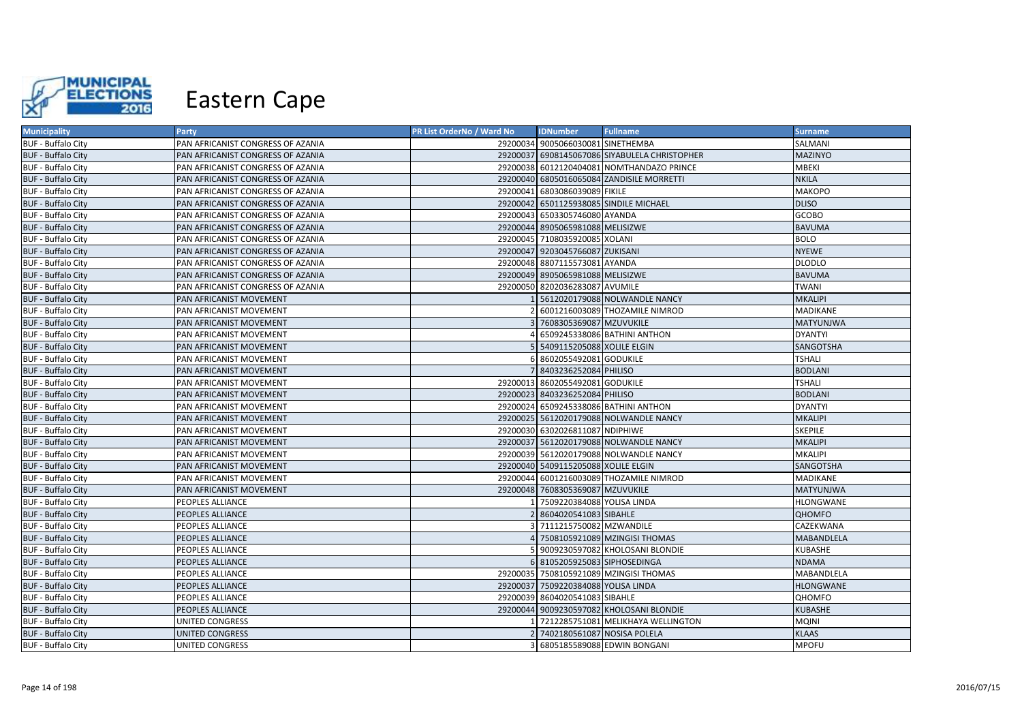

| <b>Municipality</b>       | Party                             | PR List OrderNo / Ward No | <b>IDNumber</b>                     | <b>Fullname</b>                               | <b>Surname</b>   |
|---------------------------|-----------------------------------|---------------------------|-------------------------------------|-----------------------------------------------|------------------|
| <b>BUF - Buffalo City</b> | PAN AFRICANIST CONGRESS OF AZANIA |                           | 29200034 9005066030081 SINETHEMBA   |                                               | SALMANI          |
| <b>BUF - Buffalo City</b> | PAN AFRICANIST CONGRESS OF AZANIA |                           |                                     | 29200037 6908145067086 SIYABULELA CHRISTOPHER | <b>MAZINYO</b>   |
| <b>BUF - Buffalo City</b> | PAN AFRICANIST CONGRESS OF AZANIA |                           |                                     | 29200038 6012120404081 NOMTHANDAZO PRINCE     | <b>MBEKI</b>     |
| <b>BUF - Buffalo City</b> | PAN AFRICANIST CONGRESS OF AZANIA |                           |                                     | 29200040 6805016065084 ZANDISILE MORRETTI     | <b>NKILA</b>     |
| <b>BUF - Buffalo City</b> | PAN AFRICANIST CONGRESS OF AZANIA | 29200041                  | 6803086039089 FIKILE                |                                               | <b>MAKOPO</b>    |
| <b>BUF - Buffalo City</b> | PAN AFRICANIST CONGRESS OF AZANIA |                           |                                     | 29200042 6501125938085 SINDILE MICHAEL        | <b>DLISO</b>     |
| <b>BUF - Buffalo City</b> | PAN AFRICANIST CONGRESS OF AZANIA |                           | 29200043 6503305746080 AYANDA       |                                               | <b>GCOBO</b>     |
| <b>BUF - Buffalo City</b> | PAN AFRICANIST CONGRESS OF AZANIA |                           | 29200044 8905065981088 MELISIZWE    |                                               | <b>BAVUMA</b>    |
| <b>BUF - Buffalo City</b> | PAN AFRICANIST CONGRESS OF AZANIA |                           | 29200045 7108035920085 XOLANI       |                                               | <b>BOLO</b>      |
| <b>BUF - Buffalo City</b> | PAN AFRICANIST CONGRESS OF AZANIA |                           | 29200047 9203045766087 ZUKISANI     |                                               | <b>NYEWE</b>     |
| <b>BUF - Buffalo City</b> | PAN AFRICANIST CONGRESS OF AZANIA |                           | 29200048 8807115573081 AYANDA       |                                               | <b>DLODLO</b>    |
| <b>BUF - Buffalo City</b> | PAN AFRICANIST CONGRESS OF AZANIA |                           | 29200049 8905065981088 MELISIZWE    |                                               | <b>BAVUMA</b>    |
| <b>BUF - Buffalo City</b> | PAN AFRICANIST CONGRESS OF AZANIA |                           | 29200050 8202036283087 AVUMILE      |                                               | <b>TWANI</b>     |
| <b>BUF - Buffalo City</b> | PAN AFRICANIST MOVEMENT           |                           |                                     | 5612020179088 NOLWANDLE NANCY                 | <b>MKALIPI</b>   |
| <b>BUF - Buffalo City</b> | PAN AFRICANIST MOVEMENT           |                           |                                     | 6001216003089 THOZAMILE NIMROD                | <b>MADIKANE</b>  |
| <b>BUF - Buffalo City</b> | PAN AFRICANIST MOVEMENT           |                           | 7608305369087 MZUVUKILE             |                                               | <b>MATYUNJWA</b> |
| <b>BUF - Buffalo City</b> | PAN AFRICANIST MOVEMENT           |                           |                                     | 6509245338086 BATHINI ANTHON                  | <b>DYANTYI</b>   |
| <b>BUF - Buffalo City</b> | PAN AFRICANIST MOVEMENT           |                           | 5409115205088 XOLILE ELGIN          |                                               | SANGOTSHA        |
| <b>BUF - Buffalo City</b> | PAN AFRICANIST MOVEMENT           |                           | 8602055492081 GODUKILE              |                                               | <b>TSHALI</b>    |
| <b>BUF - Buffalo City</b> | PAN AFRICANIST MOVEMENT           |                           | 8403236252084 PHILISO               |                                               | <b>BODLANI</b>   |
| <b>BUF - Buffalo City</b> | PAN AFRICANIST MOVEMENT           |                           | 29200013 8602055492081 GODUKILE     |                                               | <b>TSHALI</b>    |
| <b>BUF - Buffalo City</b> | PAN AFRICANIST MOVEMENT           |                           | 29200023 8403236252084 PHILISO      |                                               | <b>BODLANI</b>   |
| <b>BUF - Buffalo City</b> | PAN AFRICANIST MOVEMENT           |                           |                                     | 29200024 6509245338086 BATHINI ANTHON         | <b>DYANTYI</b>   |
| <b>BUF - Buffalo City</b> | PAN AFRICANIST MOVEMENT           |                           |                                     | 29200025 5612020179088 NOLWANDLE NANCY        | <b>MKALIPI</b>   |
| <b>BUF - Buffalo City</b> | PAN AFRICANIST MOVEMENT           |                           | 29200030 6302026811087 NDIPHIWE     |                                               | <b>SKEPILE</b>   |
| <b>BUF - Buffalo City</b> | PAN AFRICANIST MOVEMENT           |                           |                                     | 29200037 5612020179088 NOLWANDLE NANCY        | <b>MKALIPI</b>   |
| <b>BUF - Buffalo City</b> | PAN AFRICANIST MOVEMENT           |                           |                                     | 29200039 5612020179088 NOLWANDLE NANCY        | <b>MKALIPI</b>   |
| <b>BUF - Buffalo City</b> | PAN AFRICANIST MOVEMENT           |                           | 29200040 5409115205088 XOLILE ELGIN |                                               | SANGOTSHA        |
| <b>BUF - Buffalo City</b> | PAN AFRICANIST MOVEMENT           |                           |                                     | 29200044 6001216003089 THOZAMILE NIMROD       | MADIKANE         |
| <b>BUF - Buffalo City</b> | PAN AFRICANIST MOVEMENT           |                           | 29200048 7608305369087 MZUVUKILE    |                                               | <b>MATYUNJWA</b> |
| <b>BUF - Buffalo City</b> | PEOPLES ALLIANCE                  |                           | 7509220384088 YOLISA LINDA          |                                               | <b>HLONGWANE</b> |
| <b>BUF - Buffalo City</b> | PEOPLES ALLIANCE                  |                           | 8604020541083 SIBAHLE               |                                               | QHOMFO           |
| <b>BUF - Buffalo City</b> | PEOPLES ALLIANCE                  |                           | 7111215750082 MZWANDILE             |                                               | CAZEKWANA        |
| <b>BUF - Buffalo City</b> | PEOPLES ALLIANCE                  |                           |                                     | 7508105921089 MZINGISI THOMAS                 | MABANDLELA       |
| <b>BUF - Buffalo City</b> | PEOPLES ALLIANCE                  |                           |                                     | 9009230597082 KHOLOSANI BLONDIE               | <b>KUBASHE</b>   |
| <b>BUF - Buffalo City</b> | PEOPLES ALLIANCE                  |                           | 6 8105205925083 SIPHOSEDINGA        |                                               | <b>NDAMA</b>     |
| <b>BUF - Buffalo City</b> | <b>PEOPLES ALLIANCE</b>           |                           |                                     | 29200035 7508105921089 MZINGISI THOMAS        | MABANDLELA       |
| <b>BUF - Buffalo City</b> | PEOPLES ALLIANCE                  |                           | 29200037 7509220384088 YOLISA LINDA |                                               | <b>HLONGWANE</b> |
| <b>BUF - Buffalo City</b> | PEOPLES ALLIANCE                  |                           | 29200039 8604020541083 SIBAHLE      |                                               | QHOMFO           |
| <b>BUF - Buffalo City</b> | PEOPLES ALLIANCE                  |                           |                                     | 29200044 9009230597082 KHOLOSANI BLONDIE      | <b>KUBASHE</b>   |
| <b>BUF - Buffalo City</b> | UNITED CONGRESS                   |                           |                                     | 7212285751081 MELIKHAYA WELLINGTON            | <b>MQINI</b>     |
| <b>BUF - Buffalo City</b> | UNITED CONGRESS                   |                           |                                     | 7402180561087 NOSISA POLELA                   | <b>KLAAS</b>     |
| <b>BUF - Buffalo City</b> | UNITED CONGRESS                   |                           |                                     | 6805185589088 EDWIN BONGANI                   | <b>MPOFU</b>     |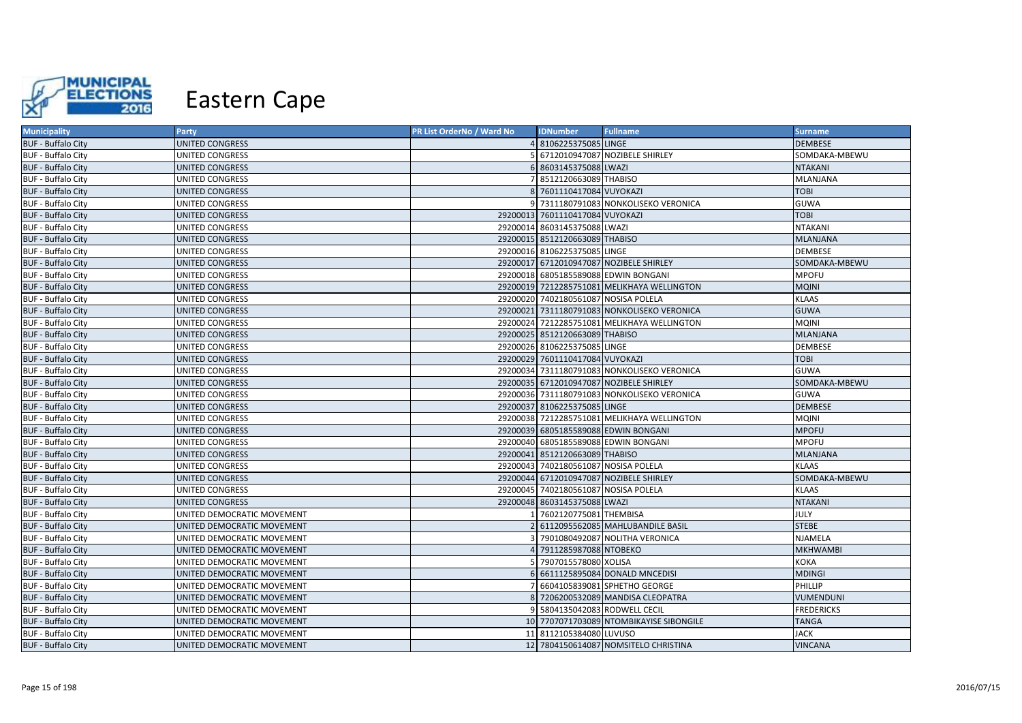

| <b>Municipality</b>       | Party                      | PR List OrderNo / Ward No | <b>IDNumber</b>                      | <b>Fullname</b>                             | <b>Surname</b>    |
|---------------------------|----------------------------|---------------------------|--------------------------------------|---------------------------------------------|-------------------|
| <b>BUF - Buffalo City</b> | UNITED CONGRESS            |                           | 8106225375085 LINGE                  |                                             | <b>DEMBESE</b>    |
| <b>BUF - Buffalo City</b> | UNITED CONGRESS            |                           |                                      | 6712010947087 NOZIBELE SHIRLEY              | SOMDAKA-MBEWU     |
| <b>BUF - Buffalo City</b> | <b>UNITED CONGRESS</b>     |                           | 6 8603145375088 LWAZI                |                                             | <b>NTAKANI</b>    |
| <b>BUF - Buffalo City</b> | <b>UNITED CONGRESS</b>     |                           | 7 8512120663089 THABISO              |                                             | <b>MLANJANA</b>   |
| <b>BUF - Buffalo City</b> | <b>UNITED CONGRESS</b>     |                           | 8 7601110417084 VUYOKAZI             |                                             | <b>TOBI</b>       |
| <b>BUF - Buffalo City</b> | UNITED CONGRESS            |                           |                                      | 9 7311180791083 NONKOLISEKO VERONICA        | <b>GUWA</b>       |
| <b>BUF - Buffalo City</b> | <b>UNITED CONGRESS</b>     |                           | 29200013 7601110417084 VUYOKAZI      |                                             | <b>TOBI</b>       |
| <b>BUF - Buffalo City</b> | UNITED CONGRESS            |                           | 29200014 8603145375088 LWAZI         |                                             | <b>NTAKANI</b>    |
| <b>BUF - Buffalo City</b> | UNITED CONGRESS            |                           | 29200015 8512120663089 THABISO       |                                             | <b>MLANJANA</b>   |
| <b>BUF - Buffalo City</b> | UNITED CONGRESS            |                           | 29200016 8106225375085 LINGE         |                                             | <b>DEMBESE</b>    |
| <b>BUF - Buffalo City</b> | <b>UNITED CONGRESS</b>     |                           |                                      | 29200017 6712010947087 NOZIBELE SHIRLEY     | SOMDAKA-MBEWU     |
| <b>BUF - Buffalo City</b> | UNITED CONGRESS            |                           |                                      | 29200018 6805185589088 EDWIN BONGANI        | <b>MPOFU</b>      |
| <b>BUF - Buffalo City</b> | UNITED CONGRESS            |                           |                                      | 29200019 7212285751081 MELIKHAYA WELLINGTON | <b>MQINI</b>      |
| <b>BUF - Buffalo City</b> | UNITED CONGRESS            |                           | 29200020 7402180561087 NOSISA POLELA |                                             | <b>KLAAS</b>      |
| <b>BUF - Buffalo City</b> | <b>UNITED CONGRESS</b>     |                           |                                      | 29200021 7311180791083 NONKOLISEKO VERONICA | <b>GUWA</b>       |
| <b>BUF - Buffalo City</b> | UNITED CONGRESS            |                           |                                      | 29200024 7212285751081 MELIKHAYA WELLINGTON | <b>MQINI</b>      |
| <b>BUF - Buffalo City</b> | <b>UNITED CONGRESS</b>     |                           | 29200025 8512120663089 THABISO       |                                             | <b>MLANJANA</b>   |
| <b>BUF - Buffalo City</b> | UNITED CONGRESS            |                           | 29200026 8106225375085 LINGE         |                                             | <b>DEMBESE</b>    |
| <b>BUF - Buffalo City</b> | UNITED CONGRESS            |                           | 29200029 7601110417084 VUYOKAZI      |                                             | <b>TOBI</b>       |
| <b>BUF - Buffalo City</b> | UNITED CONGRESS            |                           |                                      | 29200034 7311180791083 NONKOLISEKO VERONICA | <b>GUWA</b>       |
| <b>BUF - Buffalo City</b> | <b>UNITED CONGRESS</b>     |                           |                                      | 29200035 6712010947087 NOZIBELE SHIRLEY     | SOMDAKA-MBEWU     |
| <b>BUF - Buffalo City</b> | UNITED CONGRESS            |                           |                                      | 29200036 7311180791083 NONKOLISEKO VERONICA | <b>GUWA</b>       |
| <b>BUF - Buffalo City</b> | <b>UNITED CONGRESS</b>     |                           | 29200037 8106225375085 LINGE         |                                             | <b>DEMBESE</b>    |
| <b>BUF - Buffalo City</b> | UNITED CONGRESS            |                           |                                      | 29200038 7212285751081 MELIKHAYA WELLINGTON | <b>MQINI</b>      |
| <b>BUF - Buffalo City</b> | <b>UNITED CONGRESS</b>     |                           |                                      | 29200039 6805185589088 EDWIN BONGANI        | <b>MPOFU</b>      |
| <b>BUF - Buffalo City</b> | UNITED CONGRESS            |                           | 29200040 6805185589088 EDWIN BONGANI |                                             | <b>MPOFU</b>      |
| <b>BUF - Buffalo City</b> | <b>UNITED CONGRESS</b>     |                           | 29200041 8512120663089 THABISO       |                                             | <b>MLANJANA</b>   |
| <b>BUF - Buffalo City</b> | <b>UNITED CONGRESS</b>     |                           | 29200043 7402180561087 NOSISA POLELA |                                             | <b>KLAAS</b>      |
| <b>BUF - Buffalo City</b> | <b>UNITED CONGRESS</b>     |                           |                                      | 29200044 6712010947087 NOZIBELE SHIRLEY     | SOMDAKA-MBEWU     |
| <b>BUF - Buffalo City</b> | UNITED CONGRESS            |                           | 29200045 7402180561087 NOSISA POLELA |                                             | <b>KLAAS</b>      |
| <b>BUF - Buffalo City</b> | <b>UNITED CONGRESS</b>     |                           | 29200048 8603145375088 LWAZI         |                                             | <b>NTAKANI</b>    |
| <b>BUF - Buffalo City</b> | UNITED DEMOCRATIC MOVEMENT |                           | 7602120775081THEMBISA                |                                             | JULY              |
| <b>BUF - Buffalo City</b> | UNITED DEMOCRATIC MOVEMENT |                           |                                      | 2 6112095562085 MAHLUBANDILE BASIL          | <b>STEBE</b>      |
| <b>BUF - Buffalo City</b> | UNITED DEMOCRATIC MOVEMENT |                           |                                      | 3 7901080492087 NOLITHA VERONICA            | <b>NJAMELA</b>    |
| <b>BUF - Buffalo City</b> | UNITED DEMOCRATIC MOVEMENT |                           | 7911285987088 NTOBEKO                |                                             | <b>MKHWAMBI</b>   |
| <b>BUF - Buffalo City</b> | UNITED DEMOCRATIC MOVEMENT |                           | 7907015578080 XOLISA                 |                                             | <b>KOKA</b>       |
| <b>BUF - Buffalo City</b> | UNITED DEMOCRATIC MOVEMENT |                           |                                      | 6611125895084 DONALD MNCEDISI               | <b>MDINGI</b>     |
| <b>BUF - Buffalo City</b> | UNITED DEMOCRATIC MOVEMENT |                           |                                      | 7 6604105839081 SPHETHO GEORGE              | <b>PHILLIP</b>    |
| <b>BUF - Buffalo City</b> | UNITED DEMOCRATIC MOVEMENT |                           |                                      | 8 7206200532089 MANDISA CLEOPATRA           | <b>VUMENDUNI</b>  |
| <b>BUF - Buffalo City</b> | UNITED DEMOCRATIC MOVEMENT |                           | 9 5804135042083 RODWELL CECIL        |                                             | <b>FREDERICKS</b> |
| <b>BUF - Buffalo City</b> | UNITED DEMOCRATIC MOVEMENT |                           |                                      | 10 7707071703089 NTOMBIKAYISE SIBONGILE     | <b>TANGA</b>      |
| <b>BUF - Buffalo City</b> | UNITED DEMOCRATIC MOVEMENT |                           | 11 8112105384080 LUVUSO              |                                             | <b>JACK</b>       |
| <b>BUF - Buffalo City</b> | UNITED DEMOCRATIC MOVEMENT |                           |                                      | 12 7804150614087 NOMSITELO CHRISTINA        | <b>VINCANA</b>    |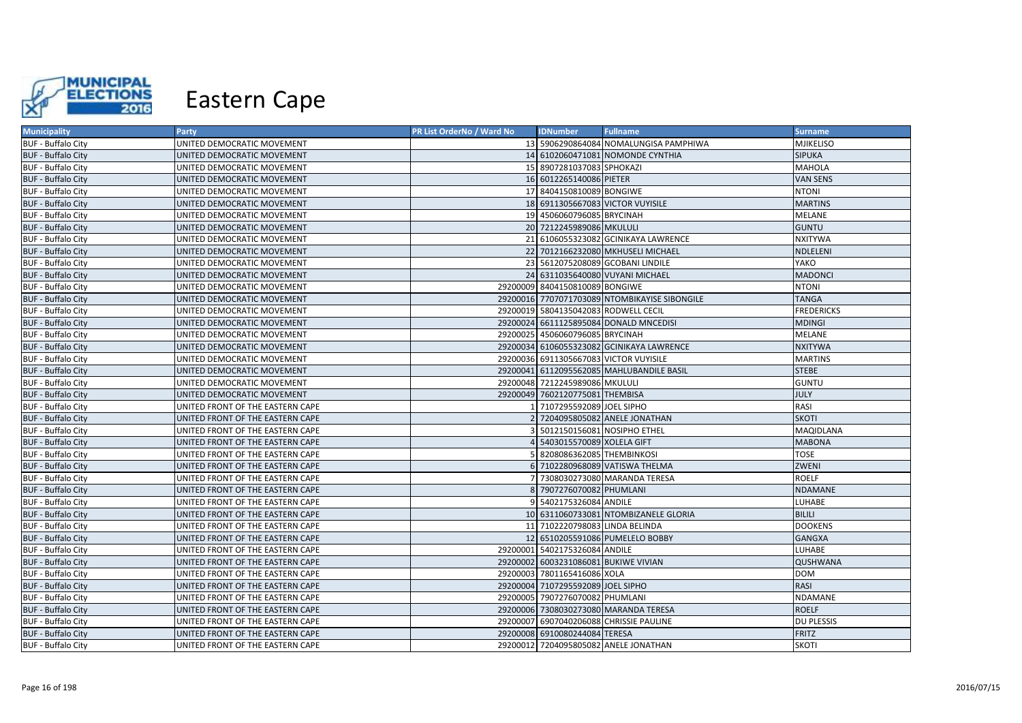

| <b>Municipality</b>       | <b>Party</b>                     | PR List OrderNo / Ward No | <b>IDNumber</b>                      | <b>Fullname</b>                               | <b>Surname</b>    |
|---------------------------|----------------------------------|---------------------------|--------------------------------------|-----------------------------------------------|-------------------|
| <b>BUF - Buffalo City</b> | UNITED DEMOCRATIC MOVEMENT       |                           |                                      | 13 5906290864084 NOMALUNGISA PAMPHIWA         | <b>MJIKELISO</b>  |
| <b>BUF - Buffalo City</b> | UNITED DEMOCRATIC MOVEMENT       |                           |                                      | 14 6102060471081 NOMONDE CYNTHIA              | <b>SIPUKA</b>     |
| <b>BUF - Buffalo City</b> | UNITED DEMOCRATIC MOVEMENT       |                           | 15 8907281037083 SPHOKAZI            |                                               | <b>MAHOLA</b>     |
| <b>BUF - Buffalo City</b> | UNITED DEMOCRATIC MOVEMENT       |                           | 16 6012265140086 PIETER              |                                               | <b>VAN SENS</b>   |
| <b>BUF - Buffalo City</b> | UNITED DEMOCRATIC MOVEMENT       |                           | 17 8404150810089 BONGIWE             |                                               | <b>NTONI</b>      |
| <b>BUF - Buffalo City</b> | UNITED DEMOCRATIC MOVEMENT       |                           |                                      | 18 6911305667083 VICTOR VUYISILE              | <b>MARTINS</b>    |
| <b>BUF - Buffalo City</b> | UNITED DEMOCRATIC MOVEMENT       |                           | 19 4506060796085 BRYCINAH            |                                               | <b>MELANE</b>     |
| <b>BUF - Buffalo City</b> | UNITED DEMOCRATIC MOVEMENT       |                           | 20 7212245989086 MKULULI             |                                               | <b>GUNTU</b>      |
| <b>BUF - Buffalo City</b> | UNITED DEMOCRATIC MOVEMENT       |                           |                                      | 21 6106055323082 GCINIKAYA LAWRENCE           | <b>NXITYWA</b>    |
| <b>BUF - Buffalo City</b> | UNITED DEMOCRATIC MOVEMENT       |                           |                                      | 22 7012166232080 MKHUSELI MICHAEL             | NDLELENI          |
| <b>BUF - Buffalo City</b> | UNITED DEMOCRATIC MOVEMENT       |                           |                                      | 23 5612075208089 GCOBANI LINDILE              | YAKO              |
| <b>BUF - Buffalo City</b> | UNITED DEMOCRATIC MOVEMENT       |                           |                                      | 24 6311035640080 VUYANI MICHAEL               | <b>MADONCI</b>    |
| <b>BUF - Buffalo City</b> | UNITED DEMOCRATIC MOVEMENT       |                           | 29200009 8404150810089 BONGIWE       |                                               | <b>NTONI</b>      |
| <b>BUF - Buffalo City</b> | UNITED DEMOCRATIC MOVEMENT       |                           |                                      | 29200016 7707071703089 NTOMBIKAYISE SIBONGILE | <b>TANGA</b>      |
| <b>BUF - Buffalo City</b> | UNITED DEMOCRATIC MOVEMENT       |                           | 29200019 5804135042083 RODWELL CECIL |                                               | <b>FREDERICKS</b> |
| <b>BUF - Buffalo City</b> | UNITED DEMOCRATIC MOVEMENT       |                           |                                      | 29200024 6611125895084 DONALD MNCEDISI        | <b>MDINGI</b>     |
| <b>BUF - Buffalo City</b> | UNITED DEMOCRATIC MOVEMENT       |                           | 29200025 4506060796085 BRYCINAH      |                                               | MELANE            |
| <b>BUF - Buffalo City</b> | UNITED DEMOCRATIC MOVEMENT       |                           |                                      | 29200034 6106055323082 GCINIKAYA LAWRENCE     | <b>NXITYWA</b>    |
| <b>BUF - Buffalo City</b> | UNITED DEMOCRATIC MOVEMENT       |                           |                                      | 29200036 6911305667083 VICTOR VUYISILE        | <b>MARTINS</b>    |
| <b>BUF - Buffalo City</b> | UNITED DEMOCRATIC MOVEMENT       |                           |                                      | 29200041 6112095562085 MAHLUBANDILE BASIL     | <b>STEBE</b>      |
| <b>BUF - Buffalo City</b> | UNITED DEMOCRATIC MOVEMENT       |                           | 29200048 7212245989086 MKULULI       |                                               | <b>GUNTU</b>      |
| <b>BUF - Buffalo City</b> | UNITED DEMOCRATIC MOVEMENT       |                           | 29200049 7602120775081 THEMBISA      |                                               | <b>JULY</b>       |
| <b>BUF - Buffalo City</b> | UNITED FRONT OF THE EASTERN CAPE |                           | 7107295592089 JOEL SIPHO             |                                               | RASI              |
| <b>BUF - Buffalo City</b> | UNITED FRONT OF THE EASTERN CAPE |                           |                                      | 2 7204095805082 ANELE JONATHAN                | <b>SKOTI</b>      |
| <b>BUF - Buffalo City</b> | UNITED FRONT OF THE EASTERN CAPE |                           |                                      | 5012150156081 NOSIPHO ETHEL                   | MAQIDLANA         |
| <b>BUF - Buffalo City</b> | UNITED FRONT OF THE EASTERN CAPE |                           | 4 5403015570089 XOLELA GIFT          |                                               | <b>MABONA</b>     |
| <b>BUF - Buffalo City</b> | UNITED FRONT OF THE EASTERN CAPE |                           | 8208086362085 THEMBINKOSI            |                                               | <b>TOSE</b>       |
| <b>BUF - Buffalo City</b> | UNITED FRONT OF THE EASTERN CAPE |                           |                                      | 6 7102280968089 VATISWA THELMA                | ZWENI             |
| <b>BUF - Buffalo City</b> | UNITED FRONT OF THE EASTERN CAPE |                           |                                      | 7308030273080 MARANDA TERESA                  | <b>ROELF</b>      |
| <b>BUF - Buffalo City</b> | UNITED FRONT OF THE EASTERN CAPE |                           | 8 7907276070082 PHUMLANI             |                                               | <b>NDAMANE</b>    |
| <b>BUF - Buffalo City</b> | UNITED FRONT OF THE EASTERN CAPE |                           | 9 5402175326084 ANDILE               |                                               | <b>LUHABE</b>     |
| <b>BUF - Buffalo City</b> | UNITED FRONT OF THE EASTERN CAPE |                           |                                      | 10 6311060733081 NTOMBIZANELE GLORIA          | <b>BILILI</b>     |
| <b>BUF - Buffalo City</b> | UNITED FRONT OF THE EASTERN CAPE |                           | 11 7102220798083 LINDA BELINDA       |                                               | <b>DOOKENS</b>    |
| <b>BUF - Buffalo City</b> | UNITED FRONT OF THE EASTERN CAPE |                           |                                      | 12 6510205591086 PUMELELO BOBBY               | GANGXA            |
| <b>BUF - Buffalo City</b> | UNITED FRONT OF THE EASTERN CAPE |                           | 29200001 5402175326084 ANDILE        |                                               | LUHABE            |
| <b>BUF - Buffalo City</b> | UNITED FRONT OF THE EASTERN CAPE |                           | 29200002 6003231086081 BUKIWE VIVIAN |                                               | QUSHWANA          |
| <b>BUF - Buffalo City</b> | UNITED FRONT OF THE EASTERN CAPE |                           | 29200003 7801165416086 XOLA          |                                               | <b>DOM</b>        |
| <b>BUF - Buffalo City</b> | UNITED FRONT OF THE EASTERN CAPE |                           | 29200004 7107295592089 JOEL SIPHO    |                                               | RASI              |
| <b>BUF - Buffalo City</b> | UNITED FRONT OF THE EASTERN CAPE |                           | 29200005 7907276070082 PHUMLANI      |                                               | NDAMANE           |
| <b>BUF - Buffalo City</b> | UNITED FRONT OF THE EASTERN CAPE |                           |                                      | 29200006 7308030273080 MARANDA TERESA         | <b>ROELF</b>      |
| <b>BUF - Buffalo City</b> | UNITED FRONT OF THE EASTERN CAPE |                           |                                      | 29200007 6907040206088 CHRISSIE PAULINE       | <b>DU PLESSIS</b> |
| <b>BUF - Buffalo City</b> | UNITED FRONT OF THE EASTERN CAPE |                           | 29200008 6910080244084 TERESA        |                                               | <b>FRITZ</b>      |
| <b>BUF - Buffalo City</b> | UNITED FRONT OF THE EASTERN CAPE |                           |                                      | 29200012 7204095805082 ANELE JONATHAN         | <b>SKOTI</b>      |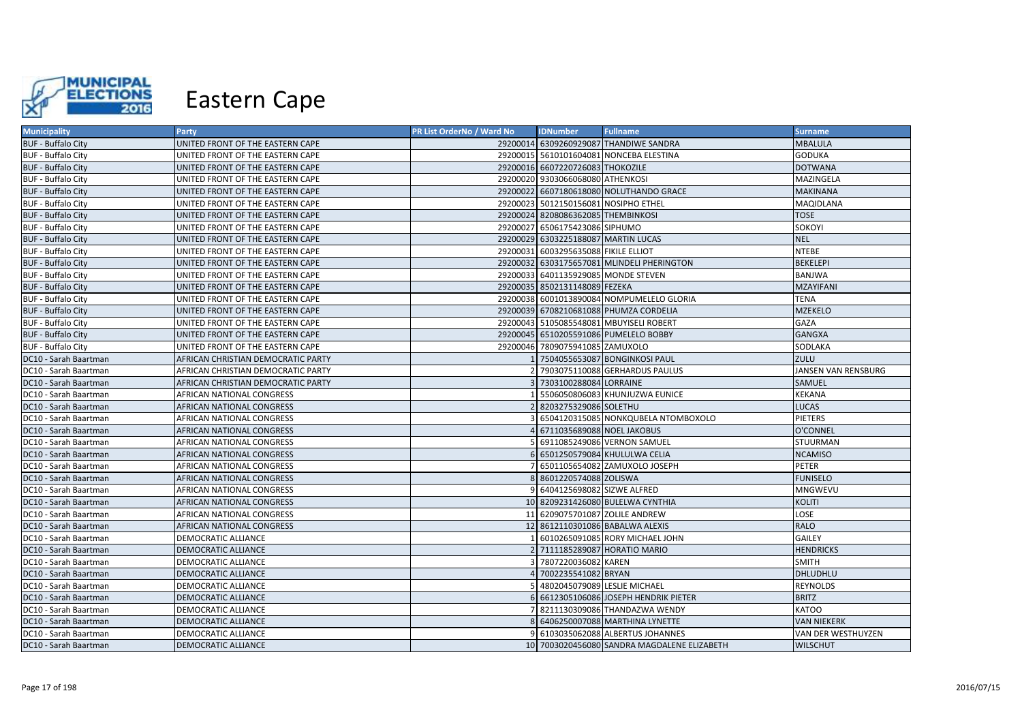

| <b>Municipality</b>       | Party                              | PR List OrderNo / Ward No | <b>IDNumber</b>                      | <b>Fullname</b>                             | <b>Surname</b>      |
|---------------------------|------------------------------------|---------------------------|--------------------------------------|---------------------------------------------|---------------------|
| <b>BUF - Buffalo City</b> | UNITED FRONT OF THE EASTERN CAPE   |                           |                                      | 29200014 6309260929087 THANDIWE SANDRA      | <b>MBALULA</b>      |
| <b>BUF - Buffalo City</b> | UNITED FRONT OF THE EASTERN CAPE   |                           |                                      | 29200015 5610101604081 NONCEBA ELESTINA     | <b>GODUKA</b>       |
| <b>BUF - Buffalo City</b> | UNITED FRONT OF THE EASTERN CAPE   |                           | 29200016 6607220726083 THOKOZILE     |                                             | <b>DOTWANA</b>      |
| <b>BUF - Buffalo City</b> | UNITED FRONT OF THE EASTERN CAPE   |                           | 29200020 9303066068080 ATHENKOSI     |                                             | MAZINGELA           |
| <b>BUF - Buffalo City</b> | UNITED FRONT OF THE EASTERN CAPE   |                           |                                      | 29200022 6607180618080 NOLUTHANDO GRACE     | <b>MAKINANA</b>     |
| <b>BUF - Buffalo City</b> | UNITED FRONT OF THE EASTERN CAPE   |                           | 29200023 5012150156081 NOSIPHO ETHEL |                                             | MAQIDLANA           |
| <b>BUF - Buffalo City</b> | UNITED FRONT OF THE EASTERN CAPE   |                           | 29200024 8208086362085 THEMBINKOSI   |                                             | <b>TOSE</b>         |
| <b>BUF - Buffalo City</b> | UNITED FRONT OF THE EASTERN CAPE   |                           | 29200027 6506175423086 SIPHUMO       |                                             | SOKOYI              |
| <b>BUF - Buffalo City</b> | UNITED FRONT OF THE EASTERN CAPE   |                           | 29200029 6303225188087 MARTIN LUCAS  |                                             | <b>NEL</b>          |
| <b>BUF - Buffalo City</b> | UNITED FRONT OF THE EASTERN CAPE   |                           | 29200031 6003295635088 FIKILE ELLIOT |                                             | <b>NTEBE</b>        |
| <b>BUF - Buffalo City</b> | UNITED FRONT OF THE EASTERN CAPE   |                           |                                      | 29200032 6303175657081 MLINDELI PHERINGTON  | <b>BEKELEPI</b>     |
| <b>BUF - Buffalo City</b> | UNITED FRONT OF THE EASTERN CAPE   |                           | 29200033 6401135929085 MONDE STEVEN  |                                             | <b>BANJWA</b>       |
| <b>BUF - Buffalo City</b> | UNITED FRONT OF THE EASTERN CAPE   |                           | 29200035 8502131148089 FEZEKA        |                                             | <b>MZAYIFANI</b>    |
| <b>BUF - Buffalo City</b> | UNITED FRONT OF THE EASTERN CAPE   |                           |                                      | 29200038 6001013890084 NOMPUMELELO GLORIA   | <b>TENA</b>         |
| <b>BUF - Buffalo City</b> | UNITED FRONT OF THE EASTERN CAPE   |                           |                                      | 29200039 6708210681088 PHUMZA CORDELIA      | <b>MZEKELO</b>      |
| <b>BUF - Buffalo City</b> | UNITED FRONT OF THE EASTERN CAPE   |                           |                                      | 29200043 5105085548081 MBUYISELI ROBERT     | <b>GAZA</b>         |
| <b>BUF - Buffalo City</b> | UNITED FRONT OF THE EASTERN CAPE   |                           |                                      | 29200045 6510205591086 PUMELELO BOBBY       | <b>GANGXA</b>       |
| <b>BUF - Buffalo City</b> | UNITED FRONT OF THE EASTERN CAPE   |                           | 29200046 7809075941085 ZAMUXOLO      |                                             | <b>SODLAKA</b>      |
| DC10 - Sarah Baartman     | AFRICAN CHRISTIAN DEMOCRATIC PARTY |                           |                                      | 1 7504055653087 BONGINKOSI PAUL             | ZULU                |
| DC10 - Sarah Baartman     | AFRICAN CHRISTIAN DEMOCRATIC PARTY |                           |                                      | 2 7903075110088 GERHARDUS PAULUS            | JANSEN VAN RENSBURG |
| DC10 - Sarah Baartman     | AFRICAN CHRISTIAN DEMOCRATIC PARTY |                           | 3 7303100288084 LORRAINE             |                                             | SAMUEL              |
| DC10 - Sarah Baartman     | AFRICAN NATIONAL CONGRESS          |                           |                                      | 5506050806083 KHUNJUZWA EUNICE              | <b>KEKANA</b>       |
| DC10 - Sarah Baartman     | AFRICAN NATIONAL CONGRESS          |                           | 2 8203275329086 SOLETHU              |                                             | <b>LUCAS</b>        |
| DC10 - Sarah Baartman     | AFRICAN NATIONAL CONGRESS          |                           |                                      | 6504120315085 NONKQUBELA NTOMBOXOLO         | <b>PIETERS</b>      |
| DC10 - Sarah Baartman     | AFRICAN NATIONAL CONGRESS          |                           | 6711035689088 NOEL JAKOBUS           |                                             | <b>O'CONNEL</b>     |
| DC10 - Sarah Baartman     | AFRICAN NATIONAL CONGRESS          |                           |                                      | 6911085249086 VERNON SAMUEL                 | STUURMAN            |
| DC10 - Sarah Baartman     | AFRICAN NATIONAL CONGRESS          |                           |                                      | 6 6501250579084 KHULULWA CELIA              | <b>NCAMISO</b>      |
| DC10 - Sarah Baartman     | AFRICAN NATIONAL CONGRESS          |                           |                                      | 6501105654082 ZAMUXOLO JOSEPH               | PETER               |
| DC10 - Sarah Baartman     | AFRICAN NATIONAL CONGRESS          |                           | 8 8601220574088 ZOLISWA              |                                             | <b>FUNISELO</b>     |
| DC10 - Sarah Baartman     | AFRICAN NATIONAL CONGRESS          |                           | 9 6404125698082 SIZWE ALFRED         |                                             | <b>MNGWEVU</b>      |
| DC10 - Sarah Baartman     | <b>AFRICAN NATIONAL CONGRESS</b>   |                           |                                      | 10 8209231426080 BULELWA CYNTHIA            | <b>KOLITI</b>       |
| DC10 - Sarah Baartman     | AFRICAN NATIONAL CONGRESS          |                           | 11 6209075701087 ZOLILE ANDREW       |                                             | LOSE                |
| DC10 - Sarah Baartman     | <b>AFRICAN NATIONAL CONGRESS</b>   |                           |                                      | 12 8612110301086 BABALWA ALEXIS             | <b>RALO</b>         |
| DC10 - Sarah Baartman     | <b>DEMOCRATIC ALLIANCE</b>         |                           |                                      | 6010265091085 RORY MICHAEL JOHN             | <b>GAILEY</b>       |
| DC10 - Sarah Baartman     | <b>DEMOCRATIC ALLIANCE</b>         |                           | 2 7111185289087 HORATIO MARIO        |                                             | <b>HENDRICKS</b>    |
| DC10 - Sarah Baartman     | <b>DEMOCRATIC ALLIANCE</b>         |                           | 7807220036082 KAREN                  |                                             | <b>SMITH</b>        |
| DC10 - Sarah Baartman     | <b>DEMOCRATIC ALLIANCE</b>         |                           | 7002235541082 BRYAN                  |                                             | <b>DHLUDHLU</b>     |
| DC10 - Sarah Baartman     | <b>DEMOCRATIC ALLIANCE</b>         |                           | 4802045079089 LESLIE MICHAEL         |                                             | <b>REYNOLDS</b>     |
| DC10 - Sarah Baartman     | <b>DEMOCRATIC ALLIANCE</b>         |                           |                                      | 6612305106086 JOSEPH HENDRIK PIETER         | <b>BRITZ</b>        |
| DC10 - Sarah Baartman     | <b>DEMOCRATIC ALLIANCE</b>         |                           |                                      | 8211130309086 THANDAZWA WENDY               | <b>KATOO</b>        |
| DC10 - Sarah Baartman     | <b>DEMOCRATIC ALLIANCE</b>         |                           |                                      | 8 6406250007088 MARTHINA LYNETTE            | <b>VAN NIEKERK</b>  |
| DC10 - Sarah Baartman     | <b>DEMOCRATIC ALLIANCE</b>         |                           |                                      | 6103035062088 ALBERTUS JOHANNES             | VAN DER WESTHUYZEN  |
| DC10 - Sarah Baartman     | <b>DEMOCRATIC ALLIANCE</b>         |                           |                                      | 10 7003020456080 SANDRA MAGDALENE ELIZABETH | <b>WILSCHUT</b>     |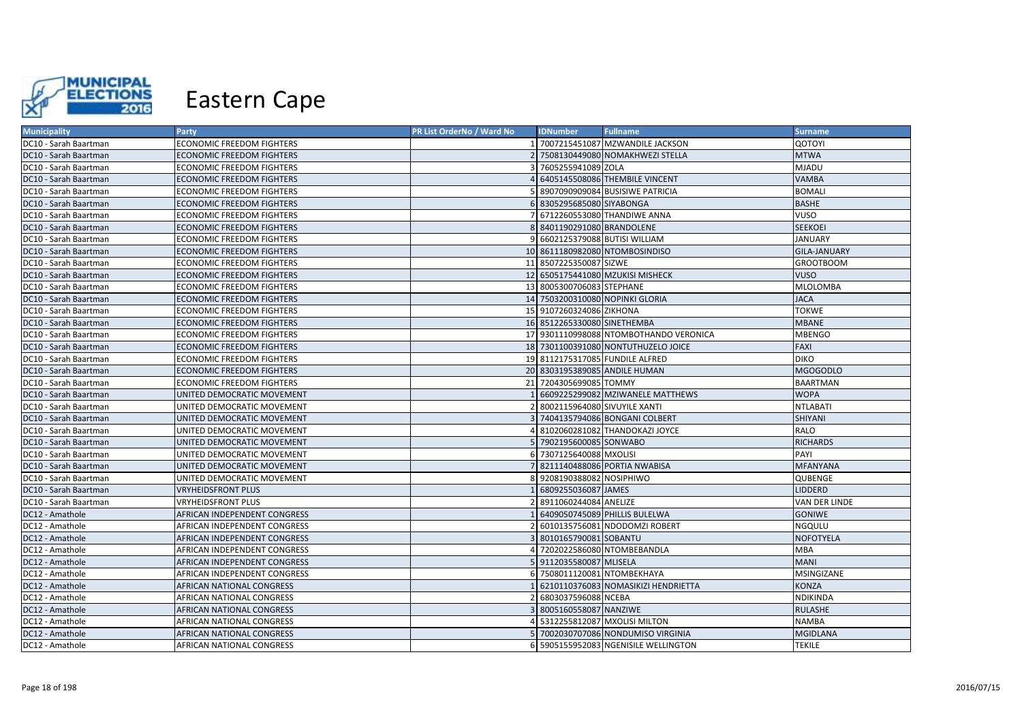

| <b>Municipality</b>           | Party                            | PR List OrderNo / Ward No | <b>IDNumber</b>               | <b>Fullname</b>                        | <b>Surname</b>      |
|-------------------------------|----------------------------------|---------------------------|-------------------------------|----------------------------------------|---------------------|
| DC10 - Sarah Baartman         | ECONOMIC FREEDOM FIGHTERS        |                           |                               | 7007215451087 MZWANDILE JACKSON        | <b>QOTOYI</b>       |
| DC10 - Sarah Baartman         | <b>ECONOMIC FREEDOM FIGHTERS</b> |                           |                               | 7508130449080 NOMAKHWEZI STELLA        | <b>MTWA</b>         |
| DC10 - Sarah Baartman         | <b>ECONOMIC FREEDOM FIGHTERS</b> |                           | 7605255941089 ZOLA            |                                        | <b>MJADU</b>        |
| DC10 - Sarah Baartman         | <b>ECONOMIC FREEDOM FIGHTERS</b> |                           |                               | 6405145508086 THEMBILE VINCENT         | <b>VAMBA</b>        |
| DC10 - Sarah Baartman         | ECONOMIC FREEDOM FIGHTERS        |                           |                               | 8907090909084 BUSISIWE PATRICIA        | <b>BOMALI</b>       |
| DC10 - Sarah Baartman         | <b>ECONOMIC FREEDOM FIGHTERS</b> | 61                        | 8305295685080 SIYABONGA       |                                        | <b>BASHE</b>        |
| DC10 - Sarah Baartman         | ECONOMIC FREEDOM FIGHTERS        | 71                        |                               | 6712260553080 THANDIWE ANNA            | <b>VUSO</b>         |
| DC10 - Sarah Baartman         | <b>ECONOMIC FREEDOM FIGHTERS</b> |                           | 8401190291080 BRANDOLENE      |                                        | <b>SEEKOEI</b>      |
| DC10 - Sarah Baartman         | <b>ECONOMIC FREEDOM FIGHTERS</b> |                           |                               | 6602125379088 BUTISI WILLIAM           | <b>JANUARY</b>      |
| DC10 - Sarah Baartman         | <b>ECONOMIC FREEDOM FIGHTERS</b> |                           |                               | 10 8611180982080 NTOMBOSINDISO         | <b>GILA-JANUARY</b> |
| DC10 - Sarah Baartman         | <b>ECONOMIC FREEDOM FIGHTERS</b> |                           | 11 8507225350087 SIZWE        |                                        | <b>GROOTBOOM</b>    |
| DC10 - Sarah Baartman         | ECONOMIC FREEDOM FIGHTERS        |                           |                               | 12 6505175441080 MZUKISI MISHECK       | <b>VUSO</b>         |
| DC10 - Sarah Baartman         | <b>ECONOMIC FREEDOM FIGHTERS</b> |                           | 13 8005300706083 STEPHANE     |                                        | <b>MLOLOMBA</b>     |
| DC10 - Sarah Baartman         | <b>ECONOMIC FREEDOM FIGHTERS</b> |                           |                               | 14 7503200310080 NOPINKI GLORIA        | <b>JACA</b>         |
| <b>IDC10 - Sarah Baartman</b> | <b>ECONOMIC FREEDOM FIGHTERS</b> |                           | 15 9107260324086 ZIKHONA      |                                        | <b>TOKWE</b>        |
| DC10 - Sarah Baartman         | <b>ECONOMIC FREEDOM FIGHTERS</b> |                           | 16 8512265330080 SINETHEMBA   |                                        | <b>MBANE</b>        |
| DC10 - Sarah Baartman         | <b>ECONOMIC FREEDOM FIGHTERS</b> |                           |                               | 17 9301110998088 NTOMBOTHANDO VERONICA | <b>MBENGO</b>       |
| DC10 - Sarah Baartman         | ECONOMIC FREEDOM FIGHTERS        |                           |                               | 18 7301100391080 NONTUTHUZELO JOICE    | <b>FAXI</b>         |
| DC10 - Sarah Baartman         | <b>ECONOMIC FREEDOM FIGHTERS</b> |                           |                               | 19 8112175317085 FUNDILE ALFRED        | <b>DIKO</b>         |
| DC10 - Sarah Baartman         | <b>ECONOMIC FREEDOM FIGHTERS</b> |                           | 20 8303195389085 ANDILE HUMAN |                                        | <b>MGOGODLO</b>     |
| DC10 - Sarah Baartman         | <b>ECONOMIC FREEDOM FIGHTERS</b> |                           | 21 7204305699085 TOMMY        |                                        | <b>BAARTMAN</b>     |
| DC10 - Sarah Baartman         | UNITED DEMOCRATIC MOVEMENT       |                           |                               | 6609225299082 MZIWANELE MATTHEWS       | <b>WOPA</b>         |
| DC10 - Sarah Baartman         | UNITED DEMOCRATIC MOVEMENT       |                           | 8002115964080 SIVUYILE XANTI  |                                        | <b>NTLABATI</b>     |
| DC10 - Sarah Baartman         | UNITED DEMOCRATIC MOVEMENT       |                           |                               | 7404135794086 BONGANI COLBERT          | SHIYANI             |
| DC10 - Sarah Baartman         | UNITED DEMOCRATIC MOVEMENT       |                           |                               | 8102060281082 THANDOKAZI JOYCE         | <b>RALO</b>         |
| DC10 - Sarah Baartman         | UNITED DEMOCRATIC MOVEMENT       |                           | 7902195600085 SONWABO         |                                        | <b>RICHARDS</b>     |
| DC10 - Sarah Baartman         | UNITED DEMOCRATIC MOVEMENT       | 6                         | 7307125640088 MXOLISI         |                                        | PAYI                |
| DC10 - Sarah Baartman         | UNITED DEMOCRATIC MOVEMENT       |                           |                               | 8211140488086 PORTIA NWABISA           | <b>MFANYANA</b>     |
| DC10 - Sarah Baartman         | UNITED DEMOCRATIC MOVEMENT       |                           | 9208190388082 NOSIPHIWO       |                                        | QUBENGE             |
| DC10 - Sarah Baartman         | <b>VRYHEIDSFRONT PLUS</b>        |                           | 6809255036087 JAMES           |                                        | <b>LIDDERD</b>      |
| DC10 - Sarah Baartman         | <b>VRYHEIDSFRONT PLUS</b>        | $\mathcal{L}$             | 8911060244084 ANELIZE         |                                        | VAN DER LINDE       |
| DC12 - Amathole               | AFRICAN INDEPENDENT CONGRESS     |                           |                               | 6409050745089 PHILLIS BULELWA          | <b>GONIWE</b>       |
| DC12 - Amathole               | AFRICAN INDEPENDENT CONGRESS     |                           |                               | 6010135756081 NDODOMZI ROBERT          | <b>NGQULU</b>       |
| DC12 - Amathole               | AFRICAN INDEPENDENT CONGRESS     |                           | 8010165790081 SOBANTU         |                                        | <b>NOFOTYELA</b>    |
| DC12 - Amathole               | AFRICAN INDEPENDENT CONGRESS     |                           |                               | 7202022586080 NTOMBEBANDLA             | <b>MBA</b>          |
| DC12 - Amathole               | AFRICAN INDEPENDENT CONGRESS     |                           | 9112035580087 MLISELA         |                                        | <b>MANI</b>         |
| DC12 - Amathole               | AFRICAN INDEPENDENT CONGRESS     |                           |                               | 7508011120081 NTOMBEKHAYA              | MSINGIZANE          |
| DC12 - Amathole               | AFRICAN NATIONAL CONGRESS        |                           |                               | 6210110376083 NOMASIKIZI HENDRIETTA    | KONZA               |
| DC12 - Amathole               | AFRICAN NATIONAL CONGRESS        |                           | 6803037596088 NCEBA           |                                        | NDIKINDA            |
| DC12 - Amathole               | AFRICAN NATIONAL CONGRESS        |                           | 8005160558087 NANZIWE         |                                        | <b>RULASHE</b>      |
| DC12 - Amathole               | AFRICAN NATIONAL CONGRESS        |                           |                               | 5312255812087 MXOLISI MILTON           | <b>NAMBA</b>        |
| DC12 - Amathole               | AFRICAN NATIONAL CONGRESS        |                           |                               | 7002030707086 NONDUMISO VIRGINIA       | <b>MGIDLANA</b>     |
| DC12 - Amathole               | AFRICAN NATIONAL CONGRESS        |                           |                               | 5905155952083 NGENISILE WELLINGTON     | <b>TEKILE</b>       |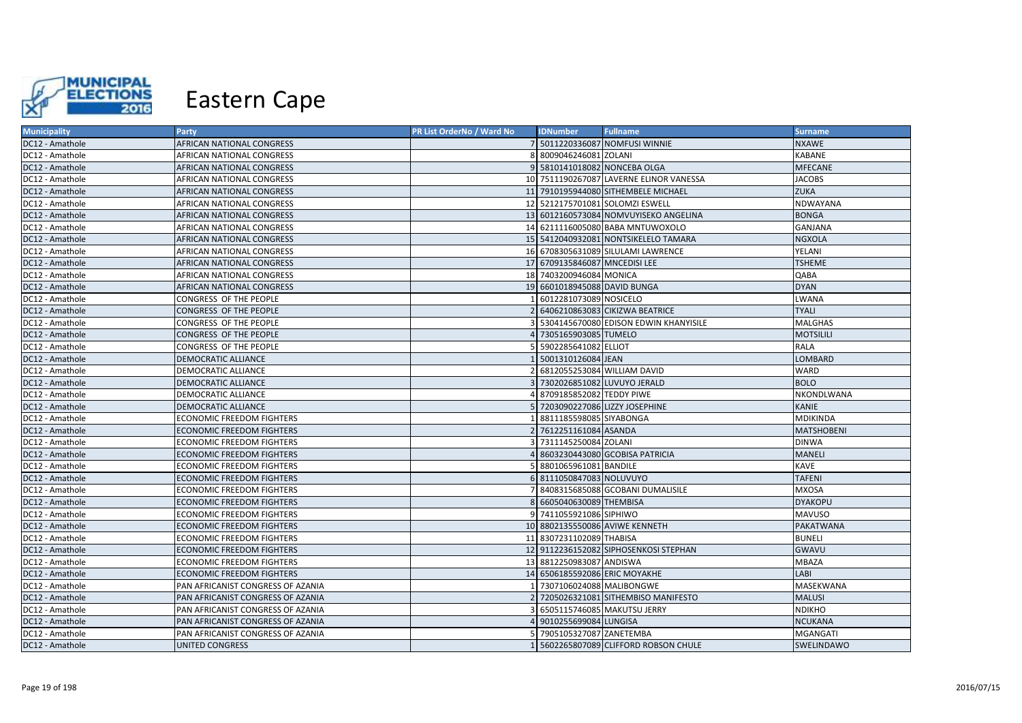

| <b>Municipality</b> | <b>Party</b>                      | PR List OrderNo / Ward No | <b>IDNumber</b>               | <b>Fullname</b>                         | <b>Surname</b>    |
|---------------------|-----------------------------------|---------------------------|-------------------------------|-----------------------------------------|-------------------|
| DC12 - Amathole     | AFRICAN NATIONAL CONGRESS         |                           |                               | 7 5011220336087 NOMFUSI WINNIE          | <b>NXAWE</b>      |
| DC12 - Amathole     | AFRICAN NATIONAL CONGRESS         |                           | 8009046246081 ZOLANI          |                                         | <b>KABANE</b>     |
| DC12 - Amathole     | AFRICAN NATIONAL CONGRESS         |                           | 9 5810141018082 NONCEBA OLGA  |                                         | <b>MFECANE</b>    |
| DC12 - Amathole     | AFRICAN NATIONAL CONGRESS         |                           |                               | 10 7511190267087 LAVERNE ELINOR VANESSA | <b>JACOBS</b>     |
| DC12 - Amathole     | AFRICAN NATIONAL CONGRESS         |                           |                               | 11 7910195944080 SITHEMBELE MICHAEL     | <b>ZUKA</b>       |
| DC12 - Amathole     | AFRICAN NATIONAL CONGRESS         |                           |                               | 12 5212175701081 SOLOMZI ESWELL         | NDWAYANA          |
| DC12 - Amathole     | AFRICAN NATIONAL CONGRESS         |                           |                               | 13 6012160573084 NOMVUYISEKO ANGELINA   | <b>BONGA</b>      |
| DC12 - Amathole     | AFRICAN NATIONAL CONGRESS         |                           |                               | 14 6211116005080 BABA MNTUWOXOLO        | GANJANA           |
| DC12 - Amathole     | AFRICAN NATIONAL CONGRESS         |                           |                               | 15 5412040932081 NONTSIKELELO TAMARA    | <b>NGXOLA</b>     |
| DC12 - Amathole     | AFRICAN NATIONAL CONGRESS         |                           |                               | 16 6708305631089 SILULAMI LAWRENCE      | YELANI            |
| DC12 - Amathole     | AFRICAN NATIONAL CONGRESS         |                           | 17 6709135846087 MNCEDISI LEE |                                         | <b>TSHEME</b>     |
| DC12 - Amathole     | AFRICAN NATIONAL CONGRESS         |                           | 18 7403200946084 MONICA       |                                         | QABA              |
| DC12 - Amathole     | AFRICAN NATIONAL CONGRESS         |                           | 19 6601018945088 DAVID BUNGA  |                                         | <b>DYAN</b>       |
| DC12 - Amathole     | CONGRESS OF THE PEOPLE            |                           | 6012281073089 NOSICELO        |                                         | <b>LWANA</b>      |
| DC12 - Amathole     | CONGRESS OF THE PEOPLE            |                           |                               | 6406210863083 CIKIZWA BEATRICE          | <b>TYALI</b>      |
| DC12 - Amathole     | CONGRESS OF THE PEOPLE            |                           |                               | 5304145670080 EDISON EDWIN KHANYISILE   | <b>MALGHAS</b>    |
| DC12 - Amathole     | CONGRESS OF THE PEOPLE            |                           | 4 7305165903085 TUMELO        |                                         | <b>MOTSILILI</b>  |
| DC12 - Amathole     | CONGRESS OF THE PEOPLE            |                           | 5902285641082 ELLIOT          |                                         | RALA              |
| DC12 - Amathole     | DEMOCRATIC ALLIANCE               |                           | 5001310126084 JEAN            |                                         | LOMBARD           |
| DC12 - Amathole     | DEMOCRATIC ALLIANCE               |                           |                               | 6812055253084 WILLIAM DAVID             | <b>WARD</b>       |
| DC12 - Amathole     | <b>DEMOCRATIC ALLIANCE</b>        |                           |                               | 7302026851082 LUVUYO JERALD             | <b>BOLO</b>       |
| DC12 - Amathole     | DEMOCRATIC ALLIANCE               |                           | 8709185852082 TEDDY PIWE      |                                         | NKONDLWANA        |
| DC12 - Amathole     | DEMOCRATIC ALLIANCE               |                           |                               | 5 7203090227086 LIZZY JOSEPHINE         | <b>KANIE</b>      |
| DC12 - Amathole     | ECONOMIC FREEDOM FIGHTERS         |                           | 8811185598085 SIYABONGA       |                                         | MDIKINDA          |
| DC12 - Amathole     | <b>ECONOMIC FREEDOM FIGHTERS</b>  |                           | 7612251161084 ASANDA          |                                         | <b>MATSHOBENI</b> |
| DC12 - Amathole     | ECONOMIC FREEDOM FIGHTERS         |                           | 7311145250084 ZOLANI          |                                         | <b>DINWA</b>      |
| DC12 - Amathole     | ECONOMIC FREEDOM FIGHTERS         |                           |                               | 8603230443080 GCOBISA PATRICIA          | <b>MANELI</b>     |
| DC12 - Amathole     | ECONOMIC FREEDOM FIGHTERS         |                           | 8801065961081 BANDILE         |                                         | KAVE              |
| DC12 - Amathole     | ECONOMIC FREEDOM FIGHTERS         |                           | 6 8111050847083 NOLUVUYO      |                                         | <b>TAFENI</b>     |
| DC12 - Amathole     | ECONOMIC FREEDOM FIGHTERS         |                           |                               | 8408315685088 GCOBANI DUMALISILE        | <b>MXOSA</b>      |
| DC12 - Amathole     | <b>ECONOMIC FREEDOM FIGHTERS</b>  |                           | 6605040630089 THEMBISA        |                                         | <b>DYAKOPU</b>    |
| DC12 - Amathole     | ECONOMIC FREEDOM FIGHTERS         |                           | 7411055921086 SIPHIWO         |                                         | <b>MAVUSO</b>     |
| DC12 - Amathole     | <b>ECONOMIC FREEDOM FIGHTERS</b>  |                           |                               | 10 8802135550086 AVIWE KENNETH          | <b>PAKATWANA</b>  |
| DC12 - Amathole     | ECONOMIC FREEDOM FIGHTERS         |                           | 11 8307231102089 THABISA      |                                         | <b>BUNELI</b>     |
| DC12 - Amathole     | <b>ECONOMIC FREEDOM FIGHTERS</b>  |                           |                               | 12 9112236152082 SIPHOSENKOSI STEPHAN   | <b>GWAVU</b>      |
| DC12 - Amathole     | ECONOMIC FREEDOM FIGHTERS         |                           | 13 8812250983087 ANDISWA      |                                         | MBAZA             |
| DC12 - Amathole     | <b>ECONOMIC FREEDOM FIGHTERS</b>  |                           | 14 6506185592086 ERIC MOYAKHE |                                         | LABI              |
| DC12 - Amathole     | PAN AFRICANIST CONGRESS OF AZANIA |                           | 7307106024088 MALIBONGWE      |                                         | MASEKWANA         |
| DC12 - Amathole     | PAN AFRICANIST CONGRESS OF AZANIA |                           |                               | 7205026321081 SITHEMBISO MANIFESTO      | <b>MALUSI</b>     |
| DC12 - Amathole     | PAN AFRICANIST CONGRESS OF AZANIA |                           |                               | 6505115746085 MAKUTSU JERRY             | <b>NDIKHO</b>     |
| DC12 - Amathole     | PAN AFRICANIST CONGRESS OF AZANIA |                           | 9010255699084 LUNGISA         |                                         | <b>NCUKANA</b>    |
| DC12 - Amathole     | PAN AFRICANIST CONGRESS OF AZANIA |                           | 7905105327087 ZANETEMBA       |                                         | <b>MGANGATI</b>   |
| DC12 - Amathole     | UNITED CONGRESS                   |                           |                               | 5602265807089 CLIFFORD ROBSON CHULE     | SWELINDAWO        |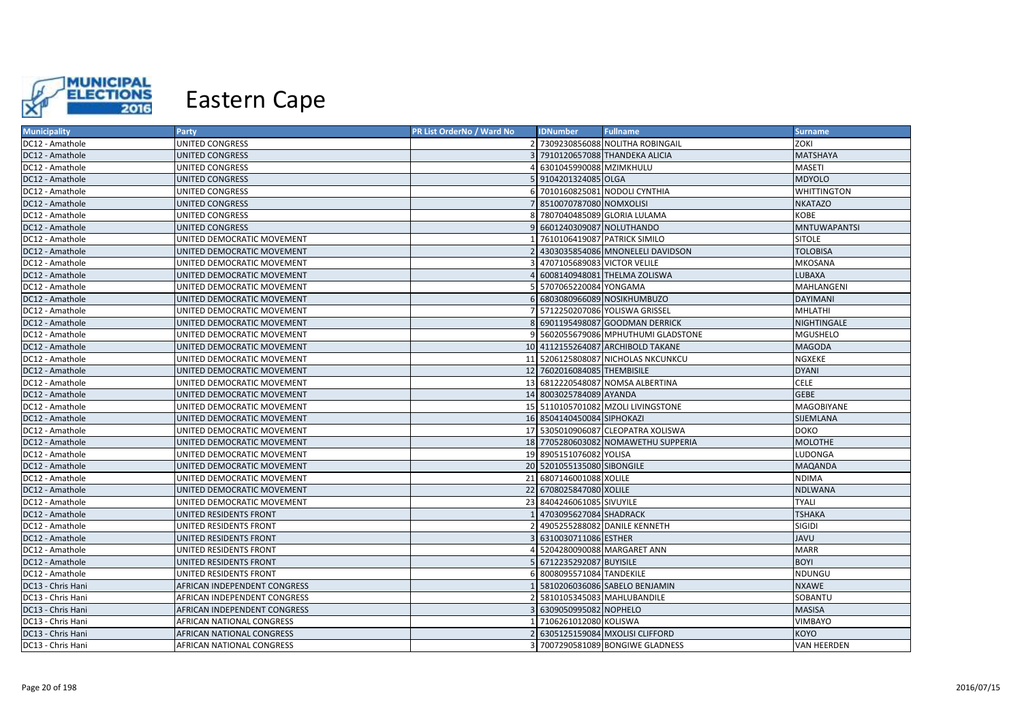

| <b>Municipality</b> | Party                        | PR List OrderNo / Ward No | <b>IDNumber</b>              | <b>Fullname</b>                     | <b>Surname</b>      |
|---------------------|------------------------------|---------------------------|------------------------------|-------------------------------------|---------------------|
| DC12 - Amathole     | UNITED CONGRESS              |                           |                              | 2 7309230856088 NOLITHA ROBINGAIL   | ZOKI                |
| DC12 - Amathole     | UNITED CONGRESS              |                           |                              | 7910120657088 THANDEKA ALICIA       | <b>MATSHAYA</b>     |
| DC12 - Amathole     | UNITED CONGRESS              |                           | 6301045990088 MZIMKHULU      |                                     | <b>MASETI</b>       |
| DC12 - Amathole     | <b>UNITED CONGRESS</b>       |                           | 9104201324085 OLGA           |                                     | <b>MDYOLO</b>       |
| DC12 - Amathole     | UNITED CONGRESS              |                           |                              | 7010160825081 NODOLI CYNTHIA        | WHITTINGTON         |
| DC12 - Amathole     | <b>UNITED CONGRESS</b>       |                           | 8510070787080 NOMXOLISI      |                                     | <b>NKATAZO</b>      |
| DC12 - Amathole     | UNITED CONGRESS              |                           |                              | 7807040485089 GLORIA LULAMA         | <b>KOBE</b>         |
| DC12 - Amathole     | <b>UNITED CONGRESS</b>       |                           | 6601240309087 NOLUTHANDO     |                                     | <b>MNTUWAPANTSI</b> |
| DC12 - Amathole     | UNITED DEMOCRATIC MOVEMENT   |                           | 7610106419087 PATRICK SIMILO |                                     | <b>SITOLE</b>       |
| DC12 - Amathole     | UNITED DEMOCRATIC MOVEMENT   |                           |                              | 4303035854086 MNONELELI DAVIDSON    | <b>TOLOBISA</b>     |
| DC12 - Amathole     | UNITED DEMOCRATIC MOVEMENT   |                           | 4707105689083 VICTOR VELILE  |                                     | <b>MKOSANA</b>      |
| DC12 - Amathole     | UNITED DEMOCRATIC MOVEMENT   |                           |                              | 6008140948081 THELMA ZOLISWA        | LUBAXA              |
| DC12 - Amathole     | UNITED DEMOCRATIC MOVEMENT   |                           | 5707065220084 YONGAMA        |                                     | MAHLANGENI          |
| DC12 - Amathole     | UNITED DEMOCRATIC MOVEMENT   |                           |                              | 6 6803080966089 NOSIKHUMBUZO        | <b>DAYIMANI</b>     |
| DC12 - Amathole     | UNITED DEMOCRATIC MOVEMENT   |                           |                              | 5712250207086 YOLISWA GRISSEL       | MHLATHI             |
| DC12 - Amathole     | UNITED DEMOCRATIC MOVEMENT   |                           |                              | 8 6901195498087 GOODMAN DERRICK     | NIGHTINGALE         |
| DC12 - Amathole     | UNITED DEMOCRATIC MOVEMENT   |                           |                              | 9 5602055679086 MPHUTHUMI GLADSTONE | MGUSHELO            |
| DC12 - Amathole     | UNITED DEMOCRATIC MOVEMENT   |                           |                              | 10 4112155264087 ARCHIBOLD TAKANE   | <b>MAGODA</b>       |
| DC12 - Amathole     | UNITED DEMOCRATIC MOVEMENT   |                           |                              | 11 5206125808087 NICHOLAS NKCUNKCU  | NGXEKE              |
| DC12 - Amathole     | UNITED DEMOCRATIC MOVEMENT   |                           | 12 7602016084085 THEMBISILE  |                                     | <b>DYANI</b>        |
| DC12 - Amathole     | UNITED DEMOCRATIC MOVEMENT   |                           |                              | 13 6812220548087 NOMSA ALBERTINA    | <b>CELE</b>         |
| DC12 - Amathole     | UNITED DEMOCRATIC MOVEMENT   |                           | 14 8003025784089 AYANDA      |                                     | <b>GEBE</b>         |
| DC12 - Amathole     | UNITED DEMOCRATIC MOVEMENT   |                           |                              | 15 5110105701082 MZOLI LIVINGSTONE  | MAGOBIYANE          |
| DC12 - Amathole     | UNITED DEMOCRATIC MOVEMENT   |                           | 16 8504140450084 SIPHOKAZI   |                                     | SIJEMLANA           |
| DC12 - Amathole     | UNITED DEMOCRATIC MOVEMENT   |                           |                              | 17 5305010906087 CLEOPATRA XOLISWA  | <b>DOKO</b>         |
| DC12 - Amathole     | UNITED DEMOCRATIC MOVEMENT   |                           |                              | 18 7705280603082 NOMAWETHU SUPPERIA | <b>MOLOTHE</b>      |
| DC12 - Amathole     | UNITED DEMOCRATIC MOVEMENT   |                           | 19 8905151076082 YOLISA      |                                     | LUDONGA             |
| DC12 - Amathole     | UNITED DEMOCRATIC MOVEMENT   |                           | 20 5201055135080 SIBONGILE   |                                     | <b>MAQANDA</b>      |
| DC12 - Amathole     | UNITED DEMOCRATIC MOVEMENT   |                           | 21 6807146001088 XOLILE      |                                     | <b>NDIMA</b>        |
| DC12 - Amathole     | UNITED DEMOCRATIC MOVEMENT   |                           | 22 6708025847080 XOLILE      |                                     | <b>NDLWANA</b>      |
| DC12 - Amathole     | UNITED DEMOCRATIC MOVEMENT   |                           | 23 8404246061085 SIVUYILE    |                                     | <b>TYALI</b>        |
| DC12 - Amathole     | UNITED RESIDENTS FRONT       |                           | 4703095627084 SHADRACK       |                                     | <b>TSHAKA</b>       |
| DC12 - Amathole     | UNITED RESIDENTS FRONT       |                           |                              | 4905255288082 DANILE KENNETH        | <b>SIGIDI</b>       |
| DC12 - Amathole     | UNITED RESIDENTS FRONT       |                           | 6310030711086 ESTHER         |                                     | <b>JAVU</b>         |
| DC12 - Amathole     | UNITED RESIDENTS FRONT       |                           |                              | 5204280090088 MARGARET ANN          | <b>MARR</b>         |
| DC12 - Amathole     | UNITED RESIDENTS FRONT       |                           | 6712235292087 BUYISILE       |                                     | <b>BOYI</b>         |
| DC12 - Amathole     | UNITED RESIDENTS FRONT       |                           | 6 8008095571084 TANDEKILE    |                                     | NDUNGU              |
| DC13 - Chris Hani   | AFRICAN INDEPENDENT CONGRESS |                           |                              | 5810206036086 SABELO BENJAMIN       | <b>NXAWE</b>        |
| DC13 - Chris Hani   | AFRICAN INDEPENDENT CONGRESS |                           |                              | 5810105345083 MAHLUBANDILE          | SOBANTU             |
| DC13 - Chris Hani   | AFRICAN INDEPENDENT CONGRESS |                           | 6309050995082 NOPHELO        |                                     | <b>MASISA</b>       |
| DC13 - Chris Hani   | AFRICAN NATIONAL CONGRESS    |                           | 7106261012080 KOLISWA        |                                     | <b>VIMBAYO</b>      |
| DC13 - Chris Hani   | AFRICAN NATIONAL CONGRESS    |                           |                              | 6305125159084 MXOLISI CLIFFORD      | KOYO                |
| DC13 - Chris Hani   | AFRICAN NATIONAL CONGRESS    |                           |                              | 3 7007290581089 BONGIWE GLADNESS    | <b>VAN HEERDEN</b>  |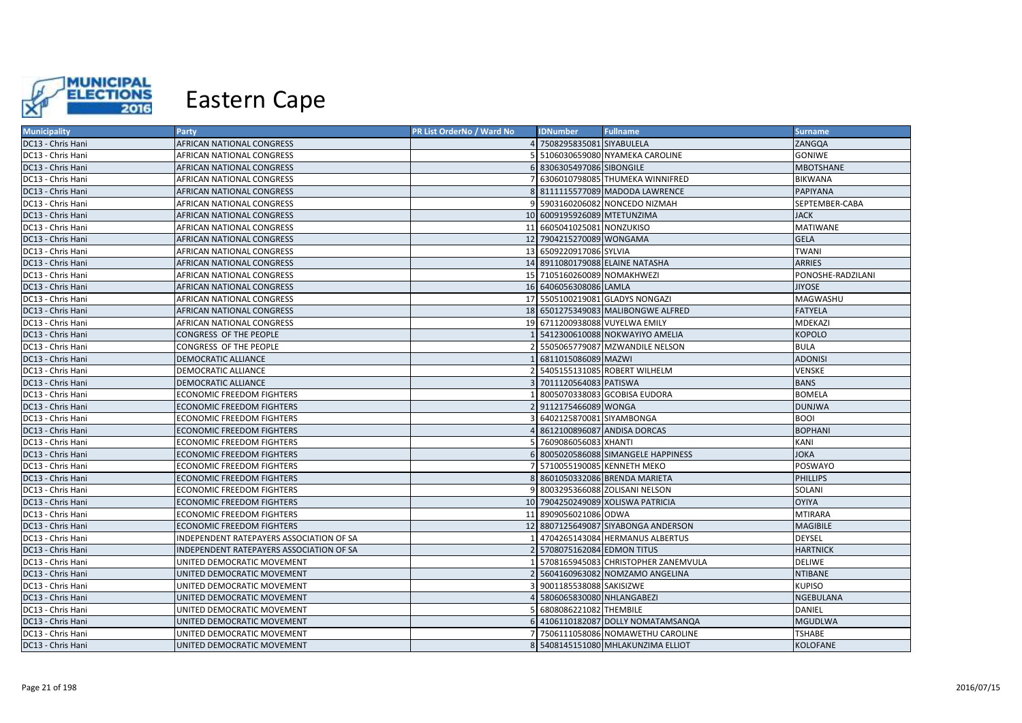

| <b>Municipality</b> | Party                                    | PR List OrderNo / Ward No | <b>IDNumber</b>             | <b>Fullname</b>                     | <b>Surname</b>    |
|---------------------|------------------------------------------|---------------------------|-----------------------------|-------------------------------------|-------------------|
| DC13 - Chris Hani   | AFRICAN NATIONAL CONGRESS                |                           | 4 7508295835081 SIYABULELA  |                                     | ZANGQA            |
| DC13 - Chris Hani   | AFRICAN NATIONAL CONGRESS                |                           |                             | 5106030659080 NYAMEKA CAROLINE      | <b>GONIWE</b>     |
| DC13 - Chris Hani   | AFRICAN NATIONAL CONGRESS                |                           | 6 8306305497086 SIBONGILE   |                                     | <b>MBOTSHANE</b>  |
| DC13 - Chris Hani   | AFRICAN NATIONAL CONGRESS                |                           |                             | 6306010798085 THUMEKA WINNIFRED     | <b>BIKWANA</b>    |
| DC13 - Chris Hani   | AFRICAN NATIONAL CONGRESS                |                           |                             | 8111115577089 MADODA LAWRENCE       | PAPIYANA          |
| DC13 - Chris Hani   | AFRICAN NATIONAL CONGRESS                |                           |                             | 5903160206082 NONCEDO NIZMAH        | SEPTEMBER-CABA    |
| DC13 - Chris Hani   | AFRICAN NATIONAL CONGRESS                |                           | 10 6009195926089 MTETUNZIMA |                                     | <b>JACK</b>       |
| DC13 - Chris Hani   | AFRICAN NATIONAL CONGRESS                |                           | 11 6605041025081 NONZUKISO  |                                     | <b>MATIWANE</b>   |
| DC13 - Chris Hani   | AFRICAN NATIONAL CONGRESS                |                           | 12 7904215270089 WONGAMA    |                                     | <b>GELA</b>       |
| DC13 - Chris Hani   | AFRICAN NATIONAL CONGRESS                |                           | 13 6509220917086 SYLVIA     |                                     | <b>TWANI</b>      |
| DC13 - Chris Hani   | AFRICAN NATIONAL CONGRESS                |                           |                             | 14 8911080179088 ELAINE NATASHA     | <b>ARRIES</b>     |
| DC13 - Chris Hani   | AFRICAN NATIONAL CONGRESS                |                           | 15 7105160260089 NOMAKHWEZI |                                     | PONOSHE-RADZILANI |
| DC13 - Chris Hani   | AFRICAN NATIONAL CONGRESS                |                           | 16 6406056308086 LAMLA      |                                     | <b>JIYOSE</b>     |
| DC13 - Chris Hani   | AFRICAN NATIONAL CONGRESS                |                           |                             | 17 5505100219081 GLADYS NONGAZI     | MAGWASHU          |
| DC13 - Chris Hani   | AFRICAN NATIONAL CONGRESS                |                           |                             | 18 6501275349083 MALIBONGWE ALFRED  | <b>FATYELA</b>    |
| DC13 - Chris Hani   | AFRICAN NATIONAL CONGRESS                |                           |                             | 19 6711200938088 VUYELWA EMILY      | MDEKAZI           |
| DC13 - Chris Hani   | CONGRESS OF THE PEOPLE                   |                           |                             | 5412300610088 NOKWAYIYO AMELIA      | <b>KOPOLO</b>     |
| DC13 - Chris Hani   | CONGRESS OF THE PEOPLE                   |                           |                             | 5505065779087 MZWANDILE NELSON      | <b>BULA</b>       |
| DC13 - Chris Hani   | DEMOCRATIC ALLIANCE                      |                           | 6811015086089 MAZWI         |                                     | <b>ADONISI</b>    |
| DC13 - Chris Hani   | DEMOCRATIC ALLIANCE                      |                           |                             | 5405155131085 ROBERT WILHELM        | <b>VENSKE</b>     |
| DC13 - Chris Hani   | <b>DEMOCRATIC ALLIANCE</b>               |                           | 7011120564083 PATISWA       |                                     | <b>BANS</b>       |
| DC13 - Chris Hani   | ECONOMIC FREEDOM FIGHTERS                |                           |                             | 8005070338083 GCOBISA EUDORA        | <b>BOMELA</b>     |
| DC13 - Chris Hani   | ECONOMIC FREEDOM FIGHTERS                |                           | 2 9112175466089 WONGA       |                                     | <b>DUNJWA</b>     |
| DC13 - Chris Hani   | ECONOMIC FREEDOM FIGHTERS                |                           | 6402125870081 SIYAMBONGA    |                                     | <b>BOOI</b>       |
| DC13 - Chris Hani   | <b>ECONOMIC FREEDOM FIGHTERS</b>         |                           |                             | 8612100896087 ANDISA DORCAS         | <b>BOPHANI</b>    |
| DC13 - Chris Hani   | ECONOMIC FREEDOM FIGHTERS                |                           | 7609086056083 XHANTI        |                                     | KANI              |
| DC13 - Chris Hani   | ECONOMIC FREEDOM FIGHTERS                |                           |                             | 6 8005020586088 SIMANGELE HAPPINESS | <b>JOKA</b>       |
| DC13 - Chris Hani   | ECONOMIC FREEDOM FIGHTERS                |                           |                             | 5710055190085 KENNETH MEKO          | POSWAYO           |
| DC13 - Chris Hani   | ECONOMIC FREEDOM FIGHTERS                |                           |                             | 8601050332086 BRENDA MARIETA        | <b>PHILLIPS</b>   |
| DC13 - Chris Hani   | ECONOMIC FREEDOM FIGHTERS                |                           |                             | 9 8003295366088 ZOLISANI NELSON     | SOLANI            |
| DC13 - Chris Hani   | <b>ECONOMIC FREEDOM FIGHTERS</b>         |                           |                             | 10 7904250249089 XOLISWA PATRICIA   | <b>OYIYA</b>      |
| DC13 - Chris Hani   | ECONOMIC FREEDOM FIGHTERS                |                           | 11 8909056021086 ODWA       |                                     | <b>MTIRARA</b>    |
| DC13 - Chris Hani   | <b>ECONOMIC FREEDOM FIGHTERS</b>         |                           |                             | 12 8807125649087 SIYABONGA ANDERSON | <b>MAGIBILE</b>   |
| DC13 - Chris Hani   | INDEPENDENT RATEPAYERS ASSOCIATION OF SA |                           |                             | 4704265143084 HERMANUS ALBERTUS     | DEYSEL            |
| DC13 - Chris Hani   | INDEPENDENT RATEPAYERS ASSOCIATION OF SA |                           | 5708075162084 EDMON TITUS   |                                     | <b>HARTNICK</b>   |
| DC13 - Chris Hani   | UNITED DEMOCRATIC MOVEMENT               |                           |                             | 5708165945083 CHRISTOPHER ZANEMVULA | <b>DELIWE</b>     |
| DC13 - Chris Hani   | UNITED DEMOCRATIC MOVEMENT               |                           |                             | 5604160963082 NOMZAMO ANGELINA      | <b>NTIBANE</b>    |
| DC13 - Chris Hani   | UNITED DEMOCRATIC MOVEMENT               |                           | 9001185538088 SAKISIZWE     |                                     | <b>KUPISO</b>     |
| DC13 - Chris Hani   | UNITED DEMOCRATIC MOVEMENT               |                           | 5806065830080 NHLANGABEZI   |                                     | <b>NGEBULANA</b>  |
| DC13 - Chris Hani   | UNITED DEMOCRATIC MOVEMENT               |                           | 6808086221082 THEMBILE      |                                     | DANIEL            |
| DC13 - Chris Hani   | UNITED DEMOCRATIC MOVEMENT               |                           |                             | 6 4106110182087 DOLLY NOMATAMSANQA  | <b>MGUDLWA</b>    |
| DC13 - Chris Hani   | UNITED DEMOCRATIC MOVEMENT               |                           |                             | 7506111058086 NOMAWETHU CAROLINE    | <b>TSHABE</b>     |
| DC13 - Chris Hani   | UNITED DEMOCRATIC MOVEMENT               |                           |                             | 8 5408145151080 MHLAKUNZIMA ELLIOT  | <b>KOLOFANE</b>   |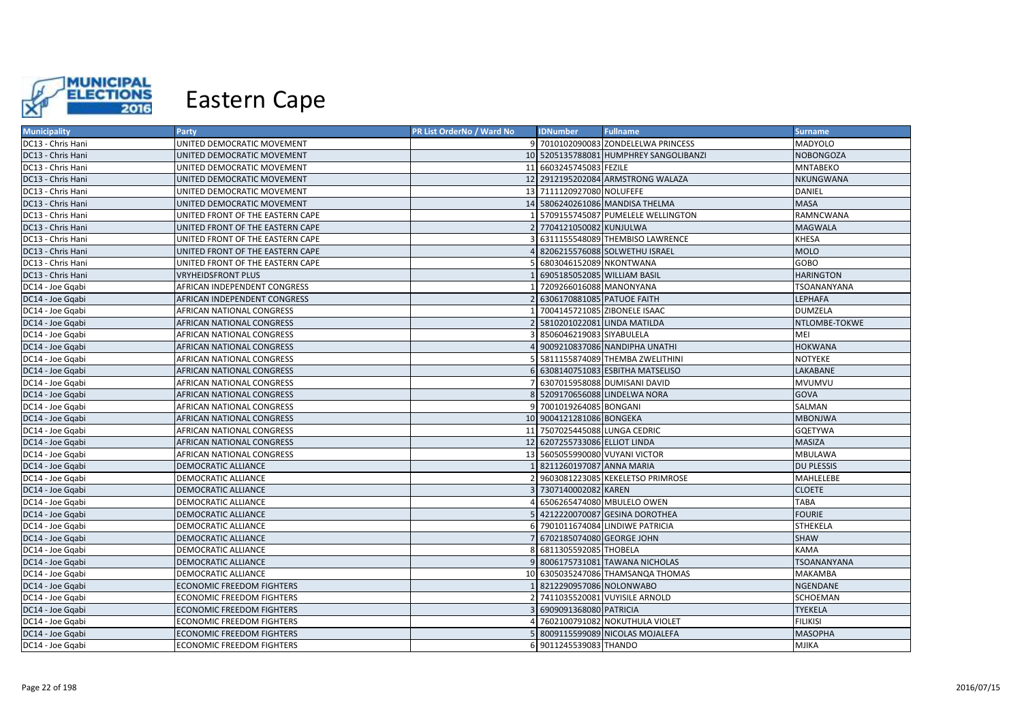

| <b>Municipality</b> | <b>Party</b>                     | <b>PR List OrderNo / Ward No</b> | <b>IDNumber</b>                | <b>Fullname</b>                        | <b>Surname</b>     |
|---------------------|----------------------------------|----------------------------------|--------------------------------|----------------------------------------|--------------------|
| DC13 - Chris Hani   | UNITED DEMOCRATIC MOVEMENT       |                                  |                                | 9 7010102090083 ZONDELELWA PRINCESS    | MADYOLO            |
| DC13 - Chris Hani   | UNITED DEMOCRATIC MOVEMENT       |                                  |                                | 10 5205135788081 HUMPHREY SANGOLIBANZI | <b>NOBONGOZA</b>   |
| DC13 - Chris Hani   | UNITED DEMOCRATIC MOVEMENT       |                                  | 11 6603245745083 FEZILE        |                                        | <b>MNTABEKO</b>    |
| DC13 - Chris Hani   | UNITED DEMOCRATIC MOVEMENT       |                                  |                                | 12 2912195202084 ARMSTRONG WALAZA      | NKUNGWANA          |
| DC13 - Chris Hani   | UNITED DEMOCRATIC MOVEMENT       |                                  | 13 7111120927080 NOLUFEFE      |                                        | DANIEL             |
| DC13 - Chris Hani   | UNITED DEMOCRATIC MOVEMENT       |                                  |                                | 14 5806240261086 MANDISA THELMA        | <b>MASA</b>        |
| DC13 - Chris Hani   | UNITED FRONT OF THE EASTERN CAPE |                                  |                                | 1 5709155745087 PUMELELE WELLINGTON    | RAMNCWANA          |
| DC13 - Chris Hani   | UNITED FRONT OF THE EASTERN CAPE |                                  | 2 7704121050082 KUNJULWA       |                                        | <b>MAGWALA</b>     |
| DC13 - Chris Hani   | UNITED FRONT OF THE EASTERN CAPE |                                  |                                | 6311155548089 THEMBISO LAWRENCE        | <b>KHESA</b>       |
| DC13 - Chris Hani   | UNITED FRONT OF THE EASTERN CAPE |                                  |                                | 8206215576088 SOLWETHU ISRAEL          | <b>MOLO</b>        |
| DC13 - Chris Hani   | UNITED FRONT OF THE EASTERN CAPE |                                  | 5 6803046152089 NKONTWANA      |                                        | GOBO               |
| DC13 - Chris Hani   | <b>VRYHEIDSFRONT PLUS</b>        |                                  | 6905185052085 WILLIAM BASIL    |                                        | <b>HARINGTON</b>   |
| DC14 - Joe Ggabi    | AFRICAN INDEPENDENT CONGRESS     |                                  | 1 7209266016088 MANONYANA      |                                        | TSOANANYANA        |
| DC14 - Joe Gqabi    | AFRICAN INDEPENDENT CONGRESS     |                                  | 2 6306170881085 PATUOE FAITH   |                                        | LEPHAFA            |
| DC14 - Joe Gqabi    | AFRICAN NATIONAL CONGRESS        |                                  | 7004145721085 ZIBONELE ISAAC   |                                        | <b>DUMZELA</b>     |
| DC14 - Joe Gqabi    | AFRICAN NATIONAL CONGRESS        |                                  | 2 5810201022081 LINDA MATILDA  |                                        | NTLOMBE-TOKWE      |
| DC14 - Joe Gqabi    | AFRICAN NATIONAL CONGRESS        |                                  | 3 8506046219083 SIYABULELA     |                                        | MEI                |
| DC14 - Joe Gqabi    | AFRICAN NATIONAL CONGRESS        |                                  |                                | 4 9009210837086 NANDIPHA UNATHI        | <b>HOKWANA</b>     |
| DC14 - Joe Gqabi    | AFRICAN NATIONAL CONGRESS        |                                  |                                | 5 5811155874089 THEMBA ZWELITHINI      | NOTYEKE            |
| DC14 - Joe Gqabi    | AFRICAN NATIONAL CONGRESS        |                                  |                                | 6 6308140751083 ESBITHA MATSELISO      | LAKABANE           |
| DC14 - Joe Gqabi    | AFRICAN NATIONAL CONGRESS        |                                  |                                | 7 6307015958088 DUMISANI DAVID         | MVUMVU             |
| DC14 - Joe Gqabi    | AFRICAN NATIONAL CONGRESS        |                                  |                                | 8 5209170656088 LINDELWA NORA          | GOVA               |
| DC14 - Joe Gqabi    | AFRICAN NATIONAL CONGRESS        |                                  | 9 7001019264085 BONGANI        |                                        | SALMAN             |
| DC14 - Joe Gqabi    | AFRICAN NATIONAL CONGRESS        |                                  | 10 9004121281086 BONGEKA       |                                        | <b>MBONJWA</b>     |
| DC14 - Joe Gqabi    | AFRICAN NATIONAL CONGRESS        |                                  | 11 7507025445088 LUNGA CEDRIC  |                                        | <b>GQETYWA</b>     |
| DC14 - Joe Gqabi    | AFRICAN NATIONAL CONGRESS        |                                  | 12 6207255733086 ELLIOT LINDA  |                                        | <b>MASIZA</b>      |
| DC14 - Joe Gqabi    | AFRICAN NATIONAL CONGRESS        |                                  | 13 5605055990080 VUYANI VICTOR |                                        | <b>MBULAWA</b>     |
| DC14 - Joe Gqabi    | <b>DEMOCRATIC ALLIANCE</b>       |                                  | 8211260197087 ANNA MARIA       |                                        | <b>DU PLESSIS</b>  |
| DC14 - Joe Gqabi    | DEMOCRATIC ALLIANCE              |                                  |                                | 2 9603081223085 KEKELETSO PRIMROSE     | MAHLELEBE          |
| DC14 - Joe Gqabi    | <b>DEMOCRATIC ALLIANCE</b>       |                                  | 3 7307140002082 KAREN          |                                        | <b>CLOETE</b>      |
| DC14 - Joe Gqabi    | DEMOCRATIC ALLIANCE              |                                  |                                | 4 6506265474080 MBULELO OWEN           | <b>TABA</b>        |
| DC14 - Joe Ggabi    | <b>DEMOCRATIC ALLIANCE</b>       |                                  |                                | 5 4212220070087 GESINA DOROTHEA        | <b>FOURIE</b>      |
| DC14 - Joe Gqabi    | DEMOCRATIC ALLIANCE              |                                  |                                | 6 7901011674084 LINDIWE PATRICIA       | <b>STHEKELA</b>    |
| DC14 - Joe Gqabi    | <b>DEMOCRATIC ALLIANCE</b>       |                                  | 7 6702185074080 GEORGE JOHN    |                                        | SHAW               |
| DC14 - Joe Gqabi    | DEMOCRATIC ALLIANCE              |                                  | 6811305592085 THOBELA          |                                        | <b>KAMA</b>        |
| DC14 - Joe Gqabi    | <b>DEMOCRATIC ALLIANCE</b>       |                                  |                                | 9 8006175731081 TAWANA NICHOLAS        | <b>TSOANANYANA</b> |
| DC14 - Joe Gqabi    | DEMOCRATIC ALLIANCE              |                                  |                                | 10 6305035247086 THAMSANQA THOMAS      | <b>MAKAMBA</b>     |
| DC14 - Joe Gqabi    | <b>ECONOMIC FREEDOM FIGHTERS</b> |                                  | 1 8212290957086 NOLONWABO      |                                        | NGENDANE           |
| DC14 - Joe Gqabi    | ECONOMIC FREEDOM FIGHTERS        |                                  |                                | 2 7411035520081 VUYISILE ARNOLD        | SCHOEMAN           |
| DC14 - Joe Gqabi    | ECONOMIC FREEDOM FIGHTERS        |                                  | 6909091368080 PATRICIA         |                                        | <b>TYEKELA</b>     |
| DC14 - Joe Gqabi    | <b>ECONOMIC FREEDOM FIGHTERS</b> |                                  |                                | 4 7602100791082 NOKUTHULA VIOLET       | <b>FILIKISI</b>    |
| DC14 - Joe Gqabi    | ECONOMIC FREEDOM FIGHTERS        |                                  |                                | 5 8009115599089 NICOLAS MOJALEFA       | <b>MASOPHA</b>     |
| DC14 - Joe Gqabi    | <b>ECONOMIC FREEDOM FIGHTERS</b> |                                  | 6 9011245539083 THANDO         |                                        | <b>MJIKA</b>       |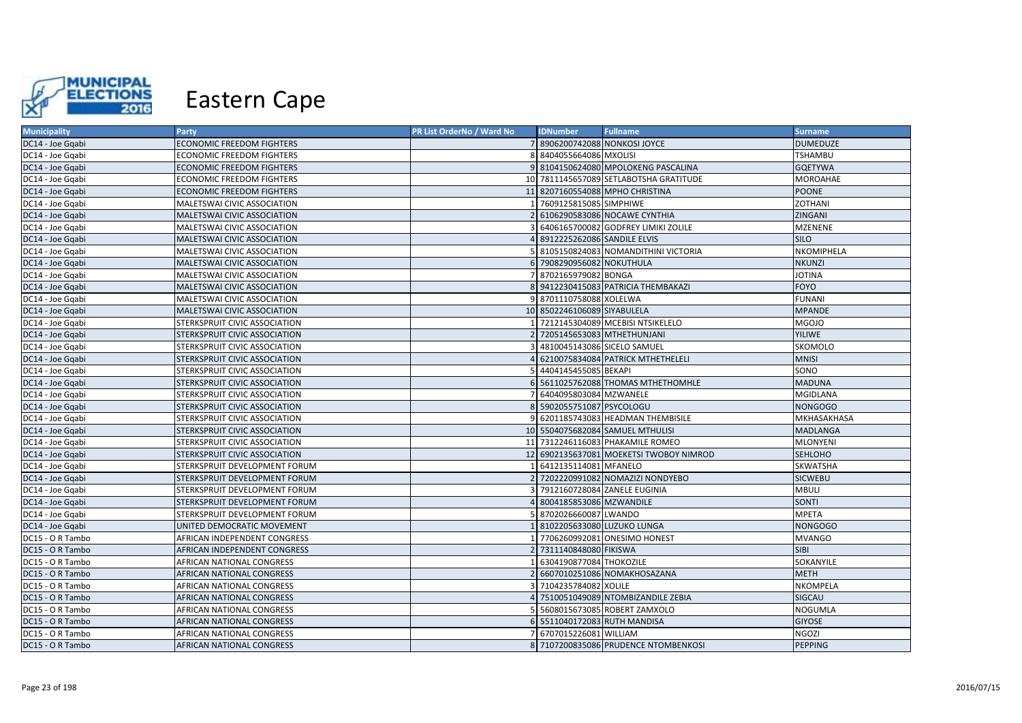

| <b>Municipality</b> | <b>Party</b>                     | PR List OrderNo / Ward No | <b>IDNumber</b>              | <b>Fullname</b>                         | <b>Surname</b>  |
|---------------------|----------------------------------|---------------------------|------------------------------|-----------------------------------------|-----------------|
| DC14 - Joe Gqabi    | ECONOMIC FREEDOM FIGHTERS        |                           | 8906200742088 NONKOSI JOYCE  |                                         | <b>DUMEDUZE</b> |
| DC14 - Joe Gqabi    | ECONOMIC FREEDOM FIGHTERS        |                           | 8404055664086 MXOLISI        |                                         | TSHAMBU         |
| DC14 - Joe Gqabi    | <b>ECONOMIC FREEDOM FIGHTERS</b> |                           |                              | 9 8104150624080 MPOLOKENG PASCALINA     | <b>GQETYWA</b>  |
| DC14 - Joe Gqabi    | ECONOMIC FREEDOM FIGHTERS        |                           |                              | 10 7811145657089 SETLABOTSHA GRATITUDE  | MOROAHAE        |
| DC14 - Joe Gqabi    | ECONOMIC FREEDOM FIGHTERS        |                           |                              | 11 8207160554088 MPHO CHRISTINA         | <b>POONE</b>    |
| DC14 - Joe Gqabi    | MALETSWAI CIVIC ASSOCIATION      |                           | 7609125815085 SIMPHIWE       |                                         | ZOTHANI         |
| DC14 - Joe Gqabi    | MALETSWAI CIVIC ASSOCIATION      |                           |                              | 6106290583086 NOCAWE CYNTHIA            | ZINGANI         |
| DC14 - Joe Ggabi    | MALETSWAI CIVIC ASSOCIATION      |                           |                              | 6406165700082 GODFREY LIMIKI ZOLILE     | <b>MZENENE</b>  |
| DC14 - Joe Gqabi    | MALETSWAI CIVIC ASSOCIATION      |                           | 8912225262086 SANDILE ELVIS  |                                         | <b>SILO</b>     |
| DC14 - Joe Gqabi    | MALETSWAI CIVIC ASSOCIATION      |                           |                              | 8105150824083 NOMANDITHINI VICTORIA     | NKOMIPHELA      |
| DC14 - Joe Gqabi    | MALETSWAI CIVIC ASSOCIATION      |                           | 6 7908290956082 NOKUTHULA    |                                         | <b>NKUNZI</b>   |
| DC14 - Joe Ggabi    | MALETSWAI CIVIC ASSOCIATION      |                           | 8702165979082 BONGA          |                                         | <b>JOTINA</b>   |
| DC14 - Joe Ggabi    | MALETSWAI CIVIC ASSOCIATION      |                           |                              | 8 9412230415083 PATRICIA THEMBAKAZI     | <b>FOYO</b>     |
| DC14 - Joe Gqabi    | MALETSWAI CIVIC ASSOCIATION      |                           | 8701110758088 XOLELWA        |                                         | <b>FUNANI</b>   |
| DC14 - Joe Ggabi    | MALETSWAI CIVIC ASSOCIATION      |                           | 10 8502246106089 SIYABULELA  |                                         | <b>MPANDE</b>   |
| DC14 - Joe Gqabi    | STERKSPRUIT CIVIC ASSOCIATION    |                           |                              | 7212145304089 MCEBISI NTSIKELELO        | <b>MGOJO</b>    |
| DC14 - Joe Ggabi    | STERKSPRUIT CIVIC ASSOCIATION    |                           | 2 7205145653083 MTHETHUNJANI |                                         | <b>YILIWE</b>   |
| DC14 - Joe Gqabi    | STERKSPRUIT CIVIC ASSOCIATION    |                           |                              | 4810045143086 SICELO SAMUEL             | SKOMOLO         |
| DC14 - Joe Gqabi    | STERKSPRUIT CIVIC ASSOCIATION    |                           |                              | 6210075834084 PATRICK MTHETHELELI       | <b>MNISI</b>    |
| DC14 - Joe Gqabi    | STERKSPRUIT CIVIC ASSOCIATION    |                           | 4404145455085 BEKAPI         |                                         | SONO            |
| DC14 - Joe Gqabi    | STERKSPRUIT CIVIC ASSOCIATION    |                           |                              | 5611025762088 THOMAS MTHETHOMHLE        | <b>MADUNA</b>   |
| DC14 - Joe Ggabi    | STERKSPRUIT CIVIC ASSOCIATION    |                           | 6404095803084 MZWANELE       |                                         | <b>MGIDLANA</b> |
| DC14 - Joe Gqabi    | STERKSPRUIT CIVIC ASSOCIATION    |                           | 8 5902055751087 PSYCOLOGU    |                                         | NONGOGO         |
| DC14 - Joe Gqabi    | STERKSPRUIT CIVIC ASSOCIATION    |                           |                              | 6201185743083 HEADMAN THEMBISILE        | MKHASAKHASA     |
| DC14 - Joe Gqabi    | STERKSPRUIT CIVIC ASSOCIATION    |                           |                              | 10 5504075682084 SAMUEL MTHULISI        | <b>MADLANGA</b> |
| DC14 - Joe Gqabi    | STERKSPRUIT CIVIC ASSOCIATION    |                           |                              | 11 7312246116083 PHAKAMILE ROMEO        | <b>MLONYENI</b> |
| DC14 - Joe Gqabi    | STERKSPRUIT CIVIC ASSOCIATION    |                           |                              | 12 6902135637081 MOEKETSI TWOBOY NIMROD | <b>SEHLOHO</b>  |
| DC14 - Joe Gqabi    | STERKSPRUIT DEVELOPMENT FORUM    |                           | 6412135114081 MFANELO        |                                         | SKWATSHA        |
| DC14 - Joe Gqabi    | STERKSPRUIT DEVELOPMENT FORUM    |                           |                              | 7202220991082 NOMAZIZI NONDYEBO         | <b>SICWEBU</b>  |
| DC14 - Joe Gqabi    | STERKSPRUIT DEVELOPMENT FORUM    |                           |                              | 7912160728084 ZANELE EUGINIA            | <b>MBULI</b>    |
| DC14 - Joe Gqabi    | STERKSPRUIT DEVELOPMENT FORUM    |                           | 8004185853086 MZWANDILE      |                                         | SONTI           |
| DC14 - Joe Gqabi    | STERKSPRUIT DEVELOPMENT FORUM    |                           | 8702026660087 LWANDO         |                                         | <b>MPETA</b>    |
| DC14 - Joe Gqabi    | UNITED DEMOCRATIC MOVEMENT       |                           | 8102205633080 LUZUKO LUNGA   |                                         | <b>NONGOGO</b>  |
| DC15 - O R Tambo    | AFRICAN INDEPENDENT CONGRESS     |                           |                              | 7706260992081 ONESIMO HONEST            | <b>MVANGO</b>   |
| DC15 - O R Tambo    | AFRICAN INDEPENDENT CONGRESS     |                           | 7311140848080 FIKISWA        |                                         | <b>SIBI</b>     |
| DC15 - O R Tambo    | AFRICAN NATIONAL CONGRESS        |                           | 6304190877084 THOKOZILE      |                                         | SOKANYILE       |
| DC15 - O R Tambo    | AFRICAN NATIONAL CONGRESS        |                           |                              | 6607010251086 NOMAKHOSAZANA             | <b>METH</b>     |
| DC15 - O R Tambo    | AFRICAN NATIONAL CONGRESS        |                           | 7104235784082 XOLILE         |                                         | NKOMPELA        |
| DC15 - O R Tambo    | AFRICAN NATIONAL CONGRESS        |                           |                              | 7510051049089 NTOMBIZANDILE ZEBIA       | SIGCAU          |
| DC15 - O R Tambo    | AFRICAN NATIONAL CONGRESS        |                           |                              | 5608015673085 ROBERT ZAMXOLO            | <b>NOGUMLA</b>  |
| DC15 - O R Tambo    | AFRICAN NATIONAL CONGRESS        |                           | 6 5511040172083 RUTH MANDISA |                                         | <b>GIYOSE</b>   |
| DC15 - O R Tambo    | AFRICAN NATIONAL CONGRESS        |                           | 6707015226081 WILLIAM        |                                         | <b>NGOZI</b>    |
| DC15 - O R Tambo    | AFRICAN NATIONAL CONGRESS        |                           |                              | 8 7107200835086 PRUDENCE NTOMBENKOSI    | <b>PEPPING</b>  |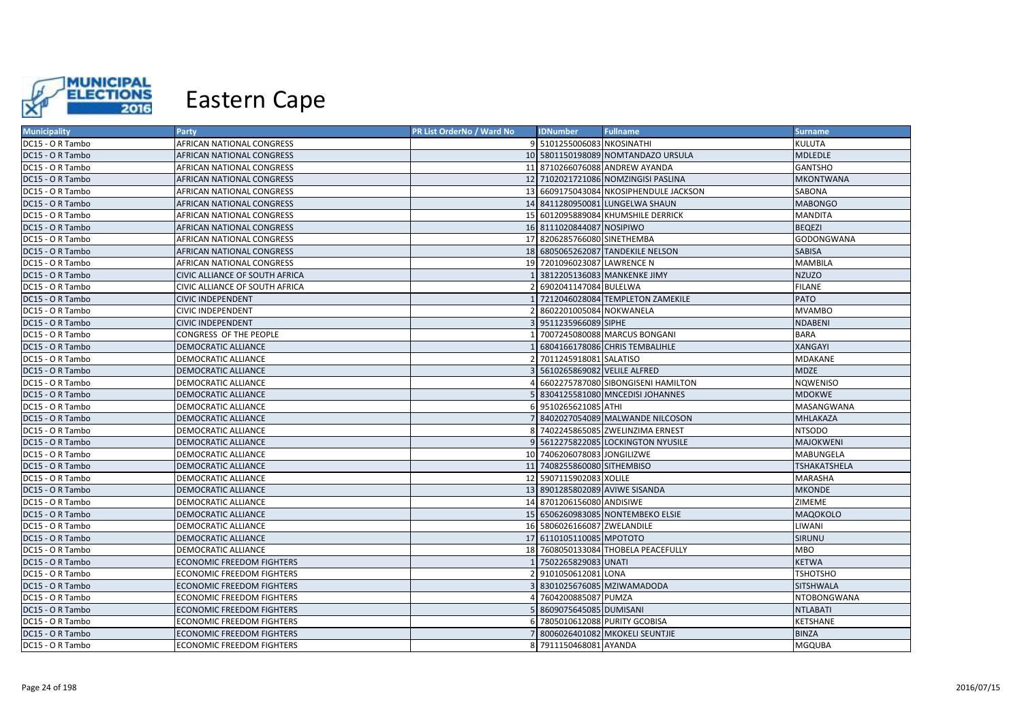

| <b>Municipality</b> | <b>Party</b>                     | PR List OrderNo / Ward No | <b>IDNumber</b>                | <b>Fullname</b>                        | <b>Surname</b>      |
|---------------------|----------------------------------|---------------------------|--------------------------------|----------------------------------------|---------------------|
| DC15 - O R Tambo    | AFRICAN NATIONAL CONGRESS        |                           | 9 5101255006083 NKOSINATHI     |                                        | <b>KULUTA</b>       |
| DC15 - O R Tambo    | AFRICAN NATIONAL CONGRESS        |                           |                                | 10 5801150198089 NOMTANDAZO URSULA     | <b>MDLEDLE</b>      |
| DC15 - O R Tambo    | AFRICAN NATIONAL CONGRESS        |                           |                                | 11 8710266076088 ANDREW AYANDA         | <b>GANTSHO</b>      |
| DC15 - O R Tambo    | AFRICAN NATIONAL CONGRESS        |                           |                                | 12 7102021721086 NOMZINGISI PASLINA    | <b>MKONTWANA</b>    |
| DC15 - O R Tambo    | AFRICAN NATIONAL CONGRESS        |                           |                                | 13 6609175043084 NKOSIPHENDULE JACKSON | SABONA              |
| DC15 - O R Tambo    | AFRICAN NATIONAL CONGRESS        |                           |                                | 14 8411280950081 LUNGELWA SHAUN        | <b>MABONGO</b>      |
| DC15 - O R Tambo    | AFRICAN NATIONAL CONGRESS        |                           |                                | 15 6012095889084 KHUMSHILE DERRICK     | <b>MANDITA</b>      |
| DC15 - O R Tambo    | AFRICAN NATIONAL CONGRESS        |                           | 16 8111020844087 NOSIPIWO      |                                        | <b>BEQEZI</b>       |
| DC15 - O R Tambo    | AFRICAN NATIONAL CONGRESS        |                           | 17 8206285766080 SINETHEMBA    |                                        | GODONGWANA          |
| DC15 - O R Tambo    | AFRICAN NATIONAL CONGRESS        |                           |                                | 18 6805065262087 TANDEKILE NELSON      | <b>SABISA</b>       |
| DC15 - O R Tambo    | AFRICAN NATIONAL CONGRESS        |                           | 19 7201096023087 LAWRENCE N    |                                        | <b>MAMBILA</b>      |
| DC15 - O R Tambo    | CIVIC ALLIANCE OF SOUTH AFRICA   |                           |                                | 1 3812205136083 MANKENKE JIMY          | <b>NZUZO</b>        |
| DC15 - O R Tambo    | CIVIC ALLIANCE OF SOUTH AFRICA   |                           | 2 6902041147084 BULELWA        |                                        | <b>FILANE</b>       |
| DC15 - O R Tambo    | <b>CIVIC INDEPENDENT</b>         |                           |                                | 7212046028084 TEMPLETON ZAMEKILE       | <b>PATO</b>         |
| DC15 - O R Tambo    | <b>CIVIC INDEPENDENT</b>         |                           | 2 8602201005084 NOKWANELA      |                                        | <b>MVAMBO</b>       |
| DC15 - O R Tambo    | <b>CIVIC INDEPENDENT</b>         |                           | 3 9511235966089 SIPHE          |                                        | <b>NDABENI</b>      |
| DC15 - O R Tambo    | CONGRESS OF THE PEOPLE           |                           |                                | 1 7007245080088 MARCUS BONGANI         | <b>BARA</b>         |
| DC15 - O R Tambo    | DEMOCRATIC ALLIANCE              |                           |                                | 6804166178086 CHRIS TEMBALIHLE         | <b>XANGAYI</b>      |
| DC15 - O R Tambo    | DEMOCRATIC ALLIANCE              |                           | 2 7011245918081 SALATISO       |                                        | MDAKANE             |
| DC15 - O R Tambo    | <b>DEMOCRATIC ALLIANCE</b>       |                           | 5610265869082 VELILE ALFRED    |                                        | <b>MDZE</b>         |
| DC15 - O R Tambo    | DEMOCRATIC ALLIANCE              |                           |                                | 4 6602275787080 SIBONGISENI HAMILTON   | <b>NQWENISO</b>     |
| DC15 - O R Tambo    | DEMOCRATIC ALLIANCE              |                           |                                | 5 8304125581080 MNCEDISI JOHANNES      | <b>MDOKWE</b>       |
| DC15 - O R Tambo    | DEMOCRATIC ALLIANCE              |                           | 6 9510265621085 ATHI           |                                        | MASANGWANA          |
| DC15 - O R Tambo    | <b>DEMOCRATIC ALLIANCE</b>       |                           |                                | 7 8402027054089 MALWANDE NILCOSON      | MHLAKAZA            |
| DC15 - O R Tambo    | DEMOCRATIC ALLIANCE              |                           |                                | 8 7402245865085 ZWELINZIMA ERNEST      | <b>NTSODO</b>       |
| DC15 - O R Tambo    | <b>DEMOCRATIC ALLIANCE</b>       |                           |                                | 9 5612275822085 LOCKINGTON NYUSILE     | <b>MAJOKWENI</b>    |
| DC15 - O R Tambo    | DEMOCRATIC ALLIANCE              |                           | 10 7406206078083 JONGILIZWE    |                                        | <b>MABUNGELA</b>    |
| DC15 - O R Tambo    | <b>DEMOCRATIC ALLIANCE</b>       |                           | 11 7408255860080 SITHEMBISO    |                                        | <b>TSHAKATSHELA</b> |
| DC15 - O R Tambo    | DEMOCRATIC ALLIANCE              |                           | 12 5907115902083 XOLILE        |                                        | <b>MARASHA</b>      |
| DC15 - O R Tambo    | <b>DEMOCRATIC ALLIANCE</b>       |                           | 13 8901285802089 AVIWE SISANDA |                                        | <b>MKONDE</b>       |
| DC15 - O R Tambo    | DEMOCRATIC ALLIANCE              |                           | 14 8701206156080 ANDISIWE      |                                        | ZIMEME              |
| DC15 - O R Tambo    | <b>DEMOCRATIC ALLIANCE</b>       |                           |                                | 15 6506260983085 NONTEMBEKO ELSIE      | <b>MAQOKOLO</b>     |
| DC15 - O R Tambo    | DEMOCRATIC ALLIANCE              |                           | 16 5806026166087 ZWELANDILE    |                                        | LIWANI              |
| DC15 - O R Tambo    | <b>DEMOCRATIC ALLIANCE</b>       |                           | 17 6110105110085 MPOTOTO       |                                        | <b>SIRUNU</b>       |
| DC15 - O R Tambo    | <b>DEMOCRATIC ALLIANCE</b>       |                           |                                | 18 7608050133084 THOBELA PEACEFULLY    | <b>MBO</b>          |
| DC15 - O R Tambo    | <b>ECONOMIC FREEDOM FIGHTERS</b> |                           | 1 7502265829083 UNATI          |                                        | <b>KETWA</b>        |
| DC15 - O R Tambo    | ECONOMIC FREEDOM FIGHTERS        |                           | 2 9101050612081 LONA           |                                        | <b>TSHOTSHO</b>     |
| DC15 - O R Tambo    | ECONOMIC FREEDOM FIGHTERS        |                           |                                | 8301025676085 MZIWAMADODA              | SITSHWALA           |
| DC15 - O R Tambo    | ECONOMIC FREEDOM FIGHTERS        |                           | 7604200885087 PUMZA            |                                        | NTOBONGWANA         |
| DC15 - O R Tambo    | <b>ECONOMIC FREEDOM FIGHTERS</b> |                           | 5 8609075645085 DUMISANI       |                                        | <b>NTLABATI</b>     |
| DC15 - O R Tambo    | ECONOMIC FREEDOM FIGHTERS        |                           |                                | 6 7805010612088 PURITY GCOBISA         | KETSHANE            |
| DC15 - O R Tambo    | ECONOMIC FREEDOM FIGHTERS        |                           |                                | 7 8006026401082 MKOKELI SEUNTJIE       | <b>BINZA</b>        |
| DC15 - O R Tambo    | <b>ECONOMIC FREEDOM FIGHTERS</b> |                           | 8 7911150468081 AYANDA         |                                        | <b>MGQUBA</b>       |
|                     |                                  |                           |                                |                                        |                     |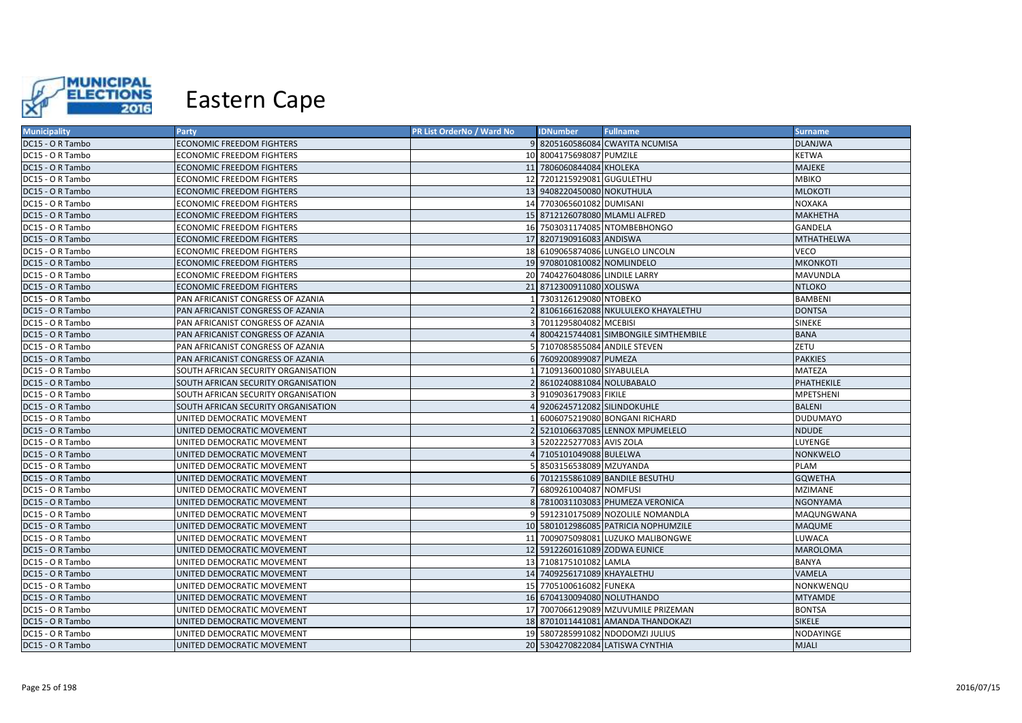

| <b>Municipality</b> | <b>Party</b>                        | PR List OrderNo / Ward No | <b>IDNumber</b>                | <b>Fullname</b>                      | <b>Surname</b>  |
|---------------------|-------------------------------------|---------------------------|--------------------------------|--------------------------------------|-----------------|
| DC15 - O R Tambo    | <b>ECONOMIC FREEDOM FIGHTERS</b>    |                           |                                | 9 8205160586084 CWAYITA NCUMISA      | <b>DLANJWA</b>  |
| DC15 - O R Tambo    | ECONOMIC FREEDOM FIGHTERS           |                           | 10 8004175698087 PUMZILE       |                                      | <b>KETWA</b>    |
| DC15 - O R Tambo    | <b>ECONOMIC FREEDOM FIGHTERS</b>    |                           | 11 7806060844084 KHOLEKA       |                                      | MAJEKE          |
| DC15 - O R Tambo    | ECONOMIC FREEDOM FIGHTERS           |                           | 12 7201215929081 GUGULETHU     |                                      | <b>MBIKO</b>    |
| DC15 - O R Tambo    | ECONOMIC FREEDOM FIGHTERS           |                           | 13 9408220450080 NOKUTHULA     |                                      | <b>MLOKOTI</b>  |
| DC15 - O R Tambo    | ECONOMIC FREEDOM FIGHTERS           |                           | 14 7703065601082 DUMISANI      |                                      | <b>NOXAKA</b>   |
| DC15 - O R Tambo    | ECONOMIC FREEDOM FIGHTERS           |                           | 15 8712126078080 MLAMLI ALFRED |                                      | MAKHETHA        |
| DC15 - O R Tambo    | ECONOMIC FREEDOM FIGHTERS           |                           |                                | 16 7503031174085 NTOMBEBHONGO        | <b>GANDELA</b>  |
| DC15 - O R Tambo    | ECONOMIC FREEDOM FIGHTERS           |                           | 17 8207190916083 ANDISWA       |                                      | MTHATHELWA      |
| DC15 - O R Tambo    | ECONOMIC FREEDOM FIGHTERS           |                           |                                | 18 6109065874086 LUNGELO LINCOLN     | VECO            |
| DC15 - O R Tambo    | <b>ECONOMIC FREEDOM FIGHTERS</b>    |                           | 19 9708010810082 NOMLINDELO    |                                      | <b>MKONKOTI</b> |
| DC15 - O R Tambo    | ECONOMIC FREEDOM FIGHTERS           |                           | 20 7404276048086 LINDILE LARRY |                                      | MAVUNDLA        |
| DC15 - O R Tambo    | <b>ECONOMIC FREEDOM FIGHTERS</b>    |                           | 21 8712300911080 XOLISWA       |                                      | <b>NTLOKO</b>   |
| DC15 - O R Tambo    | PAN AFRICANIST CONGRESS OF AZANIA   |                           | 7303126129080 NTOBEKO          |                                      | <b>BAMBENI</b>  |
| DC15 - O R Tambo    | PAN AFRICANIST CONGRESS OF AZANIA   |                           |                                | 8106166162088 NKULULEKO KHAYALETHU   | <b>DONTSA</b>   |
| DC15 - O R Tambo    | PAN AFRICANIST CONGRESS OF AZANIA   |                           | 7011295804082 MCEBISI          |                                      | <b>SINEKE</b>   |
| DC15 - O R Tambo    | PAN AFRICANIST CONGRESS OF AZANIA   |                           |                                | 8004215744081 SIMBONGILE SIMTHEMBILE | <b>BANA</b>     |
| DC15 - O R Tambo    | PAN AFRICANIST CONGRESS OF AZANIA   |                           | 7107085855084 ANDILE STEVEN    |                                      | ZETU            |
| DC15 - O R Tambo    | PAN AFRICANIST CONGRESS OF AZANIA   |                           | 7609200899087 PUMEZA           |                                      | <b>PAKKIES</b>  |
| DC15 - O R Tambo    | SOUTH AFRICAN SECURITY ORGANISATION |                           | 7109136001080 SIYABULELA       |                                      | <b>MATEZA</b>   |
| DC15 - O R Tambo    | SOUTH AFRICAN SECURITY ORGANISATION |                           | 2 8610240881084 NOLUBABALO     |                                      | PHATHEKILE      |
| DC15 - O R Tambo    | SOUTH AFRICAN SECURITY ORGANISATION |                           | 9109036179083 FIKILE           |                                      | MPETSHENI       |
| DC15 - O R Tambo    | SOUTH AFRICAN SECURITY ORGANISATION |                           | 9206245712082 SILINDOKUHLE     |                                      | <b>BALENI</b>   |
| DC15 - O R Tambo    | UNITED DEMOCRATIC MOVEMENT          |                           |                                | 6006075219080 BONGANI RICHARD        | <b>DUDUMAYO</b> |
| DC15 - O R Tambo    | UNITED DEMOCRATIC MOVEMENT          |                           |                                | 5210106637085 LENNOX MPUMELELO       | <b>NDUDE</b>    |
| DC15 - O R Tambo    | UNITED DEMOCRATIC MOVEMENT          |                           | 5202225277083 AVIS ZOLA        |                                      | LUYENGE         |
| DC15 - O R Tambo    | UNITED DEMOCRATIC MOVEMENT          |                           | 4 7105101049088 BULELWA        |                                      | <b>NONKWELO</b> |
| DC15 - O R Tambo    | UNITED DEMOCRATIC MOVEMENT          |                           | 8503156538089 MZUYANDA         |                                      | <b>PLAM</b>     |
| DC15 - O R Tambo    | UNITED DEMOCRATIC MOVEMENT          |                           |                                | 7012155861089 BANDILE BESUTHU        | <b>GQWETHA</b>  |
| DC15 - O R Tambo    | UNITED DEMOCRATIC MOVEMENT          |                           | 6809261004087 NOMFUSI          |                                      | <b>MZIMANE</b>  |
| DC15 - O R Tambo    | UNITED DEMOCRATIC MOVEMENT          |                           |                                | 8 7810031103083 PHUMEZA VERONICA     | <b>NGONYAMA</b> |
| DC15 - O R Tambo    | UNITED DEMOCRATIC MOVEMENT          |                           |                                | 5912310175089 NOZOLILE NOMANDLA      | MAQUNGWANA      |
| DC15 - O R Tambo    | UNITED DEMOCRATIC MOVEMENT          |                           |                                | 10 5801012986085 PATRICIA NOPHUMZILE | <b>MAQUME</b>   |
| DC15 - O R Tambo    | UNITED DEMOCRATIC MOVEMENT          |                           |                                | 11 7009075098081 LUZUKO MALIBONGWE   | LUWACA          |
| DC15 - O R Tambo    | UNITED DEMOCRATIC MOVEMENT          |                           | 12 5912260161089 ZODWA EUNICE  |                                      | <b>MAROLOMA</b> |
| DC15 - O R Tambo    | UNITED DEMOCRATIC MOVEMENT          |                           | 13 7108175101082 LAMLA         |                                      | <b>BANYA</b>    |
| DC15 - O R Tambo    | UNITED DEMOCRATIC MOVEMENT          |                           | 14 7409256171089 KHAYALETHU    |                                      | VAMELA          |
| DC15 - O R Tambo    | UNITED DEMOCRATIC MOVEMENT          |                           | 15 7705100616082 FUNEKA        |                                      | NONKWENQU       |
| DC15 - O R Tambo    | UNITED DEMOCRATIC MOVEMENT          |                           | 16 6704130094080 NOLUTHANDO    |                                      | <b>MTYAMDE</b>  |
| DC15 - O R Tambo    | UNITED DEMOCRATIC MOVEMENT          |                           |                                | 17 7007066129089 MZUVUMILE PRIZEMAN  | <b>BONTSA</b>   |
| DC15 - O R Tambo    | UNITED DEMOCRATIC MOVEMENT          |                           |                                | 18 8701011441081 AMANDA THANDOKAZI   | <b>SIKELE</b>   |
| DC15 - O R Tambo    | UNITED DEMOCRATIC MOVEMENT          |                           |                                | 19 5807285991082 NDODOMZI JULIUS     | NODAYINGE       |
| DC15 - O R Tambo    | UNITED DEMOCRATIC MOVEMENT          |                           |                                | 20 5304270822084 LATISWA CYNTHIA     | <b>MJALI</b>    |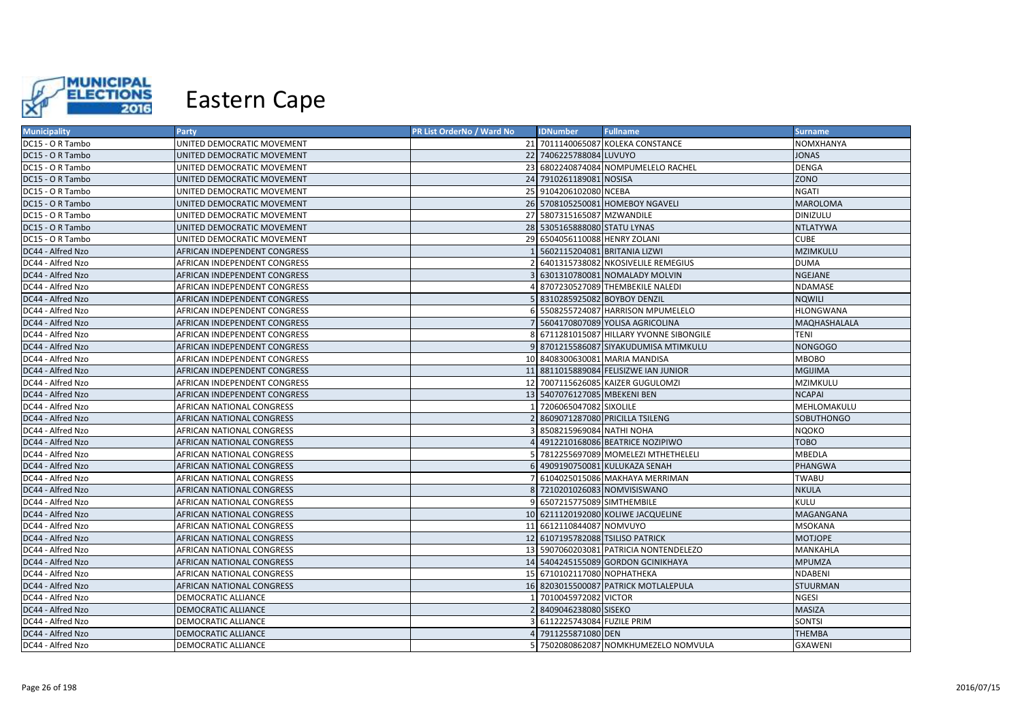

| <b>Municipality</b> | <b>Party</b>                 | PR List OrderNo / Ward No | <b>IDNumber</b>                  | <b>Fullname</b>                          | <b>Surname</b>      |
|---------------------|------------------------------|---------------------------|----------------------------------|------------------------------------------|---------------------|
| DC15 - O R Tambo    | UNITED DEMOCRATIC MOVEMENT   |                           |                                  | 21 7011140065087 KOLEKA CONSTANCE        | NOMXHANYA           |
| DC15 - O R Tambo    | UNITED DEMOCRATIC MOVEMENT   |                           | 22 7406225788084 LUVUYO          |                                          | <b>JONAS</b>        |
| DC15 - O R Tambo    | UNITED DEMOCRATIC MOVEMENT   |                           |                                  | 23 6802240874084 NOMPUMELELO RACHEL      | <b>DENGA</b>        |
| DC15 - O R Tambo    | UNITED DEMOCRATIC MOVEMENT   |                           | 24 7910261189081 NOSISA          |                                          | <b>ZONO</b>         |
| DC15 - O R Tambo    | UNITED DEMOCRATIC MOVEMENT   |                           | 25 9104206102080 NCEBA           |                                          | <b>NGATI</b>        |
| DC15 - O R Tambo    | UNITED DEMOCRATIC MOVEMENT   |                           |                                  | 26 5708105250081 HOMEBOY NGAVELI         | <b>MAROLOMA</b>     |
| DC15 - O R Tambo    | UNITED DEMOCRATIC MOVEMENT   |                           | 27 5807315165087 MZWANDILE       |                                          | DINIZULU            |
| DC15 - O R Tambo    | UNITED DEMOCRATIC MOVEMENT   |                           | 28 5305165888080 STATU LYNAS     |                                          | <b>NTLATYWA</b>     |
| DC15 - O R Tambo    | UNITED DEMOCRATIC MOVEMENT   |                           | 29 6504056110088 HENRY ZOLANI    |                                          | <b>CUBE</b>         |
| DC44 - Alfred Nzo   | AFRICAN INDEPENDENT CONGRESS |                           | 5602115204081 BRITANIA LIZWI     |                                          | MZIMKULU            |
| DC44 - Alfred Nzo   | AFRICAN INDEPENDENT CONGRESS |                           |                                  | 6401315738082 NKOSIVELILE REMEGIUS       | <b>DUMA</b>         |
| DC44 - Alfred Nzo   | AFRICAN INDEPENDENT CONGRESS |                           |                                  | 6301310780081 NOMALADY MOLVIN            | NGEJANE             |
| DC44 - Alfred Nzo   | AFRICAN INDEPENDENT CONGRESS |                           |                                  | 8707230527089 THEMBEKILE NALEDI          | NDAMASE             |
| DC44 - Alfred Nzo   | AFRICAN INDEPENDENT CONGRESS |                           | 8310285925082 BOYBOY DENZIL      |                                          | <b>NQWILI</b>       |
| DC44 - Alfred Nzo   | AFRICAN INDEPENDENT CONGRESS |                           |                                  | 5508255724087 HARRISON MPUMELELO         | <b>HLONGWANA</b>    |
| DC44 - Alfred Nzo   | AFRICAN INDEPENDENT CONGRESS |                           |                                  | 7 5604170807089 YOLISA AGRICOLINA        | <b>MAQHASHALALA</b> |
| DC44 - Alfred Nzo   | AFRICAN INDEPENDENT CONGRESS |                           |                                  | 8 6711281015087 HILLARY YVONNE SIBONGILE | <b>TENI</b>         |
| DC44 - Alfred Nzo   | AFRICAN INDEPENDENT CONGRESS |                           |                                  | 9 8701215586087 SIYAKUDUMISA MTIMKULU    | <b>NONGOGO</b>      |
| DC44 - Alfred Nzo   | AFRICAN INDEPENDENT CONGRESS |                           |                                  | 10 8408300630081 MARIA MANDISA           | <b>MBOBO</b>        |
| DC44 - Alfred Nzo   | AFRICAN INDEPENDENT CONGRESS |                           |                                  | 11 8811015889084 FELISIZWE IAN JUNIOR    | <b>MGIJIMA</b>      |
| DC44 - Alfred Nzo   | AFRICAN INDEPENDENT CONGRESS |                           |                                  | 12 7007115626085 KAIZER GUGULOMZI        | MZIMKULU            |
| DC44 - Alfred Nzo   | AFRICAN INDEPENDENT CONGRESS |                           | 13 5407076127085 MBEKENI BEN     |                                          | <b>NCAPAI</b>       |
| DC44 - Alfred Nzo   | AFRICAN NATIONAL CONGRESS    |                           | 7206065047082 SIXOLILE           |                                          | MEHLOMAKULU         |
| DC44 - Alfred Nzo   | AFRICAN NATIONAL CONGRESS    |                           |                                  | 8609071287080 PRICILLA TSILENG           | <b>SOBUTHONGO</b>   |
| DC44 - Alfred Nzo   | AFRICAN NATIONAL CONGRESS    |                           | 8508215969084 NATHI NOHA         |                                          | <b>NQOKO</b>        |
| DC44 - Alfred Nzo   | AFRICAN NATIONAL CONGRESS    |                           |                                  | 4912210168086 BEATRICE NOZIPIWO          | <b>TOBO</b>         |
| DC44 - Alfred Nzo   | AFRICAN NATIONAL CONGRESS    |                           |                                  | 5 7812255697089 MOMELEZI MTHETHELELI     | <b>MBEDLA</b>       |
| DC44 - Alfred Nzo   | AFRICAN NATIONAL CONGRESS    |                           |                                  | 4909190750081 KULUKAZA SENAH             | <b>PHANGWA</b>      |
| DC44 - Alfred Nzo   | AFRICAN NATIONAL CONGRESS    |                           |                                  | 6104025015086 MAKHAYA MERRIMAN           | <b>TWABU</b>        |
| DC44 - Alfred Nzo   | AFRICAN NATIONAL CONGRESS    |                           |                                  | 8 7210201026083 NOMVISISWANO             | <b>NKULA</b>        |
| DC44 - Alfred Nzo   | AFRICAN NATIONAL CONGRESS    |                           | 6507215775089 SIMTHEMBILE        |                                          | <b>KULU</b>         |
| DC44 - Alfred Nzo   | AFRICAN NATIONAL CONGRESS    |                           |                                  | 10 6211120192080 KOLIWE JACQUELINE       | MAGANGANA           |
| DC44 - Alfred Nzo   | AFRICAN NATIONAL CONGRESS    |                           | 11 6612110844087 NOMVUYO         |                                          | <b>MSOKANA</b>      |
| DC44 - Alfred Nzo   | AFRICAN NATIONAL CONGRESS    |                           | 12 6107195782088 TSILISO PATRICK |                                          | <b>MOTJOPE</b>      |
| DC44 - Alfred Nzo   | AFRICAN NATIONAL CONGRESS    |                           |                                  | 13 5907060203081 PATRICIA NONTENDELEZO   | MANKAHLA            |
| DC44 - Alfred Nzo   | AFRICAN NATIONAL CONGRESS    |                           |                                  | 14 5404245155089 GORDON GCINIKHAYA       | <b>MPUMZA</b>       |
| DC44 - Alfred Nzo   | AFRICAN NATIONAL CONGRESS    |                           | 15 6710102117080 NOPHATHEKA      |                                          | <b>NDABENI</b>      |
| DC44 - Alfred Nzo   | AFRICAN NATIONAL CONGRESS    |                           |                                  | 16 8203015500087 PATRICK MOTLALEPULA     | <b>STUURMAN</b>     |
| DC44 - Alfred Nzo   | DEMOCRATIC ALLIANCE          |                           | 7010045972082 VICTOR             |                                          | NGESI               |
| DC44 - Alfred Nzo   | DEMOCRATIC ALLIANCE          |                           | 8409046238080 SISEKO             |                                          | MASIZA              |
| DC44 - Alfred Nzo   | DEMOCRATIC ALLIANCE          |                           | 6112225743084 FUZILE PRIM        |                                          | SONTSI              |
| DC44 - Alfred Nzo   | DEMOCRATIC ALLIANCE          |                           | 7911255871080 DEN                |                                          | THEMBA              |
| DC44 - Alfred Nzo   | DEMOCRATIC ALLIANCE          |                           |                                  | 5 7502080862087 NOMKHUMEZELO NOMVULA     | <b>GXAWENI</b>      |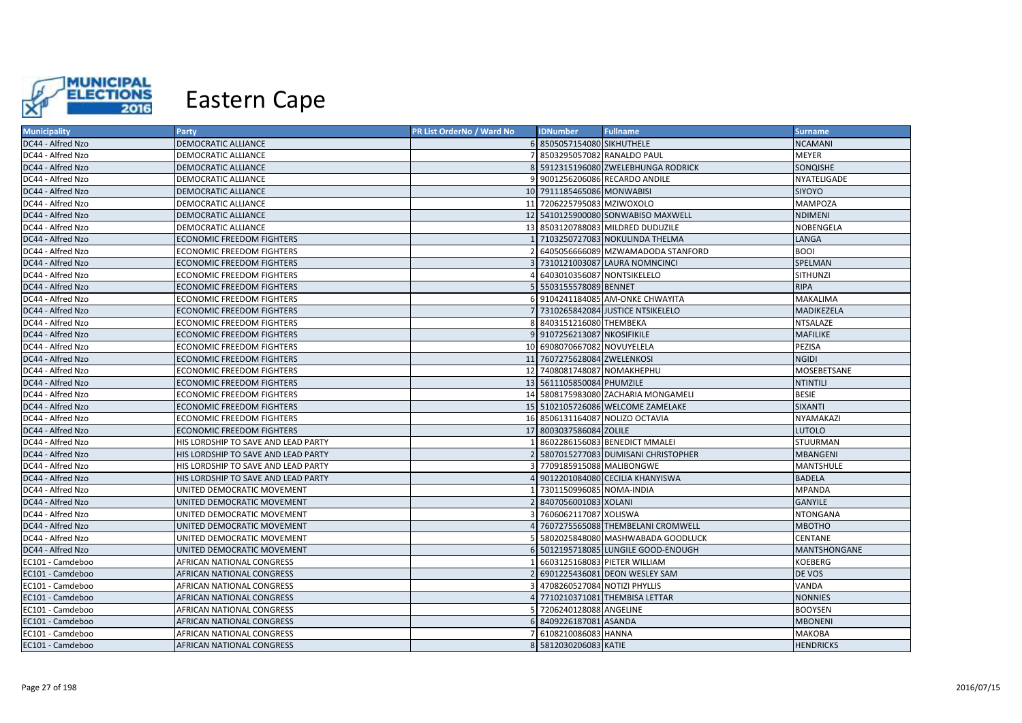

| <b>Municipality</b> | <b>Party</b>                        | PR List OrderNo / Ward No | <b>IDNumber</b>              | <b>Fullname</b>                     | <b>Surname</b>   |
|---------------------|-------------------------------------|---------------------------|------------------------------|-------------------------------------|------------------|
| DC44 - Alfred Nzo   | DEMOCRATIC ALLIANCE                 |                           | 6 8505057154080 SIKHUTHELE   |                                     | <b>NCAMANI</b>   |
| DC44 - Alfred Nzo   | DEMOCRATIC ALLIANCE                 |                           | 8503295057082 RANALDO PAUL   |                                     | MEYER            |
| DC44 - Alfred Nzo   | DEMOCRATIC ALLIANCE                 |                           |                              | 5912315196080 ZWELEBHUNGA RODRICK   | SONQISHE         |
| DC44 - Alfred Nzo   | DEMOCRATIC ALLIANCE                 | 9                         |                              | 9001256206086 RECARDO ANDILE        | NYATELIGADE      |
| DC44 - Alfred Nzo   | DEMOCRATIC ALLIANCE                 |                           | 10 7911185465086 MONWABISI   |                                     | SIYOYO           |
| DC44 - Alfred Nzo   | DEMOCRATIC ALLIANCE                 |                           | 11 7206225795083 MZIWOXOLO   |                                     | MAMPOZA          |
| DC44 - Alfred Nzo   | DEMOCRATIC ALLIANCE                 |                           |                              | 12 5410125900080 SONWABISO MAXWELL  | <b>NDIMENI</b>   |
| DC44 - Alfred Nzo   | DEMOCRATIC ALLIANCE                 |                           |                              | 13 8503120788083 MILDRED DUDUZILE   | NOBENGELA        |
| DC44 - Alfred Nzo   | ECONOMIC FREEDOM FIGHTERS           |                           |                              | 7103250727083 NOKULINDA THELMA      | LANGA            |
| DC44 - Alfred Nzo   | <b>ECONOMIC FREEDOM FIGHTERS</b>    |                           |                              | 6405056666089 MZWAMADODA STANFORD   | <b>BOOI</b>      |
| DC44 - Alfred Nzo   | ECONOMIC FREEDOM FIGHTERS           |                           |                              | 3 7310121003087 LAURA NOMNCINCI     | SPELMAN          |
| DC44 - Alfred Nzo   | ECONOMIC FREEDOM FIGHTERS           |                           | 6403010356087 NONTSIKELELO   |                                     | SITHUNZI         |
| DC44 - Alfred Nzo   | ECONOMIC FREEDOM FIGHTERS           |                           | 5 5503155578089 BENNET       |                                     | <b>RIPA</b>      |
| DC44 - Alfred Nzo   | ECONOMIC FREEDOM FIGHTERS           |                           |                              | 9104241184085 AM-ONKE CHWAYITA      | <b>MAKALIMA</b>  |
| DC44 - Alfred Nzo   | <b>ECONOMIC FREEDOM FIGHTERS</b>    |                           |                              | 7310265842084 JUSTICE NTSIKELELO    | MADIKEZELA       |
| DC44 - Alfred Nzo   | ECONOMIC FREEDOM FIGHTERS           |                           | 8 8403151216080 THEMBEKA     |                                     | NTSALAZE         |
| DC44 - Alfred Nzo   | ECONOMIC FREEDOM FIGHTERS           |                           | 9 9107256213087 NKOSIFIKILE  |                                     | <b>MAFILIKE</b>  |
| DC44 - Alfred Nzo   | ECONOMIC FREEDOM FIGHTERS           |                           | 10 6908070667082 NOVUYELELA  |                                     | PEZISA           |
| DC44 - Alfred Nzo   | ECONOMIC FREEDOM FIGHTERS           |                           | 11 7607275628084 ZWELENKOSI  |                                     | <b>NGIDI</b>     |
| DC44 - Alfred Nzo   | ECONOMIC FREEDOM FIGHTERS           |                           | 12 7408081748087 NOMAKHEPHU  |                                     | MOSEBETSANE      |
| DC44 - Alfred Nzo   | <b>ECONOMIC FREEDOM FIGHTERS</b>    |                           | 13 5611105850084 PHUMZILE    |                                     | <b>NTINTILI</b>  |
| DC44 - Alfred Nzo   | ECONOMIC FREEDOM FIGHTERS           |                           |                              | 14 5808175983080 ZACHARIA MONGAMELI | <b>BESIE</b>     |
| DC44 - Alfred Nzo   | ECONOMIC FREEDOM FIGHTERS           |                           |                              | 15 5102105726086 WELCOME ZAMELAKE   | SIXANTI          |
| DC44 - Alfred Nzo   | ECONOMIC FREEDOM FIGHTERS           |                           |                              | 16 8506131164087 NOLIZO OCTAVIA     | NYAMAKAZI        |
| DC44 - Alfred Nzo   | ECONOMIC FREEDOM FIGHTERS           |                           | 17 8003037586084 ZOLILE      |                                     | <b>LUTOLO</b>    |
| DC44 - Alfred Nzo   | HIS LORDSHIP TO SAVE AND LEAD PARTY |                           |                              | 8602286156083 BENEDICT MMALEI       | STUURMAN         |
| DC44 - Alfred Nzo   | HIS LORDSHIP TO SAVE AND LEAD PARTY |                           |                              | 5807015277083 DUMISANI CHRISTOPHER  | <b>MBANGENI</b>  |
| DC44 - Alfred Nzo   | HIS LORDSHIP TO SAVE AND LEAD PARTY |                           | 7709185915088 MALIBONGWE     |                                     | <b>MANTSHULE</b> |
| DC44 - Alfred Nzo   | HIS LORDSHIP TO SAVE AND LEAD PARTY |                           |                              | 9012201084080 CECILIA KHANYISWA     | <b>BADELA</b>    |
| DC44 - Alfred Nzo   | UNITED DEMOCRATIC MOVEMENT          |                           | 7301150996085 NOMA-INDIA     |                                     | <b>MPANDA</b>    |
| DC44 - Alfred Nzo   | UNITED DEMOCRATIC MOVEMENT          |                           | 8407056001083 XOLANI         |                                     | <b>GANYILE</b>   |
| DC44 - Alfred Nzo   | UNITED DEMOCRATIC MOVEMENT          |                           | 7606062117087 XOLISWA        |                                     | NTONGANA         |
| DC44 - Alfred Nzo   | UNITED DEMOCRATIC MOVEMENT          |                           |                              | 7607275565088 THEMBELANI CROMWELL   | <b>MBOTHO</b>    |
| DC44 - Alfred Nzo   | UNITED DEMOCRATIC MOVEMENT          |                           |                              | 5802025848080 MASHWABADA GOODLUCK   | CENTANE          |
| DC44 - Alfred Nzo   | UNITED DEMOCRATIC MOVEMENT          |                           |                              | 5012195718085 LUNGILE GOOD-ENOUGH   | MANTSHONGANE     |
| EC101 - Camdeboo    | AFRICAN NATIONAL CONGRESS           |                           |                              | 6603125168083 PIETER WILLIAM        | KOEBERG          |
| EC101 - Camdeboo    | AFRICAN NATIONAL CONGRESS           |                           |                              | 6901225436081 DEON WESLEY SAM       | DE VOS           |
| EC101 - Camdeboo    | AFRICAN NATIONAL CONGRESS           |                           | 4708260527084 NOTIZI PHYLLIS |                                     | VANDA            |
| EC101 - Camdeboo    | AFRICAN NATIONAL CONGRESS           |                           |                              | 7710210371081 THEMBISA LETTAR       | <b>NONNIES</b>   |
| EC101 - Camdeboo    | AFRICAN NATIONAL CONGRESS           |                           | 7206240128088 ANGELINE       |                                     | <b>BOOYSEN</b>   |
| EC101 - Camdeboo    | AFRICAN NATIONAL CONGRESS           |                           | 6 8409226187081 ASANDA       |                                     | <b>MBONENI</b>   |
| EC101 - Camdeboo    | AFRICAN NATIONAL CONGRESS           |                           | 6108210086083 HANNA          |                                     | МАКОВА           |
| EC101 - Camdeboo    | AFRICAN NATIONAL CONGRESS           |                           | 8 5812030206083 KATIE        |                                     | <b>HENDRICKS</b> |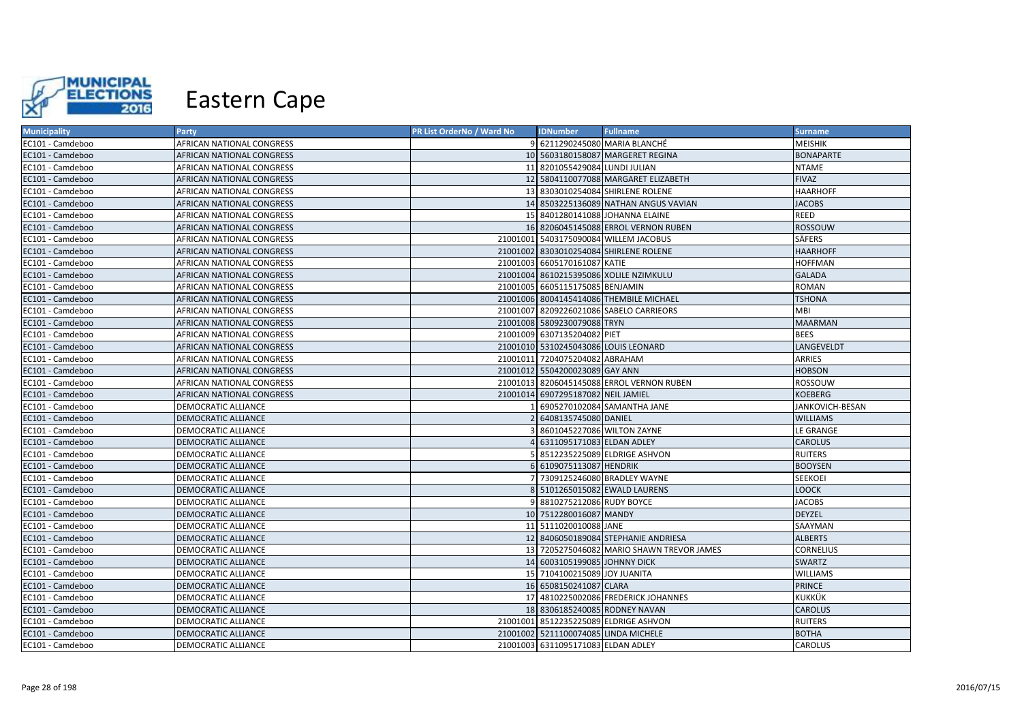

| <b>Municipality</b> | <b>Party</b>               | PR List OrderNo / Ward No | <b>IDNumber</b>                      | <b>Fullname</b>                           | <b>Surname</b>   |
|---------------------|----------------------------|---------------------------|--------------------------------------|-------------------------------------------|------------------|
| EC101 - Camdeboo    | AFRICAN NATIONAL CONGRESS  |                           |                                      | 9 6211290245080 MARIA BLANCHÉ             | <b>MEISHIK</b>   |
| EC101 - Camdeboo    | AFRICAN NATIONAL CONGRESS  |                           |                                      | 10 5603180158087 MARGERET REGINA          | <b>BONAPARTE</b> |
| EC101 - Camdeboo    | AFRICAN NATIONAL CONGRESS  |                           | 11 8201055429084 LUNDI JULIAN        |                                           | <b>NTAME</b>     |
| EC101 - Camdeboo    | AFRICAN NATIONAL CONGRESS  |                           |                                      | 12 5804110077088 MARGARET ELIZABETH       | <b>FIVAZ</b>     |
| EC101 - Camdeboo    | AFRICAN NATIONAL CONGRESS  |                           |                                      | 13 8303010254084 SHIRLENE ROLENE          | <b>HAARHOFF</b>  |
| EC101 - Camdeboo    | AFRICAN NATIONAL CONGRESS  |                           |                                      | 14 8503225136089 NATHAN ANGUS VAVIAN      | <b>JACOBS</b>    |
| EC101 - Camdeboo    | AFRICAN NATIONAL CONGRESS  |                           |                                      | 15 8401280141088 JOHANNA ELAINE           | REED             |
| EC101 - Camdeboo    | AFRICAN NATIONAL CONGRESS  |                           |                                      | 16 8206045145088 ERROL VERNON RUBEN       | ROSSOUW          |
| EC101 - Camdeboo    | AFRICAN NATIONAL CONGRESS  |                           |                                      | 21001001 5403175090084 WILLEM JACOBUS     | <b>SÄFERS</b>    |
| EC101 - Camdeboo    | AFRICAN NATIONAL CONGRESS  |                           |                                      | 21001002 8303010254084 SHIRLENE ROLENE    | <b>HAARHOFF</b>  |
| EC101 - Camdeboo    | AFRICAN NATIONAL CONGRESS  |                           | 21001003 6605170161087 KATIE         |                                           | <b>HOFFMAN</b>   |
| EC101 - Camdeboo    | AFRICAN NATIONAL CONGRESS  |                           |                                      | 21001004 8610215395086 XOLILE NZIMKULU    | <b>GALADA</b>    |
| EC101 - Camdeboo    | AFRICAN NATIONAL CONGRESS  |                           | 21001005 6605115175085 BENJAMIN      |                                           | <b>ROMAN</b>     |
| EC101 - Camdeboo    | AFRICAN NATIONAL CONGRESS  |                           |                                      | 21001006 8004145414086 THEMBILE MICHAEL   | <b>TSHONA</b>    |
| EC101 - Camdeboo    | AFRICAN NATIONAL CONGRESS  |                           |                                      | 21001007 8209226021086 SABELO CARRIEORS   | <b>MBI</b>       |
| EC101 - Camdeboo    | AFRICAN NATIONAL CONGRESS  |                           | 21001008 5809230079088 TRYN          |                                           | <b>MAARMAN</b>   |
| EC101 - Camdeboo    | AFRICAN NATIONAL CONGRESS  |                           | 21001009 6307135204082 PIET          |                                           | <b>BEES</b>      |
| EC101 - Camdeboo    | AFRICAN NATIONAL CONGRESS  |                           | 21001010 5310245043086 LOUIS LEONARD |                                           | LANGEVELDT       |
| EC101 - Camdeboo    | AFRICAN NATIONAL CONGRESS  |                           | 21001011 7204075204082 ABRAHAM       |                                           | <b>ARRIES</b>    |
| EC101 - Camdeboo    | AFRICAN NATIONAL CONGRESS  |                           | 21001012 5504200023089 GAY ANN       |                                           | <b>HOBSON</b>    |
| EC101 - Camdeboo    | AFRICAN NATIONAL CONGRESS  |                           |                                      | 21001013 8206045145088 ERROL VERNON RUBEN | ROSSOUW          |
| EC101 - Camdeboo    | AFRICAN NATIONAL CONGRESS  |                           | 21001014 6907295187082 NEIL JAMIEL   |                                           | <b>KOEBERG</b>   |
| EC101 - Camdeboo    | DEMOCRATIC ALLIANCE        |                           |                                      | 6905270102084 SAMANTHA JANE               | JANKOVICH-BESAN  |
| EC101 - Camdeboo    | DEMOCRATIC ALLIANCE        |                           | 2 6408135745080 DANIEL               |                                           | <b>WILLIAMS</b>  |
| EC101 - Camdeboo    | DEMOCRATIC ALLIANCE        |                           | 8601045227086 WILTON ZAYNE           |                                           | <b>LE GRANGE</b> |
| EC101 - Camdeboo    | DEMOCRATIC ALLIANCE        |                           | 4 6311095171083 ELDAN ADLEY          |                                           | <b>CAROLUS</b>   |
| EC101 - Camdeboo    | DEMOCRATIC ALLIANCE        |                           |                                      | 5 8512235225089 ELDRIGE ASHVON            | <b>RUITERS</b>   |
| EC101 - Camdeboo    | DEMOCRATIC ALLIANCE        |                           | 6 6109075113087 HENDRIK              |                                           | <b>BOOYSEN</b>   |
| EC101 - Camdeboo    | DEMOCRATIC ALLIANCE        |                           |                                      | 7 7309125246080 BRADLEY WAYNE             | <b>SEEKOEI</b>   |
| EC101 - Camdeboo    | DEMOCRATIC ALLIANCE        |                           |                                      | 8 5101265015082 EWALD LAURENS             | <b>LOOCK</b>     |
| EC101 - Camdeboo    | DEMOCRATIC ALLIANCE        |                           | 9 8810275212086 RUDY BOYCE           |                                           | <b>JACOBS</b>    |
| EC101 - Camdeboo    | DEMOCRATIC ALLIANCE        |                           | 10 7512280016087 MANDY               |                                           | <b>DEYZEL</b>    |
| EC101 - Camdeboo    | DEMOCRATIC ALLIANCE        |                           | 11 5111020010088 JANE                |                                           | SAAYMAN          |
| EC101 - Camdeboo    | DEMOCRATIC ALLIANCE        |                           |                                      | 12 8406050189084 STEPHANIE ANDRIESA       | <b>ALBERTS</b>   |
| EC101 - Camdeboo    | DEMOCRATIC ALLIANCE        |                           |                                      | 13 7205275046082 MARIO SHAWN TREVOR JAMES | <b>CORNELIUS</b> |
| EC101 - Camdeboo    | DEMOCRATIC ALLIANCE        |                           | 14 6003105199085 JOHNNY DICK         |                                           | <b>SWARTZ</b>    |
| EC101 - Camdeboo    | DEMOCRATIC ALLIANCE        |                           | 15 7104100215089 JOY JUANITA         |                                           | <b>WILLIAMS</b>  |
| EC101 - Camdeboo    | DEMOCRATIC ALLIANCE        |                           | 16 6508150241087 CLARA               |                                           | PRINCE           |
| EC101 - Camdeboo    | DEMOCRATIC ALLIANCE        |                           |                                      | 17 4810225002086 FREDERICK JOHANNES       | <b>KUKKÜK</b>    |
| EC101 - Camdeboo    | <b>DEMOCRATIC ALLIANCE</b> |                           | 18 8306185240085 RODNEY NAVAN        |                                           | <b>CAROLUS</b>   |
| EC101 - Camdeboo    | DEMOCRATIC ALLIANCE        |                           |                                      | 21001001 8512235225089 ELDRIGE ASHVON     | <b>RUITERS</b>   |
| EC101 - Camdeboo    | DEMOCRATIC ALLIANCE        |                           | 21001002 5211100074085 LINDA MICHELE |                                           | <b>BOTHA</b>     |
| EC101 - Camdeboo    | DEMOCRATIC ALLIANCE        |                           | 21001003 6311095171083 ELDAN ADLEY   |                                           | <b>CAROLUS</b>   |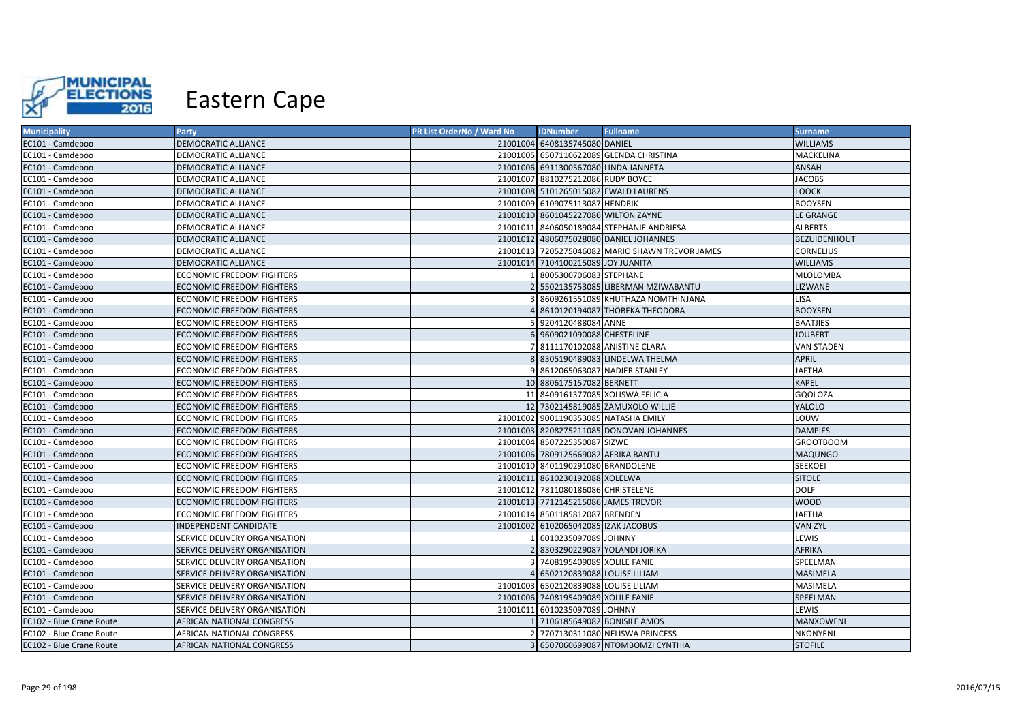

| <b>Municipality</b>      | <b>Party</b>                     | PR List OrderNo / Ward No | <b>IDNumber</b>                      | <b>Fullname</b>                                 | <b>Surname</b>      |
|--------------------------|----------------------------------|---------------------------|--------------------------------------|-------------------------------------------------|---------------------|
| EC101 - Camdeboo         | <b>DEMOCRATIC ALLIANCE</b>       |                           | 21001004 6408135745080 DANIEL        |                                                 | <b>WILLIAMS</b>     |
| EC101 - Camdeboo         | DEMOCRATIC ALLIANCE              |                           |                                      | 21001005 6507110622089 GLENDA CHRISTINA         | MACKELINA           |
| EC101 - Camdeboo         | DEMOCRATIC ALLIANCE              |                           | 21001006 6911300567080 LINDA JANNETA |                                                 | ANSAH               |
| EC101 - Camdeboo         | DEMOCRATIC ALLIANCE              |                           | 21001007 8810275212086 RUDY BOYCE    |                                                 | <b>JACOBS</b>       |
| EC101 - Camdeboo         | DEMOCRATIC ALLIANCE              |                           |                                      | 21001008 5101265015082 EWALD LAURENS            | <b>LOOCK</b>        |
| EC101 - Camdeboo         | DEMOCRATIC ALLIANCE              |                           | 21001009 6109075113087 HENDRIK       |                                                 | <b>BOOYSEN</b>      |
| EC101 - Camdeboo         | <b>DEMOCRATIC ALLIANCE</b>       |                           | 21001010 8601045227086 WILTON ZAYNE  |                                                 | LE GRANGE           |
| EC101 - Camdeboo         | DEMOCRATIC ALLIANCE              |                           |                                      | 21001011 8406050189084 STEPHANIE ANDRIESA       | <b>ALBERTS</b>      |
| EC101 - Camdeboo         | DEMOCRATIC ALLIANCE              |                           |                                      | 21001012 4806075028080 DANIEL JOHANNES          | <b>BEZUIDENHOUT</b> |
| EC101 - Camdeboo         | <b>DEMOCRATIC ALLIANCE</b>       |                           |                                      | 21001013 7205275046082 MARIO SHAWN TREVOR JAMES | <b>CORNELIUS</b>    |
| EC101 - Camdeboo         | <b>DEMOCRATIC ALLIANCE</b>       |                           | 21001014 7104100215089 JOY JUANITA   |                                                 | <b>WILLIAMS</b>     |
| EC101 - Camdeboo         | ECONOMIC FREEDOM FIGHTERS        |                           | 8005300706083 STEPHANE               |                                                 | <b>MLOLOMBA</b>     |
| EC101 - Camdeboo         | <b>ECONOMIC FREEDOM FIGHTERS</b> |                           |                                      | 2 5502135753085 LIBERMAN MZIWABANTU             | LIZWANE             |
| EC101 - Camdeboo         | <b>ECONOMIC FREEDOM FIGHTERS</b> |                           |                                      | 3 8609261551089 KHUTHAZA NOMTHINJANA            | <b>LISA</b>         |
| EC101 - Camdeboo         | <b>ECONOMIC FREEDOM FIGHTERS</b> |                           |                                      | 8610120194087 THOBEKA THEODORA                  | <b>BOOYSEN</b>      |
| EC101 - Camdeboo         | ECONOMIC FREEDOM FIGHTERS        |                           | 5 9204120488084 ANNE                 |                                                 | <b>BAATJIES</b>     |
| EC101 - Camdeboo         | <b>ECONOMIC FREEDOM FIGHTERS</b> |                           | 6 9609021090088 CHESTELINE           |                                                 | <b>JOUBERT</b>      |
| EC101 - Camdeboo         | ECONOMIC FREEDOM FIGHTERS        |                           | 7 8111170102088 ANISTINE CLARA       |                                                 | <b>VAN STADEN</b>   |
| EC101 - Camdeboo         | ECONOMIC FREEDOM FIGHTERS        |                           |                                      | 8 8305190489083 LINDELWA THELMA                 | <b>APRIL</b>        |
| EC101 - Camdeboo         | ECONOMIC FREEDOM FIGHTERS        |                           |                                      | 9 8612065063087 NADIER STANLEY                  | <b>JAFTHA</b>       |
| EC101 - Camdeboo         | <b>ECONOMIC FREEDOM FIGHTERS</b> |                           | 10 8806175157082 BERNETT             |                                                 | <b>KAPEL</b>        |
| EC101 - Camdeboo         | ECONOMIC FREEDOM FIGHTERS        |                           |                                      | 11 8409161377085 XOLISWA FELICIA                | <b>GOOLOZA</b>      |
| EC101 - Camdeboo         | <b>ECONOMIC FREEDOM FIGHTERS</b> |                           |                                      | 12 7302145819085 ZAMUXOLO WILLIE                | <b>YALOLO</b>       |
| EC101 - Camdeboo         | ECONOMIC FREEDOM FIGHTERS        |                           | 21001002 9001190353085 NATASHA EMILY |                                                 | LOUW                |
| EC101 - Camdeboo         | <b>ECONOMIC FREEDOM FIGHTERS</b> |                           |                                      | 21001003 8208275211085 DONOVAN JOHANNES         | <b>DAMPIES</b>      |
| EC101 - Camdeboo         | ECONOMIC FREEDOM FIGHTERS        |                           | 21001004 8507225350087 SIZWE         |                                                 | <b>GROOTBOOM</b>    |
| EC101 - Camdeboo         | <b>ECONOMIC FREEDOM FIGHTERS</b> |                           | 21001006 7809125669082 AFRIKA BANTU  |                                                 | <b>MAQUNGO</b>      |
| EC101 - Camdeboo         | ECONOMIC FREEDOM FIGHTERS        |                           | 21001010 8401190291080 BRANDOLENE    |                                                 | <b>SEEKOEI</b>      |
| EC101 - Camdeboo         | <b>ECONOMIC FREEDOM FIGHTERS</b> |                           | 21001011 8610230192088 XOLELWA       |                                                 | <b>SITOLE</b>       |
| EC101 - Camdeboo         | ECONOMIC FREEDOM FIGHTERS        |                           | 21001012 7811080186086 CHRISTELENE   |                                                 | <b>DOLF</b>         |
| EC101 - Camdeboo         | ECONOMIC FREEDOM FIGHTERS        |                           | 21001013 7712145215086 JAMES TREVOR  |                                                 | <b>WOOD</b>         |
| EC101 - Camdeboo         | ECONOMIC FREEDOM FIGHTERS        |                           | 21001014 8501185812087 BRENDEN       |                                                 | <b>JAFTHA</b>       |
| EC101 - Camdeboo         | INDEPENDENT CANDIDATE            |                           | 21001002 6102065042085 IZAK JACOBUS  |                                                 | <b>VAN ZYL</b>      |
| EC101 - Camdeboo         | SERVICE DELIVERY ORGANISATION    |                           | 6010235097089 JOHNNY                 |                                                 | LEWIS               |
| EC101 - Camdeboo         | SERVICE DELIVERY ORGANISATION    |                           | 2 8303290229087 YOLANDI JORIKA       |                                                 | <b>AFRIKA</b>       |
| EC101 - Camdeboo         | SERVICE DELIVERY ORGANISATION    |                           | 3 7408195409089 XOLILE FANIE         |                                                 | SPEELMAN            |
| EC101 - Camdeboo         | SERVICE DELIVERY ORGANISATION    |                           | 4 6502120839088 LOUISE LILIAM        |                                                 | <b>MASIMELA</b>     |
| EC101 - Camdeboo         | SERVICE DELIVERY ORGANISATION    |                           | 21001003 6502120839088 LOUISE LILIAM |                                                 | MASIMELA            |
| EC101 - Camdeboo         | SERVICE DELIVERY ORGANISATION    |                           | 21001006 7408195409089 XOLILE FANIE  |                                                 | SPEELMAN            |
| EC101 - Camdeboo         | SERVICE DELIVERY ORGANISATION    |                           | 21001011 6010235097089 JOHNNY        |                                                 | LEWIS               |
| EC102 - Blue Crane Route | AFRICAN NATIONAL CONGRESS        |                           | 1 7106185649082 BONISILE AMOS        |                                                 | <b>MANXOWENI</b>    |
| EC102 - Blue Crane Route | AFRICAN NATIONAL CONGRESS        |                           |                                      | 7707130311080 NELISWA PRINCESS                  | NKONYENI            |
| EC102 - Blue Crane Route | <b>AFRICAN NATIONAL CONGRESS</b> |                           |                                      | 3 6507060699087 NTOMBOMZI CYNTHIA               | <b>STOFILE</b>      |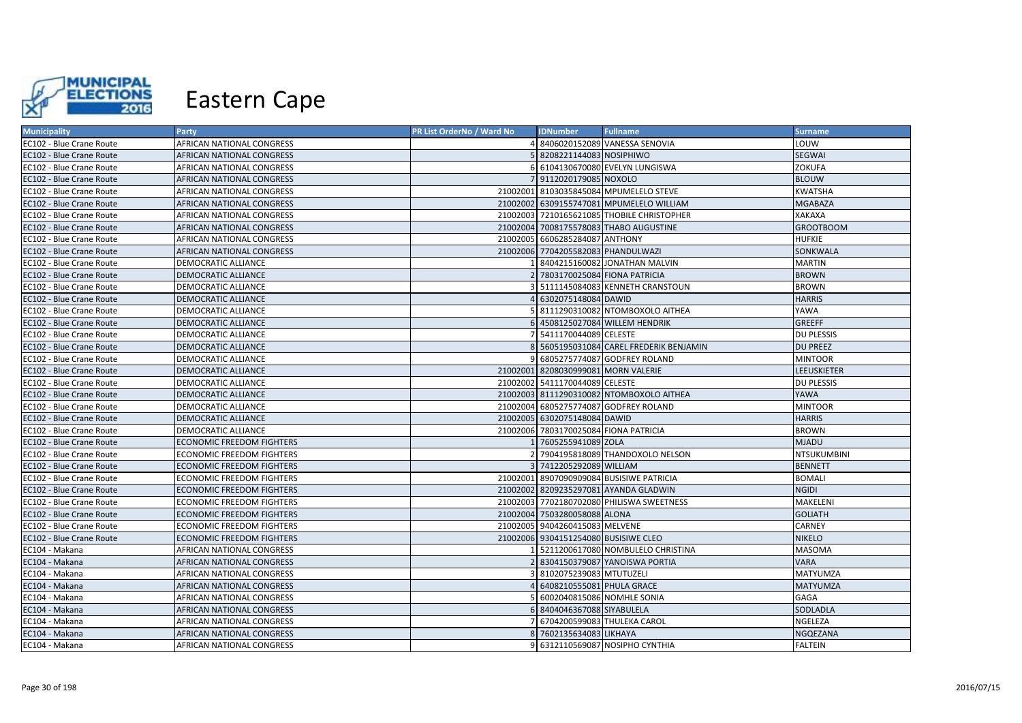

| <b>Municipality</b>      | <b>Party</b>                     | PR List OrderNo / Ward No | <b>IDNumber</b>                      | <b>Fullname</b>                            | <b>Surname</b>     |
|--------------------------|----------------------------------|---------------------------|--------------------------------------|--------------------------------------------|--------------------|
| EC102 - Blue Crane Route | AFRICAN NATIONAL CONGRESS        |                           |                                      | 4 8406020152089 VANESSA SENOVIA            | LOUW               |
| EC102 - Blue Crane Route | AFRICAN NATIONAL CONGRESS        |                           | 8208221144083 NOSIPHIWO              |                                            | <b>SEGWAI</b>      |
| EC102 - Blue Crane Route | AFRICAN NATIONAL CONGRESS        |                           |                                      | 6 6104130670080 EVELYN LUNGISWA            | ZOKUFA             |
| EC102 - Blue Crane Route | AFRICAN NATIONAL CONGRESS        |                           | 7 9112020179085 NOXOLO               |                                            | <b>BLOUW</b>       |
| EC102 - Blue Crane Route | AFRICAN NATIONAL CONGRESS        |                           |                                      | 21002001 8103035845084 MPUMELELO STEVE     | <b>KWATSHA</b>     |
| EC102 - Blue Crane Route | AFRICAN NATIONAL CONGRESS        |                           |                                      | 21002002 6309155747081 MPUMELELO WILLIAM   | <b>MGABAZA</b>     |
| EC102 - Blue Crane Route | AFRICAN NATIONAL CONGRESS        |                           |                                      | 21002003 7210165621085 THOBILE CHRISTOPHER | XAKAXA             |
| EC102 - Blue Crane Route | AFRICAN NATIONAL CONGRESS        |                           |                                      | 21002004 7008175578083 THABO AUGUSTINE     | <b>GROOTBOOM</b>   |
| EC102 - Blue Crane Route | AFRICAN NATIONAL CONGRESS        |                           | 21002005 6606285284087 ANTHONY       |                                            | <b>HUFKIE</b>      |
| EC102 - Blue Crane Route | AFRICAN NATIONAL CONGRESS        |                           | 21002006 7704205582083 PHANDULWAZI   |                                            | SONKWALA           |
| EC102 - Blue Crane Route | DEMOCRATIC ALLIANCE              |                           |                                      | 8404215160082 JONATHAN MALVIN              | <b>MARTIN</b>      |
| EC102 - Blue Crane Route | DEMOCRATIC ALLIANCE              |                           |                                      | 7803170025084 FIONA PATRICIA               | <b>BROWN</b>       |
| EC102 - Blue Crane Route | DEMOCRATIC ALLIANCE              |                           |                                      | 5111145084083 KENNETH CRANSTOUN            | <b>BROWN</b>       |
| EC102 - Blue Crane Route | <b>DEMOCRATIC ALLIANCE</b>       |                           | 6302075148084 DAWID                  |                                            | <b>HARRIS</b>      |
| EC102 - Blue Crane Route | DEMOCRATIC ALLIANCE              |                           |                                      | 8111290310082 NTOMBOXOLO AITHEA            | YAWA               |
| EC102 - Blue Crane Route | DEMOCRATIC ALLIANCE              |                           |                                      | 4508125027084 WILLEM HENDRIK               | GREEFF             |
| EC102 - Blue Crane Route | DEMOCRATIC ALLIANCE              |                           | 5411170044089 CELESTE                |                                            | DU PLESSIS         |
| EC102 - Blue Crane Route | DEMOCRATIC ALLIANCE              |                           |                                      | 8 5605195031084 CAREL FREDERIK BENJAMIN    | <b>DU PREEZ</b>    |
| EC102 - Blue Crane Route | DEMOCRATIC ALLIANCE              |                           |                                      | 6805275774087 GODFREY ROLAND               | <b>MINTOOR</b>     |
| EC102 - Blue Crane Route | <b>DEMOCRATIC ALLIANCE</b>       |                           | 21002001 8208030999081 MORN VALERIE  |                                            | <b>LEEUSKIETER</b> |
| EC102 - Blue Crane Route | DEMOCRATIC ALLIANCE              |                           | 21002002 5411170044089 CELESTE       |                                            | DU PLESSIS         |
| EC102 - Blue Crane Route | <b>DEMOCRATIC ALLIANCE</b>       |                           |                                      | 21002003 8111290310082 NTOMBOXOLO AITHEA   | YAWA               |
| EC102 - Blue Crane Route | DEMOCRATIC ALLIANCE              |                           |                                      | 21002004 6805275774087 GODFREY ROLAND      | <b>MINTOOR</b>     |
| EC102 - Blue Crane Route | DEMOCRATIC ALLIANCE              |                           | 21002005 6302075148084 DAWID         |                                            | <b>HARRIS</b>      |
| EC102 - Blue Crane Route | DEMOCRATIC ALLIANCE              |                           |                                      | 21002006 7803170025084 FIONA PATRICIA      | <b>BROWN</b>       |
| EC102 - Blue Crane Route | ECONOMIC FREEDOM FIGHTERS        |                           | 7605255941089 ZOLA                   |                                            | <b>MJADU</b>       |
| EC102 - Blue Crane Route | <b>ECONOMIC FREEDOM FIGHTERS</b> |                           |                                      | 2 7904195818089 THANDOXOLO NELSON          | NTSUKUMBINI        |
| EC102 - Blue Crane Route | <b>ECONOMIC FREEDOM FIGHTERS</b> |                           | 3 7412205292089 WILLIAM              |                                            | <b>BENNETT</b>     |
| EC102 - Blue Crane Route | ECONOMIC FREEDOM FIGHTERS        |                           |                                      | 21002001 8907090909084 BUSISIWE PATRICIA   | <b>BOMALI</b>      |
| EC102 - Blue Crane Route | ECONOMIC FREEDOM FIGHTERS        |                           |                                      | 21002002 8209235297081 AYANDA GLADWIN      | <b>NGIDI</b>       |
| EC102 - Blue Crane Route | ECONOMIC FREEDOM FIGHTERS        |                           |                                      | 21002003 7702180702080 PHILISWA SWEETNESS  | MAKELENI           |
| EC102 - Blue Crane Route | ECONOMIC FREEDOM FIGHTERS        |                           | 21002004 7503280058088 ALONA         |                                            | <b>GOLIATH</b>     |
| EC102 - Blue Crane Route | ECONOMIC FREEDOM FIGHTERS        |                           | 21002005 9404260415083 MELVENE       |                                            | CARNEY             |
| EC102 - Blue Crane Route | <b>ECONOMIC FREEDOM FIGHTERS</b> |                           | 21002006 9304151254080 BUSISIWE CLEO |                                            | <b>NIKELO</b>      |
| EC104 - Makana           | AFRICAN NATIONAL CONGRESS        |                           |                                      | 5211200617080 NOMBULELO CHRISTINA          | <b>MASOMA</b>      |
| EC104 - Makana           | AFRICAN NATIONAL CONGRESS        |                           |                                      | 8304150379087 YANOISWA PORTIA              | <b>VARA</b>        |
| EC104 - Makana           | AFRICAN NATIONAL CONGRESS        |                           | 8102075239083 MTUTUZELI              |                                            | MATYUMZA           |
| EC104 - Makana           | AFRICAN NATIONAL CONGRESS        |                           | 6408210555081 PHULA GRACE            |                                            | <b>MATYUMZA</b>    |
| EC104 - Makana           | AFRICAN NATIONAL CONGRESS        |                           |                                      | 6002040815086 NOMHLE SONIA                 | GAGA               |
| EC104 - Makana           | AFRICAN NATIONAL CONGRESS        |                           | 8404046367088 SIYABULELA             |                                            | SODLADLA           |
| EC104 - Makana           | AFRICAN NATIONAL CONGRESS        |                           |                                      | 6704200599083 THULEKA CAROL                | NGELEZA            |
| EC104 - Makana           | AFRICAN NATIONAL CONGRESS        |                           | 7602135634083 LIKHAYA                |                                            | NGQEZANA           |
| EC104 - Makana           | AFRICAN NATIONAL CONGRESS        |                           |                                      | 9 6312110569087 NOSIPHO CYNTHIA            | <b>FALTEIN</b>     |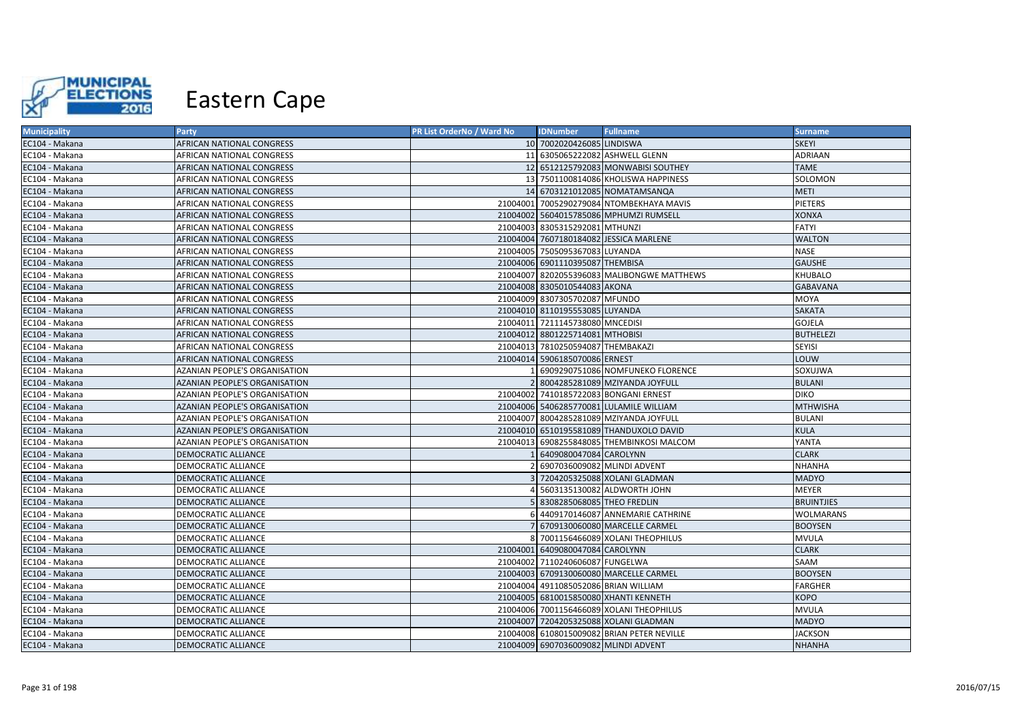

| <b>Municipality</b> | <b>Party</b>                         | PR List OrderNo / Ward No | <b>IDNumber</b>                      | <b>Fullname</b>                            | <b>Surname</b>    |
|---------------------|--------------------------------------|---------------------------|--------------------------------------|--------------------------------------------|-------------------|
| EC104 - Makana      | AFRICAN NATIONAL CONGRESS            |                           | 10 7002020426085 LINDISWA            |                                            | <b>SKEYI</b>      |
| EC104 - Makana      | AFRICAN NATIONAL CONGRESS            |                           |                                      | 11 6305065222082 ASHWELL GLENN             | <b>ADRIAAN</b>    |
| EC104 - Makana      | AFRICAN NATIONAL CONGRESS            |                           |                                      | 12 6512125792083 MONWABISI SOUTHEY         | <b>TAME</b>       |
| EC104 - Makana      | AFRICAN NATIONAL CONGRESS            |                           |                                      | 13 7501100814086 KHOLISWA HAPPINESS        | SOLOMON           |
| EC104 - Makana      | AFRICAN NATIONAL CONGRESS            |                           |                                      | 14 6703121012085 NOMATAMSANQA              | <b>METI</b>       |
| EC104 - Makana      | AFRICAN NATIONAL CONGRESS            |                           |                                      | 21004001 7005290279084 NTOMBEKHAYA MAVIS   | <b>PIETERS</b>    |
| EC104 - Makana      | AFRICAN NATIONAL CONGRESS            |                           |                                      | 21004002 5604015785086 MPHUMZI RUMSELL     | <b>XONXA</b>      |
| EC104 - Makana      | AFRICAN NATIONAL CONGRESS            |                           | 21004003 8305315292081 MTHUNZI       |                                            | <b>FATYI</b>      |
| EC104 - Makana      | AFRICAN NATIONAL CONGRESS            |                           |                                      | 21004004 7607180184082 JESSICA MARLENE     | <b>WALTON</b>     |
| EC104 - Makana      | AFRICAN NATIONAL CONGRESS            |                           | 21004005 7505095367083 LUYANDA       |                                            | <b>NASE</b>       |
| EC104 - Makana      | AFRICAN NATIONAL CONGRESS            |                           | 21004006 6901110395087 THEMBISA      |                                            | <b>GAUSHE</b>     |
| EC104 - Makana      | AFRICAN NATIONAL CONGRESS            |                           |                                      | 21004007 8202055396083 MALIBONGWE MATTHEWS | <b>KHUBALO</b>    |
| EC104 - Makana      | AFRICAN NATIONAL CONGRESS            |                           | 21004008 8305010544083 AKONA         |                                            | <b>GABAVANA</b>   |
| EC104 - Makana      | AFRICAN NATIONAL CONGRESS            |                           | 21004009 8307305702087 MFUNDO        |                                            | MOYA              |
| EC104 - Makana      | AFRICAN NATIONAL CONGRESS            |                           | 21004010 8110195553085 LUYANDA       |                                            | SAKATA            |
| EC104 - Makana      | AFRICAN NATIONAL CONGRESS            |                           | 21004011 7211145738080 MNCEDISI      |                                            | GOJELA            |
| EC104 - Makana      | AFRICAN NATIONAL CONGRESS            |                           | 21004012 8801225714081 MTHOBISI      |                                            | <b>BUTHELEZI</b>  |
| EC104 - Makana      | AFRICAN NATIONAL CONGRESS            |                           | 21004013 7810250594087 THEMBAKAZI    |                                            | SEYISI            |
| EC104 - Makana      | AFRICAN NATIONAL CONGRESS            |                           | 21004014 5906185070086 ERNEST        |                                            | LOUW              |
| EC104 - Makana      | AZANIAN PEOPLE'S ORGANISATION        |                           |                                      | 6909290751086 NOMFUNEKO FLORENCE           | SOXUJWA           |
| EC104 - Makana      | <b>AZANIAN PEOPLE'S ORGANISATION</b> |                           |                                      | 2 8004285281089 MZIYANDA JOYFULL           | <b>BULANI</b>     |
| EC104 - Makana      | AZANIAN PEOPLE'S ORGANISATION        |                           |                                      | 21004002 7410185722083 BONGANI ERNEST      | <b>DIKO</b>       |
| EC104 - Makana      | AZANIAN PEOPLE'S ORGANISATION        |                           |                                      | 21004006 5406285770081 LULAMILE WILLIAM    | <b>MTHWISHA</b>   |
| EC104 - Makana      | <b>AZANIAN PEOPLE'S ORGANISATION</b> |                           |                                      | 21004007 8004285281089 MZIYANDA JOYFULL    | <b>BULANI</b>     |
| EC104 - Makana      | <b>AZANIAN PEOPLE'S ORGANISATION</b> |                           |                                      | 21004010 6510195581089 THANDUXOLO DAVID    | <b>KULA</b>       |
| EC104 - Makana      | AZANIAN PEOPLE'S ORGANISATION        |                           |                                      | 21004013 6908255848085 THEMBINKOSI MALCOM  | YANTA             |
| EC104 - Makana      | DEMOCRATIC ALLIANCE                  |                           | 6409080047084 CAROLYNN               |                                            | <b>CLARK</b>      |
| EC104 - Makana      | DEMOCRATIC ALLIANCE                  |                           |                                      | 6907036009082 MLINDI ADVENT                | <b>NHANHA</b>     |
| EC104 - Makana      | DEMOCRATIC ALLIANCE                  |                           |                                      | 7204205325088 XOLANI GLADMAN               | <b>MADYO</b>      |
| EC104 - Makana      | <b>DEMOCRATIC ALLIANCE</b>           |                           |                                      | 5603135130082 ALDWORTH JOHN                | <b>MEYER</b>      |
| EC104 - Makana      | DEMOCRATIC ALLIANCE                  |                           | 5 8308285068085 THEO FREDLIN         |                                            | <b>BRUINTJIES</b> |
| EC104 - Makana      | DEMOCRATIC ALLIANCE                  |                           |                                      | 4409170146087 ANNEMARIE CATHRINE           | <b>WOLMARANS</b>  |
| EC104 - Makana      | DEMOCRATIC ALLIANCE                  |                           |                                      | 6709130060080 MARCELLE CARMEL              | <b>BOOYSEN</b>    |
| EC104 - Makana      | DEMOCRATIC ALLIANCE                  |                           |                                      | 8 7001156466089 XOLANI THEOPHILUS          | <b>MVULA</b>      |
| EC104 - Makana      | DEMOCRATIC ALLIANCE                  |                           | 21004001 6409080047084 CAROLYNN      |                                            | <b>CLARK</b>      |
| EC104 - Makana      | DEMOCRATIC ALLIANCE                  |                           | 21004002 7110240606087 FUNGELWA      |                                            | SAAM              |
| EC104 - Makana      | DEMOCRATIC ALLIANCE                  |                           |                                      | 21004003 6709130060080 MARCELLE CARMEL     | <b>BOOYSEN</b>    |
| EC104 - Makana      | DEMOCRATIC ALLIANCE                  |                           | 21004004 4911085052086 BRIAN WILLIAM |                                            | <b>FARGHER</b>    |
| EC104 - Makana      | DEMOCRATIC ALLIANCE                  |                           |                                      | 21004005 6810015850080 XHANTI KENNETH      | <b>KOPO</b>       |
| EC104 - Makana      | DEMOCRATIC ALLIANCE                  |                           |                                      | 21004006 7001156466089 XOLANI THEOPHILUS   | <b>MVULA</b>      |
| EC104 - Makana      | DEMOCRATIC ALLIANCE                  |                           |                                      | 21004007 7204205325088 XOLANI GLADMAN      | <b>MADYO</b>      |
| EC104 - Makana      | DEMOCRATIC ALLIANCE                  |                           |                                      | 21004008 6108015009082 BRIAN PETER NEVILLE | <b>JACKSON</b>    |
| EC104 - Makana      | DEMOCRATIC ALLIANCE                  |                           | 21004009 6907036009082 MLINDI ADVENT |                                            | <b>NHANHA</b>     |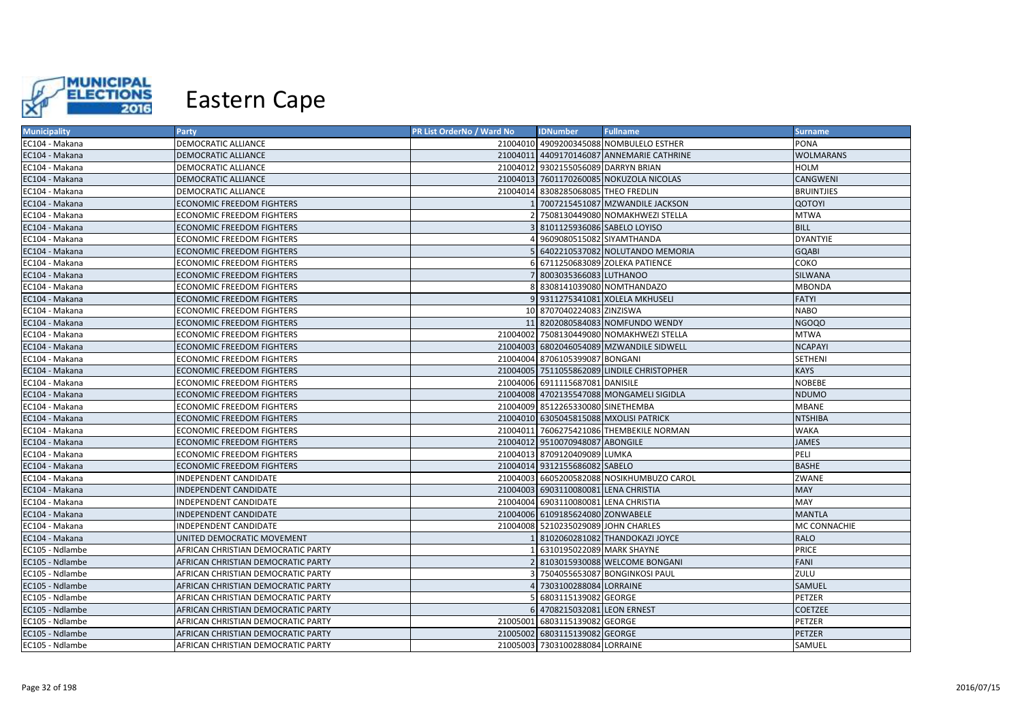

| <b>Municipality</b> | <b>Party</b>                       | PR List OrderNo / Ward No | <b>IDNumber</b>                      | <b>Fullname</b>                            | <b>Surname</b>    |
|---------------------|------------------------------------|---------------------------|--------------------------------------|--------------------------------------------|-------------------|
| EC104 - Makana      | DEMOCRATIC ALLIANCE                |                           |                                      | 21004010 4909200345088 NOMBULELO ESTHER    | PONA              |
| EC104 - Makana      | DEMOCRATIC ALLIANCE                |                           |                                      | 21004011 4409170146087 ANNEMARIE CATHRINE  | <b>WOLMARANS</b>  |
| EC104 - Makana      | DEMOCRATIC ALLIANCE                |                           | 21004012 9302155056089 DARRYN BRIAN  |                                            | <b>HOLM</b>       |
| EC104 - Makana      | DEMOCRATIC ALLIANCE                |                           |                                      | 21004013 7601170260085 NOKUZOLA NICOLAS    | CANGWENI          |
| EC104 - Makana      | DEMOCRATIC ALLIANCE                |                           | 21004014 8308285068085 THEO FREDLIN  |                                            | <b>BRUINTJIES</b> |
| EC104 - Makana      | ECONOMIC FREEDOM FIGHTERS          |                           |                                      | 7007215451087 MZWANDILE JACKSON            | <b>QOTOYI</b>     |
| EC104 - Makana      | ECONOMIC FREEDOM FIGHTERS          |                           |                                      | 7508130449080 NOMAKHWEZI STELLA            | <b>MTWA</b>       |
| EC104 - Makana      | ECONOMIC FREEDOM FIGHTERS          |                           | 8101125936086 SABELO LOYISO          |                                            | <b>BILL</b>       |
| EC104 - Makana      | ECONOMIC FREEDOM FIGHTERS          |                           | 9609080515082 SIYAMTHANDA            |                                            | <b>DYANTYIE</b>   |
| EC104 - Makana      | <b>ECONOMIC FREEDOM FIGHTERS</b>   |                           |                                      | 6402210537082 NOLUTANDO MEMORIA            | <b>GQABI</b>      |
| EC104 - Makana      | ECONOMIC FREEDOM FIGHTERS          |                           |                                      | 6 6711250683089 ZOLEKA PATIENCE            | COKO              |
| EC104 - Makana      | ECONOMIC FREEDOM FIGHTERS          |                           | 8003035366083 LUTHANOO               |                                            | SILWANA           |
| EC104 - Makana      | ECONOMIC FREEDOM FIGHTERS          |                           |                                      | 8308141039080 NOMTHANDAZO                  | MBONDA            |
| EC104 - Makana      | ECONOMIC FREEDOM FIGHTERS          |                           |                                      | 9 9311275341081 XOLELA MKHUSELI            | <b>FATYI</b>      |
| EC104 - Makana      | ECONOMIC FREEDOM FIGHTERS          |                           | 10 8707040224083 ZINZISWA            |                                            | <b>NABO</b>       |
| EC104 - Makana      | ECONOMIC FREEDOM FIGHTERS          |                           |                                      | 11 8202080584083 NOMFUNDO WENDY            | <b>NGOQO</b>      |
| EC104 - Makana      | ECONOMIC FREEDOM FIGHTERS          |                           |                                      | 21004002 7508130449080 NOMAKHWEZI STELLA   | <b>MTWA</b>       |
| EC104 - Makana      | ECONOMIC FREEDOM FIGHTERS          |                           |                                      | 21004003 6802046054089 MZWANDILE SIDWELL   | <b>NCAPAYI</b>    |
| EC104 - Makana      | ECONOMIC FREEDOM FIGHTERS          |                           | 21004004 8706105399087 BONGANI       |                                            | SETHENI           |
| EC104 - Makana      | <b>ECONOMIC FREEDOM FIGHTERS</b>   |                           |                                      | 21004005 7511055862089 LINDILE CHRISTOPHER | <b>KAYS</b>       |
| EC104 - Makana      | ECONOMIC FREEDOM FIGHTERS          |                           | 21004006 6911115687081 DANISILE      |                                            | <b>NOBEBE</b>     |
| EC104 - Makana      | <b>ECONOMIC FREEDOM FIGHTERS</b>   |                           |                                      | 21004008 4702135547088 MONGAMELI SIGIDLA   | <b>NDUMO</b>      |
| EC104 - Makana      | ECONOMIC FREEDOM FIGHTERS          |                           | 21004009 8512265330080 SINETHEMBA    |                                            | <b>MBANE</b>      |
| EC104 - Makana      | ECONOMIC FREEDOM FIGHTERS          |                           |                                      | 21004010 6305045815088 MXOLISI PATRICK     | <b>NTSHIBA</b>    |
| EC104 - Makana      | ECONOMIC FREEDOM FIGHTERS          |                           |                                      | 21004011 7606275421086 THEMBEKILE NORMAN   | <b>WAKA</b>       |
| EC104 - Makana      | ECONOMIC FREEDOM FIGHTERS          |                           | 21004012 9510070948087 ABONGILE      |                                            | <b>JAMES</b>      |
| EC104 - Makana      | ECONOMIC FREEDOM FIGHTERS          |                           | 21004013 8709120409089 LUMKA         |                                            | PELI              |
| EC104 - Makana      | ECONOMIC FREEDOM FIGHTERS          |                           | 21004014 9312155686082 SABELO        |                                            | <b>BASHE</b>      |
| EC104 - Makana      | INDEPENDENT CANDIDATE              |                           |                                      | 21004003 6605200582088 NOSIKHUMBUZO CAROL  | ZWANE             |
| EC104 - Makana      | INDEPENDENT CANDIDATE              |                           | 21004003 6903110080081 LENA CHRISTIA |                                            | <b>MAY</b>        |
| EC104 - Makana      | INDEPENDENT CANDIDATE              |                           | 21004004 6903110080081 LENA CHRISTIA |                                            | MAY               |
| EC104 - Makana      | INDEPENDENT CANDIDATE              |                           | 21004006 6109185624080 ZONWABELE     |                                            | <b>MANTLA</b>     |
| EC104 - Makana      | INDEPENDENT CANDIDATE              |                           | 21004008 5210235029089 JOHN CHARLES  |                                            | MC CONNACHIE      |
| EC104 - Makana      | UNITED DEMOCRATIC MOVEMENT         |                           |                                      | 8102060281082 THANDOKAZI JOYCE             | <b>RALO</b>       |
| EC105 - Ndlambe     | AFRICAN CHRISTIAN DEMOCRATIC PARTY |                           | 6310195022089 MARK SHAYNE            |                                            | PRICE             |
| EC105 - Ndlambe     | AFRICAN CHRISTIAN DEMOCRATIC PARTY |                           |                                      | 2 8103015930088 WELCOME BONGANI            | <b>FANI</b>       |
| EC105 - Ndlambe     | AFRICAN CHRISTIAN DEMOCRATIC PARTY |                           |                                      | 7504055653087 BONGINKOSI PAUL              | ZULU              |
| EC105 - Ndlambe     | AFRICAN CHRISTIAN DEMOCRATIC PARTY |                           | 7303100288084 LORRAINE               |                                            | SAMUEL            |
| EC105 - Ndlambe     | AFRICAN CHRISTIAN DEMOCRATIC PARTY |                           | 6803115139082 GEORGE                 |                                            | PETZER            |
| EC105 - Ndlambe     | AFRICAN CHRISTIAN DEMOCRATIC PARTY |                           | 6 4708215032081 LEON ERNEST          |                                            | COETZEE           |
| EC105 - Ndlambe     | AFRICAN CHRISTIAN DEMOCRATIC PARTY |                           | 21005001 6803115139082 GEORGE        |                                            | PETZER            |
| EC105 - Ndlambe     | AFRICAN CHRISTIAN DEMOCRATIC PARTY |                           | 21005002 6803115139082 GEORGE        |                                            | PETZER            |
| EC105 - Ndlambe     | AFRICAN CHRISTIAN DEMOCRATIC PARTY |                           | 21005003 7303100288084 LORRAINE      |                                            | SAMUEL            |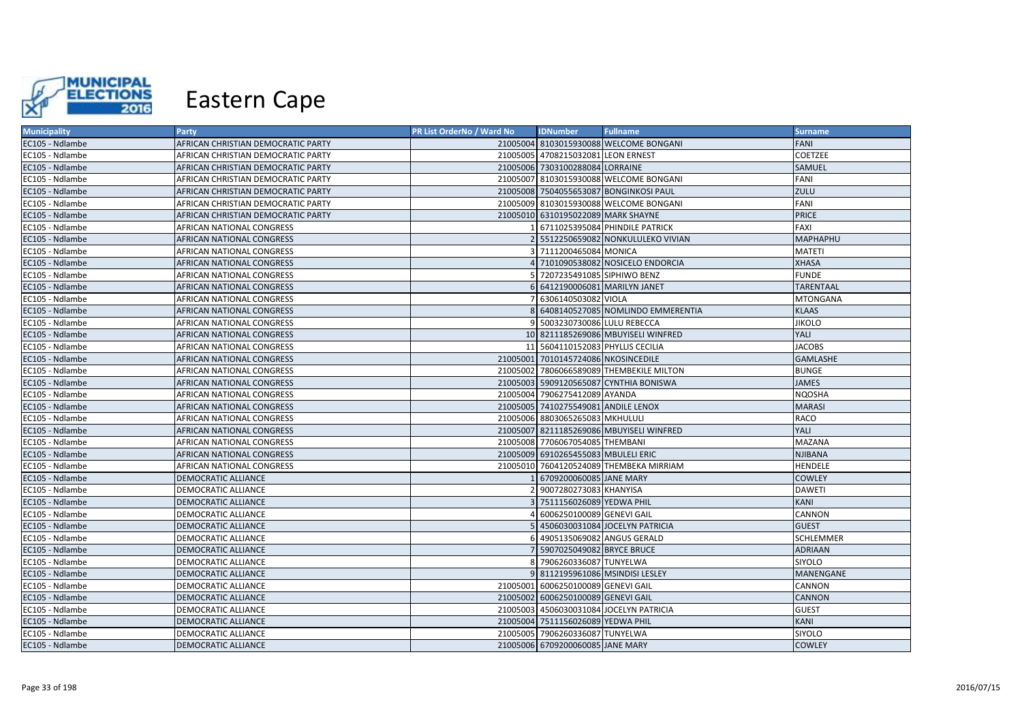

| <b>Municipality</b> | Party                              | PR List OrderNo / Ward No | <b>IDNumber</b>                     | <b>Fullname</b>                          | <b>Surname</b>   |
|---------------------|------------------------------------|---------------------------|-------------------------------------|------------------------------------------|------------------|
| EC105 - Ndlambe     | AFRICAN CHRISTIAN DEMOCRATIC PARTY |                           |                                     | 21005004 8103015930088 WELCOME BONGANI   | FANI             |
| EC105 - Ndlambe     | AFRICAN CHRISTIAN DEMOCRATIC PARTY |                           | 21005005 4708215032081 LEON ERNEST  |                                          | COETZEE          |
| EC105 - Ndlambe     | AFRICAN CHRISTIAN DEMOCRATIC PARTY |                           | 21005006 7303100288084 LORRAINE     |                                          | SAMUEL           |
| EC105 - Ndlambe     | AFRICAN CHRISTIAN DEMOCRATIC PARTY |                           |                                     | 21005007 8103015930088 WELCOME BONGANI   | <b>FANI</b>      |
| EC105 - Ndlambe     | AFRICAN CHRISTIAN DEMOCRATIC PARTY |                           |                                     | 21005008 7504055653087 BONGINKOSI PAUL   | ZULU             |
| EC105 - Ndlambe     | AFRICAN CHRISTIAN DEMOCRATIC PARTY |                           |                                     | 21005009 8103015930088 WELCOME BONGANI   | FANI             |
| EC105 - Ndlambe     | AFRICAN CHRISTIAN DEMOCRATIC PARTY |                           | 21005010 6310195022089 MARK SHAYNE  |                                          | <b>PRICE</b>     |
| EC105 - Ndlambe     | AFRICAN NATIONAL CONGRESS          |                           |                                     | 6711025395084 PHINDILE PATRICK           | FAXI             |
| EC105 - Ndlambe     | AFRICAN NATIONAL CONGRESS          |                           |                                     | 5512250659082 NONKULULEKO VIVIAN         | <b>MAPHAPHU</b>  |
| EC105 - Ndlambe     | AFRICAN NATIONAL CONGRESS          |                           | 7111200465084 MONICA                |                                          | <b>MATETI</b>    |
| EC105 - Ndlambe     | AFRICAN NATIONAL CONGRESS          |                           |                                     | 4 7101090538082 NOSICELO ENDORCIA        | <b>XHASA</b>     |
| EC105 - Ndlambe     | AFRICAN NATIONAL CONGRESS          |                           | 7207235491085 SIPHIWO BENZ          |                                          | <b>FUNDE</b>     |
| EC105 - Ndlambe     | AFRICAN NATIONAL CONGRESS          |                           | 6 6412190006081 MARILYN JANET       |                                          | <b>TARENTAAL</b> |
| EC105 - Ndlambe     | AFRICAN NATIONAL CONGRESS          |                           | 6306140503082 VIOLA                 |                                          | <b>MTONGANA</b>  |
| EC105 - Ndlambe     | AFRICAN NATIONAL CONGRESS          |                           |                                     | 6408140527085 NOMLINDO EMMERENTIA        | <b>KLAAS</b>     |
| EC105 - Ndlambe     | AFRICAN NATIONAL CONGRESS          |                           | 9 5003230730086 LULU REBECCA        |                                          | <b>JIKOLO</b>    |
| EC105 - Ndlambe     | AFRICAN NATIONAL CONGRESS          |                           |                                     | 10 8211185269086 MBUYISELI WINFRED       | YALI             |
| EC105 - Ndlambe     | AFRICAN NATIONAL CONGRESS          |                           | 11 5604110152083 PHYLLIS CECILIA    |                                          | <b>JACOBS</b>    |
| EC105 - Ndlambe     | AFRICAN NATIONAL CONGRESS          |                           | 21005001 7010145724086 NKOSINCEDILE |                                          | <b>GAMLASHE</b>  |
| EC105 - Ndlambe     | AFRICAN NATIONAL CONGRESS          |                           |                                     | 21005002 7806066589089 THEMBEKILE MILTON | <b>BUNGE</b>     |
| EC105 - Ndlambe     | AFRICAN NATIONAL CONGRESS          |                           |                                     | 21005003 5909120565087 CYNTHIA BONISWA   | <b>JAMES</b>     |
| EC105 - Ndlambe     | AFRICAN NATIONAL CONGRESS          |                           | 21005004 7906275412089 AYANDA       |                                          | <b>NQOSHA</b>    |
| EC105 - Ndlambe     | AFRICAN NATIONAL CONGRESS          |                           | 21005005 7410275549081 ANDILE LENOX |                                          | <b>MARASI</b>    |
| EC105 - Ndlambe     | AFRICAN NATIONAL CONGRESS          |                           | 21005006 8803065265083 MKHULULI     |                                          | RACO             |
| EC105 - Ndlambe     | <b>AFRICAN NATIONAL CONGRESS</b>   |                           |                                     | 21005007 8211185269086 MBUYISELI WINFRED | YALI             |
| EC105 - Ndlambe     | AFRICAN NATIONAL CONGRESS          |                           | 21005008 7706067054085 THEMBANI     |                                          | <b>MAZANA</b>    |
| EC105 - Ndlambe     | AFRICAN NATIONAL CONGRESS          |                           | 21005009 6910265455083 MBULELI ERIC |                                          | <b>NJIBANA</b>   |
| EC105 - Ndlambe     | AFRICAN NATIONAL CONGRESS          |                           |                                     | 21005010 7604120524089 THEMBEKA MIRRIAM  | <b>HENDELE</b>   |
| EC105 - Ndlambe     | DEMOCRATIC ALLIANCE                |                           | 6709200060085 JANE MARY             |                                          | <b>COWLEY</b>    |
| EC105 - Ndlambe     | DEMOCRATIC ALLIANCE                |                           | 9007280273083 KHANYISA              |                                          | <b>DAWETI</b>    |
| EC105 - Ndlambe     | DEMOCRATIC ALLIANCE                |                           | 7511156026089 YEDWA PHIL            |                                          | KANI             |
| EC105 - Ndlambe     | DEMOCRATIC ALLIANCE                |                           | 6006250100089 GENEVI GAIL           |                                          | CANNON           |
| EC105 - Ndlambe     | DEMOCRATIC ALLIANCE                |                           |                                     | 4506030031084 JOCELYN PATRICIA           | <b>GUEST</b>     |
| EC105 - Ndlambe     | DEMOCRATIC ALLIANCE                |                           |                                     | 4905135069082 ANGUS GERALD               | <b>SCHLEMMER</b> |
| EC105 - Ndlambe     | DEMOCRATIC ALLIANCE                |                           | 5907025049082 BRYCE BRUCE           |                                          | <b>ADRIAAN</b>   |
| EC105 - Ndlambe     | DEMOCRATIC ALLIANCE                |                           | 8 7906260336087 TUNYELWA            |                                          | SIYOLO           |
| EC105 - Ndlambe     | DEMOCRATIC ALLIANCE                |                           |                                     | 9 8112195961086 MSINDISI LESLEY          | MANENGANE        |
| EC105 - Ndlambe     | DEMOCRATIC ALLIANCE                |                           | 21005001 6006250100089 GENEVI GAIL  |                                          | CANNON           |
| EC105 - Ndlambe     | DEMOCRATIC ALLIANCE                |                           | 21005002 6006250100089 GENEVI GAIL  |                                          | <b>CANNON</b>    |
| EC105 - Ndlambe     | DEMOCRATIC ALLIANCE                |                           |                                     | 21005003 4506030031084 JOCELYN PATRICIA  | <b>GUEST</b>     |
| EC105 - Ndlambe     | DEMOCRATIC ALLIANCE                |                           | 21005004 7511156026089 YEDWA PHIL   |                                          | KANI             |
| EC105 - Ndlambe     | DEMOCRATIC ALLIANCE                |                           | 21005005 7906260336087 TUNYELWA     |                                          | SIYOLO           |
| EC105 - Ndlambe     | <b>DEMOCRATIC ALLIANCE</b>         |                           | 21005006 6709200060085 JANE MARY    |                                          | <b>COWLEY</b>    |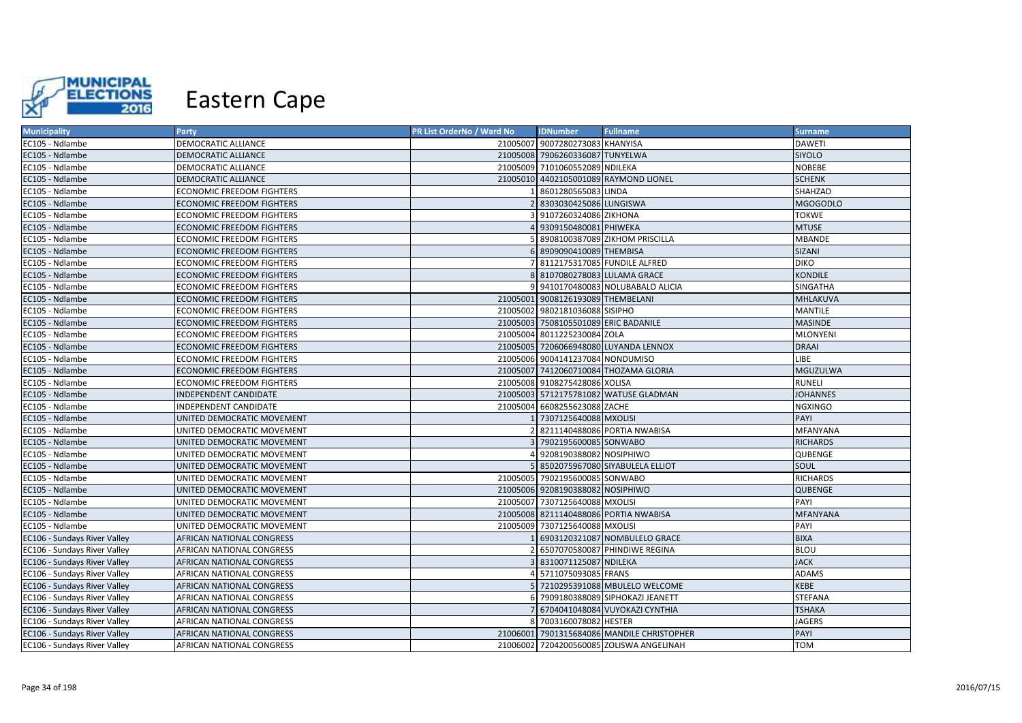

| <b>Municipality</b>          | <b>Party</b>                     | PR List OrderNo / Ward No | <b>IDNumber</b>                      | <b>Fullname</b>                            | <b>Surname</b>  |
|------------------------------|----------------------------------|---------------------------|--------------------------------------|--------------------------------------------|-----------------|
| EC105 - Ndlambe              | DEMOCRATIC ALLIANCE              |                           | 21005007 9007280273083 KHANYISA      |                                            | <b>DAWETI</b>   |
| EC105 - Ndlambe              | DEMOCRATIC ALLIANCE              |                           | 21005008 7906260336087 TUNYELWA      |                                            | <b>SIYOLO</b>   |
| EC105 - Ndlambe              | DEMOCRATIC ALLIANCE              |                           | 21005009 7101060552089 NDILEKA       |                                            | <b>NOBEBE</b>   |
| EC105 - Ndlambe              | DEMOCRATIC ALLIANCE              |                           |                                      | 21005010 4402105001089 RAYMOND LIONEL      | <b>SCHENK</b>   |
| EC105 - Ndlambe              | ECONOMIC FREEDOM FIGHTERS        |                           | 8601280565083 LINDA                  |                                            | SHAHZAD         |
| EC105 - Ndlambe              | ECONOMIC FREEDOM FIGHTERS        |                           | 8303030425086 LUNGISWA               |                                            | <b>MGOGODLO</b> |
| EC105 - Ndlambe              | ECONOMIC FREEDOM FIGHTERS        |                           | 9107260324086 ZIKHONA                |                                            | <b>TOKWE</b>    |
| EC105 - Ndlambe              | <b>ECONOMIC FREEDOM FIGHTERS</b> |                           | 9309150480081 PHIWEKA                |                                            | <b>MTUSE</b>    |
| EC105 - Ndlambe              | ECONOMIC FREEDOM FIGHTERS        |                           |                                      | 8908100387089 ZIKHOM PRISCILLA             | <b>MBANDE</b>   |
| EC105 - Ndlambe              | <b>ECONOMIC FREEDOM FIGHTERS</b> |                           | 6 8909090410089 THEMBISA             |                                            | <b>SIZANI</b>   |
| EC105 - Ndlambe              | ECONOMIC FREEDOM FIGHTERS        |                           |                                      | 7 8112175317085 FUNDILE ALFRED             | <b>DIKO</b>     |
| EC105 - Ndlambe              | ECONOMIC FREEDOM FIGHTERS        |                           | 8 8107080278083 LULAMA GRACE         |                                            | <b>KONDILE</b>  |
| EC105 - Ndlambe              | ECONOMIC FREEDOM FIGHTERS        |                           |                                      | 9 9410170480083 NOLUBABALO ALICIA          | SINGATHA        |
| EC105 - Ndlambe              | <b>ECONOMIC FREEDOM FIGHTERS</b> |                           | 21005001 9008126193089 THEMBELANI    |                                            | MHLAKUVA        |
| EC105 - Ndlambe              | <b>ECONOMIC FREEDOM FIGHTERS</b> |                           | 21005002 9802181036088 SISIPHO       |                                            | <b>MANTILE</b>  |
| EC105 - Ndlambe              | ECONOMIC FREEDOM FIGHTERS        |                           | 21005003 7508105501089 ERIC BADANILE |                                            | <b>MASINDE</b>  |
| EC105 - Ndlambe              | ECONOMIC FREEDOM FIGHTERS        |                           | 21005004 8011225230084 ZOLA          |                                            | <b>MLONYENI</b> |
| EC105 - Ndlambe              | ECONOMIC FREEDOM FIGHTERS        |                           |                                      | 21005005 7206066948080 LUYANDA LENNOX      | <b>DRAAI</b>    |
| EC105 - Ndlambe              | ECONOMIC FREEDOM FIGHTERS        |                           | 21005006 9004141237084 NONDUMISO     |                                            | LIBE            |
| EC105 - Ndlambe              | <b>ECONOMIC FREEDOM FIGHTERS</b> |                           |                                      | 21005007 7412060710084 THOZAMA GLORIA      | MGUZULWA        |
| EC105 - Ndlambe              | ECONOMIC FREEDOM FIGHTERS        |                           | 21005008 9108275428086 XOLISA        |                                            | <b>RUNELI</b>   |
| EC105 - Ndlambe              | INDEPENDENT CANDIDATE            |                           |                                      | 21005003 5712175781082 WATUSE GLADMAN      | <b>JOHANNES</b> |
| EC105 - Ndlambe              | INDEPENDENT CANDIDATE            |                           | 21005004 6608255623088 ZACHE         |                                            | <b>NGXINGO</b>  |
| EC105 - Ndlambe              | UNITED DEMOCRATIC MOVEMENT       |                           | 7307125640088 MXOLISI                |                                            | PAYI            |
| EC105 - Ndlambe              | UNITED DEMOCRATIC MOVEMENT       |                           |                                      | 8211140488086 PORTIA NWABISA               | <b>MFANYANA</b> |
| EC105 - Ndlambe              | UNITED DEMOCRATIC MOVEMENT       |                           | 7902195600085 SONWABO                |                                            | <b>RICHARDS</b> |
| EC105 - Ndlambe              | UNITED DEMOCRATIC MOVEMENT       | $\Lambda$                 | 9208190388082 NOSIPHIWO              |                                            | QUBENGE         |
| EC105 - Ndlambe              | UNITED DEMOCRATIC MOVEMENT       |                           |                                      | 5 8502075967080 SIYABULELA ELLIOT          | SOUL            |
| EC105 - Ndlambe              | UNITED DEMOCRATIC MOVEMENT       |                           | 21005005 7902195600085 SONWABO       |                                            | <b>RICHARDS</b> |
| EC105 - Ndlambe              | UNITED DEMOCRATIC MOVEMENT       |                           | 21005006 9208190388082 NOSIPHIWO     |                                            | QUBENGE         |
| EC105 - Ndlambe              | UNITED DEMOCRATIC MOVEMENT       |                           | 21005007 7307125640088 MXOLISI       |                                            | PAYI            |
| EC105 - Ndlambe              | UNITED DEMOCRATIC MOVEMENT       |                           |                                      | 21005008 8211140488086 PORTIA NWABISA      | <b>MFANYANA</b> |
| EC105 - Ndlambe              | UNITED DEMOCRATIC MOVEMENT       |                           | 21005009 7307125640088 MXOLISI       |                                            | PAYI            |
| EC106 - Sundays River Valley | AFRICAN NATIONAL CONGRESS        |                           |                                      | 6903120321087 NOMBULELO GRACE              | <b>BIXA</b>     |
| EC106 - Sundays River Valley | AFRICAN NATIONAL CONGRESS        |                           |                                      | 6507070580087 PHINDIWE REGINA              | <b>BLOU</b>     |
| EC106 - Sundays River Valley | AFRICAN NATIONAL CONGRESS        |                           | 8310071125087 NDILEKA                |                                            | <b>JACK</b>     |
| EC106 - Sundays River Valley | AFRICAN NATIONAL CONGRESS        |                           | 5711075093085 FRANS                  |                                            | <b>ADAMS</b>    |
| EC106 - Sundays River Valley | AFRICAN NATIONAL CONGRESS        |                           |                                      | 5 7210295391088 MBULELO WELCOME            | <b>KEBE</b>     |
| EC106 - Sundays River Valley | AFRICAN NATIONAL CONGRESS        |                           |                                      | 7909180388089 SIPHOKAZI JEANETT            | <b>STEFANA</b>  |
| EC106 - Sundays River Valley | AFRICAN NATIONAL CONGRESS        |                           |                                      | 7 6704041048084 VUYOKAZI CYNTHIA           | <b>TSHAKA</b>   |
| EC106 - Sundays River Valley | AFRICAN NATIONAL CONGRESS        |                           | 8 7003160078082 HESTER               |                                            | <b>JAGERS</b>   |
| EC106 - Sundays River Valley | AFRICAN NATIONAL CONGRESS        |                           |                                      | 21006001 7901315684086 MANDILE CHRISTOPHER | PAYI            |
| EC106 - Sundays River Valley | AFRICAN NATIONAL CONGRESS        |                           |                                      | 21006002 7204200560085 ZOLISWA ANGELINAH   | <b>TOM</b>      |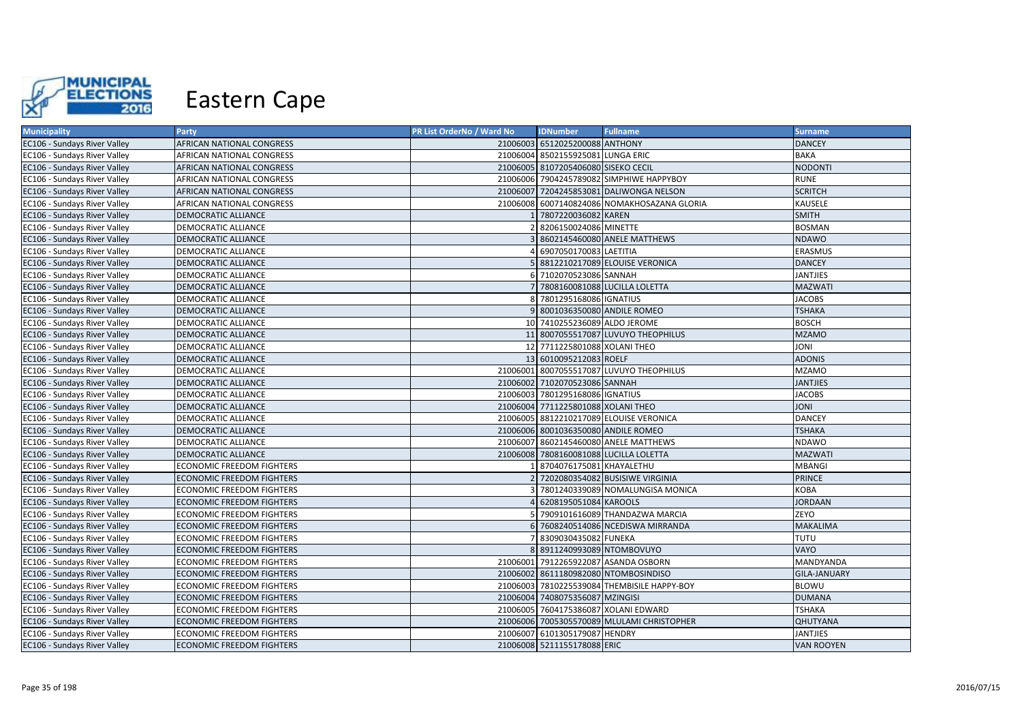

| <b>Municipality</b>                 | Party                            | PR List OrderNo / Ward No | <b>IDNumber</b>                     | <b>Fullname</b>                             | <b>Surname</b>      |
|-------------------------------------|----------------------------------|---------------------------|-------------------------------------|---------------------------------------------|---------------------|
| EC106 - Sundays River Valley        | AFRICAN NATIONAL CONGRESS        |                           | 21006003 6512025200088 ANTHONY      |                                             | <b>DANCEY</b>       |
| EC106 - Sundays River Valley        | AFRICAN NATIONAL CONGRESS        |                           | 21006004 8502155925081 LUNGA ERIC   |                                             | <b>BAKA</b>         |
| EC106 - Sundays River Valley        | AFRICAN NATIONAL CONGRESS        |                           | 21006005 8107205406080 SISEKO CECIL |                                             | <b>NODONTI</b>      |
| EC106 - Sundays River Valley        | AFRICAN NATIONAL CONGRESS        |                           |                                     | 21006006 7904245789082 SIMPHIWE HAPPYBOY    | <b>RUNE</b>         |
| EC106 - Sundays River Valley        | AFRICAN NATIONAL CONGRESS        |                           |                                     | 21006007 7204245853081 DALIWONGA NELSON     | <b>SCRITCH</b>      |
| EC106 - Sundays River Valley        | AFRICAN NATIONAL CONGRESS        |                           |                                     | 21006008 6007140824086 NOMAKHOSAZANA GLORIA | KAUSELE             |
| EC106 - Sundays River Valley        | DEMOCRATIC ALLIANCE              |                           | 7807220036082 KAREN                 |                                             | <b>SMITH</b>        |
| EC106 - Sundays River Valley        | DEMOCRATIC ALLIANCE              |                           | 8206150024086 MINETTE               |                                             | <b>BOSMAN</b>       |
| EC106 - Sundays River Valley        | DEMOCRATIC ALLIANCE              |                           |                                     | 8602145460080 ANELE MATTHEWS                | <b>NDAWO</b>        |
| EC106 - Sundays River Valley        | DEMOCRATIC ALLIANCE              |                           | 6907050170083 LAETITIA              |                                             | ERASMUS             |
| EC106 - Sundays River Valley        | DEMOCRATIC ALLIANCE              |                           |                                     | 5 8812210217089 ELOUISE VERONICA            | <b>DANCEY</b>       |
| EC106 - Sundays River Valley        | DEMOCRATIC ALLIANCE              |                           | 6 7102070523086 SANNAH              |                                             | <b>JANTJIES</b>     |
| EC106 - Sundays River Valley        | <b>DEMOCRATIC ALLIANCE</b>       |                           |                                     | 7 7808160081088 LUCILLA LOLETTA             | <b>MAZWATI</b>      |
| EC106 - Sundays River Valley        | DEMOCRATIC ALLIANCE              |                           | 8 7801295168086 IGNATIUS            |                                             | <b>JACOBS</b>       |
| EC106 - Sundays River Valley        | <b>DEMOCRATIC ALLIANCE</b>       |                           | 8001036350080 ANDILE ROMEO          |                                             | <b>TSHAKA</b>       |
| EC106 - Sundays River Valley        | DEMOCRATIC ALLIANCE              |                           | 10 7410255236089 ALDO JEROME        |                                             | <b>BOSCH</b>        |
| EC106 - Sundays River Valley        | <b>DEMOCRATIC ALLIANCE</b>       |                           |                                     | 11 8007055517087 LUVUYO THEOPHILUS          | <b>MZAMO</b>        |
| EC106 - Sundays River Valley        | DEMOCRATIC ALLIANCE              |                           | 12 7711225801088 XOLANI THEO        |                                             | INOL                |
| EC106 - Sundays River Valley        | DEMOCRATIC ALLIANCE              |                           | 13 6010095212083 ROELF              |                                             | <b>ADONIS</b>       |
| EC106 - Sundays River Valley        | DEMOCRATIC ALLIANCE              |                           |                                     | 21006001 8007055517087 LUVUYO THEOPHILUS    | <b>MZAMO</b>        |
| EC106 - Sundays River Valley        | <b>DEMOCRATIC ALLIANCE</b>       |                           | 21006002 7102070523086 SANNAH       |                                             | <b>JANTJIES</b>     |
| EC106 - Sundays River Valley        | DEMOCRATIC ALLIANCE              |                           | 21006003 7801295168086 IGNATIUS     |                                             | <b>JACOBS</b>       |
| EC106 - Sundays River Valley        | <b>DEMOCRATIC ALLIANCE</b>       |                           | 21006004 7711225801088 XOLANI THEO  |                                             | <b>JONI</b>         |
| EC106 - Sundays River Valley        | DEMOCRATIC ALLIANCE              |                           |                                     | 21006005 8812210217089 ELOUISE VERONICA     | <b>DANCEY</b>       |
| EC106 - Sundays River Valley        | <b>DEMOCRATIC ALLIANCE</b>       |                           | 21006006 8001036350080 ANDILE ROMEO |                                             | <b>TSHAKA</b>       |
| EC106 - Sundays River Valley        | DEMOCRATIC ALLIANCE              |                           |                                     | 21006007 8602145460080 ANELE MATTHEWS       | NDAWO               |
| EC106 - Sundays River Valley        | <b>DEMOCRATIC ALLIANCE</b>       |                           |                                     | 21006008 7808160081088 LUCILLA LOLETTA      | <b>MAZWATI</b>      |
| EC106 - Sundays River Valley        | ECONOMIC FREEDOM FIGHTERS        |                           | 8704076175081 KHAYALETHU            |                                             | <b>MBANGI</b>       |
| <b>EC106 - Sundays River Valley</b> | ECONOMIC FREEDOM FIGHTERS        |                           |                                     | 2 7202080354082 BUSISIWE VIRGINIA           | <b>PRINCE</b>       |
| EC106 - Sundays River Valley        | ECONOMIC FREEDOM FIGHTERS        |                           |                                     | 7801240339089 NOMALUNGISA MONICA            | <b>KOBA</b>         |
| EC106 - Sundays River Valley        | <b>ECONOMIC FREEDOM FIGHTERS</b> |                           | 4 6208195051084 KAROOLS             |                                             | <b>JORDAAN</b>      |
| EC106 - Sundays River Valley        | <b>ECONOMIC FREEDOM FIGHTERS</b> |                           |                                     | 5 7909101616089 THANDAZWA MARCIA            | ZEYO                |
| EC106 - Sundays River Valley        | <b>ECONOMIC FREEDOM FIGHTERS</b> |                           |                                     | 6 7608240514086 NCEDISWA MIRRANDA           | <b>MAKALIMA</b>     |
| EC106 - Sundays River Valley        | ECONOMIC FREEDOM FIGHTERS        |                           | 7 8309030435082 FUNEKA              |                                             | <b>TUTU</b>         |
| EC106 - Sundays River Valley        | ECONOMIC FREEDOM FIGHTERS        |                           | 8 8911240993089 NTOMBOVUYO          |                                             | VAYO                |
| EC106 - Sundays River Valley        | ECONOMIC FREEDOM FIGHTERS        |                           |                                     | 21006001 7912265922087 ASANDA OSBORN        | MANDYANDA           |
| EC106 - Sundays River Valley        | <b>ECONOMIC FREEDOM FIGHTERS</b> |                           |                                     | 21006002 8611180982080 NTOMBOSINDISO        | <b>GILA-JANUARY</b> |
| EC106 - Sundays River Valley        | ECONOMIC FREEDOM FIGHTERS        |                           |                                     | 21006003 7810225539084 THEMBISILE HAPPY-BOY | <b>BLOWU</b>        |
| EC106 - Sundays River Valley        | ECONOMIC FREEDOM FIGHTERS        |                           | 21006004 7408075356087 MZINGISI     |                                             | <b>DUMANA</b>       |
| EC106 - Sundays River Valley        | ECONOMIC FREEDOM FIGHTERS        |                           |                                     | 21006005 7604175386087 XOLANI EDWARD        | <b>TSHAKA</b>       |
| EC106 - Sundays River Valley        | <b>ECONOMIC FREEDOM FIGHTERS</b> |                           |                                     | 21006006 7005305570089 MLULAMI CHRISTOPHER  | <b>QHUTYANA</b>     |
| EC106 - Sundays River Valley        | ECONOMIC FREEDOM FIGHTERS        |                           | 21006007 6101305179087 HENDRY       |                                             | <b>JANTJIES</b>     |
| EC106 - Sundays River Valley        | <b>ECONOMIC FREEDOM FIGHTERS</b> |                           | 21006008 5211155178088 ERIC         |                                             | <b>VAN ROOYEN</b>   |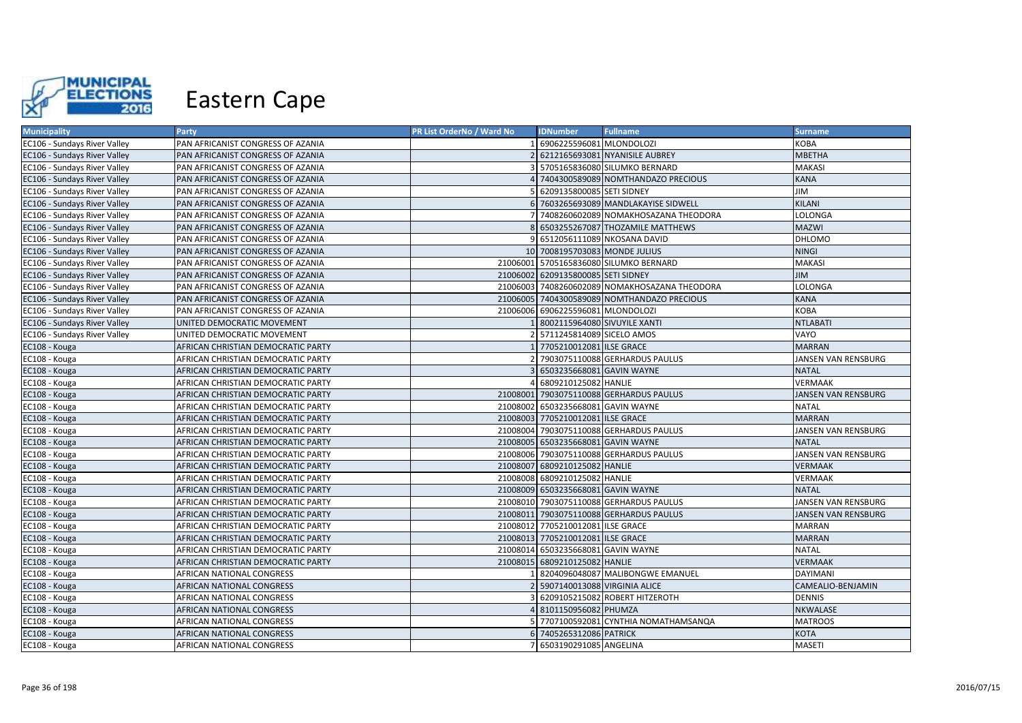

| <b>Municipality</b>                 | Party                              | PR List OrderNo / Ward No | <b>IDNumber</b>                    | <b>Fullname</b>                               | <b>Surname</b>      |
|-------------------------------------|------------------------------------|---------------------------|------------------------------------|-----------------------------------------------|---------------------|
| EC106 - Sundays River Valley        | PAN AFRICANIST CONGRESS OF AZANIA  |                           | 6906225596081 MLONDOLOZI           |                                               | KOBA                |
| EC106 - Sundays River Valley        | PAN AFRICANIST CONGRESS OF AZANIA  |                           |                                    | 2 6212165693081 NYANISILE AUBREY              | <b>MBETHA</b>       |
| EC106 - Sundays River Valley        | PAN AFRICANIST CONGRESS OF AZANIA  |                           |                                    | 5705165836080 SILUMKO BERNARD                 | <b>MAKASI</b>       |
| EC106 - Sundays River Valley        | PAN AFRICANIST CONGRESS OF AZANIA  |                           |                                    | 4 7404300589089 NOMTHANDAZO PRECIOUS          | <b>KANA</b>         |
| EC106 - Sundays River Valley        | PAN AFRICANIST CONGRESS OF AZANIA  |                           | 6209135800085 SETI SIDNEY          |                                               | <b>JIM</b>          |
| EC106 - Sundays River Valley        | PAN AFRICANIST CONGRESS OF AZANIA  |                           |                                    | 6 7603265693089 MANDLAKAYISE SIDWELL          | KILANI              |
| EC106 - Sundays River Valley        | PAN AFRICANIST CONGRESS OF AZANIA  |                           |                                    | 7 7408260602089 NOMAKHOSAZANA THEODORA        | LOLONGA             |
| EC106 - Sundays River Valley        | PAN AFRICANIST CONGRESS OF AZANIA  |                           |                                    | 6503255267087 THOZAMILE MATTHEWS              | <b>MAZWI</b>        |
| EC106 - Sundays River Valley        | PAN AFRICANIST CONGRESS OF AZANIA  |                           |                                    | 6512056111089 NKOSANA DAVID                   | <b>DHLOMO</b>       |
| <b>EC106 - Sundays River Valley</b> | PAN AFRICANIST CONGRESS OF AZANIA  |                           | 10 7008195703083 MONDE JULIUS      |                                               | <b>NINGI</b>        |
| EC106 - Sundays River Valley        | PAN AFRICANIST CONGRESS OF AZANIA  |                           |                                    | 21006001 5705165836080 SILUMKO BERNARD        | <b>MAKASI</b>       |
| EC106 - Sundays River Valley        | PAN AFRICANIST CONGRESS OF AZANIA  |                           | 21006002 6209135800085 SETI SIDNEY |                                               | <b>JIM</b>          |
| EC106 - Sundays River Valley        | PAN AFRICANIST CONGRESS OF AZANIA  |                           |                                    | 21006003 7408260602089 NOMAKHOSAZANA THEODORA | LOLONGA             |
| EC106 - Sundays River Valley        | PAN AFRICANIST CONGRESS OF AZANIA  |                           |                                    | 21006005 7404300589089 NOMTHANDAZO PRECIOUS   | <b>KANA</b>         |
| EC106 - Sundays River Valley        | PAN AFRICANIST CONGRESS OF AZANIA  |                           | 21006006 6906225596081 MLONDOLOZI  |                                               | <b>KOBA</b>         |
| EC106 - Sundays River Valley        | UNITED DEMOCRATIC MOVEMENT         |                           | 8002115964080 SIVUYILE XANTI       |                                               | <b>NTLABATI</b>     |
| EC106 - Sundays River Valley        | UNITED DEMOCRATIC MOVEMENT         |                           | 2 5711245814089 SICELO AMOS        |                                               | VAYO                |
| EC108 - Kouga                       | AFRICAN CHRISTIAN DEMOCRATIC PARTY |                           | 1 7705210012081 ILSE GRACE         |                                               | <b>MARRAN</b>       |
| EC108 - Kouga                       | AFRICAN CHRISTIAN DEMOCRATIC PARTY |                           |                                    | 7903075110088 GERHARDUS PAULUS                | JANSEN VAN RENSBURG |
| EC108 - Kouga                       | AFRICAN CHRISTIAN DEMOCRATIC PARTY |                           | 6503235668081 GAVIN WAYNE          |                                               | <b>NATAL</b>        |
| EC108 - Kouga                       | AFRICAN CHRISTIAN DEMOCRATIC PARTY | $\Lambda$                 | 6809210125082 HANLIE               |                                               | <b>VERMAAK</b>      |
| EC108 - Kouga                       | AFRICAN CHRISTIAN DEMOCRATIC PARTY |                           |                                    | 21008001 7903075110088 GERHARDUS PAULUS       | JANSEN VAN RENSBURG |
| EC108 - Kouga                       | AFRICAN CHRISTIAN DEMOCRATIC PARTY |                           | 21008002 6503235668081 GAVIN WAYNE |                                               | <b>NATAL</b>        |
| EC108 - Kouga                       | AFRICAN CHRISTIAN DEMOCRATIC PARTY |                           | 21008003 7705210012081 ILSE GRACE  |                                               | <b>MARRAN</b>       |
| EC108 - Kouga                       | AFRICAN CHRISTIAN DEMOCRATIC PARTY |                           |                                    | 21008004 7903075110088 GERHARDUS PAULUS       | JANSEN VAN RENSBURG |
| EC108 - Kouga                       | AFRICAN CHRISTIAN DEMOCRATIC PARTY |                           | 21008005 6503235668081 GAVIN WAYNE |                                               | <b>NATAL</b>        |
| EC108 - Kouga                       | AFRICAN CHRISTIAN DEMOCRATIC PARTY |                           |                                    | 21008006 7903075110088 GERHARDUS PAULUS       | JANSEN VAN RENSBURG |
| EC108 - Kouga                       | AFRICAN CHRISTIAN DEMOCRATIC PARTY |                           | 21008007 6809210125082 HANLIE      |                                               | <b>VERMAAK</b>      |
| EC108 - Kouga                       | AFRICAN CHRISTIAN DEMOCRATIC PARTY |                           | 21008008 6809210125082 HANLIE      |                                               | VERMAAK             |
| EC108 - Kouga                       | AFRICAN CHRISTIAN DEMOCRATIC PARTY |                           | 21008009 6503235668081 GAVIN WAYNE |                                               | <b>NATAL</b>        |
| EC108 - Kouga                       | AFRICAN CHRISTIAN DEMOCRATIC PARTY |                           |                                    | 21008010 7903075110088 GERHARDUS PAULUS       | JANSEN VAN RENSBURG |
| EC108 - Kouga                       | AFRICAN CHRISTIAN DEMOCRATIC PARTY |                           |                                    | 21008011 7903075110088 GERHARDUS PAULUS       | JANSEN VAN RENSBURG |
| EC108 - Kouga                       | AFRICAN CHRISTIAN DEMOCRATIC PARTY |                           | 21008012 7705210012081 ILSE GRACE  |                                               | <b>MARRAN</b>       |
| EC108 - Kouga                       | AFRICAN CHRISTIAN DEMOCRATIC PARTY |                           | 21008013 7705210012081 ILSE GRACE  |                                               | <b>MARRAN</b>       |
| EC108 - Kouga                       | AFRICAN CHRISTIAN DEMOCRATIC PARTY | 21008014                  | 6503235668081 GAVIN WAYNE          |                                               | <b>NATAL</b>        |
| EC108 - Kouga                       | AFRICAN CHRISTIAN DEMOCRATIC PARTY |                           | 21008015 6809210125082 HANLIE      |                                               | <b>VERMAAK</b>      |
| EC108 - Kouga                       | AFRICAN NATIONAL CONGRESS          |                           |                                    | 8204096048087 MALIBONGWE EMANUEL              | <b>DAYIMANI</b>     |
| EC108 - Kouga                       | AFRICAN NATIONAL CONGRESS          |                           | 2 5907140013088 VIRGINIA ALICE     |                                               | CAMEALIO-BENJAMIN   |
| EC108 - Kouga                       | AFRICAN NATIONAL CONGRESS          |                           |                                    | 6209105215082 ROBERT HITZEROTH                | DENNIS              |
| EC108 - Kouga                       | AFRICAN NATIONAL CONGRESS          |                           | 4 8101150956082 PHUMZA             |                                               | NKWALASE            |
| EC108 - Kouga                       | AFRICAN NATIONAL CONGRESS          |                           |                                    | 5 7707100592081 CYNTHIA NOMATHAMSANQA         | <b>MATROOS</b>      |
| EC108 - Kouga                       | AFRICAN NATIONAL CONGRESS          |                           | 6 7405265312086 PATRICK            |                                               | <b>KOTA</b>         |
| EC108 - Kouga                       | AFRICAN NATIONAL CONGRESS          |                           | 7 6503190291085 ANGELINA           |                                               | <b>MASETI</b>       |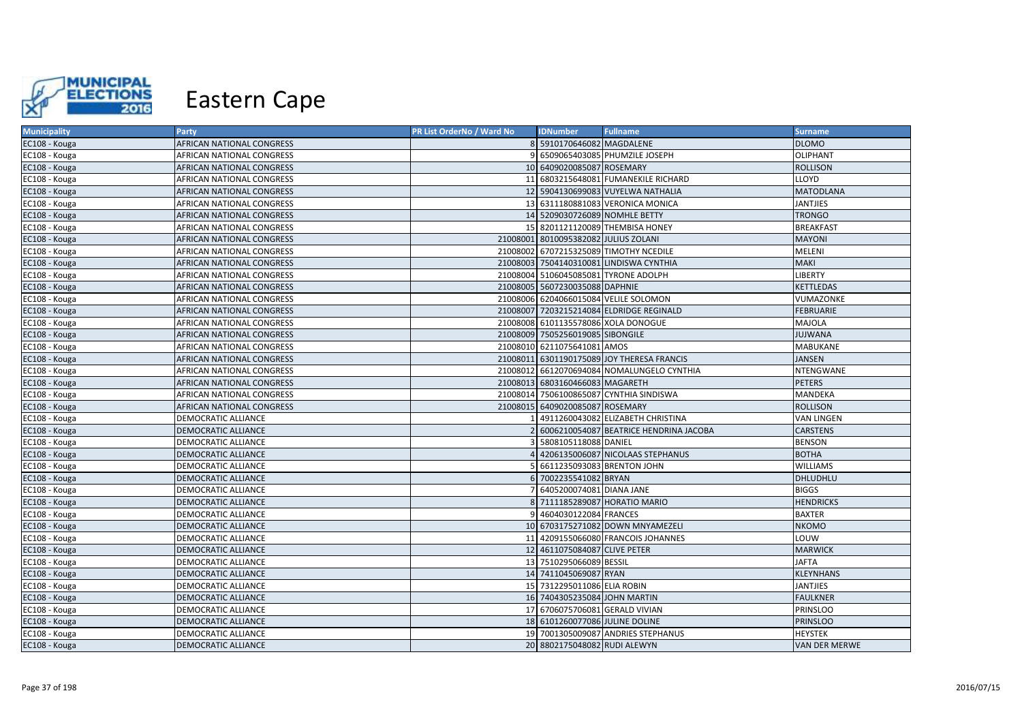

| <b>Municipality</b> | Party                            | PR List OrderNo / Ward No | <b>IDNumber</b>                      | <b>Fullname</b>                            | <b>Surname</b>       |
|---------------------|----------------------------------|---------------------------|--------------------------------------|--------------------------------------------|----------------------|
| EC108 - Kouga       | AFRICAN NATIONAL CONGRESS        |                           | 8 5910170646082 MAGDALENE            |                                            | <b>DLOMO</b>         |
| EC108 - Kouga       | AFRICAN NATIONAL CONGRESS        |                           |                                      | 6509065403085 PHUMZILE JOSEPH              | <b>OLIPHANT</b>      |
| EC108 - Kouga       | AFRICAN NATIONAL CONGRESS        |                           | 10 6409020085087 ROSEMARY            |                                            | <b>ROLLISON</b>      |
| EC108 - Kouga       | AFRICAN NATIONAL CONGRESS        |                           |                                      | 11 6803215648081 FUMANEKILE RICHARD        | LLOYD                |
| EC108 - Kouga       | AFRICAN NATIONAL CONGRESS        |                           |                                      | 12 5904130699083 VUYELWA NATHALIA          | <b>MATODLANA</b>     |
| EC108 - Kouga       | AFRICAN NATIONAL CONGRESS        |                           |                                      | 13 6311180881083 VERONICA MONICA           | <b>JANTJIES</b>      |
| EC108 - Kouga       | AFRICAN NATIONAL CONGRESS        |                           | 14 5209030726089 NOMHLE BETTY        |                                            | <b>TRONGO</b>        |
| EC108 - Kouga       | AFRICAN NATIONAL CONGRESS        | 15 <sup>1</sup>           |                                      | 8201121120089 THEMBISA HONEY               | <b>BREAKFAST</b>     |
| EC108 - Kouga       | AFRICAN NATIONAL CONGRESS        |                           | 21008001 8010095382082 JULIUS ZOLANI |                                            | <b>MAYONI</b>        |
| EC108 - Kouga       | <b>AFRICAN NATIONAL CONGRESS</b> |                           |                                      | 21008002 6707215325089 TIMOTHY NCEDILE     | MELENI               |
| EC108 - Kouga       | <b>AFRICAN NATIONAL CONGRESS</b> |                           |                                      | 21008003 7504140310081 LINDISWA CYNTHIA    | <b>MAKI</b>          |
| EC108 - Kouga       | <b>AFRICAN NATIONAL CONGRESS</b> |                           |                                      | 21008004 5106045085081 TYRONE ADOLPH       | <b>LIBERTY</b>       |
| EC108 - Kouga       | <b>AFRICAN NATIONAL CONGRESS</b> |                           | 21008005 5607230035088 DAPHNIE       |                                            | <b>KETTLEDAS</b>     |
| EC108 - Kouga       | <b>AFRICAN NATIONAL CONGRESS</b> |                           |                                      | 21008006 6204066015084 VELILE SOLOMON      | VUMAZONKE            |
| EC108 - Kouga       | <b>AFRICAN NATIONAL CONGRESS</b> |                           |                                      | 21008007 7203215214084 ELDRIDGE REGINALD   | <b>FEBRUARIE</b>     |
| EC108 - Kouga       | <b>AFRICAN NATIONAL CONGRESS</b> |                           |                                      | 21008008 6101135578086 XOLA DONOGUE        | MAJOLA               |
| EC108 - Kouga       | <b>AFRICAN NATIONAL CONGRESS</b> |                           | 21008009 7505256019085 SIBONGILE     |                                            | <b>JUJWANA</b>       |
| EC108 - Kouga       | <b>AFRICAN NATIONAL CONGRESS</b> |                           | 21008010 6211075641081 AMOS          |                                            | <b>MABUKANE</b>      |
| EC108 - Kouga       | AFRICAN NATIONAL CONGRESS        |                           |                                      | 21008011 6301190175089 JOY THERESA FRANCIS | <b>JANSEN</b>        |
| EC108 - Kouga       | <b>AFRICAN NATIONAL CONGRESS</b> |                           |                                      | 21008012 6612070694084 NOMALUNGELO CYNTHIA | NTENGWANE            |
| EC108 - Kouga       | <b>AFRICAN NATIONAL CONGRESS</b> |                           | 21008013 6803160466083 MAGARETH      |                                            | <b>PETERS</b>        |
| EC108 - Kouga       | AFRICAN NATIONAL CONGRESS        |                           |                                      | 21008014 7506100865087 CYNTHIA SINDISWA    | MANDEKA              |
| EC108 - Kouga       | <b>AFRICAN NATIONAL CONGRESS</b> |                           | 21008015 6409020085087 ROSEMARY      |                                            | <b>ROLLISON</b>      |
| EC108 - Kouga       | <b>DEMOCRATIC ALLIANCE</b>       |                           |                                      | 4911260043082 ELIZABETH CHRISTINA          | <b>VAN LINGEN</b>    |
| EC108 - Kouga       | <b>DEMOCRATIC ALLIANCE</b>       |                           |                                      | 6006210054087 BEATRICE HENDRINA JACOBA     | <b>CARSTENS</b>      |
| EC108 - Kouga       | <b>DEMOCRATIC ALLIANCE</b>       |                           | 5808105118088 DANIEL                 |                                            | <b>BENSON</b>        |
| EC108 - Kouga       | DEMOCRATIC ALLIANCE              |                           |                                      | 4206135006087 NICOLAAS STEPHANUS           | <b>BOTHA</b>         |
| EC108 - Kouga       | <b>DEMOCRATIC ALLIANCE</b>       |                           | 6611235093083 BRENTON JOHN           |                                            | <b>WILLIAMS</b>      |
| EC108 - Kouga       | DEMOCRATIC ALLIANCE              |                           | 6 7002235541082 BRYAN                |                                            | DHLUDHLU             |
| EC108 - Kouga       | <b>DEMOCRATIC ALLIANCE</b>       |                           | 6405200074081 DIANA JANE             |                                            | <b>BIGGS</b>         |
| EC108 - Kouga       | DEMOCRATIC ALLIANCE              |                           |                                      | 8 7111185289087 HORATIO MARIO              | <b>HENDRICKS</b>     |
| EC108 - Kouga       | DEMOCRATIC ALLIANCE              |                           | 4604030122084 FRANCES                |                                            | <b>BAXTER</b>        |
| EC108 - Kouga       | DEMOCRATIC ALLIANCE              |                           |                                      | 10 6703175271082 DOWN MNYAMEZELI           | <b>NKOMO</b>         |
| EC108 - Kouga       | <b>DEMOCRATIC ALLIANCE</b>       |                           |                                      | 11 4209155066080 FRANCOIS JOHANNES         | LOUW                 |
| EC108 - Kouga       | <b>DEMOCRATIC ALLIANCE</b>       |                           | 12 4611075084087 CLIVE PETER         |                                            | <b>MARWICK</b>       |
| EC108 - Kouga       | DEMOCRATIC ALLIANCE              |                           | 13 7510295066089 BESSIL              |                                            | <b>JAFTA</b>         |
| EC108 - Kouga       | DEMOCRATIC ALLIANCE              |                           | 14 7411045069087 RYAN                |                                            | <b>KLEYNHANS</b>     |
| EC108 - Kouga       | DEMOCRATIC ALLIANCE              |                           | 15 7312295011086 ELIA ROBIN          |                                            | <b>JANTJIES</b>      |
| EC108 - Kouga       | <b>DEMOCRATIC ALLIANCE</b>       |                           | 16 7404305235084 JOHN MARTIN         |                                            | <b>FAULKNER</b>      |
| EC108 - Kouga       | <b>DEMOCRATIC ALLIANCE</b>       |                           | 17 6706075706081 GERALD VIVIAN       |                                            | PRINSLOO             |
| EC108 - Kouga       | DEMOCRATIC ALLIANCE              |                           | 18 6101260077086 JULINE DOLINE       |                                            | <b>PRINSLOO</b>      |
| EC108 - Kouga       | DEMOCRATIC ALLIANCE              |                           |                                      | 19 7001305009087 ANDRIES STEPHANUS         | <b>HEYSTEK</b>       |
| EC108 - Kouga       | <b>DEMOCRATIC ALLIANCE</b>       |                           | 20 8802175048082 RUDI ALEWYN         |                                            | <b>VAN DER MERWE</b> |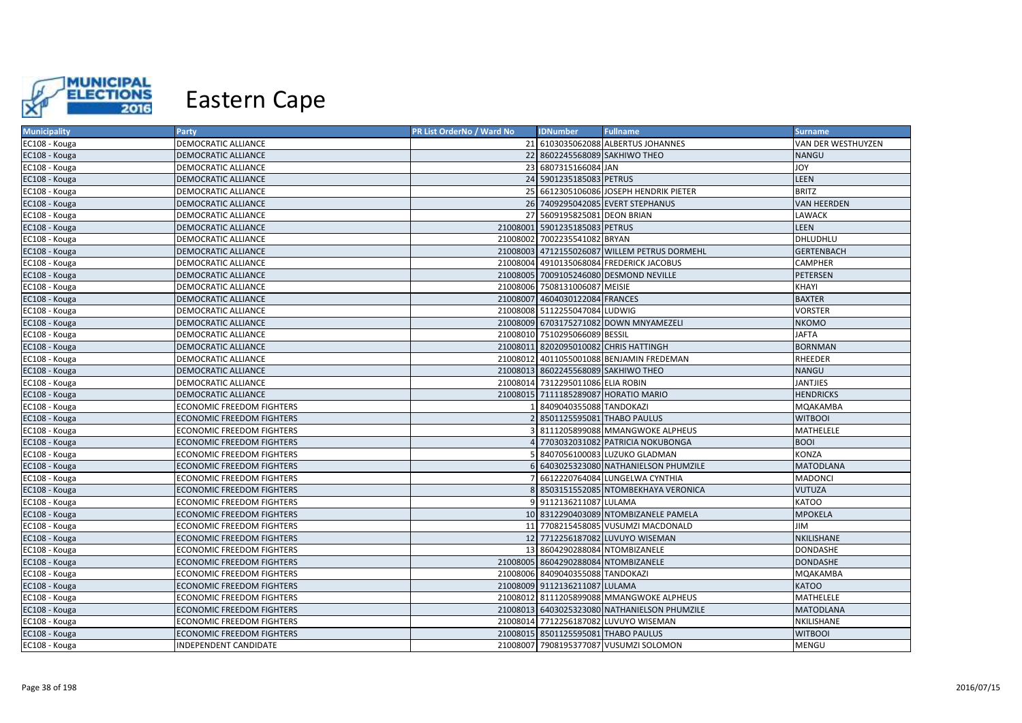

| <b>Municipality</b> | Party                            | PR List OrderNo / Ward No | <b>IDNumber</b>                     | <b>Fullname</b>                              | <b>Surname</b>     |
|---------------------|----------------------------------|---------------------------|-------------------------------------|----------------------------------------------|--------------------|
| EC108 - Kouga       | <b>DEMOCRATIC ALLIANCE</b>       |                           |                                     | 21 6103035062088 ALBERTUS JOHANNES           | VAN DER WESTHUYZEN |
| EC108 - Kouga       | DEMOCRATIC ALLIANCE              |                           | 22 8602245568089 SAKHIWO THEO       |                                              | <b>NANGU</b>       |
| EC108 - Kouga       | <b>DEMOCRATIC ALLIANCE</b>       |                           | 23 6807315166084 JAN                |                                              | <b>JOY</b>         |
| EC108 - Kouga       | DEMOCRATIC ALLIANCE              |                           | 24 5901235185083 PETRUS             |                                              | LEEN               |
| EC108 - Kouga       | DEMOCRATIC ALLIANCE              |                           |                                     | 25 6612305106086 JOSEPH HENDRIK PIETER       | <b>BRITZ</b>       |
| EC108 - Kouga       | DEMOCRATIC ALLIANCE              |                           |                                     | 26 7409295042085 EVERT STEPHANUS             | <b>VAN HEERDEN</b> |
| EC108 - Kouga       | <b>DEMOCRATIC ALLIANCE</b>       |                           | 27 5609195825081 DEON BRIAN         |                                              | <b>LAWACK</b>      |
| EC108 - Kouga       | <b>DEMOCRATIC ALLIANCE</b>       |                           | 21008001 5901235185083 PETRUS       |                                              | LEEN               |
| EC108 - Kouga       | DEMOCRATIC ALLIANCE              |                           | 21008002 7002235541082 BRYAN        |                                              | DHLUDHLU           |
| EC108 - Kouga       | DEMOCRATIC ALLIANCE              |                           |                                     | 21008003 4712155026087 WILLEM PETRUS DORMEHL | <b>GERTENBACH</b>  |
| EC108 - Kouga       | DEMOCRATIC ALLIANCE              |                           |                                     | 21008004 4910135068084 FREDERICK JACOBUS     | <b>CAMPHER</b>     |
| EC108 - Kouga       | DEMOCRATIC ALLIANCE              |                           |                                     | 21008005 7009105246080 DESMOND NEVILLE       | PETERSEN           |
| EC108 - Kouga       | <b>DEMOCRATIC ALLIANCE</b>       |                           | 21008006 7508131006087 MEISIE       |                                              | <b>KHAYI</b>       |
| EC108 - Kouga       | <b>DEMOCRATIC ALLIANCE</b>       |                           | 21008007 4604030122084 FRANCES      |                                              | <b>BAXTER</b>      |
| EC108 - Kouga       | <b>DEMOCRATIC ALLIANCE</b>       |                           | 21008008 5112255047084 LUDWIG       |                                              | <b>VORSTER</b>     |
| EC108 - Kouga       | <b>DEMOCRATIC ALLIANCE</b>       |                           |                                     | 21008009 6703175271082 DOWN MNYAMEZELI       | <b>NKOMO</b>       |
| EC108 - Kouga       | <b>DEMOCRATIC ALLIANCE</b>       |                           | 21008010 7510295066089 BESSIL       |                                              | <b>JAFTA</b>       |
| EC108 - Kouga       | <b>DEMOCRATIC ALLIANCE</b>       | 21008011                  |                                     | 8202095010082 CHRIS HATTINGH                 | <b>BORNMAN</b>     |
| EC108 - Kouga       | DEMOCRATIC ALLIANCE              |                           |                                     | 21008012 4011055001088 BENJAMIN FREDEMAN     | RHEEDER            |
| EC108 - Kouga       | <b>DEMOCRATIC ALLIANCE</b>       |                           | 21008013 8602245568089 SAKHIWO THEO |                                              | <b>NANGU</b>       |
| EC108 - Kouga       | <b>DEMOCRATIC ALLIANCE</b>       |                           | 21008014 7312295011086 ELIA ROBIN   |                                              | <b>JANTJIES</b>    |
| EC108 - Kouga       | <b>DEMOCRATIC ALLIANCE</b>       |                           |                                     | 21008015 7111185289087 HORATIO MARIO         | <b>HENDRICKS</b>   |
| EC108 - Kouga       | <b>ECONOMIC FREEDOM FIGHTERS</b> |                           | 8409040355088 TANDOKAZI             |                                              | <b>MQAKAMBA</b>    |
| EC108 - Kouga       | <b>ECONOMIC FREEDOM FIGHTERS</b> |                           | 8501125595081 THABO PAULUS          |                                              | <b>WITBOOI</b>     |
| EC108 - Kouga       | <b>ECONOMIC FREEDOM FIGHTERS</b> |                           |                                     | 8111205899088 MMANGWOKE ALPHEUS              | MATHELELE          |
| EC108 - Kouga       | <b>ECONOMIC FREEDOM FIGHTERS</b> |                           |                                     | 7703032031082 PATRICIA NOKUBONGA             | <b>BOOI</b>        |
| EC108 - Kouga       | <b>ECONOMIC FREEDOM FIGHTERS</b> |                           |                                     | 8407056100083 LUZUKO GLADMAN                 | <b>KONZA</b>       |
| EC108 - Kouga       | <b>ECONOMIC FREEDOM FIGHTERS</b> |                           |                                     | 6403025323080 NATHANIELSON PHUMZILE          | <b>MATODLANA</b>   |
| EC108 - Kouga       | <b>ECONOMIC FREEDOM FIGHTERS</b> |                           |                                     | 6612220764084 LUNGELWA CYNTHIA               | MADONCI            |
| EC108 - Kouga       | <b>ECONOMIC FREEDOM FIGHTERS</b> |                           |                                     | 8503151552085 NTOMBEKHAYA VERONICA           | <b>VUTUZA</b>      |
| EC108 - Kouga       | <b>ECONOMIC FREEDOM FIGHTERS</b> | ٩I                        | 9112136211087 LULAMA                |                                              | <b>KATOO</b>       |
| EC108 - Kouga       | <b>ECONOMIC FREEDOM FIGHTERS</b> |                           |                                     | 10 8312290403089 NTOMBIZANELE PAMELA         | <b>MPOKELA</b>     |
| EC108 - Kouga       | <b>ECONOMIC FREEDOM FIGHTERS</b> |                           |                                     | 11 7708215458085 VUSUMZI MACDONALD           | JIM                |
| EC108 - Kouga       | ECONOMIC FREEDOM FIGHTERS        |                           |                                     | 12 7712256187082 LUVUYO WISEMAN              | NKILISHANE         |
| EC108 - Kouga       | <b>ECONOMIC FREEDOM FIGHTERS</b> | 13                        |                                     | 8604290288084 NTOMBIZANELE                   | <b>DONDASHE</b>    |
| EC108 - Kouga       | ECONOMIC FREEDOM FIGHTERS        |                           | 21008005 8604290288084 NTOMBIZANELE |                                              | <b>DONDASHE</b>    |
| EC108 - Kouga       | ECONOMIC FREEDOM FIGHTERS        |                           | 21008006 8409040355088 TANDOKAZI    |                                              | MQAKAMBA           |
| EC108 - Kouga       | ECONOMIC FREEDOM FIGHTERS        |                           | 21008009 9112136211087 LULAMA       |                                              | <b>KATOO</b>       |
| EC108 - Kouga       | ECONOMIC FREEDOM FIGHTERS        |                           |                                     | 21008012 8111205899088 MMANGWOKE ALPHEUS     | MATHELELE          |
| EC108 - Kouga       | <b>ECONOMIC FREEDOM FIGHTERS</b> |                           |                                     | 21008013 6403025323080 NATHANIELSON PHUMZILE | <b>MATODLANA</b>   |
| EC108 - Kouga       | ECONOMIC FREEDOM FIGHTERS        |                           |                                     | 21008014 7712256187082 LUVUYO WISEMAN        | NKILISHANE         |
| EC108 - Kouga       | ECONOMIC FREEDOM FIGHTERS        |                           | 21008015 8501125595081 THABO PAULUS |                                              | <b>WITBOOI</b>     |
| EC108 - Kouga       | INDEPENDENT CANDIDATE            |                           |                                     | 21008007 7908195377087 VUSUMZI SOLOMON       | MENGU              |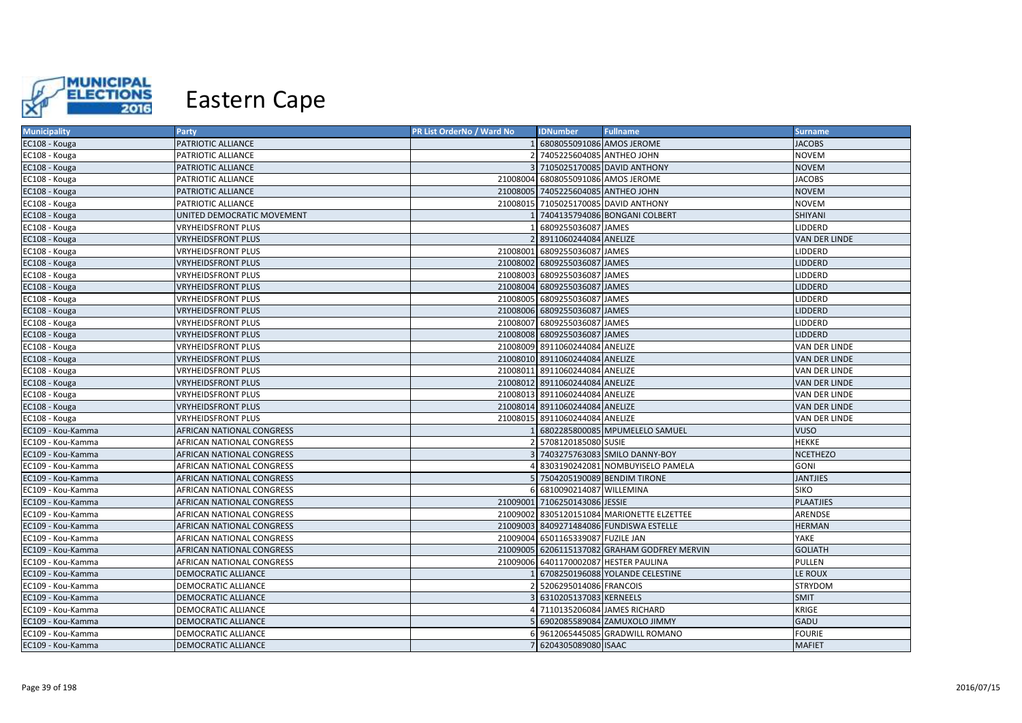

| <b>Municipality</b> | <b>Party</b>               | PR List OrderNo / Ward No | <b>IDNumber</b>                    | <b>Fullname</b>                              | <b>Surname</b>       |
|---------------------|----------------------------|---------------------------|------------------------------------|----------------------------------------------|----------------------|
| EC108 - Kouga       | PATRIOTIC ALLIANCE         |                           | 6808055091086 AMOS JEROME          |                                              | <b>JACOBS</b>        |
| EC108 - Kouga       | PATRIOTIC ALLIANCE         |                           | 7405225604085 ANTHEO JOHN          |                                              | <b>NOVEM</b>         |
| EC108 - Kouga       | PATRIOTIC ALLIANCE         |                           |                                    | 3 7105025170085 DAVID ANTHONY                | <b>NOVEM</b>         |
| EC108 - Kouga       | PATRIOTIC ALLIANCE         |                           | 21008004 6808055091086 AMOS JEROME |                                              | <b>JACOBS</b>        |
| EC108 - Kouga       | PATRIOTIC ALLIANCE         |                           | 21008005 7405225604085 ANTHEO JOHN |                                              | <b>NOVEM</b>         |
| EC108 - Kouga       | PATRIOTIC ALLIANCE         |                           |                                    | 21008015 7105025170085 DAVID ANTHONY         | <b>NOVEM</b>         |
| EC108 - Kouga       | UNITED DEMOCRATIC MOVEMENT |                           |                                    | 7404135794086 BONGANI COLBERT                | SHIYANI              |
| EC108 - Kouga       | <b>VRYHEIDSFRONT PLUS</b>  |                           | 6809255036087 JAMES                |                                              | LIDDERD              |
| EC108 - Kouga       | <b>VRYHEIDSFRONT PLUS</b>  |                           | 2 8911060244084 ANELIZE            |                                              | <b>VAN DER LINDE</b> |
| EC108 - Kouga       | VRYHEIDSFRONT PLUS         |                           | 21008001 6809255036087 JAMES       |                                              | <b>LIDDERD</b>       |
| EC108 - Kouga       | <b>VRYHEIDSFRONT PLUS</b>  |                           | 21008002 6809255036087 JAMES       |                                              | LIDDERD              |
| EC108 - Kouga       | VRYHEIDSFRONT PLUS         |                           | 21008003 6809255036087 JAMES       |                                              | LIDDERD              |
| EC108 - Kouga       | <b>VRYHEIDSFRONT PLUS</b>  |                           | 21008004 6809255036087 JAMES       |                                              | <b>LIDDERD</b>       |
| EC108 - Kouga       | <b>VRYHEIDSFRONT PLUS</b>  |                           | 21008005 6809255036087 JAMES       |                                              | <b>LIDDERD</b>       |
| EC108 - Kouga       | <b>VRYHEIDSFRONT PLUS</b>  |                           | 21008006 6809255036087 JAMES       |                                              | <b>LIDDERD</b>       |
| EC108 - Kouga       | VRYHEIDSFRONT PLUS         |                           | 21008007 6809255036087 JAMES       |                                              | LIDDERD              |
| EC108 - Kouga       | <b>VRYHEIDSFRONT PLUS</b>  |                           | 21008008 6809255036087 JAMES       |                                              | <b>LIDDERD</b>       |
| EC108 - Kouga       | VRYHEIDSFRONT PLUS         |                           | 21008009 8911060244084 ANELIZE     |                                              | VAN DER LINDE        |
| EC108 - Kouga       | <b>VRYHEIDSFRONT PLUS</b>  |                           | 21008010 8911060244084 ANELIZE     |                                              | VAN DER LINDE        |
| EC108 - Kouga       | VRYHEIDSFRONT PLUS         |                           | 21008011 8911060244084 ANELIZE     |                                              | VAN DER LINDE        |
| EC108 - Kouga       | <b>VRYHEIDSFRONT PLUS</b>  |                           | 21008012 8911060244084 ANELIZE     |                                              | <b>VAN DER LINDE</b> |
| EC108 - Kouga       | VRYHEIDSFRONT PLUS         |                           | 21008013 8911060244084 ANELIZE     |                                              | <b>VAN DER LINDE</b> |
| EC108 - Kouga       | <b>VRYHEIDSFRONT PLUS</b>  |                           | 21008014 8911060244084 ANELIZE     |                                              | VAN DER LINDE        |
| EC108 - Kouga       | VRYHEIDSFRONT PLUS         |                           | 21008015 8911060244084 ANELIZE     |                                              | VAN DER LINDE        |
| EC109 - Kou-Kamma   | AFRICAN NATIONAL CONGRESS  |                           |                                    | 6802285800085 MPUMELELO SAMUEL               | <b>VUSO</b>          |
| EC109 - Kou-Kamma   | AFRICAN NATIONAL CONGRESS  |                           | 5708120185080 SUSIE                |                                              | <b>HEKKE</b>         |
| EC109 - Kou-Kamma   | AFRICAN NATIONAL CONGRESS  |                           |                                    | 7403275763083 SMILO DANNY-BOY                | <b>NCETHEZO</b>      |
| EC109 - Kou-Kamma   | AFRICAN NATIONAL CONGRESS  |                           |                                    | 8303190242081 NOMBUYISELO PAMELA             | <b>GONI</b>          |
| EC109 - Kou-Kamma   | AFRICAN NATIONAL CONGRESS  |                           |                                    | 7504205190089 BENDIM TIRONE                  | <b>JANTJIES</b>      |
| EC109 - Kou-Kamma   | AFRICAN NATIONAL CONGRESS  |                           | 6810090214087 WILLEMINA            |                                              | <b>SIKO</b>          |
| EC109 - Kou-Kamma   | AFRICAN NATIONAL CONGRESS  |                           | 21009001 7106250143086 JESSIE      |                                              | <b>PLAATJIES</b>     |
| EC109 - Kou-Kamma   | AFRICAN NATIONAL CONGRESS  |                           |                                    | 21009002 8305120151084 MARIONETTE ELZETTEE   | ARENDSE              |
| EC109 - Kou-Kamma   | AFRICAN NATIONAL CONGRESS  |                           |                                    | 21009003 8409271484086 FUNDISWA ESTELLE      | <b>HERMAN</b>        |
| EC109 - Kou-Kamma   | AFRICAN NATIONAL CONGRESS  |                           | 21009004 6501165339087 FUZILE JAN  |                                              | YAKE                 |
| EC109 - Kou-Kamma   | AFRICAN NATIONAL CONGRESS  |                           |                                    | 21009005 6206115137082 GRAHAM GODFREY MERVIN | <b>GOLIATH</b>       |
| EC109 - Kou-Kamma   | AFRICAN NATIONAL CONGRESS  |                           |                                    | 21009006 6401170002087 HESTER PAULINA        | PULLEN               |
| EC109 - Kou-Kamma   | DEMOCRATIC ALLIANCE        |                           |                                    | 6708250196088 YOLANDE CELESTINE              | LE ROUX              |
| EC109 - Kou-Kamma   | DEMOCRATIC ALLIANCE        |                           | 5206295014086 FRANCOIS             |                                              | <b>STRYDOM</b>       |
| EC109 - Kou-Kamma   | DEMOCRATIC ALLIANCE        |                           | 6310205137083 KERNEELS             |                                              | <b>SMIT</b>          |
| EC109 - Kou-Kamma   | DEMOCRATIC ALLIANCE        |                           | 7110135206084 JAMES RICHARD        |                                              | <b>KRIGE</b>         |
| EC109 - Kou-Kamma   | DEMOCRATIC ALLIANCE        |                           |                                    | 6902085589084 ZAMUXOLO JIMMY                 | GADU                 |
| EC109 - Kou-Kamma   | DEMOCRATIC ALLIANCE        |                           |                                    | 9612065445085 GRADWILL ROMANO                | <b>FOURIE</b>        |
| EC109 - Kou-Kamma   | DEMOCRATIC ALLIANCE        |                           | 7 6204305089080 ISAAC              |                                              | <b>MAFIET</b>        |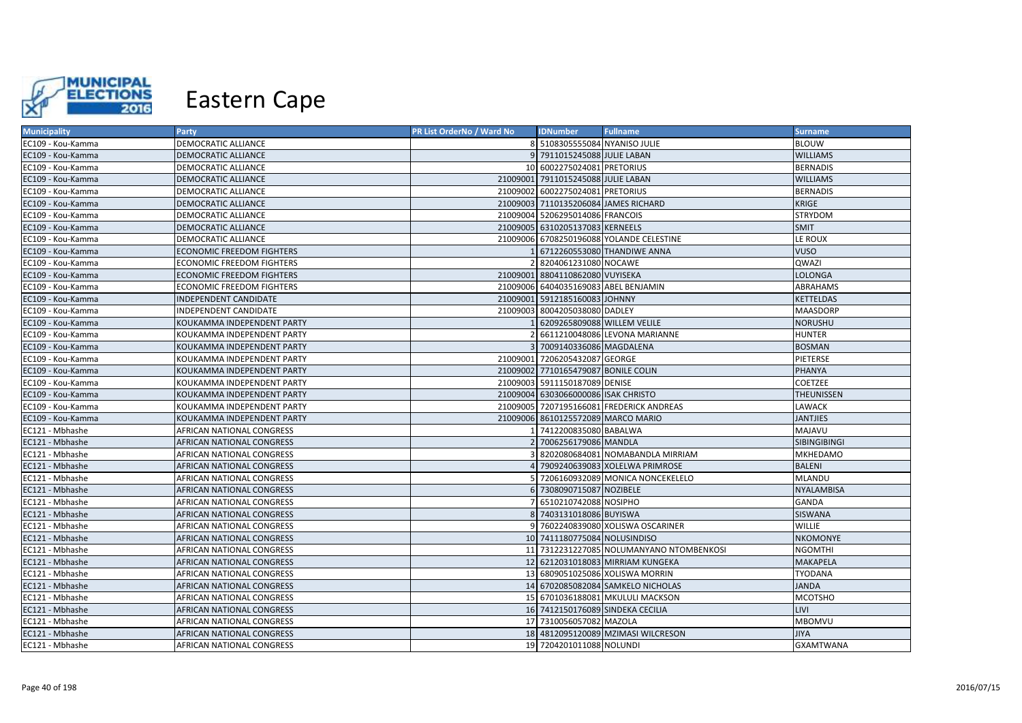

| <b>Municipality</b> | <b>Party</b>                     | PR List OrderNo / Ward No | <b>IDNumber</b>                      | <b>Fullname</b>                          | <b>Surname</b>      |
|---------------------|----------------------------------|---------------------------|--------------------------------------|------------------------------------------|---------------------|
| EC109 - Kou-Kamma   | DEMOCRATIC ALLIANCE              |                           | 8 5108305555084 NYANISO JULIE        |                                          | <b>BLOUW</b>        |
| EC109 - Kou-Kamma   | DEMOCRATIC ALLIANCE              |                           | 9 7911015245088 JULIE LABAN          |                                          | <b>WILLIAMS</b>     |
| EC109 - Kou-Kamma   | DEMOCRATIC ALLIANCE              |                           | 10 6002275024081 PRETORIUS           |                                          | <b>BERNADIS</b>     |
| EC109 - Kou-Kamma   | DEMOCRATIC ALLIANCE              |                           | 21009001 7911015245088 JULIE LABAN   |                                          | <b>WILLIAMS</b>     |
| EC109 - Kou-Kamma   | DEMOCRATIC ALLIANCE              |                           | 21009002 6002275024081 PRETORIUS     |                                          | <b>BERNADIS</b>     |
| EC109 - Kou-Kamma   | DEMOCRATIC ALLIANCE              |                           | 21009003 7110135206084 JAMES RICHARD |                                          | KRIGE               |
| EC109 - Kou-Kamma   | DEMOCRATIC ALLIANCE              |                           | 21009004 5206295014086 FRANCOIS      |                                          | STRYDOM             |
| EC109 - Kou-Kamma   | DEMOCRATIC ALLIANCE              |                           | 21009005 6310205137083 KERNEELS      |                                          | <b>SMIT</b>         |
| EC109 - Kou-Kamma   | DEMOCRATIC ALLIANCE              |                           |                                      | 21009006 6708250196088 YOLANDE CELESTINE | LE ROUX             |
| EC109 - Kou-Kamma   | <b>ECONOMIC FREEDOM FIGHTERS</b> |                           |                                      | 6712260553080 THANDIWE ANNA              | <b>VUSO</b>         |
| EC109 - Kou-Kamma   | ECONOMIC FREEDOM FIGHTERS        |                           | 8204061231080 NOCAWE                 |                                          | QWAZI               |
| EC109 - Kou-Kamma   | ECONOMIC FREEDOM FIGHTERS        |                           | 21009001 8804110862080 VUYISEKA      |                                          | LOLONGA             |
| EC109 - Kou-Kamma   | ECONOMIC FREEDOM FIGHTERS        |                           | 21009006 6404035169083 ABEL BENJAMIN |                                          | ABRAHAMS            |
| EC109 - Kou-Kamma   | INDEPENDENT CANDIDATE            |                           | 21009001 5912185160083 JOHNNY        |                                          | <b>KETTELDAS</b>    |
| EC109 - Kou-Kamma   | INDEPENDENT CANDIDATE            | 21009003                  | 8004205038080 DADLEY                 |                                          | <b>MAASDORP</b>     |
| EC109 - Kou-Kamma   | KOUKAMMA INDEPENDENT PARTY       |                           | 6209265809088 WILLEM VELILE          |                                          | <b>NORUSHU</b>      |
| EC109 - Kou-Kamma   | KOUKAMMA INDEPENDENT PARTY       |                           |                                      | 6611210048086 LEVONA MARIANNE            | <b>HUNTER</b>       |
| EC109 - Kou-Kamma   | KOUKAMMA INDEPENDENT PARTY       |                           | 3 7009140336086 MAGDALENA            |                                          | <b>BOSMAN</b>       |
| EC109 - Kou-Kamma   | KOUKAMMA INDEPENDENT PARTY       |                           | 21009001 7206205432087 GEORGE        |                                          | PIETERSE            |
| EC109 - Kou-Kamma   | KOUKAMMA INDEPENDENT PARTY       |                           | 21009002 7710165479087 BONILE COLIN  |                                          | <b>PHANYA</b>       |
| EC109 - Kou-Kamma   | KOUKAMMA INDEPENDENT PARTY       |                           | 21009003 5911150187089 DENISE        |                                          | <b>COETZEE</b>      |
| EC109 - Kou-Kamma   | KOUKAMMA INDEPENDENT PARTY       |                           | 21009004 6303066000086 ISAK CHRISTO  |                                          | <b>THEUNISSEN</b>   |
| EC109 - Kou-Kamma   | KOUKAMMA INDEPENDENT PARTY       |                           |                                      | 21009005 7207195166081 FREDERICK ANDREAS | LAWACK              |
| EC109 - Kou-Kamma   | KOUKAMMA INDEPENDENT PARTY       |                           | 21009006 8610125572089 MARCO MARIO   |                                          | <b>JANTJIES</b>     |
| EC121 - Mbhashe     | AFRICAN NATIONAL CONGRESS        |                           | 7412200835080 BABALWA                |                                          | <b>MAJAVU</b>       |
| EC121 - Mbhashe     | AFRICAN NATIONAL CONGRESS        |                           | 7006256179086 MANDLA                 |                                          | <b>SIBINGIBINGI</b> |
| EC121 - Mbhashe     | AFRICAN NATIONAL CONGRESS        |                           |                                      | 8202080684081 NOMABANDLA MIRRIAM         | <b>MKHEDAMO</b>     |
| EC121 - Mbhashe     | AFRICAN NATIONAL CONGRESS        |                           |                                      | 7909240639083 XOLELWA PRIMROSE           | <b>BALENI</b>       |
| EC121 - Mbhashe     | AFRICAN NATIONAL CONGRESS        |                           |                                      | 7206160932089 MONICA NONCEKELELO         | <b>MLANDU</b>       |
| EC121 - Mbhashe     | AFRICAN NATIONAL CONGRESS        |                           | 6 7308090715087 NOZIBELE             |                                          | <b>NYALAMBISA</b>   |
| EC121 - Mbhashe     | AFRICAN NATIONAL CONGRESS        |                           | 6510210742088 NOSIPHO                |                                          | GANDA               |
| EC121 - Mbhashe     | AFRICAN NATIONAL CONGRESS        |                           | 7403131018086 BUYISWA                |                                          | SISWANA             |
| EC121 - Mbhashe     | AFRICAN NATIONAL CONGRESS        |                           |                                      | 9 7602240839080 XOLISWA OSCARINER        | WILLIE              |
| EC121 - Mbhashe     | AFRICAN NATIONAL CONGRESS        |                           | 10 7411180775084 NOLUSINDISO         |                                          | <b>NKOMONYE</b>     |
| EC121 - Mbhashe     | AFRICAN NATIONAL CONGRESS        |                           |                                      | 11 7312231227085 NOLUMANYANO NTOMBENKOSI | <b>NGOMTHI</b>      |
| EC121 - Mbhashe     | AFRICAN NATIONAL CONGRESS        |                           |                                      | 12 6212031018083 MIRRIAM KUNGEKA         | <b>MAKAPELA</b>     |
| EC121 - Mbhashe     | AFRICAN NATIONAL CONGRESS        |                           |                                      | 13 6809051025086 XOLISWA MORRIN          | <b>TYODANA</b>      |
| EC121 - Mbhashe     | AFRICAN NATIONAL CONGRESS        |                           |                                      | 14 6702085082084 SAMKELO NICHOLAS        | <b>JANDA</b>        |
| EC121 - Mbhashe     | AFRICAN NATIONAL CONGRESS        |                           |                                      | 15 6701036188081 MKULULI MACKSON         | <b>MCOTSHO</b>      |
| EC121 - Mbhashe     | AFRICAN NATIONAL CONGRESS        |                           |                                      | 16 7412150176089 SINDEKA CECILIA         | <b>LIVI</b>         |
| EC121 - Mbhashe     | AFRICAN NATIONAL CONGRESS        |                           | 17 7310056057082 MAZOLA              |                                          | <b>MBOMVU</b>       |
| EC121 - Mbhashe     | AFRICAN NATIONAL CONGRESS        |                           |                                      | 18 4812095120089 MZIMASI WILCRESON       | <b>JIYA</b>         |
| EC121 - Mbhashe     | AFRICAN NATIONAL CONGRESS        |                           | 19 7204201011088 NOLUNDI             |                                          | <b>GXAMTWANA</b>    |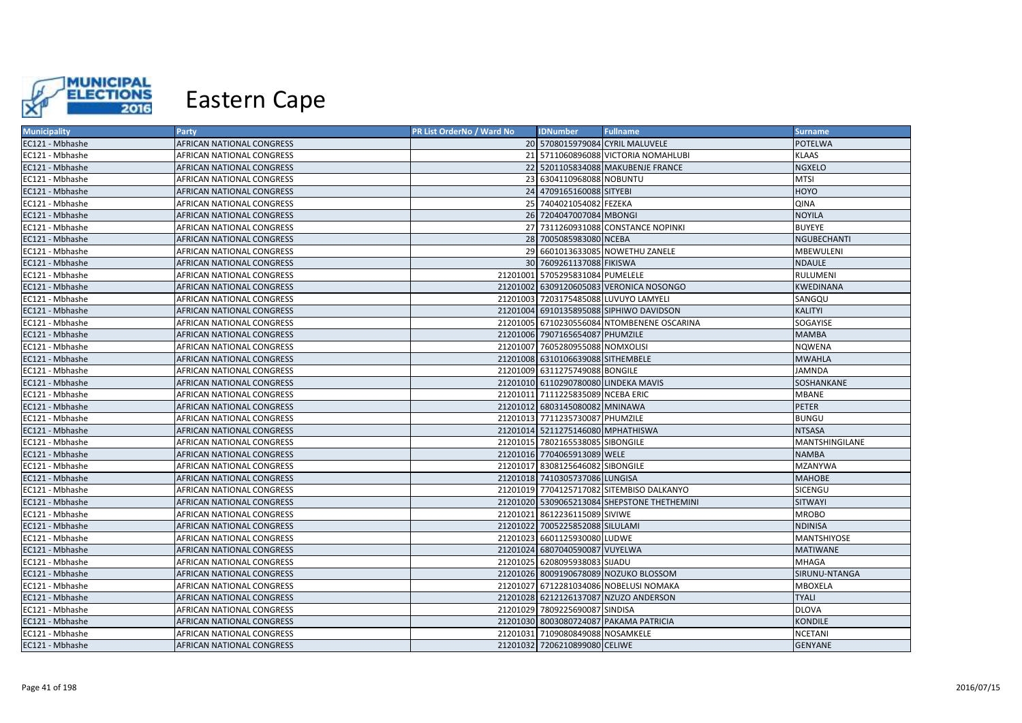

| <b>Municipality</b> | Party                            | PR List OrderNo / Ward No | <b>IDNumber</b>                      | <b>Fullname</b>                             | <b>Surname</b>   |
|---------------------|----------------------------------|---------------------------|--------------------------------------|---------------------------------------------|------------------|
| EC121 - Mbhashe     | <b>AFRICAN NATIONAL CONGRESS</b> |                           |                                      | 20 5708015979084 CYRIL MALUVELE             | <b>POTELWA</b>   |
| EC121 - Mbhashe     | <b>AFRICAN NATIONAL CONGRESS</b> |                           |                                      | 21 5711060896088 VICTORIA NOMAHLUBI         | <b>KLAAS</b>     |
| EC121 - Mbhashe     | <b>AFRICAN NATIONAL CONGRESS</b> |                           |                                      | 22 5201105834088 MAKUBENJE FRANCE           | <b>NGXELO</b>    |
| EC121 - Mbhashe     | AFRICAN NATIONAL CONGRESS        |                           | 23 6304110968088 NOBUNTU             |                                             | <b>MTSI</b>      |
| EC121 - Mbhashe     | AFRICAN NATIONAL CONGRESS        |                           | 24 4709165160088 SITYEBI             |                                             | <b>HOYO</b>      |
| EC121 - Mbhashe     | AFRICAN NATIONAL CONGRESS        |                           | 25 7404021054082 FEZEKA              |                                             | QINA             |
| EC121 - Mbhashe     | <b>AFRICAN NATIONAL CONGRESS</b> |                           | 26 7204047007084 MBONGI              |                                             | <b>NOYILA</b>    |
| EC121 - Mbhashe     | AFRICAN NATIONAL CONGRESS        |                           |                                      | 27 7311260931088 CONSTANCE NOPINKI          | <b>BUYEYE</b>    |
| EC121 - Mbhashe     | AFRICAN NATIONAL CONGRESS        |                           | 28 7005085983080 NCEBA               |                                             | NGUBECHANTI      |
| EC121 - Mbhashe     | <b>AFRICAN NATIONAL CONGRESS</b> |                           |                                      | 29 6601013633085 NOWETHU ZANELE             | <b>MBEWULENI</b> |
| EC121 - Mbhashe     | <b>AFRICAN NATIONAL CONGRESS</b> |                           | 30 7609261137088 FIKISWA             |                                             | <b>NDAULE</b>    |
| EC121 - Mbhashe     | AFRICAN NATIONAL CONGRESS        |                           | 21201001 5705295831084 PUMELELE      |                                             | RULUMENI         |
| EC121 - Mbhashe     | <b>AFRICAN NATIONAL CONGRESS</b> |                           |                                      | 21201002 6309120605083 VERONICA NOSONGO     | <b>KWEDINANA</b> |
| EC121 - Mbhashe     | <b>AFRICAN NATIONAL CONGRESS</b> |                           |                                      | 21201003 7203175485088 LUVUYO LAMYELI       | SANGQU           |
| EC121 - Mbhashe     | <b>AFRICAN NATIONAL CONGRESS</b> |                           |                                      | 21201004 6910135895088 SIPHIWO DAVIDSON     | KALITYI          |
| EC121 - Mbhashe     | <b>AFRICAN NATIONAL CONGRESS</b> |                           |                                      | 21201005 6710230556084 NTOMBENENE OSCARINA  | SOGAYISE         |
| EC121 - Mbhashe     | <b>AFRICAN NATIONAL CONGRESS</b> |                           | 21201006 7907165654087 PHUMZILE      |                                             | <b>MAMBA</b>     |
| EC121 - Mbhashe     | <b>AFRICAN NATIONAL CONGRESS</b> |                           | 21201007 7605280955088 NOMXOLISI     |                                             | <b>NQWENA</b>    |
| EC121 - Mbhashe     | AFRICAN NATIONAL CONGRESS        |                           | 21201008 6310106639088 SITHEMBELE    |                                             | <b>MWAHLA</b>    |
| EC121 - Mbhashe     | AFRICAN NATIONAL CONGRESS        |                           | 21201009 6311275749088 BONGILE       |                                             | <b>JAMNDA</b>    |
| EC121 - Mbhashe     | <b>AFRICAN NATIONAL CONGRESS</b> |                           | 21201010 6110290780080 LINDEKA MAVIS |                                             | SOSHANKANE       |
| EC121 - Mbhashe     | AFRICAN NATIONAL CONGRESS        |                           | 21201011 7111225835089 NCEBA ERIC    |                                             | MBANE            |
| EC121 - Mbhashe     | <b>AFRICAN NATIONAL CONGRESS</b> |                           | 21201012 6803145080082 MNINAWA       |                                             | <b>PETER</b>     |
| EC121 - Mbhashe     | AFRICAN NATIONAL CONGRESS        |                           | 21201013 7711235730087 PHUMZILE      |                                             | <b>BUNGU</b>     |
| EC121 - Mbhashe     | <b>AFRICAN NATIONAL CONGRESS</b> |                           | 21201014 5211275146080 MPHATHISWA    |                                             | <b>NTSASA</b>    |
| EC121 - Mbhashe     | AFRICAN NATIONAL CONGRESS        |                           | 21201015 7802165538085 SIBONGILE     |                                             | MANTSHINGILANE   |
| EC121 - Mbhashe     | AFRICAN NATIONAL CONGRESS        |                           | 21201016 7704065913089 WELE          |                                             | <b>NAMBA</b>     |
| EC121 - Mbhashe     | AFRICAN NATIONAL CONGRESS        |                           | 21201017 8308125646082 SIBONGILE     |                                             | <b>MZANYWA</b>   |
| EC121 - Mbhashe     | <b>AFRICAN NATIONAL CONGRESS</b> |                           | 21201018 7410305737086 LUNGISA       |                                             | <b>MAHOBE</b>    |
| EC121 - Mbhashe     | AFRICAN NATIONAL CONGRESS        |                           |                                      | 21201019 7704125717082 SITEMBISO DALKANYO   | SICENGU          |
| EC121 - Mbhashe     | AFRICAN NATIONAL CONGRESS        |                           |                                      | 21201020 5309065213084 SHEPSTONE THETHEMINI | <b>SITWAYI</b>   |
| EC121 - Mbhashe     | AFRICAN NATIONAL CONGRESS        |                           | 21201021 8612236115089 SIVIWE        |                                             | <b>MROBO</b>     |
| EC121 - Mbhashe     | <b>AFRICAN NATIONAL CONGRESS</b> |                           | 21201022 7005225852088 SILULAMI      |                                             | <b>NDINISA</b>   |
| EC121 - Mbhashe     | <b>AFRICAN NATIONAL CONGRESS</b> |                           | 21201023 6601125930080 LUDWE         |                                             | MANTSHIYOSE      |
| EC121 - Mbhashe     | <b>AFRICAN NATIONAL CONGRESS</b> |                           | 21201024 6807040590087 VUYELWA       |                                             | <b>MATIWANE</b>  |
| EC121 - Mbhashe     | <b>AFRICAN NATIONAL CONGRESS</b> |                           | 21201025 6208095938083 SIJADU        |                                             | MHAGA            |
| EC121 - Mbhashe     | <b>AFRICAN NATIONAL CONGRESS</b> |                           |                                      | 21201026 8009190678089 NOZUKO BLOSSOM       | SIRUNU-NTANGA    |
| EC121 - Mbhashe     | AFRICAN NATIONAL CONGRESS        |                           |                                      | 21201027 6712281034086 NOBELUSI NOMAKA      | MBOXELA          |
| EC121 - Mbhashe     | AFRICAN NATIONAL CONGRESS        |                           |                                      | 21201028 6212126137087 NZUZO ANDERSON       | <b>TYALI</b>     |
| EC121 - Mbhashe     | <b>AFRICAN NATIONAL CONGRESS</b> |                           | 21201029 7809225690087 SINDISA       |                                             | <b>DLOVA</b>     |
| EC121 - Mbhashe     | <b>AFRICAN NATIONAL CONGRESS</b> |                           |                                      | 21201030 8003080724087 PAKAMA PATRICIA      | <b>KONDILE</b>   |
| EC121 - Mbhashe     | <b>AFRICAN NATIONAL CONGRESS</b> |                           | 21201031 7109080849088 NOSAMKELE     |                                             | <b>NCETANI</b>   |
| EC121 - Mbhashe     | <b>AFRICAN NATIONAL CONGRESS</b> |                           | 21201032 7206210899080 CELIWE        |                                             | <b>GENYANE</b>   |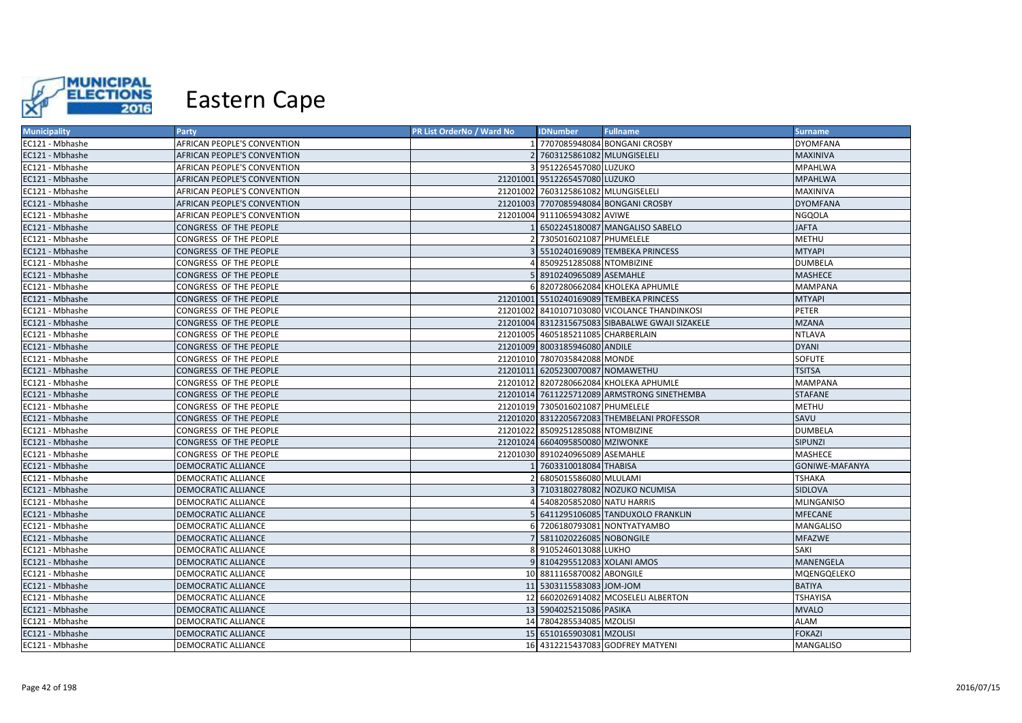

| <b>Municipality</b> | <b>Party</b>                | PR List OrderNo / Ward No | <b>IDNumber</b>                     | <b>Fullname</b>                                 | <b>Surname</b>  |
|---------------------|-----------------------------|---------------------------|-------------------------------------|-------------------------------------------------|-----------------|
| EC121 - Mbhashe     | AFRICAN PEOPLE'S CONVENTION |                           |                                     | 7707085948084 BONGANI CROSBY                    | <b>DYOMFANA</b> |
| EC121 - Mbhashe     | AFRICAN PEOPLE'S CONVENTION |                           | 2 7603125861082 MLUNGISELELI        |                                                 | MAXINIVA        |
| EC121 - Mbhashe     | AFRICAN PEOPLE'S CONVENTION |                           | 9512265457080 LUZUKO                |                                                 | <b>MPAHLWA</b>  |
| EC121 - Mbhashe     | AFRICAN PEOPLE'S CONVENTION |                           | 21201001 9512265457080 LUZUKO       |                                                 | <b>MPAHLWA</b>  |
| EC121 - Mbhashe     | AFRICAN PEOPLE'S CONVENTION |                           | 21201002 7603125861082 MLUNGISELELI |                                                 | MAXINIVA        |
| EC121 - Mbhashe     | AFRICAN PEOPLE'S CONVENTION |                           |                                     | 21201003 7707085948084 BONGANI CROSBY           | <b>DYOMFANA</b> |
| EC121 - Mbhashe     | AFRICAN PEOPLE'S CONVENTION |                           | 21201004 9111065943082 AVIWE        |                                                 | <b>NGQOLA</b>   |
| EC121 - Mbhashe     | CONGRESS OF THE PEOPLE      |                           |                                     | 6502245180087 MANGALISO SABELO                  | <b>JAFTA</b>    |
| EC121 - Mbhashe     | CONGRESS OF THE PEOPLE      |                           | 7305016021087 PHUMELELE             |                                                 | <b>METHU</b>    |
| EC121 - Mbhashe     | CONGRESS OF THE PEOPLE      |                           |                                     | 5510240169089 TEMBEKA PRINCESS                  | <b>MTYAPI</b>   |
| EC121 - Mbhashe     | CONGRESS OF THE PEOPLE      |                           | 8509251285088 NTOMBIZINE            |                                                 | <b>DUMBELA</b>  |
| EC121 - Mbhashe     | CONGRESS OF THE PEOPLE      |                           | 8910240965089 ASEMAHLE              |                                                 | <b>MASHECE</b>  |
| EC121 - Mbhashe     | CONGRESS OF THE PEOPLE      |                           |                                     | 6 8207280662084 KHOLEKA APHUMLE                 | <b>MAMPANA</b>  |
| EC121 - Mbhashe     | CONGRESS OF THE PEOPLE      |                           |                                     | 21201001 5510240169089 TEMBEKA PRINCESS         | <b>MTYAPI</b>   |
| EC121 - Mbhashe     | CONGRESS OF THE PEOPLE      |                           |                                     | 21201002 8410107103080 VICOLANCE THANDINKOSI    | PETER           |
| EC121 - Mbhashe     | CONGRESS OF THE PEOPLE      |                           |                                     | 21201004 8312315675083 SIBABALWE GWAJI SIZAKELE | <b>MZANA</b>    |
| EC121 - Mbhashe     | CONGRESS OF THE PEOPLE      |                           | 21201005 4605185211085 CHARBERLAIN  |                                                 | <b>NTLAVA</b>   |
| EC121 - Mbhashe     | CONGRESS OF THE PEOPLE      |                           | 21201009 8003185946080 ANDILE       |                                                 | <b>DYANI</b>    |
| EC121 - Mbhashe     | CONGRESS OF THE PEOPLE      |                           | 21201010 7807035842088 MONDE        |                                                 | <b>SOFUTE</b>   |
| EC121 - Mbhashe     | CONGRESS OF THE PEOPLE      |                           | 21201011 6205230070087 NOMAWETHU    |                                                 | <b>TSITSA</b>   |
| EC121 - Mbhashe     | CONGRESS OF THE PEOPLE      |                           |                                     | 21201012 8207280662084 KHOLEKA APHUMLE          | <b>MAMPANA</b>  |
| EC121 - Mbhashe     | CONGRESS OF THE PEOPLE      |                           |                                     | 21201014 7611225712089 ARMSTRONG SINETHEMBA     | <b>STAFANE</b>  |
| EC121 - Mbhashe     | CONGRESS OF THE PEOPLE      |                           | 21201019 7305016021087 PHUMELELE    |                                                 | <b>METHU</b>    |
| EC121 - Mbhashe     | CONGRESS OF THE PEOPLE      |                           |                                     | 21201020 8312205672083 THEMBELANI PROFESSOR     | SAVU            |
| EC121 - Mbhashe     | CONGRESS OF THE PEOPLE      |                           | 21201022 8509251285088 NTOMBIZINE   |                                                 | <b>DUMBELA</b>  |
| EC121 - Mbhashe     | CONGRESS OF THE PEOPLE      |                           | 21201024 6604095850080 MZIWONKE     |                                                 | SIPUNZI         |
| EC121 - Mbhashe     | CONGRESS OF THE PEOPLE      |                           | 21201030 8910240965089 ASEMAHLE     |                                                 | <b>MASHECE</b>  |
| EC121 - Mbhashe     | <b>DEMOCRATIC ALLIANCE</b>  |                           | 7603310018084 THABISA               |                                                 | GONIWE-MAFANYA  |
| EC121 - Mbhashe     | DEMOCRATIC ALLIANCE         |                           | 6805015586080 MLULAMI               |                                                 | <b>TSHAKA</b>   |
| EC121 - Mbhashe     | <b>DEMOCRATIC ALLIANCE</b>  |                           |                                     | 7103180278082 NOZUKO NCUMISA                    | <b>SIDLOVA</b>  |
| EC121 - Mbhashe     | DEMOCRATIC ALLIANCE         |                           | 4 5408205852080 NATU HARRIS         |                                                 | MLINGANISO      |
| EC121 - Mbhashe     | <b>DEMOCRATIC ALLIANCE</b>  |                           |                                     | 5 6411295106085 TANDUXOLO FRANKLIN              | <b>MFECANE</b>  |
| EC121 - Mbhashe     | DEMOCRATIC ALLIANCE         |                           |                                     | 6 7206180793081 NONTYATYAMBO                    | MANGALISO       |
| EC121 - Mbhashe     | <b>DEMOCRATIC ALLIANCE</b>  |                           | 7 5811020226085 NOBONGILE           |                                                 | <b>MFAZWE</b>   |
| EC121 - Mbhashe     | DEMOCRATIC ALLIANCE         |                           | 8 9105246013088 LUKHO               |                                                 | SAKI            |
| EC121 - Mbhashe     | DEMOCRATIC ALLIANCE         |                           | 9 8104295512083 XOLANI AMOS         |                                                 | MANENGELA       |
| EC121 - Mbhashe     | DEMOCRATIC ALLIANCE         |                           | 10 8811165870082 ABONGILE           |                                                 | MQENGQELEKO     |
| EC121 - Mbhashe     | <b>DEMOCRATIC ALLIANCE</b>  |                           | 11 5303115583083 JOM-JOM            |                                                 | <b>BATIYA</b>   |
| EC121 - Mbhashe     | DEMOCRATIC ALLIANCE         |                           |                                     | 12 6602026914082 MCOSELELI ALBERTON             | <b>TSHAYISA</b> |
| EC121 - Mbhashe     | DEMOCRATIC ALLIANCE         |                           | 13 5904025215086 PASIKA             |                                                 | <b>MVALO</b>    |
| EC121 - Mbhashe     | DEMOCRATIC ALLIANCE         |                           | 14 7804285534085 MZOLISI            |                                                 | <b>ALAM</b>     |
| EC121 - Mbhashe     | <b>DEMOCRATIC ALLIANCE</b>  |                           | 15 6510165903081 MZOLISI            |                                                 | <b>FOKAZI</b>   |
| EC121 - Mbhashe     | DEMOCRATIC ALLIANCE         |                           |                                     | 16 4312215437083 GODFREY MATYENI                | MANGALISO       |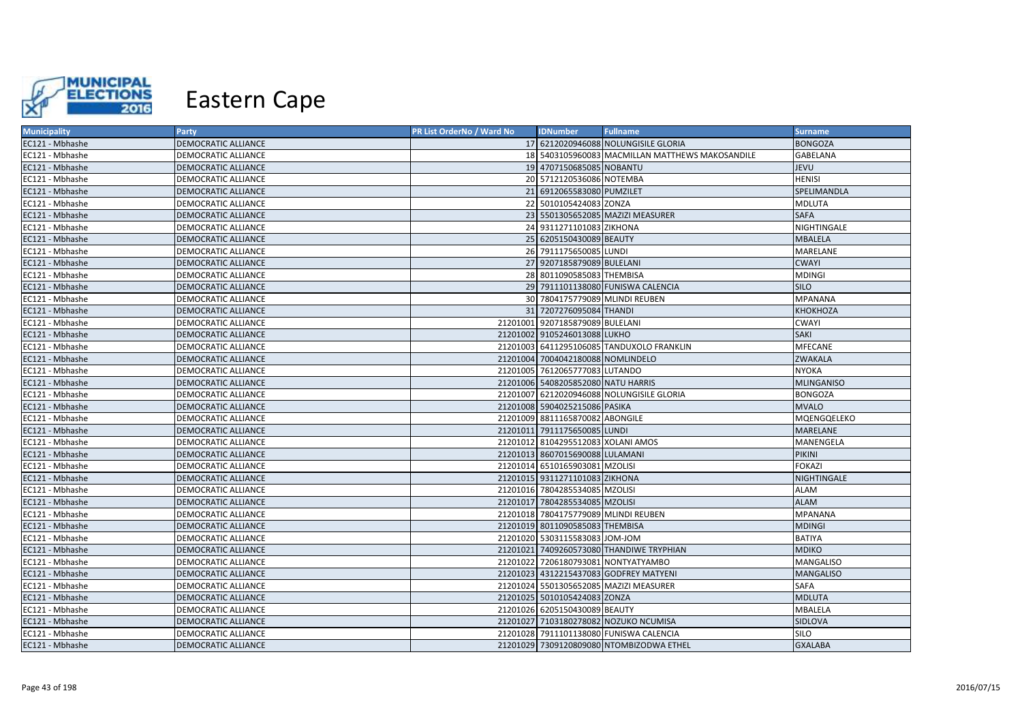

| <b>Municipality</b> | Party                      | PR List OrderNo / Ward No | <b>IDNumber</b>                      | <b>Fullname</b>                                 | <b>Surname</b>    |
|---------------------|----------------------------|---------------------------|--------------------------------------|-------------------------------------------------|-------------------|
| EC121 - Mbhashe     | DEMOCRATIC ALLIANCE        |                           |                                      | 17 6212020946088 NOLUNGISILE GLORIA             | <b>BONGOZA</b>    |
| EC121 - Mbhashe     | <b>DEMOCRATIC ALLIANCE</b> |                           |                                      | 18 5403105960083 MACMILLAN MATTHEWS MAKOSANDILE | GABELANA          |
| EC121 - Mbhashe     | DEMOCRATIC ALLIANCE        |                           | 19 4707150685085 NOBANTU             |                                                 | <b>JEVU</b>       |
| EC121 - Mbhashe     | DEMOCRATIC ALLIANCE        |                           | 20 5712120536086 NOTEMBA             |                                                 | <b>HENISI</b>     |
| EC121 - Mbhashe     | DEMOCRATIC ALLIANCE        |                           | 21 6912065583080 PUMZILET            |                                                 | SPELIMANDLA       |
| EC121 - Mbhashe     | DEMOCRATIC ALLIANCE        |                           | 22 5010105424083 ZONZA               |                                                 | <b>MDLUTA</b>     |
| EC121 - Mbhashe     | <b>DEMOCRATIC ALLIANCE</b> |                           |                                      | 23 5501305652085 MAZIZI MEASURER                | <b>SAFA</b>       |
| EC121 - Mbhashe     | DEMOCRATIC ALLIANCE        |                           | 24 9311271101083 ZIKHONA             |                                                 | NIGHTINGALE       |
| EC121 - Mbhashe     | DEMOCRATIC ALLIANCE        |                           | 25 6205150430089 BEAUTY              |                                                 | <b>MBALELA</b>    |
| EC121 - Mbhashe     | <b>DEMOCRATIC ALLIANCE</b> |                           | 26 7911175650085 LUNDI               |                                                 | MARELANE          |
| EC121 - Mbhashe     | <b>DEMOCRATIC ALLIANCE</b> |                           | 27 9207185879089 BULELANI            |                                                 | <b>CWAYI</b>      |
| EC121 - Mbhashe     | DEMOCRATIC ALLIANCE        |                           | 28 8011090585083 THEMBISA            |                                                 | <b>MDINGI</b>     |
| EC121 - Mbhashe     | <b>DEMOCRATIC ALLIANCE</b> |                           |                                      | 29 7911101138080 FUNISWA CALENCIA               | <b>SILO</b>       |
| EC121 - Mbhashe     | <b>DEMOCRATIC ALLIANCE</b> |                           | 30 7804175779089 MLINDI REUBEN       |                                                 | <b>MPANANA</b>    |
| EC121 - Mbhashe     | <b>DEMOCRATIC ALLIANCE</b> |                           | 31 7207276095084 THANDI              |                                                 | KHOKHOZA          |
| EC121 - Mbhashe     | DEMOCRATIC ALLIANCE        |                           | 21201001 9207185879089 BULELANI      |                                                 | <b>CWAYI</b>      |
| EC121 - Mbhashe     | <b>DEMOCRATIC ALLIANCE</b> |                           | 21201002 9105246013088 LUKHO         |                                                 | <b>SAKI</b>       |
| EC121 - Mbhashe     | <b>DEMOCRATIC ALLIANCE</b> |                           |                                      | 21201003 6411295106085 TANDUXOLO FRANKLIN       | MFECANE           |
| EC121 - Mbhashe     | DEMOCRATIC ALLIANCE        |                           | 21201004 7004042180088 NOMLINDELO    |                                                 | <b>ZWAKALA</b>    |
| EC121 - Mbhashe     | <b>DEMOCRATIC ALLIANCE</b> |                           | 21201005 7612065777083 LUTANDO       |                                                 | <b>NYOKA</b>      |
| EC121 - Mbhashe     | <b>DEMOCRATIC ALLIANCE</b> |                           | 21201006 5408205852080 NATU HARRIS   |                                                 | <b>MLINGANISO</b> |
| EC121 - Mbhashe     | <b>DEMOCRATIC ALLIANCE</b> |                           |                                      | 21201007 6212020946088 NOLUNGISILE GLORIA       | <b>BONGOZA</b>    |
| EC121 - Mbhashe     | <b>DEMOCRATIC ALLIANCE</b> |                           | 21201008 5904025215086 PASIKA        |                                                 | <b>MVALO</b>      |
| EC121 - Mbhashe     | <b>DEMOCRATIC ALLIANCE</b> |                           | 21201009 8811165870082 ABONGILE      |                                                 | MQENGQELEKO       |
| EC121 - Mbhashe     | <b>DEMOCRATIC ALLIANCE</b> |                           | 21201011 7911175650085 LUNDI         |                                                 | <b>MARELANE</b>   |
| EC121 - Mbhashe     | <b>DEMOCRATIC ALLIANCE</b> |                           | 21201012 8104295512083 XOLANI AMOS   |                                                 | MANENGELA         |
| EC121 - Mbhashe     | <b>DEMOCRATIC ALLIANCE</b> |                           | 21201013 8607015690088 LULAMANI      |                                                 | <b>PIKINI</b>     |
| EC121 - Mbhashe     | <b>DEMOCRATIC ALLIANCE</b> |                           | 21201014 6510165903081 MZOLISI       |                                                 | <b>FOKAZI</b>     |
| EC121 - Mbhashe     | <b>DEMOCRATIC ALLIANCE</b> |                           | 21201015 9311271101083 ZIKHONA       |                                                 | NIGHTINGALE       |
| EC121 - Mbhashe     | <b>DEMOCRATIC ALLIANCE</b> |                           | 21201016 7804285534085 MZOLISI       |                                                 | ALAM              |
| EC121 - Mbhashe     | <b>DEMOCRATIC ALLIANCE</b> |                           | 21201017 7804285534085 MZOLISI       |                                                 | <b>ALAM</b>       |
| EC121 - Mbhashe     | <b>DEMOCRATIC ALLIANCE</b> |                           | 21201018 7804175779089 MLINDI REUBEN |                                                 | <b>MPANANA</b>    |
| EC121 - Mbhashe     | DEMOCRATIC ALLIANCE        |                           | 21201019 8011090585083 THEMBISA      |                                                 | <b>MDINGI</b>     |
| EC121 - Mbhashe     | <b>DEMOCRATIC ALLIANCE</b> |                           | 21201020 5303115583083 JOM-JOM       |                                                 | <b>BATIYA</b>     |
| EC121 - Mbhashe     | <b>DEMOCRATIC ALLIANCE</b> |                           |                                      | 21201021 7409260573080 THANDIWE TRYPHIAN        | <b>MDIKO</b>      |
| EC121 - Mbhashe     | <b>DEMOCRATIC ALLIANCE</b> |                           |                                      | 21201022 7206180793081 NONTYATYAMBO             | <b>MANGALISO</b>  |
| EC121 - Mbhashe     | <b>DEMOCRATIC ALLIANCE</b> |                           |                                      | 21201023 4312215437083 GODFREY MATYENI          | <b>MANGALISO</b>  |
| EC121 - Mbhashe     | DEMOCRATIC ALLIANCE        |                           |                                      | 21201024 5501305652085 MAZIZI MEASURER          | SAFA              |
| EC121 - Mbhashe     | DEMOCRATIC ALLIANCE        |                           | 21201025 5010105424083 ZONZA         |                                                 | <b>MDLUTA</b>     |
| EC121 - Mbhashe     | DEMOCRATIC ALLIANCE        |                           | 21201026 6205150430089 BEAUTY        |                                                 | MBALELA           |
| EC121 - Mbhashe     | <b>DEMOCRATIC ALLIANCE</b> |                           |                                      | 21201027 7103180278082 NOZUKO NCUMISA           | SIDLOVA           |
| EC121 - Mbhashe     | <b>DEMOCRATIC ALLIANCE</b> |                           |                                      | 21201028 7911101138080 FUNISWA CALENCIA         | SILO              |
| EC121 - Mbhashe     | <b>DEMOCRATIC ALLIANCE</b> |                           |                                      | 21201029 7309120809080 NTOMBIZODWA ETHEL        | <b>GXALABA</b>    |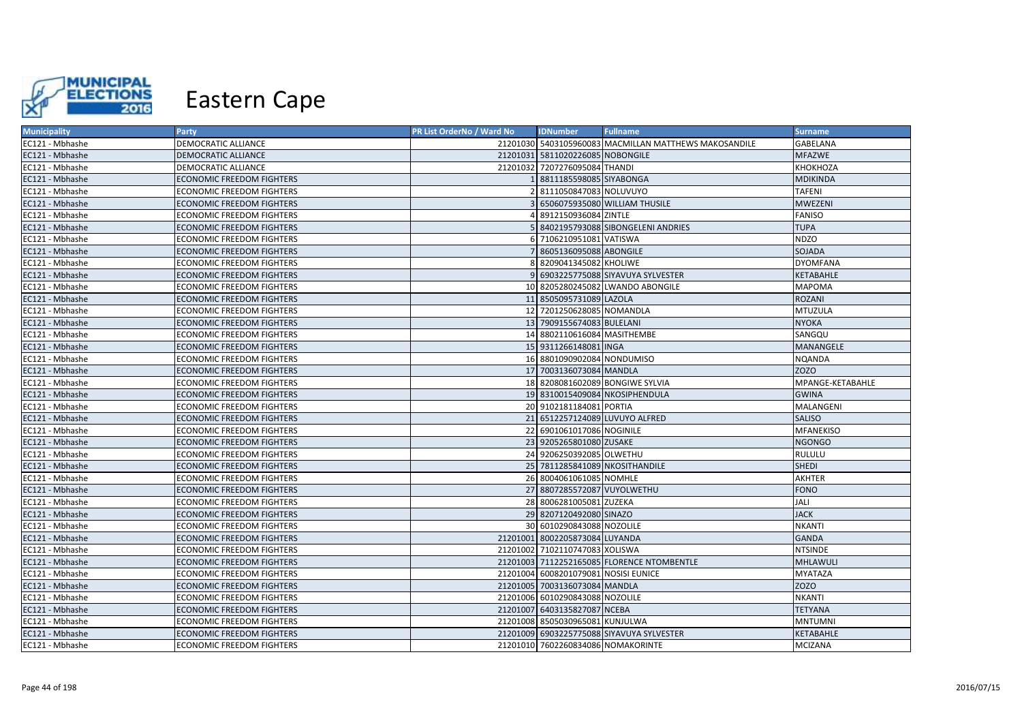

| <b>Municipality</b> | Party                            | PR List OrderNo / Ward No | <b>IDNumber</b>                      | <b>Fullname</b>                                       | <b>Surname</b>   |
|---------------------|----------------------------------|---------------------------|--------------------------------------|-------------------------------------------------------|------------------|
| EC121 - Mbhashe     | <b>DEMOCRATIC ALLIANCE</b>       |                           |                                      | 21201030 5403105960083 MACMILLAN MATTHEWS MAKOSANDILE | GABELANA         |
| EC121 - Mbhashe     | <b>DEMOCRATIC ALLIANCE</b>       |                           | 21201031 5811020226085 NOBONGILE     |                                                       | <b>MFAZWE</b>    |
| EC121 - Mbhashe     | <b>DEMOCRATIC ALLIANCE</b>       |                           | 21201032 7207276095084 THANDI        |                                                       | KHOKHOZA         |
| EC121 - Mbhashe     | <b>ECONOMIC FREEDOM FIGHTERS</b> |                           | 8811185598085 SIYABONGA              |                                                       | <b>MDIKINDA</b>  |
| EC121 - Mbhashe     | <b>ECONOMIC FREEDOM FIGHTERS</b> |                           | 8111050847083 NOLUVUYO               |                                                       | <b>TAFENI</b>    |
| EC121 - Mbhashe     | <b>ECONOMIC FREEDOM FIGHTERS</b> |                           |                                      | 6506075935080 WILLIAM THUSILE                         | <b>MWEZENI</b>   |
| EC121 - Mbhashe     | <b>ECONOMIC FREEDOM FIGHTERS</b> |                           | 8912150936084 ZINTLE                 |                                                       | <b>FANISO</b>    |
| EC121 - Mbhashe     | <b>ECONOMIC FREEDOM FIGHTERS</b> |                           |                                      | 8402195793088 SIBONGELENI ANDRIES                     | <b>TUPA</b>      |
| EC121 - Mbhashe     | <b>ECONOMIC FREEDOM FIGHTERS</b> |                           | 7106210951081 VATISWA                |                                                       | <b>NDZO</b>      |
| EC121 - Mbhashe     | <b>ECONOMIC FREEDOM FIGHTERS</b> |                           | 8605136095088 ABONGILE               |                                                       | <b>SOJADA</b>    |
| EC121 - Mbhashe     | <b>ECONOMIC FREEDOM FIGHTERS</b> |                           | 8209041345082 KHOLIWE                |                                                       | <b>DYOMFANA</b>  |
| EC121 - Mbhashe     | <b>ECONOMIC FREEDOM FIGHTERS</b> |                           |                                      | 6903225775088 SIYAVUYA SYLVESTER                      | KETABAHLE        |
| EC121 - Mbhashe     | <b>ECONOMIC FREEDOM FIGHTERS</b> |                           |                                      | 10 8205280245082 LWANDO ABONGILE                      | <b>MAPOMA</b>    |
| EC121 - Mbhashe     | ECONOMIC FREEDOM FIGHTERS        |                           | 11 8505095731089 LAZOLA              |                                                       | ROZANI           |
| EC121 - Mbhashe     | ECONOMIC FREEDOM FIGHTERS        |                           | 12 7201250628085 NOMANDLA            |                                                       | <b>MTUZULA</b>   |
| EC121 - Mbhashe     | ECONOMIC FREEDOM FIGHTERS        |                           | 13 7909155674083 BULELANI            |                                                       | <b>NYOKA</b>     |
| EC121 - Mbhashe     | ECONOMIC FREEDOM FIGHTERS        |                           | 14 8802110616084 MASITHEMBE          |                                                       | SANGQU           |
| EC121 - Mbhashe     | ECONOMIC FREEDOM FIGHTERS        |                           | 15 9311266148081 INGA                |                                                       | MANANGELE        |
| EC121 - Mbhashe     | <b>ECONOMIC FREEDOM FIGHTERS</b> |                           | 16 8801090902084 NONDUMISO           |                                                       | <b>NQANDA</b>    |
| EC121 - Mbhashe     | <b>ECONOMIC FREEDOM FIGHTERS</b> |                           | 17 7003136073084 MANDLA              |                                                       | <b>ZOZO</b>      |
| EC121 - Mbhashe     | <b>ECONOMIC FREEDOM FIGHTERS</b> |                           |                                      | 18 8208081602089 BONGIWE SYLVIA                       | MPANGE-KETABAHLE |
| EC121 - Mbhashe     | <b>ECONOMIC FREEDOM FIGHTERS</b> |                           |                                      | 19 8310015409084 NKOSIPHENDULA                        | <b>GWINA</b>     |
| EC121 - Mbhashe     | <b>ECONOMIC FREEDOM FIGHTERS</b> |                           | 20 9102181184081 PORTIA              |                                                       | MALANGENI        |
| EC121 - Mbhashe     | <b>ECONOMIC FREEDOM FIGHTERS</b> |                           |                                      | 21 6512257124089 LUVUYO ALFRED                        | <b>SALISO</b>    |
| EC121 - Mbhashe     | <b>ECONOMIC FREEDOM FIGHTERS</b> |                           | 22 6901061017086 NOGINILE            |                                                       | <b>MFANEKISO</b> |
| EC121 - Mbhashe     | <b>ECONOMIC FREEDOM FIGHTERS</b> |                           | 23 9205265801080 ZUSAKE              |                                                       | <b>NGONGO</b>    |
| EC121 - Mbhashe     | <b>ECONOMIC FREEDOM FIGHTERS</b> |                           | 24 9206250392085 OLWETHU             |                                                       | <b>RULULU</b>    |
| EC121 - Mbhashe     | <b>ECONOMIC FREEDOM FIGHTERS</b> |                           |                                      | 25 7811285841089 NKOSITHANDILE                        | <b>SHEDI</b>     |
| EC121 - Mbhashe     | ECONOMIC FREEDOM FIGHTERS        |                           | 26 8004061061085 NOMHLE              |                                                       | AKHTER           |
| EC121 - Mbhashe     | ECONOMIC FREEDOM FIGHTERS        |                           | 27 8807285572087 VUYOLWETHU          |                                                       | <b>FONO</b>      |
| EC121 - Mbhashe     | ECONOMIC FREEDOM FIGHTERS        |                           | 28 8006281005081 ZUZEKA              |                                                       | JALI             |
| EC121 - Mbhashe     | <b>ECONOMIC FREEDOM FIGHTERS</b> |                           | 29 8207120492080 SINAZO              |                                                       | <b>JACK</b>      |
| EC121 - Mbhashe     | <b>ECONOMIC FREEDOM FIGHTERS</b> |                           | 30 6010290843088 NOZOLILE            |                                                       | <b>NKANTI</b>    |
| EC121 - Mbhashe     | <b>ECONOMIC FREEDOM FIGHTERS</b> |                           | 21201001 8002205873084 LUYANDA       |                                                       | GANDA            |
| EC121 - Mbhashe     | <b>ECONOMIC FREEDOM FIGHTERS</b> |                           | 21201002 7102110747083 XOLISWA       |                                                       | <b>NTSINDE</b>   |
| EC121 - Mbhashe     | <b>ECONOMIC FREEDOM FIGHTERS</b> |                           |                                      | 21201003 7112252165085 FLORENCE NTOMBENTLE            | <b>MHLAWULI</b>  |
| EC121 - Mbhashe     | <b>ECONOMIC FREEDOM FIGHTERS</b> |                           | 21201004 6008201079081 NOSISI EUNICE |                                                       | <b>MYATAZA</b>   |
| EC121 - Mbhashe     | <b>ECONOMIC FREEDOM FIGHTERS</b> |                           | 21201005 7003136073084 MANDLA        |                                                       | <b>ZOZO</b>      |
| EC121 - Mbhashe     | <b>ECONOMIC FREEDOM FIGHTERS</b> |                           | 21201006 6010290843088 NOZOLILE      |                                                       | <b>NKANTI</b>    |
| EC121 - Mbhashe     | <b>ECONOMIC FREEDOM FIGHTERS</b> |                           | 21201007 6403135827087 NCEBA         |                                                       | <b>TETYANA</b>   |
| EC121 - Mbhashe     | <b>ECONOMIC FREEDOM FIGHTERS</b> |                           | 21201008 8505030965081 KUNJULWA      |                                                       | <b>MNTUMNI</b>   |
| EC121 - Mbhashe     | <b>ECONOMIC FREEDOM FIGHTERS</b> |                           |                                      | 21201009 6903225775088 SIYAVUYA SYLVESTER             | <b>KETABAHLE</b> |
| EC121 - Mbhashe     | <b>ECONOMIC FREEDOM FIGHTERS</b> |                           | 21201010 7602260834086 NOMAKORINTE   |                                                       | <b>MCIZANA</b>   |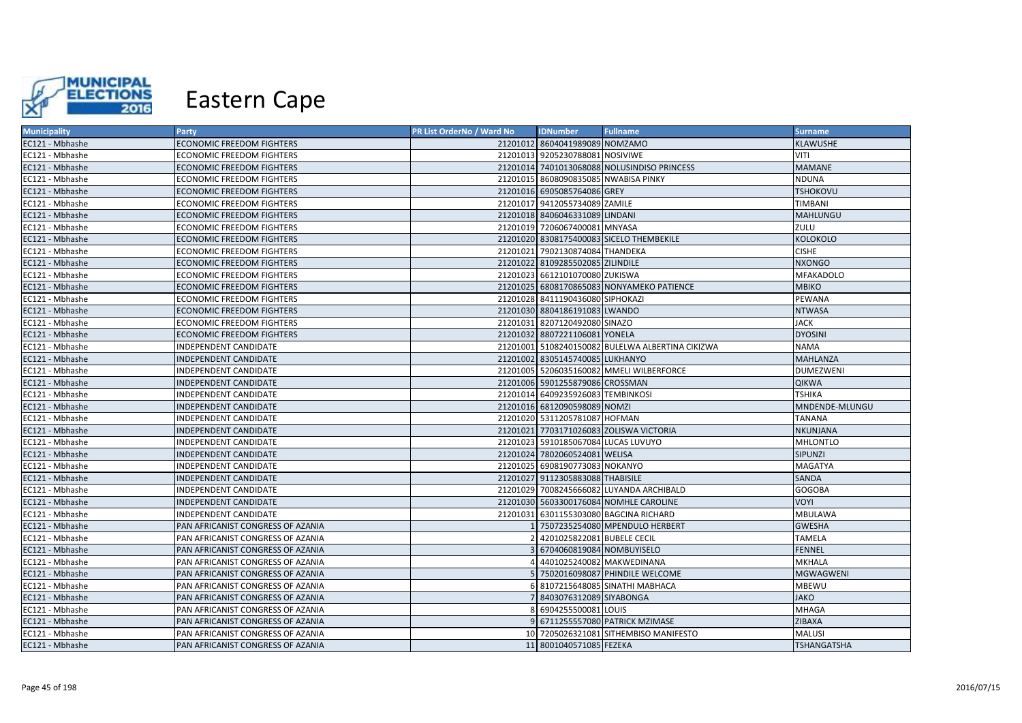

| <b>Municipality</b> | Party                             | PR List OrderNo / Ward No | <b>IDNumber</b>                      | <b>Fullname</b>                                  | <b>Surname</b>     |
|---------------------|-----------------------------------|---------------------------|--------------------------------------|--------------------------------------------------|--------------------|
| EC121 - Mbhashe     | <b>ECONOMIC FREEDOM FIGHTERS</b>  |                           | 21201012 8604041989089 NOMZAMO       |                                                  | KLAWUSHE           |
| EC121 - Mbhashe     | <b>ECONOMIC FREEDOM FIGHTERS</b>  |                           | 21201013 9205230788081 NOSIVIWE      |                                                  | VITI               |
| EC121 - Mbhashe     | <b>ECONOMIC FREEDOM FIGHTERS</b>  |                           |                                      | 21201014 7401013068088 NOLUSINDISO PRINCESS      | <b>MAMANE</b>      |
| EC121 - Mbhashe     | <b>ECONOMIC FREEDOM FIGHTERS</b>  |                           | 21201015 8608090835085 NWABISA PINKY |                                                  | NDUNA              |
| EC121 - Mbhashe     | <b>ECONOMIC FREEDOM FIGHTERS</b>  |                           | 21201016 6905085764086 GREY          |                                                  | <b>TSHOKOVU</b>    |
| EC121 - Mbhashe     | <b>ECONOMIC FREEDOM FIGHTERS</b>  |                           | 21201017 9412055734089 ZAMILE        |                                                  | TIMBANI            |
| EC121 - Mbhashe     | <b>ECONOMIC FREEDOM FIGHTERS</b>  |                           | 21201018 8406046331089 LINDANI       |                                                  | MAHLUNGU           |
| EC121 - Mbhashe     | <b>ECONOMIC FREEDOM FIGHTERS</b>  |                           | 21201019 7206067400081 MNYASA        |                                                  | ZULU               |
| EC121 - Mbhashe     | <b>ECONOMIC FREEDOM FIGHTERS</b>  |                           |                                      | 21201020 8308175400083 SICELO THEMBEKILE         | <b>KOLOKOLO</b>    |
| EC121 - Mbhashe     | <b>ECONOMIC FREEDOM FIGHTERS</b>  |                           | 21201021 7902130874084 THANDEKA      |                                                  | <b>CISHE</b>       |
| EC121 - Mbhashe     | <b>ECONOMIC FREEDOM FIGHTERS</b>  |                           | 21201022 8109285502085 ZILINDILE     |                                                  | <b>NXONGO</b>      |
| EC121 - Mbhashe     | <b>ECONOMIC FREEDOM FIGHTERS</b>  |                           | 21201023 6612101070080 ZUKISWA       |                                                  | <b>MFAKADOLO</b>   |
| EC121 - Mbhashe     | <b>ECONOMIC FREEDOM FIGHTERS</b>  |                           |                                      | 21201025 6808170865083 NONYAMEKO PATIENCE        | <b>MBIKO</b>       |
| EC121 - Mbhashe     | <b>ECONOMIC FREEDOM FIGHTERS</b>  |                           | 21201028 8411190436080 SIPHOKAZI     |                                                  | PEWANA             |
| EC121 - Mbhashe     | <b>ECONOMIC FREEDOM FIGHTERS</b>  |                           | 21201030 8804186191083 LWANDO        |                                                  | <b>NTWASA</b>      |
| EC121 - Mbhashe     | <b>ECONOMIC FREEDOM FIGHTERS</b>  |                           | 21201031 8207120492080 SINAZO        |                                                  | <b>JACK</b>        |
| EC121 - Mbhashe     | <b>ECONOMIC FREEDOM FIGHTERS</b>  |                           | 21201032 8807221106081 YONELA        |                                                  | <b>DYOSINI</b>     |
| EC121 - Mbhashe     | INDEPENDENT CANDIDATE             |                           |                                      | 21201001 5108240150082 BULELWA ALBERTINA CIKIZWA | <b>NAMA</b>        |
| EC121 - Mbhashe     | INDEPENDENT CANDIDATE             |                           | 21201002 8305145740085 LUKHANYO      |                                                  | <b>MAHLANZA</b>    |
| EC121 - Mbhashe     | INDEPENDENT CANDIDATE             |                           |                                      | 21201005 5206035160082 MMELI WILBERFORCE         | <b>DUMEZWENI</b>   |
| EC121 - Mbhashe     | INDEPENDENT CANDIDATE             |                           | 21201006 5901255879086 CROSSMAN      |                                                  | <b>QIKWA</b>       |
| EC121 - Mbhashe     | INDEPENDENT CANDIDATE             |                           | 21201014 6409235926083 TEMBINKOSI    |                                                  | <b>TSHIKA</b>      |
| EC121 - Mbhashe     | INDEPENDENT CANDIDATE             |                           | 21201016 6812090598089 NOMZI         |                                                  | MNDENDE-MLUNGU     |
| EC121 - Mbhashe     | INDEPENDENT CANDIDATE             |                           | 21201020 5311205781087 HOFMAN        |                                                  | TANANA             |
| EC121 - Mbhashe     | INDEPENDENT CANDIDATE             |                           |                                      | 21201021 7703171026083 ZOLISWA VICTORIA          | NKUNJANA           |
| EC121 - Mbhashe     | INDEPENDENT CANDIDATE             |                           | 21201023 5910185067084 LUCAS LUVUYO  |                                                  | MHLONTLO           |
| EC121 - Mbhashe     | INDEPENDENT CANDIDATE             |                           | 21201024 7802060524081 WELISA        |                                                  | SIPUNZI            |
| EC121 - Mbhashe     | INDEPENDENT CANDIDATE             |                           | 21201025 6908190773083 NOKANYO       |                                                  | MAGATYA            |
| EC121 - Mbhashe     | INDEPENDENT CANDIDATE             |                           | 21201027 9112305883088 THABISILE     |                                                  | SANDA              |
| EC121 - Mbhashe     | INDEPENDENT CANDIDATE             |                           |                                      | 21201029 7008245666082 LUYANDA ARCHIBALD         | <b>GOGOBA</b>      |
| EC121 - Mbhashe     | INDEPENDENT CANDIDATE             |                           |                                      | 21201030 5603300176084 NOMHLE CAROLINE           | <b>VOYI</b>        |
| EC121 - Mbhashe     | INDEPENDENT CANDIDATE             |                           |                                      | 21201031 6301155303080 BAGCINA RICHARD           | MBULAWA            |
| EC121 - Mbhashe     | PAN AFRICANIST CONGRESS OF AZANIA |                           |                                      | 1 7507235254080 MPENDULO HERBERT                 | <b>GWESHA</b>      |
| EC121 - Mbhashe     | PAN AFRICANIST CONGRESS OF AZANIA |                           | 4201025822081 BUBELE CECIL           |                                                  | TAMELA             |
| EC121 - Mbhashe     | PAN AFRICANIST CONGRESS OF AZANIA |                           | 6704060819084 NOMBUYISELO            |                                                  | <b>FENNEL</b>      |
| EC121 - Mbhashe     | PAN AFRICANIST CONGRESS OF AZANIA |                           | 4401025240082 MAKWEDINANA            |                                                  | MKHALA             |
| EC121 - Mbhashe     | PAN AFRICANIST CONGRESS OF AZANIA |                           |                                      | 5 7502016098087 PHINDILE WELCOME                 | <b>MGWAGWENI</b>   |
| EC121 - Mbhashe     | PAN AFRICANIST CONGRESS OF AZANIA |                           |                                      | 6 8107215648085 SINATHI MABHACA                  | <b>MBEWU</b>       |
| EC121 - Mbhashe     | PAN AFRICANIST CONGRESS OF AZANIA |                           | 8403076312089 SIYABONGA              |                                                  | <b>JAKO</b>        |
| EC121 - Mbhashe     | PAN AFRICANIST CONGRESS OF AZANIA |                           | 8 6904255500081 LOUIS                |                                                  | MHAGA              |
| EC121 - Mbhashe     | PAN AFRICANIST CONGRESS OF AZANIA |                           |                                      | 9 6711255557080 PATRICK MZIMASE                  | ZIBAXA             |
| EC121 - Mbhashe     | PAN AFRICANIST CONGRESS OF AZANIA |                           |                                      | 10 7205026321081 SITHEMBISO MANIFESTO            | MALUSI             |
| EC121 - Mbhashe     | PAN AFRICANIST CONGRESS OF AZANIA |                           | 11 8001040571085 FEZEKA              |                                                  | <b>TSHANGATSHA</b> |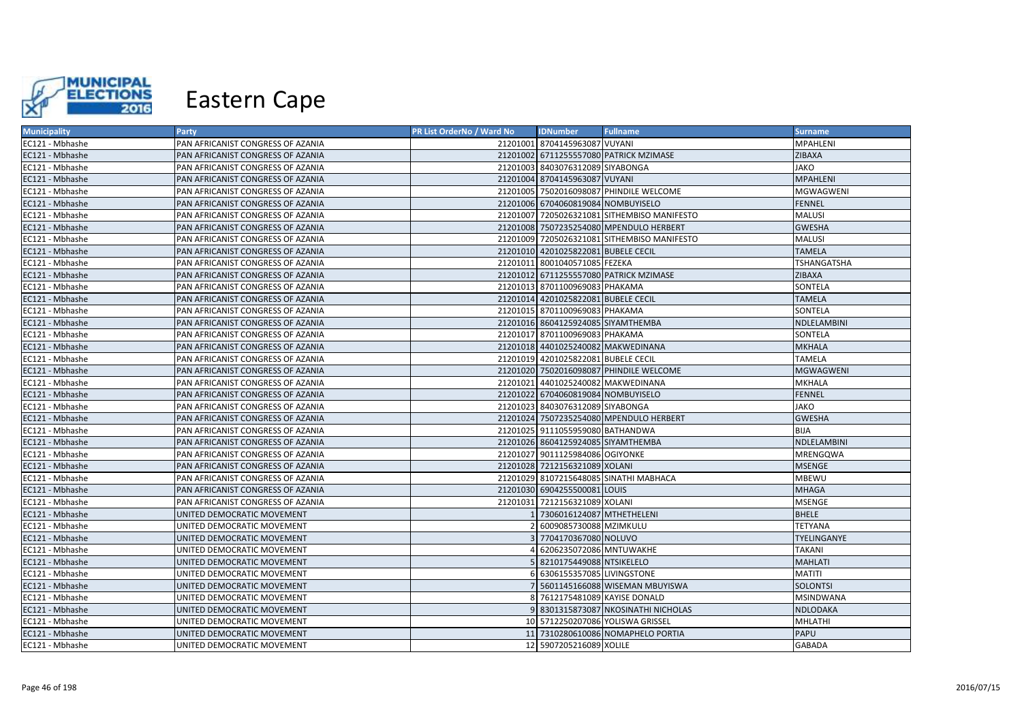

| <b>Municipality</b> | Party                             | PR List OrderNo / Ward No | <b>IDNumber</b>                     | <b>Fullname</b>                             | <b>Surname</b>   |
|---------------------|-----------------------------------|---------------------------|-------------------------------------|---------------------------------------------|------------------|
| EC121 - Mbhashe     | PAN AFRICANIST CONGRESS OF AZANIA |                           | 21201001 8704145963087 VUYANI       |                                             | <b>MPAHLENI</b>  |
| EC121 - Mbhashe     | PAN AFRICANIST CONGRESS OF AZANIA |                           |                                     | 21201002 6711255557080 PATRICK MZIMASE      | ZIBAXA           |
| EC121 - Mbhashe     | PAN AFRICANIST CONGRESS OF AZANIA |                           | 21201003 8403076312089 SIYABONGA    |                                             | <b>JAKO</b>      |
| EC121 - Mbhashe     | PAN AFRICANIST CONGRESS OF AZANIA |                           | 21201004 8704145963087 VUYANI       |                                             | <b>MPAHLENI</b>  |
| EC121 - Mbhashe     | PAN AFRICANIST CONGRESS OF AZANIA |                           |                                     | 21201005 7502016098087 PHINDILE WELCOME     | MGWAGWENI        |
| EC121 - Mbhashe     | PAN AFRICANIST CONGRESS OF AZANIA |                           | 21201006 6704060819084 NOMBUYISELO  |                                             | <b>FENNEL</b>    |
| EC121 - Mbhashe     | PAN AFRICANIST CONGRESS OF AZANIA |                           |                                     | 21201007 7205026321081 SITHEMBISO MANIFESTO | <b>MALUSI</b>    |
| EC121 - Mbhashe     | PAN AFRICANIST CONGRESS OF AZANIA |                           |                                     | 21201008 7507235254080 MPENDULO HERBERT     | <b>GWESHA</b>    |
| EC121 - Mbhashe     | PAN AFRICANIST CONGRESS OF AZANIA |                           |                                     | 21201009 7205026321081 SITHEMBISO MANIFESTO | MALUSI           |
| EC121 - Mbhashe     | PAN AFRICANIST CONGRESS OF AZANIA |                           | 21201010 4201025822081 BUBELE CECIL |                                             | <b>TAMELA</b>    |
| EC121 - Mbhashe     | PAN AFRICANIST CONGRESS OF AZANIA |                           | 21201011 8001040571085 FEZEKA       |                                             | TSHANGATSHA      |
| EC121 - Mbhashe     | PAN AFRICANIST CONGRESS OF AZANIA |                           |                                     | 21201012 6711255557080 PATRICK MZIMASE      | <b>ZIBAXA</b>    |
| EC121 - Mbhashe     | PAN AFRICANIST CONGRESS OF AZANIA |                           | 21201013 8701100969083 PHAKAMA      |                                             | SONTELA          |
| EC121 - Mbhashe     | PAN AFRICANIST CONGRESS OF AZANIA |                           | 21201014 4201025822081 BUBELE CECIL |                                             | <b>TAMELA</b>    |
| EC121 - Mbhashe     | PAN AFRICANIST CONGRESS OF AZANIA |                           | 21201015 8701100969083 PHAKAMA      |                                             | SONTELA          |
| EC121 - Mbhashe     | PAN AFRICANIST CONGRESS OF AZANIA |                           | 21201016 8604125924085 SIYAMTHEMBA  |                                             | NDLELAMBINI      |
| EC121 - Mbhashe     | PAN AFRICANIST CONGRESS OF AZANIA |                           | 21201017 8701100969083 PHAKAMA      |                                             | SONTELA          |
| EC121 - Mbhashe     | PAN AFRICANIST CONGRESS OF AZANIA |                           | 21201018 4401025240082 MAKWEDINANA  |                                             | <b>MKHALA</b>    |
| EC121 - Mbhashe     | PAN AFRICANIST CONGRESS OF AZANIA |                           | 21201019 4201025822081 BUBELE CECIL |                                             | TAMELA           |
| EC121 - Mbhashe     | PAN AFRICANIST CONGRESS OF AZANIA |                           |                                     | 21201020 7502016098087 PHINDILE WELCOME     | <b>MGWAGWENI</b> |
| EC121 - Mbhashe     | PAN AFRICANIST CONGRESS OF AZANIA |                           | 21201021 4401025240082 MAKWEDINANA  |                                             | <b>MKHALA</b>    |
| EC121 - Mbhashe     | PAN AFRICANIST CONGRESS OF AZANIA |                           | 21201022 6704060819084 NOMBUYISELO  |                                             | <b>FENNEL</b>    |
| EC121 - Mbhashe     | PAN AFRICANIST CONGRESS OF AZANIA |                           | 21201023 8403076312089 SIYABONGA    |                                             | <b>JAKO</b>      |
| EC121 - Mbhashe     | PAN AFRICANIST CONGRESS OF AZANIA |                           |                                     | 21201024 7507235254080 MPENDULO HERBERT     | <b>GWESHA</b>    |
| EC121 - Mbhashe     | PAN AFRICANIST CONGRESS OF AZANIA |                           | 21201025 9111055959080 BATHANDWA    |                                             | <b>BIJA</b>      |
| EC121 - Mbhashe     | PAN AFRICANIST CONGRESS OF AZANIA |                           | 21201026 8604125924085 SIYAMTHEMBA  |                                             | NDLELAMBINI      |
| EC121 - Mbhashe     | PAN AFRICANIST CONGRESS OF AZANIA |                           | 21201027 9011125984086 OGIYONKE     |                                             | MRENGQWA         |
| EC121 - Mbhashe     | PAN AFRICANIST CONGRESS OF AZANIA |                           | 21201028 7212156321089 XOLANI       |                                             | <b>MSENGE</b>    |
| EC121 - Mbhashe     | PAN AFRICANIST CONGRESS OF AZANIA |                           |                                     | 21201029 8107215648085 SINATHI MABHACA      | MBEWU            |
| EC121 - Mbhashe     | PAN AFRICANIST CONGRESS OF AZANIA |                           | 21201030 6904255500081 LOUIS        |                                             | <b>MHAGA</b>     |
| EC121 - Mbhashe     | PAN AFRICANIST CONGRESS OF AZANIA |                           | 21201031 7212156321089 XOLANI       |                                             | <b>MSENGE</b>    |
| EC121 - Mbhashe     | UNITED DEMOCRATIC MOVEMENT        |                           | 7306016124087 MTHETHELENI           |                                             | <b>BHELE</b>     |
| EC121 - Mbhashe     | UNITED DEMOCRATIC MOVEMENT        |                           | 2 6009085730088 MZIMKULU            |                                             | <b>TETYANA</b>   |
| EC121 - Mbhashe     | UNITED DEMOCRATIC MOVEMENT        |                           | 3 7704170367080 NOLUVO              |                                             | TYELINGANYE      |
| EC121 - Mbhashe     | UNITED DEMOCRATIC MOVEMENT        |                           | 6206235072086 MNTUWAKHE             |                                             | <b>TAKANI</b>    |
| EC121 - Mbhashe     | UNITED DEMOCRATIC MOVEMENT        |                           | 5 8210175449088 NTSIKELELO          |                                             | <b>MAHLATI</b>   |
| EC121 - Mbhashe     | UNITED DEMOCRATIC MOVEMENT        |                           | 6 6306155357085 LIVINGSTONE         |                                             | MATITI           |
| EC121 - Mbhashe     | UNITED DEMOCRATIC MOVEMENT        |                           |                                     | 7 5601145166088 WISEMAN MBUYISWA            | <b>SOLONTSI</b>  |
| EC121 - Mbhashe     | UNITED DEMOCRATIC MOVEMENT        |                           | 8 7612175481089 KAYISE DONALD       |                                             | <b>MSINDWANA</b> |
| EC121 - Mbhashe     | UNITED DEMOCRATIC MOVEMENT        |                           |                                     | 9 8301315873087 NKOSINATHI NICHOLAS         | NDLODAKA         |
| EC121 - Mbhashe     | UNITED DEMOCRATIC MOVEMENT        |                           |                                     | 10 5712250207086 YOLISWA GRISSEL            | MHLATHI          |
| EC121 - Mbhashe     | UNITED DEMOCRATIC MOVEMENT        |                           |                                     | 11 7310280610086 NOMAPHELO PORTIA           | PAPU             |
| EC121 - Mbhashe     | UNITED DEMOCRATIC MOVEMENT        |                           | 12 5907205216089 XOLILE             |                                             | <b>GABADA</b>    |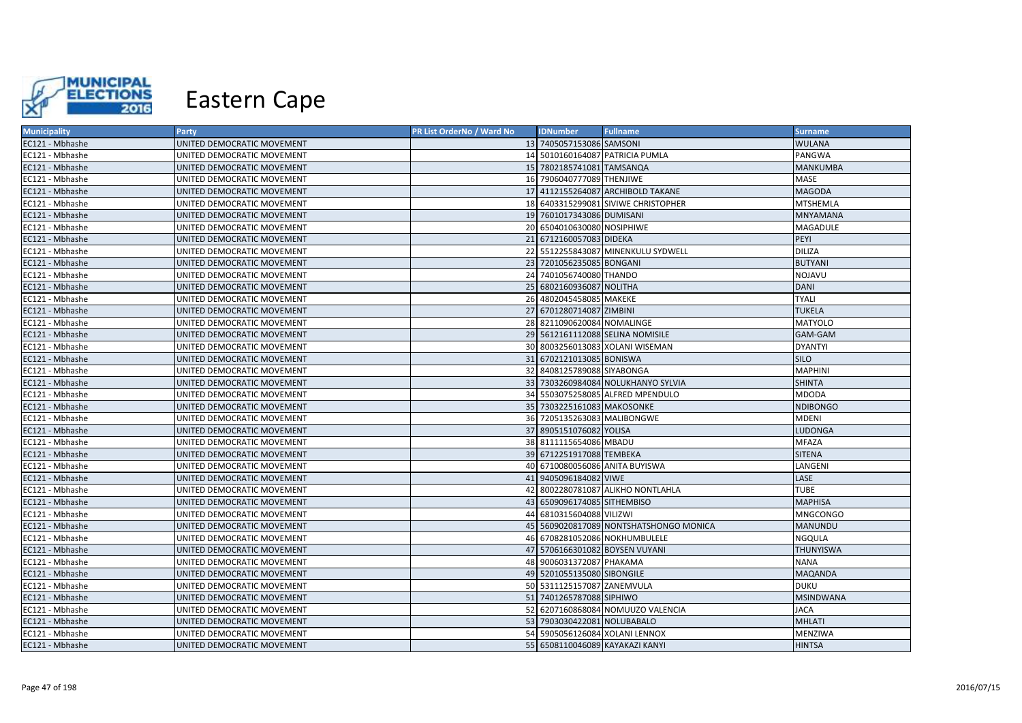

| <b>Municipality</b> | Party                      | PR List OrderNo / Ward No | <b>IDNumber</b>                 | <b>Fullname</b>                        | <b>Surname</b>   |
|---------------------|----------------------------|---------------------------|---------------------------------|----------------------------------------|------------------|
| EC121 - Mbhashe     | UNITED DEMOCRATIC MOVEMENT |                           | 13 7405057153086 SAMSONI        |                                        | <b>WULANA</b>    |
| EC121 - Mbhashe     | UNITED DEMOCRATIC MOVEMENT |                           |                                 | 14 5010160164087 PATRICIA PUMLA        | PANGWA           |
| EC121 - Mbhashe     | UNITED DEMOCRATIC MOVEMENT |                           | 15 7802185741081 TAMSANQA       |                                        | MANKUMBA         |
| EC121 - Mbhashe     | UNITED DEMOCRATIC MOVEMENT |                           | 16 7906040777089 THENJIWE       |                                        | MASE             |
| EC121 - Mbhashe     | UNITED DEMOCRATIC MOVEMENT |                           |                                 | 17 4112155264087 ARCHIBOLD TAKANE      | <b>MAGODA</b>    |
| EC121 - Mbhashe     | UNITED DEMOCRATIC MOVEMENT |                           |                                 | 18 6403315299081 SIVIWE CHRISTOPHER    | <b>MTSHEMLA</b>  |
| EC121 - Mbhashe     | UNITED DEMOCRATIC MOVEMENT |                           | 19 7601017343086 DUMISANI       |                                        | <b>MNYAMANA</b>  |
| EC121 - Mbhashe     | UNITED DEMOCRATIC MOVEMENT |                           | 20 6504010630080 NOSIPHIWE      |                                        | MAGADULE         |
| EC121 - Mbhashe     | UNITED DEMOCRATIC MOVEMENT |                           | 21 6712160057083 DIDEKA         |                                        | PEYI             |
| EC121 - Mbhashe     | UNITED DEMOCRATIC MOVEMENT |                           |                                 | 22 5512255843087 MINENKULU SYDWELL     | <b>DILIZA</b>    |
| EC121 - Mbhashe     | UNITED DEMOCRATIC MOVEMENT |                           | 23 7201056235085 BONGANI        |                                        | <b>BUTYANI</b>   |
| EC121 - Mbhashe     | UNITED DEMOCRATIC MOVEMENT |                           | 24 7401056740080 THANDO         |                                        | <b>NOJAVU</b>    |
| EC121 - Mbhashe     | UNITED DEMOCRATIC MOVEMENT |                           | 25 6802160936087 NOLITHA        |                                        | <b>DANI</b>      |
| EC121 - Mbhashe     | UNITED DEMOCRATIC MOVEMENT |                           | 26 4802045458085 MAKEKE         |                                        | <b>TYALI</b>     |
| EC121 - Mbhashe     | UNITED DEMOCRATIC MOVEMENT |                           | 27 6701280714087 ZIMBINI        |                                        | <b>TUKELA</b>    |
| EC121 - Mbhashe     | UNITED DEMOCRATIC MOVEMENT |                           | 28 8211090620084 NOMALINGE      |                                        | <b>MATYOLO</b>   |
| EC121 - Mbhashe     | UNITED DEMOCRATIC MOVEMENT |                           |                                 | 29 5612161112088 SELINA NOMISILE       | GAM-GAM          |
| EC121 - Mbhashe     | UNITED DEMOCRATIC MOVEMENT |                           |                                 | 30 8003256013083 XOLANI WISEMAN        | <b>DYANTYI</b>   |
| EC121 - Mbhashe     | UNITED DEMOCRATIC MOVEMENT |                           | 31 6702121013085 BONISWA        |                                        | <b>SILO</b>      |
| EC121 - Mbhashe     | UNITED DEMOCRATIC MOVEMENT |                           | 32 8408125789088 SIYABONGA      |                                        | <b>MAPHINI</b>   |
| EC121 - Mbhashe     | UNITED DEMOCRATIC MOVEMENT |                           |                                 | 33 7303260984084 NOLUKHANYO SYLVIA     | <b>SHINTA</b>    |
| EC121 - Mbhashe     | UNITED DEMOCRATIC MOVEMENT |                           |                                 | 34 5503075258085 ALFRED MPENDULO       | <b>MDODA</b>     |
| EC121 - Mbhashe     | UNITED DEMOCRATIC MOVEMENT |                           | 35 7303225161083 MAKOSONKE      |                                        | <b>NDIBONGO</b>  |
| EC121 - Mbhashe     | UNITED DEMOCRATIC MOVEMENT |                           | 36 7205135263083 MALIBONGWE     |                                        | <b>MDENI</b>     |
| EC121 - Mbhashe     | UNITED DEMOCRATIC MOVEMENT |                           | 37 8905151076082 YOLISA         |                                        | <b>LUDONGA</b>   |
| EC121 - Mbhashe     | UNITED DEMOCRATIC MOVEMENT |                           | 38 8111115654086 MBADU          |                                        | <b>MFAZA</b>     |
| EC121 - Mbhashe     | UNITED DEMOCRATIC MOVEMENT |                           | 39 6712251917088 TEMBEKA        |                                        | <b>SITENA</b>    |
| EC121 - Mbhashe     | UNITED DEMOCRATIC MOVEMENT |                           | 40 6710080056086 ANITA BUYISWA  |                                        | LANGENI          |
| EC121 - Mbhashe     | UNITED DEMOCRATIC MOVEMENT | 41                        | 9405096184082 VIWE              |                                        | LASE             |
| EC121 - Mbhashe     | UNITED DEMOCRATIC MOVEMENT |                           |                                 | 42 8002280781087 ALIKHO NONTLAHLA      | <b>TUBE</b>      |
| EC121 - Mbhashe     | UNITED DEMOCRATIC MOVEMENT |                           | 43 6509096174085 SITHEMBISO     |                                        | <b>MAPHISA</b>   |
| EC121 - Mbhashe     | UNITED DEMOCRATIC MOVEMENT | 44                        | 6810315604088 VILIZWI           |                                        | MNGCONGO         |
| EC121 - Mbhashe     | UNITED DEMOCRATIC MOVEMENT |                           |                                 | 45 5609020817089 NONTSHATSHONGO MONICA | MANUNDU          |
| EC121 - Mbhashe     | UNITED DEMOCRATIC MOVEMENT |                           |                                 | 46 6708281052086 NOKHUMBULELE          | <b>NGQULA</b>    |
| EC121 - Mbhashe     | UNITED DEMOCRATIC MOVEMENT |                           | 47 5706166301082 BOYSEN VUYANI  |                                        | <b>THUNYISWA</b> |
| EC121 - Mbhashe     | UNITED DEMOCRATIC MOVEMENT |                           | 48 9006031372087 PHAKAMA        |                                        | <b>NANA</b>      |
| EC121 - Mbhashe     | UNITED DEMOCRATIC MOVEMENT |                           | 49 5201055135080 SIBONGILE      |                                        | <b>MAQANDA</b>   |
| EC121 - Mbhashe     | UNITED DEMOCRATIC MOVEMENT |                           | 50 5311125157087 ZANEMVULA      |                                        | <b>DUKU</b>      |
| EC121 - Mbhashe     | UNITED DEMOCRATIC MOVEMENT |                           | 51 7401265787088 SIPHIWO        |                                        | <b>MSINDWANA</b> |
| EC121 - Mbhashe     | UNITED DEMOCRATIC MOVEMENT |                           |                                 | 52 6207160868084 NOMUUZO VALENCIA      | <b>JACA</b>      |
| EC121 - Mbhashe     | UNITED DEMOCRATIC MOVEMENT |                           | 53 7903030422081 NOLUBABALO     |                                        | <b>MHLATI</b>    |
| EC121 - Mbhashe     | UNITED DEMOCRATIC MOVEMENT |                           | 54 5905056126084 XOLANI LENNOX  |                                        | MENZIWA          |
| EC121 - Mbhashe     | UNITED DEMOCRATIC MOVEMENT |                           | 55 6508110046089 KAYAKAZI KANYI |                                        | <b>HINTSA</b>    |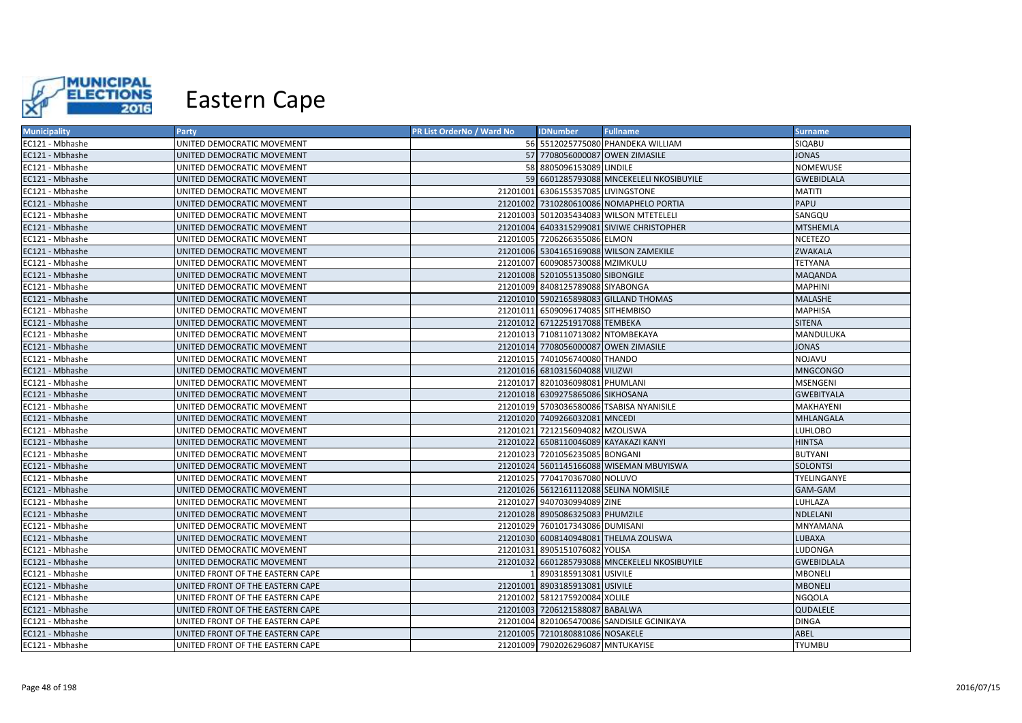

| <b>Municipality</b> | Party                            | PR List OrderNo / Ward No | <b>IDNumber</b>                       | <b>Fullname</b>                               | <b>Surname</b>    |
|---------------------|----------------------------------|---------------------------|---------------------------------------|-----------------------------------------------|-------------------|
| EC121 - Mbhashe     | UNITED DEMOCRATIC MOVEMENT       |                           |                                       | 56 5512025775080 PHANDEKA WILLIAM             | SIQABU            |
| EC121 - Mbhashe     | UNITED DEMOCRATIC MOVEMENT       |                           | 57 7708056000087 OWEN ZIMASILE        |                                               | <b>JONAS</b>      |
| EC121 - Mbhashe     | UNITED DEMOCRATIC MOVEMENT       |                           | 58 8805096153089 LINDILE              |                                               | NOMEWUSE          |
| EC121 - Mbhashe     | UNITED DEMOCRATIC MOVEMENT       |                           |                                       | 59 6601285793088 MNCEKELELI NKOSIBUYILE       | <b>GWEBIDLALA</b> |
| EC121 - Mbhashe     | UNITED DEMOCRATIC MOVEMENT       |                           | 21201001 6306155357085 LIVINGSTONE    |                                               | <b>MATITI</b>     |
| EC121 - Mbhashe     | UNITED DEMOCRATIC MOVEMENT       |                           |                                       | 21201002 7310280610086 NOMAPHELO PORTIA       | PAPU              |
| EC121 - Mbhashe     | UNITED DEMOCRATIC MOVEMENT       |                           |                                       | 21201003 5012035434083 WILSON MTETELELI       | SANGQU            |
| EC121 - Mbhashe     | UNITED DEMOCRATIC MOVEMENT       |                           |                                       | 21201004 6403315299081 SIVIWE CHRISTOPHER     | <b>MTSHEMLA</b>   |
| EC121 - Mbhashe     | UNITED DEMOCRATIC MOVEMENT       |                           | 21201005 7206266355086 ELMON          |                                               | <b>NCETEZO</b>    |
| EC121 - Mbhashe     | UNITED DEMOCRATIC MOVEMENT       |                           |                                       | 21201006 5304165169088 WILSON ZAMEKILE        | <b>ZWAKALA</b>    |
| EC121 - Mbhashe     | UNITED DEMOCRATIC MOVEMENT       |                           | 21201007 6009085730088 MZIMKULU       |                                               | <b>TETYANA</b>    |
| EC121 - Mbhashe     | UNITED DEMOCRATIC MOVEMENT       |                           | 21201008 5201055135080 SIBONGILE      |                                               | <b>MAQANDA</b>    |
| EC121 - Mbhashe     | UNITED DEMOCRATIC MOVEMENT       |                           | 21201009 8408125789088 SIYABONGA      |                                               | <b>MAPHINI</b>    |
| EC121 - Mbhashe     | UNITED DEMOCRATIC MOVEMENT       |                           |                                       | 21201010 5902165898083 GILLAND THOMAS         | MALASHE           |
| EC121 - Mbhashe     | UNITED DEMOCRATIC MOVEMENT       |                           | 21201011 6509096174085 SITHEMBISO     |                                               | <b>MAPHISA</b>    |
| EC121 - Mbhashe     | UNITED DEMOCRATIC MOVEMENT       |                           | 21201012 6712251917088 TEMBEKA        |                                               | <b>SITENA</b>     |
| EC121 - Mbhashe     | UNITED DEMOCRATIC MOVEMENT       |                           | 21201013 7108110713082 NTOMBEKAYA     |                                               | MANDULUKA         |
| EC121 - Mbhashe     | UNITED DEMOCRATIC MOVEMENT       |                           |                                       | 21201014 7708056000087 OWEN ZIMASILE          | <b>JONAS</b>      |
| EC121 - Mbhashe     | UNITED DEMOCRATIC MOVEMENT       |                           | 21201015 7401056740080 THANDO         |                                               | NOJAVU            |
| EC121 - Mbhashe     | UNITED DEMOCRATIC MOVEMENT       |                           | 21201016 6810315604088 VILIZWI        |                                               | <b>MNGCONGO</b>   |
| EC121 - Mbhashe     | UNITED DEMOCRATIC MOVEMENT       |                           | 21201017 8201036098081 PHUMLANI       |                                               | MSENGENI          |
| EC121 - Mbhashe     | UNITED DEMOCRATIC MOVEMENT       |                           | 21201018 6309275865086 SIKHOSANA      |                                               | <b>GWEBITYALA</b> |
| EC121 - Mbhashe     | UNITED DEMOCRATIC MOVEMENT       |                           |                                       | 21201019 5703036580086 TSABISA NYANISILE      | <b>MAKHAYENI</b>  |
| EC121 - Mbhashe     | UNITED DEMOCRATIC MOVEMENT       |                           | 21201020 7409266032081 MNCEDI         |                                               | <b>MHLANGALA</b>  |
| EC121 - Mbhashe     | UNITED DEMOCRATIC MOVEMENT       |                           | 21201021 7212156094082 MZOLISWA       |                                               | <b>LUHLOBO</b>    |
| EC121 - Mbhashe     | UNITED DEMOCRATIC MOVEMENT       |                           | 21201022 6508110046089 KAYAKAZI KANYI |                                               | <b>HINTSA</b>     |
| EC121 - Mbhashe     | UNITED DEMOCRATIC MOVEMENT       |                           | 21201023 7201056235085 BONGANI        |                                               | <b>BUTYANI</b>    |
| EC121 - Mbhashe     | UNITED DEMOCRATIC MOVEMENT       |                           |                                       | 21201024 5601145166088 WISEMAN MBUYISWA       | <b>SOLONTSI</b>   |
| EC121 - Mbhashe     | UNITED DEMOCRATIC MOVEMENT       |                           | 21201025 7704170367080 NOLUVO         |                                               | TYELINGANYE       |
| EC121 - Mbhashe     | UNITED DEMOCRATIC MOVEMENT       |                           |                                       | 21201026 5612161112088 SELINA NOMISILE        | GAM-GAM           |
| EC121 - Mbhashe     | UNITED DEMOCRATIC MOVEMENT       |                           | 21201027 9407030994089 ZINE           |                                               | LUHLAZA           |
| EC121 - Mbhashe     | UNITED DEMOCRATIC MOVEMENT       |                           | 21201028 8905086325083 PHUMZILE       |                                               | NDLELANI          |
| EC121 - Mbhashe     | UNITED DEMOCRATIC MOVEMENT       |                           | 21201029 7601017343086 DUMISANI       |                                               | MNYAMANA          |
| EC121 - Mbhashe     | UNITED DEMOCRATIC MOVEMENT       |                           |                                       | 21201030 6008140948081 THELMA ZOLISWA         | LUBAXA            |
| EC121 - Mbhashe     | UNITED DEMOCRATIC MOVEMENT       | 21201031                  | 8905151076082 YOLISA                  |                                               | LUDONGA           |
| EC121 - Mbhashe     | UNITED DEMOCRATIC MOVEMENT       |                           |                                       | 21201032 6601285793088 MNCEKELELI NKOSIBUYILE | <b>GWEBIDLALA</b> |
| EC121 - Mbhashe     | UNITED FRONT OF THE EASTERN CAPE |                           | 8903185913081 USIVILE                 |                                               | <b>MBONELI</b>    |
| EC121 - Mbhashe     | UNITED FRONT OF THE EASTERN CAPE |                           | 21201001 8903185913081 USIVILE        |                                               | <b>MBONELI</b>    |
| EC121 - Mbhashe     | UNITED FRONT OF THE EASTERN CAPE |                           | 21201002 5812175920084 XOLILE         |                                               | <b>NGQOLA</b>     |
| EC121 - Mbhashe     | UNITED FRONT OF THE EASTERN CAPE |                           | 21201003 7206121588087 BABALWA        |                                               | <b>QUDALELE</b>   |
| EC121 - Mbhashe     | UNITED FRONT OF THE EASTERN CAPE |                           |                                       | 21201004 8201065470086 SANDISILE GCINIKAYA    | <b>DINGA</b>      |
| EC121 - Mbhashe     | UNITED FRONT OF THE EASTERN CAPE |                           | 21201005 7210180881086 NOSAKELE       |                                               | ABEL              |
| EC121 - Mbhashe     | UNITED FRONT OF THE EASTERN CAPE |                           | 21201009 7902026296087 MNTUKAYISE     |                                               | <b>TYUMBU</b>     |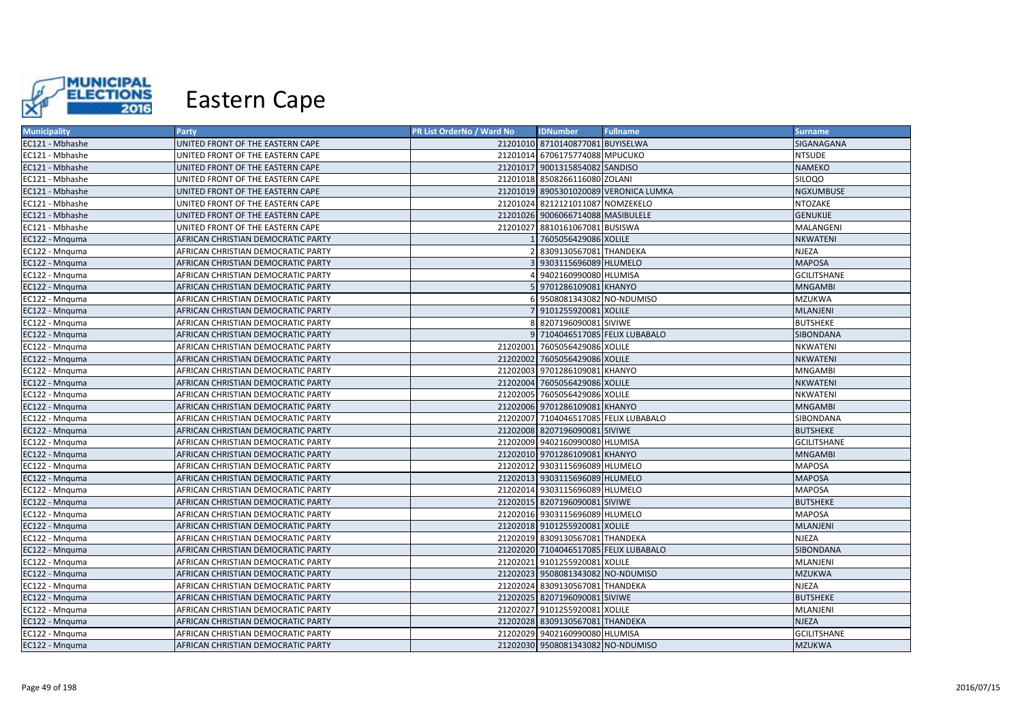

| <b>Municipality</b> | Party                              | PR List OrderNo / Ward No | <b>IDNumber</b>                       | <b>Fullname</b>                       | <b>Surname</b>     |
|---------------------|------------------------------------|---------------------------|---------------------------------------|---------------------------------------|--------------------|
| EC121 - Mbhashe     | UNITED FRONT OF THE EASTERN CAPE   |                           | 21201010 8710140877081 BUYISELWA      |                                       | SIGANAGANA         |
| EC121 - Mbhashe     | UNITED FRONT OF THE EASTERN CAPE   |                           | 21201014 6706175774088 MPUCUKO        |                                       | <b>NTSUDE</b>      |
| EC121 - Mbhashe     | UNITED FRONT OF THE EASTERN CAPE   |                           | 21201017 9001315854082 SANDISO        |                                       | NAMEKO             |
| EC121 - Mbhashe     | UNITED FRONT OF THE EASTERN CAPE   |                           | 21201018 8508266116080 ZOLANI         |                                       | SILOQO             |
| EC121 - Mbhashe     | UNITED FRONT OF THE EASTERN CAPE   |                           |                                       | 21201019 8905301020089 VERONICA LUMKA | <b>NGXUMBUSE</b>   |
| EC121 - Mbhashe     | UNITED FRONT OF THE EASTERN CAPE   |                           | 21201024 8212121011087 NOMZEKELO      |                                       | NTOZAKE            |
| EC121 - Mbhashe     | UNITED FRONT OF THE EASTERN CAPE   |                           | 21201026 9006066714088 MASIBULELE     |                                       | <b>GENUKIJE</b>    |
| EC121 - Mbhashe     | UNITED FRONT OF THE EASTERN CAPE   |                           | 21201027 8810161067081 BUSISWA        |                                       | MALANGENI          |
| EC122 - Mnguma      | AFRICAN CHRISTIAN DEMOCRATIC PARTY |                           | 1 7605056429086 XOLILE                |                                       | NKWATENI           |
| EC122 - Mnquma      | AFRICAN CHRISTIAN DEMOCRATIC PARTY |                           | 8309130567081 THANDEKA                |                                       | <b>NJEZA</b>       |
| EC122 - Mnquma      | AFRICAN CHRISTIAN DEMOCRATIC PARTY |                           | 3 9303115696089 HLUMELO               |                                       | <b>MAPOSA</b>      |
| EC122 - Mnguma      | AFRICAN CHRISTIAN DEMOCRATIC PARTY |                           | 9402160990080 HLUMISA                 |                                       | <b>GCILITSHANE</b> |
| EC122 - Mnquma      | AFRICAN CHRISTIAN DEMOCRATIC PARTY |                           | 5 9701286109081 KHANYO                |                                       | <b>MNGAMBI</b>     |
| EC122 - Mnguma      | AFRICAN CHRISTIAN DEMOCRATIC PARTY |                           | 6 9508081343082 NO-NDUMISO            |                                       | <b>MZUKWA</b>      |
| EC122 - Mnquma      | AFRICAN CHRISTIAN DEMOCRATIC PARTY |                           | 9101255920081 XOLILE                  |                                       | <b>MLANJENI</b>    |
| EC122 - Mnguma      | AFRICAN CHRISTIAN DEMOCRATIC PARTY |                           | 8 8207196090081 SIVIWE                |                                       | <b>BUTSHEKE</b>    |
| EC122 - Mnquma      | AFRICAN CHRISTIAN DEMOCRATIC PARTY |                           | 9 7104046517085 FELIX LUBABALO        |                                       | <b>SIBONDANA</b>   |
| EC122 - Mnquma      | AFRICAN CHRISTIAN DEMOCRATIC PARTY |                           | 21202001 7605056429086 XOLILE         |                                       | NKWATENI           |
| EC122 - Mnquma      | AFRICAN CHRISTIAN DEMOCRATIC PARTY |                           | 21202002 7605056429086 XOLILE         |                                       | NKWATENI           |
| EC122 - Mnquma      | AFRICAN CHRISTIAN DEMOCRATIC PARTY |                           | 21202003 9701286109081 KHANYO         |                                       | <b>MNGAMBI</b>     |
| EC122 - Mnquma      | AFRICAN CHRISTIAN DEMOCRATIC PARTY |                           | 21202004 7605056429086 XOLILE         |                                       | NKWATENI           |
| EC122 - Mnguma      | AFRICAN CHRISTIAN DEMOCRATIC PARTY |                           | 21202005 7605056429086 XOLILE         |                                       | NKWATENI           |
| EC122 - Mnquma      | AFRICAN CHRISTIAN DEMOCRATIC PARTY |                           | 21202006 9701286109081 KHANYO         |                                       | <b>MNGAMBI</b>     |
| EC122 - Mnguma      | AFRICAN CHRISTIAN DEMOCRATIC PARTY |                           | 21202007 7104046517085 FELIX LUBABALO |                                       | SIBONDANA          |
| EC122 - Mnquma      | AFRICAN CHRISTIAN DEMOCRATIC PARTY |                           | 21202008 8207196090081 SIVIWE         |                                       | <b>BUTSHEKE</b>    |
| EC122 - Mnquma      | AFRICAN CHRISTIAN DEMOCRATIC PARTY |                           | 21202009 9402160990080 HLUMISA        |                                       | <b>GCILITSHANE</b> |
| EC122 - Mnquma      | AFRICAN CHRISTIAN DEMOCRATIC PARTY |                           | 21202010 9701286109081 KHANYO         |                                       | <b>MNGAMBI</b>     |
| EC122 - Mnquma      | AFRICAN CHRISTIAN DEMOCRATIC PARTY |                           | 21202012 9303115696089 HLUMELO        |                                       | <b>MAPOSA</b>      |
| EC122 - Mnguma      | AFRICAN CHRISTIAN DEMOCRATIC PARTY |                           | 21202013 9303115696089 HLUMELO        |                                       | <b>MAPOSA</b>      |
| EC122 - Mnquma      | AFRICAN CHRISTIAN DEMOCRATIC PARTY |                           | 21202014 9303115696089 HLUMELO        |                                       | <b>MAPOSA</b>      |
| EC122 - Mnquma      | AFRICAN CHRISTIAN DEMOCRATIC PARTY |                           | 21202015 8207196090081 SIVIWE         |                                       | <b>BUTSHEKE</b>    |
| EC122 - Mnguma      | AFRICAN CHRISTIAN DEMOCRATIC PARTY |                           | 21202016 9303115696089 HLUMELO        |                                       | <b>MAPOSA</b>      |
| EC122 - Mnquma      | AFRICAN CHRISTIAN DEMOCRATIC PARTY |                           | 21202018 9101255920081 XOLILE         |                                       | <b>MLANJENI</b>    |
| EC122 - Mnquma      | AFRICAN CHRISTIAN DEMOCRATIC PARTY |                           | 21202019 8309130567081 THANDEKA       |                                       | NJEZA              |
| EC122 - Mnquma      | AFRICAN CHRISTIAN DEMOCRATIC PARTY |                           | 21202020 7104046517085 FELIX LUBABALO |                                       | SIBONDANA          |
| EC122 - Mnquma      | AFRICAN CHRISTIAN DEMOCRATIC PARTY |                           | 21202021 9101255920081 XOLILE         |                                       | MLANJENI           |
| EC122 - Mnquma      | AFRICAN CHRISTIAN DEMOCRATIC PARTY |                           | 21202023 9508081343082 NO-NDUMISO     |                                       | <b>MZUKWA</b>      |
| EC122 - Mnquma      | AFRICAN CHRISTIAN DEMOCRATIC PARTY |                           | 21202024 8309130567081 THANDEKA       |                                       | <b>NJEZA</b>       |
| EC122 - Mnquma      | AFRICAN CHRISTIAN DEMOCRATIC PARTY |                           | 21202025 8207196090081 SIVIWE         |                                       | <b>BUTSHEKE</b>    |
| EC122 - Mnquma      | AFRICAN CHRISTIAN DEMOCRATIC PARTY |                           | 21202027 9101255920081 XOLILE         |                                       | MLANJENI           |
| EC122 - Mnguma      | AFRICAN CHRISTIAN DEMOCRATIC PARTY |                           | 21202028 8309130567081 THANDEKA       |                                       | <b>NJEZA</b>       |
| EC122 - Mnguma      | AFRICAN CHRISTIAN DEMOCRATIC PARTY |                           | 21202029 9402160990080 HLUMISA        |                                       | <b>GCILITSHANE</b> |
| EC122 - Mnquma      | AFRICAN CHRISTIAN DEMOCRATIC PARTY |                           | 21202030 9508081343082 NO-NDUMISO     |                                       | <b>MZUKWA</b>      |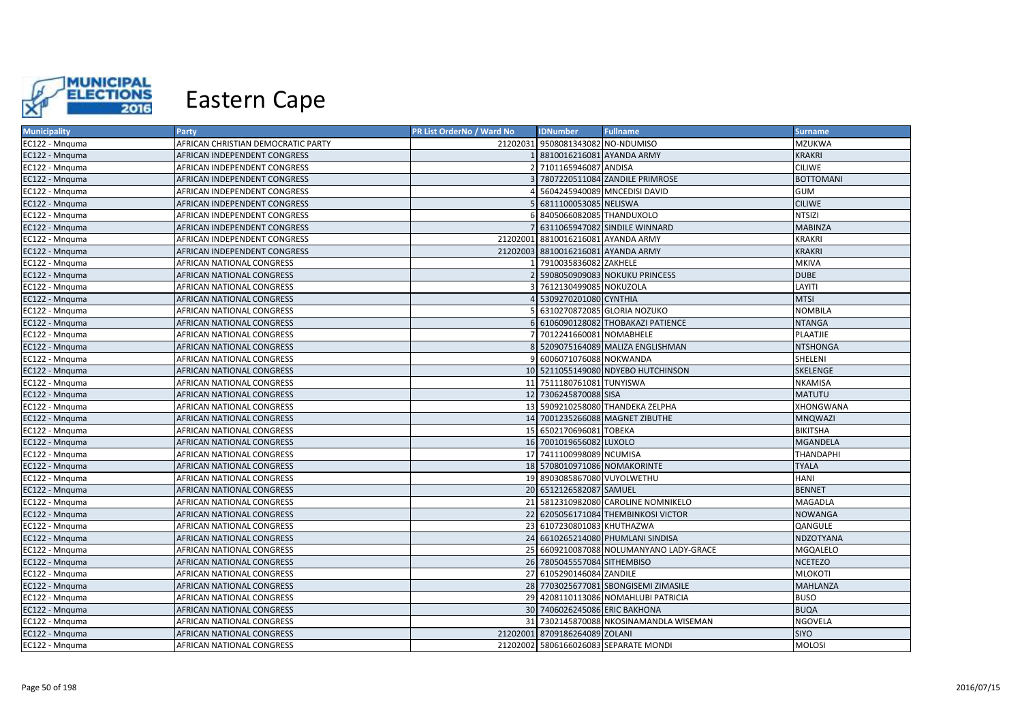

| <b>Municipality</b> | Party                              | PR List OrderNo / Ward No | <b>IDNumber</b>                    | <b>Fullname</b>                         | <b>Surname</b>   |
|---------------------|------------------------------------|---------------------------|------------------------------------|-----------------------------------------|------------------|
| EC122 - Mnguma      | AFRICAN CHRISTIAN DEMOCRATIC PARTY |                           | 21202031 9508081343082 NO-NDUMISO  |                                         | <b>MZUKWA</b>    |
| EC122 - Mnguma      | AFRICAN INDEPENDENT CONGRESS       |                           | 8810016216081 AYANDA ARMY          |                                         | <b>KRAKRI</b>    |
| EC122 - Mnguma      | AFRICAN INDEPENDENT CONGRESS       |                           | 7101165946087 ANDISA               |                                         | <b>CILIWE</b>    |
| EC122 - Mnguma      | AFRICAN INDEPENDENT CONGRESS       |                           |                                    | 7807220511084 ZANDILE PRIMROSE          | <b>BOTTOMANI</b> |
| EC122 - Mnguma      | AFRICAN INDEPENDENT CONGRESS       |                           |                                    | 5604245940089 MNCEDISI DAVID            | <b>GUM</b>       |
| EC122 - Mnguma      | AFRICAN INDEPENDENT CONGRESS       |                           | 6811100053085 NELISWA              |                                         | <b>CILIWE</b>    |
| EC122 - Mnguma      | AFRICAN INDEPENDENT CONGRESS       |                           | 8405066082085 THANDUXOLO           |                                         | <b>NTSIZI</b>    |
| EC122 - Mnguma      | AFRICAN INDEPENDENT CONGRESS       |                           |                                    | 6311065947082 SINDILE WINNARD           | <b>MABINZA</b>   |
| EC122 - Mnguma      | AFRICAN INDEPENDENT CONGRESS       |                           | 21202001 8810016216081 AYANDA ARMY |                                         | <b>KRAKRI</b>    |
| EC122 - Mnguma      | AFRICAN INDEPENDENT CONGRESS       |                           | 21202003 8810016216081 AYANDA ARMY |                                         | <b>KRAKRI</b>    |
| EC122 - Mnguma      | AFRICAN NATIONAL CONGRESS          |                           | 7910035836082 ZAKHELE              |                                         | <b>MKIVA</b>     |
| EC122 - Mnguma      | <b>AFRICAN NATIONAL CONGRESS</b>   |                           |                                    | 5908050909083 NOKUKU PRINCESS           | <b>DUBE</b>      |
| EC122 - Mnguma      | AFRICAN NATIONAL CONGRESS          |                           | 7612130499085 NOKUZOLA             |                                         | LAYITI           |
| EC122 - Mnguma      | <b>AFRICAN NATIONAL CONGRESS</b>   |                           | 5309270201080 CYNTHIA              |                                         | <b>MTSI</b>      |
| EC122 - Mnguma      | <b>AFRICAN NATIONAL CONGRESS</b>   |                           |                                    | 6310270872085 GLORIA NOZUKO             | <b>NOMBILA</b>   |
| EC122 - Mnguma      | <b>AFRICAN NATIONAL CONGRESS</b>   |                           |                                    | 6106090128082 THOBAKAZI PATIENCE        | <b>NTANGA</b>    |
| EC122 - Mnguma      | <b>AFRICAN NATIONAL CONGRESS</b>   |                           | 7012241660081 NOMABHELE            |                                         | <b>PLAATJIE</b>  |
| EC122 - Mnguma      | <b>AFRICAN NATIONAL CONGRESS</b>   |                           |                                    | 5209075164089 MALIZA ENGLISHMAN         | <b>NTSHONGA</b>  |
| EC122 - Mnguma      | AFRICAN NATIONAL CONGRESS          |                           | 6006071076088 NOKWANDA             |                                         | SHELENI          |
| EC122 - Mnquma      | <b>AFRICAN NATIONAL CONGRESS</b>   |                           |                                    | 10 5211055149080 NDYEBO HUTCHINSON      | SKELENGE         |
| EC122 - Mnquma      | <b>AFRICAN NATIONAL CONGRESS</b>   |                           | 11 7511180761081 TUNYISWA          |                                         | <b>NKAMISA</b>   |
| EC122 - Mnguma      | <b>AFRICAN NATIONAL CONGRESS</b>   |                           | 12 7306245870088 SISA              |                                         | <b>MATUTU</b>    |
| EC122 - Mnquma      | AFRICAN NATIONAL CONGRESS          |                           |                                    | 13 5909210258080 THANDEKA ZELPHA        | XHONGWANA        |
| EC122 - Mnguma      | <b>AFRICAN NATIONAL CONGRESS</b>   |                           |                                    | 14 7001235266088 MAGNET ZIBUTHE         | <b>MNQWAZI</b>   |
| EC122 - Mnguma      | <b>AFRICAN NATIONAL CONGRESS</b>   |                           | 15 6502170696081 TOBEKA            |                                         | <b>BIKITSHA</b>  |
| EC122 - Mnguma      | AFRICAN NATIONAL CONGRESS          |                           | 16 7001019656082 LUXOLO            |                                         | <b>MGANDELA</b>  |
| EC122 - Mnguma      | AFRICAN NATIONAL CONGRESS          |                           | 17 7411100998089 NCUMISA           |                                         | <b>THANDAPHI</b> |
| EC122 - Mnguma      | <b>AFRICAN NATIONAL CONGRESS</b>   |                           | 18 5708010971086 NOMAKORINTE       |                                         | <b>TYALA</b>     |
| EC122 - Mnguma      | AFRICAN NATIONAL CONGRESS          |                           | 19 8903085867080 VUYOLWETHU        |                                         | <b>HANI</b>      |
| EC122 - Mnquma      | AFRICAN NATIONAL CONGRESS          |                           | 20 6512126582087 SAMUEL            |                                         | <b>BENNET</b>    |
| EC122 - Mnguma      | <b>AFRICAN NATIONAL CONGRESS</b>   |                           |                                    | 21 5812310982080 CAROLINE NOMNIKELO     | MAGADLA          |
| EC122 - Mnguma      | AFRICAN NATIONAL CONGRESS          |                           |                                    | 22 6205056171084 THEMBINKOSI VICTOR     | NOWANGA          |
| EC122 - Mnguma      | AFRICAN NATIONAL CONGRESS          |                           | 23 6107230801083 KHUTHAZWA         |                                         | QANGULE          |
| EC122 - Mnguma      | AFRICAN NATIONAL CONGRESS          |                           |                                    | 24 6610265214080 PHUMLANI SINDISA       | NDZOTYANA        |
| EC122 - Mnguma      | <b>AFRICAN NATIONAL CONGRESS</b>   |                           |                                    | 25 6609210087088 NOLUMANYANO LADY-GRACE | MGQALELO         |
| EC122 - Mnguma      | AFRICAN NATIONAL CONGRESS          |                           | 26 7805045557084 SITHEMBISO        |                                         | <b>NCETEZO</b>   |
| EC122 - Mnguma      | <b>AFRICAN NATIONAL CONGRESS</b>   |                           | 27 6105290146084 ZANDILE           |                                         | <b>MLOKOTI</b>   |
| EC122 - Mnguma      | AFRICAN NATIONAL CONGRESS          |                           |                                    | 28 7703025677081 SBONGISEMI ZIMASILE    | <b>MAHLANZA</b>  |
| EC122 - Mnguma      | AFRICAN NATIONAL CONGRESS          |                           |                                    | 29 4208110113086 NOMAHLUBI PATRICIA     | <b>BUSO</b>      |
| EC122 - Mnguma      | AFRICAN NATIONAL CONGRESS          |                           | 30 7406026245086 ERIC BAKHONA      |                                         | <b>BUQA</b>      |
| EC122 - Mnguma      | AFRICAN NATIONAL CONGRESS          |                           |                                    | 31 7302145870088 NKOSINAMANDLA WISEMAN  | <b>NGOVELA</b>   |
| EC122 - Mnguma      | <b>AFRICAN NATIONAL CONGRESS</b>   |                           | 21202001 8709186264089 ZOLANI      |                                         | <b>SIYO</b>      |
| EC122 - Mnguma      | <b>AFRICAN NATIONAL CONGRESS</b>   |                           |                                    | 21202002 5806166026083 SEPARATE MONDI   | <b>MOLOSI</b>    |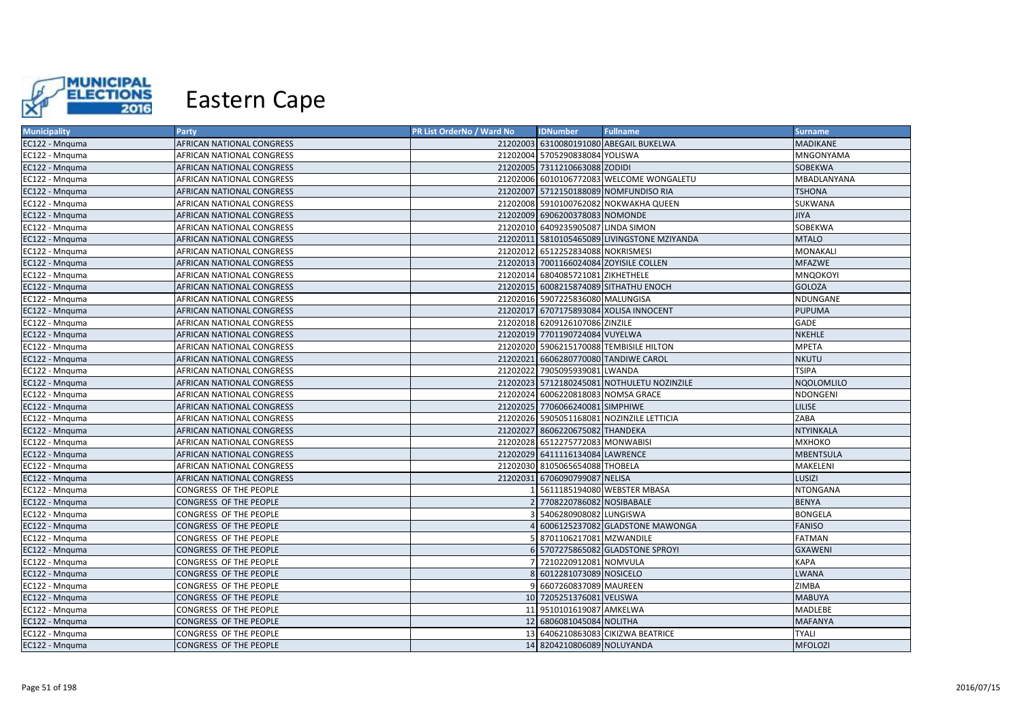

| <b>Municipality</b> | <b>Party</b>              | PR List OrderNo / Ward No | <b>IDNumber</b>                    | <b>Fullname</b>                             | <b>Surname</b>    |
|---------------------|---------------------------|---------------------------|------------------------------------|---------------------------------------------|-------------------|
| EC122 - Mnquma      | AFRICAN NATIONAL CONGRESS |                           |                                    | 21202003 6310080191080 ABEGAIL BUKELWA      | <b>MADIKANE</b>   |
| EC122 - Mnguma      | AFRICAN NATIONAL CONGRESS |                           | 21202004 5705290838084 YOLISWA     |                                             | MNGONYAMA         |
| EC122 - Mnquma      | AFRICAN NATIONAL CONGRESS |                           | 21202005 7311210663088 ZODIDI      |                                             | SOBEKWA           |
| EC122 - Mnquma      | AFRICAN NATIONAL CONGRESS |                           |                                    | 21202006 6010106772083 WELCOME WONGALETU    | MBADLANYANA       |
| EC122 - Mnguma      | AFRICAN NATIONAL CONGRESS |                           |                                    | 21202007 5712150188089 NOMFUNDISO RIA       | <b>TSHONA</b>     |
| EC122 - Mnquma      | AFRICAN NATIONAL CONGRESS |                           |                                    | 21202008 5910100762082 NOKWAKHA QUEEN       | SUKWANA           |
| EC122 - Mnguma      | AFRICAN NATIONAL CONGRESS |                           | 21202009 6906200378083 NOMONDE     |                                             | <b>JIYA</b>       |
| EC122 - Mnguma      | AFRICAN NATIONAL CONGRESS |                           | 21202010 6409235905087 LINDA SIMON |                                             | SOBEKWA           |
| EC122 - Mnquma      | AFRICAN NATIONAL CONGRESS |                           |                                    | 21202011 5810105465089 LIVINGSTONE MZIYANDA | <b>MTALO</b>      |
| EC122 - Mnguma      | AFRICAN NATIONAL CONGRESS |                           | 21202012 6512252834088 NOKRISMESI  |                                             | MONAKALI          |
| EC122 - Mnquma      | AFRICAN NATIONAL CONGRESS |                           |                                    | 21202013 7001166024084 ZOYISILE COLLEN      | <b>MFAZWE</b>     |
| EC122 - Mnguma      | AFRICAN NATIONAL CONGRESS |                           | 21202014 6804085721081 ZIKHETHELE  |                                             | MNQOKOYI          |
| EC122 - Mnquma      | AFRICAN NATIONAL CONGRESS |                           |                                    | 21202015 6008215874089 SITHATHU ENOCH       | <b>GOLOZA</b>     |
| EC122 - Mnquma      | AFRICAN NATIONAL CONGRESS |                           | 21202016 5907225836080 MALUNGISA   |                                             | NDUNGANE          |
| EC122 - Mnguma      | AFRICAN NATIONAL CONGRESS |                           |                                    | 21202017 6707175893084 XOLISA INNOCENT      | <b>PUPUMA</b>     |
| EC122 - Mnguma      | AFRICAN NATIONAL CONGRESS |                           | 21202018 6209126107086 ZINZILE     |                                             | <b>GADE</b>       |
| EC122 - Mnquma      | AFRICAN NATIONAL CONGRESS |                           | 21202019 7701190724084 VUYELWA     |                                             | <b>NKEHLE</b>     |
| EC122 - Mnquma      | AFRICAN NATIONAL CONGRESS |                           |                                    | 21202020 5906215170088 TEMBISILE HILTON     | MPETA             |
| EC122 - Mnguma      | AFRICAN NATIONAL CONGRESS |                           |                                    | 21202021 6606280770080 TANDIWE CAROL        | <b>NKUTU</b>      |
| EC122 - Mnquma      | AFRICAN NATIONAL CONGRESS |                           | 21202022 7905095939081 LWANDA      |                                             | <b>TSIPA</b>      |
| EC122 - Mnquma      | AFRICAN NATIONAL CONGRESS |                           |                                    | 21202023 5712180245081 NOTHULETU NOZINZILE  | <b>NQOLOMLILO</b> |
| EC122 - Mnguma      | AFRICAN NATIONAL CONGRESS |                           | 21202024 6006220818083 NOMSA GRACE |                                             | NDONGENI          |
| EC122 - Mnguma      | AFRICAN NATIONAL CONGRESS |                           | 21202025 7706066240081 SIMPHIWE    |                                             | <b>LILISE</b>     |
| EC122 - Mnguma      | AFRICAN NATIONAL CONGRESS |                           |                                    | 21202026 5905051168081 NOZINZILE LETTICIA   | ZABA              |
| EC122 - Mnquma      | AFRICAN NATIONAL CONGRESS |                           | 21202027 8606220675082 THANDEKA    |                                             | <b>NTYINKALA</b>  |
| EC122 - Mnguma      | AFRICAN NATIONAL CONGRESS |                           | 21202028 6512275772083 MONWABISI   |                                             | МХНОКО            |
| EC122 - Mnquma      | AFRICAN NATIONAL CONGRESS |                           | 21202029 6411116134084 LAWRENCE    |                                             | <b>MBENTSULA</b>  |
| EC122 - Mnquma      | AFRICAN NATIONAL CONGRESS |                           | 21202030 8105065654088 THOBELA     |                                             | MAKELENI          |
| EC122 - Mnguma      | AFRICAN NATIONAL CONGRESS |                           | 21202031 6706090799087 NELISA      |                                             | LUSIZI            |
| EC122 - Mnguma      | CONGRESS OF THE PEOPLE    |                           |                                    | 5611185194080 WEBSTER MBASA                 | <b>NTONGANA</b>   |
| EC122 - Mnquma      | CONGRESS OF THE PEOPLE    |                           | 2 7708220786082 NOSIBABALE         |                                             | <b>BENYA</b>      |
| EC122 - Mnguma      | CONGRESS OF THE PEOPLE    |                           | 5406280908082 LUNGISWA             |                                             | <b>BONGELA</b>    |
| EC122 - Mnquma      | CONGRESS OF THE PEOPLE    |                           |                                    | 4 6006125237082 GLADSTONE MAWONGA           | <b>FANISO</b>     |
| EC122 - Mnquma      | CONGRESS OF THE PEOPLE    |                           | 5 8701106217081 MZWANDILE          |                                             | <b>FATMAN</b>     |
| EC122 - Mnquma      | CONGRESS OF THE PEOPLE    |                           |                                    | 6 5707275865082 GLADSTONE SPROYI            | <b>GXAWENI</b>    |
| EC122 - Mnguma      | CONGRESS OF THE PEOPLE    |                           | 7 7210220912081 NOMVULA            |                                             | KAPA              |
| EC122 - Mnquma      | CONGRESS OF THE PEOPLE    |                           | 8 6012281073089 NOSICELO           |                                             | <b>LWANA</b>      |
| EC122 - Mnquma      | CONGRESS OF THE PEOPLE    |                           | 9 6607260837089 MAUREEN            |                                             | <b>ZIMBA</b>      |
| EC122 - Mnquma      | CONGRESS OF THE PEOPLE    |                           | 10 7205251376081 VELISWA           |                                             | <b>MABUYA</b>     |
| EC122 - Mnquma      | CONGRESS OF THE PEOPLE    |                           | 11 9510101619087 AMKELWA           |                                             | MADLEBE           |
| EC122 - Mnguma      | CONGRESS OF THE PEOPLE    |                           | 12 6806081045084 NOLITHA           |                                             | <b>MAFANYA</b>    |
| EC122 - Mnquma      | CONGRESS OF THE PEOPLE    |                           |                                    | 13 6406210863083 CIKIZWA BEATRICE           | <b>TYALI</b>      |
| EC122 - Mnquma      | CONGRESS OF THE PEOPLE    |                           | 14 8204210806089 NOLUYANDA         |                                             | <b>MFOLOZI</b>    |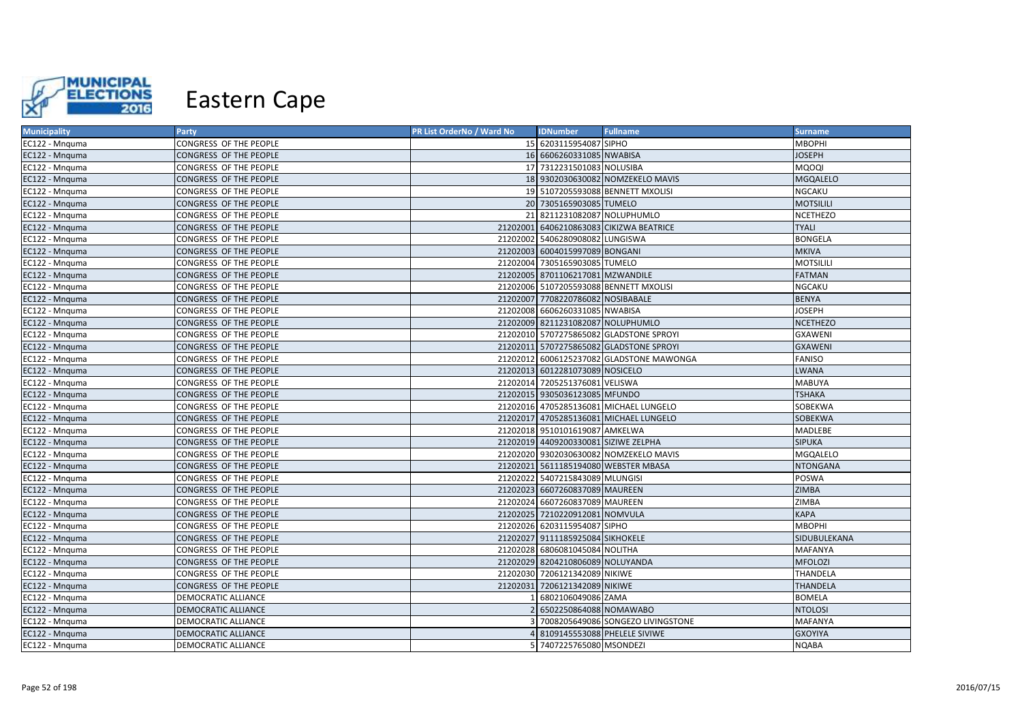

| <b>Municipality</b> | Party                         | PR List OrderNo / Ward No | <b>IDNumber</b>                      | <b>Fullname</b>                          | <b>Surname</b>   |
|---------------------|-------------------------------|---------------------------|--------------------------------------|------------------------------------------|------------------|
| EC122 - Mnquma      | CONGRESS OF THE PEOPLE        |                           | 15 6203115954087 SIPHO               |                                          | <b>MBOPHI</b>    |
| EC122 - Mnquma      | CONGRESS OF THE PEOPLE        |                           | 16 6606260331085 NWABISA             |                                          | <b>JOSEPH</b>    |
| EC122 - Mnquma      | CONGRESS OF THE PEOPLE        |                           | 17 7312231501083 NOLUSIBA            |                                          | <b>MQOQI</b>     |
| EC122 - Mnguma      | CONGRESS OF THE PEOPLE        |                           |                                      | 18 9302030630082 NOMZEKELO MAVIS         | <b>MGQALELO</b>  |
| EC122 - Mnguma      | CONGRESS OF THE PEOPLE        |                           |                                      | 19 5107205593088 BENNETT MXOLISI         | <b>NGCAKU</b>    |
| EC122 - Mnquma      | CONGRESS OF THE PEOPLE        |                           | 20 7305165903085 TUMELO              |                                          | <b>MOTSILILI</b> |
| EC122 - Mnguma      | CONGRESS OF THE PEOPLE        |                           | 21 8211231082087 NOLUPHUMLO          |                                          | <b>NCETHEZO</b>  |
| EC122 - Mnguma      | CONGRESS OF THE PEOPLE        |                           |                                      | 21202001 6406210863083 CIKIZWA BEATRICE  | <b>TYALI</b>     |
| EC122 - Mnguma      | CONGRESS OF THE PEOPLE        |                           | 21202002 5406280908082 LUNGISWA      |                                          | <b>BONGELA</b>   |
| EC122 - Mnguma      | CONGRESS OF THE PEOPLE        |                           | 21202003 6004015997089 BONGANI       |                                          | <b>MKIVA</b>     |
| EC122 - Mnguma      | CONGRESS OF THE PEOPLE        |                           | 21202004 7305165903085 TUMELO        |                                          | <b>MOTSILILI</b> |
| EC122 - Mnguma      | CONGRESS OF THE PEOPLE        |                           | 21202005 8701106217081 MZWANDILE     |                                          | <b>FATMAN</b>    |
| EC122 - Mnguma      | CONGRESS OF THE PEOPLE        |                           |                                      | 21202006 5107205593088 BENNETT MXOLISI   | NGCAKU           |
| EC122 - Mnguma      | CONGRESS OF THE PEOPLE        |                           | 21202007 7708220786082 NOSIBABALE    |                                          | <b>BENYA</b>     |
| EC122 - Mnguma      | CONGRESS OF THE PEOPLE        |                           | 21202008 6606260331085 NWABISA       |                                          | <b>JOSEPH</b>    |
| EC122 - Mnquma      | CONGRESS OF THE PEOPLE        |                           | 21202009 8211231082087 NOLUPHUMLO    |                                          | <b>NCETHEZO</b>  |
| EC122 - Mnquma      | CONGRESS OF THE PEOPLE        |                           |                                      | 21202010 5707275865082 GLADSTONE SPROYI  | <b>GXAWENI</b>   |
| EC122 - Mnguma      | CONGRESS OF THE PEOPLE        |                           |                                      | 21202011 5707275865082 GLADSTONE SPROYI  | <b>GXAWENI</b>   |
| EC122 - Mnguma      | CONGRESS OF THE PEOPLE        |                           |                                      | 21202012 6006125237082 GLADSTONE MAWONGA | <b>FANISO</b>    |
| EC122 - Mnquma      | CONGRESS OF THE PEOPLE        |                           | 21202013 6012281073089 NOSICELO      |                                          | <b>LWANA</b>     |
| EC122 - Mnguma      | CONGRESS OF THE PEOPLE        |                           | 21202014 7205251376081 VELISWA       |                                          | <b>MABUYA</b>    |
| EC122 - Mnguma      | CONGRESS OF THE PEOPLE        |                           | 21202015 9305036123085 MFUNDO        |                                          | <b>TSHAKA</b>    |
| EC122 - Mnquma      | CONGRESS OF THE PEOPLE        |                           |                                      | 21202016 4705285136081 MICHAEL LUNGELO   | SOBEKWA          |
| EC122 - Mnguma      | CONGRESS OF THE PEOPLE        |                           |                                      | 21202017 4705285136081 MICHAEL LUNGELO   | SOBEKWA          |
| EC122 - Mnguma      | CONGRESS OF THE PEOPLE        |                           | 21202018 9510101619087 AMKELWA       |                                          | MADLEBE          |
| EC122 - Mnguma      | CONGRESS OF THE PEOPLE        |                           | 21202019 4409200330081 SIZIWE ZELPHA |                                          | <b>SIPUKA</b>    |
| EC122 - Mnquma      | CONGRESS OF THE PEOPLE        |                           |                                      | 21202020 9302030630082 NOMZEKELO MAVIS   | MGQALELO         |
| EC122 - Mnquma      | CONGRESS OF THE PEOPLE        |                           |                                      | 21202021 5611185194080 WEBSTER MBASA     | <b>NTONGANA</b>  |
| EC122 - Mnguma      | CONGRESS OF THE PEOPLE        |                           | 21202022 5407215843089 MLUNGISI      |                                          | POSWA            |
| EC122 - Mnguma      | CONGRESS OF THE PEOPLE        |                           | 21202023 6607260837089 MAUREEN       |                                          | <b>ZIMBA</b>     |
| EC122 - Mnguma      | CONGRESS OF THE PEOPLE        |                           | 21202024 6607260837089 MAUREEN       |                                          | <b>ZIMBA</b>     |
| EC122 - Mnguma      | CONGRESS OF THE PEOPLE        |                           | 21202025 7210220912081 NOMVULA       |                                          | <b>KAPA</b>      |
| EC122 - Mnguma      | CONGRESS OF THE PEOPLE        |                           | 21202026 6203115954087 SIPHO         |                                          | <b>MBOPHI</b>    |
| EC122 - Mnguma      | CONGRESS OF THE PEOPLE        |                           | 21202027 9111185925084 SIKHOKELE     |                                          | SIDUBULEKANA     |
| EC122 - Mnguma      | CONGRESS OF THE PEOPLE        |                           | 21202028 6806081045084 NOLITHA       |                                          | <b>MAFANYA</b>   |
| EC122 - Mnguma      | CONGRESS OF THE PEOPLE        |                           | 21202029 8204210806089 NOLUYANDA     |                                          | <b>MFOLOZI</b>   |
| EC122 - Mnquma      | <b>CONGRESS OF THE PEOPLE</b> |                           | 21202030 7206121342089 NIKIWE        |                                          | <b>THANDELA</b>  |
| EC122 - Mnguma      | CONGRESS OF THE PEOPLE        |                           | 21202031 7206121342089 NIKIWE        |                                          | THANDELA         |
| EC122 - Mnguma      | DEMOCRATIC ALLIANCE           |                           | 6802106049086 ZAMA                   |                                          | <b>BOMELA</b>    |
| EC122 - Mnquma      | DEMOCRATIC ALLIANCE           |                           | 6502250864088 NOMAWABO               |                                          | <b>NTOLOSI</b>   |
| EC122 - Mnguma      | DEMOCRATIC ALLIANCE           |                           |                                      | 7008205649086 SONGEZO LIVINGSTONE        | <b>MAFANYA</b>   |
| EC122 - Mnguma      | DEMOCRATIC ALLIANCE           |                           | 4 8109145553088 PHELELE SIVIWE       |                                          | <b>GXOYIYA</b>   |
| EC122 - Mnquma      | DEMOCRATIC ALLIANCE           |                           | 5 7407225765080 MSONDEZI             |                                          | <b>NQABA</b>     |
|                     |                               |                           |                                      |                                          |                  |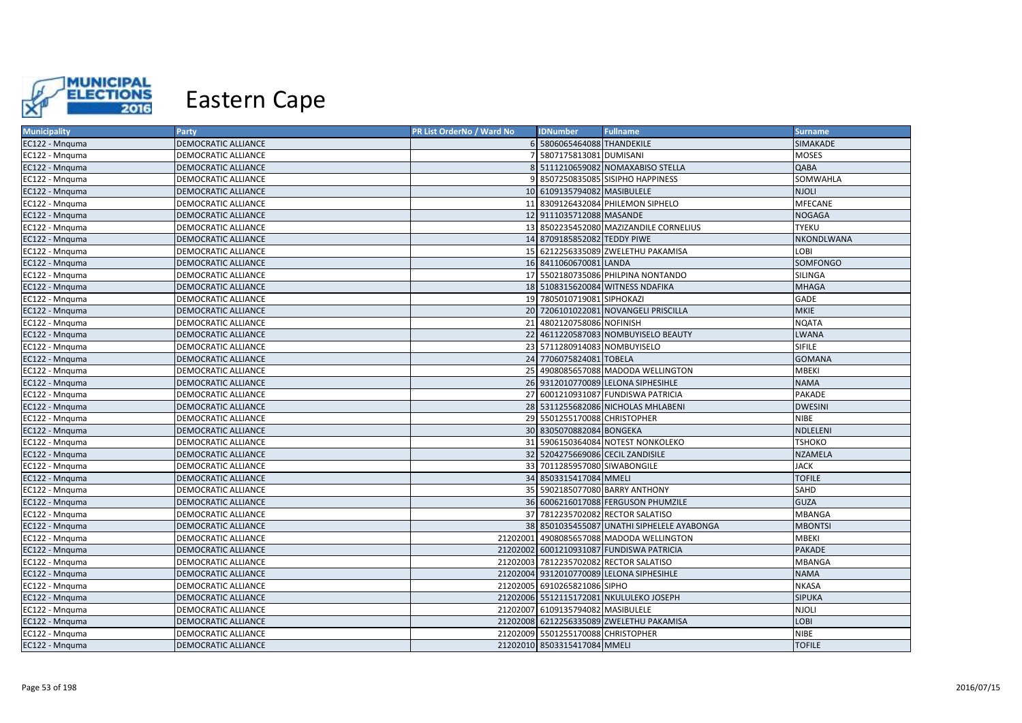

| <b>Municipality</b> | <b>Party</b>               | <b>PR List OrderNo / Ward No</b> | <b>IDNumber</b>                    | <b>Fullname</b>                            | <b>Surname</b>  |
|---------------------|----------------------------|----------------------------------|------------------------------------|--------------------------------------------|-----------------|
| EC122 - Mnguma      | DEMOCRATIC ALLIANCE        |                                  | 6 5806065464088 THANDEKILE         |                                            | SIMAKADE        |
| EC122 - Mnguma      | DEMOCRATIC ALLIANCE        |                                  | 7 5807175813081 DUMISANI           |                                            | <b>MOSES</b>    |
| EC122 - Mnquma      | DEMOCRATIC ALLIANCE        |                                  |                                    | 8 5111210659082 NOMAXABISO STELLA          | QABA            |
| EC122 - Mnguma      | DEMOCRATIC ALLIANCE        |                                  |                                    | 9 8507250835085 SISIPHO HAPPINESS          | SOMWAHLA        |
| EC122 - Mnquma      | DEMOCRATIC ALLIANCE        |                                  | 10 6109135794082 MASIBULELE        |                                            | <b>NJOLI</b>    |
| EC122 - Mnquma      | DEMOCRATIC ALLIANCE        |                                  |                                    | 11 8309126432084 PHILEMON SIPHELO          | MFECANE         |
| EC122 - Mnquma      | DEMOCRATIC ALLIANCE        |                                  | 12 9111035712088 MASANDE           |                                            | <b>NOGAGA</b>   |
| EC122 - Mnquma      | DEMOCRATIC ALLIANCE        |                                  |                                    | 13 8502235452080 MAZIZANDILE CORNELIUS     | TYEKU           |
| EC122 - Mnguma      | DEMOCRATIC ALLIANCE        |                                  | 14 8709185852082 TEDDY PIWE        |                                            | NKONDLWANA      |
| EC122 - Mnguma      | DEMOCRATIC ALLIANCE        |                                  |                                    | 15 6212256335089 ZWELETHU PAKAMISA         | LOBI            |
| EC122 - Mnguma      | DEMOCRATIC ALLIANCE        |                                  | 16 8411060670081 LANDA             |                                            | <b>SOMFONGO</b> |
| EC122 - Mnguma      | DEMOCRATIC ALLIANCE        |                                  |                                    | 17 5502180735086 PHILPINA NONTANDO         | SILINGA         |
| EC122 - Mnguma      | <b>DEMOCRATIC ALLIANCE</b> |                                  |                                    | 18 5108315620084 WITNESS NDAFIKA           | <b>MHAGA</b>    |
| EC122 - Mnguma      | DEMOCRATIC ALLIANCE        |                                  | 19 7805010719081 SIPHOKAZI         |                                            | GADE            |
| EC122 - Mnquma      | <b>DEMOCRATIC ALLIANCE</b> |                                  |                                    | 20 7206101022081 NOVANGELI PRISCILLA       | <b>MKIE</b>     |
| EC122 - Mnguma      | DEMOCRATIC ALLIANCE        |                                  | 21 4802120758086 NOFINISH          |                                            | <b>NQATA</b>    |
| EC122 - Mnquma      | <b>DEMOCRATIC ALLIANCE</b> |                                  |                                    | 22 4611220587083 NOMBUYISELO BEAUTY        | <b>LWANA</b>    |
| EC122 - Mnquma      | DEMOCRATIC ALLIANCE        |                                  | 23 5711280914083 NOMBUYISELO       |                                            | <b>SIFILE</b>   |
| EC122 - Mnguma      | DEMOCRATIC ALLIANCE        |                                  | 24 7706075824081 TOBELA            |                                            | <b>GOMANA</b>   |
| EC122 - Mnguma      | DEMOCRATIC ALLIANCE        |                                  |                                    | 25 4908085657088 MADODA WELLINGTON         | <b>MBEKI</b>    |
| EC122 - Mnquma      | <b>DEMOCRATIC ALLIANCE</b> |                                  |                                    | 26 9312010770089 LELONA SIPHESIHLE         | <b>NAMA</b>     |
| EC122 - Mnguma      | DEMOCRATIC ALLIANCE        |                                  |                                    | 27 6001210931087 FUNDISWA PATRICIA         | <b>PAKADE</b>   |
| EC122 - Mnguma      | DEMOCRATIC ALLIANCE        |                                  |                                    | 28 5311255682086 NICHOLAS MHLABENI         | <b>DWESINI</b>  |
| EC122 - Mnguma      | DEMOCRATIC ALLIANCE        |                                  | 29 5501255170088 CHRISTOPHER       |                                            | <b>NIBE</b>     |
| EC122 - Mnquma      | <b>DEMOCRATIC ALLIANCE</b> |                                  | 30 8305070882084 BONGEKA           |                                            | NDLELENI        |
| EC122 - Mnguma      | DEMOCRATIC ALLIANCE        |                                  |                                    | 31 5906150364084 NOTEST NONKOLEKO          | TSHOKO          |
| EC122 - Mnquma      | <b>DEMOCRATIC ALLIANCE</b> |                                  | 32 5204275669086 CECIL ZANDISILE   |                                            | <b>NZAMELA</b>  |
| EC122 - Mnquma      | DEMOCRATIC ALLIANCE        |                                  | 33 7011285957080 SIWABONGILE       |                                            | <b>JACK</b>     |
| EC122 - Mnguma      | <b>DEMOCRATIC ALLIANCE</b> |                                  | 34 8503315417084 MMELI             |                                            | <b>TOFILE</b>   |
| EC122 - Mnquma      | DEMOCRATIC ALLIANCE        |                                  |                                    | 35 5902185077080 BARRY ANTHONY             | SAHD            |
| EC122 - Mnquma      | <b>DEMOCRATIC ALLIANCE</b> |                                  |                                    | 36 6006216017088 FERGUSON PHUMZILE         | <b>GUZA</b>     |
| EC122 - Mnguma      | DEMOCRATIC ALLIANCE        |                                  |                                    | 37 7812235702082 RECTOR SALATISO           | <b>MBANGA</b>   |
| EC122 - Mnguma      | DEMOCRATIC ALLIANCE        |                                  |                                    | 38 8501035455087 UNATHI SIPHELELE AYABONGA | <b>MBONTSI</b>  |
| EC122 - Mnguma      | DEMOCRATIC ALLIANCE        |                                  |                                    | 21202001 4908085657088 MADODA WELLINGTON   | <b>MBEKI</b>    |
| EC122 - Mnquma      | <b>DEMOCRATIC ALLIANCE</b> |                                  |                                    | 21202002 6001210931087 FUNDISWA PATRICIA   | PAKADE          |
| EC122 - Mnguma      | DEMOCRATIC ALLIANCE        |                                  |                                    | 21202003 7812235702082 RECTOR SALATISO     | <b>MBANGA</b>   |
| EC122 - Mnquma      | DEMOCRATIC ALLIANCE        |                                  |                                    | 21202004 9312010770089 LELONA SIPHESIHLE   | <b>NAMA</b>     |
| EC122 - Mnquma      | DEMOCRATIC ALLIANCE        |                                  | 21202005 6910265821086 SIPHO       |                                            | <b>NKASA</b>    |
| EC122 - Mnquma      | DEMOCRATIC ALLIANCE        |                                  |                                    | 21202006 5512115172081 NKULULEKO JOSEPH    | <b>SIPUKA</b>   |
| EC122 - Mnquma      | DEMOCRATIC ALLIANCE        |                                  | 21202007 6109135794082 MASIBULELE  |                                            | <b>NJOLI</b>    |
| EC122 - Mnquma      | DEMOCRATIC ALLIANCE        |                                  |                                    | 21202008 6212256335089 ZWELETHU PAKAMISA   | LOBI            |
| EC122 - Mnquma      | DEMOCRATIC ALLIANCE        |                                  | 21202009 5501255170088 CHRISTOPHER |                                            | <b>NIBE</b>     |
| EC122 - Mnquma      | <b>DEMOCRATIC ALLIANCE</b> |                                  | 21202010 8503315417084 MMELI       |                                            | <b>TOFILE</b>   |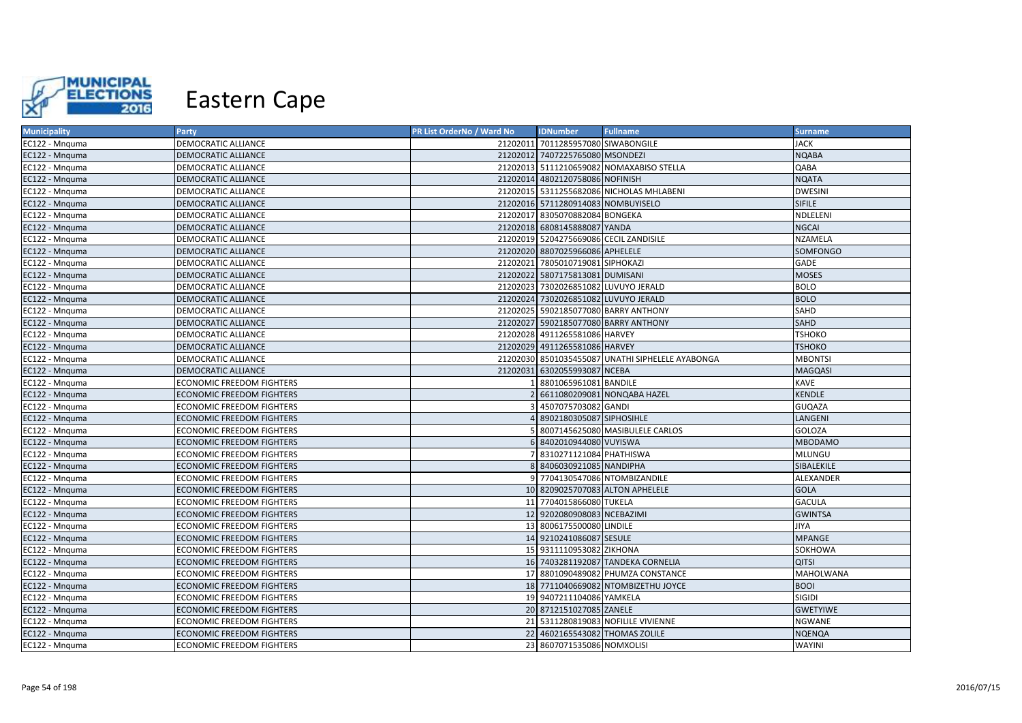

| <b>Municipality</b> | Party                            | PR List OrderNo / Ward No | <b>IDNumber</b>                        | <b>Fullname</b>                                  | <b>Surname</b>  |
|---------------------|----------------------------------|---------------------------|----------------------------------------|--------------------------------------------------|-----------------|
| EC122 - Mnquma      | DEMOCRATIC ALLIANCE              |                           | 21202011 7011285957080 SIWABONGILE     |                                                  | <b>JACK</b>     |
| EC122 - Mnquma      | DEMOCRATIC ALLIANCE              |                           | 21202012 7407225765080 MSONDEZI        |                                                  | <b>NQABA</b>    |
| EC122 - Mnquma      | DEMOCRATIC ALLIANCE              |                           |                                        | 21202013 5111210659082 NOMAXABISO STELLA         | QABA            |
| EC122 - Mnquma      | DEMOCRATIC ALLIANCE              |                           | 21202014 4802120758086 NOFINISH        |                                                  | <b>NQATA</b>    |
| EC122 - Mnguma      | DEMOCRATIC ALLIANCE              |                           |                                        | 21202015 5311255682086 NICHOLAS MHLABENI         | <b>DWESINI</b>  |
| EC122 - Mnquma      | DEMOCRATIC ALLIANCE              |                           | 21202016 5711280914083 NOMBUYISELO     |                                                  | <b>SIFILE</b>   |
| EC122 - Mnquma      | DEMOCRATIC ALLIANCE              |                           | 21202017 8305070882084 BONGEKA         |                                                  | NDLELENI        |
| EC122 - Mnquma      | DEMOCRATIC ALLIANCE              |                           | 21202018 6808145888087 YANDA           |                                                  | <b>NGCAI</b>    |
| EC122 - Mnguma      | DEMOCRATIC ALLIANCE              |                           | 21202019 5204275669086 CECIL ZANDISILE |                                                  | NZAMELA         |
| EC122 - Mnguma      | <b>DEMOCRATIC ALLIANCE</b>       |                           | 21202020 8807025966086 APHELELE        |                                                  | <b>SOMFONGO</b> |
| EC122 - Mnquma      | DEMOCRATIC ALLIANCE              |                           | 21202021 7805010719081 SIPHOKAZI       |                                                  | <b>GADE</b>     |
| EC122 - Mnguma      | <b>DEMOCRATIC ALLIANCE</b>       |                           | 21202022 5807175813081 DUMISANI        |                                                  | <b>MOSES</b>    |
| EC122 - Mnquma      | DEMOCRATIC ALLIANCE              |                           | 21202023 7302026851082 LUVUYO JERALD   |                                                  | <b>BOLO</b>     |
| EC122 - Mnquma      | <b>DEMOCRATIC ALLIANCE</b>       |                           | 21202024 7302026851082 LUVUYO JERALD   |                                                  | <b>BOLO</b>     |
| EC122 - Mnguma      | DEMOCRATIC ALLIANCE              |                           |                                        | 21202025 5902185077080 BARRY ANTHONY             | <b>SAHD</b>     |
| EC122 - Mnguma      | <b>DEMOCRATIC ALLIANCE</b>       |                           |                                        | 21202027 5902185077080 BARRY ANTHONY             | <b>SAHD</b>     |
| EC122 - Mnguma      | DEMOCRATIC ALLIANCE              |                           | 21202028 4911265581086 HARVEY          |                                                  | <b>TSHOKO</b>   |
| EC122 - Mnquma      | <b>DEMOCRATIC ALLIANCE</b>       |                           | 21202029 4911265581086 HARVEY          |                                                  | <b>TSHOKO</b>   |
| EC122 - Mnguma      | DEMOCRATIC ALLIANCE              |                           |                                        | 21202030 8501035455087 UNATHI SIPHELELE AYABONGA | <b>MBONTSI</b>  |
| EC122 - Mnquma      | <b>DEMOCRATIC ALLIANCE</b>       |                           | 21202031 6302055993087 NCEBA           |                                                  | <b>MAGQASI</b>  |
| EC122 - Mnquma      | <b>ECONOMIC FREEDOM FIGHTERS</b> |                           | 8801065961081 BANDILE                  |                                                  | KAVE            |
| EC122 - Mnquma      | <b>ECONOMIC FREEDOM FIGHTERS</b> |                           |                                        | 6611080209081 NONQABA HAZEL                      | <b>KENDLE</b>   |
| EC122 - Mnguma      | <b>ECONOMIC FREEDOM FIGHTERS</b> |                           | 4507075703082 GANDI                    |                                                  | GUQAZA          |
| EC122 - Mnquma      | <b>ECONOMIC FREEDOM FIGHTERS</b> |                           | 8902180305087 SIPHOSIHLE               |                                                  | LANGENI         |
| EC122 - Mnquma      | <b>ECONOMIC FREEDOM FIGHTERS</b> |                           |                                        | 8007145625080 MASIBULELE CARLOS                  | GOLOZA          |
| EC122 - Mnguma      | <b>ECONOMIC FREEDOM FIGHTERS</b> |                           | 6 8402010944080 VUYISWA                |                                                  | <b>MBODAMO</b>  |
| EC122 - Mnguma      | <b>ECONOMIC FREEDOM FIGHTERS</b> |                           | 8310271121084 PHATHISWA                |                                                  | <b>MLUNGU</b>   |
| EC122 - Mnquma      | <b>ECONOMIC FREEDOM FIGHTERS</b> |                           | 8 8406030921085 NANDIPHA               |                                                  | SIBALEKILE      |
| EC122 - Mnguma      | ECONOMIC FREEDOM FIGHTERS        |                           |                                        | 9 7704130547086 NTOMBIZANDILE                    | ALEXANDER       |
| EC122 - Mnquma      | <b>ECONOMIC FREEDOM FIGHTERS</b> |                           |                                        | 10 8209025707083 ALTON APHELELE                  | <b>GOLA</b>     |
| EC122 - Mnguma      | ECONOMIC FREEDOM FIGHTERS        |                           | 11 7704015866080 TUKELA                |                                                  | <b>GACULA</b>   |
| EC122 - Mnquma      | <b>ECONOMIC FREEDOM FIGHTERS</b> |                           | 12 9202080908083 NCEBAZIMI             |                                                  | <b>GWINTSA</b>  |
| EC122 - Mnguma      | <b>ECONOMIC FREEDOM FIGHTERS</b> |                           | 13 8006175500080 LINDILE               |                                                  | JIYA            |
| EC122 - Mnguma      | <b>ECONOMIC FREEDOM FIGHTERS</b> |                           | 14 9210241086087 SESULE                |                                                  | <b>MPANGE</b>   |
| EC122 - Mnquma      | <b>ECONOMIC FREEDOM FIGHTERS</b> |                           | 15 9311110953082 ZIKHONA               |                                                  | SOKHOWA         |
| EC122 - Mnguma      | <b>ECONOMIC FREEDOM FIGHTERS</b> |                           |                                        | 16 7403281192087 TANDEKA CORNELIA                | <b>QITSI</b>    |
| EC122 - Mnquma      | <b>ECONOMIC FREEDOM FIGHTERS</b> |                           |                                        | 17 8801090489082 PHUMZA CONSTANCE                | MAHOLWANA       |
| EC122 - Mnquma      | <b>ECONOMIC FREEDOM FIGHTERS</b> |                           |                                        | 18 7711040669082 NTOMBIZETHU JOYCE               | <b>BOOI</b>     |
| EC122 - Mnguma      | <b>ECONOMIC FREEDOM FIGHTERS</b> |                           | 19 9407211104086 YAMKELA               |                                                  | <b>SIGIDI</b>   |
| EC122 - Mnguma      | <b>ECONOMIC FREEDOM FIGHTERS</b> |                           | 20 8712151027085 ZANELE                |                                                  | <b>GWETYIWE</b> |
| EC122 - Mnquma      | <b>ECONOMIC FREEDOM FIGHTERS</b> |                           |                                        | 21 5311280819083 NOFILILE VIVIENNE               | NGWANE          |
| EC122 - Mnquma      | <b>ECONOMIC FREEDOM FIGHTERS</b> |                           | 22 4602165543082 THOMAS ZOLILE         |                                                  | <b>NQENQA</b>   |
| EC122 - Mnguma      | <b>ECONOMIC FREEDOM FIGHTERS</b> |                           | 23 8607071535086 NOMXOLISI             |                                                  | <b>WAYINI</b>   |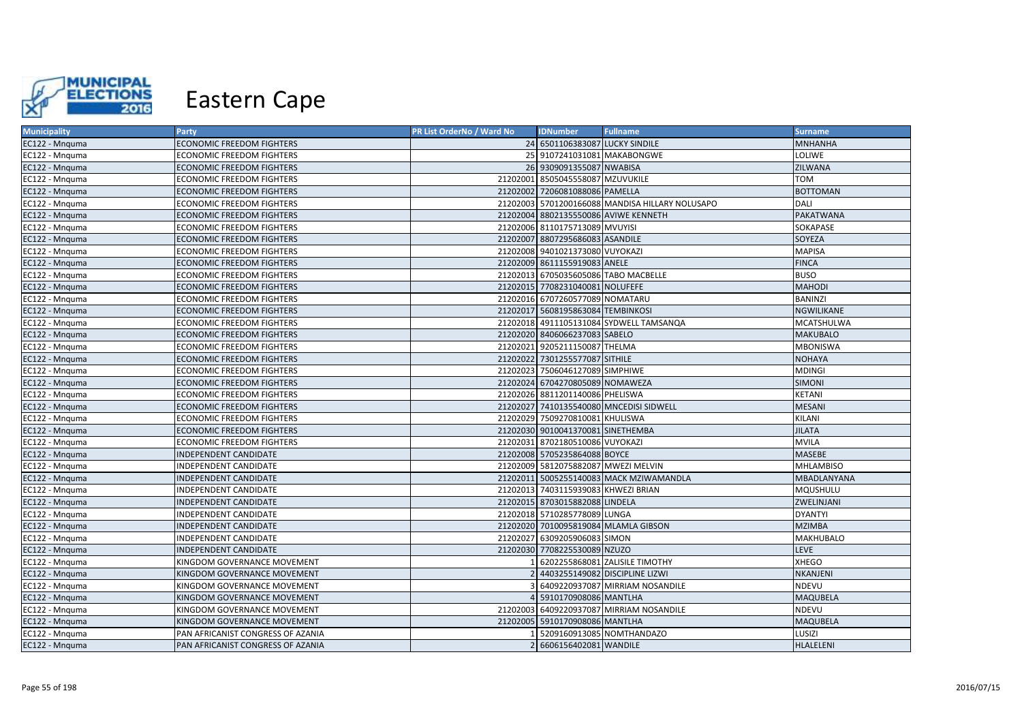

| <b>Municipality</b> | Party                             | PR List OrderNo / Ward No | <b>IDNumber</b>                      | <b>Fullname</b>                                 | <b>Surname</b>    |
|---------------------|-----------------------------------|---------------------------|--------------------------------------|-------------------------------------------------|-------------------|
| EC122 - Mnquma      | <b>ECONOMIC FREEDOM FIGHTERS</b>  |                           | 24 6501106383087 LUCKY SINDILE       |                                                 | <b>MNHANHA</b>    |
| EC122 - Mnguma      | <b>ECONOMIC FREEDOM FIGHTERS</b>  |                           | 25 9107241031081 MAKABONGWE          |                                                 | LOLIWE            |
| EC122 - Mnguma      | <b>ECONOMIC FREEDOM FIGHTERS</b>  |                           | 26 9309091355087 NWABISA             |                                                 | ZILWANA           |
| EC122 - Mnguma      | <b>ECONOMIC FREEDOM FIGHTERS</b>  |                           | 21202001 8505045558087 MZUVUKILE     |                                                 | <b>TOM</b>        |
| EC122 - Mnguma      | <b>ECONOMIC FREEDOM FIGHTERS</b>  |                           | 21202002 7206081088086 PAMELLA       |                                                 | <b>BOTTOMAN</b>   |
| EC122 - Mnquma      | <b>ECONOMIC FREEDOM FIGHTERS</b>  |                           |                                      | 21202003 5701200166088 MANDISA HILLARY NOLUSAPO | <b>DALI</b>       |
| EC122 - Mnguma      | <b>ECONOMIC FREEDOM FIGHTERS</b>  |                           |                                      | 21202004 8802135550086 AVIWE KENNETH            | <b>PAKATWANA</b>  |
| EC122 - Mnguma      | <b>ECONOMIC FREEDOM FIGHTERS</b>  |                           | 21202006 8110175713089 MVUYISI       |                                                 | SOKAPASE          |
| EC122 - Mnguma      | <b>ECONOMIC FREEDOM FIGHTERS</b>  |                           | 21202007 8807295686083 ASANDILE      |                                                 | SOYEZA            |
| EC122 - Mnguma      | <b>ECONOMIC FREEDOM FIGHTERS</b>  |                           | 21202008 9401021373080 VUYOKAZI      |                                                 | <b>MAPISA</b>     |
| EC122 - Mnquma      | <b>ECONOMIC FREEDOM FIGHTERS</b>  |                           | 21202009 8611155919083 ANELE         |                                                 | <b>FINCA</b>      |
| EC122 - Mnguma      | <b>ECONOMIC FREEDOM FIGHTERS</b>  |                           | 21202013 6705035605086 TABO MACBELLE |                                                 | <b>BUSO</b>       |
| EC122 - Mnquma      | <b>ECONOMIC FREEDOM FIGHTERS</b>  |                           | 21202015 7708231040081 NOLUFEFE      |                                                 | <b>MAHODI</b>     |
| EC122 - Mnguma      | <b>ECONOMIC FREEDOM FIGHTERS</b>  |                           | 21202016 6707260577089 NOMATARU      |                                                 | <b>BANINZI</b>    |
| EC122 - Mnguma      | <b>ECONOMIC FREEDOM FIGHTERS</b>  |                           | 21202017 5608195863084 TEMBINKOSI    |                                                 | <b>NGWILIKANE</b> |
| EC122 - Mnguma      | <b>ECONOMIC FREEDOM FIGHTERS</b>  |                           |                                      | 21202018 4911105131084 SYDWELL TAMSANQA         | MCATSHULWA        |
| EC122 - Mnguma      | <b>ECONOMIC FREEDOM FIGHTERS</b>  |                           | 21202020 8406066237083 SABELO        |                                                 | <b>MAKUBALO</b>   |
| EC122 - Mnguma      | <b>ECONOMIC FREEDOM FIGHTERS</b>  |                           | 21202021 9205211150087 THELMA        |                                                 | <b>MBONISWA</b>   |
| EC122 - Mnguma      | <b>ECONOMIC FREEDOM FIGHTERS</b>  |                           | 21202022 7301255577087 SITHILE       |                                                 | <b>NOHAYA</b>     |
| EC122 - Mnguma      | <b>ECONOMIC FREEDOM FIGHTERS</b>  |                           | 21202023 7506046127089 SIMPHIWE      |                                                 | <b>MDINGI</b>     |
| EC122 - Mnquma      | <b>ECONOMIC FREEDOM FIGHTERS</b>  |                           | 21202024 6704270805089 NOMAWEZA      |                                                 | <b>SIMONI</b>     |
| EC122 - Mnguma      | <b>ECONOMIC FREEDOM FIGHTERS</b>  |                           | 21202026 8811201140086 PHELISWA      |                                                 | <b>KETANI</b>     |
| EC122 - Mnguma      | <b>ECONOMIC FREEDOM FIGHTERS</b>  |                           |                                      | 21202027 7410135540080 MNCEDISI SIDWELL         | <b>MESANI</b>     |
| EC122 - Mnquma      | <b>ECONOMIC FREEDOM FIGHTERS</b>  |                           | 21202029 7509270810081 KHULISWA      |                                                 | KILANI            |
| EC122 - Mnguma      | <b>ECONOMIC FREEDOM FIGHTERS</b>  |                           | 21202030 9010041370081 SINETHEMBA    |                                                 | <b>JILATA</b>     |
| EC122 - Mnguma      | <b>ECONOMIC FREEDOM FIGHTERS</b>  |                           | 21202031 8702180510086 VUYOKAZI      |                                                 | <b>MVILA</b>      |
| EC122 - Mnguma      | INDEPENDENT CANDIDATE             |                           | 21202008 5705235864088 BOYCE         |                                                 | <b>MASEBE</b>     |
| EC122 - Mnguma      | INDEPENDENT CANDIDATE             |                           | 21202009 5812075882087 MWEZI MELVIN  |                                                 | <b>MHLAMBISO</b>  |
| EC122 - Mnguma      | INDEPENDENT CANDIDATE             |                           |                                      | 21202011 5005255140083 MACK MZIWAMANDLA         | MBADLANYANA       |
| EC122 - Mnquma      | INDEPENDENT CANDIDATE             |                           | 21202013 7403115939083 KHWEZI BRIAN  |                                                 | MQUSHULU          |
| EC122 - Mnquma      | INDEPENDENT CANDIDATE             |                           | 21202015 8703015882088 LINDELA       |                                                 | ZWELINJANI        |
| EC122 - Mnguma      | INDEPENDENT CANDIDATE             |                           | 21202018 5710285778089 LUNGA         |                                                 | DYANTYI           |
| EC122 - Mnquma      | INDEPENDENT CANDIDATE             |                           |                                      | 21202020 7010095819084 MLAMLA GIBSON            | <b>MZIMBA</b>     |
| EC122 - Mnguma      | INDEPENDENT CANDIDATE             |                           | 21202027 6309205906083 SIMON         |                                                 | <b>MAKHUBALO</b>  |
| EC122 - Mnquma      | INDEPENDENT CANDIDATE             |                           | 21202030 7708225530089 NZUZO         |                                                 | <b>LEVE</b>       |
| EC122 - Mnguma      | KINGDOM GOVERNANCE MOVEMENT       |                           |                                      | 6202255868081 ZALISILE TIMOTHY                  | <b>XHEGO</b>      |
| EC122 - Mnquma      | KINGDOM GOVERNANCE MOVEMENT       |                           |                                      | 2 4403255149082 DISCIPLINE LIZWI                | NKANJENI          |
| EC122 - Mnguma      | KINGDOM GOVERNANCE MOVEMENT       |                           |                                      | 6409220937087 MIRRIAM NOSANDILE                 | NDEVU             |
| EC122 - Mnguma      | KINGDOM GOVERNANCE MOVEMENT       |                           | 4 5910170908086 MANTLHA              |                                                 | MAQUBELA          |
| EC122 - Mnguma      | KINGDOM GOVERNANCE MOVEMENT       |                           |                                      | 21202003 6409220937087 MIRRIAM NOSANDILE        | NDEVU             |
| EC122 - Mnguma      | KINGDOM GOVERNANCE MOVEMENT       |                           | 21202005 5910170908086 MANTLHA       |                                                 | <b>MAQUBELA</b>   |
| EC122 - Mnguma      | PAN AFRICANIST CONGRESS OF AZANIA |                           |                                      | 5209160913085 NOMTHANDAZO                       | LUSIZI            |
| EC122 - Mnguma      | PAN AFRICANIST CONGRESS OF AZANIA |                           | 2 6606156402081 WANDILE              |                                                 | <b>HLALELENI</b>  |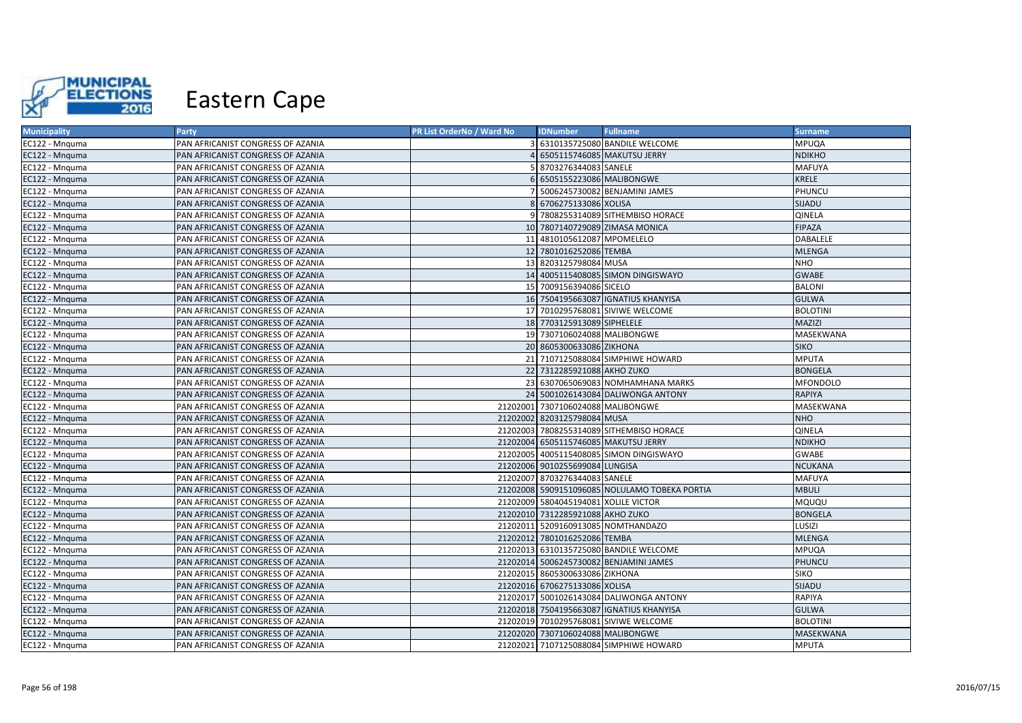

| <b>Municipality</b> | Party                             | PR List OrderNo / Ward No | <b>IDNumber</b>                      | <b>Fullname</b>                               | <b>Surname</b>  |
|---------------------|-----------------------------------|---------------------------|--------------------------------------|-----------------------------------------------|-----------------|
| EC122 - Mnguma      | PAN AFRICANIST CONGRESS OF AZANIA |                           |                                      | 3 6310135725080 BANDILE WELCOME               | <b>MPUQA</b>    |
| EC122 - Mnquma      | PAN AFRICANIST CONGRESS OF AZANIA |                           |                                      | 6505115746085 MAKUTSU JERRY                   | <b>NDIKHO</b>   |
| EC122 - Mnquma      | PAN AFRICANIST CONGRESS OF AZANIA |                           | 5 8703276344083 SANELE               |                                               | MAFUYA          |
| EC122 - Mnguma      | PAN AFRICANIST CONGRESS OF AZANIA |                           | 6 6505155223086 MALIBONGWE           |                                               | <b>KRELE</b>    |
| EC122 - Mnguma      | PAN AFRICANIST CONGRESS OF AZANIA |                           |                                      | 5006245730082 BENJAMINI JAMES                 | PHUNCU          |
| EC122 - Mnguma      | PAN AFRICANIST CONGRESS OF AZANIA |                           | 8 6706275133086 XOLISA               |                                               | SIJADU          |
| EC122 - Mnguma      | PAN AFRICANIST CONGRESS OF AZANIA |                           |                                      | 9 7808255314089 SITHEMBISO HORACE             | QINELA          |
| EC122 - Mnquma      | PAN AFRICANIST CONGRESS OF AZANIA |                           |                                      | 10 7807140729089 ZIMASA MONICA                | <b>FIPAZA</b>   |
| EC122 - Mnquma      | PAN AFRICANIST CONGRESS OF AZANIA |                           | 11 4810105612087 MPOMELELO           |                                               | DABALELE        |
| EC122 - Mnquma      | PAN AFRICANIST CONGRESS OF AZANIA |                           | 12 7801016252086 TEMBA               |                                               | <b>MLENGA</b>   |
| EC122 - Mnquma      | PAN AFRICANIST CONGRESS OF AZANIA |                           | 13 8203125798084 MUSA                |                                               | <b>NHO</b>      |
| EC122 - Mnguma      | PAN AFRICANIST CONGRESS OF AZANIA |                           |                                      | 14 4005115408085 SIMON DINGISWAYO             | <b>GWABE</b>    |
| EC122 - Mnquma      | PAN AFRICANIST CONGRESS OF AZANIA |                           | 15 7009156394086 SICELO              |                                               | <b>BALONI</b>   |
| EC122 - Mnguma      | PAN AFRICANIST CONGRESS OF AZANIA |                           |                                      | 16 7504195663087 IGNATIUS KHANYISA            | <b>GULWA</b>    |
| EC122 - Mnguma      | PAN AFRICANIST CONGRESS OF AZANIA |                           |                                      | 17 7010295768081 SIVIWE WELCOME               | <b>BOLOTINI</b> |
| EC122 - Mnquma      | PAN AFRICANIST CONGRESS OF AZANIA |                           | 18 7703125913089 SIPHELELE           |                                               | MAZIZI          |
| EC122 - Mnquma      | PAN AFRICANIST CONGRESS OF AZANIA |                           | 19 7307106024088 MALIBONGWE          |                                               | MASEKWANA       |
| EC122 - Mnquma      | PAN AFRICANIST CONGRESS OF AZANIA |                           | 20 8605300633086 ZIKHONA             |                                               | <b>SIKO</b>     |
| EC122 - Mnguma      | PAN AFRICANIST CONGRESS OF AZANIA |                           |                                      | 21 7107125088084 SIMPHIWE HOWARD              | <b>MPUTA</b>    |
| EC122 - Mnquma      | PAN AFRICANIST CONGRESS OF AZANIA |                           | 22 7312285921088 AKHO ZUKO           |                                               | <b>BONGELA</b>  |
| EC122 - Mnquma      | PAN AFRICANIST CONGRESS OF AZANIA |                           |                                      | 23 6307065069083 NOMHAMHANA MARKS             | <b>MFONDOLO</b> |
| EC122 - Mnguma      | PAN AFRICANIST CONGRESS OF AZANIA |                           |                                      | 24 5001026143084 DALIWONGA ANTONY             | <b>RAPIYA</b>   |
| EC122 - Mnguma      | PAN AFRICANIST CONGRESS OF AZANIA |                           | 21202001 7307106024088 MALIBONGWE    |                                               | MASEKWANA       |
| EC122 - Mnguma      | PAN AFRICANIST CONGRESS OF AZANIA |                           | 21202002 8203125798084 MUSA          |                                               | <b>NHO</b>      |
| EC122 - Mnquma      | PAN AFRICANIST CONGRESS OF AZANIA |                           |                                      | 21202003 7808255314089 SITHEMBISO HORACE      | QINELA          |
| EC122 - Mnquma      | PAN AFRICANIST CONGRESS OF AZANIA |                           |                                      | 21202004 6505115746085 MAKUTSU JERRY          | <b>NDIKHO</b>   |
| EC122 - Mnquma      | PAN AFRICANIST CONGRESS OF AZANIA |                           |                                      | 21202005 4005115408085 SIMON DINGISWAYO       | <b>GWABE</b>    |
| EC122 - Mnquma      | PAN AFRICANIST CONGRESS OF AZANIA |                           | 21202006 9010255699084 LUNGISA       |                                               | <b>NCUKANA</b>  |
| EC122 - Mnguma      | PAN AFRICANIST CONGRESS OF AZANIA |                           | 21202007 8703276344083 SANELE        |                                               | MAFUYA          |
| EC122 - Mnquma      | PAN AFRICANIST CONGRESS OF AZANIA |                           |                                      | 21202008 5909151096085 NOLULAMO TOBEKA PORTIA | <b>MBULI</b>    |
| EC122 - Mnquma      | PAN AFRICANIST CONGRESS OF AZANIA |                           | 21202009 5804045194081 XOLILE VICTOR |                                               | MQUQU           |
| EC122 - Mnquma      | PAN AFRICANIST CONGRESS OF AZANIA |                           | 21202010 7312285921088 AKHO ZUKO     |                                               | <b>BONGELA</b>  |
| EC122 - Mnguma      | PAN AFRICANIST CONGRESS OF AZANIA |                           |                                      | 21202011 5209160913085 NOMTHANDAZO            | LUSIZI          |
| EC122 - Mnguma      | PAN AFRICANIST CONGRESS OF AZANIA |                           | 21202012 7801016252086 TEMBA         |                                               | <b>MLENGA</b>   |
| EC122 - Mnquma      | PAN AFRICANIST CONGRESS OF AZANIA |                           |                                      | 21202013 6310135725080 BANDILE WELCOME        | MPUQA           |
| EC122 - Mnguma      | PAN AFRICANIST CONGRESS OF AZANIA |                           |                                      | 21202014 5006245730082 BENJAMINI JAMES        | PHUNCU          |
| EC122 - Mnquma      | PAN AFRICANIST CONGRESS OF AZANIA |                           | 21202015 8605300633086 ZIKHONA       |                                               | <b>SIKO</b>     |
| EC122 - Mnquma      | PAN AFRICANIST CONGRESS OF AZANIA |                           | 21202016 6706275133086 XOLISA        |                                               | SIJADU          |
| EC122 - Mnguma      | PAN AFRICANIST CONGRESS OF AZANIA |                           |                                      | 21202017 5001026143084 DALIWONGA ANTONY       | RAPIYA          |
| EC122 - Mnquma      | PAN AFRICANIST CONGRESS OF AZANIA |                           |                                      | 21202018 7504195663087 IGNATIUS KHANYISA      | <b>GULWA</b>    |
| EC122 - Mnquma      | PAN AFRICANIST CONGRESS OF AZANIA |                           |                                      | 21202019 7010295768081 SIVIWE WELCOME         | <b>BOLOTINI</b> |
| EC122 - Mnquma      | PAN AFRICANIST CONGRESS OF AZANIA |                           | 21202020 7307106024088 MALIBONGWE    |                                               | MASEKWANA       |
| EC122 - Mnquma      | PAN AFRICANIST CONGRESS OF AZANIA |                           |                                      | 21202021 7107125088084 SIMPHIWE HOWARD        | <b>MPUTA</b>    |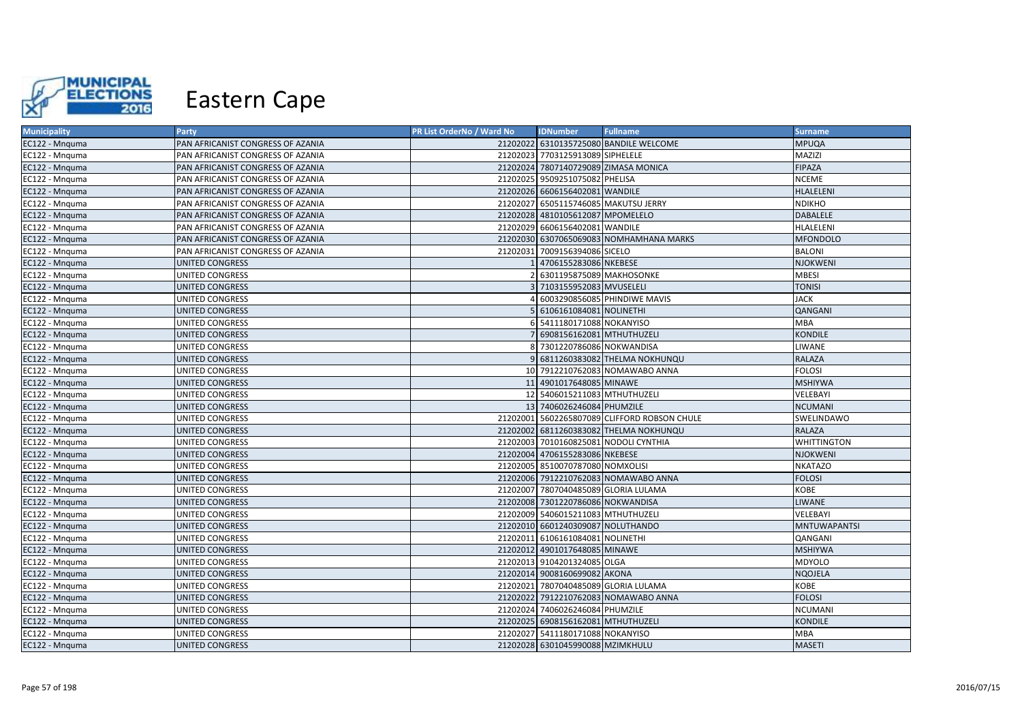

| <b>Municipality</b> | Party                             | PR List OrderNo / Ward No | <b>IDNumber</b>                      | <b>Fullname</b>                              | <b>Surname</b>      |
|---------------------|-----------------------------------|---------------------------|--------------------------------------|----------------------------------------------|---------------------|
| EC122 - Mnguma      | PAN AFRICANIST CONGRESS OF AZANIA |                           |                                      | 21202022 6310135725080 BANDILE WELCOME       | <b>MPUQA</b>        |
| EC122 - Mnguma      | PAN AFRICANIST CONGRESS OF AZANIA |                           | 21202023 7703125913089 SIPHELELE     |                                              | MAZIZI              |
| EC122 - Mnquma      | PAN AFRICANIST CONGRESS OF AZANIA |                           |                                      | 21202024 7807140729089 ZIMASA MONICA         | <b>FIPAZA</b>       |
| EC122 - Mnguma      | PAN AFRICANIST CONGRESS OF AZANIA |                           | 21202025 9509251075082 PHELISA       |                                              | <b>NCEME</b>        |
| EC122 - Mnguma      | PAN AFRICANIST CONGRESS OF AZANIA |                           | 21202026 6606156402081 WANDILE       |                                              | <b>HLALELENI</b>    |
| EC122 - Mnquma      | PAN AFRICANIST CONGRESS OF AZANIA |                           | 21202027 6505115746085 MAKUTSU JERRY |                                              | <b>NDIKHO</b>       |
| EC122 - Mnquma      | PAN AFRICANIST CONGRESS OF AZANIA |                           | 21202028 4810105612087 MPOMELELO     |                                              | DABALELE            |
| EC122 - Mnguma      | PAN AFRICANIST CONGRESS OF AZANIA |                           | 21202029 6606156402081 WANDILE       |                                              | HLALELENI           |
| EC122 - Mnguma      | PAN AFRICANIST CONGRESS OF AZANIA |                           |                                      | 21202030 6307065069083 NOMHAMHANA MARKS      | <b>MFONDOLO</b>     |
| EC122 - Mnquma      | PAN AFRICANIST CONGRESS OF AZANIA |                           | 21202031 7009156394086 SICELO        |                                              | <b>BALONI</b>       |
| EC122 - Mnguma      | UNITED CONGRESS                   |                           | 1 4706155283086 NKEBESE              |                                              | <b>NJOKWENI</b>     |
| EC122 - Mnguma      | UNITED CONGRESS                   |                           | 6301195875089 MAKHOSONKE             |                                              | <b>MBESI</b>        |
| EC122 - Mnguma      | UNITED CONGRESS                   |                           | 3 7103155952083 MVUSELELI            |                                              | <b>TONISI</b>       |
| EC122 - Mnguma      | <b>UNITED CONGRESS</b>            |                           |                                      | 6003290856085 PHINDIWE MAVIS                 | <b>JACK</b>         |
| EC122 - Mnguma      | UNITED CONGRESS                   |                           | 6106161084081 NOLINETHI              |                                              | QANGANI             |
| EC122 - Mnguma      | UNITED CONGRESS                   |                           | 6 5411180171088 NOKANYISO            |                                              | <b>MBA</b>          |
| EC122 - Mnguma      | <b>UNITED CONGRESS</b>            |                           | 7 6908156162081 MTHUTHUZELI          |                                              | <b>KONDILE</b>      |
| EC122 - Mnguma      | <b>UNITED CONGRESS</b>            |                           | 8 7301220786086 NOKWANDISA           |                                              | LIWANE              |
| EC122 - Mnguma      | UNITED CONGRESS                   |                           |                                      | 9 6811260383082 THELMA NOKHUNQU              | <b>RALAZA</b>       |
| EC122 - Mnguma      | UNITED CONGRESS                   |                           |                                      | 10 7912210762083 NOMAWABO ANNA               | <b>FOLOSI</b>       |
| EC122 - Mnguma      | <b>UNITED CONGRESS</b>            |                           | 11 4901017648085 MINAWE              |                                              | <b>MSHIYWA</b>      |
| EC122 - Mnguma      | UNITED CONGRESS                   |                           | 12 5406015211083 MTHUTHUZELI         |                                              | VELEBAYI            |
| EC122 - Mnquma      | UNITED CONGRESS                   |                           | 13 7406026246084 PHUMZILE            |                                              | <b>NCUMANI</b>      |
| EC122 - Mnguma      | UNITED CONGRESS                   |                           |                                      | 21202001 5602265807089 CLIFFORD ROBSON CHULE | SWELINDAWO          |
| EC122 - Mnguma      | <b>UNITED CONGRESS</b>            |                           |                                      | 21202002 6811260383082 THELMA NOKHUNQU       | <b>RALAZA</b>       |
| EC122 - Mnguma      | UNITED CONGRESS                   |                           |                                      | 21202003 7010160825081 NODOLI CYNTHIA        | <b>WHITTINGTON</b>  |
| EC122 - Mnguma      | <b>UNITED CONGRESS</b>            |                           | 21202004 4706155283086 NKEBESE       |                                              | <b>NJOKWENI</b>     |
| EC122 - Mnguma      | <b>UNITED CONGRESS</b>            |                           | 21202005 8510070787080 NOMXOLISI     |                                              | <b>NKATAZO</b>      |
| EC122 - Mnguma      | <b>UNITED CONGRESS</b>            |                           |                                      | 21202006 7912210762083 NOMAWABO ANNA         | <b>FOLOSI</b>       |
| EC122 - Mnquma      | UNITED CONGRESS                   |                           | 21202007 7807040485089 GLORIA LULAMA |                                              | KOBE                |
| EC122 - Mnguma      | <b>UNITED CONGRESS</b>            |                           | 21202008 7301220786086 NOKWANDISA    |                                              | <b>LIWANE</b>       |
| EC122 - Mnguma      | UNITED CONGRESS                   |                           | 21202009 5406015211083 MTHUTHUZELI   |                                              | VELEBAYI            |
| EC122 - Mnquma      | <b>UNITED CONGRESS</b>            |                           | 21202010 6601240309087 NOLUTHANDO    |                                              | <b>MNTUWAPANTSI</b> |
| EC122 - Mnguma      | <b>UNITED CONGRESS</b>            |                           | 21202011 6106161084081 NOLINETHI     |                                              | QANGANI             |
| EC122 - Mnquma      | <b>UNITED CONGRESS</b>            |                           | 21202012 4901017648085 MINAWE        |                                              | <b>MSHIYWA</b>      |
| EC122 - Mnguma      | UNITED CONGRESS                   |                           | 21202013 9104201324085 OLGA          |                                              | MDYOLO              |
| EC122 - Mnguma      | UNITED CONGRESS                   |                           | 21202014 9008160699082 AKONA         |                                              | <b>NQOJELA</b>      |
| EC122 - Mnquma      | UNITED CONGRESS                   |                           | 21202021 7807040485089 GLORIA LULAMA |                                              | KOBE                |
| EC122 - Mnguma      | UNITED CONGRESS                   |                           |                                      | 21202022 7912210762083 NOMAWABO ANNA         | <b>FOLOSI</b>       |
| EC122 - Mnguma      | UNITED CONGRESS                   |                           | 21202024 7406026246084 PHUMZILE      |                                              | NCUMANI             |
| EC122 - Mnguma      | <b>UNITED CONGRESS</b>            |                           | 21202025 6908156162081 MTHUTHUZELI   |                                              | <b>KONDILE</b>      |
| EC122 - Mnguma      | UNITED CONGRESS                   |                           | 21202027 5411180171088 NOKANYISO     |                                              | <b>MBA</b>          |
| EC122 - Mnguma      | <b>UNITED CONGRESS</b>            |                           | 21202028 6301045990088 MZIMKHULU     |                                              | <b>MASETI</b>       |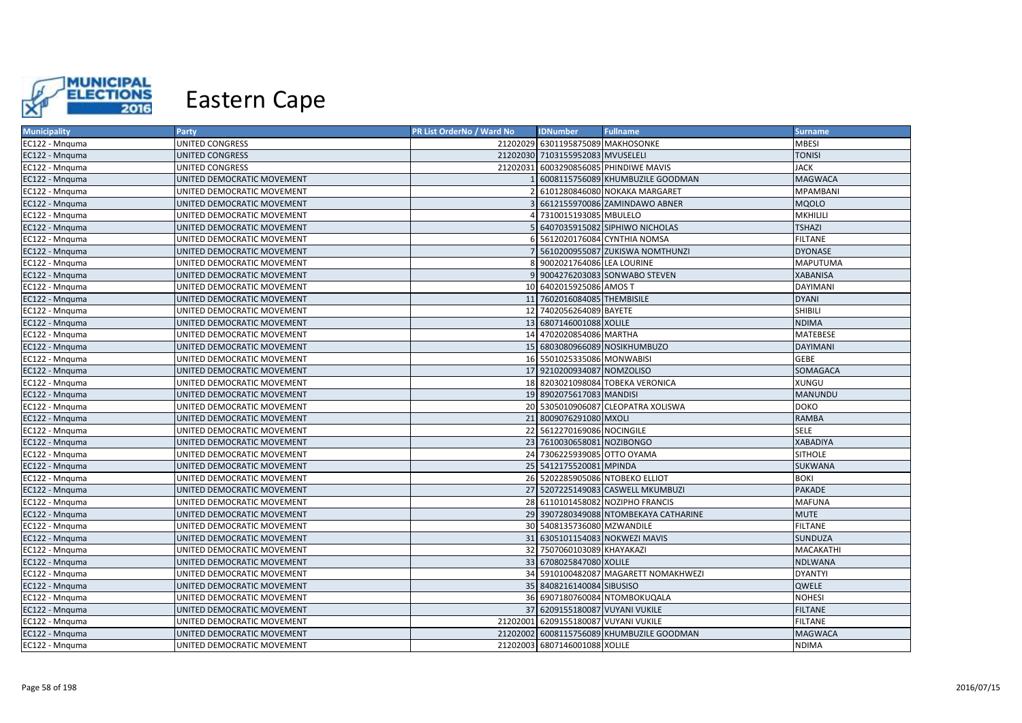

| <b>Municipality</b> | Party                      | PR List OrderNo / Ward No | <b>IDNumber</b>                      | <b>Fullname</b>                           | <b>Surname</b>   |
|---------------------|----------------------------|---------------------------|--------------------------------------|-------------------------------------------|------------------|
| EC122 - Mnguma      | UNITED CONGRESS            |                           | 21202029 6301195875089 MAKHOSONKE    |                                           | <b>MBESI</b>     |
| EC122 - Mnquma      | <b>UNITED CONGRESS</b>     |                           | 21202030 7103155952083 MVUSELELI     |                                           | <b>TONISI</b>    |
| EC122 - Mnguma      | UNITED CONGRESS            | 21202031                  |                                      | 6003290856085 PHINDIWE MAVIS              | <b>JACK</b>      |
| EC122 - Mnquma      | UNITED DEMOCRATIC MOVEMENT |                           |                                      | 6008115756089 KHUMBUZILE GOODMAN          | <b>MAGWACA</b>   |
| EC122 - Mnguma      | UNITED DEMOCRATIC MOVEMENT |                           |                                      | 6101280846080 NOKAKA MARGARET             | <b>MPAMBANI</b>  |
| EC122 - Mnquma      | UNITED DEMOCRATIC MOVEMENT |                           |                                      | 6612155970086 ZAMINDAWO ABNER             | <b>MQOLO</b>     |
| EC122 - Mnquma      | UNITED DEMOCRATIC MOVEMENT |                           | 7310015193085 MBULELO                |                                           | MKHILILI         |
| EC122 - Mnguma      | UNITED DEMOCRATIC MOVEMENT |                           |                                      | 6407035915082 SIPHIWO NICHOLAS            | <b>TSHAZI</b>    |
| EC122 - Mnquma      | UNITED DEMOCRATIC MOVEMENT |                           |                                      | 5612020176084 CYNTHIA NOMSA               | <b>FILTANE</b>   |
| EC122 - Mnguma      | UNITED DEMOCRATIC MOVEMENT |                           |                                      | 5610200955087 ZUKISWA NOMTHUNZI           | <b>DYONASE</b>   |
| EC122 - Mnquma      | UNITED DEMOCRATIC MOVEMENT |                           | 9002021764086 LEA LOURINE            |                                           | <b>MAPUTUMA</b>  |
| EC122 - Mnquma      | UNITED DEMOCRATIC MOVEMENT |                           |                                      | 9004276203083 SONWABO STEVEN              | <b>XABANISA</b>  |
| EC122 - Mnguma      | UNITED DEMOCRATIC MOVEMENT |                           | 10 6402015925086 AMOS T              |                                           | <b>DAYIMANI</b>  |
| EC122 - Mnquma      | UNITED DEMOCRATIC MOVEMENT |                           | 11 7602016084085 THEMBISILE          |                                           | <b>DYANI</b>     |
| EC122 - Mnguma      | UNITED DEMOCRATIC MOVEMENT |                           | 12 7402056264089 BAYETE              |                                           | <b>SHIBILI</b>   |
| EC122 - Mnquma      | UNITED DEMOCRATIC MOVEMENT |                           | 13 6807146001088 XOLILE              |                                           | <b>NDIMA</b>     |
| EC122 - Mnguma      | UNITED DEMOCRATIC MOVEMENT |                           | 14 4702020854086 MARTHA              |                                           | <b>MATEBESE</b>  |
| EC122 - Mnquma      | UNITED DEMOCRATIC MOVEMENT |                           |                                      | 15 6803080966089 NOSIKHUMBUZO             | <b>DAYIMANI</b>  |
| EC122 - Mnguma      | UNITED DEMOCRATIC MOVEMENT |                           | 16 5501025335086 MONWABISI           |                                           | <b>GEBE</b>      |
| EC122 - Mnquma      | UNITED DEMOCRATIC MOVEMENT |                           | 17 9210200934087 NOMZOLISO           |                                           | SOMAGACA         |
| EC122 - Mnquma      | UNITED DEMOCRATIC MOVEMENT |                           |                                      | 18 8203021098084 TOBEKA VERONICA          | <b>XUNGU</b>     |
| EC122 - Mnguma      | UNITED DEMOCRATIC MOVEMENT |                           | 19 8902075617083 MANDISI             |                                           | <b>MANUNDU</b>   |
| EC122 - Mnquma      | UNITED DEMOCRATIC MOVEMENT |                           |                                      | 20 5305010906087 CLEOPATRA XOLISWA        | <b>DOKO</b>      |
| EC122 - Mnquma      | UNITED DEMOCRATIC MOVEMENT |                           | 21 8009076291080 MXOLI               |                                           | <b>RAMBA</b>     |
| EC122 - Mnquma      | UNITED DEMOCRATIC MOVEMENT |                           | 22 5612270169086 NOCINGILE           |                                           | <b>SELE</b>      |
| EC122 - Mnquma      | UNITED DEMOCRATIC MOVEMENT |                           | 23 7610030658081 NOZIBONGO           |                                           | <b>XABADIYA</b>  |
| EC122 - Mnquma      | UNITED DEMOCRATIC MOVEMENT |                           | 24 7306225939085 OTTO OYAMA          |                                           | <b>SITHOLE</b>   |
| EC122 - Mnquma      | UNITED DEMOCRATIC MOVEMENT |                           | 25 5412175520081 MPINDA              |                                           | SUKWANA          |
| EC122 - Mnguma      | UNITED DEMOCRATIC MOVEMENT |                           |                                      | 26 5202285905086 NTOBEKO ELLIOT           | <b>BOKI</b>      |
| EC122 - Mnquma      | UNITED DEMOCRATIC MOVEMENT |                           |                                      | 27 5207225149083 CASWELL MKUMBUZI         | <b>PAKADE</b>    |
| EC122 - Mnquma      | UNITED DEMOCRATIC MOVEMENT |                           |                                      | 28 6110101458082 NOZIPHO FRANCIS          | <b>MAFUNA</b>    |
| EC122 - Mnquma      | UNITED DEMOCRATIC MOVEMENT |                           |                                      | 29 3907280349088 NTOMBEKAYA CATHARINE     | <b>MUTE</b>      |
| EC122 - Mnquma      | UNITED DEMOCRATIC MOVEMENT |                           | 30 5408135736080 MZWANDILE           |                                           | <b>FILTANE</b>   |
| EC122 - Mnguma      | UNITED DEMOCRATIC MOVEMENT |                           |                                      | 31 6305101154083 NOKWEZI MAVIS            | <b>SUNDUZA</b>   |
| EC122 - Mnquma      | UNITED DEMOCRATIC MOVEMENT |                           | 32 7507060103089 KHAYAKAZI           |                                           | <b>MACAKATHI</b> |
| EC122 - Mnguma      | UNITED DEMOCRATIC MOVEMENT |                           | 33 6708025847080 XOLILE              |                                           | <b>NDLWANA</b>   |
| EC122 - Mnquma      | UNITED DEMOCRATIC MOVEMENT |                           |                                      | 34 5910100482087 MAGARETT NOMAKHWEZI      | <b>DYANTYI</b>   |
| EC122 - Mnguma      | UNITED DEMOCRATIC MOVEMENT |                           | 35 8408216140084 SIBUSISO            |                                           | QWELE            |
| EC122 - Mnguma      | UNITED DEMOCRATIC MOVEMENT |                           |                                      | 36 6907180760084 NTOMBOKUQALA             | <b>NOHESI</b>    |
| EC122 - Mnquma      | UNITED DEMOCRATIC MOVEMENT |                           | 37 6209155180087 VUYANI VUKILE       |                                           | <b>FILTANE</b>   |
| EC122 - Mnquma      | UNITED DEMOCRATIC MOVEMENT |                           | 21202001 6209155180087 VUYANI VUKILE |                                           | <b>FILTANE</b>   |
| EC122 - Mnquma      | UNITED DEMOCRATIC MOVEMENT |                           |                                      | 21202002 6008115756089 KHUMBUZILE GOODMAN | <b>MAGWACA</b>   |
| EC122 - Mnguma      | UNITED DEMOCRATIC MOVEMENT |                           | 21202003 6807146001088 XOLILE        |                                           | <b>NDIMA</b>     |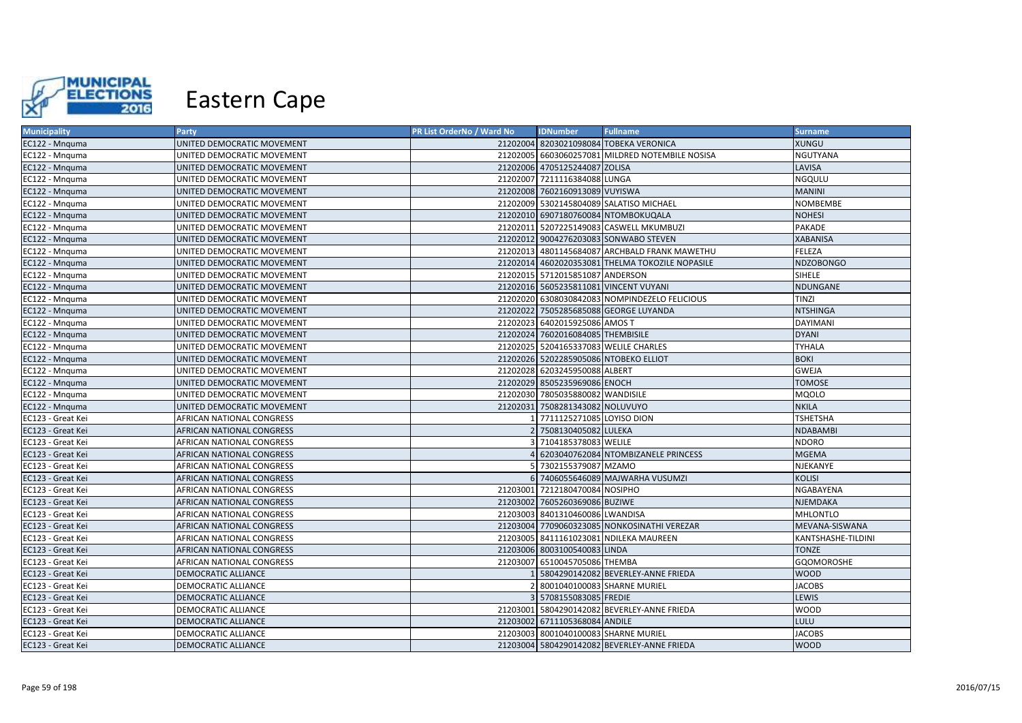

| <b>Municipality</b> | Party                      | PR List OrderNo / Ward No | <b>IDNumber</b>                       | <b>Fullname</b>                                 | <b>Surname</b>     |
|---------------------|----------------------------|---------------------------|---------------------------------------|-------------------------------------------------|--------------------|
| EC122 - Mnguma      | UNITED DEMOCRATIC MOVEMENT |                           |                                       | 21202004 8203021098084 TOBEKA VERONICA          | XUNGU              |
| EC122 - Mnguma      | UNITED DEMOCRATIC MOVEMENT |                           |                                       | 21202005 6603060257081 MILDRED NOTEMBILE NOSISA | NGUTYANA           |
| EC122 - Mnquma      | UNITED DEMOCRATIC MOVEMENT |                           | 21202006 4705125244087 ZOLISA         |                                                 | LAVISA             |
| EC122 - Mnguma      | UNITED DEMOCRATIC MOVEMENT |                           | 21202007 7211116384088 LUNGA          |                                                 | NGQULU             |
| EC122 - Mnquma      | UNITED DEMOCRATIC MOVEMENT |                           | 21202008 7602160913089 VUYISWA        |                                                 | <b>MANINI</b>      |
| EC122 - Mnguma      | UNITED DEMOCRATIC MOVEMENT |                           |                                       | 21202009 5302145804089 SALATISO MICHAEL         | NOMBEMBE           |
| EC122 - Mnquma      | UNITED DEMOCRATIC MOVEMENT |                           |                                       | 21202010 6907180760084 NTOMBOKUQALA             | <b>NOHESI</b>      |
| EC122 - Mnquma      | UNITED DEMOCRATIC MOVEMENT |                           |                                       | 21202011 5207225149083 CASWELL MKUMBUZI         | PAKADE             |
| EC122 - Mnquma      | UNITED DEMOCRATIC MOVEMENT |                           |                                       | 21202012 9004276203083 SONWABO STEVEN           | <b>XABANISA</b>    |
| EC122 - Mnguma      | UNITED DEMOCRATIC MOVEMENT |                           |                                       | 21202013 4801145684087 ARCHBALD FRANK MAWETHU   | FELEZA             |
| EC122 - Mnquma      | UNITED DEMOCRATIC MOVEMENT |                           |                                       | 21202014 4602020353081 THELMA TOKOZILE NOPASILE | <b>NDZOBONGO</b>   |
| EC122 - Mnguma      | UNITED DEMOCRATIC MOVEMENT |                           | 21202015 5712015851087 ANDERSON       |                                                 | SIHELE             |
| EC122 - Mnquma      | UNITED DEMOCRATIC MOVEMENT |                           |                                       | 21202016 5605235811081 VINCENT VUYANI           | NDUNGANE           |
| EC122 - Mnguma      | UNITED DEMOCRATIC MOVEMENT |                           |                                       | 21202020 6308030842083 NOMPINDEZELO FELICIOUS   | TINZI              |
| EC122 - Mnquma      | UNITED DEMOCRATIC MOVEMENT |                           |                                       | 21202022 7505285685088 GEORGE LUYANDA           | <b>NTSHINGA</b>    |
| EC122 - Mnquma      | UNITED DEMOCRATIC MOVEMENT |                           | 21202023 6402015925086 AMOS T         |                                                 | DAYIMANI           |
| EC122 - Mnquma      | UNITED DEMOCRATIC MOVEMENT |                           | 21202024 7602016084085 THEMBISILE     |                                                 | <b>DYANI</b>       |
| EC122 - Mnquma      | UNITED DEMOCRATIC MOVEMENT |                           | 21202025 5204165337083 WELILE CHARLES |                                                 | <b>TYHALA</b>      |
| EC122 - Mnguma      | UNITED DEMOCRATIC MOVEMENT |                           |                                       | 21202026 5202285905086 NTOBEKO ELLIOT           | <b>BOKI</b>        |
| EC122 - Mnguma      | UNITED DEMOCRATIC MOVEMENT |                           | 21202028 6203245950088 ALBERT         |                                                 | <b>GWEJA</b>       |
| EC122 - Mnguma      | UNITED DEMOCRATIC MOVEMENT |                           | 21202029 8505235969086 ENOCH          |                                                 | <b>TOMOSE</b>      |
| EC122 - Mnguma      | UNITED DEMOCRATIC MOVEMENT |                           | 21202030 7805035880082 WANDISILE      |                                                 | <b>MQOLO</b>       |
| EC122 - Mnquma      | UNITED DEMOCRATIC MOVEMENT |                           | 21202031 7508281343082 NOLUVUYO       |                                                 | <b>NKILA</b>       |
| EC123 - Great Kei   | AFRICAN NATIONAL CONGRESS  |                           | 1 7711125271085 LOYISO DION           |                                                 | <b>TSHETSHA</b>    |
| EC123 - Great Kei   | AFRICAN NATIONAL CONGRESS  |                           | 2 7508130405082 LULEKA                |                                                 | <b>NDABAMBI</b>    |
| EC123 - Great Kei   | AFRICAN NATIONAL CONGRESS  |                           | 3 7104185378083 WELILE                |                                                 | <b>NDORO</b>       |
| EC123 - Great Kei   | AFRICAN NATIONAL CONGRESS  |                           |                                       | 6203040762084 NTOMBIZANELE PRINCESS             | <b>MGEMA</b>       |
| EC123 - Great Kei   | AFRICAN NATIONAL CONGRESS  |                           | 5 7302155379087 MZAMO                 |                                                 | NJEKANYE           |
| EC123 - Great Kei   | AFRICAN NATIONAL CONGRESS  |                           |                                       | 6 7406055646089 MAJWARHA VUSUMZI                | <b>KOLISI</b>      |
| EC123 - Great Kei   | AFRICAN NATIONAL CONGRESS  |                           | 21203001 7212180470084 NOSIPHO        |                                                 | NGABAYENA          |
| EC123 - Great Kei   | AFRICAN NATIONAL CONGRESS  |                           | 21203002 7605260369086 BUZIWE         |                                                 | NJEMDAKA           |
| EC123 - Great Kei   | AFRICAN NATIONAL CONGRESS  |                           | 21203003 8401310460086 LWANDISA       |                                                 | MHLONTLO           |
| EC123 - Great Kei   | AFRICAN NATIONAL CONGRESS  |                           |                                       | 21203004 7709060323085 NONKOSINATHI VEREZAR     | MEVANA-SISWANA     |
| EC123 - Great Kei   | AFRICAN NATIONAL CONGRESS  |                           |                                       | 21203005 8411161023081 NDILEKA MAUREEN          | KANTSHASHE-TILDINI |
| EC123 - Great Kei   | AFRICAN NATIONAL CONGRESS  |                           | 21203006 8003100540083 LINDA          |                                                 | <b>TONZE</b>       |
| EC123 - Great Kei   | AFRICAN NATIONAL CONGRESS  |                           | 21203007 6510045705086 THEMBA         |                                                 | <b>GQOMOROSHE</b>  |
| EC123 - Great Kei   | DEMOCRATIC ALLIANCE        |                           |                                       | 1 5804290142082 BEVERLEY-ANNE FRIEDA            | <b>WOOD</b>        |
| EC123 - Great Kei   | DEMOCRATIC ALLIANCE        |                           | 2 8001040100083 SHARNE MURIEL         |                                                 | <b>JACOBS</b>      |
| EC123 - Great Kei   | DEMOCRATIC ALLIANCE        |                           | 3 5708155083085 FREDIE                |                                                 | <b>LEWIS</b>       |
| EC123 - Great Kei   | DEMOCRATIC ALLIANCE        |                           |                                       | 21203001 5804290142082 BEVERLEY-ANNE FRIEDA     | WOOD               |
| EC123 - Great Kei   | DEMOCRATIC ALLIANCE        |                           | 21203002 6711105368084 ANDILE         |                                                 | LULU               |
| EC123 - Great Kei   | DEMOCRATIC ALLIANCE        |                           | 21203003 8001040100083 SHARNE MURIEL  |                                                 | <b>JACOBS</b>      |
| EC123 - Great Kei   | <b>DEMOCRATIC ALLIANCE</b> |                           |                                       | 21203004 5804290142082 BEVERLEY-ANNE FRIEDA     | <b>WOOD</b>        |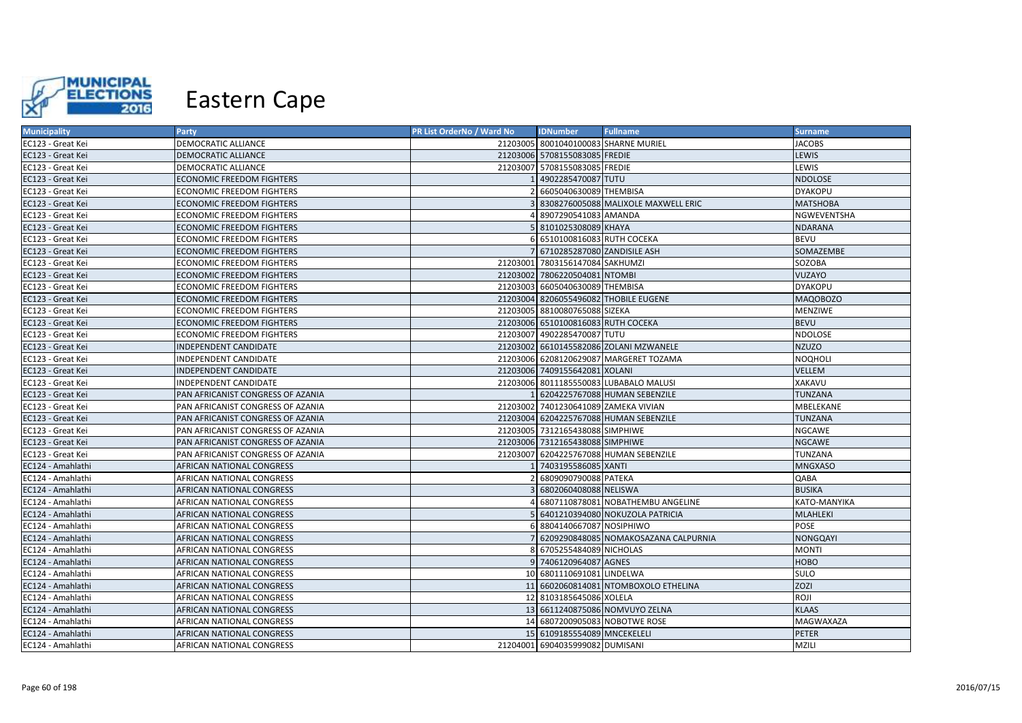

| <b>Municipality</b> | Party                             | PR List OrderNo / Ward No | <b>IDNumber</b>                      | <b>Fullname</b>                        | Surname         |
|---------------------|-----------------------------------|---------------------------|--------------------------------------|----------------------------------------|-----------------|
| EC123 - Great Kei   | DEMOCRATIC ALLIANCE               |                           |                                      | 21203005 8001040100083 SHARNE MURIEL   | <b>JACOBS</b>   |
| EC123 - Great Kei   | DEMOCRATIC ALLIANCE               |                           | 21203006 5708155083085 FREDIE        |                                        | LEWIS           |
| EC123 - Great Kei   | <b>DEMOCRATIC ALLIANCE</b>        |                           | 21203007 5708155083085 FREDIE        |                                        | LEWIS           |
| EC123 - Great Kei   | <b>ECONOMIC FREEDOM FIGHTERS</b>  |                           | 4902285470087 TUTU                   |                                        | <b>NDOLOSE</b>  |
| EC123 - Great Kei   | <b>ECONOMIC FREEDOM FIGHTERS</b>  |                           | 6605040630089 THEMBISA               |                                        | <b>DYAKOPU</b>  |
| EC123 - Great Kei   | <b>ECONOMIC FREEDOM FIGHTERS</b>  |                           |                                      | 8308276005088 MALIXOLE MAXWELL ERIC    | <b>MATSHOBA</b> |
| EC123 - Great Kei   | <b>ECONOMIC FREEDOM FIGHTERS</b>  |                           | 8907290541083 AMANDA                 |                                        | NGWEVENTSHA     |
| EC123 - Great Kei   | <b>ECONOMIC FREEDOM FIGHTERS</b>  |                           | 8101025308089 KHAYA                  |                                        | <b>NDARANA</b>  |
| EC123 - Great Kei   | <b>ECONOMIC FREEDOM FIGHTERS</b>  |                           | 6510100816083 RUTH COCEKA            |                                        | <b>BEVU</b>     |
| EC123 - Great Kei   | <b>ECONOMIC FREEDOM FIGHTERS</b>  |                           | 6710285287080 ZANDISILE ASH          |                                        | SOMAZEMBE       |
| EC123 - Great Kei   | <b>ECONOMIC FREEDOM FIGHTERS</b>  | 21203001                  | 7803156147084 SAKHUMZI               |                                        | SOZOBA          |
| EC123 - Great Kei   | <b>ECONOMIC FREEDOM FIGHTERS</b>  |                           | 21203002 7806220504081 NTOMBI        |                                        | VUZAYO          |
| EC123 - Great Kei   | <b>ECONOMIC FREEDOM FIGHTERS</b>  |                           | 21203003 6605040630089 THEMBISA      |                                        | <b>DYAKOPU</b>  |
| EC123 - Great Kei   | <b>ECONOMIC FREEDOM FIGHTERS</b>  |                           |                                      | 21203004 8206055496082 THOBILE EUGENE  | <b>MAQOBOZO</b> |
| EC123 - Great Kei   | <b>ECONOMIC FREEDOM FIGHTERS</b>  |                           | 21203005 8810080765088 SIZEKA        |                                        | <b>MENZIWE</b>  |
| EC123 - Great Kei   | <b>ECONOMIC FREEDOM FIGHTERS</b>  |                           | 21203006 6510100816083 RUTH COCEKA   |                                        | <b>BEVU</b>     |
| EC123 - Great Kei   | <b>ECONOMIC FREEDOM FIGHTERS</b>  |                           | 21203007 4902285470087 TUTU          |                                        | NDOLOSE         |
| EC123 - Great Kei   | INDEPENDENT CANDIDATE             |                           |                                      | 21203002 6610145582086 ZOLANI MZWANELE | <b>NZUZO</b>    |
| EC123 - Great Kei   | INDEPENDENT CANDIDATE             |                           |                                      | 21203006 6208120629087 MARGERET TOZAMA | NOQHOLI         |
| EC123 - Great Kei   | <b>INDEPENDENT CANDIDATE</b>      |                           | 21203006 7409155642081 XOLANI        |                                        | <b>VELLEM</b>   |
| EC123 - Great Kei   | INDEPENDENT CANDIDATE             | 21203006                  |                                      | 8011185550083 LUBABALO MALUSI          | XAKAVU          |
| EC123 - Great Kei   | PAN AFRICANIST CONGRESS OF AZANIA |                           |                                      | 6204225767088 HUMAN SEBENZILE          | <b>TUNZANA</b>  |
| EC123 - Great Kei   | PAN AFRICANIST CONGRESS OF AZANIA |                           | 21203002 7401230641089 ZAMEKA VIVIAN |                                        | MBELEKANE       |
| EC123 - Great Kei   | PAN AFRICANIST CONGRESS OF AZANIA |                           |                                      | 21203004 6204225767088 HUMAN SEBENZILE | <b>TUNZANA</b>  |
| EC123 - Great Kei   | PAN AFRICANIST CONGRESS OF AZANIA |                           | 21203005 7312165438088 SIMPHIWE      |                                        | <b>NGCAWE</b>   |
| EC123 - Great Kei   | PAN AFRICANIST CONGRESS OF AZANIA |                           | 21203006 7312165438088 SIMPHIWE      |                                        | <b>NGCAWE</b>   |
| EC123 - Great Kei   | PAN AFRICANIST CONGRESS OF AZANIA |                           |                                      | 21203007 6204225767088 HUMAN SEBENZILE | TUNZANA         |
| EC124 - Amahlathi   | <b>AFRICAN NATIONAL CONGRESS</b>  |                           | 7403195586085 XANTI                  |                                        | <b>MNGXASO</b>  |
| EC124 - Amahlathi   | AFRICAN NATIONAL CONGRESS         |                           | 6809090790088 PATEKA                 |                                        | QABA            |
| EC124 - Amahlathi   | <b>AFRICAN NATIONAL CONGRESS</b>  |                           | 6802060408088 NELISWA                |                                        | <b>BUSIKA</b>   |
| EC124 - Amahlathi   | AFRICAN NATIONAL CONGRESS         |                           |                                      | 6807110878081 NOBATHEMBU ANGELINE      | ΚΑΤΟ-ΜΑΝΥΙΚΑ    |
| EC124 - Amahlathi   | <b>AFRICAN NATIONAL CONGRESS</b>  |                           |                                      | 6401210394080 NOKUZOLA PATRICIA        | <b>MLAHLEKI</b> |
| EC124 - Amahlathi   | AFRICAN NATIONAL CONGRESS         |                           | 8804140667087 NOSIPHIWO              |                                        | POSE            |
| EC124 - Amahlathi   | <b>AFRICAN NATIONAL CONGRESS</b>  |                           |                                      | 6209290848085 NOMAKOSAZANA CALPURNIA   | <b>NONGQAYI</b> |
| EC124 - Amahlathi   | AFRICAN NATIONAL CONGRESS         |                           | 6705255484089 NICHOLAS               |                                        | <b>MONTI</b>    |
| EC124 - Amahlathi   | AFRICAN NATIONAL CONGRESS         |                           | 9 7406120964087 AGNES                |                                        | <b>HOBO</b>     |
| EC124 - Amahlathi   | AFRICAN NATIONAL CONGRESS         |                           | 10 6801110691081 LINDELWA            |                                        | <b>SULO</b>     |
| EC124 - Amahlathi   | AFRICAN NATIONAL CONGRESS         |                           |                                      | 11 6602060814081 NTOMBOXOLO ETHELINA   | <b>ZOZI</b>     |
| EC124 - Amahlathi   | AFRICAN NATIONAL CONGRESS         |                           | 12 8103185645086 XOLELA              |                                        | ROJI            |
| EC124 - Amahlathi   | AFRICAN NATIONAL CONGRESS         |                           |                                      | 13 6611240875086 NOMVUYO ZELNA         | <b>KLAAS</b>    |
| EC124 - Amahlathi   | <b>AFRICAN NATIONAL CONGRESS</b>  |                           |                                      | 14 6807200905083 NOBOTWE ROSE          | MAGWAXAZA       |
| EC124 - Amahlathi   | <b>AFRICAN NATIONAL CONGRESS</b>  |                           | 15 6109185554089 MNCEKELELI          |                                        | <b>PETER</b>    |
| EC124 - Amahlathi   | <b>AFRICAN NATIONAL CONGRESS</b>  |                           | 21204001 6904035999082 DUMISANI      |                                        | MZILI           |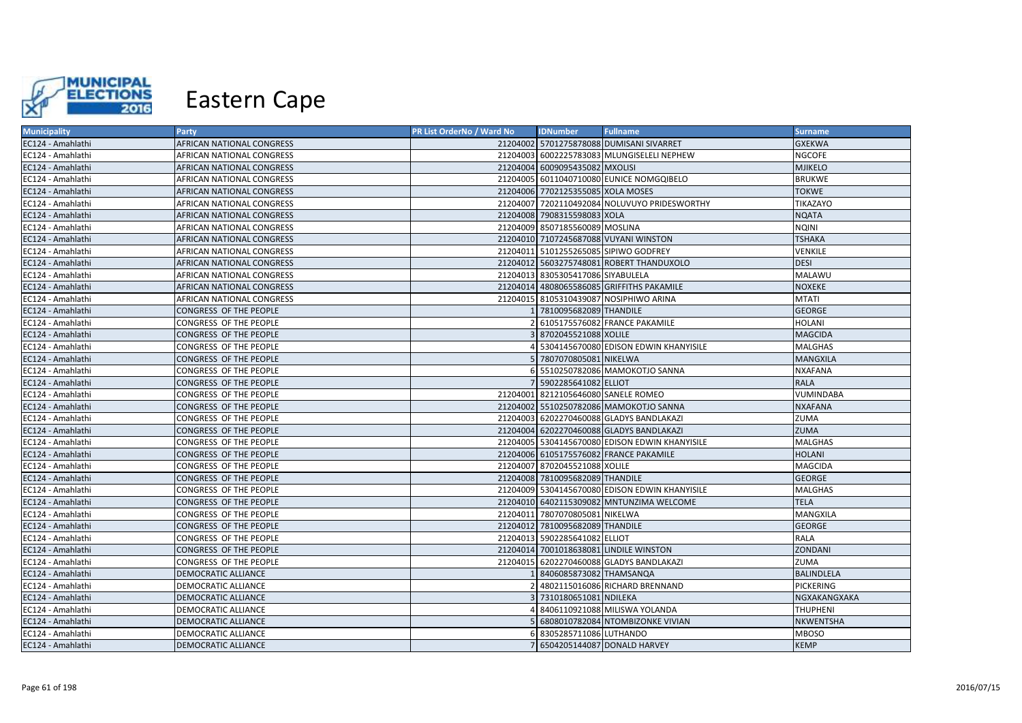

| <b>Municipality</b> | Party                            | PR List OrderNo / Ward No | <b>IDNumber</b>                     | <b>Fullname</b>                                | <b>Surname</b>    |
|---------------------|----------------------------------|---------------------------|-------------------------------------|------------------------------------------------|-------------------|
| EC124 - Amahlathi   | AFRICAN NATIONAL CONGRESS        |                           |                                     | 21204002 5701275878088 DUMISANI SIVARRET       | <b>GXEKWA</b>     |
| EC124 - Amahlathi   | <b>AFRICAN NATIONAL CONGRESS</b> |                           |                                     | 21204003 6002225783083 MLUNGISELELI NEPHEW     | <b>NGCOFE</b>     |
| EC124 - Amahlathi   | AFRICAN NATIONAL CONGRESS        |                           | 21204004 6009095435082 MXOLISI      |                                                | <b>MJIKELO</b>    |
| EC124 - Amahlathi   | AFRICAN NATIONAL CONGRESS        |                           |                                     | 21204005 6011040710080 EUNICE NOMGQIBELO       | <b>BRUKWE</b>     |
| EC124 - Amahlathi   | AFRICAN NATIONAL CONGRESS        |                           | 21204006 7702125355085 XOLA MOSES   |                                                | <b>TOKWE</b>      |
| EC124 - Amahlathi   | AFRICAN NATIONAL CONGRESS        |                           |                                     | 21204007 7202110492084 NOLUVUYO PRIDESWORTHY   | TIKAZAYO          |
| EC124 - Amahlathi   | <b>AFRICAN NATIONAL CONGRESS</b> |                           | 21204008 7908315598083 XOLA         |                                                | <b>NQATA</b>      |
| EC124 - Amahlathi   | <b>AFRICAN NATIONAL CONGRESS</b> | 21204009                  | 8507185560089 MOSLINA               |                                                | <b>NQINI</b>      |
| EC124 - Amahlathi   | AFRICAN NATIONAL CONGRESS        |                           |                                     | 21204010 7107245687088 VUYANI WINSTON          | <b>TSHAKA</b>     |
| EC124 - Amahlathi   | AFRICAN NATIONAL CONGRESS        |                           |                                     | 21204011 5101255265085 SIPIWO GODFREY          | VENKILE           |
| EC124 - Amahlathi   | AFRICAN NATIONAL CONGRESS        |                           |                                     | 21204012 5603275748081 ROBERT THANDUXOLO       | <b>DESI</b>       |
| EC124 - Amahlathi   | <b>AFRICAN NATIONAL CONGRESS</b> | 21204013                  | 8305305417086 SIYABULELA            |                                                | MALAWU            |
| EC124 - Amahlathi   | <b>AFRICAN NATIONAL CONGRESS</b> |                           |                                     | 21204014 4808065586085 GRIFFITHS PAKAMILE      | <b>NOXEKE</b>     |
| EC124 - Amahlathi   | AFRICAN NATIONAL CONGRESS        |                           |                                     | 21204015 8105310439087 NOSIPHIWO ARINA         | <b>MTATI</b>      |
| EC124 - Amahlathi   | CONGRESS OF THE PEOPLE           |                           | 7810095682089 THANDILE              |                                                | <b>GEORGE</b>     |
| EC124 - Amahlathi   | CONGRESS OF THE PEOPLE           |                           |                                     | 6105175576082 FRANCE PAKAMILE                  | <b>HOLANI</b>     |
| EC124 - Amahlathi   | <b>CONGRESS OF THE PEOPLE</b>    |                           | 8702045521088 XOLILE                |                                                | <b>MAGCIDA</b>    |
| EC124 - Amahlathi   | CONGRESS OF THE PEOPLE           |                           |                                     | 5304145670080 EDISON EDWIN KHANYISILE          | <b>MALGHAS</b>    |
| EC124 - Amahlathi   | CONGRESS OF THE PEOPLE           |                           | 7807070805081 NIKELWA               |                                                | <b>MANGXILA</b>   |
| EC124 - Amahlathi   | CONGRESS OF THE PEOPLE           |                           |                                     | 5510250782086 MAMOKOTJO SANNA                  | <b>NXAFANA</b>    |
| EC124 - Amahlathi   | CONGRESS OF THE PEOPLE           |                           | 5902285641082 ELLIOT                |                                                | <b>RALA</b>       |
| EC124 - Amahlathi   | CONGRESS OF THE PEOPLE           |                           | 21204001 8212105646080 SANELE ROMEO |                                                | VUMINDABA         |
| EC124 - Amahlathi   | CONGRESS OF THE PEOPLE           |                           |                                     | 21204002 5510250782086 MAMOKOTJO SANNA         | <b>NXAFANA</b>    |
| EC124 - Amahlathi   | CONGRESS OF THE PEOPLE           |                           |                                     | 21204003 6202270460088 GLADYS BANDLAKAZI       | <b>ZUMA</b>       |
| EC124 - Amahlathi   | <b>CONGRESS OF THE PEOPLE</b>    |                           |                                     | 21204004 6202270460088 GLADYS BANDLAKAZI       | <b>ZUMA</b>       |
| EC124 - Amahlathi   | CONGRESS OF THE PEOPLE           |                           |                                     | 21204005 5304145670080 EDISON EDWIN KHANYISILE | MALGHAS           |
| EC124 - Amahlathi   | <b>CONGRESS OF THE PEOPLE</b>    |                           |                                     | 21204006 6105175576082 FRANCE PAKAMILE         | <b>HOLANI</b>     |
| EC124 - Amahlathi   | CONGRESS OF THE PEOPLE           |                           | 21204007 8702045521088 XOLILE       |                                                | <b>MAGCIDA</b>    |
| EC124 - Amahlathi   | <b>CONGRESS OF THE PEOPLE</b>    |                           | 21204008 7810095682089 THANDILE     |                                                | <b>GEORGE</b>     |
| EC124 - Amahlathi   | CONGRESS OF THE PEOPLE           |                           |                                     | 21204009 5304145670080 EDISON EDWIN KHANYISILE | <b>MALGHAS</b>    |
| EC124 - Amahlathi   | CONGRESS OF THE PEOPLE           |                           |                                     | 21204010 6402115309082 MNTUNZIMA WELCOME       | <b>TELA</b>       |
| EC124 - Amahlathi   | <b>CONGRESS OF THE PEOPLE</b>    | 21204011                  | 7807070805081 NIKELWA               |                                                | MANGXILA          |
| EC124 - Amahlathi   | <b>CONGRESS OF THE PEOPLE</b>    |                           | 21204012 7810095682089 THANDILE     |                                                | <b>GEORGE</b>     |
| EC124 - Amahlathi   | CONGRESS OF THE PEOPLE           |                           | 21204013 5902285641082 ELLIOT       |                                                | RALA              |
| EC124 - Amahlathi   | <b>CONGRESS OF THE PEOPLE</b>    | 21204014                  |                                     | 7001018638081 LINDILE WINSTON                  | <b>ZONDANI</b>    |
| EC124 - Amahlathi   | <b>CONGRESS OF THE PEOPLE</b>    | 21204015                  |                                     | 6202270460088 GLADYS BANDLAKAZI                | <b>ZUMA</b>       |
| EC124 - Amahlathi   | <b>DEMOCRATIC ALLIANCE</b>       |                           | 8406085873082 THAMSANQA             |                                                | <b>BALINDLELA</b> |
| EC124 - Amahlathi   | DEMOCRATIC ALLIANCE              |                           |                                     | 4802115016086 RICHARD BRENNAND                 | <b>PICKERING</b>  |
| EC124 - Amahlathi   | DEMOCRATIC ALLIANCE              |                           | 7310180651081 NDILEKA               |                                                | NGXAKANGXAKA      |
| EC124 - Amahlathi   | DEMOCRATIC ALLIANCE              |                           |                                     | 8406110921088 MILISWA YOLANDA                  | <b>THUPHENI</b>   |
| EC124 - Amahlathi   | DEMOCRATIC ALLIANCE              |                           |                                     | 6808010782084 NTOMBIZONKE VIVIAN               | NKWENTSHA         |
| EC124 - Amahlathi   | DEMOCRATIC ALLIANCE              |                           | 8305285711086 LUTHANDO              |                                                | <b>MBOSO</b>      |
| EC124 - Amahlathi   | <b>DEMOCRATIC ALLIANCE</b>       |                           |                                     | 7 6504205144087 DONALD HARVEY                  | <b>KEMP</b>       |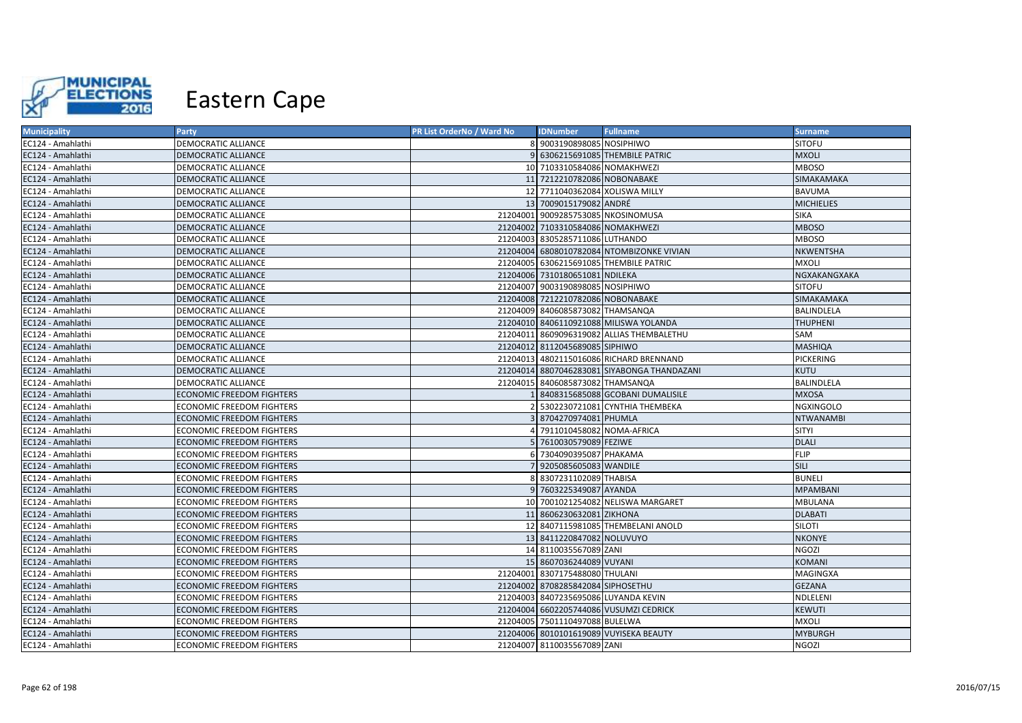

| <b>Municipality</b> | Party                            | PR List OrderNo / Ward No | <b>IDNumber</b>                      | <b>Fullname</b>                             | <b>Surname</b>    |
|---------------------|----------------------------------|---------------------------|--------------------------------------|---------------------------------------------|-------------------|
| EC124 - Amahlathi   | <b>DEMOCRATIC ALLIANCE</b>       |                           | 8 9003190898085 NOSIPHIWO            |                                             | <b>SITOFU</b>     |
| EC124 - Amahlathi   | <b>DEMOCRATIC ALLIANCE</b>       |                           |                                      | 6306215691085 THEMBILE PATRIC               | <b>MXOLI</b>      |
| EC124 - Amahlathi   | <b>DEMOCRATIC ALLIANCE</b>       |                           | 10 7103310584086 NOMAKHWEZI          |                                             | <b>MBOSO</b>      |
| EC124 - Amahlathi   | DEMOCRATIC ALLIANCE              |                           | 11 7212210782086 NOBONABAKE          |                                             | SIMAKAMAKA        |
| EC124 - Amahlathi   | DEMOCRATIC ALLIANCE              |                           | 12 7711040362084 XOLISWA MILLY       |                                             | <b>BAVUMA</b>     |
| EC124 - Amahlathi   | <b>DEMOCRATIC ALLIANCE</b>       |                           | 13 7009015179082 ANDRÉ               |                                             | <b>MICHIELIES</b> |
| EC124 - Amahlathi   | <b>DEMOCRATIC ALLIANCE</b>       |                           | 21204001 9009285753085 NKOSINOMUSA   |                                             | <b>SIKA</b>       |
| EC124 - Amahlathi   | <b>DEMOCRATIC ALLIANCE</b>       |                           | 21204002 7103310584086 NOMAKHWEZI    |                                             | <b>MBOSO</b>      |
| EC124 - Amahlathi   | <b>DEMOCRATIC ALLIANCE</b>       |                           | 21204003 8305285711086 LUTHANDO      |                                             | <b>MBOSO</b>      |
| EC124 - Amahlathi   | <b>DEMOCRATIC ALLIANCE</b>       |                           |                                      | 21204004 6808010782084 NTOMBIZONKE VIVIAN   | NKWENTSHA         |
| EC124 - Amahlathi   | DEMOCRATIC ALLIANCE              |                           |                                      | 21204005 6306215691085 THEMBILE PATRIC      | <b>MXOLI</b>      |
| EC124 - Amahlathi   | <b>DEMOCRATIC ALLIANCE</b>       |                           | 21204006 7310180651081 NDILEKA       |                                             | NGXAKANGXAKA      |
| EC124 - Amahlathi   | <b>DEMOCRATIC ALLIANCE</b>       |                           | 21204007 9003190898085 NOSIPHIWO     |                                             | <b>SITOFU</b>     |
| EC124 - Amahlathi   | <b>DEMOCRATIC ALLIANCE</b>       |                           | 21204008 7212210782086 NOBONABAKE    |                                             | SIMAKAMAKA        |
| EC124 - Amahlathi   | <b>DEMOCRATIC ALLIANCE</b>       |                           | 21204009 8406085873082 THAMSANQA     |                                             | BALINDLELA        |
| EC124 - Amahlathi   | <b>DEMOCRATIC ALLIANCE</b>       |                           |                                      | 21204010 8406110921088 MILISWA YOLANDA      | <b>THUPHENI</b>   |
| EC124 - Amahlathi   | <b>DEMOCRATIC ALLIANCE</b>       | 21204011                  |                                      | 8609096319082 ALLIAS THEMBALETHU            | SAM               |
| EC124 - Amahlathi   | <b>DEMOCRATIC ALLIANCE</b>       |                           | 21204012 8112045689085 SIPHIWO       |                                             | <b>MASHIQA</b>    |
| EC124 - Amahlathi   | DEMOCRATIC ALLIANCE              |                           |                                      | 21204013 4802115016086 RICHARD BRENNAND     | <b>PICKERING</b>  |
| EC124 - Amahlathi   | <b>DEMOCRATIC ALLIANCE</b>       |                           |                                      | 21204014 8807046283081 SIYABONGA THANDAZANI | <b>KUTU</b>       |
| EC124 - Amahlathi   | <b>DEMOCRATIC ALLIANCE</b>       | 21204015                  | 8406085873082 THAMSANQA              |                                             | BALINDLELA        |
| EC124 - Amahlathi   | <b>ECONOMIC FREEDOM FIGHTERS</b> |                           |                                      | 8408315685088 GCOBANI DUMALISILE            | <b>MXOSA</b>      |
| EC124 - Amahlathi   | <b>ECONOMIC FREEDOM FIGHTERS</b> |                           |                                      | 5302230721081 CYNTHIA THEMBEKA              | <b>NGXINGOLO</b>  |
| EC124 - Amahlathi   | <b>ECONOMIC FREEDOM FIGHTERS</b> |                           | 8704270974081 PHUMLA                 |                                             | <b>NTWANAMBI</b>  |
| EC124 - Amahlathi   | <b>ECONOMIC FREEDOM FIGHTERS</b> |                           | 7911010458082 NOMA-AFRICA            |                                             | <b>SITYI</b>      |
| EC124 - Amahlathi   | <b>ECONOMIC FREEDOM FIGHTERS</b> |                           | 7610030579089 FEZIWE                 |                                             | <b>DLALI</b>      |
| EC124 - Amahlathi   | <b>ECONOMIC FREEDOM FIGHTERS</b> |                           | 7304090395087 PHAKAMA                |                                             | <b>FLIP</b>       |
| EC124 - Amahlathi   | <b>ECONOMIC FREEDOM FIGHTERS</b> |                           | 9205085605083 WANDILE                |                                             | <b>SILI</b>       |
| EC124 - Amahlathi   | <b>ECONOMIC FREEDOM FIGHTERS</b> |                           | 8307231102089 THABISA                |                                             | <b>BUNELI</b>     |
| EC124 - Amahlathi   | <b>ECONOMIC FREEDOM FIGHTERS</b> |                           | 9 7603225349087 AYANDA               |                                             | <b>MPAMBANI</b>   |
| EC124 - Amahlathi   | <b>ECONOMIC FREEDOM FIGHTERS</b> |                           |                                      | 10 7001021254082 NELISWA MARGARET           | <b>MBULANA</b>    |
| EC124 - Amahlathi   | <b>ECONOMIC FREEDOM FIGHTERS</b> |                           | 11 8606230632081 ZIKHONA             |                                             | <b>DLABATI</b>    |
| EC124 - Amahlathi   | <b>ECONOMIC FREEDOM FIGHTERS</b> |                           |                                      | 12 8407115981085 THEMBELANI ANOLD           | <b>SILOTI</b>     |
| EC124 - Amahlathi   | <b>ECONOMIC FREEDOM FIGHTERS</b> |                           | 13 8411220847082 NOLUVUYO            |                                             | <b>NKONYE</b>     |
| EC124 - Amahlathi   | <b>ECONOMIC FREEDOM FIGHTERS</b> |                           | 14 8110035567089 ZANI                |                                             | NGOZI             |
| EC124 - Amahlathi   | <b>ECONOMIC FREEDOM FIGHTERS</b> |                           | 15 8607036244089 VUYANI              |                                             | KOMANI            |
| EC124 - Amahlathi   | <b>ECONOMIC FREEDOM FIGHTERS</b> |                           | 21204001 8307175488080 THULANI       |                                             | MAGINGXA          |
| EC124 - Amahlathi   | <b>ECONOMIC FREEDOM FIGHTERS</b> |                           | 21204002 8708285842084 SIPHOSETHU    |                                             | <b>GEZANA</b>     |
| EC124 - Amahlathi   | ECONOMIC FREEDOM FIGHTERS        |                           | 21204003 8407235695086 LUYANDA KEVIN |                                             | NDLELENI          |
| EC124 - Amahlathi   | <b>ECONOMIC FREEDOM FIGHTERS</b> |                           |                                      | 21204004 6602205744086 VUSUMZI CEDRICK      | <b>KEWUTI</b>     |
| EC124 - Amahlathi   | ECONOMIC FREEDOM FIGHTERS        |                           | 21204005 7501110497088 BULELWA       |                                             | <b>MXOLI</b>      |
| EC124 - Amahlathi   | <b>ECONOMIC FREEDOM FIGHTERS</b> |                           |                                      | 21204006 8010101619089 VUYISEKA BEAUTY      | <b>MYBURGH</b>    |
| EC124 - Amahlathi   | <b>ECONOMIC FREEDOM FIGHTERS</b> |                           | 21204007 8110035567089 ZANI          |                                             | <b>NGOZI</b>      |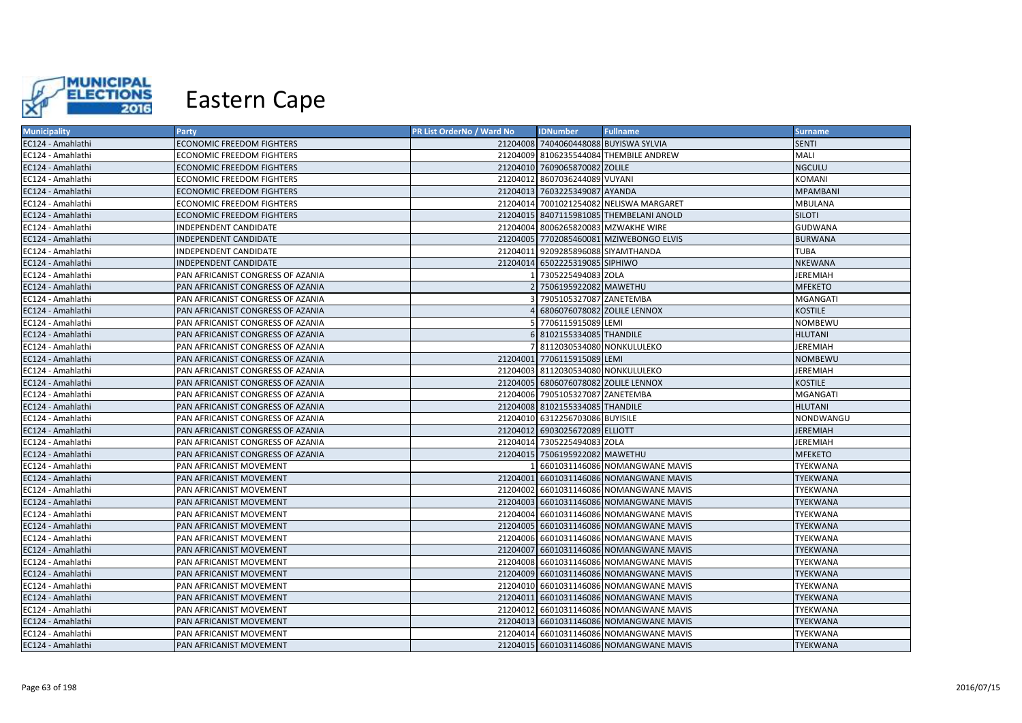

| <b>Municipality</b> | Party                             | PR List OrderNo / Ward No | <b>IDNumber</b>                       | <b>Fullname</b>                         | <b>Surname</b>  |
|---------------------|-----------------------------------|---------------------------|---------------------------------------|-----------------------------------------|-----------------|
| EC124 - Amahlathi   | <b>ECONOMIC FREEDOM FIGHTERS</b>  |                           | 21204008 7404060448088 BUYISWA SYLVIA |                                         | <b>SENTI</b>    |
| EC124 - Amahlathi   | <b>ECONOMIC FREEDOM FIGHTERS</b>  |                           |                                       | 21204009 8106235544084 THEMBILE ANDREW  | MALI            |
| EC124 - Amahlathi   | <b>ECONOMIC FREEDOM FIGHTERS</b>  |                           | 21204010 7609065870082 ZOLILE         |                                         | <b>NGCULU</b>   |
| EC124 - Amahlathi   | <b>ECONOMIC FREEDOM FIGHTERS</b>  |                           | 21204012 8607036244089 VUYANI         |                                         | KOMANI          |
| EC124 - Amahlathi   | <b>ECONOMIC FREEDOM FIGHTERS</b>  |                           | 21204013 7603225349087 AYANDA         |                                         | <b>MPAMBANI</b> |
| EC124 - Amahlathi   | <b>ECONOMIC FREEDOM FIGHTERS</b>  |                           |                                       | 21204014 7001021254082 NELISWA MARGARET | MBULANA         |
| EC124 - Amahlathi   | <b>ECONOMIC FREEDOM FIGHTERS</b>  |                           |                                       | 21204015 8407115981085 THEMBELANI ANOLD | <b>SILOTI</b>   |
| EC124 - Amahlathi   | INDEPENDENT CANDIDATE             |                           | 21204004 8006265820083 MZWAKHE WIRE   |                                         | <b>GUDWANA</b>  |
| EC124 - Amahlathi   | <b>INDEPENDENT CANDIDATE</b>      |                           |                                       | 21204005 7702085460081 MZIWEBONGO ELVIS | <b>BURWANA</b>  |
| EC124 - Amahlathi   | INDEPENDENT CANDIDATE             |                           | 21204011 9209285896088 SIYAMTHANDA    |                                         | <b>TUBA</b>     |
| EC124 - Amahlathi   | INDEPENDENT CANDIDATE             |                           | 21204014 6502225319085 SIPHIWO        |                                         | <b>NKEWANA</b>  |
| EC124 - Amahlathi   | PAN AFRICANIST CONGRESS OF AZANIA |                           | 7305225494083 ZOLA                    |                                         | JEREMIAH        |
| EC124 - Amahlathi   | PAN AFRICANIST CONGRESS OF AZANIA |                           | 2 7506195922082 MAWETHU               |                                         | <b>MFEKETO</b>  |
| EC124 - Amahlathi   | PAN AFRICANIST CONGRESS OF AZANIA |                           | 7905105327087 ZANETEMBA               |                                         | <b>MGANGATI</b> |
| EC124 - Amahlathi   | PAN AFRICANIST CONGRESS OF AZANIA |                           | 6806076078082 ZOLILE LENNOX           |                                         | <b>KOSTILE</b>  |
| EC124 - Amahlathi   | PAN AFRICANIST CONGRESS OF AZANIA |                           | 5 7706115915089 LEMI                  |                                         | NOMBEWU         |
| EC124 - Amahlathi   | PAN AFRICANIST CONGRESS OF AZANIA |                           | 6 8102155334085 THANDILE              |                                         | <b>HLUTANI</b>  |
| EC124 - Amahlathi   | PAN AFRICANIST CONGRESS OF AZANIA |                           | 7 8112030534080 NONKULULEKO           |                                         | JEREMIAH        |
| EC124 - Amahlathi   | PAN AFRICANIST CONGRESS OF AZANIA |                           | 21204001 7706115915089 LEMI           |                                         | <b>NOMBEWU</b>  |
| EC124 - Amahlathi   | PAN AFRICANIST CONGRESS OF AZANIA |                           | 21204003 8112030534080 NONKULULEKO    |                                         | JEREMIAH        |
| EC124 - Amahlathi   | PAN AFRICANIST CONGRESS OF AZANIA |                           | 21204005 6806076078082 ZOLILE LENNOX  |                                         | <b>KOSTILE</b>  |
| EC124 - Amahlathi   | PAN AFRICANIST CONGRESS OF AZANIA |                           | 21204006 7905105327087 ZANETEMBA      |                                         | MGANGATI        |
| EC124 - Amahlathi   | PAN AFRICANIST CONGRESS OF AZANIA |                           | 21204008 8102155334085 THANDILE       |                                         | <b>HLUTANI</b>  |
| EC124 - Amahlathi   | PAN AFRICANIST CONGRESS OF AZANIA |                           | 21204010 6312256703086 BUYISILE       |                                         | NONDWANGU       |
| EC124 - Amahlathi   | PAN AFRICANIST CONGRESS OF AZANIA |                           | 21204012 6903025672089 ELLIOTT        |                                         | <b>JEREMIAH</b> |
| EC124 - Amahlathi   | PAN AFRICANIST CONGRESS OF AZANIA |                           | 21204014 7305225494083 ZOLA           |                                         | JEREMIAH        |
| EC124 - Amahlathi   | PAN AFRICANIST CONGRESS OF AZANIA |                           | 21204015 7506195922082 MAWETHU        |                                         | <b>MFEKETO</b>  |
| EC124 - Amahlathi   | PAN AFRICANIST MOVEMENT           |                           |                                       | 6601031146086 NOMANGWANE MAVIS          | TYEKWANA        |
| EC124 - Amahlathi   | PAN AFRICANIST MOVEMENT           |                           |                                       | 21204001 6601031146086 NOMANGWANE MAVIS | <b>TYEKWANA</b> |
| EC124 - Amahlathi   | <b>PAN AFRICANIST MOVEMENT</b>    |                           |                                       | 21204002 6601031146086 NOMANGWANE MAVIS | <b>TYEKWANA</b> |
| EC124 - Amahlathi   | PAN AFRICANIST MOVEMENT           |                           |                                       | 21204003 6601031146086 NOMANGWANE MAVIS | <b>TYEKWANA</b> |
| EC124 - Amahlathi   | PAN AFRICANIST MOVEMENT           |                           |                                       | 21204004 6601031146086 NOMANGWANE MAVIS | TYEKWANA        |
| EC124 - Amahlathi   | PAN AFRICANIST MOVEMENT           |                           |                                       | 21204005 6601031146086 NOMANGWANE MAVIS | <b>TYEKWANA</b> |
| EC124 - Amahlathi   | PAN AFRICANIST MOVEMENT           |                           |                                       | 21204006 6601031146086 NOMANGWANE MAVIS | TYEKWANA        |
| EC124 - Amahlathi   | PAN AFRICANIST MOVEMENT           |                           |                                       | 21204007 6601031146086 NOMANGWANE MAVIS | <b>TYEKWANA</b> |
| EC124 - Amahlathi   | PAN AFRICANIST MOVEMENT           |                           |                                       | 21204008 6601031146086 NOMANGWANE MAVIS | TYEKWANA        |
| EC124 - Amahlathi   | PAN AFRICANIST MOVEMENT           |                           |                                       | 21204009 6601031146086 NOMANGWANE MAVIS | TYEKWANA        |
| EC124 - Amahlathi   | PAN AFRICANIST MOVEMENT           |                           |                                       | 21204010 6601031146086 NOMANGWANE MAVIS | TYEKWANA        |
| EC124 - Amahlathi   | PAN AFRICANIST MOVEMENT           |                           |                                       | 21204011 6601031146086 NOMANGWANE MAVIS | TYEKWANA        |
| EC124 - Amahlathi   | PAN AFRICANIST MOVEMENT           |                           |                                       | 21204012 6601031146086 NOMANGWANE MAVIS | TYEKWANA        |
| EC124 - Amahlathi   | PAN AFRICANIST MOVEMENT           |                           |                                       | 21204013 6601031146086 NOMANGWANE MAVIS | <b>TYEKWANA</b> |
| EC124 - Amahlathi   | PAN AFRICANIST MOVEMENT           |                           |                                       | 21204014 6601031146086 NOMANGWANE MAVIS | TYEKWANA        |
| EC124 - Amahlathi   | PAN AFRICANIST MOVEMENT           |                           |                                       | 21204015 6601031146086 NOMANGWANE MAVIS | <b>TYEKWANA</b> |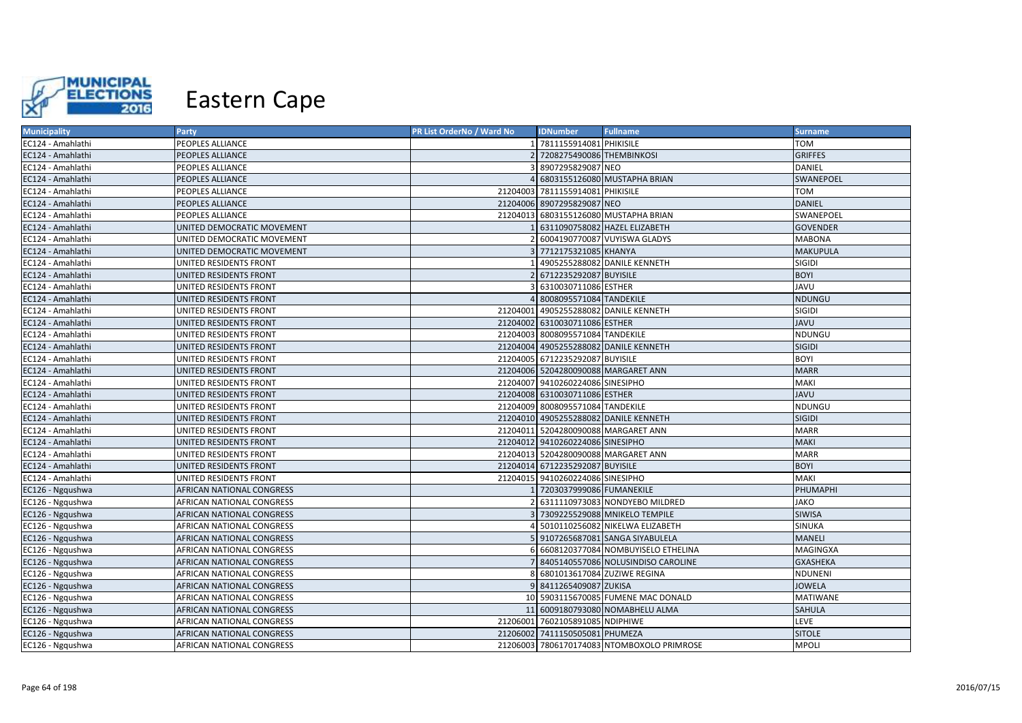

| <b>Municipality</b> | Party                            | PR List OrderNo / Ward No | <b>IDNumber</b>                  | <b>Fullname</b>                            | <b>Surname</b>  |
|---------------------|----------------------------------|---------------------------|----------------------------------|--------------------------------------------|-----------------|
| EC124 - Amahlathi   | PEOPLES ALLIANCE                 |                           | 7811155914081 PHIKISILE          |                                            | <b>TOM</b>      |
| EC124 - Amahlathi   | PEOPLES ALLIANCE                 |                           | 7208275490086 THEMBINKOSI        |                                            | <b>GRIFFES</b>  |
| EC124 - Amahlathi   | PEOPLES ALLIANCE                 |                           | 8907295829087 NEO                |                                            | DANIEL          |
| EC124 - Amahlathi   | PEOPLES ALLIANCE                 |                           |                                  | 6803155126080 MUSTAPHA BRIAN               | SWANEPOEL       |
| EC124 - Amahlathi   | PEOPLES ALLIANCE                 |                           | 21204003 7811155914081 PHIKISILE |                                            | <b>TOM</b>      |
| EC124 - Amahlathi   | PEOPLES ALLIANCE                 |                           | 21204006 8907295829087 NEO       |                                            | <b>DANIEL</b>   |
| EC124 - Amahlathi   | <b>PEOPLES ALLIANCE</b>          |                           |                                  | 21204013 6803155126080 MUSTAPHA BRIAN      | SWANEPOEL       |
| EC124 - Amahlathi   | UNITED DEMOCRATIC MOVEMENT       |                           |                                  | 6311090758082 HAZEL ELIZABETH              | <b>GOVENDER</b> |
| EC124 - Amahlathi   | UNITED DEMOCRATIC MOVEMENT       |                           |                                  | 6004190770087 VUYISWA GLADYS               | <b>MABONA</b>   |
| EC124 - Amahlathi   | UNITED DEMOCRATIC MOVEMENT       |                           | 7712175321085 KHANYA             |                                            | <b>MAKUPULA</b> |
| EC124 - Amahlathi   | UNITED RESIDENTS FRONT           |                           |                                  | 4905255288082 DANILE KENNETH               | SIGIDI          |
| EC124 - Amahlathi   | UNITED RESIDENTS FRONT           |                           | 6712235292087 BUYISILE           |                                            | <b>BOYI</b>     |
| EC124 - Amahlathi   | UNITED RESIDENTS FRONT           |                           | 6310030711086 ESTHER             |                                            | <b>JAVU</b>     |
| EC124 - Amahlathi   | UNITED RESIDENTS FRONT           |                           | 8008095571084 TANDEKILE          |                                            | <b>NDUNGU</b>   |
| EC124 - Amahlathi   | UNITED RESIDENTS FRONT           | 21204001                  |                                  | 4905255288082 DANILE KENNETH               | <b>SIGIDI</b>   |
| EC124 - Amahlathi   | UNITED RESIDENTS FRONT           |                           | 21204002 6310030711086 ESTHER    |                                            | <b>JAVU</b>     |
| EC124 - Amahlathi   | UNITED RESIDENTS FRONT           |                           | 21204003 8008095571084 TANDEKILE |                                            | NDUNGU          |
| EC124 - Amahlathi   | UNITED RESIDENTS FRONT           |                           |                                  | 21204004 4905255288082 DANILE KENNETH      | <b>SIGIDI</b>   |
| EC124 - Amahlathi   | UNITED RESIDENTS FRONT           |                           | 21204005 6712235292087 BUYISILE  |                                            | <b>BOYI</b>     |
| EC124 - Amahlathi   | UNITED RESIDENTS FRONT           |                           |                                  | 21204006 5204280090088 MARGARET ANN        | <b>MARR</b>     |
| EC124 - Amahlathi   | UNITED RESIDENTS FRONT           |                           | 21204007 9410260224086 SINESIPHO |                                            | MAKI            |
| EC124 - Amahlathi   | UNITED RESIDENTS FRONT           |                           | 21204008 6310030711086 ESTHER    |                                            | <b>JAVU</b>     |
| EC124 - Amahlathi   | UNITED RESIDENTS FRONT           |                           | 21204009 8008095571084 TANDEKILE |                                            | NDUNGU          |
| EC124 - Amahlathi   | UNITED RESIDENTS FRONT           |                           |                                  | 21204010 4905255288082 DANILE KENNETH      | <b>SIGIDI</b>   |
| EC124 - Amahlathi   | UNITED RESIDENTS FRONT           | 21204011                  |                                  | 5204280090088 MARGARET ANN                 | <b>MARR</b>     |
| EC124 - Amahlathi   | UNITED RESIDENTS FRONT           |                           | 21204012 9410260224086 SINESIPHO |                                            | <b>MAKI</b>     |
| EC124 - Amahlathi   | UNITED RESIDENTS FRONT           |                           |                                  | 21204013 5204280090088 MARGARET ANN        | <b>MARR</b>     |
| EC124 - Amahlathi   | UNITED RESIDENTS FRONT           |                           | 21204014 6712235292087 BUYISILE  |                                            | <b>BOYI</b>     |
| EC124 - Amahlathi   | UNITED RESIDENTS FRONT           |                           | 21204015 9410260224086 SINESIPHO |                                            | <b>MAKI</b>     |
| EC126 - Ngqushwa    | <b>AFRICAN NATIONAL CONGRESS</b> |                           | 7203037999086 FUMANEKILE         |                                            | PHUMAPHI        |
| EC126 - Ngqushwa    | <b>AFRICAN NATIONAL CONGRESS</b> |                           |                                  | 6311110973083 NONDYEBO MILDRED             | <b>JAKO</b>     |
| EC126 - Ngqushwa    | <b>AFRICAN NATIONAL CONGRESS</b> |                           |                                  | 7309225529088 MNIKELO TEMPILE              | <b>SIWISA</b>   |
| EC126 - Ngqushwa    | AFRICAN NATIONAL CONGRESS        |                           |                                  | 5010110256082 NIKELWA ELIZABETH            | SINUKA          |
| EC126 - Ngqushwa    | <b>AFRICAN NATIONAL CONGRESS</b> |                           |                                  | 9107265687081 SANGA SIYABULELA             | <b>MANELI</b>   |
| EC126 - Ngqushwa    | AFRICAN NATIONAL CONGRESS        |                           |                                  | 6608120377084 NOMBUYISELO ETHELINA         | MAGINGXA        |
| EC126 - Ngqushwa    | AFRICAN NATIONAL CONGRESS        |                           |                                  | 8405140557086 NOLUSINDISO CAROLINE         | <b>GXASHEKA</b> |
| EC126 - Ngqushwa    | AFRICAN NATIONAL CONGRESS        |                           |                                  | 6801013617084 ZUZIWE REGINA                | <b>NDUNENI</b>  |
| EC126 - Ngqushwa    | AFRICAN NATIONAL CONGRESS        |                           | 9 8411265409087 ZUKISA           |                                            | <b>JOWELA</b>   |
| EC126 - Ngqushwa    | AFRICAN NATIONAL CONGRESS        |                           |                                  | 10 5903115670085 FUMENE MAC DONALD         | MATIWANE        |
| EC126 - Ngqushwa    | AFRICAN NATIONAL CONGRESS        | 11                        |                                  | 6009180793080 NOMABHELU ALMA               | <b>SAHULA</b>   |
| EC126 - Ngqushwa    | AFRICAN NATIONAL CONGRESS        |                           | 21206001 7602105891085 NDIPHIWE  |                                            | LEVE            |
| EC126 - Ngqushwa    | AFRICAN NATIONAL CONGRESS        |                           | 21206002 7411150505081 PHUMEZA   |                                            | <b>SITOLE</b>   |
| EC126 - Ngqushwa    | <b>AFRICAN NATIONAL CONGRESS</b> |                           |                                  | 21206003 7806170174083 NTOMBOXOLO PRIMROSE | <b>MPOLI</b>    |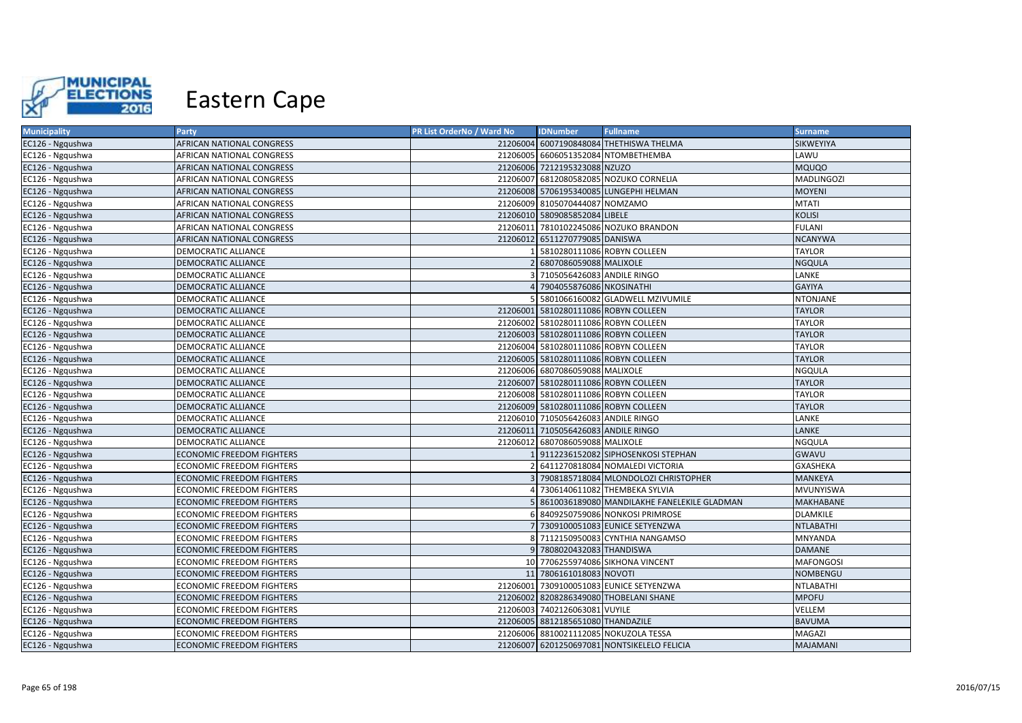

| <b>Municipality</b> | Party                            | PR List OrderNo / Ward No | <b>IDNumber</b>                     | <b>Fullname</b>                               | <b>Surname</b>    |
|---------------------|----------------------------------|---------------------------|-------------------------------------|-----------------------------------------------|-------------------|
| EC126 - Ngqushwa    | AFRICAN NATIONAL CONGRESS        |                           |                                     | 21206004 6007190848084 THETHISWA THELMA       | SIKWEYIYA         |
| EC126 - Ngqushwa    | AFRICAN NATIONAL CONGRESS        |                           |                                     | 21206005 6606051352084 NTOMBETHEMBA           | LAWU              |
| EC126 - Ngqushwa    | AFRICAN NATIONAL CONGRESS        |                           | 21206006 7212195323088 NZUZO        |                                               | <b>MQUQO</b>      |
| EC126 - Ngqushwa    | AFRICAN NATIONAL CONGRESS        |                           |                                     | 21206007 6812080582085 NOZUKO CORNELIA        | <b>MADLINGOZI</b> |
| EC126 - Ngqushwa    | AFRICAN NATIONAL CONGRESS        |                           |                                     | 21206008 5706195340085 LUNGEPHI HELMAN        | <b>MOYENI</b>     |
| EC126 - Ngqushwa    | AFRICAN NATIONAL CONGRESS        |                           | 21206009 8105070444087 NOMZAMO      |                                               | <b>MTATI</b>      |
| EC126 - Ngqushwa    | AFRICAN NATIONAL CONGRESS        |                           | 21206010 5809085852084 LIBELE       |                                               | <b>KOLISI</b>     |
| EC126 - Ngqushwa    | AFRICAN NATIONAL CONGRESS        | 21206011                  |                                     | 7810102245086 NOZUKO BRANDON                  | <b>FULANI</b>     |
| EC126 - Ngqushwa    | AFRICAN NATIONAL CONGRESS        |                           | 21206012 6511270779085 DANISWA      |                                               | <b>NCANYWA</b>    |
| EC126 - Ngqushwa    | DEMOCRATIC ALLIANCE              |                           |                                     | 5810280111086 ROBYN COLLEEN                   | <b>TAYLOR</b>     |
| EC126 - Ngqushwa    | DEMOCRATIC ALLIANCE              |                           | 2 6807086059088 MALIXOLE            |                                               | <b>NGQULA</b>     |
| EC126 - Ngqushwa    | DEMOCRATIC ALLIANCE              |                           | 7105056426083 ANDILE RINGO          |                                               | LANKE             |
| EC126 - Ngqushwa    | DEMOCRATIC ALLIANCE              |                           | 7904055876086 NKOSINATHI            |                                               | <b>GAYIYA</b>     |
| EC126 - Ngqushwa    | DEMOCRATIC ALLIANCE              |                           |                                     | 5801066160082 GLADWELL MZIVUMILE              | <b>NTONJANE</b>   |
| EC126 - Ngqushwa    | DEMOCRATIC ALLIANCE              |                           |                                     | 21206001 5810280111086 ROBYN COLLEEN          | <b>TAYLOR</b>     |
| EC126 - Ngqushwa    | DEMOCRATIC ALLIANCE              |                           |                                     | 21206002 5810280111086 ROBYN COLLEEN          | <b>TAYLOR</b>     |
| EC126 - Ngqushwa    | DEMOCRATIC ALLIANCE              |                           |                                     | 21206003 5810280111086 ROBYN COLLEEN          | <b>TAYLOR</b>     |
| EC126 - Ngqushwa    | DEMOCRATIC ALLIANCE              |                           |                                     | 21206004 5810280111086 ROBYN COLLEEN          | <b>TAYLOR</b>     |
| EC126 - Ngqushwa    | DEMOCRATIC ALLIANCE              |                           |                                     | 21206005 5810280111086 ROBYN COLLEEN          | <b>TAYLOR</b>     |
| EC126 - Ngqushwa    | DEMOCRATIC ALLIANCE              |                           | 21206006 6807086059088 MALIXOLE     |                                               | NGQULA            |
| EC126 - Ngqushwa    | DEMOCRATIC ALLIANCE              |                           |                                     | 21206007 5810280111086 ROBYN COLLEEN          | <b>TAYLOR</b>     |
| EC126 - Ngqushwa    | DEMOCRATIC ALLIANCE              |                           |                                     | 21206008 5810280111086 ROBYN COLLEEN          | <b>TAYLOR</b>     |
| EC126 - Ngqushwa    | DEMOCRATIC ALLIANCE              |                           |                                     | 21206009 5810280111086 ROBYN COLLEEN          | <b>TAYLOR</b>     |
| EC126 - Ngqushwa    | DEMOCRATIC ALLIANCE              |                           | 21206010 7105056426083 ANDILE RINGO |                                               | LANKE             |
| EC126 - Ngqushwa    | DEMOCRATIC ALLIANCE              |                           | 21206011 7105056426083 ANDILE RINGO |                                               | LANKE             |
| EC126 - Ngqushwa    | DEMOCRATIC ALLIANCE              |                           | 21206012 6807086059088 MALIXOLE     |                                               | NGQULA            |
| EC126 - Ngqushwa    | ECONOMIC FREEDOM FIGHTERS        |                           |                                     | 9112236152082 SIPHOSENKOSI STEPHAN            | <b>GWAVU</b>      |
| EC126 - Ngqushwa    | <b>ECONOMIC FREEDOM FIGHTERS</b> |                           |                                     | 6411270818084 NOMALEDI VICTORIA               | <b>GXASHEKA</b>   |
| EC126 - Ngqushwa    | ECONOMIC FREEDOM FIGHTERS        |                           |                                     | 7908185718084 MLONDOLOZI CHRISTOPHER          | MANKEYA           |
| EC126 - Ngqushwa    | ECONOMIC FREEDOM FIGHTERS        |                           |                                     | 7306140611082 THEMBEKA SYLVIA                 | <b>MVUNYISWA</b>  |
| EC126 - Ngqushwa    | ECONOMIC FREEDOM FIGHTERS        |                           |                                     | 5 8610036189080 MANDILAKHE FANELEKILE GLADMAN | MAKHABANE         |
| EC126 - Ngqushwa    | ECONOMIC FREEDOM FIGHTERS        |                           |                                     | 8409250759086 NONKOSI PRIMROSE                | <b>DLAMKILE</b>   |
| EC126 - Ngqushwa    | ECONOMIC FREEDOM FIGHTERS        |                           |                                     | 7 7309100051083 EUNICE SETYENZWA              | <b>NTLABATHI</b>  |
| EC126 - Ngqushwa    | <b>ECONOMIC FREEDOM FIGHTERS</b> |                           |                                     | 7112150950083 CYNTHIA NANGAMSO                | <b>MNYANDA</b>    |
| EC126 - Ngqushwa    | <b>ECONOMIC FREEDOM FIGHTERS</b> |                           | 7808020432083 THANDISWA             |                                               | <b>DAMANE</b>     |
| EC126 - Ngqushwa    | ECONOMIC FREEDOM FIGHTERS        |                           |                                     | 10 7706255974086 SIKHONA VINCENT              | <b>MAFONGOSI</b>  |
| EC126 - Ngqushwa    | ECONOMIC FREEDOM FIGHTERS        |                           | 11 7806161018083 NOVOTI             |                                               | <b>NOMBENGU</b>   |
| EC126 - Ngqushwa    | ECONOMIC FREEDOM FIGHTERS        |                           |                                     | 21206001 7309100051083 EUNICE SETYENZWA       | <b>NTLABATHI</b>  |
| EC126 - Ngqushwa    | ECONOMIC FREEDOM FIGHTERS        |                           |                                     | 21206002 8208286349080 THOBELANI SHANE        | <b>MPOFU</b>      |
| EC126 - Ngqushwa    | ECONOMIC FREEDOM FIGHTERS        |                           | 21206003 7402126063081 VUYILE       |                                               | VELLEM            |
| EC126 - Ngqushwa    | ECONOMIC FREEDOM FIGHTERS        |                           | 21206005 8812185651080 THANDAZILE   |                                               | <b>BAVUMA</b>     |
| EC126 - Ngqushwa    | ECONOMIC FREEDOM FIGHTERS        |                           |                                     | 21206006 8810021112085 NOKUZOLA TESSA         | MAGAZI            |
| EC126 - Ngqushwa    | <b>ECONOMIC FREEDOM FIGHTERS</b> |                           |                                     | 21206007 6201250697081 NONTSIKELELO FELICIA   | MAJAMANI          |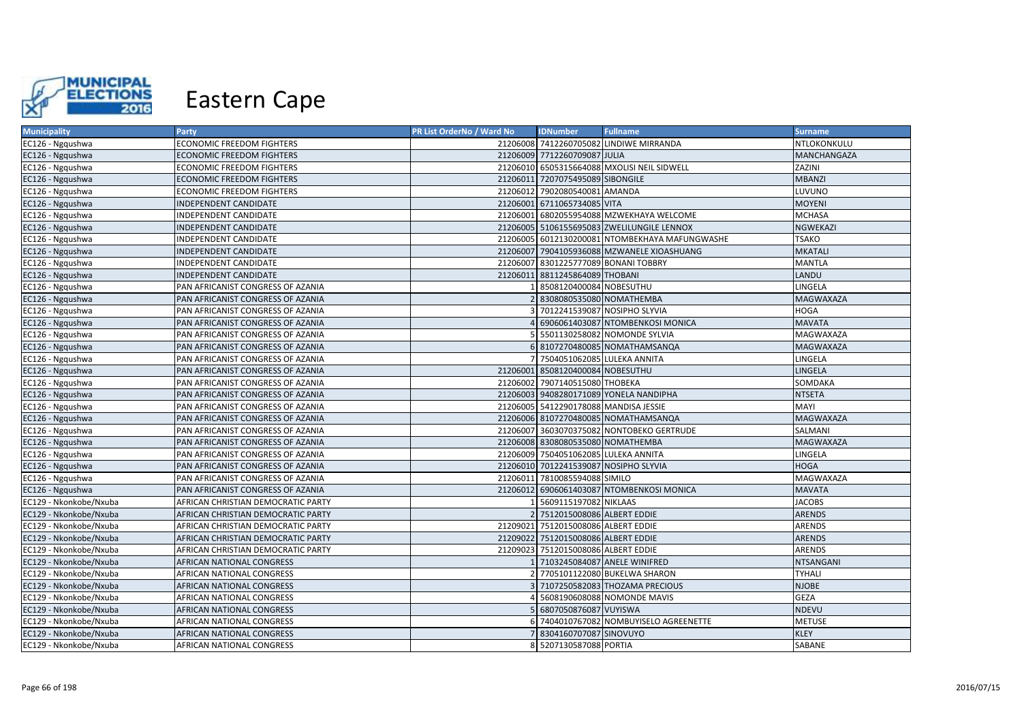

| <b>Municipality</b>    | Party                              | PR List OrderNo / Ward No | <b>IDNumber</b>                       | <b>Fullname</b>                                | <b>Surname</b>   |
|------------------------|------------------------------------|---------------------------|---------------------------------------|------------------------------------------------|------------------|
| EC126 - Ngqushwa       | ECONOMIC FREEDOM FIGHTERS          |                           |                                       | 21206008 7412260705082 LINDIWE MIRRANDA        | NTLOKONKULU      |
| EC126 - Ngqushwa       | ECONOMIC FREEDOM FIGHTERS          |                           | 21206009 7712260709087 JULIA          |                                                | MANCHANGAZA      |
| EC126 - Ngqushwa       | ECONOMIC FREEDOM FIGHTERS          |                           |                                       | 21206010 6505315664088 MXOLISI NEIL SIDWELL    | ZAZINI           |
| EC126 - Ngqushwa       | ECONOMIC FREEDOM FIGHTERS          |                           | 21206011 7207075495089 SIBONGILE      |                                                | <b>MBANZI</b>    |
| EC126 - Ngqushwa       | ECONOMIC FREEDOM FIGHTERS          |                           | 21206012 7902080540081 AMANDA         |                                                | LUVUNO           |
| EC126 - Ngqushwa       | INDEPENDENT CANDIDATE              |                           | 21206001 6711065734085 VITA           |                                                | <b>MOYENI</b>    |
| EC126 - Ngqushwa       | INDEPENDENT CANDIDATE              |                           |                                       | 21206001 6802055954088 MZWEKHAYA WELCOME       | <b>MCHASA</b>    |
| EC126 - Ngqushwa       | INDEPENDENT CANDIDATE              |                           |                                       | 21206005 5106155695083 ZWELILUNGILE LENNOX     | NGWEKAZI         |
| EC126 - Ngqushwa       | INDEPENDENT CANDIDATE              |                           |                                       | 21206005 6012130200081 NTOMBEKHAYA MAFUNGWASHE | <b>TSAKO</b>     |
| EC126 - Ngqushwa       | INDEPENDENT CANDIDATE              |                           |                                       | 21206007 7904105936088 MZWANELE XIOASHUANG     | <b>MKATALI</b>   |
| EC126 - Ngqushwa       | INDEPENDENT CANDIDATE              | 21206007                  |                                       | 8301225777089 BONANI TOBBRY                    | <b>MANTLA</b>    |
| EC126 - Ngqushwa       | INDEPENDENT CANDIDATE              | 21206011                  | 8811245864089 THOBANI                 |                                                | LANDU            |
| EC126 - Ngqushwa       | PAN AFRICANIST CONGRESS OF AZANIA  |                           | 8508120400084 NOBESUTHU               |                                                | LINGELA          |
| EC126 - Ngqushwa       | PAN AFRICANIST CONGRESS OF AZANIA  |                           | 8308080535080 NOMATHEMBA              |                                                | <b>MAGWAXAZA</b> |
| EC126 - Ngqushwa       | PAN AFRICANIST CONGRESS OF AZANIA  |                           |                                       | 7012241539087 NOSIPHO SLYVIA                   | <b>HOGA</b>      |
| EC126 - Ngqushwa       | PAN AFRICANIST CONGRESS OF AZANIA  |                           |                                       | 6906061403087 NTOMBENKOSI MONICA               | <b>MAVATA</b>    |
| EC126 - Ngqushwa       | PAN AFRICANIST CONGRESS OF AZANIA  |                           |                                       | 5501130258082 NOMONDE SYLVIA                   | MAGWAXAZA        |
| EC126 - Ngqushwa       | PAN AFRICANIST CONGRESS OF AZANIA  |                           |                                       | 6 8107270480085 NOMATHAMSANQA                  | MAGWAXAZA        |
| EC126 - Ngqushwa       | PAN AFRICANIST CONGRESS OF AZANIA  |                           | 7504051062085 LULEKA ANNITA           |                                                | LINGELA          |
| EC126 - Ngqushwa       | PAN AFRICANIST CONGRESS OF AZANIA  |                           | 21206001 8508120400084 NOBESUTHU      |                                                | LINGELA          |
| EC126 - Ngqushwa       | PAN AFRICANIST CONGRESS OF AZANIA  |                           | 21206002 7907140515080 THOBEKA        |                                                | SOMDAKA          |
| EC126 - Ngqushwa       | PAN AFRICANIST CONGRESS OF AZANIA  |                           |                                       | 21206003 9408280171089 YONELA NANDIPHA         | <b>NTSETA</b>    |
| EC126 - Ngqushwa       | PAN AFRICANIST CONGRESS OF AZANIA  |                           | 21206005 5412290178088 MANDISA JESSIE |                                                | MAYI             |
| EC126 - Ngqushwa       | PAN AFRICANIST CONGRESS OF AZANIA  |                           |                                       | 21206006 8107270480085 NOMATHAMSANQA           | <b>MAGWAXAZA</b> |
| EC126 - Ngqushwa       | PAN AFRICANIST CONGRESS OF AZANIA  |                           |                                       | 21206007 3603070375082 NONTOBEKO GERTRUDE      | SALMANI          |
| EC126 - Ngqushwa       | PAN AFRICANIST CONGRESS OF AZANIA  |                           | 21206008 8308080535080 NOMATHEMBA     |                                                | MAGWAXAZA        |
| EC126 - Ngqushwa       | PAN AFRICANIST CONGRESS OF AZANIA  |                           | 21206009 7504051062085 LULEKA ANNITA  |                                                | LINGELA          |
| EC126 - Ngqushwa       | PAN AFRICANIST CONGRESS OF AZANIA  |                           |                                       | 21206010 7012241539087 NOSIPHO SLYVIA          | <b>HOGA</b>      |
| EC126 - Ngqushwa       | PAN AFRICANIST CONGRESS OF AZANIA  |                           | 21206011 7810085594088 SIMILO         |                                                | MAGWAXAZA        |
| EC126 - Ngqushwa       | PAN AFRICANIST CONGRESS OF AZANIA  | 21206012                  |                                       | 6906061403087 NTOMBENKOSI MONICA               | <b>MAVATA</b>    |
| EC129 - Nkonkobe/Nxuba | AFRICAN CHRISTIAN DEMOCRATIC PARTY |                           | 5609115197082 NIKLAAS                 |                                                | <b>JACOBS</b>    |
| EC129 - Nkonkobe/Nxuba | AFRICAN CHRISTIAN DEMOCRATIC PARTY |                           | 7512015008086 ALBERT EDDIE            |                                                | <b>ARENDS</b>    |
| EC129 - Nkonkobe/Nxuba | AFRICAN CHRISTIAN DEMOCRATIC PARTY |                           | 21209021 7512015008086 ALBERT EDDIE   |                                                | <b>ARENDS</b>    |
| EC129 - Nkonkobe/Nxuba | AFRICAN CHRISTIAN DEMOCRATIC PARTY |                           | 21209022 7512015008086 ALBERT EDDIE   |                                                | <b>ARENDS</b>    |
| EC129 - Nkonkobe/Nxuba | AFRICAN CHRISTIAN DEMOCRATIC PARTY | 21209023                  | 7512015008086 ALBERT EDDIE            |                                                | <b>ARENDS</b>    |
| EC129 - Nkonkobe/Nxuba | AFRICAN NATIONAL CONGRESS          |                           |                                       | 7103245084087 ANELE WINIFRED                   | <b>NTSANGANI</b> |
| EC129 - Nkonkobe/Nxuba | AFRICAN NATIONAL CONGRESS          |                           |                                       | 7705101122080 BUKELWA SHARON                   | <b>TYHALI</b>    |
| EC129 - Nkonkobe/Nxuba | AFRICAN NATIONAL CONGRESS          |                           |                                       | 7107250582083 THOZAMA PRECIOUS                 | <b>NJOBE</b>     |
| EC129 - Nkonkobe/Nxuba | AFRICAN NATIONAL CONGRESS          |                           |                                       | 5608190608088 NOMONDE MAVIS                    | GEZA             |
| EC129 - Nkonkobe/Nxuba | AFRICAN NATIONAL CONGRESS          |                           | 6807050876087 VUYISWA                 |                                                | NDEVU            |
| EC129 - Nkonkobe/Nxuba | AFRICAN NATIONAL CONGRESS          |                           |                                       | 7404010767082 NOMBUYISELO AGREENETTE           | <b>METUSE</b>    |
| EC129 - Nkonkobe/Nxuba | AFRICAN NATIONAL CONGRESS          |                           | 8304160707087 SINOVUYO                |                                                | <b>KLEY</b>      |
| EC129 - Nkonkobe/Nxuba | AFRICAN NATIONAL CONGRESS          |                           | 8 5207130587088 PORTIA                |                                                | SABANE           |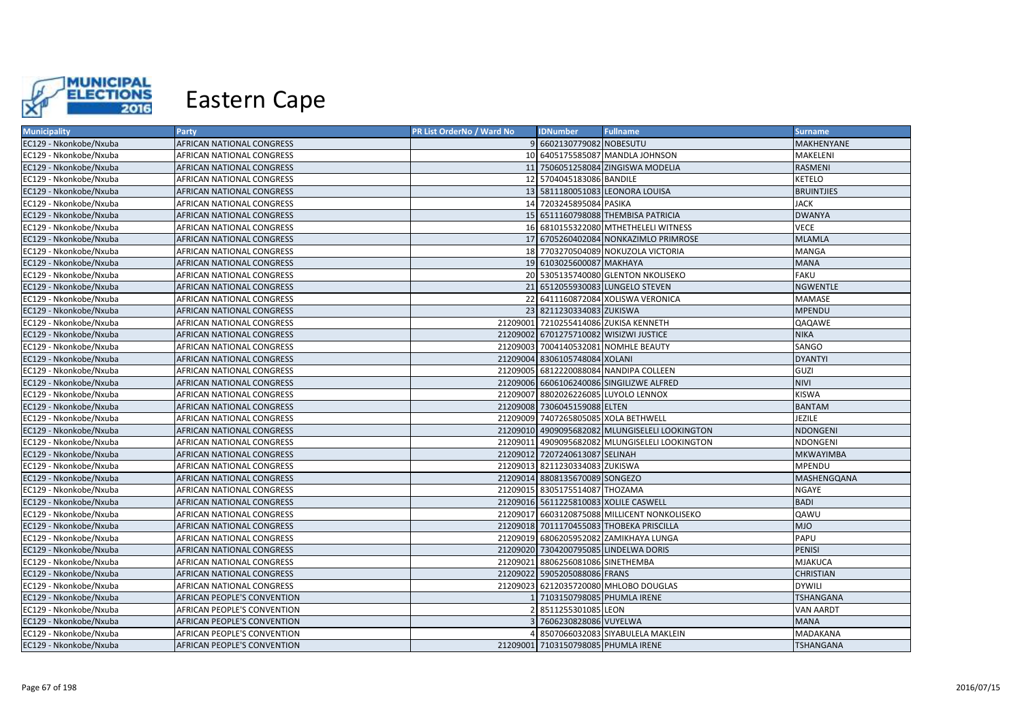

| <b>Municipality</b>    | <b>Party</b>                | <b>PR List OrderNo / Ward No</b> | <b>IDNumber</b>                      | <b>Fullname</b>                                | <b>Surname</b>    |
|------------------------|-----------------------------|----------------------------------|--------------------------------------|------------------------------------------------|-------------------|
| EC129 - Nkonkobe/Nxuba | AFRICAN NATIONAL CONGRESS   |                                  | 9 6602130779082 NOBESUTU             |                                                | MAKHENYANE        |
| EC129 - Nkonkobe/Nxuba | AFRICAN NATIONAL CONGRESS   |                                  |                                      | 10 6405175585087 MANDLA JOHNSON                | MAKELENI          |
| EC129 - Nkonkobe/Nxuba | AFRICAN NATIONAL CONGRESS   |                                  |                                      | 11 7506051258084 ZINGISWA MODELIA              | RASMENI           |
| EC129 - Nkonkobe/Nxuba | AFRICAN NATIONAL CONGRESS   |                                  | 12 5704045183086 BANDILE             |                                                | <b>KETELO</b>     |
| EC129 - Nkonkobe/Nxuba | AFRICAN NATIONAL CONGRESS   |                                  |                                      | 13 5811180051083 LEONORA LOUISA                | <b>BRUINTJIES</b> |
| EC129 - Nkonkobe/Nxuba | AFRICAN NATIONAL CONGRESS   |                                  | 14 7203245895084 PASIKA              |                                                | <b>JACK</b>       |
| EC129 - Nkonkobe/Nxuba | AFRICAN NATIONAL CONGRESS   |                                  |                                      | 15 6511160798088 THEMBISA PATRICIA             | <b>DWANYA</b>     |
| EC129 - Nkonkobe/Nxuba | AFRICAN NATIONAL CONGRESS   |                                  |                                      | 16 6810155322080 MTHETHELELI WITNESS           | <b>VECE</b>       |
| EC129 - Nkonkobe/Nxuba | AFRICAN NATIONAL CONGRESS   |                                  |                                      | 17 6705260402084 NONKAZIMLO PRIMROSE           | <b>MLAMLA</b>     |
| EC129 - Nkonkobe/Nxuba | AFRICAN NATIONAL CONGRESS   |                                  |                                      | 18 7703270504089 NOKUZOLA VICTORIA             | <b>MANGA</b>      |
| EC129 - Nkonkobe/Nxuba | AFRICAN NATIONAL CONGRESS   |                                  | 19 6103025600087 MAKHAYA             |                                                | <b>MANA</b>       |
| EC129 - Nkonkobe/Nxuba | AFRICAN NATIONAL CONGRESS   |                                  |                                      | 20 5305135740080 GLENTON NKOLISEKO             | <b>FAKU</b>       |
| EC129 - Nkonkobe/Nxuba | AFRICAN NATIONAL CONGRESS   |                                  |                                      | 21 6512055930083 LUNGELO STEVEN                | <b>NGWENTLE</b>   |
| EC129 - Nkonkobe/Nxuba | AFRICAN NATIONAL CONGRESS   |                                  |                                      | 22 6411160872084 XOLISWA VERONICA              | MAMASE            |
| EC129 - Nkonkobe/Nxuba | AFRICAN NATIONAL CONGRESS   |                                  | 23 8211230334083 ZUKISWA             |                                                | <b>MPENDU</b>     |
| EC129 - Nkonkobe/Nxuba | AFRICAN NATIONAL CONGRESS   |                                  |                                      | 21209001 7210255414086 ZUKISA KENNETH          | QAQAWE            |
| EC129 - Nkonkobe/Nxuba | AFRICAN NATIONAL CONGRESS   |                                  |                                      | 21209002 6701275710082 WISIZWI JUSTICE         | <b>NIKA</b>       |
| EC129 - Nkonkobe/Nxuba | AFRICAN NATIONAL CONGRESS   |                                  |                                      | 21209003 7004140532081 NOMHLE BEAUTY           | SANGO             |
| EC129 - Nkonkobe/Nxuba | AFRICAN NATIONAL CONGRESS   |                                  | 21209004 8306105748084 XOLANI        |                                                | <b>DYANTYI</b>    |
| EC129 - Nkonkobe/Nxuba | AFRICAN NATIONAL CONGRESS   |                                  |                                      | 21209005 6812220088084 NANDIPA COLLEEN         | GUZI              |
| EC129 - Nkonkobe/Nxuba | AFRICAN NATIONAL CONGRESS   |                                  |                                      | 21209006 6606106240086 SINGILIZWE ALFRED       | <b>NIVI</b>       |
| EC129 - Nkonkobe/Nxuba | AFRICAN NATIONAL CONGRESS   |                                  |                                      | 21209007 8802026226085 LUYOLO LENNOX           | <b>KISWA</b>      |
| EC129 - Nkonkobe/Nxuba | AFRICAN NATIONAL CONGRESS   |                                  | 21209008 7306045159088 ELTEN         |                                                | <b>BANTAM</b>     |
| EC129 - Nkonkobe/Nxuba | AFRICAN NATIONAL CONGRESS   |                                  | 21209009 7407265805085 XOLA BETHWELL |                                                | JEZILE            |
| EC129 - Nkonkobe/Nxuba | AFRICAN NATIONAL CONGRESS   |                                  |                                      | 21209010 4909095682082 MLUNGISELELI LOOKINGTON | <b>NDONGENI</b>   |
| EC129 - Nkonkobe/Nxuba | AFRICAN NATIONAL CONGRESS   |                                  |                                      | 21209011 4909095682082 MLUNGISELELI LOOKINGTON | NDONGENI          |
| EC129 - Nkonkobe/Nxuba | AFRICAN NATIONAL CONGRESS   |                                  | 21209012 7207240613087 SELINAH       |                                                | <b>MKWAYIMBA</b>  |
| EC129 - Nkonkobe/Nxuba | AFRICAN NATIONAL CONGRESS   |                                  | 21209013 8211230334083 ZUKISWA       |                                                | <b>MPENDU</b>     |
| EC129 - Nkonkobe/Nxuba | AFRICAN NATIONAL CONGRESS   |                                  | 21209014 8808135670089 SONGEZO       |                                                | MASHENGQANA       |
| EC129 - Nkonkobe/Nxuba | AFRICAN NATIONAL CONGRESS   |                                  | 21209015 8305175514087 THOZAMA       |                                                | <b>NGAYE</b>      |
| EC129 - Nkonkobe/Nxuba | AFRICAN NATIONAL CONGRESS   |                                  |                                      | 21209016 5611225810083 XOLILE CASWELL          | <b>BADI</b>       |
| EC129 - Nkonkobe/Nxuba | AFRICAN NATIONAL CONGRESS   |                                  |                                      | 21209017 6603120875088 MILLICENT NONKOLISEKO   | <b>QAWU</b>       |
| EC129 - Nkonkobe/Nxuba | AFRICAN NATIONAL CONGRESS   |                                  |                                      | 21209018 7011170455083 THOBEKA PRISCILLA       | <b>MJO</b>        |
| EC129 - Nkonkobe/Nxuba | AFRICAN NATIONAL CONGRESS   |                                  |                                      | 21209019 6806205952082 ZAMIKHAYA LUNGA         | PAPU              |
| EC129 - Nkonkobe/Nxuba | AFRICAN NATIONAL CONGRESS   |                                  |                                      | 21209020 7304200795085 LINDELWA DORIS          | <b>PENISI</b>     |
| EC129 - Nkonkobe/Nxuba | AFRICAN NATIONAL CONGRESS   |                                  | 21209021 8806256081086 SINETHEMBA    |                                                | <b>MJAKUCA</b>    |
| EC129 - Nkonkobe/Nxuba | AFRICAN NATIONAL CONGRESS   |                                  | 21209022 5905205088086 FRANS         |                                                | <b>CHRISTIAN</b>  |
| EC129 - Nkonkobe/Nxuba | AFRICAN NATIONAL CONGRESS   |                                  |                                      | 21209023 6212035720080 MHLOBO DOUGLAS          | <b>DYWILI</b>     |
| EC129 - Nkonkobe/Nxuba | AFRICAN PEOPLE'S CONVENTION |                                  | 7103150798085 PHUMLA IRENE           |                                                | <b>TSHANGANA</b>  |
| EC129 - Nkonkobe/Nxuba | AFRICAN PEOPLE'S CONVENTION |                                  | 8511255301085 LEON                   |                                                | <b>VAN AARDT</b>  |
| EC129 - Nkonkobe/Nxuba | AFRICAN PEOPLE'S CONVENTION |                                  | 7606230828086 VUYELWA                |                                                | <b>MANA</b>       |
| EC129 - Nkonkobe/Nxuba | AFRICAN PEOPLE'S CONVENTION |                                  |                                      | 8507066032083 SIYABULELA MAKLEIN               | MADAKANA          |
| EC129 - Nkonkobe/Nxuba | AFRICAN PEOPLE'S CONVENTION |                                  | 21209001 7103150798085 PHUMLA IRENE  |                                                | <b>TSHANGANA</b>  |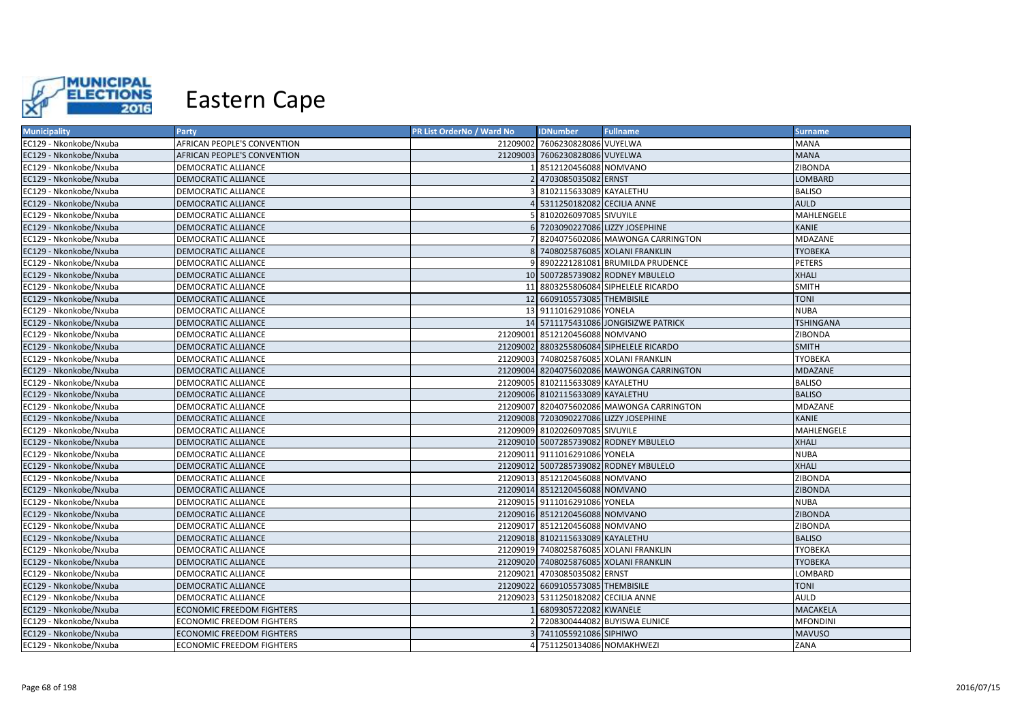

| <b>Municipality</b>    | <b>Party</b>                     | PR List OrderNo / Ward No | <b>IDNumber</b>                     | <b>Fullname</b>                           | <b>Surname</b>   |
|------------------------|----------------------------------|---------------------------|-------------------------------------|-------------------------------------------|------------------|
| EC129 - Nkonkobe/Nxuba | AFRICAN PEOPLE'S CONVENTION      |                           | 21209002 7606230828086 VUYELWA      |                                           | <b>MANA</b>      |
| EC129 - Nkonkobe/Nxuba | AFRICAN PEOPLE'S CONVENTION      |                           | 21209003 7606230828086 VUYELWA      |                                           | <b>MANA</b>      |
| EC129 - Nkonkobe/Nxuba | DEMOCRATIC ALLIANCE              |                           | 8512120456088 NOMVANO               |                                           | <b>ZIBONDA</b>   |
| EC129 - Nkonkobe/Nxuba | DEMOCRATIC ALLIANCE              |                           | 2 4703085035082 ERNST               |                                           | LOMBARD          |
| EC129 - Nkonkobe/Nxuba | DEMOCRATIC ALLIANCE              |                           | 3 8102115633089 KAYALETHU           |                                           | <b>BALISO</b>    |
| EC129 - Nkonkobe/Nxuba | <b>DEMOCRATIC ALLIANCE</b>       |                           | 4 5311250182082 CECILIA ANNE        |                                           | <b>AULD</b>      |
| EC129 - Nkonkobe/Nxuba | DEMOCRATIC ALLIANCE              |                           | 5 8102026097085 SIVUYILE            |                                           | MAHLENGELE       |
| EC129 - Nkonkobe/Nxuba | <b>DEMOCRATIC ALLIANCE</b>       |                           |                                     | 6 7203090227086 LIZZY JOSEPHINE           | <b>KANIE</b>     |
| EC129 - Nkonkobe/Nxuba | DEMOCRATIC ALLIANCE              |                           |                                     | 7 8204075602086 MAWONGA CARRINGTON        | MDAZANE          |
| EC129 - Nkonkobe/Nxuba | <b>DEMOCRATIC ALLIANCE</b>       |                           |                                     | 8 7408025876085 XOLANI FRANKLIN           | <b>TYOBEKA</b>   |
| EC129 - Nkonkobe/Nxuba | DEMOCRATIC ALLIANCE              |                           |                                     | 9 8902221281081 BRUMILDA PRUDENCE         | <b>PETERS</b>    |
| EC129 - Nkonkobe/Nxuba | DEMOCRATIC ALLIANCE              |                           |                                     | 10 5007285739082 RODNEY MBULELO           | <b>XHALI</b>     |
| EC129 - Nkonkobe/Nxuba | DEMOCRATIC ALLIANCE              |                           |                                     | 11 8803255806084 SIPHELELE RICARDO        | <b>SMITH</b>     |
| EC129 - Nkonkobe/Nxuba | <b>DEMOCRATIC ALLIANCE</b>       |                           | 12 6609105573085 THEMBISILE         |                                           | <b>TONI</b>      |
| EC129 - Nkonkobe/Nxuba | DEMOCRATIC ALLIANCE              |                           | 13 9111016291086 YONELA             |                                           | <b>NUBA</b>      |
| EC129 - Nkonkobe/Nxuba | <b>DEMOCRATIC ALLIANCE</b>       |                           |                                     | 14 5711175431086 JONGISIZWE PATRICK       | <b>TSHINGANA</b> |
| EC129 - Nkonkobe/Nxuba | DEMOCRATIC ALLIANCE              |                           | 21209001 8512120456088 NOMVANO      |                                           | <b>ZIBONDA</b>   |
| EC129 - Nkonkobe/Nxuba | <b>DEMOCRATIC ALLIANCE</b>       |                           |                                     | 21209002 8803255806084 SIPHELELE RICARDO  | <b>SMITH</b>     |
| EC129 - Nkonkobe/Nxuba | DEMOCRATIC ALLIANCE              |                           |                                     | 21209003 7408025876085 XOLANI FRANKLIN    | <b>TYOBEKA</b>   |
| EC129 - Nkonkobe/Nxuba | <b>DEMOCRATIC ALLIANCE</b>       |                           |                                     | 21209004 8204075602086 MAWONGA CARRINGTON | <b>MDAZANE</b>   |
| EC129 - Nkonkobe/Nxuba | DEMOCRATIC ALLIANCE              |                           | 21209005 8102115633089 KAYALETHU    |                                           | <b>BALISO</b>    |
| EC129 - Nkonkobe/Nxuba | <b>DEMOCRATIC ALLIANCE</b>       |                           | 21209006 8102115633089 KAYALETHU    |                                           | <b>BALISO</b>    |
| EC129 - Nkonkobe/Nxuba | DEMOCRATIC ALLIANCE              |                           |                                     | 21209007 8204075602086 MAWONGA CARRINGTON | MDAZANE          |
| EC129 - Nkonkobe/Nxuba | <b>DEMOCRATIC ALLIANCE</b>       |                           |                                     | 21209008 7203090227086 LIZZY JOSEPHINE    | KANIE            |
| EC129 - Nkonkobe/Nxuba | DEMOCRATIC ALLIANCE              |                           | 21209009 8102026097085 SIVUYILE     |                                           | MAHLENGELE       |
| EC129 - Nkonkobe/Nxuba | <b>DEMOCRATIC ALLIANCE</b>       |                           |                                     | 21209010 5007285739082 RODNEY MBULELO     | <b>XHALI</b>     |
| EC129 - Nkonkobe/Nxuba | DEMOCRATIC ALLIANCE              |                           | 21209011 9111016291086 YONELA       |                                           | <b>NUBA</b>      |
| EC129 - Nkonkobe/Nxuba | <b>DEMOCRATIC ALLIANCE</b>       |                           |                                     | 21209012 5007285739082 RODNEY MBULELO     | <b>XHALI</b>     |
| EC129 - Nkonkobe/Nxuba | DEMOCRATIC ALLIANCE              |                           | 21209013 8512120456088 NOMVANO      |                                           | ZIBONDA          |
| EC129 - Nkonkobe/Nxuba | <b>DEMOCRATIC ALLIANCE</b>       |                           | 21209014 8512120456088 NOMVANO      |                                           | <b>ZIBONDA</b>   |
| EC129 - Nkonkobe/Nxuba | DEMOCRATIC ALLIANCE              |                           | 21209015 9111016291086 YONELA       |                                           | <b>NUBA</b>      |
| EC129 - Nkonkobe/Nxuba | <b>DEMOCRATIC ALLIANCE</b>       |                           | 21209016 8512120456088 NOMVANO      |                                           | <b>ZIBONDA</b>   |
| EC129 - Nkonkobe/Nxuba | DEMOCRATIC ALLIANCE              |                           | 21209017 8512120456088 NOMVANO      |                                           | ZIBONDA          |
| EC129 - Nkonkobe/Nxuba | <b>DEMOCRATIC ALLIANCE</b>       |                           | 21209018 8102115633089 KAYALETHU    |                                           | <b>BALISO</b>    |
| EC129 - Nkonkobe/Nxuba | DEMOCRATIC ALLIANCE              |                           |                                     | 21209019 7408025876085 XOLANI FRANKLIN    | <b>TYOBEKA</b>   |
| EC129 - Nkonkobe/Nxuba | DEMOCRATIC ALLIANCE              |                           |                                     | 21209020 7408025876085 XOLANI FRANKLIN    | <b>TYOBEKA</b>   |
| EC129 - Nkonkobe/Nxuba | DEMOCRATIC ALLIANCE              |                           | 21209021 4703085035082 ERNST        |                                           | LOMBARD          |
| EC129 - Nkonkobe/Nxuba | DEMOCRATIC ALLIANCE              |                           | 21209022 6609105573085 THEMBISILE   |                                           | <b>TONI</b>      |
| EC129 - Nkonkobe/Nxuba | DEMOCRATIC ALLIANCE              |                           | 21209023 5311250182082 CECILIA ANNE |                                           | <b>AULD</b>      |
| EC129 - Nkonkobe/Nxuba | ECONOMIC FREEDOM FIGHTERS        |                           | 6809305722082 KWANELE               |                                           | <b>MACAKELA</b>  |
| EC129 - Nkonkobe/Nxuba | ECONOMIC FREEDOM FIGHTERS        |                           |                                     | 2 7208300444082 BUYISWA EUNICE            | <b>MFONDINI</b>  |
| EC129 - Nkonkobe/Nxuba | <b>ECONOMIC FREEDOM FIGHTERS</b> |                           | 3 7411055921086 SIPHIWO             |                                           | <b>MAVUSO</b>    |
| EC129 - Nkonkobe/Nxuba | <b>ECONOMIC FREEDOM FIGHTERS</b> |                           | 4 7511250134086 NOMAKHWEZI          |                                           | ZANA             |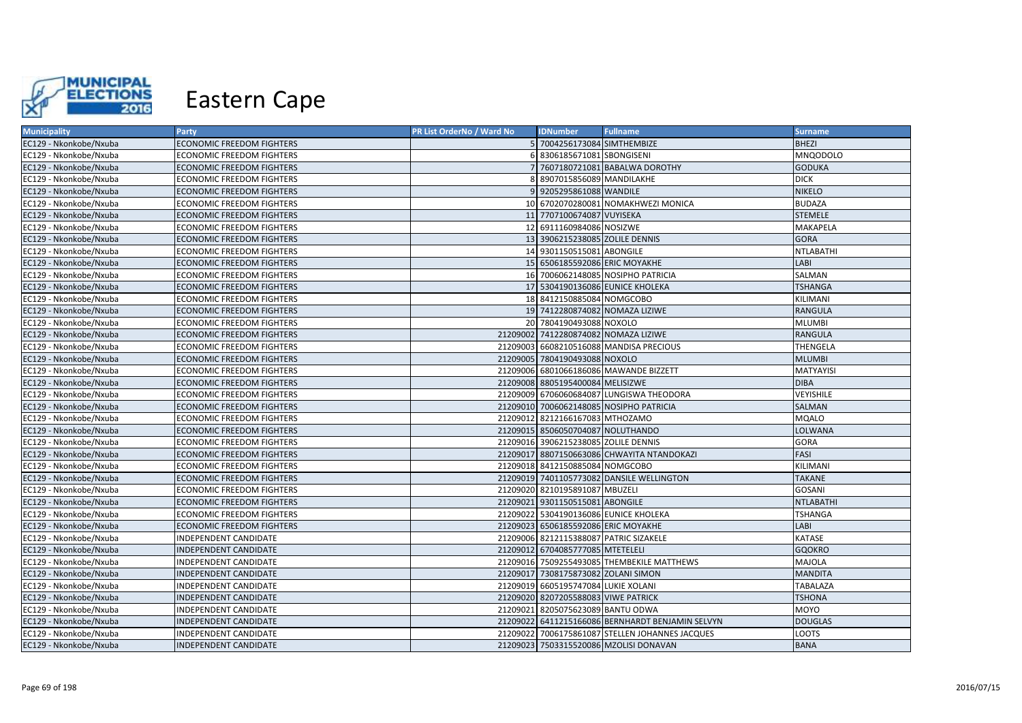

| <b>Municipality</b>    | <b>Party</b>                     | PR List OrderNo / Ward No | <b>IDNumber</b>                      | <b>Fullname</b>                                  | <b>Surname</b>   |
|------------------------|----------------------------------|---------------------------|--------------------------------------|--------------------------------------------------|------------------|
| EC129 - Nkonkobe/Nxuba | <b>ECONOMIC FREEDOM FIGHTERS</b> |                           | 5 7004256173084 SIMTHEMBIZE          |                                                  | <b>BHEZI</b>     |
| EC129 - Nkonkobe/Nxuba | <b>ECONOMIC FREEDOM FIGHTERS</b> |                           | 8306185671081 SBONGISENI             |                                                  | <b>MNQODOLO</b>  |
| EC129 - Nkonkobe/Nxuba | <b>ECONOMIC FREEDOM FIGHTERS</b> |                           |                                      | 7607180721081 BABALWA DOROTHY                    | <b>GODUKA</b>    |
| EC129 - Nkonkobe/Nxuba | ECONOMIC FREEDOM FIGHTERS        |                           | 8907015856089 MANDILAKHE             |                                                  | <b>DICK</b>      |
| EC129 - Nkonkobe/Nxuba | <b>ECONOMIC FREEDOM FIGHTERS</b> |                           | 9205295861088 WANDILE                |                                                  | <b>NIKELO</b>    |
| EC129 - Nkonkobe/Nxuba | ECONOMIC FREEDOM FIGHTERS        |                           |                                      | 10 6702070280081 NOMAKHWEZI MONICA               | <b>BUDAZA</b>    |
| EC129 - Nkonkobe/Nxuba | <b>ECONOMIC FREEDOM FIGHTERS</b> |                           | 11 7707100674087 VUYISEKA            |                                                  | <b>STEMELE</b>   |
| EC129 - Nkonkobe/Nxuba | ECONOMIC FREEDOM FIGHTERS        |                           | 12 6911160984086 NOSIZWE             |                                                  | MAKAPELA         |
| EC129 - Nkonkobe/Nxuba | ECONOMIC FREEDOM FIGHTERS        |                           | 13 3906215238085 ZOLILE DENNIS       |                                                  | <b>GORA</b>      |
| EC129 - Nkonkobe/Nxuba | <b>ECONOMIC FREEDOM FIGHTERS</b> |                           | 14 9301150515081 ABONGILE            |                                                  | <b>NTLABATHI</b> |
| EC129 - Nkonkobe/Nxuba | <b>ECONOMIC FREEDOM FIGHTERS</b> |                           | 15 6506185592086 ERIC MOYAKHE        |                                                  | LABI             |
| EC129 - Nkonkobe/Nxuba | ECONOMIC FREEDOM FIGHTERS        |                           |                                      | 16 7006062148085 NOSIPHO PATRICIA                | SALMAN           |
| EC129 - Nkonkobe/Nxuba | ECONOMIC FREEDOM FIGHTERS        |                           |                                      | 17 5304190136086 EUNICE KHOLEKA                  | <b>TSHANGA</b>   |
| EC129 - Nkonkobe/Nxuba | ECONOMIC FREEDOM FIGHTERS        |                           | 18 8412150885084 NOMGCOBO            |                                                  | KILIMANI         |
| EC129 - Nkonkobe/Nxuba | <b>ECONOMIC FREEDOM FIGHTERS</b> |                           |                                      | 19 7412280874082 NOMAZA LIZIWE                   | <b>RANGULA</b>   |
| EC129 - Nkonkobe/Nxuba | ECONOMIC FREEDOM FIGHTERS        |                           | 20 7804190493088 NOXOLO              |                                                  | <b>MLUMBI</b>    |
| EC129 - Nkonkobe/Nxuba | <b>ECONOMIC FREEDOM FIGHTERS</b> |                           |                                      | 21209002 7412280874082 NOMAZA LIZIWE             | <b>RANGULA</b>   |
| EC129 - Nkonkobe/Nxuba | ECONOMIC FREEDOM FIGHTERS        |                           |                                      | 21209003 6608210516088 MANDISA PRECIOUS          | THENGELA         |
| EC129 - Nkonkobe/Nxuba | ECONOMIC FREEDOM FIGHTERS        |                           | 21209005 7804190493088 NOXOLO        |                                                  | <b>MLUMBI</b>    |
| EC129 - Nkonkobe/Nxuba | ECONOMIC FREEDOM FIGHTERS        |                           |                                      | 21209006 6801066186086 MAWANDE BIZZETT           | MATYAYISI        |
| EC129 - Nkonkobe/Nxuba | <b>ECONOMIC FREEDOM FIGHTERS</b> |                           | 21209008 8805195400084 MELISIZWE     |                                                  | <b>DIBA</b>      |
| EC129 - Nkonkobe/Nxuba | ECONOMIC FREEDOM FIGHTERS        |                           |                                      | 21209009 6706060684087 LUNGISWA THEODORA         | <b>VEYISHILE</b> |
| EC129 - Nkonkobe/Nxuba | ECONOMIC FREEDOM FIGHTERS        |                           |                                      | 21209010 7006062148085 NOSIPHO PATRICIA          | SALMAN           |
| EC129 - Nkonkobe/Nxuba | ECONOMIC FREEDOM FIGHTERS        |                           | 21209012 8212166167083 MTHOZAMO      |                                                  | <b>MQALO</b>     |
| EC129 - Nkonkobe/Nxuba | <b>ECONOMIC FREEDOM FIGHTERS</b> |                           | 21209015 8506050704087 NOLUTHANDO    |                                                  | <b>LOLWANA</b>   |
| EC129 - Nkonkobe/Nxuba | ECONOMIC FREEDOM FIGHTERS        |                           | 21209016 3906215238085 ZOLILE DENNIS |                                                  | GORA             |
| EC129 - Nkonkobe/Nxuba | ECONOMIC FREEDOM FIGHTERS        |                           |                                      | 21209017 8807150663086 CHWAYITA NTANDOKAZI       | FASI             |
| EC129 - Nkonkobe/Nxuba | ECONOMIC FREEDOM FIGHTERS        |                           | 21209018 8412150885084 NOMGCOBO      |                                                  | KILIMANI         |
| EC129 - Nkonkobe/Nxuba | ECONOMIC FREEDOM FIGHTERS        |                           |                                      | 21209019 7401105773082 DANSILE WELLINGTON        | <b>TAKANE</b>    |
| EC129 - Nkonkobe/Nxuba | ECONOMIC FREEDOM FIGHTERS        |                           | 21209020 8210195891087 MBUZELI       |                                                  | GOSANI           |
| EC129 - Nkonkobe/Nxuba | ECONOMIC FREEDOM FIGHTERS        |                           | 21209021 9301150515081 ABONGILE      |                                                  | <b>NTLABATHI</b> |
| EC129 - Nkonkobe/Nxuba | ECONOMIC FREEDOM FIGHTERS        |                           |                                      | 21209022 5304190136086 EUNICE KHOLEKA            | TSHANGA          |
| EC129 - Nkonkobe/Nxuba | ECONOMIC FREEDOM FIGHTERS        |                           | 21209023 6506185592086 ERIC MOYAKHE  |                                                  | LABI             |
| EC129 - Nkonkobe/Nxuba | INDEPENDENT CANDIDATE            |                           |                                      | 21209006 8212115388087 PATRIC SIZAKELE           | KATASE           |
| EC129 - Nkonkobe/Nxuba | INDEPENDENT CANDIDATE            |                           | 21209012 6704085777085 MTETELELI     |                                                  | <b>GQOKRO</b>    |
| EC129 - Nkonkobe/Nxuba | INDEPENDENT CANDIDATE            |                           |                                      | 21209016 7509255493085 THEMBEKILE MATTHEWS       | MAJOLA           |
| EC129 - Nkonkobe/Nxuba | INDEPENDENT CANDIDATE            |                           | 21209017 7308175873082 ZOLANI SIMON  |                                                  | <b>MANDITA</b>   |
| EC129 - Nkonkobe/Nxuba | INDEPENDENT CANDIDATE            |                           | 21209019 6605195747084 LUKIE XOLANI  |                                                  | TABALAZA         |
| EC129 - Nkonkobe/Nxuba | INDEPENDENT CANDIDATE            |                           | 21209020 8207205588083 VIWE PATRICK  |                                                  | <b>TSHONA</b>    |
| EC129 - Nkonkobe/Nxuba | INDEPENDENT CANDIDATE            |                           | 21209021 8205075623089 BANTU ODWA    |                                                  | MOYO             |
| EC129 - Nkonkobe/Nxuba | INDEPENDENT CANDIDATE            |                           |                                      | 21209022 6411215166086 BERNHARDT BENJAMIN SELVYN | <b>DOUGLAS</b>   |
| EC129 - Nkonkobe/Nxuba | INDEPENDENT CANDIDATE            |                           |                                      | 21209022 7006175861087 STELLEN JOHANNES JACQUES  | LOOTS            |
| EC129 - Nkonkobe/Nxuba | INDEPENDENT CANDIDATE            |                           |                                      | 21209023 7503315520086 MZOLISI DONAVAN           | <b>BANA</b>      |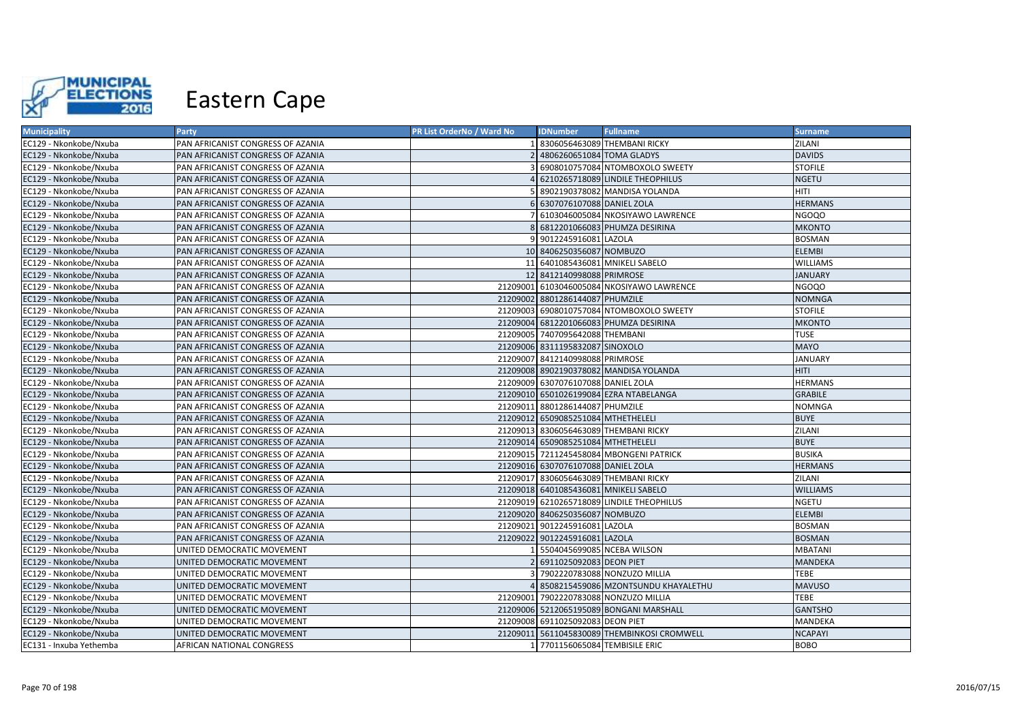

| <b>Municipality</b>     | <b>Party</b>                      | PR List OrderNo / Ward No | <b>IDNumber</b>                    | <b>Fullname</b>                             | <b>Surname</b>  |
|-------------------------|-----------------------------------|---------------------------|------------------------------------|---------------------------------------------|-----------------|
| EC129 - Nkonkobe/Nxuba  | PAN AFRICANIST CONGRESS OF AZANIA |                           |                                    | 8306056463089 THEMBANI RICKY                | ZILANI          |
| EC129 - Nkonkobe/Nxuba  | PAN AFRICANIST CONGRESS OF AZANIA |                           | 4806260651084 TOMA GLADYS          |                                             | <b>DAVIDS</b>   |
| EC129 - Nkonkobe/Nxuba  | PAN AFRICANIST CONGRESS OF AZANIA |                           |                                    | 6908010757084 NTOMBOXOLO SWEETY             | <b>STOFILE</b>  |
| EC129 - Nkonkobe/Nxuba  | PAN AFRICANIST CONGRESS OF AZANIA |                           |                                    | 6210265718089 LINDILE THEOPHILUS            | <b>NGETU</b>    |
| EC129 - Nkonkobe/Nxuba  | PAN AFRICANIST CONGRESS OF AZANIA |                           |                                    | 8902190378082 MANDISA YOLANDA               | HITI            |
| EC129 - Nkonkobe/Nxuba  | PAN AFRICANIST CONGRESS OF AZANIA |                           | 6307076107088 DANIEL ZOLA          |                                             | <b>HERMANS</b>  |
| EC129 - Nkonkobe/Nxuba  | PAN AFRICANIST CONGRESS OF AZANIA |                           |                                    | 6103046005084 NKOSIYAWO LAWRENCE            | <b>NGOQO</b>    |
| EC129 - Nkonkobe/Nxuba  | PAN AFRICANIST CONGRESS OF AZANIA |                           |                                    | 6812201066083 PHUMZA DESIRINA               | <b>MKONTO</b>   |
| EC129 - Nkonkobe/Nxuba  | PAN AFRICANIST CONGRESS OF AZANIA |                           | 9 9012245916081 LAZOLA             |                                             | <b>BOSMAN</b>   |
| EC129 - Nkonkobe/Nxuba  | PAN AFRICANIST CONGRESS OF AZANIA |                           | 10 8406250356087 NOMBUZO           |                                             | <b>ELEMBI</b>   |
| EC129 - Nkonkobe/Nxuba  | PAN AFRICANIST CONGRESS OF AZANIA |                           |                                    | 11 6401085436081 MNIKELI SABELO             | <b>WILLIAMS</b> |
| EC129 - Nkonkobe/Nxuba  | PAN AFRICANIST CONGRESS OF AZANIA |                           | 12 8412140998088 PRIMROSE          |                                             | <b>JANUARY</b>  |
| EC129 - Nkonkobe/Nxuba  | PAN AFRICANIST CONGRESS OF AZANIA |                           |                                    | 21209001 6103046005084 NKOSIYAWO LAWRENCE   | <b>NGOQO</b>    |
| EC129 - Nkonkobe/Nxuba  | PAN AFRICANIST CONGRESS OF AZANIA |                           | 21209002 8801286144087 PHUMZILE    |                                             | <b>NOMNGA</b>   |
| EC129 - Nkonkobe/Nxuba  | PAN AFRICANIST CONGRESS OF AZANIA | 21209003                  |                                    | 6908010757084 NTOMBOXOLO SWEETY             | <b>STOFILE</b>  |
| EC129 - Nkonkobe/Nxuba  | PAN AFRICANIST CONGRESS OF AZANIA |                           |                                    | 21209004 6812201066083 PHUMZA DESIRINA      | <b>MKONTO</b>   |
| EC129 - Nkonkobe/Nxuba  | PAN AFRICANIST CONGRESS OF AZANIA |                           | 21209005 7407095642088 THEMBANI    |                                             | <b>TUSE</b>     |
| EC129 - Nkonkobe/Nxuba  | PAN AFRICANIST CONGRESS OF AZANIA |                           | 21209006 8311195832087 SINOXOLO    |                                             | <b>MAYO</b>     |
| EC129 - Nkonkobe/Nxuba  | PAN AFRICANIST CONGRESS OF AZANIA |                           | 21209007 8412140998088 PRIMROSE    |                                             | <b>JANUARY</b>  |
| EC129 - Nkonkobe/Nxuba  | PAN AFRICANIST CONGRESS OF AZANIA |                           |                                    | 21209008 8902190378082 MANDISA YOLANDA      | <b>HITI</b>     |
| EC129 - Nkonkobe/Nxuba  | PAN AFRICANIST CONGRESS OF AZANIA |                           | 21209009 6307076107088 DANIEL ZOLA |                                             | <b>HERMANS</b>  |
| EC129 - Nkonkobe/Nxuba  | PAN AFRICANIST CONGRESS OF AZANIA |                           |                                    | 21209010 6501026199084 EZRA NTABELANGA      | <b>GRABILE</b>  |
| EC129 - Nkonkobe/Nxuba  | PAN AFRICANIST CONGRESS OF AZANIA | 21209011                  | 8801286144087 PHUMZILE             |                                             | <b>NOMNGA</b>   |
| EC129 - Nkonkobe/Nxuba  | PAN AFRICANIST CONGRESS OF AZANIA |                           | 21209012 6509085251084 MTHETHELELI |                                             | <b>BUYE</b>     |
| EC129 - Nkonkobe/Nxuba  | PAN AFRICANIST CONGRESS OF AZANIA |                           |                                    | 21209013 8306056463089 THEMBANI RICKY       | ZILANI          |
| EC129 - Nkonkobe/Nxuba  | PAN AFRICANIST CONGRESS OF AZANIA |                           | 21209014 6509085251084 MTHETHELELI |                                             | <b>BUYE</b>     |
| EC129 - Nkonkobe/Nxuba  | PAN AFRICANIST CONGRESS OF AZANIA |                           |                                    | 21209015 7211245458084 MBONGENI PATRICK     | <b>BUSIKA</b>   |
| EC129 - Nkonkobe/Nxuba  | PAN AFRICANIST CONGRESS OF AZANIA |                           | 21209016 6307076107088 DANIEL ZOLA |                                             | <b>HERMANS</b>  |
| EC129 - Nkonkobe/Nxuba  | PAN AFRICANIST CONGRESS OF AZANIA |                           |                                    | 21209017 8306056463089 THEMBANI RICKY       | ZILANI          |
| EC129 - Nkonkobe/Nxuba  | PAN AFRICANIST CONGRESS OF AZANIA |                           |                                    | 21209018 6401085436081 MNIKELI SABELO       | <b>WILLIAMS</b> |
| EC129 - Nkonkobe/Nxuba  | PAN AFRICANIST CONGRESS OF AZANIA |                           |                                    | 21209019 6210265718089 LINDILE THEOPHILUS   | NGETU           |
| EC129 - Nkonkobe/Nxuba  | PAN AFRICANIST CONGRESS OF AZANIA |                           | 21209020 8406250356087 NOMBUZO     |                                             | <b>ELEMBI</b>   |
| EC129 - Nkonkobe/Nxuba  | PAN AFRICANIST CONGRESS OF AZANIA |                           | 21209021 9012245916081 LAZOLA      |                                             | <b>BOSMAN</b>   |
| EC129 - Nkonkobe/Nxuba  | PAN AFRICANIST CONGRESS OF AZANIA |                           | 21209022 9012245916081 LAZOLA      |                                             | <b>BOSMAN</b>   |
| EC129 - Nkonkobe/Nxuba  | UNITED DEMOCRATIC MOVEMENT        |                           |                                    | 5504045699085 NCEBA WILSON                  | <b>MBATANI</b>  |
| EC129 - Nkonkobe/Nxuba  | UNITED DEMOCRATIC MOVEMENT        |                           | 6911025092083 DEON PIET            |                                             | <b>MANDEKA</b>  |
| EC129 - Nkonkobe/Nxuba  | UNITED DEMOCRATIC MOVEMENT        |                           |                                    | 7902220783088 NONZUZO MILLIA                | <b>TEBE</b>     |
| EC129 - Nkonkobe/Nxuba  | UNITED DEMOCRATIC MOVEMENT        |                           |                                    | 8508215459086 MZONTSUNDU KHAYALETHU         | <b>MAVUSO</b>   |
| EC129 - Nkonkobe/Nxuba  | UNITED DEMOCRATIC MOVEMENT        |                           |                                    | 21209001 7902220783088 NONZUZO MILLIA       | <b>TEBE</b>     |
| EC129 - Nkonkobe/Nxuba  | UNITED DEMOCRATIC MOVEMENT        |                           |                                    | 21209006 5212065195089 BONGANI MARSHALL     | <b>GANTSHO</b>  |
| EC129 - Nkonkobe/Nxuba  | UNITED DEMOCRATIC MOVEMENT        |                           | 21209008 6911025092083 DEON PIET   |                                             | MANDEKA         |
| EC129 - Nkonkobe/Nxuba  | UNITED DEMOCRATIC MOVEMENT        |                           |                                    | 21209011 5611045830089 THEMBINKOSI CROMWELL | <b>NCAPAYI</b>  |
| EC131 - Inxuba Yethemba | AFRICAN NATIONAL CONGRESS         |                           | 7701156065084 TEMBISILE ERIC       |                                             | <b>BOBO</b>     |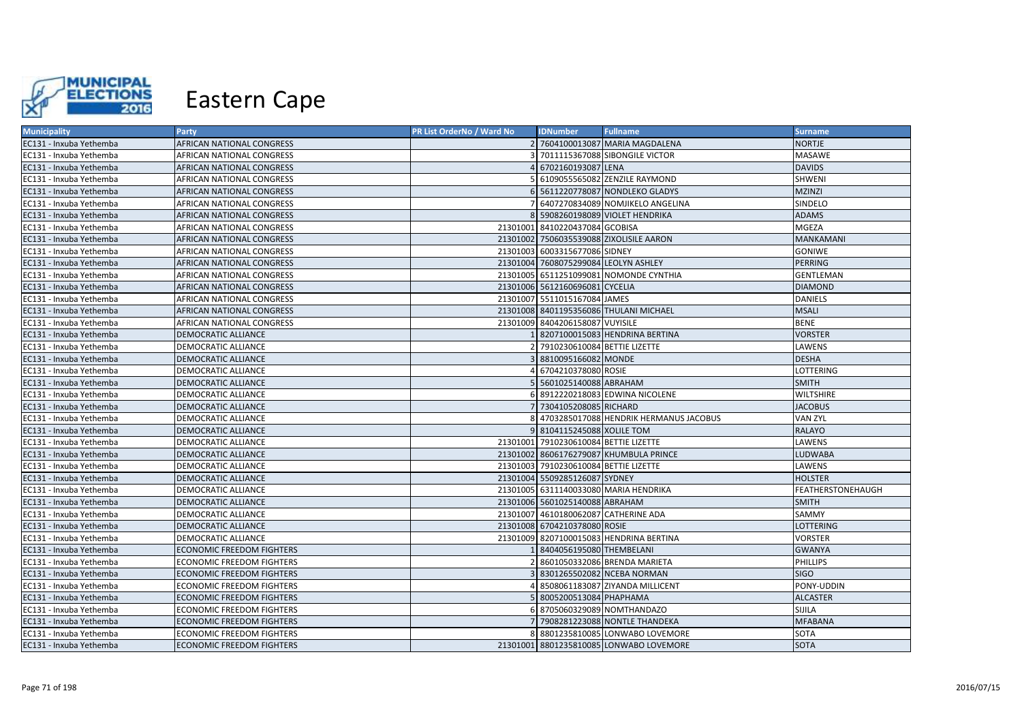

| <b>Municipality</b>     | <b>Party</b>                     | <b>PR List OrderNo / Ward No</b> | <b>IDNumber</b>                       | <b>Fullname</b>                         | <b>Surname</b>    |
|-------------------------|----------------------------------|----------------------------------|---------------------------------------|-----------------------------------------|-------------------|
| EC131 - Inxuba Yethemba | AFRICAN NATIONAL CONGRESS        |                                  |                                       | 2 7604100013087 MARIA MAGDALENA         | NORTJE            |
| EC131 - Inxuba Yethemba | AFRICAN NATIONAL CONGRESS        |                                  |                                       | 7011115367088 SIBONGILE VICTOR          | <b>MASAWE</b>     |
| EC131 - Inxuba Yethemba | AFRICAN NATIONAL CONGRESS        |                                  | 6702160193087 LENA                    |                                         | <b>DAVIDS</b>     |
| EC131 - Inxuba Yethemba | AFRICAN NATIONAL CONGRESS        |                                  |                                       | 6109055565082 ZENZILE RAYMOND           | SHWENI            |
| EC131 - Inxuba Yethemba | AFRICAN NATIONAL CONGRESS        |                                  |                                       | 6 5611220778087 NONDLEKO GLADYS         | <b>MZINZI</b>     |
| EC131 - Inxuba Yethemba | AFRICAN NATIONAL CONGRESS        |                                  |                                       | 6407270834089 NOMJIKELO ANGELINA        | SINDELO           |
| EC131 - Inxuba Yethemba | AFRICAN NATIONAL CONGRESS        |                                  |                                       | 8 5908260198089 VIOLET HENDRIKA         | <b>ADAMS</b>      |
| EC131 - Inxuba Yethemba | AFRICAN NATIONAL CONGRESS        |                                  | 21301001 8410220437084 GCOBISA        |                                         | <b>MGEZA</b>      |
| EC131 - Inxuba Yethemba | AFRICAN NATIONAL CONGRESS        |                                  |                                       | 21301002 7506035539088 ZIXOLISILE AARON | MANKAMANI         |
| EC131 - Inxuba Yethemba | AFRICAN NATIONAL CONGRESS        |                                  | 21301003 6003315677086 SIDNEY         |                                         | GONIWE            |
| EC131 - Inxuba Yethemba | AFRICAN NATIONAL CONGRESS        |                                  | 21301004 7608075299084 LEOLYN ASHLEY  |                                         | <b>PERRING</b>    |
| EC131 - Inxuba Yethemba | AFRICAN NATIONAL CONGRESS        |                                  |                                       | 21301005 6511251099081 NOMONDE CYNTHIA  | GENTLEMAN         |
| EC131 - Inxuba Yethemba | AFRICAN NATIONAL CONGRESS        |                                  | 21301006 5612160696081 CYCELIA        |                                         | <b>DIAMOND</b>    |
| EC131 - Inxuba Yethemba | AFRICAN NATIONAL CONGRESS        |                                  | 21301007 5511015167084 JAMES          |                                         | DANIELS           |
| EC131 - Inxuba Yethemba | AFRICAN NATIONAL CONGRESS        |                                  |                                       | 21301008 8401195356086 THULANI MICHAEL  | <b>MSALI</b>      |
| EC131 - Inxuba Yethemba | AFRICAN NATIONAL CONGRESS        |                                  | 21301009 8404206158087 VUYISILE       |                                         | <b>BENE</b>       |
| EC131 - Inxuba Yethemba | DEMOCRATIC ALLIANCE              |                                  |                                       | 8207100015083 HENDRINA BERTINA          | <b>VORSTER</b>    |
| EC131 - Inxuba Yethemba | DEMOCRATIC ALLIANCE              |                                  | 7910230610084 BETTIE LIZETTE          |                                         | LAWENS            |
| EC131 - Inxuba Yethemba | DEMOCRATIC ALLIANCE              |                                  | 8810095166082 MONDE                   |                                         | <b>DESHA</b>      |
| EC131 - Inxuba Yethemba | DEMOCRATIC ALLIANCE              |                                  | 6704210378080 ROSIE                   |                                         | LOTTERING         |
| EC131 - Inxuba Yethemba | DEMOCRATIC ALLIANCE              |                                  | 5601025140088 ABRAHAM                 |                                         | <b>SMITH</b>      |
| EC131 - Inxuba Yethemba | DEMOCRATIC ALLIANCE              |                                  |                                       | 8912220218083 EDWINA NICOLENE           | WILTSHIRE         |
| EC131 - Inxuba Yethemba | DEMOCRATIC ALLIANCE              |                                  | 7304105208085 RICHARD                 |                                         | <b>JACOBUS</b>    |
| EC131 - Inxuba Yethemba | DEMOCRATIC ALLIANCE              |                                  |                                       | 4703285017088 HENDRIK HERMANUS JACOBUS  | VAN ZYL           |
| EC131 - Inxuba Yethemba | DEMOCRATIC ALLIANCE              |                                  | 9 8104115245088 XOLILE TOM            |                                         | RALAYO            |
| EC131 - Inxuba Yethemba | DEMOCRATIC ALLIANCE              |                                  | 21301001 7910230610084 BETTIE LIZETTE |                                         | LAWENS            |
| EC131 - Inxuba Yethemba | DEMOCRATIC ALLIANCE              |                                  |                                       | 21301002 8606176279087 KHUMBULA PRINCE  | <b>LUDWABA</b>    |
| EC131 - Inxuba Yethemba | DEMOCRATIC ALLIANCE              |                                  | 21301003 7910230610084 BETTIE LIZETTE |                                         | LAWENS            |
| EC131 - Inxuba Yethemba | DEMOCRATIC ALLIANCE              |                                  | 21301004 5509285126087 SYDNEY         |                                         | HOLSTER           |
| EC131 - Inxuba Yethemba | DEMOCRATIC ALLIANCE              |                                  |                                       | 21301005 6311140033080 MARIA HENDRIKA   | FEATHERSTONEHAUGH |
| EC131 - Inxuba Yethemba | DEMOCRATIC ALLIANCE              |                                  | 21301006 5601025140088 ABRAHAM        |                                         | <b>SMITH</b>      |
| EC131 - Inxuba Yethemba | DEMOCRATIC ALLIANCE              |                                  | 21301007 4610180062087 CATHERINE ADA  |                                         | <b>SAMMY</b>      |
| EC131 - Inxuba Yethemba | DEMOCRATIC ALLIANCE              |                                  | 21301008 6704210378080 ROSIE          |                                         | LOTTERING         |
| EC131 - Inxuba Yethemba | DEMOCRATIC ALLIANCE              |                                  |                                       | 21301009 8207100015083 HENDRINA BERTINA | VORSTER           |
| EC131 - Inxuba Yethemba | <b>ECONOMIC FREEDOM FIGHTERS</b> |                                  | 8404056195080 THEMBELANI              |                                         | <b>GWANYA</b>     |
| EC131 - Inxuba Yethemba | ECONOMIC FREEDOM FIGHTERS        |                                  |                                       | 8601050332086 BRENDA MARIETA            | <b>PHILLIPS</b>   |
| EC131 - Inxuba Yethemba | <b>ECONOMIC FREEDOM FIGHTERS</b> |                                  |                                       | 8301265502082 NCEBA NORMAN              | <b>SIGO</b>       |
| EC131 - Inxuba Yethemba | ECONOMIC FREEDOM FIGHTERS        |                                  |                                       | 8508061183087 ZIYANDA MILLICENT         | PONY-UDDIN        |
| EC131 - Inxuba Yethemba | ECONOMIC FREEDOM FIGHTERS        |                                  | 8005200513084 PHAPHAMA                |                                         | <b>ALCASTER</b>   |
| EC131 - Inxuba Yethemba | ECONOMIC FREEDOM FIGHTERS        |                                  |                                       | 8705060329089 NOMTHANDAZO               | SIJILA            |
| EC131 - Inxuba Yethemba | ECONOMIC FREEDOM FIGHTERS        |                                  |                                       | 7908281223088 NONTLE THANDEKA           | <b>MFABANA</b>    |
| EC131 - Inxuba Yethemba | ECONOMIC FREEDOM FIGHTERS        |                                  |                                       | 8801235810085 LONWABO LOVEMORE          | SOTA              |
| EC131 - Inxuba Yethemba | <b>ECONOMIC FREEDOM FIGHTERS</b> |                                  |                                       | 21301001 8801235810085 LONWABO LOVEMORE | <b>SOTA</b>       |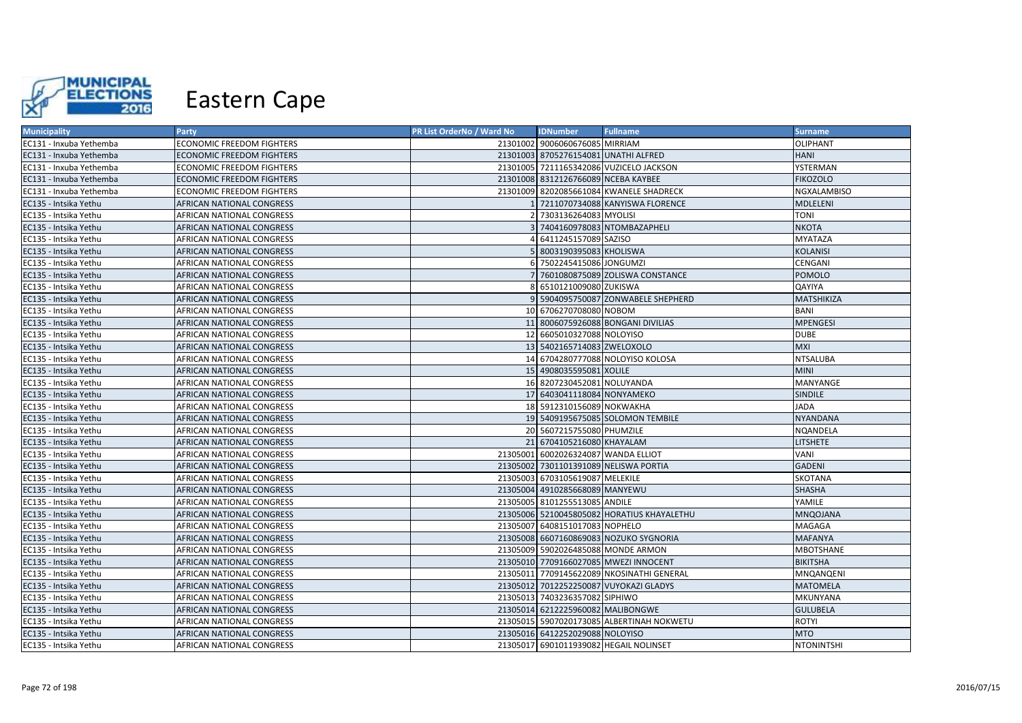

| <b>Municipality</b>     | <b>Party</b>              | PR List OrderNo / Ward No | <b>IDNumber</b>                      | <b>Fullname</b>                            | <b>Surname</b>    |
|-------------------------|---------------------------|---------------------------|--------------------------------------|--------------------------------------------|-------------------|
| EC131 - Inxuba Yethemba | ECONOMIC FREEDOM FIGHTERS |                           | 21301002 9006060676085 MIRRIAM       |                                            | OLIPHANT          |
| EC131 - Inxuba Yethemba | ECONOMIC FREEDOM FIGHTERS |                           | 21301003 8705276154081 UNATHI ALFRED |                                            | HANI              |
| EC131 - Inxuba Yethemba | ECONOMIC FREEDOM FIGHTERS |                           |                                      | 21301005 7211165342086 VUZICELO JACKSON    | YSTERMAN          |
| EC131 - Inxuba Yethemba | ECONOMIC FREEDOM FIGHTERS |                           | 21301008 8312126766089 NCEBA KAYBEE  |                                            | <b>FIKOZOLO</b>   |
| EC131 - Inxuba Yethemba | ECONOMIC FREEDOM FIGHTERS |                           |                                      | 21301009 8202085661084 KWANELE SHADRECK    | NGXALAMBISO       |
| EC135 - Intsika Yethu   | AFRICAN NATIONAL CONGRESS |                           |                                      | 7211070734088 KANYISWA FLORENCE            | MDLELENI          |
| EC135 - Intsika Yethu   | AFRICAN NATIONAL CONGRESS |                           | 2 7303136264083 MYOLISI              |                                            | <b>TONI</b>       |
| EC135 - Intsika Yethu   | AFRICAN NATIONAL CONGRESS |                           |                                      | 7404160978083 NTOMBAZAPHELI                | NKOTA             |
| EC135 - Intsika Yethu   | AFRICAN NATIONAL CONGRESS |                           | 6411245157089 SAZISO                 |                                            | MYATAZA           |
| EC135 - Intsika Yethu   | AFRICAN NATIONAL CONGRESS |                           | 8003190395083 KHOLISWA               |                                            | <b>KOLANISI</b>   |
| EC135 - Intsika Yethu   | AFRICAN NATIONAL CONGRESS |                           | 7502245415086 JONGUMZI               |                                            | CENGANI           |
| EC135 - Intsika Yethu   | AFRICAN NATIONAL CONGRESS |                           |                                      | 7601080875089 ZOLISWA CONSTANCE            | POMOLO            |
| EC135 - Intsika Yethu   | AFRICAN NATIONAL CONGRESS |                           | 8 6510121009080 ZUKISWA              |                                            | QAYIYA            |
| EC135 - Intsika Yethu   | AFRICAN NATIONAL CONGRESS |                           |                                      | 9 5904095750087 ZONWABELE SHEPHERD         | MATSHIKIZA        |
| EC135 - Intsika Yethu   | AFRICAN NATIONAL CONGRESS |                           | 10 6706270708080 NOBOM               |                                            | BANI              |
| EC135 - Intsika Yethu   | AFRICAN NATIONAL CONGRESS |                           |                                      | 11 8006075926088 BONGANI DIVILIAS          | <b>MPENGESI</b>   |
| EC135 - Intsika Yethu   | AFRICAN NATIONAL CONGRESS |                           | 12 6605010327088 NOLOYISO            |                                            | <b>DUBE</b>       |
| EC135 - Intsika Yethu   | AFRICAN NATIONAL CONGRESS |                           | 13 5402165714083 ZWELOXOLO           |                                            | MXI               |
| EC135 - Intsika Yethu   | AFRICAN NATIONAL CONGRESS |                           |                                      | 14 6704280777088 NOLOYISO KOLOSA           | NTSALUBA          |
| EC135 - Intsika Yethu   | AFRICAN NATIONAL CONGRESS |                           | 15 4908035595081 XOLILE              |                                            | <b>MINI</b>       |
| EC135 - Intsika Yethu   | AFRICAN NATIONAL CONGRESS |                           | 16 8207230452081 NOLUYANDA           |                                            | MANYANGE          |
| EC135 - Intsika Yethu   | AFRICAN NATIONAL CONGRESS |                           | 17 6403041118084 NONYAMEKO           |                                            | <b>SINDILE</b>    |
| EC135 - Intsika Yethu   | AFRICAN NATIONAL CONGRESS |                           | 18 5912310156089 NOKWAKHA            |                                            | <b>JADA</b>       |
| EC135 - Intsika Yethu   | AFRICAN NATIONAL CONGRESS |                           |                                      | 19 5409195675085 SOLOMON TEMBILE           | <b>NYANDANA</b>   |
| EC135 - Intsika Yethu   | AFRICAN NATIONAL CONGRESS |                           | 20 5607215755080 PHUMZILE            |                                            | NOANDELA          |
| EC135 - Intsika Yethu   | AFRICAN NATIONAL CONGRESS |                           | 21 6704105216080 KHAYALAM            |                                            | LITSHETE          |
| EC135 - Intsika Yethu   | AFRICAN NATIONAL CONGRESS |                           | 21305001 6002026324087 WANDA ELLIOT  |                                            | VANI              |
| EC135 - Intsika Yethu   | AFRICAN NATIONAL CONGRESS |                           |                                      | 21305002 7301101391089 NELISWA PORTIA      | <b>GADENI</b>     |
| EC135 - Intsika Yethu   | AFRICAN NATIONAL CONGRESS |                           | 21305003 6703105619087 MELEKILE      |                                            | SKOTANA           |
| EC135 - Intsika Yethu   | AFRICAN NATIONAL CONGRESS |                           | 21305004 4910285668089 MANYEWU       |                                            | <b>SHASHA</b>     |
| EC135 - Intsika Yethu   | AFRICAN NATIONAL CONGRESS |                           | 21305005 8101255513085 ANDILE        |                                            | YAMILE            |
| EC135 - Intsika Yethu   | AFRICAN NATIONAL CONGRESS |                           |                                      | 21305006 5210045805082 HORATIUS KHAYALETHU | MNQOJANA          |
| EC135 - Intsika Yethu   | AFRICAN NATIONAL CONGRESS |                           | 21305007 6408151017083 NOPHELO       |                                            | MAGAGA            |
| EC135 - Intsika Yethu   | AFRICAN NATIONAL CONGRESS |                           |                                      | 21305008 6607160869083 NOZUKO SYGNORIA     | <b>MAFANYA</b>    |
| EC135 - Intsika Yethu   | AFRICAN NATIONAL CONGRESS |                           |                                      | 21305009 5902026485088 MONDE ARMON         | MBOTSHANE         |
| EC135 - Intsika Yethu   | AFRICAN NATIONAL CONGRESS |                           |                                      | 21305010 7709166027085 MWEZI INNOCENT      | <b>BIKITSHA</b>   |
| EC135 - Intsika Yethu   | AFRICAN NATIONAL CONGRESS |                           |                                      | 21305011 7709145622089 NKOSINATHI GENERAL  | MNQANQENI         |
| EC135 - Intsika Yethu   | AFRICAN NATIONAL CONGRESS |                           |                                      | 21305012 7012252250087 VUYOKAZI GLADYS     | MATOMELA          |
| EC135 - Intsika Yethu   | AFRICAN NATIONAL CONGRESS |                           | 21305013 7403236357082 SIPHIWO       |                                            | MKUNYANA          |
| EC135 - Intsika Yethu   | AFRICAN NATIONAL CONGRESS |                           | 21305014 6212225960082 MALIBONGWE    |                                            | <b>GULUBELA</b>   |
| EC135 - Intsika Yethu   | AFRICAN NATIONAL CONGRESS |                           |                                      | 21305015 5907020173085 ALBERTINAH NOKWETU  | ROTYI             |
| EC135 - Intsika Yethu   | AFRICAN NATIONAL CONGRESS |                           | 21305016 6412252029088 NOLOYISO      |                                            | <b>MTO</b>        |
| EC135 - Intsika Yethu   | AFRICAN NATIONAL CONGRESS |                           |                                      | 21305017 6901011939082 HEGAIL NOLINSET     | <b>NTONINTSHI</b> |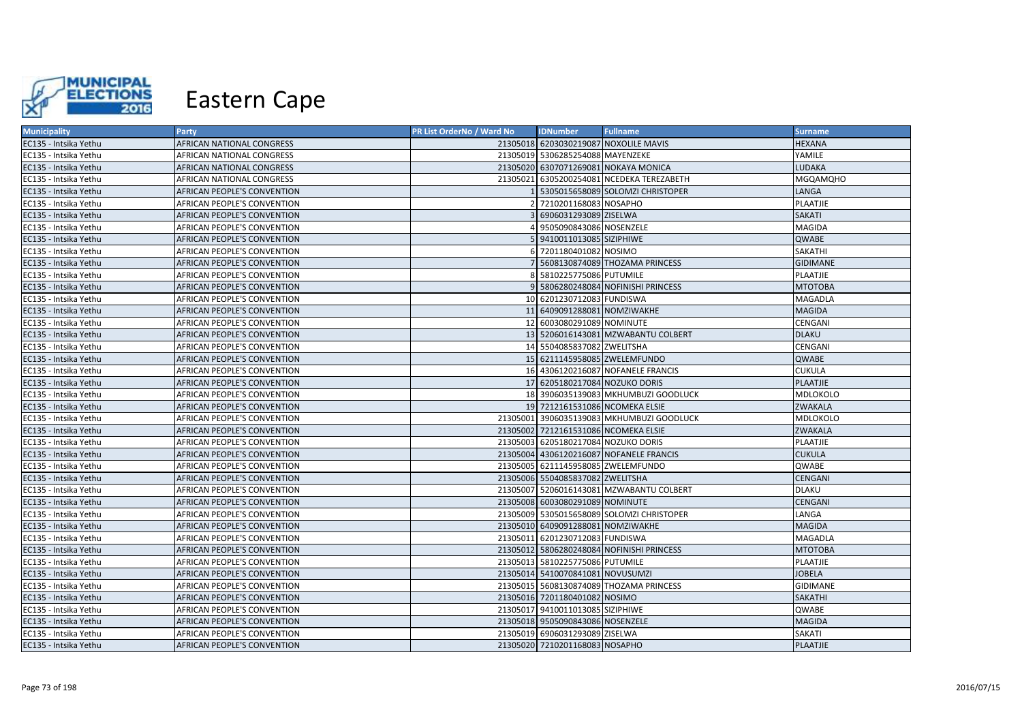

| <b>Municipality</b>   | <b>Party</b>                | PR List OrderNo / Ward No | <b>IDNumber</b>                      | <b>Fullname</b>                           | <b>Surname</b>  |
|-----------------------|-----------------------------|---------------------------|--------------------------------------|-------------------------------------------|-----------------|
| EC135 - Intsika Yethu | AFRICAN NATIONAL CONGRESS   |                           |                                      | 21305018 6203030219087 NOXOLILE MAVIS     | <b>HEXANA</b>   |
| EC135 - Intsika Yethu | AFRICAN NATIONAL CONGRESS   |                           | 21305019 5306285254088 MAYENZEKE     |                                           | YAMILE          |
| EC135 - Intsika Yethu | AFRICAN NATIONAL CONGRESS   |                           |                                      | 21305020 6307071269081 NOKAYA MONICA      | LUDAKA          |
| EC135 - Intsika Yethu | AFRICAN NATIONAL CONGRESS   |                           |                                      | 21305021 6305200254081 NCEDEKA TEREZABETH | <b>MGQAMQHO</b> |
| EC135 - Intsika Yethu | AFRICAN PEOPLE'S CONVENTION |                           |                                      | 5305015658089 SOLOMZI CHRISTOPER          | LANGA           |
| EC135 - Intsika Yethu | AFRICAN PEOPLE'S CONVENTION |                           | 2 7210201168083 NOSAPHO              |                                           | PLAATJIE        |
| EC135 - Intsika Yethu | AFRICAN PEOPLE'S CONVENTION |                           | 3 6906031293089 ZISELWA              |                                           | <b>SAKATI</b>   |
| EC135 - Intsika Yethu | AFRICAN PEOPLE'S CONVENTION |                           | 9505090843086 NOSENZELE              |                                           | <b>MAGIDA</b>   |
| EC135 - Intsika Yethu | AFRICAN PEOPLE'S CONVENTION |                           | 5 9410011013085 SIZIPHIWE            |                                           | QWABE           |
| EC135 - Intsika Yethu | AFRICAN PEOPLE'S CONVENTION |                           | 6 7201180401082 NOSIMO               |                                           | <b>SAKATHI</b>  |
| EC135 - Intsika Yethu | AFRICAN PEOPLE'S CONVENTION |                           |                                      | 7 5608130874089 THOZAMA PRINCESS          | <b>GIDIMANE</b> |
| EC135 - Intsika Yethu | AFRICAN PEOPLE'S CONVENTION |                           | 8 5810225775086 PUTUMILE             |                                           | PLAATJIE        |
| EC135 - Intsika Yethu | AFRICAN PEOPLE'S CONVENTION |                           |                                      | 9 5806280248084 NOFINISHI PRINCESS        | <b>MTOTOBA</b>  |
| EC135 - Intsika Yethu | AFRICAN PEOPLE'S CONVENTION |                           | 10 6201230712083 FUNDISWA            |                                           | MAGADLA         |
| EC135 - Intsika Yethu | AFRICAN PEOPLE'S CONVENTION |                           | 11 6409091288081 NOMZIWAKHE          |                                           | <b>MAGIDA</b>   |
| EC135 - Intsika Yethu | AFRICAN PEOPLE'S CONVENTION |                           | 12 6003080291089 NOMINUTE            |                                           | CENGANI         |
| EC135 - Intsika Yethu | AFRICAN PEOPLE'S CONVENTION |                           |                                      | 13 5206016143081 MZWABANTU COLBERT        | <b>DLAKU</b>    |
| EC135 - Intsika Yethu | AFRICAN PEOPLE'S CONVENTION |                           | 14 5504085837082 ZWELITSHA           |                                           | CENGANI         |
| EC135 - Intsika Yethu | AFRICAN PEOPLE'S CONVENTION |                           | 15 6211145958085 ZWELEMFUNDO         |                                           | QWABE           |
| EC135 - Intsika Yethu | AFRICAN PEOPLE'S CONVENTION |                           |                                      | 16 4306120216087 NOFANELE FRANCIS         | <b>CUKULA</b>   |
| EC135 - Intsika Yethu | AFRICAN PEOPLE'S CONVENTION |                           | 17 6205180217084 NOZUKO DORIS        |                                           | <b>PLAATJIE</b> |
| EC135 - Intsika Yethu | AFRICAN PEOPLE'S CONVENTION |                           |                                      | 18 3906035139083 MKHUMBUZI GOODLUCK       | <b>MDLOKOLO</b> |
| EC135 - Intsika Yethu | AFRICAN PEOPLE'S CONVENTION |                           | 19 7212161531086 NCOMEKA ELSIE       |                                           | ZWAKALA         |
| EC135 - Intsika Yethu | AFRICAN PEOPLE'S CONVENTION |                           |                                      | 21305001 3906035139083 MKHUMBUZI GOODLUCK | <b>MDLOKOLO</b> |
| EC135 - Intsika Yethu | AFRICAN PEOPLE'S CONVENTION |                           | 21305002 7212161531086 NCOMEKA ELSIE |                                           | <b>ZWAKALA</b>  |
| EC135 - Intsika Yethu | AFRICAN PEOPLE'S CONVENTION |                           | 21305003 6205180217084 NOZUKO DORIS  |                                           | PLAATJIE        |
| EC135 - Intsika Yethu | AFRICAN PEOPLE'S CONVENTION |                           |                                      | 21305004 4306120216087 NOFANELE FRANCIS   | <b>CUKULA</b>   |
| EC135 - Intsika Yethu | AFRICAN PEOPLE'S CONVENTION |                           | 21305005 6211145958085 ZWELEMFUNDO   |                                           | QWABE           |
| EC135 - Intsika Yethu | AFRICAN PEOPLE'S CONVENTION |                           | 21305006 5504085837082 ZWELITSHA     |                                           | <b>CENGANI</b>  |
| EC135 - Intsika Yethu | AFRICAN PEOPLE'S CONVENTION |                           |                                      | 21305007 5206016143081 MZWABANTU COLBERT  | <b>DLAKU</b>    |
| EC135 - Intsika Yethu | AFRICAN PEOPLE'S CONVENTION |                           | 21305008 6003080291089 NOMINUTE      |                                           | CENGANI         |
| EC135 - Intsika Yethu | AFRICAN PEOPLE'S CONVENTION |                           |                                      | 21305009 5305015658089 SOLOMZI CHRISTOPER | LANGA           |
| EC135 - Intsika Yethu | AFRICAN PEOPLE'S CONVENTION |                           | 21305010 6409091288081 NOMZIWAKHE    |                                           | <b>MAGIDA</b>   |
| EC135 - Intsika Yethu | AFRICAN PEOPLE'S CONVENTION |                           | 21305011 6201230712083 FUNDISWA      |                                           | MAGADLA         |
| EC135 - Intsika Yethu | AFRICAN PEOPLE'S CONVENTION |                           |                                      | 21305012 5806280248084 NOFINISHI PRINCESS | <b>MTOTOBA</b>  |
| EC135 - Intsika Yethu | AFRICAN PEOPLE'S CONVENTION |                           | 21305013 5810225775086 PUTUMILE      |                                           | PLAATJIE        |
| EC135 - Intsika Yethu | AFRICAN PEOPLE'S CONVENTION |                           | 21305014 5410070841081 NOVUSUMZI     |                                           | <b>JOBELA</b>   |
| EC135 - Intsika Yethu | AFRICAN PEOPLE'S CONVENTION |                           |                                      | 21305015 5608130874089 THOZAMA PRINCESS   | <b>GIDIMANE</b> |
| EC135 - Intsika Yethu | AFRICAN PEOPLE'S CONVENTION |                           | 21305016 7201180401082 NOSIMO        |                                           | <b>SAKATHI</b>  |
| EC135 - Intsika Yethu | AFRICAN PEOPLE'S CONVENTION |                           | 21305017 9410011013085 SIZIPHIWE     |                                           | QWABE           |
| EC135 - Intsika Yethu | AFRICAN PEOPLE'S CONVENTION |                           | 21305018 9505090843086 NOSENZELE     |                                           | <b>MAGIDA</b>   |
| EC135 - Intsika Yethu | AFRICAN PEOPLE'S CONVENTION |                           | 21305019 6906031293089 ZISELWA       |                                           | SAKATI          |
| EC135 - Intsika Yethu | AFRICAN PEOPLE'S CONVENTION |                           | 21305020 7210201168083 NOSAPHO       |                                           | PLAATJIE        |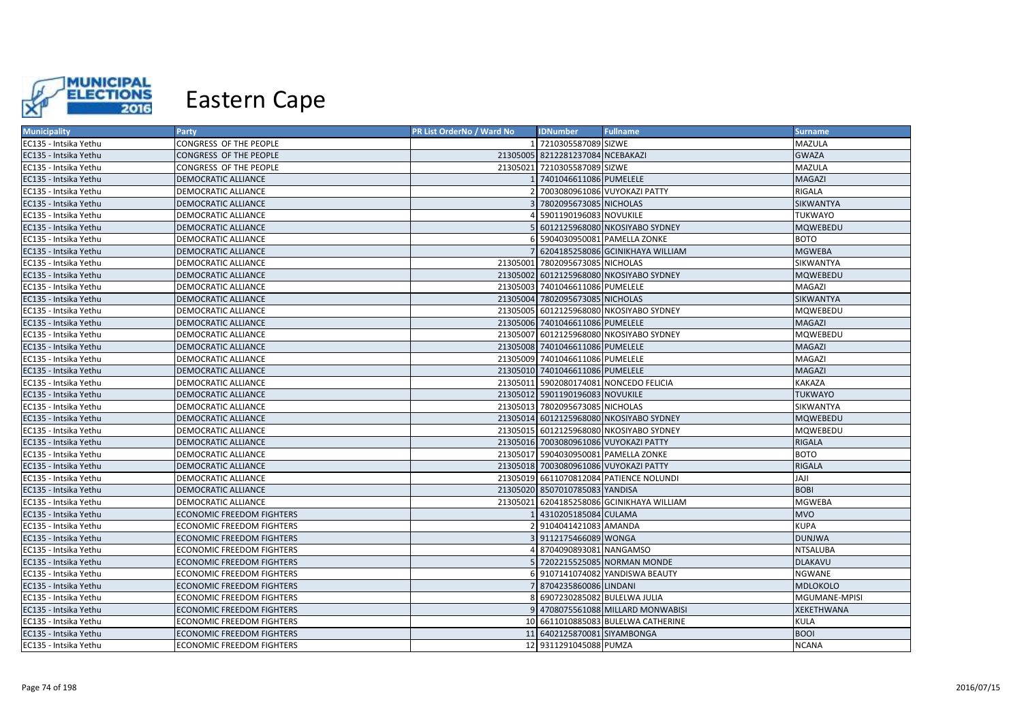

| <b>Municipality</b>   | <b>Party</b>                     | PR List OrderNo / Ward No | <b>IDNumber</b>                  | <b>Fullname</b>                           | <b>Surname</b>  |
|-----------------------|----------------------------------|---------------------------|----------------------------------|-------------------------------------------|-----------------|
| EC135 - Intsika Yethu | CONGRESS OF THE PEOPLE           |                           | 7210305587089 SIZWE              |                                           | MAZULA          |
| EC135 - Intsika Yethu | CONGRESS OF THE PEOPLE           |                           | 21305005 8212281237084 NCEBAKAZI |                                           | <b>GWAZA</b>    |
| EC135 - Intsika Yethu | CONGRESS OF THE PEOPLE           |                           | 21305021 7210305587089 SIZWE     |                                           | MAZULA          |
| EC135 - Intsika Yethu | DEMOCRATIC ALLIANCE              |                           | 7401046611086 PUMELELE           |                                           | <b>MAGAZI</b>   |
| EC135 - Intsika Yethu | DEMOCRATIC ALLIANCE              |                           |                                  | 7003080961086 VUYOKAZI PATTY              | RIGALA          |
| EC135 - Intsika Yethu | <b>DEMOCRATIC ALLIANCE</b>       |                           | 7802095673085 NICHOLAS           |                                           | SIKWANTYA       |
| EC135 - Intsika Yethu | DEMOCRATIC ALLIANCE              |                           | 5901190196083 NOVUKILE           |                                           | <b>TUKWAYO</b>  |
| EC135 - Intsika Yethu | <b>DEMOCRATIC ALLIANCE</b>       |                           |                                  | 6012125968080 NKOSIYABO SYDNEY            | <b>MQWEBEDU</b> |
| EC135 - Intsika Yethu | DEMOCRATIC ALLIANCE              | 6                         |                                  | 5904030950081 PAMELLA ZONKE               | <b>BOTO</b>     |
| EC135 - Intsika Yethu | DEMOCRATIC ALLIANCE              |                           |                                  | 6204185258086 GCINIKHAYA WILLIAM          | <b>MGWEBA</b>   |
| EC135 - Intsika Yethu | DEMOCRATIC ALLIANCE              |                           | 21305001 7802095673085 NICHOLAS  |                                           | SIKWANTYA       |
| EC135 - Intsika Yethu | DEMOCRATIC ALLIANCE              |                           |                                  | 21305002 6012125968080 NKOSIYABO SYDNEY   | <b>MQWEBEDU</b> |
| EC135 - Intsika Yethu | DEMOCRATIC ALLIANCE              |                           | 21305003 7401046611086 PUMELELE  |                                           | MAGAZI          |
| EC135 - Intsika Yethu | DEMOCRATIC ALLIANCE              |                           | 21305004 7802095673085 NICHOLAS  |                                           | SIKWANTYA       |
| EC135 - Intsika Yethu | DEMOCRATIC ALLIANCE              |                           |                                  | 21305005 6012125968080 NKOSIYABO SYDNEY   | MQWEBEDU        |
| EC135 - Intsika Yethu | DEMOCRATIC ALLIANCE              |                           | 21305006 7401046611086 PUMELELE  |                                           | <b>MAGAZI</b>   |
| EC135 - Intsika Yethu | DEMOCRATIC ALLIANCE              |                           |                                  | 21305007 6012125968080 NKOSIYABO SYDNEY   | MQWEBEDU        |
| EC135 - Intsika Yethu | DEMOCRATIC ALLIANCE              |                           | 21305008 7401046611086 PUMELELE  |                                           | <b>MAGAZI</b>   |
| EC135 - Intsika Yethu | DEMOCRATIC ALLIANCE              |                           | 21305009 7401046611086 PUMELELE  |                                           | MAGAZI          |
| EC135 - Intsika Yethu | DEMOCRATIC ALLIANCE              |                           | 21305010 7401046611086 PUMELELE  |                                           | <b>MAGAZI</b>   |
| EC135 - Intsika Yethu | DEMOCRATIC ALLIANCE              |                           |                                  | 21305011 5902080174081 NONCEDO FELICIA    | <b>KAKAZA</b>   |
| EC135 - Intsika Yethu | DEMOCRATIC ALLIANCE              |                           | 21305012 5901190196083 NOVUKILE  |                                           | <b>TUKWAYO</b>  |
| EC135 - Intsika Yethu | DEMOCRATIC ALLIANCE              |                           | 21305013 7802095673085 NICHOLAS  |                                           | SIKWANTYA       |
| EC135 - Intsika Yethu | DEMOCRATIC ALLIANCE              |                           |                                  | 21305014 6012125968080 NKOSIYABO SYDNEY   | <b>MQWEBEDU</b> |
| EC135 - Intsika Yethu | DEMOCRATIC ALLIANCE              | 21305015                  |                                  | 6012125968080 NKOSIYABO SYDNEY            | MQWEBEDU        |
| EC135 - Intsika Yethu | DEMOCRATIC ALLIANCE              |                           |                                  | 21305016 7003080961086 VUYOKAZI PATTY     | <b>RIGALA</b>   |
| EC135 - Intsika Yethu | DEMOCRATIC ALLIANCE              |                           |                                  | 21305017 5904030950081 PAMELLA ZONKE      | <b>BOTO</b>     |
| EC135 - Intsika Yethu | DEMOCRATIC ALLIANCE              |                           |                                  | 21305018 7003080961086 VUYOKAZI PATTY     | RIGALA          |
| EC135 - Intsika Yethu | DEMOCRATIC ALLIANCE              |                           |                                  | 21305019 6611070812084 PATIENCE NOLUNDI   | <b>JAJI</b>     |
| EC135 - Intsika Yethu | <b>DEMOCRATIC ALLIANCE</b>       |                           | 21305020 8507010785083 YANDISA   |                                           | <b>BOBI</b>     |
| EC135 - Intsika Yethu | DEMOCRATIC ALLIANCE              |                           |                                  | 21305021 6204185258086 GCINIKHAYA WILLIAM | <b>MGWEBA</b>   |
| EC135 - Intsika Yethu | ECONOMIC FREEDOM FIGHTERS        |                           | 4310205185084 CULAMA             |                                           | <b>MVO</b>      |
| EC135 - Intsika Yethu | ECONOMIC FREEDOM FIGHTERS        |                           | 9104041421083 AMANDA             |                                           | <b>KUPA</b>     |
| EC135 - Intsika Yethu | <b>ECONOMIC FREEDOM FIGHTERS</b> |                           | 9112175466089 WONGA              |                                           | <b>DUNJWA</b>   |
| EC135 - Intsika Yethu | ECONOMIC FREEDOM FIGHTERS        |                           | 8704090893081 NANGAMSO           |                                           | <b>NTSALUBA</b> |
| EC135 - Intsika Yethu | ECONOMIC FREEDOM FIGHTERS        |                           |                                  | 5 7202215525085 NORMAN MONDE              | <b>DLAKAVU</b>  |
| EC135 - Intsika Yethu | ECONOMIC FREEDOM FIGHTERS        |                           |                                  | 6 9107141074082 YANDISWA BEAUTY           | <b>NGWANE</b>   |
| EC135 - Intsika Yethu | ECONOMIC FREEDOM FIGHTERS        |                           | 8704235860086 LINDANI            |                                           | <b>MDLOKOLO</b> |
| EC135 - Intsika Yethu | ECONOMIC FREEDOM FIGHTERS        |                           | 6907230285082 BULELWA JULIA      |                                           | MGUMANE-MPISI   |
| EC135 - Intsika Yethu | <b>ECONOMIC FREEDOM FIGHTERS</b> |                           |                                  | 4708075561088 MILLARD MONWABISI           | XEKETHWANA      |
| EC135 - Intsika Yethu | ECONOMIC FREEDOM FIGHTERS        |                           |                                  | 10 6611010885083 BULELWA CATHERINE        | <b>KULA</b>     |
| EC135 - Intsika Yethu | <b>ECONOMIC FREEDOM FIGHTERS</b> |                           | 11 6402125870081 SIYAMBONGA      |                                           | <b>BOOI</b>     |
| EC135 - Intsika Yethu | ECONOMIC FREEDOM FIGHTERS        |                           | 12 9311291045088 PUMZA           |                                           | <b>NCANA</b>    |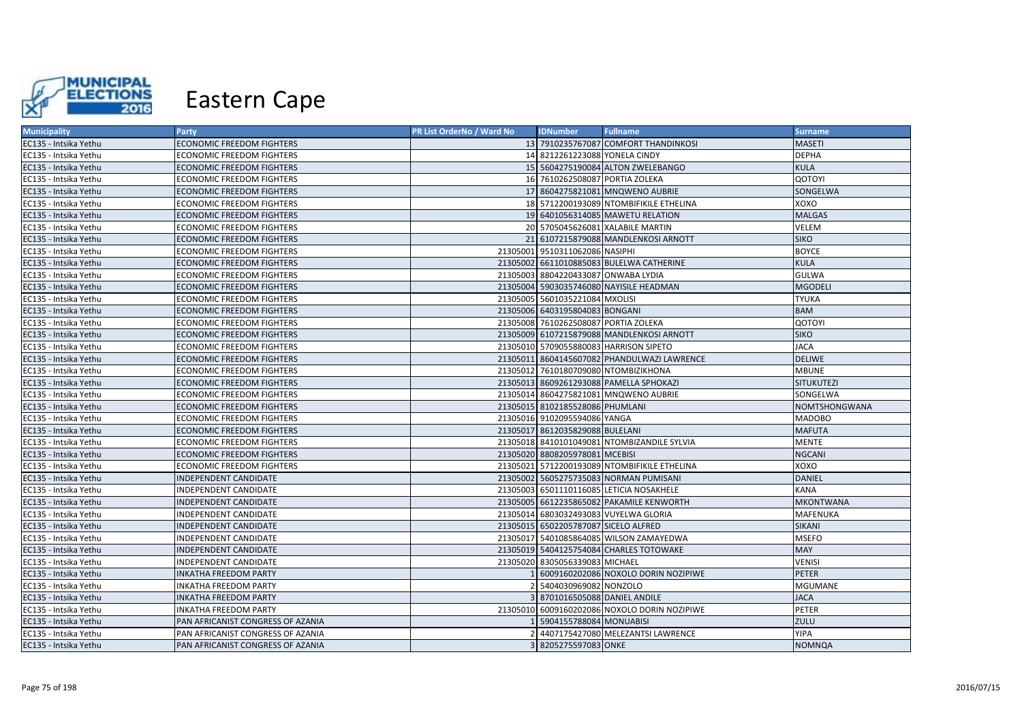

| <b>Municipality</b>   | <b>Party</b>                      | PR List OrderNo / Ward No | <b>IDNumber</b>                      | <b>Fullname</b>                              | <b>Surname</b>    |
|-----------------------|-----------------------------------|---------------------------|--------------------------------------|----------------------------------------------|-------------------|
| EC135 - Intsika Yethu | <b>ECONOMIC FREEDOM FIGHTERS</b>  |                           |                                      | 13 7910235767087 COMFORT THANDINKOSI         | <b>MASETI</b>     |
| EC135 - Intsika Yethu | ECONOMIC FREEDOM FIGHTERS         |                           | 14 8212261223088 YONELA CINDY        |                                              | <b>DEPHA</b>      |
| EC135 - Intsika Yethu | <b>ECONOMIC FREEDOM FIGHTERS</b>  |                           |                                      | 15 5604275190084 ALTON ZWELEBANGO            | <b>KULA</b>       |
| EC135 - Intsika Yethu | ECONOMIC FREEDOM FIGHTERS         |                           | 16 7610262508087 PORTIA ZOLEKA       |                                              | QOTOYI            |
| EC135 - Intsika Yethu | ECONOMIC FREEDOM FIGHTERS         |                           |                                      | 17 8604275821081 MNQWENO AUBRIE              | SONGELWA          |
| EC135 - Intsika Yethu | ECONOMIC FREEDOM FIGHTERS         |                           |                                      | 18 5712200193089 NTOMBIFIKILE ETHELINA       | xoxo              |
| EC135 - Intsika Yethu | ECONOMIC FREEDOM FIGHTERS         |                           |                                      | 19 6401056314085 MAWETU RELATION             | <b>MALGAS</b>     |
| EC135 - Intsika Yethu | ECONOMIC FREEDOM FIGHTERS         |                           |                                      | 20 5705045626081 XALABILE MARTIN             | VELEM             |
| EC135 - Intsika Yethu | ECONOMIC FREEDOM FIGHTERS         |                           |                                      | 21 6107215879088 MANDLENKOSI ARNOTT          | <b>SIKO</b>       |
| EC135 - Intsika Yethu | ECONOMIC FREEDOM FIGHTERS         |                           | 21305001 9510311062086 NASIPHI       |                                              | <b>BOYCE</b>      |
| EC135 - Intsika Yethu | ECONOMIC FREEDOM FIGHTERS         |                           |                                      | 21305002 6611010885083 BULELWA CATHERINE     | <b>KULA</b>       |
| EC135 - Intsika Yethu | ECONOMIC FREEDOM FIGHTERS         |                           | 21305003 8804220433087 ONWABA LYDIA  |                                              | <b>GULWA</b>      |
| EC135 - Intsika Yethu | <b>ECONOMIC FREEDOM FIGHTERS</b>  |                           |                                      | 21305004 5903035746080 NAYISILE HEADMAN      | <b>MGODELI</b>    |
| EC135 - Intsika Yethu | <b>ECONOMIC FREEDOM FIGHTERS</b>  |                           | 21305005 5601035221084 MXOLISI       |                                              | <b>TYUKA</b>      |
| EC135 - Intsika Yethu | ECONOMIC FREEDOM FIGHTERS         |                           | 21305006 6403195804083 BONGANI       |                                              | <b>BAM</b>        |
| EC135 - Intsika Yethu | ECONOMIC FREEDOM FIGHTERS         |                           | 21305008 7610262508087 PORTIA ZOLEKA |                                              | QOTOYI            |
| EC135 - Intsika Yethu | ECONOMIC FREEDOM FIGHTERS         |                           |                                      | 21305009 6107215879088 MANDLENKOSI ARNOTT    | <b>SIKO</b>       |
| EC135 - Intsika Yethu | ECONOMIC FREEDOM FIGHTERS         |                           |                                      | 21305010 5709055880083 HARRISON SIPETO       | <b>JACA</b>       |
| EC135 - Intsika Yethu | ECONOMIC FREEDOM FIGHTERS         |                           |                                      | 21305011 8604145607082 PHANDULWAZI LAWRENCE  | <b>DELIWE</b>     |
| EC135 - Intsika Yethu | ECONOMIC FREEDOM FIGHTERS         |                           |                                      | 21305012 7610180709080 NTOMBIZIKHONA         | <b>MBUNE</b>      |
| EC135 - Intsika Yethu | ECONOMIC FREEDOM FIGHTERS         |                           |                                      | 21305013 8609261293088 PAMELLA SPHOKAZI      | <b>SITUKUTEZI</b> |
| EC135 - Intsika Yethu | ECONOMIC FREEDOM FIGHTERS         | 21305014                  |                                      | 8604275821081 MNQWENO AUBRIE                 | SONGELWA          |
| EC135 - Intsika Yethu | ECONOMIC FREEDOM FIGHTERS         |                           | 21305015 8102185528086 PHUMLANI      |                                              | NOMTSHONGWANA     |
| EC135 - Intsika Yethu | ECONOMIC FREEDOM FIGHTERS         |                           | 21305016 9102095594086 YANGA         |                                              | <b>MADOBO</b>     |
| EC135 - Intsika Yethu | <b>ECONOMIC FREEDOM FIGHTERS</b>  |                           | 21305017 8612035829088 BULELANI      |                                              | <b>MAFUTA</b>     |
| EC135 - Intsika Yethu | ECONOMIC FREEDOM FIGHTERS         |                           |                                      | 21305018 8410101049081 NTOMBIZANDILE SYLVIA  | <b>MENTE</b>      |
| EC135 - Intsika Yethu | ECONOMIC FREEDOM FIGHTERS         |                           | 21305020 8808205978081 MCEBISI       |                                              | <b>NGCANI</b>     |
| EC135 - Intsika Yethu | ECONOMIC FREEDOM FIGHTERS         |                           |                                      | 21305021 5712200193089 NTOMBIFIKILE ETHELINA | OXOX              |
| EC135 - Intsika Yethu | INDEPENDENT CANDIDATE             |                           |                                      | 21305002 5605275735083 NORMAN PUMISANI       | DANIEL            |
| EC135 - Intsika Yethu | INDEPENDENT CANDIDATE             | 21305003                  |                                      | 6501110116085 LETICIA NOSAKHELE              | <b>KANA</b>       |
| EC135 - Intsika Yethu | INDEPENDENT CANDIDATE             |                           |                                      | 21305005 6612235865082 PAKAMILE KENWORTH     | <b>MKONTWANA</b>  |
| EC135 - Intsika Yethu | INDEPENDENT CANDIDATE             |                           |                                      | 21305014 6803032493083 VUYELWA GLORIA        | <b>MAFENUKA</b>   |
| EC135 - Intsika Yethu | INDEPENDENT CANDIDATE             |                           | 21305015 6502205787087 SICELO ALFRED |                                              | <b>SIKANI</b>     |
| EC135 - Intsika Yethu | INDEPENDENT CANDIDATE             |                           |                                      | 21305017 5401085864085 WILSON ZAMAYEDWA      | <b>MSEFO</b>      |
| EC135 - Intsika Yethu | INDEPENDENT CANDIDATE             |                           |                                      | 21305019 5404125754084 CHARLES TOTOWAKE      | <b>MAY</b>        |
| EC135 - Intsika Yethu | INDEPENDENT CANDIDATE             |                           | 21305020 8305056339083 MICHAEL       |                                              | <b>VENISI</b>     |
| EC135 - Intsika Yethu | <b>INKATHA FREEDOM PARTY</b>      |                           |                                      | 6009160202086 NOXOLO DORIN NOZIPIWE          | <b>PETER</b>      |
| EC135 - Intsika Yethu | INKATHA FREEDOM PARTY             |                           | 5404030969082 NONZOLO                |                                              | <b>MGUMANE</b>    |
| EC135 - Intsika Yethu | INKATHA FREEDOM PARTY             |                           | 8701016505088 DANIEL ANDILE          |                                              | <b>JACA</b>       |
| EC135 - Intsika Yethu | INKATHA FREEDOM PARTY             |                           |                                      | 21305010 6009160202086 NOXOLO DORIN NOZIPIWE | PETER             |
| EC135 - Intsika Yethu | PAN AFRICANIST CONGRESS OF AZANIA |                           | 5904155788084 MONUABISI              |                                              | ZULU              |
| EC135 - Intsika Yethu | PAN AFRICANIST CONGRESS OF AZANIA |                           |                                      | 4407175427080 MELEZANTSI LAWRENCE            | <b>YIPA</b>       |
| EC135 - Intsika Yethu | PAN AFRICANIST CONGRESS OF AZANIA |                           | 3 8205275597083 ONKE                 |                                              | <b>NOMNQA</b>     |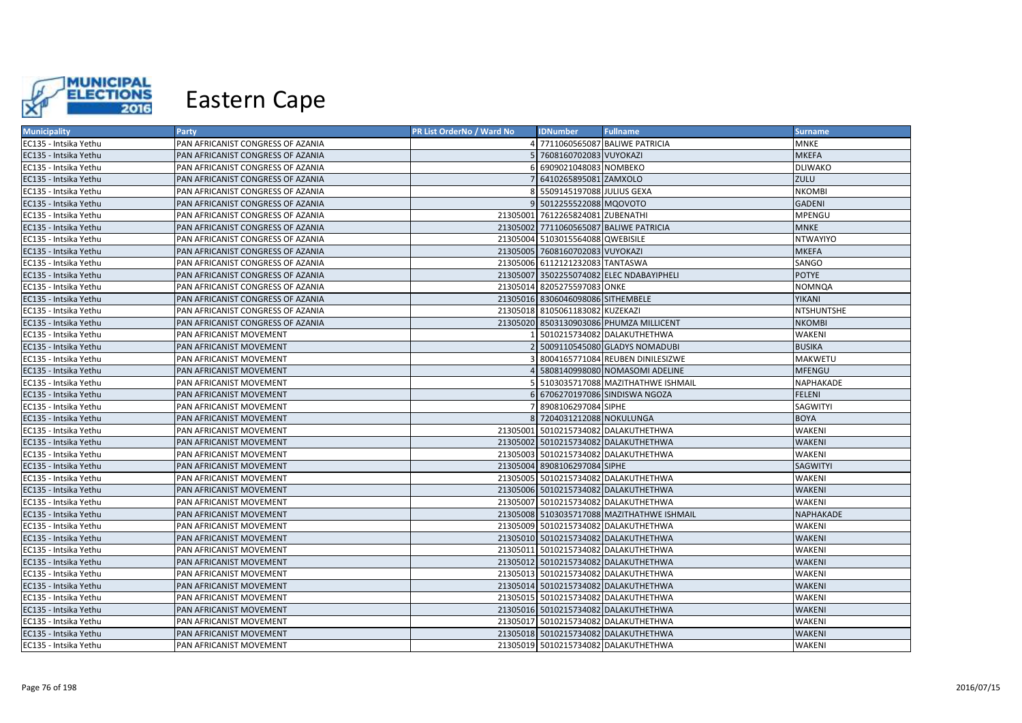

| <b>Municipality</b>   | <b>Party</b>                      | PR List OrderNo / Ward No | <b>IDNumber</b>                   | <b>Fullname</b>                            | <b>Surname</b>    |
|-----------------------|-----------------------------------|---------------------------|-----------------------------------|--------------------------------------------|-------------------|
| EC135 - Intsika Yethu | PAN AFRICANIST CONGRESS OF AZANIA |                           |                                   | 7711060565087 BALIWE PATRICIA              | <b>MNKE</b>       |
| EC135 - Intsika Yethu | PAN AFRICANIST CONGRESS OF AZANIA |                           | 7608160702083 VUYOKAZI            |                                            | <b>MKEFA</b>      |
| EC135 - Intsika Yethu | PAN AFRICANIST CONGRESS OF AZANIA |                           | 6909021048083 NOMBEKO             |                                            | <b>DLIWAKO</b>    |
| EC135 - Intsika Yethu | PAN AFRICANIST CONGRESS OF AZANIA |                           | 7 6410265895081 ZAMXOLO           |                                            | ZULU              |
| EC135 - Intsika Yethu | PAN AFRICANIST CONGRESS OF AZANIA |                           | 5509145197088 JULIUS GEXA         |                                            | <b>NKOMBI</b>     |
| EC135 - Intsika Yethu | PAN AFRICANIST CONGRESS OF AZANIA |                           | 5012255522088 MQOVOTO             |                                            | <b>GADENI</b>     |
| EC135 - Intsika Yethu | PAN AFRICANIST CONGRESS OF AZANIA |                           | 21305001 7612265824081 ZUBENATHI  |                                            | MPENGU            |
| EC135 - Intsika Yethu | PAN AFRICANIST CONGRESS OF AZANIA |                           |                                   | 21305002 7711060565087 BALIWE PATRICIA     | <b>MNKE</b>       |
| EC135 - Intsika Yethu | PAN AFRICANIST CONGRESS OF AZANIA |                           | 21305004 5103015564088 QWEBISILE  |                                            | <b>NTWAYIYO</b>   |
| EC135 - Intsika Yethu | PAN AFRICANIST CONGRESS OF AZANIA |                           | 21305005 7608160702083 VUYOKAZI   |                                            | <b>MKEFA</b>      |
| EC135 - Intsika Yethu | PAN AFRICANIST CONGRESS OF AZANIA |                           | 21305006 6112121232083 TANTASWA   |                                            | SANGO             |
| EC135 - Intsika Yethu | PAN AFRICANIST CONGRESS OF AZANIA |                           |                                   | 21305007 3502255074082 ELEC NDABAYIPHELI   | <b>POTYE</b>      |
| EC135 - Intsika Yethu | PAN AFRICANIST CONGRESS OF AZANIA |                           | 21305014 8205275597083 ONKE       |                                            | NOMNQA            |
| EC135 - Intsika Yethu | PAN AFRICANIST CONGRESS OF AZANIA |                           | 21305016 8306046098086 SITHEMBELE |                                            | <b>YIKANI</b>     |
| EC135 - Intsika Yethu | PAN AFRICANIST CONGRESS OF AZANIA |                           | 21305018 8105061183082 KUZEKAZI   |                                            | <b>NTSHUNTSHE</b> |
| EC135 - Intsika Yethu | PAN AFRICANIST CONGRESS OF AZANIA |                           |                                   | 21305020 8503130903086 PHUMZA MILLICENT    | <b>NKOMBI</b>     |
| EC135 - Intsika Yethu | PAN AFRICANIST MOVEMENT           |                           |                                   | 5010215734082 DALAKUTHETHWA                | WAKENI            |
| EC135 - Intsika Yethu | PAN AFRICANIST MOVEMENT           |                           |                                   | 5009110545080 GLADYS NOMADUBI              | <b>BUSIKA</b>     |
| EC135 - Intsika Yethu | PAN AFRICANIST MOVEMENT           |                           |                                   | 8004165771084 REUBEN DINILESIZWE           | <b>MAKWETU</b>    |
| EC135 - Intsika Yethu | PAN AFRICANIST MOVEMENT           |                           |                                   | 5808140998080 NOMASOMI ADELINE             | <b>MFENGU</b>     |
| EC135 - Intsika Yethu | PAN AFRICANIST MOVEMENT           |                           |                                   | 5103035717088 MAZITHATHWE ISHMAIL          | NAPHAKADE         |
| EC135 - Intsika Yethu | PAN AFRICANIST MOVEMENT           |                           |                                   | 6706270197086 SINDISWA NGOZA               | <b>FELENI</b>     |
| EC135 - Intsika Yethu | PAN AFRICANIST MOVEMENT           |                           | 8908106297084 SIPHE               |                                            | SAGWITYI          |
| EC135 - Intsika Yethu | PAN AFRICANIST MOVEMENT           |                           | 8 7204031212088 NOKULUNGA         |                                            | <b>BOYA</b>       |
| EC135 - Intsika Yethu | PAN AFRICANIST MOVEMENT           |                           |                                   | 21305001 5010215734082 DALAKUTHETHWA       | <b>WAKENI</b>     |
| EC135 - Intsika Yethu | PAN AFRICANIST MOVEMENT           |                           |                                   | 21305002 5010215734082 DALAKUTHETHWA       | <b>WAKENI</b>     |
| EC135 - Intsika Yethu | PAN AFRICANIST MOVEMENT           |                           |                                   | 21305003 5010215734082 DALAKUTHETHWA       | WAKENI            |
| EC135 - Intsika Yethu | PAN AFRICANIST MOVEMENT           |                           | 21305004 8908106297084 SIPHE      |                                            | <b>SAGWITYI</b>   |
| EC135 - Intsika Yethu | PAN AFRICANIST MOVEMENT           |                           |                                   | 21305005 5010215734082 DALAKUTHETHWA       | WAKENI            |
| EC135 - Intsika Yethu | PAN AFRICANIST MOVEMENT           |                           |                                   | 21305006 5010215734082 DALAKUTHETHWA       | <b>WAKENI</b>     |
| EC135 - Intsika Yethu | PAN AFRICANIST MOVEMENT           |                           |                                   | 21305007 5010215734082 DALAKUTHETHWA       | WAKENI            |
| EC135 - Intsika Yethu | PAN AFRICANIST MOVEMENT           |                           |                                   | 21305008 5103035717088 MAZITHATHWE ISHMAIL | NAPHAKADE         |
| EC135 - Intsika Yethu | PAN AFRICANIST MOVEMENT           |                           |                                   | 21305009 5010215734082 DALAKUTHETHWA       | WAKENI            |
| EC135 - Intsika Yethu | PAN AFRICANIST MOVEMENT           |                           |                                   | 21305010 5010215734082 DALAKUTHETHWA       | WAKENI            |
| EC135 - Intsika Yethu | PAN AFRICANIST MOVEMENT           | 21305011                  |                                   | 5010215734082 DALAKUTHETHWA                | WAKENI            |
| EC135 - Intsika Yethu | PAN AFRICANIST MOVEMENT           |                           |                                   | 21305012 5010215734082 DALAKUTHETHWA       | WAKENI            |
| EC135 - Intsika Yethu | PAN AFRICANIST MOVEMENT           |                           |                                   | 21305013 5010215734082 DALAKUTHETHWA       | WAKENI            |
| EC135 - Intsika Yethu | PAN AFRICANIST MOVEMENT           |                           |                                   | 21305014 5010215734082 DALAKUTHETHWA       | WAKENI            |
| EC135 - Intsika Yethu | PAN AFRICANIST MOVEMENT           |                           |                                   | 21305015 5010215734082 DALAKUTHETHWA       | WAKENI            |
| EC135 - Intsika Yethu | PAN AFRICANIST MOVEMENT           |                           |                                   | 21305016 5010215734082 DALAKUTHETHWA       | WAKENI            |
| EC135 - Intsika Yethu | PAN AFRICANIST MOVEMENT           |                           |                                   | 21305017 5010215734082 DALAKUTHETHWA       | WAKENI            |
| EC135 - Intsika Yethu | PAN AFRICANIST MOVEMENT           |                           |                                   | 21305018 5010215734082 DALAKUTHETHWA       | WAKENI            |
| EC135 - Intsika Yethu | PAN AFRICANIST MOVEMENT           |                           |                                   | 21305019 5010215734082 DALAKUTHETHWA       | WAKENI            |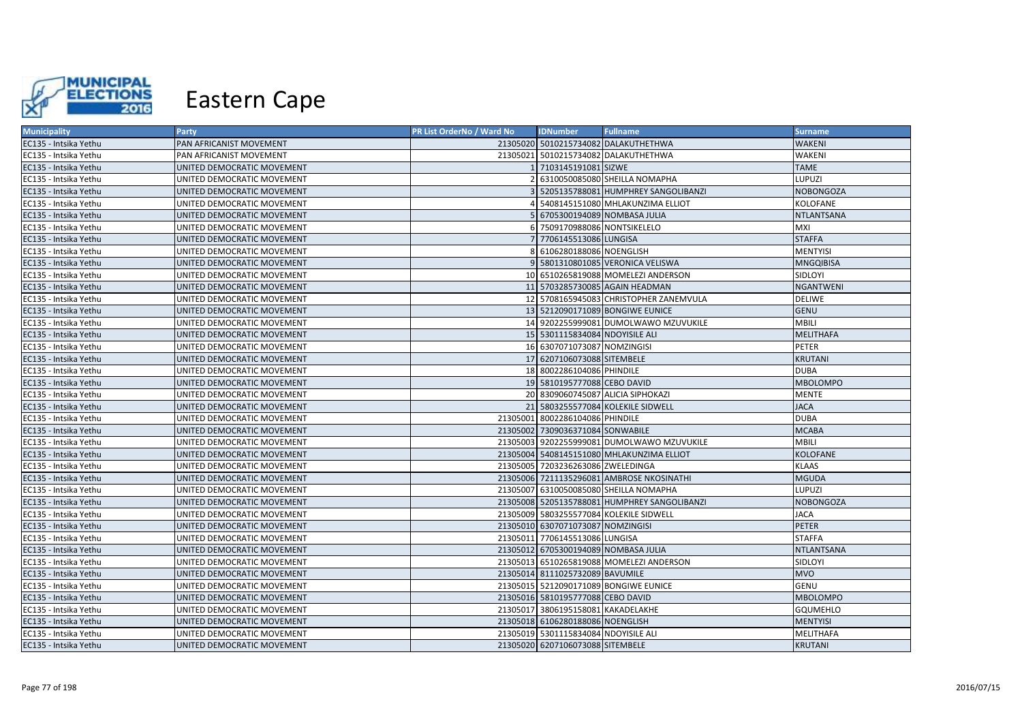

| <b>Municipality</b>   | <b>Party</b>               | PR List OrderNo / Ward No | <b>IDNumber</b>                      | <b>Fullname</b>                              | <b>Surname</b>    |
|-----------------------|----------------------------|---------------------------|--------------------------------------|----------------------------------------------|-------------------|
| EC135 - Intsika Yethu | PAN AFRICANIST MOVEMENT    |                           |                                      | 21305020 5010215734082 DALAKUTHETHWA         | <b>WAKENI</b>     |
| EC135 - Intsika Yethu | PAN AFRICANIST MOVEMENT    |                           |                                      | 21305021 5010215734082 DALAKUTHETHWA         | WAKENI            |
| EC135 - Intsika Yethu | UNITED DEMOCRATIC MOVEMENT |                           | 1 7103145191081 SIZWE                |                                              | <b>TAME</b>       |
| EC135 - Intsika Yethu | UNITED DEMOCRATIC MOVEMENT |                           |                                      | 2 6310050085080 SHEILLA NOMAPHA              | LUPUZI            |
| EC135 - Intsika Yethu | UNITED DEMOCRATIC MOVEMENT |                           |                                      | 5205135788081 HUMPHREY SANGOLIBANZI          | <b>NOBONGOZA</b>  |
| EC135 - Intsika Yethu | UNITED DEMOCRATIC MOVEMENT |                           |                                      | 4 5408145151080 MHLAKUNZIMA ELLIOT           | KOLOFANE          |
| EC135 - Intsika Yethu | UNITED DEMOCRATIC MOVEMENT |                           | 5 6705300194089 NOMBASA JULIA        |                                              | <b>NTLANTSANA</b> |
| EC135 - Intsika Yethu | UNITED DEMOCRATIC MOVEMENT |                           | 6 7509170988086 NONTSIKELELO         |                                              | MXI               |
| EC135 - Intsika Yethu | UNITED DEMOCRATIC MOVEMENT |                           | 7 7706145513086 LUNGISA              |                                              | <b>STAFFA</b>     |
| EC135 - Intsika Yethu | UNITED DEMOCRATIC MOVEMENT |                           | 8 6106280188086 NOENGLISH            |                                              | <b>MENTYISI</b>   |
| EC135 - Intsika Yethu | UNITED DEMOCRATIC MOVEMENT |                           |                                      | 9 5801310801085 VERONICA VELISWA             | <b>MNGQIBISA</b>  |
| EC135 - Intsika Yethu | UNITED DEMOCRATIC MOVEMENT |                           |                                      | 10 6510265819088 MOMELEZI ANDERSON           | SIDLOYI           |
| EC135 - Intsika Yethu | UNITED DEMOCRATIC MOVEMENT |                           |                                      | 11 5703285730085 AGAIN HEADMAN               | <b>NGANTWENI</b>  |
| EC135 - Intsika Yethu | UNITED DEMOCRATIC MOVEMENT |                           |                                      | 12 5708165945083 CHRISTOPHER ZANEMVULA       | <b>DELIWE</b>     |
| EC135 - Intsika Yethu | UNITED DEMOCRATIC MOVEMENT |                           |                                      | 13 5212090171089 BONGIWE EUNICE              | <b>GENU</b>       |
| EC135 - Intsika Yethu | UNITED DEMOCRATIC MOVEMENT |                           |                                      | 14 9202255999081 DUMOLWAWO MZUVUKILE         | <b>MBILI</b>      |
| EC135 - Intsika Yethu | UNITED DEMOCRATIC MOVEMENT |                           | 15 5301115834084 NDOYISILE ALI       |                                              | <b>MELITHAFA</b>  |
| EC135 - Intsika Yethu | UNITED DEMOCRATIC MOVEMENT |                           | 16 6307071073087 NOMZINGISI          |                                              | PETER             |
| EC135 - Intsika Yethu | UNITED DEMOCRATIC MOVEMENT |                           | 17 6207106073088 SITEMBELE           |                                              | <b>KRUTANI</b>    |
| EC135 - Intsika Yethu | UNITED DEMOCRATIC MOVEMENT |                           | 18 8002286104086 PHINDILE            |                                              | <b>DUBA</b>       |
| EC135 - Intsika Yethu | UNITED DEMOCRATIC MOVEMENT |                           | 19 5810195777088 CEBO DAVID          |                                              | <b>MBOLOMPO</b>   |
| EC135 - Intsika Yethu | UNITED DEMOCRATIC MOVEMENT |                           |                                      | 20 8309060745087 ALICIA SIPHOKAZI            | <b>MENTE</b>      |
| EC135 - Intsika Yethu | UNITED DEMOCRATIC MOVEMENT |                           |                                      | 21 5803255577084 KOLEKILE SIDWELL            | <b>JACA</b>       |
| EC135 - Intsika Yethu | UNITED DEMOCRATIC MOVEMENT |                           | 21305001 8002286104086 PHINDILE      |                                              | <b>DUBA</b>       |
| EC135 - Intsika Yethu | UNITED DEMOCRATIC MOVEMENT |                           | 21305002 7309036371084 SONWABILE     |                                              | <b>MCABA</b>      |
| EC135 - Intsika Yethu | UNITED DEMOCRATIC MOVEMENT |                           |                                      | 21305003 9202255999081 DUMOLWAWO MZUVUKILE   | MBILI             |
| EC135 - Intsika Yethu | UNITED DEMOCRATIC MOVEMENT |                           |                                      | 21305004 5408145151080 MHLAKUNZIMA ELLIOT    | <b>KOLOFANE</b>   |
| EC135 - Intsika Yethu | UNITED DEMOCRATIC MOVEMENT |                           | 21305005 7203236263086 ZWELEDINGA    |                                              | <b>KLAAS</b>      |
| EC135 - Intsika Yethu | UNITED DEMOCRATIC MOVEMENT |                           |                                      | 21305006 7211135296081 AMBROSE NKOSINATHI    | <b>MGUDA</b>      |
| EC135 - Intsika Yethu | UNITED DEMOCRATIC MOVEMENT |                           |                                      | 21305007 6310050085080 SHEILLA NOMAPHA       | LUPUZI            |
| EC135 - Intsika Yethu | UNITED DEMOCRATIC MOVEMENT |                           |                                      | 21305008 5205135788081 HUMPHREY SANGOLIBANZI | <b>NOBONGOZA</b>  |
| EC135 - Intsika Yethu | UNITED DEMOCRATIC MOVEMENT |                           |                                      | 21305009 5803255577084 KOLEKILE SIDWELL      | <b>JACA</b>       |
| EC135 - Intsika Yethu | UNITED DEMOCRATIC MOVEMENT |                           | 21305010 6307071073087 NOMZINGISI    |                                              | <b>PETER</b>      |
| EC135 - Intsika Yethu | UNITED DEMOCRATIC MOVEMENT |                           | 21305011 7706145513086 LUNGISA       |                                              | <b>STAFFA</b>     |
| EC135 - Intsika Yethu | UNITED DEMOCRATIC MOVEMENT |                           | 21305012 6705300194089 NOMBASA JULIA |                                              | <b>NTLANTSANA</b> |
| EC135 - Intsika Yethu | UNITED DEMOCRATIC MOVEMENT |                           |                                      | 21305013 6510265819088 MOMELEZI ANDERSON     | SIDLOYI           |
| EC135 - Intsika Yethu | UNITED DEMOCRATIC MOVEMENT |                           | 21305014 8111025732089 BAVUMILE      |                                              | <b>MVO</b>        |
| EC135 - Intsika Yethu | UNITED DEMOCRATIC MOVEMENT |                           |                                      | 21305015 5212090171089 BONGIWE EUNICE        | GENU              |
| EC135 - Intsika Yethu | UNITED DEMOCRATIC MOVEMENT |                           | 21305016 5810195777088 CEBO DAVID    |                                              | <b>MBOLOMPO</b>   |
| EC135 - Intsika Yethu | UNITED DEMOCRATIC MOVEMENT |                           | 21305017 3806195158081 KAKADELAKHE   |                                              | GQUMEHLO          |
| EC135 - Intsika Yethu | UNITED DEMOCRATIC MOVEMENT |                           | 21305018 6106280188086 NOENGLISH     |                                              | <b>MENTYISI</b>   |
| EC135 - Intsika Yethu | UNITED DEMOCRATIC MOVEMENT |                           | 21305019 5301115834084 NDOYISILE ALI |                                              | MELITHAFA         |
| EC135 - Intsika Yethu | UNITED DEMOCRATIC MOVEMENT |                           | 21305020 6207106073088 SITEMBELE     |                                              | <b>KRUTANI</b>    |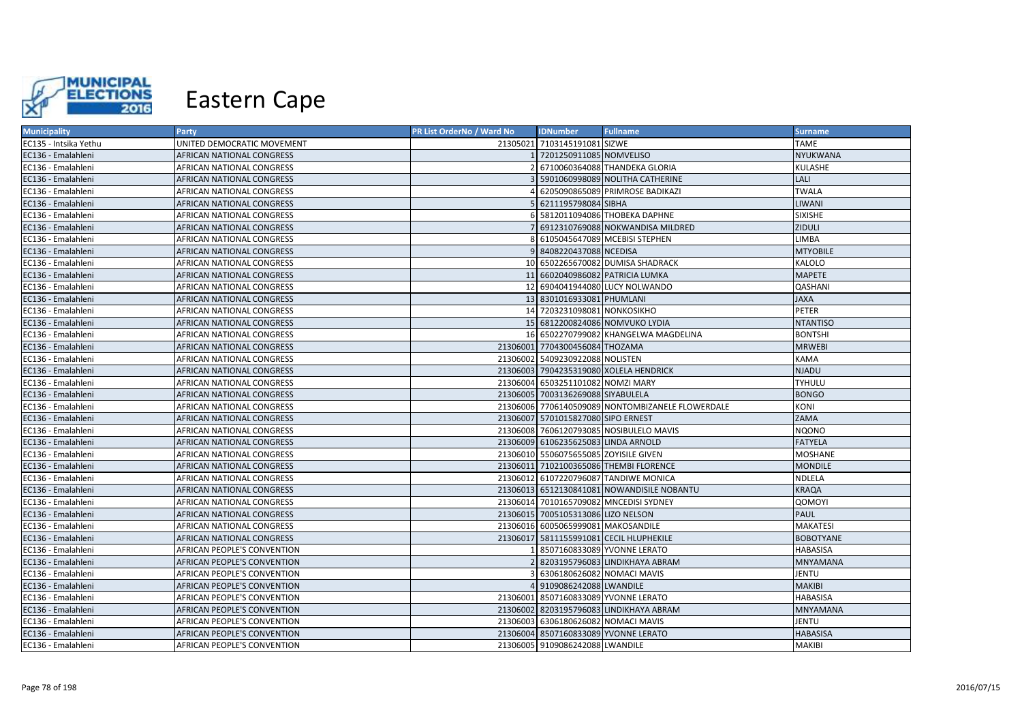

| <b>Municipality</b>   | Party                              | PR List OrderNo / Ward No | <b>IDNumber</b>                       | <b>Fullname</b>                                  | <b>Surname</b>   |
|-----------------------|------------------------------------|---------------------------|---------------------------------------|--------------------------------------------------|------------------|
| EC135 - Intsika Yethu | UNITED DEMOCRATIC MOVEMENT         |                           | 21305021 7103145191081 SIZWE          |                                                  | <b>TAME</b>      |
| EC136 - Emalahleni    | AFRICAN NATIONAL CONGRESS          |                           | 7201250911085 NOMVELISO               |                                                  | NYUKWANA         |
| EC136 - Emalahleni    | AFRICAN NATIONAL CONGRESS          |                           |                                       | 6710060364088 THANDEKA GLORIA                    | KULASHE          |
| EC136 - Emalahleni    | AFRICAN NATIONAL CONGRESS          |                           |                                       | 5901060998089 NOLITHA CATHERINE                  | LALI             |
| EC136 - Emalahleni    | AFRICAN NATIONAL CONGRESS          |                           |                                       | 6205090865089 PRIMROSE BADIKAZI                  | <b>TWALA</b>     |
| EC136 - Emalahleni    | AFRICAN NATIONAL CONGRESS          |                           | 5 6211195798084 SIBHA                 |                                                  | LIWANI           |
| EC136 - Emalahleni    | AFRICAN NATIONAL CONGRESS          |                           |                                       | 5812011094086 THOBEKA DAPHNE                     | <b>SIXISHE</b>   |
| EC136 - Emalahleni    | AFRICAN NATIONAL CONGRESS          |                           |                                       | 6912310769088 NOKWANDISA MILDRED                 | ZIDULI           |
| EC136 - Emalahleni    | AFRICAN NATIONAL CONGRESS          |                           |                                       | 6105045647089 MCEBISI STEPHEN                    | <b>LIMBA</b>     |
| EC136 - Emalahleni    | AFRICAN NATIONAL CONGRESS          |                           | 9 8408220437088 NCEDISA               |                                                  | <b>MTYOBILE</b>  |
| EC136 - Emalahleni    | AFRICAN NATIONAL CONGRESS          |                           |                                       | 10 6502265670082 DUMISA SHADRACK                 | KALOLO           |
| EC136 - Emalahleni    | AFRICAN NATIONAL CONGRESS          |                           |                                       | 11 6602040986082 PATRICIA LUMKA                  | <b>MAPETE</b>    |
| EC136 - Emalahleni    | AFRICAN NATIONAL CONGRESS          |                           |                                       | 12 6904041944080 LUCY NOLWANDO                   | QASHANI          |
| EC136 - Emalahleni    | <b>AFRICAN NATIONAL CONGRESS</b>   |                           | 13 8301016933081 PHUMLANI             |                                                  | <b>JAXA</b>      |
| EC136 - Emalahleni    | AFRICAN NATIONAL CONGRESS          |                           | 14 7203231098081 NONKOSIKHO           |                                                  | PETER            |
| EC136 - Emalahleni    | AFRICAN NATIONAL CONGRESS          |                           |                                       | 15 6812200824086 NOMVUKO LYDIA                   | <b>NTANTISO</b>  |
| EC136 - Emalahleni    | AFRICAN NATIONAL CONGRESS          |                           |                                       | 16 6502270799082 KHANGELWA MAGDELINA             | <b>BONTSHI</b>   |
| EC136 - Emalahleni    | AFRICAN NATIONAL CONGRESS          |                           | 21306001 7704300456084 THOZAMA        |                                                  | <b>MRWEBI</b>    |
| EC136 - Emalahleni    | AFRICAN NATIONAL CONGRESS          |                           | 21306002 5409230922088 NOLISTEN       |                                                  | KAMA             |
| EC136 - Emalahleni    | AFRICAN NATIONAL CONGRESS          |                           |                                       | 21306003 7904235319080 XOLELA HENDRICK           | NJADU            |
| EC136 - Emalahleni    | AFRICAN NATIONAL CONGRESS          |                           | 21306004 6503251101082 NOMZI MARY     |                                                  | <b>TYHULU</b>    |
| EC136 - Emalahleni    | AFRICAN NATIONAL CONGRESS          |                           | 21306005 7003136269088 SIYABULELA     |                                                  | <b>BONGO</b>     |
| EC136 - Emalahleni    | AFRICAN NATIONAL CONGRESS          |                           |                                       | 21306006 7706140509089 NONTOMBIZANELE FLOWERDALE | KONI             |
| EC136 - Emalahleni    | AFRICAN NATIONAL CONGRESS          |                           | 21306007 5701015827080 SIPO ERNEST    |                                                  | ZAMA             |
| EC136 - Emalahleni    | AFRICAN NATIONAL CONGRESS          |                           |                                       | 21306008 7606120793085 NOSIBULELO MAVIS          | <b>NQONO</b>     |
| EC136 - Emalahleni    | AFRICAN NATIONAL CONGRESS          |                           | 21306009 6106235625083 LINDA ARNOLD   |                                                  | <b>FATYELA</b>   |
| EC136 - Emalahleni    | AFRICAN NATIONAL CONGRESS          |                           | 21306010 5506075655085 ZOYISILE GIVEN |                                                  | <b>MOSHANE</b>   |
| EC136 - Emalahleni    | AFRICAN NATIONAL CONGRESS          |                           |                                       | 21306011 7102100365086 THEMBI FLORENCE           | <b>MONDILE</b>   |
| EC136 - Emalahleni    | AFRICAN NATIONAL CONGRESS          |                           |                                       | 21306012 6107220796087 TANDIWE MONICA            | NDLELA           |
| EC136 - Emalahleni    | AFRICAN NATIONAL CONGRESS          |                           |                                       | 21306013 6512130841081 NOWANDISILE NOBANTU       | <b>KRAQA</b>     |
| EC136 - Emalahleni    | AFRICAN NATIONAL CONGRESS          |                           |                                       | 21306014 7010165709082 MNCEDISI SYDNEY           | QOMOYI           |
| EC136 - Emalahleni    | AFRICAN NATIONAL CONGRESS          |                           | 21306015 7005105313086 LIZO NELSON    |                                                  | <b>PAUL</b>      |
| EC136 - Emalahleni    | AFRICAN NATIONAL CONGRESS          |                           | 21306016 6005065999081 MAKOSANDILE    |                                                  | <b>MAKATESI</b>  |
| EC136 - Emalahleni    | AFRICAN NATIONAL CONGRESS          |                           |                                       | 21306017 5811155991081 CECIL HLUPHEKILE          | <b>BOBOTYANE</b> |
| EC136 - Emalahleni    | AFRICAN PEOPLE'S CONVENTION        |                           |                                       | 8507160833089 YVONNE LERATO                      | <b>HABASISA</b>  |
| EC136 - Emalahleni    | <b>AFRICAN PEOPLE'S CONVENTION</b> |                           |                                       | 8203195796083 LINDIKHAYA ABRAM                   | MNYAMANA         |
| EC136 - Emalahleni    | AFRICAN PEOPLE'S CONVENTION        |                           | 6306180626082 NOMACI MAVIS            |                                                  | <b>JENTU</b>     |
| EC136 - Emalahleni    | AFRICAN PEOPLE'S CONVENTION        |                           | 9109086242088 LWANDILE                |                                                  | <b>MAKIBI</b>    |
| EC136 - Emalahleni    | AFRICAN PEOPLE'S CONVENTION        |                           |                                       | 21306001 8507160833089 YVONNE LERATO             | <b>HABASISA</b>  |
| EC136 - Emalahleni    | AFRICAN PEOPLE'S CONVENTION        |                           |                                       | 21306002 8203195796083 LINDIKHAYA ABRAM          | <b>MNYAMANA</b>  |
| EC136 - Emalahleni    | AFRICAN PEOPLE'S CONVENTION        |                           | 21306003 6306180626082 NOMACI MAVIS   |                                                  | <b>JENTU</b>     |
| EC136 - Emalahleni    | AFRICAN PEOPLE'S CONVENTION        |                           |                                       | 21306004 8507160833089 YVONNE LERATO             | <b>HABASISA</b>  |
| EC136 - Emalahleni    | AFRICAN PEOPLE'S CONVENTION        |                           | 21306005 9109086242088 LWANDILE       |                                                  | MAKIBI           |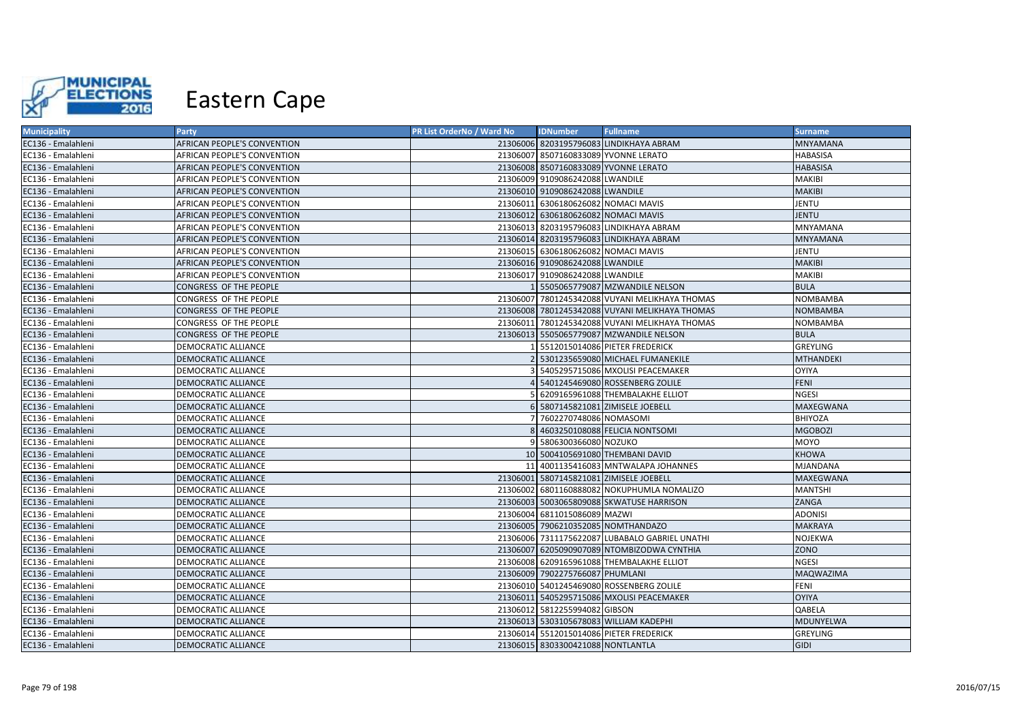

| <b>Municipality</b> | <b>Party</b>                       | PR List OrderNo / Ward No | <b>IDNumber</b>                     | <b>Fullname</b>                                | <b>Surname</b>   |
|---------------------|------------------------------------|---------------------------|-------------------------------------|------------------------------------------------|------------------|
| EC136 - Emalahleni  | <b>AFRICAN PEOPLE'S CONVENTION</b> |                           |                                     | 21306006 8203195796083 LINDIKHAYA ABRAM        | <b>MNYAMANA</b>  |
| EC136 - Emalahleni  | AFRICAN PEOPLE'S CONVENTION        |                           |                                     | 21306007 8507160833089 YVONNE LERATO           | <b>HABASISA</b>  |
| EC136 - Emalahleni  | <b>AFRICAN PEOPLE'S CONVENTION</b> |                           |                                     | 21306008 8507160833089 YVONNE LERATO           | <b>HABASISA</b>  |
| EC136 - Emalahleni  | AFRICAN PEOPLE'S CONVENTION        |                           | 21306009 9109086242088 LWANDILE     |                                                | <b>MAKIBI</b>    |
| EC136 - Emalahleni  | <b>AFRICAN PEOPLE'S CONVENTION</b> |                           | 21306010 9109086242088 LWANDILE     |                                                | <b>MAKIBI</b>    |
| EC136 - Emalahleni  | AFRICAN PEOPLE'S CONVENTION        |                           | 21306011 6306180626082 NOMACI MAVIS |                                                | JENTU            |
| EC136 - Emalahleni  | AFRICAN PEOPLE'S CONVENTION        |                           | 21306012 6306180626082 NOMACI MAVIS |                                                | <b>JENTU</b>     |
| EC136 - Emalahleni  | AFRICAN PEOPLE'S CONVENTION        |                           |                                     | 21306013 8203195796083 LINDIKHAYA ABRAM        | MNYAMANA         |
| EC136 - Emalahleni  | <b>AFRICAN PEOPLE'S CONVENTION</b> |                           |                                     | 21306014 8203195796083 LINDIKHAYA ABRAM        | <b>MNYAMANA</b>  |
| EC136 - Emalahleni  | AFRICAN PEOPLE'S CONVENTION        |                           | 21306015 6306180626082 NOMACI MAVIS |                                                | <b>JENTU</b>     |
| EC136 - Emalahleni  | AFRICAN PEOPLE'S CONVENTION        |                           | 21306016 9109086242088 LWANDILE     |                                                | <b>MAKIBI</b>    |
| EC136 - Emalahleni  | AFRICAN PEOPLE'S CONVENTION        |                           | 21306017 9109086242088 LWANDILE     |                                                | <b>MAKIBI</b>    |
| EC136 - Emalahleni  | CONGRESS OF THE PEOPLE             |                           |                                     | 1 5505065779087 MZWANDILE NELSON               | <b>BULA</b>      |
| EC136 - Emalahleni  | CONGRESS OF THE PEOPLE             |                           |                                     | 21306007 7801245342088 VUYANI MELIKHAYA THOMAS | <b>NOMBAMBA</b>  |
| EC136 - Emalahleni  | CONGRESS OF THE PEOPLE             |                           |                                     | 21306008 7801245342088 VUYANI MELIKHAYA THOMAS | NOMBAMBA         |
| EC136 - Emalahleni  | CONGRESS OF THE PEOPLE             |                           |                                     | 21306011 7801245342088 VUYANI MELIKHAYA THOMAS | NOMBAMBA         |
| EC136 - Emalahleni  | CONGRESS OF THE PEOPLE             |                           |                                     | 21306013 5505065779087 MZWANDILE NELSON        | <b>BULA</b>      |
| EC136 - Emalahleni  | DEMOCRATIC ALLIANCE                |                           |                                     | 5512015014086 PIETER FREDERICK                 | <b>GREYLING</b>  |
| EC136 - Emalahleni  | DEMOCRATIC ALLIANCE                |                           |                                     | 5301235659080 MICHAEL FUMANEKILE               | <b>MTHANDEKI</b> |
| EC136 - Emalahleni  | DEMOCRATIC ALLIANCE                |                           |                                     | 5405295715086 MXOLISI PEACEMAKER               | <b>OYIYA</b>     |
| EC136 - Emalahleni  | DEMOCRATIC ALLIANCE                | Δ.                        |                                     | 5401245469080 ROSSENBERG ZOLILE                | <b>FENI</b>      |
| EC136 - Emalahleni  | DEMOCRATIC ALLIANCE                |                           |                                     | 6209165961088 THEMBALAKHE ELLIOT               | <b>NGESI</b>     |
| EC136 - Emalahleni  | DEMOCRATIC ALLIANCE                |                           |                                     | 5807145821081 ZIMISELE JOEBELL                 | <b>MAXEGWANA</b> |
| EC136 - Emalahleni  | DEMOCRATIC ALLIANCE                |                           | 7 7602270748086 NOMASOMI            |                                                | <b>BHIYOZA</b>   |
| EC136 - Emalahleni  | DEMOCRATIC ALLIANCE                |                           |                                     | 4603250108088 FELICIA NONTSOMI                 | <b>MGOBOZI</b>   |
| EC136 - Emalahleni  | DEMOCRATIC ALLIANCE                | 9                         | 5806300366080 NOZUKO                |                                                | <b>MOYO</b>      |
| EC136 - Emalahleni  | DEMOCRATIC ALLIANCE                |                           |                                     | 10 5004105691080 THEMBANI DAVID                | <b>KHOWA</b>     |
| EC136 - Emalahleni  | DEMOCRATIC ALLIANCE                |                           |                                     | 11 4001135416083 MNTWALAPA JOHANNES            | MJANDANA         |
| EC136 - Emalahleni  | DEMOCRATIC ALLIANCE                |                           |                                     | 21306001 5807145821081 ZIMISELE JOEBELL        | MAXEGWANA        |
| EC136 - Emalahleni  | DEMOCRATIC ALLIANCE                | 21306002                  |                                     | 6801160888082 NOKUPHUMLA NOMALIZO              | <b>MANTSHI</b>   |
| EC136 - Emalahleni  | DEMOCRATIC ALLIANCE                |                           |                                     | 21306003 5003065809088 SKWATUSE HARRISON       | ZANGA            |
| EC136 - Emalahleni  | DEMOCRATIC ALLIANCE                |                           | 21306004 6811015086089 MAZWI        |                                                | <b>ADONISI</b>   |
| EC136 - Emalahleni  | DEMOCRATIC ALLIANCE                |                           |                                     | 21306005 7906210352085 NOMTHANDAZO             | <b>MAKRAYA</b>   |
| EC136 - Emalahleni  | DEMOCRATIC ALLIANCE                |                           |                                     | 21306006 7311175622087 LUBABALO GABRIEL UNATHI | <b>NOJEKWA</b>   |
| EC136 - Emalahleni  | DEMOCRATIC ALLIANCE                |                           |                                     | 21306007 6205090907089 NTOMBIZODWA CYNTHIA     | ZONO             |
| EC136 - Emalahleni  | DEMOCRATIC ALLIANCE                |                           |                                     | 21306008 6209165961088 THEMBALAKHE ELLIOT      | <b>NGESI</b>     |
| EC136 - Emalahleni  | DEMOCRATIC ALLIANCE                |                           | 21306009 7902275766087 PHUMLANI     |                                                | MAQWAZIMA        |
| EC136 - Emalahleni  | DEMOCRATIC ALLIANCE                |                           |                                     | 21306010 5401245469080 ROSSENBERG ZOLILE       | FENI             |
| EC136 - Emalahleni  | DEMOCRATIC ALLIANCE                |                           |                                     | 21306011 5405295715086 MXOLISI PEACEMAKER      | <b>OYIYA</b>     |
| EC136 - Emalahleni  | DEMOCRATIC ALLIANCE                |                           | 21306012 5812255994082 GIBSON       |                                                | QABELA           |
| EC136 - Emalahleni  | DEMOCRATIC ALLIANCE                |                           |                                     | 21306013 5303105678083 WILLIAM KADEPHI         | MDUNYELWA        |
| EC136 - Emalahleni  | DEMOCRATIC ALLIANCE                |                           |                                     | 21306014 5512015014086 PIETER FREDERICK        | <b>GREYLING</b>  |
| EC136 - Emalahleni  | DEMOCRATIC ALLIANCE                |                           | 21306015 8303300421088 NONTLANTLA   |                                                | <b>GIDI</b>      |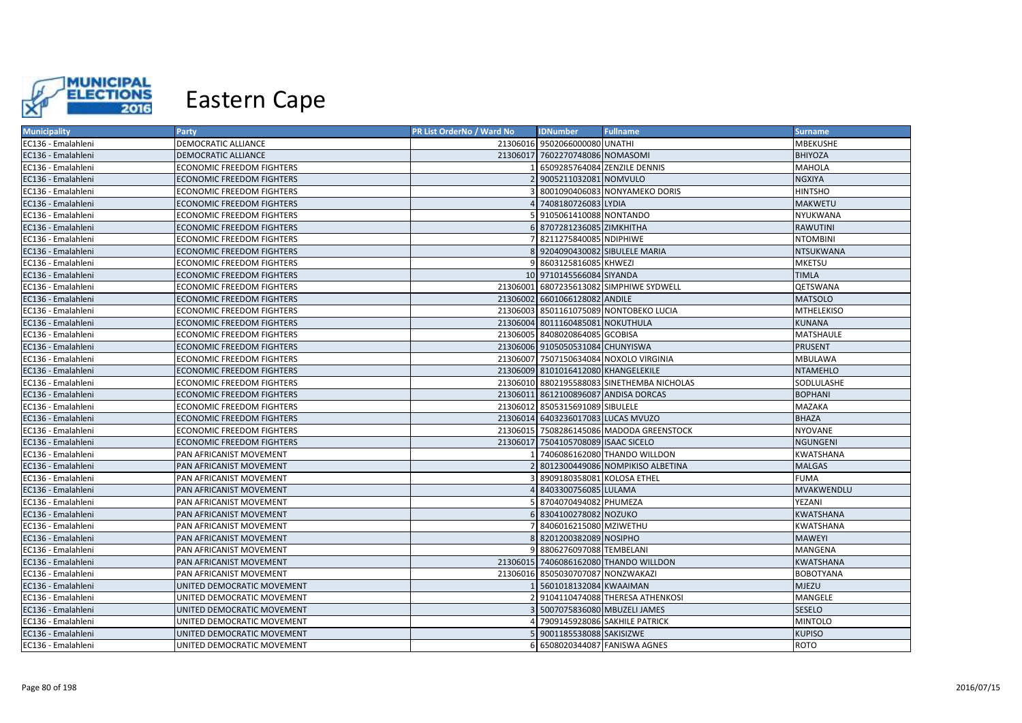

| <b>Municipality</b> | <b>Party</b>                     | PR List OrderNo / Ward No | <b>IDNumber</b>                     | <b>Fullname</b>                            | <b>Surname</b>    |
|---------------------|----------------------------------|---------------------------|-------------------------------------|--------------------------------------------|-------------------|
| EC136 - Emalahleni  | DEMOCRATIC ALLIANCE              |                           | 21306016 9502066000080 UNATHI       |                                            | <b>MBEKUSHE</b>   |
| EC136 - Emalahleni  | DEMOCRATIC ALLIANCE              |                           | 21306017 7602270748086 NOMASOMI     |                                            | <b>BHIYOZA</b>    |
| EC136 - Emalahleni  | ECONOMIC FREEDOM FIGHTERS        |                           |                                     | 6509285764084 ZENZILE DENNIS               | <b>MAHOLA</b>     |
| EC136 - Emalahleni  | <b>ECONOMIC FREEDOM FIGHTERS</b> |                           | 9005211032081 NOMVULO               |                                            | <b>NGXIYA</b>     |
| EC136 - Emalahleni  | ECONOMIC FREEDOM FIGHTERS        |                           |                                     | 8001090406083 NONYAMEKO DORIS              | <b>HINTSHO</b>    |
| EC136 - Emalahleni  | ECONOMIC FREEDOM FIGHTERS        |                           | 4 7408180726083 LYDIA               |                                            | <b>MAKWETU</b>    |
| EC136 - Emalahleni  | ECONOMIC FREEDOM FIGHTERS        |                           | 9105061410088 NONTANDO              |                                            | NYUKWANA          |
| EC136 - Emalahleni  | <b>ECONOMIC FREEDOM FIGHTERS</b> |                           | 8707281236085 ZIMKHITHA             |                                            | <b>RAWUTINI</b>   |
| EC136 - Emalahleni  | ECONOMIC FREEDOM FIGHTERS        |                           | 8211275840085 NDIPHIWE              |                                            | <b>NTOMBINI</b>   |
| EC136 - Emalahleni  | <b>ECONOMIC FREEDOM FIGHTERS</b> |                           | 8 9204090430082 SIBULELE MARIA      |                                            | <b>NTSUKWANA</b>  |
| EC136 - Emalahleni  | ECONOMIC FREEDOM FIGHTERS        | 91                        | 8603125816085 KHWEZI                |                                            | <b>MKETSU</b>     |
| EC136 - Emalahleni  | ECONOMIC FREEDOM FIGHTERS        |                           | 10 9710145566084 SIYANDA            |                                            | <b>TIMLA</b>      |
| EC136 - Emalahleni  | ECONOMIC FREEDOM FIGHTERS        |                           |                                     | 21306001 6807235613082 SIMPHIWE SYDWELL    | QETSWANA          |
| EC136 - Emalahleni  | <b>ECONOMIC FREEDOM FIGHTERS</b> |                           | 21306002 6601066128082 ANDILE       |                                            | <b>MATSOLO</b>    |
| EC136 - Emalahleni  | <b>ECONOMIC FREEDOM FIGHTERS</b> | 21306003                  |                                     | 8501161075089 NONTOBEKO LUCIA              | <b>MTHELEKISO</b> |
| EC136 - Emalahleni  | ECONOMIC FREEDOM FIGHTERS        |                           | 21306004 8011160485081 NOKUTHULA    |                                            | <b>KUNANA</b>     |
| EC136 - Emalahleni  | ECONOMIC FREEDOM FIGHTERS        |                           | 21306005 8408020864085 GCOBISA      |                                            | MATSHAULE         |
| EC136 - Emalahleni  | ECONOMIC FREEDOM FIGHTERS        |                           | 21306006 9105050531084 CHUNYISWA    |                                            | <b>PRUSENT</b>    |
| EC136 - Emalahleni  | ECONOMIC FREEDOM FIGHTERS        |                           |                                     | 21306007 7507150634084 NOXOLO VIRGINIA     | <b>MBULAWA</b>    |
| EC136 - Emalahleni  | <b>ECONOMIC FREEDOM FIGHTERS</b> |                           | 21306009 8101016412080 KHANGELEKILE |                                            | <b>NTAMEHLO</b>   |
| EC136 - Emalahleni  | ECONOMIC FREEDOM FIGHTERS        |                           |                                     | 21306010 8802195588083 SINETHEMBA NICHOLAS | SODLULASHE        |
| EC136 - Emalahleni  | ECONOMIC FREEDOM FIGHTERS        |                           |                                     | 21306011 8612100896087 ANDISA DORCAS       | <b>BOPHANI</b>    |
| EC136 - Emalahleni  | ECONOMIC FREEDOM FIGHTERS        |                           | 21306012 8505315691089 SIBULELE     |                                            | MAZAKA            |
| EC136 - Emalahleni  | ECONOMIC FREEDOM FIGHTERS        |                           | 21306014 6403236017083 LUCAS MVUZO  |                                            | <b>BHAZA</b>      |
| EC136 - Emalahleni  | ECONOMIC FREEDOM FIGHTERS        |                           |                                     | 21306015 7508286145086 MADODA GREENSTOCK   | <b>NYOVANE</b>    |
| EC136 - Emalahleni  | ECONOMIC FREEDOM FIGHTERS        |                           | 21306017 7504105708089 ISAAC SICELO |                                            | <b>NGUNGENI</b>   |
| EC136 - Emalahleni  | PAN AFRICANIST MOVEMENT          |                           |                                     | 7406086162080 THANDO WILLDON               | KWATSHANA         |
| EC136 - Emalahleni  | PAN AFRICANIST MOVEMENT          |                           |                                     | 8012300449086 NOMPIKISO ALBETINA           | <b>MALGAS</b>     |
| EC136 - Emalahleni  | PAN AFRICANIST MOVEMENT          |                           | 8909180358081 KOLOSA ETHEL          |                                            | <b>FUMA</b>       |
| EC136 - Emalahleni  | PAN AFRICANIST MOVEMENT          |                           | 8403300756085 LULAMA                |                                            | MVAKWENDLU        |
| EC136 - Emalahleni  | PAN AFRICANIST MOVEMENT          |                           | 8704070494082 PHUMEZA               |                                            | YEZANI            |
| EC136 - Emalahleni  | PAN AFRICANIST MOVEMENT          |                           | 8304100278082 NOZUKO                |                                            | KWATSHANA         |
| EC136 - Emalahleni  | PAN AFRICANIST MOVEMENT          |                           | 8406016215080 MZIWETHU              |                                            | KWATSHANA         |
| EC136 - Emalahleni  | PAN AFRICANIST MOVEMENT          |                           | 8 8201200382089 NOSIPHO             |                                            | <b>MAWEYI</b>     |
| EC136 - Emalahleni  | PAN AFRICANIST MOVEMENT          |                           | 8806276097088 TEMBELANI             |                                            | MANGENA           |
| EC136 - Emalahleni  | PAN AFRICANIST MOVEMENT          |                           |                                     | 21306015 7406086162080 THANDO WILLDON      | <b>KWATSHANA</b>  |
| EC136 - Emalahleni  | PAN AFRICANIST MOVEMENT          |                           | 21306016 8505030707087 NONZWAKAZI   |                                            | <b>BOBOTYANA</b>  |
| EC136 - Emalahleni  | UNITED DEMOCRATIC MOVEMENT       |                           | 5601018132084 KWAAIMAN              |                                            | <b>MJEZU</b>      |
| EC136 - Emalahleni  | UNITED DEMOCRATIC MOVEMENT       |                           |                                     | 9104110474088 THERESA ATHENKOSI            | MANGELE           |
| EC136 - Emalahleni  | UNITED DEMOCRATIC MOVEMENT       |                           | 5007075836080 MBUZELI JAMES         |                                            | SESELO            |
| EC136 - Emalahleni  | UNITED DEMOCRATIC MOVEMENT       |                           |                                     | 7909145928086 SAKHILE PATRICK              | <b>MINTOLO</b>    |
| EC136 - Emalahleni  | UNITED DEMOCRATIC MOVEMENT       |                           | 9001185538088 SAKISIZWE             |                                            | <b>KUPISO</b>     |
| EC136 - Emalahleni  | UNITED DEMOCRATIC MOVEMENT       |                           |                                     | 6508020344087 FANISWA AGNES                | <b>ROTO</b>       |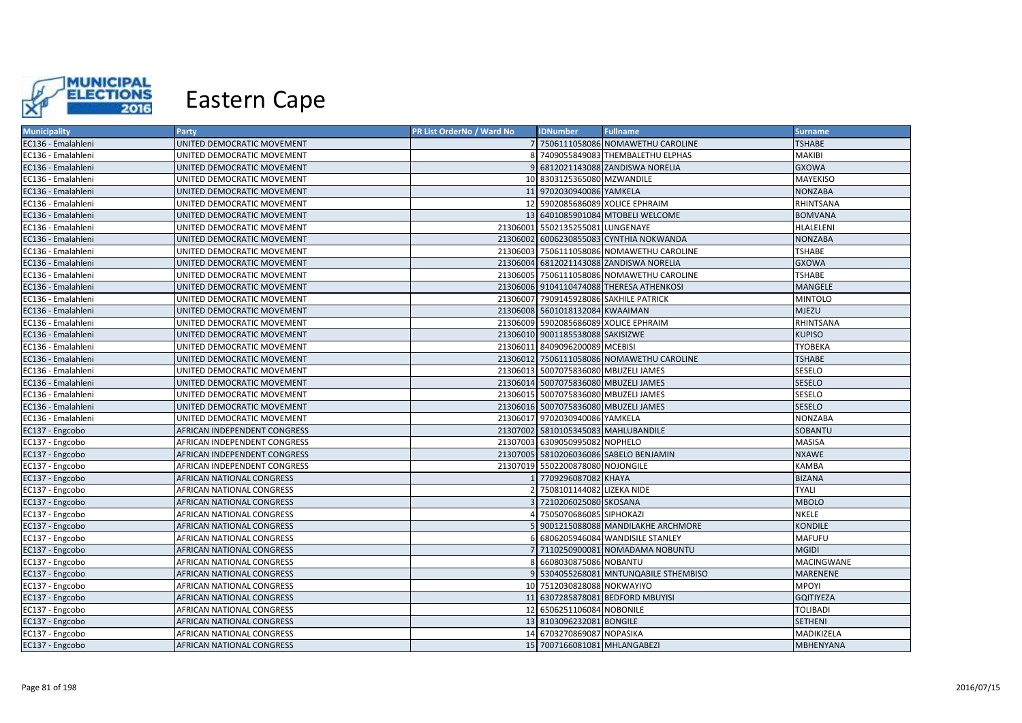

| <b>Municipality</b> | Party                        | PR List OrderNo / Ward No | <b>IDNumber</b>                      | <b>Fullname</b>                           | <b>Surname</b>   |
|---------------------|------------------------------|---------------------------|--------------------------------------|-------------------------------------------|------------------|
| EC136 - Emalahleni  | UNITED DEMOCRATIC MOVEMENT   |                           |                                      | 7 7506111058086 NOMAWETHU CAROLINE        | <b>TSHABE</b>    |
| EC136 - Emalahleni  | UNITED DEMOCRATIC MOVEMENT   |                           |                                      | 7409055849083 THEMBALETHU ELPHAS          | MAKIBI           |
| EC136 - Emalahleni  | UNITED DEMOCRATIC MOVEMENT   |                           |                                      | 9 6812021143088 ZANDISWA NORELIA          | <b>GXOWA</b>     |
| EC136 - Emalahleni  | UNITED DEMOCRATIC MOVEMENT   |                           | 10 8303125365080 MZWANDILE           |                                           | MAYEKISO         |
| EC136 - Emalahleni  | UNITED DEMOCRATIC MOVEMENT   |                           | 11 9702030940086 YAMKELA             |                                           | <b>NONZABA</b>   |
| EC136 - Emalahleni  | UNITED DEMOCRATIC MOVEMENT   |                           |                                      | 12 5902085686089 XOLICE EPHRAIM           | RHINTSANA        |
| EC136 - Emalahleni  | UNITED DEMOCRATIC MOVEMENT   |                           |                                      | 13 6401085901084 MTOBELI WELCOME          | <b>BOMVANA</b>   |
| EC136 - Emalahleni  | UNITED DEMOCRATIC MOVEMENT   |                           | 21306001 5502135255081 LUNGENAYE     |                                           | HLALELENI        |
| EC136 - Emalahleni  | UNITED DEMOCRATIC MOVEMENT   |                           |                                      | 21306002 6006230855083 CYNTHIA NOKWANDA   | <b>NONZABA</b>   |
| EC136 - Emalahleni  | UNITED DEMOCRATIC MOVEMENT   |                           |                                      | 21306003 7506111058086 NOMAWETHU CAROLINE | <b>TSHABE</b>    |
| EC136 - Emalahleni  | UNITED DEMOCRATIC MOVEMENT   |                           |                                      | 21306004 6812021143088 ZANDISWA NORELIA   | <b>GXOWA</b>     |
| EC136 - Emalahleni  | UNITED DEMOCRATIC MOVEMENT   |                           |                                      | 21306005 7506111058086 NOMAWETHU CAROLINE | <b>TSHABE</b>    |
| EC136 - Emalahleni  | UNITED DEMOCRATIC MOVEMENT   |                           |                                      | 21306006 9104110474088 THERESA ATHENKOSI  | MANGELE          |
| EC136 - Emalahleni  | UNITED DEMOCRATIC MOVEMENT   |                           |                                      | 21306007 7909145928086 SAKHILE PATRICK    | <b>MINTOLO</b>   |
| EC136 - Emalahleni  | UNITED DEMOCRATIC MOVEMENT   |                           | 21306008 5601018132084 KWAAIMAN      |                                           | <b>MJEZU</b>     |
| EC136 - Emalahleni  | UNITED DEMOCRATIC MOVEMENT   |                           |                                      | 21306009 5902085686089 XOLICE EPHRAIM     | RHINTSANA        |
| EC136 - Emalahleni  | UNITED DEMOCRATIC MOVEMENT   |                           | 21306010 9001185538088 SAKISIZWE     |                                           | <b>KUPISO</b>    |
| EC136 - Emalahleni  | UNITED DEMOCRATIC MOVEMENT   |                           | 21306011 8409096200089 MCEBISI       |                                           | <b>TYOBEKA</b>   |
| EC136 - Emalahleni  | UNITED DEMOCRATIC MOVEMENT   |                           |                                      | 21306012 7506111058086 NOMAWETHU CAROLINE | <b>TSHABE</b>    |
| EC136 - Emalahleni  | UNITED DEMOCRATIC MOVEMENT   |                           | 21306013 5007075836080 MBUZELI JAMES |                                           | <b>SESELO</b>    |
| EC136 - Emalahleni  | UNITED DEMOCRATIC MOVEMENT   |                           | 21306014 5007075836080 MBUZELI JAMES |                                           | <b>SESELO</b>    |
| EC136 - Emalahleni  | UNITED DEMOCRATIC MOVEMENT   |                           | 21306015 5007075836080 MBUZELI JAMES |                                           | SESELO           |
| EC136 - Emalahleni  | UNITED DEMOCRATIC MOVEMENT   |                           | 21306016 5007075836080 MBUZELI JAMES |                                           | <b>SESELO</b>    |
| EC136 - Emalahleni  | UNITED DEMOCRATIC MOVEMENT   |                           | 21306017 9702030940086 YAMKELA       |                                           | <b>NONZABA</b>   |
| EC137 - Engcobo     | AFRICAN INDEPENDENT CONGRESS |                           | 21307002 5810105345083 MAHLUBANDILE  |                                           | SOBANTU          |
| EC137 - Engcobo     | AFRICAN INDEPENDENT CONGRESS |                           | 21307003 6309050995082 NOPHELO       |                                           | MASISA           |
| EC137 - Engcobo     | AFRICAN INDEPENDENT CONGRESS |                           |                                      | 21307005 5810206036086 SABELO BENJAMIN    | <b>NXAWE</b>     |
| EC137 - Engcobo     | AFRICAN INDEPENDENT CONGRESS |                           | 21307019 5502200878080 NOJONGILE     |                                           | KAMBA            |
| EC137 - Engcobo     | AFRICAN NATIONAL CONGRESS    |                           | 7709296087082 KHAYA                  |                                           | <b>BIZANA</b>    |
| EC137 - Engcobo     | AFRICAN NATIONAL CONGRESS    |                           | 7508101144082 LIZEKA NIDE            |                                           | <b>TYALI</b>     |
| EC137 - Engcobo     | AFRICAN NATIONAL CONGRESS    |                           | 7210206025080 SKOSANA                |                                           | <b>MBOLO</b>     |
| EC137 - Engcobo     | AFRICAN NATIONAL CONGRESS    |                           | 7505070686085 SIPHOKAZI              |                                           | NKELE            |
| EC137 - Engcobo     | AFRICAN NATIONAL CONGRESS    |                           |                                      | 5 9001215088088 MANDILAKHE ARCHMORE       | KONDILE          |
| EC137 - Engcobo     | AFRICAN NATIONAL CONGRESS    |                           |                                      | 6806205946084 WANDISILE STANLEY           | <b>MAFUFU</b>    |
| EC137 - Engcobo     | AFRICAN NATIONAL CONGRESS    |                           |                                      | 7 7110250900081 NOMADAMA NOBUNTU          | <b>MGIDI</b>     |
| EC137 - Engcobo     | AFRICAN NATIONAL CONGRESS    |                           | 6608030875086 NOBANTU                |                                           | MACINGWANE       |
| EC137 - Engcobo     | AFRICAN NATIONAL CONGRESS    |                           |                                      | 5304055268081 MNTUNQABILE STHEMBISO       | MARENENE         |
| EC137 - Engcobo     | AFRICAN NATIONAL CONGRESS    |                           | 10 7512030828088 NOKWAYIYO           |                                           | <b>MPOYI</b>     |
| EC137 - Engcobo     | AFRICAN NATIONAL CONGRESS    |                           |                                      | 11 6307285878081 BEDFORD MBUYISI          | <b>GQITIYEZA</b> |
| EC137 - Engcobo     | AFRICAN NATIONAL CONGRESS    |                           | 12 6506251106084 NOBONILE            |                                           | <b>TOLIBADI</b>  |
| EC137 - Engcobo     | AFRICAN NATIONAL CONGRESS    |                           | 13 8103096232081 BONGILE             |                                           | <b>SETHENI</b>   |
| EC137 - Engcobo     | AFRICAN NATIONAL CONGRESS    |                           | 14 6703270869087 NOPASIKA            |                                           | MADIKIZELA       |
| EC137 - Engcobo     | AFRICAN NATIONAL CONGRESS    |                           | 15 7007166081081 MHLANGABEZI         |                                           | <b>MBHENYANA</b> |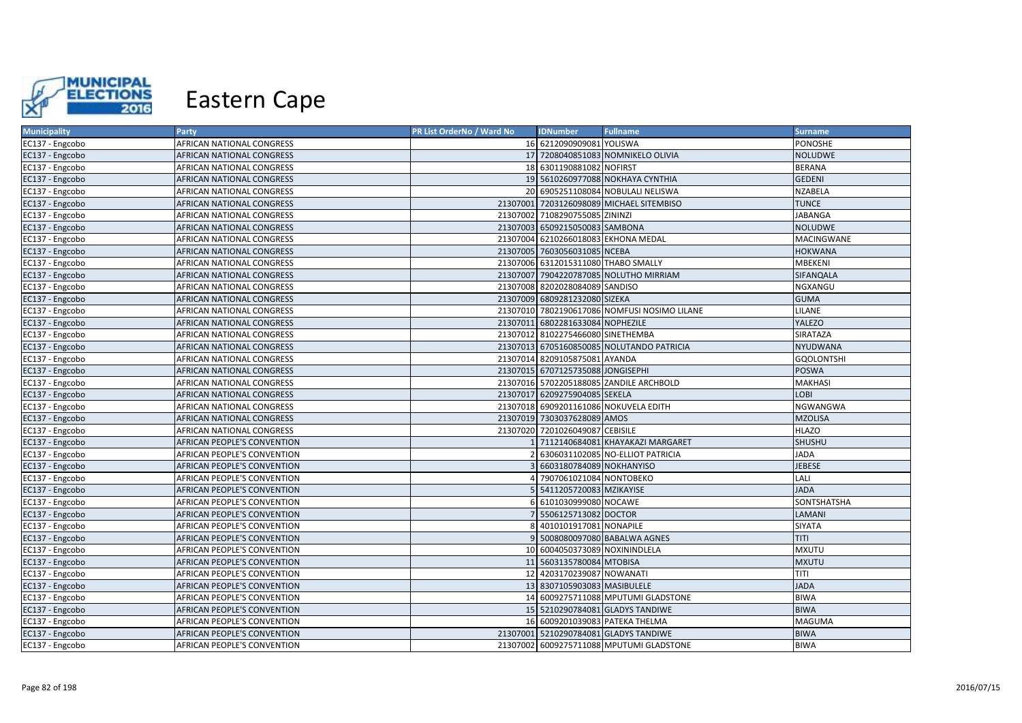

| <b>Municipality</b> | Party                              | PR List OrderNo / Ward No | <b>IDNumber</b>                     | <b>Fullname</b>                              | <b>Surname</b>    |
|---------------------|------------------------------------|---------------------------|-------------------------------------|----------------------------------------------|-------------------|
| EC137 - Engcobo     | AFRICAN NATIONAL CONGRESS          |                           | 16 6212090909081 YOLISWA            |                                              | PONOSHE           |
| EC137 - Engcobo     | AFRICAN NATIONAL CONGRESS          |                           |                                     | 17 7208040851083 NOMNIKELO OLIVIA            | NOLUDWE           |
| EC137 - Engcobo     | AFRICAN NATIONAL CONGRESS          |                           | 18 6301190881082 NOFIRST            |                                              | <b>BERANA</b>     |
| EC137 - Engcobo     | AFRICAN NATIONAL CONGRESS          |                           |                                     | 19 5610260977088 NOKHAYA CYNTHIA             | <b>GEDENI</b>     |
| EC137 - Engcobo     | AFRICAN NATIONAL CONGRESS          |                           |                                     | 20 6905251108084 NOBULALI NELISWA            | <b>NZABELA</b>    |
| EC137 - Engcobo     | AFRICAN NATIONAL CONGRESS          |                           |                                     | 21307001 7203126098089 MICHAEL SITEMBISO     | <b>TUNCE</b>      |
| EC137 - Engcobo     | AFRICAN NATIONAL CONGRESS          |                           | 21307002 7108290755085 ZININZI      |                                              | <b>JABANGA</b>    |
| EC137 - Engcobo     | AFRICAN NATIONAL CONGRESS          |                           | 21307003 6509215050083 SAMBONA      |                                              | <b>NOLUDWE</b>    |
| EC137 - Engcobo     | AFRICAN NATIONAL CONGRESS          |                           |                                     | 21307004 6210266018083 EKHONA MEDAL          | MACINGWANE        |
| EC137 - Engcobo     | AFRICAN NATIONAL CONGRESS          |                           | 21307005 7603056031085 NCEBA        |                                              | <b>HOKWANA</b>    |
| EC137 - Engcobo     | AFRICAN NATIONAL CONGRESS          |                           | 21307006 6312015311080 THABO SMALLY |                                              | MBEKENI           |
| EC137 - Engcobo     | AFRICAN NATIONAL CONGRESS          |                           |                                     | 21307007 7904220787085 NOLUTHO MIRRIAM       | SIFANQALA         |
| EC137 - Engcobo     | AFRICAN NATIONAL CONGRESS          |                           | 21307008 8202028084089 SANDISO      |                                              | NGXANGU           |
| EC137 - Engcobo     | AFRICAN NATIONAL CONGRESS          |                           | 21307009 6809281232080 SIZEKA       |                                              | <b>GUMA</b>       |
| EC137 - Engcobo     | AFRICAN NATIONAL CONGRESS          |                           |                                     | 21307010 7802190617086 NOMFUSI NOSIMO LILANE | LILANE            |
| EC137 - Engcobo     | AFRICAN NATIONAL CONGRESS          |                           | 21307011 6802281633084 NOPHEZILE    |                                              | <b>YALEZO</b>     |
| EC137 - Engcobo     | AFRICAN NATIONAL CONGRESS          |                           | 21307012 8102275466080 SINETHEMBA   |                                              | <b>SIRATAZA</b>   |
| EC137 - Engcobo     | AFRICAN NATIONAL CONGRESS          |                           |                                     | 21307013 6705160850085 NOLUTANDO PATRICIA    | <b>NYUDWANA</b>   |
| EC137 - Engcobo     | AFRICAN NATIONAL CONGRESS          |                           | 21307014 8209105875081 AYANDA       |                                              | <b>GQOLONTSHI</b> |
| EC137 - Engcobo     | AFRICAN NATIONAL CONGRESS          |                           | 21307015 6707125735088 JONGISEPHI   |                                              | POSWA             |
| EC137 - Engcobo     | AFRICAN NATIONAL CONGRESS          |                           |                                     | 21307016 5702205188085 ZANDILE ARCHBOLD      | <b>MAKHASI</b>    |
| EC137 - Engcobo     | AFRICAN NATIONAL CONGRESS          |                           | 21307017 6209275904085 SEKELA       |                                              | <b>LOBI</b>       |
| EC137 - Engcobo     | AFRICAN NATIONAL CONGRESS          |                           |                                     | 21307018 6909201161086 NOKUVELA EDITH        | NGWANGWA          |
| EC137 - Engcobo     | AFRICAN NATIONAL CONGRESS          |                           | 21307019 7303037628089 AMOS         |                                              | <b>MZOLISA</b>    |
| EC137 - Engcobo     | AFRICAN NATIONAL CONGRESS          |                           | 21307020 7201026049087 CEBISILE     |                                              | <b>HLAZO</b>      |
| EC137 - Engcobo     | AFRICAN PEOPLE'S CONVENTION        |                           |                                     | 7112140684081 KHAYAKAZI MARGARET             | SHUSHU            |
| EC137 - Engcobo     | AFRICAN PEOPLE'S CONVENTION        |                           |                                     | 6306031102085 NO-ELLIOT PATRICIA             | <b>JADA</b>       |
| EC137 - Engcobo     | <b>AFRICAN PEOPLE'S CONVENTION</b> |                           | 6603180784089 NOKHANYISO            |                                              | <b>JEBESE</b>     |
| EC137 - Engcobo     | AFRICAN PEOPLE'S CONVENTION        |                           | 7907061021084 NONTOBEKO             |                                              | LALI              |
| EC137 - Engcobo     | AFRICAN PEOPLE'S CONVENTION        |                           | 5411205720083 MZIKAYISE             |                                              | <b>JADA</b>       |
| EC137 - Engcobo     | AFRICAN PEOPLE'S CONVENTION        |                           | 6101030999080 NOCAWE                |                                              | SONTSHATSHA       |
| EC137 - Engcobo     | AFRICAN PEOPLE'S CONVENTION        |                           | 5506125713082 DOCTOR                |                                              | LAMANI            |
| EC137 - Engcobo     | AFRICAN PEOPLE'S CONVENTION        |                           | 4010101917081 NONAPILE              |                                              | SIYATA            |
| EC137 - Engcobo     | AFRICAN PEOPLE'S CONVENTION        |                           |                                     | 5008080097080 BABALWA AGNES                  | TITI              |
| EC137 - Engcobo     | AFRICAN PEOPLE'S CONVENTION        |                           | 10 6004050373089 NOXININDLELA       |                                              | <b>MXUTU</b>      |
| EC137 - Engcobo     | AFRICAN PEOPLE'S CONVENTION        |                           | 11 5603135780084 MTOBISA            |                                              | <b>MXUTU</b>      |
| EC137 - Engcobo     | AFRICAN PEOPLE'S CONVENTION        |                           | 12 4203170239087 NOWANATI           |                                              | TITI              |
| EC137 - Engcobo     | AFRICAN PEOPLE'S CONVENTION        |                           | 13 8307105903083 MASIBULELE         |                                              | <b>JADA</b>       |
| EC137 - Engcobo     | AFRICAN PEOPLE'S CONVENTION        |                           |                                     | 14 6009275711088 MPUTUMI GLADSTONE           | <b>BIWA</b>       |
| EC137 - Engcobo     | AFRICAN PEOPLE'S CONVENTION        |                           |                                     | 15 5210290784081 GLADYS TANDIWE              | <b>BIWA</b>       |
| EC137 - Engcobo     | AFRICAN PEOPLE'S CONVENTION        |                           |                                     | 16 6009201039083 PATEKA THELMA               | MAGUMA            |
| EC137 - Engcobo     | AFRICAN PEOPLE'S CONVENTION        |                           |                                     | 21307001 5210290784081 GLADYS TANDIWE        | <b>BIWA</b>       |
| EC137 - Engcobo     | AFRICAN PEOPLE'S CONVENTION        |                           |                                     | 21307002 6009275711088 MPUTUMI GLADSTONE     | <b>BIWA</b>       |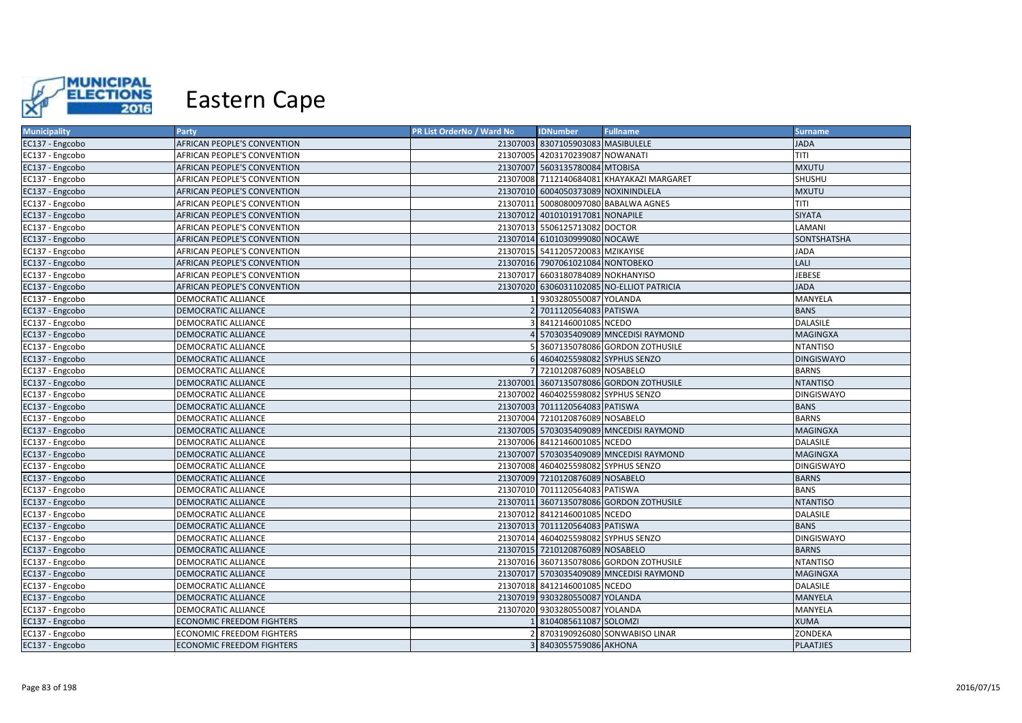

| 21307003 8307105903083 MASIBULELE<br><b>JADA</b><br>EC137 - Engcobo<br>AFRICAN PEOPLE'S CONVENTION         |                   |
|------------------------------------------------------------------------------------------------------------|-------------------|
|                                                                                                            |                   |
| TITI<br>21307005 4203170239087 NOWANATI<br>AFRICAN PEOPLE'S CONVENTION<br>EC137 - Engcobo                  |                   |
| AFRICAN PEOPLE'S CONVENTION<br>21307007 5603135780084 MTOBISA<br><b>MXUTU</b><br>EC137 - Engcobo           |                   |
| 21307008 7112140684081 KHAYAKAZI MARGARET<br>SHUSHU<br>EC137 - Engcobo<br>AFRICAN PEOPLE'S CONVENTION      |                   |
| 21307010 6004050373089 NOXININDLELA<br>EC137 - Engcobo<br>AFRICAN PEOPLE'S CONVENTION<br><b>MXUTU</b>      |                   |
| TITI<br>21307011 5008080097080 BABALWA AGNES<br>EC137 - Engcobo<br><b>AFRICAN PEOPLE'S CONVENTION</b>      |                   |
| 21307012 4010101917081 NONAPILE<br><b>SIYATA</b><br><b>AFRICAN PEOPLE'S CONVENTION</b><br>EC137 - Engcobo  |                   |
| LAMANI<br>EC137 - Engcobo<br>AFRICAN PEOPLE'S CONVENTION<br>21307013<br>5506125713082 DOCTOR               |                   |
| 21307014 6101030999080 NOCAWE<br>EC137 - Engcobo<br>AFRICAN PEOPLE'S CONVENTION                            | SONTSHATSHA       |
| AFRICAN PEOPLE'S CONVENTION<br>21307015 5411205720083 MZIKAYISE<br><b>JADA</b><br>EC137 - Engcobo          |                   |
| LALI<br>EC137 - Engcobo<br>21307016 7907061021084 NONTOBEKO<br>AFRICAN PEOPLE'S CONVENTION                 |                   |
| 21307017 6603180784089 NOKHANYISO<br>JEBESE<br>EC137 - Engcobo<br>AFRICAN PEOPLE'S CONVENTION              |                   |
| AFRICAN PEOPLE'S CONVENTION<br>21307020 6306031102085 NO-ELLIOT PATRICIA<br><b>JADA</b><br>EC137 - Engcobo |                   |
| 9303280550087 YOLANDA<br>EC137 - Engcobo<br><b>DEMOCRATIC ALLIANCE</b>                                     | MANYELA           |
| 7011120564083 PATISWA<br><b>BANS</b><br>EC137 - Engcobo<br><b>DEMOCRATIC ALLIANCE</b>                      |                   |
| <b>DALASILE</b><br>8412146001085 NCEDO<br>EC137 - Engcobo<br>DEMOCRATIC ALLIANCE                           |                   |
| 5703035409089 MNCEDISI RAYMOND<br>EC137 - Engcobo<br><b>DEMOCRATIC ALLIANCE</b>                            | <b>MAGINGXA</b>   |
| EC137 - Engcobo<br>3607135078086 GORDON ZOTHUSILE<br><b>DEMOCRATIC ALLIANCE</b>                            | <b>NTANTISO</b>   |
| 4604025598082 SYPHUS SENZO<br>EC137 - Engcobo<br>DEMOCRATIC ALLIANCE                                       | <b>DINGISWAYO</b> |
| 7210120876089 NOSABELO<br><b>BARNS</b><br>EC137 - Engcobo<br><b>DEMOCRATIC ALLIANCE</b>                    |                   |
| <b>NTANTISO</b><br>EC137 - Engcobo<br>21307001 3607135078086 GORDON ZOTHUSILE<br>DEMOCRATIC ALLIANCE       |                   |
| 21307002 4604025598082 SYPHUS SENZO<br>EC137 - Engcobo<br><b>DEMOCRATIC ALLIANCE</b>                       | <b>DINGISWAYO</b> |
| 21307003 7011120564083 PATISWA<br><b>BANS</b><br>EC137 - Engcobo<br><b>DEMOCRATIC ALLIANCE</b>             |                   |
| 21307004 7210120876089 NOSABELO<br><b>BARNS</b><br>EC137 - Engcobo<br><b>DEMOCRATIC ALLIANCE</b>           |                   |
| 21307005 5703035409089 MNCEDISI RAYMOND<br>EC137 - Engcobo<br><b>DEMOCRATIC ALLIANCE</b>                   | <b>MAGINGXA</b>   |
| 21307006 8412146001085 NCEDO<br><b>DALASILE</b><br>EC137 - Engcobo<br><b>DEMOCRATIC ALLIANCE</b>           |                   |
| 21307007 5703035409089 MNCEDISI RAYMOND<br>EC137 - Engcobo<br><b>DEMOCRATIC ALLIANCE</b>                   | <b>MAGINGXA</b>   |
| 21307008 4604025598082 SYPHUS SENZO<br>EC137 - Engcobo<br><b>DEMOCRATIC ALLIANCE</b>                       | <b>DINGISWAYO</b> |
| 21307009 7210120876089 NOSABELO<br><b>BARNS</b><br>EC137 - Engcobo<br>DEMOCRATIC ALLIANCE                  |                   |
| <b>BANS</b><br><b>DEMOCRATIC ALLIANCE</b><br>21307010 7011120564083 PATISWA<br>EC137 - Engcobo             |                   |
| 21307011 3607135078086 GORDON ZOTHUSILE<br>EC137 - Engcobo<br><b>DEMOCRATIC ALLIANCE</b>                   | <b>NTANTISO</b>   |
| 21307012 8412146001085 NCEDO<br>EC137 - Engcobo<br><b>DEMOCRATIC ALLIANCE</b><br><b>DALASILE</b>           |                   |
| <b>BANS</b><br>EC137 - Engcobo<br><b>DEMOCRATIC ALLIANCE</b><br>21307013 7011120564083 PATISWA             |                   |
| 21307014 4604025598082 SYPHUS SENZO<br>EC137 - Engcobo<br><b>DEMOCRATIC ALLIANCE</b>                       | <b>DINGISWAYO</b> |
| 21307015 7210120876089 NOSABELO<br><b>BARNS</b><br>EC137 - Engcobo<br>DEMOCRATIC ALLIANCE                  |                   |
| EC137 - Engcobo<br>DEMOCRATIC ALLIANCE<br>21307016 3607135078086 GORDON ZOTHUSILE                          | <b>NTANTISO</b>   |
| 21307017 5703035409089 MNCEDISI RAYMOND<br>EC137 - Engcobo<br>DEMOCRATIC ALLIANCE                          | <b>MAGINGXA</b>   |
| 21307018 8412146001085 NCEDO<br>EC137 - Engcobo<br>DALASILE<br>DEMOCRATIC ALLIANCE                         |                   |
| 21307019 9303280550087 YOLANDA<br><b>MANYELA</b><br>EC137 - Engcobo<br>DEMOCRATIC ALLIANCE                 |                   |
| <b>DEMOCRATIC ALLIANCE</b><br>21307020 9303280550087 YOLANDA<br>MANYELA<br>EC137 - Engcobo                 |                   |
| <b>ECONOMIC FREEDOM FIGHTERS</b><br>8104085611087 SOLOMZI<br><b>XUMA</b><br>EC137 - Engcobo                |                   |
| ZONDEKA<br>EC137 - Engcobo<br><b>ECONOMIC FREEDOM FIGHTERS</b><br>8703190926080 SONWABISO LINAR            |                   |
| EC137 - Engcobo<br>3 8403055759086 AKHONA<br><b>ECONOMIC FREEDOM FIGHTERS</b>                              | <b>PLAATJIES</b>  |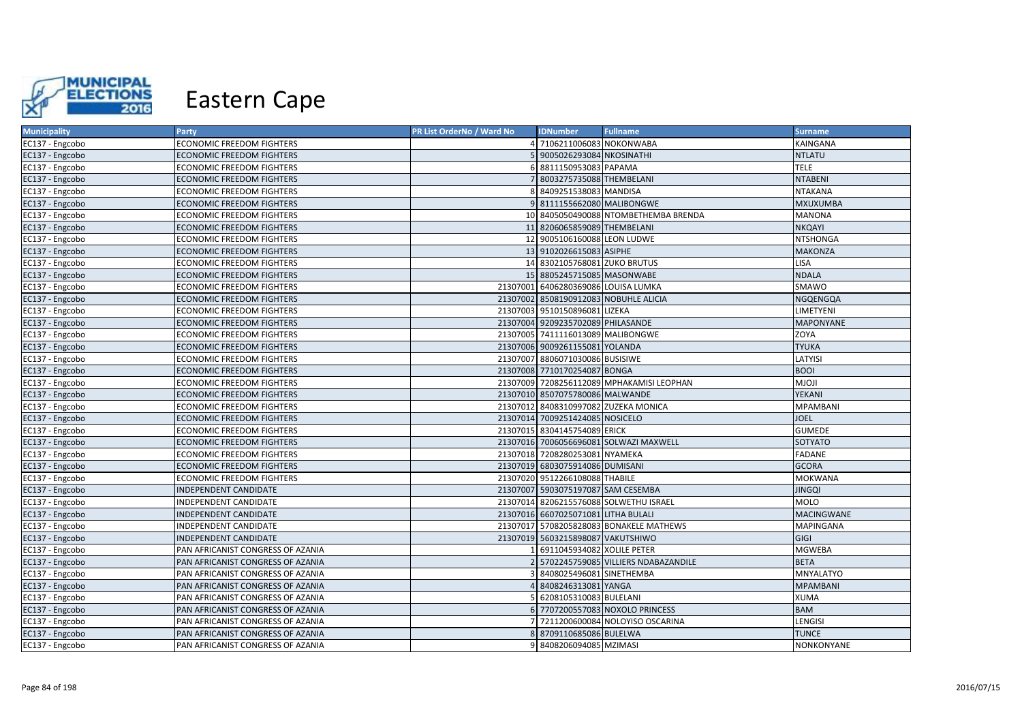

| <b>Municipality</b> | Party                             | PR List OrderNo / Ward No | <b>IDNumber</b>                     | <b>Fullname</b>                           | <b>Surname</b>    |
|---------------------|-----------------------------------|---------------------------|-------------------------------------|-------------------------------------------|-------------------|
| EC137 - Engcobo     | <b>ECONOMIC FREEDOM FIGHTERS</b>  |                           | 7106211006083 NOKONWABA             |                                           | KAINGANA          |
| EC137 - Engcobo     | ECONOMIC FREEDOM FIGHTERS         |                           | 9005026293084 NKOSINATHI            |                                           | <b>NTLATU</b>     |
| EC137 - Engcobo     | <b>ECONOMIC FREEDOM FIGHTERS</b>  |                           | 8811150953083 PAPAMA                |                                           | <b>TELE</b>       |
| EC137 - Engcobo     | ECONOMIC FREEDOM FIGHTERS         |                           | 8003275735088 THEMBELANI            |                                           | <b>NTABENI</b>    |
| EC137 - Engcobo     | <b>ECONOMIC FREEDOM FIGHTERS</b>  |                           | 8409251538083 MANDISA               |                                           | <b>NTAKANA</b>    |
| EC137 - Engcobo     | ECONOMIC FREEDOM FIGHTERS         |                           | 9 8111155662080 MALIBONGWE          |                                           | MXUXUMBA          |
| EC137 - Engcobo     | <b>ECONOMIC FREEDOM FIGHTERS</b>  |                           |                                     | 10 8405050490088 NTOMBETHEMBA BRENDA      | <b>MANONA</b>     |
| EC137 - Engcobo     | <b>ECONOMIC FREEDOM FIGHTERS</b>  |                           | 11 8206065859089 THEMBELANI         |                                           | <b>NKQAYI</b>     |
| EC137 - Engcobo     | <b>ECONOMIC FREEDOM FIGHTERS</b>  |                           | 12 9005106160088 LEON LUDWE         |                                           | <b>NTSHONGA</b>   |
| EC137 - Engcobo     | <b>ECONOMIC FREEDOM FIGHTERS</b>  |                           | 13 9102026615083 ASIPHE             |                                           | <b>MAKONZA</b>    |
| EC137 - Engcobo     | <b>ECONOMIC FREEDOM FIGHTERS</b>  |                           | 14 8302105768081 ZUKO BRUTUS        |                                           | LISA              |
| EC137 - Engcobo     | <b>ECONOMIC FREEDOM FIGHTERS</b>  |                           | 15 8805245715085 MASONWABE          |                                           | <b>NDALA</b>      |
| EC137 - Engcobo     | <b>ECONOMIC FREEDOM FIGHTERS</b>  |                           | 21307001 6406280369086 LOUISA LUMKA |                                           | SMAWO             |
| EC137 - Engcobo     | <b>ECONOMIC FREEDOM FIGHTERS</b>  |                           |                                     | 21307002 8508190912083 NOBUHLE ALICIA     | NGQENGQA          |
| EC137 - Engcobo     | <b>ECONOMIC FREEDOM FIGHTERS</b>  |                           | 21307003 9510150896081 LIZEKA       |                                           | LIMETYENI         |
| EC137 - Engcobo     | <b>ECONOMIC FREEDOM FIGHTERS</b>  |                           | 21307004 9209235702089 PHILASANDE   |                                           | <b>MAPONYANE</b>  |
| EC137 - Engcobo     | <b>ECONOMIC FREEDOM FIGHTERS</b>  |                           | 21307005 7411116013089 MALIBONGWE   |                                           | ZOYA              |
| EC137 - Engcobo     | <b>ECONOMIC FREEDOM FIGHTERS</b>  |                           | 21307006 9009261155081 YOLANDA      |                                           | <b>TYUKA</b>      |
| EC137 - Engcobo     | <b>ECONOMIC FREEDOM FIGHTERS</b>  |                           | 21307007 8806071030086 BUSISIWE     |                                           | LATYISI           |
| EC137 - Engcobo     | <b>ECONOMIC FREEDOM FIGHTERS</b>  |                           | 21307008 7710170254087 BONGA        |                                           | <b>BOOI</b>       |
| EC137 - Engcobo     | <b>ECONOMIC FREEDOM FIGHTERS</b>  |                           |                                     | 21307009 7208256112089 MPHAKAMISI LEOPHAN | <b>MJOJI</b>      |
| EC137 - Engcobo     | <b>ECONOMIC FREEDOM FIGHTERS</b>  |                           | 21307010 8507075780086 MALWANDE     |                                           | YEKANI            |
| EC137 - Engcobo     | <b>ECONOMIC FREEDOM FIGHTERS</b>  |                           |                                     | 21307012 8408310997082 ZUZEKA MONICA      | <b>MPAMBANI</b>   |
| EC137 - Engcobo     | <b>ECONOMIC FREEDOM FIGHTERS</b>  |                           | 21307014 7009251424085 NOSICELO     |                                           | <b>JOEL</b>       |
| EC137 - Engcobo     | <b>ECONOMIC FREEDOM FIGHTERS</b>  |                           | 21307015 8304145754089 ERICK        |                                           | <b>GUMEDE</b>     |
| EC137 - Engcobo     | <b>ECONOMIC FREEDOM FIGHTERS</b>  |                           |                                     | 21307016 7006056696081 SOLWAZI MAXWELL    | SOTYATO           |
| EC137 - Engcobo     | <b>ECONOMIC FREEDOM FIGHTERS</b>  |                           | 21307018 7208280253081 NYAMEKA      |                                           | <b>FADANE</b>     |
| EC137 - Engcobo     | <b>ECONOMIC FREEDOM FIGHTERS</b>  |                           | 21307019 6803075914086 DUMISANI     |                                           | <b>GCORA</b>      |
| EC137 - Engcobo     | <b>ECONOMIC FREEDOM FIGHTERS</b>  |                           | 21307020 9512266108088 THABILE      |                                           | <b>MOKWANA</b>    |
| EC137 - Engcobo     | <b>INDEPENDENT CANDIDATE</b>      |                           | 21307007 5903075197087 SAM CESEMBA  |                                           | <b>JINGQI</b>     |
| EC137 - Engcobo     | INDEPENDENT CANDIDATE             |                           |                                     | 21307014 8206215576088 SOLWETHU ISRAEL    | <b>MOLO</b>       |
| EC137 - Engcobo     | <b>INDEPENDENT CANDIDATE</b>      |                           | 21307016 6607025071081 LITHA BULALI |                                           | <b>MACINGWANE</b> |
| EC137 - Engcobo     | INDEPENDENT CANDIDATE             |                           |                                     | 21307017 5708205828083 BONAKELE MATHEWS   | MAPINGANA         |
| EC137 - Engcobo     | <b>INDEPENDENT CANDIDATE</b>      |                           | 21307019 5603215898087 VAKUTSHIWO   |                                           | GIGI              |
| EC137 - Engcobo     | PAN AFRICANIST CONGRESS OF AZANIA |                           | 6911045934082 XOLILE PETER          |                                           | <b>MGWEBA</b>     |
| EC137 - Engcobo     | PAN AFRICANIST CONGRESS OF AZANIA |                           |                                     | 2 5702245759085 VILLIERS NDABAZANDILE     | <b>BETA</b>       |
| EC137 - Engcobo     | PAN AFRICANIST CONGRESS OF AZANIA |                           | 8408025496081 SINETHEMBA            |                                           | MNYALATYO         |
| EC137 - Engcobo     | PAN AFRICANIST CONGRESS OF AZANIA |                           | 8408246313081 YANGA                 |                                           | <b>MPAMBANI</b>   |
| EC137 - Engcobo     | PAN AFRICANIST CONGRESS OF AZANIA |                           | 6208105310083 BULELANI              |                                           | <b>XUMA</b>       |
| EC137 - Engcobo     | PAN AFRICANIST CONGRESS OF AZANIA |                           |                                     | 7707200557083 NOXOLO PRINCESS             | <b>BAM</b>        |
| EC137 - Engcobo     | PAN AFRICANIST CONGRESS OF AZANIA |                           |                                     | 7211200600084 NOLOYISO OSCARINA           | LENGISI           |
| EC137 - Engcobo     | PAN AFRICANIST CONGRESS OF AZANIA |                           | 8709110685086 BULELWA               |                                           | <b>TUNCE</b>      |
| EC137 - Engcobo     | PAN AFRICANIST CONGRESS OF AZANIA |                           | 9 8408206094085 MZIMASI             |                                           | NONKONYANE        |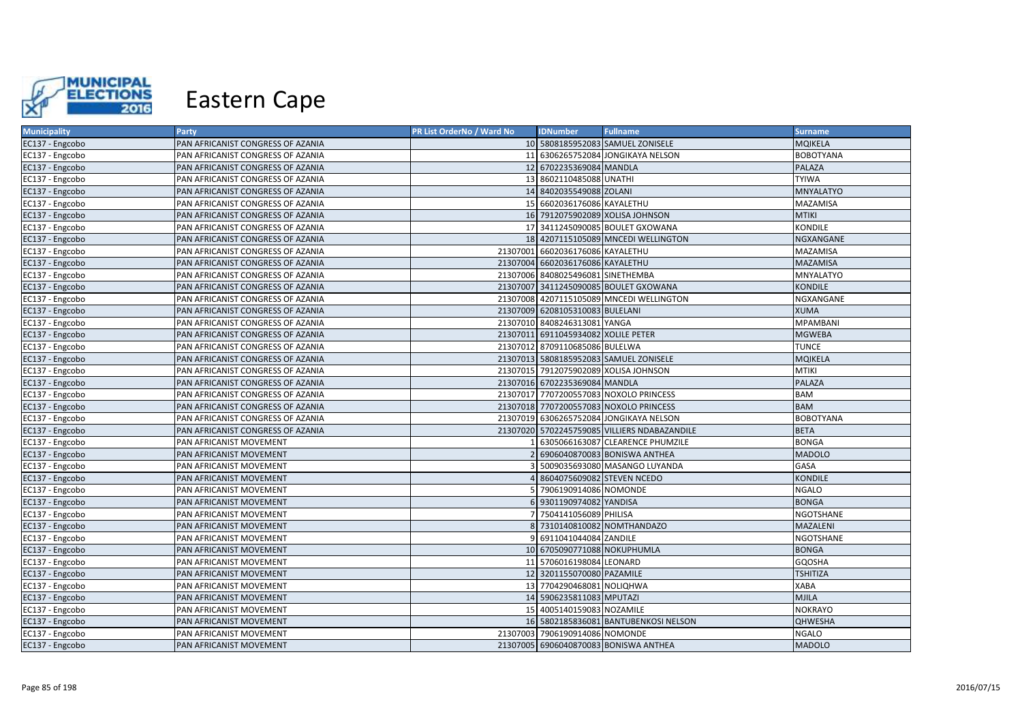

| <b>Municipality</b> | Party                             | PR List OrderNo / Ward No | <b>IDNumber</b>                     | <b>Fullname</b>                              | <b>Surname</b>   |
|---------------------|-----------------------------------|---------------------------|-------------------------------------|----------------------------------------------|------------------|
| EC137 - Engcobo     | PAN AFRICANIST CONGRESS OF AZANIA |                           |                                     | 10 5808185952083 SAMUEL ZONISELE             | <b>MQIKELA</b>   |
| EC137 - Engcobo     | PAN AFRICANIST CONGRESS OF AZANIA |                           |                                     | 11 6306265752084 JONGIKAYA NELSON            | <b>BOBOTYANA</b> |
| EC137 - Engcobo     | PAN AFRICANIST CONGRESS OF AZANIA |                           | 12 6702235369084 MANDLA             |                                              | PALAZA           |
| EC137 - Engcobo     | PAN AFRICANIST CONGRESS OF AZANIA |                           | 13 8602110485088 UNATHI             |                                              | <b>TYIWA</b>     |
| EC137 - Engcobo     | PAN AFRICANIST CONGRESS OF AZANIA |                           | 14 8402035549088 ZOLANI             |                                              | <b>MNYALATYO</b> |
| EC137 - Engcobo     | PAN AFRICANIST CONGRESS OF AZANIA |                           | 15 6602036176086 KAYALETHU          |                                              | MAZAMISA         |
| EC137 - Engcobo     | PAN AFRICANIST CONGRESS OF AZANIA |                           |                                     | 16 7912075902089 XOLISA JOHNSON              | <b>MTIKI</b>     |
| EC137 - Engcobo     | PAN AFRICANIST CONGRESS OF AZANIA |                           |                                     | 17 3411245090085 BOULET GXOWANA              | KONDILE          |
| EC137 - Engcobo     | PAN AFRICANIST CONGRESS OF AZANIA |                           |                                     | 18 4207115105089 MNCEDI WELLINGTON           | NGXANGANE        |
| EC137 - Engcobo     | PAN AFRICANIST CONGRESS OF AZANIA |                           | 21307001 6602036176086 KAYALETHU    |                                              | MAZAMISA         |
| EC137 - Engcobo     | PAN AFRICANIST CONGRESS OF AZANIA |                           | 21307004 6602036176086 KAYALETHU    |                                              | <b>MAZAMISA</b>  |
| EC137 - Engcobo     | PAN AFRICANIST CONGRESS OF AZANIA |                           | 21307006 8408025496081 SINETHEMBA   |                                              | MNYALATYO        |
| EC137 - Engcobo     | PAN AFRICANIST CONGRESS OF AZANIA |                           |                                     | 21307007 3411245090085 BOULET GXOWANA        | <b>KONDILE</b>   |
| EC137 - Engcobo     | PAN AFRICANIST CONGRESS OF AZANIA |                           |                                     | 21307008 4207115105089 MNCEDI WELLINGTON     | NGXANGANE        |
| EC137 - Engcobo     | PAN AFRICANIST CONGRESS OF AZANIA |                           | 21307009 6208105310083 BULELANI     |                                              | <b>XUMA</b>      |
| EC137 - Engcobo     | PAN AFRICANIST CONGRESS OF AZANIA |                           | 21307010 8408246313081 YANGA        |                                              | MPAMBANI         |
| EC137 - Engcobo     | PAN AFRICANIST CONGRESS OF AZANIA |                           | 21307011 6911045934082 XOLILE PETER |                                              | <b>MGWEBA</b>    |
| EC137 - Engcobo     | PAN AFRICANIST CONGRESS OF AZANIA |                           | 21307012 8709110685086 BULELWA      |                                              | <b>TUNCE</b>     |
| EC137 - Engcobo     | PAN AFRICANIST CONGRESS OF AZANIA |                           |                                     | 21307013 5808185952083 SAMUEL ZONISELE       | <b>MQIKELA</b>   |
| EC137 - Engcobo     | PAN AFRICANIST CONGRESS OF AZANIA |                           |                                     | 21307015 7912075902089 XOLISA JOHNSON        | <b>MTIKI</b>     |
| EC137 - Engcobo     | PAN AFRICANIST CONGRESS OF AZANIA |                           | 21307016 6702235369084 MANDLA       |                                              | PALAZA           |
| EC137 - Engcobo     | PAN AFRICANIST CONGRESS OF AZANIA |                           |                                     | 21307017 7707200557083 NOXOLO PRINCESS       | <b>BAM</b>       |
| EC137 - Engcobo     | PAN AFRICANIST CONGRESS OF AZANIA |                           |                                     | 21307018 7707200557083 NOXOLO PRINCESS       | <b>BAM</b>       |
| EC137 - Engcobo     | PAN AFRICANIST CONGRESS OF AZANIA |                           |                                     | 21307019 6306265752084 JONGIKAYA NELSON      | <b>BOBOTYANA</b> |
| EC137 - Engcobo     | PAN AFRICANIST CONGRESS OF AZANIA |                           |                                     | 21307020 5702245759085 VILLIERS NDABAZANDILE | <b>BETA</b>      |
| EC137 - Engcobo     | PAN AFRICANIST MOVEMENT           |                           |                                     | 6305066163087 CLEARENCE PHUMZILE             | <b>BONGA</b>     |
| EC137 - Engcobo     | PAN AFRICANIST MOVEMENT           |                           |                                     | 6906040870083 BONISWA ANTHEA                 | <b>MADOLO</b>    |
| EC137 - Engcobo     | PAN AFRICANIST MOVEMENT           |                           |                                     | 5009035693080 MASANGO LUYANDA                | GASA             |
| EC137 - Engcobo     | PAN AFRICANIST MOVEMENT           |                           | 8604075609082 STEVEN NCEDO          |                                              | <b>KONDILE</b>   |
| EC137 - Engcobo     | PAN AFRICANIST MOVEMENT           |                           | 7906190914086 NOMONDE               |                                              | <b>NGALO</b>     |
| EC137 - Engcobo     | PAN AFRICANIST MOVEMENT           |                           | 6 9301190974082 YANDISA             |                                              | <b>BONGA</b>     |
| EC137 - Engcobo     | PAN AFRICANIST MOVEMENT           |                           | 7504141056089 PHILISA               |                                              | <b>NGOTSHANE</b> |
| EC137 - Engcobo     | PAN AFRICANIST MOVEMENT           |                           |                                     | 8 7310140810082 NOMTHANDAZO                  | MAZALENI         |
| EC137 - Engcobo     | PAN AFRICANIST MOVEMENT           |                           | 6911041044084 ZANDILE               |                                              | <b>NGOTSHANE</b> |
| EC137 - Engcobo     | PAN AFRICANIST MOVEMENT           |                           | 10 6705090771088 NOKUPHUMLA         |                                              | <b>BONGA</b>     |
| EC137 - Engcobo     | PAN AFRICANIST MOVEMENT           |                           | 11 5706016198084 LEONARD            |                                              | GQOSHA           |
| EC137 - Engcobo     | PAN AFRICANIST MOVEMENT           |                           | 12 3201155070080 PAZAMILE           |                                              | <b>TSHITIZA</b>  |
| EC137 - Engcobo     | PAN AFRICANIST MOVEMENT           |                           | 13 7704290468081 NOLIQHWA           |                                              | <b>XABA</b>      |
| EC137 - Engcobo     | PAN AFRICANIST MOVEMENT           |                           | 14 5906235811083 MPUTAZI            |                                              | <b>MJILA</b>     |
| EC137 - Engcobo     | PAN AFRICANIST MOVEMENT           |                           | 15 4005140159083 NOZAMILE           |                                              | <b>NOKRAYO</b>   |
| EC137 - Engcobo     | PAN AFRICANIST MOVEMENT           |                           |                                     | 16 5802185836081 BANTUBENKOSI NELSON         | <b>QHWESHA</b>   |
| EC137 - Engcobo     | PAN AFRICANIST MOVEMENT           |                           | 21307003 7906190914086 NOMONDE      |                                              | <b>NGALO</b>     |
| EC137 - Engcobo     | PAN AFRICANIST MOVEMENT           |                           |                                     | 21307005 6906040870083 BONISWA ANTHEA        | <b>MADOLO</b>    |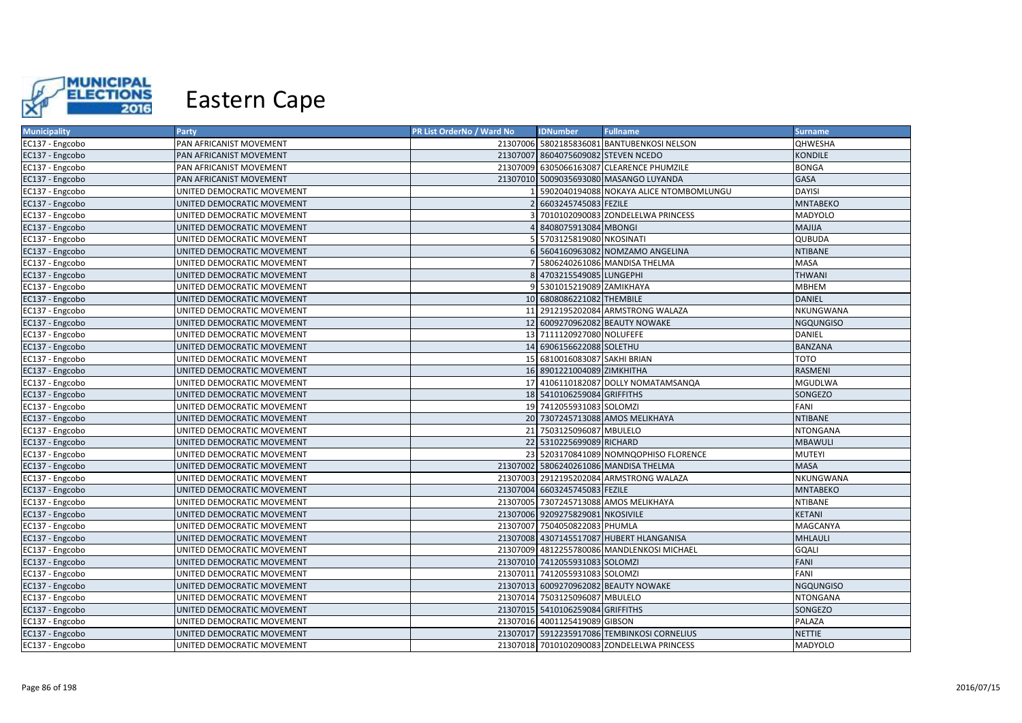

| <b>Municipality</b> | <b>Party</b>               | PR List OrderNo / Ward No | <b>IDNumber</b>                     | <b>Fullname</b>                             | <b>Surname</b>   |
|---------------------|----------------------------|---------------------------|-------------------------------------|---------------------------------------------|------------------|
| EC137 - Engcobo     | PAN AFRICANIST MOVEMENT    |                           |                                     | 21307006 5802185836081 BANTUBENKOSI NELSON  | <b>QHWESHA</b>   |
| EC137 - Engcobo     | PAN AFRICANIST MOVEMENT    |                           | 21307007 8604075609082 STEVEN NCEDO |                                             | KONDILE          |
| EC137 - Engcobo     | PAN AFRICANIST MOVEMENT    |                           |                                     | 21307009 6305066163087 CLEARENCE PHUMZILE   | <b>BONGA</b>     |
| EC137 - Engcobo     | PAN AFRICANIST MOVEMENT    |                           |                                     | 21307010 5009035693080 MASANGO LUYANDA      | <b>GASA</b>      |
| EC137 - Engcobo     | UNITED DEMOCRATIC MOVEMENT |                           |                                     | 5902040194088 NOKAYA ALICE NTOMBOMLUNGU     | <b>DAYISI</b>    |
| EC137 - Engcobo     | UNITED DEMOCRATIC MOVEMENT |                           | 6603245745083 FEZILE                |                                             | <b>MNTABEKO</b>  |
| EC137 - Engcobo     | UNITED DEMOCRATIC MOVEMENT |                           |                                     | 7010102090083 ZONDELELWA PRINCESS           | MADYOLO          |
| EC137 - Engcobo     | UNITED DEMOCRATIC MOVEMENT |                           | 8408075913084 MBONGI                |                                             | MAJIJA           |
| EC137 - Engcobo     | UNITED DEMOCRATIC MOVEMENT |                           | 5703125819080 NKOSINATI             |                                             | QUBUDA           |
| EC137 - Engcobo     | UNITED DEMOCRATIC MOVEMENT |                           |                                     | 5604160963082 NOMZAMO ANGELINA              | <b>NTIBANE</b>   |
| EC137 - Engcobo     | UNITED DEMOCRATIC MOVEMENT |                           |                                     | 5806240261086 MANDISA THELMA                | MASA             |
| EC137 - Engcobo     | UNITED DEMOCRATIC MOVEMENT |                           | 4703215549085 LUNGEPHI              |                                             | <b>THWANI</b>    |
| EC137 - Engcobo     | UNITED DEMOCRATIC MOVEMENT |                           | 5301015219089 ZAMIKHAYA             |                                             | <b>MBHEM</b>     |
| EC137 - Engcobo     | UNITED DEMOCRATIC MOVEMENT |                           | 10 6808086221082 THEMBILE           |                                             | <b>DANIEL</b>    |
| EC137 - Engcobo     | UNITED DEMOCRATIC MOVEMENT | 11                        |                                     | 2912195202084 ARMSTRONG WALAZA              | NKUNGWANA        |
| EC137 - Engcobo     | UNITED DEMOCRATIC MOVEMENT |                           |                                     | 12 6009270962082 BEAUTY NOWAKE              | <b>NGQUNGISO</b> |
| EC137 - Engcobo     | UNITED DEMOCRATIC MOVEMENT |                           | 13 7111120927080 NOLUFEFE           |                                             | DANIEL           |
| EC137 - Engcobo     | UNITED DEMOCRATIC MOVEMENT |                           | 14 6906156622088 SOLETHU            |                                             | <b>BANZANA</b>   |
| EC137 - Engcobo     | UNITED DEMOCRATIC MOVEMENT |                           | 15 6810016083087 SAKHI BRIAN        |                                             | TOTO             |
| EC137 - Engcobo     | UNITED DEMOCRATIC MOVEMENT |                           | 16 8901221004089 ZIMKHITHA          |                                             | RASMENI          |
| EC137 - Engcobo     | UNITED DEMOCRATIC MOVEMENT |                           |                                     | 17 4106110182087 DOLLY NOMATAMSANQA         | <b>MGUDLWA</b>   |
| EC137 - Engcobo     | UNITED DEMOCRATIC MOVEMENT |                           | 18 5410106259084 GRIFFITHS          |                                             | SONGEZO          |
| EC137 - Engcobo     | UNITED DEMOCRATIC MOVEMENT |                           | 19 7412055931083 SOLOMZI            |                                             | FANI             |
| EC137 - Engcobo     | UNITED DEMOCRATIC MOVEMENT |                           |                                     | 20 7307245713088 AMOS MELIKHAYA             | <b>NTIBANE</b>   |
| EC137 - Engcobo     | UNITED DEMOCRATIC MOVEMENT |                           | 21 7503125096087 MBULELO            |                                             | <b>NTONGANA</b>  |
| EC137 - Engcobo     | UNITED DEMOCRATIC MOVEMENT |                           | 22 5310225699089 RICHARD            |                                             | <b>MBAWULI</b>   |
| EC137 - Engcobo     | UNITED DEMOCRATIC MOVEMENT |                           |                                     | 23 5203170841089 NOMNQOPHISO FLORENCE       | <b>MUTEYI</b>    |
| EC137 - Engcobo     | UNITED DEMOCRATIC MOVEMENT |                           |                                     | 21307002 5806240261086 MANDISA THELMA       | <b>MASA</b>      |
| EC137 - Engcobo     | UNITED DEMOCRATIC MOVEMENT |                           |                                     | 21307003 2912195202084 ARMSTRONG WALAZA     | NKUNGWANA        |
| EC137 - Engcobo     | UNITED DEMOCRATIC MOVEMENT |                           | 21307004 6603245745083 FEZILE       |                                             | <b>MNTABEKO</b>  |
| EC137 - Engcobo     | UNITED DEMOCRATIC MOVEMENT |                           |                                     | 21307005 7307245713088 AMOS MELIKHAYA       | <b>NTIBANE</b>   |
| EC137 - Engcobo     | UNITED DEMOCRATIC MOVEMENT |                           | 21307006 9209275829081 NKOSIVILE    |                                             | <b>KETANI</b>    |
| EC137 - Engcobo     | UNITED DEMOCRATIC MOVEMENT |                           | 21307007 7504050822083 PHUMLA       |                                             | MAGCANYA         |
| EC137 - Engcobo     | UNITED DEMOCRATIC MOVEMENT |                           |                                     | 21307008 4307145517087 HUBERT HLANGANISA    | MHLAULI          |
| EC137 - Engcobo     | UNITED DEMOCRATIC MOVEMENT |                           |                                     | 21307009 4812255780086 MANDLENKOSI MICHAEL  | GQALI            |
| EC137 - Engcobo     | UNITED DEMOCRATIC MOVEMENT |                           | 21307010 7412055931083 SOLOMZI      |                                             | FANI             |
| EC137 - Engcobo     | UNITED DEMOCRATIC MOVEMENT |                           | 21307011 7412055931083 SOLOMZI      |                                             | FANI             |
| EC137 - Engcobo     | UNITED DEMOCRATIC MOVEMENT |                           |                                     | 21307013 6009270962082 BEAUTY NOWAKE        | <b>NGQUNGISO</b> |
| EC137 - Engcobo     | UNITED DEMOCRATIC MOVEMENT |                           | 21307014 7503125096087 MBULELO      |                                             | <b>NTONGANA</b>  |
| EC137 - Engcobo     | UNITED DEMOCRATIC MOVEMENT |                           | 21307015 5410106259084 GRIFFITHS    |                                             | SONGEZO          |
| EC137 - Engcobo     | UNITED DEMOCRATIC MOVEMENT |                           | 21307016 4001125419089 GIBSON       |                                             | PALAZA           |
| EC137 - Engcobo     | UNITED DEMOCRATIC MOVEMENT |                           |                                     | 21307017 5912235917086 TEMBINKOSI CORNELIUS | <b>NETTIE</b>    |
| EC137 - Engcobo     | UNITED DEMOCRATIC MOVEMENT |                           |                                     | 21307018 7010102090083 ZONDELELWA PRINCESS  | MADYOLO          |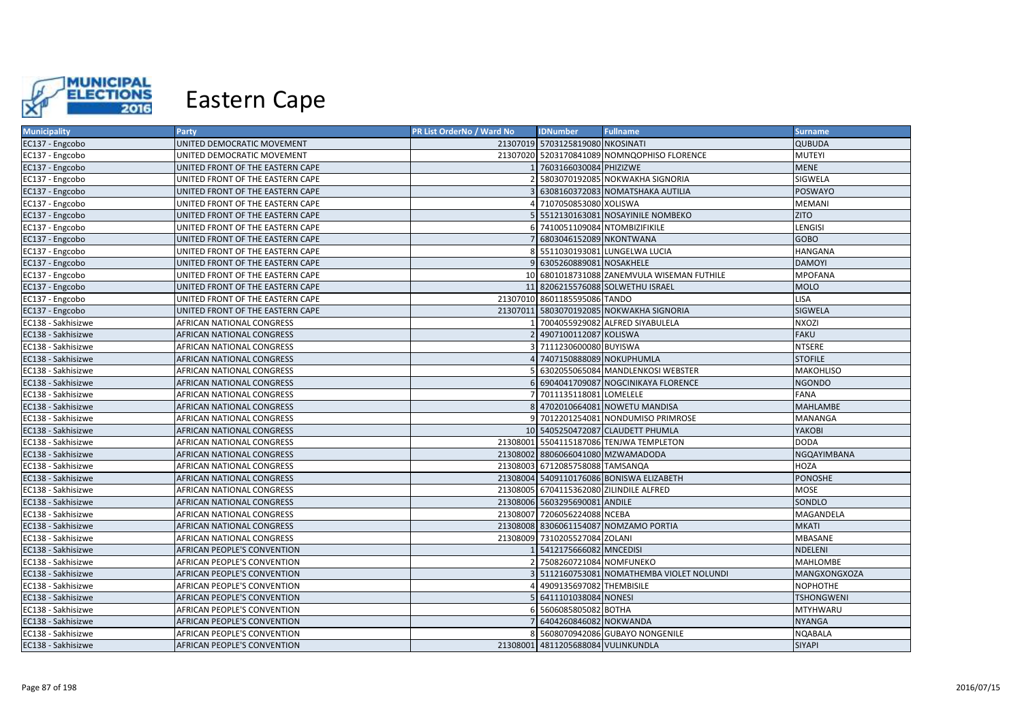

| <b>Municipality</b> | Party                              | PR List OrderNo / Ward No | <b>IDNumber</b>                    | <b>Fullname</b>                             | <b>Surname</b>    |
|---------------------|------------------------------------|---------------------------|------------------------------------|---------------------------------------------|-------------------|
| EC137 - Engcobo     | UNITED DEMOCRATIC MOVEMENT         |                           | 21307019 5703125819080 NKOSINATI   |                                             | <b>QUBUDA</b>     |
| EC137 - Engcobo     | UNITED DEMOCRATIC MOVEMENT         |                           |                                    | 21307020 5203170841089 NOMNQOPHISO FLORENCE | <b>MUTEYI</b>     |
| EC137 - Engcobo     | UNITED FRONT OF THE EASTERN CAPE   |                           | 1 7603166030084 PHIZIZWE           |                                             | <b>MENE</b>       |
| EC137 - Engcobo     | UNITED FRONT OF THE EASTERN CAPE   |                           |                                    | 2 5803070192085 NOKWAKHA SIGNORIA           | SIGWELA           |
| EC137 - Engcobo     | UNITED FRONT OF THE EASTERN CAPE   |                           |                                    | 6308160372083 NOMATSHAKA AUTILIA            | <b>POSWAYO</b>    |
| EC137 - Engcobo     | UNITED FRONT OF THE EASTERN CAPE   |                           | 4 7107050853080 XOLISWA            |                                             | MEMANI            |
| EC137 - Engcobo     | UNITED FRONT OF THE EASTERN CAPE   |                           |                                    | 5 5512130163081 NOSAYINILE NOMBEKO          | <b>ZITO</b>       |
| EC137 - Engcobo     | UNITED FRONT OF THE EASTERN CAPE   |                           | 6 7410051109084 NTOMBIZIFIKILE     |                                             | LENGISI           |
| EC137 - Engcobo     | UNITED FRONT OF THE EASTERN CAPE   |                           | 6803046152089 NKONTWANA            |                                             | <b>GOBO</b>       |
| EC137 - Engcobo     | UNITED FRONT OF THE EASTERN CAPE   |                           |                                    | 8 5511030193081 LUNGELWA LUCIA              | <b>HANGANA</b>    |
| EC137 - Engcobo     | UNITED FRONT OF THE EASTERN CAPE   |                           | 9 6305260889081 NOSAKHELE          |                                             | <b>DAMOYI</b>     |
| EC137 - Engcobo     | UNITED FRONT OF THE EASTERN CAPE   |                           |                                    | 10 6801018731088 ZANEMVULA WISEMAN FUTHILE  | <b>MPOFANA</b>    |
| EC137 - Engcobo     | UNITED FRONT OF THE EASTERN CAPE   |                           |                                    | 11 8206215576088 SOLWETHU ISRAEL            | <b>MOLO</b>       |
| EC137 - Engcobo     | UNITED FRONT OF THE EASTERN CAPE   |                           | 21307010 8601185595086 TANDO       |                                             | <b>LISA</b>       |
| EC137 - Engcobo     | UNITED FRONT OF THE EASTERN CAPE   |                           |                                    | 21307011 5803070192085 NOKWAKHA SIGNORIA    | <b>SIGWELA</b>    |
| EC138 - Sakhisizwe  | AFRICAN NATIONAL CONGRESS          |                           |                                    | 7004055929082 ALFRED SIYABULELA             | NXOZI             |
| EC138 - Sakhisizwe  | <b>AFRICAN NATIONAL CONGRESS</b>   |                           | 2 4907100112087 KOLISWA            |                                             | <b>FAKU</b>       |
| EC138 - Sakhisizwe  | AFRICAN NATIONAL CONGRESS          |                           | 3 7111230600080 BUYISWA            |                                             | NTSERE            |
| EC138 - Sakhisizwe  | AFRICAN NATIONAL CONGRESS          |                           | 4 7407150888089 NOKUPHUMLA         |                                             | <b>STOFILE</b>    |
| EC138 - Sakhisizwe  | AFRICAN NATIONAL CONGRESS          |                           |                                    | 6302055065084 MANDLENKOSI WEBSTER           | <b>MAKOHLISO</b>  |
| EC138 - Sakhisizwe  | <b>AFRICAN NATIONAL CONGRESS</b>   |                           |                                    | 6 6904041709087 NOGCINIKAYA FLORENCE        | <b>NGONDO</b>     |
| EC138 - Sakhisizwe  | AFRICAN NATIONAL CONGRESS          |                           | 7 7011135118081 LOMELELE           |                                             | <b>FANA</b>       |
| EC138 - Sakhisizwe  | AFRICAN NATIONAL CONGRESS          |                           |                                    | 8 4702010664081 NOWETU MANDISA              | <b>MAHLAMBE</b>   |
| EC138 - Sakhisizwe  | AFRICAN NATIONAL CONGRESS          |                           |                                    | 9 7012201254081 NONDUMISO PRIMROSE          | MANANGA           |
| EC138 - Sakhisizwe  | AFRICAN NATIONAL CONGRESS          |                           |                                    | 10 5405250472087 CLAUDETT PHUMLA            | YAKOBI            |
| EC138 - Sakhisizwe  | AFRICAN NATIONAL CONGRESS          |                           |                                    | 21308001 5504115187086 TENJWA TEMPLETON     | <b>DODA</b>       |
| EC138 - Sakhisizwe  | AFRICAN NATIONAL CONGRESS          |                           | 21308002 8806066041080 MZWAMADODA  |                                             | NGQAYIMBANA       |
| EC138 - Sakhisizwe  | AFRICAN NATIONAL CONGRESS          |                           | 21308003 6712085758088 TAMSANQA    |                                             | HOZA              |
| EC138 - Sakhisizwe  | AFRICAN NATIONAL CONGRESS          |                           |                                    | 21308004 5409110176086 BONISWA ELIZABETH    | <b>PONOSHE</b>    |
| EC138 - Sakhisizwe  | AFRICAN NATIONAL CONGRESS          |                           |                                    | 21308005 6704115362080 ZILINDILE ALFRED     | MOSE              |
| EC138 - Sakhisizwe  | AFRICAN NATIONAL CONGRESS          |                           | 21308006 5603295690081 ANDILE      |                                             | SONDLO            |
| EC138 - Sakhisizwe  | AFRICAN NATIONAL CONGRESS          |                           | 21308007 7206056224088 NCEBA       |                                             | MAGANDELA         |
| EC138 - Sakhisizwe  | <b>AFRICAN NATIONAL CONGRESS</b>   |                           |                                    | 21308008 8306061154087 NOMZAMO PORTIA       | <b>MKATI</b>      |
| EC138 - Sakhisizwe  | AFRICAN NATIONAL CONGRESS          |                           | 21308009 7310205527084 ZOLANI      |                                             | MBASANE           |
| EC138 - Sakhisizwe  | <b>AFRICAN PEOPLE'S CONVENTION</b> |                           | 1 5412175666082 MNCEDISI           |                                             | NDELENI           |
| EC138 - Sakhisizwe  | AFRICAN PEOPLE'S CONVENTION        |                           | 2 7508260721084 NOMFUNEKO          |                                             | <b>MAHLOMBE</b>   |
| EC138 - Sakhisizwe  | <b>AFRICAN PEOPLE'S CONVENTION</b> |                           |                                    | 5112160753081 NOMATHEMBA VIOLET NOLUNDI     | MANGXONGXOZA      |
| EC138 - Sakhisizwe  | AFRICAN PEOPLE'S CONVENTION        |                           | 4909135697082 THEMBISILE           |                                             | <b>NOPHOTHE</b>   |
| EC138 - Sakhisizwe  | AFRICAN PEOPLE'S CONVENTION        |                           | 5 6411101038084 NONESI             |                                             | <b>TSHONGWENI</b> |
| EC138 - Sakhisizwe  | AFRICAN PEOPLE'S CONVENTION        |                           | 6 5606085805082 BOTHA              |                                             | MTYHWARU          |
| EC138 - Sakhisizwe  | AFRICAN PEOPLE'S CONVENTION        |                           | 7 6404260846082 NOKWANDA           |                                             | <b>NYANGA</b>     |
| EC138 - Sakhisizwe  | AFRICAN PEOPLE'S CONVENTION        |                           |                                    | 8 5608070942086 GUBAYO NONGENILE            | <b>NQABALA</b>    |
| EC138 - Sakhisizwe  | <b>AFRICAN PEOPLE'S CONVENTION</b> |                           | 21308001 4811205688084 VULINKUNDLA |                                             | <b>SIYAPI</b>     |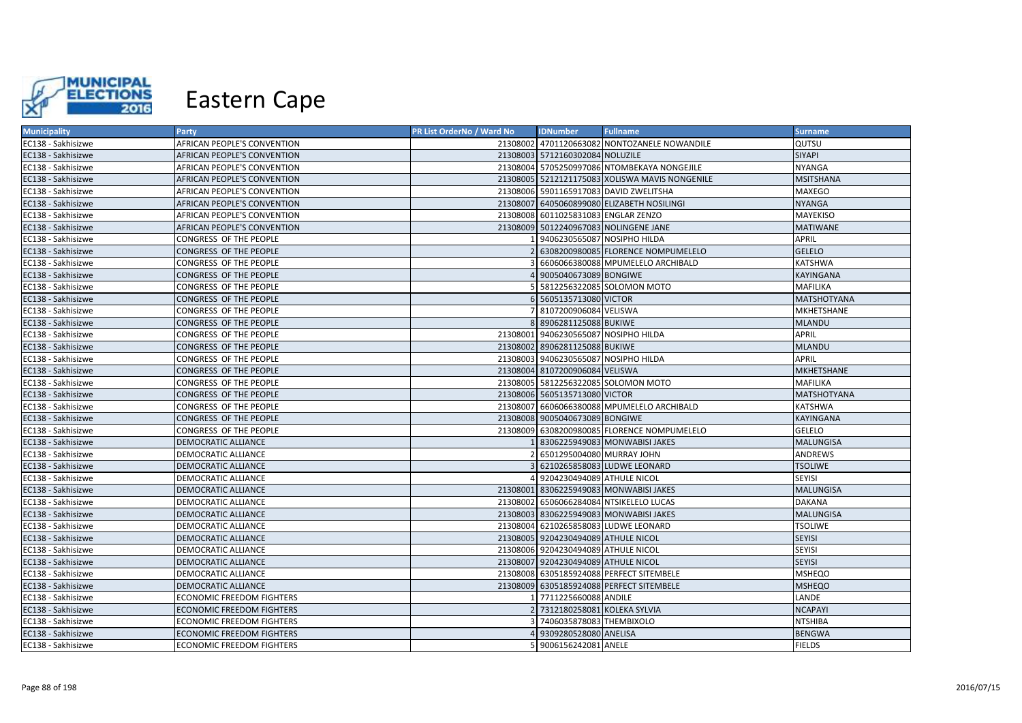

| <b>Municipality</b> | <b>Party</b>                       | PR List OrderNo / Ward No | <b>IDNumber</b>                      | <b>Fullname</b>                                | <b>Surname</b>     |
|---------------------|------------------------------------|---------------------------|--------------------------------------|------------------------------------------------|--------------------|
| EC138 - Sakhisizwe  | AFRICAN PEOPLE'S CONVENTION        |                           |                                      | 21308002 4701120663082 NONTOZANELE NOWANDILE   | QUTSU              |
| EC138 - Sakhisizwe  | AFRICAN PEOPLE'S CONVENTION        |                           | 21308003 5712160302084 NOLUZILE      |                                                | <b>SIYAPI</b>      |
| EC138 - Sakhisizwe  | AFRICAN PEOPLE'S CONVENTION        |                           |                                      | 21308004 5705250997086 NTOMBEKAYA NONGEJILE    | <b>NYANGA</b>      |
| EC138 - Sakhisizwe  | AFRICAN PEOPLE'S CONVENTION        |                           |                                      | 21308005 5212121175083 XOLISWA MAVIS NONGENILE | <b>MSITSHANA</b>   |
| EC138 - Sakhisizwe  | AFRICAN PEOPLE'S CONVENTION        |                           |                                      | 21308006 5901165917083 DAVID ZWELITSHA         | <b>MAXEGO</b>      |
| EC138 - Sakhisizwe  | <b>AFRICAN PEOPLE'S CONVENTION</b> |                           |                                      | 21308007 6405060899080 ELIZABETH NOSILINGI     | <b>NYANGA</b>      |
| EC138 - Sakhisizwe  | AFRICAN PEOPLE'S CONVENTION        |                           | 21308008 6011025831083 ENGLAR ZENZO  |                                                | MAYEKISO           |
| EC138 - Sakhisizwe  | <b>AFRICAN PEOPLE'S CONVENTION</b> |                           |                                      | 21308009 5012240967083 NOLINGENE JANE          | <b>MATIWANE</b>    |
| EC138 - Sakhisizwe  | CONGRESS OF THE PEOPLE             |                           | 9406230565087 NOSIPHO HILDA          |                                                | <b>APRIL</b>       |
| EC138 - Sakhisizwe  | CONGRESS OF THE PEOPLE             |                           |                                      | 6308200980085 FLORENCE NOMPUMELELO             | <b>GELELO</b>      |
| EC138 - Sakhisizwe  | CONGRESS OF THE PEOPLE             |                           |                                      | 6606066380088 MPUMELELO ARCHIBALD              | <b>KATSHWA</b>     |
| EC138 - Sakhisizwe  | CONGRESS OF THE PEOPLE             |                           | 9005040673089 BONGIWE                |                                                | <b>KAYINGANA</b>   |
| EC138 - Sakhisizwe  | CONGRESS OF THE PEOPLE             |                           |                                      | 5812256322085 SOLOMON MOTO                     | MAFILIKA           |
| EC138 - Sakhisizwe  | CONGRESS OF THE PEOPLE             |                           | 5605135713080 VICTOR                 |                                                | <b>MATSHOTYANA</b> |
| EC138 - Sakhisizwe  | CONGRESS OF THE PEOPLE             |                           | 8107200906084 VELISWA                |                                                | MKHETSHANE         |
| EC138 - Sakhisizwe  | CONGRESS OF THE PEOPLE             |                           | 8 8906281125088 BUKIWE               |                                                | <b>MLANDU</b>      |
| EC138 - Sakhisizwe  | CONGRESS OF THE PEOPLE             |                           | 21308001 9406230565087 NOSIPHO HILDA |                                                | <b>APRIL</b>       |
| EC138 - Sakhisizwe  | CONGRESS OF THE PEOPLE             |                           | 21308002 8906281125088 BUKIWE        |                                                | <b>MLANDU</b>      |
| EC138 - Sakhisizwe  | CONGRESS OF THE PEOPLE             |                           | 21308003 9406230565087 NOSIPHO HILDA |                                                | <b>APRIL</b>       |
| EC138 - Sakhisizwe  | CONGRESS OF THE PEOPLE             |                           | 21308004 8107200906084 VELISWA       |                                                | <b>MKHETSHANE</b>  |
| EC138 - Sakhisizwe  | CONGRESS OF THE PEOPLE             |                           |                                      | 21308005 5812256322085 SOLOMON MOTO            | MAFILIKA           |
| EC138 - Sakhisizwe  | CONGRESS OF THE PEOPLE             |                           | 21308006 5605135713080 VICTOR        |                                                | <b>MATSHOTYANA</b> |
| EC138 - Sakhisizwe  | CONGRESS OF THE PEOPLE             |                           |                                      | 21308007 6606066380088 MPUMELELO ARCHIBALD     | <b>KATSHWA</b>     |
| EC138 - Sakhisizwe  | CONGRESS OF THE PEOPLE             |                           | 21308008 9005040673089 BONGIWE       |                                                | <b>KAYINGANA</b>   |
| EC138 - Sakhisizwe  | CONGRESS OF THE PEOPLE             |                           |                                      | 21308009 6308200980085 FLORENCE NOMPUMELELO    | <b>GELELO</b>      |
| EC138 - Sakhisizwe  | DEMOCRATIC ALLIANCE                |                           |                                      | 8306225949083 MONWABISI JAKES                  | <b>MALUNGISA</b>   |
| EC138 - Sakhisizwe  | DEMOCRATIC ALLIANCE                |                           | 6501295004080 MURRAY JOHN            |                                                | <b>ANDREWS</b>     |
| EC138 - Sakhisizwe  | DEMOCRATIC ALLIANCE                |                           |                                      | 6210265858083 LUDWE LEONARD                    | <b>TSOLIWE</b>     |
| EC138 - Sakhisizwe  | DEMOCRATIC ALLIANCE                |                           | 9204230494089 ATHULE NICOL           |                                                | <b>SEYISI</b>      |
| EC138 - Sakhisizwe  | DEMOCRATIC ALLIANCE                |                           |                                      | 21308001 8306225949083 MONWABISI JAKES         | <b>MALUNGISA</b>   |
| EC138 - Sakhisizwe  | DEMOCRATIC ALLIANCE                |                           |                                      | 21308002 6506066284084 NTSIKELELO LUCAS        | <b>DAKANA</b>      |
| EC138 - Sakhisizwe  | DEMOCRATIC ALLIANCE                |                           |                                      | 21308003 8306225949083 MONWABISI JAKES         | <b>MALUNGISA</b>   |
| EC138 - Sakhisizwe  | DEMOCRATIC ALLIANCE                |                           |                                      | 21308004 6210265858083 LUDWE LEONARD           | <b>TSOLIWE</b>     |
| EC138 - Sakhisizwe  | DEMOCRATIC ALLIANCE                |                           | 21308005 9204230494089 ATHULE NICOL  |                                                | <b>SEYISI</b>      |
| EC138 - Sakhisizwe  | DEMOCRATIC ALLIANCE                |                           | 21308006 9204230494089 ATHULE NICOL  |                                                | <b>SEYISI</b>      |
| EC138 - Sakhisizwe  | DEMOCRATIC ALLIANCE                |                           | 21308007 9204230494089 ATHULE NICOL  |                                                | <b>SEYISI</b>      |
| EC138 - Sakhisizwe  | DEMOCRATIC ALLIANCE                |                           |                                      | 21308008 6305185924088 PERFECT SITEMBELE       | <b>MSHEQO</b>      |
| EC138 - Sakhisizwe  | DEMOCRATIC ALLIANCE                |                           |                                      | 21308009 6305185924088 PERFECT SITEMBELE       | <b>MSHEQO</b>      |
| EC138 - Sakhisizwe  | ECONOMIC FREEDOM FIGHTERS          |                           | 7711225660088 ANDILE                 |                                                | LANDE              |
| EC138 - Sakhisizwe  | <b>ECONOMIC FREEDOM FIGHTERS</b>   |                           | 7312180258081 KOLEKA SYLVIA          |                                                | <b>NCAPAYI</b>     |
| EC138 - Sakhisizwe  | ECONOMIC FREEDOM FIGHTERS          |                           | 7406035878083 THEMBIXOLO             |                                                | <b>NTSHIBA</b>     |
| EC138 - Sakhisizwe  | <b>ECONOMIC FREEDOM FIGHTERS</b>   |                           | 9309280528080 ANELISA                |                                                | <b>BENGWA</b>      |
| EC138 - Sakhisizwe  | ECONOMIC FREEDOM FIGHTERS          |                           | 5 9006156242081 ANELE                |                                                | <b>FIELDS</b>      |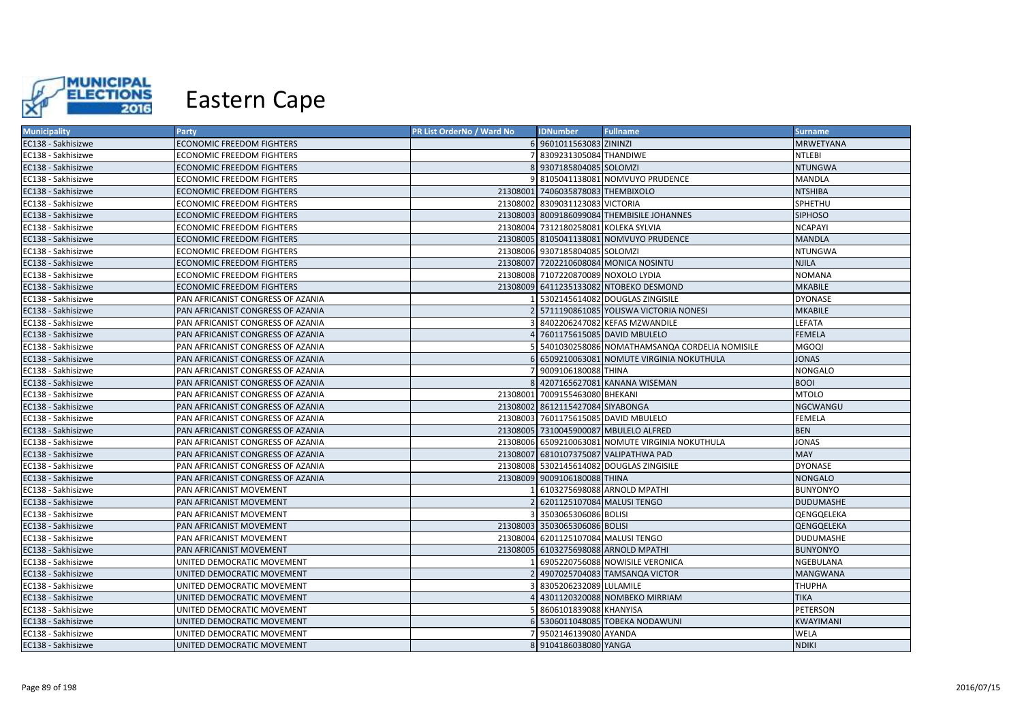

| <b>Municipality</b> | <b>Party</b>                      | PR List OrderNo / Ward No | <b>IDNumber</b>                      | <b>Fullname</b>                                  | <b>Surname</b>   |
|---------------------|-----------------------------------|---------------------------|--------------------------------------|--------------------------------------------------|------------------|
| EC138 - Sakhisizwe  | <b>ECONOMIC FREEDOM FIGHTERS</b>  |                           | 6 9601011563083 ZININZI              |                                                  | <b>MRWETYANA</b> |
| EC138 - Sakhisizwe  | ECONOMIC FREEDOM FIGHTERS         |                           | 8309231305084 THANDIWE               |                                                  | NTLEBI           |
| EC138 - Sakhisizwe  | <b>ECONOMIC FREEDOM FIGHTERS</b>  |                           | 8 9307185804085 SOLOMZI              |                                                  | <b>NTUNGWA</b>   |
| EC138 - Sakhisizwe  | <b>ECONOMIC FREEDOM FIGHTERS</b>  |                           |                                      | 8105041138081 NOMVUYO PRUDENCE                   | MANDLA           |
| EC138 - Sakhisizwe  | ECONOMIC FREEDOM FIGHTERS         |                           | 21308001 7406035878083 THEMBIXOLO    |                                                  | <b>NTSHIBA</b>   |
| EC138 - Sakhisizwe  | ECONOMIC FREEDOM FIGHTERS         |                           | 21308002 8309031123083 VICTORIA      |                                                  | SPHETHU          |
| EC138 - Sakhisizwe  | <b>ECONOMIC FREEDOM FIGHTERS</b>  |                           |                                      | 21308003 8009186099084 THEMBISILE JOHANNES       | <b>SIPHOSO</b>   |
| EC138 - Sakhisizwe  | <b>ECONOMIC FREEDOM FIGHTERS</b>  |                           | 21308004 7312180258081 KOLEKA SYLVIA |                                                  | <b>NCAPAYI</b>   |
| EC138 - Sakhisizwe  | ECONOMIC FREEDOM FIGHTERS         |                           |                                      | 21308005 8105041138081 NOMVUYO PRUDENCE          | <b>MANDLA</b>    |
| EC138 - Sakhisizwe  | ECONOMIC FREEDOM FIGHTERS         |                           | 21308006 9307185804085 SOLOMZI       |                                                  | <b>NTUNGWA</b>   |
| EC138 - Sakhisizwe  | ECONOMIC FREEDOM FIGHTERS         |                           |                                      | 21308007 7202210608084 MONICA NOSINTU            | <b>NJILA</b>     |
| EC138 - Sakhisizwe  | ECONOMIC FREEDOM FIGHTERS         |                           | 21308008 7107220870089 NOXOLO LYDIA  |                                                  | <b>NOMANA</b>    |
| EC138 - Sakhisizwe  | <b>ECONOMIC FREEDOM FIGHTERS</b>  |                           |                                      | 21308009 6411235133082 NTOBEKO DESMOND           | <b>MKABILE</b>   |
| EC138 - Sakhisizwe  | PAN AFRICANIST CONGRESS OF AZANIA |                           |                                      | 5302145614082 DOUGLAS ZINGISILE                  | <b>DYONASE</b>   |
| EC138 - Sakhisizwe  | PAN AFRICANIST CONGRESS OF AZANIA |                           |                                      | 5711190861085 YOLISWA VICTORIA NONESI            | <b>MKABILE</b>   |
| EC138 - Sakhisizwe  | PAN AFRICANIST CONGRESS OF AZANIA |                           |                                      | 8402206247082 KEFAS MZWANDILE                    | LEFATA           |
| EC138 - Sakhisizwe  | PAN AFRICANIST CONGRESS OF AZANIA |                           |                                      | 7601175615085 DAVID MBULELO                      | <b>FEMELA</b>    |
| EC138 - Sakhisizwe  | PAN AFRICANIST CONGRESS OF AZANIA |                           |                                      | 5401030258086 NOMATHAMSANQA CORDELIA NOMISILE    | MGOQI            |
| EC138 - Sakhisizwe  | PAN AFRICANIST CONGRESS OF AZANIA |                           |                                      | 6509210063081 NOMUTE VIRGINIA NOKUTHULA          | <b>JONAS</b>     |
| EC138 - Sakhisizwe  | PAN AFRICANIST CONGRESS OF AZANIA |                           | 9009106180088 THINA                  |                                                  | <b>NONGALO</b>   |
| EC138 - Sakhisizwe  | PAN AFRICANIST CONGRESS OF AZANIA |                           |                                      | 8 4207165627081 KANANA WISEMAN                   | <b>BOOI</b>      |
| EC138 - Sakhisizwe  | PAN AFRICANIST CONGRESS OF AZANIA |                           | 21308001 7009155463080 BHEKANI       |                                                  | <b>MTOLO</b>     |
| EC138 - Sakhisizwe  | PAN AFRICANIST CONGRESS OF AZANIA |                           | 21308002 8612115427084 SIYABONGA     |                                                  | NGCWANGU         |
| EC138 - Sakhisizwe  | PAN AFRICANIST CONGRESS OF AZANIA |                           |                                      | 21308003 7601175615085 DAVID MBULELO             | <b>FEMELA</b>    |
| EC138 - Sakhisizwe  | PAN AFRICANIST CONGRESS OF AZANIA |                           |                                      | 21308005 7310045900087 MBULELO ALFRED            | <b>BEN</b>       |
| EC138 - Sakhisizwe  | PAN AFRICANIST CONGRESS OF AZANIA |                           |                                      | 21308006 6509210063081 NOMUTE VIRGINIA NOKUTHULA | <b>JONAS</b>     |
| EC138 - Sakhisizwe  | PAN AFRICANIST CONGRESS OF AZANIA |                           |                                      | 21308007 6810107375087 VALIPATHWA PAD            | <b>MAY</b>       |
| EC138 - Sakhisizwe  | PAN AFRICANIST CONGRESS OF AZANIA |                           |                                      | 21308008 5302145614082 DOUGLAS ZINGISILE         | <b>DYONASE</b>   |
| EC138 - Sakhisizwe  | PAN AFRICANIST CONGRESS OF AZANIA |                           | 21308009 9009106180088 THINA         |                                                  | <b>NONGALO</b>   |
| EC138 - Sakhisizwe  | PAN AFRICANIST MOVEMENT           |                           |                                      | 6103275698088 ARNOLD MPATHI                      | <b>BUNYONYO</b>  |
| EC138 - Sakhisizwe  | PAN AFRICANIST MOVEMENT           |                           | 6201125107084 MALUSI TENGO           |                                                  | <b>DUDUMASHE</b> |
| EC138 - Sakhisizwe  | PAN AFRICANIST MOVEMENT           |                           | 3503065306086 BOLISI                 |                                                  | QENGQELEKA       |
| EC138 - Sakhisizwe  | PAN AFRICANIST MOVEMENT           |                           | 21308003 3503065306086 BOLISI        |                                                  | QENGQELEKA       |
| EC138 - Sakhisizwe  | PAN AFRICANIST MOVEMENT           |                           | 21308004 6201125107084 MALUSI TENGO  |                                                  | <b>DUDUMASHE</b> |
| EC138 - Sakhisizwe  | PAN AFRICANIST MOVEMENT           |                           |                                      | 21308005 6103275698088 ARNOLD MPATHI             | <b>BUNYONYO</b>  |
| EC138 - Sakhisizwe  | UNITED DEMOCRATIC MOVEMENT        |                           |                                      | 6905220756088 NOWISILE VERONICA                  | NGEBULANA        |
| EC138 - Sakhisizwe  | UNITED DEMOCRATIC MOVEMENT        |                           |                                      | 4907025704083 TAMSANQA VICTOR                    | <b>MANGWANA</b>  |
| EC138 - Sakhisizwe  | UNITED DEMOCRATIC MOVEMENT        |                           | 8305206232089 LULAMILE               |                                                  | <b>THUPHA</b>    |
| EC138 - Sakhisizwe  | UNITED DEMOCRATIC MOVEMENT        |                           |                                      | 4301120320088 NOMBEKO MIRRIAM                    | <b>TIKA</b>      |
| EC138 - Sakhisizwe  | UNITED DEMOCRATIC MOVEMENT        |                           | 8606101839088 KHANYISA               |                                                  | PETERSON         |
| EC138 - Sakhisizwe  | UNITED DEMOCRATIC MOVEMENT        |                           |                                      | 6 5306011048085 TOBEKA NODAWUNI                  | KWAYIMANI        |
| EC138 - Sakhisizwe  | UNITED DEMOCRATIC MOVEMENT        |                           | 9502146139080 AYANDA                 |                                                  | WELA             |
| EC138 - Sakhisizwe  | UNITED DEMOCRATIC MOVEMENT        |                           | 8 9104186038080 YANGA                |                                                  | <b>NDIKI</b>     |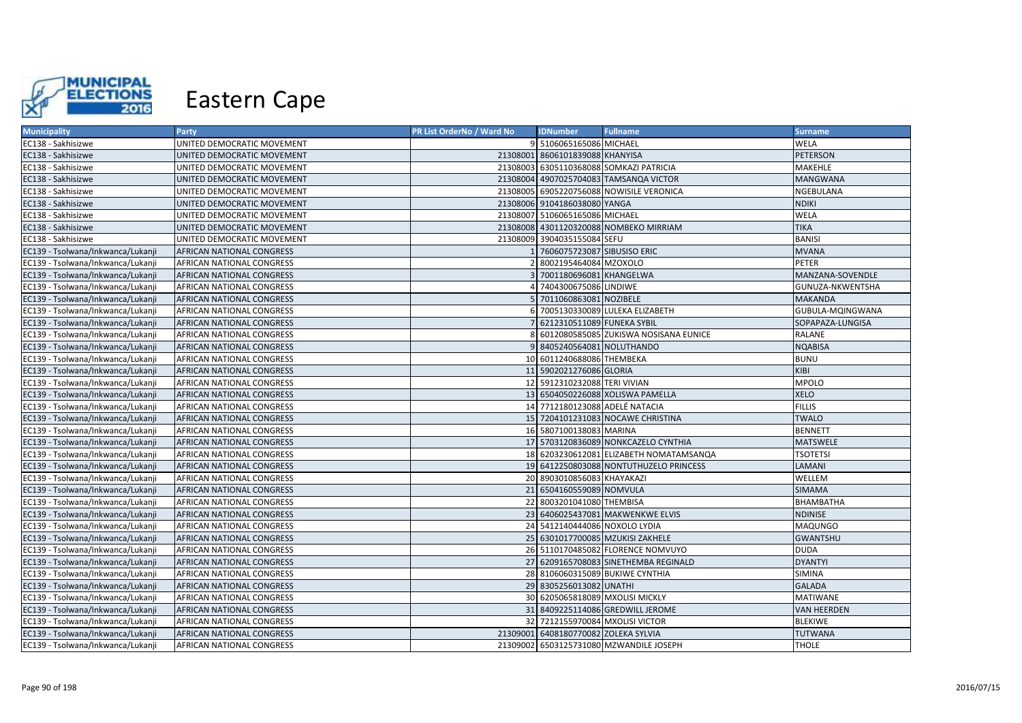

| <b>Municipality</b>               | Party                            | PR List OrderNo / Ward No | <b>IDNumber</b>                      | <b>Fullname</b>                          | <b>Surname</b>     |
|-----------------------------------|----------------------------------|---------------------------|--------------------------------------|------------------------------------------|--------------------|
| EC138 - Sakhisizwe                | UNITED DEMOCRATIC MOVEMENT       |                           | 9 5106065165086 MICHAEL              |                                          | <b>WELA</b>        |
| EC138 - Sakhisizwe                | UNITED DEMOCRATIC MOVEMENT       |                           | 21308001 8606101839088 KHANYISA      |                                          | <b>PETERSON</b>    |
| EC138 - Sakhisizwe                | UNITED DEMOCRATIC MOVEMENT       |                           |                                      | 21308003 6305110368088 SOMKAZI PATRICIA  | MAKEHLE            |
| EC138 - Sakhisizwe                | UNITED DEMOCRATIC MOVEMENT       |                           |                                      | 21308004 4907025704083 TAMSANQA VICTOR   | <b>MANGWANA</b>    |
| EC138 - Sakhisizwe                | UNITED DEMOCRATIC MOVEMENT       |                           |                                      | 21308005 6905220756088 NOWISILE VERONICA | NGEBULANA          |
| EC138 - Sakhisizwe                | UNITED DEMOCRATIC MOVEMENT       |                           | 21308006 9104186038080 YANGA         |                                          | <b>NDIKI</b>       |
| EC138 - Sakhisizwe                | UNITED DEMOCRATIC MOVEMENT       |                           | 21308007 5106065165086 MICHAEL       |                                          | WELA               |
| EC138 - Sakhisizwe                | UNITED DEMOCRATIC MOVEMENT       |                           |                                      | 21308008 4301120320088 NOMBEKO MIRRIAM   | <b>TIKA</b>        |
| EC138 - Sakhisizwe                | UNITED DEMOCRATIC MOVEMENT       |                           | 21308009 3904035155084 SEFU          |                                          | <b>BANISI</b>      |
| EC139 - Tsolwana/Inkwanca/Lukanji | AFRICAN NATIONAL CONGRESS        |                           | 1 7606075723087 SIBUSISO ERIC        |                                          | <b>MVANA</b>       |
| EC139 - Tsolwana/Inkwanca/Lukanji | AFRICAN NATIONAL CONGRESS        |                           | 8002195464084 MZOXOLO                |                                          | <b>PETER</b>       |
| EC139 - Tsolwana/Inkwanca/Lukanji | AFRICAN NATIONAL CONGRESS        |                           | 7001180696081 KHANGELWA              |                                          | MANZANA-SOVENDLE   |
| EC139 - Tsolwana/Inkwanca/Lukanji | AFRICAN NATIONAL CONGRESS        |                           | 7404300675086 LINDIWE                |                                          | GUNUZA-NKWENTSHA   |
| EC139 - Tsolwana/Inkwanca/Lukanji | AFRICAN NATIONAL CONGRESS        |                           | 5 7011060863081 NOZIBELE             |                                          | <b>MAKANDA</b>     |
| EC139 - Tsolwana/Inkwanca/Lukanji | AFRICAN NATIONAL CONGRESS        |                           |                                      | 6 7005130330089 LULEKA ELIZABETH         | GUBULA-MQINGWANA   |
| EC139 - Tsolwana/Inkwanca/Lukanji | AFRICAN NATIONAL CONGRESS        |                           | 7 6212310511089 FUNEKA SYBIL         |                                          | SOPAPAZA-LUNGISA   |
| EC139 - Tsolwana/Inkwanca/Lukanji | AFRICAN NATIONAL CONGRESS        |                           |                                      | 8 6012080585085 ZUKISWA NOSISANA EUNICE  | <b>RALANE</b>      |
| EC139 - Tsolwana/Inkwanca/Lukanji | AFRICAN NATIONAL CONGRESS        |                           | 9 8405240564081 NOLUTHANDO           |                                          | <b>NQABISA</b>     |
| EC139 - Tsolwana/Inkwanca/Lukanji | AFRICAN NATIONAL CONGRESS        |                           | 10 6011240688086 THEMBEKA            |                                          | <b>BUNU</b>        |
| EC139 - Tsolwana/Inkwanca/Lukanji | AFRICAN NATIONAL CONGRESS        |                           | 11 5902021276086 GLORIA              |                                          | KIBI               |
| EC139 - Tsolwana/Inkwanca/Lukanji | AFRICAN NATIONAL CONGRESS        |                           | 12 5912310232088 TERI VIVIAN         |                                          | <b>MPOLO</b>       |
| EC139 - Tsolwana/Inkwanca/Lukanji | AFRICAN NATIONAL CONGRESS        |                           |                                      | 13 6504050226088 XOLISWA PAMELLA         | <b>XELO</b>        |
| EC139 - Tsolwana/Inkwanca/Lukanji | AFRICAN NATIONAL CONGRESS        |                           | 14 7712180123088 ADELÉ NATACIA       |                                          | <b>FILLIS</b>      |
| EC139 - Tsolwana/Inkwanca/Lukanji | AFRICAN NATIONAL CONGRESS        |                           |                                      | 15 7204101231083 NOCAWE CHRISTINA        | <b>TWALO</b>       |
| EC139 - Tsolwana/Inkwanca/Lukanji | AFRICAN NATIONAL CONGRESS        |                           | 16 5807100138083 MARINA              |                                          | <b>BENNETT</b>     |
| EC139 - Tsolwana/Inkwanca/Lukanji | AFRICAN NATIONAL CONGRESS        |                           |                                      | 17 5703120836089 NONKCAZELO CYNTHIA      | <b>MATSWELE</b>    |
| EC139 - Tsolwana/Inkwanca/Lukanji | AFRICAN NATIONAL CONGRESS        |                           |                                      | 18 6203230612081 ELIZABETH NOMATAMSANQA  | <b>TSOTETSI</b>    |
| EC139 - Tsolwana/Inkwanca/Lukanji | AFRICAN NATIONAL CONGRESS        |                           |                                      | 19 6412250803088 NONTUTHUZELO PRINCESS   | LAMANI             |
| EC139 - Tsolwana/Inkwanca/Lukanji | AFRICAN NATIONAL CONGRESS        |                           | 20 8903010856083 KHAYAKAZI           |                                          | WELLEM             |
| EC139 - Tsolwana/Inkwanca/Lukanji | AFRICAN NATIONAL CONGRESS        |                           | 21 6504160559089 NOMVULA             |                                          | <b>SIMAMA</b>      |
| EC139 - Tsolwana/Inkwanca/Lukanji | AFRICAN NATIONAL CONGRESS        |                           | 22 8003201041080 THEMBISA            |                                          | BHAMBATHA          |
| EC139 - Tsolwana/Inkwanca/Lukanji | <b>AFRICAN NATIONAL CONGRESS</b> |                           |                                      | 23 6406025437081 MAKWENKWE ELVIS         | <b>NDINISE</b>     |
| EC139 - Tsolwana/Inkwanca/Lukanji | AFRICAN NATIONAL CONGRESS        |                           | 24 5412140444086 NOXOLO LYDIA        |                                          | <b>MAQUNGO</b>     |
| EC139 - Tsolwana/Inkwanca/Lukanji | AFRICAN NATIONAL CONGRESS        |                           |                                      | 25 6301017700085 MZUKISI ZAKHELE         | <b>GWANTSHU</b>    |
| EC139 - Tsolwana/Inkwanca/Lukanji | AFRICAN NATIONAL CONGRESS        |                           |                                      | 26 5110170485082 FLORENCE NOMVUYO        | <b>DUDA</b>        |
| EC139 - Tsolwana/Inkwanca/Lukanji | AFRICAN NATIONAL CONGRESS        |                           |                                      | 27 6209165708083 SINETHEMBA REGINALD     | <b>DYANTYI</b>     |
| EC139 - Tsolwana/Inkwanca/Lukanji | AFRICAN NATIONAL CONGRESS        |                           |                                      | 28 8106060315089 BUKIWE CYNTHIA          | <b>SIMINA</b>      |
| EC139 - Tsolwana/Inkwanca/Lukanji | AFRICAN NATIONAL CONGRESS        |                           | 29 8305256013082 UNATHI              |                                          | <b>GALADA</b>      |
| EC139 - Tsolwana/Inkwanca/Lukanji | AFRICAN NATIONAL CONGRESS        |                           |                                      | 30 6205065818089 MXOLISI MICKLY          | <b>MATIWANE</b>    |
| EC139 - Tsolwana/Inkwanca/Lukanji | AFRICAN NATIONAL CONGRESS        |                           |                                      | 31 8409225114086 GREDWILL JEROME         | <b>VAN HEERDEN</b> |
| EC139 - Tsolwana/Inkwanca/Lukanji | AFRICAN NATIONAL CONGRESS        |                           |                                      | 32 7212155970084 MXOLISI VICTOR          | <b>BLEKIWE</b>     |
| EC139 - Tsolwana/Inkwanca/Lukanji | AFRICAN NATIONAL CONGRESS        |                           | 21309001 6408180770082 ZOLEKA SYLVIA |                                          | <b>TUTWANA</b>     |
| EC139 - Tsolwana/Inkwanca/Lukanji | AFRICAN NATIONAL CONGRESS        |                           |                                      | 21309002 6503125731080 MZWANDILE JOSEPH  | <b>THOLE</b>       |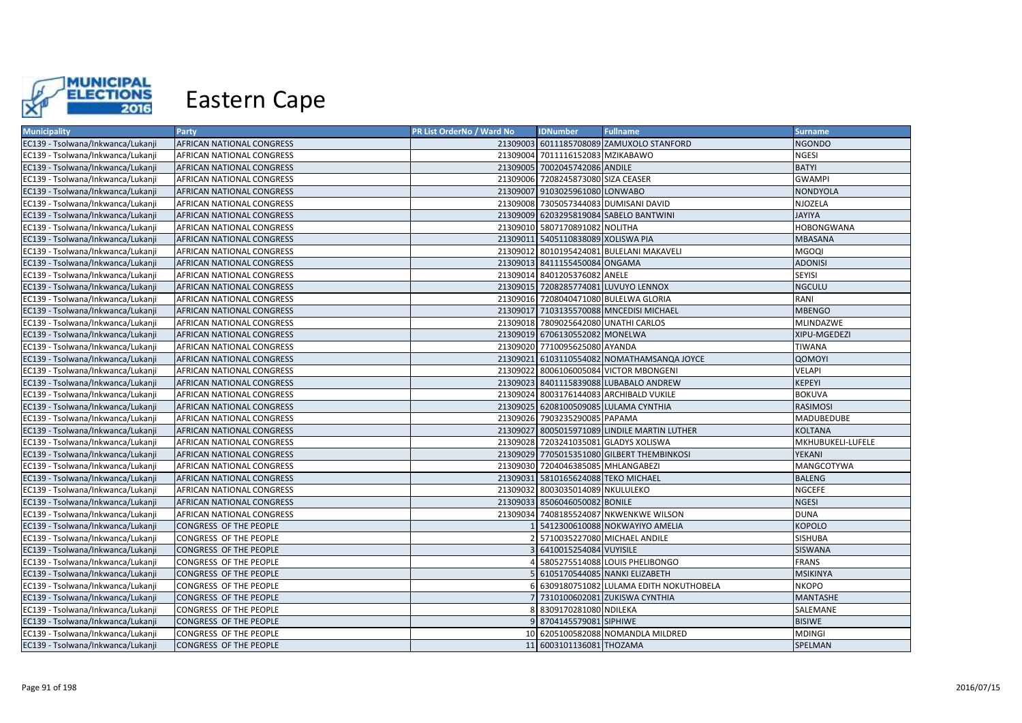

| <b>Municipality</b>               | <b>Party</b>                     | PR List OrderNo / Ward No | <b>IDNumber</b>                      | <b>Fullname</b>                              | <b>Surname</b>    |
|-----------------------------------|----------------------------------|---------------------------|--------------------------------------|----------------------------------------------|-------------------|
| EC139 - Tsolwana/Inkwanca/Lukanji | AFRICAN NATIONAL CONGRESS        |                           |                                      | 21309003 6011185708089 ZAMUXOLO STANFORD     | <b>NGONDO</b>     |
| EC139 - Tsolwana/Inkwanca/Lukanji | AFRICAN NATIONAL CONGRESS        |                           | 21309004 7011116152083 MZIKABAWO     |                                              | NGESI             |
| EC139 - Tsolwana/Inkwanca/Lukanji | AFRICAN NATIONAL CONGRESS        |                           | 21309005 7002045742086 ANDILE        |                                              | <b>BATYI</b>      |
| EC139 - Tsolwana/Inkwanca/Lukanji | AFRICAN NATIONAL CONGRESS        |                           | 21309006 7208245873080 SIZA CEASER   |                                              | <b>GWAMPI</b>     |
| EC139 - Tsolwana/Inkwanca/Lukanji | <b>AFRICAN NATIONAL CONGRESS</b> |                           | 21309007 9103025961080 LONWABO       |                                              | <b>NONDYOLA</b>   |
| EC139 - Tsolwana/Inkwanca/Lukanji | AFRICAN NATIONAL CONGRESS        |                           |                                      | 21309008 7305057344083 DUMISANI DAVID        | NJOZELA           |
| EC139 - Tsolwana/Inkwanca/Lukanji | AFRICAN NATIONAL CONGRESS        |                           |                                      | 21309009 6203295819084 SABELO BANTWINI       | <b>JAYIYA</b>     |
| EC139 - Tsolwana/Inkwanca/Lukanji | AFRICAN NATIONAL CONGRESS        |                           | 21309010 5807170891082 NOLITHA       |                                              | <b>HOBONGWANA</b> |
| EC139 - Tsolwana/Inkwanca/Lukanji | AFRICAN NATIONAL CONGRESS        |                           | 21309011 5405110838089 XOLISWA PIA   |                                              | <b>MBASANA</b>    |
| EC139 - Tsolwana/Inkwanca/Lukanji | AFRICAN NATIONAL CONGRESS        |                           |                                      | 21309012 8010195424081 BULELANI MAKAVELI     | <b>MGOOI</b>      |
| EC139 - Tsolwana/Inkwanca/Lukanji | AFRICAN NATIONAL CONGRESS        |                           | 21309013 8411155450084 ONGAMA        |                                              | <b>ADONISI</b>    |
| EC139 - Tsolwana/Inkwanca/Lukanji | AFRICAN NATIONAL CONGRESS        |                           | 21309014 8401205376082 ANELE         |                                              | <b>SEYISI</b>     |
| EC139 - Tsolwana/Inkwanca/Lukanji | AFRICAN NATIONAL CONGRESS        |                           |                                      | 21309015 7208285774081 LUVUYO LENNOX         | <b>NGCULU</b>     |
| EC139 - Tsolwana/Inkwanca/Lukanji | AFRICAN NATIONAL CONGRESS        |                           |                                      | 21309016 7208040471080 BULELWA GLORIA        | RANI              |
| EC139 - Tsolwana/Inkwanca/Lukanji | AFRICAN NATIONAL CONGRESS        |                           |                                      | 21309017 7103135570088 MNCEDISI MICHAEL      | <b>MBENGO</b>     |
| EC139 - Tsolwana/Inkwanca/Lukanji | AFRICAN NATIONAL CONGRESS        |                           | 21309018 7809025642080 UNATHI CARLOS |                                              | MLINDAZWE         |
| EC139 - Tsolwana/Inkwanca/Lukanji | AFRICAN NATIONAL CONGRESS        |                           | 21309019 6706130552082 MONELWA       |                                              | XIPU-MGEDEZI      |
| EC139 - Tsolwana/Inkwanca/Lukanji | AFRICAN NATIONAL CONGRESS        |                           | 21309020 7710095625080 AYANDA        |                                              | TIWANA            |
| EC139 - Tsolwana/Inkwanca/Lukanji | AFRICAN NATIONAL CONGRESS        |                           |                                      | 21309021 6103110554082 NOMATHAMSANQA JOYCE   | QOMOYI            |
| EC139 - Tsolwana/Inkwanca/Lukanji | AFRICAN NATIONAL CONGRESS        |                           |                                      | 21309022 8006106005084 VICTOR MBONGENI       | <b>VELAPI</b>     |
| EC139 - Tsolwana/Inkwanca/Lukanji | AFRICAN NATIONAL CONGRESS        |                           |                                      | 21309023 8401115839088 LUBABALO ANDREW       | <b>KEPEYI</b>     |
| EC139 - Tsolwana/Inkwanca/Lukanji | AFRICAN NATIONAL CONGRESS        |                           |                                      | 21309024 8003176144083 ARCHIBALD VUKILE      | <b>BOKUVA</b>     |
| EC139 - Tsolwana/Inkwanca/Lukanji | AFRICAN NATIONAL CONGRESS        |                           |                                      | 21309025 6208100509085 LULAMA CYNTHIA        | <b>RASIMOSI</b>   |
| EC139 - Tsolwana/Inkwanca/Lukanji | AFRICAN NATIONAL CONGRESS        |                           | 21309026 7903235290085 PAPAMA        |                                              | MADUBEDUBE        |
| EC139 - Tsolwana/Inkwanca/Lukanji | AFRICAN NATIONAL CONGRESS        |                           |                                      | 21309027 8005015971089 LINDILE MARTIN LUTHER | <b>KOLTANA</b>    |
| EC139 - Tsolwana/Inkwanca/Lukanji | AFRICAN NATIONAL CONGRESS        |                           |                                      | 21309028 7203241035081 GLADYS XOLISWA        | MKHUBUKELI-LUFELE |
| EC139 - Tsolwana/Inkwanca/Lukanji | <b>AFRICAN NATIONAL CONGRESS</b> |                           |                                      | 21309029 7705015351080 GILBERT THEMBINKOSI   | YEKANI            |
| EC139 - Tsolwana/Inkwanca/Lukanji | AFRICAN NATIONAL CONGRESS        |                           | 21309030 7204046385085 MHLANGABEZI   |                                              | MANGCOTYWA        |
| EC139 - Tsolwana/Inkwanca/Lukanji | AFRICAN NATIONAL CONGRESS        |                           | 21309031 5810165624088 TEKO MICHAEL  |                                              | <b>BALENG</b>     |
| EC139 - Tsolwana/Inkwanca/Lukanji | AFRICAN NATIONAL CONGRESS        |                           | 21309032 8003035014089 NKULULEKO     |                                              | <b>NGCEFE</b>     |
| EC139 - Tsolwana/Inkwanca/Lukanji | AFRICAN NATIONAL CONGRESS        |                           | 21309033 8506046050082 BONILE        |                                              | <b>NGESI</b>      |
| EC139 - Tsolwana/Inkwanca/Lukanji | AFRICAN NATIONAL CONGRESS        |                           |                                      | 21309034 7408185524087 NKWENKWE WILSON       | <b>DUNA</b>       |
| EC139 - Tsolwana/Inkwanca/Lukanji | CONGRESS OF THE PEOPLE           |                           |                                      | 5412300610088 NOKWAYIYO AMELIA               | <b>KOPOLO</b>     |
| EC139 - Tsolwana/Inkwanca/Lukanji | CONGRESS OF THE PEOPLE           |                           |                                      | 5710035227080 MICHAEL ANDILE                 | SISHUBA           |
| EC139 - Tsolwana/Inkwanca/Lukanji | CONGRESS OF THE PEOPLE           |                           | 6410015254084 VUYISILE               |                                              | SISWANA           |
| EC139 - Tsolwana/Inkwanca/Lukanji | CONGRESS OF THE PEOPLE           |                           |                                      | 5805275514088 LOUIS PHELIBONGO               | <b>FRANS</b>      |
| EC139 - Tsolwana/Inkwanca/Lukanji | CONGRESS OF THE PEOPLE           |                           |                                      | 6105170544085 NANKI ELIZABETH                | <b>MSIKINYA</b>   |
| EC139 - Tsolwana/Inkwanca/Lukanji | CONGRESS OF THE PEOPLE           |                           |                                      | 6309180751082 LULAMA EDITH NOKUTHOBELA       | <b>NKOPO</b>      |
| EC139 - Tsolwana/Inkwanca/Lukanji | CONGRESS OF THE PEOPLE           |                           |                                      | 7310100602081 ZUKISWA CYNTHIA                | <b>MANTASHE</b>   |
| EC139 - Tsolwana/Inkwanca/Lukanji | CONGRESS OF THE PEOPLE           |                           | 8309170281080 NDILEKA                |                                              | SALEMANE          |
| EC139 - Tsolwana/Inkwanca/Lukanji | CONGRESS OF THE PEOPLE           |                           | 9 8704145579081 SIPHIWE              |                                              | <b>BISIWE</b>     |
| EC139 - Tsolwana/Inkwanca/Lukanji | CONGRESS OF THE PEOPLE           |                           |                                      | 10 6205100582088 NOMANDLA MILDRED            | <b>MDINGI</b>     |
| EC139 - Tsolwana/Inkwanca/Lukanji | CONGRESS OF THE PEOPLE           |                           | 11 6003101136081 THOZAMA             |                                              | SPELMAN           |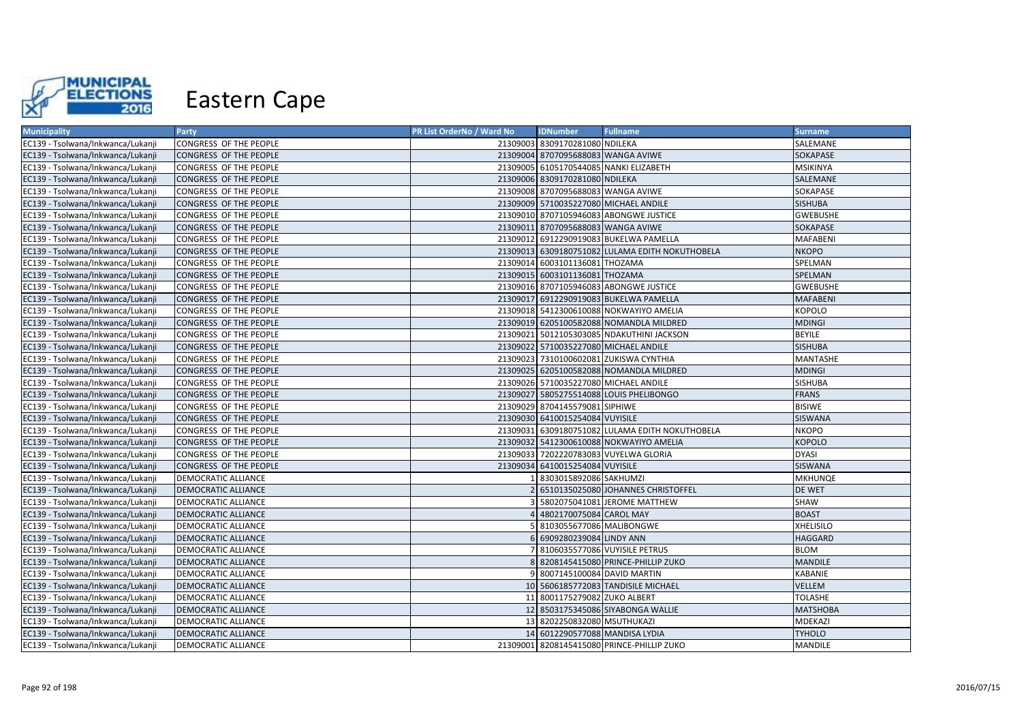

| <b>Municipality</b>               | Party                      | PR List OrderNo / Ward No | <b>IDNumber</b>                    | <b>Fullname</b>                                 | <b>Surname</b>   |
|-----------------------------------|----------------------------|---------------------------|------------------------------------|-------------------------------------------------|------------------|
| EC139 - Tsolwana/Inkwanca/Lukanji | CONGRESS OF THE PEOPLE     |                           | 21309003 8309170281080 NDILEKA     |                                                 | SALEMANE         |
| EC139 - Tsolwana/Inkwanca/Lukanji | CONGRESS OF THE PEOPLE     |                           | 21309004 8707095688083 WANGA AVIWE |                                                 | SOKAPASE         |
| EC139 - Tsolwana/Inkwanca/Lukanji | CONGRESS OF THE PEOPLE     |                           |                                    | 21309005 6105170544085 NANKI ELIZABETH          | <b>MSIKINYA</b>  |
| EC139 - Tsolwana/Inkwanca/Lukanji | CONGRESS OF THE PEOPLE     |                           | 21309006 8309170281080 NDILEKA     |                                                 | SALEMANE         |
| EC139 - Tsolwana/Inkwanca/Lukanji | CONGRESS OF THE PEOPLE     |                           | 21309008 8707095688083 WANGA AVIWE |                                                 | SOKAPASE         |
| EC139 - Tsolwana/Inkwanca/Lukanji | CONGRESS OF THE PEOPLE     |                           |                                    | 21309009 5710035227080 MICHAEL ANDILE           | <b>SISHUBA</b>   |
| EC139 - Tsolwana/Inkwanca/Lukanji | CONGRESS OF THE PEOPLE     |                           |                                    | 21309010 8707105946083 ABONGWE JUSTICE          | <b>GWEBUSHE</b>  |
| EC139 - Tsolwana/Inkwanca/Lukanji | CONGRESS OF THE PEOPLE     |                           | 21309011 8707095688083 WANGA AVIWE |                                                 | SOKAPASE         |
| EC139 - Tsolwana/Inkwanca/Lukanji | CONGRESS OF THE PEOPLE     |                           |                                    | 21309012 6912290919083 BUKELWA PAMELLA          | <b>MAFABENI</b>  |
| EC139 - Tsolwana/Inkwanca/Lukanji | CONGRESS OF THE PEOPLE     |                           |                                    | 21309013 6309180751082 LULAMA EDITH NOKUTHOBELA | <b>NKOPO</b>     |
| EC139 - Tsolwana/Inkwanca/Lukanji | CONGRESS OF THE PEOPLE     |                           | 21309014 6003101136081 THOZAMA     |                                                 | SPELMAN          |
| EC139 - Tsolwana/Inkwanca/Lukanji | CONGRESS OF THE PEOPLE     |                           | 21309015 6003101136081 THOZAMA     |                                                 | SPELMAN          |
| EC139 - Tsolwana/Inkwanca/Lukanji | CONGRESS OF THE PEOPLE     |                           |                                    | 21309016 8707105946083 ABONGWE JUSTICE          | <b>GWEBUSHE</b>  |
| EC139 - Tsolwana/Inkwanca/Lukanji | CONGRESS OF THE PEOPLE     |                           |                                    | 21309017 6912290919083 BUKELWA PAMELLA          | <b>MAFABENI</b>  |
| EC139 - Tsolwana/Inkwanca/Lukanji | CONGRESS OF THE PEOPLE     |                           |                                    | 21309018 5412300610088 NOKWAYIYO AMELIA         | KOPOLO           |
| EC139 - Tsolwana/Inkwanca/Lukanji | CONGRESS OF THE PEOPLE     |                           |                                    | 21309019 6205100582088 NOMANDLA MILDRED         | <b>MDINGI</b>    |
| EC139 - Tsolwana/Inkwanca/Lukanji | CONGRESS OF THE PEOPLE     |                           |                                    | 21309021 5012105303085 NDAKUTHINI JACKSON       | <b>BEYILE</b>    |
| EC139 - Tsolwana/Inkwanca/Lukanji | CONGRESS OF THE PEOPLE     |                           |                                    | 21309022 5710035227080 MICHAEL ANDILE           | <b>SISHUBA</b>   |
| EC139 - Tsolwana/Inkwanca/Lukanji | CONGRESS OF THE PEOPLE     |                           |                                    | 21309023 7310100602081 ZUKISWA CYNTHIA          | MANTASHE         |
| EC139 - Tsolwana/Inkwanca/Lukanji | CONGRESS OF THE PEOPLE     |                           |                                    | 21309025 6205100582088 NOMANDLA MILDRED         | <b>MDINGI</b>    |
| EC139 - Tsolwana/Inkwanca/Lukanji | CONGRESS OF THE PEOPLE     |                           |                                    | 21309026 5710035227080 MICHAEL ANDILE           | <b>SISHUBA</b>   |
| EC139 - Tsolwana/Inkwanca/Lukanji | CONGRESS OF THE PEOPLE     |                           |                                    | 21309027 5805275514088 LOUIS PHELIBONGO         | <b>FRANS</b>     |
| EC139 - Tsolwana/Inkwanca/Lukanji | CONGRESS OF THE PEOPLE     |                           | 21309029 8704145579081 SIPHIWE     |                                                 | <b>BISIWE</b>    |
| EC139 - Tsolwana/Inkwanca/Lukanji | CONGRESS OF THE PEOPLE     |                           | 21309030 6410015254084 VUYISILE    |                                                 | <b>SISWANA</b>   |
| EC139 - Tsolwana/Inkwanca/Lukanji | CONGRESS OF THE PEOPLE     |                           |                                    | 21309031 6309180751082 LULAMA EDITH NOKUTHOBELA | <b>NKOPO</b>     |
| EC139 - Tsolwana/Inkwanca/Lukanji | CONGRESS OF THE PEOPLE     |                           |                                    | 21309032 5412300610088 NOKWAYIYO AMELIA         | <b>KOPOLO</b>    |
| EC139 - Tsolwana/Inkwanca/Lukanji | CONGRESS OF THE PEOPLE     |                           |                                    | 21309033 7202220783083 VUYELWA GLORIA           | <b>DYASI</b>     |
| EC139 - Tsolwana/Inkwanca/Lukanji | CONGRESS OF THE PEOPLE     |                           | 21309034 6410015254084 VUYISILE    |                                                 | <b>SISWANA</b>   |
| EC139 - Tsolwana/Inkwanca/Lukanji | DEMOCRATIC ALLIANCE        |                           | 8303015892086 SAKHUMZI             |                                                 | <b>MKHUNQE</b>   |
| EC139 - Tsolwana/Inkwanca/Lukanji | <b>DEMOCRATIC ALLIANCE</b> |                           |                                    | 2 6510135025080 JOHANNES CHRISTOFFEL            | <b>DE WET</b>    |
| EC139 - Tsolwana/Inkwanca/Lukanji | DEMOCRATIC ALLIANCE        |                           |                                    | 5802075041081 JEROME MATTHEW                    | <b>SHAW</b>      |
| EC139 - Tsolwana/Inkwanca/Lukanji | <b>DEMOCRATIC ALLIANCE</b> |                           | 4802170075084 CAROL MAY            |                                                 | <b>BOAST</b>     |
| EC139 - Tsolwana/Inkwanca/Lukanji | DEMOCRATIC ALLIANCE        |                           | 5 8103055677086 MALIBONGWE         |                                                 | <b>XHELISILO</b> |
| EC139 - Tsolwana/Inkwanca/Lukanji | <b>DEMOCRATIC ALLIANCE</b> |                           | 6 6909280239084 LINDY ANN          |                                                 | <b>HAGGARD</b>   |
| EC139 - Tsolwana/Inkwanca/Lukanji | DEMOCRATIC ALLIANCE        |                           |                                    | 8106035577086 VUYISILE PETRUS                   | <b>BLOM</b>      |
| EC139 - Tsolwana/Inkwanca/Lukanji | <b>DEMOCRATIC ALLIANCE</b> |                           |                                    | 8 8208145415080 PRINCE-PHILLIP ZUKO             | <b>MANDILE</b>   |
| EC139 - Tsolwana/Inkwanca/Lukanji | <b>DEMOCRATIC ALLIANCE</b> |                           | 9 8007145100084 DAVID MARTIN       |                                                 | <b>KABANIE</b>   |
| EC139 - Tsolwana/Inkwanca/Lukanji | <b>DEMOCRATIC ALLIANCE</b> |                           |                                    | 10 5606185772083 TANDISILE MICHAEL              | <b>VELLEM</b>    |
| EC139 - Tsolwana/Inkwanca/Lukanji | DEMOCRATIC ALLIANCE        |                           | 11 8001175279082 ZUKO ALBERT       |                                                 | TOLASHE          |
| EC139 - Tsolwana/Inkwanca/Lukanji | <b>DEMOCRATIC ALLIANCE</b> |                           |                                    | 12 8503175345086 SIYABONGA WALLIE               | <b>MATSHOBA</b>  |
| EC139 - Tsolwana/Inkwanca/Lukanji | <b>DEMOCRATIC ALLIANCE</b> |                           | 13 8202250832080 MSUTHUKAZI        |                                                 | <b>MDEKAZI</b>   |
| EC139 - Tsolwana/Inkwanca/Lukanji | <b>DEMOCRATIC ALLIANCE</b> |                           | 14 6012290577088 MANDISA LYDIA     |                                                 | <b>TYHOLO</b>    |
| EC139 - Tsolwana/Inkwanca/Lukanji | <b>DEMOCRATIC ALLIANCE</b> |                           |                                    | 21309001 8208145415080 PRINCE-PHILLIP ZUKO      | <b>MANDILE</b>   |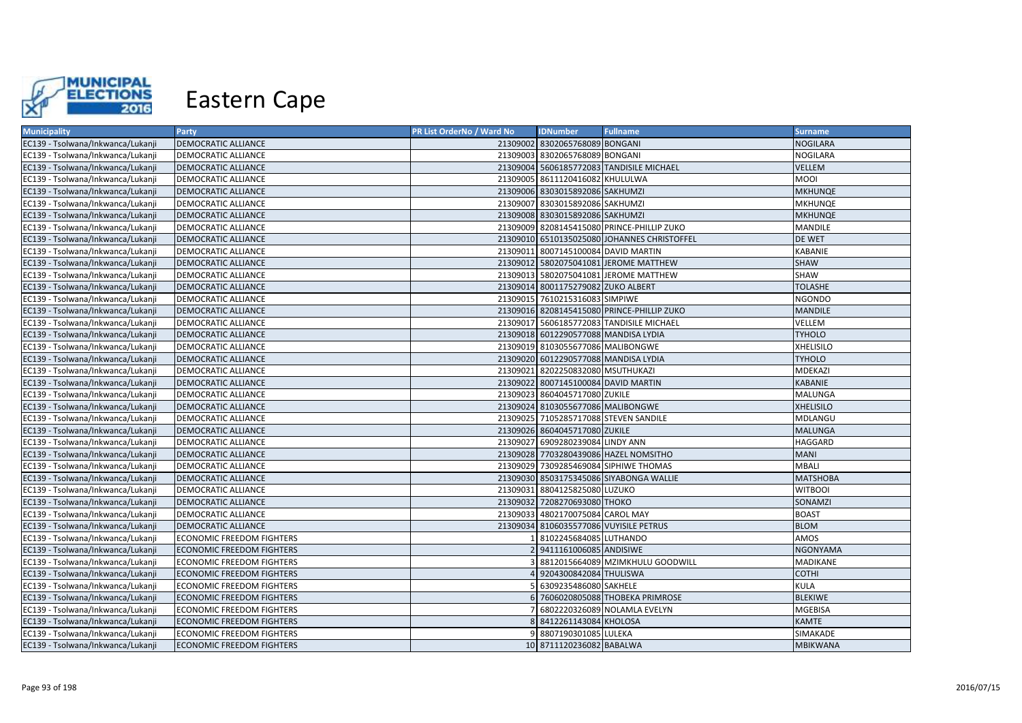

| <b>Municipality</b>               | Party                            | <b>PR List OrderNo / Ward No</b> | <b>IDNumber</b>                      | <b>Fullname</b>                             | <b>Surname</b>   |
|-----------------------------------|----------------------------------|----------------------------------|--------------------------------------|---------------------------------------------|------------------|
| EC139 - Tsolwana/Inkwanca/Lukanji | <b>DEMOCRATIC ALLIANCE</b>       |                                  | 21309002 8302065768089 BONGANI       |                                             | <b>NOGILARA</b>  |
| EC139 - Tsolwana/Inkwanca/Lukanji | DEMOCRATIC ALLIANCE              |                                  | 21309003 8302065768089 BONGANI       |                                             | NOGILARA         |
| EC139 - Tsolwana/Inkwanca/Lukanji | <b>DEMOCRATIC ALLIANCE</b>       |                                  |                                      | 21309004 5606185772083 TANDISILE MICHAEL    | VELLEM           |
| EC139 - Tsolwana/Inkwanca/Lukanji | DEMOCRATIC ALLIANCE              |                                  | 21309005 8611120416082 KHULULWA      |                                             | <b>MOOI</b>      |
| EC139 - Tsolwana/Inkwanca/Lukanji | <b>DEMOCRATIC ALLIANCE</b>       |                                  | 21309006 8303015892086 SAKHUMZI      |                                             | <b>MKHUNQE</b>   |
| EC139 - Tsolwana/Inkwanca/Lukanji | DEMOCRATIC ALLIANCE              |                                  | 21309007 8303015892086 SAKHUMZI      |                                             | <b>MKHUNQE</b>   |
| EC139 - Tsolwana/Inkwanca/Lukanji | <b>DEMOCRATIC ALLIANCE</b>       |                                  | 21309008 8303015892086 SAKHUMZI      |                                             | <b>MKHUNQE</b>   |
| EC139 - Tsolwana/Inkwanca/Lukanji | DEMOCRATIC ALLIANCE              |                                  |                                      | 21309009 8208145415080 PRINCE-PHILLIP ZUKO  | <b>MANDILE</b>   |
| EC139 - Tsolwana/Inkwanca/Lukanji | <b>DEMOCRATIC ALLIANCE</b>       |                                  |                                      | 21309010 6510135025080 JOHANNES CHRISTOFFEL | DE WET           |
| EC139 - Tsolwana/Inkwanca/Lukanji | <b>DEMOCRATIC ALLIANCE</b>       |                                  | 21309011 8007145100084 DAVID MARTIN  |                                             | <b>KABANIE</b>   |
| EC139 - Tsolwana/Inkwanca/Lukanji | <b>DEMOCRATIC ALLIANCE</b>       |                                  |                                      | 21309012 5802075041081 JEROME MATTHEW       | <b>SHAW</b>      |
| EC139 - Tsolwana/Inkwanca/Lukanji | <b>DEMOCRATIC ALLIANCE</b>       |                                  |                                      | 21309013 5802075041081 JEROME MATTHEW       | <b>SHAW</b>      |
| EC139 - Tsolwana/Inkwanca/Lukanji | <b>DEMOCRATIC ALLIANCE</b>       |                                  | 21309014 8001175279082 ZUKO ALBERT   |                                             | <b>TOLASHE</b>   |
| EC139 - Tsolwana/Inkwanca/Lukanji | <b>DEMOCRATIC ALLIANCE</b>       |                                  | 21309015 7610215316083 SIMPIWE       |                                             | <b>NGONDO</b>    |
| EC139 - Tsolwana/Inkwanca/Lukanji | <b>DEMOCRATIC ALLIANCE</b>       |                                  |                                      | 21309016 8208145415080 PRINCE-PHILLIP ZUKO  | <b>MANDILE</b>   |
| EC139 - Tsolwana/Inkwanca/Lukanji | DEMOCRATIC ALLIANCE              |                                  |                                      | 21309017 5606185772083 TANDISILE MICHAEL    | VELLEM           |
| EC139 - Tsolwana/Inkwanca/Lukanji | <b>DEMOCRATIC ALLIANCE</b>       |                                  | 21309018 6012290577088 MANDISA LYDIA |                                             | <b>TYHOLO</b>    |
| EC139 - Tsolwana/Inkwanca/Lukanji | DEMOCRATIC ALLIANCE              |                                  | 21309019 8103055677086 MALIBONGWE    |                                             | <b>XHELISILO</b> |
| EC139 - Tsolwana/Inkwanca/Lukanji | <b>DEMOCRATIC ALLIANCE</b>       |                                  | 21309020 6012290577088 MANDISA LYDIA |                                             | <b>TYHOLO</b>    |
| EC139 - Tsolwana/Inkwanca/Lukanji | <b>DEMOCRATIC ALLIANCE</b>       |                                  | 21309021 8202250832080 MSUTHUKAZI    |                                             | <b>MDEKAZI</b>   |
| EC139 - Tsolwana/Inkwanca/Lukanji | <b>DEMOCRATIC ALLIANCE</b>       |                                  | 21309022 8007145100084 DAVID MARTIN  |                                             | <b>KABANIE</b>   |
| EC139 - Tsolwana/Inkwanca/Lukanji | DEMOCRATIC ALLIANCE              |                                  | 21309023 8604045717080 ZUKILE        |                                             | <b>MALUNGA</b>   |
| EC139 - Tsolwana/Inkwanca/Lukanji | <b>DEMOCRATIC ALLIANCE</b>       |                                  | 21309024 8103055677086 MALIBONGWE    |                                             | <b>XHELISILO</b> |
| EC139 - Tsolwana/Inkwanca/Lukanji | DEMOCRATIC ALLIANCE              |                                  |                                      | 21309025 7105285717088 STEVEN SANDILE       | MDLANGU          |
| EC139 - Tsolwana/Inkwanca/Lukanji | <b>DEMOCRATIC ALLIANCE</b>       |                                  | 21309026 8604045717080 ZUKILE        |                                             | <b>MALUNGA</b>   |
| EC139 - Tsolwana/Inkwanca/Lukanji | DEMOCRATIC ALLIANCE              |                                  | 21309027 6909280239084 LINDY ANN     |                                             | <b>HAGGARD</b>   |
| EC139 - Tsolwana/Inkwanca/Lukanji | <b>DEMOCRATIC ALLIANCE</b>       |                                  |                                      | 21309028 7703280439086 HAZEL NOMSITHO       | <b>MANI</b>      |
| EC139 - Tsolwana/Inkwanca/Lukanji | <b>DEMOCRATIC ALLIANCE</b>       |                                  |                                      | 21309029 7309285469084 SIPHIWE THOMAS       | <b>MBALI</b>     |
| EC139 - Tsolwana/Inkwanca/Lukanji | <b>DEMOCRATIC ALLIANCE</b>       |                                  |                                      | 21309030 8503175345086 SIYABONGA WALLIE     | <b>MATSHOBA</b>  |
| EC139 - Tsolwana/Inkwanca/Lukanji | DEMOCRATIC ALLIANCE              |                                  | 21309031 8804125825080 LUZUKO        |                                             | <b>WITBOOI</b>   |
| EC139 - Tsolwana/Inkwanca/Lukanji | <b>DEMOCRATIC ALLIANCE</b>       |                                  | 21309032 7208270693080 THOKO         |                                             | SONAMZI          |
| EC139 - Tsolwana/Inkwanca/Lukanji | DEMOCRATIC ALLIANCE              |                                  | 21309033 4802170075084 CAROL MAY     |                                             | <b>BOAST</b>     |
| EC139 - Tsolwana/Inkwanca/Lukanji | <b>DEMOCRATIC ALLIANCE</b>       |                                  |                                      | 21309034 8106035577086 VUYISILE PETRUS      | <b>BLOM</b>      |
| EC139 - Tsolwana/Inkwanca/Lukanji | <b>ECONOMIC FREEDOM FIGHTERS</b> |                                  | 8102245684085 LUTHANDO               |                                             | AMOS             |
| EC139 - Tsolwana/Inkwanca/Lukanji | <b>ECONOMIC FREEDOM FIGHTERS</b> |                                  | 9411161006085 ANDISIWE               |                                             | <b>NGONYAMA</b>  |
| EC139 - Tsolwana/Inkwanca/Lukanji | ECONOMIC FREEDOM FIGHTERS        |                                  |                                      | 8812015664089 MZIMKHULU GOODWILL            | MADIKANE         |
| EC139 - Tsolwana/Inkwanca/Lukanji | <b>ECONOMIC FREEDOM FIGHTERS</b> |                                  | 4 9204300842084 THULISWA             |                                             | <b>COTHI</b>     |
| EC139 - Tsolwana/Inkwanca/Lukanji | <b>ECONOMIC FREEDOM FIGHTERS</b> |                                  | 5 6309235486080 SAKHELE              |                                             | <b>KULA</b>      |
| EC139 - Tsolwana/Inkwanca/Lukanji | <b>ECONOMIC FREEDOM FIGHTERS</b> |                                  |                                      | 7606020805088 THOBEKA PRIMROSE              | <b>BLEKIWE</b>   |
| EC139 - Tsolwana/Inkwanca/Lukanji | ECONOMIC FREEDOM FIGHTERS        |                                  |                                      | 6802220326089 NOLAMLA EVELYN                | <b>MGEBISA</b>   |
| EC139 - Tsolwana/Inkwanca/Lukanji | <b>ECONOMIC FREEDOM FIGHTERS</b> |                                  | 8 8412261143084 KHOLOSA              |                                             | <b>KAMTE</b>     |
| EC139 - Tsolwana/Inkwanca/Lukanji | <b>ECONOMIC FREEDOM FIGHTERS</b> |                                  | 9 8807190301085 LULEKA               |                                             | SIMAKADE         |
| EC139 - Tsolwana/Inkwanca/Lukanji | <b>ECONOMIC FREEDOM FIGHTERS</b> |                                  | 10 8711120236082 BABALWA             |                                             | <b>MBIKWANA</b>  |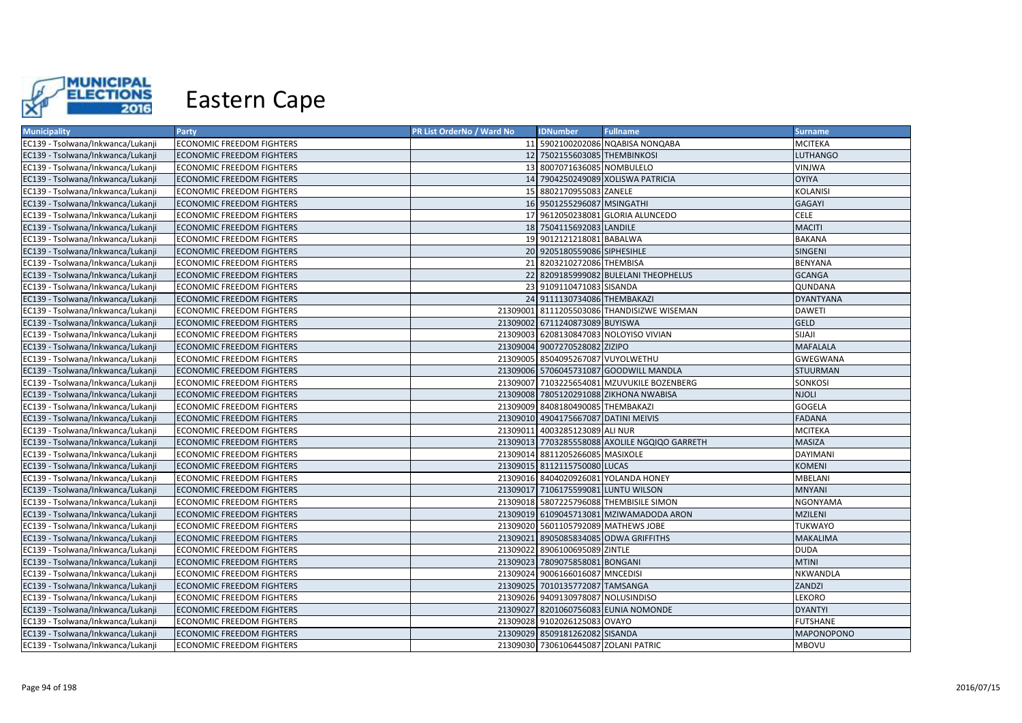

| <b>Municipality</b>               | Party                            | PR List OrderNo / Ward No | <b>IDNumber</b>                      | <b>Fullname</b>                               | <b>Surname</b>    |
|-----------------------------------|----------------------------------|---------------------------|--------------------------------------|-----------------------------------------------|-------------------|
| EC139 - Tsolwana/Inkwanca/Lukanji | <b>ECONOMIC FREEDOM FIGHTERS</b> |                           |                                      | 11 5902100202086 NQABISA NONQABA              | <b>MCITEKA</b>    |
| EC139 - Tsolwana/Inkwanca/Lukanji | <b>ECONOMIC FREEDOM FIGHTERS</b> |                           | 12 7502155603085 THEMBINKOSI         |                                               | <b>LUTHANGO</b>   |
| EC139 - Tsolwana/Inkwanca/Lukanji | ECONOMIC FREEDOM FIGHTERS        |                           | 13 8007071636085 NOMBULELO           |                                               | VINJWA            |
| EC139 - Tsolwana/Inkwanca/Lukanji | <b>ECONOMIC FREEDOM FIGHTERS</b> |                           |                                      | 14 7904250249089 XOLISWA PATRICIA             | <b>OYIYA</b>      |
| EC139 - Tsolwana/Inkwanca/Lukanji | ECONOMIC FREEDOM FIGHTERS        |                           | 15 8802170955083 ZANELE              |                                               | <b>KOLANISI</b>   |
| EC139 - Tsolwana/Inkwanca/Lukanji | <b>ECONOMIC FREEDOM FIGHTERS</b> |                           | 16 9501255296087 MSINGATHI           |                                               | GAGAYI            |
| EC139 - Tsolwana/Inkwanca/Lukanji | <b>ECONOMIC FREEDOM FIGHTERS</b> |                           |                                      | 17 9612050238081 GLORIA ALUNCEDO              | <b>CELE</b>       |
| EC139 - Tsolwana/Inkwanca/Lukanji | ECONOMIC FREEDOM FIGHTERS        |                           | 18 7504115692083 LANDILE             |                                               | <b>MACITI</b>     |
| EC139 - Tsolwana/Inkwanca/Lukanji | ECONOMIC FREEDOM FIGHTERS        |                           | 19 9012121218081 BABALWA             |                                               | <b>BAKANA</b>     |
| EC139 - Tsolwana/Inkwanca/Lukanji | <b>ECONOMIC FREEDOM FIGHTERS</b> |                           | 20 9205180559086 SIPHESIHLE          |                                               | SINGENI           |
| EC139 - Tsolwana/Inkwanca/Lukanji | <b>ECONOMIC FREEDOM FIGHTERS</b> |                           | 21 8203210272086 THEMBISA            |                                               | <b>BENYANA</b>    |
| EC139 - Tsolwana/Inkwanca/Lukanji | <b>ECONOMIC FREEDOM FIGHTERS</b> |                           |                                      | 22 8209185999082 BULELANI THEOPHELUS          | <b>GCANGA</b>     |
| EC139 - Tsolwana/Inkwanca/Lukanji | <b>ECONOMIC FREEDOM FIGHTERS</b> |                           | 23 9109110471083 SISANDA             |                                               | QUNDANA           |
| EC139 - Tsolwana/Inkwanca/Lukanji | <b>ECONOMIC FREEDOM FIGHTERS</b> |                           | 24 9111130734086 THEMBAKAZI          |                                               | <b>DYANTYANA</b>  |
| EC139 - Tsolwana/Inkwanca/Lukanji | <b>ECONOMIC FREEDOM FIGHTERS</b> |                           |                                      | 21309001 8111205503086 THANDISIZWE WISEMAN    | <b>DAWETI</b>     |
| EC139 - Tsolwana/Inkwanca/Lukanji | <b>ECONOMIC FREEDOM FIGHTERS</b> |                           | 21309002 6711240873089 BUYISWA       |                                               | <b>GELD</b>       |
| EC139 - Tsolwana/Inkwanca/Lukanji | <b>ECONOMIC FREEDOM FIGHTERS</b> |                           |                                      | 21309003 6208130847083 NOLOYISO VIVIAN        | <b>SIJAJI</b>     |
| EC139 - Tsolwana/Inkwanca/Lukanji | <b>ECONOMIC FREEDOM FIGHTERS</b> |                           | 21309004 9007270528082 ZIZIPO        |                                               | <b>MAFALALA</b>   |
| EC139 - Tsolwana/Inkwanca/Lukanji | ECONOMIC FREEDOM FIGHTERS        |                           | 21309005 8504095267087 VUYOLWETHU    |                                               | <b>GWEGWANA</b>   |
| EC139 - Tsolwana/Inkwanca/Lukanji | <b>ECONOMIC FREEDOM FIGHTERS</b> |                           |                                      | 21309006 5706045731087 GOODWILL MANDLA        | <b>STUURMAN</b>   |
| EC139 - Tsolwana/Inkwanca/Lukanji | <b>ECONOMIC FREEDOM FIGHTERS</b> |                           |                                      | 21309007 7103225654081 MZUVUKILE BOZENBERG    | SONKOSI           |
| EC139 - Tsolwana/Inkwanca/Lukanji | <b>ECONOMIC FREEDOM FIGHTERS</b> |                           |                                      | 21309008 7805120291088 ZIKHONA NWABISA        | <b>NJOLI</b>      |
| EC139 - Tsolwana/Inkwanca/Lukanji | <b>ECONOMIC FREEDOM FIGHTERS</b> |                           | 21309009 8408180490085 THEMBAKAZI    |                                               | <b>GOGELA</b>     |
| EC139 - Tsolwana/Inkwanca/Lukanji | <b>ECONOMIC FREEDOM FIGHTERS</b> |                           | 21309010 4904175667087 DATINI MEIVIS |                                               | <b>FADANA</b>     |
| EC139 - Tsolwana/Inkwanca/Lukanji | <b>ECONOMIC FREEDOM FIGHTERS</b> |                           | 21309011 4003285123089 ALI NUR       |                                               | <b>MCITEKA</b>    |
| EC139 - Tsolwana/Inkwanca/Lukanji | <b>ECONOMIC FREEDOM FIGHTERS</b> |                           |                                      | 21309013 7703285558088 AXOLILE NGQIQO GARRETH | MASIZA            |
| EC139 - Tsolwana/Inkwanca/Lukanji | <b>ECONOMIC FREEDOM FIGHTERS</b> |                           | 21309014 8811205266085 MASIXOLE      |                                               | <b>DAYIMANI</b>   |
| EC139 - Tsolwana/Inkwanca/Lukanji | <b>ECONOMIC FREEDOM FIGHTERS</b> |                           | 21309015 8112115750080 LUCAS         |                                               | <b>KOMENI</b>     |
| EC139 - Tsolwana/Inkwanca/Lukanji | ECONOMIC FREEDOM FIGHTERS        |                           |                                      | 21309016 8404020926081 YOLANDA HONEY          | MBELANI           |
| EC139 - Tsolwana/Inkwanca/Lukanji | <b>ECONOMIC FREEDOM FIGHTERS</b> |                           | 21309017 7106175599081 LUNTU WILSON  |                                               | <b>MNYANI</b>     |
| EC139 - Tsolwana/Inkwanca/Lukanji | <b>ECONOMIC FREEDOM FIGHTERS</b> |                           |                                      | 21309018 5807225796088 THEMBISILE SIMON       | NGONYAMA          |
| EC139 - Tsolwana/Inkwanca/Lukanii | <b>ECONOMIC FREEDOM FIGHTERS</b> |                           |                                      | 21309019 6109045713081 MZIWAMADODA ARON       | <b>MZILENI</b>    |
| EC139 - Tsolwana/Inkwanca/Lukanji | <b>ECONOMIC FREEDOM FIGHTERS</b> |                           |                                      | 21309020 5601105792089 MATHEWS JOBE           | TUKWAYO           |
| EC139 - Tsolwana/Inkwanca/Lukanji | <b>ECONOMIC FREEDOM FIGHTERS</b> |                           |                                      | 21309021 8905085834085 ODWA GRIFFITHS         | <b>MAKALIMA</b>   |
| EC139 - Tsolwana/Inkwanca/Lukanji | <b>ECONOMIC FREEDOM FIGHTERS</b> | 21309022                  | 8906100695089 ZINTLE                 |                                               | <b>DUDA</b>       |
| EC139 - Tsolwana/Inkwanca/Lukanji | <b>ECONOMIC FREEDOM FIGHTERS</b> |                           | 21309023 7809075858081 BONGANI       |                                               | <b>MTINI</b>      |
| EC139 - Tsolwana/Inkwanca/Lukanji | <b>ECONOMIC FREEDOM FIGHTERS</b> |                           | 21309024 9006166016087 MNCEDISI      |                                               | NKWANDLA          |
| EC139 - Tsolwana/Inkwanca/Lukanji | ECONOMIC FREEDOM FIGHTERS        |                           | 21309025 7010135772087 TAMSANGA      |                                               | ZANDZI            |
| EC139 - Tsolwana/Inkwanca/Lukanji | ECONOMIC FREEDOM FIGHTERS        |                           | 21309026 9409130978087 NOLUSINDISO   |                                               | LEKORO            |
| EC139 - Tsolwana/Inkwanca/Lukanji | ECONOMIC FREEDOM FIGHTERS        |                           |                                      | 21309027 8201060756083 EUNIA NOMONDE          | <b>DYANTYI</b>    |
| EC139 - Tsolwana/Inkwanca/Lukanji | <b>ECONOMIC FREEDOM FIGHTERS</b> |                           | 21309028 9102026125083 OVAYO         |                                               | <b>FUTSHANE</b>   |
| EC139 - Tsolwana/Inkwanca/Lukanji | <b>ECONOMIC FREEDOM FIGHTERS</b> |                           | 21309029 8509181262082 SISANDA       |                                               | <b>MAPONOPONO</b> |
| EC139 - Tsolwana/Inkwanca/Lukanji | <b>ECONOMIC FREEDOM FIGHTERS</b> |                           | 21309030 7306106445087 ZOLANI PATRIC |                                               | <b>MBOVU</b>      |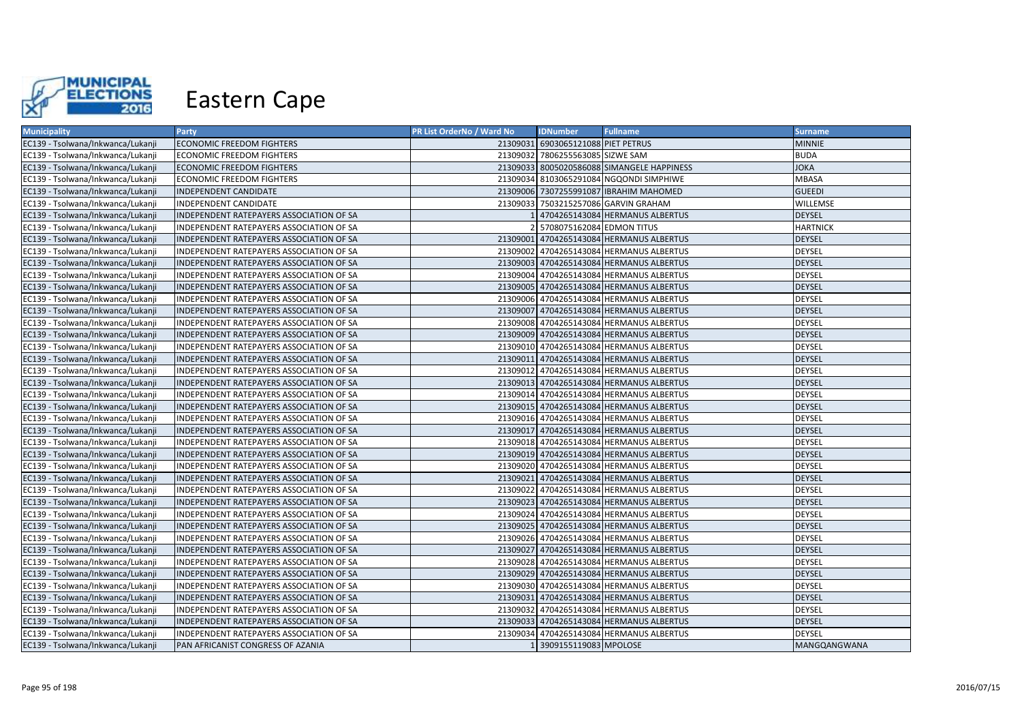

| <b>Municipality</b>               | Party                                    | PR List OrderNo / Ward No | <b>IDNumber</b>                    | <b>Fullname</b>                            | <b>Surname</b>  |
|-----------------------------------|------------------------------------------|---------------------------|------------------------------------|--------------------------------------------|-----------------|
| EC139 - Tsolwana/Inkwanca/Lukanji | <b>ECONOMIC FREEDOM FIGHTERS</b>         |                           | 21309031 6903065121088 PIET PETRUS |                                            | <b>MINNIE</b>   |
| EC139 - Tsolwana/Inkwanca/Lukanji | ECONOMIC FREEDOM FIGHTERS                |                           | 21309032 7806255563085 SIZWE SAM   |                                            | <b>BUDA</b>     |
| EC139 - Tsolwana/Inkwanca/Lukanji | ECONOMIC FREEDOM FIGHTERS                |                           |                                    | 21309033 8005020586088 SIMANGELE HAPPINESS | <b>JOKA</b>     |
| EC139 - Tsolwana/Inkwanca/Lukanji | ECONOMIC FREEDOM FIGHTERS                |                           |                                    | 21309034 8103065291084 NGQONDI SIMPHIWE    | MBASA           |
| EC139 - Tsolwana/Inkwanca/Lukanji | INDEPENDENT CANDIDATE                    |                           |                                    | 21309006 7307255991087 IBRAHIM MAHOMED     | <b>GUEEDI</b>   |
| EC139 - Tsolwana/Inkwanca/Lukanji | INDEPENDENT CANDIDATE                    |                           |                                    | 21309033 7503215257086 GARVIN GRAHAM       | WILLEMSE        |
| EC139 - Tsolwana/Inkwanca/Lukanji | INDEPENDENT RATEPAYERS ASSOCIATION OF SA |                           |                                    | 4704265143084 HERMANUS ALBERTUS            | <b>DEYSEL</b>   |
| EC139 - Tsolwana/Inkwanca/Lukanji | INDEPENDENT RATEPAYERS ASSOCIATION OF SA |                           | 5708075162084 EDMON TITUS          |                                            | <b>HARTNICK</b> |
| EC139 - Tsolwana/Inkwanca/Lukanji | INDEPENDENT RATEPAYERS ASSOCIATION OF SA |                           |                                    | 21309001 4704265143084 HERMANUS ALBERTUS   | <b>DEYSEL</b>   |
| EC139 - Tsolwana/Inkwanca/Lukanji | INDEPENDENT RATEPAYERS ASSOCIATION OF SA |                           |                                    | 21309002 4704265143084 HERMANUS ALBERTUS   | DEYSEL          |
| EC139 - Tsolwana/Inkwanca/Lukanji | INDEPENDENT RATEPAYERS ASSOCIATION OF SA |                           |                                    | 21309003 4704265143084 HERMANUS ALBERTUS   | <b>DEYSEL</b>   |
| EC139 - Tsolwana/Inkwanca/Lukanji | INDEPENDENT RATEPAYERS ASSOCIATION OF SA |                           |                                    | 21309004 4704265143084 HERMANUS ALBERTUS   | DEYSEL          |
| EC139 - Tsolwana/Inkwanca/Lukanji | INDEPENDENT RATEPAYERS ASSOCIATION OF SA |                           |                                    | 21309005 4704265143084 HERMANUS ALBERTUS   | <b>DEYSEL</b>   |
| EC139 - Tsolwana/Inkwanca/Lukanji | INDEPENDENT RATEPAYERS ASSOCIATION OF SA |                           |                                    | 21309006 4704265143084 HERMANUS ALBERTUS   | DEYSEL          |
| EC139 - Tsolwana/Inkwanca/Lukanji | INDEPENDENT RATEPAYERS ASSOCIATION OF SA |                           |                                    | 21309007 4704265143084 HERMANUS ALBERTUS   | <b>DEYSEL</b>   |
| EC139 - Tsolwana/Inkwanca/Lukanji | INDEPENDENT RATEPAYERS ASSOCIATION OF SA |                           |                                    | 21309008 4704265143084 HERMANUS ALBERTUS   | DEYSEL          |
| EC139 - Tsolwana/Inkwanca/Lukanji | INDEPENDENT RATEPAYERS ASSOCIATION OF SA |                           |                                    | 21309009 4704265143084 HERMANUS ALBERTUS   | <b>DEYSEL</b>   |
| EC139 - Tsolwana/Inkwanca/Lukanji | INDEPENDENT RATEPAYERS ASSOCIATION OF SA |                           |                                    | 21309010 4704265143084 HERMANUS ALBERTUS   | DEYSEL          |
| EC139 - Tsolwana/Inkwanca/Lukanji | INDEPENDENT RATEPAYERS ASSOCIATION OF SA |                           |                                    | 21309011 4704265143084 HERMANUS ALBERTUS   | <b>DEYSEL</b>   |
| EC139 - Tsolwana/Inkwanca/Lukanji | INDEPENDENT RATEPAYERS ASSOCIATION OF SA |                           |                                    | 21309012 4704265143084 HERMANUS ALBERTUS   | DEYSEL          |
| EC139 - Tsolwana/Inkwanca/Lukanji | INDEPENDENT RATEPAYERS ASSOCIATION OF SA |                           |                                    | 21309013 4704265143084 HERMANUS ALBERTUS   | <b>DEYSEL</b>   |
| EC139 - Tsolwana/Inkwanca/Lukanji | INDEPENDENT RATEPAYERS ASSOCIATION OF SA |                           |                                    | 21309014 4704265143084 HERMANUS ALBERTUS   | <b>DEYSEL</b>   |
| EC139 - Tsolwana/Inkwanca/Lukanji | INDEPENDENT RATEPAYERS ASSOCIATION OF SA |                           |                                    | 21309015 4704265143084 HERMANUS ALBERTUS   | <b>DEYSEL</b>   |
| EC139 - Tsolwana/Inkwanca/Lukanji | INDEPENDENT RATEPAYERS ASSOCIATION OF SA |                           |                                    | 21309016 4704265143084 HERMANUS ALBERTUS   | DEYSEL          |
| EC139 - Tsolwana/Inkwanca/Lukanji | INDEPENDENT RATEPAYERS ASSOCIATION OF SA |                           |                                    | 21309017 4704265143084 HERMANUS ALBERTUS   | <b>DEYSEL</b>   |
| EC139 - Tsolwana/Inkwanca/Lukanji | INDEPENDENT RATEPAYERS ASSOCIATION OF SA |                           |                                    | 21309018 4704265143084 HERMANUS ALBERTUS   | DEYSEL          |
| EC139 - Tsolwana/Inkwanca/Lukanji | INDEPENDENT RATEPAYERS ASSOCIATION OF SA |                           |                                    | 21309019 4704265143084 HERMANUS ALBERTUS   | <b>DEYSEL</b>   |
| EC139 - Tsolwana/Inkwanca/Lukanji | INDEPENDENT RATEPAYERS ASSOCIATION OF SA |                           |                                    | 21309020 4704265143084 HERMANUS ALBERTUS   | <b>DEYSEL</b>   |
| EC139 - Tsolwana/Inkwanca/Lukanji | INDEPENDENT RATEPAYERS ASSOCIATION OF SA |                           |                                    | 21309021 4704265143084 HERMANUS ALBERTUS   | <b>DEYSEL</b>   |
| EC139 - Tsolwana/Inkwanca/Lukanji | INDEPENDENT RATEPAYERS ASSOCIATION OF SA |                           |                                    | 21309022 4704265143084 HERMANUS ALBERTUS   | <b>DEYSEL</b>   |
| EC139 - Tsolwana/Inkwanca/Lukanji | INDEPENDENT RATEPAYERS ASSOCIATION OF SA |                           |                                    | 21309023 4704265143084 HERMANUS ALBERTUS   | <b>DEYSEL</b>   |
| EC139 - Tsolwana/Inkwanca/Lukanii | INDEPENDENT RATEPAYERS ASSOCIATION OF SA |                           |                                    | 21309024 4704265143084 HERMANUS ALBERTUS   | <b>DEYSEL</b>   |
| EC139 - Tsolwana/Inkwanca/Lukanji | INDEPENDENT RATEPAYERS ASSOCIATION OF SA |                           |                                    | 21309025 4704265143084 HERMANUS ALBERTUS   | <b>DEYSEL</b>   |
| EC139 - Tsolwana/Inkwanca/Lukanji | INDEPENDENT RATEPAYERS ASSOCIATION OF SA |                           |                                    | 21309026 4704265143084 HERMANUS ALBERTUS   | DEYSEL          |
| EC139 - Tsolwana/Inkwanca/Lukanji | INDEPENDENT RATEPAYERS ASSOCIATION OF SA |                           |                                    | 21309027 4704265143084 HERMANUS ALBERTUS   | <b>DEYSEL</b>   |
| EC139 - Tsolwana/Inkwanca/Lukanji | INDEPENDENT RATEPAYERS ASSOCIATION OF SA |                           |                                    | 21309028 4704265143084 HERMANUS ALBERTUS   | <b>DEYSEL</b>   |
| EC139 - Tsolwana/Inkwanca/Lukanji | INDEPENDENT RATEPAYERS ASSOCIATION OF SA |                           |                                    | 21309029 4704265143084 HERMANUS ALBERTUS   | <b>DEYSEL</b>   |
| EC139 - Tsolwana/Inkwanca/Lukanji | INDEPENDENT RATEPAYERS ASSOCIATION OF SA |                           |                                    | 21309030 4704265143084 HERMANUS ALBERTUS   | DEYSEL          |
| EC139 - Tsolwana/Inkwanca/Lukanji | INDEPENDENT RATEPAYERS ASSOCIATION OF SA |                           |                                    | 21309031 4704265143084 HERMANUS ALBERTUS   | DEYSEL          |
| EC139 - Tsolwana/Inkwanca/Lukanji | INDEPENDENT RATEPAYERS ASSOCIATION OF SA |                           |                                    | 21309032 4704265143084 HERMANUS ALBERTUS   | DEYSEL          |
| EC139 - Tsolwana/Inkwanca/Lukanji | INDEPENDENT RATEPAYERS ASSOCIATION OF SA |                           |                                    | 21309033 4704265143084 HERMANUS ALBERTUS   | <b>DEYSEL</b>   |
| EC139 - Tsolwana/Inkwanca/Lukanji | INDEPENDENT RATEPAYERS ASSOCIATION OF SA |                           |                                    | 21309034 4704265143084 HERMANUS ALBERTUS   | DEYSEL          |
| EC139 - Tsolwana/Inkwanca/Lukanji | PAN AFRICANIST CONGRESS OF AZANIA        |                           | 3909155119083 MPOLOSE              |                                            | MANGQANGWANA    |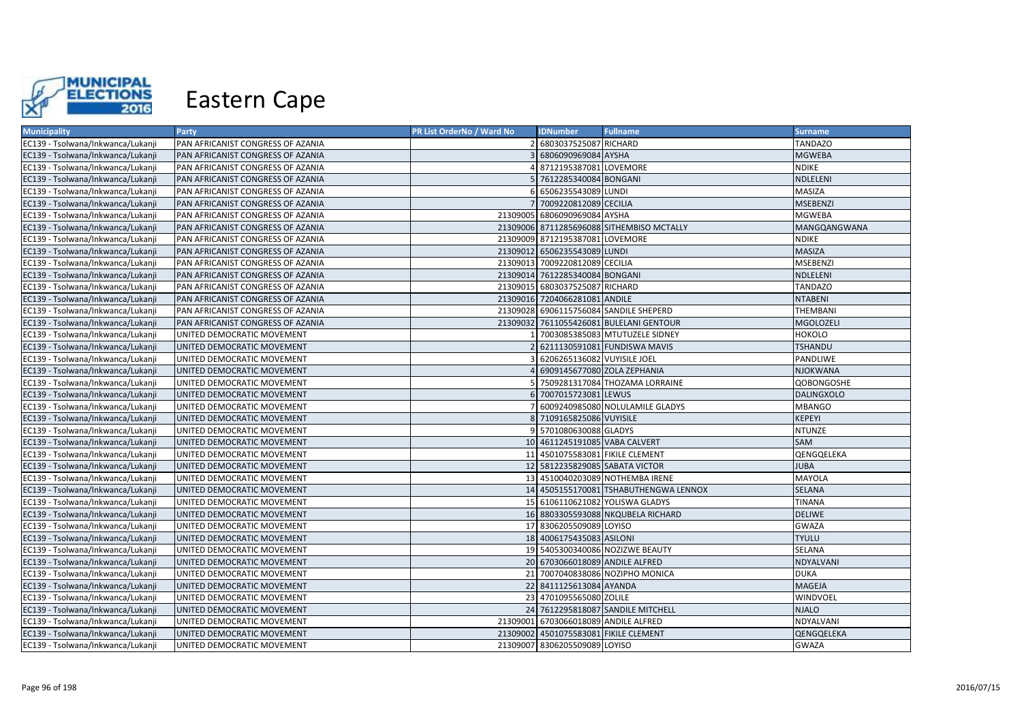

| <b>Municipality</b>               | Party                             | <b>PR List OrderNo / Ward No</b> | <b>IDNumber</b>                       | <b>Fullname</b>                           | <b>Surname</b>    |
|-----------------------------------|-----------------------------------|----------------------------------|---------------------------------------|-------------------------------------------|-------------------|
| EC139 - Tsolwana/Inkwanca/Lukanji | PAN AFRICANIST CONGRESS OF AZANIA |                                  | 2 6803037525087 RICHARD               |                                           | <b>TANDAZO</b>    |
| EC139 - Tsolwana/Inkwanca/Lukanji | PAN AFRICANIST CONGRESS OF AZANIA |                                  | 6806090969084 AYSHA                   |                                           | <b>MGWEBA</b>     |
| EC139 - Tsolwana/Inkwanca/Lukanji | PAN AFRICANIST CONGRESS OF AZANIA |                                  | 4 8712195387081 LOVEMORE              |                                           | <b>NDIKE</b>      |
| EC139 - Tsolwana/Inkwanca/Lukanji | PAN AFRICANIST CONGRESS OF AZANIA |                                  | 5 7612285340084 BONGANI               |                                           | NDLELENI          |
| EC139 - Tsolwana/Inkwanca/Lukanji | PAN AFRICANIST CONGRESS OF AZANIA |                                  | 6 6506235543089 LUNDI                 |                                           | MASIZA            |
| EC139 - Tsolwana/Inkwanca/Lukanji | PAN AFRICANIST CONGRESS OF AZANIA |                                  | 7 7009220812089 CECILIA               |                                           | <b>MSEBENZI</b>   |
| EC139 - Tsolwana/Inkwanca/Lukanji | PAN AFRICANIST CONGRESS OF AZANIA |                                  | 21309005 6806090969084 AYSHA          |                                           | <b>MGWEBA</b>     |
| EC139 - Tsolwana/Inkwanca/Lukanji | PAN AFRICANIST CONGRESS OF AZANIA |                                  |                                       | 21309006 8711285696088 SITHEMBISO MCTALLY | MANGQANGWANA      |
| EC139 - Tsolwana/Inkwanca/Lukanji | PAN AFRICANIST CONGRESS OF AZANIA |                                  | 21309009 8712195387081 LOVEMORE       |                                           | <b>NDIKE</b>      |
| EC139 - Tsolwana/Inkwanca/Lukanji | PAN AFRICANIST CONGRESS OF AZANIA |                                  | 21309012 6506235543089 LUNDI          |                                           | <b>MASIZA</b>     |
| EC139 - Tsolwana/Inkwanca/Lukanji | PAN AFRICANIST CONGRESS OF AZANIA |                                  | 21309013 7009220812089 CECILIA        |                                           | <b>MSEBENZI</b>   |
| EC139 - Tsolwana/Inkwanca/Lukanji | PAN AFRICANIST CONGRESS OF AZANIA |                                  | 21309014 7612285340084 BONGANI        |                                           | NDLELENI          |
| EC139 - Tsolwana/Inkwanca/Lukanji | PAN AFRICANIST CONGRESS OF AZANIA |                                  | 21309015 6803037525087 RICHARD        |                                           | <b>TANDAZO</b>    |
| EC139 - Tsolwana/Inkwanca/Lukanji | PAN AFRICANIST CONGRESS OF AZANIA |                                  | 21309016 7204066281081 ANDILE         |                                           | <b>NTABENI</b>    |
| EC139 - Tsolwana/Inkwanca/Lukanii | PAN AFRICANIST CONGRESS OF AZANIA |                                  |                                       | 21309028 6906115756084 SANDILE SHEPERD    | <b>THEMBANI</b>   |
| EC139 - Tsolwana/Inkwanca/Lukanji | PAN AFRICANIST CONGRESS OF AZANIA |                                  |                                       | 21309032 7611055426081 BULELANI GENTOUR   | <b>MGOLOZELI</b>  |
| EC139 - Tsolwana/Inkwanca/Lukanji | UNITED DEMOCRATIC MOVEMENT        |                                  |                                       | 1 7003085385083 MTUTUZELE SIDNEY          | <b>HOKOLO</b>     |
| EC139 - Tsolwana/Inkwanca/Lukanji | UNITED DEMOCRATIC MOVEMENT        |                                  |                                       | 6211130591081 FUNDISWA MAVIS              | <b>TSHANDU</b>    |
| EC139 - Tsolwana/Inkwanca/Lukanji | UNITED DEMOCRATIC MOVEMENT        |                                  | 6206265136082 VUYISILE JOEL           |                                           | PANDLIWE          |
| EC139 - Tsolwana/Inkwanca/Lukanji | UNITED DEMOCRATIC MOVEMENT        |                                  | 6909145677080 ZOLA ZEPHANIA           |                                           | <b>NJOKWANA</b>   |
| EC139 - Tsolwana/Inkwanca/Lukanji | UNITED DEMOCRATIC MOVEMENT        |                                  |                                       | 5 7509281317084 THOZAMA LORRAINE          | QOBONGOSHE        |
| EC139 - Tsolwana/Inkwanca/Lukanji | UNITED DEMOCRATIC MOVEMENT        |                                  | 6 7007015723081 LEWUS                 |                                           | <b>DALINGXOLO</b> |
| EC139 - Tsolwana/Inkwanca/Lukanji | UNITED DEMOCRATIC MOVEMENT        |                                  |                                       | 7 6009240985080 NOLULAMILE GLADYS         | <b>MBANGO</b>     |
| EC139 - Tsolwana/Inkwanca/Lukanji | UNITED DEMOCRATIC MOVEMENT        |                                  | 8 7109165825086 VUYISILE              |                                           | <b>KEPEYI</b>     |
| EC139 - Tsolwana/Inkwanca/Lukanji | UNITED DEMOCRATIC MOVEMENT        |                                  | 9 5701080630088 GLADYS                |                                           | <b>NTUNZE</b>     |
| EC139 - Tsolwana/Inkwanca/Lukanji | UNITED DEMOCRATIC MOVEMENT        |                                  | 10 4611245191085 VABA CALVERT         |                                           | SAM               |
| EC139 - Tsolwana/Inkwanca/Lukanji | UNITED DEMOCRATIC MOVEMENT        |                                  | 11 4501075583081 FIKILE CLEMENT       |                                           | QENGQELEKA        |
| EC139 - Tsolwana/Inkwanca/Lukanji | UNITED DEMOCRATIC MOVEMENT        |                                  | 12 5812235829085 SABATA VICTOR        |                                           | <b>JUBA</b>       |
| EC139 - Tsolwana/Inkwanca/Lukanji | UNITED DEMOCRATIC MOVEMENT        |                                  |                                       | 13 4510040203089 NOTHEMBA IRENE           | <b>MAYOLA</b>     |
| EC139 - Tsolwana/Inkwanca/Lukanji | UNITED DEMOCRATIC MOVEMENT        |                                  |                                       | 14 4505155170081 TSHABUTHENGWA LENNOX     | <b>SELANA</b>     |
| EC139 - Tsolwana/Inkwanca/Lukanji | UNITED DEMOCRATIC MOVEMENT        |                                  |                                       | 15 6106110621082 YOLISWA GLADYS           | <b>TINANA</b>     |
| EC139 - Tsolwana/Inkwanca/Lukanji | UNITED DEMOCRATIC MOVEMENT        |                                  |                                       | 16 8803305593088 NKQUBELA RICHARD         | <b>DELIWE</b>     |
| EC139 - Tsolwana/Inkwanca/Lukanji | UNITED DEMOCRATIC MOVEMENT        |                                  | 17 8306205509089 LOYISO               |                                           | <b>GWAZA</b>      |
| EC139 - Tsolwana/Inkwanca/Lukanji | UNITED DEMOCRATIC MOVEMENT        |                                  | 18 4006175435083 ASILONI              |                                           | <b>TYULU</b>      |
| EC139 - Tsolwana/Inkwanca/Lukanji | UNITED DEMOCRATIC MOVEMENT        |                                  |                                       | 19 5405300340086 NOZIZWE BEAUTY           | SELANA            |
| EC139 - Tsolwana/Inkwanca/Lukanji | UNITED DEMOCRATIC MOVEMENT        |                                  | 20 6703066018089 ANDILE ALFRED        |                                           | NDYALVANI         |
| EC139 - Tsolwana/Inkwanca/Lukanji | UNITED DEMOCRATIC MOVEMENT        |                                  |                                       | 21 7007040838086 NOZIPHO MONICA           | <b>DUKA</b>       |
| EC139 - Tsolwana/Inkwanca/Lukanji | UNITED DEMOCRATIC MOVEMENT        |                                  | 22 8411125613084 AYANDA               |                                           | MAGEJA            |
| EC139 - Tsolwana/Inkwanca/Lukanji | UNITED DEMOCRATIC MOVEMENT        |                                  | 23 4701095565080 ZOLILE               |                                           | WINDVOEL          |
| EC139 - Tsolwana/Inkwanca/Lukanji | UNITED DEMOCRATIC MOVEMENT        |                                  |                                       | 24 7612295818087 SANDILE MITCHELL         | <b>NJALO</b>      |
| EC139 - Tsolwana/Inkwanca/Lukanji | UNITED DEMOCRATIC MOVEMENT        |                                  | 21309001 6703066018089 ANDILE ALFRED  |                                           | NDYALVANI         |
| EC139 - Tsolwana/Inkwanca/Lukanji | UNITED DEMOCRATIC MOVEMENT        |                                  | 21309002 4501075583081 FIKILE CLEMENT |                                           | QENGQELEKA        |
| EC139 - Tsolwana/Inkwanca/Lukanji | UNITED DEMOCRATIC MOVEMENT        |                                  | 21309007 8306205509089 LOYISO         |                                           | GWAZA             |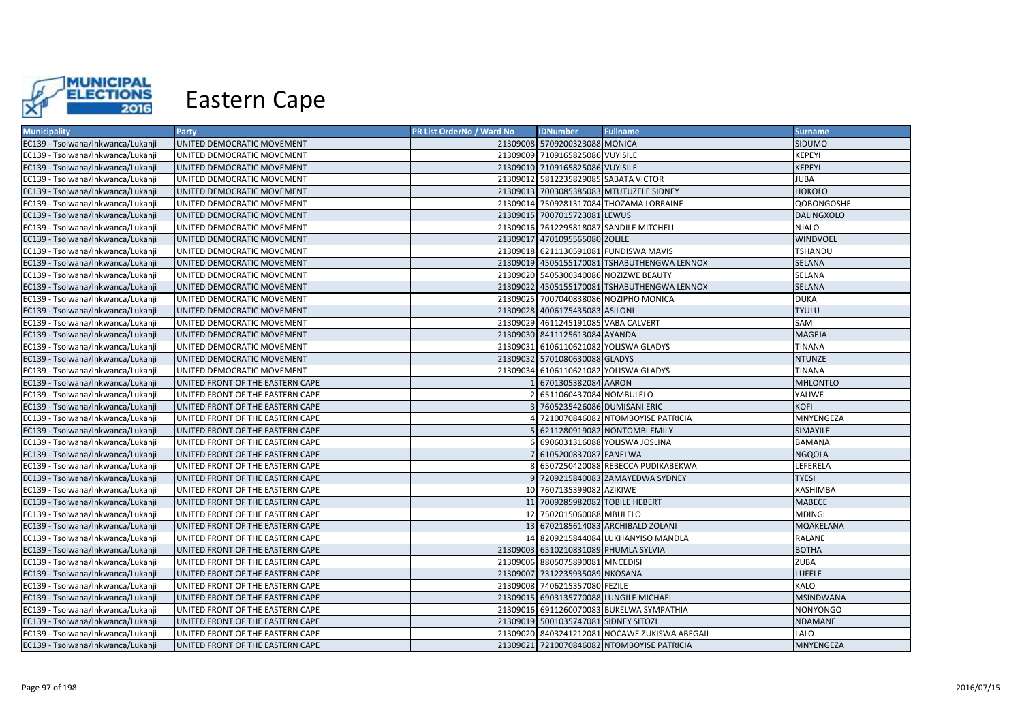

| <b>Municipality</b>               | Party                            | <b>PR List OrderNo / Ward No</b> | <b>IDNumber</b>                      | <b>Fullname</b>                               | <b>Surname</b>    |
|-----------------------------------|----------------------------------|----------------------------------|--------------------------------------|-----------------------------------------------|-------------------|
| EC139 - Tsolwana/Inkwanca/Lukanji | UNITED DEMOCRATIC MOVEMENT       |                                  | 21309008 5709200323088 MONICA        |                                               | SIDUMO            |
| EC139 - Tsolwana/Inkwanca/Lukanji | UNITED DEMOCRATIC MOVEMENT       |                                  | 21309009 7109165825086 VUYISILE      |                                               | KEPEYI            |
| EC139 - Tsolwana/Inkwanca/Lukanji | UNITED DEMOCRATIC MOVEMENT       |                                  | 21309010 7109165825086 VUYISILE      |                                               | KEPEYI            |
| EC139 - Tsolwana/Inkwanca/Lukanji | UNITED DEMOCRATIC MOVEMENT       |                                  | 21309012 5812235829085 SABATA VICTOR |                                               | <b>JUBA</b>       |
| EC139 - Tsolwana/Inkwanca/Lukanji | UNITED DEMOCRATIC MOVEMENT       |                                  |                                      | 21309013 7003085385083 MTUTUZELE SIDNEY       | <b>HOKOLO</b>     |
| EC139 - Tsolwana/Inkwanca/Lukanji | UNITED DEMOCRATIC MOVEMENT       |                                  |                                      | 21309014 7509281317084 THOZAMA LORRAINE       | QOBONGOSHE        |
| EC139 - Tsolwana/Inkwanca/Lukanji | UNITED DEMOCRATIC MOVEMENT       |                                  | 21309015 7007015723081 LEWUS         |                                               | <b>DALINGXOLO</b> |
| EC139 - Tsolwana/Inkwanca/Lukanji | UNITED DEMOCRATIC MOVEMENT       |                                  |                                      | 21309016 7612295818087 SANDILE MITCHELL       | <b>NJALO</b>      |
| EC139 - Tsolwana/Inkwanca/Lukanji | UNITED DEMOCRATIC MOVEMENT       |                                  | 21309017 4701095565080 ZOLILE        |                                               | <b>WINDVOEL</b>   |
| EC139 - Tsolwana/Inkwanca/Lukanji | UNITED DEMOCRATIC MOVEMENT       |                                  |                                      | 21309018 6211130591081 FUNDISWA MAVIS         | <b>TSHANDU</b>    |
| EC139 - Tsolwana/Inkwanca/Lukanji | UNITED DEMOCRATIC MOVEMENT       |                                  |                                      | 21309019 4505155170081 TSHABUTHENGWA LENNOX   | SELANA            |
| EC139 - Tsolwana/Inkwanca/Lukanji | UNITED DEMOCRATIC MOVEMENT       |                                  |                                      | 21309020 5405300340086 NOZIZWE BEAUTY         | SELANA            |
| EC139 - Tsolwana/Inkwanca/Lukanji | UNITED DEMOCRATIC MOVEMENT       |                                  |                                      | 21309022 4505155170081 TSHABUTHENGWA LENNOX   | <b>SELANA</b>     |
| EC139 - Tsolwana/Inkwanca/Lukanji | UNITED DEMOCRATIC MOVEMENT       |                                  |                                      | 21309025 7007040838086 NOZIPHO MONICA         | <b>DUKA</b>       |
| EC139 - Tsolwana/Inkwanca/Lukanji | UNITED DEMOCRATIC MOVEMENT       |                                  | 21309028 4006175435083 ASILONI       |                                               | <b>TYULU</b>      |
| EC139 - Tsolwana/Inkwanca/Lukanji | UNITED DEMOCRATIC MOVEMENT       |                                  | 21309029 4611245191085 VABA CALVERT  |                                               | SAM               |
| EC139 - Tsolwana/Inkwanca/Lukanji | UNITED DEMOCRATIC MOVEMENT       |                                  | 21309030 8411125613084 AYANDA        |                                               | MAGEJA            |
| EC139 - Tsolwana/Inkwanca/Lukanji | UNITED DEMOCRATIC MOVEMENT       |                                  |                                      | 21309031 6106110621082 YOLISWA GLADYS         | <b>TINANA</b>     |
| EC139 - Tsolwana/Inkwanca/Lukanji | UNITED DEMOCRATIC MOVEMENT       |                                  | 21309032 5701080630088 GLADYS        |                                               | <b>NTUNZE</b>     |
| EC139 - Tsolwana/Inkwanca/Lukanji | UNITED DEMOCRATIC MOVEMENT       |                                  |                                      | 21309034 6106110621082 YOLISWA GLADYS         | <b>TINANA</b>     |
| EC139 - Tsolwana/Inkwanca/Lukanji | UNITED FRONT OF THE EASTERN CAPE |                                  | 6701305382084 AARON                  |                                               | <b>MHLONTLO</b>   |
| EC139 - Tsolwana/Inkwanca/Lukanji | UNITED FRONT OF THE EASTERN CAPE |                                  | 2 6511060437084 NOMBULELO            |                                               | YALIWE            |
| EC139 - Tsolwana/Inkwanca/Lukanji | UNITED FRONT OF THE EASTERN CAPE |                                  | 3 7605235426086 DUMISANI ERIC        |                                               | KOFI              |
| EC139 - Tsolwana/Inkwanca/Lukanji | UNITED FRONT OF THE EASTERN CAPE |                                  |                                      | 4 7210070846082 NTOMBOYISE PATRICIA           | MNYENGEZA         |
| EC139 - Tsolwana/Inkwanca/Lukanji | UNITED FRONT OF THE EASTERN CAPE |                                  |                                      | 5 6211280919082 NONTOMBI EMILY                | SIMAYILE          |
| EC139 - Tsolwana/Inkwanca/Lukanji | UNITED FRONT OF THE EASTERN CAPE |                                  |                                      | 6 6906031316088 YOLISWA JOSLINA               | <b>BAMANA</b>     |
| EC139 - Tsolwana/Inkwanca/Lukanji | UNITED FRONT OF THE EASTERN CAPE |                                  | 7 6105200837087 FANELWA              |                                               | <b>NGQOLA</b>     |
| EC139 - Tsolwana/Inkwanca/Lukanji | UNITED FRONT OF THE EASTERN CAPE |                                  |                                      | 8 6507250420088 REBECCA PUDIKABEKWA           | LEFERELA          |
| EC139 - Tsolwana/Inkwanca/Lukanji | UNITED FRONT OF THE EASTERN CAPE |                                  |                                      | 9 7209215840083 ZAMAYEDWA SYDNEY              | <b>TYESI</b>      |
| EC139 - Tsolwana/Inkwanca/Lukanji | UNITED FRONT OF THE EASTERN CAPE |                                  | 10 7607135399082 AZIKIWE             |                                               | <b>XASHIMBA</b>   |
| EC139 - Tsolwana/Inkwanca/Lukanji | UNITED FRONT OF THE EASTERN CAPE |                                  | 11 7009285982082 TOBILE HEBERT       |                                               | <b>MABECE</b>     |
| EC139 - Tsolwana/Inkwanca/Lukanji | UNITED FRONT OF THE EASTERN CAPE |                                  | 12 7502015060088 MBULELO             |                                               | <b>MDINGI</b>     |
| EC139 - Tsolwana/Inkwanca/Lukanji | UNITED FRONT OF THE EASTERN CAPE |                                  |                                      | 13 6702185614083 ARCHIBALD ZOLANI             | MQAKELANA         |
| EC139 - Tsolwana/Inkwanca/Lukanji | UNITED FRONT OF THE EASTERN CAPE |                                  |                                      | 14 8209215844084 LUKHANYISO MANDLA            | RALANE            |
| EC139 - Tsolwana/Inkwanca/Lukanji | UNITED FRONT OF THE EASTERN CAPE |                                  | 21309003 6510210831089 PHUMLA SYLVIA |                                               | <b>BOTHA</b>      |
| EC139 - Tsolwana/Inkwanca/Lukanji | UNITED FRONT OF THE EASTERN CAPE |                                  | 21309006 8805075890081 MNCEDISI      |                                               | ZUBA              |
| EC139 - Tsolwana/Inkwanca/Lukanji | UNITED FRONT OF THE EASTERN CAPE |                                  | 21309007 7312235935089 NKOSANA       |                                               | <b>LUFELE</b>     |
| EC139 - Tsolwana/Inkwanca/Lukanji | UNITED FRONT OF THE EASTERN CAPE |                                  | 21309008 7406215357080 FEZILE        |                                               | <b>KALO</b>       |
| EC139 - Tsolwana/Inkwanca/Lukanji | UNITED FRONT OF THE EASTERN CAPE |                                  |                                      | 21309015 6903135770088 LUNGILE MICHAEL        | <b>MSINDWANA</b>  |
| EC139 - Tsolwana/Inkwanca/Lukanji | UNITED FRONT OF THE EASTERN CAPE |                                  |                                      | 21309016 6911260070083 BUKELWA SYMPATHIA      | NONYONGO          |
| EC139 - Tsolwana/Inkwanca/Lukanji | UNITED FRONT OF THE EASTERN CAPE |                                  | 21309019 5001035747081 SIDNEY SITOZI |                                               | NDAMANE           |
| EC139 - Tsolwana/Inkwanca/Lukanji | UNITED FRONT OF THE EASTERN CAPE |                                  |                                      | 21309020 8403241212081 NOCAWE ZUKISWA ABEGAIL | LALO              |
| EC139 - Tsolwana/Inkwanca/Lukanji | UNITED FRONT OF THE EASTERN CAPE |                                  |                                      | 21309021 7210070846082 NTOMBOYISE PATRICIA    | <b>MNYENGEZA</b>  |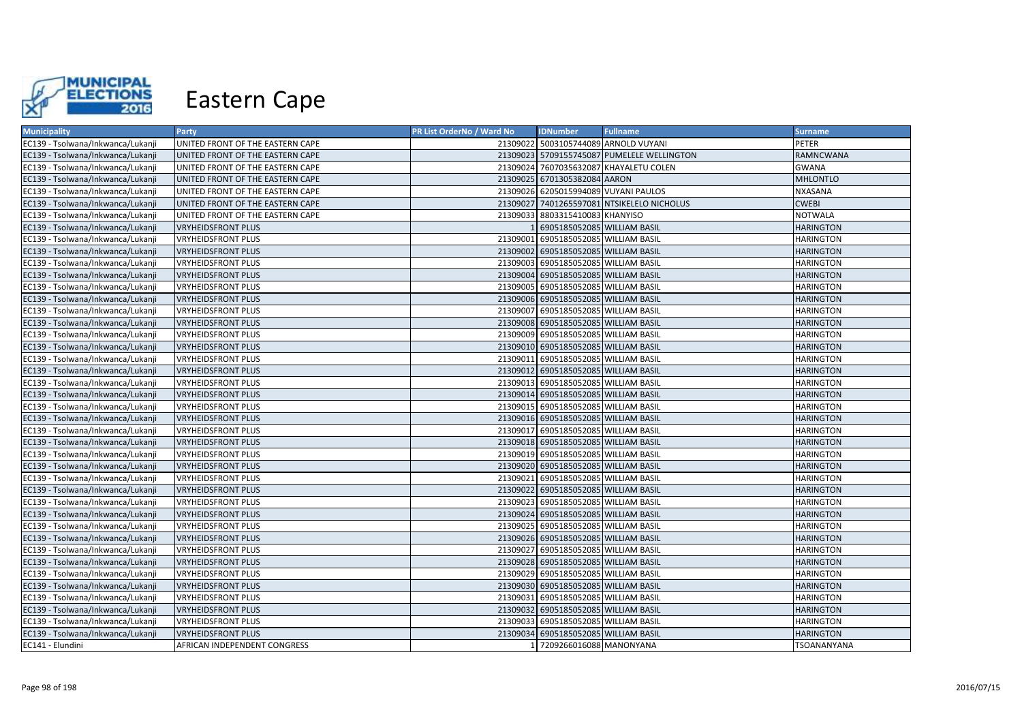

| <b>Municipality</b>               | Party                            | <b>PR List OrderNo / Ward No</b> | <b>IDNumber</b>                      | <b>Fullname</b>                            | <b>Surname</b>   |
|-----------------------------------|----------------------------------|----------------------------------|--------------------------------------|--------------------------------------------|------------------|
| EC139 - Tsolwana/Inkwanca/Lukanji | UNITED FRONT OF THE EASTERN CAPE |                                  |                                      | 21309022 5003105744089 ARNOLD VUYANI       | <b>PETER</b>     |
| EC139 - Tsolwana/Inkwanca/Lukanji | UNITED FRONT OF THE EASTERN CAPE |                                  |                                      | 21309023 5709155745087 PUMELELE WELLINGTON | <b>RAMNCWANA</b> |
| EC139 - Tsolwana/Inkwanca/Lukanji | UNITED FRONT OF THE EASTERN CAPE |                                  |                                      | 21309024 7607035632087 KHAYALETU COLEN     | <b>GWANA</b>     |
| EC139 - Tsolwana/Inkwanca/Lukanji | UNITED FRONT OF THE EASTERN CAPE |                                  | 21309025 6701305382084 AARON         |                                            | <b>MHLONTLO</b>  |
| EC139 - Tsolwana/Inkwanca/Lukanji | UNITED FRONT OF THE EASTERN CAPE |                                  | 21309026 6205015994089 VUYANI PAULOS |                                            | NXASANA          |
| EC139 - Tsolwana/Inkwanca/Lukanji | UNITED FRONT OF THE EASTERN CAPE |                                  |                                      | 21309027 7401265597081 NTSIKELELO NICHOLUS | <b>CWEBI</b>     |
| EC139 - Tsolwana/Inkwanca/Lukanji | UNITED FRONT OF THE EASTERN CAPE |                                  | 21309033 8803315410083 KHANYISO      |                                            | <b>NOTWALA</b>   |
| EC139 - Tsolwana/Inkwanca/Lukanji | <b>VRYHEIDSFRONT PLUS</b>        |                                  | 6905185052085 WILLIAM BASIL          |                                            | <b>HARINGTON</b> |
| EC139 - Tsolwana/Inkwanca/Lukanji | <b>VRYHEIDSFRONT PLUS</b>        |                                  | 21309001 6905185052085 WILLIAM BASIL |                                            | <b>HARINGTON</b> |
| EC139 - Tsolwana/Inkwanca/Lukanji | <b>VRYHEIDSFRONT PLUS</b>        |                                  | 21309002 6905185052085 WILLIAM BASIL |                                            | <b>HARINGTON</b> |
| EC139 - Tsolwana/Inkwanca/Lukanji | <b>VRYHEIDSFRONT PLUS</b>        |                                  | 21309003 6905185052085 WILLIAM BASIL |                                            | <b>HARINGTON</b> |
| EC139 - Tsolwana/Inkwanca/Lukanji | <b>VRYHEIDSFRONT PLUS</b>        |                                  | 21309004 6905185052085 WILLIAM BASIL |                                            | <b>HARINGTON</b> |
| EC139 - Tsolwana/Inkwanca/Lukanji | <b>VRYHEIDSFRONT PLUS</b>        |                                  | 21309005 6905185052085 WILLIAM BASIL |                                            | <b>HARINGTON</b> |
| EC139 - Tsolwana/Inkwanca/Lukanji | <b>VRYHEIDSFRONT PLUS</b>        |                                  | 21309006 6905185052085 WILLIAM BASIL |                                            | <b>HARINGTON</b> |
| EC139 - Tsolwana/Inkwanca/Lukanji | <b>VRYHEIDSFRONT PLUS</b>        |                                  | 21309007 6905185052085 WILLIAM BASIL |                                            | <b>HARINGTON</b> |
| EC139 - Tsolwana/Inkwanca/Lukanji | <b>VRYHEIDSFRONT PLUS</b>        |                                  | 21309008 6905185052085 WILLIAM BASIL |                                            | <b>HARINGTON</b> |
| EC139 - Tsolwana/Inkwanca/Lukanji | <b>VRYHEIDSFRONT PLUS</b>        |                                  | 21309009 6905185052085 WILLIAM BASIL |                                            | <b>HARINGTON</b> |
| EC139 - Tsolwana/Inkwanca/Lukanji | <b>VRYHEIDSFRONT PLUS</b>        |                                  | 21309010 6905185052085 WILLIAM BASIL |                                            | <b>HARINGTON</b> |
| EC139 - Tsolwana/Inkwanca/Lukanji | VRYHEIDSFRONT PLUS               |                                  | 21309011 6905185052085 WILLIAM BASIL |                                            | <b>HARINGTON</b> |
| EC139 - Tsolwana/Inkwanca/Lukanji | <b>VRYHEIDSFRONT PLUS</b>        |                                  | 21309012 6905185052085 WILLIAM BASIL |                                            | <b>HARINGTON</b> |
| EC139 - Tsolwana/Inkwanca/Lukanji | <b>VRYHEIDSFRONT PLUS</b>        |                                  | 21309013 6905185052085 WILLIAM BASIL |                                            | <b>HARINGTON</b> |
| EC139 - Tsolwana/Inkwanca/Lukanji | <b>VRYHEIDSFRONT PLUS</b>        |                                  | 21309014 6905185052085 WILLIAM BASIL |                                            | <b>HARINGTON</b> |
| EC139 - Tsolwana/Inkwanca/Lukanji | <b>VRYHEIDSFRONT PLUS</b>        |                                  | 21309015 6905185052085 WILLIAM BASIL |                                            | <b>HARINGTON</b> |
| EC139 - Tsolwana/Inkwanca/Lukanji | <b>VRYHEIDSFRONT PLUS</b>        |                                  | 21309016 6905185052085 WILLIAM BASIL |                                            | <b>HARINGTON</b> |
| EC139 - Tsolwana/Inkwanca/Lukanji | <b>VRYHEIDSFRONT PLUS</b>        |                                  | 21309017 6905185052085 WILLIAM BASIL |                                            | <b>HARINGTON</b> |
| EC139 - Tsolwana/Inkwanca/Lukanji | <b>VRYHEIDSFRONT PLUS</b>        |                                  | 21309018 6905185052085 WILLIAM BASIL |                                            | <b>HARINGTON</b> |
| EC139 - Tsolwana/Inkwanca/Lukanji | <b>VRYHEIDSFRONT PLUS</b>        |                                  | 21309019 6905185052085 WILLIAM BASIL |                                            | <b>HARINGTON</b> |
| EC139 - Tsolwana/Inkwanca/Lukanji | <b>VRYHEIDSFRONT PLUS</b>        |                                  | 21309020 6905185052085 WILLIAM BASIL |                                            | <b>HARINGTON</b> |
| EC139 - Tsolwana/Inkwanca/Lukanji | VRYHEIDSFRONT PLUS               |                                  | 21309021 6905185052085 WILLIAM BASIL |                                            | <b>HARINGTON</b> |
| EC139 - Tsolwana/Inkwanca/Lukanji | <b>VRYHEIDSFRONT PLUS</b>        |                                  | 21309022 6905185052085 WILLIAM BASIL |                                            | <b>HARINGTON</b> |
| EC139 - Tsolwana/Inkwanca/Lukanji | <b>VRYHEIDSFRONT PLUS</b>        |                                  | 21309023 6905185052085 WILLIAM BASIL |                                            | <b>HARINGTON</b> |
| EC139 - Tsolwana/Inkwanca/Lukanji | <b>VRYHEIDSFRONT PLUS</b>        |                                  | 21309024 6905185052085 WILLIAM BASIL |                                            | <b>HARINGTON</b> |
| EC139 - Tsolwana/Inkwanca/Lukanji | <b>VRYHEIDSFRONT PLUS</b>        |                                  | 21309025 6905185052085 WILLIAM BASIL |                                            | <b>HARINGTON</b> |
| EC139 - Tsolwana/Inkwanca/Lukanji | <b>VRYHEIDSFRONT PLUS</b>        |                                  | 21309026 6905185052085 WILLIAM BASIL |                                            | <b>HARINGTON</b> |
| EC139 - Tsolwana/Inkwanca/Lukanji | <b>VRYHEIDSFRONT PLUS</b>        |                                  | 21309027 6905185052085 WILLIAM BASIL |                                            | <b>HARINGTON</b> |
| EC139 - Tsolwana/Inkwanca/Lukanji | <b>VRYHEIDSFRONT PLUS</b>        |                                  | 21309028 6905185052085 WILLIAM BASIL |                                            | <b>HARINGTON</b> |
| EC139 - Tsolwana/Inkwanca/Lukanji | <b>VRYHEIDSFRONT PLUS</b>        |                                  | 21309029 6905185052085 WILLIAM BASIL |                                            | <b>HARINGTON</b> |
| EC139 - Tsolwana/Inkwanca/Lukanji | <b>VRYHEIDSFRONT PLUS</b>        |                                  | 21309030 6905185052085 WILLIAM BASIL |                                            | <b>HARINGTON</b> |
| EC139 - Tsolwana/Inkwanca/Lukanji | <b>VRYHEIDSFRONT PLUS</b>        |                                  | 21309031 6905185052085 WILLIAM BASIL |                                            | <b>HARINGTON</b> |
| EC139 - Tsolwana/Inkwanca/Lukanji | <b>VRYHEIDSFRONT PLUS</b>        |                                  | 21309032 6905185052085 WILLIAM BASIL |                                            | <b>HARINGTON</b> |
| EC139 - Tsolwana/Inkwanca/Lukanji | <b>VRYHEIDSFRONT PLUS</b>        |                                  | 21309033 6905185052085 WILLIAM BASIL |                                            | <b>HARINGTON</b> |
| EC139 - Tsolwana/Inkwanca/Lukanji | <b>VRYHEIDSFRONT PLUS</b>        |                                  | 21309034 6905185052085 WILLIAM BASIL |                                            | <b>HARINGTON</b> |
| EC141 - Elundini                  | AFRICAN INDEPENDENT CONGRESS     |                                  | 1 7209266016088 MANONYANA            |                                            | TSOANANYANA      |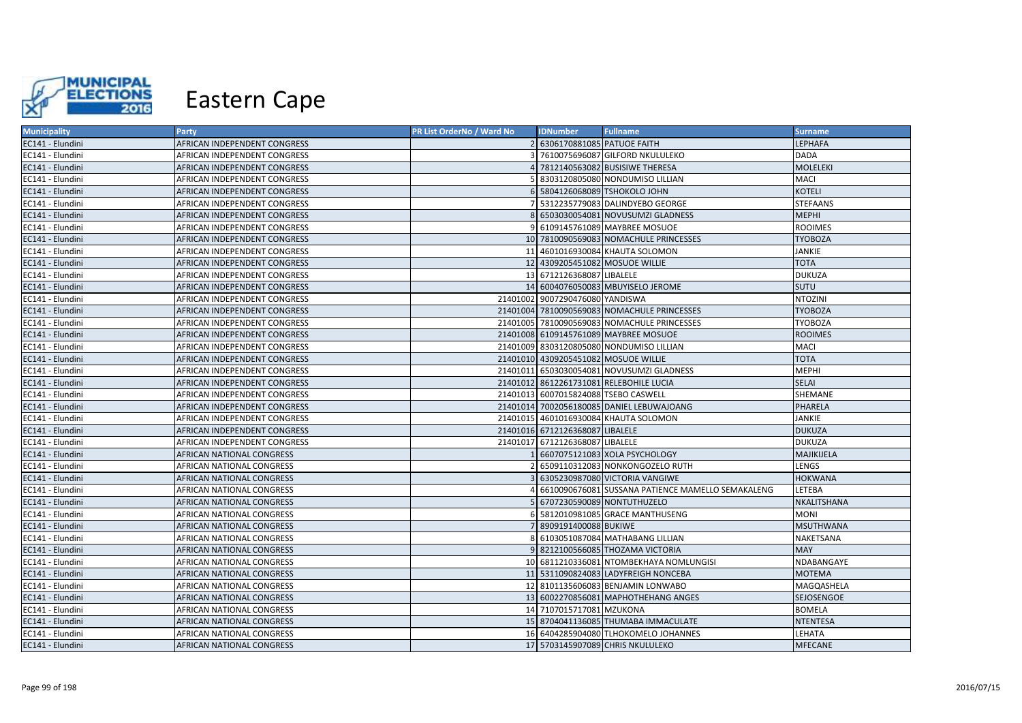

| <b>Municipality</b> | Party                        | PR List OrderNo / Ward No | <b>IDNumber</b>                      | <b>Fullname</b>                                   | <b>Surname</b>   |
|---------------------|------------------------------|---------------------------|--------------------------------------|---------------------------------------------------|------------------|
| EC141 - Elundini    | AFRICAN INDEPENDENT CONGRESS |                           | 2 6306170881085 PATUOE FAITH         |                                                   | LEPHAFA          |
| EC141 - Elundini    | AFRICAN INDEPENDENT CONGRESS |                           |                                      | 7610075696087 GILFORD NKULULEKO                   | <b>DADA</b>      |
| EC141 - Elundini    | AFRICAN INDEPENDENT CONGRESS |                           |                                      | 7812140563082 BUSISIWE THERESA                    | <b>MOLELEKI</b>  |
| EC141 - Elundini    | AFRICAN INDEPENDENT CONGRESS |                           |                                      | 8303120805080 NONDUMISO LILLIAN                   | MACI             |
| EC141 - Elundini    | AFRICAN INDEPENDENT CONGRESS |                           |                                      | 5804126068089 TSHOKOLO JOHN                       | <b>KOTELI</b>    |
| EC141 - Elundini    | AFRICAN INDEPENDENT CONGRESS |                           |                                      | 5312235779083 DALINDYEBO GEORGE                   | <b>STEFAANS</b>  |
| EC141 - Elundini    | AFRICAN INDEPENDENT CONGRESS |                           |                                      | 8 6503030054081 NOVUSUMZI GLADNESS                | <b>MEPHI</b>     |
| EC141 - Elundini    | AFRICAN INDEPENDENT CONGRESS |                           |                                      | 6109145761089 MAYBREE MOSUOE                      | <b>ROOIMES</b>   |
| EC141 - Elundini    | AFRICAN INDEPENDENT CONGRESS |                           |                                      | 10 7810090569083 NOMACHULE PRINCESSES             | <b>TYOBOZA</b>   |
| EC141 - Elundini    | AFRICAN INDEPENDENT CONGRESS |                           |                                      | 11 4601016930084 KHAUTA SOLOMON                   | <b>JANKIE</b>    |
| EC141 - Elundini    | AFRICAN INDEPENDENT CONGRESS |                           |                                      | 12 4309205451082 MOSUOE WILLIE                    | <b>TOTA</b>      |
| EC141 - Elundini    | AFRICAN INDEPENDENT CONGRESS |                           | 13 6712126368087 LIBALELE            |                                                   | <b>DUKUZA</b>    |
| EC141 - Elundini    | AFRICAN INDEPENDENT CONGRESS |                           |                                      | 14 6004076050083 MBUYISELO JEROME                 | SUTU             |
| EC141 - Elundini    | AFRICAN INDEPENDENT CONGRESS |                           | 21401002 9007290476080 YANDISWA      |                                                   | <b>NTOZINI</b>   |
| EC141 - Elundini    | AFRICAN INDEPENDENT CONGRESS |                           |                                      | 21401004 7810090569083 NOMACHULE PRINCESSES       | <b>TYOBOZA</b>   |
| EC141 - Elundini    | AFRICAN INDEPENDENT CONGRESS |                           |                                      | 21401005 7810090569083 NOMACHULE PRINCESSES       | <b>TYOBOZA</b>   |
| EC141 - Elundini    | AFRICAN INDEPENDENT CONGRESS |                           |                                      | 21401008 6109145761089 MAYBREE MOSUOE             | <b>ROOIMES</b>   |
| EC141 - Elundini    | AFRICAN INDEPENDENT CONGRESS |                           |                                      | 21401009 8303120805080 NONDUMISO LILLIAN          | MACI             |
| EC141 - Elundini    | AFRICAN INDEPENDENT CONGRESS |                           |                                      | 21401010 4309205451082 MOSUOE WILLIE              | <b>TOTA</b>      |
| EC141 - Elundini    | AFRICAN INDEPENDENT CONGRESS |                           |                                      | 21401011 6503030054081 NOVUSUMZI GLADNESS         | <b>MEPHI</b>     |
| EC141 - Elundini    | AFRICAN INDEPENDENT CONGRESS |                           |                                      | 21401012 8612261731081 RELEBOHILE LUCIA           | <b>SELAI</b>     |
| EC141 - Elundini    | AFRICAN INDEPENDENT CONGRESS |                           | 21401013 6007015824088 TSEBO CASWELL |                                                   | SHEMANE          |
| EC141 - Elundini    | AFRICAN INDEPENDENT CONGRESS |                           |                                      | 21401014 7002056180085 DANIEL LEBUWAJOANG         | PHARELA          |
| EC141 - Elundini    | AFRICAN INDEPENDENT CONGRESS |                           |                                      | 21401015 4601016930084 KHAUTA SOLOMON             | JANKIE           |
| EC141 - Elundini    | AFRICAN INDEPENDENT CONGRESS |                           | 21401016 6712126368087 LIBALELE      |                                                   | <b>DUKUZA</b>    |
| EC141 - Elundini    | AFRICAN INDEPENDENT CONGRESS |                           | 21401017 6712126368087 LIBALELE      |                                                   | <b>DUKUZA</b>    |
| EC141 - Elundini    | AFRICAN NATIONAL CONGRESS    |                           |                                      | 6607075121083 XOLA PSYCHOLOGY                     | MAJIKIJELA       |
| EC141 - Elundini    | AFRICAN NATIONAL CONGRESS    |                           |                                      | 6509110312083 NONKONGOZELO RUTH                   | LENGS            |
| EC141 - Elundini    | AFRICAN NATIONAL CONGRESS    |                           |                                      | 6305230987080 VICTORIA VANGIWE                    | <b>HOKWANA</b>   |
| EC141 - Elundini    | AFRICAN NATIONAL CONGRESS    |                           |                                      | 6610090676081 SUSSANA PATIENCE MAMELLO SEMAKALENG | LETEBA           |
| EC141 - Elundini    | AFRICAN NATIONAL CONGRESS    |                           |                                      | 6707230590089 NONTUTHUZELO                        | NKALITSHANA      |
| EC141 - Elundini    | AFRICAN NATIONAL CONGRESS    |                           |                                      | 5812010981085 GRACE MANTHUSENG                    | <b>MONI</b>      |
| EC141 - Elundini    | AFRICAN NATIONAL CONGRESS    |                           | 7 8909191400088 BUKIWE               |                                                   | <b>MSUTHWANA</b> |
| EC141 - Elundini    | AFRICAN NATIONAL CONGRESS    | 8.                        |                                      | 6103051087084 MATHABANG LILLIAN                   | NAKETSANA        |
| EC141 - Elundini    | AFRICAN NATIONAL CONGRESS    |                           |                                      | 9 8212100566085 THOZAMA VICTORIA                  | <b>MAY</b>       |
| EC141 - Elundini    | AFRICAN NATIONAL CONGRESS    |                           |                                      | 10 6811210336081 NTOMBEKHAYA NOMLUNGISI           | NDABANGAYE       |
| EC141 - Elundini    | AFRICAN NATIONAL CONGRESS    |                           |                                      | 11 5311090824083 LADYFREIGH NONCEBA               | <b>MOTEMA</b>    |
| EC141 - Elundini    | AFRICAN NATIONAL CONGRESS    |                           |                                      | 12 8101135606083 BENJAMIN LONWABO                 | MAGQASHELA       |
| EC141 - Elundini    | AFRICAN NATIONAL CONGRESS    |                           |                                      | 13 6002270856081 MAPHOTHEHANG ANGES               | SEJOSENGOE       |
| EC141 - Elundini    | AFRICAN NATIONAL CONGRESS    |                           | 14 7107015717081 MZUKONA             |                                                   | <b>BOMELA</b>    |
| EC141 - Elundini    | AFRICAN NATIONAL CONGRESS    |                           |                                      | 15 8704041136085 THUMABA IMMACULATE               | <b>NTENTESA</b>  |
| EC141 - Elundini    | AFRICAN NATIONAL CONGRESS    |                           |                                      | 16 6404285904080 TLHOKOMELO JOHANNES              | LEHATA           |
| EC141 - Elundini    | AFRICAN NATIONAL CONGRESS    |                           |                                      | 17 5703145907089 CHRIS NKULULEKO                  | <b>MFECANE</b>   |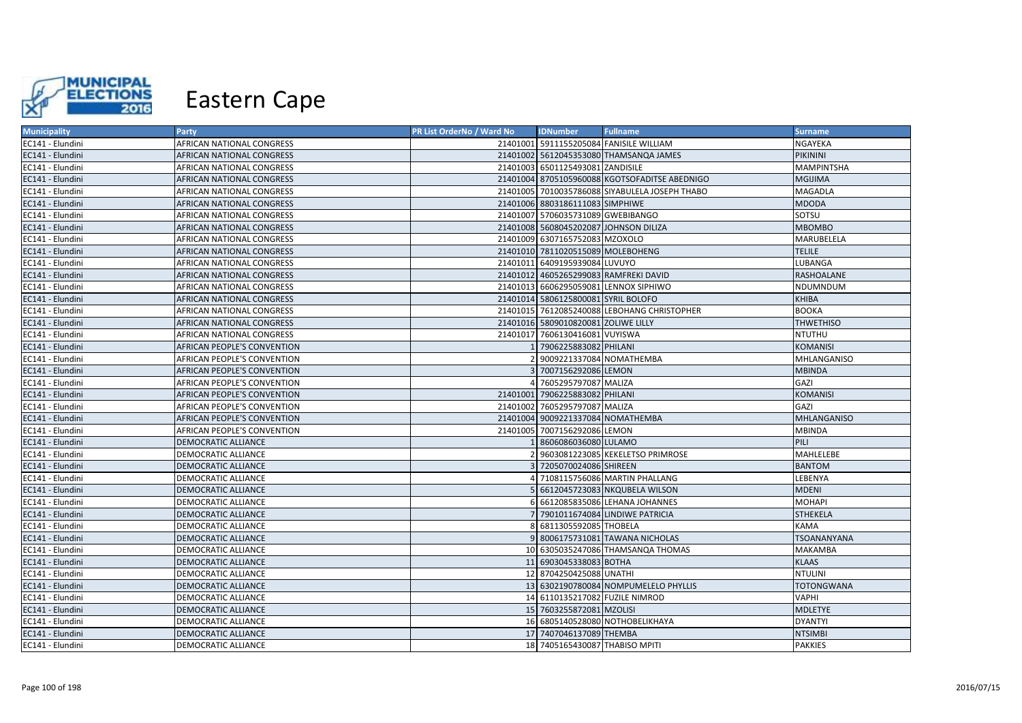

| <b>Municipality</b> | Party                              | PR List OrderNo / Ward No | <b>IDNumber</b>                     | <b>Fullname</b>                                | <b>Surname</b>     |
|---------------------|------------------------------------|---------------------------|-------------------------------------|------------------------------------------------|--------------------|
| EC141 - Elundini    | AFRICAN NATIONAL CONGRESS          |                           |                                     | 21401001 5911155205084 FANISILE WILLIAM        | NGAYEKA            |
| EC141 - Elundini    | AFRICAN NATIONAL CONGRESS          |                           |                                     | 21401002 5612045353080 THAMSANQA JAMES         | PIKININI           |
| EC141 - Elundini    | AFRICAN NATIONAL CONGRESS          |                           | 21401003 6501125493081 ZANDISILE    |                                                | MAMPINTSHA         |
| EC141 - Elundini    | AFRICAN NATIONAL CONGRESS          |                           |                                     | 21401004 8705105960088 KGOTSOFADITSE ABEDNIGO  | <b>MGIJIMA</b>     |
| EC141 - Elundini    | AFRICAN NATIONAL CONGRESS          |                           |                                     | 21401005 7010035786088 SIYABULELA JOSEPH THABO | MAGADLA            |
| EC141 - Elundini    | <b>AFRICAN NATIONAL CONGRESS</b>   |                           | 21401006 8803186111083 SIMPHIWE     |                                                | MDODA              |
| EC141 - Elundini    | <b>AFRICAN NATIONAL CONGRESS</b>   |                           | 21401007 5706035731089 GWEBIBANGO   |                                                | SOTSU              |
| EC141 - Elundini    | AFRICAN NATIONAL CONGRESS          |                           |                                     | 21401008 5608045202087 JOHNSON DILIZA          | <b>MBOMBO</b>      |
| EC141 - Elundini    | AFRICAN NATIONAL CONGRESS          |                           | 21401009 6307165752083 MZOXOLO      |                                                | MARUBELELA         |
| EC141 - Elundini    | <b>AFRICAN NATIONAL CONGRESS</b>   |                           | 21401010 7811020515089 MOLEBOHENG   |                                                | <b>TELILE</b>      |
| EC141 - Elundini    | AFRICAN NATIONAL CONGRESS          | 21401011                  | 6409195939084 LUVUYO                |                                                | LUBANGA            |
| EC141 - Elundini    | <b>AFRICAN NATIONAL CONGRESS</b>   |                           |                                     | 21401012 4605265299083 RAMFREKI DAVID          | RASHOALANE         |
| EC141 - Elundini    | AFRICAN NATIONAL CONGRESS          |                           |                                     | 21401013 6606295059081 LENNOX SIPHIWO          | NDUMNDUM           |
| EC141 - Elundini    | <b>AFRICAN NATIONAL CONGRESS</b>   |                           | 21401014 5806125800081 SYRIL BOLOFO |                                                | <b>KHIBA</b>       |
| EC141 - Elundini    | AFRICAN NATIONAL CONGRESS          |                           |                                     | 21401015 7612085240088 LEBOHANG CHRISTOPHER    | <b>BOOKA</b>       |
| EC141 - Elundini    | <b>AFRICAN NATIONAL CONGRESS</b>   |                           | 21401016 5809010820081 ZOLIWE LILLY |                                                | <b>THWETHISO</b>   |
| EC141 - Elundini    | AFRICAN NATIONAL CONGRESS          |                           | 21401017 7606130416081 VUYISWA      |                                                | <b>NTUTHU</b>      |
| EC141 - Elundini    | <b>AFRICAN PEOPLE'S CONVENTION</b> |                           | 7906225883082 PHILANI               |                                                | <b>KOMANISI</b>    |
| EC141 - Elundini    | AFRICAN PEOPLE'S CONVENTION        |                           | 9009221337084 NOMATHEMBA            |                                                | MHLANGANISO        |
| EC141 - Elundini    | AFRICAN PEOPLE'S CONVENTION        |                           | 7007156292086 LEMON                 |                                                | <b>MBINDA</b>      |
| EC141 - Elundini    | <b>AFRICAN PEOPLE'S CONVENTION</b> |                           | 7605295797087 MALIZA                |                                                | GAZI               |
| EC141 - Elundini    | AFRICAN PEOPLE'S CONVENTION        |                           | 21401001 7906225883082 PHILANI      |                                                | <b>KOMANISI</b>    |
| EC141 - Elundini    | AFRICAN PEOPLE'S CONVENTION        |                           | 21401002 7605295797087 MALIZA       |                                                | GAZI               |
| EC141 - Elundini    | AFRICAN PEOPLE'S CONVENTION        |                           | 21401004 9009221337084 NOMATHEMBA   |                                                | <b>MHLANGANISO</b> |
| EC141 - Elundini    | AFRICAN PEOPLE'S CONVENTION        | 21401005                  | 7007156292086 LEMON                 |                                                | <b>MBINDA</b>      |
| EC141 - Elundini    | <b>DEMOCRATIC ALLIANCE</b>         |                           | 8606086036080 LULAMO                |                                                | PILI               |
| EC141 - Elundini    | <b>DEMOCRATIC ALLIANCE</b>         |                           |                                     | 9603081223085 KEKELETSO PRIMROSE               | MAHLELEBE          |
| EC141 - Elundini    | <b>DEMOCRATIC ALLIANCE</b>         |                           | 7205070024086 SHIREEN               |                                                | <b>BANTOM</b>      |
| EC141 - Elundini    | <b>DEMOCRATIC ALLIANCE</b>         |                           |                                     | 7108115756086 MARTIN PHALLANG                  | LEBENYA            |
| EC141 - Elundini    | <b>DEMOCRATIC ALLIANCE</b>         |                           |                                     | 6612045723083 NKQUBELA WILSON                  | <b>MDENI</b>       |
| EC141 - Elundini    | <b>DEMOCRATIC ALLIANCE</b>         |                           |                                     | 6612085835086 LEHANA JOHANNES                  | <b>MOHAPI</b>      |
| EC141 - Elundini    | DEMOCRATIC ALLIANCE                |                           |                                     | 7901011674084 LINDIWE PATRICIA                 | <b>STHEKELA</b>    |
| EC141 - Elundini    | <b>DEMOCRATIC ALLIANCE</b>         |                           | 6811305592085 THOBELA               |                                                | <b>KAMA</b>        |
| EC141 - Elundini    | <b>DEMOCRATIC ALLIANCE</b>         |                           |                                     | 8006175731081 TAWANA NICHOLAS                  | TSOANANYANA        |
| EC141 - Elundini    | <b>DEMOCRATIC ALLIANCE</b>         |                           |                                     | 10 6305035247086 THAMSANQA THOMAS              | <b>MAKAMBA</b>     |
| EC141 - Elundini    | <b>DEMOCRATIC ALLIANCE</b>         |                           | 11 6903045338083 BOTHA              |                                                | <b>KLAAS</b>       |
| EC141 - Elundini    | <b>DEMOCRATIC ALLIANCE</b>         |                           | 12 8704250425088 UNATHI             |                                                | <b>NTULINI</b>     |
| EC141 - Elundini    | <b>DEMOCRATIC ALLIANCE</b>         |                           |                                     | 13 6302190780084 NOMPUMELELO PHYLLIS           | <b>TOTONGWANA</b>  |
| EC141 - Elundini    | DEMOCRATIC ALLIANCE                |                           | 14 6110135217082 FUZILE NIMROD      |                                                | VAPHI              |
| EC141 - Elundini    | <b>DEMOCRATIC ALLIANCE</b>         |                           | 15 7603255872081 MZOLISI            |                                                | <b>MDLETYE</b>     |
| EC141 - Elundini    | <b>DEMOCRATIC ALLIANCE</b>         |                           |                                     | 16 6805140528080 NOTHOBELIKHAYA                | <b>DYANTYI</b>     |
| EC141 - Elundini    | <b>DEMOCRATIC ALLIANCE</b>         |                           | 17 7407046137089 THEMBA             |                                                | <b>NTSIMBI</b>     |
| EC141 - Elundini    | <b>DEMOCRATIC ALLIANCE</b>         |                           | 18 7405165430087 THABISO MPITI      |                                                | <b>PAKKIES</b>     |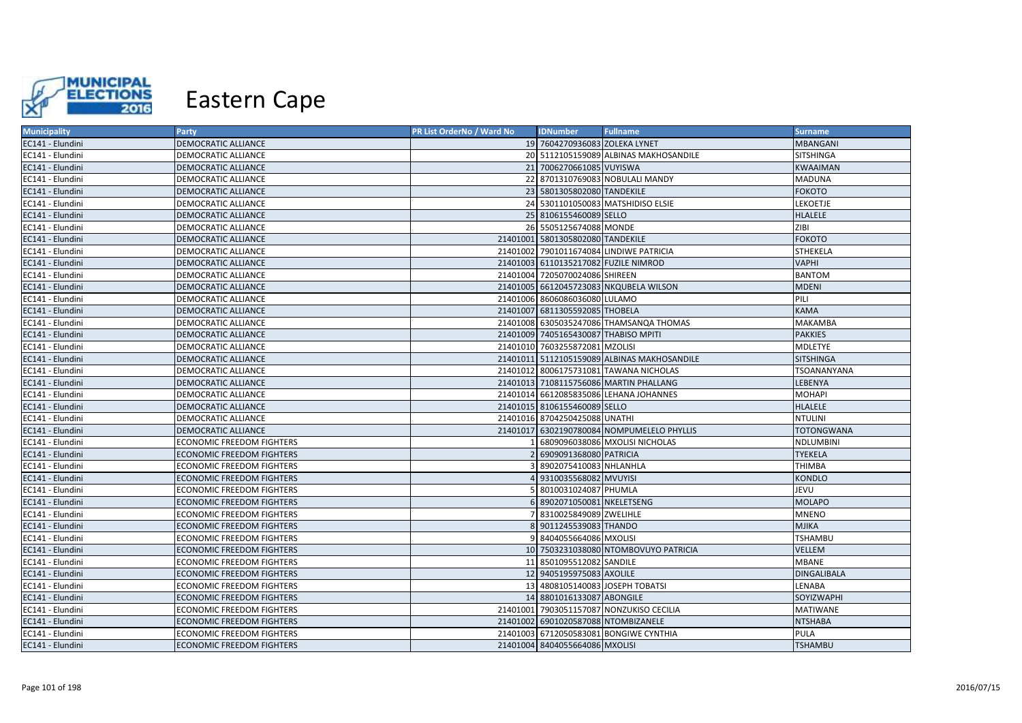

| <b>Municipality</b> | Party                            | PR List OrderNo / Ward No | <b>IDNumber</b>                      | <b>Fullname</b>                             | <b>Surname</b>     |
|---------------------|----------------------------------|---------------------------|--------------------------------------|---------------------------------------------|--------------------|
| EC141 - Elundini    | <b>DEMOCRATIC ALLIANCE</b>       |                           | 19 7604270936083 ZOLEKA LYNET        |                                             | <b>MBANGANI</b>    |
| EC141 - Elundini    | DEMOCRATIC ALLIANCE              |                           |                                      | 20 5112105159089 ALBINAS MAKHOSANDILE       | <b>SITSHINGA</b>   |
| EC141 - Elundini    | <b>DEMOCRATIC ALLIANCE</b>       |                           | 21 7006270661085 VUYISWA             |                                             | KWAAIMAN           |
| EC141 - Elundini    | <b>DEMOCRATIC ALLIANCE</b>       |                           |                                      | 22 8701310769083 NOBULALI MANDY             | <b>MADUNA</b>      |
| EC141 - Elundini    | <b>DEMOCRATIC ALLIANCE</b>       |                           | 23 5801305802080 TANDEKILE           |                                             | <b>FOKOTO</b>      |
| EC141 - Elundini    | <b>DEMOCRATIC ALLIANCE</b>       |                           |                                      | 24 5301101050083 MATSHIDISO ELSIE           | LEKOETJE           |
| EC141 - Elundini    | <b>DEMOCRATIC ALLIANCE</b>       |                           | 25 8106155460089 SELLO               |                                             | <b>HLALELE</b>     |
| EC141 - Elundini    | <b>DEMOCRATIC ALLIANCE</b>       |                           | 26 5505125674088 MONDE               |                                             | ZIBI               |
| EC141 - Elundini    | DEMOCRATIC ALLIANCE              |                           | 21401001 5801305802080 TANDEKILE     |                                             | <b>FOKOTO</b>      |
| EC141 - Elundini    | <b>DEMOCRATIC ALLIANCE</b>       |                           |                                      | 21401002 7901011674084 LINDIWE PATRICIA     | <b>STHEKELA</b>    |
| EC141 - Elundini    | <b>DEMOCRATIC ALLIANCE</b>       |                           | 21401003 6110135217082 FUZILE NIMROD |                                             | <b>VAPHI</b>       |
| EC141 - Elundini    | DEMOCRATIC ALLIANCE              |                           | 21401004 7205070024086 SHIREEN       |                                             | <b>BANTOM</b>      |
| EC141 - Elundini    | <b>DEMOCRATIC ALLIANCE</b>       |                           |                                      | 21401005 6612045723083 NKQUBELA WILSON      | <b>MDENI</b>       |
| EC141 - Elundini    | <b>DEMOCRATIC ALLIANCE</b>       |                           | 21401006 8606086036080 LULAMO        |                                             | PILI               |
| EC141 - Elundini    | <b>DEMOCRATIC ALLIANCE</b>       |                           | 21401007 6811305592085 THOBELA       |                                             | <b>KAMA</b>        |
| EC141 - Elundini    | DEMOCRATIC ALLIANCE              |                           |                                      | 21401008 6305035247086 THAMSANQA THOMAS     | <b>MAKAMBA</b>     |
| EC141 - Elundini    | <b>DEMOCRATIC ALLIANCE</b>       |                           | 21401009 7405165430087 THABISO MPITI |                                             | <b>PAKKIES</b>     |
| EC141 - Elundini    | <b>DEMOCRATIC ALLIANCE</b>       |                           | 21401010 7603255872081 MZOLISI       |                                             | <b>MDLETYE</b>     |
| EC141 - Elundini    | <b>DEMOCRATIC ALLIANCE</b>       |                           |                                      | 21401011 5112105159089 ALBINAS MAKHOSANDILE | <b>SITSHINGA</b>   |
| EC141 - Elundini    | <b>DEMOCRATIC ALLIANCE</b>       |                           |                                      | 21401012 8006175731081 TAWANA NICHOLAS      | TSOANANYANA        |
| EC141 - Elundini    | <b>DEMOCRATIC ALLIANCE</b>       |                           |                                      | 21401013 7108115756086 MARTIN PHALLANG      | LEBENYA            |
| EC141 - Elundini    | <b>DEMOCRATIC ALLIANCE</b>       |                           |                                      | 21401014 6612085835086 LEHANA JOHANNES      | <b>MOHAPI</b>      |
| EC141 - Elundini    | <b>DEMOCRATIC ALLIANCE</b>       |                           | 21401015 8106155460089 SELLO         |                                             | <b>HLALELE</b>     |
| EC141 - Elundini    | <b>DEMOCRATIC ALLIANCE</b>       |                           | 21401016 8704250425088 UNATHI        |                                             | <b>NTULINI</b>     |
| EC141 - Elundini    | <b>DEMOCRATIC ALLIANCE</b>       |                           |                                      | 21401017 6302190780084 NOMPUMELELO PHYLLIS  | <b>TOTONGWANA</b>  |
| EC141 - Elundini    | <b>ECONOMIC FREEDOM FIGHTERS</b> |                           |                                      | 6809096038086 MXOLISI NICHOLAS              | <b>NDLUMBINI</b>   |
| EC141 - Elundini    | <b>ECONOMIC FREEDOM FIGHTERS</b> |                           | 6909091368080 PATRICIA               |                                             | <b>TYEKELA</b>     |
| EC141 - Elundini    | <b>ECONOMIC FREEDOM FIGHTERS</b> |                           | 8902075410083 NHLANHLA               |                                             | THIMBA             |
| EC141 - Elundini    | <b>ECONOMIC FREEDOM FIGHTERS</b> |                           | 9310035568082 MVUYISI                |                                             | <b>KONDLO</b>      |
| EC141 - Elundini    | <b>ECONOMIC FREEDOM FIGHTERS</b> |                           | 8010031024087 PHUMLA                 |                                             | JEVU               |
| EC141 - Elundini    | <b>ECONOMIC FREEDOM FIGHTERS</b> |                           | 6 8902071050081 NKELETSENG           |                                             | <b>MOLAPO</b>      |
| EC141 - Elundini    | <b>ECONOMIC FREEDOM FIGHTERS</b> |                           | 8310025849089 ZWELIHLE               |                                             | <b>MNENO</b>       |
| EC141 - Elundini    | <b>ECONOMIC FREEDOM FIGHTERS</b> |                           | 8 9011245539083 THANDO               |                                             | <b>MJIKA</b>       |
| EC141 - Elundini    | <b>ECONOMIC FREEDOM FIGHTERS</b> | q                         | 8404055664086 MXOLISI                |                                             | <b>TSHAMBU</b>     |
| EC141 - Elundini    | ECONOMIC FREEDOM FIGHTERS        |                           |                                      | 10 7503231038080 NTOMBOVUYO PATRICIA        | <b>VELLEM</b>      |
| EC141 - Elundini    | <b>ECONOMIC FREEDOM FIGHTERS</b> |                           | 11 8501095512082 SANDILE             |                                             | <b>MBANE</b>       |
| EC141 - Elundini    | <b>ECONOMIC FREEDOM FIGHTERS</b> |                           | 12 9405195975083 AXOLILE             |                                             | <b>DINGALIBALA</b> |
| EC141 - Elundini    | <b>ECONOMIC FREEDOM FIGHTERS</b> |                           |                                      | 13 4808105140083 JOSEPH TOBATSI             | LENABA             |
| EC141 - Elundini    | <b>ECONOMIC FREEDOM FIGHTERS</b> |                           | 14 8801016133087 ABONGILE            |                                             | <b>SOYIZWAPHI</b>  |
| EC141 - Elundini    | <b>ECONOMIC FREEDOM FIGHTERS</b> |                           |                                      | 21401001 7903051157087 NONZUKISO CECILIA    | <b>MATIWANE</b>    |
| EC141 - Elundini    | <b>ECONOMIC FREEDOM FIGHTERS</b> |                           | 21401002 6901020587088 NTOMBIZANELE  |                                             | <b>NTSHABA</b>     |
| EC141 - Elundini    | <b>ECONOMIC FREEDOM FIGHTERS</b> |                           |                                      | 21401003 6712050583081 BONGIWE CYNTHIA      | PULA               |
| EC141 - Elundini    | <b>ECONOMIC FREEDOM FIGHTERS</b> |                           | 21401004 8404055664086 MXOLISI       |                                             | <b>TSHAMBU</b>     |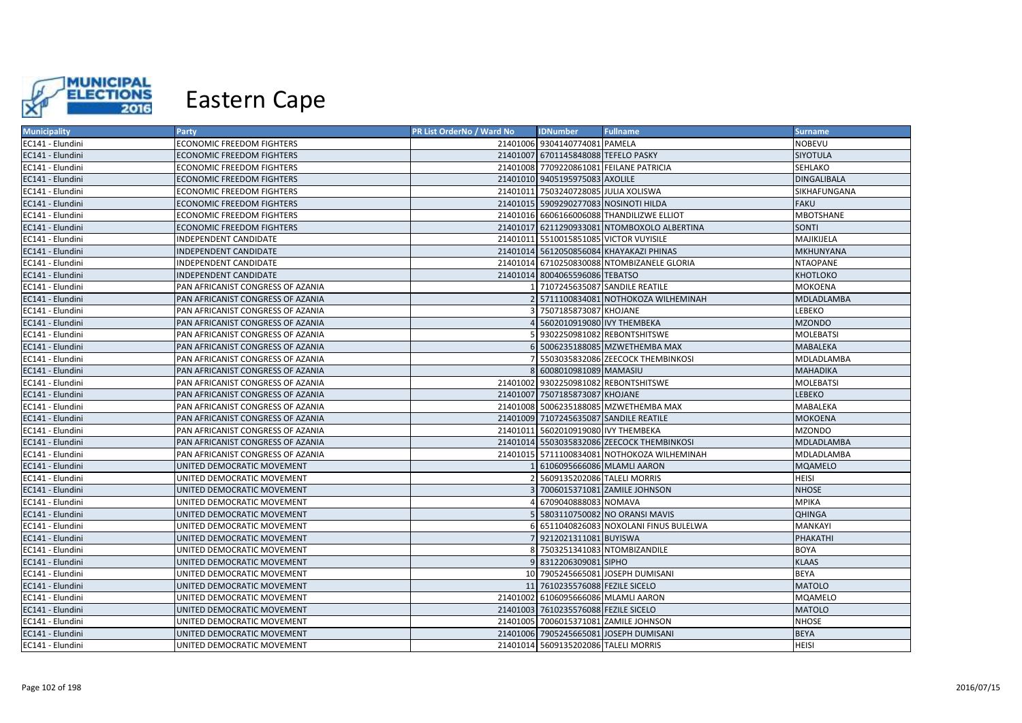

| <b>Municipality</b> | Party                             | PR List OrderNo / Ward No | <b>IDNumber</b>                      | <b>Fullname</b>                             | Surname            |
|---------------------|-----------------------------------|---------------------------|--------------------------------------|---------------------------------------------|--------------------|
| EC141 - Elundini    | <b>ECONOMIC FREEDOM FIGHTERS</b>  |                           | 21401006 9304140774081 PAMELA        |                                             | <b>NOBEVU</b>      |
| EC141 - Elundini    | <b>ECONOMIC FREEDOM FIGHTERS</b>  |                           | 21401007 6701145848088 TEFELO PASKY  |                                             | SIYOTULA           |
| EC141 - Elundini    | <b>ECONOMIC FREEDOM FIGHTERS</b>  |                           |                                      | 21401008 7709220861081 FEILANE PATRICIA     | SEHLAKO            |
| EC141 - Elundini    | ECONOMIC FREEDOM FIGHTERS         |                           | 21401010 9405195975083 AXOLILE       |                                             | <b>DINGALIBALA</b> |
| EC141 - Elundini    | <b>ECONOMIC FREEDOM FIGHTERS</b>  |                           | 21401011 7503240728085 JULIA XOLISWA |                                             | SIKHAFUNGANA       |
| EC141 - Elundini    | <b>ECONOMIC FREEDOM FIGHTERS</b>  |                           |                                      | 21401015 5909290277083 NOSINOTI HILDA       | <b>FAKU</b>        |
| EC141 - Elundini    | <b>ECONOMIC FREEDOM FIGHTERS</b>  |                           |                                      | 21401016 6606166006088 THANDILIZWE ELLIOT   | MBOTSHANE          |
| EC141 - Elundini    | <b>ECONOMIC FREEDOM FIGHTERS</b>  |                           |                                      | 21401017 6211290933081 NTOMBOXOLO ALBERTINA | SONTI              |
| EC141 - Elundini    | INDEPENDENT CANDIDATE             |                           |                                      | 21401011 5510015851085 VICTOR VUYISILE      | MAJIKIJELA         |
| EC141 - Elundini    | <b>INDEPENDENT CANDIDATE</b>      |                           |                                      | 21401014 5612050856084 KHAYAKAZI PHINAS     | <b>MKHUNYANA</b>   |
| EC141 - Elundini    | INDEPENDENT CANDIDATE             |                           |                                      | 21401014 6710250830088 NTOMBIZANELE GLORIA  | <b>NTAOPANE</b>    |
| EC141 - Elundini    | <b>INDEPENDENT CANDIDATE</b>      |                           | 21401014 8004065596086 TEBATSO       |                                             | <b>KHOTLOKO</b>    |
| EC141 - Elundini    | PAN AFRICANIST CONGRESS OF AZANIA |                           |                                      | 7107245635087 SANDILE REATILE               | MOKOENA            |
| EC141 - Elundini    | PAN AFRICANIST CONGRESS OF AZANIA |                           |                                      | 5711100834081 NOTHOKOZA WILHEMINAH          | MDLADLAMBA         |
| EC141 - Elundini    | PAN AFRICANIST CONGRESS OF AZANIA |                           | 7507185873087 KHOJANE                |                                             | <b>LEBEKO</b>      |
| EC141 - Elundini    | PAN AFRICANIST CONGRESS OF AZANIA |                           | 5602010919080 IVY THEMBEKA           |                                             | <b>MZONDO</b>      |
| EC141 - Elundini    | PAN AFRICANIST CONGRESS OF AZANIA |                           |                                      | 9302250981082 REBONTSHITSWE                 | <b>MOLEBATSI</b>   |
| EC141 - Elundini    | PAN AFRICANIST CONGRESS OF AZANIA |                           |                                      | 5006235188085 MZWETHEMBA MAX                | <b>MABALEKA</b>    |
| EC141 - Elundini    | PAN AFRICANIST CONGRESS OF AZANIA |                           |                                      | 5503035832086 ZEECOCK THEMBINKOSI           | MDLADLAMBA         |
| EC141 - Elundini    | PAN AFRICANIST CONGRESS OF AZANIA |                           | 6008010981089 MAMASIU                |                                             | <b>MAHADIKA</b>    |
| EC141 - Elundini    | PAN AFRICANIST CONGRESS OF AZANIA |                           |                                      | 21401002 9302250981082 REBONTSHITSWE        | <b>MOLEBATSI</b>   |
| EC141 - Elundini    | PAN AFRICANIST CONGRESS OF AZANIA |                           | 21401007 7507185873087 KHOJANE       |                                             | <b>LEBEKO</b>      |
| EC141 - Elundini    | PAN AFRICANIST CONGRESS OF AZANIA |                           |                                      | 21401008 5006235188085 MZWETHEMBA MAX       | MABALEKA           |
| EC141 - Elundini    | PAN AFRICANIST CONGRESS OF AZANIA |                           |                                      | 21401009 7107245635087 SANDILE REATILE      | <b>MOKOENA</b>     |
| EC141 - Elundini    | PAN AFRICANIST CONGRESS OF AZANIA |                           | 21401011 5602010919080 IVY THEMBEKA  |                                             | <b>MZONDO</b>      |
| EC141 - Elundini    | PAN AFRICANIST CONGRESS OF AZANIA |                           |                                      | 21401014 5503035832086 ZEECOCK THEMBINKOSI  | MDLADLAMBA         |
| EC141 - Elundini    | PAN AFRICANIST CONGRESS OF AZANIA |                           |                                      | 21401015 5711100834081 NOTHOKOZA WILHEMINAH | MDLADLAMBA         |
| EC141 - Elundini    | UNITED DEMOCRATIC MOVEMENT        |                           |                                      | 6106095666086 MLAMLI AARON                  | <b>MQAMELO</b>     |
| EC141 - Elundini    | UNITED DEMOCRATIC MOVEMENT        |                           | 5609135202086 TALELI MORRIS          |                                             | <b>HEISI</b>       |
| EC141 - Elundini    | UNITED DEMOCRATIC MOVEMENT        |                           |                                      | 7006015371081 ZAMILE JOHNSON                | <b>NHOSE</b>       |
| EC141 - Elundini    | UNITED DEMOCRATIC MOVEMENT        |                           | 6709040888083 NOMAVA                 |                                             | ΜΡΙΚΑ              |
| EC141 - Elundini    | UNITED DEMOCRATIC MOVEMENT        |                           |                                      | 5803110750082 NO ORANSI MAVIS               | <b>QHINGA</b>      |
| EC141 - Elundini    | UNITED DEMOCRATIC MOVEMENT        |                           |                                      | 6511040826083 NOXOLANI FINUS BULELWA        | <b>MANKAYI</b>     |
| EC141 - Elundini    | UNITED DEMOCRATIC MOVEMENT        |                           | 9212021311081 BUYISWA                |                                             | PHAKATHI           |
| EC141 - Elundini    | UNITED DEMOCRATIC MOVEMENT        |                           |                                      | 7503251341083 NTOMBIZANDILE                 | <b>BOYA</b>        |
| EC141 - Elundini    | UNITED DEMOCRATIC MOVEMENT        |                           | 9 8312206309081 SIPHO                |                                             | <b>KLAAS</b>       |
| EC141 - Elundini    | UNITED DEMOCRATIC MOVEMENT        |                           |                                      | 10 7905245665081 JOSEPH DUMISANI            | <b>BEYA</b>        |
| EC141 - Elundini    | UNITED DEMOCRATIC MOVEMENT        |                           | 11 7610235576088 FEZILE SICELO       |                                             | <b>MATOLO</b>      |
| EC141 - Elundini    | UNITED DEMOCRATIC MOVEMENT        |                           | 21401002 6106095666086 MLAMLI AARON  |                                             | MQAMELO            |
| EC141 - Elundini    | UNITED DEMOCRATIC MOVEMENT        |                           | 21401003 7610235576088 FEZILE SICELO |                                             | <b>MATOLO</b>      |
| EC141 - Elundini    | UNITED DEMOCRATIC MOVEMENT        |                           |                                      | 21401005 7006015371081 ZAMILE JOHNSON       | <b>NHOSE</b>       |
| EC141 - Elundini    | UNITED DEMOCRATIC MOVEMENT        |                           |                                      | 21401006 7905245665081 JOSEPH DUMISANI      | <b>BEYA</b>        |
| EC141 - Elundini    | UNITED DEMOCRATIC MOVEMENT        |                           | 21401014 5609135202086 TALELI MORRIS |                                             | <b>HEISI</b>       |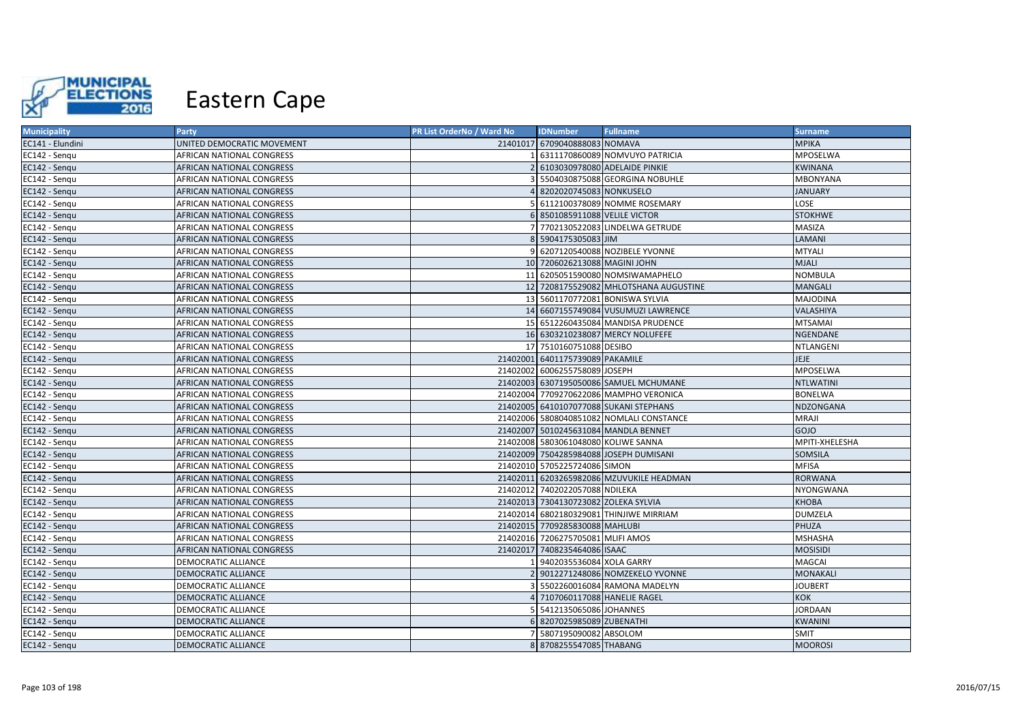

| <b>Municipality</b> | <b>Party</b>                     | PR List OrderNo / Ward No | <b>IDNumber</b>                      | <b>Fullname</b>                          | <b>Surname</b>   |
|---------------------|----------------------------------|---------------------------|--------------------------------------|------------------------------------------|------------------|
| EC141 - Elundini    | UNITED DEMOCRATIC MOVEMENT       |                           | 21401017 6709040888083 NOMAVA        |                                          | <b>MPIKA</b>     |
| EC142 - Senqu       | AFRICAN NATIONAL CONGRESS        |                           |                                      | 6311170860089 NOMVUYO PATRICIA           | MPOSELWA         |
| EC142 - Sengu       | <b>AFRICAN NATIONAL CONGRESS</b> |                           |                                      | 6103030978080 ADELAIDE PINKIE            | <b>KWINANA</b>   |
| EC142 - Sengu       | <b>AFRICAN NATIONAL CONGRESS</b> |                           |                                      | 5504030875088 GEORGINA NOBUHLE           | <b>MBONYANA</b>  |
| EC142 - Sengu       | <b>AFRICAN NATIONAL CONGRESS</b> |                           | 8202020745083 NONKUSELO              |                                          | <b>JANUARY</b>   |
| EC142 - Sengu       | <b>AFRICAN NATIONAL CONGRESS</b> |                           |                                      | 6112100378089 NOMME ROSEMARY             | LOSE             |
| EC142 - Sengu       | <b>AFRICAN NATIONAL CONGRESS</b> |                           | 8501085911088 VELILE VICTOR          |                                          | <b>STOKHWE</b>   |
| EC142 - Senqu       | <b>AFRICAN NATIONAL CONGRESS</b> |                           |                                      | 7702130522083 LINDELWA GETRUDE           | <b>MASIZA</b>    |
| EC142 - Sengu       | AFRICAN NATIONAL CONGRESS        |                           | 8 5904175305083 JIM                  |                                          | LAMANI           |
| EC142 - Sengu       | AFRICAN NATIONAL CONGRESS        | $\mathbf{Q}$              |                                      | 6207120540088 NOZIBELE YVONNE            | <b>MTYALI</b>    |
| EC142 - Sengu       | AFRICAN NATIONAL CONGRESS        |                           | 10 7206026213088 MAGINI JOHN         |                                          | <b>MJALI</b>     |
| EC142 - Sengu       | AFRICAN NATIONAL CONGRESS        |                           |                                      | 11 6205051590080 NOMSIWAMAPHELO          | <b>NOMBULA</b>   |
| EC142 - Sengu       | <b>AFRICAN NATIONAL CONGRESS</b> |                           |                                      | 12 7208175529082 MHLOTSHANA AUGUSTINE    | <b>MANGALI</b>   |
| EC142 - Sengu       | <b>AFRICAN NATIONAL CONGRESS</b> |                           |                                      | 13 5601170772081 BONISWA SYLVIA          | <b>MAJODINA</b>  |
| EC142 - Sengu       | <b>AFRICAN NATIONAL CONGRESS</b> |                           |                                      | 14 6607155749084 VUSUMUZI LAWRENCE       | VALASHIYA        |
| EC142 - Sengu       | AFRICAN NATIONAL CONGRESS        |                           |                                      | 15 6512260435084 MANDISA PRUDENCE        | <b>MTSAMAI</b>   |
| EC142 - Sengu       | <b>AFRICAN NATIONAL CONGRESS</b> |                           |                                      | 16 6303210238087 MERCY NOLUFEFE          | NGENDANE         |
| EC142 - Sengu       | AFRICAN NATIONAL CONGRESS        |                           | 17 7510160751088 DESIBO              |                                          | NTLANGENI        |
| EC142 - Senqu       | AFRICAN NATIONAL CONGRESS        |                           | 21402001 6401175739089 PAKAMILE      |                                          | <b>JEJE</b>      |
| EC142 - Sengu       | <b>AFRICAN NATIONAL CONGRESS</b> |                           | 21402002 6006255758089 JOSEPH        |                                          | MPOSELWA         |
| EC142 - Sengu       | <b>AFRICAN NATIONAL CONGRESS</b> |                           |                                      | 21402003 6307195050086 SAMUEL MCHUMANE   | <b>NTLWATINI</b> |
| EC142 - Sengu       | AFRICAN NATIONAL CONGRESS        |                           |                                      | 21402004 7709270622086 MAMPHO VERONICA   | <b>BONELWA</b>   |
| EC142 - Sengu       | AFRICAN NATIONAL CONGRESS        |                           |                                      | 21402005 6410107077088 SUKANI STEPHANS   | <b>NDZONGANA</b> |
| EC142 - Sengu       | <b>AFRICAN NATIONAL CONGRESS</b> |                           |                                      | 21402006 5808040851082 NOMLALI CONSTANCE | <b>MRAJI</b>     |
| EC142 - Sengu       | <b>AFRICAN NATIONAL CONGRESS</b> |                           |                                      | 21402007 5010245631084 MANDLA BENNET     | GOJO             |
| EC142 - Sengu       | AFRICAN NATIONAL CONGRESS        |                           | 21402008 5803061048080 KOLIWE SANNA  |                                          | MPITI-XHELESHA   |
| EC142 - Sengu       | <b>AFRICAN NATIONAL CONGRESS</b> |                           |                                      | 21402009 7504285984088 JOSEPH DUMISANI   | SOMSILA          |
| EC142 - Sengu       | <b>AFRICAN NATIONAL CONGRESS</b> |                           | 21402010 5705225724086 SIMON         |                                          | <b>MFISA</b>     |
| EC142 - Sengu       | <b>AFRICAN NATIONAL CONGRESS</b> |                           |                                      | 21402011 6203265982086 MZUVUKILE HEADMAN | <b>RORWANA</b>   |
| EC142 - Sengu       | AFRICAN NATIONAL CONGRESS        |                           | 21402012 7402022057088 NDILEKA       |                                          | <b>NYONGWANA</b> |
| EC142 - Sengu       | <b>AFRICAN NATIONAL CONGRESS</b> |                           | 21402013 7304130723082 ZOLEKA SYLVIA |                                          | <b>KHOBA</b>     |
| EC142 - Sengu       | AFRICAN NATIONAL CONGRESS        |                           |                                      | 21402014 6802180329081 THINJIWE MIRRIAM  | <b>DUMZELA</b>   |
| EC142 - Sengu       | <b>AFRICAN NATIONAL CONGRESS</b> |                           | 21402015 7709285830088 MAHLUBI       |                                          | PHUZA            |
| EC142 - Sengu       | AFRICAN NATIONAL CONGRESS        |                           | 21402016 7206275705081 MLIFI AMOS    |                                          | <b>MSHASHA</b>   |
| EC142 - Senqu       | <b>AFRICAN NATIONAL CONGRESS</b> | 21402017                  | 7408235464086 ISAAC                  |                                          | <b>MOSISIDI</b>  |
| EC142 - Sengu       | <b>DEMOCRATIC ALLIANCE</b>       |                           | 9402035536084 XOLA GARRY             |                                          | <b>MAGCAI</b>    |
| EC142 - Sengu       | <b>DEMOCRATIC ALLIANCE</b>       |                           |                                      | 9012271248086 NOMZEKELO YVONNE           | <b>MONAKALI</b>  |
| EC142 - Sengu       | <b>DEMOCRATIC ALLIANCE</b>       |                           |                                      | 5502260016084 RAMONA MADELYN             | <b>JOUBERT</b>   |
| EC142 - Sengu       | <b>DEMOCRATIC ALLIANCE</b>       |                           | 7107060117088 HANELIE RAGEL          |                                          | KOK              |
| EC142 - Sengu       | DEMOCRATIC ALLIANCE              |                           | 5412135065086 JOHANNES               |                                          | <b>JORDAAN</b>   |
| EC142 - Sengu       | DEMOCRATIC ALLIANCE              | 61                        | 8207025985089 ZUBENATHI              |                                          | <b>KWANINI</b>   |
| EC142 - Sengu       | <b>DEMOCRATIC ALLIANCE</b>       |                           | 5807195090082 ABSOLOM                |                                          | SMIT             |
| EC142 - Sengu       | <b>DEMOCRATIC ALLIANCE</b>       |                           | 8 8708255547085 THABANG              |                                          | <b>MOOROSI</b>   |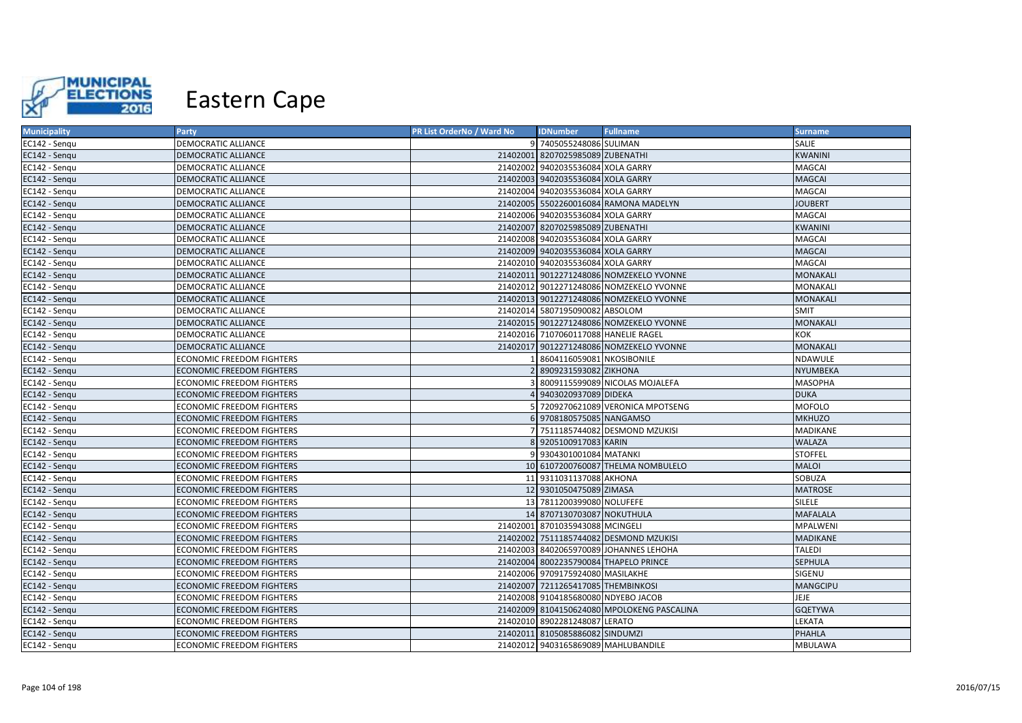

| <b>Municipality</b> | Party                            | PR List OrderNo / Ward No | <b>IDNumber</b>                      | <b>Fullname</b>                            | <b>Surname</b>  |
|---------------------|----------------------------------|---------------------------|--------------------------------------|--------------------------------------------|-----------------|
| EC142 - Senqu       | <b>DEMOCRATIC ALLIANCE</b>       |                           | 9 7405055248086 SULIMAN              |                                            | SALIE           |
| EC142 - Senqu       | DEMOCRATIC ALLIANCE              |                           | 21402001 8207025985089 ZUBENATHI     |                                            | <b>KWANINI</b>  |
| EC142 - Sengu       | <b>DEMOCRATIC ALLIANCE</b>       |                           | 21402002 9402035536084 XOLA GARRY    |                                            | <b>MAGCAI</b>   |
| EC142 - Sengu       | DEMOCRATIC ALLIANCE              |                           | 21402003 9402035536084 XOLA GARRY    |                                            | <b>MAGCAI</b>   |
| EC142 - Sengu       | DEMOCRATIC ALLIANCE              |                           | 21402004 9402035536084 XOLA GARRY    |                                            | MAGCAI          |
| EC142 - Sengu       | DEMOCRATIC ALLIANCE              |                           |                                      | 21402005 5502260016084 RAMONA MADELYN      | <b>JOUBERT</b>  |
| EC142 - Sengu       | <b>DEMOCRATIC ALLIANCE</b>       |                           | 21402006 9402035536084 XOLA GARRY    |                                            | MAGCAI          |
| EC142 - Sengu       | <b>DEMOCRATIC ALLIANCE</b>       |                           | 21402007 8207025985089 ZUBENATHI     |                                            | <b>KWANINI</b>  |
| EC142 - Sengu       | DEMOCRATIC ALLIANCE              |                           | 21402008 9402035536084 XOLA GARRY    |                                            | MAGCAI          |
| EC142 - Sengu       | <b>DEMOCRATIC ALLIANCE</b>       |                           | 21402009 9402035536084 XOLA GARRY    |                                            | <b>MAGCAI</b>   |
| EC142 - Sengu       | <b>DEMOCRATIC ALLIANCE</b>       |                           | 21402010 9402035536084 XOLA GARRY    |                                            | MAGCAI          |
| EC142 - Senqu       | DEMOCRATIC ALLIANCE              |                           |                                      | 21402011 9012271248086 NOMZEKELO YVONNE    | <b>MONAKALI</b> |
| EC142 - Sengu       | <b>DEMOCRATIC ALLIANCE</b>       |                           |                                      | 21402012 9012271248086 NOMZEKELO YVONNE    | MONAKALI        |
| EC142 - Sengu       | <b>DEMOCRATIC ALLIANCE</b>       |                           |                                      | 21402013 9012271248086 NOMZEKELO YVONNE    | MONAKALI        |
| EC142 - Sengu       | DEMOCRATIC ALLIANCE              |                           | 21402014 5807195090082 ABSOLOM       |                                            | SMIT            |
| EC142 - Sengu       | DEMOCRATIC ALLIANCE              |                           |                                      | 21402015 9012271248086 NOMZEKELO YVONNE    | MONAKALI        |
| EC142 - Sengu       | DEMOCRATIC ALLIANCE              |                           | 21402016 7107060117088 HANELIE RAGEL |                                            | KOK             |
| EC142 - Sengu       | DEMOCRATIC ALLIANCE              |                           |                                      | 21402017 9012271248086 NOMZEKELO YVONNE    | <b>MONAKALI</b> |
| EC142 - Senqu       | <b>ECONOMIC FREEDOM FIGHTERS</b> |                           | 8604116059081 NKOSIBONILE            |                                            | NDAWULE         |
| EC142 - Sengu       | <b>ECONOMIC FREEDOM FIGHTERS</b> |                           | 8909231593082 ZIKHONA                |                                            | NYUMBEKA        |
| EC142 - Sengu       | <b>ECONOMIC FREEDOM FIGHTERS</b> |                           |                                      | 8009115599089 NICOLAS MOJALEFA             | <b>MASOPHA</b>  |
| EC142 - Sengu       | ECONOMIC FREEDOM FIGHTERS        |                           | 9403020937089 DIDEKA                 |                                            | <b>DUKA</b>     |
| EC142 - Sengu       | <b>ECONOMIC FREEDOM FIGHTERS</b> |                           |                                      | 7209270621089 VERONICA MPOTSENG            | <b>MOFOLO</b>   |
| EC142 - Sengu       | ECONOMIC FREEDOM FIGHTERS        |                           | 6 9708180575085 NANGAMSO             |                                            | <b>MKHUZO</b>   |
| EC142 - Sengu       | <b>ECONOMIC FREEDOM FIGHTERS</b> |                           |                                      | 7511185744082 DESMOND MZUKISI              | MADIKANE        |
| EC142 - Senqu       | <b>ECONOMIC FREEDOM FIGHTERS</b> | 81                        | 9205100917083 KARIN                  |                                            | <b>WALAZA</b>   |
| EC142 - Sengu       | <b>ECONOMIC FREEDOM FIGHTERS</b> |                           | 9 9304301001084 MATANKI              |                                            | <b>STOFFEL</b>  |
| EC142 - Sengu       | ECONOMIC FREEDOM FIGHTERS        |                           |                                      | 10 6107200760087 THELMA NOMBULELO          | <b>MALOI</b>    |
| EC142 - Sengu       | ECONOMIC FREEDOM FIGHTERS        |                           | 11 9311031137088 AKHONA              |                                            | SOBUZA          |
| EC142 - Sengu       | <b>ECONOMIC FREEDOM FIGHTERS</b> |                           | 12 9301050475089 ZIMASA              |                                            | <b>MATROSE</b>  |
| EC142 - Sengu       | ECONOMIC FREEDOM FIGHTERS        |                           | 13 7811200399080 NOLUFEFE            |                                            | <b>SILELE</b>   |
| EC142 - Sengu       | <b>ECONOMIC FREEDOM FIGHTERS</b> |                           | 14 8707130703087 NOKUTHULA           |                                            | <b>MAFALALA</b> |
| EC142 - Sengu       | ECONOMIC FREEDOM FIGHTERS        |                           | 21402001 8701035943088 MCINGELI      |                                            | MPALWENI        |
| EC142 - Senqu       | <b>ECONOMIC FREEDOM FIGHTERS</b> |                           |                                      | 21402002 7511185744082 DESMOND MZUKISI     | <b>MADIKANE</b> |
| EC142 - Sengu       | <b>ECONOMIC FREEDOM FIGHTERS</b> | 21402003                  |                                      | 8402065970089 JOHANNES LEHOHA              | <b>TALEDI</b>   |
| EC142 - Sengu       | ECONOMIC FREEDOM FIGHTERS        |                           |                                      | 21402004 8002235790084 THAPELO PRINCE      | <b>SEPHULA</b>  |
| EC142 - Sengu       | <b>ECONOMIC FREEDOM FIGHTERS</b> |                           | 21402006 9709175924080 MASILAKHE     |                                            | SIGENU          |
| EC142 - Sengu       | ECONOMIC FREEDOM FIGHTERS        |                           | 21402007 7211265417085 THEMBINKOSI   |                                            | MANGCIPU        |
| EC142 - Senqu       | ECONOMIC FREEDOM FIGHTERS        |                           | 21402008 9104185680080 NDYEBO JACOB  |                                            | JEJE            |
| EC142 - Sengu       | <b>ECONOMIC FREEDOM FIGHTERS</b> |                           |                                      | 21402009 8104150624080 MPOLOKENG PASCALINA | <b>GQETYWA</b>  |
| EC142 - Senqu       | <b>ECONOMIC FREEDOM FIGHTERS</b> |                           | 21402010 8902281248087 LERATO        |                                            | LEKATA          |
| EC142 - Sengu       | <b>ECONOMIC FREEDOM FIGHTERS</b> |                           | 21402011 8105085886082 SINDUMZI      |                                            | PHAHLA          |
| EC142 - Sengu       | <b>ECONOMIC FREEDOM FIGHTERS</b> |                           |                                      | 21402012 9403165869089 MAHLUBANDILE        | <b>MBULAWA</b>  |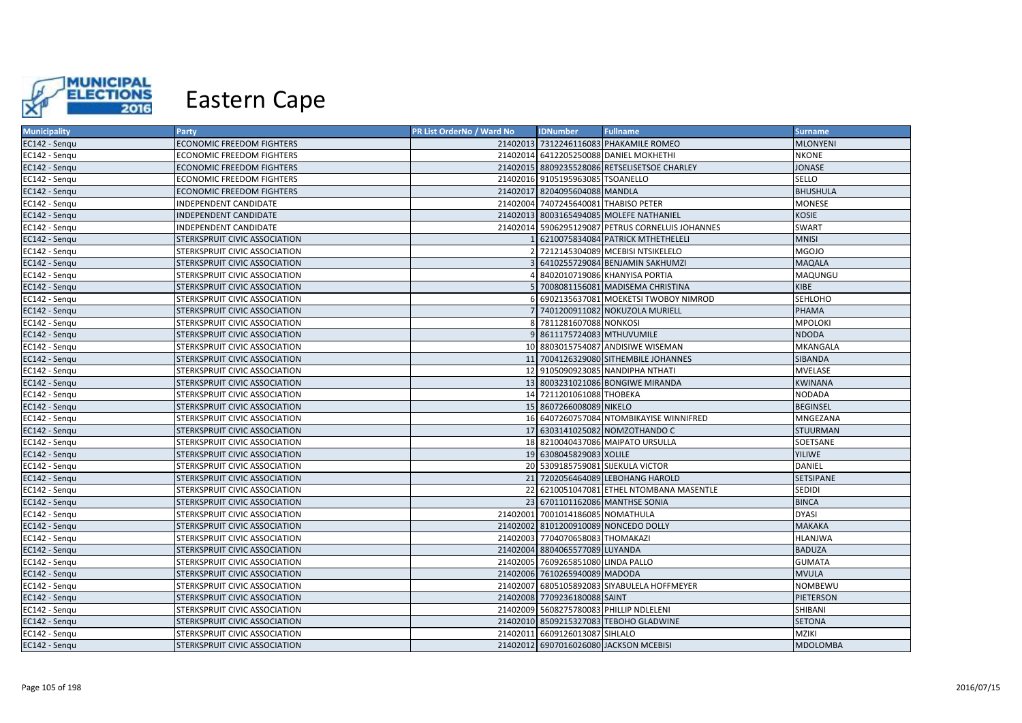

| <b>Municipality</b> | Party                            | PR List OrderNo / Ward No | <b>IDNumber</b>                      | <b>Fullname</b>                                  | <b>Surname</b>   |
|---------------------|----------------------------------|---------------------------|--------------------------------------|--------------------------------------------------|------------------|
| EC142 - Sengu       | <b>ECONOMIC FREEDOM FIGHTERS</b> |                           |                                      | 21402013 7312246116083 PHAKAMILE ROMEO           | <b>MLONYENI</b>  |
| EC142 - Sengu       | <b>ECONOMIC FREEDOM FIGHTERS</b> |                           |                                      | 21402014 6412205250088 DANIEL MOKHETHI           | <b>NKONE</b>     |
| EC142 - Sengu       | <b>ECONOMIC FREEDOM FIGHTERS</b> |                           |                                      | 21402015 8809235528086 RETSELISETSOE CHARLEY     | <b>JONASE</b>    |
| EC142 - Senqu       | ECONOMIC FREEDOM FIGHTERS        |                           | 21402016 9105195963085 TSOANELLO     |                                                  | SELLO            |
| EC142 - Sengu       | <b>ECONOMIC FREEDOM FIGHTERS</b> |                           | 21402017 8204095604088 MANDLA        |                                                  | <b>BHUSHULA</b>  |
| EC142 - Senqu       | INDEPENDENT CANDIDATE            |                           | 21402004 7407245640081 THABISO PETER |                                                  | <b>MONESE</b>    |
| EC142 - Sengu       | INDEPENDENT CANDIDATE            |                           |                                      | 21402013 8003165494085 MOLEFE NATHANIEL          | <b>KOSIE</b>     |
| EC142 - Sengu       | INDEPENDENT CANDIDATE            |                           |                                      | 21402014 5906295129087 PETRUS CORNELUIS JOHANNES | <b>SWART</b>     |
| EC142 - Sengu       | STERKSPRUIT CIVIC ASSOCIATION    |                           |                                      | 1 6210075834084 PATRICK MTHETHELELI              | <b>MNISI</b>     |
| EC142 - Senqu       | STERKSPRUIT CIVIC ASSOCIATION    |                           |                                      | 2 7212145304089 MCEBISI NTSIKELELO               | <b>MGOJO</b>     |
| EC142 - Senqu       | STERKSPRUIT CIVIC ASSOCIATION    |                           |                                      | 3 6410255729084 BENJAMIN SAKHUMZI                | <b>MAQALA</b>    |
| EC142 - Sengu       | STERKSPRUIT CIVIC ASSOCIATION    |                           |                                      | 8402010719086 KHANYISA PORTIA                    | MAQUNGU          |
| EC142 - Sengu       | STERKSPRUIT CIVIC ASSOCIATION    |                           |                                      | 5 7008081156081 MADISEMA CHRISTINA               | KIBE             |
| EC142 - Sengu       | STERKSPRUIT CIVIC ASSOCIATION    |                           |                                      | 6 6902135637081 MOEKETSI TWOBOY NIMROD           | SEHLOHO          |
| EC142 - Sengu       | STERKSPRUIT CIVIC ASSOCIATION    |                           |                                      | 7401200911082 NOKUZOLA MURIELL                   | <b>PHAMA</b>     |
| EC142 - Sengu       | STERKSPRUIT CIVIC ASSOCIATION    |                           | 8 7811281607088 NONKOSI              |                                                  | <b>MPOLOKI</b>   |
| EC142 - Sengu       | STERKSPRUIT CIVIC ASSOCIATION    |                           | 9 8611175724083 MTHUVUMILE           |                                                  | <b>NDODA</b>     |
| EC142 - Senqu       | STERKSPRUIT CIVIC ASSOCIATION    |                           |                                      | 10 8803015754087 ANDISIWE WISEMAN                | MKANGALA         |
| EC142 - Senqu       | STERKSPRUIT CIVIC ASSOCIATION    |                           |                                      | 11 7004126329080 SITHEMBILE JOHANNES             | SIBANDA          |
| EC142 - Senqu       | STERKSPRUIT CIVIC ASSOCIATION    |                           |                                      | 12 9105090923085 NANDIPHA NTHATI                 | MVELASE          |
| EC142 - Sengu       | STERKSPRUIT CIVIC ASSOCIATION    |                           |                                      | 13 8003231021086 BONGIWE MIRANDA                 | <b>KWINANA</b>   |
| EC142 - Sengu       | STERKSPRUIT CIVIC ASSOCIATION    |                           | 14 7211201061088 THOBEKA             |                                                  | NODADA           |
| EC142 - Sengu       | STERKSPRUIT CIVIC ASSOCIATION    |                           | 15 8607266008089 NIKELO              |                                                  | <b>BEGINSEL</b>  |
| EC142 - Sengu       | STERKSPRUIT CIVIC ASSOCIATION    |                           |                                      | 16 6407260757084 NTOMBIKAYISE WINNIFRED          | MNGEZANA         |
| EC142 - Sengu       | STERKSPRUIT CIVIC ASSOCIATION    |                           |                                      | 17 6303141025082 NOMZOTHANDO C                   | STUURMAN         |
| EC142 - Senqu       | STERKSPRUIT CIVIC ASSOCIATION    |                           |                                      | 18 8210040437086 MAIPATO URSULLA                 | SOETSANE         |
| EC142 - Sengu       | STERKSPRUIT CIVIC ASSOCIATION    |                           | 19 6308045829083 XOLILE              |                                                  | YILIWE           |
| EC142 - Sengu       | STERKSPRUIT CIVIC ASSOCIATION    |                           | 20 5309185759081 SIJEKULA VICTOR     |                                                  | DANIEL           |
| EC142 - Sengu       | STERKSPRUIT CIVIC ASSOCIATION    |                           |                                      | 21 7202056464089 LEBOHANG HAROLD                 | <b>SETSIPANE</b> |
| EC142 - Sengu       | STERKSPRUIT CIVIC ASSOCIATION    |                           |                                      | 22 6210051047081 ETHEL NTOMBANA MASENTLE         | SEDIDI           |
| EC142 - Sengu       | STERKSPRUIT CIVIC ASSOCIATION    |                           | 23 6701101162086 MANTHSE SONIA       |                                                  | <b>BINCA</b>     |
| EC142 - Sengu       | STERKSPRUIT CIVIC ASSOCIATION    |                           | 21402001 7001014186085 NOMATHULA     |                                                  | <b>DYASI</b>     |
| EC142 - Sengu       | STERKSPRUIT CIVIC ASSOCIATION    |                           |                                      | 21402002 8101200910089 NONCEDO DOLLY             | <b>MAKAKA</b>    |
| EC142 - Sengu       | STERKSPRUIT CIVIC ASSOCIATION    |                           | 21402003 7704070658083 THOMAKAZI     |                                                  | <b>HLANJWA</b>   |
| EC142 - Senqu       | STERKSPRUIT CIVIC ASSOCIATION    |                           | 21402004 8804065577089 LUYANDA       |                                                  | <b>BADUZA</b>    |
| EC142 - Sengu       | STERKSPRUIT CIVIC ASSOCIATION    |                           | 21402005 7609265851080 LINDA PALLO   |                                                  | <b>GUMATA</b>    |
| EC142 - Senqu       | STERKSPRUIT CIVIC ASSOCIATION    |                           | 21402006 7610265940089 MADODA        |                                                  | <b>MVULA</b>     |
| EC142 - Senqu       | STERKSPRUIT CIVIC ASSOCIATION    |                           |                                      | 21402007 6805105892083 SIYABULELA HOFFMEYER      | NOMBEWU          |
| EC142 - Sengu       | STERKSPRUIT CIVIC ASSOCIATION    |                           | 21402008 7709236180088 SAINT         |                                                  | PIETERSON        |
| EC142 - Sengu       | STERKSPRUIT CIVIC ASSOCIATION    |                           |                                      | 21402009 5608275780083 PHILLIP NDLELENI          | SHIBANI          |
| EC142 - Sengu       | STERKSPRUIT CIVIC ASSOCIATION    |                           |                                      | 21402010 8509215327083 TEBOHO GLADWINE           | <b>SETONA</b>    |
| EC142 - Sengu       | STERKSPRUIT CIVIC ASSOCIATION    |                           | 21402011 6609126013087 SIHLALO       |                                                  | <b>MZIKI</b>     |
| EC142 - Sengu       | STERKSPRUIT CIVIC ASSOCIATION    |                           |                                      | 21402012 6907016026080 JACKSON MCEBISI           | <b>MDOLOMBA</b>  |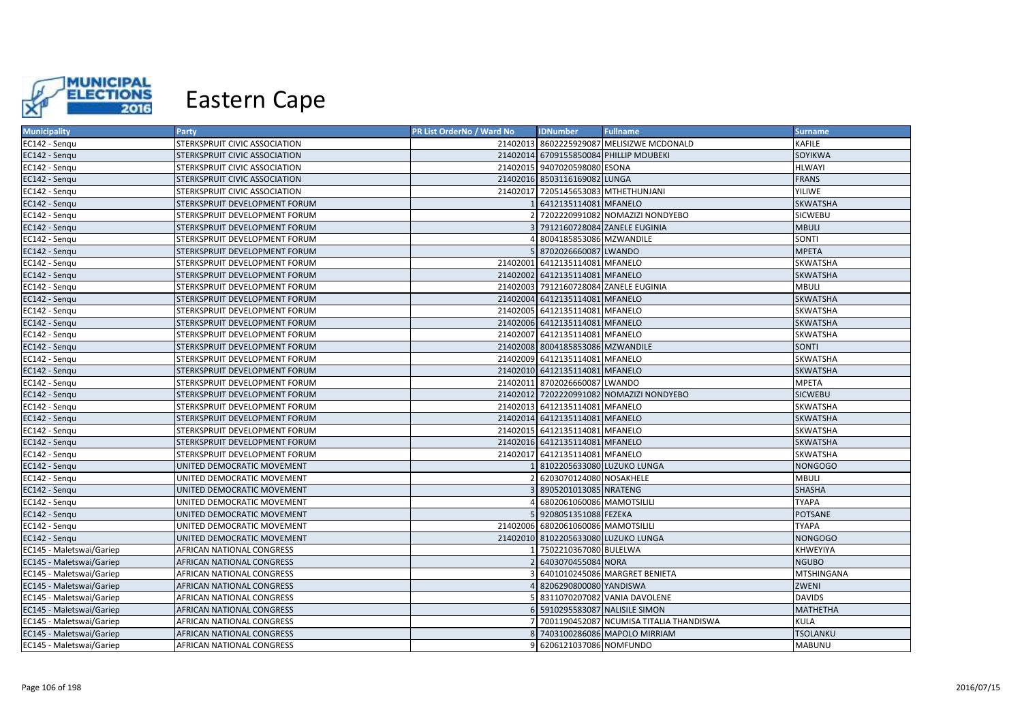

| <b>Municipality</b>      | Party                            | PR List OrderNo / Ward No | <b>IDNumber</b>                     | <b>Fullname</b>                           | <b>Surname</b>  |
|--------------------------|----------------------------------|---------------------------|-------------------------------------|-------------------------------------------|-----------------|
| EC142 - Sengu            | STERKSPRUIT CIVIC ASSOCIATION    |                           |                                     | 21402013 8602225929087 MELISIZWE MCDONALD | KAFILE          |
| EC142 - Senqu            | STERKSPRUIT CIVIC ASSOCIATION    |                           |                                     | 21402014 6709155850084 PHILLIP MDUBEKI    | SOYIKWA         |
| EC142 - Sengu            | STERKSPRUIT CIVIC ASSOCIATION    |                           | 21402015 9407020598080 ESONA        |                                           | <b>HLWAYI</b>   |
| EC142 - Senqu            | STERKSPRUIT CIVIC ASSOCIATION    |                           | 21402016 8503116169082 LUNGA        |                                           | <b>FRANS</b>    |
| EC142 - Sengu            | STERKSPRUIT CIVIC ASSOCIATION    |                           | 21402017 7205145653083 MTHETHUNJANI |                                           | <b>YILIWE</b>   |
| EC142 - Sengu            | STERKSPRUIT DEVELOPMENT FORUM    |                           | 6412135114081 MFANELO               |                                           | <b>SKWATSHA</b> |
| EC142 - Sengu            | STERKSPRUIT DEVELOPMENT FORUM    |                           |                                     | 7202220991082 NOMAZIZI NONDYEBO           | <b>SICWEBU</b>  |
| EC142 - Sengu            | STERKSPRUIT DEVELOPMENT FORUM    |                           |                                     | 7912160728084 ZANELE EUGINIA              | <b>MBULI</b>    |
| EC142 - Senqu            | STERKSPRUIT DEVELOPMENT FORUM    |                           | 8004185853086 MZWANDILE             |                                           | SONTI           |
| EC142 - Sengu            | STERKSPRUIT DEVELOPMENT FORUM    |                           | 8702026660087 LWANDO                |                                           | <b>MPETA</b>    |
| EC142 - Sengu            | STERKSPRUIT DEVELOPMENT FORUM    |                           | 21402001 6412135114081 MFANELO      |                                           | SKWATSHA        |
| EC142 - Sengu            | STERKSPRUIT DEVELOPMENT FORUM    |                           | 21402002 6412135114081 MFANELO      |                                           | <b>SKWATSHA</b> |
| EC142 - Sengu            | STERKSPRUIT DEVELOPMENT FORUM    |                           |                                     | 21402003 7912160728084 ZANELE EUGINIA     | <b>MBULI</b>    |
| EC142 - Sengu            | STERKSPRUIT DEVELOPMENT FORUM    |                           | 21402004 6412135114081 MFANELO      |                                           | <b>SKWATSHA</b> |
| EC142 - Sengu            | STERKSPRUIT DEVELOPMENT FORUM    |                           | 21402005 6412135114081 MFANELO      |                                           | SKWATSHA        |
| EC142 - Senqu            | STERKSPRUIT DEVELOPMENT FORUM    |                           | 21402006 6412135114081 MFANELO      |                                           | <b>SKWATSHA</b> |
| EC142 - Sengu            | STERKSPRUIT DEVELOPMENT FORUM    |                           | 21402007 6412135114081 MFANELO      |                                           | SKWATSHA        |
| EC142 - Senqu            | STERKSPRUIT DEVELOPMENT FORUM    |                           | 21402008 8004185853086 MZWANDILE    |                                           | SONTI           |
| EC142 - Sengu            | STERKSPRUIT DEVELOPMENT FORUM    |                           | 21402009 6412135114081 MFANELO      |                                           | SKWATSHA        |
| EC142 - Sengu            | STERKSPRUIT DEVELOPMENT FORUM    |                           | 21402010 6412135114081 MFANELO      |                                           | <b>SKWATSHA</b> |
| EC142 - Sengu            | STERKSPRUIT DEVELOPMENT FORUM    |                           | 21402011 8702026660087 LWANDO       |                                           | <b>MPETA</b>    |
| EC142 - Sengu            | STERKSPRUIT DEVELOPMENT FORUM    |                           |                                     | 21402012 7202220991082 NOMAZIZI NONDYEBO  | <b>SICWEBU</b>  |
| EC142 - Senqu            | STERKSPRUIT DEVELOPMENT FORUM    |                           | 21402013 6412135114081 MFANELO      |                                           | <b>SKWATSHA</b> |
| EC142 - Sengu            | STERKSPRUIT DEVELOPMENT FORUM    |                           | 21402014 6412135114081 MFANELO      |                                           | <b>SKWATSHA</b> |
| EC142 - Sengu            | STERKSPRUIT DEVELOPMENT FORUM    |                           | 21402015 6412135114081 MFANELO      |                                           | SKWATSHA        |
| EC142 - Senqu            | STERKSPRUIT DEVELOPMENT FORUM    |                           | 21402016 6412135114081 MFANELO      |                                           | SKWATSHA        |
| EC142 - Sengu            | STERKSPRUIT DEVELOPMENT FORUM    |                           | 21402017 6412135114081 MFANELO      |                                           | <b>SKWATSHA</b> |
| EC142 - Senqu            | UNITED DEMOCRATIC MOVEMENT       |                           | 8102205633080 LUZUKO LUNGA          |                                           | <b>NONGOGO</b>  |
| EC142 - Sengu            | UNITED DEMOCRATIC MOVEMENT       |                           | 6203070124080 NOSAKHELE             |                                           | <b>MBULI</b>    |
| EC142 - Senqu            | UNITED DEMOCRATIC MOVEMENT       |                           | 8905201013085 NRATENG               |                                           | <b>SHASHA</b>   |
| EC142 - Sengu            | UNITED DEMOCRATIC MOVEMENT       |                           | 6802061060086 MAMOTSILILI           |                                           | <b>TYAPA</b>    |
| EC142 - Sengu            | UNITED DEMOCRATIC MOVEMENT       |                           | 9208051351088 FEZEKA                |                                           | POTSANE         |
| EC142 - Senqu            | UNITED DEMOCRATIC MOVEMENT       |                           | 21402006 6802061060086 MAMOTSILILI  |                                           | <b>TYAPA</b>    |
| EC142 - Sengu            | UNITED DEMOCRATIC MOVEMENT       |                           | 21402010 8102205633080 LUZUKO LUNGA |                                           | <b>NONGOGO</b>  |
| EC145 - Maletswai/Gariep | AFRICAN NATIONAL CONGRESS        |                           | 7502210367080 BULELWA               |                                           | KHWEYIYA        |
| EC145 - Maletswai/Gariep | AFRICAN NATIONAL CONGRESS        |                           | 6403070455084 NORA                  |                                           | <b>NGUBO</b>    |
| EC145 - Maletswai/Gariep | AFRICAN NATIONAL CONGRESS        |                           |                                     | 6401010245086 MARGRET BENIETA             | MTSHINGANA      |
| EC145 - Maletswai/Gariep | AFRICAN NATIONAL CONGRESS        |                           | 8206290800080 YANDISWA              |                                           | ZWENI           |
| EC145 - Maletswai/Gariep | AFRICAN NATIONAL CONGRESS        |                           |                                     | 8311070207082 VANIA DAVOLENE              | <b>DAVIDS</b>   |
| EC145 - Maletswai/Gariep | AFRICAN NATIONAL CONGRESS        |                           | 5910295583087 NALISILE SIMON        |                                           | MATHETHA        |
| EC145 - Maletswai/Gariep | AFRICAN NATIONAL CONGRESS        |                           |                                     | 7001190452087 NCUMISA TITALIA THANDISWA   | <b>KULA</b>     |
| EC145 - Maletswai/Gariep | <b>AFRICAN NATIONAL CONGRESS</b> |                           |                                     | 7403100286086 MAPOLO MIRRIAM              | <b>TSOLANKU</b> |
| EC145 - Maletswai/Gariep | <b>AFRICAN NATIONAL CONGRESS</b> | ۹l                        | 6206121037086 NOMFUNDO              |                                           | <b>MABUNU</b>   |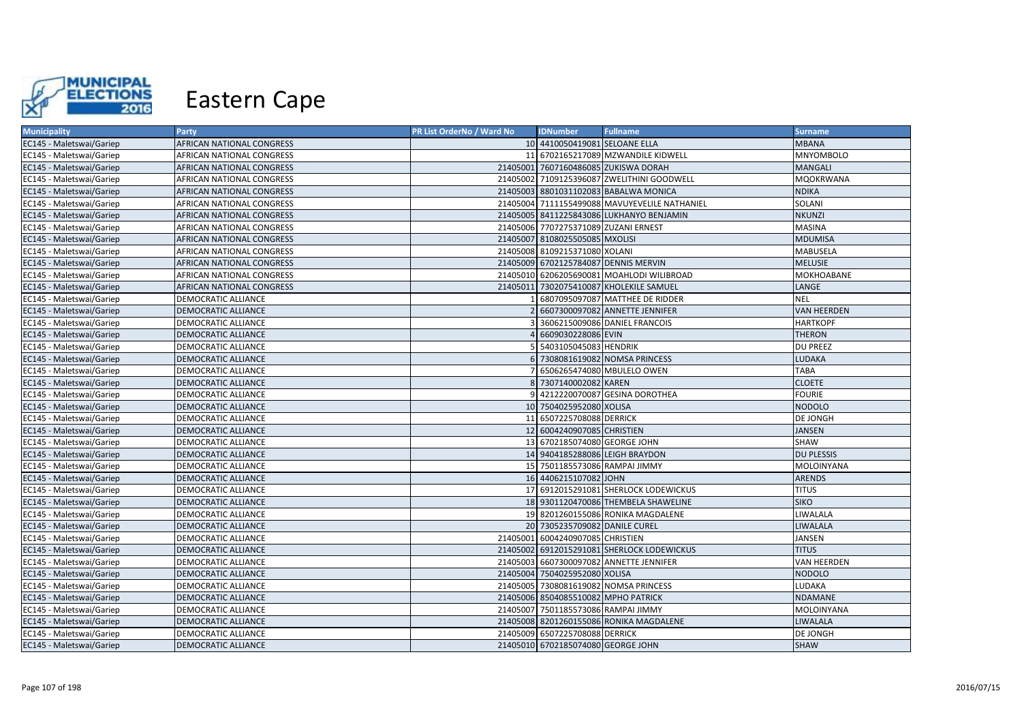

| <b>Municipality</b>      | <b>Party</b>               | PR List OrderNo / Ward No | <b>IDNumber</b>                      | <b>Fullname</b>                               | <b>Surname</b>     |
|--------------------------|----------------------------|---------------------------|--------------------------------------|-----------------------------------------------|--------------------|
| EC145 - Maletswai/Gariep | AFRICAN NATIONAL CONGRESS  |                           | 10 4410050419081 SELOANE ELLA        |                                               | <b>MBANA</b>       |
| EC145 - Maletswai/Gariep | AFRICAN NATIONAL CONGRESS  |                           |                                      | 11 6702165217089 MZWANDILE KIDWELL            | <b>MNYOMBOLO</b>   |
| EC145 - Maletswai/Gariep | AFRICAN NATIONAL CONGRESS  |                           |                                      | 21405001 7607160486085 ZUKISWA DORAH          | <b>MANGALI</b>     |
| EC145 - Maletswai/Gariep | AFRICAN NATIONAL CONGRESS  |                           |                                      | 21405002 7109125396087 ZWELITHINI GOODWELL    | <b>MQOKRWANA</b>   |
| EC145 - Maletswai/Gariep | AFRICAN NATIONAL CONGRESS  |                           |                                      | 21405003 8801031102083 BABALWA MONICA         | <b>NDIKA</b>       |
| EC145 - Maletswai/Gariep | AFRICAN NATIONAL CONGRESS  |                           |                                      | 21405004 7111155499088 MAVUYEVELILE NATHANIEL | SOLANI             |
| EC145 - Maletswai/Gariep | AFRICAN NATIONAL CONGRESS  |                           |                                      | 21405005 8411225843086 LUKHANYO BENJAMIN      | <b>NKUNZI</b>      |
| EC145 - Maletswai/Gariep | AFRICAN NATIONAL CONGRESS  |                           | 21405006 7707275371089 ZUZANI ERNEST |                                               | MASINA             |
| EC145 - Maletswai/Gariep | AFRICAN NATIONAL CONGRESS  |                           | 21405007 8108025505085 MXOLISI       |                                               | <b>MDUMISA</b>     |
| EC145 - Maletswai/Gariep | AFRICAN NATIONAL CONGRESS  |                           | 21405008 8109215371080 XOLANI        |                                               | MABUSELA           |
| EC145 - Maletswai/Gariep | AFRICAN NATIONAL CONGRESS  |                           | 21405009 6702125784087 DENNIS MERVIN |                                               | <b>MELUSIE</b>     |
| EC145 - Maletswai/Gariep | AFRICAN NATIONAL CONGRESS  |                           |                                      | 21405010 6206205690081 MOAHLODI WILIBROAD     | MOKHOABANE         |
| EC145 - Maletswai/Gariep | AFRICAN NATIONAL CONGRESS  |                           |                                      | 21405011 7302075410087 KHOLEKILE SAMUEL       | LANGE              |
| EC145 - Maletswai/Gariep | DEMOCRATIC ALLIANCE        |                           |                                      | 6807095097087 MATTHEE DE RIDDER               | <b>NEL</b>         |
| EC145 - Maletswai/Gariep | <b>DEMOCRATIC ALLIANCE</b> |                           |                                      | 6607300097082 ANNETTE JENNIFER                | <b>VAN HEERDEN</b> |
| EC145 - Maletswai/Gariep | DEMOCRATIC ALLIANCE        |                           |                                      | 3606215009086 DANIEL FRANCOIS                 | <b>HARTKOPF</b>    |
| EC145 - Maletswai/Gariep | <b>DEMOCRATIC ALLIANCE</b> |                           | 4 6609030228086 EVIN                 |                                               | <b>THERON</b>      |
| EC145 - Maletswai/Gariep | DEMOCRATIC ALLIANCE        |                           | 5 5403105045083 HENDRIK              |                                               | DU PREEZ           |
| EC145 - Maletswai/Gariep | DEMOCRATIC ALLIANCE        |                           |                                      | 6 7308081619082 NOMSA PRINCESS                | <b>LUDAKA</b>      |
| EC145 - Maletswai/Gariep | DEMOCRATIC ALLIANCE        |                           |                                      | 6506265474080 MBULELO OWEN                    | <b>TABA</b>        |
| EC145 - Maletswai/Gariep | DEMOCRATIC ALLIANCE        |                           | 8 7307140002082 KAREN                |                                               | <b>CLOETE</b>      |
| EC145 - Maletswai/Gariep | DEMOCRATIC ALLIANCE        |                           |                                      | 4212220070087 GESINA DOROTHEA                 | <b>FOURIE</b>      |
| EC145 - Maletswai/Gariep | DEMOCRATIC ALLIANCE        |                           | 10 7504025952080 XOLISA              |                                               | NODOLO             |
| EC145 - Maletswai/Gariep | DEMOCRATIC ALLIANCE        |                           | 11 6507225708088 DERRICK             |                                               | DE JONGH           |
| EC145 - Maletswai/Gariep | DEMOCRATIC ALLIANCE        |                           | 12 6004240907085 CHRISTIEN           |                                               | <b>JANSEN</b>      |
| EC145 - Maletswai/Gariep | DEMOCRATIC ALLIANCE        |                           | 13 6702185074080 GEORGE JOHN         |                                               | SHAW               |
| EC145 - Maletswai/Gariep | DEMOCRATIC ALLIANCE        |                           | 14 9404185288086 LEIGH BRAYDON       |                                               | <b>DU PLESSIS</b>  |
| EC145 - Maletswai/Gariep | DEMOCRATIC ALLIANCE        |                           | 15 7501185573086 RAMPAI JIMMY        |                                               | MOLOINYANA         |
| EC145 - Maletswai/Gariep | DEMOCRATIC ALLIANCE        |                           | 16 4406215107082 JOHN                |                                               | ARENDS             |
| EC145 - Maletswai/Gariep | DEMOCRATIC ALLIANCE        |                           |                                      | 17 6912015291081 SHERLOCK LODEWICKUS          | <b>TITUS</b>       |
| EC145 - Maletswai/Gariep | DEMOCRATIC ALLIANCE        |                           |                                      | 18 9301120470086 THEMBELA SHAWELINE           | <b>SIKO</b>        |
| EC145 - Maletswai/Gariep | DEMOCRATIC ALLIANCE        |                           |                                      | 19 8201260155086 RONIKA MAGDALENE             | LIWALALA           |
| EC145 - Maletswai/Gariep | DEMOCRATIC ALLIANCE        |                           | 20 7305235709082 DANILE CUREL        |                                               | LIWALALA           |
| EC145 - Maletswai/Gariep | DEMOCRATIC ALLIANCE        |                           | 21405001 6004240907085 CHRISTIEN     |                                               | <b>JANSEN</b>      |
| EC145 - Maletswai/Gariep | DEMOCRATIC ALLIANCE        |                           |                                      | 21405002 6912015291081 SHERLOCK LODEWICKUS    | <b>TITUS</b>       |
| EC145 - Maletswai/Gariep | DEMOCRATIC ALLIANCE        |                           |                                      | 21405003 6607300097082 ANNETTE JENNIFER       | VAN HEERDEN        |
| EC145 - Maletswai/Gariep | DEMOCRATIC ALLIANCE        |                           | 21405004 7504025952080 XOLISA        |                                               | NODOLO             |
| EC145 - Maletswai/Gariep | DEMOCRATIC ALLIANCE        |                           |                                      | 21405005 7308081619082 NOMSA PRINCESS         | LUDAKA             |
| EC145 - Maletswai/Gariep | DEMOCRATIC ALLIANCE        |                           | 21405006 8504085510082 MPHO PATRICK  |                                               | NDAMANE            |
| EC145 - Maletswai/Gariep | DEMOCRATIC ALLIANCE        |                           | 21405007 7501185573086 RAMPAI JIMMY  |                                               | MOLOINYANA         |
| EC145 - Maletswai/Gariep | DEMOCRATIC ALLIANCE        |                           |                                      | 21405008 8201260155086 RONIKA MAGDALENE       | LIWALALA           |
| EC145 - Maletswai/Gariep | DEMOCRATIC ALLIANCE        |                           | 21405009 6507225708088 DERRICK       |                                               | DE JONGH           |
| EC145 - Maletswai/Gariep | DEMOCRATIC ALLIANCE        |                           | 21405010 6702185074080 GEORGE JOHN   |                                               | SHAW               |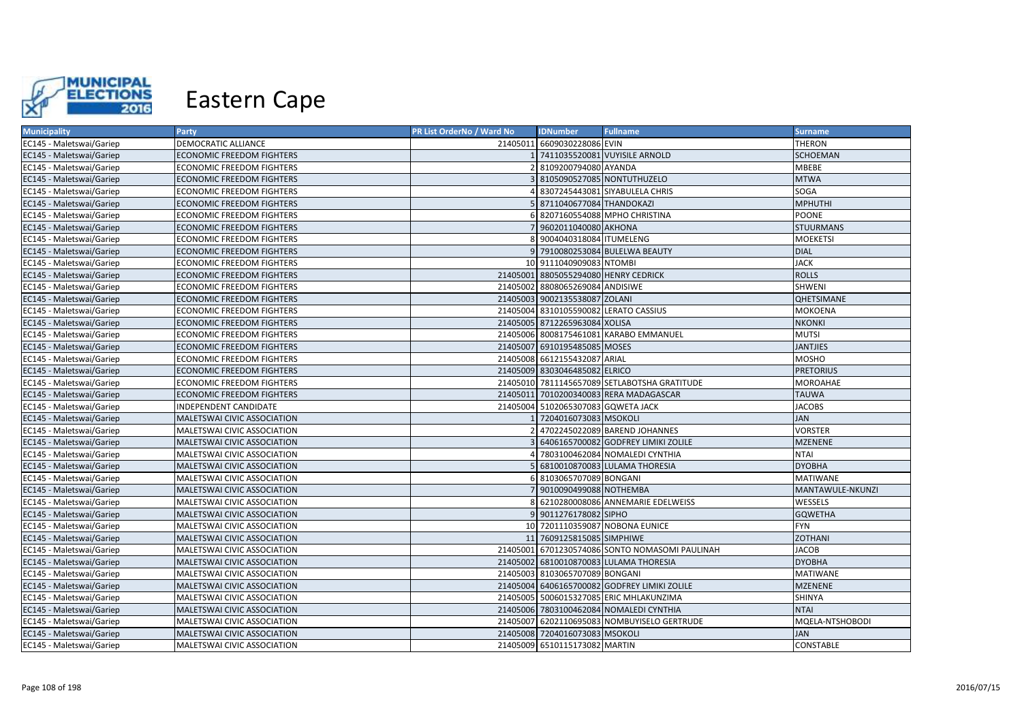

| <b>Municipality</b>      | Party                            | PR List OrderNo / Ward No | <b>IDNumber</b>                      | <b>Fullname</b>                                | <b>Surname</b>   |
|--------------------------|----------------------------------|---------------------------|--------------------------------------|------------------------------------------------|------------------|
| EC145 - Maletswai/Gariep | DEMOCRATIC ALLIANCE              |                           | 21405011 6609030228086 EVIN          |                                                | THERON           |
| EC145 - Maletswai/Gariep | <b>ECONOMIC FREEDOM FIGHTERS</b> |                           |                                      | 7411035520081 VUYISILE ARNOLD                  | SCHOEMAN         |
| EC145 - Maletswai/Gariep | ECONOMIC FREEDOM FIGHTERS        |                           | 2 8109200794080 AYANDA               |                                                | MBEBE            |
| EC145 - Maletswai/Gariep | ECONOMIC FREEDOM FIGHTERS        |                           |                                      | 3 8105090527085 NONTUTHUZELO                   | <b>MTWA</b>      |
| EC145 - Maletswai/Gariep | <b>ECONOMIC FREEDOM FIGHTERS</b> |                           |                                      | 8307245443081 SIYABULELA CHRIS                 | SOGA             |
| EC145 - Maletswai/Gariep | <b>ECONOMIC FREEDOM FIGHTERS</b> |                           | 5 8711040677084 THANDOKAZI           |                                                | <b>MPHUTHI</b>   |
| EC145 - Maletswai/Gariep | <b>ECONOMIC FREEDOM FIGHTERS</b> |                           |                                      | 6 8207160554088 MPHO CHRISTINA                 | <b>POONE</b>     |
| EC145 - Maletswai/Gariep | ECONOMIC FREEDOM FIGHTERS        |                           | 7 9602011040080 AKHONA               |                                                | <b>STUURMANS</b> |
| EC145 - Maletswai/Gariep | ECONOMIC FREEDOM FIGHTERS        |                           | 8 9004040318084 ITUMELENG            |                                                | <b>MOEKETSI</b>  |
| EC145 - Maletswai/Gariep | <b>ECONOMIC FREEDOM FIGHTERS</b> |                           |                                      | 9 7910080253084 BULELWA BEAUTY                 | <b>DIAL</b>      |
| EC145 - Maletswai/Gariep | ECONOMIC FREEDOM FIGHTERS        |                           | 10 9111040909083 NTOMBI              |                                                | <b>JACK</b>      |
| EC145 - Maletswai/Gariep | <b>ECONOMIC FREEDOM FIGHTERS</b> |                           | 21405001 8805055294080 HENRY CEDRICK |                                                | <b>ROLLS</b>     |
| EC145 - Maletswai/Gariep | ECONOMIC FREEDOM FIGHTERS        |                           | 21405002 8808065269084 ANDISIWE      |                                                | SHWENI           |
| EC145 - Maletswai/Gariep | <b>ECONOMIC FREEDOM FIGHTERS</b> |                           | 21405003 9002135538087 ZOLANI        |                                                | QHETSIMANE       |
| EC145 - Maletswai/Gariep | ECONOMIC FREEDOM FIGHTERS        |                           |                                      | 21405004 8310105590082 LERATO CASSIUS          | <b>MOKOENA</b>   |
| EC145 - Maletswai/Gariep | <b>ECONOMIC FREEDOM FIGHTERS</b> |                           | 21405005 8712265963084 XOLISA        |                                                | <b>NKONKI</b>    |
| EC145 - Maletswai/Gariep | <b>ECONOMIC FREEDOM FIGHTERS</b> |                           |                                      | 21405006 8008175461081 KARABO EMMANUEL         | <b>MUTSI</b>     |
| EC145 - Maletswai/Gariep | <b>ECONOMIC FREEDOM FIGHTERS</b> |                           | 21405007 6910195485085 MOSES         |                                                | <b>JANTJIES</b>  |
| EC145 - Maletswai/Gariep | ECONOMIC FREEDOM FIGHTERS        |                           | 21405008 6612155432087 ARIAL         |                                                | <b>MOSHO</b>     |
| EC145 - Maletswai/Gariep | <b>ECONOMIC FREEDOM FIGHTERS</b> |                           | 21405009 8303046485082 ELRICO        |                                                | <b>PRETORIUS</b> |
| EC145 - Maletswai/Gariep | ECONOMIC FREEDOM FIGHTERS        |                           |                                      | 21405010 7811145657089 SETLABOTSHA GRATITUDE   | <b>MOROAHAE</b>  |
| EC145 - Maletswai/Gariep | <b>ECONOMIC FREEDOM FIGHTERS</b> |                           |                                      | 21405011 7010200340083 RERA MADAGASCAR         | <b>TAUWA</b>     |
| EC145 - Maletswai/Gariep | INDEPENDENT CANDIDATE            |                           | 21405004 5102065307083 GQWETA JACK   |                                                | <b>JACOBS</b>    |
| EC145 - Maletswai/Gariep | MALETSWAI CIVIC ASSOCIATION      |                           | 1 7204016073083 MSOKOLI              |                                                | <b>JAN</b>       |
| EC145 - Maletswai/Gariep | MALETSWAI CIVIC ASSOCIATION      |                           |                                      | 2 4702245022089 BAREND JOHANNES                | <b>VORSTER</b>   |
| EC145 - Maletswai/Gariep | MALETSWAI CIVIC ASSOCIATION      |                           |                                      | 3 6406165700082 GODFREY LIMIKI ZOLILE          | <b>MZENENE</b>   |
| EC145 - Maletswai/Gariep | MALETSWAI CIVIC ASSOCIATION      |                           |                                      | 4 7803100462084 NOMALEDI CYNTHIA               | <b>NTAI</b>      |
| EC145 - Maletswai/Gariep | MALETSWAI CIVIC ASSOCIATION      |                           |                                      | 5 6810010870083 LULAMA THORESIA                | <b>DYOBHA</b>    |
| EC145 - Maletswai/Gariep | MALETSWAI CIVIC ASSOCIATION      |                           | 6 8103065707089 BONGANI              |                                                | <b>MATIWANE</b>  |
| EC145 - Maletswai/Gariep | MALETSWAI CIVIC ASSOCIATION      |                           | 7 9010090499088 NOTHEMBA             |                                                | MANTAWULE-NKUNZI |
| EC145 - Maletswai/Gariep | MALETSWAI CIVIC ASSOCIATION      |                           |                                      | 8 6210280008086 ANNEMARIE EDELWEISS            | WESSELS          |
| EC145 - Maletswai/Gariep | MALETSWAI CIVIC ASSOCIATION      |                           | 9 9011276178082 SIPHO                |                                                | <b>GQWETHA</b>   |
| EC145 - Maletswai/Gariep | MALETSWAI CIVIC ASSOCIATION      |                           |                                      | 10 7201110359087 NOBONA EUNICE                 | <b>FYN</b>       |
| EC145 - Maletswai/Gariep | MALETSWAI CIVIC ASSOCIATION      |                           | 11 7609125815085 SIMPHIWE            |                                                | <b>ZOTHANI</b>   |
| EC145 - Maletswai/Gariep | MALETSWAI CIVIC ASSOCIATION      |                           |                                      | 21405001 6701230574086 SONTO NOMASOMI PAULINAH | <b>JACOB</b>     |
| EC145 - Maletswai/Gariep | MALETSWAI CIVIC ASSOCIATION      |                           |                                      | 21405002 6810010870083 LULAMA THORESIA         | <b>DYOBHA</b>    |
| EC145 - Maletswai/Gariep | MALETSWAI CIVIC ASSOCIATION      |                           | 21405003 8103065707089 BONGANI       |                                                | <b>MATIWANE</b>  |
| EC145 - Maletswai/Gariep | MALETSWAI CIVIC ASSOCIATION      |                           |                                      | 21405004 6406165700082 GODFREY LIMIKI ZOLILE   | <b>MZENENE</b>   |
| EC145 - Maletswai/Gariep | MALETSWAI CIVIC ASSOCIATION      |                           |                                      | 21405005 5006015327085 ERIC MHLAKUNZIMA        | SHINYA           |
| EC145 - Maletswai/Gariep | MALETSWAI CIVIC ASSOCIATION      |                           |                                      | 21405006 7803100462084 NOMALEDI CYNTHIA        | <b>NTAI</b>      |
| EC145 - Maletswai/Gariep | MALETSWAI CIVIC ASSOCIATION      |                           |                                      | 21405007 6202110695083 NOMBUYISELO GERTRUDE    | MQELA-NTSHOBODI  |
| EC145 - Maletswai/Gariep | MALETSWAI CIVIC ASSOCIATION      |                           | 21405008 7204016073083 MSOKOLI       |                                                | <b>JAN</b>       |
| EC145 - Maletswai/Gariep | MALETSWAI CIVIC ASSOCIATION      |                           | 21405009 6510115173082 MARTIN        |                                                | CONSTABLE        |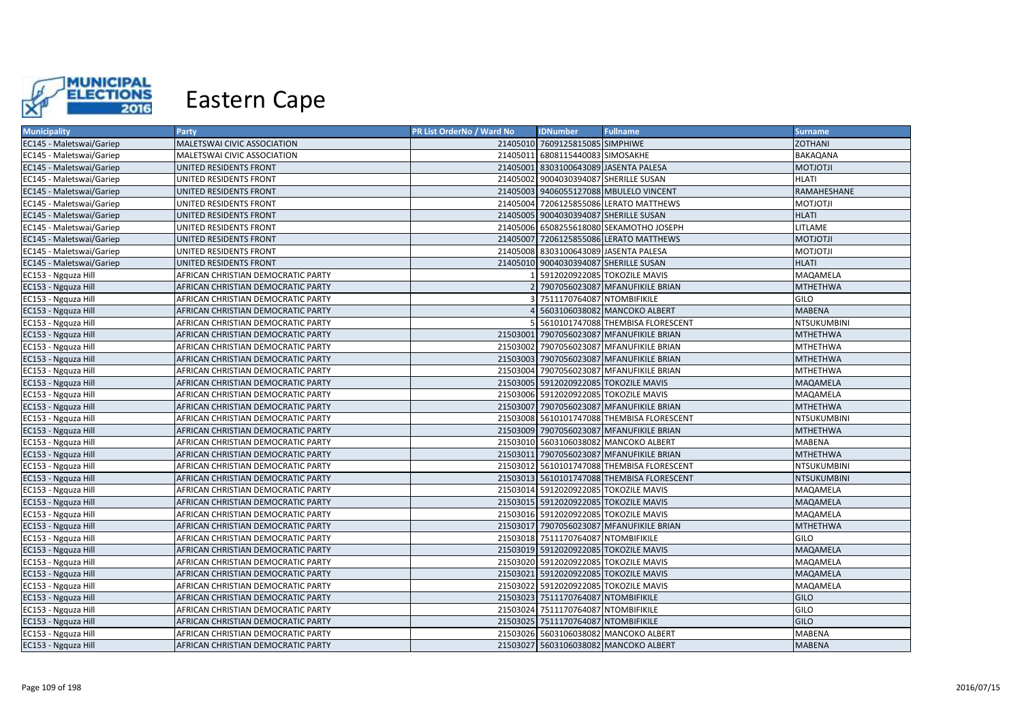

| <b>Municipality</b>      | <b>Party</b>                       | PR List OrderNo / Ward No | <b>IDNumber</b>                       | <b>Fullname</b>                            | <b>Surname</b>  |
|--------------------------|------------------------------------|---------------------------|---------------------------------------|--------------------------------------------|-----------------|
| EC145 - Maletswai/Gariep | MALETSWAI CIVIC ASSOCIATION        |                           | 21405010 7609125815085 SIMPHIWE       |                                            | <b>ZOTHANI</b>  |
| EC145 - Maletswai/Gariep | MALETSWAI CIVIC ASSOCIATION        |                           | 21405011 6808115440083 SIMOSAKHE      |                                            | BAKAQANA        |
| EC145 - Maletswai/Gariep | UNITED RESIDENTS FRONT             |                           |                                       | 21405001 8303100643089 JASENTA PALESA      | <b>MOTJOTJI</b> |
| EC145 - Maletswai/Gariep | UNITED RESIDENTS FRONT             |                           | 21405002 9004030394087 SHERILLE SUSAN |                                            | <b>HLATI</b>    |
| EC145 - Maletswai/Gariep | UNITED RESIDENTS FRONT             |                           |                                       | 21405003 9406055127088 MBULELO VINCENT     | RAMAHESHANE     |
| EC145 - Maletswai/Gariep | UNITED RESIDENTS FRONT             |                           |                                       | 21405004 7206125855086 LERATO MATTHEWS     | <b>ILTOLTOM</b> |
| EC145 - Maletswai/Gariep | UNITED RESIDENTS FRONT             |                           | 21405005 9004030394087 SHERILLE SUSAN |                                            | <b>HLATI</b>    |
| EC145 - Maletswai/Gariep | UNITED RESIDENTS FRONT             |                           |                                       | 21405006 6508255618080 SEKAMOTHO JOSEPH    | LITLAME         |
| EC145 - Maletswai/Gariep | UNITED RESIDENTS FRONT             |                           |                                       | 21405007 7206125855086 LERATO MATTHEWS     | <b>MOTJOTJI</b> |
| EC145 - Maletswai/Gariep | UNITED RESIDENTS FRONT             |                           | 21405008 8303100643089 JASENTA PALESA |                                            | <b>ILTOLTOM</b> |
| EC145 - Maletswai/Gariep | UNITED RESIDENTS FRONT             |                           | 21405010 9004030394087 SHERILLE SUSAN |                                            | <b>HLATI</b>    |
| EC153 - Ngquza Hill      | AFRICAN CHRISTIAN DEMOCRATIC PARTY |                           |                                       | 5912020922085 TOKOZILE MAVIS               | MAQAMELA        |
| EC153 - Ngquza Hill      | AFRICAN CHRISTIAN DEMOCRATIC PARTY |                           |                                       | 7907056023087 MFANUFIKILE BRIAN            | <b>MTHETHWA</b> |
| EC153 - Ngquza Hill      | AFRICAN CHRISTIAN DEMOCRATIC PARTY |                           | 7511170764087 NTOMBIFIKILE            |                                            | GILO            |
| EC153 - Ngquza Hill      | AFRICAN CHRISTIAN DEMOCRATIC PARTY |                           |                                       | 5603106038082 MANCOKO ALBERT               | <b>MABENA</b>   |
| EC153 - Ngquza Hill      | AFRICAN CHRISTIAN DEMOCRATIC PARTY |                           |                                       | 5610101747088 THEMBISA FLORESCENT          | NTSUKUMBINI     |
| EC153 - Ngquza Hill      | AFRICAN CHRISTIAN DEMOCRATIC PARTY |                           |                                       | 21503001 7907056023087 MFANUFIKILE BRIAN   | <b>MTHETHWA</b> |
| EC153 - Ngquza Hill      | AFRICAN CHRISTIAN DEMOCRATIC PARTY |                           |                                       | 21503002 7907056023087 MFANUFIKILE BRIAN   | <b>MTHETHWA</b> |
| EC153 - Ngquza Hill      | AFRICAN CHRISTIAN DEMOCRATIC PARTY |                           |                                       | 21503003 7907056023087 MFANUFIKILE BRIAN   | <b>MTHETHWA</b> |
| EC153 - Ngquza Hill      | AFRICAN CHRISTIAN DEMOCRATIC PARTY |                           |                                       | 21503004 7907056023087 MFANUFIKILE BRIAN   | <b>MTHETHWA</b> |
| EC153 - Ngquza Hill      | AFRICAN CHRISTIAN DEMOCRATIC PARTY |                           |                                       | 21503005 5912020922085 TOKOZILE MAVIS      | MAQAMELA        |
| EC153 - Ngquza Hill      | AFRICAN CHRISTIAN DEMOCRATIC PARTY |                           |                                       | 21503006 5912020922085 TOKOZILE MAVIS      | MAQAMELA        |
| EC153 - Ngquza Hill      | AFRICAN CHRISTIAN DEMOCRATIC PARTY |                           |                                       | 21503007 7907056023087 MFANUFIKILE BRIAN   | <b>MTHETHWA</b> |
| EC153 - Ngquza Hill      | AFRICAN CHRISTIAN DEMOCRATIC PARTY |                           |                                       | 21503008 5610101747088 THEMBISA FLORESCENT | NTSUKUMBINI     |
| EC153 - Ngquza Hill      | AFRICAN CHRISTIAN DEMOCRATIC PARTY |                           |                                       | 21503009 7907056023087 MFANUFIKILE BRIAN   | <b>MTHETHWA</b> |
| EC153 - Ngquza Hill      | AFRICAN CHRISTIAN DEMOCRATIC PARTY |                           |                                       | 21503010 5603106038082 MANCOKO ALBERT      | MABENA          |
| EC153 - Ngquza Hill      | AFRICAN CHRISTIAN DEMOCRATIC PARTY |                           |                                       | 21503011 7907056023087 MFANUFIKILE BRIAN   | <b>MTHETHWA</b> |
| EC153 - Ngquza Hill      | AFRICAN CHRISTIAN DEMOCRATIC PARTY |                           |                                       | 21503012 5610101747088 THEMBISA FLORESCENT | NTSUKUMBINI     |
| EC153 - Ngquza Hill      | AFRICAN CHRISTIAN DEMOCRATIC PARTY |                           |                                       | 21503013 5610101747088 THEMBISA FLORESCENT | NTSUKUMBINI     |
| EC153 - Ngquza Hill      | AFRICAN CHRISTIAN DEMOCRATIC PARTY |                           |                                       | 21503014 5912020922085 TOKOZILE MAVIS      | MAQAMELA        |
| EC153 - Ngquza Hill      | AFRICAN CHRISTIAN DEMOCRATIC PARTY |                           |                                       | 21503015 5912020922085 TOKOZILE MAVIS      | MAQAMELA        |
| EC153 - Ngquza Hill      | AFRICAN CHRISTIAN DEMOCRATIC PARTY |                           |                                       | 21503016 5912020922085 TOKOZILE MAVIS      | MAQAMELA        |
| EC153 - Ngquza Hill      | AFRICAN CHRISTIAN DEMOCRATIC PARTY |                           |                                       | 21503017 7907056023087 MFANUFIKILE BRIAN   | <b>MTHETHWA</b> |
| EC153 - Ngquza Hill      | AFRICAN CHRISTIAN DEMOCRATIC PARTY |                           | 21503018 7511170764087 NTOMBIFIKILE   |                                            | GILO            |
| EC153 - Ngquza Hill      | AFRICAN CHRISTIAN DEMOCRATIC PARTY |                           |                                       | 21503019 5912020922085 TOKOZILE MAVIS      | MAQAMELA        |
| EC153 - Ngquza Hill      | AFRICAN CHRISTIAN DEMOCRATIC PARTY |                           |                                       | 21503020 5912020922085 TOKOZILE MAVIS      | MAQAMELA        |
| EC153 - Ngquza Hill      | AFRICAN CHRISTIAN DEMOCRATIC PARTY |                           |                                       | 21503021 5912020922085 TOKOZILE MAVIS      | MAQAMELA        |
| EC153 - Ngquza Hill      | AFRICAN CHRISTIAN DEMOCRATIC PARTY |                           |                                       | 21503022 5912020922085 TOKOZILE MAVIS      | MAQAMELA        |
| EC153 - Ngquza Hill      | AFRICAN CHRISTIAN DEMOCRATIC PARTY |                           | 21503023 7511170764087 NTOMBIFIKILE   |                                            | <b>GILO</b>     |
| EC153 - Ngquza Hill      | AFRICAN CHRISTIAN DEMOCRATIC PARTY |                           | 21503024 7511170764087 NTOMBIFIKILE   |                                            | GILO            |
| EC153 - Ngquza Hill      | AFRICAN CHRISTIAN DEMOCRATIC PARTY |                           | 21503025 7511170764087 NTOMBIFIKILE   |                                            | GILO            |
| EC153 - Ngquza Hill      | AFRICAN CHRISTIAN DEMOCRATIC PARTY |                           |                                       | 21503026 5603106038082 MANCOKO ALBERT      | <b>MABENA</b>   |
| EC153 - Ngquza Hill      | AFRICAN CHRISTIAN DEMOCRATIC PARTY |                           |                                       | 21503027 5603106038082 MANCOKO ALBERT      | <b>MABENA</b>   |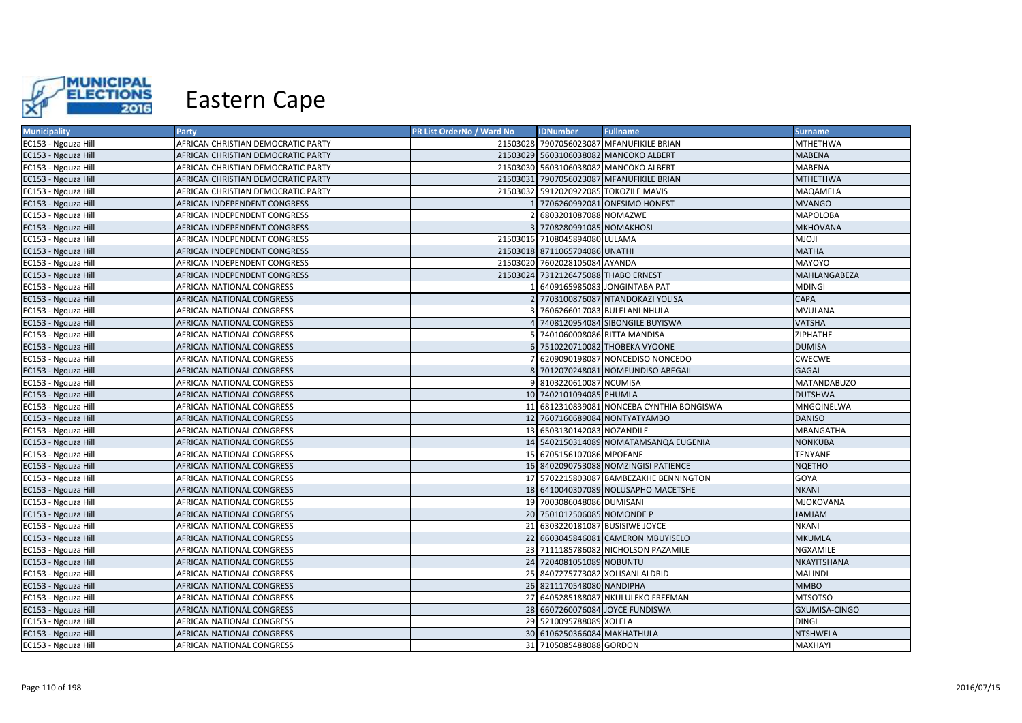

| <b>Municipality</b> | Party                              | PR List OrderNo / Ward No | <b>IDNumber</b>                     | <b>Fullname</b>                           | <b>Surname</b>     |
|---------------------|------------------------------------|---------------------------|-------------------------------------|-------------------------------------------|--------------------|
| EC153 - Ngquza Hill | AFRICAN CHRISTIAN DEMOCRATIC PARTY |                           |                                     | 21503028 7907056023087 MFANUFIKILE BRIAN  | MTHETHWA           |
| EC153 - Ngquza Hill | AFRICAN CHRISTIAN DEMOCRATIC PARTY |                           |                                     | 21503029 5603106038082 MANCOKO ALBERT     | <b>MABENA</b>      |
| EC153 - Ngquza Hill | AFRICAN CHRISTIAN DEMOCRATIC PARTY |                           |                                     | 21503030 5603106038082 MANCOKO ALBERT     | MABENA             |
| EC153 - Ngquza Hill | AFRICAN CHRISTIAN DEMOCRATIC PARTY |                           |                                     | 21503031 7907056023087 MFANUFIKILE BRIAN  | <b>MTHETHWA</b>    |
| EC153 - Ngquza Hill | AFRICAN CHRISTIAN DEMOCRATIC PARTY |                           |                                     | 21503032 5912020922085 TOKOZILE MAVIS     | MAQAMELA           |
| EC153 - Ngquza Hill | AFRICAN INDEPENDENT CONGRESS       |                           |                                     | 7706260992081 ONESIMO HONEST              | <b>MVANGO</b>      |
| EC153 - Ngquza Hill | AFRICAN INDEPENDENT CONGRESS       |                           | 6803201087088 NOMAZWE               |                                           | <b>MAPOLOBA</b>    |
| EC153 - Ngquza Hill | AFRICAN INDEPENDENT CONGRESS       |                           | 7708280991085 NOMAKHOSI             |                                           | <b>MKHOVANA</b>    |
| EC153 - Ngquza Hill | AFRICAN INDEPENDENT CONGRESS       |                           | 21503016 7108045894080 LULAMA       |                                           | ILOLM              |
| EC153 - Ngquza Hill | AFRICAN INDEPENDENT CONGRESS       |                           | 21503018 8711065704086 UNATHI       |                                           | <b>MATHA</b>       |
| EC153 - Ngquza Hill | AFRICAN INDEPENDENT CONGRESS       |                           | 21503020 7602028105084 AYANDA       |                                           | MAYOYO             |
| EC153 - Ngquza Hill | AFRICAN INDEPENDENT CONGRESS       |                           | 21503024 7312126475088 THABO ERNEST |                                           | MAHLANGABEZA       |
| EC153 - Ngquza Hill | AFRICAN NATIONAL CONGRESS          |                           |                                     | 6409165985083 JONGINTABA PAT              | MDINGI             |
| EC153 - Ngquza Hill | AFRICAN NATIONAL CONGRESS          |                           |                                     | 2 7703100876087 NTANDOKAZI YOLISA         | <b>CAPA</b>        |
| EC153 - Ngquza Hill | AFRICAN NATIONAL CONGRESS          |                           |                                     | 7606266017083 BULELANI NHULA              | MVULANA            |
| EC153 - Ngquza Hill | AFRICAN NATIONAL CONGRESS          |                           |                                     | 7408120954084 SIBONGILE BUYISWA           | <b>VATSHA</b>      |
| EC153 - Ngquza Hill | AFRICAN NATIONAL CONGRESS          |                           | 7401060008086 RITTA MANDISA         |                                           | <b>ZIPHATHE</b>    |
| EC153 - Ngquza Hill | AFRICAN NATIONAL CONGRESS          |                           |                                     | 6 7510220710082 THOBEKA VYOONE            | <b>DUMISA</b>      |
| EC153 - Ngquza Hill | AFRICAN NATIONAL CONGRESS          |                           |                                     | 6209090198087 NONCEDISO NONCEDO           | <b>CWECWE</b>      |
| EC153 - Ngquza Hill | AFRICAN NATIONAL CONGRESS          |                           |                                     | 8 7012070248081 NOMFUNDISO ABEGAIL        | <b>GAGAI</b>       |
| EC153 - Ngquza Hill | AFRICAN NATIONAL CONGRESS          |                           | 8103220610087 NCUMISA               |                                           | <b>MATANDABUZO</b> |
| EC153 - Ngquza Hill | AFRICAN NATIONAL CONGRESS          |                           | 10 7402101094085 PHUMLA             |                                           | <b>DUTSHWA</b>     |
| EC153 - Ngquza Hill | AFRICAN NATIONAL CONGRESS          |                           |                                     | 11 6812310839081 NONCEBA CYNTHIA BONGISWA | MNGQINELWA         |
| EC153 - Ngquza Hill | AFRICAN NATIONAL CONGRESS          |                           |                                     | 12 7607160689084 NONTYATYAMBO             | <b>DANISO</b>      |
| EC153 - Ngquza Hill | AFRICAN NATIONAL CONGRESS          |                           | 13 6503130142083 NOZANDILE          |                                           | <b>MBANGATHA</b>   |
| EC153 - Ngquza Hill | AFRICAN NATIONAL CONGRESS          |                           |                                     | 14 5402150314089 NOMATAMSANQA EUGENIA     | <b>NONKUBA</b>     |
| EC153 - Ngquza Hill | AFRICAN NATIONAL CONGRESS          |                           | 15 6705156107086 MPOFANE            |                                           | TENYANE            |
| EC153 - Ngquza Hill | AFRICAN NATIONAL CONGRESS          |                           |                                     | 16 8402090753088 NOMZINGISI PATIENCE      | <b>NQETHO</b>      |
| EC153 - Ngquza Hill | AFRICAN NATIONAL CONGRESS          |                           |                                     | 17 5702215803087 BAMBEZAKHE BENNINGTON    | GOYA               |
| EC153 - Ngquza Hill | AFRICAN NATIONAL CONGRESS          |                           |                                     | 18 6410040307089 NOLUSAPHO MACETSHE       | <b>NKANI</b>       |
| EC153 - Ngquza Hill | AFRICAN NATIONAL CONGRESS          |                           | 19 7003086048086 DUMISANI           |                                           | <b>MJOKOVANA</b>   |
| EC153 - Ngquza Hill | AFRICAN NATIONAL CONGRESS          |                           | 20 7501012506085 NOMONDE P          |                                           | MALMAL             |
| EC153 - Ngquza Hill | AFRICAN NATIONAL CONGRESS          | 21                        |                                     | 6303220181087 BUSISIWE JOYCE              | <b>NKANI</b>       |
| EC153 - Ngquza Hill | AFRICAN NATIONAL CONGRESS          |                           |                                     | 22 6603045846081 CAMERON MBUYISELO        | <b>MKUMLA</b>      |
| EC153 - Ngquza Hill | AFRICAN NATIONAL CONGRESS          |                           |                                     | 23 7111185786082 NICHOLSON PAZAMILE       | NGXAMILE           |
| EC153 - Ngquza Hill | AFRICAN NATIONAL CONGRESS          |                           | 24 7204081051089 NOBUNTU            |                                           | NKAYITSHANA        |
| EC153 - Ngquza Hill | AFRICAN NATIONAL CONGRESS          |                           |                                     | 25 8407275773082 XOLISANI ALDRID          | <b>MALINDI</b>     |
| EC153 - Ngquza Hill | AFRICAN NATIONAL CONGRESS          |                           | 26 8211170548080 NANDIPHA           |                                           | <b>MMBO</b>        |
| EC153 - Ngquza Hill | AFRICAN NATIONAL CONGRESS          |                           |                                     | 27 6405285188087 NKULULEKO FREEMAN        | <b>MTSOTSO</b>     |
| EC153 - Ngquza Hill | AFRICAN NATIONAL CONGRESS          |                           |                                     | 28 6607260076084 JOYCE FUNDISWA           | GXUMISA-CINGO      |
| EC153 - Ngquza Hill | AFRICAN NATIONAL CONGRESS          |                           | 29 5210095788089 XOLELA             |                                           | <b>DINGI</b>       |
| EC153 - Ngquza Hill | AFRICAN NATIONAL CONGRESS          |                           | 30 6106250366084 MAKHATHULA         |                                           | <b>NTSHWELA</b>    |
| EC153 - Ngquza Hill | AFRICAN NATIONAL CONGRESS          |                           | 31 7105085488088 GORDON             |                                           | MAXHAYI            |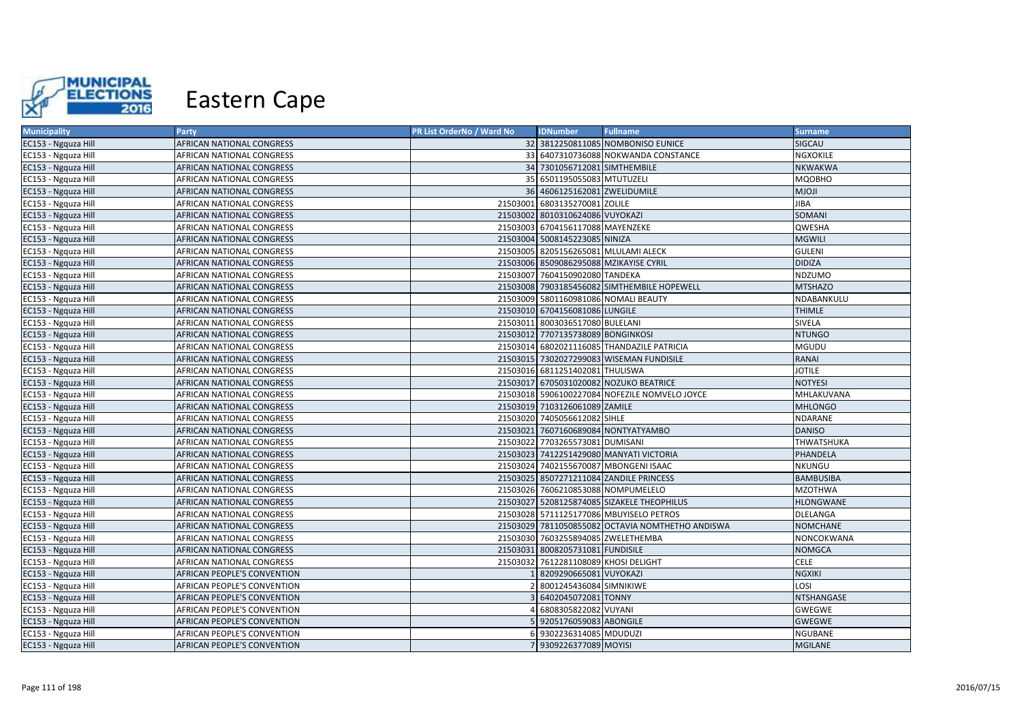

| <b>Municipality</b> | <b>Party</b>                       | PR List OrderNo / Ward No | <b>IDNumber</b>                      | <b>Fullname</b>                                  | <b>Surname</b>   |
|---------------------|------------------------------------|---------------------------|--------------------------------------|--------------------------------------------------|------------------|
| EC153 - Ngquza Hill | AFRICAN NATIONAL CONGRESS          |                           |                                      | 32 3812250811085 NOMBONISO EUNICE                | SIGCAU           |
| EC153 - Ngquza Hill | AFRICAN NATIONAL CONGRESS          |                           |                                      | 33 6407310736088 NOKWANDA CONSTANCE              | NGXOKILE         |
| EC153 - Ngquza Hill | AFRICAN NATIONAL CONGRESS          |                           | 34 7301056712081 SIMTHEMBILE         |                                                  | <b>NKWAKWA</b>   |
| EC153 - Ngquza Hill | AFRICAN NATIONAL CONGRESS          |                           | 35 6501195055083 MTUTUZELI           |                                                  | MQOBHO           |
| EC153 - Ngquza Hill | AFRICAN NATIONAL CONGRESS          |                           | 36 4606125162081 ZWELIDUMILE         |                                                  | <b>MJOJI</b>     |
| EC153 - Ngquza Hill | AFRICAN NATIONAL CONGRESS          |                           | 21503001 6803135270081 ZOLILE        |                                                  | JIBA             |
| EC153 - Ngquza Hill | AFRICAN NATIONAL CONGRESS          |                           | 21503002 8010310624086 VUYOKAZI      |                                                  | SOMANI           |
| EC153 - Ngquza Hill | AFRICAN NATIONAL CONGRESS          | 21503003                  | 6704156117088 MAYENZEKE              |                                                  | QWESHA           |
| EC153 - Ngquza Hill | AFRICAN NATIONAL CONGRESS          |                           | 21503004 5008145223085 NINIZA        |                                                  | <b>MGWILI</b>    |
| EC153 - Ngquza Hill | AFRICAN NATIONAL CONGRESS          |                           | 21503005 8205156265081 MLULAMI ALECK |                                                  | <b>GULENI</b>    |
| EC153 - Ngquza Hill | AFRICAN NATIONAL CONGRESS          |                           |                                      | 21503006 8509086295088 MZIKAYISE CYRIL           | <b>DIDIZA</b>    |
| EC153 - Ngquza Hill | AFRICAN NATIONAL CONGRESS          |                           | 21503007 7604150902080 TANDEKA       |                                                  | NDZUMO           |
| EC153 - Ngquza Hill | AFRICAN NATIONAL CONGRESS          |                           |                                      | 21503008 7903185456082 SIMTHEMBILE HOPEWELL      | <b>MTSHAZO</b>   |
| EC153 - Ngquza Hill | AFRICAN NATIONAL CONGRESS          |                           |                                      | 21503009 5801160981086 NOMALI BEAUTY             | NDABANKULU       |
| EC153 - Ngquza Hill | AFRICAN NATIONAL CONGRESS          |                           | 21503010 6704156081086 LUNGILE       |                                                  | <b>THIMLE</b>    |
| EC153 - Ngquza Hill | AFRICAN NATIONAL CONGRESS          |                           | 21503011 8003036517080 BULELANI      |                                                  | SIVELA           |
| EC153 - Ngquza Hill | AFRICAN NATIONAL CONGRESS          |                           | 21503012 7707135738089 BONGINKOSI    |                                                  | <b>NTUNGO</b>    |
| EC153 - Ngquza Hill | AFRICAN NATIONAL CONGRESS          | 21503014                  |                                      | 6802021116085 THANDAZILE PATRICIA                | <b>MGUDU</b>     |
| EC153 - Ngquza Hill | AFRICAN NATIONAL CONGRESS          |                           |                                      | 21503015 7302027299083 WISEMAN FUNDISILE         | <b>RANAI</b>     |
| EC153 - Ngquza Hill | AFRICAN NATIONAL CONGRESS          |                           | 21503016 6811251402081 THULISWA      |                                                  | <b>JOTILE</b>    |
| EC153 - Ngquza Hill | AFRICAN NATIONAL CONGRESS          |                           |                                      | 21503017 6705031020082 NOZUKO BEATRICE           | <b>NOTYESI</b>   |
| EC153 - Ngquza Hill | AFRICAN NATIONAL CONGRESS          |                           |                                      | 21503018 5906100227084 NOFEZILE NOMVELO JOYCE    | MHLAKUVANA       |
| EC153 - Ngquza Hill | AFRICAN NATIONAL CONGRESS          |                           | 21503019 7103126061089 ZAMILE        |                                                  | <b>MHLONGO</b>   |
| EC153 - Ngquza Hill | AFRICAN NATIONAL CONGRESS          |                           | 21503020 7405056612082 SIHLE         |                                                  | NDARANE          |
| EC153 - Ngquza Hill | AFRICAN NATIONAL CONGRESS          |                           |                                      | 21503021 7607160689084 NONTYATYAMBO              | <b>DANISO</b>    |
| EC153 - Ngquza Hill | AFRICAN NATIONAL CONGRESS          |                           | 21503022 7703265573081 DUMISANI      |                                                  | THWATSHUKA       |
| EC153 - Ngquza Hill | AFRICAN NATIONAL CONGRESS          |                           |                                      | 21503023 7412251429080 MANYATI VICTORIA          | PHANDELA         |
| EC153 - Ngquza Hill | AFRICAN NATIONAL CONGRESS          |                           |                                      | 21503024 7402155670087 MBONGENI ISAAC            | <b>NKUNGU</b>    |
| EC153 - Ngquza Hill | AFRICAN NATIONAL CONGRESS          |                           |                                      | 21503025 8507271211084 ZANDILE PRINCESS          | <b>BAMBUSIBA</b> |
| EC153 - Ngquza Hill | AFRICAN NATIONAL CONGRESS          |                           | 21503026 7606210853088 NOMPUMELELO   |                                                  | <b>MZOTHWA</b>   |
| EC153 - Ngquza Hill | AFRICAN NATIONAL CONGRESS          |                           |                                      | 21503027 5208125874085 SIZAKELE THEOPHILUS       | <b>HLONGWANE</b> |
| EC153 - Ngquza Hill | AFRICAN NATIONAL CONGRESS          |                           |                                      | 21503028 5711125177086 MBUYISELO PETROS          | DLELANGA         |
| EC153 - Ngquza Hill | AFRICAN NATIONAL CONGRESS          |                           |                                      | 21503029 7811050855082 OCTAVIA NOMTHETHO ANDISWA | <b>NOMCHANE</b>  |
| EC153 - Ngquza Hill | AFRICAN NATIONAL CONGRESS          |                           | 21503030 7603255894085 ZWELETHEMBA   |                                                  | NONCOKWANA       |
| EC153 - Ngquza Hill | AFRICAN NATIONAL CONGRESS          |                           | 21503031 8008205731081 FUNDISILE     |                                                  | <b>NOMGCA</b>    |
| EC153 - Ngquza Hill | AFRICAN NATIONAL CONGRESS          | 21503032                  | 7612281108089 KHOSI DELIGHT          |                                                  | <b>CELE</b>      |
| EC153 - Ngquza Hill | AFRICAN PEOPLE'S CONVENTION        |                           | 8209290665081 VUYOKAZI               |                                                  | <b>NGXIKI</b>    |
| EC153 - Ngquza Hill | AFRICAN PEOPLE'S CONVENTION        |                           | 8001245436084 SIMNIKIWE              |                                                  | LOSI             |
| EC153 - Ngquza Hill | AFRICAN PEOPLE'S CONVENTION        |                           | 6402045072081 TONNY                  |                                                  | NTSHANGASE       |
| EC153 - Ngquza Hill | AFRICAN PEOPLE'S CONVENTION        |                           | 6808305822082 VUYANI                 |                                                  | GWEGWE           |
| EC153 - Ngquza Hill | AFRICAN PEOPLE'S CONVENTION        |                           | 9205176059083 ABONGILE               |                                                  | GWEGWE           |
| EC153 - Ngquza Hill | AFRICAN PEOPLE'S CONVENTION        |                           | 9302236314085 MDUDUZI                |                                                  | <b>NGUBANE</b>   |
| EC153 - Ngquza Hill | <b>AFRICAN PEOPLE'S CONVENTION</b> |                           | 7 9309226377089 MOYISI               |                                                  | <b>MGILANE</b>   |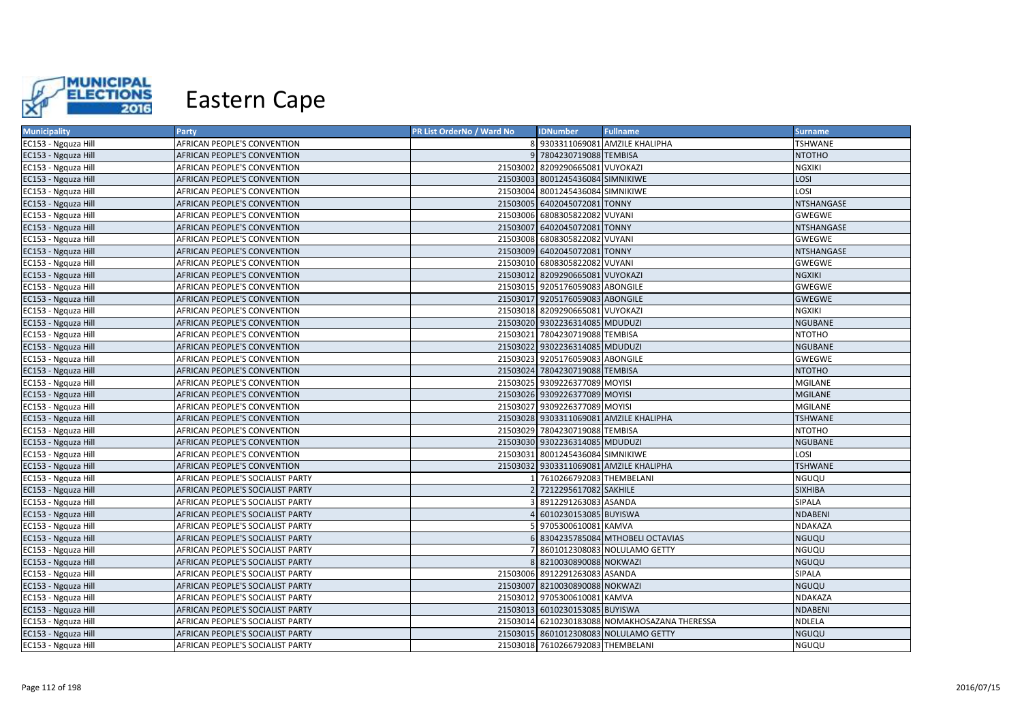

| <b>Municipality</b> | Party                            | PR List OrderNo / Ward No | <b>IDNumber</b>                   | <b>Fullname</b>                               | <b>Surname</b>    |
|---------------------|----------------------------------|---------------------------|-----------------------------------|-----------------------------------------------|-------------------|
| EC153 - Ngquza Hill | AFRICAN PEOPLE'S CONVENTION      |                           |                                   | 8 9303311069081 AMZILE KHALIPHA               | <b>TSHWANE</b>    |
| EC153 - Ngquza Hill | AFRICAN PEOPLE'S CONVENTION      |                           | 9 7804230719088 TEMBISA           |                                               | <b>NTOTHO</b>     |
| EC153 - Ngquza Hill | AFRICAN PEOPLE'S CONVENTION      |                           | 21503002 8209290665081 VUYOKAZI   |                                               | <b>NGXIKI</b>     |
| EC153 - Ngquza Hill | AFRICAN PEOPLE'S CONVENTION      |                           | 21503003 8001245436084 SIMNIKIWE  |                                               | LOSI              |
| EC153 - Ngquza Hill | AFRICAN PEOPLE'S CONVENTION      |                           | 21503004 8001245436084 SIMNIKIWE  |                                               | LOSI              |
| EC153 - Ngquza Hill | AFRICAN PEOPLE'S CONVENTION      |                           | 21503005 6402045072081 TONNY      |                                               | <b>NTSHANGASE</b> |
| EC153 - Ngquza Hill | AFRICAN PEOPLE'S CONVENTION      |                           | 21503006 6808305822082 VUYANI     |                                               | <b>GWEGWE</b>     |
| EC153 - Ngquza Hill | AFRICAN PEOPLE'S CONVENTION      |                           | 21503007 6402045072081 TONNY      |                                               | NTSHANGASE        |
| EC153 - Ngquza Hill | AFRICAN PEOPLE'S CONVENTION      |                           | 21503008 6808305822082 VUYANI     |                                               | GWEGWE            |
| EC153 - Ngquza Hill | AFRICAN PEOPLE'S CONVENTION      |                           | 21503009 6402045072081 TONNY      |                                               | NTSHANGASE        |
| EC153 - Ngquza Hill | AFRICAN PEOPLE'S CONVENTION      |                           | 21503010 6808305822082 VUYANI     |                                               | GWEGWE            |
| EC153 - Ngquza Hill | AFRICAN PEOPLE'S CONVENTION      |                           | 21503012 8209290665081 VUYOKAZI   |                                               | <b>NGXIKI</b>     |
| EC153 - Ngquza Hill | AFRICAN PEOPLE'S CONVENTION      |                           | 21503015 9205176059083 ABONGILE   |                                               | <b>GWEGWE</b>     |
| EC153 - Ngquza Hill | AFRICAN PEOPLE'S CONVENTION      |                           | 21503017 9205176059083 ABONGILE   |                                               | <b>GWEGWE</b>     |
| EC153 - Ngquza Hill | AFRICAN PEOPLE'S CONVENTION      |                           | 21503018 8209290665081 VUYOKAZI   |                                               | <b>NGXIKI</b>     |
| EC153 - Ngquza Hill | AFRICAN PEOPLE'S CONVENTION      |                           | 21503020 9302236314085 MDUDUZI    |                                               | <b>NGUBANE</b>    |
| EC153 - Ngquza Hill | AFRICAN PEOPLE'S CONVENTION      |                           | 21503021 7804230719088 TEMBISA    |                                               | <b>NTOTHO</b>     |
| EC153 - Ngquza Hill | AFRICAN PEOPLE'S CONVENTION      |                           | 21503022 9302236314085 MDUDUZI    |                                               | <b>NGUBANE</b>    |
| EC153 - Ngquza Hill | AFRICAN PEOPLE'S CONVENTION      |                           | 21503023 9205176059083 ABONGILE   |                                               | GWEGWE            |
| EC153 - Ngquza Hill | AFRICAN PEOPLE'S CONVENTION      |                           | 21503024 7804230719088 TEMBISA    |                                               | <b>NTOTHO</b>     |
| EC153 - Ngquza Hill | AFRICAN PEOPLE'S CONVENTION      |                           | 21503025 9309226377089 MOYISI     |                                               | <b>MGILANE</b>    |
| EC153 - Ngquza Hill | AFRICAN PEOPLE'S CONVENTION      |                           | 21503026 9309226377089 MOYISI     |                                               | <b>MGILANE</b>    |
| EC153 - Ngquza Hill | AFRICAN PEOPLE'S CONVENTION      |                           | 21503027 9309226377089 MOYISI     |                                               | <b>MGILANE</b>    |
| EC153 - Ngquza Hill | AFRICAN PEOPLE'S CONVENTION      |                           |                                   | 21503028 9303311069081 AMZILE KHALIPHA        | <b>TSHWANE</b>    |
| EC153 - Ngquza Hill | AFRICAN PEOPLE'S CONVENTION      |                           | 21503029 7804230719088 TEMBISA    |                                               | <b>NTOTHO</b>     |
| EC153 - Ngquza Hill | AFRICAN PEOPLE'S CONVENTION      |                           | 21503030 9302236314085 MDUDUZI    |                                               | <b>NGUBANE</b>    |
| EC153 - Ngquza Hill | AFRICAN PEOPLE'S CONVENTION      |                           | 21503031 8001245436084 SIMNIKIWE  |                                               | LOSI              |
| EC153 - Ngquza Hill | AFRICAN PEOPLE'S CONVENTION      |                           |                                   | 21503032 9303311069081 AMZILE KHALIPHA        | <b>TSHWANE</b>    |
| EC153 - Ngquza Hill | AFRICAN PEOPLE'S SOCIALIST PARTY |                           | 7610266792083 THEMBELANI          |                                               | NGUQU             |
| EC153 - Ngquza Hill | AFRICAN PEOPLE'S SOCIALIST PARTY |                           | 7212295617082 SAKHILE             |                                               | <b>SIXHIBA</b>    |
| EC153 - Ngquza Hill | AFRICAN PEOPLE'S SOCIALIST PARTY |                           | 8912291263083 ASANDA              |                                               | SIPALA            |
| EC153 - Ngquza Hill | AFRICAN PEOPLE'S SOCIALIST PARTY |                           | 6010230153085 BUYISWA             |                                               | <b>NDABENI</b>    |
| EC153 - Ngquza Hill | AFRICAN PEOPLE'S SOCIALIST PARTY |                           | 9705300610081 KAMVA               |                                               | <b>NDAKAZA</b>    |
| EC153 - Ngquza Hill | AFRICAN PEOPLE'S SOCIALIST PARTY |                           |                                   | 6 8304235785084 MTHOBELI OCTAVIAS             | <b>NGUQU</b>      |
| EC153 - Ngquza Hill | AFRICAN PEOPLE'S SOCIALIST PARTY |                           |                                   | 8601012308083 NOLULAMO GETTY                  | NGUQU             |
| EC153 - Ngquza Hill | AFRICAN PEOPLE'S SOCIALIST PARTY |                           | 8 8210030890088 NOKWAZI           |                                               | <b>NGUQU</b>      |
| EC153 - Ngquza Hill | AFRICAN PEOPLE'S SOCIALIST PARTY |                           | 21503006 8912291263083 ASANDA     |                                               | <b>SIPALA</b>     |
| EC153 - Ngquza Hill | AFRICAN PEOPLE'S SOCIALIST PARTY |                           | 21503007 8210030890088 NOKWAZI    |                                               | NGUQU             |
| EC153 - Ngquza Hill | AFRICAN PEOPLE'S SOCIALIST PARTY |                           | 21503012 9705300610081 KAMVA      |                                               | <b>NDAKAZA</b>    |
| EC153 - Ngquza Hill | AFRICAN PEOPLE'S SOCIALIST PARTY |                           | 21503013 6010230153085 BUYISWA    |                                               | <b>NDABENI</b>    |
| EC153 - Ngquza Hill | AFRICAN PEOPLE'S SOCIALIST PARTY |                           |                                   | 21503014 6210230183088 NOMAKHOSAZANA THERESSA | NDLELA            |
| EC153 - Ngquza Hill | AFRICAN PEOPLE'S SOCIALIST PARTY |                           |                                   | 21503015 8601012308083 NOLULAMO GETTY         | NGUQU             |
| EC153 - Ngquza Hill | AFRICAN PEOPLE'S SOCIALIST PARTY |                           | 21503018 7610266792083 THEMBELANI |                                               | NGUQU             |
|                     |                                  |                           |                                   |                                               |                   |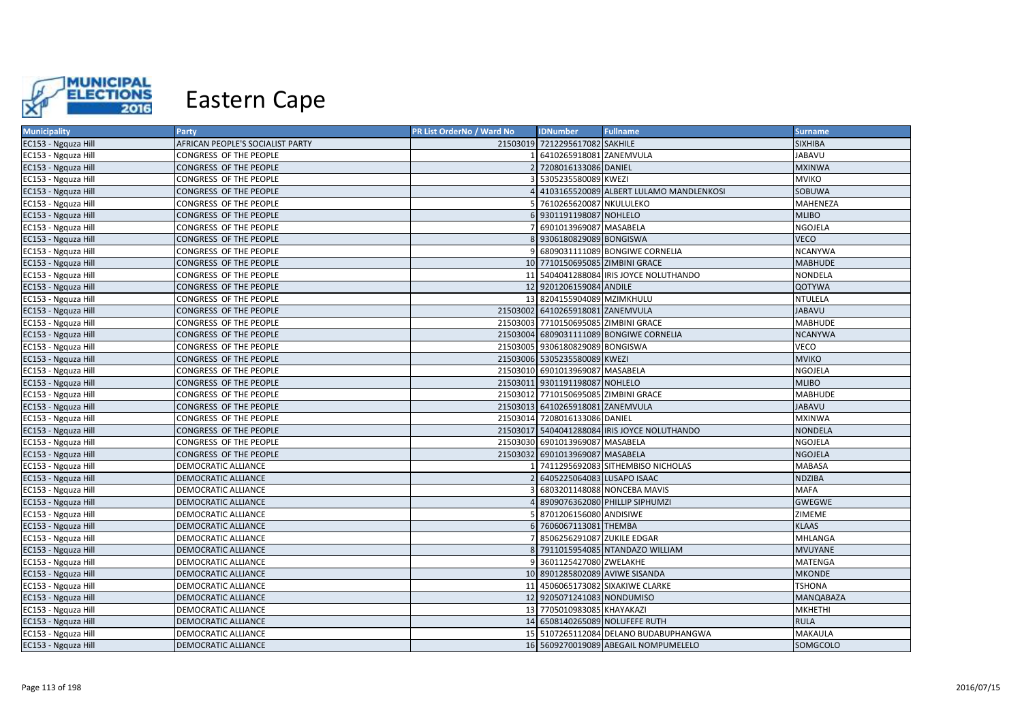

| <b>Municipality</b> | <b>Party</b>                     | PR List OrderNo / Ward No | <b>IDNumber</b>                      | <b>Fullname</b>                              | <b>Surname</b>   |
|---------------------|----------------------------------|---------------------------|--------------------------------------|----------------------------------------------|------------------|
| EC153 - Ngquza Hill | AFRICAN PEOPLE'S SOCIALIST PARTY |                           | 21503019 7212295617082 SAKHILE       |                                              | <b>SIXHIBA</b>   |
| EC153 - Ngquza Hill | CONGRESS OF THE PEOPLE           |                           | 6410265918081 ZANEMVULA              |                                              | <b>JABAVU</b>    |
| EC153 - Ngquza Hill | CONGRESS OF THE PEOPLE           |                           | 2 7208016133086 DANIEL               |                                              | <b>MXINWA</b>    |
| EC153 - Ngquza Hill | CONGRESS OF THE PEOPLE           |                           | 3 5305235580089 KWEZI                |                                              | <b>MVIKO</b>     |
| EC153 - Ngquza Hill | CONGRESS OF THE PEOPLE           |                           |                                      | 4 4103165520089 ALBERT LULAMO MANDLENKOSI    | <b>SOBUWA</b>    |
| EC153 - Ngquza Hill | CONGRESS OF THE PEOPLE           |                           | 5 7610265620087 NKULULEKO            |                                              | MAHENEZA         |
| EC153 - Ngquza Hill | CONGRESS OF THE PEOPLE           |                           | 6 9301191198087 NOHLELO              |                                              | <b>MLIBO</b>     |
| EC153 - Ngquza Hill | CONGRESS OF THE PEOPLE           |                           | 7 6901013969087 MASABELA             |                                              | <b>NGOJELA</b>   |
| EC153 - Ngquza Hill | CONGRESS OF THE PEOPLE           |                           | 8 9306180829089 BONGISWA             |                                              | <b>VECO</b>      |
| EC153 - Ngquza Hill | CONGRESS OF THE PEOPLE           |                           |                                      | 9 6809031111089 BONGIWE CORNELIA             | <b>NCANYWA</b>   |
| EC153 - Ngquza Hill | CONGRESS OF THE PEOPLE           |                           | 10 7710150695085 ZIMBINI GRACE       |                                              | <b>MABHUDE</b>   |
| EC153 - Ngquza Hill | CONGRESS OF THE PEOPLE           |                           |                                      | 11 5404041288084 IRIS JOYCE NOLUTHANDO       | <b>NONDELA</b>   |
| EC153 - Ngquza Hill | CONGRESS OF THE PEOPLE           |                           | 12 9201206159084 ANDILE              |                                              | <b>QOTYWA</b>    |
| EC153 - Ngquza Hill | CONGRESS OF THE PEOPLE           |                           | 13 8204155904089 MZIMKHULU           |                                              | <b>NTULELA</b>   |
| EC153 - Ngquza Hill | CONGRESS OF THE PEOPLE           |                           | 21503002 6410265918081 ZANEMVULA     |                                              | <b>JABAVU</b>    |
| EC153 - Ngquza Hill | CONGRESS OF THE PEOPLE           |                           | 21503003 7710150695085 ZIMBINI GRACE |                                              | <b>MABHUDE</b>   |
| EC153 - Ngquza Hill | CONGRESS OF THE PEOPLE           |                           |                                      | 21503004 6809031111089 BONGIWE CORNELIA      | <b>NCANYWA</b>   |
| EC153 - Ngquza Hill | CONGRESS OF THE PEOPLE           |                           | 21503005 9306180829089 BONGISWA      |                                              | <b>VECO</b>      |
| EC153 - Ngquza Hill | CONGRESS OF THE PEOPLE           |                           | 21503006 5305235580089 KWEZI         |                                              | <b>MVIKO</b>     |
| EC153 - Ngquza Hill | CONGRESS OF THE PEOPLE           |                           | 21503010 6901013969087 MASABELA      |                                              | <b>NGOJELA</b>   |
| EC153 - Ngquza Hill | CONGRESS OF THE PEOPLE           |                           | 21503011 9301191198087 NOHLELO       |                                              | <b>MLIBO</b>     |
| EC153 - Ngquza Hill | CONGRESS OF THE PEOPLE           |                           | 21503012 7710150695085 ZIMBINI GRACE |                                              | <b>MABHUDE</b>   |
| EC153 - Ngquza Hill | CONGRESS OF THE PEOPLE           |                           | 21503013 6410265918081 ZANEMVULA     |                                              | <b>JABAVU</b>    |
| EC153 - Ngquza Hill | CONGRESS OF THE PEOPLE           |                           | 21503014 7208016133086 DANIEL        |                                              | <b>MXINWA</b>    |
| EC153 - Ngquza Hill | CONGRESS OF THE PEOPLE           |                           |                                      | 21503017 5404041288084 IRIS JOYCE NOLUTHANDO | <b>NONDELA</b>   |
| EC153 - Ngquza Hill | CONGRESS OF THE PEOPLE           |                           | 21503030 6901013969087 MASABELA      |                                              | <b>NGOJELA</b>   |
| EC153 - Ngquza Hill | CONGRESS OF THE PEOPLE           |                           | 21503032 6901013969087 MASABELA      |                                              | <b>NGOJELA</b>   |
| EC153 - Ngquza Hill | DEMOCRATIC ALLIANCE              |                           |                                      | 7411295692083 SITHEMBISO NICHOLAS            | <b>MABASA</b>    |
| EC153 - Ngquza Hill | DEMOCRATIC ALLIANCE              |                           | 6405225064083 LUSAPO ISAAC           |                                              | <b>NDZIBA</b>    |
| EC153 - Ngquza Hill | DEMOCRATIC ALLIANCE              |                           |                                      | 6803201148088 NONCEBA MAVIS                  | <b>MAFA</b>      |
| EC153 - Ngquza Hill | DEMOCRATIC ALLIANCE              |                           |                                      | 8909076362080 PHILLIP SIPHUMZI               | <b>GWEGWE</b>    |
| EC153 - Ngquza Hill | DEMOCRATIC ALLIANCE              |                           | 8701206156080 ANDISIWE               |                                              | ZIMEME           |
| EC153 - Ngquza Hill | <b>DEMOCRATIC ALLIANCE</b>       |                           | 6 7606067113081 THEMBA               |                                              | <b>KLAAS</b>     |
| EC153 - Ngquza Hill | DEMOCRATIC ALLIANCE              |                           | 7 8506256291087 ZUKILE EDGAR         |                                              | <b>MHLANGA</b>   |
| EC153 - Ngquza Hill | DEMOCRATIC ALLIANCE              |                           |                                      | 8 7911015954085 NTANDAZO WILLIAM             | <b>MVUYANE</b>   |
| EC153 - Ngquza Hill | DEMOCRATIC ALLIANCE              |                           | 9 3601125427080 ZWELAKHE             |                                              | <b>MATENGA</b>   |
| EC153 - Ngquza Hill | DEMOCRATIC ALLIANCE              |                           | 10 8901285802089 AVIWE SISANDA       |                                              | <b>MKONDE</b>    |
| EC153 - Ngquza Hill | DEMOCRATIC ALLIANCE              |                           |                                      | 11 4506065173082 SIXAKIWE CLARKE             | <b>TSHONA</b>    |
| EC153 - Ngquza Hill | DEMOCRATIC ALLIANCE              |                           | 12 9205071241083 NONDUMISO           |                                              | <b>MANQABAZA</b> |
| EC153 - Ngquza Hill | DEMOCRATIC ALLIANCE              |                           | 13 7705010983085 KHAYAKAZI           |                                              | <b>MKHETHI</b>   |
| EC153 - Ngquza Hill | DEMOCRATIC ALLIANCE              |                           |                                      | 14 6508140265089 NOLUFEFE RUTH               | <b>RULA</b>      |
| EC153 - Ngquza Hill | DEMOCRATIC ALLIANCE              |                           |                                      | 15 5107265112084 DELANO BUDABUPHANGWA        | <b>MAKAULA</b>   |
| EC153 - Ngquza Hill | DEMOCRATIC ALLIANCE              |                           |                                      | 16 5609270019089 ABEGAIL NOMPUMELELO         | SOMGCOLO         |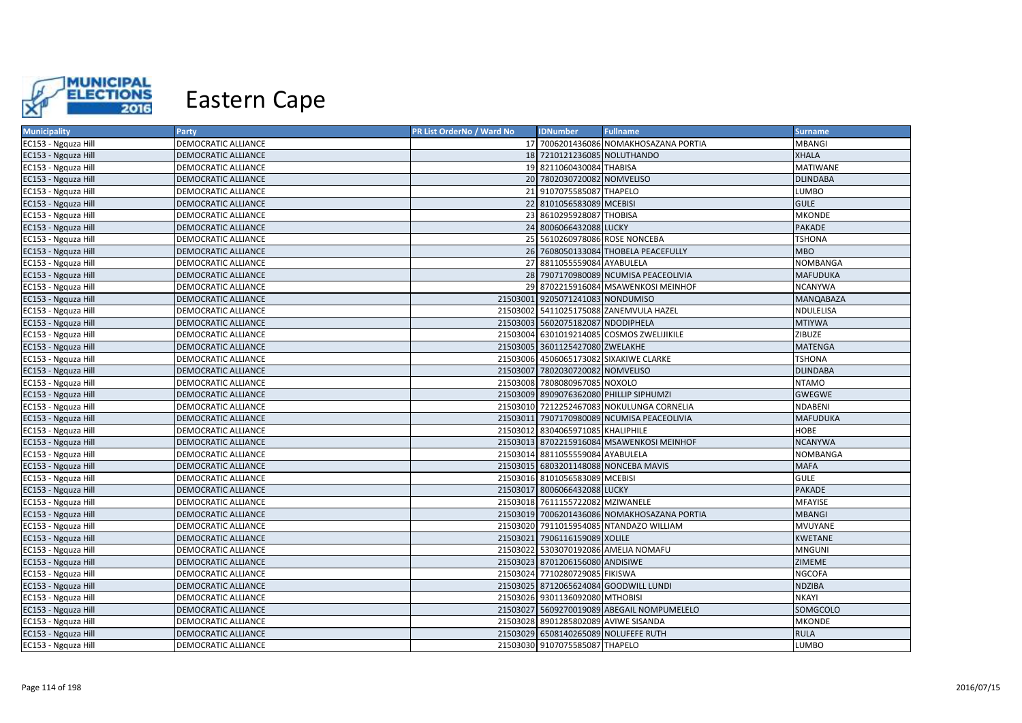

| <b>Municipality</b> | Party                      | PR List OrderNo / Ward No | <b>IDNumber</b>                      | <b>Fullname</b>                             | <b>Surname</b>   |
|---------------------|----------------------------|---------------------------|--------------------------------------|---------------------------------------------|------------------|
| EC153 - Ngquza Hill | DEMOCRATIC ALLIANCE        |                           |                                      | 17 7006201436086 NOMAKHOSAZANA PORTIA       | <b>MBANGI</b>    |
| EC153 - Ngquza Hill | DEMOCRATIC ALLIANCE        |                           | 18 7210121236085 NOLUTHANDO          |                                             | <b>XHALA</b>     |
| EC153 - Ngquza Hill | DEMOCRATIC ALLIANCE        |                           | 19 8211060430084 THABISA             |                                             | <b>MATIWANE</b>  |
| EC153 - Ngquza Hill | DEMOCRATIC ALLIANCE        |                           | 20 7802030720082 NOMVELISO           |                                             | <b>DLINDABA</b>  |
| EC153 - Ngquza Hill | DEMOCRATIC ALLIANCE        |                           | 21 9107075585087 THAPELO             |                                             | LUMBO            |
| EC153 - Ngquza Hill | DEMOCRATIC ALLIANCE        |                           | 22 8101056583089 MCEBISI             |                                             | <b>GULE</b>      |
| EC153 - Ngquza Hill | DEMOCRATIC ALLIANCE        |                           | 23 8610295928087 THOBISA             |                                             | <b>MKONDE</b>    |
| EC153 - Ngquza Hill | <b>DEMOCRATIC ALLIANCE</b> |                           | 24 8006066432088 LUCKY               |                                             | <b>PAKADE</b>    |
| EC153 - Ngquza Hill | DEMOCRATIC ALLIANCE        |                           | 25 5610260978086 ROSE NONCEBA        |                                             | TSHONA           |
| EC153 - Ngquza Hill | DEMOCRATIC ALLIANCE        |                           |                                      | 26 7608050133084 THOBELA PEACEFULLY         | <b>MBO</b>       |
| EC153 - Ngquza Hill | DEMOCRATIC ALLIANCE        |                           | 27 8811055559084 AYABULELA           |                                             | NOMBANGA         |
| EC153 - Ngquza Hill | DEMOCRATIC ALLIANCE        |                           |                                      | 28 7907170980089 NCUMISA PEACEOLIVIA        | <b>MAFUDUKA</b>  |
| EC153 - Ngquza Hill | DEMOCRATIC ALLIANCE        |                           |                                      | 29 8702215916084 MSAWENKOSI MEINHOF         | <b>NCANYWA</b>   |
| EC153 - Ngquza Hill | <b>DEMOCRATIC ALLIANCE</b> |                           | 21503001 9205071241083 NONDUMISO     |                                             | <b>MANQABAZA</b> |
| EC153 - Ngquza Hill | DEMOCRATIC ALLIANCE        |                           |                                      | 21503002 5411025175088 ZANEMVULA HAZEL      | NDULELISA        |
| EC153 - Ngquza Hill | DEMOCRATIC ALLIANCE        |                           | 21503003 5602075182087 NDODIPHELA    |                                             | <b>MTIYWA</b>    |
| EC153 - Ngquza Hill | DEMOCRATIC ALLIANCE        |                           |                                      | 21503004 6301019214085 COSMOS ZWELIJIKILE   | ZIBUZE           |
| EC153 - Ngquza Hill | DEMOCRATIC ALLIANCE        |                           | 21503005 3601125427080 ZWELAKHE      |                                             | <b>MATENGA</b>   |
| EC153 - Ngquza Hill | DEMOCRATIC ALLIANCE        |                           |                                      | 21503006 4506065173082 SIXAKIWE CLARKE      | <b>TSHONA</b>    |
| EC153 - Ngquza Hill | <b>DEMOCRATIC ALLIANCE</b> |                           | 21503007 7802030720082 NOMVELISO     |                                             | <b>DLINDABA</b>  |
| EC153 - Ngquza Hill | DEMOCRATIC ALLIANCE        |                           | 21503008 7808080967085 NOXOLO        |                                             | <b>NTAMO</b>     |
| EC153 - Ngquza Hill | DEMOCRATIC ALLIANCE        |                           |                                      | 21503009 8909076362080 PHILLIP SIPHUMZI     | <b>GWEGWE</b>    |
| EC153 - Ngquza Hill | DEMOCRATIC ALLIANCE        |                           |                                      | 21503010 7212252467083 NOKULUNGA CORNELIA   | <b>NDABENI</b>   |
| EC153 - Ngquza Hill | DEMOCRATIC ALLIANCE        |                           |                                      | 21503011 7907170980089 NCUMISA PEACEOLIVIA  | <b>MAFUDUKA</b>  |
| EC153 - Ngquza Hill | DEMOCRATIC ALLIANCE        |                           | 21503012 8304065971085 KHALIPHILE    |                                             | <b>HOBE</b>      |
| EC153 - Ngquza Hill | <b>DEMOCRATIC ALLIANCE</b> |                           |                                      | 21503013 8702215916084 MSAWENKOSI MEINHOF   | <b>NCANYWA</b>   |
| EC153 - Ngquza Hill | DEMOCRATIC ALLIANCE        |                           | 21503014 8811055559084 AYABULELA     |                                             | NOMBANGA         |
| EC153 - Ngquza Hill | <b>DEMOCRATIC ALLIANCE</b> |                           |                                      | 21503015 6803201148088 NONCEBA MAVIS        | <b>MAFA</b>      |
| EC153 - Ngquza Hill | DEMOCRATIC ALLIANCE        |                           | 21503016 8101056583089 MCEBISI       |                                             | <b>GULE</b>      |
| EC153 - Ngquza Hill | <b>DEMOCRATIC ALLIANCE</b> |                           | 21503017 8006066432088 LUCKY         |                                             | <b>PAKADE</b>    |
| EC153 - Ngquza Hill | DEMOCRATIC ALLIANCE        |                           | 21503018 7611155722082 MZIWANELE     |                                             | MFAYISE          |
| EC153 - Ngquza Hill | <b>DEMOCRATIC ALLIANCE</b> |                           |                                      | 21503019 7006201436086 NOMAKHOSAZANA PORTIA | <b>MBANGI</b>    |
| EC153 - Ngquza Hill | DEMOCRATIC ALLIANCE        |                           |                                      | 21503020 7911015954085 NTANDAZO WILLIAM     | MVUYANE          |
| EC153 - Ngquza Hill | DEMOCRATIC ALLIANCE        |                           | 21503021 7906116159089 XOLILE        |                                             | <b>KWETANE</b>   |
| EC153 - Ngquza Hill | DEMOCRATIC ALLIANCE        |                           |                                      | 21503022 5303070192086 AMELIA NOMAFU        | <b>MNGUNI</b>    |
| EC153 - Ngquza Hill | DEMOCRATIC ALLIANCE        |                           | 21503023 8701206156080 ANDISIWE      |                                             | ZIMEME           |
| EC153 - Ngquza Hill | DEMOCRATIC ALLIANCE        |                           | 21503024 7710280729085 FIKISWA       |                                             | <b>NGCOFA</b>    |
| EC153 - Ngquza Hill | DEMOCRATIC ALLIANCE        |                           |                                      | 21503025 8712065624084 GOODWILL LUNDI       | <b>NDZIBA</b>    |
| EC153 - Ngquza Hill | DEMOCRATIC ALLIANCE        |                           | 21503026 9301136092080 MTHOBISI      |                                             | <b>NKAYI</b>     |
| EC153 - Ngquza Hill | <b>DEMOCRATIC ALLIANCE</b> |                           |                                      | 21503027 5609270019089 ABEGAIL NOMPUMELELO  | SOMGCOLO         |
| EC153 - Ngquza Hill | DEMOCRATIC ALLIANCE        |                           | 21503028 8901285802089 AVIWE SISANDA |                                             | MKONDE           |
| EC153 - Ngquza Hill | DEMOCRATIC ALLIANCE        |                           | 21503029 6508140265089 NOLUFEFE RUTH |                                             | <b>RULA</b>      |
| EC153 - Ngquza Hill | DEMOCRATIC ALLIANCE        |                           | 21503030 9107075585087 THAPELO       |                                             | LUMBO            |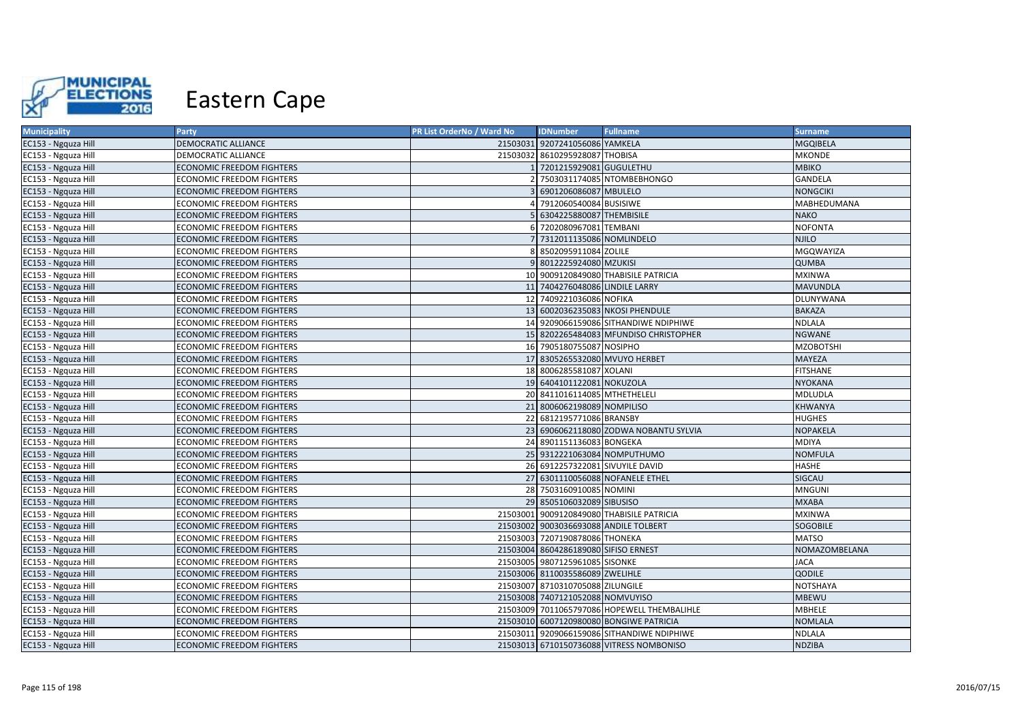

| <b>Municipality</b> | <b>Party</b>                     | PR List OrderNo / Ward No | <b>IDNumber</b>                      | <b>Fullname</b>                             | <b>Surname</b>   |
|---------------------|----------------------------------|---------------------------|--------------------------------------|---------------------------------------------|------------------|
| EC153 - Ngquza Hill | DEMOCRATIC ALLIANCE              |                           | 21503031 9207241056086 YAMKELA       |                                             | <b>MGQIBELA</b>  |
| EC153 - Ngquza Hill | DEMOCRATIC ALLIANCE              |                           | 21503032 8610295928087 THOBISA       |                                             | <b>MKONDE</b>    |
| EC153 - Ngquza Hill | <b>ECONOMIC FREEDOM FIGHTERS</b> |                           | 7201215929081 GUGULETHU              |                                             | <b>MBIKO</b>     |
| EC153 - Ngquza Hill | ECONOMIC FREEDOM FIGHTERS        |                           |                                      | 7503031174085 NTOMBEBHONGO                  | <b>GANDELA</b>   |
| EC153 - Ngquza Hill | ECONOMIC FREEDOM FIGHTERS        |                           | 6901206086087 MBULELO                |                                             | <b>NONGCIKI</b>  |
| EC153 - Ngquza Hill | <b>ECONOMIC FREEDOM FIGHTERS</b> |                           | 7912060540084 BUSISIWE               |                                             | MABHEDUMANA      |
| EC153 - Ngquza Hill | <b>ECONOMIC FREEDOM FIGHTERS</b> |                           | 6304225880087 THEMBISILE             |                                             | <b>NAKO</b>      |
| EC153 - Ngquza Hill | <b>ECONOMIC FREEDOM FIGHTERS</b> |                           | 7202080967081 TEMBANI                |                                             | <b>NOFONTA</b>   |
| EC153 - Ngquza Hill | <b>ECONOMIC FREEDOM FIGHTERS</b> |                           | 7312011135086 NOMLINDELO             |                                             | <b>NJILO</b>     |
| EC153 - Ngquza Hill | <b>ECONOMIC FREEDOM FIGHTERS</b> |                           | 8502095911084 ZOLILE                 |                                             | MGQWAYIZA        |
| EC153 - Ngquza Hill | <b>ECONOMIC FREEDOM FIGHTERS</b> |                           | 8012225924080 MZUKISI                |                                             | <b>QUMBA</b>     |
| EC153 - Ngquza Hill | <b>ECONOMIC FREEDOM FIGHTERS</b> |                           |                                      | 10 9009120849080 THABISILE PATRICIA         | <b>MXINWA</b>    |
| EC153 - Ngquza Hill | <b>ECONOMIC FREEDOM FIGHTERS</b> |                           | 11 7404276048086 LINDILE LARRY       |                                             | <b>MAVUNDLA</b>  |
| EC153 - Ngquza Hill | <b>ECONOMIC FREEDOM FIGHTERS</b> |                           | 12 7409221036086 NOFIKA              |                                             | DLUNYWANA        |
| EC153 - Ngquza Hill | <b>ECONOMIC FREEDOM FIGHTERS</b> |                           |                                      | 13 6002036235083 NKOSI PHENDULE             | <b>BAKAZA</b>    |
| EC153 - Ngquza Hill | ECONOMIC FREEDOM FIGHTERS        |                           |                                      | 14 9209066159086 SITHANDIWE NDIPHIWE        | NDLALA           |
| EC153 - Ngquza Hill | <b>ECONOMIC FREEDOM FIGHTERS</b> |                           |                                      | 15 8202265484083 MFUNDISO CHRISTOPHER       | <b>NGWANE</b>    |
| EC153 - Ngquza Hill | <b>ECONOMIC FREEDOM FIGHTERS</b> |                           | 16 7905180755087 NOSIPHO             |                                             | <b>MZOBOTSHI</b> |
| EC153 - Ngquza Hill | ECONOMIC FREEDOM FIGHTERS        |                           | 17 8305265532080 MVUYO HERBET        |                                             | MAYEZA           |
| EC153 - Ngquza Hill | <b>ECONOMIC FREEDOM FIGHTERS</b> |                           | 18 8006285581087 XOLANI              |                                             | <b>FITSHANE</b>  |
| EC153 - Ngquza Hill | <b>ECONOMIC FREEDOM FIGHTERS</b> |                           | 19 6404101122081 NOKUZOLA            |                                             | <b>NYOKANA</b>   |
| EC153 - Ngquza Hill | <b>ECONOMIC FREEDOM FIGHTERS</b> |                           | 20 8411016114085 MTHETHELELI         |                                             | MDLUDLA          |
| EC153 - Ngquza Hill | ECONOMIC FREEDOM FIGHTERS        | 21                        | 8006062198089 NOMPILISO              |                                             | KHWANYA          |
| EC153 - Ngquza Hill | <b>ECONOMIC FREEDOM FIGHTERS</b> |                           | 22 6812195771086 BRANSBY             |                                             | <b>HUGHES</b>    |
| EC153 - Ngquza Hill | <b>ECONOMIC FREEDOM FIGHTERS</b> |                           |                                      | 23 6906062118080 ZODWA NOBANTU SYLVIA       | <b>NOPAKELA</b>  |
| EC153 - Ngquza Hill | ECONOMIC FREEDOM FIGHTERS        |                           | 24 8901151136083 BONGEKA             |                                             | <b>MDIYA</b>     |
| EC153 - Ngquza Hill | <b>ECONOMIC FREEDOM FIGHTERS</b> |                           | 25 9312221063084 NOMPUTHUMO          |                                             | <b>NOMFULA</b>   |
| EC153 - Ngquza Hill | ECONOMIC FREEDOM FIGHTERS        |                           | 26 6912257322081 SIVUYILE DAVID      |                                             | HASHE            |
| EC153 - Ngquza Hill | ECONOMIC FREEDOM FIGHTERS        |                           |                                      | 27 6301110056088 NOFANELE ETHEL             | SIGCAU           |
| EC153 - Ngquza Hill | ECONOMIC FREEDOM FIGHTERS        |                           | 28 7503160910085 NOMINI              |                                             | <b>MNGUNI</b>    |
| EC153 - Ngquza Hill | ECONOMIC FREEDOM FIGHTERS        |                           | 29 8505106032089 SIBUSISO            |                                             | <b>MXABA</b>     |
| EC153 - Ngquza Hill | ECONOMIC FREEDOM FIGHTERS        |                           |                                      | 21503001 9009120849080 THABISILE PATRICIA   | <b>MXINWA</b>    |
| EC153 - Ngquza Hill | ECONOMIC FREEDOM FIGHTERS        |                           |                                      | 21503002 9003036693088 ANDILE TOLBERT       | <b>SOGOBILE</b>  |
| EC153 - Ngquza Hill | ECONOMIC FREEDOM FIGHTERS        |                           | 21503003 7207190878086 THONEKA       |                                             | <b>MATSO</b>     |
| EC153 - Ngquza Hill | <b>ECONOMIC FREEDOM FIGHTERS</b> |                           | 21503004 8604286189080 SIFISO ERNEST |                                             | NOMAZOMBELANA    |
| EC153 - Ngquza Hill | ECONOMIC FREEDOM FIGHTERS        |                           | 21503005 9807125961085 SISONKE       |                                             | <b>JACA</b>      |
| EC153 - Ngquza Hill | ECONOMIC FREEDOM FIGHTERS        |                           | 21503006 8110035586089 ZWELIHLE      |                                             | QODILE           |
| EC153 - Ngquza Hill | ECONOMIC FREEDOM FIGHTERS        |                           | 21503007 8710310705088 ZILUNGILE     |                                             | <b>NOTSHAYA</b>  |
| EC153 - Ngquza Hill | ECONOMIC FREEDOM FIGHTERS        |                           | 21503008 7407121052088 NOMVUYISO     |                                             | <b>MBEWU</b>     |
| EC153 - Ngquza Hill | ECONOMIC FREEDOM FIGHTERS        |                           |                                      | 21503009 7011065797086 HOPEWELL THEMBALIHLE | <b>MBHELE</b>    |
| EC153 - Ngquza Hill | ECONOMIC FREEDOM FIGHTERS        |                           |                                      | 21503010 6007120980080 BONGIWE PATRICIA     | <b>NOMLALA</b>   |
| EC153 - Ngquza Hill | ECONOMIC FREEDOM FIGHTERS        |                           |                                      | 21503011 9209066159086 SITHANDIWE NDIPHIWE  | NDLALA           |
| EC153 - Ngquza Hill | <b>ECONOMIC FREEDOM FIGHTERS</b> |                           |                                      | 21503013 6710150736088 VITRESS NOMBONISO    | <b>NDZIBA</b>    |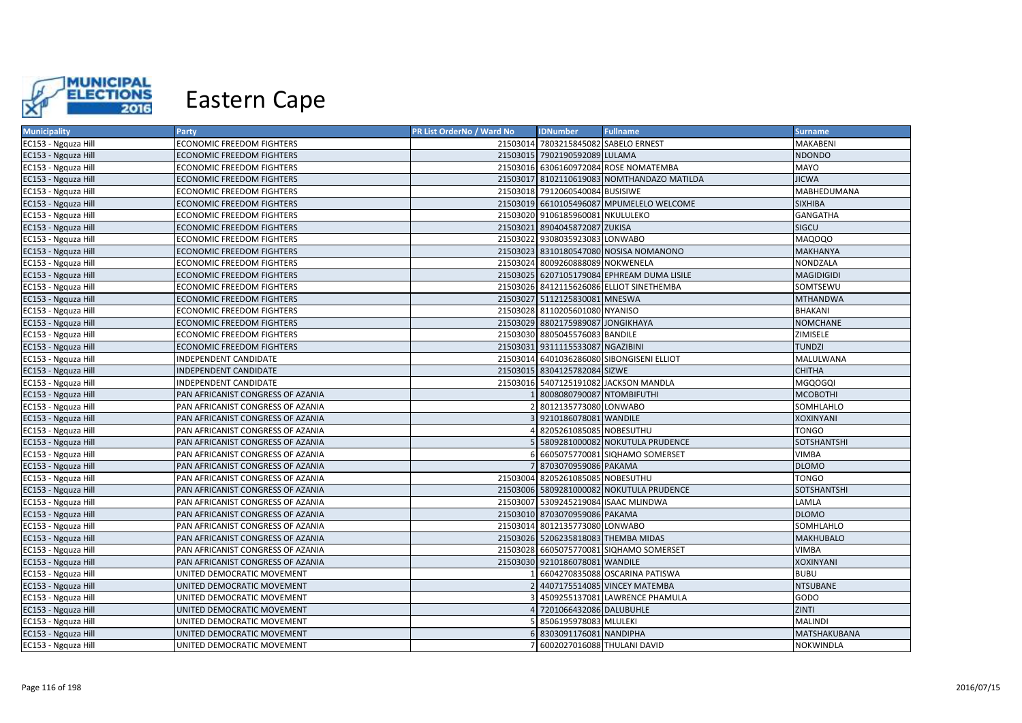

| <b>Municipality</b> | Party                             | PR List OrderNo / Ward No | <b>IDNumber</b>                      | <b>Fullname</b>                            | <b>Surname</b>    |
|---------------------|-----------------------------------|---------------------------|--------------------------------------|--------------------------------------------|-------------------|
| EC153 - Ngquza Hill | <b>ECONOMIC FREEDOM FIGHTERS</b>  |                           | 21503014 7803215845082 SABELO ERNEST |                                            | MAKABENI          |
| EC153 - Ngquza Hill | <b>ECONOMIC FREEDOM FIGHTERS</b>  |                           | 21503015 7902190592089 LULAMA        |                                            | <b>NDONDO</b>     |
| EC153 - Ngquza Hill | <b>ECONOMIC FREEDOM FIGHTERS</b>  |                           |                                      | 21503016 6306160972084 ROSE NOMATEMBA      | MAYO              |
| EC153 - Ngquza Hill | ECONOMIC FREEDOM FIGHTERS         |                           |                                      | 21503017 8102110619083 NOMTHANDAZO MATILDA | <b>JICWA</b>      |
| EC153 - Ngquza Hill | <b>ECONOMIC FREEDOM FIGHTERS</b>  |                           | 21503018 7912060540084 BUSISIWE      |                                            | MABHEDUMANA       |
| EC153 - Ngquza Hill | <b>ECONOMIC FREEDOM FIGHTERS</b>  |                           |                                      | 21503019 6610105496087 MPUMELELO WELCOME   | <b>SIXHIBA</b>    |
| EC153 - Ngquza Hill | <b>ECONOMIC FREEDOM FIGHTERS</b>  |                           | 21503020 9106185960081 NKULULEKO     |                                            | <b>GANGATHA</b>   |
| EC153 - Ngquza Hill | <b>ECONOMIC FREEDOM FIGHTERS</b>  |                           | 21503021 8904045872087 ZUKISA        |                                            | SIGCU             |
| EC153 - Ngquza Hill | <b>ECONOMIC FREEDOM FIGHTERS</b>  |                           | 21503022 9308035923083 LONWABO       |                                            | MAQOQO            |
| EC153 - Ngquza Hill | <b>ECONOMIC FREEDOM FIGHTERS</b>  |                           |                                      | 21503023 8310180547080 NOSISA NOMANONO     | <b>MAKHANYA</b>   |
| EC153 - Ngquza Hill | <b>ECONOMIC FREEDOM FIGHTERS</b>  |                           | 21503024 8009260888089 NOKWENELA     |                                            | NONDZALA          |
| EC153 - Ngquza Hill | <b>ECONOMIC FREEDOM FIGHTERS</b>  |                           |                                      | 21503025 6207105179084 EPHREAM DUMA LISILE | <b>MAGIDIGIDI</b> |
| EC153 - Ngquza Hill | <b>ECONOMIC FREEDOM FIGHTERS</b>  |                           |                                      | 21503026 8412115626086 ELLIOT SINETHEMBA   | SOMTSEWU          |
| EC153 - Ngquza Hill | <b>ECONOMIC FREEDOM FIGHTERS</b>  |                           | 21503027 5112125830081 MNESWA        |                                            | <b>MTHANDWA</b>   |
| EC153 - Ngquza Hill | <b>ECONOMIC FREEDOM FIGHTERS</b>  |                           | 21503028 8110205601080 NYANISO       |                                            | <b>BHAKANI</b>    |
| EC153 - Ngquza Hill | <b>ECONOMIC FREEDOM FIGHTERS</b>  |                           | 21503029 8802175989087 JONGIKHAYA    |                                            | <b>NOMCHANE</b>   |
| EC153 - Ngquza Hill | <b>ECONOMIC FREEDOM FIGHTERS</b>  |                           | 21503030 8805045576083 BANDILE       |                                            | ZIMISELE          |
| EC153 - Ngquza Hill | <b>ECONOMIC FREEDOM FIGHTERS</b>  |                           | 21503031 9311115533087 NGAZIBINI     |                                            | <b>TUNDZI</b>     |
| EC153 - Ngquza Hill | INDEPENDENT CANDIDATE             |                           |                                      | 21503014 6401036286080 SIBONGISENI ELLIOT  | MALULWANA         |
| EC153 - Ngquza Hill | <b>INDEPENDENT CANDIDATE</b>      |                           | 21503015 8304125782084 SIZWE         |                                            | <b>CHITHA</b>     |
| EC153 - Ngquza Hill | INDEPENDENT CANDIDATE             |                           |                                      | 21503016 5407125191082 JACKSON MANDLA      | <b>MGQOGQI</b>    |
| EC153 - Ngquza Hill | PAN AFRICANIST CONGRESS OF AZANIA |                           | 8008080790087 NTOMBIFUTHI            |                                            | <b>MCOBOTHI</b>   |
| EC153 - Ngquza Hill | PAN AFRICANIST CONGRESS OF AZANIA |                           | 2 8012135773080 LONWABO              |                                            | SOMHLAHLO         |
| EC153 - Ngquza Hill | PAN AFRICANIST CONGRESS OF AZANIA |                           | 3 9210186078081 WANDILE              |                                            | <b>XOXINYANI</b>  |
| EC153 - Ngquza Hill | PAN AFRICANIST CONGRESS OF AZANIA |                           | 8205261085085 NOBESUTHU              |                                            | <b>TONGO</b>      |
| EC153 - Ngquza Hill | PAN AFRICANIST CONGRESS OF AZANIA |                           |                                      | 5809281000082 NOKUTULA PRUDENCE            | SOTSHANTSHI       |
| EC153 - Ngquza Hill | PAN AFRICANIST CONGRESS OF AZANIA |                           |                                      | 6 6605075770081 SIQHAMO SOMERSET           | <b>VIMBA</b>      |
| EC153 - Ngquza Hill | PAN AFRICANIST CONGRESS OF AZANIA |                           | 8703070959086 PAKAMA                 |                                            | <b>DLOMO</b>      |
| EC153 - Ngquza Hill | PAN AFRICANIST CONGRESS OF AZANIA |                           | 21503004 8205261085085 NOBESUTHU     |                                            | <b>TONGO</b>      |
| EC153 - Ngquza Hill | PAN AFRICANIST CONGRESS OF AZANIA |                           |                                      | 21503006 5809281000082 NOKUTULA PRUDENCE   | SOTSHANTSHI       |
| EC153 - Ngquza Hill | PAN AFRICANIST CONGRESS OF AZANIA |                           | 21503007 5309245219084 ISAAC MLINDWA |                                            | LAMLA             |
| EC153 - Ngquza Hill | PAN AFRICANIST CONGRESS OF AZANIA |                           | 21503010 8703070959086 PAKAMA        |                                            | <b>DLOMO</b>      |
| EC153 - Ngquza Hill | PAN AFRICANIST CONGRESS OF AZANIA |                           | 21503014 8012135773080 LONWABO       |                                            | SOMHLAHLO         |
| EC153 - Ngquza Hill | PAN AFRICANIST CONGRESS OF AZANIA |                           | 21503026 5206235818083 THEMBA MIDAS  |                                            | <b>MAKHUBALO</b>  |
| EC153 - Ngquza Hill | PAN AFRICANIST CONGRESS OF AZANIA |                           |                                      | 21503028 6605075770081 SIQHAMO SOMERSET    | VIMBA             |
| EC153 - Ngquza Hill | PAN AFRICANIST CONGRESS OF AZANIA |                           | 21503030 9210186078081 WANDILE       |                                            | <b>XOXINYANI</b>  |
| EC153 - Ngquza Hill | UNITED DEMOCRATIC MOVEMENT        |                           |                                      | 6604270835088 OSCARINA PATISWA             | <b>BUBU</b>       |
| EC153 - Ngquza Hill | UNITED DEMOCRATIC MOVEMENT        |                           |                                      | 2 4407175514085 VINCEY MATEMBA             | <b>NTSUBANE</b>   |
| EC153 - Ngquza Hill | UNITED DEMOCRATIC MOVEMENT        |                           |                                      | 4509255137081 LAWRENCE PHAMULA             | GODO              |
| EC153 - Ngquza Hill | UNITED DEMOCRATIC MOVEMENT        |                           | 7201066432086 DALUBUHLE              |                                            | ZINTI             |
| EC153 - Ngquza Hill | UNITED DEMOCRATIC MOVEMENT        |                           | 5 8506195978083 MLULEKI              |                                            | <b>MALINDI</b>    |
| EC153 - Ngquza Hill | UNITED DEMOCRATIC MOVEMENT        |                           | 6 8303091176081 NANDIPHA             |                                            | MATSHAKUBANA      |
| EC153 - Ngquza Hill | UNITED DEMOCRATIC MOVEMENT        |                           | 7 6002027016088 THULANI DAVID        |                                            | <b>NOKWINDLA</b>  |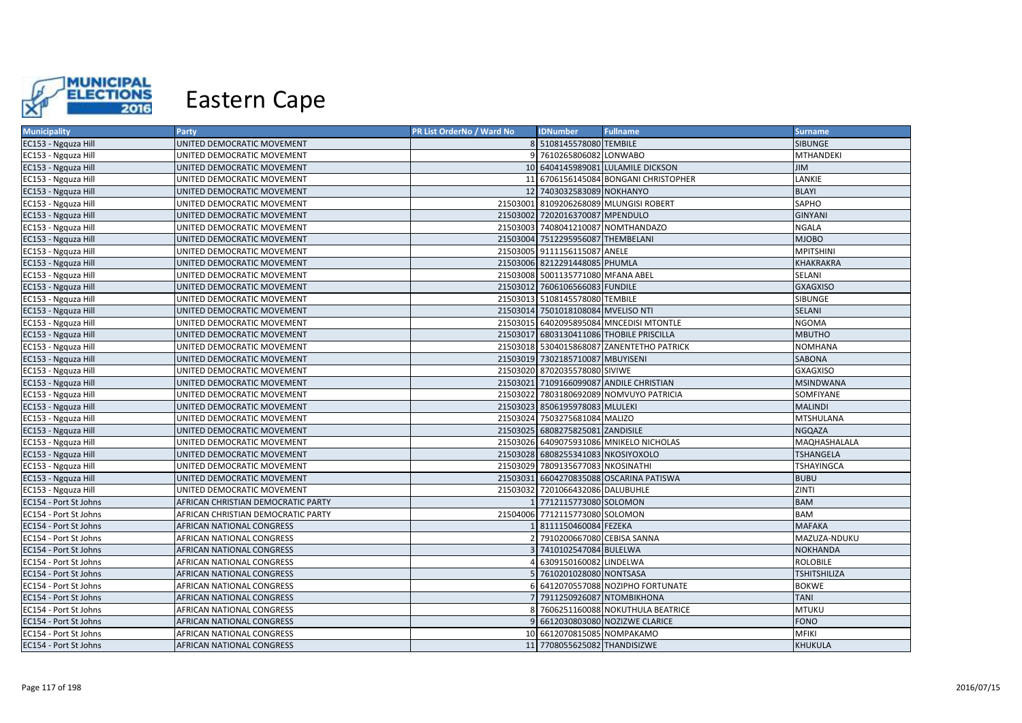

| <b>Municipality</b>   | Party                              | PR List OrderNo / Ward No | <b>IDNumber</b>                    | <b>Fullname</b>                           | <b>Surname</b>      |
|-----------------------|------------------------------------|---------------------------|------------------------------------|-------------------------------------------|---------------------|
| EC153 - Ngquza Hill   | UNITED DEMOCRATIC MOVEMENT         |                           | 8 5108145578080 TEMBILE            |                                           | <b>SIBUNGE</b>      |
| EC153 - Ngquza Hill   | UNITED DEMOCRATIC MOVEMENT         |                           | 7610265806082 LONWABO              |                                           | <b>MTHANDEKI</b>    |
| EC153 - Ngquza Hill   | UNITED DEMOCRATIC MOVEMENT         |                           |                                    | 10 6404145989081 LULAMILE DICKSON         | <b>JIM</b>          |
| EC153 - Ngquza Hill   | UNITED DEMOCRATIC MOVEMENT         |                           |                                    | 11 6706156145084 BONGANI CHRISTOPHER      | LANKIE              |
| EC153 - Ngquza Hill   | UNITED DEMOCRATIC MOVEMENT         |                           | 12 7403032583089 NOKHANYO          |                                           | <b>BLAYI</b>        |
| EC153 - Ngquza Hill   | UNITED DEMOCRATIC MOVEMENT         |                           |                                    | 21503001 8109206268089 MLUNGISI ROBERT    | SAPHO               |
| EC153 - Ngquza Hill   | UNITED DEMOCRATIC MOVEMENT         |                           | 21503002 7202016370087 MPENDULO    |                                           | <b>GINYANI</b>      |
| EC153 - Ngquza Hill   | UNITED DEMOCRATIC MOVEMENT         |                           |                                    | 21503003 7408041210087 NOMTHANDAZO        | <b>NGALA</b>        |
| EC153 - Ngquza Hill   | UNITED DEMOCRATIC MOVEMENT         |                           | 21503004 7512295956087 THEMBELANI  |                                           | <b>MJOBO</b>        |
| EC153 - Ngquza Hill   | UNITED DEMOCRATIC MOVEMENT         |                           | 21503005 9111156115087 ANELE       |                                           | <b>MPITSHINI</b>    |
| EC153 - Ngquza Hill   | UNITED DEMOCRATIC MOVEMENT         |                           | 21503006 8212291448085 PHUMLA      |                                           | KHAKRAKRA           |
| EC153 - Ngquza Hill   | UNITED DEMOCRATIC MOVEMENT         |                           | 21503008 5001135771080 MFANA ABEL  |                                           | SELANI              |
| EC153 - Ngquza Hill   | UNITED DEMOCRATIC MOVEMENT         |                           | 21503012 7606106566083 FUNDILE     |                                           | <b>GXAGXISO</b>     |
| EC153 - Ngquza Hill   | UNITED DEMOCRATIC MOVEMENT         |                           | 21503013 5108145578080 TEMBILE     |                                           | SIBUNGE             |
| EC153 - Ngquza Hill   | UNITED DEMOCRATIC MOVEMENT         |                           | 21503014 7501018108084 MVELISO NTI |                                           | SELANI              |
| EC153 - Ngquza Hill   | UNITED DEMOCRATIC MOVEMENT         |                           |                                    | 21503015 6402095895084 MNCEDISI MTONTLE   | <b>NGOMA</b>        |
| EC153 - Ngquza Hill   | UNITED DEMOCRATIC MOVEMENT         |                           |                                    | 21503017 6803130411086 THOBILE PRISCILLA  | <b>MBUTHO</b>       |
| EC153 - Ngquza Hill   | UNITED DEMOCRATIC MOVEMENT         |                           |                                    | 21503018 5304015868087 ZANENTETHO PATRICK | <b>NOMHANA</b>      |
| EC153 - Ngquza Hill   | UNITED DEMOCRATIC MOVEMENT         |                           | 21503019 7302185710087 MBUYISENI   |                                           | SABONA              |
| EC153 - Ngquza Hill   | UNITED DEMOCRATIC MOVEMENT         |                           | 21503020 8702035578080 SIVIWE      |                                           | <b>GXAGXISO</b>     |
| EC153 - Ngquza Hill   | UNITED DEMOCRATIC MOVEMENT         |                           |                                    | 21503021 7109166099087 ANDILE CHRISTIAN   | <b>MSINDWANA</b>    |
| EC153 - Ngquza Hill   | UNITED DEMOCRATIC MOVEMENT         |                           |                                    | 21503022 7803180692089 NOMVUYO PATRICIA   | SOMFIYANE           |
| EC153 - Ngquza Hill   | UNITED DEMOCRATIC MOVEMENT         |                           | 21503023 8506195978083 MLULEKI     |                                           | <b>MALINDI</b>      |
| EC153 - Ngquza Hill   | UNITED DEMOCRATIC MOVEMENT         |                           | 21503024 7503275681084 MALIZO      |                                           | <b>MTSHULANA</b>    |
| EC153 - Ngquza Hill   | UNITED DEMOCRATIC MOVEMENT         |                           | 21503025 6808275825081 ZANDISILE   |                                           | NGQAZA              |
| EC153 - Ngquza Hill   | UNITED DEMOCRATIC MOVEMENT         |                           |                                    | 21503026 6409075931086 MNIKELO NICHOLAS   | MAQHASHALALA        |
| EC153 - Ngquza Hill   | UNITED DEMOCRATIC MOVEMENT         |                           | 21503028 6808255341083 NKOSIYOXOLO |                                           | <b>TSHANGELA</b>    |
| EC153 - Ngquza Hill   | UNITED DEMOCRATIC MOVEMENT         |                           | 21503029 7809135677083 NKOSINATHI  |                                           | <b>TSHAYINGCA</b>   |
| EC153 - Ngquza Hill   | UNITED DEMOCRATIC MOVEMENT         |                           |                                    | 21503031 6604270835088 OSCARINA PATISWA   | <b>BUBU</b>         |
| EC153 - Ngquza Hill   | UNITED DEMOCRATIC MOVEMENT         |                           | 21503032 7201066432086 DALUBUHLE   |                                           | ZINTI               |
| EC154 - Port St Johns | AFRICAN CHRISTIAN DEMOCRATIC PARTY |                           | 1 7712115773080 SOLOMON            |                                           | <b>BAM</b>          |
| EC154 - Port St Johns | AFRICAN CHRISTIAN DEMOCRATIC PARTY |                           | 21504006 7712115773080 SOLOMON     |                                           | <b>BAM</b>          |
| EC154 - Port St Johns | AFRICAN NATIONAL CONGRESS          |                           | 1 8111150460084 FEZEKA             |                                           | <b>MAFAKA</b>       |
| EC154 - Port St Johns | AFRICAN NATIONAL CONGRESS          |                           | 7910200667080 CEBISA SANNA         |                                           | MAZUZA-NDUKU        |
| EC154 - Port St Johns | AFRICAN NATIONAL CONGRESS          |                           | 7410102547084 BULELWA              |                                           | NOKHANDA            |
| EC154 - Port St Johns | AFRICAN NATIONAL CONGRESS          |                           | 6309150160082 LINDELWA             |                                           | <b>ROLOBILE</b>     |
| EC154 - Port St Johns | AFRICAN NATIONAL CONGRESS          |                           | 7610201028080 NONTSASA             |                                           | <b>TSHITSHILIZA</b> |
| EC154 - Port St Johns | AFRICAN NATIONAL CONGRESS          |                           |                                    | 6 6412070557088 NOZIPHO FORTUNATE         | <b>BOKWE</b>        |
| EC154 - Port St Johns | AFRICAN NATIONAL CONGRESS          |                           | 7911250926087 NTOMBIKHONA          |                                           | <b>TANI</b>         |
| EC154 - Port St Johns | AFRICAN NATIONAL CONGRESS          |                           |                                    | 7606251160088 NOKUTHULA BEATRICE          | <b>MTUKU</b>        |
| EC154 - Port St Johns | AFRICAN NATIONAL CONGRESS          |                           |                                    | 6612030803080 NOZIZWE CLARICE             | <b>FONO</b>         |
| EC154 - Port St Johns | AFRICAN NATIONAL CONGRESS          |                           | 10 6612070815085 NOMPAKAMO         |                                           | <b>MFIKI</b>        |
| EC154 - Port St Johns | <b>AFRICAN NATIONAL CONGRESS</b>   |                           | 11 7708055625082 THANDISIZWE       |                                           | <b>KHUKULA</b>      |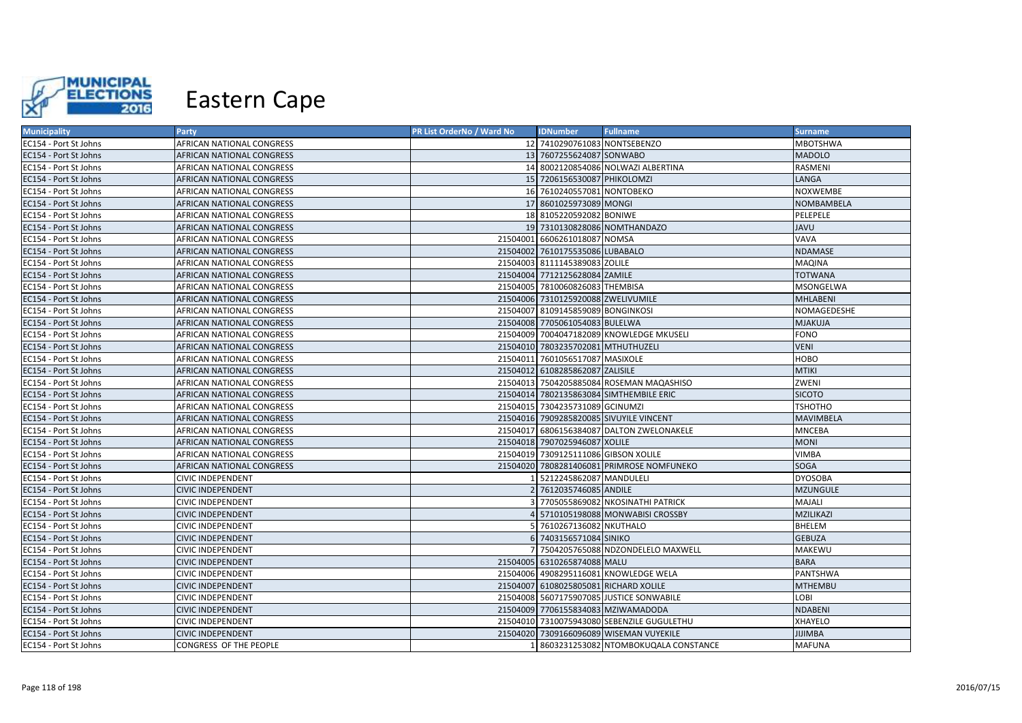

| <b>Municipality</b>   | Party                     | PR List OrderNo / Ward No | <b>IDNumber</b>                      | <b>Fullname</b>                            | <b>Surname</b>   |
|-----------------------|---------------------------|---------------------------|--------------------------------------|--------------------------------------------|------------------|
| EC154 - Port St Johns | AFRICAN NATIONAL CONGRESS |                           | 12 7410290761083 NONTSEBENZO         |                                            | <b>MBOTSHWA</b>  |
| EC154 - Port St Johns | AFRICAN NATIONAL CONGRESS |                           | 13 7607255624087 SONWABO             |                                            | <b>MADOLO</b>    |
| EC154 - Port St Johns | AFRICAN NATIONAL CONGRESS |                           |                                      | 14 8002120854086 NOLWAZI ALBERTINA         | RASMENI          |
| EC154 - Port St Johns | AFRICAN NATIONAL CONGRESS |                           | 15 7206156530087 PHIKOLOMZI          |                                            | LANGA            |
| EC154 - Port St Johns | AFRICAN NATIONAL CONGRESS |                           | 16 7610240557081 NONTOBEKO           |                                            | <b>NOXWEMBE</b>  |
| EC154 - Port St Johns | AFRICAN NATIONAL CONGRESS |                           | 17 8601025973089 MONGI               |                                            | NOMBAMBELA       |
| EC154 - Port St Johns | AFRICAN NATIONAL CONGRESS |                           | 18 8105220592082 BONIWE              |                                            | PELEPELE         |
| EC154 - Port St Johns | AFRICAN NATIONAL CONGRESS |                           |                                      | 19 7310130828086 NOMTHANDAZO               | JAVU             |
| EC154 - Port St Johns | AFRICAN NATIONAL CONGRESS |                           | 21504001 6606261018087 NOMSA         |                                            | VAVA             |
| EC154 - Port St Johns | AFRICAN NATIONAL CONGRESS |                           | 21504002 7610175535086 LUBABALO      |                                            | <b>NDAMASE</b>   |
| EC154 - Port St Johns | AFRICAN NATIONAL CONGRESS |                           | 21504003 8111145389083 ZOLILE        |                                            | MAQINA           |
| EC154 - Port St Johns | AFRICAN NATIONAL CONGRESS |                           | 21504004 7712125628084 ZAMILE        |                                            | <b>TOTWANA</b>   |
| EC154 - Port St Johns | AFRICAN NATIONAL CONGRESS |                           | 21504005 7810060826083 THEMBISA      |                                            | MSONGELWA        |
| EC154 - Port St Johns | AFRICAN NATIONAL CONGRESS |                           | 21504006 7310125920088 ZWELIVUMILE   |                                            | <b>MHLABENI</b>  |
| EC154 - Port St Johns | AFRICAN NATIONAL CONGRESS |                           | 21504007 8109145859089 BONGINKOSI    |                                            | NOMAGEDESHE      |
| EC154 - Port St Johns | AFRICAN NATIONAL CONGRESS |                           | 21504008 7705061054083 BULELWA       |                                            | <b>MJAKUJA</b>   |
| EC154 - Port St Johns | AFRICAN NATIONAL CONGRESS |                           |                                      | 21504009 7004047182089 KNOWLEDGE MKUSELI   | <b>FONO</b>      |
| EC154 - Port St Johns | AFRICAN NATIONAL CONGRESS |                           | 21504010 7803235702081 MTHUTHUZELI   |                                            | <b>VENI</b>      |
| EC154 - Port St Johns | AFRICAN NATIONAL CONGRESS |                           | 21504011 7601056517087 MASIXOLE      |                                            | HOBO             |
| EC154 - Port St Johns | AFRICAN NATIONAL CONGRESS |                           | 21504012 6108285862087 ZALISILE      |                                            | <b>MTIKI</b>     |
| EC154 - Port St Johns | AFRICAN NATIONAL CONGRESS |                           |                                      | 21504013 7504205885084 ROSEMAN MAQASHISO   | ZWENI            |
| EC154 - Port St Johns | AFRICAN NATIONAL CONGRESS |                           |                                      | 21504014 7802135863084 SIMTHEMBILE ERIC    | <b>SICOTO</b>    |
| EC154 - Port St Johns | AFRICAN NATIONAL CONGRESS |                           | 21504015 7304235731089 GCINUMZI      |                                            | ТЅНОТНО          |
| EC154 - Port St Johns | AFRICAN NATIONAL CONGRESS |                           |                                      | 21504016 7909285820085 SIVUYILE VINCENT    | <b>MAVIMBELA</b> |
| EC154 - Port St Johns | AFRICAN NATIONAL CONGRESS |                           |                                      | 21504017 6806156384087 DALTON ZWELONAKELE  | <b>MNCEBA</b>    |
| EC154 - Port St Johns | AFRICAN NATIONAL CONGRESS |                           | 21504018 7907025946087 XOLILE        |                                            | <b>MONI</b>      |
| EC154 - Port St Johns | AFRICAN NATIONAL CONGRESS |                           | 21504019 7309125111086 GIBSON XOLILE |                                            | <b>VIMBA</b>     |
| EC154 - Port St Johns | AFRICAN NATIONAL CONGRESS |                           |                                      | 21504020 7808281406081 PRIMROSE NOMFUNEKO  | SOGA             |
| EC154 - Port St Johns | <b>CIVIC INDEPENDENT</b>  |                           | 5212245862087 MANDULELI              |                                            | <b>DYOSOBA</b>   |
| EC154 - Port St Johns | <b>CIVIC INDEPENDENT</b>  |                           | 2 7612035746085 ANDILE               |                                            | <b>MZUNGULE</b>  |
| EC154 - Port St Johns | <b>CIVIC INDEPENDENT</b>  |                           |                                      | 3 7705055869082 NKOSINATHI PATRICK         | MAJALI           |
| EC154 - Port St Johns | <b>CIVIC INDEPENDENT</b>  |                           |                                      | 5710105198088 MONWABISI CROSSBY            | MZILIKAZI        |
| EC154 - Port St Johns | <b>CIVIC INDEPENDENT</b>  |                           | 5 7610267136082 NKUTHALO             |                                            | BHELEM           |
| EC154 - Port St Johns | <b>CIVIC INDEPENDENT</b>  |                           | 6 7403156571084 SINIKO               |                                            | <b>GEBUZA</b>    |
| EC154 - Port St Johns | <b>CIVIC INDEPENDENT</b>  |                           |                                      | 7 7504205765088 NDZONDELELO MAXWELL        | MAKEWU           |
| EC154 - Port St Johns | <b>CIVIC INDEPENDENT</b>  |                           | 21504005 6310265874088 MALU          |                                            | <b>BARA</b>      |
| EC154 - Port St Johns | <b>CIVIC INDEPENDENT</b>  |                           |                                      | 21504006 4908295116081 KNOWLEDGE WELA      | PANTSHWA         |
| EC154 - Port St Johns | <b>CIVIC INDEPENDENT</b>  |                           |                                      | 21504007 6108025805081 RICHARD XOLILE      | <b>MTHEMBU</b>   |
| EC154 - Port St Johns | <b>CIVIC INDEPENDENT</b>  |                           |                                      | 21504008 5607175907085 JUSTICE SONWABILE   | LOBI             |
| EC154 - Port St Johns | <b>CIVIC INDEPENDENT</b>  |                           |                                      | 21504009 7706155834083 MZIWAMADODA         | <b>NDABENI</b>   |
| EC154 - Port St Johns | <b>CIVIC INDEPENDENT</b>  |                           |                                      | 21504010 7310075943080 SEBENZILE GUGULETHU | XHAYELO          |
| EC154 - Port St Johns | <b>CIVIC INDEPENDENT</b>  |                           |                                      | 21504020 7309166096089 WISEMAN VUYEKILE    | <b>JIJIMBA</b>   |
| EC154 - Port St Johns | CONGRESS OF THE PEOPLE    |                           |                                      | 1 8603231253082 NTOMBOKUQALA CONSTANCE     | <b>MAFUNA</b>    |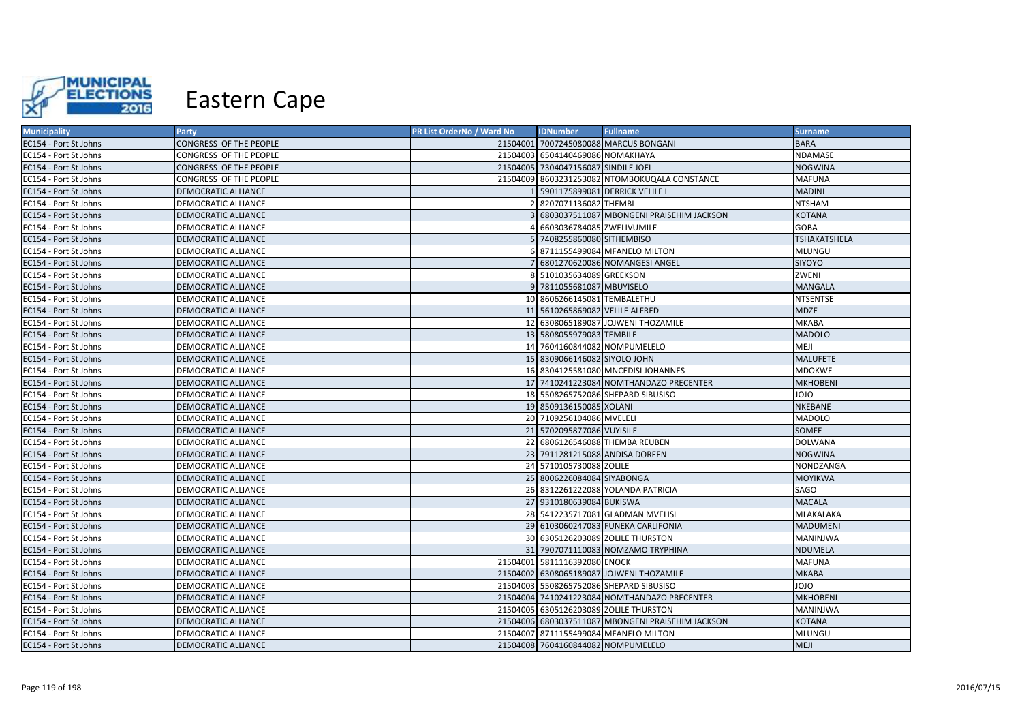

| <b>Municipality</b>   | <b>Party</b>               | PR List OrderNo / Ward No | <b>IDNumber</b>                     | <b>Fullname</b>                                   | <b>Surname</b>      |
|-----------------------|----------------------------|---------------------------|-------------------------------------|---------------------------------------------------|---------------------|
| EC154 - Port St Johns | CONGRESS OF THE PEOPLE     |                           |                                     | 21504001 7007245080088 MARCUS BONGANI             | <b>BARA</b>         |
| EC154 - Port St Johns | CONGRESS OF THE PEOPLE     |                           | 21504003 6504140469086 NOMAKHAYA    |                                                   | NDAMASE             |
| EC154 - Port St Johns | CONGRESS OF THE PEOPLE     |                           | 21504005 7304047156087 SINDILE JOEL |                                                   | <b>NOGWINA</b>      |
| EC154 - Port St Johns | CONGRESS OF THE PEOPLE     |                           |                                     | 21504009 8603231253082 NTOMBOKUQALA CONSTANCE     | <b>MAFUNA</b>       |
| EC154 - Port St Johns | DEMOCRATIC ALLIANCE        |                           |                                     | 5901175899081 DERRICK VELILE L                    | <b>MADINI</b>       |
| EC154 - Port St Johns | DEMOCRATIC ALLIANCE        |                           | 8207071136082 THEMBI                |                                                   | <b>NTSHAM</b>       |
| EC154 - Port St Johns | DEMOCRATIC ALLIANCE        |                           |                                     | 6803037511087 MBONGENI PRAISEHIM JACKSON          | <b>KOTANA</b>       |
| EC154 - Port St Johns | DEMOCRATIC ALLIANCE        |                           | 6603036784085 ZWELIVUMILE           |                                                   | <b>GOBA</b>         |
| EC154 - Port St Johns | DEMOCRATIC ALLIANCE        |                           | 7408255860080 SITHEMBISO            |                                                   | <b>TSHAKATSHELA</b> |
| EC154 - Port St Johns | DEMOCRATIC ALLIANCE        |                           |                                     | 8711155499084 MFANELO MILTON                      | MLUNGU              |
| EC154 - Port St Johns | DEMOCRATIC ALLIANCE        |                           |                                     | 6801270620086 NOMANGESI ANGEL                     | SIYOYO              |
| EC154 - Port St Johns | DEMOCRATIC ALLIANCE        |                           | 5101035634089 GREEKSON              |                                                   | ZWENI               |
| EC154 - Port St Johns | DEMOCRATIC ALLIANCE        |                           | 9 7811055681087 MBUYISELO           |                                                   | <b>MANGALA</b>      |
| EC154 - Port St Johns | DEMOCRATIC ALLIANCE        |                           | 10 8606266145081 TEMBALETHU         |                                                   | <b>NTSENTSE</b>     |
| EC154 - Port St Johns | DEMOCRATIC ALLIANCE        |                           | 11 5610265869082 VELILE ALFRED      |                                                   | <b>MDZE</b>         |
| EC154 - Port St Johns | DEMOCRATIC ALLIANCE        |                           |                                     | 12 6308065189087 JOJWENI THOZAMILE                | MKABA               |
| EC154 - Port St Johns | <b>DEMOCRATIC ALLIANCE</b> |                           | 13 5808055979083 TEMBILE            |                                                   | <b>MADOLO</b>       |
| EC154 - Port St Johns | DEMOCRATIC ALLIANCE        |                           | 14 7604160844082 NOMPUMELELO        |                                                   | MEJI                |
| EC154 - Port St Johns | DEMOCRATIC ALLIANCE        |                           | 15 8309066146082 SIYOLO JOHN        |                                                   | <b>MALUFETE</b>     |
| EC154 - Port St Johns | DEMOCRATIC ALLIANCE        |                           |                                     | 16 8304125581080 MNCEDISI JOHANNES                | MDOKWE              |
| EC154 - Port St Johns | DEMOCRATIC ALLIANCE        |                           |                                     | 17 7410241223084 NOMTHANDAZO PRECENTER            | <b>MKHOBENI</b>     |
| EC154 - Port St Johns | DEMOCRATIC ALLIANCE        |                           |                                     | 18 5508265752086 SHEPARD SIBUSISO                 | OLOL                |
| EC154 - Port St Johns | DEMOCRATIC ALLIANCE        |                           | 19 8509136150085 XOLANI             |                                                   | NKEBANE             |
| EC154 - Port St Johns | DEMOCRATIC ALLIANCE        |                           | 20 7109256104086 MVELELI            |                                                   | <b>MADOLO</b>       |
| EC154 - Port St Johns | DEMOCRATIC ALLIANCE        |                           | 21 5702095877086 VUYISILE           |                                                   | SOMFE               |
| EC154 - Port St Johns | DEMOCRATIC ALLIANCE        |                           |                                     | 22 6806126546088 THEMBA REUBEN                    | <b>DOLWANA</b>      |
| EC154 - Port St Johns | <b>DEMOCRATIC ALLIANCE</b> |                           |                                     | 23 7911281215088 ANDISA DOREEN                    | <b>NOGWINA</b>      |
| EC154 - Port St Johns | DEMOCRATIC ALLIANCE        |                           | 24 5710105730088 ZOLILE             |                                                   | NONDZANGA           |
| EC154 - Port St Johns | DEMOCRATIC ALLIANCE        |                           | 25 8006226084084 SIYABONGA          |                                                   | <b>MOYIKWA</b>      |
| EC154 - Port St Johns | DEMOCRATIC ALLIANCE        |                           |                                     | 26 8312261222088 YOLANDA PATRICIA                 | SAGO                |
| EC154 - Port St Johns | DEMOCRATIC ALLIANCE        |                           | 27 9310180639084 BUKISWA            |                                                   | <b>MACALA</b>       |
| EC154 - Port St Johns | DEMOCRATIC ALLIANCE        |                           |                                     | 28 5412235717081 GLADMAN MVELISI                  | MLAKALAKA           |
| EC154 - Port St Johns | DEMOCRATIC ALLIANCE        |                           |                                     | 29 6103060247083 FUNEKA CARLIFONIA                | <b>MADUMENI</b>     |
| EC154 - Port St Johns | DEMOCRATIC ALLIANCE        |                           |                                     | 30 6305126203089 ZOLILE THURSTON                  | MANINJWA            |
| EC154 - Port St Johns | DEMOCRATIC ALLIANCE        |                           |                                     | 31 7907071110083 NOMZAMO TRYPHINA                 | <b>NDUMELA</b>      |
| EC154 - Port St Johns | DEMOCRATIC ALLIANCE        |                           | 21504001 5811116392080 ENOCK        |                                                   | <b>MAFUNA</b>       |
| EC154 - Port St Johns | DEMOCRATIC ALLIANCE        |                           |                                     | 21504002 6308065189087 JOJWENI THOZAMILE          | <b>MKABA</b>        |
| EC154 - Port St Johns | DEMOCRATIC ALLIANCE        |                           |                                     | 21504003 5508265752086 SHEPARD SIBUSISO           | OLOL                |
| EC154 - Port St Johns | DEMOCRATIC ALLIANCE        |                           |                                     | 21504004 7410241223084 NOMTHANDAZO PRECENTER      | <b>MKHOBENI</b>     |
| EC154 - Port St Johns | DEMOCRATIC ALLIANCE        |                           |                                     | 21504005 6305126203089 ZOLILE THURSTON            | MANINJWA            |
| EC154 - Port St Johns | DEMOCRATIC ALLIANCE        |                           |                                     | 21504006 6803037511087 MBONGENI PRAISEHIM JACKSON | <b>KOTANA</b>       |
| EC154 - Port St Johns | DEMOCRATIC ALLIANCE        |                           |                                     | 21504007 8711155499084 MFANELO MILTON             | MLUNGU              |
| EC154 - Port St Johns | <b>DEMOCRATIC ALLIANCE</b> |                           |                                     | 21504008 7604160844082 NOMPUMELELO                | <b>MEJI</b>         |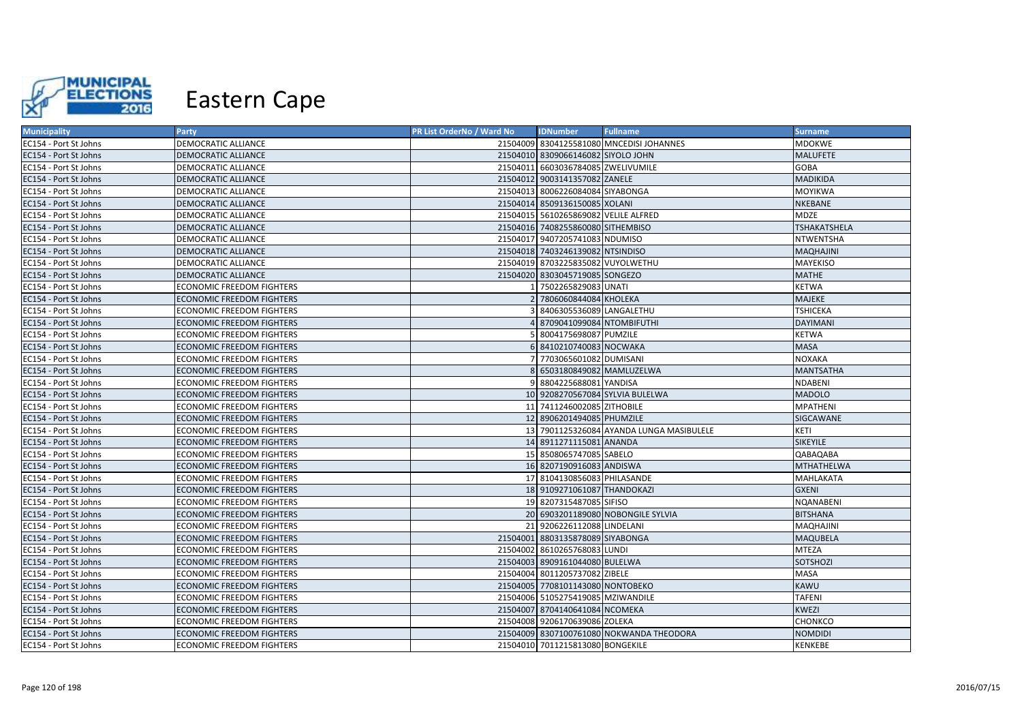

| <b>Municipality</b>   | <b>Party</b>                     | <b>PR List OrderNo / Ward No</b> | <b>IDNumber</b>                      | <b>Fullname</b>                          | <b>Surname</b>      |
|-----------------------|----------------------------------|----------------------------------|--------------------------------------|------------------------------------------|---------------------|
| EC154 - Port St Johns | DEMOCRATIC ALLIANCE              |                                  |                                      | 21504009 8304125581080 MNCEDISI JOHANNES | MDOKWE              |
| EC154 - Port St Johns | DEMOCRATIC ALLIANCE              |                                  | 21504010 8309066146082 SIYOLO JOHN   |                                          | <b>MALUFETE</b>     |
| EC154 - Port St Johns | DEMOCRATIC ALLIANCE              |                                  | 21504011 6603036784085 ZWELIVUMILE   |                                          | <b>GOBA</b>         |
| EC154 - Port St Johns | DEMOCRATIC ALLIANCE              |                                  | 21504012 9003141357082 ZANELE        |                                          | <b>MADIKIDA</b>     |
| EC154 - Port St Johns | DEMOCRATIC ALLIANCE              |                                  | 21504013 8006226084084 SIYABONGA     |                                          | <b>MOYIKWA</b>      |
| EC154 - Port St Johns | <b>DEMOCRATIC ALLIANCE</b>       |                                  | 21504014 8509136150085 XOLANI        |                                          | NKEBANE             |
| EC154 - Port St Johns | DEMOCRATIC ALLIANCE              |                                  | 21504015 5610265869082 VELILE ALFRED |                                          | <b>MDZE</b>         |
| EC154 - Port St Johns | <b>DEMOCRATIC ALLIANCE</b>       |                                  | 21504016 7408255860080 SITHEMBISO    |                                          | <b>TSHAKATSHELA</b> |
| EC154 - Port St Johns | DEMOCRATIC ALLIANCE              |                                  | 21504017 9407205741083 NDUMISO       |                                          | NTWENTSHA           |
| EC154 - Port St Johns | <b>DEMOCRATIC ALLIANCE</b>       |                                  | 21504018 7403246139082 NTSINDISO     |                                          | <b>MAQHAJINI</b>    |
| EC154 - Port St Johns | DEMOCRATIC ALLIANCE              |                                  | 21504019 8703225835082 VUYOLWETHU    |                                          | MAYEKISO            |
| EC154 - Port St Johns | DEMOCRATIC ALLIANCE              |                                  | 21504020 8303045719085 SONGEZO       |                                          | <b>MATHE</b>        |
| EC154 - Port St Johns | ECONOMIC FREEDOM FIGHTERS        |                                  | 1 7502265829083 UNATI                |                                          | KETWA               |
| EC154 - Port St Johns | <b>ECONOMIC FREEDOM FIGHTERS</b> |                                  | 2 7806060844084 KHOLEKA              |                                          | <b>MAJEKE</b>       |
| EC154 - Port St Johns | <b>ECONOMIC FREEDOM FIGHTERS</b> |                                  | 3 8406305536089 LANGALETHU           |                                          | <b>TSHICEKA</b>     |
| EC154 - Port St Johns | <b>ECONOMIC FREEDOM FIGHTERS</b> |                                  | 4 8709041099084 NTOMBIFUTHI          |                                          | <b>DAYIMANI</b>     |
| EC154 - Port St Johns | ECONOMIC FREEDOM FIGHTERS        |                                  | 5 8004175698087 PUMZILE              |                                          | <b>KETWA</b>        |
| EC154 - Port St Johns | <b>ECONOMIC FREEDOM FIGHTERS</b> |                                  | 6 8410210740083 NOCWAKA              |                                          | <b>MASA</b>         |
| EC154 - Port St Johns | ECONOMIC FREEDOM FIGHTERS        |                                  | 7 7703065601082 DUMISANI             |                                          | <b>NOXAKA</b>       |
| EC154 - Port St Johns | <b>ECONOMIC FREEDOM FIGHTERS</b> |                                  | 8 6503180849082 MAMLUZELWA           |                                          | <b>MANTSATHA</b>    |
| EC154 - Port St Johns | <b>ECONOMIC FREEDOM FIGHTERS</b> |                                  | 9 8804225688081 YANDISA              |                                          | <b>NDABENI</b>      |
| EC154 - Port St Johns | <b>ECONOMIC FREEDOM FIGHTERS</b> |                                  |                                      | 10 9208270567084 SYLVIA BULELWA          | <b>MADOLO</b>       |
| EC154 - Port St Johns | ECONOMIC FREEDOM FIGHTERS        |                                  | 11 7411246002085 ZITHOBILE           |                                          | <b>MPATHENI</b>     |
| EC154 - Port St Johns | <b>ECONOMIC FREEDOM FIGHTERS</b> |                                  | 12 8906201494085 PHUMZILE            |                                          | SIGCAWANE           |
| EC154 - Port St Johns | <b>ECONOMIC FREEDOM FIGHTERS</b> |                                  |                                      | 13 7901125326084 AYANDA LUNGA MASIBULELE | KETI                |
| EC154 - Port St Johns | <b>ECONOMIC FREEDOM FIGHTERS</b> |                                  | 14 8911271115081 ANANDA              |                                          | <b>SIKEYILE</b>     |
| EC154 - Port St Johns | <b>ECONOMIC FREEDOM FIGHTERS</b> |                                  | 15 8508065747085 SABELO              |                                          | QABAQABA            |
| EC154 - Port St Johns | ECONOMIC FREEDOM FIGHTERS        |                                  | 16 8207190916083 ANDISWA             |                                          | <b>MTHATHELWA</b>   |
| EC154 - Port St Johns | ECONOMIC FREEDOM FIGHTERS        |                                  | 17 8104130856083 PHILASANDE          |                                          | MAHLAKATA           |
| EC154 - Port St Johns | <b>ECONOMIC FREEDOM FIGHTERS</b> |                                  | 18 9109271061087 THANDOKAZI          |                                          | <b>GXENI</b>        |
| EC154 - Port St Johns | <b>ECONOMIC FREEDOM FIGHTERS</b> |                                  | 19 8207315487085 SIFISO              |                                          | <b>NQANABENI</b>    |
| EC154 - Port St Johns | <b>ECONOMIC FREEDOM FIGHTERS</b> |                                  |                                      | 20 6903201189080 NOBONGILE SYLVIA        | <b>BITSHANA</b>     |
| EC154 - Port St Johns | ECONOMIC FREEDOM FIGHTERS        |                                  | 21 9206226112088 LINDELANI           |                                          | MAQHAJINI           |
| EC154 - Port St Johns | ECONOMIC FREEDOM FIGHTERS        |                                  | 21504001 8803135878089 SIYABONGA     |                                          | <b>MAQUBELA</b>     |
| EC154 - Port St Johns | ECONOMIC FREEDOM FIGHTERS        |                                  | 21504002 8610265768083 LUNDI         |                                          | <b>MTEZA</b>        |
| EC154 - Port St Johns | <b>ECONOMIC FREEDOM FIGHTERS</b> |                                  | 21504003 8909161044080 BULELWA       |                                          | SOTSHOZI            |
| EC154 - Port St Johns | <b>ECONOMIC FREEDOM FIGHTERS</b> |                                  | 21504004 8011205737082 ZIBELE        |                                          | MASA                |
| EC154 - Port St Johns | <b>ECONOMIC FREEDOM FIGHTERS</b> |                                  | 21504005 7708101143080 NONTOBEKO     |                                          | <b>KAWU</b>         |
| EC154 - Port St Johns | ECONOMIC FREEDOM FIGHTERS        |                                  | 21504006 5105275419085 MZIWANDILE    |                                          | <b>TAFENI</b>       |
| EC154 - Port St Johns | <b>ECONOMIC FREEDOM FIGHTERS</b> |                                  | 21504007 8704140641084 NCOMEKA       |                                          | KWEZI               |
| EC154 - Port St Johns | <b>ECONOMIC FREEDOM FIGHTERS</b> |                                  | 21504008 9206170639086 ZOLEKA        |                                          | CHONKCO             |
| EC154 - Port St Johns | <b>ECONOMIC FREEDOM FIGHTERS</b> |                                  |                                      | 21504009 8307100761080 NOKWANDA THEODORA | <b>NOMDIDI</b>      |
| EC154 - Port St Johns | <b>ECONOMIC FREEDOM FIGHTERS</b> |                                  | 21504010 7011215813080 BONGEKILE     |                                          | <b>KENKEBE</b>      |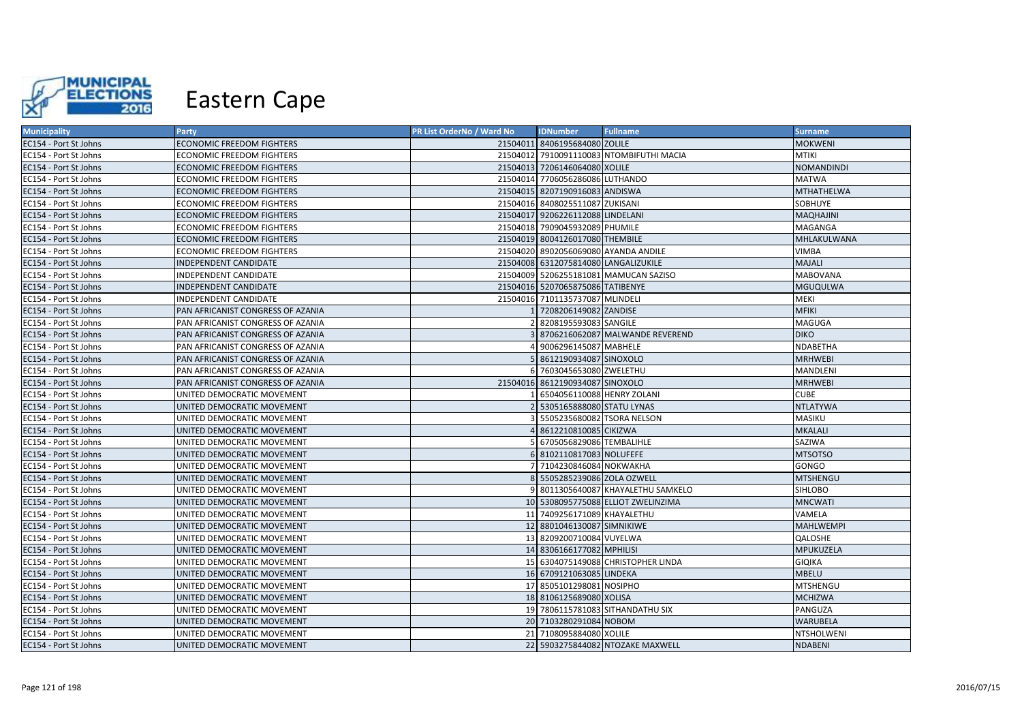

| <b>Municipality</b>   | <b>Party</b>                      | PR List OrderNo / Ward No | <b>IDNumber</b>                      | <b>Fullname</b>                          | <b>Surname</b>    |
|-----------------------|-----------------------------------|---------------------------|--------------------------------------|------------------------------------------|-------------------|
| EC154 - Port St Johns | ECONOMIC FREEDOM FIGHTERS         |                           | 21504011 8406195684080 ZOLILE        |                                          | <b>MOKWENI</b>    |
| EC154 - Port St Johns | ECONOMIC FREEDOM FIGHTERS         |                           |                                      | 21504012 7910091110083 NTOMBIFUTHI MACIA | <b>MTIKI</b>      |
| EC154 - Port St Johns | <b>ECONOMIC FREEDOM FIGHTERS</b>  |                           | 21504013 7206146064080 XOLILE        |                                          | <b>NOMANDINDI</b> |
| EC154 - Port St Johns | ECONOMIC FREEDOM FIGHTERS         |                           | 21504014 7706056286086 LUTHANDO      |                                          | <b>MATWA</b>      |
| EC154 - Port St Johns | ECONOMIC FREEDOM FIGHTERS         |                           | 21504015 8207190916083 ANDISWA       |                                          | MTHATHELWA        |
| EC154 - Port St Johns | ECONOMIC FREEDOM FIGHTERS         |                           | 21504016 8408025511087 ZUKISANI      |                                          | SOBHUYE           |
| EC154 - Port St Johns | <b>ECONOMIC FREEDOM FIGHTERS</b>  |                           | 21504017 9206226112088 LINDELANI     |                                          | MAQHAJINI         |
| EC154 - Port St Johns | <b>ECONOMIC FREEDOM FIGHTERS</b>  |                           | 21504018 7909045932089 PHUMILE       |                                          | MAGANGA           |
| EC154 - Port St Johns | ECONOMIC FREEDOM FIGHTERS         |                           | 21504019 8004126017080 THEMBILE      |                                          | MHLAKULWANA       |
| EC154 - Port St Johns | <b>ECONOMIC FREEDOM FIGHTERS</b>  |                           |                                      | 21504020 8902056069080 AYANDA ANDILE     | <b>VIMBA</b>      |
| EC154 - Port St Johns | INDEPENDENT CANDIDATE             |                           | 21504008 6312075814080 LANGALIZUKILE |                                          | MAJALI            |
| EC154 - Port St Johns | INDEPENDENT CANDIDATE             |                           |                                      | 21504009 5206255181081 MAMUCAN SAZISO    | <b>MABOVANA</b>   |
| EC154 - Port St Johns | INDEPENDENT CANDIDATE             |                           | 21504016 5207065875086 TATIBENYE     |                                          | MGUQULWA          |
| EC154 - Port St Johns | INDEPENDENT CANDIDATE             |                           | 21504016 7101135737087 MLINDELI      |                                          | MEKI              |
| EC154 - Port St Johns | PAN AFRICANIST CONGRESS OF AZANIA |                           | 7208206149082 ZANDISE                |                                          | <b>MFIKI</b>      |
| EC154 - Port St Johns | PAN AFRICANIST CONGRESS OF AZANIA |                           | 8208195593083 SANGILE                |                                          | MAGUGA            |
| EC154 - Port St Johns | PAN AFRICANIST CONGRESS OF AZANIA |                           |                                      | 8706216062087 MALWANDE REVEREND          | <b>DIKO</b>       |
| EC154 - Port St Johns | PAN AFRICANIST CONGRESS OF AZANIA |                           | 9006296145087 MABHELE                |                                          | NDABETHA          |
| EC154 - Port St Johns | PAN AFRICANIST CONGRESS OF AZANIA |                           | 8612190934087 SINOXOLO               |                                          | <b>MRHWEBI</b>    |
| EC154 - Port St Johns | PAN AFRICANIST CONGRESS OF AZANIA |                           | 6 7603045653080 ZWELETHU             |                                          | <b>MANDLENI</b>   |
| EC154 - Port St Johns | PAN AFRICANIST CONGRESS OF AZANIA |                           | 21504016 8612190934087 SINOXOLO      |                                          | <b>MRHWEBI</b>    |
| EC154 - Port St Johns | UNITED DEMOCRATIC MOVEMENT        |                           | 6504056110088 HENRY ZOLANI           |                                          | <b>CUBE</b>       |
| EC154 - Port St Johns | UNITED DEMOCRATIC MOVEMENT        |                           | 5305165888080 STATU LYNAS            |                                          | <b>NTLATYWA</b>   |
| EC154 - Port St Johns | UNITED DEMOCRATIC MOVEMENT        |                           | 5505235680082 TSORA NELSON           |                                          | <b>MASIKU</b>     |
| EC154 - Port St Johns | UNITED DEMOCRATIC MOVEMENT        |                           | 8612210810085 CIKIZWA                |                                          | <b>MKALALI</b>    |
| EC154 - Port St Johns | UNITED DEMOCRATIC MOVEMENT        |                           | 6705056829086 TEMBALIHLE             |                                          | SAZIWA            |
| EC154 - Port St Johns | UNITED DEMOCRATIC MOVEMENT        |                           | 6 8102110817083 NOLUFEFE             |                                          | <b>MTSOTSO</b>    |
| EC154 - Port St Johns | UNITED DEMOCRATIC MOVEMENT        |                           | 7104230846084 NOKWAKHA               |                                          | GONGO             |
| EC154 - Port St Johns | UNITED DEMOCRATIC MOVEMENT        |                           | 5505285239086 ZOLA OZWELL            |                                          | <b>MTSHENGU</b>   |
| EC154 - Port St Johns | UNITED DEMOCRATIC MOVEMENT        |                           |                                      | 9 8011305640087 KHAYALETHU SAMKELO       | <b>SIHLOBO</b>    |
| EC154 - Port St Johns | UNITED DEMOCRATIC MOVEMENT        |                           |                                      | 10 5308095775088 ELLIOT ZWELINZIMA       | <b>MNCWATI</b>    |
| EC154 - Port St Johns | UNITED DEMOCRATIC MOVEMENT        |                           | 11 7409256171089 KHAYALETHU          |                                          | VAMELA            |
| EC154 - Port St Johns | UNITED DEMOCRATIC MOVEMENT        |                           | 12 8801046130087 SIMNIKIWE           |                                          | <b>MAHLWEMPI</b>  |
| EC154 - Port St Johns | UNITED DEMOCRATIC MOVEMENT        |                           | 13 8209200710084 VUYELWA             |                                          | QALOSHE           |
| EC154 - Port St Johns | UNITED DEMOCRATIC MOVEMENT        |                           | 14 8306166177082 MPHILISI            |                                          | MPUKUZELA         |
| EC154 - Port St Johns | UNITED DEMOCRATIC MOVEMENT        |                           |                                      | 15 6304075149088 CHRISTOPHER LINDA       | <b>GIQIKA</b>     |
| EC154 - Port St Johns | UNITED DEMOCRATIC MOVEMENT        |                           | 16 6709121063085 LINDEKA             |                                          | <b>MBELU</b>      |
| EC154 - Port St Johns | UNITED DEMOCRATIC MOVEMENT        |                           | 17 8505101298081 NOSIPHO             |                                          | MTSHENGU          |
| EC154 - Port St Johns | UNITED DEMOCRATIC MOVEMENT        |                           | 18 8106125689080 XOLISA              |                                          | <b>MCHIZWA</b>    |
| EC154 - Port St Johns | UNITED DEMOCRATIC MOVEMENT        |                           |                                      | 19 7806115781083 SITHANDATHU SIX         | PANGUZA           |
| EC154 - Port St Johns | UNITED DEMOCRATIC MOVEMENT        |                           | 20 7103280291084 NOBOM               |                                          | <b>WARUBELA</b>   |
| EC154 - Port St Johns | UNITED DEMOCRATIC MOVEMENT        |                           | 21 7108095884080 XOLILE              |                                          | NTSHOLWENI        |
| EC154 - Port St Johns | UNITED DEMOCRATIC MOVEMENT        |                           |                                      | 22 5903275844082 NTOZAKE MAXWELL         | <b>NDABENI</b>    |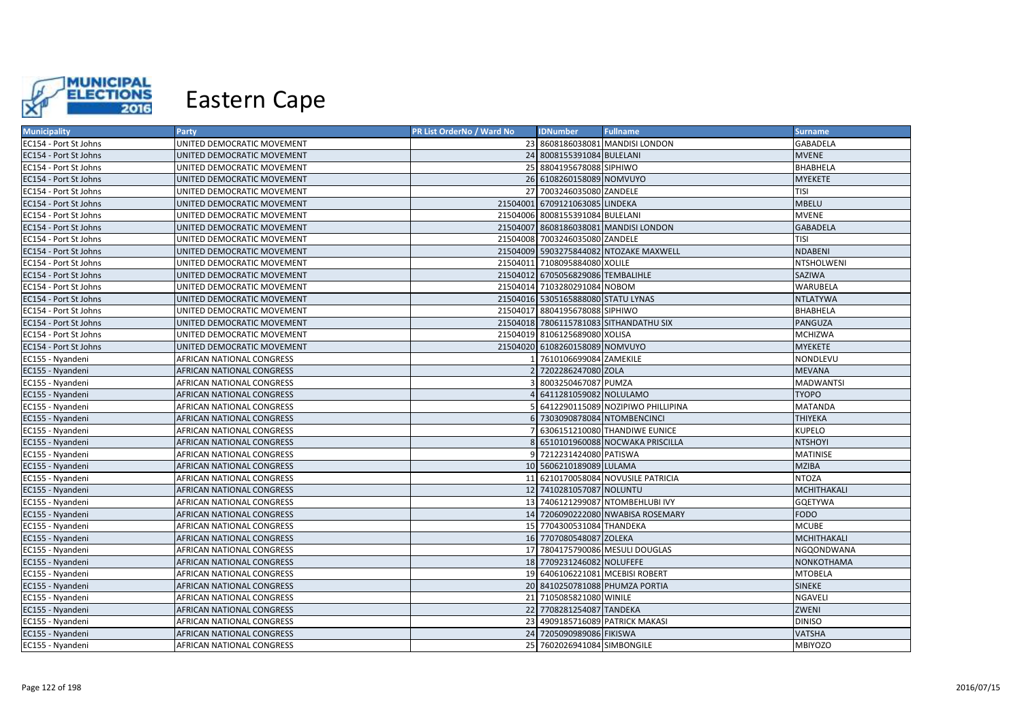

| <b>Municipality</b>   | <b>Party</b>               | PR List OrderNo / Ward No | <b>IDNumber</b>                    | <b>Fullname</b>                        | <b>Surname</b>   |
|-----------------------|----------------------------|---------------------------|------------------------------------|----------------------------------------|------------------|
| EC154 - Port St Johns | UNITED DEMOCRATIC MOVEMENT |                           |                                    | 23 8608186038081 MANDISI LONDON        | <b>GABADELA</b>  |
| EC154 - Port St Johns | UNITED DEMOCRATIC MOVEMENT |                           | 24 8008155391084 BULELANI          |                                        | <b>MVENE</b>     |
| EC154 - Port St Johns | UNITED DEMOCRATIC MOVEMENT |                           | 25 8804195678088 SIPHIWO           |                                        | BHABHELA         |
| EC154 - Port St Johns | UNITED DEMOCRATIC MOVEMENT |                           | 26 6108260158089 NOMVUYO           |                                        | <b>MYEKETE</b>   |
| EC154 - Port St Johns | UNITED DEMOCRATIC MOVEMENT |                           | 27 7003246035080 ZANDELE           |                                        | <b>TISI</b>      |
| EC154 - Port St Johns | UNITED DEMOCRATIC MOVEMENT |                           | 21504001 6709121063085 LINDEKA     |                                        | <b>MBELU</b>     |
| EC154 - Port St Johns | UNITED DEMOCRATIC MOVEMENT |                           | 21504006 8008155391084 BULELANI    |                                        | <b>MVENE</b>     |
| EC154 - Port St Johns | UNITED DEMOCRATIC MOVEMENT |                           |                                    | 21504007 8608186038081 MANDISI LONDON  | <b>GABADELA</b>  |
| EC154 - Port St Johns | UNITED DEMOCRATIC MOVEMENT |                           | 21504008 7003246035080 ZANDELE     |                                        | TISI             |
| EC154 - Port St Johns | UNITED DEMOCRATIC MOVEMENT |                           |                                    | 21504009 5903275844082 NTOZAKE MAXWELL | <b>NDABENI</b>   |
| EC154 - Port St Johns | UNITED DEMOCRATIC MOVEMENT |                           | 21504011 7108095884080 XOLILE      |                                        | NTSHOLWENI       |
| EC154 - Port St Johns | UNITED DEMOCRATIC MOVEMENT |                           | 21504012 6705056829086 TEMBALIHLE  |                                        | SAZIWA           |
| EC154 - Port St Johns | UNITED DEMOCRATIC MOVEMENT |                           | 21504014 7103280291084 NOBOM       |                                        | WARUBELA         |
| EC154 - Port St Johns | UNITED DEMOCRATIC MOVEMENT |                           | 21504016 5305165888080 STATU LYNAS |                                        | <b>NTLATYWA</b>  |
| EC154 - Port St Johns | UNITED DEMOCRATIC MOVEMENT |                           | 21504017 8804195678088 SIPHIWO     |                                        | BHABHELA         |
| EC154 - Port St Johns | UNITED DEMOCRATIC MOVEMENT |                           |                                    | 21504018 7806115781083 SITHANDATHU SIX | PANGUZA          |
| EC154 - Port St Johns | UNITED DEMOCRATIC MOVEMENT |                           | 21504019 8106125689080 XOLISA      |                                        | <b>MCHIZWA</b>   |
| EC154 - Port St Johns | UNITED DEMOCRATIC MOVEMENT |                           | 21504020 6108260158089 NOMVUYO     |                                        | <b>MYEKETE</b>   |
| EC155 - Nyandeni      | AFRICAN NATIONAL CONGRESS  |                           | 7610106699084 ZAMEKILE             |                                        | NONDLEVU         |
| EC155 - Nyandeni      | AFRICAN NATIONAL CONGRESS  |                           | 2 7202286247080 ZOLA               |                                        | <b>MEVANA</b>    |
| EC155 - Nyandeni      | AFRICAN NATIONAL CONGRESS  |                           | 8003250467087 PUMZA                |                                        | <b>MADWANTSI</b> |
| EC155 - Nyandeni      | AFRICAN NATIONAL CONGRESS  |                           | 6411281059082 NOLULAMO             |                                        | <b>TYOPO</b>     |
| EC155 - Nyandeni      | AFRICAN NATIONAL CONGRESS  |                           |                                    | 6412290115089 NOZIPIWO PHILLIPINA      | <b>MATANDA</b>   |
| EC155 - Nyandeni      | AFRICAN NATIONAL CONGRESS  |                           | 6 7303090878084 NTOMBENCINCI       |                                        | THIYEKA          |
| EC155 - Nyandeni      | AFRICAN NATIONAL CONGRESS  |                           |                                    | 6306151210080 THANDIWE EUNICE          | <b>KUPELO</b>    |
| EC155 - Nyandeni      | AFRICAN NATIONAL CONGRESS  |                           |                                    | 6510101960088 NOCWAKA PRISCILLA        | <b>NTSHOYI</b>   |
| EC155 - Nyandeni      | AFRICAN NATIONAL CONGRESS  |                           | 9 7212231424080 PATISWA            |                                        | <b>MATINISE</b>  |
| EC155 - Nyandeni      | AFRICAN NATIONAL CONGRESS  |                           | 10 5606210189089 LULAMA            |                                        | <b>MZIBA</b>     |
| EC155 - Nyandeni      | AFRICAN NATIONAL CONGRESS  |                           |                                    | 11 6210170058084 NOVUSILE PATRICIA     | <b>NTOZA</b>     |
| EC155 - Nyandeni      | AFRICAN NATIONAL CONGRESS  |                           | 12 7410281057087 NOLUNTU           |                                        | MCHITHAKALI      |
| EC155 - Nyandeni      | AFRICAN NATIONAL CONGRESS  |                           |                                    | 13 7406121299087 NTOMBEHLUBI IVY       | GQETYWA          |
| EC155 - Nyandeni      | AFRICAN NATIONAL CONGRESS  |                           |                                    | 14 7206090222080 NWABISA ROSEMARY      | <b>FODO</b>      |
| EC155 - Nyandeni      | AFRICAN NATIONAL CONGRESS  |                           | 15 7704300531084 THANDEKA          |                                        | <b>MCUBE</b>     |
| EC155 - Nyandeni      | AFRICAN NATIONAL CONGRESS  |                           | 16 7707080548087 ZOLEKA            |                                        | MCHITHAKALI      |
| EC155 - Nyandeni      | AFRICAN NATIONAL CONGRESS  |                           |                                    | 17 7804175790086 MESULI DOUGLAS        | NGQONDWANA       |
| EC155 - Nyandeni      | AFRICAN NATIONAL CONGRESS  |                           | 18 7709231246082 NOLUFEFE          |                                        | NONKOTHAMA       |
| EC155 - Nyandeni      | AFRICAN NATIONAL CONGRESS  |                           |                                    | 19 6406106221081 MCEBISI ROBERT        | <b>MTOBELA</b>   |
| EC155 - Nyandeni      | AFRICAN NATIONAL CONGRESS  |                           |                                    | 20 8410250781088 PHUMZA PORTIA         | <b>SINEKE</b>    |
| EC155 - Nyandeni      | AFRICAN NATIONAL CONGRESS  |                           | 21 7105085821080 WINILE            |                                        | <b>NGAVELI</b>   |
| EC155 - Nyandeni      | AFRICAN NATIONAL CONGRESS  |                           | 22 7708281254087 TANDEKA           |                                        | ZWENI            |
| EC155 - Nyandeni      | AFRICAN NATIONAL CONGRESS  |                           |                                    | 23 4909185716089 PATRICK MAKASI        | <b>DINISO</b>    |
| EC155 - Nyandeni      | AFRICAN NATIONAL CONGRESS  |                           | 24 7205090989086 FIKISWA           |                                        | <b>VATSHA</b>    |
| EC155 - Nyandeni      | AFRICAN NATIONAL CONGRESS  |                           | 25 7602026941084 SIMBONGILE        |                                        | <b>MBIYOZO</b>   |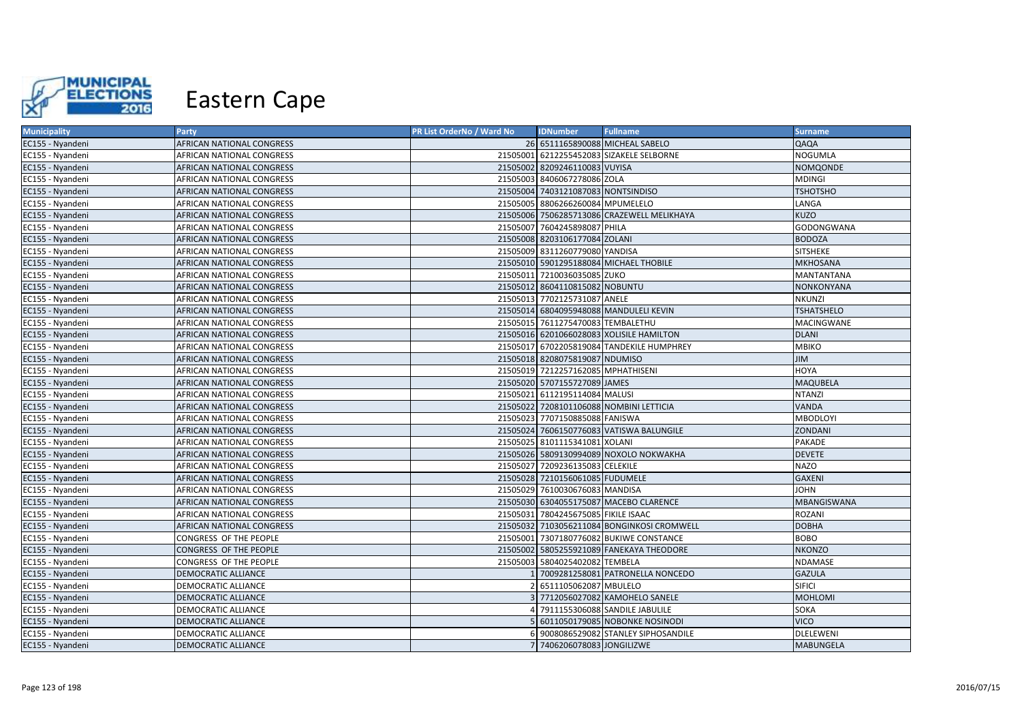

| <b>Municipality</b> | Party                            | PR List OrderNo / Ward No | <b>IDNumber</b>                     | <b>Fullname</b>                            | <b>Surname</b>    |
|---------------------|----------------------------------|---------------------------|-------------------------------------|--------------------------------------------|-------------------|
| EC155 - Nyandeni    | AFRICAN NATIONAL CONGRESS        |                           |                                     | 26 6511165890088 MICHEAL SABELO            | QAQA              |
| EC155 - Nyandeni    | AFRICAN NATIONAL CONGRESS        |                           |                                     | 21505001 6212255452083 SIZAKELE SELBORNE   | <b>NOGUMLA</b>    |
| EC155 - Nyandeni    | AFRICAN NATIONAL CONGRESS        |                           | 21505002 8209246110083 VUYISA       |                                            | NOMQONDE          |
| EC155 - Nyandeni    | AFRICAN NATIONAL CONGRESS        |                           | 21505003 8406067278086 ZOLA         |                                            | MDINGI            |
| EC155 - Nyandeni    | AFRICAN NATIONAL CONGRESS        |                           | 21505004 7403121087083 NONTSINDISO  |                                            | <b>TSHOTSHO</b>   |
| EC155 - Nyandeni    | AFRICAN NATIONAL CONGRESS        |                           | 21505005 8806266260084 MPUMELELO    |                                            | LANGA             |
| EC155 - Nyandeni    | AFRICAN NATIONAL CONGRESS        |                           |                                     | 21505006 7506285713086 CRAZEWELL MELIKHAYA | <b>KUZO</b>       |
| EC155 - Nyandeni    | AFRICAN NATIONAL CONGRESS        |                           | 21505007 7604245898087 PHILA        |                                            | GODONGWANA        |
| EC155 - Nyandeni    | AFRICAN NATIONAL CONGRESS        |                           | 21505008 8203106177084 ZOLANI       |                                            | <b>BODOZA</b>     |
| EC155 - Nyandeni    | AFRICAN NATIONAL CONGRESS        |                           | 21505009 8311260779080 YANDISA      |                                            | <b>SITSHEKE</b>   |
| EC155 - Nyandeni    | AFRICAN NATIONAL CONGRESS        |                           |                                     | 21505010 5901295188084 MICHAEL THOBILE     | <b>MKHOSANA</b>   |
| EC155 - Nyandeni    | AFRICAN NATIONAL CONGRESS        |                           | 21505011 7210036035085 ZUKO         |                                            | MANTANTANA        |
| EC155 - Nyandeni    | AFRICAN NATIONAL CONGRESS        |                           | 21505012 8604110815082 NOBUNTU      |                                            | NONKONYANA        |
| EC155 - Nyandeni    | AFRICAN NATIONAL CONGRESS        |                           | 21505013 7702125731087 ANELE        |                                            | <b>NKUNZI</b>     |
| EC155 - Nyandeni    | AFRICAN NATIONAL CONGRESS        |                           |                                     | 21505014 6804095948088 MANDULELI KEVIN     | <b>TSHATSHELO</b> |
| EC155 - Nyandeni    | AFRICAN NATIONAL CONGRESS        |                           | 21505015 7611275470083 TEMBALETHU   |                                            | MACINGWANE        |
| EC155 - Nyandeni    | AFRICAN NATIONAL CONGRESS        |                           |                                     | 21505016 6201066028083 XOLISILE HAMILTON   | <b>DLANI</b>      |
| EC155 - Nyandeni    | AFRICAN NATIONAL CONGRESS        |                           |                                     | 21505017 6702205819084 TANDEKILE HUMPHREY  | MBIKO             |
| EC155 - Nyandeni    | AFRICAN NATIONAL CONGRESS        |                           | 21505018 8208075819087 NDUMISO      |                                            | JIM               |
| EC155 - Nyandeni    | AFRICAN NATIONAL CONGRESS        |                           | 21505019 7212257162085 MPHATHISENI  |                                            | HOYA              |
| EC155 - Nyandeni    | AFRICAN NATIONAL CONGRESS        |                           | 21505020 5707155727089 JAMES        |                                            | MAQUBELA          |
| EC155 - Nyandeni    | AFRICAN NATIONAL CONGRESS        |                           | 21505021 6112195114084 MALUSI       |                                            | <b>NTANZI</b>     |
| EC155 - Nyandeni    | AFRICAN NATIONAL CONGRESS        |                           |                                     | 21505022 7208101106088 NOMBINI LETTICIA    | VANDA             |
| EC155 - Nyandeni    | AFRICAN NATIONAL CONGRESS        |                           | 21505023 7707150885088 FANISWA      |                                            | <b>MBODLOYI</b>   |
| EC155 - Nyandeni    | AFRICAN NATIONAL CONGRESS        |                           |                                     | 21505024 7606150776083 VATISWA BALUNGILE   | ZONDANI           |
| EC155 - Nyandeni    | AFRICAN NATIONAL CONGRESS        |                           | 21505025 8101115341081 XOLANI       |                                            | PAKADE            |
| EC155 - Nyandeni    | <b>AFRICAN NATIONAL CONGRESS</b> |                           |                                     | 21505026 5809130994089 NOXOLO NOKWAKHA     | <b>DEVETE</b>     |
| EC155 - Nyandeni    | AFRICAN NATIONAL CONGRESS        |                           | 21505027 7209236135083 CELEKILE     |                                            | <b>NAZO</b>       |
| EC155 - Nyandeni    | AFRICAN NATIONAL CONGRESS        |                           | 21505028 7210156061085 FUDUMELE     |                                            | <b>GAXENI</b>     |
| EC155 - Nyandeni    | AFRICAN NATIONAL CONGRESS        |                           | 21505029 7610030676083 MANDISA      |                                            | <b>JOHN</b>       |
| EC155 - Nyandeni    | AFRICAN NATIONAL CONGRESS        |                           |                                     | 21505030 6304055175087 MACEBO CLARENCE     | MBANGISWANA       |
| EC155 - Nyandeni    | AFRICAN NATIONAL CONGRESS        |                           | 21505031 7804245675085 FIKILE ISAAC |                                            | ROZANI            |
| EC155 - Nyandeni    | AFRICAN NATIONAL CONGRESS        |                           |                                     | 21505032 7103056211084 BONGINKOSI CROMWELL | <b>DOBHA</b>      |
| EC155 - Nyandeni    | CONGRESS OF THE PEOPLE           |                           |                                     | 21505001 7307180776082 BUKIWE CONSTANCE    | BOBO              |
| EC155 - Nyandeni    | CONGRESS OF THE PEOPLE           |                           |                                     | 21505002 5805255921089 FANEKAYA THEODORE   | <b>NKONZO</b>     |
| EC155 - Nyandeni    | CONGRESS OF THE PEOPLE           |                           | 21505003 5804025402082 TEMBELA      |                                            | NDAMASE           |
| EC155 - Nyandeni    | DEMOCRATIC ALLIANCE              |                           |                                     | 1 7009281258081 PATRONELLA NONCEDO         | <b>GAZULA</b>     |
| EC155 - Nyandeni    | <b>DEMOCRATIC ALLIANCE</b>       |                           | 2 6511105062087 MBULELO             |                                            | <b>SIFICI</b>     |
| EC155 - Nyandeni    | <b>DEMOCRATIC ALLIANCE</b>       |                           |                                     | 3 7712056027082 KAMOHELO SANELE            | <b>MOHLOMI</b>    |
| EC155 - Nyandeni    | DEMOCRATIC ALLIANCE              |                           |                                     | 7911155306088 SANDILE JABULILE             | SOKA              |
| EC155 - Nyandeni    | <b>DEMOCRATIC ALLIANCE</b>       |                           |                                     | 5 6011050179085 NOBONKE NOSINODI           | <b>VICO</b>       |
| EC155 - Nyandeni    | DEMOCRATIC ALLIANCE              |                           |                                     | 6 9008086529082 STANLEY SIPHOSANDILE       | <b>DLELEWENI</b>  |
| EC155 - Nyandeni    | <b>DEMOCRATIC ALLIANCE</b>       |                           | 7 7406206078083 JONGILIZWE          |                                            | <b>MABUNGELA</b>  |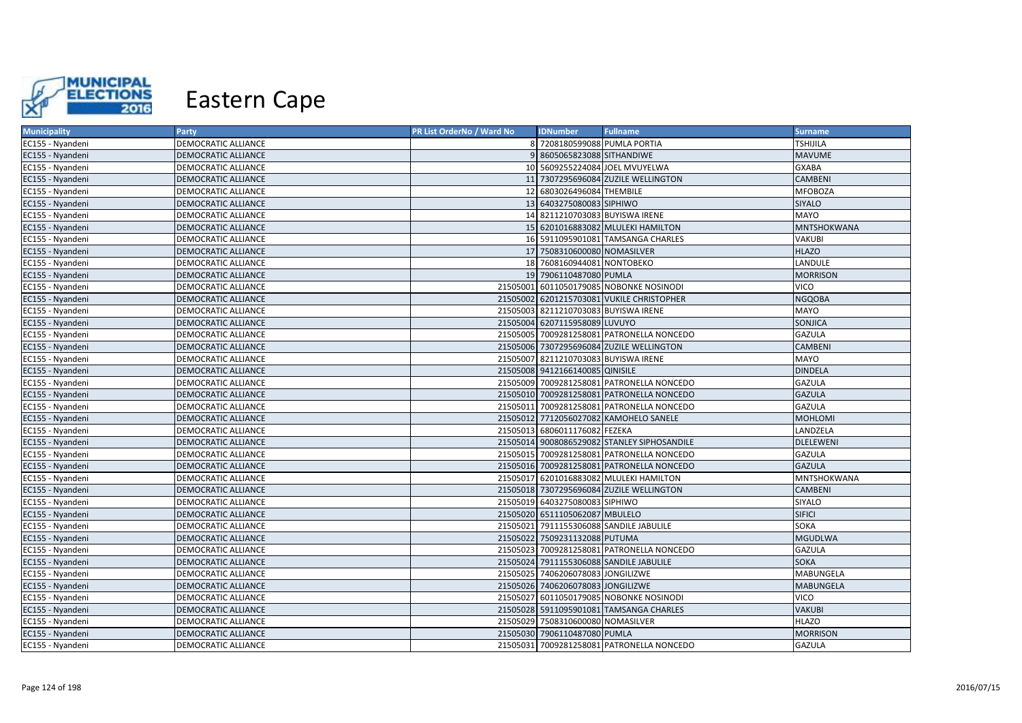

| <b>Municipality</b> | Party                      | PR List OrderNo / Ward No | <b>IDNumber</b>                      | <b>Fullname</b>                             | <b>Surname</b>   |
|---------------------|----------------------------|---------------------------|--------------------------------------|---------------------------------------------|------------------|
| EC155 - Nyandeni    | <b>DEMOCRATIC ALLIANCE</b> |                           | 8 7208180599088 PUMLA PORTIA         |                                             | <b>TSHIJILA</b>  |
| EC155 - Nyandeni    | DEMOCRATIC ALLIANCE        |                           | 8605065823088 SITHANDIWE             |                                             | <b>MAVUME</b>    |
| EC155 - Nyandeni    | <b>DEMOCRATIC ALLIANCE</b> |                           |                                      | 10 5609255224084 JOEL MVUYELWA              | <b>GXABA</b>     |
| EC155 - Nyandeni    | DEMOCRATIC ALLIANCE        |                           |                                      | 11 7307295696084 ZUZILE WELLINGTON          | <b>CAMBENI</b>   |
| EC155 - Nyandeni    | DEMOCRATIC ALLIANCE        |                           | 12 6803026496084 THEMBILE            |                                             | <b>MFOBOZA</b>   |
| EC155 - Nyandeni    | <b>DEMOCRATIC ALLIANCE</b> |                           | 13 6403275080083 SIPHIWO             |                                             | <b>SIYALO</b>    |
| EC155 - Nyandeni    | DEMOCRATIC ALLIANCE        |                           | 14 8211210703083 BUYISWA IRENE       |                                             | MAYO             |
| EC155 - Nyandeni    | <b>DEMOCRATIC ALLIANCE</b> |                           |                                      | 15 6201016883082 MLULEKI HAMILTON           | MNTSHOKWANA      |
| EC155 - Nyandeni    | DEMOCRATIC ALLIANCE        |                           |                                      | 16 5911095901081 TAMSANGA CHARLES           | VAKUBI           |
| EC155 - Nyandeni    | DEMOCRATIC ALLIANCE        |                           | 17 7508310600080 NOMASILVER          |                                             | <b>HLAZO</b>     |
| EC155 - Nyandeni    | DEMOCRATIC ALLIANCE        |                           | 18 7608160944081 NONTOBEKO           |                                             | LANDULE          |
| EC155 - Nyandeni    | DEMOCRATIC ALLIANCE        |                           | 19 7906110487080 PUMLA               |                                             | <b>MORRISON</b>  |
| EC155 - Nyandeni    | <b>DEMOCRATIC ALLIANCE</b> |                           |                                      | 21505001 6011050179085 NOBONKE NOSINODI     | <b>VICO</b>      |
| EC155 - Nyandeni    | <b>DEMOCRATIC ALLIANCE</b> |                           |                                      | 21505002 6201215703081 VUKILE CHRISTOPHER   | <b>NGQOBA</b>    |
| EC155 - Nyandeni    | <b>DEMOCRATIC ALLIANCE</b> |                           | 21505003 8211210703083 BUYISWA IRENE |                                             | MAYO             |
| EC155 - Nyandeni    | <b>DEMOCRATIC ALLIANCE</b> |                           | 21505004 6207115958089 LUVUYO        |                                             | SONJICA          |
| EC155 - Nyandeni    | DEMOCRATIC ALLIANCE        |                           |                                      | 21505005 7009281258081 PATRONELLA NONCEDO   | <b>GAZULA</b>    |
| EC155 - Nyandeni    | <b>DEMOCRATIC ALLIANCE</b> |                           |                                      | 21505006 7307295696084 ZUZILE WELLINGTON    | <b>CAMBENI</b>   |
| EC155 - Nyandeni    | DEMOCRATIC ALLIANCE        |                           | 21505007 8211210703083 BUYISWA IRENE |                                             | MAYO             |
| EC155 - Nyandeni    | <b>DEMOCRATIC ALLIANCE</b> |                           | 21505008 9412166140085 QINISILE      |                                             | <b>DINDELA</b>   |
| EC155 - Nyandeni    | <b>DEMOCRATIC ALLIANCE</b> |                           |                                      | 21505009 7009281258081 PATRONELLA NONCEDO   | <b>GAZULA</b>    |
| EC155 - Nyandeni    | <b>DEMOCRATIC ALLIANCE</b> |                           |                                      | 21505010 7009281258081 PATRONELLA NONCEDO   | <b>GAZULA</b>    |
| EC155 - Nyandeni    | <b>DEMOCRATIC ALLIANCE</b> | 21505011                  |                                      | 7009281258081 PATRONELLA NONCEDO            | <b>GAZULA</b>    |
| EC155 - Nyandeni    | <b>DEMOCRATIC ALLIANCE</b> |                           |                                      | 21505012 7712056027082 KAMOHELO SANELE      | <b>MOHLOMI</b>   |
| EC155 - Nyandeni    | <b>DEMOCRATIC ALLIANCE</b> | 21505013                  | 6806011176082 FEZEKA                 |                                             | LANDZELA         |
| EC155 - Nyandeni    | <b>DEMOCRATIC ALLIANCE</b> |                           |                                      | 21505014 9008086529082 STANLEY SIPHOSANDILE | <b>DLELEWENI</b> |
| EC155 - Nyandeni    | <b>DEMOCRATIC ALLIANCE</b> |                           |                                      | 21505015 7009281258081 PATRONELLA NONCEDO   | <b>GAZULA</b>    |
| EC155 - Nyandeni    | <b>DEMOCRATIC ALLIANCE</b> |                           |                                      | 21505016 7009281258081 PATRONELLA NONCEDO   | <b>GAZULA</b>    |
| EC155 - Nyandeni    | <b>DEMOCRATIC ALLIANCE</b> |                           |                                      | 21505017 6201016883082 MLULEKI HAMILTON     | MNTSHOKWANA      |
| EC155 - Nyandeni    | <b>DEMOCRATIC ALLIANCE</b> |                           |                                      | 21505018 7307295696084 ZUZILE WELLINGTON    | <b>CAMBENI</b>   |
| EC155 - Nyandeni    | <b>DEMOCRATIC ALLIANCE</b> |                           | 21505019 6403275080083 SIPHIWO       |                                             | SIYALO           |
| EC155 - Nyandeni    | <b>DEMOCRATIC ALLIANCE</b> |                           | 21505020 6511105062087 MBULELO       |                                             | <b>SIFICI</b>    |
| EC155 - Nyandeni    | <b>DEMOCRATIC ALLIANCE</b> | 21505021                  |                                      | 7911155306088 SANDILE JABULILE              | SOKA             |
| EC155 - Nyandeni    | <b>DEMOCRATIC ALLIANCE</b> |                           | 21505022 7509231132088 PUTUMA        |                                             | <b>MGUDLWA</b>   |
| EC155 - Nyandeni    | DEMOCRATIC ALLIANCE        |                           |                                      | 21505023 7009281258081 PATRONELLA NONCEDO   | GAZULA           |
| EC155 - Nyandeni    | DEMOCRATIC ALLIANCE        |                           |                                      | 21505024 7911155306088 SANDILE JABULILE     | <b>SOKA</b>      |
| EC155 - Nyandeni    | DEMOCRATIC ALLIANCE        |                           | 21505025 7406206078083 JONGILIZWE    |                                             | MABUNGELA        |
| EC155 - Nyandeni    | <b>DEMOCRATIC ALLIANCE</b> |                           | 21505026 7406206078083 JONGILIZWE    |                                             | <b>MABUNGELA</b> |
| EC155 - Nyandeni    | DEMOCRATIC ALLIANCE        |                           |                                      | 21505027 6011050179085 NOBONKE NOSINODI     | VICO             |
| EC155 - Nyandeni    | <b>DEMOCRATIC ALLIANCE</b> |                           |                                      | 21505028 5911095901081 TAMSANGA CHARLES     | <b>VAKUBI</b>    |
| EC155 - Nyandeni    | DEMOCRATIC ALLIANCE        |                           | 21505029 7508310600080 NOMASILVER    |                                             | <b>HLAZO</b>     |
| EC155 - Nyandeni    | <b>DEMOCRATIC ALLIANCE</b> |                           | 21505030 7906110487080 PUMLA         |                                             | <b>MORRISON</b>  |
| EC155 - Nyandeni    | <b>DEMOCRATIC ALLIANCE</b> |                           |                                      | 21505031 7009281258081 PATRONELLA NONCEDO   | <b>GAZULA</b>    |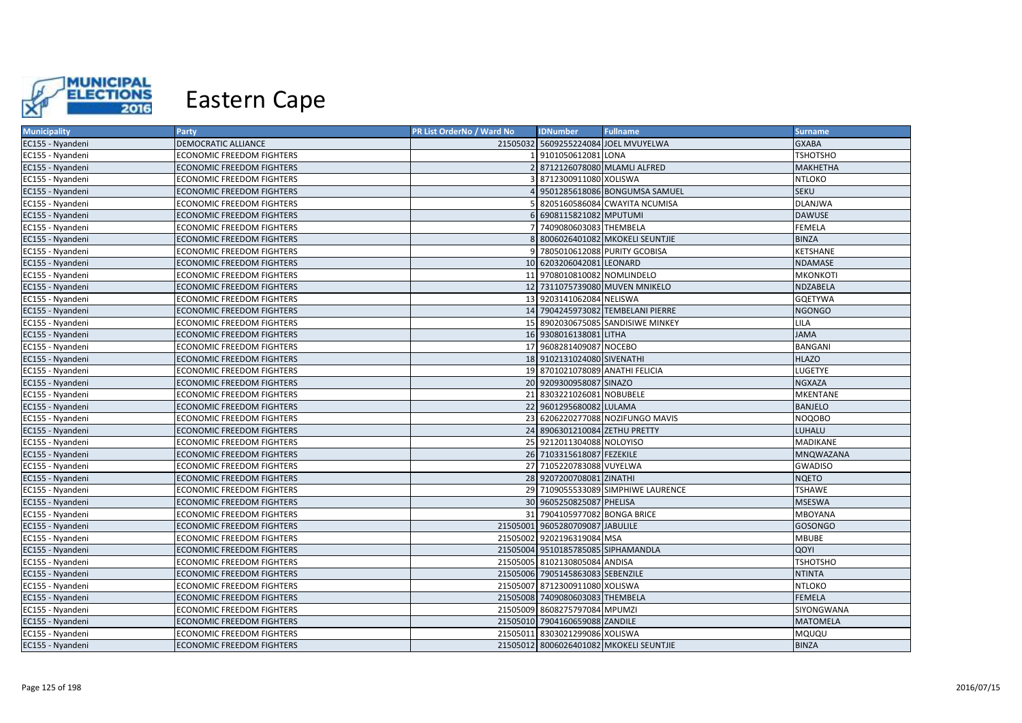

| <b>Municipality</b> | Party                            | PR List OrderNo / Ward No | <b>IDNumber</b>                    | <b>Fullname</b>                         | <b>Surname</b>  |
|---------------------|----------------------------------|---------------------------|------------------------------------|-----------------------------------------|-----------------|
| EC155 - Nyandeni    | DEMOCRATIC ALLIANCE              |                           |                                    | 21505032 5609255224084 JOEL MVUYELWA    | <b>GXABA</b>    |
| EC155 - Nyandeni    | <b>ECONOMIC FREEDOM FIGHTERS</b> |                           | 9101050612081 LONA                 |                                         | <b>TSHOTSHO</b> |
| EC155 - Nyandeni    | <b>ECONOMIC FREEDOM FIGHTERS</b> |                           | 8712126078080 MLAMLI ALFRED        |                                         | MAKHETHA        |
| EC155 - Nyandeni    | ECONOMIC FREEDOM FIGHTERS        |                           | 8712300911080 XOLISWA              |                                         | <b>NTLOKO</b>   |
| EC155 - Nyandeni    | <b>ECONOMIC FREEDOM FIGHTERS</b> |                           |                                    | 9501285618086 BONGUMSA SAMUEL           | <b>SEKU</b>     |
| EC155 - Nyandeni    | <b>ECONOMIC FREEDOM FIGHTERS</b> |                           |                                    | 8205160586084 CWAYITA NCUMISA           | <b>DLANJWA</b>  |
| EC155 - Nyandeni    | <b>ECONOMIC FREEDOM FIGHTERS</b> |                           | 6908115821082 MPUTUMI              |                                         | <b>DAWUSE</b>   |
| EC155 - Nyandeni    | <b>ECONOMIC FREEDOM FIGHTERS</b> |                           | 7409080603083 THEMBELA             |                                         | <b>FEMELA</b>   |
| EC155 - Nyandeni    | <b>ECONOMIC FREEDOM FIGHTERS</b> |                           |                                    | 8006026401082 MKOKELI SEUNTJIE          | <b>BINZA</b>    |
| EC155 - Nyandeni    | <b>ECONOMIC FREEDOM FIGHTERS</b> |                           |                                    | 7805010612088 PURITY GCOBISA            | <b>KETSHANE</b> |
| EC155 - Nyandeni    | <b>ECONOMIC FREEDOM FIGHTERS</b> |                           | 10 6203206042081 LEONARD           |                                         | <b>NDAMASE</b>  |
| EC155 - Nyandeni    | <b>ECONOMIC FREEDOM FIGHTERS</b> |                           | 11 9708010810082 NOMLINDELO        |                                         | <b>MKONKOTI</b> |
| EC155 - Nyandeni    | <b>ECONOMIC FREEDOM FIGHTERS</b> |                           |                                    | 12 7311075739080 MUVEN MNIKELO          | NDZABELA        |
| EC155 - Nyandeni    | <b>ECONOMIC FREEDOM FIGHTERS</b> |                           | 13 9203141062084 NELISWA           |                                         | <b>GQETYWA</b>  |
| EC155 - Nyandeni    | <b>ECONOMIC FREEDOM FIGHTERS</b> |                           |                                    | 14 7904245973082 TEMBELANI PIERRE       | <b>NGONGO</b>   |
| EC155 - Nyandeni    | <b>ECONOMIC FREEDOM FIGHTERS</b> |                           |                                    | 15 8902030675085 SANDISIWE MINKEY       | <b>LILA</b>     |
| EC155 - Nyandeni    | <b>ECONOMIC FREEDOM FIGHTERS</b> |                           | 16 9308016138081 LITHA             |                                         | <b>JAMA</b>     |
| EC155 - Nyandeni    | <b>ECONOMIC FREEDOM FIGHTERS</b> |                           | 17 9608281409087 NOCEBO            |                                         | BANGANI         |
| EC155 - Nyandeni    | <b>ECONOMIC FREEDOM FIGHTERS</b> |                           | 18 9102131024080 SIVENATHI         |                                         | <b>HLAZO</b>    |
| EC155 - Nyandeni    | <b>ECONOMIC FREEDOM FIGHTERS</b> |                           | 19 8701021078089 ANATHI FELICIA    |                                         | LUGETYE         |
| EC155 - Nyandeni    | <b>ECONOMIC FREEDOM FIGHTERS</b> |                           | 20 9209300958087 SINAZO            |                                         | <b>NGXAZA</b>   |
| EC155 - Nyandeni    | <b>ECONOMIC FREEDOM FIGHTERS</b> |                           | 21 8303221026081 NOBUBELE          |                                         | MKENTANE        |
| EC155 - Nyandeni    | <b>ECONOMIC FREEDOM FIGHTERS</b> |                           | 22 9601295680082 LULAMA            |                                         | <b>BANJELO</b>  |
| EC155 - Nyandeni    | <b>ECONOMIC FREEDOM FIGHTERS</b> |                           |                                    | 23 6206220277088 NOZIFUNGO MAVIS        | <b>NOQOBO</b>   |
| EC155 - Nyandeni    | <b>ECONOMIC FREEDOM FIGHTERS</b> |                           | 24 8906301210084 ZETHU PRETTY      |                                         | LUHALU          |
| EC155 - Nyandeni    | <b>ECONOMIC FREEDOM FIGHTERS</b> |                           | 25 9212011304088 NOLOYISO          |                                         | MADIKANE        |
| EC155 - Nyandeni    | <b>ECONOMIC FREEDOM FIGHTERS</b> |                           | 26 7103315618087 FEZEKILE          |                                         | MNQWAZANA       |
| EC155 - Nyandeni    | <b>ECONOMIC FREEDOM FIGHTERS</b> |                           | 27 7105220783088 VUYELWA           |                                         | <b>GWADISO</b>  |
| EC155 - Nyandeni    | <b>ECONOMIC FREEDOM FIGHTERS</b> |                           | 28 9207200708081 ZINATHI           |                                         | <b>NQETO</b>    |
| EC155 - Nyandeni    | <b>ECONOMIC FREEDOM FIGHTERS</b> |                           |                                    | 29 7109055533089 SIMPHIWE LAURENCE      | <b>TSHAWE</b>   |
| EC155 - Nyandeni    | <b>ECONOMIC FREEDOM FIGHTERS</b> |                           | 30 9605250825087 PHELISA           |                                         | <b>MSESWA</b>   |
| EC155 - Nyandeni    | <b>ECONOMIC FREEDOM FIGHTERS</b> |                           | 31 7904105977082 BONGA BRICE       |                                         | MBOYANA         |
| EC155 - Nyandeni    | <b>ECONOMIC FREEDOM FIGHTERS</b> |                           | 21505001 9605280709087 JABULILE    |                                         | <b>GOSONGO</b>  |
| EC155 - Nyandeni    | <b>ECONOMIC FREEDOM FIGHTERS</b> |                           | 21505002 9202196319084 MSA         |                                         | <b>MBUBE</b>    |
| EC155 - Nyandeni    | <b>ECONOMIC FREEDOM FIGHTERS</b> |                           | 21505004 9510185785085 SIPHAMANDLA |                                         | QOYI            |
| EC155 - Nyandeni    | <b>ECONOMIC FREEDOM FIGHTERS</b> |                           | 21505005 8102130805084 ANDISA      |                                         | <b>TSHOTSHO</b> |
| EC155 - Nyandeni    | <b>ECONOMIC FREEDOM FIGHTERS</b> |                           | 21505006 7905145863083 SEBENZILE   |                                         | <b>NTINTA</b>   |
| EC155 - Nyandeni    | <b>ECONOMIC FREEDOM FIGHTERS</b> |                           | 21505007 8712300911080 XOLISWA     |                                         | <b>NTLOKO</b>   |
| EC155 - Nyandeni    | <b>ECONOMIC FREEDOM FIGHTERS</b> |                           | 21505008 7409080603083 THEMBELA    |                                         | <b>FEMELA</b>   |
| EC155 - Nyandeni    | ECONOMIC FREEDOM FIGHTERS        | 21505009                  | 8608275797084 MPUMZI               |                                         | SIYONGWANA      |
| EC155 - Nyandeni    | <b>ECONOMIC FREEDOM FIGHTERS</b> |                           | 21505010 7904160659088 ZANDILE     |                                         | <b>MATOMELA</b> |
| EC155 - Nyandeni    | ECONOMIC FREEDOM FIGHTERS        |                           | 21505011 8303021299086 XOLISWA     |                                         | MQUQU           |
| EC155 - Nyandeni    | <b>ECONOMIC FREEDOM FIGHTERS</b> |                           |                                    | 21505012 8006026401082 MKOKELI SEUNTJIE | <b>BINZA</b>    |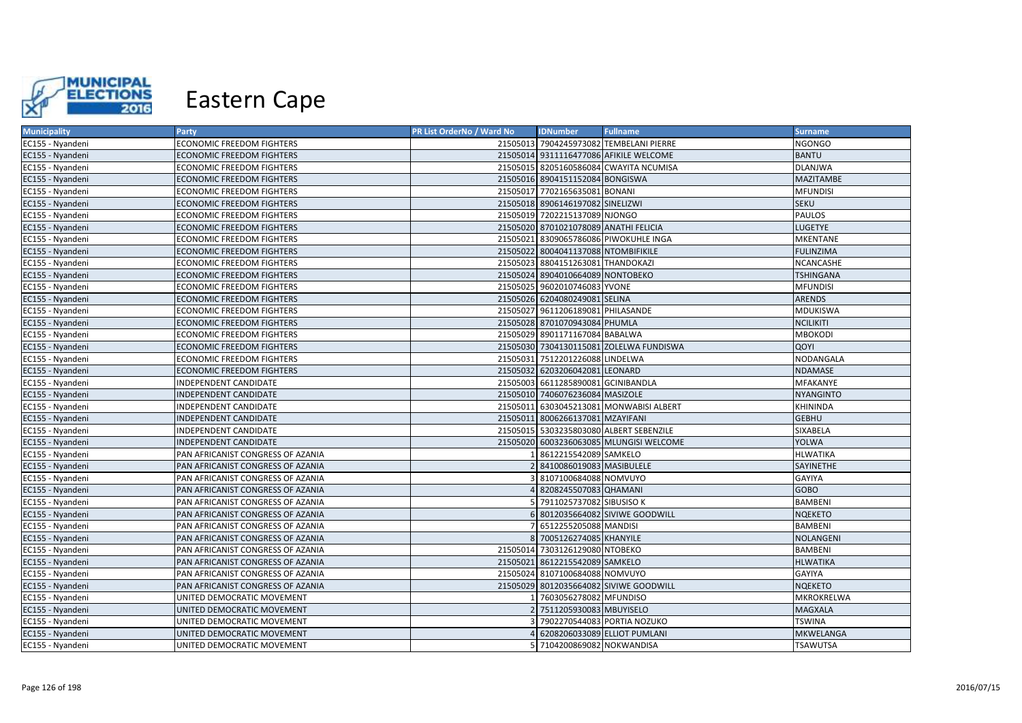

| <b>Municipality</b> | Party                             | PR List OrderNo / Ward No | <b>IDNumber</b>                       | <b>Fullname</b>                         | <b>Surname</b>   |
|---------------------|-----------------------------------|---------------------------|---------------------------------------|-----------------------------------------|------------------|
| EC155 - Nyandeni    | <b>ECONOMIC FREEDOM FIGHTERS</b>  |                           |                                       | 21505013 7904245973082 TEMBELANI PIERRE | <b>NGONGO</b>    |
| EC155 - Nyandeni    | <b>ECONOMIC FREEDOM FIGHTERS</b>  |                           |                                       | 21505014 9311116477086 AFIKILE WELCOME  | <b>BANTU</b>     |
| EC155 - Nyandeni    | <b>ECONOMIC FREEDOM FIGHTERS</b>  |                           |                                       | 21505015 8205160586084 CWAYITA NCUMISA  | <b>DLANJWA</b>   |
| EC155 - Nyandeni    | <b>ECONOMIC FREEDOM FIGHTERS</b>  |                           | 21505016 8904151152084 BONGISWA       |                                         | <b>MAZITAMBE</b> |
| EC155 - Nyandeni    | <b>ECONOMIC FREEDOM FIGHTERS</b>  |                           | 21505017 7702165635081 BONANI         |                                         | <b>MFUNDISI</b>  |
| EC155 - Nyandeni    | <b>ECONOMIC FREEDOM FIGHTERS</b>  |                           | 21505018 8906146197082 SINELIZWI      |                                         | <b>SEKU</b>      |
| EC155 - Nyandeni    | <b>ECONOMIC FREEDOM FIGHTERS</b>  |                           | 21505019 7202215137089 NJONGO         |                                         | PAULOS           |
| EC155 - Nyandeni    | <b>ECONOMIC FREEDOM FIGHTERS</b>  |                           | 21505020 8701021078089 ANATHI FELICIA |                                         | <b>LUGETYE</b>   |
| EC155 - Nyandeni    | <b>ECONOMIC FREEDOM FIGHTERS</b>  |                           |                                       | 21505021 8309065786086 PIWOKUHLE INGA   | <b>MKENTANE</b>  |
| EC155 - Nyandeni    | <b>ECONOMIC FREEDOM FIGHTERS</b>  |                           | 21505022 8004041137088 NTOMBIFIKILE   |                                         | <b>FULINZIMA</b> |
| EC155 - Nyandeni    | <b>ECONOMIC FREEDOM FIGHTERS</b>  |                           | 21505023 8804151263081 THANDOKAZI     |                                         | <b>NCANCASHE</b> |
| EC155 - Nyandeni    | <b>ECONOMIC FREEDOM FIGHTERS</b>  |                           | 21505024 8904010664089 NONTOBEKO      |                                         | <b>TSHINGANA</b> |
| EC155 - Nyandeni    | <b>ECONOMIC FREEDOM FIGHTERS</b>  |                           | 21505025 9602010746083 YVONE          |                                         | <b>MFUNDISI</b>  |
| EC155 - Nyandeni    | <b>ECONOMIC FREEDOM FIGHTERS</b>  |                           | 21505026 6204080249081 SELINA         |                                         | <b>ARENDS</b>    |
| EC155 - Nyandeni    | ECONOMIC FREEDOM FIGHTERS         |                           | 21505027 9611206189081 PHILASANDE     |                                         | MDUKISWA         |
| EC155 - Nyandeni    | ECONOMIC FREEDOM FIGHTERS         |                           | 21505028 8701070943084 PHUMLA         |                                         | <b>NCILIKITI</b> |
| EC155 - Nyandeni    | <b>ECONOMIC FREEDOM FIGHTERS</b>  |                           | 21505029 8901171167084 BABALWA        |                                         | <b>MBOKODI</b>   |
| EC155 - Nyandeni    | ECONOMIC FREEDOM FIGHTERS         |                           |                                       | 21505030 7304130115081 ZOLELWA FUNDISWA | QOYI             |
| EC155 - Nyandeni    | <b>ECONOMIC FREEDOM FIGHTERS</b>  |                           | 21505031 7512201226088 LINDELWA       |                                         | NODANGALA        |
| EC155 - Nyandeni    | <b>ECONOMIC FREEDOM FIGHTERS</b>  |                           | 21505032 6203206042081 LEONARD        |                                         | <b>NDAMASE</b>   |
| EC155 - Nyandeni    | INDEPENDENT CANDIDATE             |                           | 21505003 6611285890081 GCINIBANDLA    |                                         | MFAKANYE         |
| EC155 - Nyandeni    | <b>INDEPENDENT CANDIDATE</b>      |                           | 21505010 7406076236084 MASIZOLE       |                                         | <b>NYANGINTO</b> |
| EC155 - Nyandeni    | INDEPENDENT CANDIDATE             |                           |                                       | 21505011 6303045213081 MONWABISI ALBERT | KHININDA         |
| EC155 - Nyandeni    | <b>INDEPENDENT CANDIDATE</b>      |                           | 21505011 8006266137081 MZAYIFANI      |                                         | <b>GEBHU</b>     |
| EC155 - Nyandeni    | INDEPENDENT CANDIDATE             |                           |                                       | 21505015 5303235803080 ALBERT SEBENZILE | SIXABELA         |
| EC155 - Nyandeni    | INDEPENDENT CANDIDATE             |                           |                                       | 21505020 6003236063085 MLUNGISI WELCOME | <b>YOLWA</b>     |
| EC155 - Nyandeni    | PAN AFRICANIST CONGRESS OF AZANIA |                           | 8612215542089 SAMKELO                 |                                         | <b>HLWATIKA</b>  |
| EC155 - Nyandeni    | PAN AFRICANIST CONGRESS OF AZANIA |                           | 8410086019083 MASIBULELE              |                                         | SAYINETHE        |
| EC155 - Nyandeni    | PAN AFRICANIST CONGRESS OF AZANIA |                           | 8107100684088 NOMVUYO                 |                                         | GAYIYA           |
| EC155 - Nyandeni    | PAN AFRICANIST CONGRESS OF AZANIA |                           | 8208245507083 QHAMANI                 |                                         | <b>GOBO</b>      |
| EC155 - Nyandeni    | PAN AFRICANIST CONGRESS OF AZANIA |                           | 7911025737082 SIBUSISO K              |                                         | <b>BAMBENI</b>   |
| EC155 - Nyandeni    | PAN AFRICANIST CONGRESS OF AZANIA |                           |                                       | 8012035664082 SIVIWE GOODWILL           | <b>NQEKETO</b>   |
| EC155 - Nyandeni    | PAN AFRICANIST CONGRESS OF AZANIA |                           | 6512255205088 MANDISI                 |                                         | <b>BAMBENI</b>   |
| EC155 - Nyandeni    | PAN AFRICANIST CONGRESS OF AZANIA |                           | 8 7005126274085 KHANYILE              |                                         | NOLANGENI        |
| EC155 - Nyandeni    | PAN AFRICANIST CONGRESS OF AZANIA |                           | 21505014 7303126129080 NTOBEKO        |                                         | <b>BAMBENI</b>   |
| EC155 - Nyandeni    | PAN AFRICANIST CONGRESS OF AZANIA |                           | 21505021 8612215542089 SAMKELO        |                                         | <b>HLWATIKA</b>  |
| EC155 - Nyandeni    | PAN AFRICANIST CONGRESS OF AZANIA |                           | 21505024 8107100684088 NOMVUYO        |                                         | GAYIYA           |
| EC155 - Nyandeni    | PAN AFRICANIST CONGRESS OF AZANIA |                           |                                       | 21505029 8012035664082 SIVIWE GOODWILL  | <b>NQEKETO</b>   |
| EC155 - Nyandeni    | UNITED DEMOCRATIC MOVEMENT        |                           | 7603056278082 MFUNDISO                |                                         | MKROKRELWA       |
| EC155 - Nyandeni    | UNITED DEMOCRATIC MOVEMENT        |                           | 7511205930083 MBUYISELO               |                                         | <b>MAGXALA</b>   |
| EC155 - Nyandeni    | UNITED DEMOCRATIC MOVEMENT        |                           |                                       | 7902270544083 PORTIA NOZUKO             | <b>TSWINA</b>    |
| EC155 - Nyandeni    | UNITED DEMOCRATIC MOVEMENT        |                           |                                       | 6208206033089 ELLIOT PUMLANI            | MKWELANGA        |
| EC155 - Nyandeni    | UNITED DEMOCRATIC MOVEMENT        |                           | 5 7104200869082 NOKWANDISA            |                                         | <b>TSAWUTSA</b>  |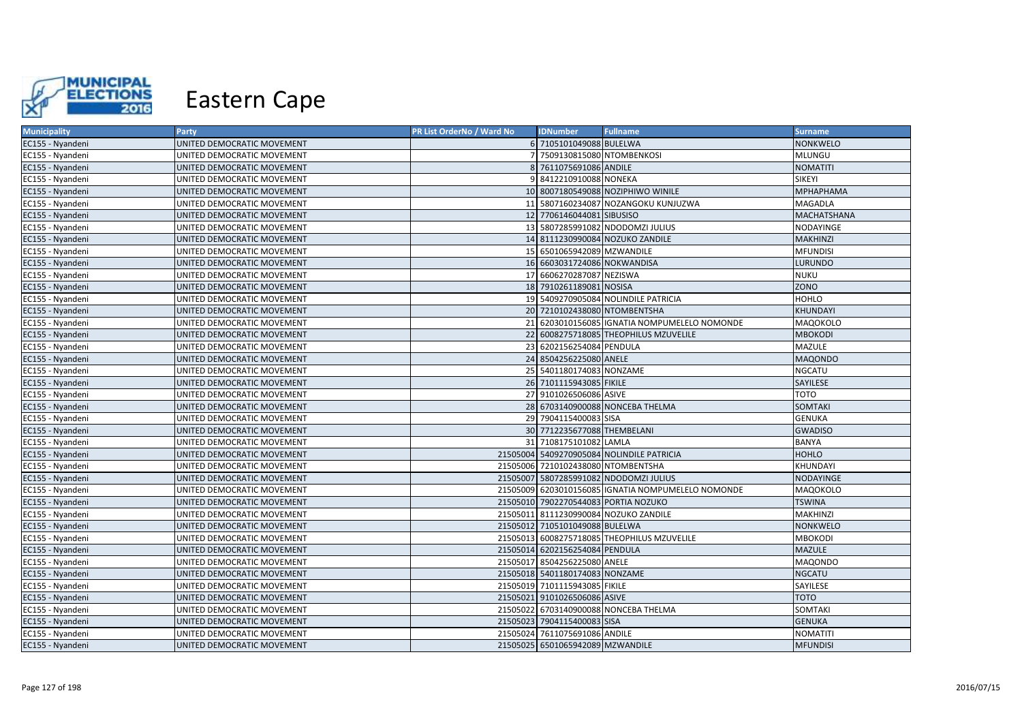

| <b>Municipality</b> | <b>Party</b>               | PR List OrderNo / Ward No | <b>IDNumber</b>                    | <b>Fullname</b>                                   | <b>Surname</b>     |
|---------------------|----------------------------|---------------------------|------------------------------------|---------------------------------------------------|--------------------|
| EC155 - Nyandeni    | UNITED DEMOCRATIC MOVEMENT |                           | 6 7105101049088 BULELWA            |                                                   | <b>NONKWELO</b>    |
| EC155 - Nyandeni    | UNITED DEMOCRATIC MOVEMENT |                           | 7 7509130815080 NTOMBENKOSI        |                                                   | MLUNGU             |
| EC155 - Nyandeni    | UNITED DEMOCRATIC MOVEMENT |                           | 8 7611075691086 ANDILE             |                                                   | <b>NOMATITI</b>    |
| EC155 - Nyandeni    | UNITED DEMOCRATIC MOVEMENT |                           | 9 8412210910088 NONEKA             |                                                   | SIKEYI             |
| EC155 - Nyandeni    | UNITED DEMOCRATIC MOVEMENT |                           |                                    | 10 8007180549088 NOZIPHIWO WINILE                 | <b>МРНАРНАМА</b>   |
| EC155 - Nyandeni    | UNITED DEMOCRATIC MOVEMENT |                           |                                    | 11 5807160234087 NOZANGOKU KUNJUZWA               | MAGADLA            |
| EC155 - Nyandeni    | UNITED DEMOCRATIC MOVEMENT |                           | 12 7706146044081 SIBUSISO          |                                                   | <b>MACHATSHANA</b> |
| EC155 - Nyandeni    | UNITED DEMOCRATIC MOVEMENT |                           |                                    | 13 5807285991082 NDODOMZI JULIUS                  | NODAYINGE          |
| EC155 - Nyandeni    | UNITED DEMOCRATIC MOVEMENT |                           |                                    | 14 8111230990084 NOZUKO ZANDILE                   | <b>MAKHINZI</b>    |
| EC155 - Nyandeni    | UNITED DEMOCRATIC MOVEMENT |                           | 15 6501065942089 MZWANDILE         |                                                   | <b>MFUNDISI</b>    |
| EC155 - Nyandeni    | UNITED DEMOCRATIC MOVEMENT |                           | 16 6603031724086 NOKWANDISA        |                                                   | <b>LURUNDO</b>     |
| EC155 - Nyandeni    | UNITED DEMOCRATIC MOVEMENT |                           | 17 6606270287087 NEZISWA           |                                                   | <b>NUKU</b>        |
| EC155 - Nyandeni    | UNITED DEMOCRATIC MOVEMENT |                           | 18 7910261189081 NOSISA            |                                                   | ZONO               |
| EC155 - Nyandeni    | UNITED DEMOCRATIC MOVEMENT |                           |                                    | 19 5409270905084 NOLINDILE PATRICIA               | HOHLO              |
| EC155 - Nyandeni    | UNITED DEMOCRATIC MOVEMENT |                           | 20 7210102438080 NTOMBENTSHA       |                                                   | KHUNDAYI           |
| EC155 - Nyandeni    | UNITED DEMOCRATIC MOVEMENT |                           |                                    | 21 6203010156085 GNATIA NOMPUMELELO NOMONDE       | MAQOKOLO           |
| EC155 - Nyandeni    | UNITED DEMOCRATIC MOVEMENT |                           |                                    | 22 6008275718085 THEOPHILUS MZUVELILE             | <b>MBOKODI</b>     |
| EC155 - Nyandeni    | UNITED DEMOCRATIC MOVEMENT |                           | 23 6202156254084 PENDULA           |                                                   | MAZULE             |
| EC155 - Nyandeni    | UNITED DEMOCRATIC MOVEMENT |                           | 24 8504256225080 ANELE             |                                                   | <b>MAQONDO</b>     |
| EC155 - Nyandeni    | UNITED DEMOCRATIC MOVEMENT |                           | 25 5401180174083 NONZAME           |                                                   | NGCATU             |
| EC155 - Nyandeni    | UNITED DEMOCRATIC MOVEMENT |                           | 26 7101115943085 FIKILE            |                                                   | SAYILESE           |
| EC155 - Nyandeni    | UNITED DEMOCRATIC MOVEMENT |                           | 27 9101026506086 ASIVE             |                                                   | тото               |
| EC155 - Nyandeni    | UNITED DEMOCRATIC MOVEMENT |                           |                                    | 28 6703140900088 NONCEBA THELMA                   | <b>SOMTAKI</b>     |
| EC155 - Nyandeni    | UNITED DEMOCRATIC MOVEMENT |                           | 29 7904115400083 SISA              |                                                   | <b>GENUKA</b>      |
| EC155 - Nyandeni    | UNITED DEMOCRATIC MOVEMENT |                           | 30 7712235677088 THEMBELANI        |                                                   | <b>GWADISO</b>     |
| EC155 - Nyandeni    | UNITED DEMOCRATIC MOVEMENT |                           | 31 7108175101082 LAMLA             |                                                   | BANYA              |
| EC155 - Nyandeni    | UNITED DEMOCRATIC MOVEMENT |                           |                                    | 21505004 5409270905084 NOLINDILE PATRICIA         | <b>HOHLO</b>       |
| EC155 - Nyandeni    | UNITED DEMOCRATIC MOVEMENT |                           | 21505006 7210102438080 NTOMBENTSHA |                                                   | KHUNDAYI           |
| EC155 - Nyandeni    | UNITED DEMOCRATIC MOVEMENT |                           |                                    | 21505007 5807285991082 NDODOMZI JULIUS            | <b>NODAYINGE</b>   |
| EC155 - Nyandeni    | UNITED DEMOCRATIC MOVEMENT |                           |                                    | 21505009 6203010156085 GNATIA NOMPUMELELO NOMONDE | MAQOKOLO           |
| EC155 - Nyandeni    | UNITED DEMOCRATIC MOVEMENT |                           |                                    | 21505010 7902270544083 PORTIA NOZUKO              | <b>TSWINA</b>      |
| EC155 - Nyandeni    | UNITED DEMOCRATIC MOVEMENT |                           |                                    | 21505011 8111230990084 NOZUKO ZANDILE             | MAKHINZI           |
| EC155 - Nyandeni    | UNITED DEMOCRATIC MOVEMENT |                           | 21505012 7105101049088 BULELWA     |                                                   | NONKWELO           |
| EC155 - Nyandeni    | UNITED DEMOCRATIC MOVEMENT |                           |                                    | 21505013 6008275718085 THEOPHILUS MZUVELILE       | <b>MBOKODI</b>     |
| EC155 - Nyandeni    | UNITED DEMOCRATIC MOVEMENT |                           | 21505014 6202156254084 PENDULA     |                                                   | <b>MAZULE</b>      |
| EC155 - Nyandeni    | UNITED DEMOCRATIC MOVEMENT |                           | 21505017 8504256225080 ANELE       |                                                   | MAQONDO            |
| EC155 - Nyandeni    | UNITED DEMOCRATIC MOVEMENT |                           | 21505018 5401180174083 NONZAME     |                                                   | <b>NGCATU</b>      |
| EC155 - Nyandeni    | UNITED DEMOCRATIC MOVEMENT |                           | 21505019 7101115943085 FIKILE      |                                                   | SAYILESE           |
| EC155 - Nyandeni    | UNITED DEMOCRATIC MOVEMENT |                           | 21505021 9101026506086 ASIVE       |                                                   | <b>TOTO</b>        |
| EC155 - Nyandeni    | UNITED DEMOCRATIC MOVEMENT |                           |                                    | 21505022 6703140900088 NONCEBA THELMA             | SOMTAKI            |
| EC155 - Nyandeni    | UNITED DEMOCRATIC MOVEMENT |                           | 21505023 7904115400083 SISA        |                                                   | <b>GENUKA</b>      |
| EC155 - Nyandeni    | UNITED DEMOCRATIC MOVEMENT |                           | 21505024 7611075691086 ANDILE      |                                                   | <b>NOMATITI</b>    |
| EC155 - Nyandeni    | UNITED DEMOCRATIC MOVEMENT |                           | 21505025 6501065942089 MZWANDILE   |                                                   | <b>MFUNDISI</b>    |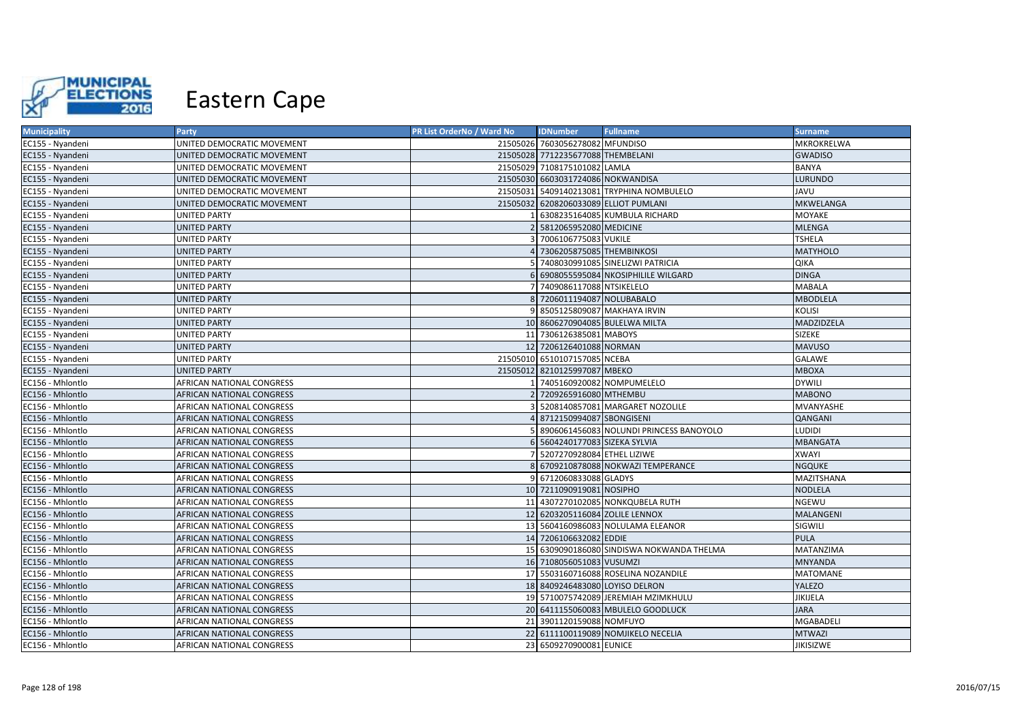

| <b>Municipality</b> | Party                            | PR List OrderNo / Ward No | <b>IDNumber</b>                   | <b>Fullname</b>                           | <b>Surname</b>   |
|---------------------|----------------------------------|---------------------------|-----------------------------------|-------------------------------------------|------------------|
| EC155 - Nyandeni    | UNITED DEMOCRATIC MOVEMENT       |                           | 21505026 7603056278082 MFUNDISO   |                                           | MKROKRELWA       |
| EC155 - Nyandeni    | UNITED DEMOCRATIC MOVEMENT       |                           | 21505028 7712235677088 THEMBELANI |                                           | <b>GWADISO</b>   |
| EC155 - Nyandeni    | UNITED DEMOCRATIC MOVEMENT       |                           | 21505029 7108175101082 LAMLA      |                                           | <b>BANYA</b>     |
| EC155 - Nyandeni    | UNITED DEMOCRATIC MOVEMENT       |                           | 21505030 6603031724086 NOKWANDISA |                                           | <b>LURUNDO</b>   |
| EC155 - Nyandeni    | UNITED DEMOCRATIC MOVEMENT       | 21505031                  |                                   | 5409140213081 TRYPHINA NOMBULELO          | JAVU             |
| EC155 - Nyandeni    | UNITED DEMOCRATIC MOVEMENT       |                           |                                   | 21505032 6208206033089 ELLIOT PUMLANI     | MKWELANGA        |
| EC155 - Nyandeni    | <b>UNITED PARTY</b>              |                           |                                   | 6308235164085 KUMBULA RICHARD             | <b>MOYAKE</b>    |
| EC155 - Nyandeni    | <b>UNITED PARTY</b>              |                           | 5812065952080 MEDICINE            |                                           | <b>MLENGA</b>    |
| EC155 - Nyandeni    | <b>UNITED PARTY</b>              |                           | 7006106775083 VUKILE              |                                           | <b>TSHELA</b>    |
| EC155 - Nyandeni    | <b>UNITED PARTY</b>              |                           | 7306205875085 THEMBINKOSI         |                                           | <b>MATYHOLO</b>  |
| EC155 - Nyandeni    | <b>UNITED PARTY</b>              |                           |                                   | 7408030991085 SINELIZWI PATRICIA          | QIKA             |
| EC155 - Nyandeni    | <b>UNITED PARTY</b>              |                           |                                   | 6908055595084 NKOSIPHILILE WILGARD        | <b>DINGA</b>     |
| EC155 - Nyandeni    | <b>UNITED PARTY</b>              |                           | 7409086117088 NTSIKELELO          |                                           | <b>MABALA</b>    |
| EC155 - Nyandeni    | <b>UNITED PARTY</b>              |                           | 7206011194087 NOLUBABALO          |                                           | <b>MBODLELA</b>  |
| EC155 - Nyandeni    | <b>UNITED PARTY</b>              |                           |                                   | 8505125809087 MAKHAYA IRVIN               | <b>KOLISI</b>    |
| EC155 - Nyandeni    | <b>UNITED PARTY</b>              |                           |                                   | 10 8606270904085 BULELWA MILTA            | MADZIDZELA       |
| EC155 - Nyandeni    | <b>UNITED PARTY</b>              |                           | 11 7306126385081 MABOYS           |                                           | SIZEKE           |
| EC155 - Nyandeni    | <b>UNITED PARTY</b>              |                           | 12 7206126401088 NORMAN           |                                           | <b>MAVUSO</b>    |
| EC155 - Nyandeni    | <b>UNITED PARTY</b>              |                           | 21505010 6510107157085 NCEBA      |                                           | <b>GALAWE</b>    |
| EC155 - Nyandeni    | <b>UNITED PARTY</b>              |                           | 21505012 8210125997087 MBEKO      |                                           | <b>MBOXA</b>     |
| EC156 - Mhlontlo    | <b>AFRICAN NATIONAL CONGRESS</b> |                           | 7405160920082 NOMPUMELELO         |                                           | <b>DYWILI</b>    |
| EC156 - Mhlontlo    | <b>AFRICAN NATIONAL CONGRESS</b> |                           | 7209265916080 MTHEMBU             |                                           | <b>MABONO</b>    |
| EC156 - Mhlontlo    | AFRICAN NATIONAL CONGRESS        |                           |                                   | 5208140857081 MARGARET NOZOLILE           | MVANYASHE        |
| EC156 - Mhlontlo    | <b>AFRICAN NATIONAL CONGRESS</b> |                           | 8712150994087 SBONGISENI          |                                           | QANGANI          |
| EC156 - Mhlontlo    | <b>AFRICAN NATIONAL CONGRESS</b> |                           |                                   | 8906061456083 NOLUNDI PRINCESS BANOYOLO   | <b>LUDIDI</b>    |
| EC156 - Mhlontlo    | AFRICAN NATIONAL CONGRESS        |                           | 5604240177083 SIZEKA SYLVIA       |                                           | <b>MBANGATA</b>  |
| EC156 - Mhlontlo    | AFRICAN NATIONAL CONGRESS        |                           | 5207270928084 ETHEL LIZIWE        |                                           | <b>XWAYI</b>     |
| EC156 - Mhlontlo    | <b>AFRICAN NATIONAL CONGRESS</b> |                           |                                   | 8 6709210878088 NOKWAZI TEMPERANCE        | <b>NGQUKE</b>    |
| EC156 - Mhlontlo    | AFRICAN NATIONAL CONGRESS        |                           | 6712060833088 GLADYS              |                                           | MAZITSHANA       |
| EC156 - Mhlontlo    | AFRICAN NATIONAL CONGRESS        |                           | 10 7211090919081 NOSIPHO          |                                           | NODLELA          |
| EC156 - Mhlontlo    | <b>AFRICAN NATIONAL CONGRESS</b> |                           |                                   | 11 4307270102085 NONKQUBELA RUTH          | NGEWU            |
| EC156 - Mhlontlo    | AFRICAN NATIONAL CONGRESS        |                           | 12 6203205116084 ZOLILE LENNOX    |                                           | MALANGENI        |
| EC156 - Mhlontlo    | AFRICAN NATIONAL CONGRESS        |                           |                                   | 13 5604160986083 NOLULAMA ELEANOR         | SIGWILI          |
| EC156 - Mhlontlo    | AFRICAN NATIONAL CONGRESS        |                           | 14 7206106632082 EDDIE            |                                           | <b>PULA</b>      |
| EC156 - Mhlontlo    | <b>AFRICAN NATIONAL CONGRESS</b> |                           |                                   | 15 6309090186080 SINDISWA NOKWANDA THELMA | MATANZIMA        |
| EC156 - Mhlontlo    | AFRICAN NATIONAL CONGRESS        |                           | 16 7108056051083 VUSUMZI          |                                           | <b>MNYANDA</b>   |
| EC156 - Mhlontlo    | <b>AFRICAN NATIONAL CONGRESS</b> |                           |                                   | 17 5503160716088 ROSELINA NOZANDILE       | <b>MATOMANE</b>  |
| EC156 - Mhlontlo    | AFRICAN NATIONAL CONGRESS        |                           | 18 8409246483080 LOYISO DELRON    |                                           | <b>YALEZO</b>    |
| EC156 - Mhlontlo    | AFRICAN NATIONAL CONGRESS        |                           |                                   | 19 5710075742089 JEREMIAH MZIMKHULU       | JIKIJELA         |
| EC156 - Mhlontlo    | AFRICAN NATIONAL CONGRESS        |                           |                                   | 20 6411155060083 MBULELO GOODLUCK         | <b>JARA</b>      |
| EC156 - Mhlontlo    | AFRICAN NATIONAL CONGRESS        |                           | 21 3901120159088 NOMFUYO          |                                           | MGABADELI        |
| EC156 - Mhlontlo    | AFRICAN NATIONAL CONGRESS        |                           |                                   | 22 6111100119089 NOMJIKELO NECELIA        | <b>MTWAZI</b>    |
| EC156 - Mhlontlo    | <b>AFRICAN NATIONAL CONGRESS</b> |                           | 23 6509270900081 EUNICE           |                                           | <b>JIKISIZWE</b> |
|                     |                                  |                           |                                   |                                           |                  |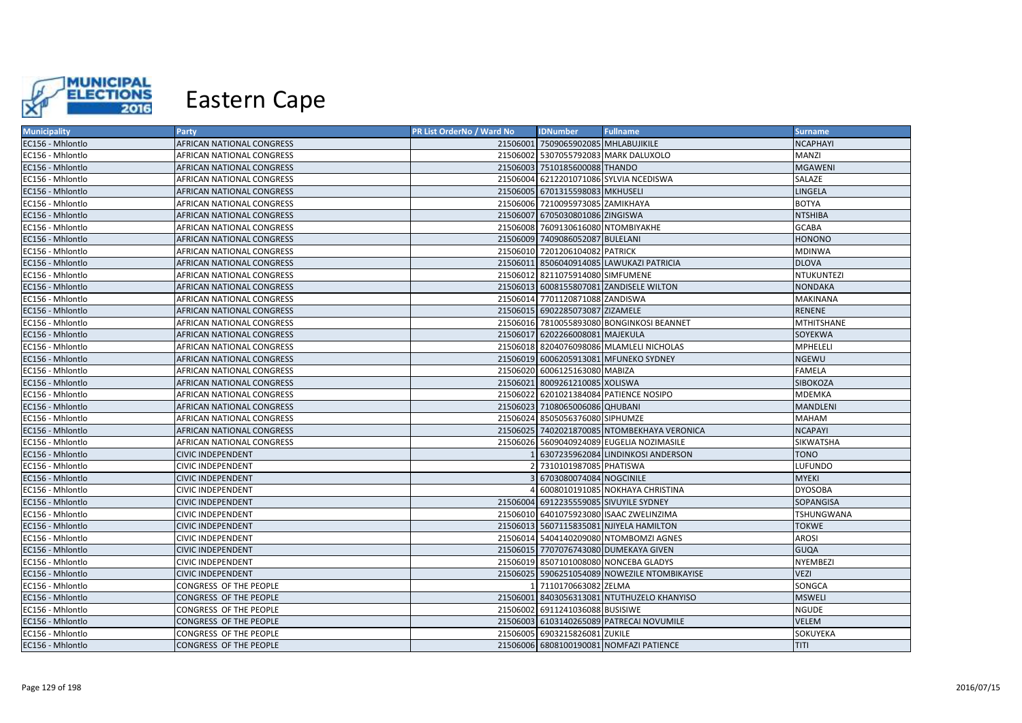

| <b>Municipality</b> | Party                            | PR List OrderNo / Ward No | <b>IDNumber</b>                     | <b>Fullname</b>                              | <b>Surname</b>    |
|---------------------|----------------------------------|---------------------------|-------------------------------------|----------------------------------------------|-------------------|
| EC156 - Mhlontlo    | AFRICAN NATIONAL CONGRESS        |                           | 21506001 7509065902085 MHLABUJIKILE |                                              | <b>NCAPHAYI</b>   |
| EC156 - Mhlontlo    | AFRICAN NATIONAL CONGRESS        |                           |                                     | 21506002 5307055792083 MARK DALUXOLO         | MANZI             |
| EC156 - Mhlontlo    | <b>AFRICAN NATIONAL CONGRESS</b> |                           | 21506003 7510185600088 THANDO       |                                              | <b>MGAWENI</b>    |
| EC156 - Mhlontlo    | AFRICAN NATIONAL CONGRESS        |                           |                                     | 21506004 6212201071086 SYLVIA NCEDISWA       | SALAZE            |
| EC156 - Mhlontlo    | <b>AFRICAN NATIONAL CONGRESS</b> |                           | 21506005 6701315598083 MKHUSELI     |                                              | LINGELA           |
| EC156 - Mhlontlo    | AFRICAN NATIONAL CONGRESS        |                           | 21506006 7210095973085 ZAMIKHAYA    |                                              | <b>BOTYA</b>      |
| EC156 - Mhlontlo    | <b>AFRICAN NATIONAL CONGRESS</b> |                           | 21506007 6705030801086 ZINGISWA     |                                              | <b>NTSHIBA</b>    |
| EC156 - Mhlontlo    | AFRICAN NATIONAL CONGRESS        |                           | 21506008 7609130616080 NTOMBIYAKHE  |                                              | GCABA             |
| EC156 - Mhlontlo    | AFRICAN NATIONAL CONGRESS        |                           | 21506009 7409086052087 BULELANI     |                                              | <b>HONONO</b>     |
| EC156 - Mhlontlo    | AFRICAN NATIONAL CONGRESS        |                           | 21506010 7201206104082 PATRICK      |                                              | <b>MDINWA</b>     |
| EC156 - Mhlontlo    | AFRICAN NATIONAL CONGRESS        |                           |                                     | 21506011 8506040914085 LAWUKAZI PATRICIA     | <b>DLOVA</b>      |
| EC156 - Mhlontlo    | AFRICAN NATIONAL CONGRESS        |                           | 21506012 8211075914080 SIMFUMENE    |                                              | <b>NTUKUNTEZI</b> |
| EC156 - Mhlontlo    | AFRICAN NATIONAL CONGRESS        |                           |                                     | 21506013 6008155807081 ZANDISELE WILTON      | <b>NONDAKA</b>    |
| EC156 - Mhlontlo    | AFRICAN NATIONAL CONGRESS        |                           | 21506014 7701120871088 ZANDISWA     |                                              | MAKINANA          |
| EC156 - Mhlontlo    | <b>AFRICAN NATIONAL CONGRESS</b> |                           | 21506015 6902285073087 ZIZAMELE     |                                              | <b>RENENE</b>     |
| EC156 - Mhlontlo    | AFRICAN NATIONAL CONGRESS        |                           |                                     | 21506016 7810055893080 BONGINKOSI BEANNET    | MTHITSHANE        |
| EC156 - Mhlontlo    | AFRICAN NATIONAL CONGRESS        |                           | 21506017 6202266008081 MAJEKULA     |                                              | SOYEKWA           |
| EC156 - Mhlontlo    | AFRICAN NATIONAL CONGRESS        |                           |                                     | 21506018 8204076098086 MLAMLELI NICHOLAS     | MPHELELI          |
| EC156 - Mhlontlo    | AFRICAN NATIONAL CONGRESS        |                           |                                     | 21506019 6006205913081 MFUNEKO SYDNEY        | <b>NGEWU</b>      |
| EC156 - Mhlontlo    | AFRICAN NATIONAL CONGRESS        |                           | 21506020 6006125163080 MABIZA       |                                              | <b>FAMELA</b>     |
| EC156 - Mhlontlo    | <b>AFRICAN NATIONAL CONGRESS</b> |                           | 21506021 8009261210085 XOLISWA      |                                              | SIBOKOZA          |
| EC156 - Mhlontlo    | AFRICAN NATIONAL CONGRESS        |                           |                                     | 21506022 6201021384084 PATIENCE NOSIPO       | MDEMKA            |
| EC156 - Mhlontlo    | <b>AFRICAN NATIONAL CONGRESS</b> |                           | 21506023 7108065006086 QHUBANI      |                                              | MANDLENI          |
| EC156 - Mhlontlo    | AFRICAN NATIONAL CONGRESS        |                           | 21506024 8505056376080 SIPHUMZE     |                                              | MAHAM             |
| EC156 - Mhlontlo    | <b>AFRICAN NATIONAL CONGRESS</b> |                           |                                     | 21506025 7402021870085 NTOMBEKHAYA VERONICA  | <b>NCAPAYI</b>    |
| EC156 - Mhlontlo    | AFRICAN NATIONAL CONGRESS        |                           |                                     | 21506026 5609040924089 EUGELIA NOZIMASILE    | SIKWATSHA         |
| EC156 - Mhlontlo    | <b>CIVIC INDEPENDENT</b>         |                           |                                     | 1 6307235962084 LINDINKOSI ANDERSON          | <b>TONO</b>       |
| EC156 - Mhlontlo    | <b>CIVIC INDEPENDENT</b>         |                           | 7310101987085 PHATISWA              |                                              | LUFUNDO           |
| EC156 - Mhlontlo    | <b>CIVIC INDEPENDENT</b>         |                           | 6703080074084 NOGCINILE             |                                              | <b>MYEKI</b>      |
| EC156 - Mhlontlo    | <b>CIVIC INDEPENDENT</b>         |                           |                                     | 4 6008010191085 NOKHAYA CHRISTINA            | <b>DYOSOBA</b>    |
| EC156 - Mhlontlo    | <b>CIVIC INDEPENDENT</b>         |                           |                                     | 21506004 6912235559085 SIVUYILE SYDNEY       | SOPANGISA         |
| EC156 - Mhlontlo    | <b>CIVIC INDEPENDENT</b>         |                           |                                     | 21506010 6401075923080 ISAAC ZWELINZIMA      | TSHUNGWANA        |
| EC156 - Mhlontlo    | <b>CIVIC INDEPENDENT</b>         |                           |                                     | 21506013 5607115835081 NJIYELA HAMILTON      | <b>TOKWE</b>      |
| EC156 - Mhlontlo    | <b>CIVIC INDEPENDENT</b>         |                           |                                     | 21506014 5404140209080 NTOMBOMZI AGNES       | <b>AROSI</b>      |
| EC156 - Mhlontlo    | <b>CIVIC INDEPENDENT</b>         |                           |                                     | 21506015 7707076743080 DUMEKAYA GIVEN        | <b>GUQA</b>       |
| EC156 - Mhlontlo    | <b>CIVIC INDEPENDENT</b>         |                           |                                     | 21506019 8507101008080 NONCEBA GLADYS        | NYEMBEZI          |
| EC156 - Mhlontlo    | <b>CIVIC INDEPENDENT</b>         |                           |                                     | 21506025 5906251054089 NOWEZILE NTOMBIKAYISE | VEZI              |
| EC156 - Mhlontlo    | CONGRESS OF THE PEOPLE           |                           | 1 7110170663082 ZELMA               |                                              | SONGCA            |
| EC156 - Mhlontlo    | <b>CONGRESS OF THE PEOPLE</b>    |                           |                                     | 21506001 8403056313081 NTUTHUZELO KHANYISO   | <b>MSWELI</b>     |
| EC156 - Mhlontlo    | <b>CONGRESS OF THE PEOPLE</b>    |                           | 21506002 6911241036088 BUSISIWE     |                                              | NGUDE             |
| EC156 - Mhlontlo    | CONGRESS OF THE PEOPLE           |                           |                                     | 21506003 6103140265089 PATRECAI NOVUMILE     | VELEM             |
| EC156 - Mhlontlo    | CONGRESS OF THE PEOPLE           |                           | 21506005 6903215826081 ZUKILE       |                                              | SOKUYEKA          |
| EC156 - Mhlontlo    | CONGRESS OF THE PEOPLE           |                           |                                     | 21506006 6808100190081 NOMFAZI PATIENCE      | TITI              |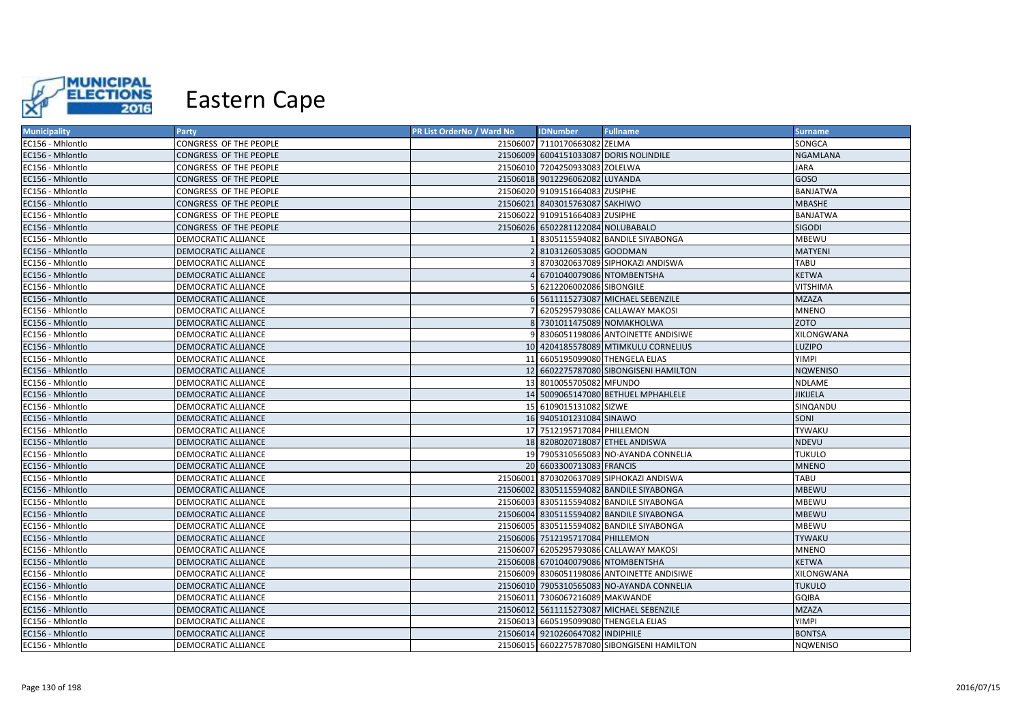

| <b>Municipality</b> | Party                         | PR List OrderNo / Ward No | <b>IDNumber</b>                    | <b>Fullname</b>                             | <b>Surname</b>    |
|---------------------|-------------------------------|---------------------------|------------------------------------|---------------------------------------------|-------------------|
| EC156 - Mhlontlo    | CONGRESS OF THE PEOPLE        |                           | 21506007 7110170663082 ZELMA       |                                             | SONGCA            |
| EC156 - Mhlontlo    | CONGRESS OF THE PEOPLE        |                           |                                    | 21506009 6004151033087 DORIS NOLINDILE      | <b>NGAMLANA</b>   |
| EC156 - Mhlontlo    | CONGRESS OF THE PEOPLE        |                           | 21506010 7204250933083 ZOLELWA     |                                             | <b>JARA</b>       |
| EC156 - Mhlontlo    | CONGRESS OF THE PEOPLE        |                           | 21506018 9012296062082 LUYANDA     |                                             | GOSO              |
| EC156 - Mhlontlo    | CONGRESS OF THE PEOPLE        |                           | 21506020 9109151664083 ZUSIPHE     |                                             | <b>BANJATWA</b>   |
| EC156 - Mhlontlo    | CONGRESS OF THE PEOPLE        |                           | 21506021 8403015763087 SAKHIWO     |                                             | <b>MBASHE</b>     |
| EC156 - Mhlontlo    | <b>CONGRESS OF THE PEOPLE</b> |                           | 21506022 9109151664083 ZUSIPHE     |                                             | <b>BANJATWA</b>   |
| EC156 - Mhlontlo    | CONGRESS OF THE PEOPLE        |                           | 21506026 6502281122084 NOLUBABALO  |                                             | <b>SIGODI</b>     |
| EC156 - Mhlontlo    | DEMOCRATIC ALLIANCE           |                           |                                    | 8305115594082 BANDILE SIYABONGA             | <b>MBEWU</b>      |
| EC156 - Mhlontlo    | <b>DEMOCRATIC ALLIANCE</b>    |                           | 8103126053085 GOODMAN              |                                             | <b>MATYENI</b>    |
| EC156 - Mhlontlo    | <b>DEMOCRATIC ALLIANCE</b>    |                           |                                    | 8703020637089 SIPHOKAZI ANDISWA             | <b>TABU</b>       |
| EC156 - Mhlontlo    | <b>DEMOCRATIC ALLIANCE</b>    |                           |                                    | 6701040079086 NTOMBENTSHA                   | <b>KETWA</b>      |
| EC156 - Mhlontlo    | <b>DEMOCRATIC ALLIANCE</b>    |                           | 6212206002086 SIBONGILE            |                                             | <b>VITSHIMA</b>   |
| EC156 - Mhlontlo    | <b>DEMOCRATIC ALLIANCE</b>    |                           |                                    | 5611115273087 MICHAEL SEBENZILE             | <b>MZAZA</b>      |
| EC156 - Mhlontlo    | <b>DEMOCRATIC ALLIANCE</b>    |                           |                                    | 6205295793086 CALLAWAY MAKOSI               | <b>MNENO</b>      |
| EC156 - Mhlontlo    | <b>DEMOCRATIC ALLIANCE</b>    |                           | 8 7301011475089 NOMAKHOLWA         |                                             | <b>ZOTO</b>       |
| EC156 - Mhlontlo    | <b>DEMOCRATIC ALLIANCE</b>    |                           |                                    | 8306051198086 ANTOINETTE ANDISIWE           | <b>XILONGWANA</b> |
| EC156 - Mhlontlo    | <b>DEMOCRATIC ALLIANCE</b>    |                           |                                    | 10 4204185578089 MTIMKULU CORNELIUS         | LUZIPO            |
| EC156 - Mhlontlo    | <b>DEMOCRATIC ALLIANCE</b>    |                           |                                    | 11 6605195099080 THENGELA ELIAS             | YIMPI             |
| EC156 - Mhlontlo    | <b>DEMOCRATIC ALLIANCE</b>    |                           |                                    | 12 6602275787080 SIBONGISENI HAMILTON       | <b>NQWENISO</b>   |
| EC156 - Mhlontlo    | <b>DEMOCRATIC ALLIANCE</b>    |                           | 13 8010055705082 MFUNDO            |                                             | NDLAME            |
| EC156 - Mhlontlo    | <b>DEMOCRATIC ALLIANCE</b>    |                           |                                    | 14 5009065147080 BETHUEL MPHAHLELE          | <b>JIKIJELA</b>   |
| EC156 - Mhlontlo    | <b>DEMOCRATIC ALLIANCE</b>    |                           | 15 6109015131082 SIZWE             |                                             | SINQANDU          |
| EC156 - Mhlontlo    | <b>DEMOCRATIC ALLIANCE</b>    |                           | 16 9405101231084 SINAWO            |                                             | <b>SONI</b>       |
| EC156 - Mhlontlo    | <b>DEMOCRATIC ALLIANCE</b>    |                           | 17 7512195717084 PHILLEMON         |                                             | <b>TYWAKU</b>     |
| EC156 - Mhlontlo    | <b>DEMOCRATIC ALLIANCE</b>    |                           |                                    | 18 8208020718087 ETHEL ANDISWA              | NDEVU             |
| EC156 - Mhlontlo    | <b>DEMOCRATIC ALLIANCE</b>    |                           |                                    | 19 7905310565083 NO-AYANDA CONNELIA         | <b>TUKULO</b>     |
| EC156 - Mhlontlo    | <b>DEMOCRATIC ALLIANCE</b>    |                           | 20 6603300713083 FRANCIS           |                                             | <b>MNENO</b>      |
| EC156 - Mhlontlo    | <b>DEMOCRATIC ALLIANCE</b>    |                           |                                    | 21506001 8703020637089 SIPHOKAZI ANDISWA    | <b>TABU</b>       |
| EC156 - Mhlontlo    | <b>DEMOCRATIC ALLIANCE</b>    |                           |                                    | 21506002 8305115594082 BANDILE SIYABONGA    | <b>MBEWU</b>      |
| EC156 - Mhlontlo    | <b>DEMOCRATIC ALLIANCE</b>    |                           |                                    | 21506003 8305115594082 BANDILE SIYABONGA    | MBEWU             |
| EC156 - Mhlontlo    | <b>DEMOCRATIC ALLIANCE</b>    |                           |                                    | 21506004 8305115594082 BANDILE SIYABONGA    | <b>MBEWU</b>      |
| EC156 - Mhlontlo    | <b>DEMOCRATIC ALLIANCE</b>    |                           |                                    | 21506005 8305115594082 BANDILE SIYABONGA    | MBEWU             |
| EC156 - Mhlontlo    | <b>DEMOCRATIC ALLIANCE</b>    |                           | 21506006 7512195717084 PHILLEMON   |                                             | <b>TYWAKU</b>     |
| EC156 - Mhlontlo    | DEMOCRATIC ALLIANCE           |                           |                                    | 21506007 6205295793086 CALLAWAY MAKOSI      | <b>MNENO</b>      |
| EC156 - Mhlontlo    | <b>DEMOCRATIC ALLIANCE</b>    |                           | 21506008 6701040079086 NTOMBENTSHA |                                             | <b>KETWA</b>      |
| EC156 - Mhlontlo    | <b>DEMOCRATIC ALLIANCE</b>    |                           |                                    | 21506009 8306051198086 ANTOINETTE ANDISIWE  | XILONGWANA        |
| EC156 - Mhlontlo    | <b>DEMOCRATIC ALLIANCE</b>    |                           |                                    | 21506010 7905310565083 NO-AYANDA CONNELIA   | <b>TUKULO</b>     |
| EC156 - Mhlontlo    | DEMOCRATIC ALLIANCE           |                           | 21506011 7306067216089 MAKWANDE    |                                             | <b>GQIBA</b>      |
| EC156 - Mhlontlo    | <b>DEMOCRATIC ALLIANCE</b>    |                           |                                    | 21506012 5611115273087 MICHAEL SEBENZILE    | <b>MZAZA</b>      |
| EC156 - Mhlontlo    | <b>DEMOCRATIC ALLIANCE</b>    |                           |                                    | 21506013 6605195099080 THENGELA ELIAS       | <b>YIMPI</b>      |
| EC156 - Mhlontlo    | <b>DEMOCRATIC ALLIANCE</b>    |                           | 21506014 9210260647082 INDIPHILE   |                                             | <b>BONTSA</b>     |
| EC156 - Mhlontlo    | <b>DEMOCRATIC ALLIANCE</b>    |                           |                                    | 21506015 6602275787080 SIBONGISENI HAMILTON | <b>NQWENISO</b>   |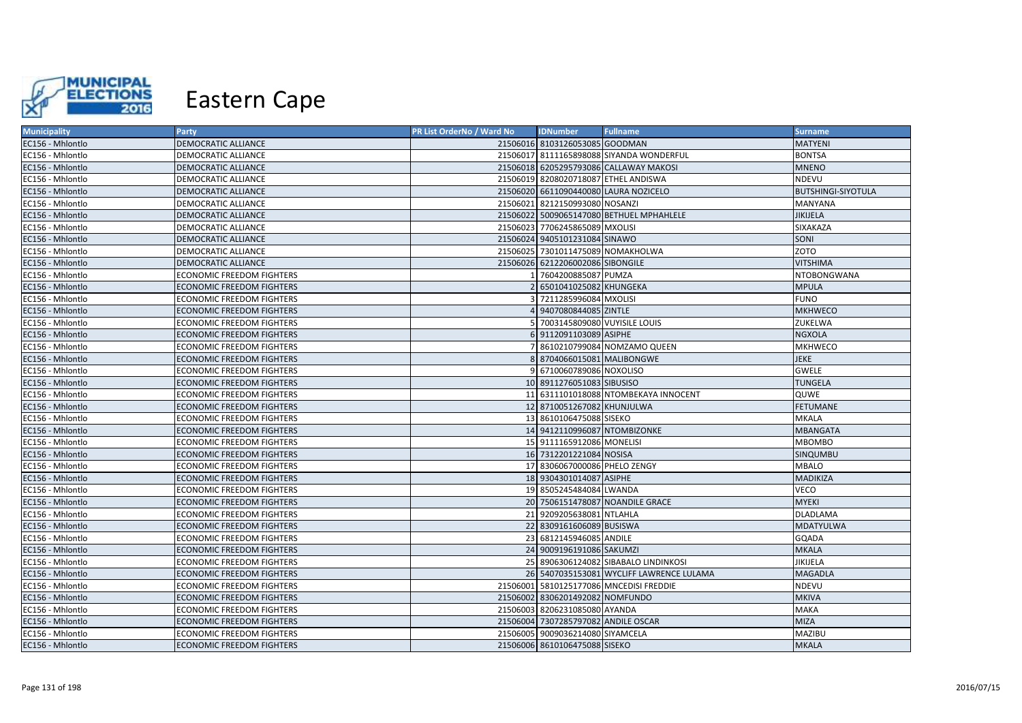

| <b>Municipality</b> | Party                            | PR List OrderNo / Ward No | <b>IDNumber</b>                      | <b>Fullname</b>                          | <b>Surname</b>            |
|---------------------|----------------------------------|---------------------------|--------------------------------------|------------------------------------------|---------------------------|
| EC156 - Mhlontlo    | DEMOCRATIC ALLIANCE              |                           | 21506016 8103126053085 GOODMAN       |                                          | <b>MATYENI</b>            |
| EC156 - Mhlontlo    | <b>DEMOCRATIC ALLIANCE</b>       |                           |                                      | 21506017 8111165898088 SIYANDA WONDERFUL | <b>BONTSA</b>             |
| EC156 - Mhlontlo    | DEMOCRATIC ALLIANCE              |                           |                                      | 21506018 6205295793086 CALLAWAY MAKOSI   | <b>MNENO</b>              |
| EC156 - Mhlontlo    | <b>DEMOCRATIC ALLIANCE</b>       |                           | 21506019 8208020718087 ETHEL ANDISWA |                                          | <b>NDEVU</b>              |
| EC156 - Mhlontlo    | DEMOCRATIC ALLIANCE              |                           |                                      | 21506020 6611090440080 LAURA NOZICELO    | <b>BUTSHINGI-SIYOTULA</b> |
| EC156 - Mhlontlo    | <b>DEMOCRATIC ALLIANCE</b>       |                           | 21506021 8212150993080 NOSANZI       |                                          | <b>MANYANA</b>            |
| EC156 - Mhlontlo    | <b>DEMOCRATIC ALLIANCE</b>       |                           |                                      | 21506022 5009065147080 BETHUEL MPHAHLELE | <b>JIKIJELA</b>           |
| EC156 - Mhlontlo    | <b>DEMOCRATIC ALLIANCE</b>       |                           | 21506023 7706245865089 MXOLISI       |                                          | SIXAKAZA                  |
| EC156 - Mhlontlo    | <b>DEMOCRATIC ALLIANCE</b>       |                           | 21506024 9405101231084 SINAWO        |                                          | <b>SONI</b>               |
| EC156 - Mhlontlo    | <b>DEMOCRATIC ALLIANCE</b>       |                           | 21506025 7301011475089 NOMAKHOLWA    |                                          | <b>ZOTO</b>               |
| EC156 - Mhlontlo    | <b>DEMOCRATIC ALLIANCE</b>       |                           | 21506026 6212206002086 SIBONGILE     |                                          | <b>VITSHIMA</b>           |
| EC156 - Mhlontlo    | <b>ECONOMIC FREEDOM FIGHTERS</b> |                           | 7604200885087 PUMZA                  |                                          | <b>NTOBONGWANA</b>        |
| EC156 - Mhlontlo    | <b>ECONOMIC FREEDOM FIGHTERS</b> |                           | 2 6501041025082 KHUNGEKA             |                                          | <b>MPULA</b>              |
| EC156 - Mhlontlo    | <b>ECONOMIC FREEDOM FIGHTERS</b> |                           | 3 7211285996084 MXOLISI              |                                          | <b>FUNO</b>               |
| EC156 - Mhlontlo    | <b>ECONOMIC FREEDOM FIGHTERS</b> |                           | 9407080844085 ZINTLE                 |                                          | <b>MKHWECO</b>            |
| EC156 - Mhlontlo    | <b>ECONOMIC FREEDOM FIGHTERS</b> |                           | 5 7003145809080 VUYISILE LOUIS       |                                          | ZUKELWA                   |
| EC156 - Mhlontlo    | <b>ECONOMIC FREEDOM FIGHTERS</b> |                           | 6 9112091103089 ASIPHE               |                                          | <b>NGXOLA</b>             |
| EC156 - Mhlontlo    | <b>ECONOMIC FREEDOM FIGHTERS</b> |                           |                                      | 7 8610210799084 NOMZAMO QUEEN            | <b>MKHWECO</b>            |
| EC156 - Mhlontlo    | <b>ECONOMIC FREEDOM FIGHTERS</b> |                           | 8 8704066015081 MALIBONGWE           |                                          | <b>JEKE</b>               |
| EC156 - Mhlontlo    | <b>ECONOMIC FREEDOM FIGHTERS</b> |                           | 9 6710060789086 NOXOLISO             |                                          | <b>GWELE</b>              |
| EC156 - Mhlontlo    | <b>ECONOMIC FREEDOM FIGHTERS</b> |                           | 10 8911276051083 SIBUSISO            |                                          | <b>TUNGELA</b>            |
| EC156 - Mhlontlo    | <b>ECONOMIC FREEDOM FIGHTERS</b> |                           |                                      | 11 6311101018088 NTOMBEKAYA INNOCENT     | QUWE                      |
| EC156 - Mhlontlo    | <b>ECONOMIC FREEDOM FIGHTERS</b> |                           | 12 8710051267082 KHUNJULWA           |                                          | <b>FETUMANE</b>           |
| EC156 - Mhlontlo    | <b>ECONOMIC FREEDOM FIGHTERS</b> |                           | 13 8610106475088 SISEKO              |                                          | MKALA                     |
| EC156 - Mhlontlo    | <b>ECONOMIC FREEDOM FIGHTERS</b> |                           | 14 9412110996087 NTOMBIZONKE         |                                          | <b>MBANGATA</b>           |
| EC156 - Mhlontlo    | <b>ECONOMIC FREEDOM FIGHTERS</b> |                           | 15 9111165912086 MONELISI            |                                          | <b>MBOMBO</b>             |
| EC156 - Mhlontlo    | <b>ECONOMIC FREEDOM FIGHTERS</b> |                           | 16 7312201221084 NOSISA              |                                          | SINQUMBU                  |
| EC156 - Mhlontlo    | <b>ECONOMIC FREEDOM FIGHTERS</b> |                           | 17 8306067000086 PHELO ZENGY         |                                          | <b>MBALO</b>              |
| EC156 - Mhlontlo    | <b>ECONOMIC FREEDOM FIGHTERS</b> |                           | 18 9304301014087 ASIPHE              |                                          | <b>MADIKIZA</b>           |
| EC156 - Mhlontlo    | <b>ECONOMIC FREEDOM FIGHTERS</b> |                           | 19 8505245484084 LWANDA              |                                          | <b>VECO</b>               |
| EC156 - Mhlontlo    | <b>ECONOMIC FREEDOM FIGHTERS</b> |                           |                                      | 20 7506151478087 NOANDILE GRACE          | <b>MYEKI</b>              |
| EC156 - Mhlontlo    | <b>ECONOMIC FREEDOM FIGHTERS</b> |                           | 21 9209205638081 NTLAHLA             |                                          | <b>DLADLAMA</b>           |
| EC156 - Mhlontlo    | ECONOMIC FREEDOM FIGHTERS        |                           | 22 8309161606089 BUSISWA             |                                          | <b>MDATYULWA</b>          |
| EC156 - Mhlontlo    | <b>ECONOMIC FREEDOM FIGHTERS</b> |                           | 23 6812145946085 ANDILE              |                                          | GQADA                     |
| EC156 - Mhlontlo    | <b>ECONOMIC FREEDOM FIGHTERS</b> |                           | 24 9009196191086 SAKUMZI             |                                          | <b>MKALA</b>              |
| EC156 - Mhlontlo    | <b>ECONOMIC FREEDOM FIGHTERS</b> |                           |                                      | 25 8906306124082 SIBABALO LINDINKOSI     | JIKIJELA                  |
| EC156 - Mhlontlo    | <b>ECONOMIC FREEDOM FIGHTERS</b> |                           |                                      | 26 5407035153081 WYCLIFF LAWRENCE LULAMA | <b>MAGADLA</b>            |
| EC156 - Mhlontlo    | <b>ECONOMIC FREEDOM FIGHTERS</b> |                           |                                      | 21506001 5810125177086 MNCEDISI FREDDIE  | <b>NDEVU</b>              |
| EC156 - Mhlontlo    | <b>ECONOMIC FREEDOM FIGHTERS</b> |                           | 21506002 8306201492082 NOMFUNDO      |                                          | <b>MKIVA</b>              |
| EC156 - Mhlontlo    | <b>ECONOMIC FREEDOM FIGHTERS</b> |                           | 21506003 8206231085080 AYANDA        |                                          | <b>MAKA</b>               |
| EC156 - Mhlontlo    | <b>ECONOMIC FREEDOM FIGHTERS</b> |                           | 21506004 7307285797082 ANDILE OSCAR  |                                          | <b>MIZA</b>               |
| EC156 - Mhlontlo    | <b>ECONOMIC FREEDOM FIGHTERS</b> |                           | 21506005 9009036214080 SIYAMCELA     |                                          | MAZIBU                    |
| EC156 - Mhlontlo    | <b>ECONOMIC FREEDOM FIGHTERS</b> |                           | 21506006 8610106475088 SISEKO        |                                          | <b>MKALA</b>              |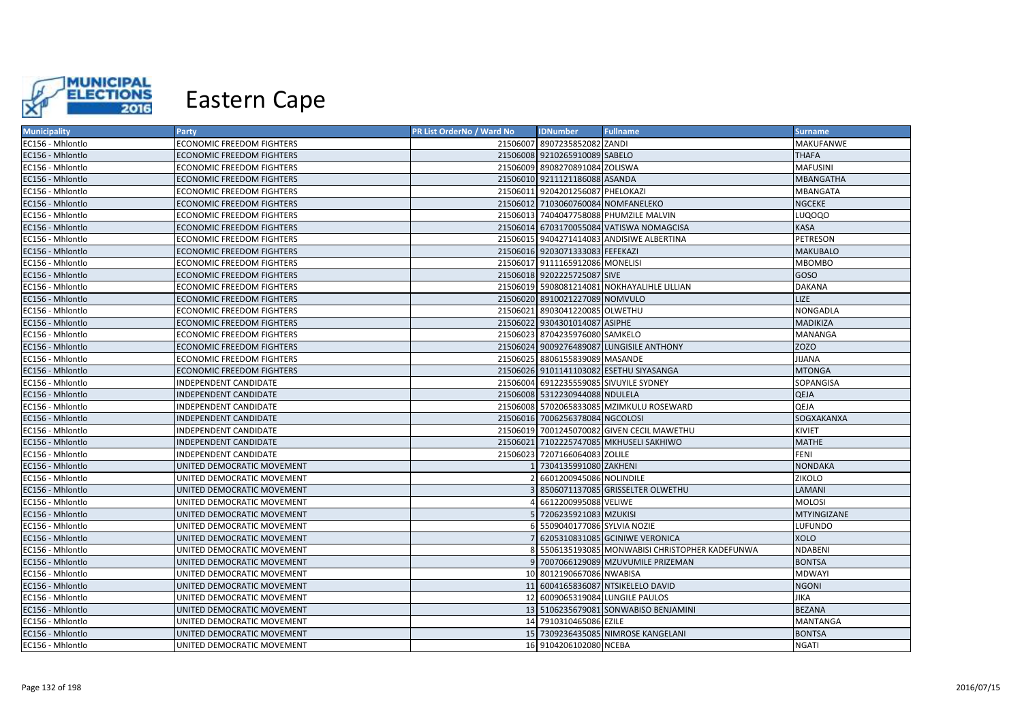

| <b>Municipality</b> | Party                            | PR List OrderNo / Ward No | <b>IDNumber</b>                    | <b>Fullname</b>                               | <b>Surname</b>   |
|---------------------|----------------------------------|---------------------------|------------------------------------|-----------------------------------------------|------------------|
| EC156 - Mhlontlo    | <b>ECONOMIC FREEDOM FIGHTERS</b> |                           | 21506007 8907235852082 ZANDI       |                                               | MAKUFANWE        |
| EC156 - Mhlontlo    | <b>ECONOMIC FREEDOM FIGHTERS</b> |                           | 21506008 9210265910089 SABELO      |                                               | <b>THAFA</b>     |
| EC156 - Mhlontlo    | <b>ECONOMIC FREEDOM FIGHTERS</b> |                           | 21506009 8908270891084 ZOLISWA     |                                               | <b>MAFUSINI</b>  |
| EC156 - Mhlontlo    | ECONOMIC FREEDOM FIGHTERS        |                           | 21506010 9211121186088 ASANDA      |                                               | <b>MBANGATHA</b> |
| EC156 - Mhlontlo    | ECONOMIC FREEDOM FIGHTERS        |                           | 21506011 9204201256087 PHELOKAZI   |                                               | MBANGATA         |
| EC156 - Mhlontlo    | <b>ECONOMIC FREEDOM FIGHTERS</b> |                           | 21506012 7103060760084 NOMFANELEKO |                                               | <b>NGCEKE</b>    |
| EC156 - Mhlontlo    | <b>ECONOMIC FREEDOM FIGHTERS</b> |                           |                                    | 21506013 7404047758088 PHUMZILE MALVIN        | LUQOQO           |
| EC156 - Mhlontlo    | ECONOMIC FREEDOM FIGHTERS        |                           |                                    | 21506014 6703170055084 VATISWA NOMAGCISA      | <b>KASA</b>      |
| EC156 - Mhlontlo    | <b>ECONOMIC FREEDOM FIGHTERS</b> |                           |                                    | 21506015 9404271414083 ANDISIWE ALBERTINA     | PETRESON         |
| EC156 - Mhlontlo    | ECONOMIC FREEDOM FIGHTERS        |                           | 21506016 9203071333083 FEFEKAZI    |                                               | <b>MAKUBALO</b>  |
| EC156 - Mhlontlo    | ECONOMIC FREEDOM FIGHTERS        |                           | 21506017 9111165912086 MONELISI    |                                               | <b>MBOMBO</b>    |
| EC156 - Mhlontlo    | <b>ECONOMIC FREEDOM FIGHTERS</b> |                           | 21506018 9202225725087 SIVE        |                                               | <b>GOSO</b>      |
| EC156 - Mhlontlo    | <b>ECONOMIC FREEDOM FIGHTERS</b> |                           |                                    | 21506019 5908081214081 NOKHAYALIHLE LILLIAN   | <b>DAKANA</b>    |
| EC156 - Mhlontlo    | <b>ECONOMIC FREEDOM FIGHTERS</b> |                           | 21506020 8910021227089 NOMVULO     |                                               | LIZE             |
| EC156 - Mhlontlo    | ECONOMIC FREEDOM FIGHTERS        |                           | 21506021 8903041220085 OLWETHU     |                                               | <b>NONGADLA</b>  |
| EC156 - Mhlontlo    | <b>ECONOMIC FREEDOM FIGHTERS</b> |                           | 21506022 9304301014087 ASIPHE      |                                               | MADIKIZA         |
| EC156 - Mhlontlo    | <b>ECONOMIC FREEDOM FIGHTERS</b> |                           | 21506023 8704235976080 SAMKELO     |                                               | MANANGA          |
| EC156 - Mhlontlo    | ECONOMIC FREEDOM FIGHTERS        |                           |                                    | 21506024 9009276489087 LUNGISILE ANTHONY      | <b>ZOZO</b>      |
| EC156 - Mhlontlo    | <b>ECONOMIC FREEDOM FIGHTERS</b> |                           | 21506025 8806155839089 MASANDE     |                                               | <b>JIJANA</b>    |
| EC156 - Mhlontlo    | <b>ECONOMIC FREEDOM FIGHTERS</b> |                           |                                    | 21506026 9101141103082 ESETHU SIYASANGA       | <b>MTONGA</b>    |
| EC156 - Mhlontlo    | INDEPENDENT CANDIDATE            |                           |                                    | 21506004 6912235559085 SIVUYILE SYDNEY        | SOPANGISA        |
| EC156 - Mhlontlo    | <b>INDEPENDENT CANDIDATE</b>     |                           | 21506008 5312230944088 NDULELA     |                                               | QEJA             |
| EC156 - Mhlontlo    | INDEPENDENT CANDIDATE            |                           |                                    | 21506008 5702065833085 MZIMKULU ROSEWARD      | QEJA             |
| EC156 - Mhlontlo    | INDEPENDENT CANDIDATE            |                           | 21506016 7006256378084 NGCOLOSI    |                                               | SOGXAKANXA       |
| EC156 - Mhlontlo    | INDEPENDENT CANDIDATE            |                           |                                    | 21506019 7001245070082 GIVEN CECIL MAWETHU    | KIVIET           |
| EC156 - Mhlontlo    | INDEPENDENT CANDIDATE            |                           |                                    | 21506021 7102225747085 MKHUSELI SAKHIWO       | <b>MATHE</b>     |
| EC156 - Mhlontlo    | INDEPENDENT CANDIDATE            |                           | 21506023 7207166064083 ZOLILE      |                                               | FENI             |
| EC156 - Mhlontlo    | UNITED DEMOCRATIC MOVEMENT       |                           | 7304135991080 ZAKHENI              |                                               | <b>NONDAKA</b>   |
| EC156 - Mhlontlo    | UNITED DEMOCRATIC MOVEMENT       |                           | 6601200945086 NOLINDILE            |                                               | ZIKOLO           |
| EC156 - Mhlontlo    | UNITED DEMOCRATIC MOVEMENT       |                           |                                    | 8506071137085 GRISSELTER OLWETHU              | LAMANI           |
| EC156 - Mhlontlo    | UNITED DEMOCRATIC MOVEMENT       |                           | 6612200995088 VELIWE               |                                               | <b>MOLOSI</b>    |
| EC156 - Mhlontlo    | UNITED DEMOCRATIC MOVEMENT       |                           | 7206235921083 MZUKISI              |                                               | MTYINGIZANE      |
| EC156 - Mhlontlo    | UNITED DEMOCRATIC MOVEMENT       |                           | 5509040177086 SYLVIA NOZIE         |                                               | LUFUNDO          |
| EC156 - Mhlontlo    | UNITED DEMOCRATIC MOVEMENT       |                           |                                    | 6205310831085 GCINIWE VERONICA                | <b>XOLO</b>      |
| EC156 - Mhlontlo    | UNITED DEMOCRATIC MOVEMENT       |                           |                                    | 5506135193085 MONWABISI CHRISTOPHER KADEFUNWA | NDABENI          |
| EC156 - Mhlontlo    | UNITED DEMOCRATIC MOVEMENT       |                           |                                    | 7007066129089 MZUVUMILE PRIZEMAN              | <b>BONTSA</b>    |
| EC156 - Mhlontlo    | UNITED DEMOCRATIC MOVEMENT       |                           | 10 8012190667086 NWABISA           |                                               | <b>MDWAYI</b>    |
| EC156 - Mhlontlo    | UNITED DEMOCRATIC MOVEMENT       |                           |                                    | 11 6004165836087 NTSIKELELO DAVID             | <b>NGONI</b>     |
| EC156 - Mhlontlo    | UNITED DEMOCRATIC MOVEMENT       |                           |                                    | 12 6009065319084 LUNGILE PAULOS               | JIKA             |
| EC156 - Mhlontlo    | UNITED DEMOCRATIC MOVEMENT       |                           |                                    | 13 5106235679081 SONWABISO BENJAMINI          | <b>BEZANA</b>    |
| EC156 - Mhlontlo    | UNITED DEMOCRATIC MOVEMENT       |                           | 14 7910310465086 EZILE             |                                               | MANTANGA         |
| EC156 - Mhlontlo    | UNITED DEMOCRATIC MOVEMENT       |                           |                                    | 15 7309236435085 NIMROSE KANGELANI            | <b>BONTSA</b>    |
| EC156 - Mhlontlo    | UNITED DEMOCRATIC MOVEMENT       |                           | 16 9104206102080 NCEBA             |                                               | <b>NGATI</b>     |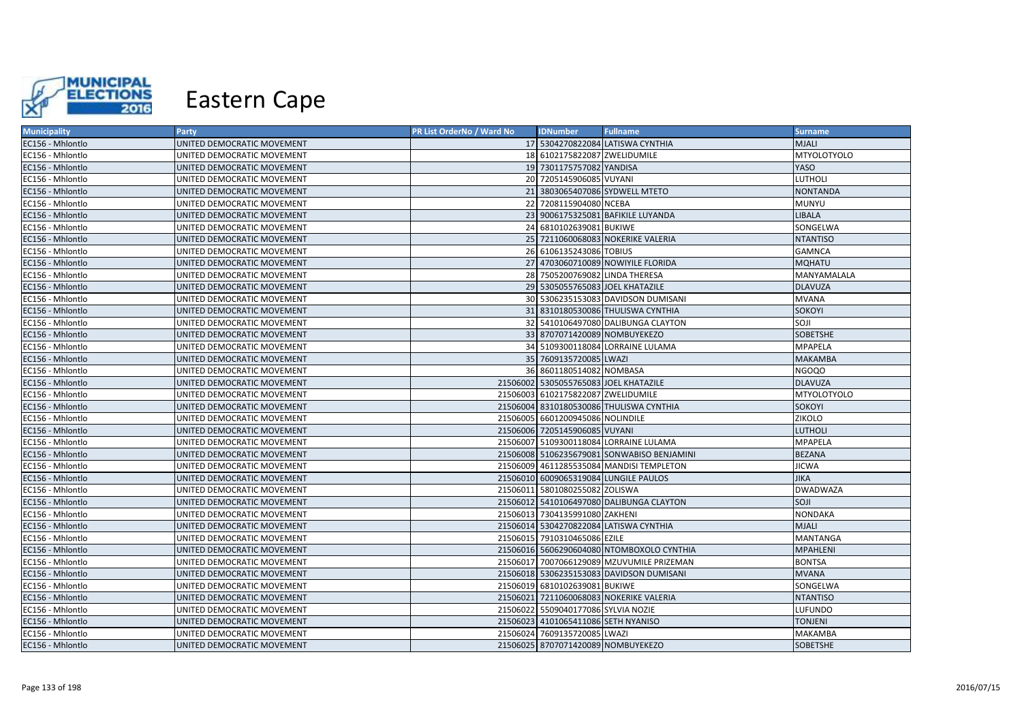

| <b>Municipality</b> | Party                      | PR List OrderNo / Ward No | <b>IDNumber</b>                       | <b>Fullname</b>                            | <b>Surname</b>     |
|---------------------|----------------------------|---------------------------|---------------------------------------|--------------------------------------------|--------------------|
| EC156 - Mhlontlo    | UNITED DEMOCRATIC MOVEMENT |                           |                                       | 17 5304270822084 LATISWA CYNTHIA           | <b>MJALI</b>       |
| EC156 - Mhlontlo    | UNITED DEMOCRATIC MOVEMENT |                           | 18 6102175822087 ZWELIDUMILE          |                                            | <b>MTYOLOTYOLO</b> |
| EC156 - Mhlontlo    | UNITED DEMOCRATIC MOVEMENT |                           | 19 7301175757082 YANDISA              |                                            | YASO               |
| EC156 - Mhlontlo    | UNITED DEMOCRATIC MOVEMENT |                           | 20 7205145906085 VUYANI               |                                            | LUTHOLI            |
| EC156 - Mhlontlo    | UNITED DEMOCRATIC MOVEMENT | 21                        |                                       | 3803065407086 SYDWELL MTETO                | <b>NONTANDA</b>    |
| EC156 - Mhlontlo    | UNITED DEMOCRATIC MOVEMENT |                           | 22 7208115904080 NCEBA                |                                            | <b>MUNYU</b>       |
| EC156 - Mhlontlo    | UNITED DEMOCRATIC MOVEMENT |                           |                                       | 23 9006175325081 BAFIKILE LUYANDA          | <b>LIBALA</b>      |
| EC156 - Mhlontlo    | UNITED DEMOCRATIC MOVEMENT |                           | 24 6810102639081 BUKIWE               |                                            | SONGELWA           |
| EC156 - Mhlontlo    | UNITED DEMOCRATIC MOVEMENT |                           |                                       | 25 7211060068083 NOKERIKE VALERIA          | <b>NTANTISO</b>    |
| EC156 - Mhlontlo    | UNITED DEMOCRATIC MOVEMENT |                           | 26 6106135243086 TOBIUS               |                                            | <b>GAMNCA</b>      |
| EC156 - Mhlontlo    | UNITED DEMOCRATIC MOVEMENT |                           |                                       | 27 4703060710089 NOWIYILE FLORIDA          | <b>MQHATU</b>      |
| EC156 - Mhlontlo    | UNITED DEMOCRATIC MOVEMENT |                           | 28 7505200769082 LINDA THERESA        |                                            | MANYAMALALA        |
| EC156 - Mhlontlo    | UNITED DEMOCRATIC MOVEMENT |                           | 29 5305055765083 JOEL KHATAZILE       |                                            | <b>DLAVUZA</b>     |
| EC156 - Mhlontlo    | UNITED DEMOCRATIC MOVEMENT |                           |                                       | 30 5306235153083 DAVIDSON DUMISANI         | <b>MVANA</b>       |
| EC156 - Mhlontlo    | UNITED DEMOCRATIC MOVEMENT |                           |                                       | 31 8310180530086 THULISWA CYNTHIA          | <b>SOKOYI</b>      |
| EC156 - Mhlontlo    | UNITED DEMOCRATIC MOVEMENT |                           |                                       | 32 5410106497080 DALIBUNGA CLAYTON         | <b>SOJI</b>        |
| EC156 - Mhlontlo    | UNITED DEMOCRATIC MOVEMENT |                           | 33 8707071420089 NOMBUYEKEZO          |                                            | <b>SOBETSHE</b>    |
| EC156 - Mhlontlo    | UNITED DEMOCRATIC MOVEMENT |                           |                                       | 34 5109300118084 LORRAINE LULAMA           | <b>MPAPELA</b>     |
| EC156 - Mhlontlo    | UNITED DEMOCRATIC MOVEMENT |                           | 35 7609135720085 LWAZI                |                                            | <b>MAKAMBA</b>     |
| EC156 - Mhlontlo    | UNITED DEMOCRATIC MOVEMENT |                           | 36 8601180514082 NOMBASA              |                                            | <b>NGOQO</b>       |
| EC156 - Mhlontlo    | UNITED DEMOCRATIC MOVEMENT |                           | 21506002 5305055765083 JOEL KHATAZILE |                                            | <b>DLAVUZA</b>     |
| EC156 - Mhlontlo    | UNITED DEMOCRATIC MOVEMENT |                           | 21506003 6102175822087 ZWELIDUMILE    |                                            | <b>MTYOLOTYOLO</b> |
| EC156 - Mhlontlo    | UNITED DEMOCRATIC MOVEMENT |                           |                                       | 21506004 8310180530086 THULISWA CYNTHIA    | SOKOYI             |
| EC156 - Mhlontlo    | UNITED DEMOCRATIC MOVEMENT |                           | 21506005 6601200945086 NOLINDILE      |                                            | ZIKOLO             |
| EC156 - Mhlontlo    | UNITED DEMOCRATIC MOVEMENT |                           | 21506006 7205145906085 VUYANI         |                                            | LUTHOLI            |
| EC156 - Mhlontlo    | UNITED DEMOCRATIC MOVEMENT |                           |                                       | 21506007 5109300118084 LORRAINE LULAMA     | <b>MPAPELA</b>     |
| EC156 - Mhlontlo    | UNITED DEMOCRATIC MOVEMENT |                           |                                       | 21506008 5106235679081 SONWABISO BENJAMINI | <b>BEZANA</b>      |
| EC156 - Mhlontlo    | UNITED DEMOCRATIC MOVEMENT |                           |                                       | 21506009 4611285535084 MANDISI TEMPLETON   | <b>JICWA</b>       |
| EC156 - Mhlontlo    | UNITED DEMOCRATIC MOVEMENT |                           |                                       | 21506010 6009065319084 LUNGILE PAULOS      | <b>JIKA</b>        |
| EC156 - Mhlontlo    | UNITED DEMOCRATIC MOVEMENT |                           | 21506011 5801080255082 ZOLISWA        |                                            | <b>DWADWAZA</b>    |
| EC156 - Mhlontlo    | UNITED DEMOCRATIC MOVEMENT |                           |                                       | 21506012 5410106497080 DALIBUNGA CLAYTON   | SOJI               |
| EC156 - Mhlontlo    | UNITED DEMOCRATIC MOVEMENT |                           | 21506013 7304135991080 ZAKHENI        |                                            | <b>NONDAKA</b>     |
| EC156 - Mhlontlo    | UNITED DEMOCRATIC MOVEMENT |                           |                                       | 21506014 5304270822084 LATISWA CYNTHIA     | <b>MJALI</b>       |
| EC156 - Mhlontlo    | UNITED DEMOCRATIC MOVEMENT |                           | 21506015 7910310465086 EZILE          |                                            | MANTANGA           |
| EC156 - Mhlontlo    | UNITED DEMOCRATIC MOVEMENT |                           |                                       | 21506016 5606290604080 NTOMBOXOLO CYNTHIA  | <b>MPAHLENI</b>    |
| EC156 - Mhlontlo    | UNITED DEMOCRATIC MOVEMENT |                           |                                       | 21506017 7007066129089 MZUVUMILE PRIZEMAN  | <b>BONTSA</b>      |
| EC156 - Mhlontlo    | UNITED DEMOCRATIC MOVEMENT |                           |                                       | 21506018 5306235153083 DAVIDSON DUMISANI   | <b>MVANA</b>       |
| EC156 - Mhlontlo    | UNITED DEMOCRATIC MOVEMENT |                           | 21506019 6810102639081 BUKIWE         |                                            | SONGELWA           |
| EC156 - Mhlontlo    | UNITED DEMOCRATIC MOVEMENT |                           |                                       | 21506021 7211060068083 NOKERIKE VALERIA    | <b>NTANTISO</b>    |
| EC156 - Mhlontlo    | UNITED DEMOCRATIC MOVEMENT |                           | 21506022 5509040177086 SYLVIA NOZIE   |                                            | LUFUNDO            |
| EC156 - Mhlontlo    | UNITED DEMOCRATIC MOVEMENT |                           | 21506023 4101065411086 SETH NYANISO   |                                            | <b>TONJENI</b>     |
| EC156 - Mhlontlo    | UNITED DEMOCRATIC MOVEMENT |                           | 21506024 7609135720085 LWAZI          |                                            | <b>MAKAMBA</b>     |
| EC156 - Mhlontlo    | UNITED DEMOCRATIC MOVEMENT |                           | 21506025 8707071420089 NOMBUYEKEZO    |                                            | <b>SOBETSHE</b>    |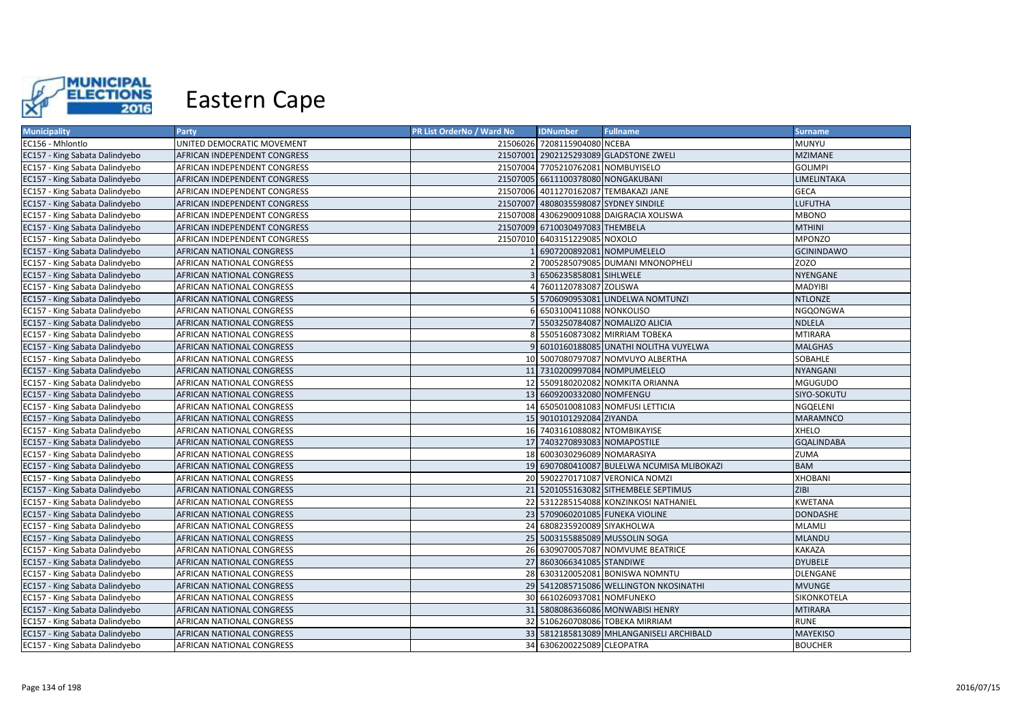

| <b>Municipality</b>            | Party                        | PR List OrderNo / Ward No | <b>IDNumber</b>                       | <b>Fullname</b>                            | <b>Surname</b>    |
|--------------------------------|------------------------------|---------------------------|---------------------------------------|--------------------------------------------|-------------------|
| EC156 - Mhlontlo               | UNITED DEMOCRATIC MOVEMENT   |                           | 21506026 7208115904080 NCEBA          |                                            | <b>MUNYU</b>      |
| EC157 - King Sabata Dalindyebo | AFRICAN INDEPENDENT CONGRESS |                           |                                       | 21507001 2902125293089 GLADSTONE ZWELI     | <b>MZIMANE</b>    |
| EC157 - King Sabata Dalindyebo | AFRICAN INDEPENDENT CONGRESS |                           | 21507004 7705210762081 NOMBUYISELO    |                                            | <b>GOLIMPI</b>    |
| EC157 - King Sabata Dalindyebo | AFRICAN INDEPENDENT CONGRESS |                           | 21507005 6611100378080 NONGAKUBANI    |                                            | LIMELINTAKA       |
| EC157 - King Sabata Dalindyebo | AFRICAN INDEPENDENT CONGRESS |                           |                                       | 21507006 4011270162087 TEMBAKAZI JANE      | <b>GECA</b>       |
| EC157 - King Sabata Dalindyebo | AFRICAN INDEPENDENT CONGRESS |                           | 21507007 4808035598087 SYDNEY SINDILE |                                            | <b>LUFUTHA</b>    |
| EC157 - King Sabata Dalindyebo | AFRICAN INDEPENDENT CONGRESS |                           |                                       | 21507008 4306290091088 DAIGRACIA XOLISWA   | <b>MBONO</b>      |
| EC157 - King Sabata Dalindyebo | AFRICAN INDEPENDENT CONGRESS |                           | 21507009 6710030497083 THEMBELA       |                                            | <b>MTHINI</b>     |
| EC157 - King Sabata Dalindyebo | AFRICAN INDEPENDENT CONGRESS |                           | 21507010 6403151229085 NOXOLO         |                                            | <b>MPONZO</b>     |
| EC157 - King Sabata Dalindyebo | AFRICAN NATIONAL CONGRESS    |                           | 6907200892081 NOMPUMELELO             |                                            | <b>GCININDAWO</b> |
| EC157 - King Sabata Dalindyebo | AFRICAN NATIONAL CONGRESS    |                           |                                       | 2 7005285079085 DUMANI MNONOPHELI          | ZOZO              |
| EC157 - King Sabata Dalindyebo | AFRICAN NATIONAL CONGRESS    |                           | 6506235858081 SIHLWELE                |                                            | NYENGANE          |
| EC157 - King Sabata Dalindyebo | AFRICAN NATIONAL CONGRESS    |                           | 4 7601120783087 ZOLISWA               |                                            | <b>MADYIBI</b>    |
| EC157 - King Sabata Dalindyebo | AFRICAN NATIONAL CONGRESS    |                           |                                       | 5 5706090953081 LINDELWA NOMTUNZI          | <b>NTLONZE</b>    |
| EC157 - King Sabata Dalindyebo | AFRICAN NATIONAL CONGRESS    |                           | 6 6503100411088 NONKOLISO             |                                            | NGQONGWA          |
| EC157 - King Sabata Dalindyebo | AFRICAN NATIONAL CONGRESS    |                           |                                       | 7 5503250784087 NOMALIZO ALICIA            | <b>NDLELA</b>     |
| EC157 - King Sabata Dalindyebo | AFRICAN NATIONAL CONGRESS    |                           |                                       | 8 5505160873082 MIRRIAM TOBEKA             | <b>MTIRARA</b>    |
| EC157 - King Sabata Dalindyebo | AFRICAN NATIONAL CONGRESS    |                           |                                       | 9 6010160188085 UNATHI NOLITHA VUYELWA     | <b>MALGHAS</b>    |
| EC157 - King Sabata Dalindyebo | AFRICAN NATIONAL CONGRESS    |                           |                                       | 10 5007080797087 NOMVUYO ALBERTHA          | SOBAHLE           |
| EC157 - King Sabata Dalindyebo | AFRICAN NATIONAL CONGRESS    |                           | 11 7310200997084 NOMPUMELELO          |                                            | <b>NYANGANI</b>   |
| EC157 - King Sabata Dalindyebo | AFRICAN NATIONAL CONGRESS    |                           |                                       | 12 5509180202082 NOMKITA ORIANNA           | <b>MGUGUDO</b>    |
| EC157 - King Sabata Dalindyebo | AFRICAN NATIONAL CONGRESS    |                           | 13 6609200332080 NOMFENGU             |                                            | SIYO-SOKUTU       |
| EC157 - King Sabata Dalindyebo | AFRICAN NATIONAL CONGRESS    |                           |                                       | 14 6505010081083 NOMFUSI LETTICIA          | NGQELENI          |
| EC157 - King Sabata Dalindyebo | AFRICAN NATIONAL CONGRESS    |                           | 15 9010101292084 ZIYANDA              |                                            | <b>MARAMNCO</b>   |
| EC157 - King Sabata Dalindyebo | AFRICAN NATIONAL CONGRESS    |                           | 16 7403161088082 NTOMBIKAYISE         |                                            | XHELO             |
| EC157 - King Sabata Dalindyebo | AFRICAN NATIONAL CONGRESS    |                           | 17 7403270893083 NOMAPOSTILE          |                                            | <b>GQALINDABA</b> |
| EC157 - King Sabata Dalindyebo | AFRICAN NATIONAL CONGRESS    |                           | 18 6003030296089 NOMARASIYA           |                                            | ZUMA              |
| EC157 - King Sabata Dalindyebo | AFRICAN NATIONAL CONGRESS    |                           |                                       | 19 6907080410087 BULELWA NCUMISA MLIBOKAZI | <b>BAM</b>        |
| EC157 - King Sabata Dalindyebo | AFRICAN NATIONAL CONGRESS    |                           |                                       | 20 5902270171087 VERONICA NOMZI            | XHOBANI           |
| EC157 - King Sabata Dalindyebo | AFRICAN NATIONAL CONGRESS    |                           |                                       | 21 5201055163082 SITHEMBELE SEPTIMUS       | <b>ZIBI</b>       |
| EC157 - King Sabata Dalindyebo | AFRICAN NATIONAL CONGRESS    |                           |                                       | 22 5312285154088 KONZINKOSI NATHANIEL      | <b>KWETANA</b>    |
| EC157 - King Sabata Dalindyebo | AFRICAN NATIONAL CONGRESS    |                           |                                       | 23 5709060201085 FUNEKA VIOLINE            | <b>DONDASHE</b>   |
| EC157 - King Sabata Dalindyebo | AFRICAN NATIONAL CONGRESS    |                           | 24 6808235920089 SIYAKHOLWA           |                                            | <b>MLAMLI</b>     |
| EC157 - King Sabata Dalindyebo | AFRICAN NATIONAL CONGRESS    |                           |                                       | 25 5003155885089 MUSSOLIN SOGA             | <b>MLANDU</b>     |
| EC157 - King Sabata Dalindyebo | AFRICAN NATIONAL CONGRESS    |                           |                                       | 26 6309070057087 NOMVUME BEATRICE          | <b>KAKAZA</b>     |
| EC157 - King Sabata Dalindyebo | AFRICAN NATIONAL CONGRESS    |                           | 27 8603066341085 STANDIWE             |                                            | <b>DYUBELE</b>    |
| EC157 - King Sabata Dalindyebo | AFRICAN NATIONAL CONGRESS    |                           |                                       | 28 6303120052081 BONISWA NOMNTU            | DLENGANE          |
| EC157 - King Sabata Dalindyebo | AFRICAN NATIONAL CONGRESS    |                           |                                       | 29 5412085715086 WELLINGTON NKOSINATHI     | <b>MVUNGE</b>     |
| EC157 - King Sabata Dalindyebo | AFRICAN NATIONAL CONGRESS    |                           | 30 6610260937081 NOMFUNEKO            |                                            | SIKONKOTELA       |
| EC157 - King Sabata Dalindyebo | AFRICAN NATIONAL CONGRESS    |                           |                                       | 31 5808086366086 MONWABISI HENRY           | <b>MTIRARA</b>    |
| EC157 - King Sabata Dalindyebo | AFRICAN NATIONAL CONGRESS    |                           |                                       | 32 5106260708086 TOBEKA MIRRIAM            | <b>RUNE</b>       |
| EC157 - King Sabata Dalindyebo | AFRICAN NATIONAL CONGRESS    |                           |                                       | 33 5812185813089 MHLANGANISELI ARCHIBALD   | <b>MAYEKISO</b>   |
| EC157 - King Sabata Dalindyebo | AFRICAN NATIONAL CONGRESS    |                           | 34 6306200225089 CLEOPATRA            |                                            | <b>BOUCHER</b>    |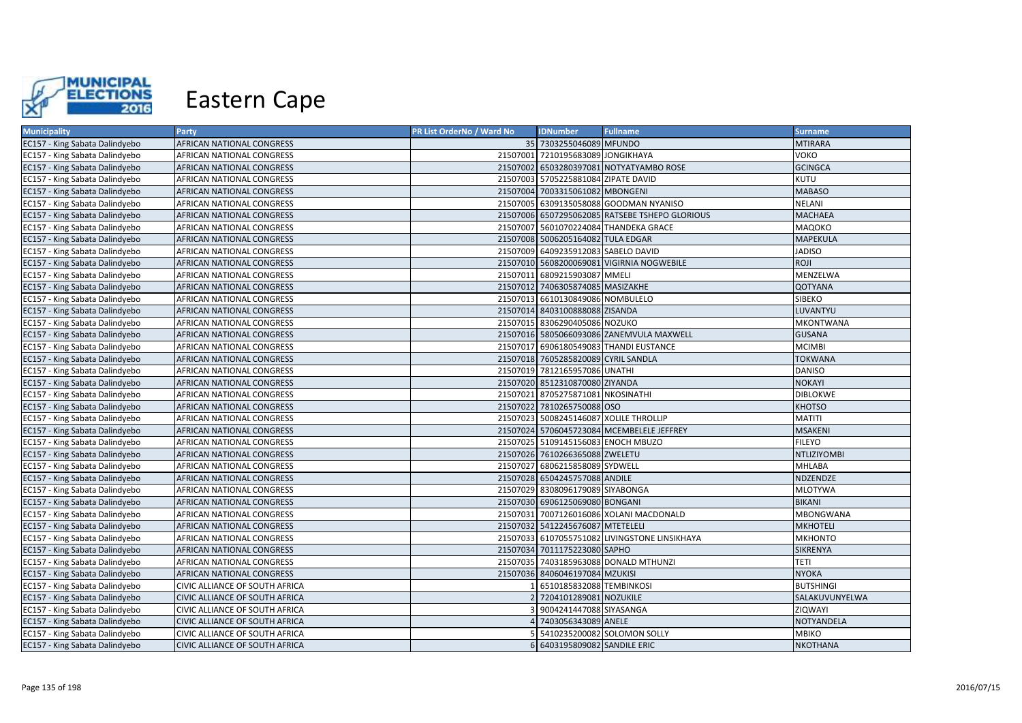

| <b>Municipality</b>            | Party                          | PR List OrderNo / Ward No | <b>IDNumber</b>                     | <b>Fullname</b>                                | <b>Surname</b>   |
|--------------------------------|--------------------------------|---------------------------|-------------------------------------|------------------------------------------------|------------------|
| EC157 - King Sabata Dalindyebo | AFRICAN NATIONAL CONGRESS      |                           | 35 7303255046089 MFUNDO             |                                                | <b>MTIRARA</b>   |
| EC157 - King Sabata Dalindyebo | AFRICAN NATIONAL CONGRESS      |                           | 21507001 7210195683089 JONGIKHAYA   |                                                | локо             |
| EC157 - King Sabata Dalindyebo | AFRICAN NATIONAL CONGRESS      |                           |                                     | 21507002 6503280397081 NOTYATYAMBO ROSE        | <b>GCINGCA</b>   |
| EC157 - King Sabata Dalindyebo | AFRICAN NATIONAL CONGRESS      |                           | 21507003 5705225881084 ZIPATE DAVID |                                                | KUTU             |
| EC157 - King Sabata Dalindyebo | AFRICAN NATIONAL CONGRESS      |                           | 21507004 7003315061082 MBONGENI     |                                                | <b>MABASO</b>    |
| EC157 - King Sabata Dalindyebo | AFRICAN NATIONAL CONGRESS      |                           |                                     | 21507005 6309135058088 GOODMAN NYANISO         | <b>NELANI</b>    |
| EC157 - King Sabata Dalindyebo | AFRICAN NATIONAL CONGRESS      |                           |                                     | 21507006 6507295062085 RATSEBE TSHEPO GLORIOUS | <b>MACHAEA</b>   |
| EC157 - King Sabata Dalindyebo | AFRICAN NATIONAL CONGRESS      |                           |                                     | 21507007 5601070224084 THANDEKA GRACE          | MAQOKO           |
| EC157 - King Sabata Dalindyebo | AFRICAN NATIONAL CONGRESS      |                           | 21507008 5006205164082 TULA EDGAR   |                                                | <b>MAPEKULA</b>  |
| EC157 - King Sabata Dalindyebo | AFRICAN NATIONAL CONGRESS      |                           | 21507009 6409235912083 SABELO DAVID |                                                | <b>JADISO</b>    |
| EC157 - King Sabata Dalindyebo | AFRICAN NATIONAL CONGRESS      |                           |                                     | 21507010 5608200069081 VIGIRNIA NOGWEBILE      | ROJI             |
| EC157 - King Sabata Dalindyebo | AFRICAN NATIONAL CONGRESS      |                           | 21507011 6809215903087 MMELI        |                                                | MENZELWA         |
| EC157 - King Sabata Dalindyebo | AFRICAN NATIONAL CONGRESS      |                           | 21507012 7406305874085 MASIZAKHE    |                                                | QOTYANA          |
| EC157 - King Sabata Dalindyebo | AFRICAN NATIONAL CONGRESS      |                           | 21507013 6610130849086 NOMBULELO    |                                                | SIBEKO           |
| EC157 - King Sabata Dalindyebo | AFRICAN NATIONAL CONGRESS      |                           | 21507014 8403100888088 ZISANDA      |                                                | LUVANTYU         |
| EC157 - King Sabata Dalindyebo | AFRICAN NATIONAL CONGRESS      |                           | 21507015 8306290405086 NOZUKO       |                                                | MKONTWANA        |
| EC157 - King Sabata Dalindyebo | AFRICAN NATIONAL CONGRESS      |                           |                                     | 21507016 5805066093086 ZANEMVULA MAXWELL       | <b>GUSANA</b>    |
| EC157 - King Sabata Dalindyebo | AFRICAN NATIONAL CONGRESS      |                           |                                     | 21507017 6906180549083 THANDI EUSTANCE         | <b>MCIMBI</b>    |
| EC157 - King Sabata Dalindyebo | AFRICAN NATIONAL CONGRESS      |                           | 21507018 7605285820089 CYRIL SANDLA |                                                | TOKWANA          |
| EC157 - King Sabata Dalindyebo | AFRICAN NATIONAL CONGRESS      |                           | 21507019 7812165957086 UNATHI       |                                                | <b>DANISO</b>    |
| EC157 - King Sabata Dalindyebo | AFRICAN NATIONAL CONGRESS      |                           | 21507020 8512310870080 ZIYANDA      |                                                | <b>NOKAYI</b>    |
| EC157 - King Sabata Dalindyebo | AFRICAN NATIONAL CONGRESS      |                           | 21507021 8705275871081 NKOSINATHI   |                                                | <b>DIBLOKWE</b>  |
| EC157 - King Sabata Dalindyebo | AFRICAN NATIONAL CONGRESS      |                           | 21507022 7810265750088 OSO          |                                                | <b>KHOTSO</b>    |
| EC157 - King Sabata Dalindyebo | AFRICAN NATIONAL CONGRESS      |                           |                                     | 21507023 5008245146087 XOLILE THROLLIP         | <b>MATITI</b>    |
| EC157 - King Sabata Dalindyebo | AFRICAN NATIONAL CONGRESS      |                           |                                     | 21507024 5706045723084 MCEMBELELE JEFFREY      | <b>MSAKENI</b>   |
| EC157 - King Sabata Dalindyebo | AFRICAN NATIONAL CONGRESS      |                           | 21507025 5109145156083 ENOCH MBUZO  |                                                | <b>FILEYO</b>    |
| EC157 - King Sabata Dalindyebo | AFRICAN NATIONAL CONGRESS      |                           | 21507026 7610266365088 ZWELETU      |                                                | NTLIZIYOMBI      |
| EC157 - King Sabata Dalindyebo | AFRICAN NATIONAL CONGRESS      |                           | 21507027 6806215858089 SYDWELL      |                                                | MHLABA           |
| EC157 - King Sabata Dalindyebo | AFRICAN NATIONAL CONGRESS      |                           | 21507028 6504245757088 ANDILE       |                                                | NDZENDZE         |
| EC157 - King Sabata Dalindyebo | AFRICAN NATIONAL CONGRESS      |                           | 21507029 8308096179089 SIYABONGA    |                                                | MLOTYWA          |
| EC157 - King Sabata Dalindyebo | AFRICAN NATIONAL CONGRESS      |                           | 21507030 6906125069080 BONGANI      |                                                | <b>BIKANI</b>    |
| EC157 - King Sabata Dalindyebo | AFRICAN NATIONAL CONGRESS      |                           |                                     | 21507031 7007126016086 XOLANI MACDONALD        | MBONGWANA        |
| EC157 - King Sabata Dalindyebo | AFRICAN NATIONAL CONGRESS      |                           | 21507032 5412245676087 MTETELELI    |                                                | <b>MKHOTELI</b>  |
| EC157 - King Sabata Dalindyebo | AFRICAN NATIONAL CONGRESS      |                           |                                     | 21507033 6107055751082 LIVINGSTONE LINSIKHAYA  | <b>MKHONTO</b>   |
| EC157 - King Sabata Dalindyebo | AFRICAN NATIONAL CONGRESS      |                           | 21507034 7011175223080 SAPHO        |                                                | SIKRENYA         |
| EC157 - King Sabata Dalindyebo | AFRICAN NATIONAL CONGRESS      |                           |                                     | 21507035 7403185963088 DONALD MTHUNZI          | TETI             |
| EC157 - King Sabata Dalindyebo | AFRICAN NATIONAL CONGRESS      |                           | 21507036 8406046197084 MZUKISI      |                                                | <b>NYOKA</b>     |
| EC157 - King Sabata Dalindyebo | CIVIC ALLIANCE OF SOUTH AFRICA |                           | 6510185832088 TEMBINKOSI            |                                                | <b>BUTSHINGI</b> |
| EC157 - King Sabata Dalindyebo | CIVIC ALLIANCE OF SOUTH AFRICA |                           | 7204101289081 NOZUKILE              |                                                | SALAKUVUNYELWA   |
| EC157 - King Sabata Dalindyebo | CIVIC ALLIANCE OF SOUTH AFRICA |                           | 9004241447088 SIYASANGA             |                                                | ZIQWAYI          |
| EC157 - King Sabata Dalindyebo | CIVIC ALLIANCE OF SOUTH AFRICA |                           | 4 7403056343089 ANELE               |                                                | NOTYANDELA       |
| EC157 - King Sabata Dalindyebo | CIVIC ALLIANCE OF SOUTH AFRICA |                           |                                     | 5410235200082 SOLOMON SOLLY                    | <b>MBIKO</b>     |
| EC157 - King Sabata Dalindyebo | CIVIC ALLIANCE OF SOUTH AFRICA |                           | 6 6403195809082 SANDILE ERIC        |                                                | <b>NKOTHANA</b>  |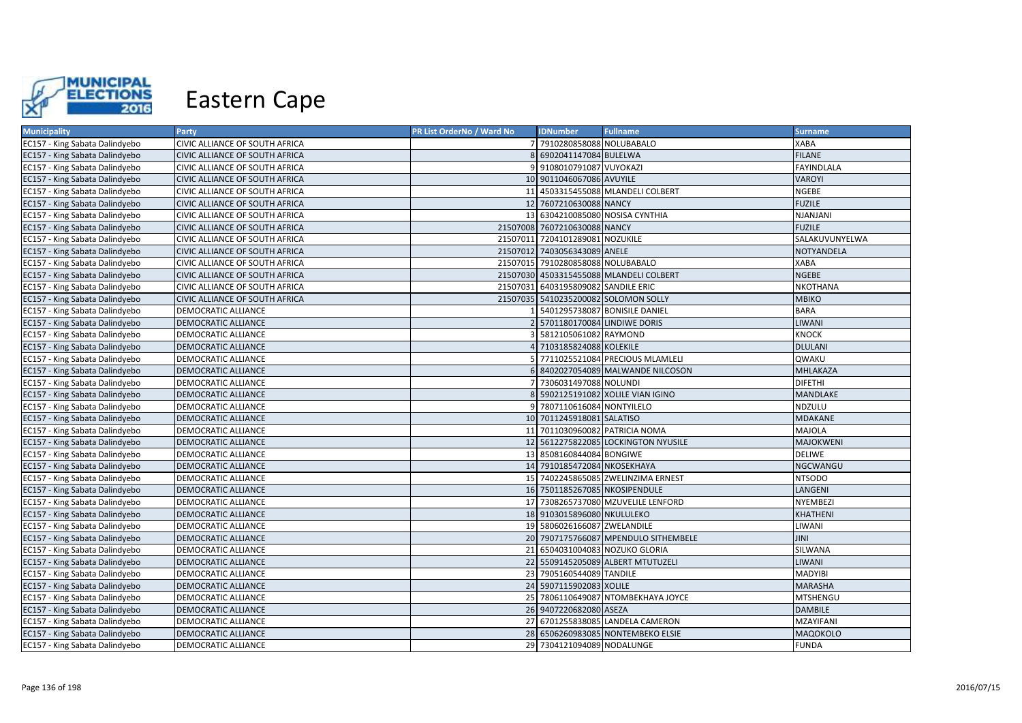

| <b>Municipality</b>            | <b>Party</b>                   | PR List OrderNo / Ward No | <b>IDNumber</b>                     | <b>Fullname</b>                         | <b>Surname</b>    |
|--------------------------------|--------------------------------|---------------------------|-------------------------------------|-----------------------------------------|-------------------|
| EC157 - King Sabata Dalindyebo | CIVIC ALLIANCE OF SOUTH AFRICA |                           | 7 7910280858088 NOLUBABALO          |                                         | <b>XABA</b>       |
| EC157 - King Sabata Dalindyebo | CIVIC ALLIANCE OF SOUTH AFRICA |                           | 6902041147084 BULELWA               |                                         | <b>FILANE</b>     |
| EC157 - King Sabata Dalindyebo | CIVIC ALLIANCE OF SOUTH AFRICA |                           | 9 9108010791087 VUYOKAZI            |                                         | <b>FAYINDLALA</b> |
| EC157 - King Sabata Dalindyebo | CIVIC ALLIANCE OF SOUTH AFRICA |                           | 10 9011046067086 AVUYILE            |                                         | <b>VAROYI</b>     |
| EC157 - King Sabata Dalindyebo | CIVIC ALLIANCE OF SOUTH AFRICA |                           |                                     | 11 4503315455088 MLANDELI COLBERT       | <b>NGEBE</b>      |
| EC157 - King Sabata Dalindyebo | CIVIC ALLIANCE OF SOUTH AFRICA |                           | 12 7607210630088 NANCY              |                                         | <b>FUZILE</b>     |
| EC157 - King Sabata Dalindyebo | CIVIC ALLIANCE OF SOUTH AFRICA |                           |                                     | 13 6304210085080 NOSISA CYNTHIA         | NJANJANI          |
| EC157 - King Sabata Dalindyebo | CIVIC ALLIANCE OF SOUTH AFRICA |                           | 21507008 7607210630088 NANCY        |                                         | <b>FUZILE</b>     |
| EC157 - King Sabata Dalindyebo | CIVIC ALLIANCE OF SOUTH AFRICA |                           | 21507011 7204101289081 NOZUKILE     |                                         | SALAKUVUNYELWA    |
| EC157 - King Sabata Dalindyebo | CIVIC ALLIANCE OF SOUTH AFRICA |                           | 21507012 7403056343089 ANELE        |                                         | NOTYANDELA        |
| EC157 - King Sabata Dalindyebo | CIVIC ALLIANCE OF SOUTH AFRICA |                           | 21507015 7910280858088 NOLUBABALO   |                                         | <b>XABA</b>       |
| EC157 - King Sabata Dalindyebo | CIVIC ALLIANCE OF SOUTH AFRICA |                           |                                     | 21507030 4503315455088 MLANDELI COLBERT | <b>NGEBE</b>      |
| EC157 - King Sabata Dalindyebo | CIVIC ALLIANCE OF SOUTH AFRICA |                           | 21507031 6403195809082 SANDILE ERIC |                                         | <b>NKOTHANA</b>   |
| EC157 - King Sabata Dalindyebo | CIVIC ALLIANCE OF SOUTH AFRICA |                           |                                     | 21507035 5410235200082 SOLOMON SOLLY    | <b>MBIKO</b>      |
| EC157 - King Sabata Dalindyebo | DEMOCRATIC ALLIANCE            |                           |                                     | 5401295738087 BONISILE DANIEL           | <b>BARA</b>       |
| EC157 - King Sabata Dalindyebo | DEMOCRATIC ALLIANCE            |                           | 5701180170084 LINDIWE DORIS         |                                         | LIWANI            |
| EC157 - King Sabata Dalindyebo | DEMOCRATIC ALLIANCE            |                           | 5812105061082 RAYMOND               |                                         | <b>KNOCK</b>      |
| EC157 - King Sabata Dalindyebo | DEMOCRATIC ALLIANCE            |                           | 7103185824088 KOLEKILE              |                                         | <b>DLULANI</b>    |
| EC157 - King Sabata Dalindyebo | DEMOCRATIC ALLIANCE            |                           |                                     | 5 7711025521084 PRECIOUS MLAMLELI       | QWAKU             |
| EC157 - King Sabata Dalindyebo | DEMOCRATIC ALLIANCE            |                           |                                     | 6 8402027054089 MALWANDE NILCOSON       | MHLAKAZA          |
| EC157 - King Sabata Dalindyebo | DEMOCRATIC ALLIANCE            |                           | 7306031497088 NOLUNDI               |                                         | <b>DIFETHI</b>    |
| EC157 - King Sabata Dalindyebo | DEMOCRATIC ALLIANCE            |                           |                                     | 5902125191082 XOLILE VIAN IGINO         | <b>MANDLAKE</b>   |
| EC157 - King Sabata Dalindyebo | DEMOCRATIC ALLIANCE            |                           | 7807110616084 NONTYILELO            |                                         | NDZULU            |
| EC157 - King Sabata Dalindyebo | DEMOCRATIC ALLIANCE            |                           | 10 7011245918081 SALATISO           |                                         | <b>MDAKANE</b>    |
| EC157 - King Sabata Dalindyebo | DEMOCRATIC ALLIANCE            |                           | 11 7011030960082 PATRICIA NOMA      |                                         | MAJOLA            |
| EC157 - King Sabata Dalindyebo | <b>DEMOCRATIC ALLIANCE</b>     |                           |                                     | 12 5612275822085 LOCKINGTON NYUSILE     | <b>MAJOKWENI</b>  |
| EC157 - King Sabata Dalindyebo | DEMOCRATIC ALLIANCE            |                           | 13 8508160844084 BONGIWE            |                                         | <b>DELIWE</b>     |
| EC157 - King Sabata Dalindyebo | <b>DEMOCRATIC ALLIANCE</b>     |                           | 14 7910185472084 NKOSEKHAYA         |                                         | NGCWANGU          |
| EC157 - King Sabata Dalindyebo | DEMOCRATIC ALLIANCE            |                           |                                     | 15 7402245865085 ZWELINZIMA ERNEST      | <b>NTSODO</b>     |
| EC157 - King Sabata Dalindyebo | DEMOCRATIC ALLIANCE            |                           | 16 7501185267085 NKOSIPENDULE       |                                         | LANGENI           |
| EC157 - King Sabata Dalindyebo | DEMOCRATIC ALLIANCE            |                           |                                     | 17 7308265737080 MZUVELILE LENFORD      | NYEMBEZI          |
| EC157 - King Sabata Dalindyebo | DEMOCRATIC ALLIANCE            |                           | 18 9103015896080 NKULULEKO          |                                         | KHATHENI          |
| EC157 - King Sabata Dalindyebo | DEMOCRATIC ALLIANCE            |                           | 19 5806026166087 ZWELANDILE         |                                         | LIWANI            |
| EC157 - King Sabata Dalindyebo | DEMOCRATIC ALLIANCE            |                           |                                     | 20 7907175766087 MPENDULO SITHEMBELE    | JINI              |
| EC157 - King Sabata Dalindyebo | DEMOCRATIC ALLIANCE            |                           |                                     | 21 6504031004083 NOZUKO GLORIA          | SILWANA           |
| EC157 - King Sabata Dalindyebo | DEMOCRATIC ALLIANCE            |                           |                                     | 22 5509145205089 ALBERT MTUTUZELI       | LIWANI            |
| EC157 - King Sabata Dalindyebo | DEMOCRATIC ALLIANCE            |                           | 23 7905160544089 TANDILE            |                                         | <b>MADYIBI</b>    |
| EC157 - King Sabata Dalindyebo | DEMOCRATIC ALLIANCE            |                           | 24 5907115902083 XOLILE             |                                         | <b>MARASHA</b>    |
| EC157 - King Sabata Dalindyebo | DEMOCRATIC ALLIANCE            |                           |                                     | 25 7806110649087 NTOMBEKHAYA JOYCE      | <b>MTSHENGU</b>   |
| EC157 - King Sabata Dalindyebo | DEMOCRATIC ALLIANCE            |                           | 26 9407220682080 ASEZA              |                                         | <b>DAMBILE</b>    |
| EC157 - King Sabata Dalindyebo | DEMOCRATIC ALLIANCE            |                           |                                     | 27 6701255838085 LANDELA CAMERON        | MZAYIFANI         |
| EC157 - King Sabata Dalindyebo | DEMOCRATIC ALLIANCE            |                           |                                     | 28 6506260983085 NONTEMBEKO ELSIE       | MAQOKOLO          |
| EC157 - King Sabata Dalindyebo | DEMOCRATIC ALLIANCE            |                           | 29 7304121094089 NODALUNGE          |                                         | <b>FUNDA</b>      |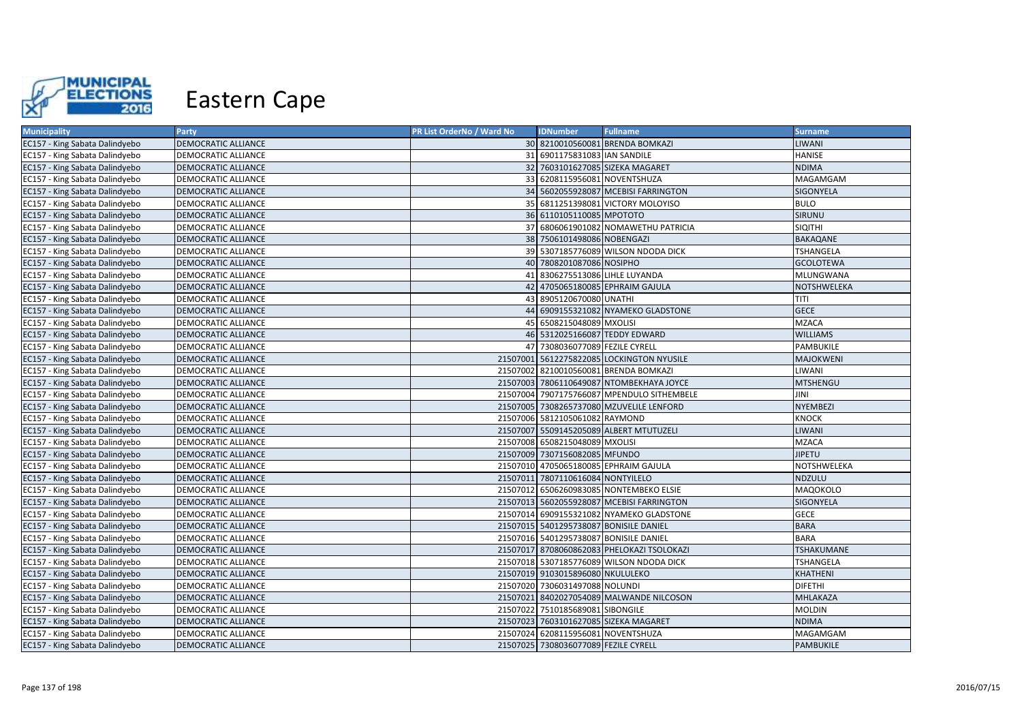

| <b>Municipality</b>            | Party                      | PR List OrderNo / Ward No | <b>IDNumber</b>                      | <b>Fullname</b>                            | <b>Surname</b>    |
|--------------------------------|----------------------------|---------------------------|--------------------------------------|--------------------------------------------|-------------------|
| EC157 - King Sabata Dalindyebo | DEMOCRATIC ALLIANCE        |                           |                                      | 30 8210010560081 BRENDA BOMKAZI            | LIWANI            |
| EC157 - King Sabata Dalindyebo | DEMOCRATIC ALLIANCE        |                           | 31 6901175831083 IAN SANDILE         |                                            | HANISE            |
| EC157 - King Sabata Dalindyebo | DEMOCRATIC ALLIANCE        |                           |                                      | 32 7603101627085 SIZEKA MAGARET            | <b>NDIMA</b>      |
| EC157 - King Sabata Dalindyebo | DEMOCRATIC ALLIANCE        |                           | 33 6208115956081 NOVENTSHUZA         |                                            | MAGAMGAM          |
| EC157 - King Sabata Dalindyebo | DEMOCRATIC ALLIANCE        |                           |                                      | 34 5602055928087 MCEBISI FARRINGTON        | SIGONYELA         |
| EC157 - King Sabata Dalindyebo | DEMOCRATIC ALLIANCE        |                           |                                      | 35 6811251398081 VICTORY MOLOYISO          | <b>BULO</b>       |
| EC157 - King Sabata Dalindyebo | <b>DEMOCRATIC ALLIANCE</b> |                           | 36 6110105110085 MPOTOTO             |                                            | SIRUNU            |
| EC157 - King Sabata Dalindyebo | DEMOCRATIC ALLIANCE        |                           |                                      | 37 6806061901082 NOMAWETHU PATRICIA        | <b>SIQITHI</b>    |
| EC157 - King Sabata Dalindyebo | DEMOCRATIC ALLIANCE        |                           | 38 7506101498086 NOBENGAZI           |                                            | <b>BAKAQANE</b>   |
| EC157 - King Sabata Dalindyebo | DEMOCRATIC ALLIANCE        |                           |                                      | 39 5307185776089 WILSON NDODA DICK         | <b>TSHANGELA</b>  |
| EC157 - King Sabata Dalindyebo | <b>DEMOCRATIC ALLIANCE</b> |                           | 40 7808201087086 NOSIPHO             |                                            | <b>GCOLOTEWA</b>  |
| EC157 - King Sabata Dalindyebo | DEMOCRATIC ALLIANCE        |                           | 41 8306275513086 LIHLE LUYANDA       |                                            | MLUNGWANA         |
| EC157 - King Sabata Dalindyebo | <b>DEMOCRATIC ALLIANCE</b> |                           |                                      | 42 4705065180085 EPHRAIM GAJULA            | NOTSHWELEKA       |
| EC157 - King Sabata Dalindyebo | DEMOCRATIC ALLIANCE        |                           | 43 8905120670080 UNATHI              |                                            | TITI              |
| EC157 - King Sabata Dalindyebo | DEMOCRATIC ALLIANCE        |                           |                                      | 44 6909155321082 NYAMEKO GLADSTONE         | <b>GECE</b>       |
| EC157 - King Sabata Dalindyebo | DEMOCRATIC ALLIANCE        |                           | 45 6508215048089 MXOLISI             |                                            | <b>MZACA</b>      |
| EC157 - King Sabata Dalindyebo | <b>DEMOCRATIC ALLIANCE</b> |                           | 46 5312025166087 TEDDY EDWARD        |                                            | <b>WILLIAMS</b>   |
| EC157 - King Sabata Dalindyebo | DEMOCRATIC ALLIANCE        |                           | 47 7308036077089 FEZILE CYRELL       |                                            | PAMBUKILE         |
| EC157 - King Sabata Dalindyebo | DEMOCRATIC ALLIANCE        |                           |                                      | 21507001 5612275822085 LOCKINGTON NYUSILE  | <b>MAJOKWENI</b>  |
| EC157 - King Sabata Dalindyebo | DEMOCRATIC ALLIANCE        |                           |                                      | 21507002 8210010560081 BRENDA BOMKAZI      | LIWANI            |
| EC157 - King Sabata Dalindyebo | DEMOCRATIC ALLIANCE        |                           |                                      | 21507003 7806110649087 NTOMBEKHAYA JOYCE   | MTSHENGU          |
| EC157 - King Sabata Dalindyebo | DEMOCRATIC ALLIANCE        |                           |                                      | 21507004 7907175766087 MPENDULO SITHEMBELE | JINI              |
| EC157 - King Sabata Dalindyebo | DEMOCRATIC ALLIANCE        |                           |                                      | 21507005 7308265737080 MZUVELILE LENFORD   | NYEMBEZI          |
| EC157 - King Sabata Dalindyebo | DEMOCRATIC ALLIANCE        |                           | 21507006 5812105061082 RAYMOND       |                                            | <b>KNOCK</b>      |
| EC157 - King Sabata Dalindyebo | <b>DEMOCRATIC ALLIANCE</b> |                           |                                      | 21507007 5509145205089 ALBERT MTUTUZELI    | LIWANI            |
| EC157 - King Sabata Dalindyebo | DEMOCRATIC ALLIANCE        |                           | 21507008 6508215048089 MXOLISI       |                                            | <b>MZACA</b>      |
| EC157 - King Sabata Dalindyebo | DEMOCRATIC ALLIANCE        |                           | 21507009 7307156082085 MFUNDO        |                                            | <b>JIPETU</b>     |
| EC157 - King Sabata Dalindyebo | DEMOCRATIC ALLIANCE        |                           |                                      | 21507010 4705065180085 EPHRAIM GAJULA      | NOTSHWELEKA       |
| EC157 - King Sabata Dalindyebo | DEMOCRATIC ALLIANCE        |                           | 21507011 7807110616084 NONTYILELO    |                                            | <b>NDZULU</b>     |
| EC157 - King Sabata Dalindyebo | DEMOCRATIC ALLIANCE        |                           |                                      | 21507012 6506260983085 NONTEMBEKO ELSIE    | MAQOKOLO          |
| EC157 - King Sabata Dalindyebo | DEMOCRATIC ALLIANCE        |                           |                                      | 21507013 5602055928087 MCEBISI FARRINGTON  | SIGONYELA         |
| EC157 - King Sabata Dalindyebo | DEMOCRATIC ALLIANCE        |                           |                                      | 21507014 6909155321082 NYAMEKO GLADSTONE   | <b>GECE</b>       |
| EC157 - King Sabata Dalindyebo | <b>DEMOCRATIC ALLIANCE</b> |                           |                                      | 21507015 5401295738087 BONISILE DANIEL     | <b>BARA</b>       |
| EC157 - King Sabata Dalindyebo | DEMOCRATIC ALLIANCE        |                           |                                      | 21507016 5401295738087 BONISILE DANIEL     | <b>BARA</b>       |
| EC157 - King Sabata Dalindyebo | <b>DEMOCRATIC ALLIANCE</b> |                           |                                      | 21507017 8708060862083 PHELOKAZI TSOLOKAZI | <b>TSHAKUMANE</b> |
| EC157 - King Sabata Dalindyebo | DEMOCRATIC ALLIANCE        |                           |                                      | 21507018 5307185776089 WILSON NDODA DICK   | TSHANGELA         |
| EC157 - King Sabata Dalindyebo | <b>DEMOCRATIC ALLIANCE</b> |                           | 21507019 9103015896080 NKULULEKO     |                                            | KHATHENI          |
| EC157 - King Sabata Dalindyebo | DEMOCRATIC ALLIANCE        |                           | 21507020 7306031497088 NOLUNDI       |                                            | <b>DIFETHI</b>    |
| EC157 - King Sabata Dalindyebo | DEMOCRATIC ALLIANCE        |                           |                                      | 21507021 8402027054089 MALWANDE NILCOSON   | MHLAKAZA          |
| EC157 - King Sabata Dalindyebo | <b>DEMOCRATIC ALLIANCE</b> |                           | 21507022 7510185689081 SIBONGILE     |                                            | <b>MOLDIN</b>     |
| EC157 - King Sabata Dalindyebo | DEMOCRATIC ALLIANCE        |                           |                                      | 21507023 7603101627085 SIZEKA MAGARET      | <b>NDIMA</b>      |
| EC157 - King Sabata Dalindyebo | DEMOCRATIC ALLIANCE        |                           | 21507024 6208115956081 NOVENTSHUZA   |                                            | MAGAMGAM          |
| EC157 - King Sabata Dalindyebo | <b>DEMOCRATIC ALLIANCE</b> |                           | 21507025 7308036077089 FEZILE CYRELL |                                            | <b>PAMBUKILE</b>  |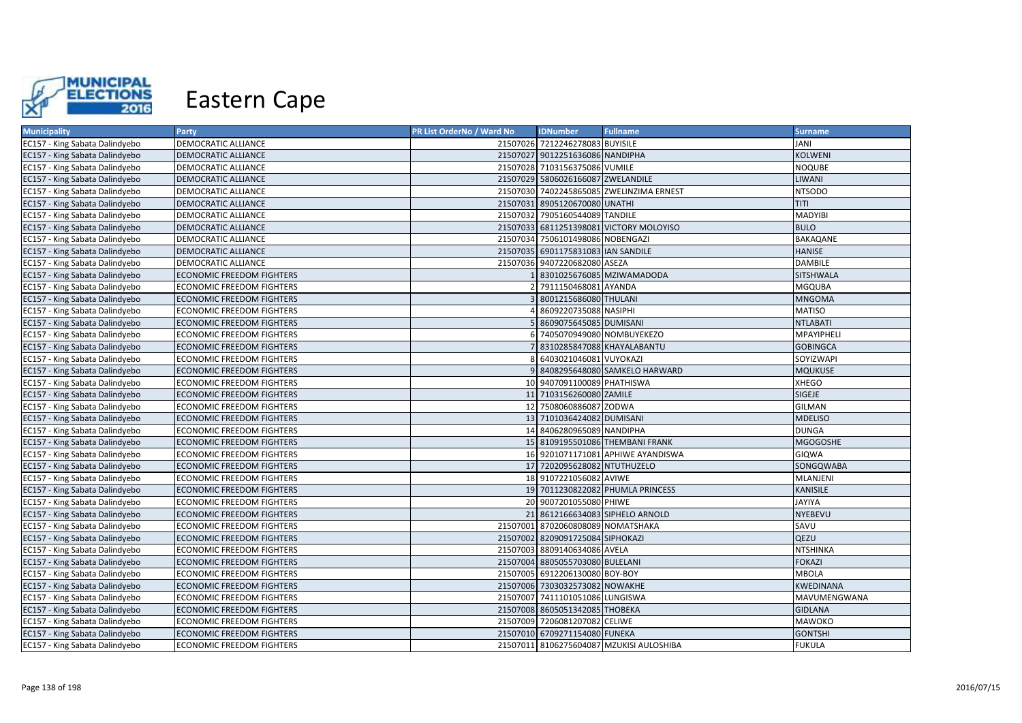

| <b>Municipality</b>            | Party                            | PR List OrderNo / Ward No | <b>IDNumber</b>                    | <b>Fullname</b>                          | <b>Surname</b>  |
|--------------------------------|----------------------------------|---------------------------|------------------------------------|------------------------------------------|-----------------|
| EC157 - King Sabata Dalindyebo | DEMOCRATIC ALLIANCE              |                           | 21507026 7212246278083 BUYISILE    |                                          | JANI            |
| EC157 - King Sabata Dalindyebo | DEMOCRATIC ALLIANCE              |                           | 21507027 9012251636086 NANDIPHA    |                                          | <b>KOLWENI</b>  |
| EC157 - King Sabata Dalindyebo | DEMOCRATIC ALLIANCE              |                           | 21507028 7103156375086 VUMILE      |                                          | <b>NOQUBE</b>   |
| EC157 - King Sabata Dalindyebo | DEMOCRATIC ALLIANCE              |                           | 21507029 5806026166087 ZWELANDILE  |                                          | LIWANI          |
| EC157 - King Sabata Dalindyebo | DEMOCRATIC ALLIANCE              |                           |                                    | 21507030 7402245865085 ZWELINZIMA ERNEST | <b>NTSODO</b>   |
| EC157 - King Sabata Dalindyebo | DEMOCRATIC ALLIANCE              |                           | 21507031 8905120670080 UNATHI      |                                          | TITI            |
| EC157 - King Sabata Dalindyebo | DEMOCRATIC ALLIANCE              |                           | 21507032 7905160544089 TANDILE     |                                          | <b>MADYIBI</b>  |
| EC157 - King Sabata Dalindyebo | DEMOCRATIC ALLIANCE              |                           |                                    | 21507033 6811251398081 VICTORY MOLOYISO  | <b>BULO</b>     |
| EC157 - King Sabata Dalindyebo | DEMOCRATIC ALLIANCE              |                           | 21507034 7506101498086 NOBENGAZI   |                                          | BAKAQANE        |
| EC157 - King Sabata Dalindyebo | DEMOCRATIC ALLIANCE              |                           | 21507035 6901175831083 IAN SANDILE |                                          | <b>HANISE</b>   |
| EC157 - King Sabata Dalindyebo | DEMOCRATIC ALLIANCE              |                           | 21507036 9407220682080 ASEZA       |                                          | <b>DAMBILE</b>  |
| EC157 - King Sabata Dalindyebo | <b>ECONOMIC FREEDOM FIGHTERS</b> |                           |                                    | 8301025676085 MZIWAMADODA                | SITSHWALA       |
| EC157 - King Sabata Dalindyebo | ECONOMIC FREEDOM FIGHTERS        |                           | 2 7911150468081 AYANDA             |                                          | <b>MGQUBA</b>   |
| EC157 - King Sabata Dalindyebo | <b>ECONOMIC FREEDOM FIGHTERS</b> |                           | 8001215686080 THULANI              |                                          | <b>MNGOMA</b>   |
| EC157 - King Sabata Dalindyebo | ECONOMIC FREEDOM FIGHTERS        |                           | 4 8609220735088 NASIPHI            |                                          | <b>MATISO</b>   |
| EC157 - King Sabata Dalindyebo | <b>ECONOMIC FREEDOM FIGHTERS</b> |                           | 5 8609075645085 DUMISANI           |                                          | <b>NTLABATI</b> |
| EC157 - King Sabata Dalindyebo | <b>ECONOMIC FREEDOM FIGHTERS</b> |                           | 6 7405070949080 NOMBUYEKEZO        |                                          | MPAYIPHELI      |
| EC157 - King Sabata Dalindyebo | <b>ECONOMIC FREEDOM FIGHTERS</b> |                           | 7 8310285847088 KHAYALABANTU       |                                          | <b>GOBINGCA</b> |
| EC157 - King Sabata Dalindyebo | ECONOMIC FREEDOM FIGHTERS        |                           | 8 6403021046081 VUYOKAZI           |                                          | SOYIZWAPI       |
| EC157 - King Sabata Dalindyebo | <b>ECONOMIC FREEDOM FIGHTERS</b> |                           |                                    | 9 8408295648080 SAMKELO HARWARD          | <b>MQUKUSE</b>  |
| EC157 - King Sabata Dalindyebo | <b>ECONOMIC FREEDOM FIGHTERS</b> |                           | 10 9407091100089 PHATHISWA         |                                          | <b>XHEGO</b>    |
| EC157 - King Sabata Dalindyebo | <b>ECONOMIC FREEDOM FIGHTERS</b> |                           | 11 7103156260080 ZAMILE            |                                          | SIGEJE          |
| EC157 - King Sabata Dalindyebo | ECONOMIC FREEDOM FIGHTERS        |                           | 12 7508060886087 ZODWA             |                                          | GILMAN          |
| EC157 - King Sabata Dalindyebo | <b>ECONOMIC FREEDOM FIGHTERS</b> |                           | 13 7101036424082 DUMISANI          |                                          | <b>MDELISO</b>  |
| EC157 - King Sabata Dalindyebo | ECONOMIC FREEDOM FIGHTERS        |                           | 14 8406280965089 NANDIPHA          |                                          | <b>DUNGA</b>    |
| EC157 - King Sabata Dalindyebo | <b>ECONOMIC FREEDOM FIGHTERS</b> |                           |                                    | 15 8109195501086 THEMBANI FRANK          | <b>MGOGOSHE</b> |
| EC157 - King Sabata Dalindyebo | <b>ECONOMIC FREEDOM FIGHTERS</b> |                           |                                    | 16 9201071171081 APHIWE AYANDISWA        | GIQWA           |
| EC157 - King Sabata Dalindyebo | <b>ECONOMIC FREEDOM FIGHTERS</b> |                           | 17 7202095628082 NTUTHUZELO        |                                          | SONGQWABA       |
| EC157 - King Sabata Dalindyebo | ECONOMIC FREEDOM FIGHTERS        |                           | 18 9107221056082 AVIWE             |                                          | MLANJENI        |
| EC157 - King Sabata Dalindyebo | <b>ECONOMIC FREEDOM FIGHTERS</b> |                           |                                    | 19 7011230822082 PHUMLA PRINCESS         | <b>KANISILE</b> |
| EC157 - King Sabata Dalindyebo | <b>ECONOMIC FREEDOM FIGHTERS</b> |                           | 20 9007201055080 PHIWE             |                                          | JAYIYA          |
| EC157 - King Sabata Dalindyebo | <b>ECONOMIC FREEDOM FIGHTERS</b> |                           |                                    | 21 8612166634083 SIPHELO ARNOLD          | <b>NYEBEVU</b>  |
| EC157 - King Sabata Dalindyebo | ECONOMIC FREEDOM FIGHTERS        |                           | 21507001 8702060808089 NOMATSHAKA  |                                          | SAVU            |
| EC157 - King Sabata Dalindyebo | <b>ECONOMIC FREEDOM FIGHTERS</b> |                           | 21507002 8209091725084 SIPHOKAZI   |                                          | QEZU            |
| EC157 - King Sabata Dalindyebo | ECONOMIC FREEDOM FIGHTERS        |                           | 21507003 8809140634086 AVELA       |                                          | NTSHINKA        |
| EC157 - King Sabata Dalindyebo | ECONOMIC FREEDOM FIGHTERS        |                           | 21507004 8805055703080 BULELANI    |                                          | <b>FOKAZI</b>   |
| EC157 - King Sabata Dalindyebo | <b>ECONOMIC FREEDOM FIGHTERS</b> |                           | 21507005 6912206130080 BOY-BOY     |                                          | <b>MBOLA</b>    |
| EC157 - King Sabata Dalindyebo | ECONOMIC FREEDOM FIGHTERS        |                           | 21507006 7303032573082 NOWAKHE     |                                          | KWEDINANA       |
| EC157 - King Sabata Dalindyebo | ECONOMIC FREEDOM FIGHTERS        |                           | 21507007 7411101051086 LUNGISWA    |                                          | MAVUMENGWANA    |
| EC157 - King Sabata Dalindyebo | <b>ECONOMIC FREEDOM FIGHTERS</b> |                           | 21507008 8605051342085 THOBEKA     |                                          | <b>GIDLANA</b>  |
| EC157 - King Sabata Dalindyebo | <b>ECONOMIC FREEDOM FIGHTERS</b> |                           | 21507009 7206081207082 CELIWE      |                                          | MAWOKO          |
| EC157 - King Sabata Dalindyebo | ECONOMIC FREEDOM FIGHTERS        |                           | 21507010 6709271154080 FUNEKA      |                                          | <b>GONTSHI</b>  |
| EC157 - King Sabata Dalindyebo | ECONOMIC FREEDOM FIGHTERS        |                           |                                    | 21507011 8106275604087 MZUKISI AULOSHIBA | <b>FUKULA</b>   |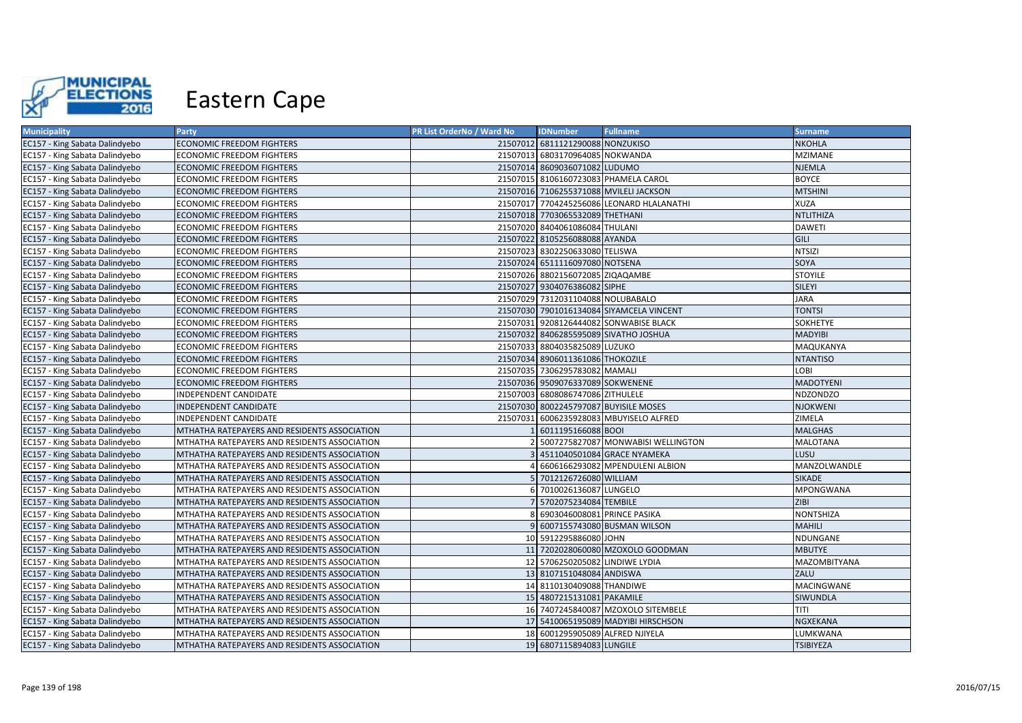

| <b>Municipality</b>            | <b>Party</b>                                 | PR List OrderNo / Ward No | <b>IDNumber</b>                   | <b>Fullname</b>                           | <b>Surname</b>   |
|--------------------------------|----------------------------------------------|---------------------------|-----------------------------------|-------------------------------------------|------------------|
| EC157 - King Sabata Dalindyebo | ECONOMIC FREEDOM FIGHTERS                    |                           | 21507012 6811121290088 NONZUKISO  |                                           | <b>NKOHLA</b>    |
| EC157 - King Sabata Dalindyebo | ECONOMIC FREEDOM FIGHTERS                    |                           | 21507013 6803170964085 NOKWANDA   |                                           | <b>MZIMANE</b>   |
| EC157 - King Sabata Dalindyebo | ECONOMIC FREEDOM FIGHTERS                    |                           | 21507014 8609036071082 LUDUMO     |                                           | <b>NJEMLA</b>    |
| EC157 - King Sabata Dalindyebo | ECONOMIC FREEDOM FIGHTERS                    |                           |                                   | 21507015 8106160723083 PHAMELA CAROL      | <b>BOYCE</b>     |
| EC157 - King Sabata Dalindyebo | ECONOMIC FREEDOM FIGHTERS                    |                           |                                   | 21507016 7106255371088 MVILELI JACKSON    | <b>MTSHINI</b>   |
| EC157 - King Sabata Dalindyebo | ECONOMIC FREEDOM FIGHTERS                    |                           |                                   | 21507017 7704245256086 LEONARD HLALANATHI | <b>XUZA</b>      |
| EC157 - King Sabata Dalindyebo | ECONOMIC FREEDOM FIGHTERS                    |                           | 21507018 7703065532089 THETHANI   |                                           | <b>NTLITHIZA</b> |
| EC157 - King Sabata Dalindyebo | ECONOMIC FREEDOM FIGHTERS                    |                           | 21507020 8404061086084 THULANI    |                                           | <b>DAWETI</b>    |
| EC157 - King Sabata Dalindyebo | ECONOMIC FREEDOM FIGHTERS                    |                           | 21507022 8105256088088 AYANDA     |                                           | GILI             |
| EC157 - King Sabata Dalindyebo | ECONOMIC FREEDOM FIGHTERS                    |                           | 21507023 8302250633080 TELISWA    |                                           | <b>NTSIZI</b>    |
| EC157 - King Sabata Dalindyebo | ECONOMIC FREEDOM FIGHTERS                    |                           | 21507024 6511116097080 NOTSENA    |                                           | SOYA             |
| EC157 - King Sabata Dalindyebo | ECONOMIC FREEDOM FIGHTERS                    |                           | 21507026 8802156072085 ZIQAQAMBE  |                                           | <b>STOYILE</b>   |
| EC157 - King Sabata Dalindyebo | ECONOMIC FREEDOM FIGHTERS                    |                           | 21507027 9304076386082 SIPHE      |                                           | SILEYI           |
| EC157 - King Sabata Dalindyebo | ECONOMIC FREEDOM FIGHTERS                    |                           | 21507029 7312031104088 NOLUBABALO |                                           | <b>JARA</b>      |
| EC157 - King Sabata Dalindyebo | <b>ECONOMIC FREEDOM FIGHTERS</b>             |                           |                                   | 21507030 7901016134084 SIYAMCELA VINCENT  | <b>TONTSI</b>    |
| EC157 - King Sabata Dalindyebo | ECONOMIC FREEDOM FIGHTERS                    |                           |                                   | 21507031 9208126444082 SONWABISE BLACK    | SOKHETYE         |
| EC157 - King Sabata Dalindyebo | ECONOMIC FREEDOM FIGHTERS                    |                           |                                   | 21507032 8406285595089 SIVATHO JOSHUA     | <b>MADYIBI</b>   |
| EC157 - King Sabata Dalindyebo | ECONOMIC FREEDOM FIGHTERS                    |                           | 21507033 8804035825089 LUZUKO     |                                           | MAQUKANYA        |
| EC157 - King Sabata Dalindyebo | ECONOMIC FREEDOM FIGHTERS                    |                           | 21507034 8906011361086 THOKOZILE  |                                           | <b>NTANTISO</b>  |
| EC157 - King Sabata Dalindyebo | ECONOMIC FREEDOM FIGHTERS                    |                           | 21507035 7306295783082 MAMALI     |                                           | LOBI             |
| EC157 - King Sabata Dalindyebo | <b>ECONOMIC FREEDOM FIGHTERS</b>             |                           | 21507036 9509076337089 SOKWENENE  |                                           | <b>MADOTYENI</b> |
| EC157 - King Sabata Dalindyebo | INDEPENDENT CANDIDATE                        | 21507003                  | 6808086747086 ZITHULELE           |                                           | <b>NDZONDZO</b>  |
| EC157 - King Sabata Dalindyebo | INDEPENDENT CANDIDATE                        |                           |                                   | 21507030 8002245797087 BUYISILE MOSES     | <b>NJOKWENI</b>  |
| EC157 - King Sabata Dalindyebo | INDEPENDENT CANDIDATE                        |                           |                                   | 21507031 6006235928083 MBUYISELO ALFRED   | ZIMELA           |
| EC157 - King Sabata Dalindyebo | MTHATHA RATEPAYERS AND RESIDENTS ASSOCIATION |                           | 6011195166088 BOOI                |                                           | <b>MALGHAS</b>   |
| EC157 - King Sabata Dalindyebo | MTHATHA RATEPAYERS AND RESIDENTS ASSOCIATION |                           |                                   | 5007275827087 MONWABISI WELLINGTON        | MALOTANA         |
| EC157 - King Sabata Dalindyebo | MTHATHA RATEPAYERS AND RESIDENTS ASSOCIATION |                           |                                   | 4511040501084 GRACE NYAMEKA               | LUSU             |
| EC157 - King Sabata Dalindyebo | MTHATHA RATEPAYERS AND RESIDENTS ASSOCIATION |                           |                                   | 6606166293082 MPENDULENI ALBION           | MANZOLWANDLE     |
| EC157 - King Sabata Dalindyebo | MTHATHA RATEPAYERS AND RESIDENTS ASSOCIATION |                           | 7012126726080 WILLIAM             |                                           | <b>SIKADE</b>    |
| EC157 - King Sabata Dalindyebo | MTHATHA RATEPAYERS AND RESIDENTS ASSOCIATION |                           | 7010026136087 LUNGELO             |                                           | <b>MPONGWANA</b> |
| EC157 - King Sabata Dalindyebo | MTHATHA RATEPAYERS AND RESIDENTS ASSOCIATION |                           | 7 5702075234084 TEMBILE           |                                           | <b>ZIBI</b>      |
| EC157 - King Sabata Dalindyebo | MTHATHA RATEPAYERS AND RESIDENTS ASSOCIATION |                           | 6903046008081 PRINCE PASIKA       |                                           | <b>NONTSHIZA</b> |
| EC157 - King Sabata Dalindyebo | MTHATHA RATEPAYERS AND RESIDENTS ASSOCIATION |                           |                                   | 9 6007155743080 BUSMAN WILSON             | <b>MAHILI</b>    |
| EC157 - King Sabata Dalindyebo | MTHATHA RATEPAYERS AND RESIDENTS ASSOCIATION |                           | 10 5912295886080 JOHN             |                                           | NDUNGANE         |
| EC157 - King Sabata Dalindyebo | MTHATHA RATEPAYERS AND RESIDENTS ASSOCIATION |                           |                                   | 11 7202028060080 MZOXOLO GOODMAN          | <b>MBUTYE</b>    |
| EC157 - King Sabata Dalindyebo | MTHATHA RATEPAYERS AND RESIDENTS ASSOCIATION |                           | 12 5706250205082 LINDIWE LYDIA    |                                           | MAZOMBITYANA     |
| EC157 - King Sabata Dalindyebo | MTHATHA RATEPAYERS AND RESIDENTS ASSOCIATION |                           | 13 8107151048084 ANDISWA          |                                           | ZALU             |
| EC157 - King Sabata Dalindyebo | MTHATHA RATEPAYERS AND RESIDENTS ASSOCIATION |                           | 14 8110130409088 THANDIWE         |                                           | MACINGWANE       |
| EC157 - King Sabata Dalindyebo | MTHATHA RATEPAYERS AND RESIDENTS ASSOCIATION |                           | 15 4807215131081 PAKAMILE         |                                           | SIWUNDLA         |
| EC157 - King Sabata Dalindyebo | MTHATHA RATEPAYERS AND RESIDENTS ASSOCIATION |                           |                                   | 16 7407245840087 MZOXOLO SITEMBELE        | TITI             |
| EC157 - King Sabata Dalindyebo | MTHATHA RATEPAYERS AND RESIDENTS ASSOCIATION |                           |                                   | 17 5410065195089 MADYIBI HIRSCHSON        | NGXEKANA         |
| EC157 - King Sabata Dalindyebo | MTHATHA RATEPAYERS AND RESIDENTS ASSOCIATION |                           | 18 6001295905089 ALFRED NJIYELA   |                                           | LUMKWANA         |
| EC157 - King Sabata Dalindyebo | MTHATHA RATEPAYERS AND RESIDENTS ASSOCIATION |                           | 19 6807115894083 LUNGILE          |                                           | <b>TSIBIYEZA</b> |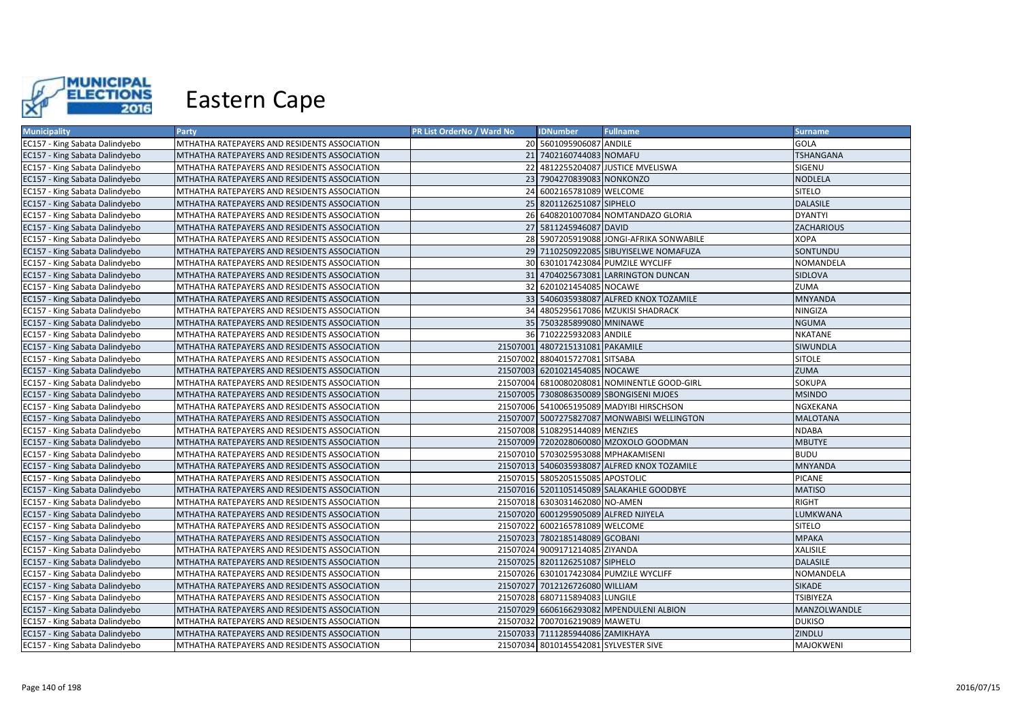

| <b>Municipality</b>            | Party                                        | PR List OrderNo / Ward No | <b>IDNumber</b>                       | <b>Fullname</b>                             | <b>Surname</b>   |
|--------------------------------|----------------------------------------------|---------------------------|---------------------------------------|---------------------------------------------|------------------|
| EC157 - King Sabata Dalindyebo | MTHATHA RATEPAYERS AND RESIDENTS ASSOCIATION |                           | 20 5601095906087 ANDILE               |                                             | <b>GOLA</b>      |
| EC157 - King Sabata Dalindyebo | MTHATHA RATEPAYERS AND RESIDENTS ASSOCIATION |                           | 21 7402160744083 NOMAFU               |                                             | <b>TSHANGANA</b> |
| EC157 - King Sabata Dalindyebo | MTHATHA RATEPAYERS AND RESIDENTS ASSOCIATION |                           |                                       | 22 4812255204087 JUSTICE MVELISWA           | SIGENU           |
| EC157 - King Sabata Dalindyebo | MTHATHA RATEPAYERS AND RESIDENTS ASSOCIATION |                           | 23 7904270839083 NONKONZO             |                                             | <b>NODLELA</b>   |
| EC157 - King Sabata Dalindyebo | MTHATHA RATEPAYERS AND RESIDENTS ASSOCIATION |                           | 24 6002165781089 WELCOME              |                                             | <b>SITELO</b>    |
| EC157 - King Sabata Dalindyebo | MTHATHA RATEPAYERS AND RESIDENTS ASSOCIATION |                           | 25 8201126251087 SIPHELO              |                                             | <b>DALASILE</b>  |
| EC157 - King Sabata Dalindyebo | MTHATHA RATEPAYERS AND RESIDENTS ASSOCIATION |                           |                                       | 26 6408201007084 NOMTANDAZO GLORIA          | <b>DYANTYI</b>   |
| EC157 - King Sabata Dalindyebo | MTHATHA RATEPAYERS AND RESIDENTS ASSOCIATION |                           | 27 5811245946087 DAVID                |                                             | ZACHARIOUS       |
| EC157 - King Sabata Dalindyebo | MTHATHA RATEPAYERS AND RESIDENTS ASSOCIATION |                           |                                       | 28 5907205919088 JONGI-AFRIKA SONWABILE     | <b>XOPA</b>      |
| EC157 - King Sabata Dalindyebo | MTHATHA RATEPAYERS AND RESIDENTS ASSOCIATION |                           |                                       | 29 7110250922085 SIBUYISELWE NOMAFUZA       | SONTUNDU         |
| EC157 - King Sabata Dalindyebo | MTHATHA RATEPAYERS AND RESIDENTS ASSOCIATION |                           |                                       | 30 6301017423084 PUMZILE WYCLIFF            | NOMANDELA        |
| EC157 - King Sabata Dalindyebo | MTHATHA RATEPAYERS AND RESIDENTS ASSOCIATION |                           |                                       | 31 4704025673081 LARRINGTON DUNCAN          | <b>SIDLOVA</b>   |
| EC157 - King Sabata Dalindyebo | MTHATHA RATEPAYERS AND RESIDENTS ASSOCIATION |                           | 32 6201021454085 NOCAWE               |                                             | ZUMA             |
| EC157 - King Sabata Dalindyebo | MTHATHA RATEPAYERS AND RESIDENTS ASSOCIATION |                           |                                       | 33 5406035938087 ALFRED KNOX TOZAMILE       | <b>MNYANDA</b>   |
| EC157 - King Sabata Dalindyebo | MTHATHA RATEPAYERS AND RESIDENTS ASSOCIATION |                           |                                       | 34 4805295617086 MZUKISI SHADRACK           | NINGIZA          |
| EC157 - King Sabata Dalindyebo | MTHATHA RATEPAYERS AND RESIDENTS ASSOCIATION |                           | 35 7503285899080 MNINAWE              |                                             | <b>NGUMA</b>     |
| EC157 - King Sabata Dalindyebo | MTHATHA RATEPAYERS AND RESIDENTS ASSOCIATION |                           | 36 7102225932083 ANDILE               |                                             | <b>NKATANE</b>   |
| EC157 - King Sabata Dalindyebo | MTHATHA RATEPAYERS AND RESIDENTS ASSOCIATION |                           | 21507001 4807215131081 PAKAMILE       |                                             | SIWUNDLA         |
| EC157 - King Sabata Dalindyebo | MTHATHA RATEPAYERS AND RESIDENTS ASSOCIATION |                           | 21507002 8804015727081 SITSABA        |                                             | <b>SITOLE</b>    |
| EC157 - King Sabata Dalindyebo | MTHATHA RATEPAYERS AND RESIDENTS ASSOCIATION |                           | 21507003 6201021454085 NOCAWE         |                                             | <b>ZUMA</b>      |
| EC157 - King Sabata Dalindyebo | MTHATHA RATEPAYERS AND RESIDENTS ASSOCIATION |                           |                                       | 21507004 6810080208081 NOMINENTLE GOOD-GIRL | <b>SOKUPA</b>    |
| EC157 - King Sabata Dalindyebo | MTHATHA RATEPAYERS AND RESIDENTS ASSOCIATION |                           |                                       | 21507005 7308086350089 SBONGISENI MJOES     | <b>MSINDO</b>    |
| EC157 - King Sabata Dalindyebo | MTHATHA RATEPAYERS AND RESIDENTS ASSOCIATION |                           |                                       | 21507006 5410065195089 MADYIBI HIRSCHSON    | NGXEKANA         |
| EC157 - King Sabata Dalindyebo | MTHATHA RATEPAYERS AND RESIDENTS ASSOCIATION |                           |                                       | 21507007 5007275827087 MONWABISI WELLINGTON | <b>MALOTANA</b>  |
| EC157 - King Sabata Dalindyebo | MTHATHA RATEPAYERS AND RESIDENTS ASSOCIATION |                           | 21507008 5108295144089 MENZIES        |                                             | <b>NDABA</b>     |
| EC157 - King Sabata Dalindyebo | MTHATHA RATEPAYERS AND RESIDENTS ASSOCIATION |                           |                                       | 21507009 7202028060080 MZOXOLO GOODMAN      | <b>MBUTYE</b>    |
| EC157 - King Sabata Dalindyebo | MTHATHA RATEPAYERS AND RESIDENTS ASSOCIATION |                           | 21507010 5703025953088 MPHAKAMISENI   |                                             | <b>BUDU</b>      |
| EC157 - King Sabata Dalindyebo | MTHATHA RATEPAYERS AND RESIDENTS ASSOCIATION |                           |                                       | 21507013 5406035938087 ALFRED KNOX TOZAMILE | <b>MNYANDA</b>   |
| EC157 - King Sabata Dalindyebo | MTHATHA RATEPAYERS AND RESIDENTS ASSOCIATION |                           | 21507015 5805205155085 APOSTOLIC      |                                             | PICANE           |
| EC157 - King Sabata Dalindyebo | MTHATHA RATEPAYERS AND RESIDENTS ASSOCIATION |                           |                                       | 21507016 5201105145089 SALAKAHLE GOODBYE    | <b>MATISO</b>    |
| EC157 - King Sabata Dalindyebo | MTHATHA RATEPAYERS AND RESIDENTS ASSOCIATION |                           | 21507018 6303031462080 NO-AMEN        |                                             | RIGHT            |
| EC157 - King Sabata Dalindyebo | MTHATHA RATEPAYERS AND RESIDENTS ASSOCIATION |                           | 21507020 6001295905089 ALFRED NJIYELA |                                             | LUMKWANA         |
| EC157 - King Sabata Dalindyebo | MTHATHA RATEPAYERS AND RESIDENTS ASSOCIATION |                           | 21507022 6002165781089 WELCOME        |                                             | <b>SITELO</b>    |
| EC157 - King Sabata Dalindyebo | MTHATHA RATEPAYERS AND RESIDENTS ASSOCIATION |                           | 21507023 7802185148089 GCOBANI        |                                             | <b>MPAKA</b>     |
| EC157 - King Sabata Dalindyebo | MTHATHA RATEPAYERS AND RESIDENTS ASSOCIATION |                           | 21507024 9009171214085 ZIYANDA        |                                             | XALISILE         |
| EC157 - King Sabata Dalindyebo | MTHATHA RATEPAYERS AND RESIDENTS ASSOCIATION |                           | 21507025 8201126251087 SIPHELO        |                                             | <b>DALASILE</b>  |
| EC157 - King Sabata Dalindyebo | MTHATHA RATEPAYERS AND RESIDENTS ASSOCIATION |                           |                                       | 21507026 6301017423084 PUMZILE WYCLIFF      | NOMANDELA        |
| EC157 - King Sabata Dalindyebo | MTHATHA RATEPAYERS AND RESIDENTS ASSOCIATION |                           | 21507027 7012126726080 WILLIAM        |                                             | <b>SIKADE</b>    |
| EC157 - King Sabata Dalindyebo | MTHATHA RATEPAYERS AND RESIDENTS ASSOCIATION |                           | 21507028 6807115894083 LUNGILE        |                                             | <b>TSIBIYEZA</b> |
| EC157 - King Sabata Dalindyebo | MTHATHA RATEPAYERS AND RESIDENTS ASSOCIATION |                           |                                       | 21507029 6606166293082 MPENDULENI ALBION    | MANZOLWANDLE     |
| EC157 - King Sabata Dalindyebo | MTHATHA RATEPAYERS AND RESIDENTS ASSOCIATION |                           | 21507032 7007016219089 MAWETU         |                                             | <b>DUKISO</b>    |
| EC157 - King Sabata Dalindyebo | MTHATHA RATEPAYERS AND RESIDENTS ASSOCIATION |                           | 21507033 7111285944086 ZAMIKHAYA      |                                             | ZINDLU           |
| EC157 - King Sabata Dalindyebo | MTHATHA RATEPAYERS AND RESIDENTS ASSOCIATION |                           | 21507034 8010145542081 SYLVESTER SIVE |                                             | MAJOKWENI        |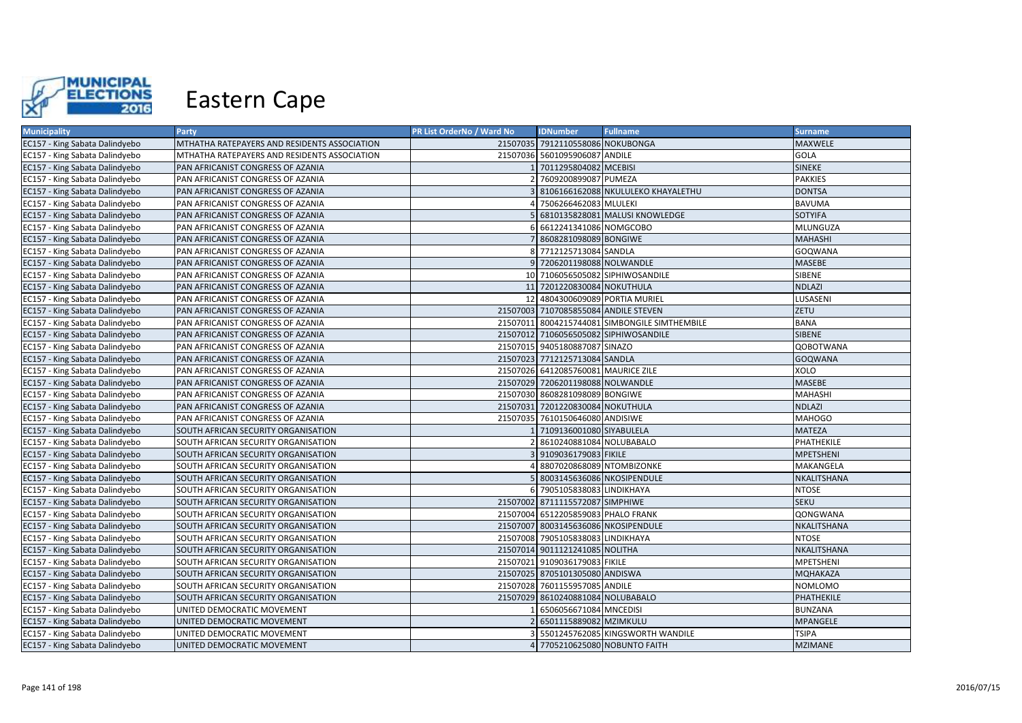

| <b>Municipality</b>            | Party                                        | PR List OrderNo / Ward No | <b>IDNumber</b>                      | <b>Fullname</b>                               | <b>Surname</b>   |
|--------------------------------|----------------------------------------------|---------------------------|--------------------------------------|-----------------------------------------------|------------------|
| EC157 - King Sabata Dalindyebo | MTHATHA RATEPAYERS AND RESIDENTS ASSOCIATION |                           | 21507035 7912110558086 NOKUBONGA     |                                               | MAXWELE          |
| EC157 - King Sabata Dalindyebo | MTHATHA RATEPAYERS AND RESIDENTS ASSOCIATION |                           | 21507036 5601095906087 ANDILE        |                                               | GOLA             |
| EC157 - King Sabata Dalindyebo | PAN AFRICANIST CONGRESS OF AZANIA            |                           | 1 7011295804082 MCEBISI              |                                               | SINEKE           |
| EC157 - King Sabata Dalindyebo | PAN AFRICANIST CONGRESS OF AZANIA            |                           | 2 7609200899087 PUMEZA               |                                               | <b>PAKKIES</b>   |
| EC157 - King Sabata Dalindyebo | PAN AFRICANIST CONGRESS OF AZANIA            |                           |                                      | 8106166162088 NKULULEKO KHAYALETHU            | <b>DONTSA</b>    |
| EC157 - King Sabata Dalindyebo | PAN AFRICANIST CONGRESS OF AZANIA            |                           | 4 7506266462083 MLULEKI              |                                               | <b>BAVUMA</b>    |
| EC157 - King Sabata Dalindyebo | PAN AFRICANIST CONGRESS OF AZANIA            |                           |                                      | 5 6810135828081 MALUSI KNOWLEDGE              | <b>SOTYIFA</b>   |
| EC157 - King Sabata Dalindyebo | PAN AFRICANIST CONGRESS OF AZANIA            |                           | 6612241341086 NOMGCOBO               |                                               | MLUNGUZA         |
| EC157 - King Sabata Dalindyebo | PAN AFRICANIST CONGRESS OF AZANIA            |                           | 7 8608281098089 BONGIWE              |                                               | <b>MAHASHI</b>   |
| EC157 - King Sabata Dalindyebo | PAN AFRICANIST CONGRESS OF AZANIA            |                           | 8 7712125713084 SANDLA               |                                               | GOQWANA          |
| EC157 - King Sabata Dalindyebo | PAN AFRICANIST CONGRESS OF AZANIA            |                           | 9 7206201198088 NOLWANDLE            |                                               | MASEBE           |
| EC157 - King Sabata Dalindyebo | PAN AFRICANIST CONGRESS OF AZANIA            |                           |                                      | 10 7106056505082 SIPHIWOSANDILE               | SIBENE           |
| EC157 - King Sabata Dalindyebo | PAN AFRICANIST CONGRESS OF AZANIA            |                           | 11 7201220830084 NOKUTHULA           |                                               | <b>NDLAZI</b>    |
| EC157 - King Sabata Dalindyebo | PAN AFRICANIST CONGRESS OF AZANIA            |                           | 12 4804300609089 PORTIA MURIEL       |                                               | LUSASENI         |
| EC157 - King Sabata Dalindyebo | PAN AFRICANIST CONGRESS OF AZANIA            |                           | 21507003 7107085855084 ANDILE STEVEN |                                               | ZETU             |
| EC157 - King Sabata Dalindyebo | PAN AFRICANIST CONGRESS OF AZANIA            |                           |                                      | 21507011 8004215744081 SIMBONGILE SIMTHEMBILE | <b>BANA</b>      |
| EC157 - King Sabata Dalindyebo | PAN AFRICANIST CONGRESS OF AZANIA            |                           |                                      | 21507012 7106056505082 SIPHIWOSANDILE         | <b>SIBENE</b>    |
| EC157 - King Sabata Dalindyebo | PAN AFRICANIST CONGRESS OF AZANIA            |                           | 21507015 9405180887087 SINAZO        |                                               | <b>QOBOTWANA</b> |
| EC157 - King Sabata Dalindyebo | PAN AFRICANIST CONGRESS OF AZANIA            |                           | 21507023 7712125713084 SANDLA        |                                               | <b>GOQWANA</b>   |
| EC157 - King Sabata Dalindyebo | PAN AFRICANIST CONGRESS OF AZANIA            |                           | 21507026 6412085760081 MAURICE ZILE  |                                               | XOLO             |
| EC157 - King Sabata Dalindyebo | PAN AFRICANIST CONGRESS OF AZANIA            |                           | 21507029 7206201198088 NOLWANDLE     |                                               | MASEBE           |
| EC157 - King Sabata Dalindyebo | PAN AFRICANIST CONGRESS OF AZANIA            |                           | 21507030 8608281098089 BONGIWE       |                                               | <b>MAHASHI</b>   |
| EC157 - King Sabata Dalindyebo | PAN AFRICANIST CONGRESS OF AZANIA            |                           | 21507031 7201220830084 NOKUTHULA     |                                               | <b>NDLAZI</b>    |
| EC157 - King Sabata Dalindyebo | PAN AFRICANIST CONGRESS OF AZANIA            |                           | 21507035 7610150646080 ANDISIWE      |                                               | <b>MAHOGO</b>    |
| EC157 - King Sabata Dalindyebo | SOUTH AFRICAN SECURITY ORGANISATION          |                           | 7109136001080 SIYABULELA             |                                               | <b>MATEZA</b>    |
| EC157 - King Sabata Dalindyebo | SOUTH AFRICAN SECURITY ORGANISATION          |                           | 2 8610240881084 NOLUBABALO           |                                               | PHATHEKILE       |
| EC157 - King Sabata Dalindyebo | SOUTH AFRICAN SECURITY ORGANISATION          |                           | 3 9109036179083 FIKILE               |                                               | <b>MPETSHENI</b> |
| EC157 - King Sabata Dalindyebo | SOUTH AFRICAN SECURITY ORGANISATION          |                           | 4 8807020868089 NTOMBIZONKE          |                                               | MAKANGELA        |
| EC157 - King Sabata Dalindyebo | SOUTH AFRICAN SECURITY ORGANISATION          |                           | 8003145636086 NKOSIPENDULE           |                                               | NKALITSHANA      |
| EC157 - King Sabata Dalindyebo | SOUTH AFRICAN SECURITY ORGANISATION          |                           | 6 7905105838083 LINDIKHAYA           |                                               | <b>NTOSE</b>     |
| EC157 - King Sabata Dalindyebo | SOUTH AFRICAN SECURITY ORGANISATION          |                           | 21507002 8711115572087 SIMPHIWE      |                                               | <b>SEKU</b>      |
| EC157 - King Sabata Dalindyebo | SOUTH AFRICAN SECURITY ORGANISATION          |                           | 21507004 6512205859083 PHALO FRANK   |                                               | QONGWANA         |
| EC157 - King Sabata Dalindyebo | SOUTH AFRICAN SECURITY ORGANISATION          |                           | 21507007 8003145636086 NKOSIPENDULE  |                                               | NKALITSHANA      |
| EC157 - King Sabata Dalindyebo | SOUTH AFRICAN SECURITY ORGANISATION          |                           | 21507008 7905105838083 LINDIKHAYA    |                                               | NTOSE            |
| EC157 - King Sabata Dalindyebo | SOUTH AFRICAN SECURITY ORGANISATION          |                           | 21507014 9011121241085 NOLITHA       |                                               | NKALITSHANA      |
| EC157 - King Sabata Dalindyebo | SOUTH AFRICAN SECURITY ORGANISATION          |                           | 21507021 9109036179083 FIKILE        |                                               | MPETSHENI        |
| EC157 - King Sabata Dalindyebo | SOUTH AFRICAN SECURITY ORGANISATION          |                           | 21507025 8705101305080 ANDISWA       |                                               | <b>MQHAKAZA</b>  |
| EC157 - King Sabata Dalindyebo | SOUTH AFRICAN SECURITY ORGANISATION          |                           | 21507028 7601155957085 ANDILE        |                                               | NOMLOMO          |
| EC157 - King Sabata Dalindyebo | SOUTH AFRICAN SECURITY ORGANISATION          |                           | 21507029 8610240881084 NOLUBABALO    |                                               | PHATHEKILE       |
| EC157 - King Sabata Dalindyebo | UNITED DEMOCRATIC MOVEMENT                   |                           | 6506056671084 MNCEDISI               |                                               | <b>BUNZANA</b>   |
| EC157 - King Sabata Dalindyebo | UNITED DEMOCRATIC MOVEMENT                   |                           | 2 6501115889082 MZIMKULU             |                                               | MPANGELE         |
| EC157 - King Sabata Dalindyebo | UNITED DEMOCRATIC MOVEMENT                   |                           |                                      | 5501245762085 KINGSWORTH WANDILE              | <b>TSIPA</b>     |
| EC157 - King Sabata Dalindyebo | UNITED DEMOCRATIC MOVEMENT                   |                           |                                      | 4 7705210625080 NOBUNTO FAITH                 | <b>MZIMANE</b>   |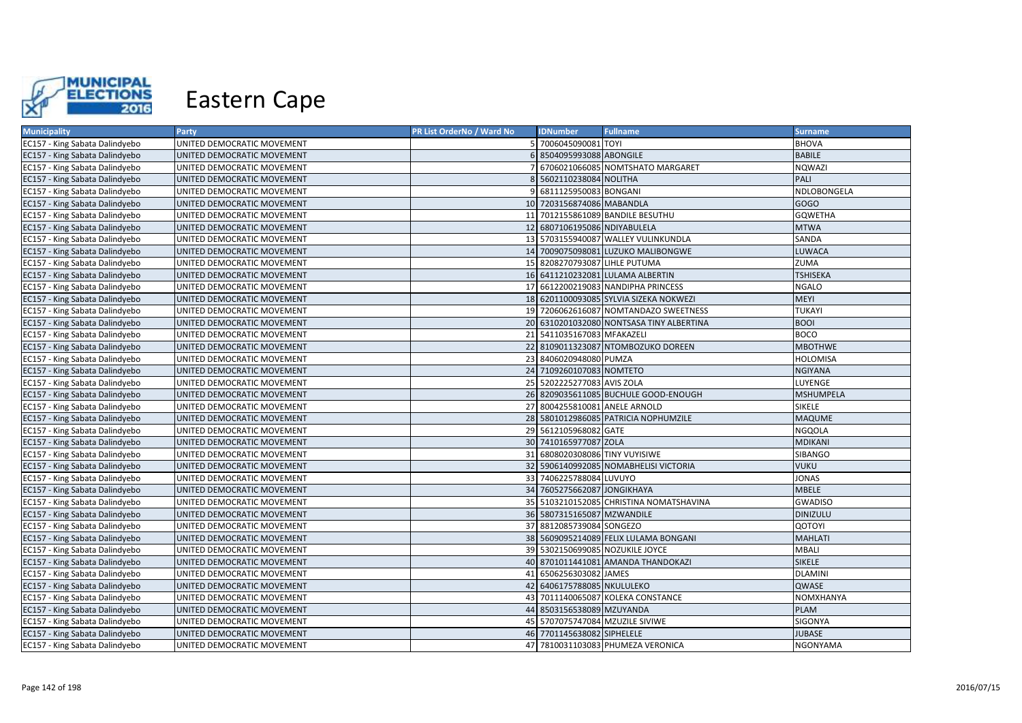

| <b>Municipality</b>            | <b>Party</b>               | PR List OrderNo / Ward No | <b>IDNumber</b>                | <b>Fullname</b>                          | <b>Surname</b>   |
|--------------------------------|----------------------------|---------------------------|--------------------------------|------------------------------------------|------------------|
| EC157 - King Sabata Dalindyebo | UNITED DEMOCRATIC MOVEMENT |                           | 5 7006045090081 TOYI           |                                          | <b>BHOVA</b>     |
| EC157 - King Sabata Dalindyebo | UNITED DEMOCRATIC MOVEMENT |                           | 6 8504095993088 ABONGILE       |                                          | <b>BABILE</b>    |
| EC157 - King Sabata Dalindyebo | UNITED DEMOCRATIC MOVEMENT |                           |                                | 7 6706021066085 NOMTSHATO MARGARET       | NQWAZI           |
| EC157 - King Sabata Dalindyebo | UNITED DEMOCRATIC MOVEMENT |                           | 8 5602110238084 NOLITHA        |                                          | PALI             |
| EC157 - King Sabata Dalindyebo | UNITED DEMOCRATIC MOVEMENT |                           | 9 6811125950083 BONGANI        |                                          | NDLOBONGELA      |
| EC157 - King Sabata Dalindyebo | UNITED DEMOCRATIC MOVEMENT |                           | 10 7203156874086 MABANDLA      |                                          | GOGO             |
| EC157 - King Sabata Dalindyebo | UNITED DEMOCRATIC MOVEMENT |                           |                                | 11 7012155861089 BANDILE BESUTHU         | <b>GQWETHA</b>   |
| EC157 - King Sabata Dalindyebo | UNITED DEMOCRATIC MOVEMENT |                           | 12 6807106195086 NDIYABULELA   |                                          | <b>MTWA</b>      |
| EC157 - King Sabata Dalindyebo | UNITED DEMOCRATIC MOVEMENT |                           |                                | 13 5703155940087 WALLEY VULINKUNDLA      | SANDA            |
| EC157 - King Sabata Dalindyebo | UNITED DEMOCRATIC MOVEMENT |                           |                                | 14 7009075098081 LUZUKO MALIBONGWE       | <b>LUWACA</b>    |
| EC157 - King Sabata Dalindyebo | UNITED DEMOCRATIC MOVEMENT |                           | 15 8208270793087 LIHLE PUTUMA  |                                          | ZUMA             |
| EC157 - King Sabata Dalindyebo | UNITED DEMOCRATIC MOVEMENT |                           |                                | 16 6411210232081 LULAMA ALBERTIN         | <b>TSHISEKA</b>  |
| EC157 - King Sabata Dalindyebo | UNITED DEMOCRATIC MOVEMENT |                           |                                | 17 6612200219083 NANDIPHA PRINCESS       | NGALO            |
| EC157 - King Sabata Dalindyebo | UNITED DEMOCRATIC MOVEMENT |                           |                                | 18 6201100093085 SYLVIA SIZEKA NOKWEZI   | <b>MEYI</b>      |
| EC157 - King Sabata Dalindyebo | UNITED DEMOCRATIC MOVEMENT |                           |                                | 19 7206062616087 NOMTANDAZO SWEETNESS    | <b>TUKAYI</b>    |
| EC157 - King Sabata Dalindyebo | UNITED DEMOCRATIC MOVEMENT |                           |                                | 20 6310201032080 NONTSASA TINY ALBERTINA | <b>BOOI</b>      |
| EC157 - King Sabata Dalindyebo | UNITED DEMOCRATIC MOVEMENT |                           | 21 5411035167083 MFAKAZELI     |                                          | <b>BOCO</b>      |
| EC157 - King Sabata Dalindyebo | UNITED DEMOCRATIC MOVEMENT |                           |                                | 22 8109011323087 NTOMBOZUKO DOREEN       | <b>MBOTHWE</b>   |
| EC157 - King Sabata Dalindyebo | UNITED DEMOCRATIC MOVEMENT |                           | 23 8406020948080 PUMZA         |                                          | <b>HOLOMISA</b>  |
| EC157 - King Sabata Dalindyebo | UNITED DEMOCRATIC MOVEMENT |                           | 24 7109260107083 NOMTETO       |                                          | <b>NGIYANA</b>   |
| EC157 - King Sabata Dalindyebo | UNITED DEMOCRATIC MOVEMENT |                           | 25 5202225277083 AVIS ZOLA     |                                          | LUYENGE          |
| EC157 - King Sabata Dalindyebo | UNITED DEMOCRATIC MOVEMENT |                           |                                | 26 8209035611085 BUCHULE GOOD-ENOUGH     | <b>MSHUMPELA</b> |
| EC157 - King Sabata Dalindyebo | UNITED DEMOCRATIC MOVEMENT |                           | 27 8004255810081 ANELE ARNOLD  |                                          | <b>SIKELE</b>    |
| EC157 - King Sabata Dalindyebo | UNITED DEMOCRATIC MOVEMENT |                           |                                | 28 5801012986085 PATRICIA NOPHUMZILE     | <b>MAQUME</b>    |
| EC157 - King Sabata Dalindyebo | UNITED DEMOCRATIC MOVEMENT |                           | 29 5612105968082 GATE          |                                          | <b>NGQOLA</b>    |
| EC157 - King Sabata Dalindyebo | UNITED DEMOCRATIC MOVEMENT |                           | 30 7410165977087 ZOLA          |                                          | <b>MDIKANI</b>   |
| EC157 - King Sabata Dalindyebo | UNITED DEMOCRATIC MOVEMENT |                           | 31 6808020308086 TINY VUYISIWE |                                          | SIBANGO          |
| EC157 - King Sabata Dalindyebo | UNITED DEMOCRATIC MOVEMENT |                           |                                | 32 5906140992085 NOMABHELISI VICTORIA    | <b>VUKU</b>      |
| EC157 - King Sabata Dalindyebo | UNITED DEMOCRATIC MOVEMENT |                           | 33 7406225788084 LUVUYO        |                                          | <b>JONAS</b>     |
| EC157 - King Sabata Dalindyebo | UNITED DEMOCRATIC MOVEMENT |                           | 34 7605275662087 JONGIKHAYA    |                                          | <b>MBELE</b>     |
| EC157 - King Sabata Dalindyebo | UNITED DEMOCRATIC MOVEMENT |                           |                                | 35 5103210152085 CHRISTINA NOMATSHAVINA  | <b>GWADISO</b>   |
| EC157 - King Sabata Dalindyebo | UNITED DEMOCRATIC MOVEMENT |                           | 36 5807315165087 MZWANDILE     |                                          | <b>DINIZULU</b>  |
| EC157 - King Sabata Dalindyebo | UNITED DEMOCRATIC MOVEMENT |                           | 37 8812085739084 SONGEZO       |                                          | QOTOYI           |
| EC157 - King Sabata Dalindyebo | UNITED DEMOCRATIC MOVEMENT |                           |                                | 38 5609095214089 FELIX LULAMA BONGANI    | <b>MAHLATI</b>   |
| EC157 - King Sabata Dalindyebo | UNITED DEMOCRATIC MOVEMENT |                           |                                | 39 5302150699085 NOZUKILE JOYCE          | <b>MBALI</b>     |
| EC157 - King Sabata Dalindyebo | UNITED DEMOCRATIC MOVEMENT |                           |                                | 40 8701011441081 AMANDA THANDOKAZI       | <b>SIKELE</b>    |
| EC157 - King Sabata Dalindyebo | UNITED DEMOCRATIC MOVEMENT |                           | 41 6506256303082 JAMES         |                                          | <b>DLAMINI</b>   |
| EC157 - King Sabata Dalindyebo | UNITED DEMOCRATIC MOVEMENT |                           | 42 6406175788085 NKULULEKO     |                                          | QWASE            |
| EC157 - King Sabata Dalindyebo | UNITED DEMOCRATIC MOVEMENT |                           |                                | 43 7011140065087 KOLEKA CONSTANCE        | NOMXHANYA        |
| EC157 - King Sabata Dalindyebo | UNITED DEMOCRATIC MOVEMENT |                           | 44 8503156538089 MZUYANDA      |                                          | <b>PLAM</b>      |
| EC157 - King Sabata Dalindyebo | UNITED DEMOCRATIC MOVEMENT |                           |                                | 45 5707075747084 MZUZILE SIVIWE          | SIGONYA          |
| EC157 - King Sabata Dalindyebo | UNITED DEMOCRATIC MOVEMENT |                           | 46 7701145638082 SIPHELELE     |                                          | <b>JUBASE</b>    |
| EC157 - King Sabata Dalindyebo | UNITED DEMOCRATIC MOVEMENT |                           |                                | 47 7810031103083 PHUMEZA VERONICA        | <b>NGONYAMA</b>  |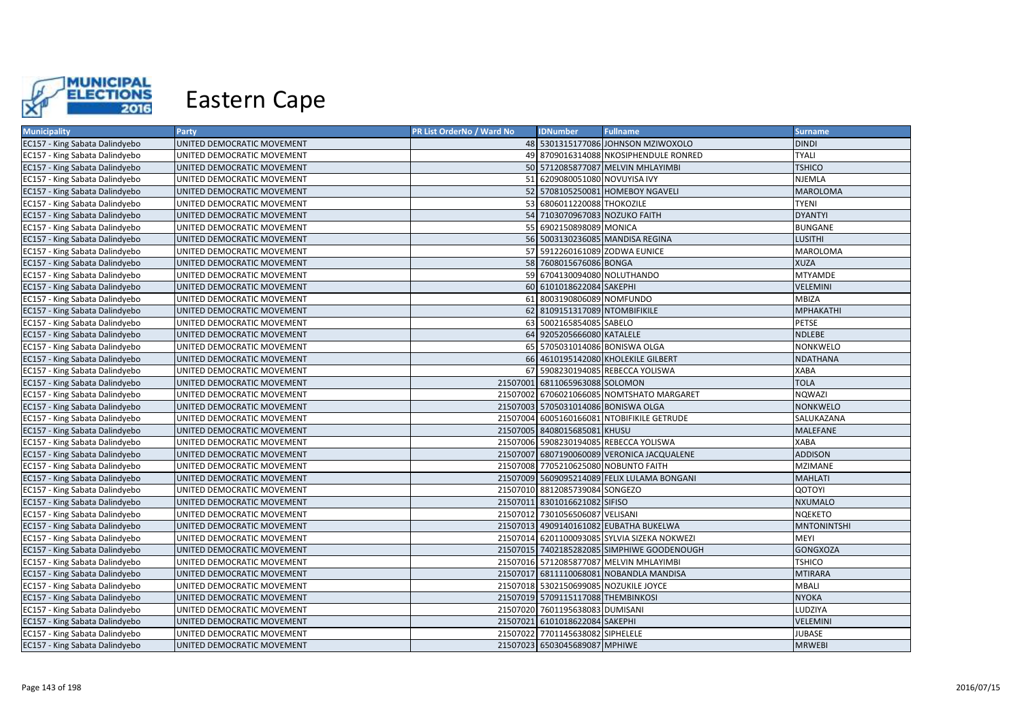

| <b>Municipality</b>            | Party                      | PR List OrderNo / Ward No | <b>IDNumber</b>                     | <b>Fullname</b>                              | <b>Surname</b>     |
|--------------------------------|----------------------------|---------------------------|-------------------------------------|----------------------------------------------|--------------------|
| EC157 - King Sabata Dalindyebo | UNITED DEMOCRATIC MOVEMENT |                           |                                     | 48 5301315177086 JOHNSON MZIWOXOLO           | <b>DINDI</b>       |
| EC157 - King Sabata Dalindyebo | UNITED DEMOCRATIC MOVEMENT |                           |                                     | 49 8709016314088 NKOSIPHENDULE RONRED        | <b>TYALI</b>       |
| EC157 - King Sabata Dalindyebo | UNITED DEMOCRATIC MOVEMENT |                           |                                     | 50 5712085877087 MELVIN MHLAYIMBI            | <b>TSHICO</b>      |
| EC157 - King Sabata Dalindyebo | UNITED DEMOCRATIC MOVEMENT |                           | 51 6209080051080 NOVUYISA IVY       |                                              | <b>NJEMLA</b>      |
| EC157 - King Sabata Dalindyebo | UNITED DEMOCRATIC MOVEMENT |                           |                                     | 52 5708105250081 HOMEBOY NGAVELI             | <b>MAROLOMA</b>    |
| EC157 - King Sabata Dalindyebo | UNITED DEMOCRATIC MOVEMENT |                           | 53 6806011220088 THOKOZILE          |                                              | <b>TYENI</b>       |
| EC157 - King Sabata Dalindyebo | UNITED DEMOCRATIC MOVEMENT |                           | 54 7103070967083 NOZUKO FAITH       |                                              | <b>DYANTYI</b>     |
| EC157 - King Sabata Dalindyebo | UNITED DEMOCRATIC MOVEMENT |                           | 55 6902150898089 MONICA             |                                              | <b>BUNGANE</b>     |
| EC157 - King Sabata Dalindyebo | UNITED DEMOCRATIC MOVEMENT |                           |                                     | 56 5003130236085 MANDISA REGINA              | <b>LUSITHI</b>     |
| EC157 - King Sabata Dalindyebo | UNITED DEMOCRATIC MOVEMENT |                           | 57 5912260161089 ZODWA EUNICE       |                                              | <b>MAROLOMA</b>    |
| EC157 - King Sabata Dalindyebo | UNITED DEMOCRATIC MOVEMENT |                           | 58 7608015676086 BONGA              |                                              | <b>XUZA</b>        |
| EC157 - King Sabata Dalindyebo | UNITED DEMOCRATIC MOVEMENT |                           | 59 6704130094080 NOLUTHANDO         |                                              | <b>MTYAMDE</b>     |
| EC157 - King Sabata Dalindyebo | UNITED DEMOCRATIC MOVEMENT |                           | 60 6101018622084 SAKEPHI            |                                              | <b>VELEMINI</b>    |
| EC157 - King Sabata Dalindyebo | UNITED DEMOCRATIC MOVEMENT |                           | 61 8003190806089 NOMFUNDO           |                                              | <b>MBIZA</b>       |
| EC157 - King Sabata Dalindyebo | UNITED DEMOCRATIC MOVEMENT |                           | 62 8109151317089 NTOMBIFIKILE       |                                              | <b>MPHAKATHI</b>   |
| EC157 - King Sabata Dalindyebo | UNITED DEMOCRATIC MOVEMENT |                           | 63 5002165854085 SABELO             |                                              | PETSE              |
| EC157 - King Sabata Dalindyebo | UNITED DEMOCRATIC MOVEMENT |                           | 64 9205205666080 KATALELE           |                                              | <b>NDLEBE</b>      |
| EC157 - King Sabata Dalindyebo | UNITED DEMOCRATIC MOVEMENT |                           | 65 5705031014086 BONISWA OLGA       |                                              | <b>NONKWELO</b>    |
| EC157 - King Sabata Dalindyebo | UNITED DEMOCRATIC MOVEMENT |                           |                                     | 66 4610195142080 KHOLEKILE GILBERT           | <b>NDATHANA</b>    |
| EC157 - King Sabata Dalindyebo | UNITED DEMOCRATIC MOVEMENT |                           |                                     | 67 5908230194085 REBECCA YOLISWA             | XABA               |
| EC157 - King Sabata Dalindyebo | UNITED DEMOCRATIC MOVEMENT |                           | 21507001 6811065963088 SOLOMON      |                                              | <b>TOLA</b>        |
| EC157 - King Sabata Dalindyebo | UNITED DEMOCRATIC MOVEMENT |                           |                                     | 21507002 6706021066085 NOMTSHATO MARGARET    | NQWAZI             |
| EC157 - King Sabata Dalindyebo | UNITED DEMOCRATIC MOVEMENT |                           | 21507003 5705031014086 BONISWA OLGA |                                              | NONKWELO           |
| EC157 - King Sabata Dalindyebo | UNITED DEMOCRATIC MOVEMENT |                           |                                     | 21507004 6005160166081 NTOBIFIKILE GETRUDE   | SALUKAZANA         |
| EC157 - King Sabata Dalindyebo | UNITED DEMOCRATIC MOVEMENT |                           | 21507005 8408015685081 KHUSU        |                                              | <b>MALEFANE</b>    |
| EC157 - King Sabata Dalindyebo | UNITED DEMOCRATIC MOVEMENT |                           |                                     | 21507006 5908230194085 REBECCA YOLISWA       | <b>XABA</b>        |
| EC157 - King Sabata Dalindyebo | UNITED DEMOCRATIC MOVEMENT |                           |                                     | 21507007 6807190060089 VERONICA JACQUALENE   | <b>ADDISON</b>     |
| EC157 - King Sabata Dalindyebo | UNITED DEMOCRATIC MOVEMENT |                           |                                     | 21507008 7705210625080 NOBUNTO FAITH         | <b>MZIMANE</b>     |
| EC157 - King Sabata Dalindyebo | UNITED DEMOCRATIC MOVEMENT |                           |                                     | 21507009 5609095214089 FELIX LULAMA BONGANI  | <b>MAHLATI</b>     |
| EC157 - King Sabata Dalindyebo | UNITED DEMOCRATIC MOVEMENT |                           | 21507010 8812085739084 SONGEZO      |                                              | QOTOYI             |
| EC157 - King Sabata Dalindyebo | UNITED DEMOCRATIC MOVEMENT |                           | 21507011 8301016621082 SIFISO       |                                              | <b>NXUMALO</b>     |
| EC157 - King Sabata Dalindyebo | UNITED DEMOCRATIC MOVEMENT |                           | 21507012 7301056506087 VELISANI     |                                              | <b>NQEKETO</b>     |
| EC157 - King Sabata Dalindyebo | UNITED DEMOCRATIC MOVEMENT |                           |                                     | 21507013 4909140161082 EUBATHA BUKELWA       | <b>MNTONINTSHI</b> |
| EC157 - King Sabata Dalindyebo | UNITED DEMOCRATIC MOVEMENT |                           |                                     | 21507014 6201100093085 SYLVIA SIZEKA NOKWEZI | MEYI               |
| EC157 - King Sabata Dalindyebo | UNITED DEMOCRATIC MOVEMENT |                           |                                     | 21507015 7402185282085 SIMPHIWE GOODENOUGH   | <b>GONGXOZA</b>    |
| EC157 - King Sabata Dalindyebo | UNITED DEMOCRATIC MOVEMENT |                           |                                     | 21507016 5712085877087 MELVIN MHLAYIMBI      | <b>TSHICO</b>      |
| EC157 - King Sabata Dalindyebo | UNITED DEMOCRATIC MOVEMENT |                           |                                     | 21507017 6811110068081 NOBANDLA MANDISA      | <b>MTIRARA</b>     |
| EC157 - King Sabata Dalindyebo | UNITED DEMOCRATIC MOVEMENT |                           |                                     | 21507018 5302150699085 NOZUKILE JOYCE        | <b>MBALI</b>       |
| EC157 - King Sabata Dalindyebo | UNITED DEMOCRATIC MOVEMENT |                           | 21507019 5709115117088 THEMBINKOSI  |                                              | <b>NYOKA</b>       |
| EC157 - King Sabata Dalindyebo | UNITED DEMOCRATIC MOVEMENT |                           | 21507020 7601195638083 DUMISANI     |                                              | LUDZIYA            |
| EC157 - King Sabata Dalindyebo | UNITED DEMOCRATIC MOVEMENT |                           | 21507021 6101018622084 SAKEPHI      |                                              | VELEMINI           |
| EC157 - King Sabata Dalindyebo | UNITED DEMOCRATIC MOVEMENT |                           | 21507022 7701145638082 SIPHELELE    |                                              | JUBASE             |
| EC157 - King Sabata Dalindyebo | UNITED DEMOCRATIC MOVEMENT |                           | 21507023 6503045689087 MPHIWE       |                                              | <b>MRWEBI</b>      |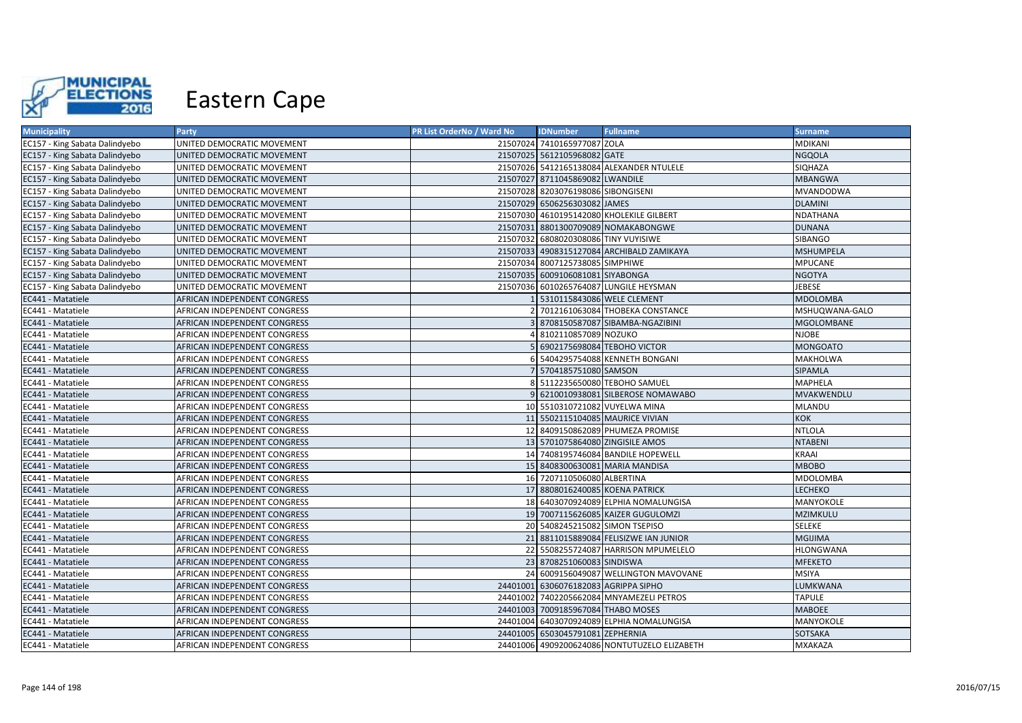

| <b>Municipality</b>            | <b>Party</b>                 | PR List OrderNo / Ward No | <b>IDNumber</b>                      | <b>Fullname</b>                              | <b>Surname</b>    |
|--------------------------------|------------------------------|---------------------------|--------------------------------------|----------------------------------------------|-------------------|
| EC157 - King Sabata Dalindyebo | UNITED DEMOCRATIC MOVEMENT   |                           | 21507024 7410165977087 ZOLA          |                                              | <b>MDIKANI</b>    |
| EC157 - King Sabata Dalindyebo | UNITED DEMOCRATIC MOVEMENT   |                           | 21507025 5612105968082 GATE          |                                              | <b>NGQOLA</b>     |
| EC157 - King Sabata Dalindyebo | UNITED DEMOCRATIC MOVEMENT   |                           |                                      | 21507026 5412165138084 ALEXANDER NTULELE     | SIQHAZA           |
| EC157 - King Sabata Dalindyebo | UNITED DEMOCRATIC MOVEMENT   |                           | 21507027 8711045869082 LWANDILE      |                                              | <b>MBANGWA</b>    |
| EC157 - King Sabata Dalindyebo | UNITED DEMOCRATIC MOVEMENT   |                           | 21507028 8203076198086 SIBONGISENI   |                                              | MVANDODWA         |
| EC157 - King Sabata Dalindyebo | UNITED DEMOCRATIC MOVEMENT   |                           | 21507029 6506256303082 JAMES         |                                              | <b>DLAMINI</b>    |
| EC157 - King Sabata Dalindyebo | UNITED DEMOCRATIC MOVEMENT   |                           |                                      | 21507030 4610195142080 KHOLEKILE GILBERT     | <b>NDATHANA</b>   |
| EC157 - King Sabata Dalindyebo | UNITED DEMOCRATIC MOVEMENT   |                           |                                      | 21507031 8801300709089 NOMAKABONGWE          | <b>DUNANA</b>     |
| EC157 - King Sabata Dalindyebo | UNITED DEMOCRATIC MOVEMENT   |                           | 21507032 6808020308086 TINY VUYISIWE |                                              | SIBANGO           |
| EC157 - King Sabata Dalindyebo | UNITED DEMOCRATIC MOVEMENT   |                           |                                      | 21507033 4908315127084 ARCHIBALD ZAMIKAYA    | <b>MSHUMPELA</b>  |
| EC157 - King Sabata Dalindyebo | UNITED DEMOCRATIC MOVEMENT   | 21507034                  | 8007125738085 SIMPHIWE               |                                              | <b>MPUCANE</b>    |
| EC157 - King Sabata Dalindyebo | UNITED DEMOCRATIC MOVEMENT   |                           | 21507035 6009106081081 SIYABONGA     |                                              | <b>NGOTYA</b>     |
| EC157 - King Sabata Dalindyebo | UNITED DEMOCRATIC MOVEMENT   |                           |                                      | 21507036 6010265764087 LUNGILE HEYSMAN       | JEBESE            |
| EC441 - Matatiele              | AFRICAN INDEPENDENT CONGRESS |                           | 5310115843086 WELE CLEMENT           |                                              | <b>MDOLOMBA</b>   |
| EC441 - Matatiele              | AFRICAN INDEPENDENT CONGRESS |                           |                                      | 7012161063084 THOBEKA CONSTANCE              | MSHUQWANA-GALO    |
| EC441 - Matatiele              | AFRICAN INDEPENDENT CONGRESS |                           |                                      | 8708150587087 SIBAMBA-NGAZIBINI              | <b>MGOLOMBANE</b> |
| EC441 - Matatiele              | AFRICAN INDEPENDENT CONGRESS |                           | 8102110857089 NOZUKO                 |                                              | <b>NJOBE</b>      |
| EC441 - Matatiele              | AFRICAN INDEPENDENT CONGRESS |                           |                                      | 6902175698084 TEBOHO VICTOR                  | <b>MONGOATO</b>   |
| EC441 - Matatiele              | AFRICAN INDEPENDENT CONGRESS |                           |                                      | 5404295754088 KENNETH BONGANI                | MAKHOLWA          |
| EC441 - Matatiele              | AFRICAN INDEPENDENT CONGRESS |                           | 5704185751080 SAMSON                 |                                              | SIPAMLA           |
| EC441 - Matatiele              | AFRICAN INDEPENDENT CONGRESS |                           |                                      | 5112235650080 TEBOHO SAMUEL                  | <b>MAPHELA</b>    |
| EC441 - Matatiele              | AFRICAN INDEPENDENT CONGRESS |                           |                                      | 6210010938081 SILBEROSE NOMAWABO             | MVAKWENDLU        |
| EC441 - Matatiele              | AFRICAN INDEPENDENT CONGRESS |                           | 10 5510310721082 VUYELWA MINA        |                                              | <b>MLANDU</b>     |
| EC441 - Matatiele              | AFRICAN INDEPENDENT CONGRESS |                           |                                      | 11 5502115104085 MAURICE VIVIAN              | KOK               |
| EC441 - Matatiele              | AFRICAN INDEPENDENT CONGRESS |                           |                                      | 12 8409150862089 PHUMEZA PROMISE             | <b>NTLOLA</b>     |
| EC441 - Matatiele              | AFRICAN INDEPENDENT CONGRESS |                           | 13 5701075864080 ZINGISILE AMOS      |                                              | <b>NTABENI</b>    |
| EC441 - Matatiele              | AFRICAN INDEPENDENT CONGRESS |                           |                                      | 14 7408195746084 BANDILE HOPEWELL            | KRAAI             |
| EC441 - Matatiele              | AFRICAN INDEPENDENT CONGRESS |                           |                                      | 15 8408300630081 MARIA MANDISA               | <b>MBOBO</b>      |
| EC441 - Matatiele              | AFRICAN INDEPENDENT CONGRESS |                           | 16 7207110506080 ALBERTINA           |                                              | <b>MDOLOMBA</b>   |
| EC441 - Matatiele              | AFRICAN INDEPENDENT CONGRESS |                           | 17 8808016240085 KOENA PATRICK       |                                              | LECHEKO           |
| EC441 - Matatiele              | AFRICAN INDEPENDENT CONGRESS |                           |                                      | 18 6403070924089 ELPHIA NOMALUNGISA          | MANYOKOLE         |
| EC441 - Matatiele              | AFRICAN INDEPENDENT CONGRESS |                           |                                      | 19 7007115626085 KAIZER GUGULOMZI            | MZIMKULU          |
| EC441 - Matatiele              | AFRICAN INDEPENDENT CONGRESS |                           | 20 5408245215082 SIMON TSEPISO       |                                              | SELEKE            |
| EC441 - Matatiele              | AFRICAN INDEPENDENT CONGRESS |                           |                                      | 21 8811015889084 FELISIZWE IAN JUNIOR        | <b>MGIJIMA</b>    |
| EC441 - Matatiele              | AFRICAN INDEPENDENT CONGRESS |                           |                                      | 22 5508255724087 HARRISON MPUMELELO          | <b>HLONGWANA</b>  |
| EC441 - Matatiele              | AFRICAN INDEPENDENT CONGRESS |                           | 23 8708251060083 SINDISWA            |                                              | <b>MFEKETO</b>    |
| EC441 - Matatiele              | AFRICAN INDEPENDENT CONGRESS |                           |                                      | 24 6009156049087 WELLINGTON MAVOVANE         | <b>MSIYA</b>      |
| EC441 - Matatiele              | AFRICAN INDEPENDENT CONGRESS |                           | 24401001 6306076182083 AGRIPPA SIPHO |                                              | LUMKWANA          |
| EC441 - Matatiele              | AFRICAN INDEPENDENT CONGRESS |                           |                                      | 24401002 7402205662084 MNYAMEZELI PETROS     | <b>TAPULE</b>     |
| EC441 - Matatiele              | AFRICAN INDEPENDENT CONGRESS |                           | 24401003 7009185967084 THABO MOSES   |                                              | <b>MABOEE</b>     |
| EC441 - Matatiele              | AFRICAN INDEPENDENT CONGRESS |                           |                                      | 24401004 6403070924089 ELPHIA NOMALUNGISA    | MANYOKOLE         |
| EC441 - Matatiele              | AFRICAN INDEPENDENT CONGRESS |                           | 24401005 6503045791081 ZEPHERNIA     |                                              | SOTSAKA           |
| EC441 - Matatiele              | AFRICAN INDEPENDENT CONGRESS |                           |                                      | 24401006 4909200624086 NONTUTUZELO ELIZABETH | <b>MXAKAZA</b>    |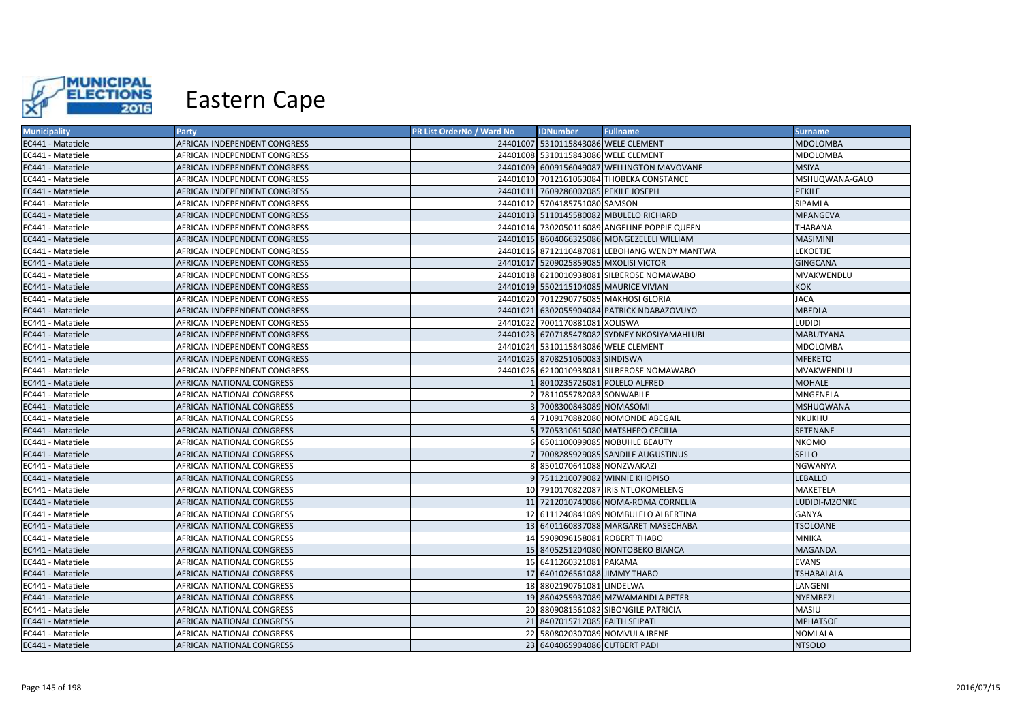

| <b>Municipality</b> | Party                            | PR List OrderNo / Ward No | <b>IDNumber</b>                       | <b>Fullname</b>                              | <b>Surname</b>    |
|---------------------|----------------------------------|---------------------------|---------------------------------------|----------------------------------------------|-------------------|
| EC441 - Matatiele   | AFRICAN INDEPENDENT CONGRESS     |                           | 24401007 5310115843086 WELE CLEMENT   |                                              | <b>MDOLOMBA</b>   |
| EC441 - Matatiele   | AFRICAN INDEPENDENT CONGRESS     |                           | 24401008 5310115843086 WELE CLEMENT   |                                              | MDOLOMBA          |
| EC441 - Matatiele   | AFRICAN INDEPENDENT CONGRESS     |                           |                                       | 24401009 6009156049087 WELLINGTON MAVOVANE   | <b>MSIYA</b>      |
| EC441 - Matatiele   | AFRICAN INDEPENDENT CONGRESS     |                           |                                       | 24401010 7012161063084 THOBEKA CONSTANCE     | MSHUQWANA-GALO    |
| EC441 - Matatiele   | AFRICAN INDEPENDENT CONGRESS     |                           | 24401011 7609286002085 PEKILE JOSEPH  |                                              | <b>PEKILE</b>     |
| EC441 - Matatiele   | AFRICAN INDEPENDENT CONGRESS     |                           | 24401012 5704185751080 SAMSON         |                                              | SIPAMLA           |
| EC441 - Matatiele   | AFRICAN INDEPENDENT CONGRESS     |                           |                                       | 24401013 5110145580082 MBULELO RICHARD       | <b>MPANGEVA</b>   |
| EC441 - Matatiele   | AFRICAN INDEPENDENT CONGRESS     |                           |                                       | 24401014 7302050116089 ANGELINE POPPIE QUEEN | THABANA           |
| EC441 - Matatiele   | AFRICAN INDEPENDENT CONGRESS     |                           |                                       | 24401015 8604066325086 MONGEZELELI WILLIAM   | <b>MASIMINI</b>   |
| EC441 - Matatiele   | AFRICAN INDEPENDENT CONGRESS     |                           |                                       | 24401016 8712110487081 LEBOHANG WENDY MANTWA | LEKOETJE          |
| EC441 - Matatiele   | AFRICAN INDEPENDENT CONGRESS     |                           | 24401017 5209025859085 MXOLISI VICTOR |                                              | <b>GINGCANA</b>   |
| EC441 - Matatiele   | AFRICAN INDEPENDENT CONGRESS     |                           |                                       | 24401018 6210010938081 SILBEROSE NOMAWABO    | MVAKWENDLU        |
| EC441 - Matatiele   | AFRICAN INDEPENDENT CONGRESS     |                           |                                       | 24401019 5502115104085 MAURICE VIVIAN        | <b>KOK</b>        |
| EC441 - Matatiele   | AFRICAN INDEPENDENT CONGRESS     |                           |                                       | 24401020 7012290776085 MAKHOSI GLORIA        | <b>JACA</b>       |
| EC441 - Matatiele   | AFRICAN INDEPENDENT CONGRESS     |                           |                                       | 24401021 6302055904084 PATRICK NDABAZOVUYO   | MBEDLA            |
| EC441 - Matatiele   | AFRICAN INDEPENDENT CONGRESS     |                           | 24401022 7001170881081 XOLISWA        |                                              | LUDIDI            |
| EC441 - Matatiele   | AFRICAN INDEPENDENT CONGRESS     |                           |                                       | 24401023 6707185478082 SYDNEY NKOSIYAMAHLUBI | <b>MABUTYANA</b>  |
| EC441 - Matatiele   | AFRICAN INDEPENDENT CONGRESS     |                           | 24401024 5310115843086 WELE CLEMENT   |                                              | MDOLOMBA          |
| EC441 - Matatiele   | AFRICAN INDEPENDENT CONGRESS     |                           | 24401025 8708251060083 SINDISWA       |                                              | <b>MFEKETO</b>    |
| EC441 - Matatiele   | AFRICAN INDEPENDENT CONGRESS     |                           |                                       | 24401026 6210010938081 SILBEROSE NOMAWABO    | MVAKWENDLU        |
| EC441 - Matatiele   | <b>AFRICAN NATIONAL CONGRESS</b> |                           | 1 8010235726081 POLELO ALFRED         |                                              | <b>MOHALE</b>     |
| EC441 - Matatiele   | AFRICAN NATIONAL CONGRESS        |                           | 7811055782083 SONWABILE               |                                              | MNGENELA          |
| EC441 - Matatiele   | AFRICAN NATIONAL CONGRESS        |                           | 3 7008300843089 NOMASOMI              |                                              | <b>MSHUQWANA</b>  |
| EC441 - Matatiele   | AFRICAN NATIONAL CONGRESS        |                           |                                       | 4 7109170882080 NOMONDE ABEGAIL              | <b>NKUKHU</b>     |
| EC441 - Matatiele   | <b>AFRICAN NATIONAL CONGRESS</b> |                           |                                       | 5 7705310615080 MATSHEPO CECILIA             | <b>SETENANE</b>   |
| EC441 - Matatiele   | AFRICAN NATIONAL CONGRESS        |                           |                                       | 6 6501100099085 NOBUHLE BEAUTY               | <b>NKOMO</b>      |
| EC441 - Matatiele   | <b>AFRICAN NATIONAL CONGRESS</b> |                           |                                       | 7 7008285929085 SANDILE AUGUSTINUS           | <b>SELLO</b>      |
| EC441 - Matatiele   | AFRICAN NATIONAL CONGRESS        |                           | 8 8501070641088 NONZWAKAZI            |                                              | NGWANYA           |
| EC441 - Matatiele   | AFRICAN NATIONAL CONGRESS        |                           |                                       | 9 7511210079082 WINNIE KHOPISO               | <b>LEBALLO</b>    |
| EC441 - Matatiele   | AFRICAN NATIONAL CONGRESS        |                           |                                       | 10 7910170822087 IRIS NTLOKOMELENG           | MAKETELA          |
| EC441 - Matatiele   | AFRICAN NATIONAL CONGRESS        |                           |                                       | 11 7212010740086 NOMA-ROMA CORNELIA          | LUDIDI-MZONKE     |
| EC441 - Matatiele   | AFRICAN NATIONAL CONGRESS        |                           |                                       | 12 6111240841089 NOMBULELO ALBERTINA         | GANYA             |
| EC441 - Matatiele   | AFRICAN NATIONAL CONGRESS        |                           |                                       | 13 6401160837088 MARGARET MASECHABA          | <b>TSOLOANE</b>   |
| EC441 - Matatiele   | AFRICAN NATIONAL CONGRESS        |                           | 14 5909096158081 ROBERT THABO         |                                              | <b>MNIKA</b>      |
| EC441 - Matatiele   | AFRICAN NATIONAL CONGRESS        |                           |                                       | 15 8405251204080 NONTOBEKO BIANCA            | <b>MAGANDA</b>    |
| EC441 - Matatiele   | AFRICAN NATIONAL CONGRESS        |                           | 16 6411260321081 PAKAMA               |                                              | <b>EVANS</b>      |
| EC441 - Matatiele   | AFRICAN NATIONAL CONGRESS        |                           | 17 6401026561088 JIMMY THABO          |                                              | <b>TSHABALALA</b> |
| EC441 - Matatiele   | AFRICAN NATIONAL CONGRESS        |                           | 18 8802190761081 LINDELWA             |                                              | LANGENI           |
| EC441 - Matatiele   | AFRICAN NATIONAL CONGRESS        |                           |                                       | 19 8604255937089 MZWAMANDLA PETER            | NYEMBEZI          |
| EC441 - Matatiele   | AFRICAN NATIONAL CONGRESS        |                           |                                       | 20 8809081561082 SIBONGILE PATRICIA          | MASIU             |
| EC441 - Matatiele   | AFRICAN NATIONAL CONGRESS        |                           | 21 8407015712085 FAITH SEIPATI        |                                              | <b>MPHATSOE</b>   |
| EC441 - Matatiele   | AFRICAN NATIONAL CONGRESS        |                           |                                       | 22 5808020307089 NOMVULA IRENE               | NOMLALA           |
| EC441 - Matatiele   | <b>AFRICAN NATIONAL CONGRESS</b> |                           | 23 6404065904086 CUTBERT PADI         |                                              | <b>NTSOLO</b>     |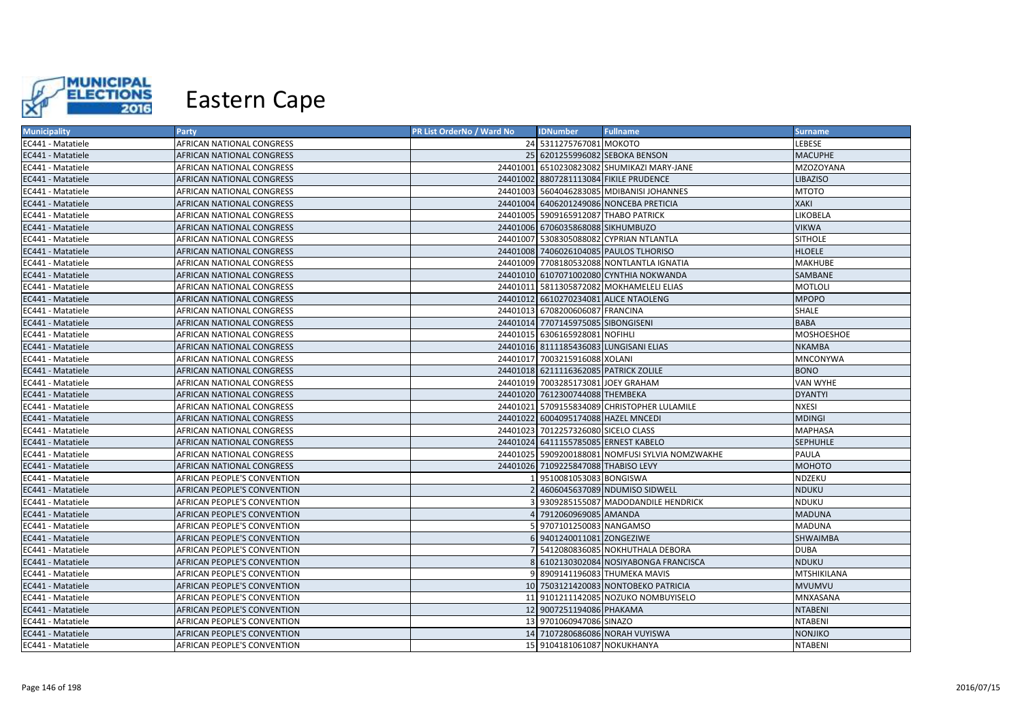

| <b>Municipality</b> | Party                              | PR List OrderNo / Ward No | <b>IDNumber</b>                       | <b>Fullname</b>                                 | <b>Surname</b>     |
|---------------------|------------------------------------|---------------------------|---------------------------------------|-------------------------------------------------|--------------------|
| EC441 - Matatiele   | AFRICAN NATIONAL CONGRESS          |                           | 24 5311275767081 MOKOTO               |                                                 | LEBESE             |
| EC441 - Matatiele   | AFRICAN NATIONAL CONGRESS          |                           |                                       | 25 6201255996082 SEBOKA BENSON                  | <b>MACUPHE</b>     |
| EC441 - Matatiele   | AFRICAN NATIONAL CONGRESS          |                           |                                       | 24401001 6510230823082 SHUMIKAZI MARY-JANE      | MZOZOYANA          |
| EC441 - Matatiele   | AFRICAN NATIONAL CONGRESS          |                           |                                       | 24401002 8807281113084 FIKILE PRUDENCE          | LIBAZISO           |
| EC441 - Matatiele   | AFRICAN NATIONAL CONGRESS          |                           |                                       | 24401003 5604046283085 MDIBANISI JOHANNES       | <b>MTOTO</b>       |
| EC441 - Matatiele   | <b>AFRICAN NATIONAL CONGRESS</b>   |                           |                                       | 24401004 6406201249086 NONCEBA PRETICIA         | <b>XAKI</b>        |
| EC441 - Matatiele   | <b>AFRICAN NATIONAL CONGRESS</b>   |                           | 24401005 5909165912087 THABO PATRICK  |                                                 | <b>LIKOBELA</b>    |
| EC441 - Matatiele   | <b>AFRICAN NATIONAL CONGRESS</b>   |                           | 24401006 6706035868088 SIKHUMBUZO     |                                                 | <b>VIKWA</b>       |
| EC441 - Matatiele   | AFRICAN NATIONAL CONGRESS          |                           |                                       | 24401007 5308305088082 CYPRIAN NTLANTLA         | <b>SITHOLE</b>     |
| EC441 - Matatiele   | <b>AFRICAN NATIONAL CONGRESS</b>   |                           |                                       | 24401008 7406026104085 PAULOS TLHORISO          | <b>HLOELE</b>      |
| EC441 - Matatiele   | AFRICAN NATIONAL CONGRESS          |                           |                                       | 24401009 7708180532088 NONTLANTLA IGNATIA       | <b>MAKHUBE</b>     |
| EC441 - Matatiele   | <b>AFRICAN NATIONAL CONGRESS</b>   |                           |                                       | 24401010 6107071002080 CYNTHIA NOKWANDA         | SAMBANE            |
| EC441 - Matatiele   | AFRICAN NATIONAL CONGRESS          |                           |                                       | 24401011 5811305872082 MOKHAMELELI ELIAS        | <b>MOTLOLI</b>     |
| EC441 - Matatiele   | <b>AFRICAN NATIONAL CONGRESS</b>   |                           |                                       | 24401012 6610270234081 ALICE NTAOLENG           | <b>MPOPO</b>       |
| EC441 - Matatiele   | AFRICAN NATIONAL CONGRESS          |                           | 24401013 6708200606087 FRANCINA       |                                                 | <b>SHALE</b>       |
| EC441 - Matatiele   | <b>AFRICAN NATIONAL CONGRESS</b>   |                           | 24401014 7707145975085 SIBONGISENI    |                                                 | <b>BABA</b>        |
| EC441 - Matatiele   | AFRICAN NATIONAL CONGRESS          |                           | 24401015 6306165928081 NOFIHLI        |                                                 | MOSHOESHOE         |
| EC441 - Matatiele   | <b>AFRICAN NATIONAL CONGRESS</b>   |                           |                                       | 24401016 8111185436083 LUNGISANI ELIAS          | <b>NKAMBA</b>      |
| EC441 - Matatiele   | AFRICAN NATIONAL CONGRESS          |                           | 24401017 7003215916088 XOLANI         |                                                 | <b>MNCONYWA</b>    |
| EC441 - Matatiele   | AFRICAN NATIONAL CONGRESS          |                           | 24401018 6211116362085 PATRICK ZOLILE |                                                 | <b>BONO</b>        |
| EC441 - Matatiele   | <b>AFRICAN NATIONAL CONGRESS</b>   |                           | 24401019 7003285173081 JOEY GRAHAM    |                                                 | VAN WYHE           |
| EC441 - Matatiele   | <b>AFRICAN NATIONAL CONGRESS</b>   |                           | 24401020 7612300744088 THEMBEKA       |                                                 | <b>DYANTYI</b>     |
| EC441 - Matatiele   | AFRICAN NATIONAL CONGRESS          |                           |                                       | 24401021 5709155834089 CHRISTOPHER LULAMILE     | <b>NXESI</b>       |
| EC441 - Matatiele   | <b>AFRICAN NATIONAL CONGRESS</b>   |                           | 24401022 6004095174088 HAZEL MNCEDI   |                                                 | <b>MDINGI</b>      |
| EC441 - Matatiele   | AFRICAN NATIONAL CONGRESS          |                           | 24401023 7012257326080 SICELO CLASS   |                                                 | <b>MAPHASA</b>     |
| EC441 - Matatiele   | AFRICAN NATIONAL CONGRESS          |                           | 24401024 6411155785085 ERNEST KABELO  |                                                 | <b>SEPHUHLE</b>    |
| EC441 - Matatiele   | AFRICAN NATIONAL CONGRESS          |                           |                                       | 24401025 5909200188081 NOMFUSI SYLVIA NOMZWAKHE | PAULA              |
| EC441 - Matatiele   | AFRICAN NATIONAL CONGRESS          |                           | 24401026 7109225847088 THABISO LEVY   |                                                 | МОНОТО             |
| EC441 - Matatiele   | AFRICAN PEOPLE'S CONVENTION        |                           | 9510081053083 BONGISWA                |                                                 | NDZEKU             |
| EC441 - Matatiele   | AFRICAN PEOPLE'S CONVENTION        |                           |                                       | 4606045637089 NDUMISO SIDWELL                   | <b>NDUKU</b>       |
| EC441 - Matatiele   | AFRICAN PEOPLE'S CONVENTION        |                           |                                       | 9309285155087 MADODANDILE HENDRICK              | NDUKU              |
| EC441 - Matatiele   | AFRICAN PEOPLE'S CONVENTION        |                           | 7912060969085 AMANDA                  |                                                 | <b>MADUNA</b>      |
| EC441 - Matatiele   | AFRICAN PEOPLE'S CONVENTION        |                           | 9707101250083 NANGAMSO                |                                                 | <b>MADUNA</b>      |
| EC441 - Matatiele   | AFRICAN PEOPLE'S CONVENTION        |                           | 6 9401240011081 ZONGEZIWE             |                                                 | SHWAIMBA           |
| EC441 - Matatiele   | AFRICAN PEOPLE'S CONVENTION        |                           |                                       | 5412080836085 NOKHUTHALA DEBORA                 | <b>DUBA</b>        |
| EC441 - Matatiele   | AFRICAN PEOPLE'S CONVENTION        |                           |                                       | 6102130302084 NOSIYABONGA FRANCISCA             | <b>NDUKU</b>       |
| EC441 - Matatiele   | AFRICAN PEOPLE'S CONVENTION        | Q                         |                                       | 8909141196083 THUMEKA MAVIS                     | <b>MTSHIKILANA</b> |
| EC441 - Matatiele   | AFRICAN PEOPLE'S CONVENTION        |                           |                                       | 10 7503121420083 NONTOBEKO PATRICIA             | <b>MVUMVU</b>      |
| EC441 - Matatiele   | AFRICAN PEOPLE'S CONVENTION        |                           |                                       | 11 9101211142085 NOZUKO NOMBUYISELO             | MNXASANA           |
| EC441 - Matatiele   | AFRICAN PEOPLE'S CONVENTION        |                           | 12 9007251194086 PHAKAMA              |                                                 | <b>NTABENI</b>     |
| EC441 - Matatiele   | AFRICAN PEOPLE'S CONVENTION        |                           | 13 9701060947086 SINAZO               |                                                 | <b>NTABENI</b>     |
| EC441 - Matatiele   | AFRICAN PEOPLE'S CONVENTION        |                           |                                       | 14 7107280686086 NORAH VUYISWA                  | NONJIKO            |
| EC441 - Matatiele   | <b>AFRICAN PEOPLE'S CONVENTION</b> |                           | 15 9104181061087 NOKUKHANYA           |                                                 | <b>NTABENI</b>     |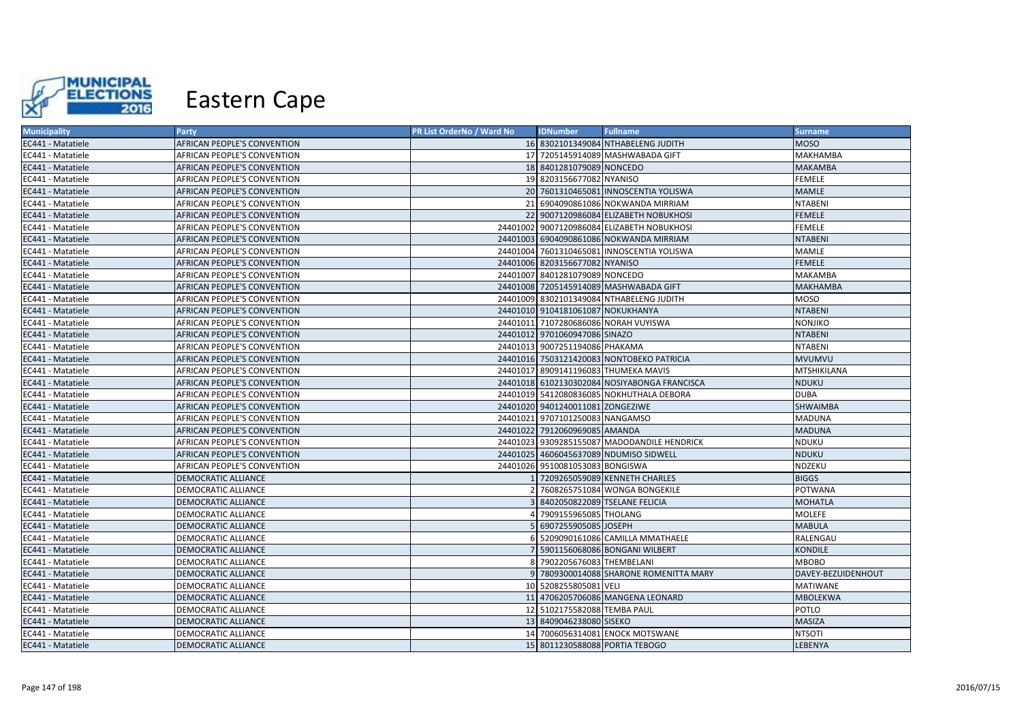

| <b>Municipality</b> | Party                              | PR List OrderNo / Ward No | <b>IDNumber</b>                   | <b>Fullname</b>                              | <b>Surname</b>     |
|---------------------|------------------------------------|---------------------------|-----------------------------------|----------------------------------------------|--------------------|
| EC441 - Matatiele   | <b>AFRICAN PEOPLE'S CONVENTION</b> |                           |                                   | 16 8302101349084 NTHABELENG JUDITH           | <b>MOSO</b>        |
| EC441 - Matatiele   | AFRICAN PEOPLE'S CONVENTION        |                           |                                   | 17 7205145914089 MASHWABADA GIFT             | MAKHAMBA           |
| EC441 - Matatiele   | AFRICAN PEOPLE'S CONVENTION        |                           | 18 8401281079089 NONCEDO          |                                              | <b>MAKAMBA</b>     |
| EC441 - Matatiele   | AFRICAN PEOPLE'S CONVENTION        |                           | 19 8203156677082 NYANISO          |                                              | <b>FEMELE</b>      |
| EC441 - Matatiele   | AFRICAN PEOPLE'S CONVENTION        |                           |                                   | 20 7601310465081 INNOSCENTIA YOLISWA         | <b>MAMLE</b>       |
| EC441 - Matatiele   | AFRICAN PEOPLE'S CONVENTION        | 21                        |                                   | 6904090861086 NOKWANDA MIRRIAM               | <b>NTABENI</b>     |
| EC441 - Matatiele   | AFRICAN PEOPLE'S CONVENTION        |                           |                                   | 22 9007120986084 ELIZABETH NOBUKHOSI         | <b>FEMELE</b>      |
| EC441 - Matatiele   | AFRICAN PEOPLE'S CONVENTION        |                           |                                   | 24401002 9007120986084 ELIZABETH NOBUKHOSI   | <b>FEMELE</b>      |
| EC441 - Matatiele   | AFRICAN PEOPLE'S CONVENTION        |                           |                                   | 24401003 6904090861086 NOKWANDA MIRRIAM      | <b>NTABENI</b>     |
| EC441 - Matatiele   | AFRICAN PEOPLE'S CONVENTION        |                           |                                   | 24401004 7601310465081 INNOSCENTIA YOLISWA   | MAMLE              |
| EC441 - Matatiele   | AFRICAN PEOPLE'S CONVENTION        |                           | 24401006 8203156677082 NYANISO    |                                              | <b>FEMELE</b>      |
| EC441 - Matatiele   | AFRICAN PEOPLE'S CONVENTION        |                           | 24401007 8401281079089 NONCEDO    |                                              | <b>MAKAMBA</b>     |
| EC441 - Matatiele   | AFRICAN PEOPLE'S CONVENTION        |                           |                                   | 24401008 7205145914089 MASHWABADA GIFT       | <b>MAKHAMBA</b>    |
| EC441 - Matatiele   | AFRICAN PEOPLE'S CONVENTION        |                           |                                   | 24401009 8302101349084 NTHABELENG JUDITH     | <b>MOSO</b>        |
| EC441 - Matatiele   | AFRICAN PEOPLE'S CONVENTION        |                           | 24401010 9104181061087 NOKUKHANYA |                                              | <b>NTABENI</b>     |
| EC441 - Matatiele   | AFRICAN PEOPLE'S CONVENTION        |                           |                                   | 24401011 7107280686086 NORAH VUYISWA         | NONJIKO            |
| EC441 - Matatiele   | AFRICAN PEOPLE'S CONVENTION        |                           | 24401012 9701060947086 SINAZO     |                                              | <b>NTABENI</b>     |
| EC441 - Matatiele   | AFRICAN PEOPLE'S CONVENTION        |                           | 24401013 9007251194086 PHAKAMA    |                                              | <b>NTABENI</b>     |
| EC441 - Matatiele   | AFRICAN PEOPLE'S CONVENTION        |                           |                                   | 24401016 7503121420083 NONTOBEKO PATRICIA    | <b>MVUMVU</b>      |
| EC441 - Matatiele   | AFRICAN PEOPLE'S CONVENTION        |                           |                                   | 24401017 8909141196083 THUMEKA MAVIS         | MTSHIKILANA        |
| EC441 - Matatiele   | <b>AFRICAN PEOPLE'S CONVENTION</b> |                           |                                   | 24401018 6102130302084 NOSIYABONGA FRANCISCA | <b>NDUKU</b>       |
| EC441 - Matatiele   | AFRICAN PEOPLE'S CONVENTION        |                           |                                   | 24401019 5412080836085 NOKHUTHALA DEBORA     | <b>DUBA</b>        |
| EC441 - Matatiele   | AFRICAN PEOPLE'S CONVENTION        |                           | 24401020 9401240011081 ZONGEZIWE  |                                              | <b>SHWAIMBA</b>    |
| EC441 - Matatiele   | AFRICAN PEOPLE'S CONVENTION        |                           | 24401021 9707101250083 NANGAMSO   |                                              | <b>MADUNA</b>      |
| EC441 - Matatiele   | AFRICAN PEOPLE'S CONVENTION        |                           | 24401022 7912060969085 AMANDA     |                                              | <b>MADUNA</b>      |
| EC441 - Matatiele   | AFRICAN PEOPLE'S CONVENTION        |                           |                                   | 24401023 9309285155087 MADODANDILE HENDRICK  | <b>NDUKU</b>       |
| EC441 - Matatiele   | <b>AFRICAN PEOPLE'S CONVENTION</b> |                           |                                   | 24401025 4606045637089 NDUMISO SIDWELL       | <b>NDUKU</b>       |
| EC441 - Matatiele   | <b>AFRICAN PEOPLE'S CONVENTION</b> |                           | 24401026 9510081053083 BONGISWA   |                                              | <b>NDZEKU</b>      |
| EC441 - Matatiele   | <b>DEMOCRATIC ALLIANCE</b>         |                           |                                   | 7209265059089 KENNETH CHARLES                | <b>BIGGS</b>       |
| EC441 - Matatiele   | <b>DEMOCRATIC ALLIANCE</b>         |                           |                                   | 7608265751084 WONGA BONGEKILE                | <b>POTWANA</b>     |
| EC441 - Matatiele   | <b>DEMOCRATIC ALLIANCE</b>         |                           |                                   | 8402050822089 TSELANE FELICIA                | <b>MOHATLA</b>     |
| EC441 - Matatiele   | <b>DEMOCRATIC ALLIANCE</b>         |                           | 7909155965085 THOLANG             |                                              | <b>MOLEFE</b>      |
| EC441 - Matatiele   | <b>DEMOCRATIC ALLIANCE</b>         |                           | 6907255905085 JOSEPH              |                                              | <b>MABULA</b>      |
| EC441 - Matatiele   | DEMOCRATIC ALLIANCE                |                           |                                   | 5209090161086 CAMILLA MMATHAELE              | RALENGAU           |
| EC441 - Matatiele   | DEMOCRATIC ALLIANCE                |                           |                                   | 5901156068086 BONGANI WILBERT                | KONDILE            |
| EC441 - Matatiele   | DEMOCRATIC ALLIANCE                |                           | 7902205676083 THEMBELANI          |                                              | <b>MBOBO</b>       |
| EC441 - Matatiele   | DEMOCRATIC ALLIANCE                |                           |                                   | 9 7809300014088 SHARONE ROMENITTA MARY       | DAVEY-BEZUIDENHOUT |
| EC441 - Matatiele   | DEMOCRATIC ALLIANCE                |                           | 10 5208255805081 VELI             |                                              | <b>MATIWANE</b>    |
| EC441 - Matatiele   | DEMOCRATIC ALLIANCE                |                           |                                   | 11 4706205706086 MANGENA LEONARD             | <b>MBOLEKWA</b>    |
| EC441 - Matatiele   | <b>DEMOCRATIC ALLIANCE</b>         |                           | 12 5102175582088 TEMBA PAUL       |                                              | POTLO              |
| EC441 - Matatiele   | DEMOCRATIC ALLIANCE                |                           | 13 8409046238080 SISEKO           |                                              | MASIZA             |
| EC441 - Matatiele   | DEMOCRATIC ALLIANCE                |                           |                                   | 14 7006056314081 ENOCK MOTSWANE              | <b>NTSOTI</b>      |
| EC441 - Matatiele   | <b>DEMOCRATIC ALLIANCE</b>         |                           |                                   | 15 8011230588088 PORTIA TEBOGO               | LEBENYA            |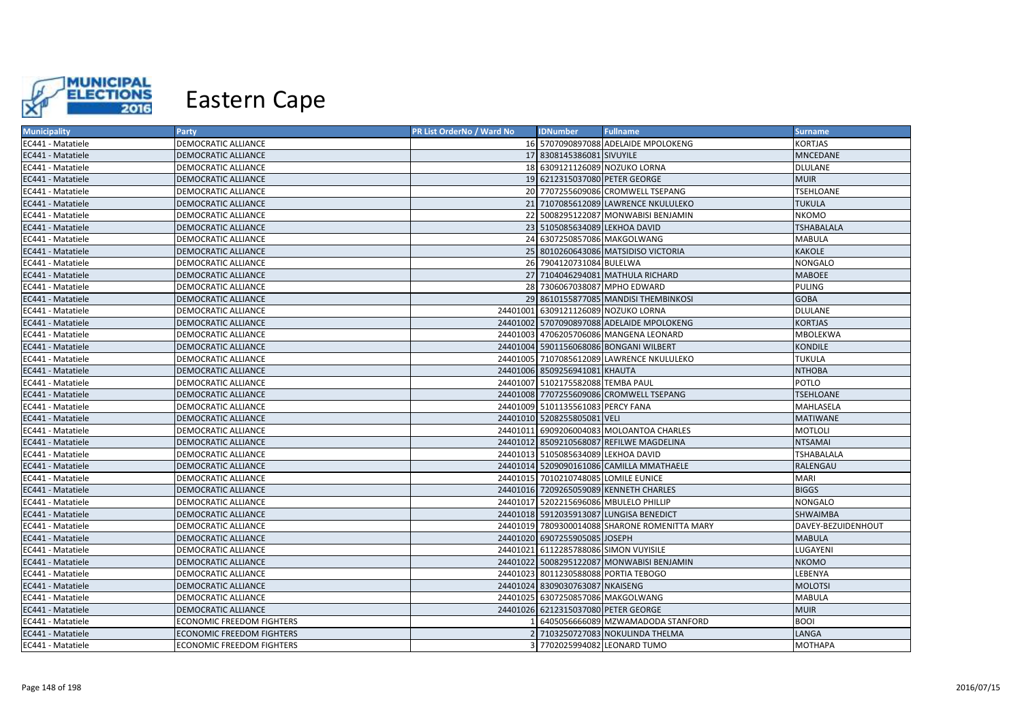

| <b>Municipality</b> | Party                            | PR List OrderNo / Ward No | <b>IDNumber</b>                      | <b>Fullname</b>                               | <b>Surname</b>     |
|---------------------|----------------------------------|---------------------------|--------------------------------------|-----------------------------------------------|--------------------|
| EC441 - Matatiele   | DEMOCRATIC ALLIANCE              |                           |                                      | 16 5707090897088 ADELAIDE MPOLOKENG           | <b>KORTJAS</b>     |
| EC441 - Matatiele   | DEMOCRATIC ALLIANCE              |                           | 17 8308145386081 SIVUYILE            |                                               | <b>MNCEDANE</b>    |
| EC441 - Matatiele   | <b>DEMOCRATIC ALLIANCE</b>       |                           | 18 6309121126089 NOZUKO LORNA        |                                               | <b>DLULANE</b>     |
| EC441 - Matatiele   | <b>DEMOCRATIC ALLIANCE</b>       |                           | 19 6212315037080 PETER GEORGE        |                                               | <b>MUIR</b>        |
| EC441 - Matatiele   | <b>DEMOCRATIC ALLIANCE</b>       |                           |                                      | 20 7707255609086 CROMWELL TSEPANG             | <b>TSEHLOANE</b>   |
| EC441 - Matatiele   | <b>DEMOCRATIC ALLIANCE</b>       |                           |                                      | 21 7107085612089 LAWRENCE NKULULEKO           | <b>TUKULA</b>      |
| EC441 - Matatiele   | <b>DEMOCRATIC ALLIANCE</b>       |                           |                                      | 22 5008295122087 MONWABISI BENJAMIN           | <b>NKOMO</b>       |
| EC441 - Matatiele   | <b>DEMOCRATIC ALLIANCE</b>       |                           | 23 5105085634089 LEKHOA DAVID        |                                               | <b>TSHABALALA</b>  |
| EC441 - Matatiele   | DEMOCRATIC ALLIANCE              |                           | 24 6307250857086 MAKGOLWANG          |                                               | <b>MABULA</b>      |
| EC441 - Matatiele   | <b>DEMOCRATIC ALLIANCE</b>       |                           |                                      | 25 8010260643086 MATSIDISO VICTORIA           | <b>KAKOLE</b>      |
| EC441 - Matatiele   | <b>DEMOCRATIC ALLIANCE</b>       |                           | 26 7904120731084 BULELWA             |                                               | <b>NONGALO</b>     |
| EC441 - Matatiele   | <b>DEMOCRATIC ALLIANCE</b>       |                           |                                      | 27 7104046294081 MATHULA RICHARD              | <b>MABOEE</b>      |
| EC441 - Matatiele   | <b>DEMOCRATIC ALLIANCE</b>       |                           | 28 7306067038087 MPHO EDWARD         |                                               | <b>PULING</b>      |
| EC441 - Matatiele   | <b>DEMOCRATIC ALLIANCE</b>       |                           |                                      | 29 8610155877085 MANDISI THEMBINKOSI          | <b>GOBA</b>        |
| EC441 - Matatiele   | <b>DEMOCRATIC ALLIANCE</b>       |                           | 24401001 6309121126089 NOZUKO LORNA  |                                               | <b>DLULANE</b>     |
| EC441 - Matatiele   | <b>DEMOCRATIC ALLIANCE</b>       |                           |                                      | 24401002 5707090897088 ADELAIDE MPOLOKENG     | <b>KORTJAS</b>     |
| EC441 - Matatiele   | <b>DEMOCRATIC ALLIANCE</b>       |                           |                                      | 24401003 4706205706086 MANGENA LEONARD        | MBOLEKWA           |
| EC441 - Matatiele   | <b>DEMOCRATIC ALLIANCE</b>       |                           |                                      | 24401004 5901156068086 BONGANI WILBERT        | <b>KONDILE</b>     |
| EC441 - Matatiele   | <b>DEMOCRATIC ALLIANCE</b>       |                           |                                      | 24401005 7107085612089 LAWRENCE NKULULEKO     | <b>TUKULA</b>      |
| EC441 - Matatiele   | <b>DEMOCRATIC ALLIANCE</b>       |                           | 24401006 8509256941081 KHAUTA        |                                               | <b>NTHOBA</b>      |
| EC441 - Matatiele   | <b>DEMOCRATIC ALLIANCE</b>       |                           | 24401007 5102175582088 TEMBA PAUL    |                                               | POTLO              |
| EC441 - Matatiele   | <b>DEMOCRATIC ALLIANCE</b>       |                           |                                      | 24401008 7707255609086 CROMWELL TSEPANG       | <b>TSEHLOANE</b>   |
| EC441 - Matatiele   | <b>DEMOCRATIC ALLIANCE</b>       |                           | 24401009 5101135561083 PERCY FANA    |                                               | MAHLASELA          |
| EC441 - Matatiele   | <b>DEMOCRATIC ALLIANCE</b>       |                           | 24401010 5208255805081 VELI          |                                               | <b>MATIWANE</b>    |
| EC441 - Matatiele   | <b>DEMOCRATIC ALLIANCE</b>       |                           |                                      | 24401011 6909206004083 MOLOANTOA CHARLES      | <b>MOTLOLI</b>     |
| EC441 - Matatiele   | <b>DEMOCRATIC ALLIANCE</b>       |                           |                                      | 24401012 8509210568087 REFILWE MAGDELINA      | <b>NTSAMAI</b>     |
| EC441 - Matatiele   | <b>DEMOCRATIC ALLIANCE</b>       |                           | 24401013 5105085634089 LEKHOA DAVID  |                                               | <b>TSHABALALA</b>  |
| EC441 - Matatiele   | <b>DEMOCRATIC ALLIANCE</b>       |                           |                                      | 24401014 5209090161086 CAMILLA MMATHAELE      | RALENGAU           |
| EC441 - Matatiele   | <b>DEMOCRATIC ALLIANCE</b>       |                           | 24401015 7010210748085 LOMILE EUNICE |                                               | <b>MARI</b>        |
| EC441 - Matatiele   | <b>DEMOCRATIC ALLIANCE</b>       |                           |                                      | 24401016 7209265059089 KENNETH CHARLES        | <b>BIGGS</b>       |
| EC441 - Matatiele   | <b>DEMOCRATIC ALLIANCE</b>       |                           |                                      | 24401017 5202215696086 MBULELO PHILLIP        | <b>NONGALO</b>     |
| EC441 - Matatiele   | <b>DEMOCRATIC ALLIANCE</b>       |                           |                                      | 24401018 5912035913087 LUNGISA BENEDICT       | SHWAIMBA           |
| EC441 - Matatiele   | <b>DEMOCRATIC ALLIANCE</b>       |                           |                                      | 24401019 7809300014088 SHARONE ROMENITTA MARY | DAVEY-BEZUIDENHOUT |
| EC441 - Matatiele   | <b>DEMOCRATIC ALLIANCE</b>       |                           | 24401020 6907255905085 JOSEPH        |                                               | <b>MABULA</b>      |
| EC441 - Matatiele   | DEMOCRATIC ALLIANCE              |                           |                                      | 24401021 6112285788086 SIMON VUYISILE         | LUGAYENI           |
| EC441 - Matatiele   | DEMOCRATIC ALLIANCE              |                           |                                      | 24401022 5008295122087 MONWABISI BENJAMIN     | <b>NKOMO</b>       |
| EC441 - Matatiele   | <b>DEMOCRATIC ALLIANCE</b>       |                           |                                      | 24401023 8011230588088 PORTIA TEBOGO          | LEBENYA            |
| EC441 - Matatiele   | <b>DEMOCRATIC ALLIANCE</b>       |                           | 24401024 8309030763087 NKAISENG      |                                               | <b>MOLOTSI</b>     |
| EC441 - Matatiele   | DEMOCRATIC ALLIANCE              |                           | 24401025 6307250857086 MAKGOLWANG    |                                               | <b>MABULA</b>      |
| EC441 - Matatiele   | <b>DEMOCRATIC ALLIANCE</b>       |                           | 24401026 6212315037080 PETER GEORGE  |                                               | <b>MUIR</b>        |
| EC441 - Matatiele   | <b>ECONOMIC FREEDOM FIGHTERS</b> |                           |                                      | 6405056666089 MZWAMADODA STANFORD             | <b>BOOI</b>        |
| EC441 - Matatiele   | <b>ECONOMIC FREEDOM FIGHTERS</b> |                           |                                      | 7103250727083 NOKULINDA THELMA                | LANGA              |
| EC441 - Matatiele   | <b>ECONOMIC FREEDOM FIGHTERS</b> |                           |                                      | 3 7702025994082 LEONARD TUMO                  | <b>MOTHAPA</b>     |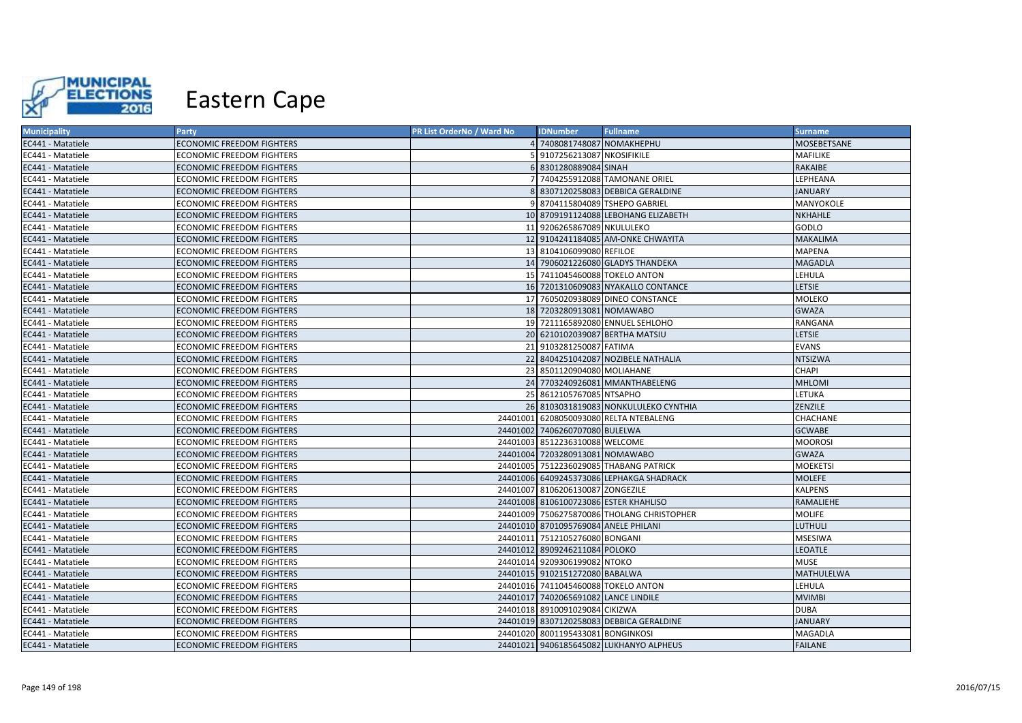

| <b>Municipality</b> | Party                            | PR List OrderNo / Ward No | <b>IDNumber</b>                      | <b>Fullname</b>                            | <b>Surname</b>  |
|---------------------|----------------------------------|---------------------------|--------------------------------------|--------------------------------------------|-----------------|
| EC441 - Matatiele   | <b>ECONOMIC FREEDOM FIGHTERS</b> |                           | 7408081748087 NOMAKHEPHU             |                                            | MOSEBETSANE     |
| EC441 - Matatiele   | <b>ECONOMIC FREEDOM FIGHTERS</b> |                           | 9107256213087 NKOSIFIKILE            |                                            | MAFILIKE        |
| EC441 - Matatiele   | <b>ECONOMIC FREEDOM FIGHTERS</b> |                           | 6 8301280889084 SINAH                |                                            | RAKAIBE         |
| EC441 - Matatiele   | ECONOMIC FREEDOM FIGHTERS        |                           |                                      | 7404255912088 TAMONANE ORIEL               | LEPHEANA        |
| EC441 - Matatiele   | ECONOMIC FREEDOM FIGHTERS        |                           |                                      | 8307120258083 DEBBICA GERALDINE            | <b>JANUARY</b>  |
| EC441 - Matatiele   | <b>ECONOMIC FREEDOM FIGHTERS</b> |                           |                                      | 8704115804089 TSHEPO GABRIEL               | MANYOKOLE       |
| EC441 - Matatiele   | <b>ECONOMIC FREEDOM FIGHTERS</b> |                           |                                      | 10 8709191124088 LEBOHANG ELIZABETH        | <b>NKHAHLE</b>  |
| EC441 - Matatiele   | <b>ECONOMIC FREEDOM FIGHTERS</b> |                           | 11 9206265867089 NKULULEKO           |                                            | GODLO           |
| EC441 - Matatiele   | <b>ECONOMIC FREEDOM FIGHTERS</b> |                           |                                      | 12 9104241184085 AM-ONKE CHWAYITA          | <b>MAKALIMA</b> |
| EC441 - Matatiele   | ECONOMIC FREEDOM FIGHTERS        |                           | 13 8104106099080 REFILOE             |                                            | <b>MAPENA</b>   |
| EC441 - Matatiele   | ECONOMIC FREEDOM FIGHTERS        |                           |                                      | 14 7906021226080 GLADYS THANDEKA           | <b>MAGADLA</b>  |
| EC441 - Matatiele   | ECONOMIC FREEDOM FIGHTERS        |                           | 15 7411045460088 TOKELO ANTON        |                                            | LEHULA          |
| EC441 - Matatiele   | <b>ECONOMIC FREEDOM FIGHTERS</b> |                           |                                      | 16 7201310609083 NYAKALLO CONTANCE         | <b>LETSIE</b>   |
| EC441 - Matatiele   | ECONOMIC FREEDOM FIGHTERS        |                           |                                      | 17 7605020938089 DINEO CONSTANCE           | MOLEKO          |
| EC441 - Matatiele   | <b>ECONOMIC FREEDOM FIGHTERS</b> |                           | 18 7203280913081 NOMAWABO            |                                            | GWAZA           |
| EC441 - Matatiele   | <b>ECONOMIC FREEDOM FIGHTERS</b> |                           |                                      | 19 7211165892080 ENNUEL SEHLOHO            | RANGANA         |
| EC441 - Matatiele   | <b>ECONOMIC FREEDOM FIGHTERS</b> |                           |                                      | 20 6210102039087 BERTHA MATSIU             | <b>LETSIE</b>   |
| EC441 - Matatiele   | <b>ECONOMIC FREEDOM FIGHTERS</b> |                           | 21 9103281250087 FATIMA              |                                            | <b>EVANS</b>    |
| EC441 - Matatiele   | <b>ECONOMIC FREEDOM FIGHTERS</b> |                           |                                      | 22 8404251042087 NOZIBELE NATHALIA         | <b>NTSIZWA</b>  |
| EC441 - Matatiele   | <b>ECONOMIC FREEDOM FIGHTERS</b> |                           | 23 8501120904080 MOLIAHANE           |                                            | CHAPI           |
| EC441 - Matatiele   | <b>ECONOMIC FREEDOM FIGHTERS</b> |                           |                                      | 24 7703240926081 MMANTHABELENG             | <b>MHLOMI</b>   |
| EC441 - Matatiele   | <b>ECONOMIC FREEDOM FIGHTERS</b> |                           | 25 8612105767085 NTSAPHO             |                                            | LETUKA          |
| EC441 - Matatiele   | <b>ECONOMIC FREEDOM FIGHTERS</b> |                           |                                      | 26 8103031819083 NONKULULEKO CYNTHIA       | ZENZILE         |
| EC441 - Matatiele   | ECONOMIC FREEDOM FIGHTERS        |                           |                                      | 24401001 6208050093080 RELTA NTEBALENG     | CHACHANE        |
| EC441 - Matatiele   | <b>ECONOMIC FREEDOM FIGHTERS</b> |                           | 24401002 7406260707080 BULELWA       |                                            | <b>GCWABE</b>   |
| EC441 - Matatiele   | <b>ECONOMIC FREEDOM FIGHTERS</b> |                           | 24401003 8512236310088 WELCOME       |                                            | <b>MOOROSI</b>  |
| EC441 - Matatiele   | <b>ECONOMIC FREEDOM FIGHTERS</b> |                           | 24401004 7203280913081 NOMAWABO      |                                            | <b>GWAZA</b>    |
| EC441 - Matatiele   | <b>ECONOMIC FREEDOM FIGHTERS</b> |                           |                                      | 24401005 7512236029085 THABANG PATRICK     | <b>MOEKETSI</b> |
| EC441 - Matatiele   | <b>ECONOMIC FREEDOM FIGHTERS</b> |                           |                                      | 24401006 6409245373086 LEPHAKGA SHADRACK   | <b>MOLEFE</b>   |
| EC441 - Matatiele   | <b>ECONOMIC FREEDOM FIGHTERS</b> |                           | 24401007 8106206130087 ZONGEZILE     |                                            | <b>KALPENS</b>  |
| EC441 - Matatiele   | <b>ECONOMIC FREEDOM FIGHTERS</b> |                           |                                      | 24401008 8106100723086 ESTER KHAHLISO      | RAMALIEHE       |
| EC441 - Matatiele   | <b>ECONOMIC FREEDOM FIGHTERS</b> |                           |                                      | 24401009 7506275870086 THOLANG CHRISTOPHER | <b>MOLIFE</b>   |
| EC441 - Matatiele   | <b>ECONOMIC FREEDOM FIGHTERS</b> |                           | 24401010 8701095769084 ANELE PHILANI |                                            | LUTHULI         |
| EC441 - Matatiele   | <b>ECONOMIC FREEDOM FIGHTERS</b> |                           | 24401011 7512105276080 BONGANI       |                                            | <b>MSESIWA</b>  |
| EC441 - Matatiele   | <b>ECONOMIC FREEDOM FIGHTERS</b> |                           | 24401012 8909246211084 POLOKO        |                                            | <b>LEOATLE</b>  |
| EC441 - Matatiele   | ECONOMIC FREEDOM FIGHTERS        |                           | 24401014 9209306199082 NTOKO         |                                            | <b>MUSE</b>     |
| EC441 - Matatiele   | ECONOMIC FREEDOM FIGHTERS        |                           | 24401015 9102151272080 BABALWA       |                                            | MATHULELWA      |
| EC441 - Matatiele   | ECONOMIC FREEDOM FIGHTERS        |                           | 24401016 7411045460088 TOKELO ANTON  |                                            | LEHULA          |
| EC441 - Matatiele   | ECONOMIC FREEDOM FIGHTERS        |                           | 24401017 7402065691082 LANCE LINDILE |                                            | <b>MVIMBI</b>   |
| EC441 - Matatiele   | <b>ECONOMIC FREEDOM FIGHTERS</b> |                           | 24401018 8910091029084 CIKIZWA       |                                            | <b>DUBA</b>     |
| EC441 - Matatiele   | ECONOMIC FREEDOM FIGHTERS        |                           |                                      | 24401019 8307120258083 DEBBICA GERALDINE   | <b>JANUARY</b>  |
| EC441 - Matatiele   | ECONOMIC FREEDOM FIGHTERS        |                           | 24401020 8001195433081 BONGINKOSI    |                                            | MAGADLA         |
| EC441 - Matatiele   | <b>ECONOMIC FREEDOM FIGHTERS</b> |                           |                                      | 24401021 9406185645082 LUKHANYO ALPHEUS    | <b>FAILANE</b>  |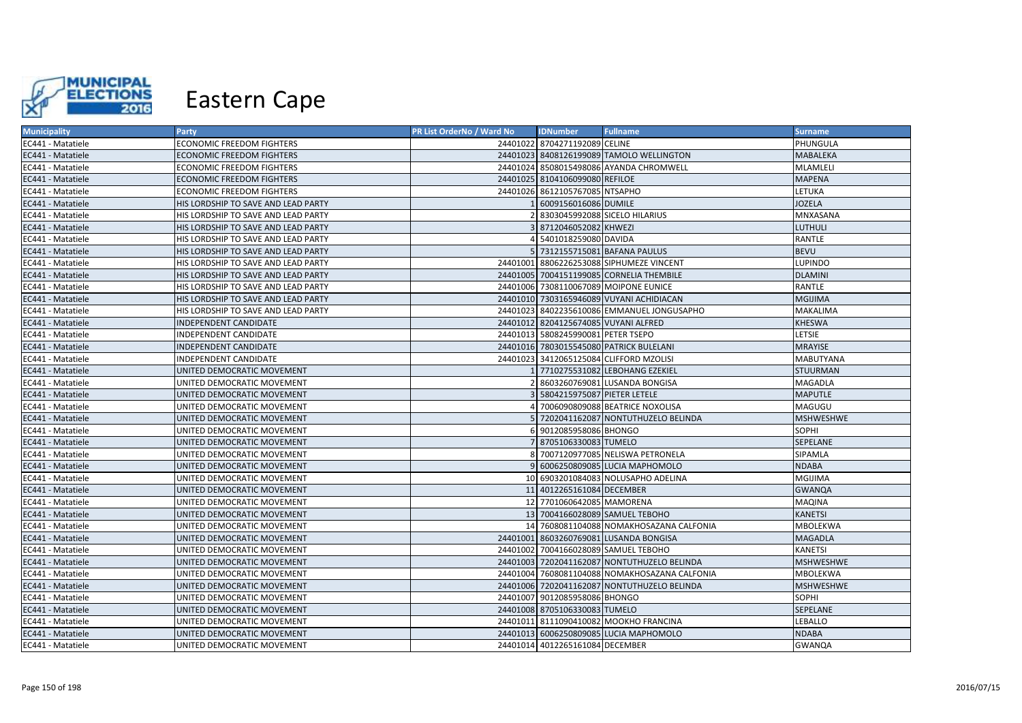

| <b>Municipality</b> | Party                               | PR List OrderNo / Ward No | <b>IDNumber</b>                      | <b>Fullname</b>                               | <b>Surname</b>   |
|---------------------|-------------------------------------|---------------------------|--------------------------------------|-----------------------------------------------|------------------|
| EC441 - Matatiele   | <b>ECONOMIC FREEDOM FIGHTERS</b>    |                           | 24401022 8704271192089 CELINE        |                                               | PHUNGULA         |
| EC441 - Matatiele   | <b>ECONOMIC FREEDOM FIGHTERS</b>    |                           |                                      | 24401023 8408126199089 TAMOLO WELLINGTON      | <b>MABALEKA</b>  |
| EC441 - Matatiele   | <b>ECONOMIC FREEDOM FIGHTERS</b>    |                           |                                      | 24401024 8508015498086 AYANDA CHROMWELL       | MLAMLELI         |
| EC441 - Matatiele   | ECONOMIC FREEDOM FIGHTERS           |                           | 24401025 8104106099080 REFILOE       |                                               | <b>MAPENA</b>    |
| EC441 - Matatiele   | <b>ECONOMIC FREEDOM FIGHTERS</b>    |                           | 24401026 8612105767085 NTSAPHO       |                                               | <b>LETUKA</b>    |
| EC441 - Matatiele   | HIS LORDSHIP TO SAVE AND LEAD PARTY |                           | 6009156016086 DUMILE                 |                                               | <b>JOZELA</b>    |
| EC441 - Matatiele   | HIS LORDSHIP TO SAVE AND LEAD PARTY |                           |                                      | 8303045992088 SICELO HILARIUS                 | MNXASANA         |
| EC441 - Matatiele   | HIS LORDSHIP TO SAVE AND LEAD PARTY |                           | 8712046052082 KHWEZI                 |                                               | <b>LUTHULI</b>   |
| EC441 - Matatiele   | HIS LORDSHIP TO SAVE AND LEAD PARTY |                           | 5401018259080 DAVIDA                 |                                               | <b>RANTLE</b>    |
| EC441 - Matatiele   | HIS LORDSHIP TO SAVE AND LEAD PARTY |                           |                                      | 5 7312155715081 BAFANA PAULUS                 | <b>BEVU</b>      |
| EC441 - Matatiele   | HIS LORDSHIP TO SAVE AND LEAD PARTY | 24401001                  |                                      | 8806226253088 SIPHUMEZE VINCENT               | <b>LUPINDO</b>   |
| EC441 - Matatiele   | HIS LORDSHIP TO SAVE AND LEAD PARTY |                           |                                      | 24401005 7004151199085 CORNELIA THEMBILE      | <b>DLAMINI</b>   |
| EC441 - Matatiele   | HIS LORDSHIP TO SAVE AND LEAD PARTY |                           |                                      | 24401006 7308110067089 MOIPONE EUNICE         | RANTLE           |
| EC441 - Matatiele   | HIS LORDSHIP TO SAVE AND LEAD PARTY |                           |                                      | 24401010 7303165946089 VUYANI ACHIDIACAN      | <b>MGIJIMA</b>   |
| EC441 - Matatiele   | HIS LORDSHIP TO SAVE AND LEAD PARTY | 24401023                  |                                      | 8402235610086 EMMANUEL JONGUSAPHO             | <b>MAKALIMA</b>  |
| EC441 - Matatiele   | <b>INDEPENDENT CANDIDATE</b>        |                           | 24401012 8204125674085 VUYANI ALFRED |                                               | KHESWA           |
| EC441 - Matatiele   | INDEPENDENT CANDIDATE               | 24401013                  | 5808245990081 PETER TSEPO            |                                               | LETSIE           |
| EC441 - Matatiele   | INDEPENDENT CANDIDATE               |                           |                                      | 24401016 7803015545080 PATRICK BULELANI       | <b>MRAYISE</b>   |
| EC441 - Matatiele   | INDEPENDENT CANDIDATE               |                           |                                      | 24401023 3412065125084 CLIFFORD MZOLISI       | <b>MABUTYANA</b> |
| EC441 - Matatiele   | UNITED DEMOCRATIC MOVEMENT          |                           |                                      | 7710275531082 LEBOHANG EZEKIEL                | <b>STUURMAN</b>  |
| EC441 - Matatiele   | UNITED DEMOCRATIC MOVEMENT          |                           |                                      | 8603260769081 LUSANDA BONGISA                 | MAGADLA          |
| EC441 - Matatiele   | UNITED DEMOCRATIC MOVEMENT          |                           | 5804215975087 PIETER LETELE          |                                               | <b>MAPUTLE</b>   |
| EC441 - Matatiele   | UNITED DEMOCRATIC MOVEMENT          |                           |                                      | 7006090809088 BEATRICE NOXOLISA               | MAGUGU           |
| EC441 - Matatiele   | UNITED DEMOCRATIC MOVEMENT          |                           |                                      | 7202041162087 NONTUTHUZELO BELINDA            | <b>MSHWESHWE</b> |
| EC441 - Matatiele   | UNITED DEMOCRATIC MOVEMENT          |                           | 9012085958086 BHONGO                 |                                               | SOPHI            |
| EC441 - Matatiele   | UNITED DEMOCRATIC MOVEMENT          |                           | 8705106330083 TUMELO                 |                                               | SEPELANE         |
| EC441 - Matatiele   | UNITED DEMOCRATIC MOVEMENT          |                           |                                      | 7007120977085 NELISWA PETRONELA               | SIPAMLA          |
| EC441 - Matatiele   | UNITED DEMOCRATIC MOVEMENT          |                           |                                      | 6006250809085 LUCIA MAPHOMOLO                 | <b>NDABA</b>     |
| EC441 - Matatiele   | UNITED DEMOCRATIC MOVEMENT          |                           |                                      | 10 6903201084083 NOLUSAPHO ADELINA            | <b>MGIJIMA</b>   |
| EC441 - Matatiele   | UNITED DEMOCRATIC MOVEMENT          |                           | 11 4012265161084 DECEMBER            |                                               | <b>GWANQA</b>    |
| EC441 - Matatiele   | UNITED DEMOCRATIC MOVEMENT          |                           | 12 7701060642085 MAMORENA            |                                               | MAQINA           |
| EC441 - Matatiele   | UNITED DEMOCRATIC MOVEMENT          |                           |                                      | 13 7004166028089 SAMUEL TEBOHO                | <b>KANETSI</b>   |
| EC441 - Matatiele   | UNITED DEMOCRATIC MOVEMENT          |                           |                                      | 14 7608081104088 NOMAKHOSAZANA CALFONIA       | MBOLEKWA         |
| EC441 - Matatiele   | UNITED DEMOCRATIC MOVEMENT          | 24401001                  |                                      | 8603260769081 LUSANDA BONGISA                 | <b>MAGADLA</b>   |
| EC441 - Matatiele   | UNITED DEMOCRATIC MOVEMENT          |                           |                                      | 24401002 7004166028089 SAMUEL TEBOHO          | <b>KANETSI</b>   |
| EC441 - Matatiele   | UNITED DEMOCRATIC MOVEMENT          |                           |                                      | 24401003 7202041162087 NONTUTHUZELO BELINDA   | <b>MSHWESHWE</b> |
| EC441 - Matatiele   | UNITED DEMOCRATIC MOVEMENT          |                           |                                      | 24401004 7608081104088 NOMAKHOSAZANA CALFONIA | MBOLEKWA         |
| EC441 - Matatiele   | UNITED DEMOCRATIC MOVEMENT          |                           |                                      | 24401006 7202041162087 NONTUTHUZELO BELINDA   | <b>MSHWESHWE</b> |
| EC441 - Matatiele   | UNITED DEMOCRATIC MOVEMENT          |                           | 24401007 9012085958086 BHONGO        |                                               | SOPHI            |
| EC441 - Matatiele   | UNITED DEMOCRATIC MOVEMENT          |                           | 24401008 8705106330083 TUMELO        |                                               | SEPELANE         |
| EC441 - Matatiele   | UNITED DEMOCRATIC MOVEMENT          |                           |                                      | 24401011 8111090410082 MOOKHO FRANCINA        | LEBALLO          |
| EC441 - Matatiele   | UNITED DEMOCRATIC MOVEMENT          |                           |                                      | 24401013 6006250809085 LUCIA MAPHOMOLO        | <b>NDABA</b>     |
| EC441 - Matatiele   | UNITED DEMOCRATIC MOVEMENT          |                           | 24401014 4012265161084 DECEMBER      |                                               | <b>GWANQA</b>    |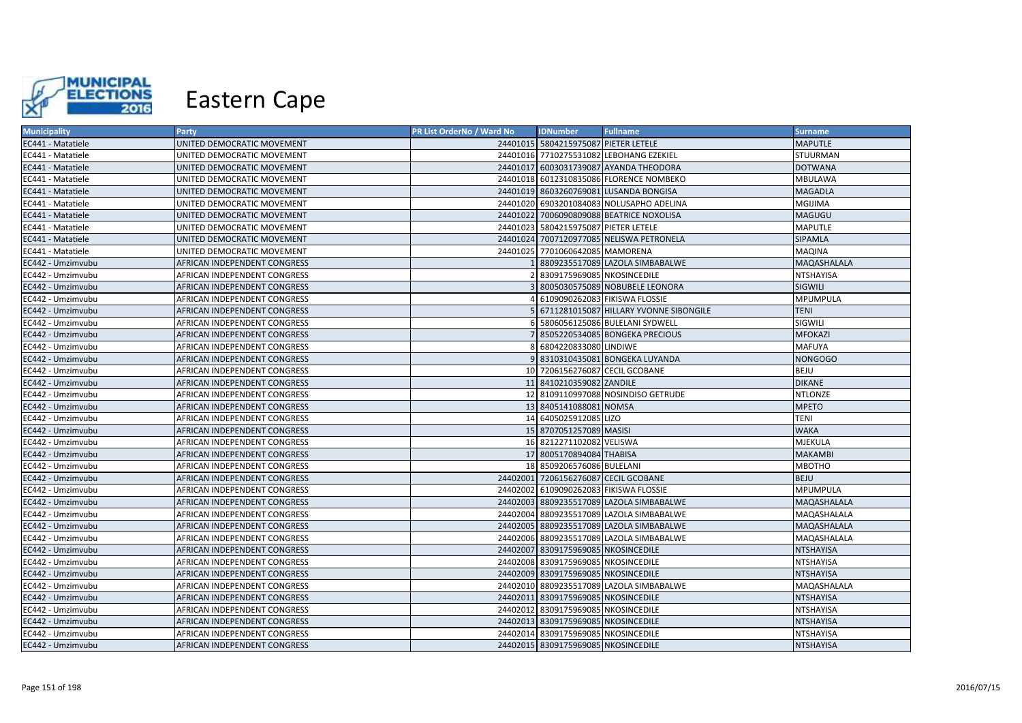

| <b>Municipality</b> | <b>Party</b>                 | PR List OrderNo / Ward No | <b>IDNumber</b>                      | <b>Fullname</b>                          | <b>Surname</b>   |
|---------------------|------------------------------|---------------------------|--------------------------------------|------------------------------------------|------------------|
| EC441 - Matatiele   | UNITED DEMOCRATIC MOVEMENT   |                           | 24401015 5804215975087 PIETER LETELE |                                          | <b>MAPUTLE</b>   |
| EC441 - Matatiele   | UNITED DEMOCRATIC MOVEMENT   |                           |                                      | 24401016 7710275531082 LEBOHANG EZEKIEL  | STUURMAN         |
| EC441 - Matatiele   | UNITED DEMOCRATIC MOVEMENT   |                           |                                      | 24401017 6003031739087 AYANDA THEODORA   | <b>DOTWANA</b>   |
| EC441 - Matatiele   | UNITED DEMOCRATIC MOVEMENT   |                           |                                      | 24401018 6012310835086 FLORENCE NOMBEKO  | <b>MBULAWA</b>   |
| EC441 - Matatiele   | UNITED DEMOCRATIC MOVEMENT   |                           |                                      | 24401019 8603260769081 LUSANDA BONGISA   | <b>MAGADLA</b>   |
| EC441 - Matatiele   | UNITED DEMOCRATIC MOVEMENT   |                           |                                      | 24401020 6903201084083 NOLUSAPHO ADELINA | <b>MGIJIMA</b>   |
| EC441 - Matatiele   | UNITED DEMOCRATIC MOVEMENT   |                           |                                      | 24401022 7006090809088 BEATRICE NOXOLISA | MAGUGU           |
| EC441 - Matatiele   | UNITED DEMOCRATIC MOVEMENT   |                           | 24401023 5804215975087 PIETER LETELE |                                          | <b>MAPUTLE</b>   |
| EC441 - Matatiele   | UNITED DEMOCRATIC MOVEMENT   |                           |                                      | 24401024 7007120977085 NELISWA PETRONELA | SIPAMLA          |
| EC441 - Matatiele   | UNITED DEMOCRATIC MOVEMENT   |                           | 24401025 7701060642085 MAMORENA      |                                          | MAQINA           |
| EC442 - Umzimvubu   | AFRICAN INDEPENDENT CONGRESS |                           |                                      | 1 8809235517089 LAZOLA SIMBABALWE        | MAQASHALALA      |
| EC442 - Umzimvubu   | AFRICAN INDEPENDENT CONGRESS |                           | 8309175969085 NKOSINCEDILE           |                                          | <b>NTSHAYISA</b> |
| EC442 - Umzimvubu   | AFRICAN INDEPENDENT CONGRESS |                           |                                      | 3 8005030575089 NOBUBELE LEONORA         | SIGWILI          |
| EC442 - Umzimvubu   | AFRICAN INDEPENDENT CONGRESS |                           |                                      | 4 6109090262083 FIKISWA FLOSSIE          | MPUMPULA         |
| EC442 - Umzimvubu   | AFRICAN INDEPENDENT CONGRESS |                           |                                      | 6711281015087 HILLARY YVONNE SIBONGILE   | <b>TENI</b>      |
| EC442 - Umzimvubu   | AFRICAN INDEPENDENT CONGRESS |                           |                                      | 6 5806056125086 BULELANI SYDWELL         | SIGWILI          |
| EC442 - Umzimvubu   | AFRICAN INDEPENDENT CONGRESS |                           |                                      | 7 8505220534085 BONGEKA PRECIOUS         | <b>MFOKAZI</b>   |
| EC442 - Umzimvubu   | AFRICAN INDEPENDENT CONGRESS |                           | 8 6804220833080 LINDIWE              |                                          | <b>MAFUYA</b>    |
| EC442 - Umzimvubu   | AFRICAN INDEPENDENT CONGRESS |                           |                                      | 9 8310310435081 BONGEKA LUYANDA          | <b>NONGOGO</b>   |
| EC442 - Umzimvubu   | AFRICAN INDEPENDENT CONGRESS |                           | 10 7206156276087 CECIL GCOBANE       |                                          | <b>BEJU</b>      |
| EC442 - Umzimvubu   | AFRICAN INDEPENDENT CONGRESS |                           | 11 8410210359082 ZANDILE             |                                          | <b>DIKANE</b>    |
| EC442 - Umzimvubu   | AFRICAN INDEPENDENT CONGRESS |                           |                                      | 12 8109110997088 NOSINDISO GETRUDE       | <b>NTLONZE</b>   |
| EC442 - Umzimvubu   | AFRICAN INDEPENDENT CONGRESS |                           | 13 8405141088081 NOMSA               |                                          | <b>MPETO</b>     |
| EC442 - Umzimvubu   | AFRICAN INDEPENDENT CONGRESS |                           | 14 6405025912085 LIZO                |                                          | <b>TENI</b>      |
| EC442 - Umzimvubu   | AFRICAN INDEPENDENT CONGRESS |                           | 15 8707051257089 MASISI              |                                          | <b>WAKA</b>      |
| EC442 - Umzimvubu   | AFRICAN INDEPENDENT CONGRESS |                           | 16 8212271102082 VELISWA             |                                          | <b>MJEKULA</b>   |
| EC442 - Umzimvubu   | AFRICAN INDEPENDENT CONGRESS |                           | 17 8005170894084 THABISA             |                                          | <b>MAKAMBI</b>   |
| EC442 - Umzimvubu   | AFRICAN INDEPENDENT CONGRESS |                           | 18 8509206576086 BULELANI            |                                          | <b>MBOTHO</b>    |
| EC442 - Umzimvubu   | AFRICAN INDEPENDENT CONGRESS |                           | 24402001 7206156276087 CECIL GCOBANE |                                          | <b>BEJU</b>      |
| EC442 - Umzimvubu   | AFRICAN INDEPENDENT CONGRESS |                           |                                      | 24402002 6109090262083 FIKISWA FLOSSIE   | MPUMPULA         |
| EC442 - Umzimvubu   | AFRICAN INDEPENDENT CONGRESS |                           |                                      | 24402003 8809235517089 LAZOLA SIMBABALWE | MAQASHALALA      |
| EC442 - Umzimvubu   | AFRICAN INDEPENDENT CONGRESS |                           |                                      | 24402004 8809235517089 LAZOLA SIMBABALWE | MAQASHALALA      |
| EC442 - Umzimvubu   | AFRICAN INDEPENDENT CONGRESS |                           |                                      | 24402005 8809235517089 LAZOLA SIMBABALWE | MAQASHALALA      |
| EC442 - Umzimvubu   | AFRICAN INDEPENDENT CONGRESS |                           |                                      | 24402006 8809235517089 LAZOLA SIMBABALWE | MAQASHALALA      |
| EC442 - Umzimvubu   | AFRICAN INDEPENDENT CONGRESS |                           | 24402007 8309175969085 NKOSINCEDILE  |                                          | <b>NTSHAYISA</b> |
| EC442 - Umzimvubu   | AFRICAN INDEPENDENT CONGRESS |                           | 24402008 8309175969085 NKOSINCEDILE  |                                          | NTSHAYISA        |
| EC442 - Umzimvubu   | AFRICAN INDEPENDENT CONGRESS |                           | 24402009 8309175969085 NKOSINCEDILE  |                                          | <b>NTSHAYISA</b> |
| EC442 - Umzimvubu   | AFRICAN INDEPENDENT CONGRESS |                           |                                      | 24402010 8809235517089 LAZOLA SIMBABALWE | MAQASHALALA      |
| EC442 - Umzimvubu   | AFRICAN INDEPENDENT CONGRESS |                           | 24402011 8309175969085 NKOSINCEDILE  |                                          | <b>NTSHAYISA</b> |
| EC442 - Umzimvubu   | AFRICAN INDEPENDENT CONGRESS |                           | 24402012 8309175969085 NKOSINCEDILE  |                                          | NTSHAYISA        |
| EC442 - Umzimvubu   | AFRICAN INDEPENDENT CONGRESS |                           | 24402013 8309175969085 NKOSINCEDILE  |                                          | <b>NTSHAYISA</b> |
| EC442 - Umzimvubu   | AFRICAN INDEPENDENT CONGRESS |                           | 24402014 8309175969085 NKOSINCEDILE  |                                          | NTSHAYISA        |
| EC442 - Umzimvubu   | AFRICAN INDEPENDENT CONGRESS |                           | 24402015 8309175969085 NKOSINCEDILE  |                                          | <b>NTSHAYISA</b> |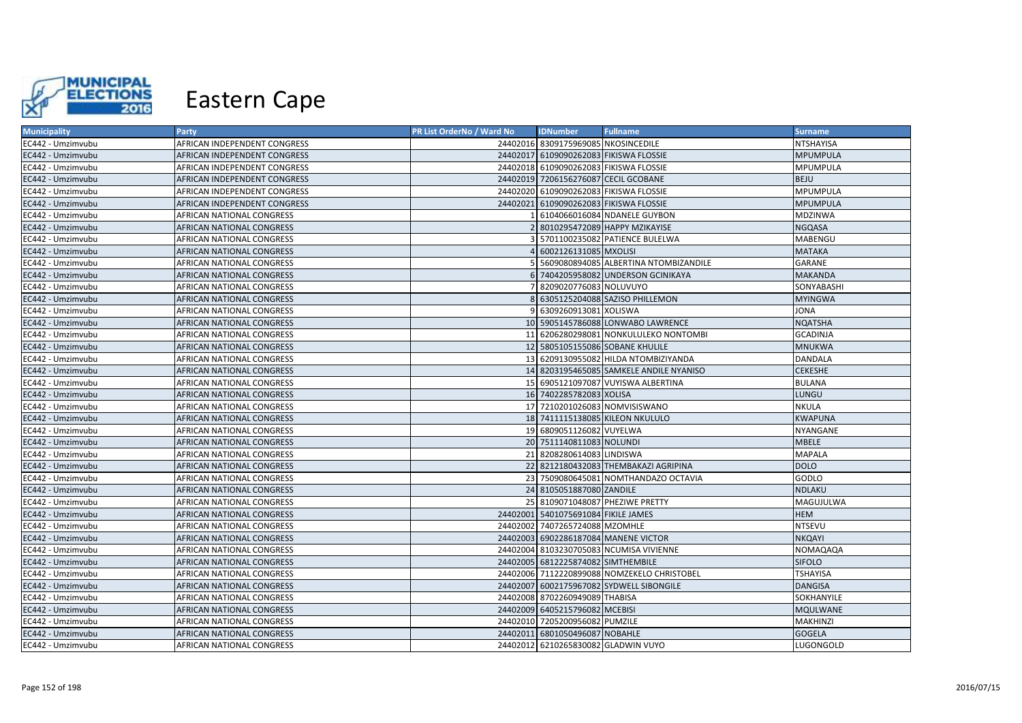

| <b>Municipality</b> | <b>Party</b>                     | <b>PR List OrderNo / Ward No</b> | <b>IDNumber</b>                      | <b>Fullname</b>                             | <b>Surname</b>  |
|---------------------|----------------------------------|----------------------------------|--------------------------------------|---------------------------------------------|-----------------|
| EC442 - Umzimvubu   | AFRICAN INDEPENDENT CONGRESS     |                                  | 24402016 8309175969085 NKOSINCEDILE  |                                             | NTSHAYISA       |
| EC442 - Umzimvubu   | AFRICAN INDEPENDENT CONGRESS     |                                  |                                      | 24402017 6109090262083 FIKISWA FLOSSIE      | <b>MPUMPULA</b> |
| EC442 - Umzimvubu   | AFRICAN INDEPENDENT CONGRESS     |                                  |                                      | 24402018 6109090262083 FIKISWA FLOSSIE      | MPUMPULA        |
| EC442 - Umzimvubu   | AFRICAN INDEPENDENT CONGRESS     |                                  | 24402019 7206156276087 CECIL GCOBANE |                                             | <b>BEJU</b>     |
| EC442 - Umzimvubu   | AFRICAN INDEPENDENT CONGRESS     |                                  |                                      | 24402020 6109090262083 FIKISWA FLOSSIE      | MPUMPULA        |
| EC442 - Umzimvubu   | AFRICAN INDEPENDENT CONGRESS     |                                  |                                      | 24402021 6109090262083 FIKISWA FLOSSIE      | <b>MPUMPULA</b> |
| EC442 - Umzimvubu   | AFRICAN NATIONAL CONGRESS        |                                  |                                      | 1 6104066016084 NDANELE GUYBON              | MDZINWA         |
| EC442 - Umzimvubu   | AFRICAN NATIONAL CONGRESS        |                                  |                                      | 8010295472089 HAPPY MZIKAYISE               | <b>NGQASA</b>   |
| EC442 - Umzimvubu   | AFRICAN NATIONAL CONGRESS        |                                  |                                      | 5701100235082 PATIENCE BULELWA              | MABENGU         |
| EC442 - Umzimvubu   | AFRICAN NATIONAL CONGRESS        |                                  | 6002126131085 MXOLISI                |                                             | <b>MATAKA</b>   |
| EC442 - Umzimvubu   | AFRICAN NATIONAL CONGRESS        |                                  |                                      | 5 5609080894085 ALBERTINA NTOMBIZANDILE     | GARANE          |
| EC442 - Umzimvubu   | AFRICAN NATIONAL CONGRESS        |                                  |                                      | 6 7404205958082 UNDERSON GCINIKAYA          | <b>MAKANDA</b>  |
| EC442 - Umzimvubu   | AFRICAN NATIONAL CONGRESS        |                                  | 7 8209020776083 NOLUVUYO             |                                             | SONYABASHI      |
| EC442 - Umzimvubu   | AFRICAN NATIONAL CONGRESS        |                                  |                                      | 8 6305125204088 SAZISO PHILLEMON            | <b>MYINGWA</b>  |
| EC442 - Umzimvubu   | AFRICAN NATIONAL CONGRESS        |                                  | 9 6309260913081 XOLISWA              |                                             | JONA            |
| EC442 - Umzimvubu   | AFRICAN NATIONAL CONGRESS        |                                  |                                      | 10 5905145786088 LONWABO LAWRENCE           | <b>NQATSHA</b>  |
| EC442 - Umzimvubu   | AFRICAN NATIONAL CONGRESS        |                                  |                                      | 11 6206280298081 NONKULULEKO NONTOMBI       | <b>GCADINJA</b> |
| EC442 - Umzimvubu   | AFRICAN NATIONAL CONGRESS        |                                  |                                      | 12 5805105155086 SOBANE KHULILE             | <b>MNUKWA</b>   |
| EC442 - Umzimvubu   | AFRICAN NATIONAL CONGRESS        |                                  |                                      | 13 6209130955082 HILDA NTOMBIZIYANDA        | DANDALA         |
| EC442 - Umzimvubu   | AFRICAN NATIONAL CONGRESS        |                                  |                                      | 14 8203195465085 SAMKELE ANDILE NYANISO     | <b>CEKESHE</b>  |
| EC442 - Umzimvubu   | AFRICAN NATIONAL CONGRESS        |                                  |                                      | 15 6905121097087 VUYISWA ALBERTINA          | <b>BULANA</b>   |
| EC442 - Umzimvubu   | AFRICAN NATIONAL CONGRESS        |                                  | 16 7402285782083 XOLISA              |                                             | LUNGU           |
| EC442 - Umzimvubu   | AFRICAN NATIONAL CONGRESS        |                                  |                                      | 17 7210201026083 NOMVISISWANO               | <b>NKULA</b>    |
| EC442 - Umzimvubu   | AFRICAN NATIONAL CONGRESS        |                                  |                                      | 18 7411115138085 KILEON NKULULO             | <b>KWAPUNA</b>  |
| EC442 - Umzimvubu   | AFRICAN NATIONAL CONGRESS        |                                  | 19 6809051126082 VUYELWA             |                                             | NYANGANE        |
| EC442 - Umzimvubu   | AFRICAN NATIONAL CONGRESS        |                                  | 20 7511140811083 NOLUNDI             |                                             | <b>MBELE</b>    |
| EC442 - Umzimvubu   | AFRICAN NATIONAL CONGRESS        |                                  | 21 8208280614083 LINDISWA            |                                             | <b>MAPALA</b>   |
| EC442 - Umzimvubu   | AFRICAN NATIONAL CONGRESS        |                                  |                                      | 22 8212180432083 THEMBAKAZI AGRIPINA        | <b>DOLO</b>     |
| EC442 - Umzimvubu   | AFRICAN NATIONAL CONGRESS        |                                  |                                      | 23 7509080645081 NOMTHANDAZO OCTAVIA        | GODLO           |
| EC442 - Umzimvubu   | AFRICAN NATIONAL CONGRESS        |                                  | 24 8105051887080 ZANDILE             |                                             | <b>NDLAKU</b>   |
| EC442 - Umzimvubu   | AFRICAN NATIONAL CONGRESS        |                                  |                                      | 25 8109071048087 PHEZIWE PRETTY             | MAGUJULWA       |
| EC442 - Umzimvubu   | <b>AFRICAN NATIONAL CONGRESS</b> |                                  | 24402001 5401075691084 FIKILE JAMES  |                                             | <b>HEM</b>      |
| EC442 - Umzimvubu   | AFRICAN NATIONAL CONGRESS        |                                  | 24402002 7407265724088 MZOMHLE       |                                             | <b>NTSEVU</b>   |
| EC442 - Umzimvubu   | AFRICAN NATIONAL CONGRESS        |                                  |                                      | 24402003 6902286187084 MANENE VICTOR        | <b>NKQAYI</b>   |
| EC442 - Umzimvubu   | AFRICAN NATIONAL CONGRESS        |                                  |                                      | 24402004 8103230705083 NCUMISA VIVIENNE     | <b>NOMAQAQA</b> |
| EC442 - Umzimvubu   | AFRICAN NATIONAL CONGRESS        |                                  | 24402005 6812225874082 SIMTHEMBILE   |                                             | <b>SIFOLO</b>   |
| EC442 - Umzimvubu   | AFRICAN NATIONAL CONGRESS        |                                  |                                      | 24402006 7112220899088 NOMZEKELO CHRISTOBEL | <b>TSHAYISA</b> |
| EC442 - Umzimvubu   | AFRICAN NATIONAL CONGRESS        |                                  |                                      | 24402007 6002175967082 SYDWELL SIBONGILE    | <b>DANGISA</b>  |
| EC442 - Umzimvubu   | AFRICAN NATIONAL CONGRESS        |                                  | 24402008 8702260949089 THABISA       |                                             | SOKHANYILE      |
| EC442 - Umzimvubu   | AFRICAN NATIONAL CONGRESS        |                                  | 24402009 6405215796082 MCEBISI       |                                             | MQULWANE        |
| EC442 - Umzimvubu   | AFRICAN NATIONAL CONGRESS        |                                  | 24402010 7205200956082 PUMZILE       |                                             | MAKHINZI        |
| EC442 - Umzimvubu   | AFRICAN NATIONAL CONGRESS        |                                  | 24402011 6801050496087 NOBAHLE       |                                             | <b>GOGELA</b>   |
| EC442 - Umzimvubu   | AFRICAN NATIONAL CONGRESS        |                                  | 24402012 6210265830082 GLADWIN VUYO  |                                             | LUGONGOLD       |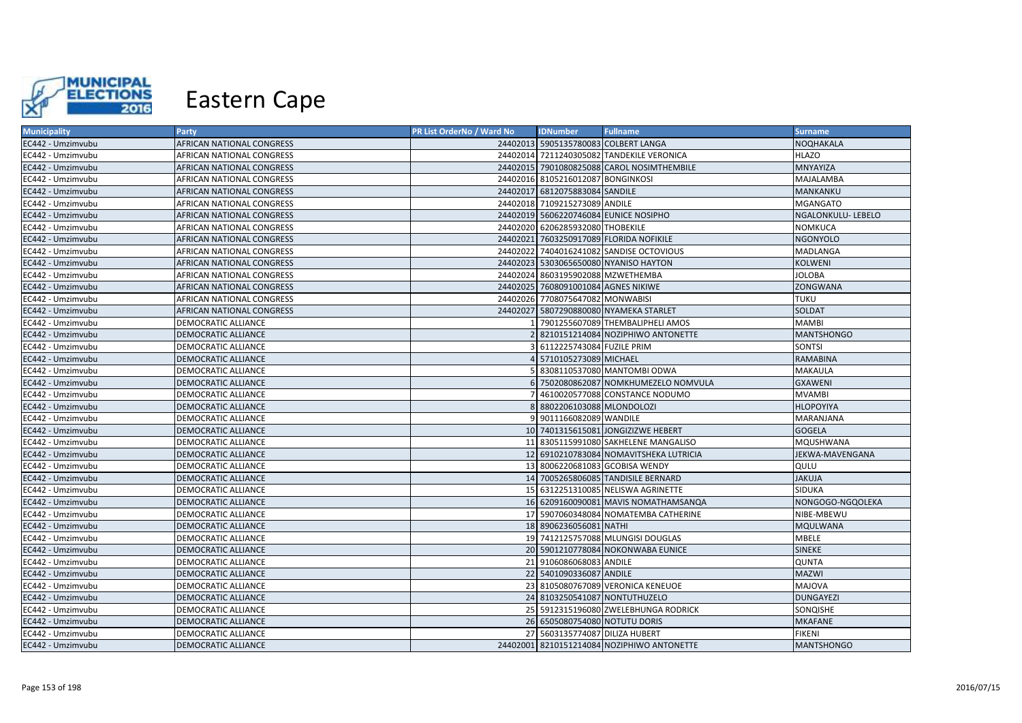

| <b>Municipality</b> | <b>Party</b>               | PR List OrderNo / Ward No | <b>IDNumber</b>                      | <b>Fullname</b>                            | <b>Surname</b>     |
|---------------------|----------------------------|---------------------------|--------------------------------------|--------------------------------------------|--------------------|
| EC442 - Umzimvubu   | AFRICAN NATIONAL CONGRESS  |                           | 24402013 5905135780083 COLBERT LANGA |                                            | <b>NOQHAKALA</b>   |
| EC442 - Umzimvubu   | AFRICAN NATIONAL CONGRESS  |                           |                                      | 24402014 7211240305082 TANDEKILE VERONICA  | <b>HLAZO</b>       |
| EC442 - Umzimvubu   | AFRICAN NATIONAL CONGRESS  |                           |                                      | 24402015 7901080825088 CAROL NOSIMTHEMBILE | MNYAYIZA           |
| EC442 - Umzimvubu   | AFRICAN NATIONAL CONGRESS  |                           | 24402016 8105216012087 BONGINKOSI    |                                            | MAJALAMBA          |
| EC442 - Umzimvubu   | AFRICAN NATIONAL CONGRESS  |                           | 24402017 6812075883084 SANDILE       |                                            | MANKANKU           |
| EC442 - Umzimvubu   | AFRICAN NATIONAL CONGRESS  |                           | 24402018 7109215273089 ANDILE        |                                            | <b>MGANGATO</b>    |
| EC442 - Umzimvubu   | AFRICAN NATIONAL CONGRESS  |                           |                                      | 24402019 5606220746084 EUNICE NOSIPHO      | NGALONKULU- LEBELO |
| EC442 - Umzimvubu   | AFRICAN NATIONAL CONGRESS  |                           | 24402020 6206285932080 THOBEKILE     |                                            | NOMKUCA            |
| EC442 - Umzimvubu   | AFRICAN NATIONAL CONGRESS  |                           |                                      | 24402021 7603250917089 FLORIDA NOFIKILE    | <b>NGONYOLO</b>    |
| EC442 - Umzimvubu   | AFRICAN NATIONAL CONGRESS  |                           |                                      | 24402022 7404016241082 SANDISE OCTOVIOUS   | MADLANGA           |
| EC442 - Umzimvubu   | AFRICAN NATIONAL CONGRESS  |                           |                                      | 24402023 5303065650080 NYANISO HAYTON      | KOLWENI            |
| EC442 - Umzimvubu   | AFRICAN NATIONAL CONGRESS  |                           | 24402024 8603195902088 MZWETHEMBA    |                                            | <b>JOLOBA</b>      |
| EC442 - Umzimvubu   | AFRICAN NATIONAL CONGRESS  |                           | 24402025 7608091001084 AGNES NIKIWE  |                                            | ZONGWANA           |
| EC442 - Umzimvubu   | AFRICAN NATIONAL CONGRESS  |                           | 24402026 7708075647082 MONWABISI     |                                            | <b>TUKU</b>        |
| EC442 - Umzimvubu   | AFRICAN NATIONAL CONGRESS  |                           |                                      | 24402027 5807290880080 NYAMEKA STARLET     | SOLDAT             |
| EC442 - Umzimvubu   | DEMOCRATIC ALLIANCE        |                           |                                      | 7901255607089 THEMBALIPHELI AMOS           | <b>MAMBI</b>       |
| EC442 - Umzimvubu   | <b>DEMOCRATIC ALLIANCE</b> |                           |                                      | 2 8210151214084 NOZIPHIWO ANTONETTE        | <b>MANTSHONGO</b>  |
| EC442 - Umzimvubu   | DEMOCRATIC ALLIANCE        |                           | 3 6112225743084 FUZILE PRIM          |                                            | SONTSI             |
| EC442 - Umzimvubu   | DEMOCRATIC ALLIANCE        |                           | 4 5710105273089 MICHAEL              |                                            | RAMABINA           |
| EC442 - Umzimvubu   | DEMOCRATIC ALLIANCE        |                           |                                      | 5 8308110537080 MANTOMBI ODWA              | <b>MAKAULA</b>     |
| EC442 - Umzimvubu   | DEMOCRATIC ALLIANCE        |                           |                                      | 6 7502080862087 NOMKHUMEZELO NOMVULA       | <b>GXAWENI</b>     |
| EC442 - Umzimvubu   | DEMOCRATIC ALLIANCE        |                           |                                      | 4610020577088 CONSTANCE NODUMO             | <b>MVAMBI</b>      |
| EC442 - Umzimvubu   | DEMOCRATIC ALLIANCE        |                           | 8 8802206103088 MLONDOLOZI           |                                            | <b>HLOPOYIYA</b>   |
| EC442 - Umzimvubu   | DEMOCRATIC ALLIANCE        |                           | 9 9011166082089 WANDILE              |                                            | MARANJANA          |
| EC442 - Umzimvubu   | DEMOCRATIC ALLIANCE        |                           |                                      | 10 7401315615081 JONGIZIZWE HEBERT         | <b>GOGELA</b>      |
| EC442 - Umzimvubu   | DEMOCRATIC ALLIANCE        |                           |                                      | 11 8305115991080 SAKHELENE MANGALISO       | MQUSHWANA          |
| EC442 - Umzimvubu   | <b>DEMOCRATIC ALLIANCE</b> |                           |                                      | 12 6910210783084 NOMAVITSHEKA LUTRICIA     | JEKWA-MAVENGANA    |
| EC442 - Umzimvubu   | DEMOCRATIC ALLIANCE        |                           |                                      | 13 8006220681083 GCOBISA WENDY             | QULU               |
| EC442 - Umzimvubu   | <b>DEMOCRATIC ALLIANCE</b> |                           |                                      | 14 7005265806085 TANDISILE BERNARD         | <b>JAKUJA</b>      |
| EC442 - Umzimvubu   | DEMOCRATIC ALLIANCE        |                           |                                      | 15 6312251310085 NELISWA AGRINETTE         | SIDUKA             |
| EC442 - Umzimvubu   | DEMOCRATIC ALLIANCE        |                           |                                      | 16 6209160090081 MAVIS NOMATHAMSANQA       | NONGOGO-NGQOLEKA   |
| EC442 - Umzimvubu   | DEMOCRATIC ALLIANCE        |                           |                                      | 17 5907060348084 NOMATEMBA CATHERINE       | NIBE-MBEWU         |
| EC442 - Umzimvubu   | DEMOCRATIC ALLIANCE        |                           | 18 8906236056081 NATHI               |                                            | MQULWANA           |
| EC442 - Umzimvubu   | DEMOCRATIC ALLIANCE        |                           |                                      | 19 7412125757088 MLUNGISI DOUGLAS          | MBELE              |
| EC442 - Umzimvubu   | DEMOCRATIC ALLIANCE        |                           |                                      | 20 5901210778084 NOKONWABA EUNICE          | <b>SINEKE</b>      |
| EC442 - Umzimvubu   | DEMOCRATIC ALLIANCE        |                           | 21 9106086068083 ANDILE              |                                            | <b>QUNTA</b>       |
| EC442 - Umzimvubu   | <b>DEMOCRATIC ALLIANCE</b> |                           | 22 5401090336087 ANDILE              |                                            | <b>MAZWI</b>       |
| EC442 - Umzimvubu   | DEMOCRATIC ALLIANCE        |                           |                                      | 23 8105080767089 VERONICA KENEUOE          | MAJOVA             |
| EC442 - Umzimvubu   | DEMOCRATIC ALLIANCE        |                           |                                      | 24 8103250541087 NONTUTHUZELO              | <b>DUNGAYEZI</b>   |
| EC442 - Umzimvubu   | DEMOCRATIC ALLIANCE        |                           |                                      | 25 5912315196080 ZWELEBHUNGA RODRICK       | SONQISHE           |
| EC442 - Umzimvubu   | DEMOCRATIC ALLIANCE        |                           | 26 6505080754080 NOTUTU DORIS        |                                            | <b>MKAFANE</b>     |
| EC442 - Umzimvubu   | DEMOCRATIC ALLIANCE        |                           | 27 5603135774087 DILIZA HUBERT       |                                            | <b>FIKENI</b>      |
| EC442 - Umzimvubu   | <b>DEMOCRATIC ALLIANCE</b> |                           |                                      | 24402001 8210151214084 NOZIPHIWO ANTONETTE | <b>MANTSHONGO</b>  |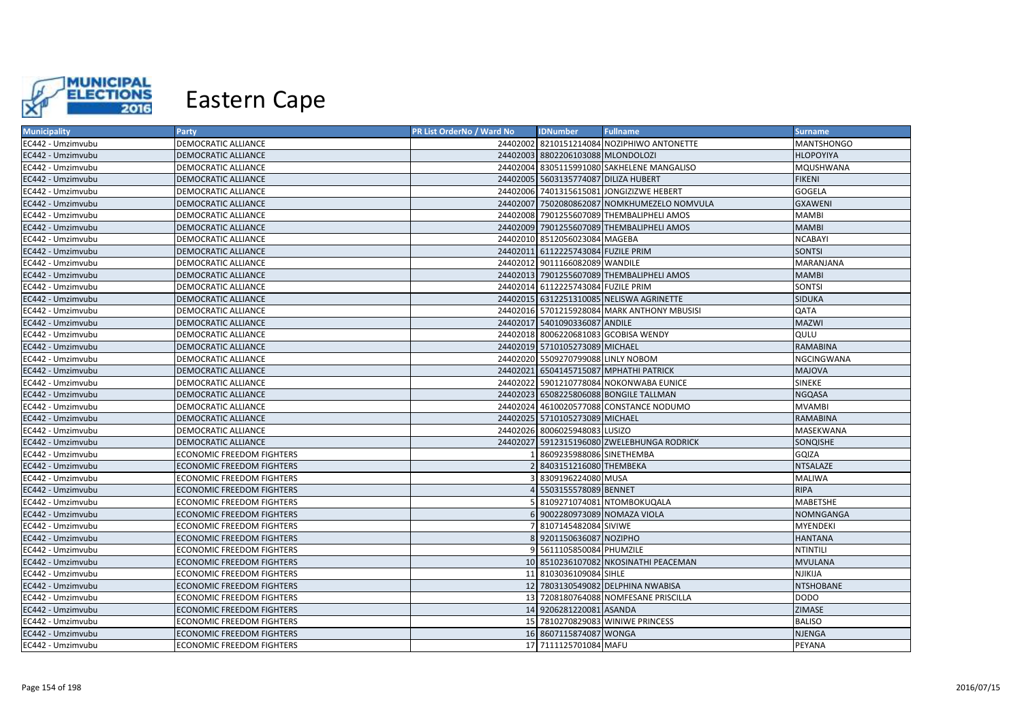

| <b>Municipality</b> | <b>Party</b>                     | PR List OrderNo / Ward No | <b>IDNumber</b>                      | <b>Fullname</b>                             | <b>Surname</b>    |
|---------------------|----------------------------------|---------------------------|--------------------------------------|---------------------------------------------|-------------------|
| EC442 - Umzimvubu   | DEMOCRATIC ALLIANCE              |                           |                                      | 24402002 8210151214084 NOZIPHIWO ANTONETTE  | <b>MANTSHONGO</b> |
| EC442 - Umzimvubu   | DEMOCRATIC ALLIANCE              |                           | 24402003 8802206103088 MLONDOLOZI    |                                             | <b>HLOPOYIYA</b>  |
| EC442 - Umzimvubu   | DEMOCRATIC ALLIANCE              |                           |                                      | 24402004 8305115991080 SAKHELENE MANGALISO  | MQUSHWANA         |
| EC442 - Umzimvubu   | <b>DEMOCRATIC ALLIANCE</b>       |                           | 24402005 5603135774087 DILIZA HUBERT |                                             | <b>FIKENI</b>     |
| EC442 - Umzimvubu   | DEMOCRATIC ALLIANCE              |                           |                                      | 24402006 7401315615081 JONGIZIZWE HEBERT    | GOGELA            |
| EC442 - Umzimvubu   | DEMOCRATIC ALLIANCE              |                           |                                      | 24402007 7502080862087 NOMKHUMEZELO NOMVULA | <b>GXAWENI</b>    |
| EC442 - Umzimvubu   | DEMOCRATIC ALLIANCE              |                           |                                      | 24402008 7901255607089 THEMBALIPHELI AMOS   | <b>MAMBI</b>      |
| EC442 - Umzimvubu   | DEMOCRATIC ALLIANCE              |                           |                                      | 24402009 7901255607089 THEMBALIPHELI AMOS   | <b>MAMBI</b>      |
| EC442 - Umzimvubu   | DEMOCRATIC ALLIANCE              |                           | 24402010 8512056023084 MAGEBA        |                                             | <b>NCABAYI</b>    |
| EC442 - Umzimvubu   | <b>DEMOCRATIC ALLIANCE</b>       |                           | 24402011 6112225743084 FUZILE PRIM   |                                             | <b>SONTSI</b>     |
| EC442 - Umzimvubu   | DEMOCRATIC ALLIANCE              |                           | 24402012 9011166082089 WANDILE       |                                             | <b>MARANJANA</b>  |
| EC442 - Umzimvubu   | <b>DEMOCRATIC ALLIANCE</b>       |                           |                                      | 24402013 7901255607089 THEMBALIPHELI AMOS   | <b>MAMBI</b>      |
| EC442 - Umzimvubu   | DEMOCRATIC ALLIANCE              |                           | 24402014 6112225743084 FUZILE PRIM   |                                             | SONTSI            |
| EC442 - Umzimvubu   | <b>DEMOCRATIC ALLIANCE</b>       |                           |                                      | 24402015 6312251310085 NELISWA AGRINETTE    | <b>SIDUKA</b>     |
| EC442 - Umzimvubu   | DEMOCRATIC ALLIANCE              |                           |                                      | 24402016 5701215928084 MARK ANTHONY MBUSISI | QATA              |
| EC442 - Umzimvubu   | <b>DEMOCRATIC ALLIANCE</b>       |                           | 24402017 5401090336087 ANDILE        |                                             | <b>MAZWI</b>      |
| EC442 - Umzimvubu   | DEMOCRATIC ALLIANCE              |                           |                                      | 24402018 8006220681083 GCOBISA WENDY        | QULU              |
| EC442 - Umzimvubu   | <b>DEMOCRATIC ALLIANCE</b>       |                           | 24402019 5710105273089 MICHAEL       |                                             | <b>RAMABINA</b>   |
| EC442 - Umzimvubu   | DEMOCRATIC ALLIANCE              |                           | 24402020 5509270799088 LINLY NOBOM   |                                             | NGCINGWANA        |
| EC442 - Umzimvubu   | DEMOCRATIC ALLIANCE              |                           |                                      | 24402021 6504145715087 MPHATHI PATRICK      | <b>MAJOVA</b>     |
| EC442 - Umzimvubu   | <b>DEMOCRATIC ALLIANCE</b>       |                           |                                      | 24402022 5901210778084 NOKONWABA EUNICE     | <b>SINEKE</b>     |
| EC442 - Umzimvubu   | <b>DEMOCRATIC ALLIANCE</b>       |                           |                                      | 24402023 6508225806088 BONGILE TALLMAN      | <b>NGQASA</b>     |
| EC442 - Umzimvubu   | DEMOCRATIC ALLIANCE              |                           |                                      | 24402024 4610020577088 CONSTANCE NODUMO     | <b>MVAMBI</b>     |
| EC442 - Umzimvubu   | <b>DEMOCRATIC ALLIANCE</b>       |                           | 24402025 5710105273089 MICHAEL       |                                             | <b>RAMABINA</b>   |
| EC442 - Umzimvubu   | DEMOCRATIC ALLIANCE              |                           | 24402026 8006025948083 LUSIZO        |                                             | MASEKWANA         |
| EC442 - Umzimvubu   | DEMOCRATIC ALLIANCE              |                           |                                      | 24402027 5912315196080 ZWELEBHUNGA RODRICK  | SONQISHE          |
| EC442 - Umzimvubu   | <b>ECONOMIC FREEDOM FIGHTERS</b> |                           | 1 8609235988086 SINETHEMBA           |                                             | GQIZA             |
| EC442 - Umzimvubu   | <b>ECONOMIC FREEDOM FIGHTERS</b> |                           | 2 8403151216080 THEMBEKA             |                                             | <b>NTSALAZE</b>   |
| EC442 - Umzimvubu   | ECONOMIC FREEDOM FIGHTERS        |                           | 3 8309196224080 MUSA                 |                                             | <b>MALIWA</b>     |
| EC442 - Umzimvubu   | <b>ECONOMIC FREEDOM FIGHTERS</b> |                           | 4 5503155578089 BENNET               |                                             | <b>RIPA</b>       |
| EC442 - Umzimvubu   | ECONOMIC FREEDOM FIGHTERS        |                           |                                      | 5 8109271074081 NTOMBOKUQALA                | <b>MABETSHE</b>   |
| EC442 - Umzimvubu   | ECONOMIC FREEDOM FIGHTERS        |                           | 6 9002280973089 NOMAZA VIOLA         |                                             | NOMNGANGA         |
| EC442 - Umzimvubu   | ECONOMIC FREEDOM FIGHTERS        |                           | 7 8107145482084 SIVIWE               |                                             | <b>MYENDEKI</b>   |
| EC442 - Umzimvubu   | <b>ECONOMIC FREEDOM FIGHTERS</b> |                           | 8 9201150636087 NOZIPHO              |                                             | <b>HANTANA</b>    |
| EC442 - Umzimvubu   | ECONOMIC FREEDOM FIGHTERS        |                           | 9 5611105850084 PHUMZILE             |                                             | NTINTILI          |
| EC442 - Umzimvubu   | ECONOMIC FREEDOM FIGHTERS        |                           |                                      | 10 8510236107082 NKOSINATHI PEACEMAN        | <b>MVULANA</b>    |
| EC442 - Umzimvubu   | ECONOMIC FREEDOM FIGHTERS        |                           | 11 8103036109084 SIHLE               |                                             | NJIKIJA           |
| EC442 - Umzimvubu   | <b>ECONOMIC FREEDOM FIGHTERS</b> |                           |                                      | 12 7803130549082 DELPHINA NWABISA           | <b>NTSHOBANE</b>  |
| EC442 - Umzimvubu   | ECONOMIC FREEDOM FIGHTERS        |                           |                                      | 13 7208180764088 NOMFESANE PRISCILLA        | <b>DODO</b>       |
| EC442 - Umzimvubu   | <b>ECONOMIC FREEDOM FIGHTERS</b> |                           | 14 9206281220081 ASANDA              |                                             | ZIMASE            |
| EC442 - Umzimvubu   | ECONOMIC FREEDOM FIGHTERS        |                           |                                      | 15 7810270829083 WINIWE PRINCESS            | <b>BALISO</b>     |
| EC442 - Umzimvubu   | <b>ECONOMIC FREEDOM FIGHTERS</b> |                           | 16 8607115874087 WONGA               |                                             | <b>NJENGA</b>     |
| EC442 - Umzimvubu   | <b>ECONOMIC FREEDOM FIGHTERS</b> |                           | 17 7111125701084 MAFU                |                                             | PEYANA            |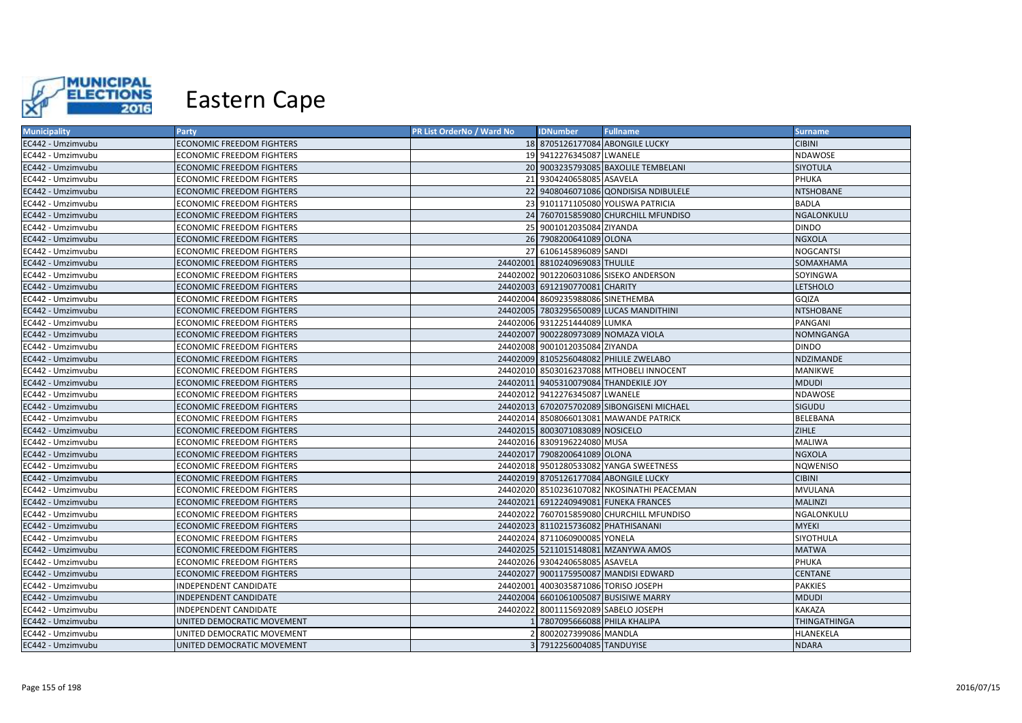

| <b>Municipality</b> | Party                            | PR List OrderNo / Ward No | <b>IDNumber</b>                      | <b>Fullname</b>                            | <b>Surname</b>      |
|---------------------|----------------------------------|---------------------------|--------------------------------------|--------------------------------------------|---------------------|
| EC442 - Umzimvubu   | <b>ECONOMIC FREEDOM FIGHTERS</b> |                           |                                      | 18 8705126177084 ABONGILE LUCKY            | <b>CIBINI</b>       |
| EC442 - Umzimvubu   | ECONOMIC FREEDOM FIGHTERS        |                           | 19 9412276345087 LWANELE             |                                            | NDAWOSE             |
| EC442 - Umzimvubu   | <b>ECONOMIC FREEDOM FIGHTERS</b> |                           |                                      | 20 9003235793085 BAXOLILE TEMBELANI        | <b>SIYOTULA</b>     |
| EC442 - Umzimvubu   | ECONOMIC FREEDOM FIGHTERS        |                           | 21 9304240658085 ASAVELA             |                                            | PHUKA               |
| EC442 - Umzimvubu   | ECONOMIC FREEDOM FIGHTERS        |                           |                                      | 22 9408046071086 QONDISISA NDIBULELE       | <b>NTSHOBANE</b>    |
| EC442 - Umzimvubu   | ECONOMIC FREEDOM FIGHTERS        |                           |                                      | 23 9101171105080 YOLISWA PATRICIA          | <b>BADLA</b>        |
| EC442 - Umzimvubu   | <b>ECONOMIC FREEDOM FIGHTERS</b> |                           |                                      | 24 7607015859080 CHURCHILL MFUNDISO        | NGALONKULU          |
| EC442 - Umzimvubu   | <b>ECONOMIC FREEDOM FIGHTERS</b> |                           | 25 9001012035084 ZIYANDA             |                                            | <b>DINDO</b>        |
| EC442 - Umzimvubu   | <b>ECONOMIC FREEDOM FIGHTERS</b> |                           | 26 7908200641089 OLONA               |                                            | <b>NGXOLA</b>       |
| EC442 - Umzimvubu   | ECONOMIC FREEDOM FIGHTERS        |                           | 27 6106145896089 SANDI               |                                            | <b>NOGCANTSI</b>    |
| EC442 - Umzimvubu   | ECONOMIC FREEDOM FIGHTERS        |                           | 24402001 8810240969083 THULILE       |                                            | SOMAXHAMA           |
| EC442 - Umzimvubu   | ECONOMIC FREEDOM FIGHTERS        |                           |                                      | 24402002 9012206031086 SISEKO ANDERSON     | SOYINGWA            |
| EC442 - Umzimvubu   | <b>ECONOMIC FREEDOM FIGHTERS</b> |                           | 24402003 6912190770081 CHARITY       |                                            | <b>LETSHOLO</b>     |
| EC442 - Umzimvubu   | ECONOMIC FREEDOM FIGHTERS        |                           | 24402004 8609235988086 SINETHEMBA    |                                            | GQIZA               |
| EC442 - Umzimvubu   | ECONOMIC FREEDOM FIGHTERS        |                           |                                      | 24402005 7803295650089 LUCAS MANDITHINI    | <b>NTSHOBANE</b>    |
| EC442 - Umzimvubu   | ECONOMIC FREEDOM FIGHTERS        |                           | 24402006 9312251444089 LUMKA         |                                            | PANGANI             |
| EC442 - Umzimvubu   | ECONOMIC FREEDOM FIGHTERS        |                           | 24402007 9002280973089 NOMAZA VIOLA  |                                            | <b>NOMNGANGA</b>    |
| EC442 - Umzimvubu   | ECONOMIC FREEDOM FIGHTERS        |                           | 24402008 9001012035084 ZIYANDA       |                                            | <b>DINDO</b>        |
| EC442 - Umzimvubu   | <b>ECONOMIC FREEDOM FIGHTERS</b> |                           |                                      | 24402009 8105256048082 PHILILE ZWELABO     | NDZIMANDE           |
| EC442 - Umzimvubu   | <b>ECONOMIC FREEDOM FIGHTERS</b> |                           |                                      | 24402010 8503016237088 MTHOBELI INNOCENT   | <b>MANIKWE</b>      |
| EC442 - Umzimvubu   | ECONOMIC FREEDOM FIGHTERS        |                           |                                      | 24402011 9405310079084 THANDEKILE JOY      | <b>MDUDI</b>        |
| EC442 - Umzimvubu   | ECONOMIC FREEDOM FIGHTERS        |                           | 24402012 9412276345087 LWANELE       |                                            | NDAWOSE             |
| EC442 - Umzimvubu   | <b>ECONOMIC FREEDOM FIGHTERS</b> |                           |                                      | 24402013 6702075702089 SIBONGISENI MICHAEL | <b>SIGUDU</b>       |
| EC442 - Umzimvubu   | <b>ECONOMIC FREEDOM FIGHTERS</b> |                           |                                      | 24402014 8508066013081 MAWANDE PATRICK     | BELEBANA            |
| EC442 - Umzimvubu   | <b>ECONOMIC FREEDOM FIGHTERS</b> |                           | 24402015 8003071083089 NOSICELO      |                                            | <b>ZIHLE</b>        |
| EC442 - Umzimvubu   | ECONOMIC FREEDOM FIGHTERS        |                           | 24402016 8309196224080 MUSA          |                                            | <b>MALIWA</b>       |
| EC442 - Umzimvubu   | <b>ECONOMIC FREEDOM FIGHTERS</b> |                           | 24402017 7908200641089 OLONA         |                                            | <b>NGXOLA</b>       |
| EC442 - Umzimvubu   | ECONOMIC FREEDOM FIGHTERS        |                           |                                      | 24402018 9501280533082 YANGA SWEETNESS     | NQWENISO            |
| EC442 - Umzimvubu   | ECONOMIC FREEDOM FIGHTERS        |                           |                                      | 24402019 8705126177084 ABONGILE LUCKY      | <b>CIBINI</b>       |
| EC442 - Umzimvubu   | <b>ECONOMIC FREEDOM FIGHTERS</b> |                           |                                      | 24402020 8510236107082 NKOSINATHI PEACEMAN | <b>MVULANA</b>      |
| EC442 - Umzimvubu   | ECONOMIC FREEDOM FIGHTERS        |                           |                                      | 24402021 6912240949081 FUNEKA FRANCES      | <b>MALINZI</b>      |
| EC442 - Umzimvubu   | ECONOMIC FREEDOM FIGHTERS        |                           |                                      | 24402022 7607015859080 CHURCHILL MFUNDISO  | NGALONKULU          |
| EC442 - Umzimvubu   | <b>ECONOMIC FREEDOM FIGHTERS</b> |                           | 24402023 8110215736082 PHATHISANANI  |                                            | <b>MYEKI</b>        |
| EC442 - Umzimvubu   | ECONOMIC FREEDOM FIGHTERS        |                           | 24402024 8711060900085 YONELA        |                                            | SIYOTHULA           |
| EC442 - Umzimvubu   | <b>ECONOMIC FREEDOM FIGHTERS</b> |                           |                                      | 24402025 5211015148081 MZANYWA AMOS        | <b>MATWA</b>        |
| EC442 - Umzimvubu   | ECONOMIC FREEDOM FIGHTERS        |                           | 24402026 9304240658085 ASAVELA       |                                            | PHUKA               |
| EC442 - Umzimvubu   | <b>ECONOMIC FREEDOM FIGHTERS</b> |                           |                                      | 24402027 9001175950087 MANDISI EDWARD      | <b>CENTANE</b>      |
| EC442 - Umzimvubu   | INDEPENDENT CANDIDATE            |                           | 24402001 4003035871086 TORISO JOSEPH |                                            | <b>PAKKIES</b>      |
| EC442 - Umzimvubu   | INDEPENDENT CANDIDATE            |                           |                                      | 24402004 6601061005087 BUSISIWE MARRY      | <b>MDUDI</b>        |
| EC442 - Umzimvubu   | INDEPENDENT CANDIDATE            |                           | 24402022 8001115692089 SABELO JOSEPH |                                            | KAKAZA              |
| EC442 - Umzimvubu   | UNITED DEMOCRATIC MOVEMENT       |                           | 1 7807095666088 PHILA KHALIPA        |                                            | <b>THINGATHINGA</b> |
| EC442 - Umzimvubu   | UNITED DEMOCRATIC MOVEMENT       |                           | 8002027399086 MANDLA                 |                                            | HLANEKELA           |
| EC442 - Umzimvubu   | UNITED DEMOCRATIC MOVEMENT       |                           | 3 7912256004085 TANDUYISE            |                                            | <b>NDARA</b>        |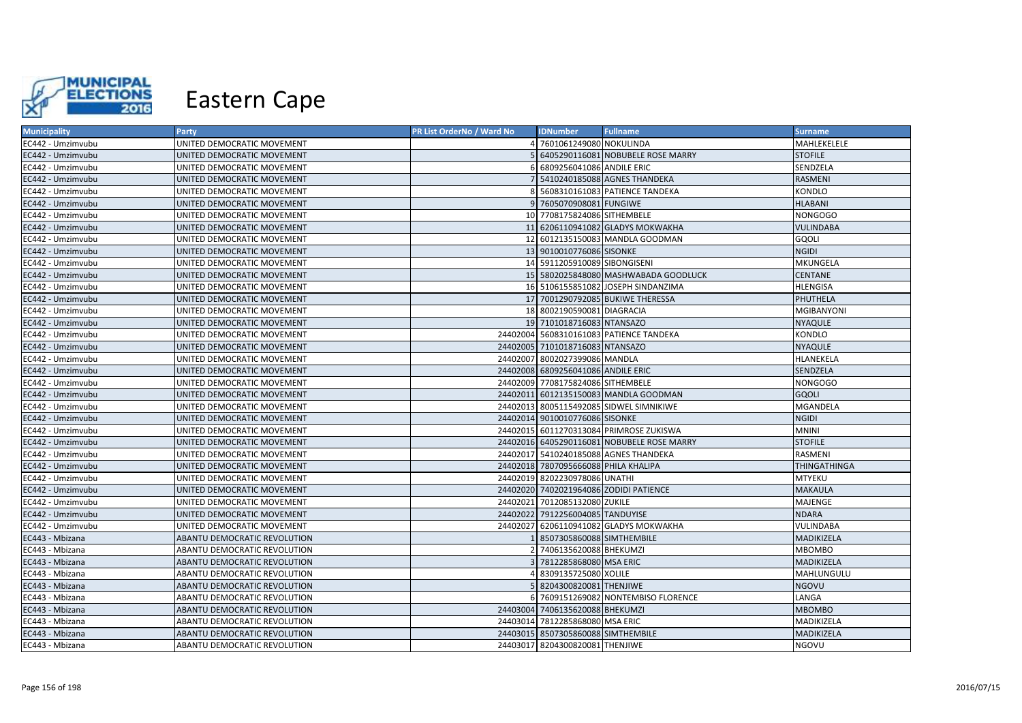

| <b>Municipality</b> | <b>Party</b>                 | PR List OrderNo / Ward No | <b>IDNumber</b>                      | <b>Fullname</b>                            | <b>Surname</b>      |
|---------------------|------------------------------|---------------------------|--------------------------------------|--------------------------------------------|---------------------|
| EC442 - Umzimvubu   | UNITED DEMOCRATIC MOVEMENT   |                           | 7601061249080 NOKULINDA              |                                            | MAHLEKELELE         |
| EC442 - Umzimvubu   | UNITED DEMOCRATIC MOVEMENT   |                           |                                      | 6405290116081 NOBUBELE ROSE MARRY          | <b>STOFILE</b>      |
| EC442 - Umzimvubu   | UNITED DEMOCRATIC MOVEMENT   |                           | 6809256041086 ANDILE ERIC            |                                            | SENDZELA            |
| EC442 - Umzimvubu   | UNITED DEMOCRATIC MOVEMENT   |                           |                                      | 7 5410240185088 AGNES THANDEKA             | RASMENI             |
| EC442 - Umzimvubu   | UNITED DEMOCRATIC MOVEMENT   |                           |                                      | 5608310161083 PATIENCE TANDEKA             | KONDLO              |
| EC442 - Umzimvubu   | UNITED DEMOCRATIC MOVEMENT   |                           | 9 7605070908081 FUNGIWE              |                                            | <b>HLABANI</b>      |
| EC442 - Umzimvubu   | UNITED DEMOCRATIC MOVEMENT   |                           | 10 7708175824086 SITHEMBELE          |                                            | <b>NONGOGO</b>      |
| EC442 - Umzimvubu   | UNITED DEMOCRATIC MOVEMENT   |                           |                                      | 11 6206110941082 GLADYS MOKWAKHA           | <b>VULINDABA</b>    |
| EC442 - Umzimvubu   | UNITED DEMOCRATIC MOVEMENT   |                           |                                      | 12 6012135150083 MANDLA GOODMAN            | GOOLI               |
| EC442 - Umzimvubu   | UNITED DEMOCRATIC MOVEMENT   |                           | 13 9010010776086 SISONKE             |                                            | <b>NGIDI</b>        |
| EC442 - Umzimvubu   | UNITED DEMOCRATIC MOVEMENT   |                           | 14 5911205910089 SIBONGISENI         |                                            | MKUNGELA            |
| EC442 - Umzimvubu   | UNITED DEMOCRATIC MOVEMENT   |                           |                                      | 15 5802025848080 MASHWABADA GOODLUCK       | <b>CENTANE</b>      |
| EC442 - Umzimvubu   | UNITED DEMOCRATIC MOVEMENT   |                           |                                      | 16 5106155851082 JOSEPH SINDANZIMA         | <b>HLENGISA</b>     |
| EC442 - Umzimvubu   | UNITED DEMOCRATIC MOVEMENT   |                           |                                      | 17 7001290792085 BUKIWE THERESSA           | PHUTHELA            |
| EC442 - Umzimvubu   | UNITED DEMOCRATIC MOVEMENT   |                           | 18 8002190590081 DIAGRACIA           |                                            | <b>MGIBANYONI</b>   |
| EC442 - Umzimvubu   | UNITED DEMOCRATIC MOVEMENT   |                           | 19 7101018716083 NTANSAZO            |                                            | <b>NYAQULE</b>      |
| EC442 - Umzimvubu   | UNITED DEMOCRATIC MOVEMENT   | 24402004                  |                                      | 5608310161083 PATIENCE TANDEKA             | KONDLO              |
| EC442 - Umzimvubu   | UNITED DEMOCRATIC MOVEMENT   |                           | 24402005 7101018716083 NTANSAZO      |                                            | <b>NYAQULE</b>      |
| EC442 - Umzimvubu   | UNITED DEMOCRATIC MOVEMENT   |                           | 24402007 8002027399086 MANDLA        |                                            | HLANEKELA           |
| EC442 - Umzimvubu   | UNITED DEMOCRATIC MOVEMENT   |                           | 24402008 6809256041086 ANDILE ERIC   |                                            | SENDZELA            |
| EC442 - Umzimvubu   | UNITED DEMOCRATIC MOVEMENT   |                           | 24402009 7708175824086 SITHEMBELE    |                                            | <b>NONGOGO</b>      |
| EC442 - Umzimvubu   | UNITED DEMOCRATIC MOVEMENT   |                           |                                      | 24402011 6012135150083 MANDLA GOODMAN      | GQOLI               |
| EC442 - Umzimvubu   | UNITED DEMOCRATIC MOVEMENT   |                           |                                      | 24402013 8005115492085 SIDWEL SIMNIKIWE    | MGANDELA            |
| EC442 - Umzimvubu   | UNITED DEMOCRATIC MOVEMENT   |                           | 24402014 9010010776086 SISONKE       |                                            | <b>NGIDI</b>        |
| EC442 - Umzimvubu   | UNITED DEMOCRATIC MOVEMENT   |                           |                                      | 24402015 6011270313084 PRIMROSE ZUKISWA    | <b>MNINI</b>        |
| EC442 - Umzimvubu   | UNITED DEMOCRATIC MOVEMENT   |                           |                                      | 24402016 6405290116081 NOBUBELE ROSE MARRY | <b>STOFILE</b>      |
| EC442 - Umzimvubu   | UNITED DEMOCRATIC MOVEMENT   |                           |                                      | 24402017 5410240185088 AGNES THANDEKA      | <b>RASMENI</b>      |
| EC442 - Umzimvubu   | UNITED DEMOCRATIC MOVEMENT   |                           | 24402018 7807095666088 PHILA KHALIPA |                                            | <b>THINGATHINGA</b> |
| EC442 - Umzimvubu   | UNITED DEMOCRATIC MOVEMENT   |                           | 24402019 8202230978086 UNATHI        |                                            | <b>MTYEKU</b>       |
| EC442 - Umzimvubu   | UNITED DEMOCRATIC MOVEMENT   |                           |                                      | 24402020 7402021964086 ZODIDI PATIENCE     | <b>MAKAULA</b>      |
| EC442 - Umzimvubu   | UNITED DEMOCRATIC MOVEMENT   |                           | 24402021 7012085132080 ZUKILE        |                                            | MAJENGE             |
| EC442 - Umzimvubu   | UNITED DEMOCRATIC MOVEMENT   |                           | 24402022 7912256004085 TANDUYISE     |                                            | <b>NDARA</b>        |
| EC442 - Umzimvubu   | UNITED DEMOCRATIC MOVEMENT   |                           |                                      | 24402027 6206110941082 GLADYS MOKWAKHA     | VULINDABA           |
| EC443 - Mbizana     | ABANTU DEMOCRATIC REVOLUTION |                           | 8507305860088 SIMTHEMBILE            |                                            | MADIKIZELA          |
| EC443 - Mbizana     | ABANTU DEMOCRATIC REVOLUTION |                           | 7406135620088 BHEKUMZI               |                                            | <b>MBOMBO</b>       |
| EC443 - Mbizana     | ABANTU DEMOCRATIC REVOLUTION |                           | 7812285868080 MSA ERIC               |                                            | MADIKIZELA          |
| EC443 - Mbizana     | ABANTU DEMOCRATIC REVOLUTION |                           | 8309135725080 XOLILE                 |                                            | MAHLUNGULU          |
| EC443 - Mbizana     | ABANTU DEMOCRATIC REVOLUTION |                           | 5 8204300820081 THENJIWE             |                                            | <b>NGOVU</b>        |
| EC443 - Mbizana     | ABANTU DEMOCRATIC REVOLUTION |                           |                                      | 6 7609151269082 NONTEMBISO FLORENCE        | LANGA               |
| EC443 - Mbizana     | ABANTU DEMOCRATIC REVOLUTION |                           | 24403004 7406135620088 BHEKUMZI      |                                            | <b>MBOMBO</b>       |
| EC443 - Mbizana     | ABANTU DEMOCRATIC REVOLUTION |                           | 24403014 7812285868080 MSA ERIC      |                                            | MADIKIZELA          |
| EC443 - Mbizana     | ABANTU DEMOCRATIC REVOLUTION |                           | 24403015 8507305860088 SIMTHEMBILE   |                                            | MADIKIZELA          |
| EC443 - Mbizana     | ABANTU DEMOCRATIC REVOLUTION |                           | 24403017 8204300820081 THENJIWE      |                                            | <b>NGOVU</b>        |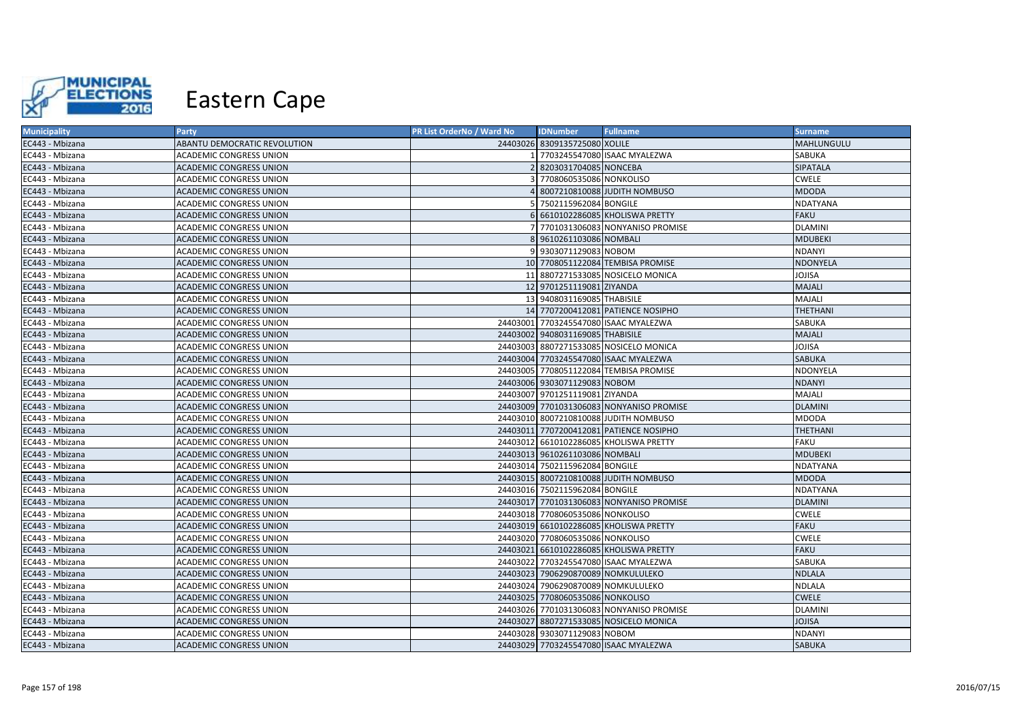

| <b>Municipality</b> | <b>Party</b>                   | PR List OrderNo / Ward No | <b>IDNumber</b>                    | <b>Fullname</b>                          | <b>Surname</b>  |
|---------------------|--------------------------------|---------------------------|------------------------------------|------------------------------------------|-----------------|
| EC443 - Mbizana     | ABANTU DEMOCRATIC REVOLUTION   |                           | 24403026 8309135725080 XOLILE      |                                          | MAHLUNGULU      |
| EC443 - Mbizana     | <b>ACADEMIC CONGRESS UNION</b> |                           |                                    | 7703245547080 ISAAC MYALEZWA             | SABUKA          |
| EC443 - Mbizana     | ACADEMIC CONGRESS UNION        |                           | 8203031704085 NONCEBA              |                                          | <b>SIPATALA</b> |
| EC443 - Mbizana     | ACADEMIC CONGRESS UNION        |                           | 7708060535086 NONKOLISO            |                                          | <b>CWELE</b>    |
| EC443 - Mbizana     | <b>ACADEMIC CONGRESS UNION</b> |                           |                                    | 8007210810088 JUDITH NOMBUSO             | <b>MDODA</b>    |
| EC443 - Mbizana     | ACADEMIC CONGRESS UNION        |                           | 7502115962084 BONGILE              |                                          | NDATYANA        |
| EC443 - Mbizana     | <b>ACADEMIC CONGRESS UNION</b> |                           |                                    | 6 6610102286085 KHOLISWA PRETTY          | <b>FAKU</b>     |
| EC443 - Mbizana     | ACADEMIC CONGRESS UNION        |                           |                                    | 7701031306083 NONYANISO PROMISE          | <b>DLAMINI</b>  |
| EC443 - Mbizana     | <b>ACADEMIC CONGRESS UNION</b> |                           | 9610261103086 NOMBALI              |                                          | <b>MDUBEKI</b>  |
| EC443 - Mbizana     | ACADEMIC CONGRESS UNION        |                           | 9 9303071129083 NOBOM              |                                          | <b>NDANYI</b>   |
| EC443 - Mbizana     | <b>ACADEMIC CONGRESS UNION</b> |                           |                                    | 10 7708051122084 TEMBISA PROMISE         | NDONYELA        |
| EC443 - Mbizana     | ACADEMIC CONGRESS UNION        |                           |                                    | 11 8807271533085 NOSICELO MONICA         | <b>JOJISA</b>   |
| EC443 - Mbizana     | <b>ACADEMIC CONGRESS UNION</b> |                           | 12 9701251119081 ZIYANDA           |                                          | MAJALI          |
| EC443 - Mbizana     | ACADEMIC CONGRESS UNION        |                           | 13 9408031169085 THABISILE         |                                          | MAJALI          |
| EC443 - Mbizana     | ACADEMIC CONGRESS UNION        |                           |                                    | 14 7707200412081 PATIENCE NOSIPHO        | <b>THETHANI</b> |
| EC443 - Mbizana     | ACADEMIC CONGRESS UNION        |                           |                                    | 24403001 7703245547080 ISAAC MYALEZWA    | SABUKA          |
| EC443 - Mbizana     | <b>ACADEMIC CONGRESS UNION</b> |                           | 24403002 9408031169085 THABISILE   |                                          | MAJALI          |
| EC443 - Mbizana     | ACADEMIC CONGRESS UNION        |                           |                                    | 24403003 8807271533085 NOSICELO MONICA   | <b>JOJISA</b>   |
| EC443 - Mbizana     | ACADEMIC CONGRESS UNION        |                           |                                    | 24403004 7703245547080 ISAAC MYALEZWA    | <b>SABUKA</b>   |
| EC443 - Mbizana     | ACADEMIC CONGRESS UNION        |                           |                                    | 24403005 7708051122084 TEMBISA PROMISE   | NDONYELA        |
| EC443 - Mbizana     | ACADEMIC CONGRESS UNION        |                           | 24403006 9303071129083 NOBOM       |                                          | <b>NDANYI</b>   |
| EC443 - Mbizana     | ACADEMIC CONGRESS UNION        |                           | 24403007 9701251119081 ZIYANDA     |                                          | MAJALI          |
| EC443 - Mbizana     | ACADEMIC CONGRESS UNION        |                           |                                    | 24403009 7701031306083 NONYANISO PROMISE | <b>DLAMINI</b>  |
| EC443 - Mbizana     | ACADEMIC CONGRESS UNION        |                           |                                    | 24403010 8007210810088 JUDITH NOMBUSO    | <b>MDODA</b>    |
| EC443 - Mbizana     | ACADEMIC CONGRESS UNION        |                           |                                    | 24403011 7707200412081 PATIENCE NOSIPHO  | <b>THETHANI</b> |
| EC443 - Mbizana     | ACADEMIC CONGRESS UNION        |                           |                                    | 24403012 6610102286085 KHOLISWA PRETTY   | <b>FAKU</b>     |
| EC443 - Mbizana     | <b>ACADEMIC CONGRESS UNION</b> |                           | 24403013 9610261103086 NOMBALI     |                                          | <b>MDUBEKI</b>  |
| EC443 - Mbizana     | ACADEMIC CONGRESS UNION        |                           | 24403014 7502115962084 BONGILE     |                                          | <b>NDATYANA</b> |
| EC443 - Mbizana     | ACADEMIC CONGRESS UNION        |                           |                                    | 24403015 8007210810088 JJUDITH NOMBUSO   | <b>MDODA</b>    |
| EC443 - Mbizana     | ACADEMIC CONGRESS UNION        |                           | 24403016 7502115962084 BONGILE     |                                          | <b>NDATYANA</b> |
| EC443 - Mbizana     | ACADEMIC CONGRESS UNION        |                           |                                    | 24403017 7701031306083 NONYANISO PROMISE | <b>DLAMINI</b>  |
| EC443 - Mbizana     | ACADEMIC CONGRESS UNION        |                           | 24403018 7708060535086 NONKOLISO   |                                          | <b>CWELE</b>    |
| EC443 - Mbizana     | ACADEMIC CONGRESS UNION        |                           |                                    | 24403019 6610102286085 KHOLISWA PRETTY   | <b>FAKU</b>     |
| EC443 - Mbizana     | ACADEMIC CONGRESS UNION        |                           | 24403020 7708060535086 NONKOLISO   |                                          | <b>CWELE</b>    |
| EC443 - Mbizana     | ACADEMIC CONGRESS UNION        |                           |                                    | 24403021 6610102286085 KHOLISWA PRETTY   | <b>FAKU</b>     |
| EC443 - Mbizana     | <b>ACADEMIC CONGRESS UNION</b> |                           |                                    | 24403022 7703245547080 ISAAC MYALEZWA    | <b>SABUKA</b>   |
| EC443 - Mbizana     | ACADEMIC CONGRESS UNION        |                           | 24403023 7906290870089 NOMKULULEKO |                                          | <b>NDLALA</b>   |
| EC443 - Mbizana     | ACADEMIC CONGRESS UNION        |                           | 24403024 7906290870089 NOMKULULEKO |                                          | <b>NDLALA</b>   |
| EC443 - Mbizana     | ACADEMIC CONGRESS UNION        |                           | 24403025 7708060535086 NONKOLISO   |                                          | <b>CWELE</b>    |
| EC443 - Mbizana     | ACADEMIC CONGRESS UNION        |                           |                                    | 24403026 7701031306083 NONYANISO PROMISE | <b>DLAMINI</b>  |
| EC443 - Mbizana     | ACADEMIC CONGRESS UNION        |                           |                                    | 24403027 8807271533085 NOSICELO MONICA   | <b>JOJISA</b>   |
| EC443 - Mbizana     | ACADEMIC CONGRESS UNION        |                           | 24403028 9303071129083 NOBOM       |                                          | <b>NDANYI</b>   |
| EC443 - Mbizana     | <b>ACADEMIC CONGRESS UNION</b> |                           |                                    | 24403029 7703245547080 ISAAC MYALEZWA    | <b>SABUKA</b>   |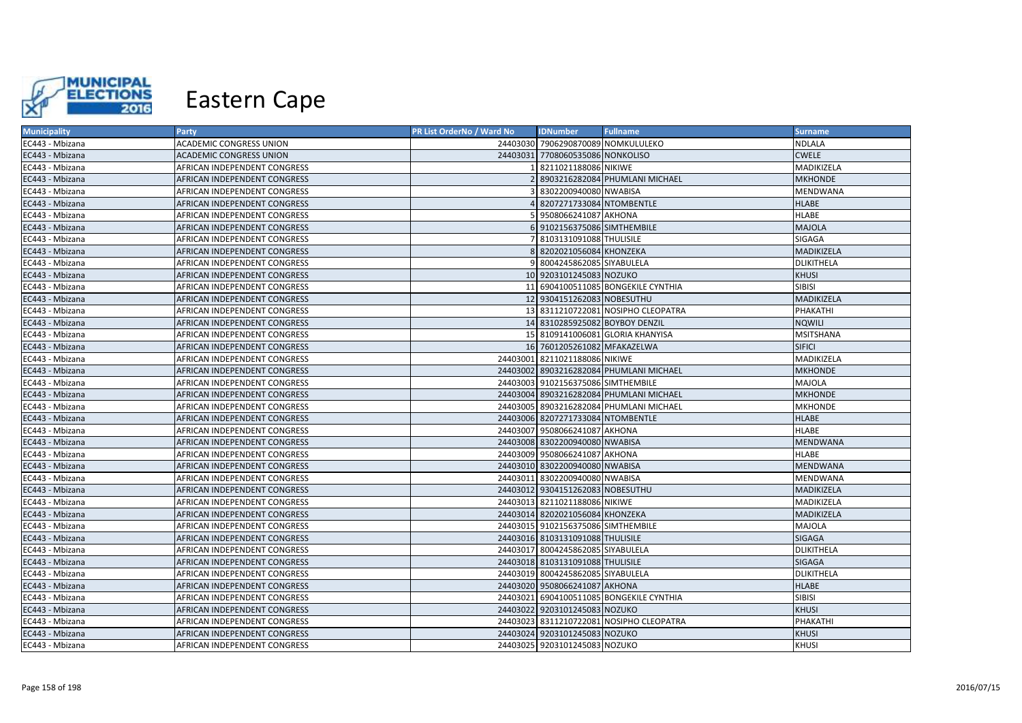

| <b>Municipality</b> | <b>Party</b>                 | PR List OrderNo / Ward No | <b>IDNumber</b>                    | <b>Fullname</b>                          | <b>Surname</b>    |
|---------------------|------------------------------|---------------------------|------------------------------------|------------------------------------------|-------------------|
| EC443 - Mbizana     | ACADEMIC CONGRESS UNION      |                           | 24403030 7906290870089 NOMKULULEKO |                                          | <b>NDLALA</b>     |
| EC443 - Mbizana     | ACADEMIC CONGRESS UNION      |                           | 24403031 7708060535086 NONKOLISO   |                                          | <b>CWELE</b>      |
| EC443 - Mbizana     | AFRICAN INDEPENDENT CONGRESS |                           | 8211021188086 NIKIWE               |                                          | MADIKIZELA        |
| EC443 - Mbizana     | AFRICAN INDEPENDENT CONGRESS |                           |                                    | 8903216282084 PHUMLANI MICHAEL           | <b>MKHONDE</b>    |
| EC443 - Mbizana     | AFRICAN INDEPENDENT CONGRESS |                           | 8302200940080 NWABISA              |                                          | MENDWANA          |
| EC443 - Mbizana     | AFRICAN INDEPENDENT CONGRESS |                           | 8207271733084 NTOMBENTLE           |                                          | <b>HLABE</b>      |
| EC443 - Mbizana     | AFRICAN INDEPENDENT CONGRESS |                           | 9508066241087 AKHONA               |                                          | <b>HLABE</b>      |
| EC443 - Mbizana     | AFRICAN INDEPENDENT CONGRESS |                           | 6 9102156375086 SIMTHEMBILE        |                                          | <b>MAJOLA</b>     |
| EC443 - Mbizana     | AFRICAN INDEPENDENT CONGRESS |                           | 8103131091088 THULISILE            |                                          | SIGAGA            |
| EC443 - Mbizana     | AFRICAN INDEPENDENT CONGRESS |                           | 8202021056084 KHONZEKA             |                                          | MADIKIZELA        |
| EC443 - Mbizana     | AFRICAN INDEPENDENT CONGRESS |                           | 9 8004245862085 SIYABULELA         |                                          | DLIKITHELA        |
| EC443 - Mbizana     | AFRICAN INDEPENDENT CONGRESS |                           | 10 9203101245083 NOZUKO            |                                          | <b>KHUSI</b>      |
| EC443 - Mbizana     | AFRICAN INDEPENDENT CONGRESS |                           |                                    | 11 6904100511085 BONGEKILE CYNTHIA       | <b>SIBISI</b>     |
| EC443 - Mbizana     | AFRICAN INDEPENDENT CONGRESS |                           | 12 9304151262083 NOBESUTHU         |                                          | MADIKIZELA        |
| EC443 - Mbizana     | AFRICAN INDEPENDENT CONGRESS |                           |                                    | 13 8311210722081 NOSIPHO CLEOPATRA       | PHAKATHI          |
| EC443 - Mbizana     | AFRICAN INDEPENDENT CONGRESS |                           | 14 8310285925082 BOYBOY DENZIL     |                                          | <b>NQWILI</b>     |
| EC443 - Mbizana     | AFRICAN INDEPENDENT CONGRESS |                           |                                    | 15 8109141006081 GLORIA KHANYISA         | <b>MSITSHANA</b>  |
| EC443 - Mbizana     | AFRICAN INDEPENDENT CONGRESS |                           | 16 7601205261082 MFAKAZELWA        |                                          | <b>SIFICI</b>     |
| EC443 - Mbizana     | AFRICAN INDEPENDENT CONGRESS |                           | 24403001 8211021188086 NIKIWE      |                                          | MADIKIZELA        |
| EC443 - Mbizana     | AFRICAN INDEPENDENT CONGRESS |                           |                                    | 24403002 8903216282084 PHUMLANI MICHAEL  | <b>MKHONDE</b>    |
| EC443 - Mbizana     | AFRICAN INDEPENDENT CONGRESS |                           | 24403003 9102156375086 SIMTHEMBILE |                                          | MAJOLA            |
| EC443 - Mbizana     | AFRICAN INDEPENDENT CONGRESS |                           |                                    | 24403004 8903216282084 PHUMLANI MICHAEL  | <b>MKHONDE</b>    |
| EC443 - Mbizana     | AFRICAN INDEPENDENT CONGRESS |                           |                                    | 24403005 8903216282084 PHUMLANI MICHAEL  | <b>MKHONDE</b>    |
| EC443 - Mbizana     | AFRICAN INDEPENDENT CONGRESS |                           | 24403006 8207271733084 NTOMBENTLE  |                                          | <b>HLABE</b>      |
| EC443 - Mbizana     | AFRICAN INDEPENDENT CONGRESS |                           | 24403007 9508066241087 AKHONA      |                                          | <b>HLABE</b>      |
| EC443 - Mbizana     | AFRICAN INDEPENDENT CONGRESS |                           | 24403008 8302200940080 NWABISA     |                                          | MENDWANA          |
| EC443 - Mbizana     | AFRICAN INDEPENDENT CONGRESS |                           | 24403009 9508066241087 AKHONA      |                                          | <b>HLABE</b>      |
| EC443 - Mbizana     | AFRICAN INDEPENDENT CONGRESS |                           | 24403010 8302200940080 NWABISA     |                                          | <b>MENDWANA</b>   |
| EC443 - Mbizana     | AFRICAN INDEPENDENT CONGRESS |                           | 24403011 8302200940080 NWABISA     |                                          | MENDWANA          |
| EC443 - Mbizana     | AFRICAN INDEPENDENT CONGRESS |                           | 24403012 9304151262083 NOBESUTHU   |                                          | MADIKIZELA        |
| EC443 - Mbizana     | AFRICAN INDEPENDENT CONGRESS |                           | 24403013 8211021188086 NIKIWE      |                                          | MADIKIZELA        |
| EC443 - Mbizana     | AFRICAN INDEPENDENT CONGRESS |                           | 24403014 8202021056084 KHONZEKA    |                                          | MADIKIZELA        |
| EC443 - Mbizana     | AFRICAN INDEPENDENT CONGRESS |                           | 24403015 9102156375086 SIMTHEMBILE |                                          | MAJOLA            |
| EC443 - Mbizana     | AFRICAN INDEPENDENT CONGRESS |                           | 24403016 8103131091088 THULISILE   |                                          | SIGAGA            |
| EC443 - Mbizana     | AFRICAN INDEPENDENT CONGRESS |                           | 24403017 8004245862085 SIYABULELA  |                                          | DLIKITHELA        |
| EC443 - Mbizana     | AFRICAN INDEPENDENT CONGRESS |                           | 24403018 8103131091088 THULISILE   |                                          | SIGAGA            |
| EC443 - Mbizana     | AFRICAN INDEPENDENT CONGRESS |                           | 24403019 8004245862085 SIYABULELA  |                                          | <b>DLIKITHELA</b> |
| EC443 - Mbizana     | AFRICAN INDEPENDENT CONGRESS |                           | 24403020 9508066241087 AKHONA      |                                          | <b>HLABE</b>      |
| EC443 - Mbizana     | AFRICAN INDEPENDENT CONGRESS |                           |                                    | 24403021 6904100511085 BONGEKILE CYNTHIA | SIBISI            |
| EC443 - Mbizana     | AFRICAN INDEPENDENT CONGRESS |                           | 24403022 9203101245083 NOZUKO      |                                          | <b>KHUSI</b>      |
| EC443 - Mbizana     | AFRICAN INDEPENDENT CONGRESS |                           |                                    | 24403023 8311210722081 NOSIPHO CLEOPATRA | PHAKATHI          |
| EC443 - Mbizana     | AFRICAN INDEPENDENT CONGRESS |                           | 24403024 9203101245083 NOZUKO      |                                          | KHUSI             |
| EC443 - Mbizana     | AFRICAN INDEPENDENT CONGRESS |                           | 24403025 9203101245083 NOZUKO      |                                          | <b>KHUSI</b>      |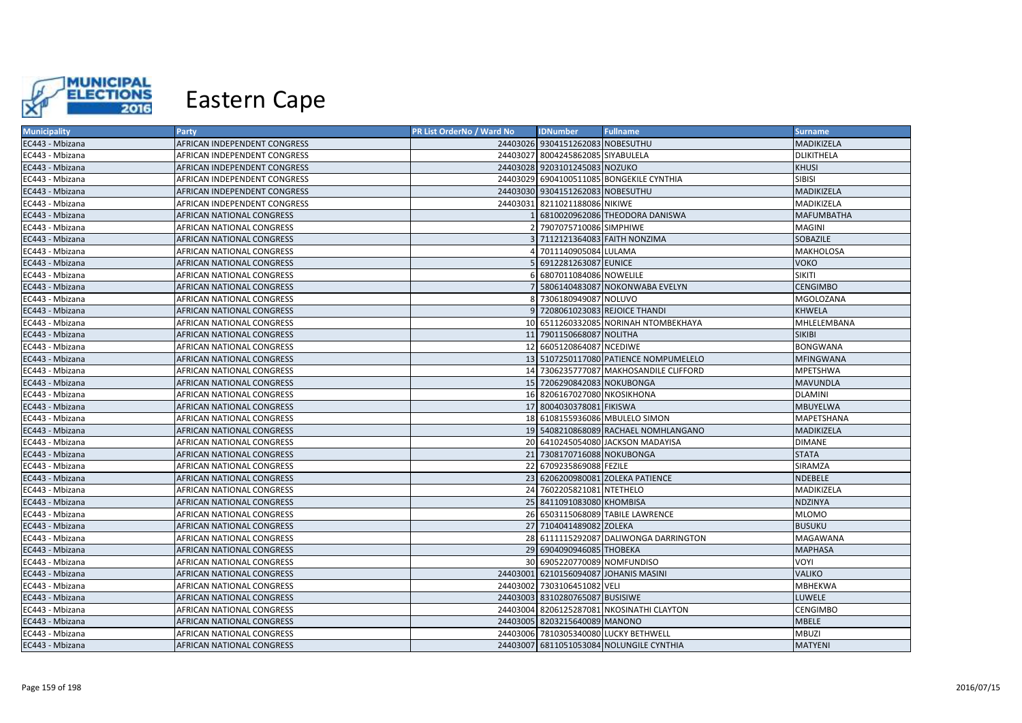

| <b>Municipality</b> | <b>Party</b>                     | <b>PR List OrderNo / Ward No</b> | <b>IDNumber</b>                   | <b>Fullname</b>                           | <b>Surname</b>    |
|---------------------|----------------------------------|----------------------------------|-----------------------------------|-------------------------------------------|-------------------|
| EC443 - Mbizana     | AFRICAN INDEPENDENT CONGRESS     |                                  | 24403026 9304151262083 NOBESUTHU  |                                           | MADIKIZELA        |
| EC443 - Mbizana     | AFRICAN INDEPENDENT CONGRESS     |                                  | 24403027 8004245862085 SIYABULELA |                                           | DLIKITHELA        |
| EC443 - Mbizana     | AFRICAN INDEPENDENT CONGRESS     |                                  | 24403028 9203101245083 NOZUKO     |                                           | <b>KHUSI</b>      |
| EC443 - Mbizana     | AFRICAN INDEPENDENT CONGRESS     |                                  |                                   | 24403029 6904100511085 BONGEKILE CYNTHIA  | <b>SIBISI</b>     |
| EC443 - Mbizana     | AFRICAN INDEPENDENT CONGRESS     |                                  | 24403030 9304151262083 NOBESUTHU  |                                           | MADIKIZELA        |
| EC443 - Mbizana     | AFRICAN INDEPENDENT CONGRESS     |                                  | 24403031 8211021188086 NIKIWE     |                                           | MADIKIZELA        |
| EC443 - Mbizana     | AFRICAN NATIONAL CONGRESS        |                                  |                                   | 6810020962086 THEODORA DANISWA            | <b>MAFUMBATHA</b> |
| EC443 - Mbizana     | AFRICAN NATIONAL CONGRESS        |                                  | 2 7907075710086 SIMPHIWE          |                                           | <b>MAGINI</b>     |
| EC443 - Mbizana     | AFRICAN NATIONAL CONGRESS        |                                  |                                   | 3 7112121364083 FAITH NONZIMA             | SOBAZILE          |
| EC443 - Mbizana     | AFRICAN NATIONAL CONGRESS        |                                  | 4 7011140905084 LULAMA            |                                           | <b>MAKHOLOSA</b>  |
| EC443 - Mbizana     | AFRICAN NATIONAL CONGRESS        |                                  | 5 6912281263087 EUNICE            |                                           | <b>VOKO</b>       |
| EC443 - Mbizana     | AFRICAN NATIONAL CONGRESS        |                                  | 6 6807011084086 NOWELILE          |                                           | <b>SIKITI</b>     |
| EC443 - Mbizana     | AFRICAN NATIONAL CONGRESS        |                                  |                                   | 7 5806140483087 NOKONWABA EVELYN          | <b>CENGIMBO</b>   |
| EC443 - Mbizana     | AFRICAN NATIONAL CONGRESS        |                                  | 8 7306180949087 NOLUVO            |                                           | MGOLOZANA         |
| EC443 - Mbizana     | AFRICAN NATIONAL CONGRESS        |                                  |                                   | 9 7208061023083 REJOICE THANDI            | KHWELA            |
| EC443 - Mbizana     | AFRICAN NATIONAL CONGRESS        |                                  |                                   | 10 6511260332085 NORINAH NTOMBEKHAYA      | MHLELEMBANA       |
| EC443 - Mbizana     | AFRICAN NATIONAL CONGRESS        |                                  | 11 7901150668087 NOLITHA          |                                           | <b>SIKIBI</b>     |
| EC443 - Mbizana     | AFRICAN NATIONAL CONGRESS        |                                  | 12 6605120864087 NCEDIWE          |                                           | <b>BONGWANA</b>   |
| EC443 - Mbizana     | AFRICAN NATIONAL CONGRESS        |                                  |                                   | 13 5107250117080 PATIENCE NOMPUMELELO     | <b>MFINGWANA</b>  |
| EC443 - Mbizana     | AFRICAN NATIONAL CONGRESS        |                                  |                                   | 14 7306235777087 MAKHOSANDILE CLIFFORD    | MPETSHWA          |
| EC443 - Mbizana     | AFRICAN NATIONAL CONGRESS        |                                  | 15 7206290842083 NOKUBONGA        |                                           | <b>MAVUNDLA</b>   |
| EC443 - Mbizana     | AFRICAN NATIONAL CONGRESS        |                                  | 16 8206167027080 NKOSIKHONA       |                                           | <b>DLAMINI</b>    |
| EC443 - Mbizana     | AFRICAN NATIONAL CONGRESS        |                                  | 17 8004030378081 FIKISWA          |                                           | <b>MBUYELWA</b>   |
| EC443 - Mbizana     | AFRICAN NATIONAL CONGRESS        |                                  |                                   | 18 6108155936086 MBULELO SIMON            | <b>MAPETSHANA</b> |
| EC443 - Mbizana     | AFRICAN NATIONAL CONGRESS        |                                  |                                   | 19 5408210868089 RACHAEL NOMHLANGANO      | MADIKIZELA        |
| EC443 - Mbizana     | AFRICAN NATIONAL CONGRESS        |                                  |                                   | 20 6410245054080 JACKSON MADAYISA         | <b>DIMANE</b>     |
| EC443 - Mbizana     | AFRICAN NATIONAL CONGRESS        |                                  | 21 7308170716088 NOKUBONGA        |                                           | <b>STATA</b>      |
| EC443 - Mbizana     | AFRICAN NATIONAL CONGRESS        |                                  | 22 6709235869088 FEZILE           |                                           | SIRAMZA           |
| EC443 - Mbizana     | AFRICAN NATIONAL CONGRESS        |                                  |                                   | 23 6206200980081 ZOLEKA PATIENCE          | NDEBELE           |
| EC443 - Mbizana     | <b>AFRICAN NATIONAL CONGRESS</b> |                                  | 24 7602205821081 NTETHELO         |                                           | MADIKIZELA        |
| EC443 - Mbizana     | AFRICAN NATIONAL CONGRESS        |                                  | 25 8411091083080 KHOMBISA         |                                           | <b>NDZINYA</b>    |
| EC443 - Mbizana     | AFRICAN NATIONAL CONGRESS        |                                  |                                   | 26 6503115068089 TABILE LAWRENCE          | <b>MLOMO</b>      |
| EC443 - Mbizana     | AFRICAN NATIONAL CONGRESS        |                                  | 27 7104041489082 ZOLEKA           |                                           | <b>BUSUKU</b>     |
| EC443 - Mbizana     | AFRICAN NATIONAL CONGRESS        |                                  |                                   | 28 6111115292087 DALIWONGA DARRINGTON     | MAGAWANA          |
| EC443 - Mbizana     | AFRICAN NATIONAL CONGRESS        |                                  | 29 6904090946085 THOBEKA          |                                           | <b>MAPHASA</b>    |
| EC443 - Mbizana     | AFRICAN NATIONAL CONGRESS        |                                  | 30 6905220770089 NOMFUNDISO       |                                           | VOYI              |
| EC443 - Mbizana     | AFRICAN NATIONAL CONGRESS        |                                  |                                   | 24403001 6210156094087 JOHANIS MASINI     | <b>VALIKO</b>     |
| EC443 - Mbizana     | AFRICAN NATIONAL CONGRESS        |                                  | 24403002 7303106451082 VELI       |                                           | MBHEKWA           |
| EC443 - Mbizana     | AFRICAN NATIONAL CONGRESS        |                                  | 24403003 8310280765087 BUSISIWE   |                                           | <b>LUWELE</b>     |
| EC443 - Mbizana     | AFRICAN NATIONAL CONGRESS        |                                  |                                   | 24403004 8206125287081 NKOSINATHI CLAYTON | CENGIMBO          |
| EC443 - Mbizana     | AFRICAN NATIONAL CONGRESS        |                                  | 24403005 8203215640089 MANONO     |                                           | <b>MBELE</b>      |
| EC443 - Mbizana     | AFRICAN NATIONAL CONGRESS        |                                  |                                   | 24403006 7810305340080 LUCKY BETHWELL     | <b>MBUZI</b>      |
| EC443 - Mbizana     | <b>AFRICAN NATIONAL CONGRESS</b> |                                  |                                   | 24403007 6811051053084 NOLUNGILE CYNTHIA  | <b>MATYENI</b>    |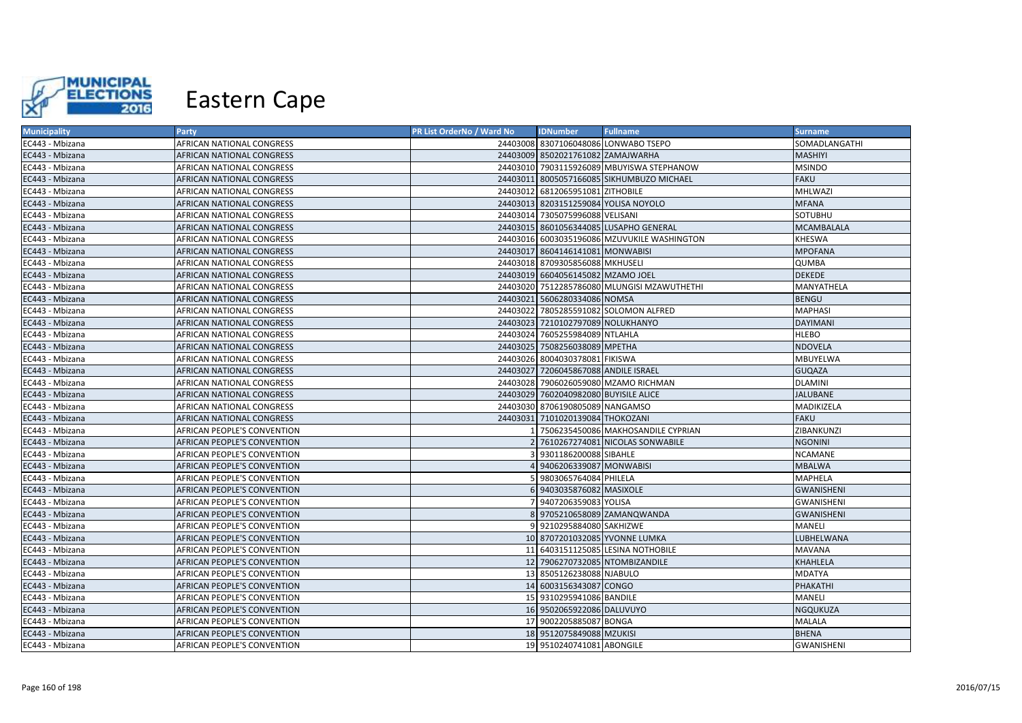

| <b>Municipality</b> | <b>Party</b>                | PR List OrderNo / Ward No | <b>IDNumber</b>                       | <b>Fullname</b>                             | <b>Surname</b>    |
|---------------------|-----------------------------|---------------------------|---------------------------------------|---------------------------------------------|-------------------|
| EC443 - Mbizana     | AFRICAN NATIONAL CONGRESS   |                           |                                       | 24403008 8307106048086 LONWABO TSEPO        | SOMADLANGATHI     |
| EC443 - Mbizana     | AFRICAN NATIONAL CONGRESS   |                           | 24403009 8502021761082 ZAMAJWARHA     |                                             | MASHIYI           |
| EC443 - Mbizana     | AFRICAN NATIONAL CONGRESS   |                           |                                       | 24403010 7903115926089 MBUYISWA STEPHANOW   | <b>MSINDO</b>     |
| EC443 - Mbizana     | AFRICAN NATIONAL CONGRESS   |                           |                                       | 24403011 8005057166085 SIKHUMBUZO MICHAEL   | <b>FAKU</b>       |
| EC443 - Mbizana     | AFRICAN NATIONAL CONGRESS   |                           | 24403012 6812065951081 ZITHOBILE      |                                             | MHLWAZI           |
| EC443 - Mbizana     | AFRICAN NATIONAL CONGRESS   |                           | 24403013 8203151259084 YOLISA NOYOLO  |                                             | <b>MFANA</b>      |
| EC443 - Mbizana     | AFRICAN NATIONAL CONGRESS   |                           | 24403014 7305075996088 VELISANI       |                                             | SOTUBHU           |
| EC443 - Mbizana     | AFRICAN NATIONAL CONGRESS   |                           |                                       | 24403015 8601056344085 LUSAPHO GENERAL      | <b>MCAMBALALA</b> |
| EC443 - Mbizana     | AFRICAN NATIONAL CONGRESS   |                           |                                       | 24403016 6003035196086 MZUVUKILE WASHINGTON | <b>KHESWA</b>     |
| EC443 - Mbizana     | AFRICAN NATIONAL CONGRESS   |                           | 24403017 8604146141081 MONWABISI      |                                             | <b>MPOFANA</b>    |
| EC443 - Mbizana     | AFRICAN NATIONAL CONGRESS   |                           | 24403018 8709305856088 MKHUSELI       |                                             | <b>QUMBA</b>      |
| EC443 - Mbizana     | AFRICAN NATIONAL CONGRESS   |                           | 24403019 6604056145082 MZAMO JOEL     |                                             | <b>DEKEDE</b>     |
| EC443 - Mbizana     | AFRICAN NATIONAL CONGRESS   |                           |                                       | 24403020 7512285786080 MLUNGISI MZAWUTHETHI | MANYATHELA        |
| EC443 - Mbizana     | AFRICAN NATIONAL CONGRESS   |                           | 24403021 5606280334086 NOMSA          |                                             | <b>BENGU</b>      |
| EC443 - Mbizana     | AFRICAN NATIONAL CONGRESS   |                           |                                       | 24403022 7805285591082 SOLOMON ALFRED       | <b>MAPHASI</b>    |
| EC443 - Mbizana     | AFRICAN NATIONAL CONGRESS   |                           | 24403023 7210102797089 NOLUKHANYO     |                                             | <b>DAYIMANI</b>   |
| EC443 - Mbizana     | AFRICAN NATIONAL CONGRESS   |                           | 24403024 7605255984089 NTLAHLA        |                                             | <b>HLEBO</b>      |
| EC443 - Mbizana     | AFRICAN NATIONAL CONGRESS   |                           | 24403025 7508256038089 MPETHA         |                                             | <b>NDOVELA</b>    |
| EC443 - Mbizana     | AFRICAN NATIONAL CONGRESS   |                           | 24403026 8004030378081 FIKISWA        |                                             | MBUYELWA          |
| EC443 - Mbizana     | AFRICAN NATIONAL CONGRESS   |                           | 24403027 7206045867088 ANDILE ISRAEL  |                                             | <b>GUQAZA</b>     |
| EC443 - Mbizana     | AFRICAN NATIONAL CONGRESS   |                           |                                       | 24403028 7906026059080 MZAMO RICHMAN        | <b>DLAMINI</b>    |
| EC443 - Mbizana     | AFRICAN NATIONAL CONGRESS   |                           | 24403029 7602040982080 BUYISILE ALICE |                                             | <b>JALUBANE</b>   |
| EC443 - Mbizana     | AFRICAN NATIONAL CONGRESS   |                           | 24403030 8706190805089 NANGAMSO       |                                             | MADIKIZELA        |
| EC443 - Mbizana     | AFRICAN NATIONAL CONGRESS   |                           | 24403031 7101020139084 THOKOZANI      |                                             | <b>FAKU</b>       |
| EC443 - Mbizana     | AFRICAN PEOPLE'S CONVENTION |                           |                                       | 7506235450086 MAKHOSANDILE CYPRIAN          | ZIBANKUNZI        |
| EC443 - Mbizana     | AFRICAN PEOPLE'S CONVENTION |                           |                                       | 7610267274081 NICOLAS SONWABILE             | <b>NGONINI</b>    |
| EC443 - Mbizana     | AFRICAN PEOPLE'S CONVENTION |                           | 9301186200088 SIBAHLE                 |                                             | <b>NCAMANE</b>    |
| EC443 - Mbizana     | AFRICAN PEOPLE'S CONVENTION |                           | 9406206339087 MONWABISI               |                                             | <b>MBALWA</b>     |
| EC443 - Mbizana     | AFRICAN PEOPLE'S CONVENTION |                           | 9803065764084 PHILELA                 |                                             | MAPHELA           |
| EC443 - Mbizana     | AFRICAN PEOPLE'S CONVENTION |                           | 6 9403035876082 MASIXOLE              |                                             | <b>GWANISHENI</b> |
| EC443 - Mbizana     | AFRICAN PEOPLE'S CONVENTION |                           | 9407206359083 YOLISA                  |                                             | <b>GWANISHENI</b> |
| EC443 - Mbizana     | AFRICAN PEOPLE'S CONVENTION |                           |                                       | 9705210658089 ZAMANQWANDA                   | <b>GWANISHENI</b> |
| EC443 - Mbizana     | AFRICAN PEOPLE'S CONVENTION |                           | 9 9210295884080 SAKHIZWE              |                                             | MANELI            |
| EC443 - Mbizana     | AFRICAN PEOPLE'S CONVENTION |                           |                                       | 10 8707201032085 YVONNE LUMKA               | LUBHELWANA        |
| EC443 - Mbizana     | AFRICAN PEOPLE'S CONVENTION |                           |                                       | 11 6403151125085 LESINA NOTHOBILE           | MAVANA            |
| EC443 - Mbizana     | AFRICAN PEOPLE'S CONVENTION |                           |                                       | 12 7906270732085 NTOMBIZANDILE              | KHAHLELA          |
| EC443 - Mbizana     | AFRICAN PEOPLE'S CONVENTION |                           | 13 8505126238088 NJABULO              |                                             | MDATYA            |
| EC443 - Mbizana     | AFRICAN PEOPLE'S CONVENTION |                           | 14 6003156343087 CONGO                |                                             | PHAKATHI          |
| EC443 - Mbizana     | AFRICAN PEOPLE'S CONVENTION |                           | 15 9310295941086 BANDILE              |                                             | MANELI            |
| EC443 - Mbizana     | AFRICAN PEOPLE'S CONVENTION |                           | 16 9502065922086 DALUVUYO             |                                             | NGQUKUZA          |
| EC443 - Mbizana     | AFRICAN PEOPLE'S CONVENTION |                           | 17 9002205885087 BONGA                |                                             | <b>MALALA</b>     |
| EC443 - Mbizana     | AFRICAN PEOPLE'S CONVENTION |                           | 18 9512075849088 MZUKISI              |                                             | <b>BHENA</b>      |
| EC443 - Mbizana     | AFRICAN PEOPLE'S CONVENTION |                           | 19 9510240741081 ABONGILE             |                                             | <b>GWANISHENI</b> |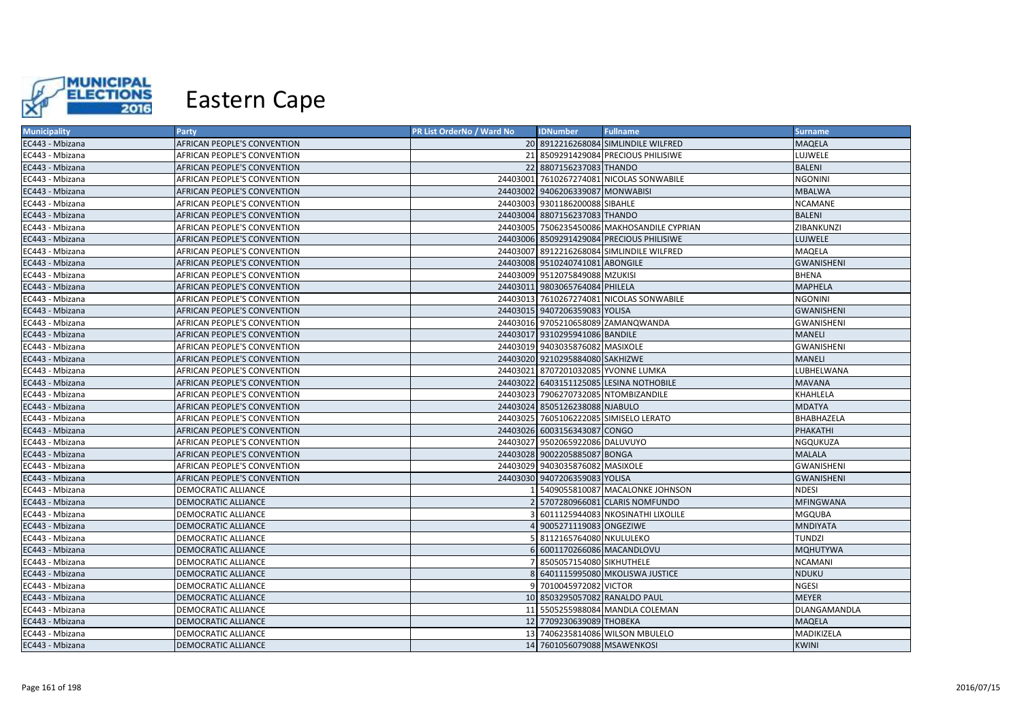

| <b>Municipality</b> | <b>Party</b>                       | PR List OrderNo / Ward No | <b>IDNumber</b>                  | <b>Fullname</b>                             | <b>Surname</b>    |
|---------------------|------------------------------------|---------------------------|----------------------------------|---------------------------------------------|-------------------|
| EC443 - Mbizana     | AFRICAN PEOPLE'S CONVENTION        |                           |                                  | 20 8912216268084 SIMLINDILE WILFRED         | <b>MAQELA</b>     |
| EC443 - Mbizana     | AFRICAN PEOPLE'S CONVENTION        |                           |                                  | 21 8509291429084 PRECIOUS PHILISIWE         | LUJWELE           |
| EC443 - Mbizana     | AFRICAN PEOPLE'S CONVENTION        |                           | 22 8807156237083 THANDO          |                                             | <b>BALENI</b>     |
| EC443 - Mbizana     | AFRICAN PEOPLE'S CONVENTION        |                           |                                  | 24403001 7610267274081 NICOLAS SONWABILE    | <b>NGONINI</b>    |
| EC443 - Mbizana     | AFRICAN PEOPLE'S CONVENTION        |                           | 24403002 9406206339087 MONWABISI |                                             | <b>MBALWA</b>     |
| EC443 - Mbizana     | AFRICAN PEOPLE'S CONVENTION        |                           | 24403003 9301186200088 SIBAHLE   |                                             | NCAMANE           |
| EC443 - Mbizana     | AFRICAN PEOPLE'S CONVENTION        |                           | 24403004 8807156237083 THANDO    |                                             | <b>BALENI</b>     |
| EC443 - Mbizana     | AFRICAN PEOPLE'S CONVENTION        |                           |                                  | 24403005 7506235450086 MAKHOSANDILE CYPRIAN | ZIBANKUNZI        |
| EC443 - Mbizana     | AFRICAN PEOPLE'S CONVENTION        |                           |                                  | 24403006 8509291429084 PRECIOUS PHILISIWE   | <b>LUJWELE</b>    |
| EC443 - Mbizana     | AFRICAN PEOPLE'S CONVENTION        |                           |                                  | 24403007 8912216268084 SIMLINDILE WILFRED   | MAQELA            |
| EC443 - Mbizana     | AFRICAN PEOPLE'S CONVENTION        |                           | 24403008 9510240741081 ABONGILE  |                                             | <b>GWANISHENI</b> |
| EC443 - Mbizana     | AFRICAN PEOPLE'S CONVENTION        |                           | 24403009 9512075849088 MZUKISI   |                                             | <b>BHENA</b>      |
| EC443 - Mbizana     | AFRICAN PEOPLE'S CONVENTION        |                           | 24403011 9803065764084 PHILELA   |                                             | <b>MAPHELA</b>    |
| EC443 - Mbizana     | AFRICAN PEOPLE'S CONVENTION        |                           |                                  | 24403013 7610267274081 NICOLAS SONWABILE    | <b>NGONINI</b>    |
| EC443 - Mbizana     | <b>AFRICAN PEOPLE'S CONVENTION</b> |                           | 24403015 9407206359083 YOLISA    |                                             | <b>GWANISHENI</b> |
| EC443 - Mbizana     | AFRICAN PEOPLE'S CONVENTION        |                           |                                  | 24403016 9705210658089 ZAMANQWANDA          | <b>GWANISHENI</b> |
| EC443 - Mbizana     | AFRICAN PEOPLE'S CONVENTION        |                           | 24403017 9310295941086 BANDILE   |                                             | <b>MANELI</b>     |
| EC443 - Mbizana     | AFRICAN PEOPLE'S CONVENTION        |                           | 24403019 9403035876082 MASIXOLE  |                                             | <b>GWANISHENI</b> |
| EC443 - Mbizana     | AFRICAN PEOPLE'S CONVENTION        |                           | 24403020 9210295884080 SAKHIZWE  |                                             | <b>MANELI</b>     |
| EC443 - Mbizana     | AFRICAN PEOPLE'S CONVENTION        |                           |                                  | 24403021 8707201032085 YVONNE LUMKA         | LUBHELWANA        |
| EC443 - Mbizana     | AFRICAN PEOPLE'S CONVENTION        |                           |                                  | 24403022 6403151125085 LESINA NOTHOBILE     | <b>MAVANA</b>     |
| EC443 - Mbizana     | AFRICAN PEOPLE'S CONVENTION        |                           |                                  | 24403023 7906270732085 NTOMBIZANDILE        | KHAHLELA          |
| EC443 - Mbizana     | <b>AFRICAN PEOPLE'S CONVENTION</b> |                           | 24403024 8505126238088 NJABULO   |                                             | <b>MDATYA</b>     |
| EC443 - Mbizana     | AFRICAN PEOPLE'S CONVENTION        |                           |                                  | 24403025 7605106222085 SIMISELO LERATO      | BHABHAZELA        |
| EC443 - Mbizana     | AFRICAN PEOPLE'S CONVENTION        |                           | 24403026 6003156343087 CONGO     |                                             | PHAKATHI          |
| EC443 - Mbizana     | AFRICAN PEOPLE'S CONVENTION        |                           | 24403027 9502065922086 DALUVUYO  |                                             | NGQUKUZA          |
| EC443 - Mbizana     | AFRICAN PEOPLE'S CONVENTION        |                           | 24403028 9002205885087 BONGA     |                                             | <b>MALALA</b>     |
| EC443 - Mbizana     | AFRICAN PEOPLE'S CONVENTION        |                           | 24403029 9403035876082 MASIXOLE  |                                             | <b>GWANISHENI</b> |
| EC443 - Mbizana     | AFRICAN PEOPLE'S CONVENTION        |                           | 24403030 9407206359083 YOLISA    |                                             | <b>GWANISHENI</b> |
| EC443 - Mbizana     | DEMOCRATIC ALLIANCE                |                           |                                  | 5409055810087 MACALONKE JOHNSON             | <b>NDESI</b>      |
| EC443 - Mbizana     | DEMOCRATIC ALLIANCE                |                           |                                  | 5707280966081 CLARIS NOMFUNDO               | <b>MFINGWANA</b>  |
| EC443 - Mbizana     | DEMOCRATIC ALLIANCE                |                           |                                  | 6011125944083 NKOSINATHI LIXOLILE           | MGQUBA            |
| EC443 - Mbizana     | DEMOCRATIC ALLIANCE                |                           | 9005271119083 ONGEZIWE           |                                             | <b>MNDIYATA</b>   |
| EC443 - Mbizana     | DEMOCRATIC ALLIANCE                |                           | 8112165764080 NKULULEKO          |                                             | <b>TUNDZI</b>     |
| EC443 - Mbizana     | DEMOCRATIC ALLIANCE                |                           | 6001170266086 MACANDLOVU         |                                             | <b>MQHUTYWA</b>   |
| EC443 - Mbizana     | DEMOCRATIC ALLIANCE                |                           | 8505057154080 SIKHUTHELE         |                                             | <b>NCAMANI</b>    |
| EC443 - Mbizana     | DEMOCRATIC ALLIANCE                |                           |                                  | 6401115995080 MKOLISWA JUSTICE              | <b>NDUKU</b>      |
| EC443 - Mbizana     | DEMOCRATIC ALLIANCE                |                           | 9 7010045972082 VICTOR           |                                             | <b>NGESI</b>      |
| EC443 - Mbizana     | <b>DEMOCRATIC ALLIANCE</b>         |                           | 10 8503295057082 RANALDO PAUL    |                                             | <b>MEYER</b>      |
| EC443 - Mbizana     | DEMOCRATIC ALLIANCE                |                           |                                  | 11 5505255988084 MANDLA COLEMAN             | DLANGAMANDLA      |
| EC443 - Mbizana     | DEMOCRATIC ALLIANCE                |                           | 12 7709230639089 THOBEKA         |                                             | <b>MAQELA</b>     |
| EC443 - Mbizana     | DEMOCRATIC ALLIANCE                |                           |                                  | 13 7406235814086 WILSON MBULELO             | MADIKIZELA        |
| EC443 - Mbizana     | <b>DEMOCRATIC ALLIANCE</b>         |                           | 14 7601056079088 MSAWENKOSI      |                                             | <b>KWINI</b>      |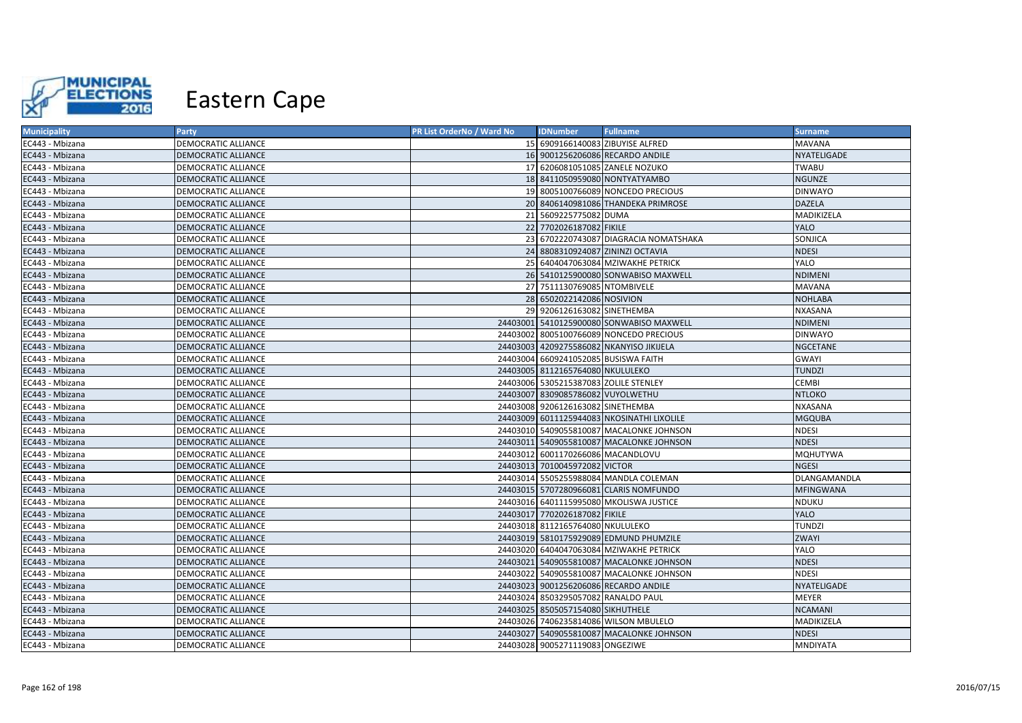

| <b>Municipality</b> | Party                      | PR List OrderNo / Ward No | <b>IDNumber</b>                       | <b>Fullname</b>                            | <b>Surname</b>   |
|---------------------|----------------------------|---------------------------|---------------------------------------|--------------------------------------------|------------------|
| EC443 - Mbizana     | <b>DEMOCRATIC ALLIANCE</b> |                           |                                       | 15 6909166140083 ZIBUYISE ALFRED           | <b>MAVANA</b>    |
| EC443 - Mbizana     | DEMOCRATIC ALLIANCE        |                           |                                       | 16 9001256206086 RECARDO ANDILE            | NYATELIGADE      |
| EC443 - Mbizana     | <b>DEMOCRATIC ALLIANCE</b> |                           |                                       | 17 6206081051085 ZANELE NOZUKO             | <b>TWABU</b>     |
| EC443 - Mbizana     | <b>DEMOCRATIC ALLIANCE</b> |                           |                                       | 18 8411050959080 NONTYATYAMBO              | <b>NGUNZE</b>    |
| EC443 - Mbizana     | <b>DEMOCRATIC ALLIANCE</b> |                           |                                       | 19 8005100766089 NONCEDO PRECIOUS          | <b>DINWAYO</b>   |
| EC443 - Mbizana     | <b>DEMOCRATIC ALLIANCE</b> |                           |                                       | 20 8406140981086 THANDEKA PRIMROSE         | <b>DAZELA</b>    |
| EC443 - Mbizana     | <b>DEMOCRATIC ALLIANCE</b> |                           | 21 5609225775082 DUMA                 |                                            | MADIKIZELA       |
| EC443 - Mbizana     | <b>DEMOCRATIC ALLIANCE</b> |                           | 22 7702026187082 FIKILE               |                                            | <b>YALO</b>      |
| EC443 - Mbizana     | <b>DEMOCRATIC ALLIANCE</b> |                           |                                       | 23 6702220743087 DIAGRACIA NOMATSHAKA      | SONJICA          |
| EC443 - Mbizana     | <b>DEMOCRATIC ALLIANCE</b> |                           |                                       | 24 8808310924087 ZININZI OCTAVIA           | <b>NDESI</b>     |
| EC443 - Mbizana     | <b>DEMOCRATIC ALLIANCE</b> |                           |                                       | 25 6404047063084 MZIWAKHE PETRICK          | YALO             |
| EC443 - Mbizana     | <b>DEMOCRATIC ALLIANCE</b> |                           |                                       | 26 5410125900080 SONWABISO MAXWELL         | <b>NDIMENI</b>   |
| EC443 - Mbizana     | <b>DEMOCRATIC ALLIANCE</b> |                           | 27 7511130769085 NTOMBIVELE           |                                            | <b>MAVANA</b>    |
| EC443 - Mbizana     | <b>DEMOCRATIC ALLIANCE</b> |                           | 28 6502022142086 NOSIVION             |                                            | <b>NOHLABA</b>   |
| EC443 - Mbizana     | <b>DEMOCRATIC ALLIANCE</b> |                           | 29 9206126163082 SINETHEMBA           |                                            | <b>NXASANA</b>   |
| EC443 - Mbizana     | <b>DEMOCRATIC ALLIANCE</b> |                           |                                       | 24403001 5410125900080 SONWABISO MAXWELL   | <b>NDIMENI</b>   |
| EC443 - Mbizana     | <b>DEMOCRATIC ALLIANCE</b> |                           |                                       | 24403002 8005100766089 NONCEDO PRECIOUS    | <b>DINWAYO</b>   |
| EC443 - Mbizana     | DEMOCRATIC ALLIANCE        |                           |                                       | 24403003 4209275586082 NKANYISO JIKIJELA   | <b>NGCETANE</b>  |
| EC443 - Mbizana     | DEMOCRATIC ALLIANCE        |                           | 24403004 6609241052085 BUSISWA FAITH  |                                            | <b>GWAYI</b>     |
| EC443 - Mbizana     | <b>DEMOCRATIC ALLIANCE</b> |                           | 24403005 8112165764080 NKULULEKO      |                                            | <b>TUNDZI</b>    |
| EC443 - Mbizana     | DEMOCRATIC ALLIANCE        |                           | 24403006 5305215387083 ZOLILE STENLEY |                                            | <b>CEMBI</b>     |
| EC443 - Mbizana     | DEMOCRATIC ALLIANCE        |                           | 24403007 8309085786082 VUYOLWETHU     |                                            | <b>NTLOKO</b>    |
| EC443 - Mbizana     | DEMOCRATIC ALLIANCE        |                           | 24403008 9206126163082 SINETHEMBA     |                                            | <b>NXASANA</b>   |
| EC443 - Mbizana     | <b>DEMOCRATIC ALLIANCE</b> |                           |                                       | 24403009 6011125944083 NKOSINATHI LIXOLILE | <b>MGQUBA</b>    |
| EC443 - Mbizana     | <b>DEMOCRATIC ALLIANCE</b> |                           |                                       | 24403010 5409055810087 MACALONKE JOHNSON   | <b>NDESI</b>     |
| EC443 - Mbizana     | <b>DEMOCRATIC ALLIANCE</b> |                           |                                       | 24403011 5409055810087 MACALONKE JOHNSON   | <b>NDESI</b>     |
| EC443 - Mbizana     | <b>DEMOCRATIC ALLIANCE</b> |                           | 24403012 6001170266086 MACANDLOVU     |                                            | <b>MQHUTYWA</b>  |
| EC443 - Mbizana     | <b>DEMOCRATIC ALLIANCE</b> |                           | 24403013 7010045972082 VICTOR         |                                            | <b>NGESI</b>     |
| EC443 - Mbizana     | DEMOCRATIC ALLIANCE        |                           |                                       | 24403014 5505255988084 MANDLA COLEMAN      | DLANGAMANDLA     |
| EC443 - Mbizana     | <b>DEMOCRATIC ALLIANCE</b> |                           |                                       | 24403015 5707280966081 CLARIS NOMFUNDO     | <b>MFINGWANA</b> |
| EC443 - Mbizana     | <b>DEMOCRATIC ALLIANCE</b> |                           |                                       | 24403016 6401115995080 MKOLISWA JUSTICE    | <b>NDUKU</b>     |
| EC443 - Mbizana     | <b>DEMOCRATIC ALLIANCE</b> |                           | 24403017 7702026187082 FIKILE         |                                            | <b>YALO</b>      |
| EC443 - Mbizana     | <b>DEMOCRATIC ALLIANCE</b> |                           | 24403018 8112165764080 NKULULEKO      |                                            | <b>TUNDZI</b>    |
| EC443 - Mbizana     | <b>DEMOCRATIC ALLIANCE</b> |                           |                                       | 24403019 5810175929089 EDMUND PHUMZILE     | <b>ZWAYI</b>     |
| EC443 - Mbizana     | <b>DEMOCRATIC ALLIANCE</b> |                           |                                       | 24403020 6404047063084 MZIWAKHE PETRICK    | YALO             |
| EC443 - Mbizana     | <b>DEMOCRATIC ALLIANCE</b> |                           |                                       | 24403021 5409055810087 MACALONKE JOHNSON   | <b>NDESI</b>     |
| EC443 - Mbizana     | <b>DEMOCRATIC ALLIANCE</b> |                           |                                       | 24403022 5409055810087 MACALONKE JOHNSON   | <b>NDESI</b>     |
| EC443 - Mbizana     | DEMOCRATIC ALLIANCE        |                           |                                       | 24403023 9001256206086 RECARDO ANDILE      | NYATELIGADE      |
| EC443 - Mbizana     | DEMOCRATIC ALLIANCE        |                           | 24403024 8503295057082 RANALDO PAUL   |                                            | <b>MEYER</b>     |
| EC443 - Mbizana     | <b>DEMOCRATIC ALLIANCE</b> |                           | 24403025 8505057154080 SIKHUTHELE     |                                            | <b>NCAMANI</b>   |
| EC443 - Mbizana     | DEMOCRATIC ALLIANCE        |                           |                                       | 24403026 7406235814086 WILSON MBULELO      | MADIKIZELA       |
| EC443 - Mbizana     | DEMOCRATIC ALLIANCE        |                           |                                       | 24403027 5409055810087 MACALONKE JOHNSON   | <b>NDESI</b>     |
| EC443 - Mbizana     | <b>DEMOCRATIC ALLIANCE</b> |                           | 24403028 9005271119083 ONGEZIWE       |                                            | <b>MNDIYATA</b>  |
|                     |                            |                           |                                       |                                            |                  |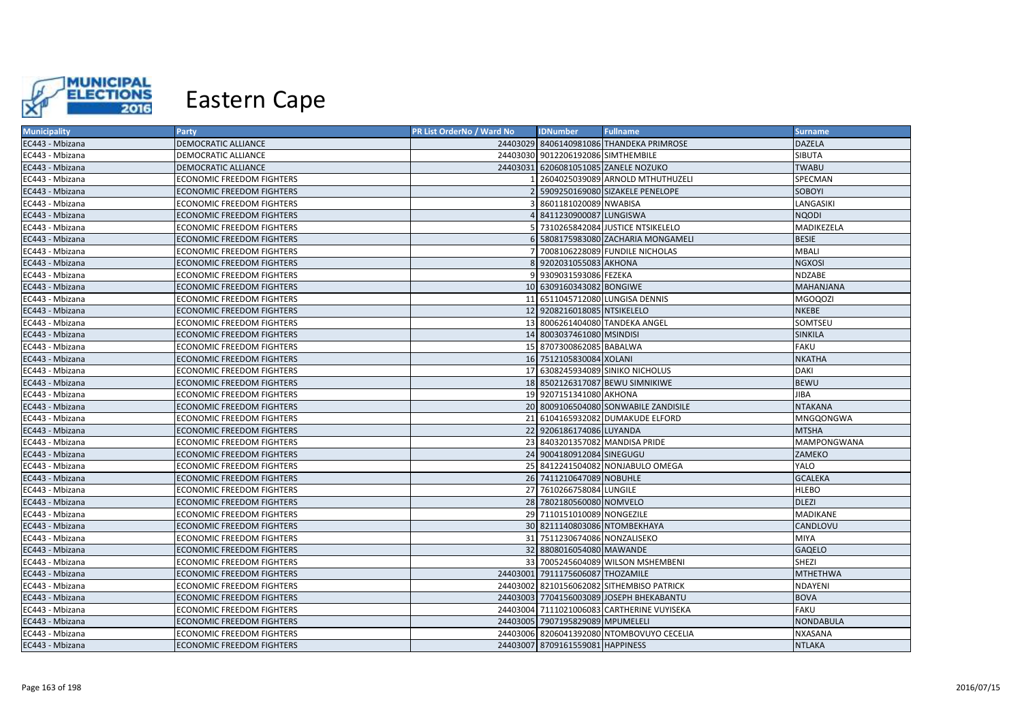

| <b>Municipality</b> | Party                            | PR List OrderNo / Ward No | <b>IDNumber</b>                    | <b>Fullname</b>                            | <b>Surname</b>     |
|---------------------|----------------------------------|---------------------------|------------------------------------|--------------------------------------------|--------------------|
| EC443 - Mbizana     | <b>DEMOCRATIC ALLIANCE</b>       |                           |                                    | 24403029 8406140981086 THANDEKA PRIMROSE   | <b>DAZELA</b>      |
| EC443 - Mbizana     | DEMOCRATIC ALLIANCE              |                           | 24403030 9012206192086 SIMTHEMBILE |                                            | SIBUTA             |
| EC443 - Mbizana     | DEMOCRATIC ALLIANCE              |                           |                                    | 24403031 6206081051085 ZANELE NOZUKO       | <b>TWABU</b>       |
| EC443 - Mbizana     | ECONOMIC FREEDOM FIGHTERS        |                           |                                    | 2604025039089 ARNOLD MTHUTHUZELI           | SPECMAN            |
| EC443 - Mbizana     | <b>ECONOMIC FREEDOM FIGHTERS</b> |                           |                                    | 5909250169080 SIZAKELE PENELOPE            | SOBOYI             |
| EC443 - Mbizana     | <b>ECONOMIC FREEDOM FIGHTERS</b> |                           | 8601181020089 NWABISA              |                                            | LANGASIKI          |
| EC443 - Mbizana     | <b>ECONOMIC FREEDOM FIGHTERS</b> |                           | 8411230900087 LUNGISWA             |                                            | <b>NQODI</b>       |
| EC443 - Mbizana     | <b>ECONOMIC FREEDOM FIGHTERS</b> |                           |                                    | 7310265842084 JUSTICE NTSIKELELO           | MADIKEZELA         |
| EC443 - Mbizana     | <b>ECONOMIC FREEDOM FIGHTERS</b> |                           |                                    | 5808175983080 ZACHARIA MONGAMELI           | <b>BESIE</b>       |
| EC443 - Mbizana     | <b>ECONOMIC FREEDOM FIGHTERS</b> |                           |                                    | 7008106228089 FUNDILE NICHOLAS             | <b>MBALI</b>       |
| EC443 - Mbizana     | <b>ECONOMIC FREEDOM FIGHTERS</b> |                           | 8 9202031055083 AKHONA             |                                            | <b>NGXOSI</b>      |
| EC443 - Mbizana     | <b>ECONOMIC FREEDOM FIGHTERS</b> |                           | 9309031593086 FEZEKA               |                                            | <b>NDZABE</b>      |
| EC443 - Mbizana     | <b>ECONOMIC FREEDOM FIGHTERS</b> |                           | 10 6309160343082 BONGIWE           |                                            | <b>MAHANJANA</b>   |
| EC443 - Mbizana     | <b>ECONOMIC FREEDOM FIGHTERS</b> |                           |                                    | 11 6511045712080 LUNGISA DENNIS            | <b>MGOQOZI</b>     |
| EC443 - Mbizana     | <b>ECONOMIC FREEDOM FIGHTERS</b> |                           | 12 9208216018085 NTSIKELELO        |                                            | <b>NKEBE</b>       |
| EC443 - Mbizana     | <b>ECONOMIC FREEDOM FIGHTERS</b> |                           |                                    | 13 8006261404080 TANDEKA ANGEL             | SOMTSEU            |
| EC443 - Mbizana     | <b>ECONOMIC FREEDOM FIGHTERS</b> |                           | 14 8003037461080 MSINDISI          |                                            | SINKILA            |
| EC443 - Mbizana     | <b>ECONOMIC FREEDOM FIGHTERS</b> |                           | 15 8707300862085 BABALWA           |                                            | <b>FAKU</b>        |
| EC443 - Mbizana     | <b>ECONOMIC FREEDOM FIGHTERS</b> |                           | 16 7512105830084 XOLANI            |                                            | <b>NKATHA</b>      |
| EC443 - Mbizana     | <b>ECONOMIC FREEDOM FIGHTERS</b> |                           |                                    | 17 6308245934089 SINIKO NICHOLUS           | <b>DAKI</b>        |
| EC443 - Mbizana     | <b>ECONOMIC FREEDOM FIGHTERS</b> |                           |                                    | 18 8502126317087 BEWU SIMNIKIWE            | <b>BEWU</b>        |
| EC443 - Mbizana     | <b>ECONOMIC FREEDOM FIGHTERS</b> |                           | 19 9207151341080 AKHONA            |                                            | JIBA               |
| EC443 - Mbizana     | <b>ECONOMIC FREEDOM FIGHTERS</b> |                           |                                    | 20 8009106504080 SONWABILE ZANDISILE       | <b>NTAKANA</b>     |
| EC443 - Mbizana     | <b>ECONOMIC FREEDOM FIGHTERS</b> |                           |                                    | 21 6104165932082 DUMAKUDE ELFORD           | MNGQONGWA          |
| EC443 - Mbizana     | <b>ECONOMIC FREEDOM FIGHTERS</b> |                           | 22 9206186174086 LUYANDA           |                                            | <b>MTSHA</b>       |
| EC443 - Mbizana     | <b>ECONOMIC FREEDOM FIGHTERS</b> |                           | 23 8403201357082 MANDISA PRIDE     |                                            | <b>MAMPONGWANA</b> |
| EC443 - Mbizana     | <b>ECONOMIC FREEDOM FIGHTERS</b> |                           | 24 9004180912084 SINEGUGU          |                                            | ZAMEKO             |
| EC443 - Mbizana     | <b>ECONOMIC FREEDOM FIGHTERS</b> |                           |                                    | 25 8412241504082 NONJABULO OMEGA           | YALO               |
| EC443 - Mbizana     | <b>ECONOMIC FREEDOM FIGHTERS</b> |                           | 26 7411210647089 NOBUHLE           |                                            | <b>GCALEKA</b>     |
| EC443 - Mbizana     | <b>ECONOMIC FREEDOM FIGHTERS</b> |                           | 27 7610266758084 LUNGILE           |                                            | <b>HLEBO</b>       |
| EC443 - Mbizana     | <b>ECONOMIC FREEDOM FIGHTERS</b> |                           | 28 7802180560080 NOMVELO           |                                            | <b>DLEZI</b>       |
| EC443 - Mbizana     | <b>ECONOMIC FREEDOM FIGHTERS</b> |                           | 29 7110151010089 NONGEZILE         |                                            | MADIKANE           |
| EC443 - Mbizana     | <b>ECONOMIC FREEDOM FIGHTERS</b> |                           | 30 8211140803086 NTOMBEKHAYA       |                                            | CANDLOVU           |
| EC443 - Mbizana     | <b>ECONOMIC FREEDOM FIGHTERS</b> |                           | 31 7511230674086 NONZALISEKO       |                                            | <b>MIYA</b>        |
| EC443 - Mbizana     | <b>ECONOMIC FREEDOM FIGHTERS</b> |                           | 32 8808016054080 MAWANDE           |                                            | <b>GAQELO</b>      |
| EC443 - Mbizana     | <b>ECONOMIC FREEDOM FIGHTERS</b> |                           |                                    | 33 7005245604089 WILSON MSHEMBENI          | SHEZI              |
| EC443 - Mbizana     | <b>ECONOMIC FREEDOM FIGHTERS</b> |                           | 24403001 7911175606087 THOZAMILE   |                                            | <b>MTHETHWA</b>    |
| EC443 - Mbizana     | <b>ECONOMIC FREEDOM FIGHTERS</b> |                           |                                    | 24403002 8210156062082 SITHEMBISO PATRICK  | NDAYENI            |
| EC443 - Mbizana     | <b>ECONOMIC FREEDOM FIGHTERS</b> |                           |                                    | 24403003 7704156003089 JOSEPH BHEKABANTU   | <b>BOVA</b>        |
| EC443 - Mbizana     | ECONOMIC FREEDOM FIGHTERS        |                           |                                    | 24403004 7111021006083 CARTHERINE VUYISEKA | <b>FAKU</b>        |
| EC443 - Mbizana     | <b>ECONOMIC FREEDOM FIGHTERS</b> |                           | 24403005 7907195829089 MPUMELELI   |                                            | <b>NONDABULA</b>   |
| EC443 - Mbizana     | <b>ECONOMIC FREEDOM FIGHTERS</b> |                           |                                    | 24403006 8206041392080 NTOMBOVUYO CECELIA  | <b>NXASANA</b>     |
| EC443 - Mbizana     | <b>ECONOMIC FREEDOM FIGHTERS</b> |                           | 24403007 8709161559081 HAPPINESS   |                                            | <b>NTLAKA</b>      |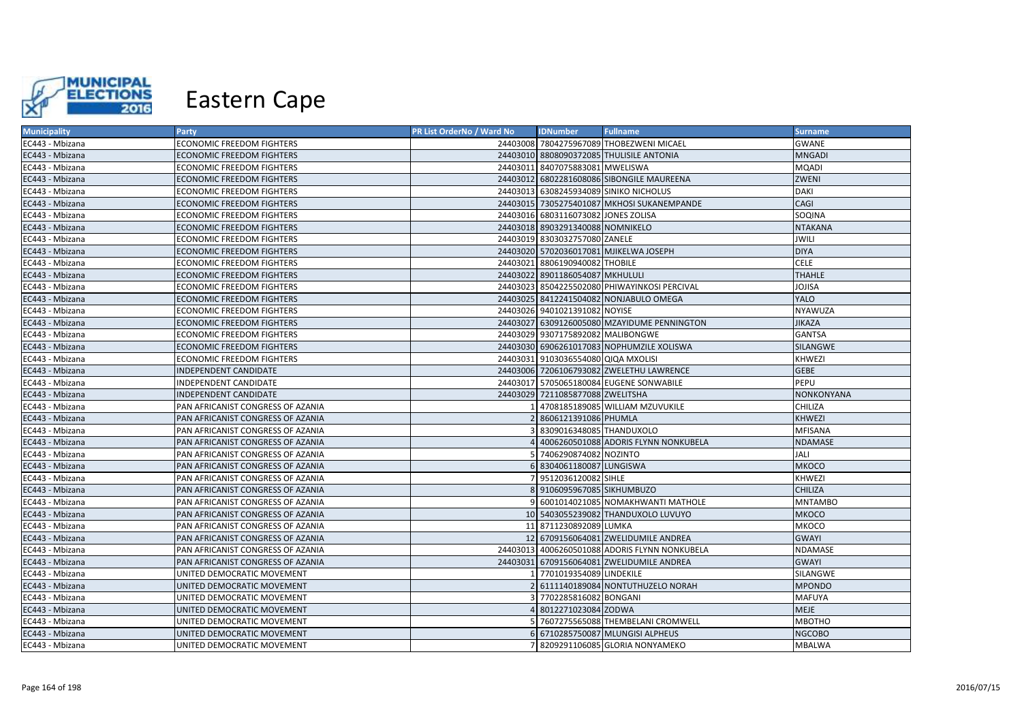

| <b>Municipality</b> | Party                             | PR List OrderNo / Ward No | <b>IDNumber</b>                     | <b>Fullname</b>                               | <b>Surname</b>    |
|---------------------|-----------------------------------|---------------------------|-------------------------------------|-----------------------------------------------|-------------------|
| EC443 - Mbizana     | <b>ECONOMIC FREEDOM FIGHTERS</b>  |                           |                                     | 24403008 7804275967089 THOBEZWENI MICAEL      | <b>GWANE</b>      |
| EC443 - Mbizana     | <b>ECONOMIC FREEDOM FIGHTERS</b>  |                           |                                     | 24403010 8808090372085 THULISILE ANTONIA      | <b>MNGADI</b>     |
| EC443 - Mbizana     | <b>ECONOMIC FREEDOM FIGHTERS</b>  |                           | 24403011 8407075883081 MWELISWA     |                                               | <b>MQADI</b>      |
| EC443 - Mbizana     | <b>ECONOMIC FREEDOM FIGHTERS</b>  |                           |                                     | 24403012 6802281608086 SIBONGILE MAUREENA     | ZWENI             |
| EC443 - Mbizana     | ECONOMIC FREEDOM FIGHTERS         |                           |                                     | 24403013 6308245934089 SINIKO NICHOLUS        | <b>DAKI</b>       |
| EC443 - Mbizana     | <b>ECONOMIC FREEDOM FIGHTERS</b>  |                           |                                     | 24403015 7305275401087 MKHOSI SUKANEMPANDE    | CAGI              |
| EC443 - Mbizana     | <b>ECONOMIC FREEDOM FIGHTERS</b>  |                           | 24403016 6803116073082 JONES ZOLISA |                                               | SOQINA            |
| EC443 - Mbizana     | <b>ECONOMIC FREEDOM FIGHTERS</b>  |                           | 24403018 8903291340088 NOMNIKELO    |                                               | <b>NTAKANA</b>    |
| EC443 - Mbizana     | <b>ECONOMIC FREEDOM FIGHTERS</b>  |                           | 24403019 8303032757080 ZANELE       |                                               | <b>JWILI</b>      |
| EC443 - Mbizana     | <b>ECONOMIC FREEDOM FIGHTERS</b>  |                           |                                     | 24403020 5702036017081 MJIKELWA JOSEPH        | <b>DIYA</b>       |
| EC443 - Mbizana     | ECONOMIC FREEDOM FIGHTERS         |                           | 24403021 8806190940082 THOBILE      |                                               | <b>CELE</b>       |
| EC443 - Mbizana     | <b>ECONOMIC FREEDOM FIGHTERS</b>  |                           | 24403022 8901186054087 MKHULULI     |                                               | <b>THAHLE</b>     |
| EC443 - Mbizana     | <b>ECONOMIC FREEDOM FIGHTERS</b>  |                           |                                     | 24403023 8504225502080 PHIWAYINKOSI PERCIVAL  | JOJISA            |
| EC443 - Mbizana     | <b>ECONOMIC FREEDOM FIGHTERS</b>  |                           |                                     | 24403025 8412241504082 NONJABULO OMEGA        | <b>YALO</b>       |
| EC443 - Mbizana     | ECONOMIC FREEDOM FIGHTERS         |                           | 24403026 9401021391082 NOYISE       |                                               | NYAWUZA           |
| EC443 - Mbizana     | <b>ECONOMIC FREEDOM FIGHTERS</b>  |                           |                                     | 24403027 6309126005080 MZAYIDUME PENNINGTON   | <b>JIKAZA</b>     |
| EC443 - Mbizana     | <b>ECONOMIC FREEDOM FIGHTERS</b>  |                           | 24403029 9307175892082 MALIBONGWE   |                                               | <b>GANTSA</b>     |
| EC443 - Mbizana     | <b>ECONOMIC FREEDOM FIGHTERS</b>  |                           |                                     | 24403030 6906261017083 NOPHUMZILE XOLISWA     | SILANGWE          |
| EC443 - Mbizana     | <b>ECONOMIC FREEDOM FIGHTERS</b>  |                           | 24403031 9103036554080 QIQA MXOLISI |                                               | <b>KHWEZI</b>     |
| EC443 - Mbizana     | <b>INDEPENDENT CANDIDATE</b>      |                           |                                     | 24403006 7206106793082 ZWELETHU LAWRENCE      | <b>GEBE</b>       |
| EC443 - Mbizana     | INDEPENDENT CANDIDATE             |                           |                                     | 24403017 5705065180084 EUGENE SONWABILE       | PEPU              |
| EC443 - Mbizana     | <b>INDEPENDENT CANDIDATE</b>      |                           | 24403029 7211085877088 ZWELITSHA    |                                               | <b>NONKONYANA</b> |
| EC443 - Mbizana     | PAN AFRICANIST CONGRESS OF AZANIA |                           |                                     | 4708185189085 WILLIAM MZUVUKILE               | CHILIZA           |
| EC443 - Mbizana     | PAN AFRICANIST CONGRESS OF AZANIA |                           | 8606121391086 PHUMLA                |                                               | <b>KHWEZI</b>     |
| EC443 - Mbizana     | PAN AFRICANIST CONGRESS OF AZANIA |                           | 8309016348085 THANDUXOLO            |                                               | MFISANA           |
| EC443 - Mbizana     | PAN AFRICANIST CONGRESS OF AZANIA |                           |                                     | 4006260501088 ADORIS FLYNN NONKUBELA          | NDAMASE           |
| EC443 - Mbizana     | PAN AFRICANIST CONGRESS OF AZANIA |                           | 7406290874082 NOZINTO               |                                               | JALI              |
| EC443 - Mbizana     | PAN AFRICANIST CONGRESS OF AZANIA |                           | 8304061180087 LUNGISWA              |                                               | <b>MKOCO</b>      |
| EC443 - Mbizana     | PAN AFRICANIST CONGRESS OF AZANIA |                           | 9512036120082 SIHLE                 |                                               | <b>KHWEZI</b>     |
| EC443 - Mbizana     | PAN AFRICANIST CONGRESS OF AZANIA |                           | 8 9106095967085 SIKHUMBUZO          |                                               | CHILIZA           |
| EC443 - Mbizana     | PAN AFRICANIST CONGRESS OF AZANIA |                           |                                     | 6001014021085 NOMAKHWANTI MATHOLE             | <b>MNTAMBO</b>    |
| EC443 - Mbizana     | PAN AFRICANIST CONGRESS OF AZANIA |                           |                                     | 10 5403055239082 THANDUXOLO LUVUYO            | <b>MKOCO</b>      |
| EC443 - Mbizana     | PAN AFRICANIST CONGRESS OF AZANIA |                           | 11 8711230892089 LUMKA              |                                               | <b>MKOCO</b>      |
| EC443 - Mbizana     | PAN AFRICANIST CONGRESS OF AZANIA |                           |                                     | 12 6709156064081 ZWELIDUMILE ANDREA           | <b>GWAYI</b>      |
| EC443 - Mbizana     | PAN AFRICANIST CONGRESS OF AZANIA |                           |                                     | 24403013 4006260501088 ADORIS FLYNN NONKUBELA | NDAMASE           |
| EC443 - Mbizana     | PAN AFRICANIST CONGRESS OF AZANIA |                           |                                     | 24403031 6709156064081 ZWELIDUMILE ANDREA     | <b>GWAYI</b>      |
| EC443 - Mbizana     | UNITED DEMOCRATIC MOVEMENT        |                           | 7701019354089 LINDEKILE             |                                               | SILANGWE          |
| EC443 - Mbizana     | UNITED DEMOCRATIC MOVEMENT        |                           |                                     | 2 6111140189084 NONTUTHUZELO NORAH            | <b>MPONDO</b>     |
| EC443 - Mbizana     | UNITED DEMOCRATIC MOVEMENT        |                           | 7702285816082 BONGANI               |                                               | <b>MAFUYA</b>     |
| EC443 - Mbizana     | UNITED DEMOCRATIC MOVEMENT        |                           | 8012271023084 ZODWA                 |                                               | MEJE              |
| EC443 - Mbizana     | UNITED DEMOCRATIC MOVEMENT        |                           |                                     | 7607275565088 THEMBELANI CROMWELL             | <b>MBOTHO</b>     |
| EC443 - Mbizana     | UNITED DEMOCRATIC MOVEMENT        |                           |                                     | 6710285750087 MLUNGISI ALPHEUS                | <b>NGCOBO</b>     |
| EC443 - Mbizana     | UNITED DEMOCRATIC MOVEMENT        |                           |                                     | 8209291106085 GLORIA NONYAMEKO                | <b>MBALWA</b>     |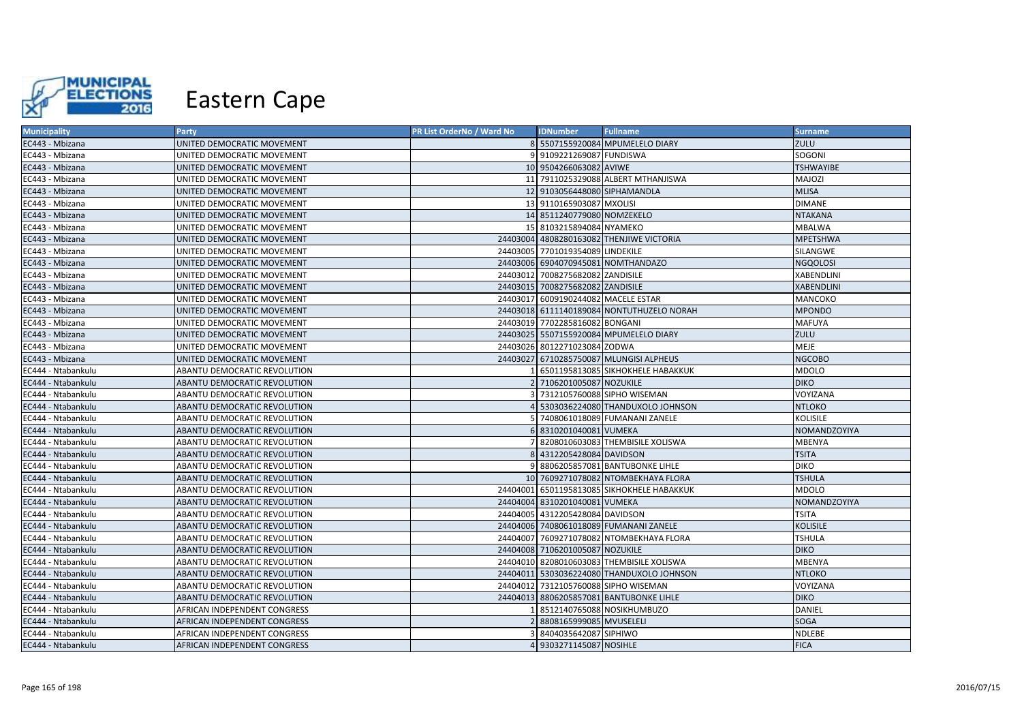

| <b>Municipality</b> | Party                        | PR List OrderNo / Ward No | <b>IDNumber</b>                     | <b>Fullname</b>                            | <b>Surname</b>    |
|---------------------|------------------------------|---------------------------|-------------------------------------|--------------------------------------------|-------------------|
| EC443 - Mbizana     | UNITED DEMOCRATIC MOVEMENT   |                           |                                     | 8 5507155920084 MPUMELELO DIARY            | ZULU              |
| EC443 - Mbizana     | UNITED DEMOCRATIC MOVEMENT   |                           | 9 9109221269087 FUNDISWA            |                                            | SOGONI            |
| EC443 - Mbizana     | UNITED DEMOCRATIC MOVEMENT   |                           | 10 9504266063082 AVIWE              |                                            | <b>TSHWAYIBE</b>  |
| EC443 - Mbizana     | UNITED DEMOCRATIC MOVEMENT   |                           |                                     | 11 7911025329088 ALBERT MTHANJISWA         | MAJOZI            |
| EC443 - Mbizana     | UNITED DEMOCRATIC MOVEMENT   |                           | 12 9103056448080 SIPHAMANDLA        |                                            | <b>MLISA</b>      |
| EC443 - Mbizana     | UNITED DEMOCRATIC MOVEMENT   |                           | 13 9110165903087 MXOLISI            |                                            | <b>DIMANE</b>     |
| EC443 - Mbizana     | UNITED DEMOCRATIC MOVEMENT   |                           | 14 8511240779080 NOMZEKELO          |                                            | <b>NTAKANA</b>    |
| EC443 - Mbizana     | UNITED DEMOCRATIC MOVEMENT   |                           | 15 8103215894084 NYAMEKO            |                                            | MBALWA            |
| EC443 - Mbizana     | UNITED DEMOCRATIC MOVEMENT   |                           |                                     | 24403004 4808280163082 THENJIWE VICTORIA   | <b>MPETSHWA</b>   |
| EC443 - Mbizana     | UNITED DEMOCRATIC MOVEMENT   |                           | 24403005 7701019354089 LINDEKILE    |                                            | <b>SILANGWE</b>   |
| EC443 - Mbizana     | UNITED DEMOCRATIC MOVEMENT   |                           |                                     | 24403006 6904070945081 NOMTHANDAZO         | <b>NGQOLOSI</b>   |
| EC443 - Mbizana     | UNITED DEMOCRATIC MOVEMENT   |                           | 24403012 7008275682082 ZANDISILE    |                                            | <b>XABENDLINI</b> |
| EC443 - Mbizana     | UNITED DEMOCRATIC MOVEMENT   |                           | 24403015 7008275682082 ZANDISILE    |                                            | <b>XABENDLINI</b> |
| EC443 - Mbizana     | UNITED DEMOCRATIC MOVEMENT   |                           | 24403017 6009190244082 MACELE ESTAR |                                            | MANCOKO           |
| EC443 - Mbizana     | UNITED DEMOCRATIC MOVEMENT   |                           |                                     | 24403018 6111140189084 NONTUTHUZELO NORAH  | <b>MPONDO</b>     |
| EC443 - Mbizana     | UNITED DEMOCRATIC MOVEMENT   |                           | 24403019 7702285816082 BONGANI      |                                            | <b>MAFUYA</b>     |
| EC443 - Mbizana     | UNITED DEMOCRATIC MOVEMENT   |                           |                                     | 24403025 5507155920084 MPUMELELO DIARY     | ZULU              |
| EC443 - Mbizana     | UNITED DEMOCRATIC MOVEMENT   |                           | 24403026 8012271023084 ZODWA        |                                            | <b>MEJE</b>       |
| EC443 - Mbizana     | UNITED DEMOCRATIC MOVEMENT   |                           |                                     | 24403027 6710285750087 MLUNGISI ALPHEUS    | <b>NGCOBO</b>     |
| EC444 - Ntabankulu  | ABANTU DEMOCRATIC REVOLUTION |                           |                                     | 6501195813085 SIKHOKHELE HABAKKUK          | MDOLO             |
| EC444 - Ntabankulu  | ABANTU DEMOCRATIC REVOLUTION |                           | 2 7106201005087 NOZUKILE            |                                            | <b>DIKO</b>       |
| EC444 - Ntabankulu  | ABANTU DEMOCRATIC REVOLUTION |                           |                                     | 7312105760088 SIPHO WISEMAN                | VOYIZANA          |
| EC444 - Ntabankulu  | ABANTU DEMOCRATIC REVOLUTION |                           |                                     | 5303036224080 THANDUXOLO JOHNSON           | <b>NTLOKO</b>     |
| EC444 - Ntabankulu  | ABANTU DEMOCRATIC REVOLUTION |                           |                                     | 7408061018089 FUMANANI ZANELE              | <b>KOLISILE</b>   |
| EC444 - Ntabankulu  | ABANTU DEMOCRATIC REVOLUTION |                           | 8310201040081 VUMEKA                |                                            | NOMANDZOYIYA      |
| EC444 - Ntabankulu  | ABANTU DEMOCRATIC REVOLUTION |                           |                                     | 8208010603083 THEMBISILE XOLISWA           | MBENYA            |
| EC444 - Ntabankulu  | ABANTU DEMOCRATIC REVOLUTION |                           | 8 4312205428084 DAVIDSON            |                                            | <b>TSITA</b>      |
| EC444 - Ntabankulu  | ABANTU DEMOCRATIC REVOLUTION |                           |                                     | 8806205857081 BANTUBONKE LIHLE             | <b>DIKO</b>       |
| EC444 - Ntabankulu  | ABANTU DEMOCRATIC REVOLUTION |                           |                                     | 10 7609271078082 NTOMBEKHAYA FLORA         | <b>TSHULA</b>     |
| EC444 - Ntabankulu  | ABANTU DEMOCRATIC REVOLUTION |                           |                                     | 24404001 6501195813085 SIKHOKHELE HABAKKUK | <b>MDOLO</b>      |
| EC444 - Ntabankulu  | ABANTU DEMOCRATIC REVOLUTION |                           | 24404004 8310201040081 VUMEKA       |                                            | NOMANDZOYIYA      |
| EC444 - Ntabankulu  | ABANTU DEMOCRATIC REVOLUTION |                           | 24404005 4312205428084 DAVIDSON     |                                            | <b>TSITA</b>      |
| EC444 - Ntabankulu  | ABANTU DEMOCRATIC REVOLUTION |                           |                                     | 24404006 7408061018089 FUMANANI ZANELE     | <b>KOLISILE</b>   |
| EC444 - Ntabankulu  | ABANTU DEMOCRATIC REVOLUTION |                           |                                     | 24404007 7609271078082 NTOMBEKHAYA FLORA   | <b>TSHULA</b>     |
| EC444 - Ntabankulu  | ABANTU DEMOCRATIC REVOLUTION |                           | 24404008 7106201005087 NOZUKILE     |                                            | <b>DIKO</b>       |
| EC444 - Ntabankulu  | ABANTU DEMOCRATIC REVOLUTION |                           |                                     | 24404010 8208010603083 THEMBISILE XOLISWA  | <b>MBENYA</b>     |
| EC444 - Ntabankulu  | ABANTU DEMOCRATIC REVOLUTION |                           |                                     | 24404011 5303036224080 THANDUXOLO JOHNSON  | <b>NTLOKO</b>     |
| EC444 - Ntabankulu  | ABANTU DEMOCRATIC REVOLUTION |                           |                                     | 24404012 7312105760088 SIPHO WISEMAN       | VOYIZANA          |
| EC444 - Ntabankulu  | ABANTU DEMOCRATIC REVOLUTION | 24404013                  |                                     | 8806205857081 BANTUBONKE LIHLE             | <b>DIKO</b>       |
| EC444 - Ntabankulu  | AFRICAN INDEPENDENT CONGRESS |                           |                                     | 8512140765088 NOSIKHUMBUZO                 | DANIEL            |
| EC444 - Ntabankulu  | AFRICAN INDEPENDENT CONGRESS |                           | 8808165999085 MVUSELELI             |                                            | <b>SOGA</b>       |
| EC444 - Ntabankulu  | AFRICAN INDEPENDENT CONGRESS |                           | 8404035642087 SIPHIWO               |                                            | NDLEBE            |
| EC444 - Ntabankulu  | AFRICAN INDEPENDENT CONGRESS |                           | 4 9303271145087 NOSIHLE             |                                            | <b>FICA</b>       |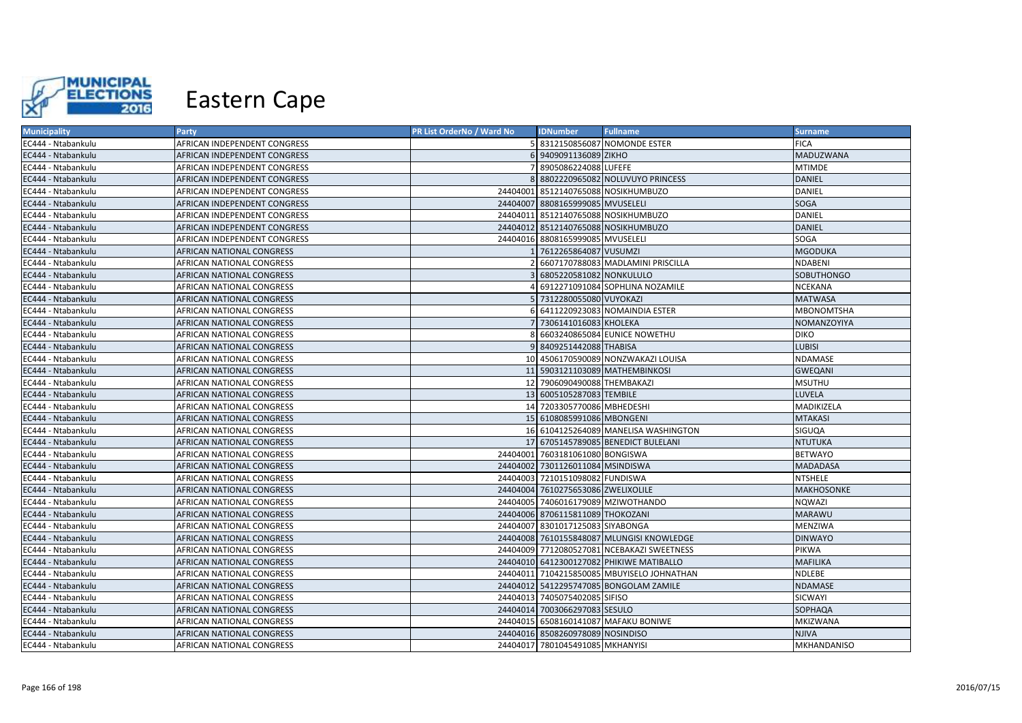

| <b>Municipality</b> | <b>Party</b>                     | PR List OrderNo / Ward No | <b>IDNumber</b>                    | <b>Fullname</b>                            | <b>Surname</b>     |
|---------------------|----------------------------------|---------------------------|------------------------------------|--------------------------------------------|--------------------|
| EC444 - Ntabankulu  | AFRICAN INDEPENDENT CONGRESS     |                           |                                    | 5 8312150856087 NOMONDE ESTER              | <b>FICA</b>        |
| EC444 - Ntabankulu  | AFRICAN INDEPENDENT CONGRESS     |                           | 6 9409091136089 ZIKHO              |                                            | MADUZWANA          |
| EC444 - Ntabankulu  | AFRICAN INDEPENDENT CONGRESS     |                           | 7 8905086224088 LUFEFE             |                                            | <b>MTIMDE</b>      |
| EC444 - Ntabankulu  | AFRICAN INDEPENDENT CONGRESS     |                           |                                    | 8 8802220965082 NOLUVUYO PRINCESS          | DANIEL             |
| EC444 - Ntabankulu  | AFRICAN INDEPENDENT CONGRESS     |                           |                                    | 24404001 8512140765088 NOSIKHUMBUZO        | DANIEL             |
| EC444 - Ntabankulu  | AFRICAN INDEPENDENT CONGRESS     |                           | 24404007 8808165999085 MVUSELELI   |                                            | SOGA               |
| EC444 - Ntabankulu  | AFRICAN INDEPENDENT CONGRESS     |                           |                                    | 24404011 8512140765088 NOSIKHUMBUZO        | DANIEL             |
| EC444 - Ntabankulu  | AFRICAN INDEPENDENT CONGRESS     |                           |                                    | 24404012 8512140765088 NOSIKHUMBUZO        | DANIEL             |
| EC444 - Ntabankulu  | AFRICAN INDEPENDENT CONGRESS     |                           | 24404016 8808165999085 MVUSELELI   |                                            | SOGA               |
| EC444 - Ntabankulu  | AFRICAN NATIONAL CONGRESS        |                           | 1 7612265864087 VUSUMZI            |                                            | <b>MGODUKA</b>     |
| EC444 - Ntabankulu  | AFRICAN NATIONAL CONGRESS        |                           |                                    | 6607170788083 MADLAMINI PRISCILLA          | NDABENI            |
| EC444 - Ntabankulu  | AFRICAN NATIONAL CONGRESS        |                           | 6805220581082 NONKULULO            |                                            | SOBUTHONGO         |
| EC444 - Ntabankulu  | AFRICAN NATIONAL CONGRESS        |                           |                                    | 4 6912271091084 SOPHLINA NOZAMILE          | NCEKANA            |
| EC444 - Ntabankulu  | AFRICAN NATIONAL CONGRESS        |                           | 5 7312280055080 VUYOKAZI           |                                            | <b>MATWASA</b>     |
| EC444 - Ntabankulu  | AFRICAN NATIONAL CONGRESS        |                           |                                    | 6 6411220923083 NOMAINDIA ESTER            | MBONOMTSHA         |
| EC444 - Ntabankulu  | AFRICAN NATIONAL CONGRESS        |                           | 7 7306141016083 KHOLEKA            |                                            | NOMANZOYIYA        |
| EC444 - Ntabankulu  | AFRICAN NATIONAL CONGRESS        |                           |                                    | 8 6603240865084 EUNICE NOWETHU             | <b>DIKO</b>        |
| EC444 - Ntabankulu  | AFRICAN NATIONAL CONGRESS        |                           | 9 8409251442088 THABISA            |                                            | <b>LUBISI</b>      |
| EC444 - Ntabankulu  | AFRICAN NATIONAL CONGRESS        |                           |                                    | 10 4506170590089 NONZWAKAZI LOUISA         | NDAMASE            |
| EC444 - Ntabankulu  | AFRICAN NATIONAL CONGRESS        |                           |                                    | 11 5903121103089 MATHEMBINKOSI             | <b>GWEQANI</b>     |
| EC444 - Ntabankulu  | AFRICAN NATIONAL CONGRESS        |                           | 12 7906090490088 THEMBAKAZI        |                                            | <b>MSUTHU</b>      |
| EC444 - Ntabankulu  | AFRICAN NATIONAL CONGRESS        |                           | 13 6005105287083 TEMBILE           |                                            | LUVELA             |
| EC444 - Ntabankulu  | AFRICAN NATIONAL CONGRESS        |                           | 14 7203305770086 MBHEDESHI         |                                            | MADIKIZELA         |
| EC444 - Ntabankulu  | AFRICAN NATIONAL CONGRESS        |                           | 15 6108085991086 MBONGENI          |                                            | <b>MTAKASI</b>     |
| EC444 - Ntabankulu  | AFRICAN NATIONAL CONGRESS        |                           |                                    | 16 6104125264089 MANELISA WASHINGTON       | SIGUQA             |
| EC444 - Ntabankulu  | AFRICAN NATIONAL CONGRESS        |                           |                                    | 17 6705145789085 BENEDICT BULELANI         | <b>NTUTUKA</b>     |
| EC444 - Ntabankulu  | AFRICAN NATIONAL CONGRESS        |                           | 24404001 7603181061080 BONGISWA    |                                            | <b>BETWAYO</b>     |
| EC444 - Ntabankulu  | <b>AFRICAN NATIONAL CONGRESS</b> |                           | 24404002 7301126011084 MSINDISWA   |                                            | <b>MADADASA</b>    |
| EC444 - Ntabankulu  | AFRICAN NATIONAL CONGRESS        |                           | 24404003 7210151098082 FUNDISWA    |                                            | <b>NTSHELE</b>     |
| EC444 - Ntabankulu  | <b>AFRICAN NATIONAL CONGRESS</b> |                           | 24404004 7610275653086 ZWELIXOLILE |                                            | <b>MAKHOSONKE</b>  |
| EC444 - Ntabankulu  | AFRICAN NATIONAL CONGRESS        |                           |                                    | 24404005 7406016179089 MZIWOTHANDO         | <b>NQWAZI</b>      |
| EC444 - Ntabankulu  | AFRICAN NATIONAL CONGRESS        |                           | 24404006 8706115811089 THOKOZANI   |                                            | <b>MARAWU</b>      |
| EC444 - Ntabankulu  | AFRICAN NATIONAL CONGRESS        |                           | 24404007 8301017125083 SIYABONGA   |                                            | MENZIWA            |
| EC444 - Ntabankulu  | AFRICAN NATIONAL CONGRESS        |                           |                                    | 24404008 7610155848087 MLUNGISI KNOWLEDGE  | <b>DINWAYO</b>     |
| EC444 - Ntabankulu  | AFRICAN NATIONAL CONGRESS        |                           |                                    | 24404009 7712080527081 NCEBAKAZI SWEETNESS | PIKWA              |
| EC444 - Ntabankulu  | AFRICAN NATIONAL CONGRESS        |                           |                                    | 24404010 6412300127082 PHIKIWE MATIBALLO   | <b>MAFILIKA</b>    |
| EC444 - Ntabankulu  | AFRICAN NATIONAL CONGRESS        |                           |                                    | 24404011 7104215850085 MBUYISELO JOHNATHAN | NDLEBE             |
| EC444 - Ntabankulu  | AFRICAN NATIONAL CONGRESS        |                           |                                    | 24404012 5412295747085 BONGOLAM ZAMILE     | NDAMASE            |
| EC444 - Ntabankulu  | AFRICAN NATIONAL CONGRESS        |                           | 24404013 7405075402085 SIFISO      |                                            | SICWAYI            |
| EC444 - Ntabankulu  | AFRICAN NATIONAL CONGRESS        |                           | 24404014 7003066297083 SESULO      |                                            | SOPHAQA            |
| EC444 - Ntabankulu  | AFRICAN NATIONAL CONGRESS        |                           |                                    | 24404015 6508160141087 MAFAKU BONIWE       | MKIZWANA           |
| EC444 - Ntabankulu  | AFRICAN NATIONAL CONGRESS        |                           | 24404016 8508260978089 NOSINDISO   |                                            | <b>NJIVA</b>       |
| EC444 - Ntabankulu  | AFRICAN NATIONAL CONGRESS        |                           | 24404017 7801045491085 MKHANYISI   |                                            | <b>MKHANDANISO</b> |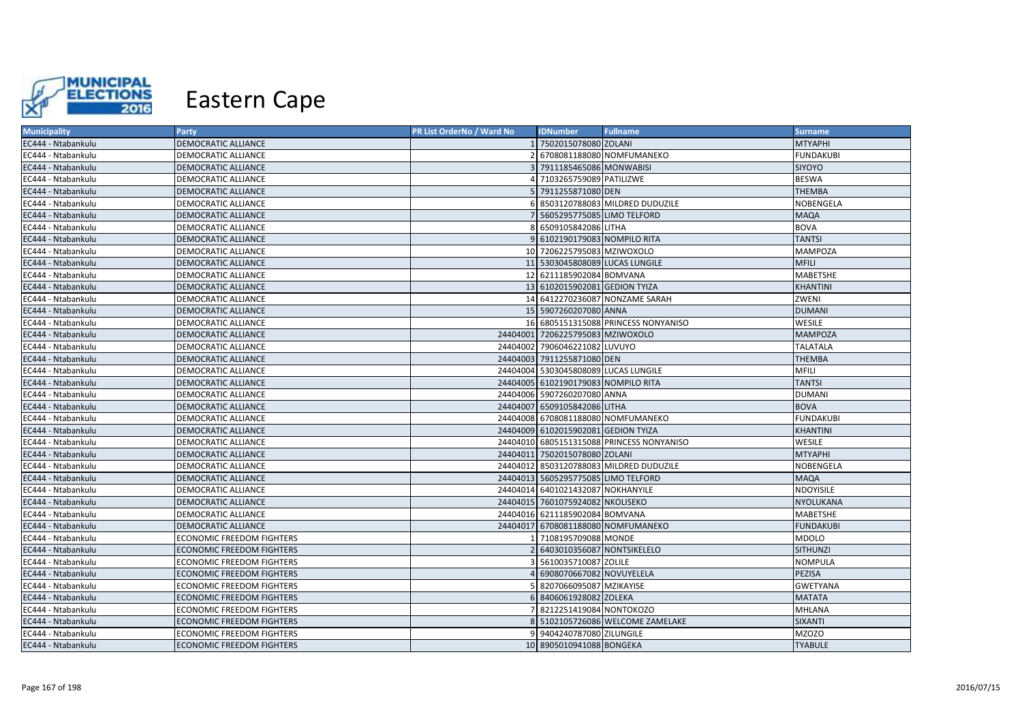

| <b>Municipality</b> | <b>Party</b>                     | PR List OrderNo / Ward No | <b>IDNumber</b>                      | <b>Fullname</b>                           | <b>Surname</b>   |
|---------------------|----------------------------------|---------------------------|--------------------------------------|-------------------------------------------|------------------|
| EC444 - Ntabankulu  | DEMOCRATIC ALLIANCE              |                           | 7502015078080 ZOLANI                 |                                           | <b>MTYAPHI</b>   |
| EC444 - Ntabankulu  | DEMOCRATIC ALLIANCE              |                           |                                      | 6708081188080 NOMFUMANEKO                 | <b>FUNDAKUBI</b> |
| EC444 - Ntabankulu  | DEMOCRATIC ALLIANCE              |                           | 7911185465086 MONWABISI              |                                           | SIYOYO           |
| EC444 - Ntabankulu  | DEMOCRATIC ALLIANCE              |                           | 4 7103265759089 PATILIZWE            |                                           | <b>BESWA</b>     |
| EC444 - Ntabankulu  | DEMOCRATIC ALLIANCE              |                           | 7911255871080 DEN                    |                                           | <b>THEMBA</b>    |
| EC444 - Ntabankulu  | DEMOCRATIC ALLIANCE              |                           |                                      | 8503120788083 MILDRED DUDUZILE            | NOBENGELA        |
| EC444 - Ntabankulu  | DEMOCRATIC ALLIANCE              |                           | 5605295775085 LIMO TELFORD           |                                           | <b>MAQA</b>      |
| EC444 - Ntabankulu  | DEMOCRATIC ALLIANCE              |                           | 6509105842086 LITHA                  |                                           | <b>BOVA</b>      |
| EC444 - Ntabankulu  | DEMOCRATIC ALLIANCE              |                           | 9 6102190179083 NOMPILO RITA         |                                           | <b>TANTSI</b>    |
| EC444 - Ntabankulu  | DEMOCRATIC ALLIANCE              |                           | 10 7206225795083 MZIWOXOLO           |                                           | <b>MAMPOZA</b>   |
| EC444 - Ntabankulu  | DEMOCRATIC ALLIANCE              |                           | 11 5303045808089 LUCAS LUNGILE       |                                           | <b>MFILI</b>     |
| EC444 - Ntabankulu  | DEMOCRATIC ALLIANCE              |                           | 12 6211185902084 BOMVANA             |                                           | <b>MABETSHE</b>  |
| EC444 - Ntabankulu  | DEMOCRATIC ALLIANCE              |                           | 13 6102015902081 GEDION TYIZA        |                                           | KHANTINI         |
| EC444 - Ntabankulu  | DEMOCRATIC ALLIANCE              |                           |                                      | 14 6412270236087 NONZAME SARAH            | ZWENI            |
| EC444 - Ntabankulu  | DEMOCRATIC ALLIANCE              |                           | 15 5907260207080 ANNA                |                                           | <b>DUMANI</b>    |
| EC444 - Ntabankulu  | DEMOCRATIC ALLIANCE              |                           |                                      | 16 6805151315088 PRINCESS NONYANISO       | WESILE           |
| EC444 - Ntabankulu  | DEMOCRATIC ALLIANCE              |                           | 24404001 7206225795083 MZIWOXOLO     |                                           | <b>MAMPOZA</b>   |
| EC444 - Ntabankulu  | DEMOCRATIC ALLIANCE              |                           | 24404002 7906046221082 LUVUYO        |                                           | <b>TALATALA</b>  |
| EC444 - Ntabankulu  | DEMOCRATIC ALLIANCE              |                           | 24404003 7911255871080 DEN           |                                           | <b>THEMBA</b>    |
| EC444 - Ntabankulu  | DEMOCRATIC ALLIANCE              |                           | 24404004 5303045808089 LUCAS LUNGILE |                                           | MFILI            |
| EC444 - Ntabankulu  | DEMOCRATIC ALLIANCE              |                           | 24404005 6102190179083 NOMPILO RITA  |                                           | <b>TANTSI</b>    |
| EC444 - Ntabankulu  | DEMOCRATIC ALLIANCE              |                           | 24404006 5907260207080 ANNA          |                                           | <b>DUMANI</b>    |
| EC444 - Ntabankulu  | DEMOCRATIC ALLIANCE              |                           | 24404007 6509105842086 LITHA         |                                           | <b>BOVA</b>      |
| EC444 - Ntabankulu  | DEMOCRATIC ALLIANCE              |                           |                                      | 24404008 6708081188080 NOMFUMANEKO        | <b>FUNDAKUBI</b> |
| EC444 - Ntabankulu  | DEMOCRATIC ALLIANCE              |                           | 24404009 6102015902081 GEDION TYIZA  |                                           | KHANTINI         |
| EC444 - Ntabankulu  | DEMOCRATIC ALLIANCE              |                           |                                      | 24404010 6805151315088 PRINCESS NONYANISO | WESILE           |
| EC444 - Ntabankulu  | DEMOCRATIC ALLIANCE              |                           | 24404011 7502015078080 ZOLANI        |                                           | <b>MTYAPHI</b>   |
| EC444 - Ntabankulu  | DEMOCRATIC ALLIANCE              |                           |                                      | 24404012 8503120788083 MILDRED DUDUZILE   | NOBENGELA        |
| EC444 - Ntabankulu  | DEMOCRATIC ALLIANCE              |                           | 24404013 5605295775085 LIMO TELFORD  |                                           | <b>MAQA</b>      |
| EC444 - Ntabankulu  | DEMOCRATIC ALLIANCE              |                           | 24404014 6401021432087 NOKHANYILE    |                                           | NDOYISILE        |
| EC444 - Ntabankulu  | DEMOCRATIC ALLIANCE              |                           | 24404015 7601075924082 NKOLISEKO     |                                           | <b>NYOLUKANA</b> |
| EC444 - Ntabankulu  | DEMOCRATIC ALLIANCE              |                           | 24404016 6211185902084 BOMVANA       |                                           | MABETSHE         |
| EC444 - Ntabankulu  | DEMOCRATIC ALLIANCE              |                           |                                      | 24404017 6708081188080 NOMFUMANEKO        | <b>FUNDAKUBI</b> |
| EC444 - Ntabankulu  | ECONOMIC FREEDOM FIGHTERS        |                           | 7108195709088 MONDE                  |                                           | <b>MDOLO</b>     |
| EC444 - Ntabankulu  | <b>ECONOMIC FREEDOM FIGHTERS</b> |                           | 6403010356087 NONTSIKELELO           |                                           | SITHUNZI         |
| EC444 - Ntabankulu  | ECONOMIC FREEDOM FIGHTERS        |                           | 5610035710087 ZOLILE                 |                                           | <b>NOMPULA</b>   |
| EC444 - Ntabankulu  | <b>ECONOMIC FREEDOM FIGHTERS</b> |                           | 6908070667082 NOVUYELELA             |                                           | PEZISA           |
| EC444 - Ntabankulu  | ECONOMIC FREEDOM FIGHTERS        |                           | 8207066095087 MZIKAYISE              |                                           | <b>GWETYANA</b>  |
| EC444 - Ntabankulu  | ECONOMIC FREEDOM FIGHTERS        |                           | 8406061928082 ZOLEKA                 |                                           | <b>MATATA</b>    |
| EC444 - Ntabankulu  | ECONOMIC FREEDOM FIGHTERS        |                           | 8212251419084 NONTOKOZO              |                                           | MHLANA           |
| EC444 - Ntabankulu  | ECONOMIC FREEDOM FIGHTERS        |                           |                                      | 8 5102105726086 WELCOME ZAMELAKE          | SIXANTI          |
| EC444 - Ntabankulu  | <b>ECONOMIC FREEDOM FIGHTERS</b> |                           | 9404240787080 ZILUNGILE              |                                           | MZOZO            |
| EC444 - Ntabankulu  | <b>ECONOMIC FREEDOM FIGHTERS</b> |                           | 10 8905010941088 BONGEKA             |                                           | <b>TYABULE</b>   |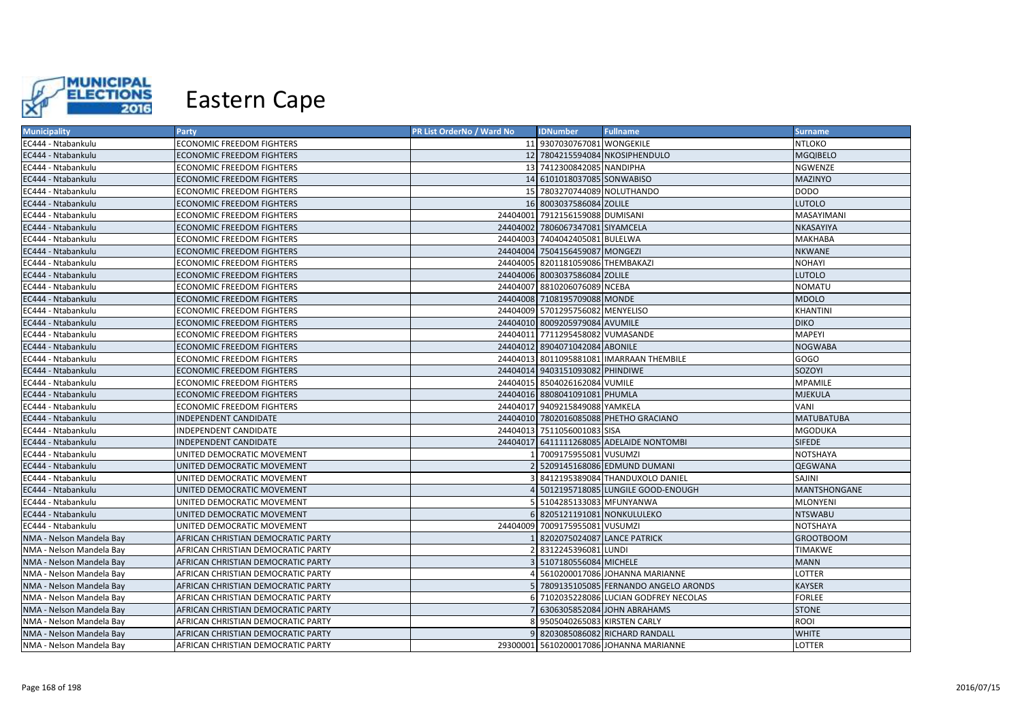

| <b>Municipality</b>      | <b>Party</b>                       | PR List OrderNo / Ward No | <b>IDNumber</b>                   | <b>Fullname</b>                          | <b>Surname</b>    |
|--------------------------|------------------------------------|---------------------------|-----------------------------------|------------------------------------------|-------------------|
| EC444 - Ntabankulu       | ECONOMIC FREEDOM FIGHTERS          |                           | 11 9307030767081 WONGEKILE        |                                          | <b>NTLOKO</b>     |
| EC444 - Ntabankulu       | ECONOMIC FREEDOM FIGHTERS          |                           |                                   | 12 7804215594084 NKOSIPHENDULO           | <b>MGQIBELO</b>   |
| EC444 - Ntabankulu       | <b>ECONOMIC FREEDOM FIGHTERS</b>   |                           | 13 7412300842085 NANDIPHA         |                                          | NGWENZE           |
| EC444 - Ntabankulu       | ECONOMIC FREEDOM FIGHTERS          |                           | 14 6101018037085 SONWABISO        |                                          | <b>MAZINYO</b>    |
| EC444 - Ntabankulu       | ECONOMIC FREEDOM FIGHTERS          |                           | 15 7803270744089 NOLUTHANDO       |                                          | <b>DODO</b>       |
| EC444 - Ntabankulu       | ECONOMIC FREEDOM FIGHTERS          |                           | 16 8003037586084 ZOLILE           |                                          | <b>LUTOLO</b>     |
| EC444 - Ntabankulu       | ECONOMIC FREEDOM FIGHTERS          |                           | 24404001 7912156159088 DUMISANI   |                                          | MASAYIMANI        |
| EC444 - Ntabankulu       | ECONOMIC FREEDOM FIGHTERS          |                           | 24404002 7806067347081 SIYAMCELA  |                                          | NKASAYIYA         |
| EC444 - Ntabankulu       | ECONOMIC FREEDOM FIGHTERS          |                           | 24404003 7404042405081 BULELWA    |                                          | <b>MAKHABA</b>    |
| EC444 - Ntabankulu       | <b>ECONOMIC FREEDOM FIGHTERS</b>   |                           | 24404004 7504156459087 MONGEZI    |                                          | <b>NKWANE</b>     |
| EC444 - Ntabankulu       | ECONOMIC FREEDOM FIGHTERS          |                           | 24404005 8201181059086 THEMBAKAZI |                                          | <b>NOHAYI</b>     |
| EC444 - Ntabankulu       | <b>ECONOMIC FREEDOM FIGHTERS</b>   |                           | 24404006 8003037586084 ZOLILE     |                                          | <b>LUTOLO</b>     |
| EC444 - Ntabankulu       | ECONOMIC FREEDOM FIGHTERS          |                           | 24404007 8810206076089 NCEBA      |                                          | <b>NOMATU</b>     |
| EC444 - Ntabankulu       | <b>ECONOMIC FREEDOM FIGHTERS</b>   |                           | 24404008 7108195709088 MONDE      |                                          | <b>MDOLO</b>      |
| EC444 - Ntabankulu       | <b>ECONOMIC FREEDOM FIGHTERS</b>   |                           | 24404009 5701295756082 MENYELISO  |                                          | <b>KHANTINI</b>   |
| EC444 - Ntabankulu       | <b>ECONOMIC FREEDOM FIGHTERS</b>   |                           | 24404010 8009205979084 AVUMILE    |                                          | <b>DIKO</b>       |
| EC444 - Ntabankulu       | <b>ECONOMIC FREEDOM FIGHTERS</b>   |                           | 24404011 7711295458082 VUMASANDE  |                                          | <b>MAPEYI</b>     |
| EC444 - Ntabankulu       | <b>ECONOMIC FREEDOM FIGHTERS</b>   |                           | 24404012 8904071042084 ABONILE    |                                          | <b>NOGWABA</b>    |
| EC444 - Ntabankulu       | ECONOMIC FREEDOM FIGHTERS          |                           |                                   | 24404013 8011095881081 IMARRAAN THEMBILE | GOGO              |
| EC444 - Ntabankulu       | <b>ECONOMIC FREEDOM FIGHTERS</b>   |                           | 24404014 9403151093082 PHINDIWE   |                                          | SOZOYI            |
| EC444 - Ntabankulu       | <b>ECONOMIC FREEDOM FIGHTERS</b>   |                           | 24404015 8504026162084 VUMILE     |                                          | <b>MPAMILE</b>    |
| EC444 - Ntabankulu       | <b>ECONOMIC FREEDOM FIGHTERS</b>   |                           | 24404016 8808041091081 PHUMLA     |                                          | <b>MJEKULA</b>    |
| EC444 - Ntabankulu       | ECONOMIC FREEDOM FIGHTERS          |                           | 24404017 9409215849088 YAMKELA    |                                          | <b>VANI</b>       |
| EC444 - Ntabankulu       | INDEPENDENT CANDIDATE              |                           |                                   | 24404010 7802016085088 PHETHO GRACIANO   | <b>MATUBATUBA</b> |
| EC444 - Ntabankulu       | INDEPENDENT CANDIDATE              |                           | 24404013 7511056001083 SISA       |                                          | <b>MGODUKA</b>    |
| EC444 - Ntabankulu       | INDEPENDENT CANDIDATE              |                           |                                   | 24404017 6411111268085 ADELAIDE NONTOMBI | <b>SIFEDE</b>     |
| EC444 - Ntabankulu       | UNITED DEMOCRATIC MOVEMENT         |                           | 7009175955081 VUSUMZI             |                                          | <b>NOTSHAYA</b>   |
| EC444 - Ntabankulu       | UNITED DEMOCRATIC MOVEMENT         |                           |                                   | 5209145168086 EDMUND DUMANI              | <b>QEGWANA</b>    |
| EC444 - Ntabankulu       | UNITED DEMOCRATIC MOVEMENT         |                           |                                   | 8412195389084 THANDUXOLO DANIEL          | SAJINI            |
| EC444 - Ntabankulu       | UNITED DEMOCRATIC MOVEMENT         |                           |                                   | 5012195718085 LUNGILE GOOD-ENOUGH        | MANTSHONGANE      |
| EC444 - Ntabankulu       | UNITED DEMOCRATIC MOVEMENT         |                           | 5 5104285133083 MFUNYANWA         |                                          | <b>MLONYENI</b>   |
| EC444 - Ntabankulu       | UNITED DEMOCRATIC MOVEMENT         |                           | 6 8205121191081 NONKULULEKO       |                                          | <b>NTSWABU</b>    |
| EC444 - Ntabankulu       | UNITED DEMOCRATIC MOVEMENT         |                           | 24404009 7009175955081 VUSUMZI    |                                          | <b>NOTSHAYA</b>   |
| NMA - Nelson Mandela Bay | AFRICAN CHRISTIAN DEMOCRATIC PARTY |                           | 8202075024087 LANCE PATRICK       |                                          | <b>GROOTBOOM</b>  |
| NMA - Nelson Mandela Bay | AFRICAN CHRISTIAN DEMOCRATIC PARTY |                           | 8312245396081 LUNDI               |                                          | TIMAKWE           |
| NMA - Nelson Mandela Bay | AFRICAN CHRISTIAN DEMOCRATIC PARTY |                           | 5107180556084 MICHELE             |                                          | <b>MANN</b>       |
| NMA - Nelson Mandela Bay | AFRICAN CHRISTIAN DEMOCRATIC PARTY |                           |                                   | 5610200017086 JOHANNA MARIANNE           | <b>LOTTER</b>     |
| NMA - Nelson Mandela Bay | AFRICAN CHRISTIAN DEMOCRATIC PARTY |                           |                                   | 7809135105085 FERNANDO ANGELO ARONDS     | <b>KAYSER</b>     |
| NMA - Nelson Mandela Bay | AFRICAN CHRISTIAN DEMOCRATIC PARTY |                           |                                   | 7102035228086 LUCIAN GODFREY NECOLAS     | <b>FORLEE</b>     |
| NMA - Nelson Mandela Bay | AFRICAN CHRISTIAN DEMOCRATIC PARTY |                           |                                   | 6306305852084 JOHN ABRAHAMS              | <b>STONE</b>      |
| NMA - Nelson Mandela Bay | AFRICAN CHRISTIAN DEMOCRATIC PARTY |                           | 9505040265083 KIRSTEN CARLY       |                                          | ROOI              |
| NMA - Nelson Mandela Bay | AFRICAN CHRISTIAN DEMOCRATIC PARTY |                           |                                   | 8203085086082 RICHARD RANDALL            | <b>WHITE</b>      |
| NMA - Nelson Mandela Bay | AFRICAN CHRISTIAN DEMOCRATIC PARTY |                           |                                   | 29300001 5610200017086 JOHANNA MARIANNE  | <b>LOTTER</b>     |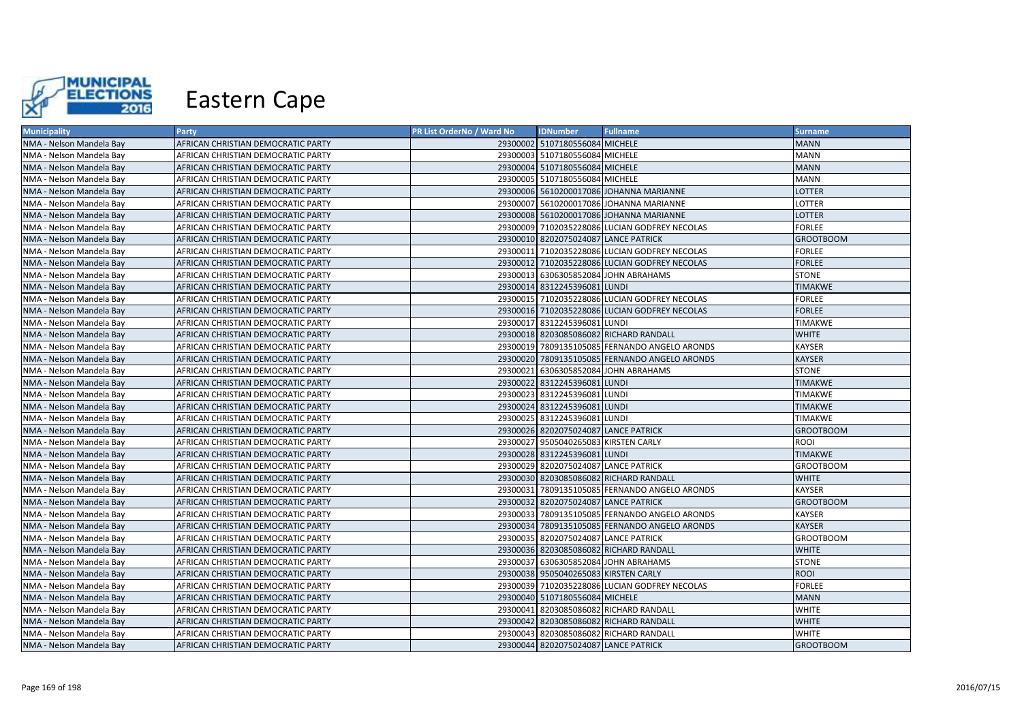

| <b>Municipality</b>      | Party                              | PR List OrderNo / Ward No | <b>IDNumber</b>                      | <b>Fullname</b>                               | Surname,         |
|--------------------------|------------------------------------|---------------------------|--------------------------------------|-----------------------------------------------|------------------|
| NMA - Nelson Mandela Bay | AFRICAN CHRISTIAN DEMOCRATIC PARTY |                           | 29300002 5107180556084 MICHELE       |                                               | <b>MANN</b>      |
| NMA - Nelson Mandela Bay | AFRICAN CHRISTIAN DEMOCRATIC PARTY |                           | 29300003 5107180556084 MICHELE       |                                               | <b>MANN</b>      |
| NMA - Nelson Mandela Bay | AFRICAN CHRISTIAN DEMOCRATIC PARTY |                           | 29300004 5107180556084 MICHELE       |                                               | <b>MANN</b>      |
| NMA - Nelson Mandela Bay | AFRICAN CHRISTIAN DEMOCRATIC PARTY |                           | 29300005 5107180556084 MICHELE       |                                               | <b>MANN</b>      |
| NMA - Nelson Mandela Bay | AFRICAN CHRISTIAN DEMOCRATIC PARTY |                           |                                      | 29300006 5610200017086 JOHANNA MARIANNE       | LOTTER           |
| NMA - Nelson Mandela Bay | AFRICAN CHRISTIAN DEMOCRATIC PARTY |                           |                                      | 29300007 5610200017086 JOHANNA MARIANNE       | LOTTER           |
| NMA - Nelson Mandela Bay | AFRICAN CHRISTIAN DEMOCRATIC PARTY |                           |                                      | 29300008 5610200017086 JOHANNA MARIANNE       | LOTTER           |
| NMA - Nelson Mandela Bay | AFRICAN CHRISTIAN DEMOCRATIC PARTY |                           |                                      | 29300009 7102035228086 LUCIAN GODFREY NECOLAS | <b>FORLEE</b>    |
| NMA - Nelson Mandela Bay | AFRICAN CHRISTIAN DEMOCRATIC PARTY |                           | 29300010 8202075024087 LANCE PATRICK |                                               | <b>GROOTBOOM</b> |
| NMA - Nelson Mandela Bay | AFRICAN CHRISTIAN DEMOCRATIC PARTY |                           |                                      | 29300011 7102035228086 LUCIAN GODFREY NECOLAS | <b>FORLEE</b>    |
| NMA - Nelson Mandela Bay | AFRICAN CHRISTIAN DEMOCRATIC PARTY |                           |                                      | 29300012 7102035228086 LUCIAN GODFREY NECOLAS | <b>FORLEE</b>    |
| NMA - Nelson Mandela Bay | AFRICAN CHRISTIAN DEMOCRATIC PARTY |                           |                                      | 29300013 6306305852084 JOHN ABRAHAMS          | <b>STONE</b>     |
| NMA - Nelson Mandela Bay | AFRICAN CHRISTIAN DEMOCRATIC PARTY |                           | 29300014 8312245396081 LUNDI         |                                               | <b>TIMAKWE</b>   |
| NMA - Nelson Mandela Bay | AFRICAN CHRISTIAN DEMOCRATIC PARTY |                           |                                      | 29300015 7102035228086 LUCIAN GODFREY NECOLAS | <b>FORLEE</b>    |
| NMA - Nelson Mandela Bay | AFRICAN CHRISTIAN DEMOCRATIC PARTY |                           |                                      | 29300016 7102035228086 LUCIAN GODFREY NECOLAS | <b>FORLEE</b>    |
| NMA - Nelson Mandela Bay | AFRICAN CHRISTIAN DEMOCRATIC PARTY |                           | 29300017 8312245396081 LUNDI         |                                               | <b>TIMAKWE</b>   |
| NMA - Nelson Mandela Bay | AFRICAN CHRISTIAN DEMOCRATIC PARTY |                           |                                      | 29300018 8203085086082 RICHARD RANDALL        | <b>WHITE</b>     |
| NMA - Nelson Mandela Bay | AFRICAN CHRISTIAN DEMOCRATIC PARTY |                           |                                      | 29300019 7809135105085 FERNANDO ANGELO ARONDS | KAYSER           |
| NMA - Nelson Mandela Bay | AFRICAN CHRISTIAN DEMOCRATIC PARTY |                           |                                      | 29300020 7809135105085 FERNANDO ANGELO ARONDS | <b>KAYSER</b>    |
| NMA - Nelson Mandela Bay | AFRICAN CHRISTIAN DEMOCRATIC PARTY |                           |                                      | 29300021 6306305852084 JOHN ABRAHAMS          | <b>STONE</b>     |
| NMA - Nelson Mandela Bay | AFRICAN CHRISTIAN DEMOCRATIC PARTY |                           | 29300022 8312245396081 LUNDI         |                                               | <b>TIMAKWE</b>   |
| NMA - Nelson Mandela Bay | AFRICAN CHRISTIAN DEMOCRATIC PARTY |                           | 29300023 8312245396081 LUNDI         |                                               | <b>TIMAKWE</b>   |
| NMA - Nelson Mandela Bay | AFRICAN CHRISTIAN DEMOCRATIC PARTY |                           | 29300024 8312245396081 LUNDI         |                                               | <b>TIMAKWE</b>   |
| NMA - Nelson Mandela Bay | AFRICAN CHRISTIAN DEMOCRATIC PARTY |                           | 29300025 8312245396081 LUNDI         |                                               | <b>TIMAKWE</b>   |
| NMA - Nelson Mandela Bay | AFRICAN CHRISTIAN DEMOCRATIC PARTY |                           | 29300026 8202075024087 LANCE PATRICK |                                               | <b>GROOTBOOM</b> |
| NMA - Nelson Mandela Bay | AFRICAN CHRISTIAN DEMOCRATIC PARTY |                           | 29300027 9505040265083 KIRSTEN CARLY |                                               | ROOI             |
| NMA - Nelson Mandela Bay | AFRICAN CHRISTIAN DEMOCRATIC PARTY |                           | 29300028 8312245396081 LUNDI         |                                               | <b>TIMAKWE</b>   |
| NMA - Nelson Mandela Bay | AFRICAN CHRISTIAN DEMOCRATIC PARTY |                           | 29300029 8202075024087 LANCE PATRICK |                                               | <b>GROOTBOOM</b> |
| NMA - Nelson Mandela Bay | AFRICAN CHRISTIAN DEMOCRATIC PARTY |                           |                                      | 29300030 8203085086082 RICHARD RANDALL        | <b>WHITE</b>     |
| NMA - Nelson Mandela Bay | AFRICAN CHRISTIAN DEMOCRATIC PARTY |                           |                                      | 29300031 7809135105085 FERNANDO ANGELO ARONDS | <b>KAYSER</b>    |
| NMA - Nelson Mandela Bay | AFRICAN CHRISTIAN DEMOCRATIC PARTY |                           | 29300032 8202075024087 LANCE PATRICK |                                               | <b>GROOTBOOM</b> |
| NMA - Nelson Mandela Bav | AFRICAN CHRISTIAN DEMOCRATIC PARTY |                           |                                      | 29300033 7809135105085 FERNANDO ANGELO ARONDS | <b>KAYSER</b>    |
| NMA - Nelson Mandela Bay | AFRICAN CHRISTIAN DEMOCRATIC PARTY |                           |                                      | 29300034 7809135105085 FERNANDO ANGELO ARONDS | <b>KAYSER</b>    |
| NMA - Nelson Mandela Bay | AFRICAN CHRISTIAN DEMOCRATIC PARTY |                           | 29300035 8202075024087 LANCE PATRICK |                                               | <b>GROOTBOOM</b> |
| NMA - Nelson Mandela Bay | AFRICAN CHRISTIAN DEMOCRATIC PARTY |                           |                                      | 29300036 8203085086082 RICHARD RANDALL        | <b>WHITE</b>     |
| NMA - Nelson Mandela Bay | AFRICAN CHRISTIAN DEMOCRATIC PARTY |                           |                                      | 29300037 6306305852084 JOHN ABRAHAMS          | <b>STONE</b>     |
| NMA - Nelson Mandela Bay | AFRICAN CHRISTIAN DEMOCRATIC PARTY |                           | 29300038 9505040265083 KIRSTEN CARLY |                                               | <b>ROOI</b>      |
| NMA - Nelson Mandela Bay | AFRICAN CHRISTIAN DEMOCRATIC PARTY |                           |                                      | 29300039 7102035228086 LUCIAN GODFREY NECOLAS | <b>FORLEE</b>    |
| NMA - Nelson Mandela Bay | AFRICAN CHRISTIAN DEMOCRATIC PARTY |                           | 29300040 5107180556084 MICHELE       |                                               | <b>MANN</b>      |
| NMA - Nelson Mandela Bay | AFRICAN CHRISTIAN DEMOCRATIC PARTY |                           |                                      | 29300041 8203085086082 RICHARD RANDALL        | <b>WHITE</b>     |
| NMA - Nelson Mandela Bay | AFRICAN CHRISTIAN DEMOCRATIC PARTY |                           |                                      | 29300042 8203085086082 RICHARD RANDALL        | <b>WHITE</b>     |
| NMA - Nelson Mandela Bay | AFRICAN CHRISTIAN DEMOCRATIC PARTY |                           |                                      | 29300043 8203085086082 RICHARD RANDALL        | <b>WHITE</b>     |
| NMA - Nelson Mandela Bay | AFRICAN CHRISTIAN DEMOCRATIC PARTY |                           | 29300044 8202075024087 LANCE PATRICK |                                               | <b>GROOTBOOM</b> |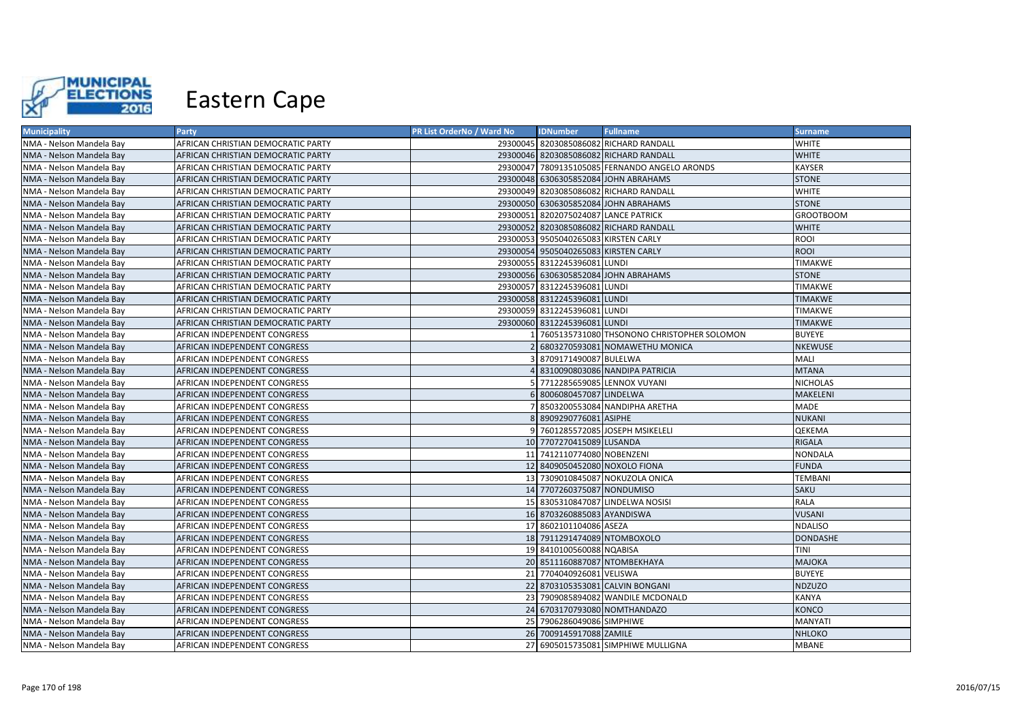

| <b>Municipality</b>      | Party                              | <b>PR List OrderNo / Ward No</b> | <b>IDNumber</b>                      | <b>Fullname</b>                               | <b>Surname</b>   |
|--------------------------|------------------------------------|----------------------------------|--------------------------------------|-----------------------------------------------|------------------|
| NMA - Nelson Mandela Bay | AFRICAN CHRISTIAN DEMOCRATIC PARTY |                                  |                                      | 29300045 8203085086082 RICHARD RANDALL        | <b>WHITE</b>     |
| NMA - Nelson Mandela Bay | AFRICAN CHRISTIAN DEMOCRATIC PARTY |                                  |                                      | 29300046 8203085086082 RICHARD RANDALL        | <b>WHITE</b>     |
| NMA - Nelson Mandela Bay | AFRICAN CHRISTIAN DEMOCRATIC PARTY |                                  |                                      | 29300047 7809135105085 FERNANDO ANGELO ARONDS | <b>KAYSER</b>    |
| NMA - Nelson Mandela Bay | AFRICAN CHRISTIAN DEMOCRATIC PARTY |                                  |                                      | 29300048 6306305852084 JOHN ABRAHAMS          | <b>STONE</b>     |
| NMA - Nelson Mandela Bay | AFRICAN CHRISTIAN DEMOCRATIC PARTY |                                  |                                      | 29300049 8203085086082 RICHARD RANDALL        | <b>WHITE</b>     |
| NMA - Nelson Mandela Bay | AFRICAN CHRISTIAN DEMOCRATIC PARTY |                                  |                                      | 29300050 6306305852084 JOHN ABRAHAMS          | <b>STONE</b>     |
| NMA - Nelson Mandela Bay | AFRICAN CHRISTIAN DEMOCRATIC PARTY |                                  | 29300051 8202075024087 LANCE PATRICK |                                               | <b>GROOTBOOM</b> |
| NMA - Nelson Mandela Bay | AFRICAN CHRISTIAN DEMOCRATIC PARTY |                                  |                                      | 29300052 8203085086082 RICHARD RANDALL        | <b>WHITE</b>     |
| NMA - Nelson Mandela Bay | AFRICAN CHRISTIAN DEMOCRATIC PARTY |                                  | 29300053 9505040265083 KIRSTEN CARLY |                                               | ROOI             |
| NMA - Nelson Mandela Bay | AFRICAN CHRISTIAN DEMOCRATIC PARTY |                                  | 29300054 9505040265083 KIRSTEN CARLY |                                               | <b>ROOI</b>      |
| NMA - Nelson Mandela Bay | AFRICAN CHRISTIAN DEMOCRATIC PARTY |                                  | 29300055 8312245396081 LUNDI         |                                               | <b>TIMAKWE</b>   |
| NMA - Nelson Mandela Bay | AFRICAN CHRISTIAN DEMOCRATIC PARTY |                                  |                                      | 29300056 6306305852084 JOHN ABRAHAMS          | <b>STONE</b>     |
| NMA - Nelson Mandela Bay | AFRICAN CHRISTIAN DEMOCRATIC PARTY |                                  | 29300057 8312245396081 LUNDI         |                                               | TIMAKWE          |
| NMA - Nelson Mandela Bay | AFRICAN CHRISTIAN DEMOCRATIC PARTY |                                  | 29300058 8312245396081 LUNDI         |                                               | <b>TIMAKWE</b>   |
| NMA - Nelson Mandela Bay | AFRICAN CHRISTIAN DEMOCRATIC PARTY |                                  | 29300059 8312245396081 LUNDI         |                                               | <b>TIMAKWE</b>   |
| NMA - Nelson Mandela Bay | AFRICAN CHRISTIAN DEMOCRATIC PARTY |                                  | 29300060 8312245396081 LUNDI         |                                               | <b>TIMAKWE</b>   |
| NMA - Nelson Mandela Bay | AFRICAN INDEPENDENT CONGRESS       |                                  |                                      | 7605135731080 THSONONO CHRISTOPHER SOLOMON    | <b>BUYEYE</b>    |
| NMA - Nelson Mandela Bay | AFRICAN INDEPENDENT CONGRESS       |                                  |                                      | 6803270593081 NOMAWETHU MONICA                | <b>NKEWUSE</b>   |
| NMA - Nelson Mandela Bay | AFRICAN INDEPENDENT CONGRESS       |                                  | 8709171490087 BULELWA                |                                               | <b>MALI</b>      |
| NMA - Nelson Mandela Bay | AFRICAN INDEPENDENT CONGRESS       |                                  |                                      | 8310090803086 NANDIPA PATRICIA                | <b>MTANA</b>     |
| NMA - Nelson Mandela Bay | AFRICAN INDEPENDENT CONGRESS       |                                  |                                      | 5 7712285659085 LENNOX VUYANI                 | <b>NICHOLAS</b>  |
| NMA - Nelson Mandela Bay | AFRICAN INDEPENDENT CONGRESS       |                                  | 8006080457087 LINDELWA               |                                               | <b>MAKELENI</b>  |
| NMA - Nelson Mandela Bay | AFRICAN INDEPENDENT CONGRESS       |                                  |                                      | 8503200553084 NANDIPHA ARETHA                 | <b>MADE</b>      |
| NMA - Nelson Mandela Bay | AFRICAN INDEPENDENT CONGRESS       |                                  | 8 8909290776081 ASIPHE               |                                               | <b>NUKANI</b>    |
| NMA - Nelson Mandela Bay | AFRICAN INDEPENDENT CONGRESS       |                                  |                                      | 9 7601285572085 JOSEPH MSIKELELI              | <b>QEKEMA</b>    |
| NMA - Nelson Mandela Bay | AFRICAN INDEPENDENT CONGRESS       |                                  | 10 7707270415089 LUSANDA             |                                               | <b>RIGALA</b>    |
| NMA - Nelson Mandela Bay | AFRICAN INDEPENDENT CONGRESS       |                                  | 11 7412110774080 NOBENZENI           |                                               | <b>NONDALA</b>   |
| NMA - Nelson Mandela Bay | AFRICAN INDEPENDENT CONGRESS       |                                  | 12 8409050452080 NOXOLO FIONA        |                                               | <b>FUNDA</b>     |
| NMA - Nelson Mandela Bay | AFRICAN INDEPENDENT CONGRESS       |                                  |                                      | 13 7309010845087 NOKUZOLA ONICA               | <b>TEMBANI</b>   |
| NMA - Nelson Mandela Bay | AFRICAN INDEPENDENT CONGRESS       |                                  | 14 7707260375087 NONDUMISO           |                                               | <b>SAKU</b>      |
| NMA - Nelson Mandela Bay | AFRICAN INDEPENDENT CONGRESS       |                                  |                                      | 15 8305310847087 LINDELWA NOSISI              | RALA             |
| NMA - Nelson Mandela Bay | AFRICAN INDEPENDENT CONGRESS       |                                  | 16 8703260885083 AYANDISWA           |                                               | <b>VUSANI</b>    |
| NMA - Nelson Mandela Bay | AFRICAN INDEPENDENT CONGRESS       |                                  | 17 8602101104086 ASEZA               |                                               | <b>NDALISO</b>   |
| NMA - Nelson Mandela Bay | AFRICAN INDEPENDENT CONGRESS       |                                  | 18 7911291474089 NTOMBOXOLO          |                                               | <b>DONDASHE</b>  |
| NMA - Nelson Mandela Bay | AFRICAN INDEPENDENT CONGRESS       |                                  | 19 8410100560088 NQABISA             |                                               | TINI             |
| NMA - Nelson Mandela Bay | AFRICAN INDEPENDENT CONGRESS       |                                  | 20 8511160887087 NTOMBEKHAYA         |                                               | <b>MAJOKA</b>    |
| NMA - Nelson Mandela Bay | AFRICAN INDEPENDENT CONGRESS       |                                  | 21 7704040926081 VELISWA             |                                               | <b>BUYEYE</b>    |
| NMA - Nelson Mandela Bay | AFRICAN INDEPENDENT CONGRESS       |                                  |                                      | 22 8703105353081 CALVIN BONGANI               | <b>NDZUZO</b>    |
| NMA - Nelson Mandela Bay | AFRICAN INDEPENDENT CONGRESS       |                                  |                                      | 23 7909085894082 WANDILE MCDONALD             | <b>KANYA</b>     |
| NMA - Nelson Mandela Bay | AFRICAN INDEPENDENT CONGRESS       |                                  |                                      | 24 6703170793080 NOMTHANDAZO                  | KONCO            |
| NMA - Nelson Mandela Bay | AFRICAN INDEPENDENT CONGRESS       |                                  | 25 7906286049086 SIMPHIWE            |                                               | <b>MANYATI</b>   |
| NMA - Nelson Mandela Bay | AFRICAN INDEPENDENT CONGRESS       |                                  | 26 7009145917088 ZAMILE              |                                               | <b>NHLOKO</b>    |
| NMA - Nelson Mandela Bay | AFRICAN INDEPENDENT CONGRESS       |                                  |                                      | 27 6905015735081 SIMPHIWE MULLIGNA            | <b>MBANE</b>     |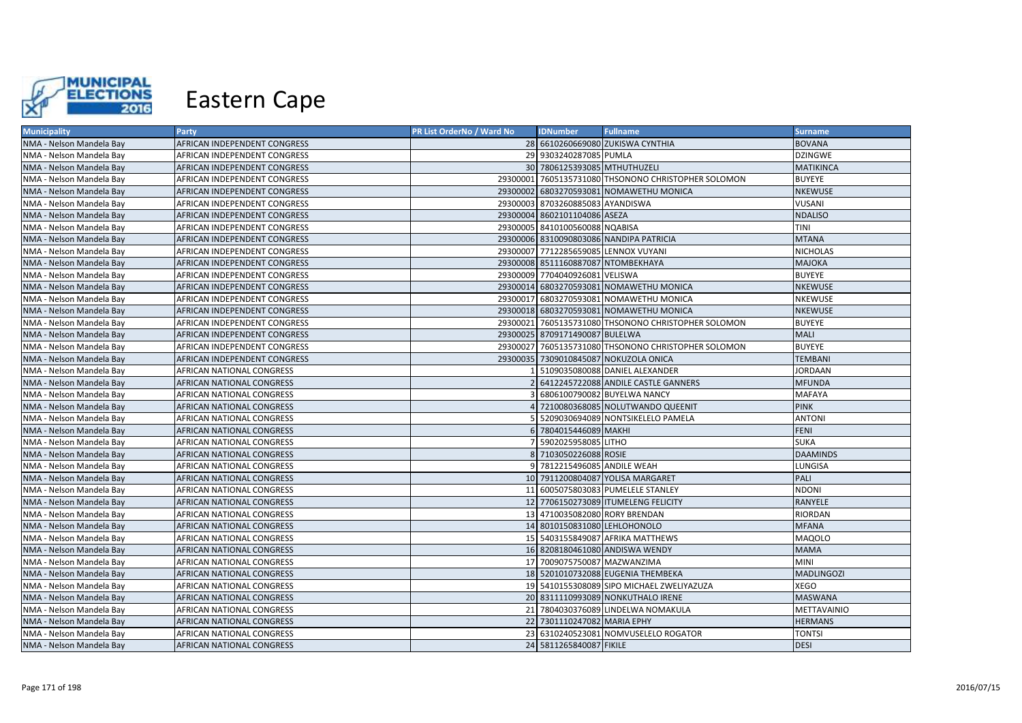

| <b>Municipality</b>      | <b>Party</b>                 | PR List OrderNo / Ward No | <b>IDNumber</b>                    | <b>Fullname</b>                                     | <b>Surname</b>    |
|--------------------------|------------------------------|---------------------------|------------------------------------|-----------------------------------------------------|-------------------|
| NMA - Nelson Mandela Bay | AFRICAN INDEPENDENT CONGRESS |                           |                                    | 28 6610260669080 ZUKISWA CYNTHIA                    | <b>BOVANA</b>     |
| NMA - Nelson Mandela Bay | AFRICAN INDEPENDENT CONGRESS |                           | 29 9303240287085 PUMLA             |                                                     | <b>DZINGWE</b>    |
| NMA - Nelson Mandela Bay | AFRICAN INDEPENDENT CONGRESS |                           | 30 7806125393085 MTHUTHUZELI       |                                                     | <b>MATIKINCA</b>  |
| NMA - Nelson Mandela Bay | AFRICAN INDEPENDENT CONGRESS |                           |                                    | 29300001 7605135731080 THSONONO CHRISTOPHER SOLOMON | <b>BUYEYE</b>     |
| NMA - Nelson Mandela Bay | AFRICAN INDEPENDENT CONGRESS |                           |                                    | 29300002 6803270593081 NOMAWETHU MONICA             | <b>NKEWUSE</b>    |
| NMA - Nelson Mandela Bay | AFRICAN INDEPENDENT CONGRESS |                           | 29300003 8703260885083 AYANDISWA   |                                                     | VUSANI            |
| NMA - Nelson Mandela Bay | AFRICAN INDEPENDENT CONGRESS |                           | 29300004 8602101104086 ASEZA       |                                                     | <b>NDALISO</b>    |
| NMA - Nelson Mandela Bay | AFRICAN INDEPENDENT CONGRESS |                           | 29300005 8410100560088 NQABISA     |                                                     | TINI              |
| NMA - Nelson Mandela Bay | AFRICAN INDEPENDENT CONGRESS |                           |                                    | 29300006 8310090803086 NANDIPA PATRICIA             | <b>MTANA</b>      |
| NMA - Nelson Mandela Bay | AFRICAN INDEPENDENT CONGRESS |                           |                                    | 29300007 7712285659085 LENNOX VUYANI                | <b>NICHOLAS</b>   |
| NMA - Nelson Mandela Bay | AFRICAN INDEPENDENT CONGRESS |                           | 29300008 8511160887087 NTOMBEKHAYA |                                                     | <b>MAJOKA</b>     |
| NMA - Nelson Mandela Bay | AFRICAN INDEPENDENT CONGRESS |                           | 29300009 7704040926081 VELISWA     |                                                     | <b>BUYEYE</b>     |
| NMA - Nelson Mandela Bay | AFRICAN INDEPENDENT CONGRESS |                           |                                    | 29300014 6803270593081 NOMAWETHU MONICA             | <b>NKEWUSE</b>    |
| NMA - Nelson Mandela Bay | AFRICAN INDEPENDENT CONGRESS |                           |                                    | 29300017 6803270593081 NOMAWETHU MONICA             | NKEWUSE           |
| NMA - Nelson Mandela Bay | AFRICAN INDEPENDENT CONGRESS |                           |                                    | 29300018 6803270593081 NOMAWETHU MONICA             | <b>NKEWUSE</b>    |
| NMA - Nelson Mandela Bay | AFRICAN INDEPENDENT CONGRESS |                           |                                    | 29300021 7605135731080 THSONONO CHRISTOPHER SOLOMON | <b>BUYEYE</b>     |
| NMA - Nelson Mandela Bay | AFRICAN INDEPENDENT CONGRESS |                           | 29300025 8709171490087 BULELWA     |                                                     | <b>MALI</b>       |
| NMA - Nelson Mandela Bay | AFRICAN INDEPENDENT CONGRESS |                           |                                    | 29300027 7605135731080 THSONONO CHRISTOPHER SOLOMON | <b>BUYEYE</b>     |
| NMA - Nelson Mandela Bay | AFRICAN INDEPENDENT CONGRESS |                           |                                    | 29300035 7309010845087 NOKUZOLA ONICA               | <b>TEMBANI</b>    |
| NMA - Nelson Mandela Bay | AFRICAN NATIONAL CONGRESS    |                           |                                    | 5109035080088 DANIEL ALEXANDER                      | <b>JORDAAN</b>    |
| NMA - Nelson Mandela Bay | AFRICAN NATIONAL CONGRESS    | $\mathcal{P}$             |                                    | 6412245722088 ANDILE CASTLE GANNERS                 | <b>MFUNDA</b>     |
| NMA - Nelson Mandela Bay | AFRICAN NATIONAL CONGRESS    |                           |                                    | 6806100790082 BUYELWA NANCY                         | <b>MAFAYA</b>     |
| NMA - Nelson Mandela Bay | AFRICAN NATIONAL CONGRESS    |                           |                                    | 7210080368085 NOLUTWANDO QUEENIT                    | <b>PINK</b>       |
| NMA - Nelson Mandela Bay | AFRICAN NATIONAL CONGRESS    | 51                        |                                    | 5209030694089 NONTSIKELELO PAMELA                   | <b>ANTONI</b>     |
| NMA - Nelson Mandela Bay | AFRICAN NATIONAL CONGRESS    |                           | 6 7804015446089 MAKHI              |                                                     | <b>FENI</b>       |
| NMA - Nelson Mandela Bay | AFRICAN NATIONAL CONGRESS    |                           | 5902025958085 LITHO                |                                                     | <b>SUKA</b>       |
| NMA - Nelson Mandela Bay | AFRICAN NATIONAL CONGRESS    |                           | 8 7103050226088 ROSIE              |                                                     | <b>DAAMINDS</b>   |
| NMA - Nelson Mandela Bay | AFRICAN NATIONAL CONGRESS    |                           | 9 7812215496085 ANDILE WEAH        |                                                     | LUNGISA           |
| NMA - Nelson Mandela Bay | AFRICAN NATIONAL CONGRESS    |                           |                                    | 10 7911200804087 YOLISA MARGARET                    | PALI              |
| NMA - Nelson Mandela Bay | AFRICAN NATIONAL CONGRESS    |                           |                                    | 11 6005075803083 PUMELELE STANLEY                   | NDONI             |
| NMA - Nelson Mandela Bay | AFRICAN NATIONAL CONGRESS    |                           |                                    | 12 7706150273089 ITUMELENG FELICITY                 | RANYELE           |
| NMA - Nelson Mandela Bay | AFRICAN NATIONAL CONGRESS    |                           | 13 4710035082080 RORY BRENDAN      |                                                     | RIORDAN           |
| NMA - Nelson Mandela Bay | AFRICAN NATIONAL CONGRESS    |                           | 14 8010150831080 LEHLOHONOLO       |                                                     | <b>MFANA</b>      |
| NMA - Nelson Mandela Bay | AFRICAN NATIONAL CONGRESS    |                           |                                    | 15 5403155849087 AFRIKA MATTHEWS                    | <b>MAQOLO</b>     |
| NMA - Nelson Mandela Bay | AFRICAN NATIONAL CONGRESS    |                           |                                    | 16 8208180461080 ANDISWA WENDY                      | <b>MAMA</b>       |
| NMA - Nelson Mandela Bay | AFRICAN NATIONAL CONGRESS    |                           | 17 7009075750087 MAZWANZIMA        |                                                     | <b>MINI</b>       |
| NMA - Nelson Mandela Bay | AFRICAN NATIONAL CONGRESS    |                           |                                    | 18 5201010732088 EUGENIA THEMBEKA                   | <b>MADLINGOZI</b> |
| NMA - Nelson Mandela Bay | AFRICAN NATIONAL CONGRESS    |                           |                                    | 19 5410155308089 SIPO MICHAEL ZWELIYAZUZA           | <b>XEGO</b>       |
| NMA - Nelson Mandela Bay | AFRICAN NATIONAL CONGRESS    |                           |                                    | 20 8311110993089 NONKUTHALO IRENE                   | <b>MASWANA</b>    |
| NMA - Nelson Mandela Bay | AFRICAN NATIONAL CONGRESS    |                           |                                    | 21 7804030376089 LINDELWA NOMAKULA                  | METTAVAINIO       |
| NMA - Nelson Mandela Bay | AFRICAN NATIONAL CONGRESS    |                           | 22 7301110247082 MARIA EPHY        |                                                     | <b>HERMANS</b>    |
| NMA - Nelson Mandela Bay | AFRICAN NATIONAL CONGRESS    |                           |                                    | 23 6310240523081 NOMVUSELELO ROGATOR                | <b>TONTSI</b>     |
| NMA - Nelson Mandela Bay | AFRICAN NATIONAL CONGRESS    |                           | 24 5811265840087 FIKILE            |                                                     | <b>DESI</b>       |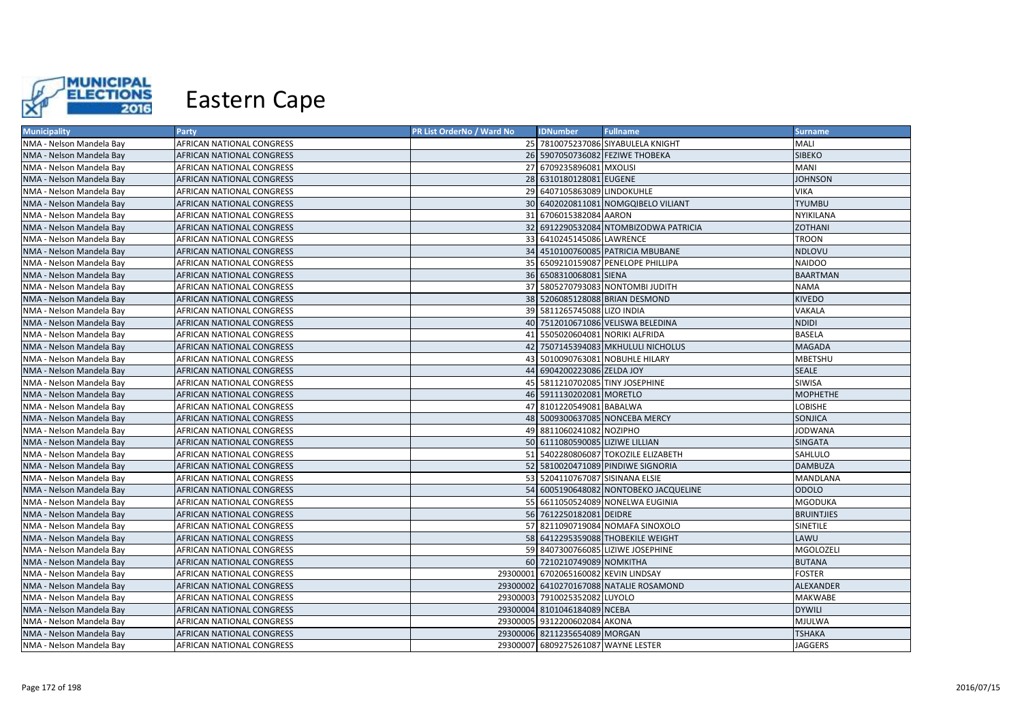

| <b>Municipality</b>      | <b>Party</b>              | PR List OrderNo / Ward No | <b>IDNumber</b>                      | <b>Fullname</b>                         | <b>Surname</b>    |
|--------------------------|---------------------------|---------------------------|--------------------------------------|-----------------------------------------|-------------------|
| NMA - Nelson Mandela Bay | AFRICAN NATIONAL CONGRESS |                           |                                      | 25 7810075237086 SIYABULELA KNIGHT      | MALI              |
| NMA - Nelson Mandela Bay | AFRICAN NATIONAL CONGRESS |                           |                                      | 26 5907050736082 FEZIWE THOBEKA         | <b>SIBEKO</b>     |
| NMA - Nelson Mandela Bay | AFRICAN NATIONAL CONGRESS |                           | 27 6709235896081 MXOLISI             |                                         | <b>MANI</b>       |
| NMA - Nelson Mandela Bay | AFRICAN NATIONAL CONGRESS |                           | 28 6310180128081 EUGENE              |                                         | <b>JOHNSON</b>    |
| NMA - Nelson Mandela Bay | AFRICAN NATIONAL CONGRESS |                           | 29 6407105863089 LINDOKUHLE          |                                         | <b>VIKA</b>       |
| NMA - Nelson Mandela Bay | AFRICAN NATIONAL CONGRESS |                           |                                      | 30 6402020811081 NOMGQIBELO VILIANT     | <b>TYUMBU</b>     |
| NMA - Nelson Mandela Bay | AFRICAN NATIONAL CONGRESS |                           | 31 6706015382084 AARON               |                                         | NYIKILANA         |
| NMA - Nelson Mandela Bay | AFRICAN NATIONAL CONGRESS |                           |                                      | 32 6912290532084 NTOMBIZODWA PATRICIA   | <b>ZOTHANI</b>    |
| NMA - Nelson Mandela Bay | AFRICAN NATIONAL CONGRESS |                           | 33 6410245145086 LAWRENCE            |                                         | <b>TROON</b>      |
| NMA - Nelson Mandela Bay | AFRICAN NATIONAL CONGRESS |                           |                                      | 34 4510100760085 PATRICIA MBUBANE       | NDLOVU            |
| NMA - Nelson Mandela Bay | AFRICAN NATIONAL CONGRESS |                           |                                      | 35 6509210159087 PENELOPE PHILLIPA      | <b>NAIDOO</b>     |
| NMA - Nelson Mandela Bay | AFRICAN NATIONAL CONGRESS |                           | 36 6508310068081 SIENA               |                                         | <b>BAARTMAN</b>   |
| NMA - Nelson Mandela Bay | AFRICAN NATIONAL CONGRESS |                           |                                      | 37 5805270793083 NONTOMBI JUDITH        | <b>NAMA</b>       |
| NMA - Nelson Mandela Bay | AFRICAN NATIONAL CONGRESS |                           |                                      | 38 5206085128088 BRIAN DESMOND          | <b>KIVEDO</b>     |
| NMA - Nelson Mandela Bay | AFRICAN NATIONAL CONGRESS |                           | 39 5811265745088 LIZO INDIA          |                                         | VAKALA            |
| NMA - Nelson Mandela Bay | AFRICAN NATIONAL CONGRESS |                           |                                      | 40 7512010671086 VELISWA BELEDINA       | <b>NDIDI</b>      |
| NMA - Nelson Mandela Bay | AFRICAN NATIONAL CONGRESS |                           | 41 5505020604081 NORIKI ALFRIDA      |                                         | <b>BASELA</b>     |
| NMA - Nelson Mandela Bay | AFRICAN NATIONAL CONGRESS |                           |                                      | 42 7507145394083 MKHULULI NICHOLUS      | <b>MAGADA</b>     |
| NMA - Nelson Mandela Bay | AFRICAN NATIONAL CONGRESS |                           |                                      | 43 5010090763081 NOBUHLE HILARY         | MBETSHU           |
| NMA - Nelson Mandela Bay | AFRICAN NATIONAL CONGRESS |                           | 44 6904200223086 ZELDA JOY           |                                         | <b>SEALE</b>      |
| NMA - Nelson Mandela Bay | AFRICAN NATIONAL CONGRESS |                           | 45 5811210702085 TINY JOSEPHINE      |                                         | SIWISA            |
| NMA - Nelson Mandela Bay | AFRICAN NATIONAL CONGRESS |                           | 46 5911130202081 MORETLO             |                                         | <b>MOPHETHE</b>   |
| NMA - Nelson Mandela Bay | AFRICAN NATIONAL CONGRESS |                           | 47 8101220549081 BABALWA             |                                         | LOBISHE           |
| NMA - Nelson Mandela Bay | AFRICAN NATIONAL CONGRESS |                           |                                      | 48 5009300637085 NONCEBA MERCY          | <b>SONJICA</b>    |
| NMA - Nelson Mandela Bay | AFRICAN NATIONAL CONGRESS |                           | 49 8811060241082 NOZIPHO             |                                         | <b>JODWANA</b>    |
| NMA - Nelson Mandela Bay | AFRICAN NATIONAL CONGRESS |                           | 50 6111080590085 LIZIWE LILLIAN      |                                         | SINGATA           |
| NMA - Nelson Mandela Bay | AFRICAN NATIONAL CONGRESS |                           |                                      | 51 5402280806087 TOKOZILE ELIZABETH     | SAHLULO           |
| NMA - Nelson Mandela Bay | AFRICAN NATIONAL CONGRESS |                           |                                      | 52 5810020471089 PINDIWE SIGNORIA       | <b>DAMBUZA</b>    |
| NMA - Nelson Mandela Bay | AFRICAN NATIONAL CONGRESS |                           | 53 5204110767087 SISINANA ELSIE      |                                         | <b>MANDLANA</b>   |
| NMA - Nelson Mandela Bay | AFRICAN NATIONAL CONGRESS |                           |                                      | 54 6005190648082 NONTOBEKO JACQUELINE   | <b>ODOLO</b>      |
| NMA - Nelson Mandela Bay | AFRICAN NATIONAL CONGRESS |                           |                                      | 55 6611050524089 NONELWA EUGINIA        | MGODUKA           |
| NMA - Nelson Mandela Bay | AFRICAN NATIONAL CONGRESS |                           | 56 7612250182081 DEIDRE              |                                         | <b>BRUINTJIES</b> |
| NMA - Nelson Mandela Bay | AFRICAN NATIONAL CONGRESS |                           |                                      | 57 8211090719084 NOMAFA SINOXOLO        | SINETILE          |
| NMA - Nelson Mandela Bay | AFRICAN NATIONAL CONGRESS |                           |                                      | 58 6412295359088 THOBEKILE WEIGHT       | LAWU              |
| NMA - Nelson Mandela Bay | AFRICAN NATIONAL CONGRESS |                           |                                      | 59 8407300766085 LIZIWE JOSEPHINE       | MGOLOZELI         |
| NMA - Nelson Mandela Bay | AFRICAN NATIONAL CONGRESS |                           | 60 7210210749089 NOMKITHA            |                                         | <b>BUTANA</b>     |
| NMA - Nelson Mandela Bay | AFRICAN NATIONAL CONGRESS |                           | 29300001 6702065160082 KEVIN LINDSAY |                                         | <b>FOSTER</b>     |
| NMA - Nelson Mandela Bay | AFRICAN NATIONAL CONGRESS |                           |                                      | 29300002 6410270167088 NATALIE ROSAMOND | ALEXANDER         |
| NMA - Nelson Mandela Bay | AFRICAN NATIONAL CONGRESS |                           | 29300003 7910025352082 LUYOLO        |                                         | <b>MAKWABE</b>    |
| NMA - Nelson Mandela Bay | AFRICAN NATIONAL CONGRESS |                           | 29300004 8101046184089 NCEBA         |                                         | <b>DYWILI</b>     |
| NMA - Nelson Mandela Bay | AFRICAN NATIONAL CONGRESS |                           | 29300005 9312200602084 AKONA         |                                         | <b>MJULWA</b>     |
| NMA - Nelson Mandela Bay | AFRICAN NATIONAL CONGRESS |                           | 29300006 8211235654089 MORGAN        |                                         | <b>TSHAKA</b>     |
| NMA - Nelson Mandela Bay | AFRICAN NATIONAL CONGRESS |                           | 29300007 6809275261087 WAYNE LESTER  |                                         | <b>JAGGERS</b>    |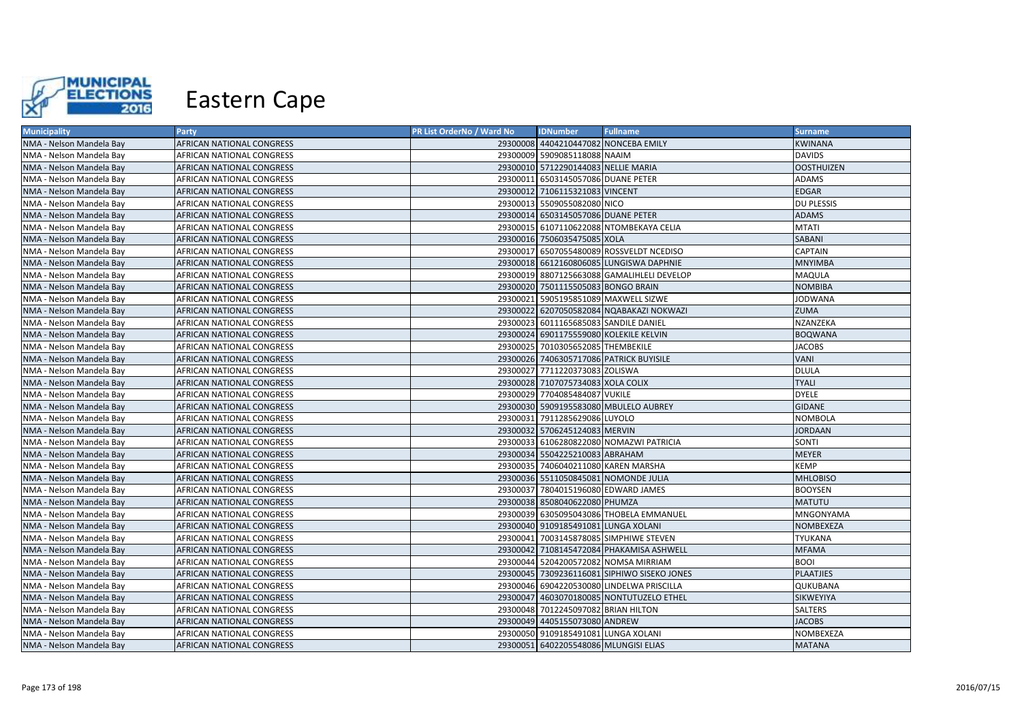

| <b>Municipality</b>      | Party                            | PR List OrderNo / Ward No | <b>IDNumber</b>                       | <b>Fullname</b>                             | <b>Surname</b>    |
|--------------------------|----------------------------------|---------------------------|---------------------------------------|---------------------------------------------|-------------------|
| NMA - Nelson Mandela Bay | AFRICAN NATIONAL CONGRESS        |                           | 29300008 4404210447082 NONCEBA EMILY  |                                             | <b>KWINANA</b>    |
| NMA - Nelson Mandela Bay | AFRICAN NATIONAL CONGRESS        |                           | 29300009 5909085118088 NAAIM          |                                             | <b>DAVIDS</b>     |
| NMA - Nelson Mandela Bay | AFRICAN NATIONAL CONGRESS        |                           | 29300010 5712290144083 NELLIE MARIA   |                                             | <b>OOSTHUIZEN</b> |
| NMA - Nelson Mandela Bay | AFRICAN NATIONAL CONGRESS        |                           | 29300011 6503145057086 DUANE PETER    |                                             | ADAMS             |
| NMA - Nelson Mandela Bay | AFRICAN NATIONAL CONGRESS        |                           | 29300012 7106115321083 VINCENT        |                                             | <b>EDGAR</b>      |
| NMA - Nelson Mandela Bay | AFRICAN NATIONAL CONGRESS        |                           | 29300013 5509055082080 NICO           |                                             | <b>DU PLESSIS</b> |
| NMA - Nelson Mandela Bay | <b>AFRICAN NATIONAL CONGRESS</b> |                           | 29300014 6503145057086 DUANE PETER    |                                             | <b>ADAMS</b>      |
| NMA - Nelson Mandela Bay | AFRICAN NATIONAL CONGRESS        |                           |                                       | 29300015 6107110622088 NTOMBEKAYA CELIA     | <b>MTATI</b>      |
| NMA - Nelson Mandela Bay | AFRICAN NATIONAL CONGRESS        |                           | 29300016 7506035475085 XOLA           |                                             | <b>SABANI</b>     |
| NMA - Nelson Mandela Bay | AFRICAN NATIONAL CONGRESS        |                           |                                       | 29300017 6507055480089 ROSSVELDT NCEDISO    | <b>CAPTAIN</b>    |
| NMA - Nelson Mandela Bay | AFRICAN NATIONAL CONGRESS        |                           |                                       | 29300018 6612160806085 LUNGISWA DAPHNIE     | <b>MNYIMBA</b>    |
| NMA - Nelson Mandela Bay | AFRICAN NATIONAL CONGRESS        |                           |                                       | 29300019 8807125663088 GAMALIHLELI DEVELOP  | <b>MAQULA</b>     |
| NMA - Nelson Mandela Bay | AFRICAN NATIONAL CONGRESS        |                           | 29300020 7501115505083 BONGO BRAIN    |                                             | <b>NOMBIBA</b>    |
| NMA - Nelson Mandela Bay | AFRICAN NATIONAL CONGRESS        |                           |                                       | 29300021 5905195851089 MAXWELL SIZWE        | <b>JODWANA</b>    |
| NMA - Nelson Mandela Bay | AFRICAN NATIONAL CONGRESS        |                           |                                       | 29300022 6207050582084 NQABAKAZI NOKWAZI    | <b>ZUMA</b>       |
| NMA - Nelson Mandela Bay | AFRICAN NATIONAL CONGRESS        |                           | 29300023 6011165685083 SANDILE DANIEL |                                             | NZANZEKA          |
| NMA - Nelson Mandela Bay | AFRICAN NATIONAL CONGRESS        |                           |                                       | 29300024 6901175559080 KOLEKILE KELVIN      | <b>BOQWANA</b>    |
| NMA - Nelson Mandela Bay | AFRICAN NATIONAL CONGRESS        |                           | 29300025 7010305652085 THEMBEKILE     |                                             | <b>JACOBS</b>     |
| NMA - Nelson Mandela Bay | AFRICAN NATIONAL CONGRESS        |                           |                                       | 29300026 7406305717086 PATRICK BUYISILE     | <b>VANI</b>       |
| NMA - Nelson Mandela Bay | AFRICAN NATIONAL CONGRESS        |                           | 29300027 7711220373083 ZOLISWA        |                                             | <b>DLULA</b>      |
| NMA - Nelson Mandela Bay | AFRICAN NATIONAL CONGRESS        |                           | 29300028 7107075734083 XOLA COLIX     |                                             | <b>TYALI</b>      |
| NMA - Nelson Mandela Bay | AFRICAN NATIONAL CONGRESS        |                           | 29300029 7704085484087 VUKILE         |                                             | <b>DYELE</b>      |
| NMA - Nelson Mandela Bay | AFRICAN NATIONAL CONGRESS        |                           |                                       | 29300030 5909195583080 MBULELO AUBREY       | <b>GIDANE</b>     |
| NMA - Nelson Mandela Bay | AFRICAN NATIONAL CONGRESS        |                           | 29300031 7911285629086 LUYOLO         |                                             | <b>NOMBOLA</b>    |
| NMA - Nelson Mandela Bay | AFRICAN NATIONAL CONGRESS        |                           | 29300032 5706245124083 MERVIN         |                                             | <b>JORDAAN</b>    |
| NMA - Nelson Mandela Bay | AFRICAN NATIONAL CONGRESS        |                           |                                       | 29300033 6106280822080 NOMAZWI PATRICIA     | SONTI             |
| NMA - Nelson Mandela Bay | AFRICAN NATIONAL CONGRESS        |                           | 29300034 5504225210083 ABRAHAM        |                                             | <b>MEYER</b>      |
| NMA - Nelson Mandela Bay | AFRICAN NATIONAL CONGRESS        |                           | 29300035 7406040211080 KAREN MARSHA   |                                             | <b>KEMP</b>       |
| NMA - Nelson Mandela Bay | AFRICAN NATIONAL CONGRESS        |                           |                                       | 29300036 5511050845081 NOMONDE JULIA        | <b>MHLOBISO</b>   |
| NMA - Nelson Mandela Bay | AFRICAN NATIONAL CONGRESS        |                           | 29300037 7804015196080 EDWARD JAMES   |                                             | <b>BOOYSEN</b>    |
| NMA - Nelson Mandela Bay | AFRICAN NATIONAL CONGRESS        |                           | 29300038 8508040622080 PHUMZA         |                                             | <b>MATUTU</b>     |
| NMA - Nelson Mandela Bay | AFRICAN NATIONAL CONGRESS        |                           |                                       | 29300039 6305095043086 THOBELA EMMANUEL     | MNGONYAMA         |
| NMA - Nelson Mandela Bay | AFRICAN NATIONAL CONGRESS        |                           | 29300040 9109185491081 LUNGA XOLANI   |                                             | NOMBEXEZA         |
| NMA - Nelson Mandela Bay | AFRICAN NATIONAL CONGRESS        |                           |                                       | 29300041 7003145878085 SIMPHIWE STEVEN      | <b>TYUKANA</b>    |
| NMA - Nelson Mandela Bay | AFRICAN NATIONAL CONGRESS        |                           |                                       | 29300042 7108145472084 PHAKAMISA ASHWELL    | <b>MFAMA</b>      |
| NMA - Nelson Mandela Bay | AFRICAN NATIONAL CONGRESS        |                           |                                       | 29300044 5204200572082 NOMSA MIRRIAM        | <b>BOOI</b>       |
| NMA - Nelson Mandela Bay | AFRICAN NATIONAL CONGRESS        |                           |                                       | 29300045 7309236116081 SIPHIWO SISEKO JONES | <b>PLAATJIES</b>  |
| NMA - Nelson Mandela Bay | AFRICAN NATIONAL CONGRESS        |                           |                                       | 29300046 6904220530080 LINDELWA PRISCILLA   | QUKUBANA          |
| NMA - Nelson Mandela Bay | AFRICAN NATIONAL CONGRESS        |                           |                                       | 29300047 4603070180085 NONTUTUZELO ETHEL    | SIKWEYIYA         |
| NMA - Nelson Mandela Bay | AFRICAN NATIONAL CONGRESS        |                           | 29300048 7012245097082 BRIAN HILTON   |                                             | <b>SALTERS</b>    |
| NMA - Nelson Mandela Bay | AFRICAN NATIONAL CONGRESS        |                           | 29300049 4405155073080 ANDREW         |                                             | <b>JACOBS</b>     |
| NMA - Nelson Mandela Bay | AFRICAN NATIONAL CONGRESS        |                           | 29300050 9109185491081 LUNGA XOLANI   |                                             | NOMBEXEZA         |
| NMA - Nelson Mandela Bay | <b>AFRICAN NATIONAL CONGRESS</b> |                           | 29300051 6402205548086 MLUNGISI ELIAS |                                             | <b>MATANA</b>     |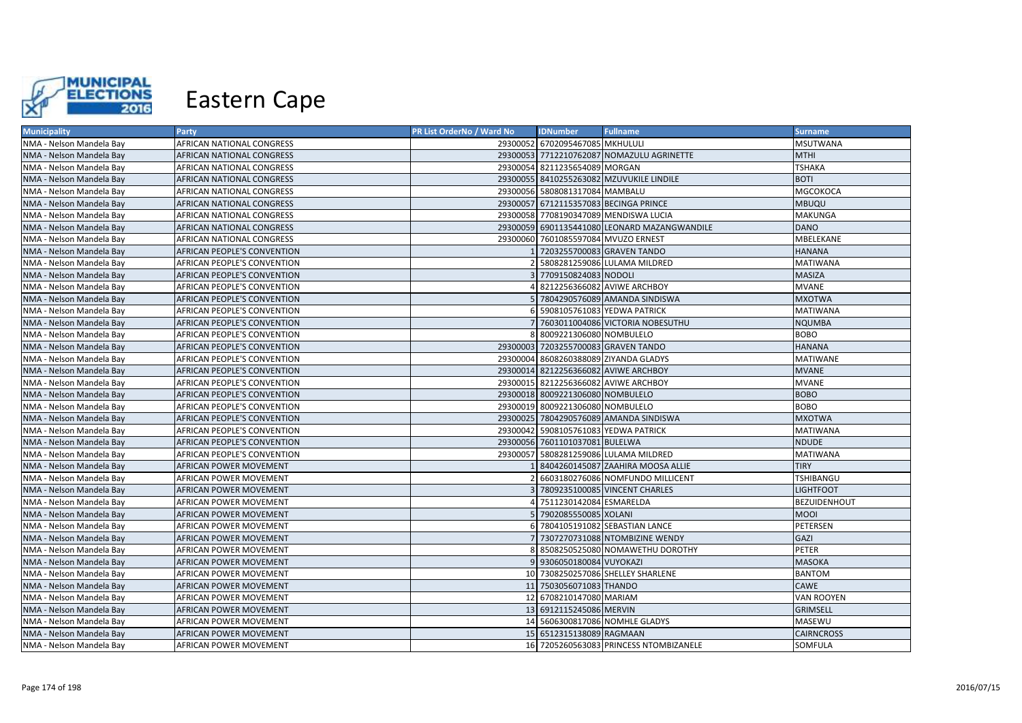

| <b>Municipality</b>      | Party                       | PR List OrderNo / Ward No | <b>IDNumber</b>                      | <b>Fullname</b>                              | <b>Surname</b>    |
|--------------------------|-----------------------------|---------------------------|--------------------------------------|----------------------------------------------|-------------------|
| NMA - Nelson Mandela Bay | AFRICAN NATIONAL CONGRESS   |                           | 29300052 6702095467085 MKHULULI      |                                              | MSUTWANA          |
| NMA - Nelson Mandela Bay | AFRICAN NATIONAL CONGRESS   |                           |                                      | 29300053 7712210762087 NOMAZULU AGRINETTE    | <b>MTHI</b>       |
| NMA - Nelson Mandela Bay | AFRICAN NATIONAL CONGRESS   |                           | 29300054 8211235654089 MORGAN        |                                              | <b>TSHAKA</b>     |
| NMA - Nelson Mandela Bay | AFRICAN NATIONAL CONGRESS   |                           |                                      | 29300055 8410255263082 MZUVUKILE LINDILE     | <b>BOTI</b>       |
| NMA - Nelson Mandela Bay | AFRICAN NATIONAL CONGRESS   |                           | 29300056 5808081317084 MAMBALU       |                                              | MGCOKOCA          |
| NMA - Nelson Mandela Bay | AFRICAN NATIONAL CONGRESS   |                           |                                      | 29300057 6712115357083 BECINGA PRINCE        | <b>MBUQU</b>      |
| NMA - Nelson Mandela Bay | AFRICAN NATIONAL CONGRESS   |                           |                                      | 29300058 7708190347089 MENDISWA LUCIA        | MAKUNGA           |
| NMA - Nelson Mandela Bay | AFRICAN NATIONAL CONGRESS   |                           |                                      | 29300059 6901135441080 LEONARD MAZANGWANDILE | DANO              |
| NMA - Nelson Mandela Bay | AFRICAN NATIONAL CONGRESS   |                           | 29300060 7601085597084 MVUZO ERNEST  |                                              | MBELEKANE         |
| NMA - Nelson Mandela Bay | AFRICAN PEOPLE'S CONVENTION |                           | 1 7203255700083 GRAVEN TANDO         |                                              | <b>HANANA</b>     |
| NMA - Nelson Mandela Bay | AFRICAN PEOPLE'S CONVENTION |                           |                                      | 2 5808281259086 LULAMA MILDRED               | <b>MATIWANA</b>   |
| NMA - Nelson Mandela Bay | AFRICAN PEOPLE'S CONVENTION |                           | 3 7709150824083 NODOLI               |                                              | MASIZA            |
| NMA - Nelson Mandela Bay | AFRICAN PEOPLE'S CONVENTION |                           |                                      | 4 8212256366082 AVIWE ARCHBOY                | MVANE             |
| NMA - Nelson Mandela Bay | AFRICAN PEOPLE'S CONVENTION |                           |                                      | 5 7804290576089 AMANDA SINDISWA              | <b>MXOTWA</b>     |
| NMA - Nelson Mandela Bay | AFRICAN PEOPLE'S CONVENTION |                           | 6 5908105761083 YEDWA PATRICK        |                                              | <b>MATIWANA</b>   |
| NMA - Nelson Mandela Bay | AFRICAN PEOPLE'S CONVENTION |                           |                                      | 7 7603011004086 VICTORIA NOBESUTHU           | NQUMBA            |
| NMA - Nelson Mandela Bay | AFRICAN PEOPLE'S CONVENTION |                           | 8 8009221306080 NOMBULELO            |                                              | BOBO              |
| NMA - Nelson Mandela Bay | AFRICAN PEOPLE'S CONVENTION |                           | 29300003 7203255700083 GRAVEN TANDO  |                                              | HANANA            |
| NMA - Nelson Mandela Bay | AFRICAN PEOPLE'S CONVENTION |                           |                                      | 29300004 8608260388089 ZIYANDA GLADYS        | MATIWANE          |
| NMA - Nelson Mandela Bay | AFRICAN PEOPLE'S CONVENTION |                           |                                      | 29300014 8212256366082 AVIWE ARCHBOY         | <b>MVANE</b>      |
| NMA - Nelson Mandela Bay | AFRICAN PEOPLE'S CONVENTION |                           |                                      | 29300015 8212256366082 AVIWE ARCHBOY         | <b>MVANE</b>      |
| NMA - Nelson Mandela Bay | AFRICAN PEOPLE'S CONVENTION |                           | 29300018 8009221306080 NOMBULELO     |                                              | <b>BOBO</b>       |
| NMA - Nelson Mandela Bay | AFRICAN PEOPLE'S CONVENTION |                           | 29300019 8009221306080 NOMBULELO     |                                              | BOBO              |
| NMA - Nelson Mandela Bay | AFRICAN PEOPLE'S CONVENTION |                           |                                      | 29300025 7804290576089 AMANDA SINDISWA       | <b>MXOTWA</b>     |
| NMA - Nelson Mandela Bay | AFRICAN PEOPLE'S CONVENTION |                           | 29300042 5908105761083 YEDWA PATRICK |                                              | MATIWANA          |
| NMA - Nelson Mandela Bay | AFRICAN PEOPLE'S CONVENTION |                           | 29300056 7601101037081 BULELWA       |                                              | NDUDE             |
| NMA - Nelson Mandela Bay | AFRICAN PEOPLE'S CONVENTION |                           |                                      | 29300057 5808281259086 LULAMA MILDRED        | MATIWANA          |
| NMA - Nelson Mandela Bay | AFRICAN POWER MOVEMENT      |                           |                                      | 1 8404260145087 ZAAHIRA MOOSA ALLIE          | TIRY              |
| NMA - Nelson Mandela Bay | AFRICAN POWER MOVEMENT      |                           |                                      | 2 6603180276086 NOMFUNDO MILLICENT           | TSHIBANGU         |
| NMA - Nelson Mandela Bay | AFRICAN POWER MOVEMENT      |                           |                                      | 3 7809235100085 VINCENT CHARLES              | LIGHTFOOT         |
| NMA - Nelson Mandela Bay | AFRICAN POWER MOVEMENT      |                           | 4 7511230142084 ESMARELDA            |                                              | BEZUIDENHOUT      |
| NMA - Nelson Mandela Bay | AFRICAN POWER MOVEMENT      |                           | 5 7902085550085 XOLANI               |                                              | MOOI              |
| NMA - Nelson Mandela Bay | AFRICAN POWER MOVEMENT      |                           |                                      | 6 7804105191082 SEBASTIAN LANCE              | PETERSEN          |
| NMA - Nelson Mandela Bay | AFRICAN POWER MOVEMENT      |                           |                                      | 7 7307270731088 NTOMBIZINE WENDY             | GAZI              |
| NMA - Nelson Mandela Bay | AFRICAN POWER MOVEMENT      |                           |                                      | 8 8508250525080 NOMAWETHU DOROTHY            | PETER             |
| NMA - Nelson Mandela Bay | AFRICAN POWER MOVEMENT      |                           | 9 9306050180084 VUYOKAZI             |                                              | MASOKA            |
| NMA - Nelson Mandela Bay | AFRICAN POWER MOVEMENT      |                           |                                      | 10 7308250257086 SHELLEY SHARLENE            | <b>BANTOM</b>     |
| NMA - Nelson Mandela Bay | AFRICAN POWER MOVEMENT      |                           | 11 7503056071083 THANDO              |                                              | <b>CAWE</b>       |
| NMA - Nelson Mandela Bay | AFRICAN POWER MOVEMENT      |                           | 12 6708210147080 MARIAM              |                                              | VAN ROOYEN        |
| NMA - Nelson Mandela Bay | AFRICAN POWER MOVEMENT      |                           | 13 6912115245086 MERVIN              |                                              | GRIMSELL          |
| NMA - Nelson Mandela Bay | AFRICAN POWER MOVEMENT      |                           |                                      | 14 5606300817086 NOMHLE GLADYS               | MASEWU            |
| NMA - Nelson Mandela Bay | AFRICAN POWER MOVEMENT      |                           | 15 6512315138089 RAGMAAN             |                                              | <b>CAIRNCROSS</b> |
| NMA - Nelson Mandela Bay | AFRICAN POWER MOVEMENT      |                           |                                      | 16 7205260563083 PRINCESS NTOMBIZANELE       | SOMFULA           |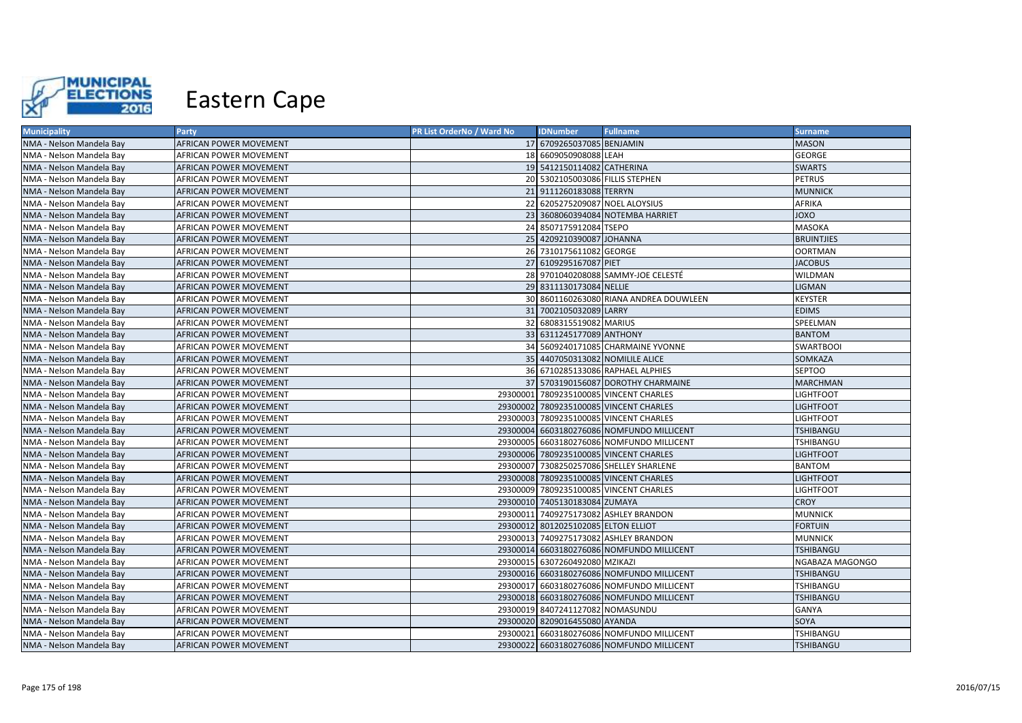

| <b>Municipality</b>      | Party                         | <b>PR List OrderNo / Ward No</b> | <b>IDNumber</b>                     | <b>Fullname</b>                           | <b>Surname</b>    |
|--------------------------|-------------------------------|----------------------------------|-------------------------------------|-------------------------------------------|-------------------|
| NMA - Nelson Mandela Bay | AFRICAN POWER MOVEMENT        |                                  | 17 6709265037085 BENJAMIN           |                                           | <b>MASON</b>      |
| NMA - Nelson Mandela Bay | AFRICAN POWER MOVEMENT        |                                  | 18 6609050908088 LEAH               |                                           | GEORGE            |
| NMA - Nelson Mandela Bay | AFRICAN POWER MOVEMENT        |                                  | 19 5412150114082 CATHERINA          |                                           | <b>SWARTS</b>     |
| NMA - Nelson Mandela Bay | AFRICAN POWER MOVEMENT        |                                  | 20 5302105003086 FILLIS STEPHEN     |                                           | <b>PETRUS</b>     |
| NMA - Nelson Mandela Bay | AFRICAN POWER MOVEMENT        |                                  | 21 9111260183088 TERRYN             |                                           | <b>MUNNICK</b>    |
| NMA - Nelson Mandela Bay | AFRICAN POWER MOVEMENT        |                                  | 22 6205275209087 NOEL ALOYSIUS      |                                           | AFRIKA            |
| NMA - Nelson Mandela Bay | AFRICAN POWER MOVEMENT        |                                  |                                     | 23 3608060394084 NOTEMBA HARRIET          | OXOL              |
| NMA - Nelson Mandela Bay | AFRICAN POWER MOVEMENT        |                                  | 24 8507175912084 TSEPO              |                                           | MASOKA            |
| NMA - Nelson Mandela Bay | AFRICAN POWER MOVEMENT        |                                  | 25 4209210390087 JOHANNA            |                                           | <b>BRUINTJIES</b> |
| NMA - Nelson Mandela Bay | AFRICAN POWER MOVEMENT        |                                  | 26 7310175611082 GEORGE             |                                           | OORTMAN           |
| NMA - Nelson Mandela Bay | AFRICAN POWER MOVEMENT        |                                  | 27 6109295167087 PIET               |                                           | <b>JACOBUS</b>    |
| NMA - Nelson Mandela Bay | AFRICAN POWER MOVEMENT        |                                  |                                     | 28 9701040208088 SAMMY-JOE CELESTÉ        | WILDMAN           |
| NMA - Nelson Mandela Bay | AFRICAN POWER MOVEMENT        |                                  | 29 8311130173084 NELLIE             |                                           | <b>LIGMAN</b>     |
| NMA - Nelson Mandela Bay | AFRICAN POWER MOVEMENT        |                                  |                                     | 30 8601160263080 RIANA ANDREA DOUWLEEN    | KEYSTER           |
| NMA - Nelson Mandela Bay | AFRICAN POWER MOVEMENT        |                                  | 31 7002105032089 LARRY              |                                           | <b>EDIMS</b>      |
| NMA - Nelson Mandela Bay | AFRICAN POWER MOVEMENT        |                                  | 32 6808315519082 MARIUS             |                                           | SPEELMAN          |
| NMA - Nelson Mandela Bay | AFRICAN POWER MOVEMENT        |                                  | 33 6311245177089 ANTHONY            |                                           | <b>BANTOM</b>     |
| NMA - Nelson Mandela Bay | AFRICAN POWER MOVEMENT        |                                  |                                     | 34 5609240171085 CHARMAINE YVONNE         | SWARTBOOI         |
| NMA - Nelson Mandela Bay | AFRICAN POWER MOVEMENT        |                                  |                                     | 35 4407050313082 NOMILILE ALICE           | SOMKAZA           |
| NMA - Nelson Mandela Bay | AFRICAN POWER MOVEMENT        |                                  |                                     | 36 6710285133086 RAPHAEL ALPHIES          | <b>SEPTOO</b>     |
| NMA - Nelson Mandela Bay | AFRICAN POWER MOVEMENT        |                                  |                                     | 37 5703190156087 DOROTHY CHARMAINE        | MARCHMAN          |
| NMA - Nelson Mandela Bay | AFRICAN POWER MOVEMENT        |                                  |                                     | 29300001 7809235100085 VINCENT CHARLES    | LIGHTFOOT         |
| NMA - Nelson Mandela Bay | AFRICAN POWER MOVEMENT        |                                  |                                     | 29300002 7809235100085 VINCENT CHARLES    | LIGHTFOOT         |
| NMA - Nelson Mandela Bay | AFRICAN POWER MOVEMENT        |                                  |                                     | 29300003 7809235100085 VINCENT CHARLES    | <b>LIGHTFOOT</b>  |
| NMA - Nelson Mandela Bay | AFRICAN POWER MOVEMENT        |                                  |                                     | 29300004 6603180276086 NOMFUNDO MILLICENT | TSHIBANGU         |
| NMA - Nelson Mandela Bay | AFRICAN POWER MOVEMENT        |                                  |                                     | 29300005 6603180276086 NOMFUNDO MILLICENT | TSHIBANGU         |
| NMA - Nelson Mandela Bay | AFRICAN POWER MOVEMENT        |                                  |                                     | 29300006 7809235100085 VINCENT CHARLES    | LIGHTFOOT         |
| NMA - Nelson Mandela Bay | AFRICAN POWER MOVEMENT        |                                  |                                     | 29300007 7308250257086 SHELLEY SHARLENE   | BANTOM            |
| NMA - Nelson Mandela Bay | AFRICAN POWER MOVEMENT        |                                  |                                     | 29300008 7809235100085 VINCENT CHARLES    | LIGHTFOOT         |
| NMA - Nelson Mandela Bay | AFRICAN POWER MOVEMENT        |                                  |                                     | 29300009 7809235100085 VINCENT CHARLES    | <b>LIGHTFOOT</b>  |
| NMA - Nelson Mandela Bay | AFRICAN POWER MOVEMENT        |                                  | 29300010 7405130183084 ZUMAYA       |                                           | <b>CROY</b>       |
| NMA - Nelson Mandela Bay | AFRICAN POWER MOVEMENT        |                                  |                                     | 29300011 7409275173082 ASHLEY BRANDON     | MUNNICK           |
| NMA - Nelson Mandela Bay | AFRICAN POWER MOVEMENT        |                                  | 29300012 8012025102085 ELTON ELLIOT |                                           | <b>FORTUIN</b>    |
| NMA - Nelson Mandela Bay | AFRICAN POWER MOVEMENT        |                                  |                                     | 29300013 7409275173082 ASHLEY BRANDON     | <b>MUNNICK</b>    |
| NMA - Nelson Mandela Bay | AFRICAN POWER MOVEMENT        |                                  |                                     | 29300014 6603180276086 NOMFUNDO MILLICENT | TSHIBANGU         |
| NMA - Nelson Mandela Bay | AFRICAN POWER MOVEMENT        |                                  | 29300015 6307260492080 MZIKAZI      |                                           | NGABAZA MAGONGO   |
| NMA - Nelson Mandela Bay | AFRICAN POWER MOVEMENT        |                                  |                                     | 29300016 6603180276086 NOMFUNDO MILLICENT | TSHIBANGU         |
| NMA - Nelson Mandela Bay | AFRICAN POWER MOVEMENT        |                                  |                                     | 29300017 6603180276086 NOMFUNDO MILLICENT | TSHIBANGU         |
| NMA - Nelson Mandela Bay | AFRICAN POWER MOVEMENT        |                                  |                                     | 29300018 6603180276086 NOMFUNDO MILLICENT | TSHIBANGU         |
| NMA - Nelson Mandela Bay | AFRICAN POWER MOVEMENT        |                                  | 29300019 8407241127082 NOMASUNDU    |                                           | GANYA             |
| NMA - Nelson Mandela Bay | AFRICAN POWER MOVEMENT        |                                  | 29300020 8209016455080 AYANDA       |                                           | SOYA              |
| NMA - Nelson Mandela Bay | AFRICAN POWER MOVEMENT        |                                  |                                     | 29300021 6603180276086 NOMFUNDO MILLICENT | TSHIBANGU         |
| NMA - Nelson Mandela Bay | <b>AFRICAN POWER MOVEMENT</b> |                                  |                                     | 29300022 6603180276086 NOMFUNDO MILLICENT | TSHIBANGU         |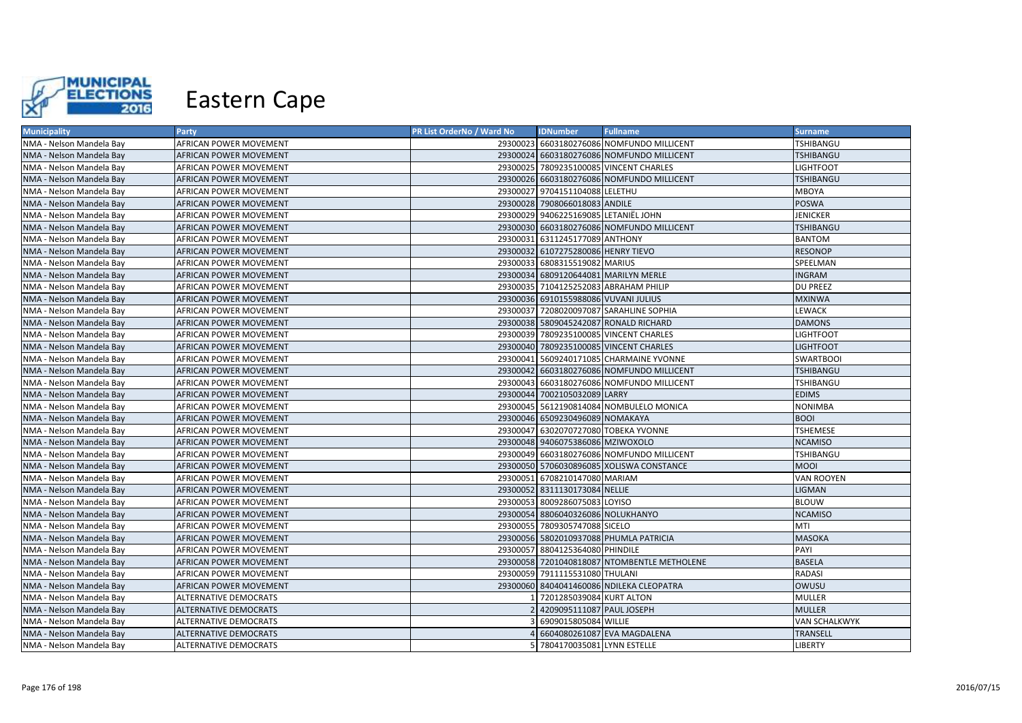

| <b>Municipality</b>      | Party                         | <b>PR List OrderNo / Ward No</b> | <b>IDNumber</b>                      | <b>Fullname</b>                             | <b>Surname</b>       |
|--------------------------|-------------------------------|----------------------------------|--------------------------------------|---------------------------------------------|----------------------|
| NMA - Nelson Mandela Bay | AFRICAN POWER MOVEMENT        |                                  |                                      | 29300023 6603180276086 NOMFUNDO MILLICENT   | TSHIBANGU            |
| NMA - Nelson Mandela Bay | AFRICAN POWER MOVEMENT        |                                  |                                      | 29300024 6603180276086 NOMFUNDO MILLICENT   | TSHIBANGU            |
| NMA - Nelson Mandela Bay | AFRICAN POWER MOVEMENT        |                                  |                                      | 29300025 7809235100085 VINCENT CHARLES      | <b>LIGHTFOOT</b>     |
| NMA - Nelson Mandela Bay | AFRICAN POWER MOVEMENT        |                                  |                                      | 29300026 6603180276086 NOMFUNDO MILLICENT   | <b>TSHIBANGU</b>     |
| NMA - Nelson Mandela Bay | AFRICAN POWER MOVEMENT        |                                  | 29300027 9704151104088 LELETHU       |                                             | MBOYA                |
| NMA - Nelson Mandela Bay | AFRICAN POWER MOVEMENT        |                                  | 29300028 7908066018083 ANDILE        |                                             | <b>POSWA</b>         |
| NMA - Nelson Mandela Bay | AFRICAN POWER MOVEMENT        |                                  | 29300029 9406225169085 LETANIËL JOHN |                                             | <b>JENICKER</b>      |
| NMA - Nelson Mandela Bay | AFRICAN POWER MOVEMENT        |                                  |                                      | 29300030 6603180276086 NOMFUNDO MILLICENT   | <b>TSHIBANGU</b>     |
| NMA - Nelson Mandela Bay | AFRICAN POWER MOVEMENT        |                                  | 29300031 6311245177089 ANTHONY       |                                             | BANTOM               |
| NMA - Nelson Mandela Bay | AFRICAN POWER MOVEMENT        |                                  | 29300032 6107275280086 HENRY TIEVO   |                                             | <b>RESONOP</b>       |
| NMA - Nelson Mandela Bay | AFRICAN POWER MOVEMENT        |                                  | 29300033 6808315519082 MARIUS        |                                             | SPEELMAN             |
| NMA - Nelson Mandela Bay | AFRICAN POWER MOVEMENT        |                                  |                                      | 29300034 6809120644081 MARILYN MERLE        | <b>INGRAM</b>        |
| NMA - Nelson Mandela Bay | AFRICAN POWER MOVEMENT        |                                  |                                      | 29300035 7104125252083 ABRAHAM PHILIP       | <b>DU PREEZ</b>      |
| NMA - Nelson Mandela Bay | AFRICAN POWER MOVEMENT        |                                  | 29300036 6910155988086 VUVANI JULIUS |                                             | <b>MXINWA</b>        |
| NMA - Nelson Mandela Bay | AFRICAN POWER MOVEMENT        |                                  |                                      | 29300037 7208020097087 SARAHLINE SOPHIA     | <b>LEWACK</b>        |
| NMA - Nelson Mandela Bay | AFRICAN POWER MOVEMENT        |                                  |                                      | 29300038 5809045242087 RONALD RICHARD       | <b>DAMONS</b>        |
| NMA - Nelson Mandela Bay | AFRICAN POWER MOVEMENT        |                                  |                                      | 29300039 7809235100085 VINCENT CHARLES      | <b>LIGHTFOOT</b>     |
| NMA - Nelson Mandela Bay | AFRICAN POWER MOVEMENT        |                                  |                                      | 29300040 7809235100085 VINCENT CHARLES      | <b>LIGHTFOOT</b>     |
| NMA - Nelson Mandela Bay | AFRICAN POWER MOVEMENT        |                                  |                                      | 29300041 5609240171085 CHARMAINE YVONNE     | <b>SWARTBOOI</b>     |
| NMA - Nelson Mandela Bay | AFRICAN POWER MOVEMENT        |                                  |                                      | 29300042 6603180276086 NOMFUNDO MILLICENT   | <b>TSHIBANGU</b>     |
| NMA - Nelson Mandela Bay | AFRICAN POWER MOVEMENT        |                                  |                                      | 29300043 6603180276086 NOMFUNDO MILLICENT   | TSHIBANGU            |
| NMA - Nelson Mandela Bay | AFRICAN POWER MOVEMENT        |                                  | 29300044 7002105032089 LARRY         |                                             | <b>EDIMS</b>         |
| NMA - Nelson Mandela Bay | AFRICAN POWER MOVEMENT        |                                  |                                      | 29300045 5612190814084 NOMBULELO MONICA     | <b>NONIMBA</b>       |
| NMA - Nelson Mandela Bay | AFRICAN POWER MOVEMENT        |                                  | 29300046 6509230496089 NOMAKAYA      |                                             | <b>BOOI</b>          |
| NMA - Nelson Mandela Bay | AFRICAN POWER MOVEMENT        |                                  |                                      | 29300047 6302070727080 TOBEKA YVONNE        | <b>TSHEMESE</b>      |
| NMA - Nelson Mandela Bay | AFRICAN POWER MOVEMENT        |                                  | 29300048 9406075386086 MZIWOXOLO     |                                             | <b>NCAMISO</b>       |
| NMA - Nelson Mandela Bay | AFRICAN POWER MOVEMENT        |                                  |                                      | 29300049 6603180276086 NOMFUNDO MILLICENT   | <b>TSHIBANGU</b>     |
| NMA - Nelson Mandela Bay | AFRICAN POWER MOVEMENT        |                                  |                                      | 29300050 5706030896085 XOLISWA CONSTANCE    | <b>MOOI</b>          |
| NMA - Nelson Mandela Bay | AFRICAN POWER MOVEMENT        |                                  | 29300051 6708210147080 MARIAM        |                                             | VAN ROOYEN           |
| NMA - Nelson Mandela Bay | <b>AFRICAN POWER MOVEMENT</b> |                                  | 29300052 8311130173084 NELLIE        |                                             | <b>LIGMAN</b>        |
| NMA - Nelson Mandela Bay | AFRICAN POWER MOVEMENT        |                                  | 29300053 8009286075083 LOYISO        |                                             | <b>BLOUW</b>         |
| NMA - Nelson Mandela Bay | AFRICAN POWER MOVEMENT        |                                  | 29300054 8806040326086 NOLUKHANYO    |                                             | <b>NCAMISO</b>       |
| NMA - Nelson Mandela Bay | AFRICAN POWER MOVEMENT        |                                  | 29300055 7809305747088 SICELO        |                                             | MTI                  |
| NMA - Nelson Mandela Bay | AFRICAN POWER MOVEMENT        |                                  |                                      | 29300056 5802010937088 PHUMLA PATRICIA      | <b>MASOKA</b>        |
| NMA - Nelson Mandela Bay | AFRICAN POWER MOVEMENT        |                                  | 29300057 8804125364080 PHINDILE      |                                             | PAYI                 |
| NMA - Nelson Mandela Bay | AFRICAN POWER MOVEMENT        |                                  |                                      | 29300058 7201040818087 NTOMBENTLE METHOLENE | <b>BASELA</b>        |
| NMA - Nelson Mandela Bay | AFRICAN POWER MOVEMENT        |                                  | 29300059 7911115531080 THULANI       |                                             | <b>RADASI</b>        |
| NMA - Nelson Mandela Bay | AFRICAN POWER MOVEMENT        |                                  |                                      | 29300060 8404041460086 NDILEKA CLEOPATRA    | OWUSU                |
| NMA - Nelson Mandela Bay | ALTERNATIVE DEMOCRATS         |                                  | 7201285039084 KURT ALTON             |                                             | <b>MULLER</b>        |
| NMA - Nelson Mandela Bay | <b>ALTERNATIVE DEMOCRATS</b>  |                                  | 4209095111087 PAUL JOSEPH            |                                             | <b>MULLER</b>        |
| NMA - Nelson Mandela Bay | ALTERNATIVE DEMOCRATS         |                                  | 3 6909015805084 WILLIE               |                                             | <b>VAN SCHALKWYK</b> |
| NMA - Nelson Mandela Bay | <b>ALTERNATIVE DEMOCRATS</b>  |                                  |                                      | 6604080261087 EVA MAGDALENA                 | TRANSELL             |
| NMA - Nelson Mandela Bay | <b>ALTERNATIVE DEMOCRATS</b>  |                                  | 5 7804170035081 LYNN ESTELLE         |                                             | <b>LIBERTY</b>       |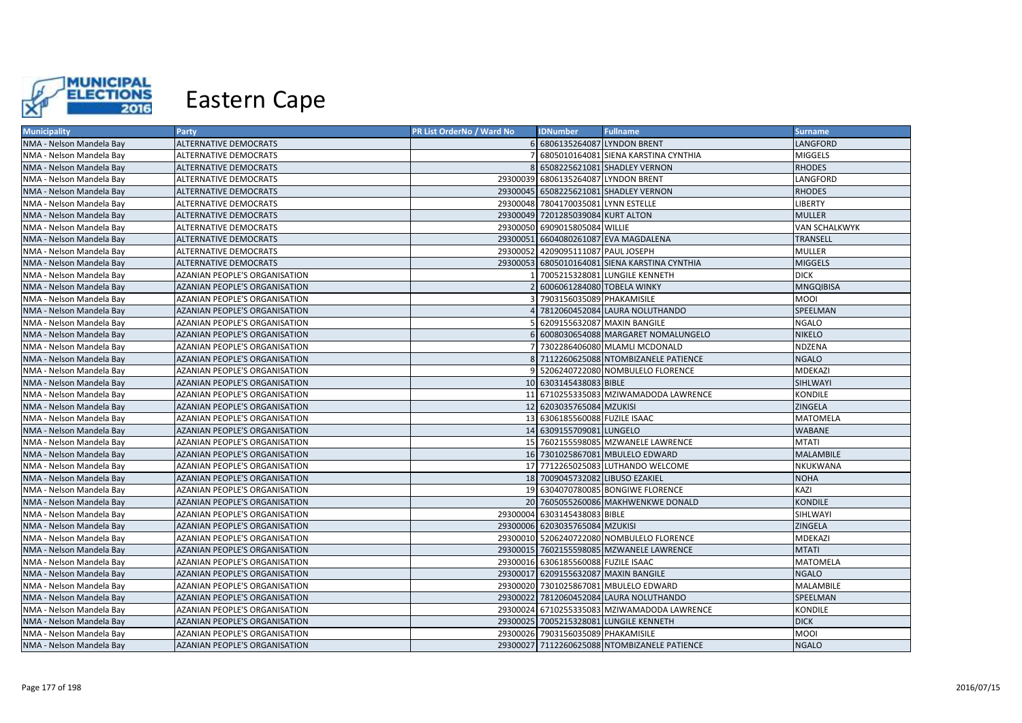

| <b>Municipality</b>      | Party                                | PR List OrderNo / Ward No | <b>IDNumber</b>                      | <b>Fullname</b>                               | <b>Surname</b>       |
|--------------------------|--------------------------------------|---------------------------|--------------------------------------|-----------------------------------------------|----------------------|
| NMA - Nelson Mandela Bay | <b>ALTERNATIVE DEMOCRATS</b>         |                           | 6 6806135264087 LYNDON BRENT         |                                               | <b>LANGFORD</b>      |
| NMA - Nelson Mandela Bay | ALTERNATIVE DEMOCRATS                |                           |                                      | 6805010164081 SIENA KARSTINA CYNTHIA          | <b>MIGGELS</b>       |
| NMA - Nelson Mandela Bay | ALTERNATIVE DEMOCRATS                | 8 <sup>1</sup>            |                                      | 6508225621081 SHADLEY VERNON                  | <b>RHODES</b>        |
| NMA - Nelson Mandela Bay | ALTERNATIVE DEMOCRATS                |                           | 29300039 6806135264087 LYNDON BRENT  |                                               | LANGFORD             |
| NMA - Nelson Mandela Bay | <b>ALTERNATIVE DEMOCRATS</b>         |                           |                                      | 29300045 6508225621081 SHADLEY VERNON         | <b>RHODES</b>        |
| NMA - Nelson Mandela Bay | <b>ALTERNATIVE DEMOCRATS</b>         |                           | 29300048 7804170035081 LYNN ESTELLE  |                                               | <b>LIBERTY</b>       |
| NMA - Nelson Mandela Bay | <b>ALTERNATIVE DEMOCRATS</b>         |                           | 29300049 7201285039084 KURT ALTON    |                                               | <b>MULLER</b>        |
| NMA - Nelson Mandela Bay | <b>ALTERNATIVE DEMOCRATS</b>         |                           | 29300050 6909015805084 WILLIE        |                                               | <b>VAN SCHALKWYK</b> |
| NMA - Nelson Mandela Bay | <b>ALTERNATIVE DEMOCRATS</b>         |                           |                                      | 29300051 6604080261087 EVA MAGDALENA          | <b>TRANSELL</b>      |
| NMA - Nelson Mandela Bay | <b>ALTERNATIVE DEMOCRATS</b>         |                           | 29300052 4209095111087 PAUL JOSEPH   |                                               | <b>MULLER</b>        |
| NMA - Nelson Mandela Bay | <b>ALTERNATIVE DEMOCRATS</b>         |                           |                                      | 29300053 6805010164081 SIENA KARSTINA CYNTHIA | <b>MIGGELS</b>       |
| NMA - Nelson Mandela Bay | AZANIAN PEOPLE'S ORGANISATION        |                           |                                      | 7005215328081 LUNGILE KENNETH                 | <b>DICK</b>          |
| NMA - Nelson Mandela Bay | AZANIAN PEOPLE'S ORGANISATION        |                           | 6006061284080 TOBELA WINKY           |                                               | <b>MNGQIBISA</b>     |
| NMA - Nelson Mandela Bay | AZANIAN PEOPLE'S ORGANISATION        |                           | 7903156035089 PHAKAMISILE            |                                               | <b>MOOI</b>          |
| NMA - Nelson Mandela Bay | <b>AZANIAN PEOPLE'S ORGANISATION</b> |                           |                                      | 7812060452084 LAURA NOLUTHANDO                | SPEELMAN             |
| NMA - Nelson Mandela Bay | AZANIAN PEOPLE'S ORGANISATION        |                           |                                      | 6209155632087 MAXIN BANGILE                   | <b>NGALO</b>         |
| NMA - Nelson Mandela Bay | <b>AZANIAN PEOPLE'S ORGANISATION</b> | 61                        |                                      | 6008030654088 MARGARET NOMALUNGELO            | <b>NIKELO</b>        |
| NMA - Nelson Mandela Bay | AZANIAN PEOPLE'S ORGANISATION        |                           |                                      | 7302286406080 MLAMLI MCDONALD                 | <b>NDZENA</b>        |
| NMA - Nelson Mandela Bay | AZANIAN PEOPLE'S ORGANISATION        |                           |                                      | 8 7112260625088 NTOMBIZANELE PATIENCE         | <b>NGALO</b>         |
| NMA - Nelson Mandela Bay | AZANIAN PEOPLE'S ORGANISATION        |                           |                                      | 9 5206240722080 NOMBULELO FLORENCE            | <b>MDEKAZI</b>       |
| NMA - Nelson Mandela Bay | AZANIAN PEOPLE'S ORGANISATION        |                           | 10 6303145438083 BIBLE               |                                               | SIHLWAYI             |
| NMA - Nelson Mandela Bay | AZANIAN PEOPLE'S ORGANISATION        |                           |                                      | 11 6710255335083 MZIWAMADODA LAWRENCE         | <b>KONDILE</b>       |
| NMA - Nelson Mandela Bay | AZANIAN PEOPLE'S ORGANISATION        |                           | 12 6203035765084 MZUKISI             |                                               | ZINGELA              |
| NMA - Nelson Mandela Bay | AZANIAN PEOPLE'S ORGANISATION        |                           | 13 6306185560088 FUZILE ISAAC        |                                               | <b>MATOMELA</b>      |
| NMA - Nelson Mandela Bay | <b>AZANIAN PEOPLE'S ORGANISATION</b> |                           | 14 6309155709081 LUNGELO             |                                               | <b>WABANE</b>        |
| NMA - Nelson Mandela Bay | AZANIAN PEOPLE'S ORGANISATION        |                           |                                      | 15 7602155598085 MZWANELE LAWRENCE            | <b>MTATI</b>         |
| NMA - Nelson Mandela Bay | <b>AZANIAN PEOPLE'S ORGANISATION</b> |                           |                                      | 16 7301025867081 MBULELO EDWARD               | <b>MALAMBILE</b>     |
| NMA - Nelson Mandela Bay | AZANIAN PEOPLE'S ORGANISATION        |                           |                                      | 17 7712265025083 LUTHANDO WELCOME             | <b>NKUKWANA</b>      |
| NMA - Nelson Mandela Bay | <b>AZANIAN PEOPLE'S ORGANISATION</b> |                           | 18 7009045732082 LIBUSO EZAKIEL      |                                               | <b>NOHA</b>          |
| NMA - Nelson Mandela Bay | AZANIAN PEOPLE'S ORGANISATION        |                           |                                      | 19 6304070780085 BONGIWE FLORENCE             | KAZI                 |
| NMA - Nelson Mandela Bay | AZANIAN PEOPLE'S ORGANISATION        |                           |                                      | 20 7605055260086 MAKHWENKWE DONALD            | <b>KONDILE</b>       |
| NMA - Nelson Mandela Bay | AZANIAN PEOPLE'S ORGANISATION        |                           | 29300004 6303145438083 BIBLE         |                                               | SIHLWAYI             |
| NMA - Nelson Mandela Bay | <b>AZANIAN PEOPLE'S ORGANISATION</b> |                           | 29300006 6203035765084 MZUKISI       |                                               | ZINGELA              |
| NMA - Nelson Mandela Bay | AZANIAN PEOPLE'S ORGANISATION        |                           |                                      | 29300010 5206240722080 NOMBULELO FLORENCE     | MDEKAZI              |
| NMA - Nelson Mandela Bay | AZANIAN PEOPLE'S ORGANISATION        |                           |                                      | 29300015 7602155598085 MZWANELE LAWRENCE      | <b>MTATI</b>         |
| NMA - Nelson Mandela Bay | AZANIAN PEOPLE'S ORGANISATION        |                           | 29300016 6306185560088 FUZILE ISAAC  |                                               | <b>MATOMELA</b>      |
| NMA - Nelson Mandela Bay | AZANIAN PEOPLE'S ORGANISATION        |                           | 29300017 6209155632087 MAXIN BANGILE |                                               | <b>NGALO</b>         |
| NMA - Nelson Mandela Bay | AZANIAN PEOPLE'S ORGANISATION        |                           |                                      | 29300020 7301025867081 MBULELO EDWARD         | <b>MALAMBILE</b>     |
| NMA - Nelson Mandela Bay | AZANIAN PEOPLE'S ORGANISATION        |                           |                                      | 29300022 7812060452084 LAURA NOLUTHANDO       | SPEELMAN             |
| NMA - Nelson Mandela Bay | AZANIAN PEOPLE'S ORGANISATION        |                           |                                      | 29300024 6710255335083 MZIWAMADODA LAWRENCE   | KONDILE              |
| NMA - Nelson Mandela Bay | AZANIAN PEOPLE'S ORGANISATION        |                           |                                      | 29300025 7005215328081 LUNGILE KENNETH        | <b>DICK</b>          |
| NMA - Nelson Mandela Bay | AZANIAN PEOPLE'S ORGANISATION        |                           | 29300026 7903156035089 PHAKAMISILE   |                                               | <b>MOOI</b>          |
| NMA - Nelson Mandela Bay | <b>AZANIAN PEOPLE'S ORGANISATION</b> |                           |                                      | 29300027 7112260625088 NTOMBIZANELE PATIENCE  | <b>NGALO</b>         |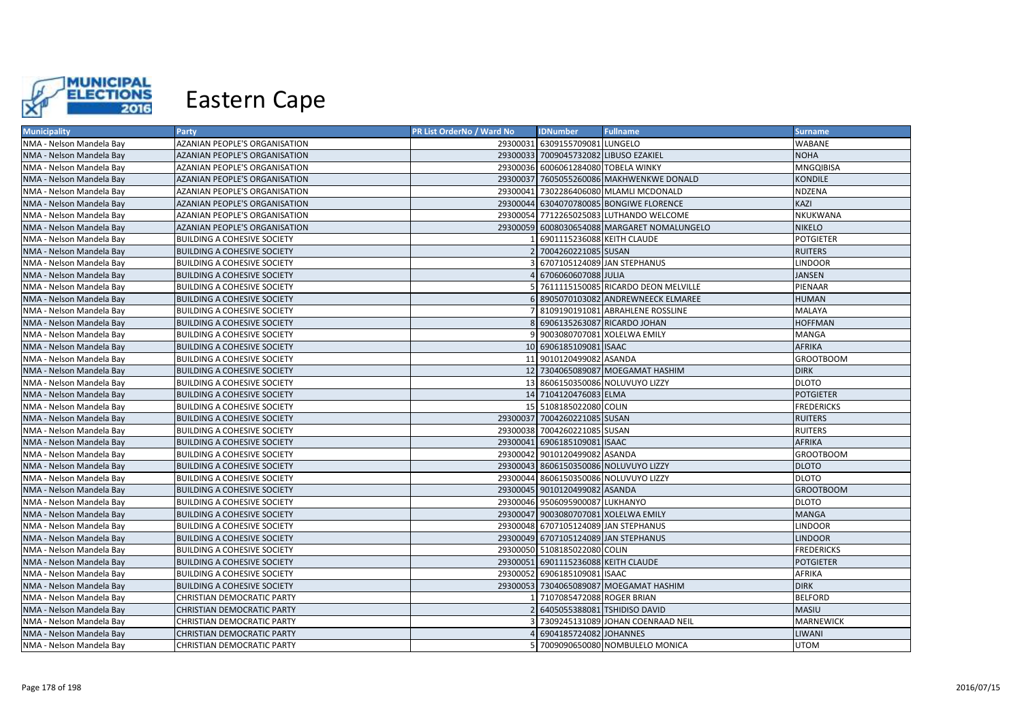

| <b>Municipality</b>      | Party                                | PR List OrderNo / Ward No | <b>IDNumber</b>                       | <b>Fullname</b>                             | <b>Surname</b>    |
|--------------------------|--------------------------------------|---------------------------|---------------------------------------|---------------------------------------------|-------------------|
| NMA - Nelson Mandela Bay | AZANIAN PEOPLE'S ORGANISATION        |                           | 29300031 6309155709081 LUNGELO        |                                             | <b>WABANE</b>     |
| NMA - Nelson Mandela Bay | AZANIAN PEOPLE'S ORGANISATION        |                           | 29300033 7009045732082 LIBUSO EZAKIEL |                                             | <b>NOHA</b>       |
| NMA - Nelson Mandela Bay | AZANIAN PEOPLE'S ORGANISATION        |                           | 29300036 6006061284080 TOBELA WINKY   |                                             | <b>MNGQIBISA</b>  |
| NMA - Nelson Mandela Bay | AZANIAN PEOPLE'S ORGANISATION        |                           |                                       | 29300037 7605055260086 MAKHWENKWE DONALD    | <b>KONDILE</b>    |
| NMA - Nelson Mandela Bay | AZANIAN PEOPLE'S ORGANISATION        |                           |                                       | 29300041 7302286406080 MLAMLI MCDONALD      | NDZENA            |
| NMA - Nelson Mandela Bay | <b>AZANIAN PEOPLE'S ORGANISATION</b> |                           |                                       | 29300044 6304070780085 BONGIWE FLORENCE     | KAZI              |
| NMA - Nelson Mandela Bay | AZANIAN PEOPLE'S ORGANISATION        |                           |                                       | 29300054 7712265025083 LUTHANDO WELCOME     | NKUKWANA          |
| NMA - Nelson Mandela Bay | AZANIAN PEOPLE'S ORGANISATION        |                           |                                       | 29300059 6008030654088 MARGARET NOMALUNGELO | <b>NIKELO</b>     |
| NMA - Nelson Mandela Bay | <b>BUILDING A COHESIVE SOCIETY</b>   |                           | 6901115236088 KEITH CLAUDE            |                                             | <b>POTGIETER</b>  |
| NMA - Nelson Mandela Bay | <b>BUILDING A COHESIVE SOCIETY</b>   |                           | 7004260221085 SUSAN                   |                                             | <b>RUITERS</b>    |
| NMA - Nelson Mandela Bay | <b>BUILDING A COHESIVE SOCIETY</b>   |                           |                                       | 6707105124089 JAN STEPHANUS                 | <b>LINDOOR</b>    |
| NMA - Nelson Mandela Bay | <b>BUILDING A COHESIVE SOCIETY</b>   |                           | 6706060607088 JULIA                   |                                             | <b>JANSEN</b>     |
| NMA - Nelson Mandela Bay | <b>BUILDING A COHESIVE SOCIETY</b>   |                           |                                       | 7611115150085 RICARDO DEON MELVILLE         | PIENAAR           |
| NMA - Nelson Mandela Bay | <b>BUILDING A COHESIVE SOCIETY</b>   |                           |                                       | 6 8905070103082 ANDREWNEECK ELMAREE         | <b>HUMAN</b>      |
| NMA - Nelson Mandela Bay | <b>BUILDING A COHESIVE SOCIETY</b>   |                           |                                       | 8109190191081 ABRAHLENE ROSSLINE            | <b>MALAYA</b>     |
| NMA - Nelson Mandela Bay | <b>BUILDING A COHESIVE SOCIETY</b>   | 81                        |                                       | 6906135263087 RICARDO JOHAN                 | <b>HOFFMAN</b>    |
| NMA - Nelson Mandela Bay | <b>BUILDING A COHESIVE SOCIETY</b>   |                           |                                       | 9003080707081 XOLELWA EMILY                 | <b>MANGA</b>      |
| NMA - Nelson Mandela Bay | <b>BUILDING A COHESIVE SOCIETY</b>   |                           | 10 6906185109081 ISAAC                |                                             | <b>AFRIKA</b>     |
| NMA - Nelson Mandela Bay | <b>BUILDING A COHESIVE SOCIETY</b>   |                           | 11 9010120499082 ASANDA               |                                             | <b>GROOTBOOM</b>  |
| NMA - Nelson Mandela Bay | <b>BUILDING A COHESIVE SOCIETY</b>   |                           |                                       | 12 7304065089087 MOEGAMAT HASHIM            | <b>DIRK</b>       |
| NMA - Nelson Mandela Bay | <b>BUILDING A COHESIVE SOCIETY</b>   |                           |                                       | 13 8606150350086 NOLUVUYO LIZZY             | <b>DLOTO</b>      |
| NMA - Nelson Mandela Bay | <b>BUILDING A COHESIVE SOCIETY</b>   |                           | 14 7104120476083 ELMA                 |                                             | <b>POTGIETER</b>  |
| NMA - Nelson Mandela Bay | <b>BUILDING A COHESIVE SOCIETY</b>   |                           | 15 5108185022080 COLIN                |                                             | <b>FREDERICKS</b> |
| NMA - Nelson Mandela Bay | <b>BUILDING A COHESIVE SOCIETY</b>   |                           | 29300037 7004260221085 SUSAN          |                                             | <b>RUITERS</b>    |
| NMA - Nelson Mandela Bay | <b>BUILDING A COHESIVE SOCIETY</b>   |                           | 29300038 7004260221085 SUSAN          |                                             | <b>RUITERS</b>    |
| NMA - Nelson Mandela Bay | <b>BUILDING A COHESIVE SOCIETY</b>   |                           | 29300041 6906185109081 ISAAC          |                                             | <b>AFRIKA</b>     |
| NMA - Nelson Mandela Bay | <b>BUILDING A COHESIVE SOCIETY</b>   |                           | 29300042 9010120499082 ASANDA         |                                             | <b>GROOTBOOM</b>  |
| NMA - Nelson Mandela Bay | <b>BUILDING A COHESIVE SOCIETY</b>   |                           |                                       | 29300043 8606150350086 NOLUVUYO LIZZY       | <b>DLOTO</b>      |
| NMA - Nelson Mandela Bay | <b>BUILDING A COHESIVE SOCIETY</b>   |                           |                                       | 29300044 8606150350086 NOLUVUYO LIZZY       | <b>DLOTO</b>      |
| NMA - Nelson Mandela Bay | <b>BUILDING A COHESIVE SOCIETY</b>   |                           | 29300045 9010120499082 ASANDA         |                                             | <b>GROOTBOOM</b>  |
| NMA - Nelson Mandela Bay | <b>BUILDING A COHESIVE SOCIETY</b>   |                           | 29300046 9506095900087 LUKHANYO       |                                             | <b>DLOTO</b>      |
| NMA - Nelson Mandela Bay | <b>BUILDING A COHESIVE SOCIETY</b>   |                           | 29300047 9003080707081 XOLELWA EMILY  |                                             | <b>MANGA</b>      |
| NMA - Nelson Mandela Bay | <b>BUILDING A COHESIVE SOCIETY</b>   |                           | 29300048 6707105124089 JAN STEPHANUS  |                                             | <b>LINDOOR</b>    |
| NMA - Nelson Mandela Bay | <b>BUILDING A COHESIVE SOCIETY</b>   |                           | 29300049 6707105124089 JAN STEPHANUS  |                                             | <b>LINDOOR</b>    |
| NMA - Nelson Mandela Bay | <b>BUILDING A COHESIVE SOCIETY</b>   |                           | 29300050 5108185022080 COLIN          |                                             | <b>FREDERICKS</b> |
| NMA - Nelson Mandela Bay | <b>BUILDING A COHESIVE SOCIETY</b>   |                           | 29300051 6901115236088 KEITH CLAUDE   |                                             | <b>POTGIETER</b>  |
| NMA - Nelson Mandela Bay | <b>BUILDING A COHESIVE SOCIETY</b>   |                           | 29300052 6906185109081 ISAAC          |                                             | AFRIKA            |
| NMA - Nelson Mandela Bay | <b>BUILDING A COHESIVE SOCIETY</b>   |                           |                                       | 29300053 7304065089087 MOEGAMAT HASHIM      | <b>DIRK</b>       |
| NMA - Nelson Mandela Bay | CHRISTIAN DEMOCRATIC PARTY           |                           | 7107085472088 ROGER BRIAN             |                                             | <b>BELFORD</b>    |
| NMA - Nelson Mandela Bay | <b>CHRISTIAN DEMOCRATIC PARTY</b>    |                           |                                       | 6405055388081 TSHIDISO DAVID                | <b>MASIU</b>      |
| NMA - Nelson Mandela Bay | CHRISTIAN DEMOCRATIC PARTY           |                           |                                       | 7309245131089 JOHAN COENRAAD NEIL           | <b>MARNEWICK</b>  |
| NMA - Nelson Mandela Bay | CHRISTIAN DEMOCRATIC PARTY           |                           | 6904185724082 JOHANNES                |                                             | <b>LIWANI</b>     |
| NMA - Nelson Mandela Bay | CHRISTIAN DEMOCRATIC PARTY           |                           |                                       | 7009090650080 NOMBULELO MONICA              | <b>UTOM</b>       |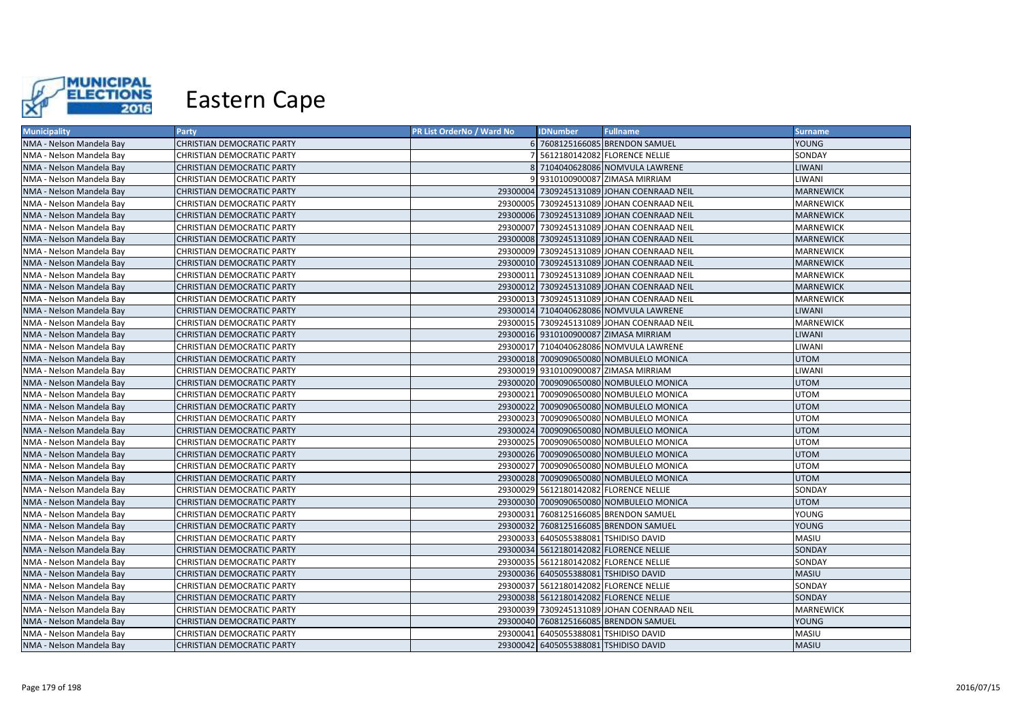

| <b>Municipality</b>      | Party                             | <b>PR List OrderNo / Ward No</b> | <b>IDNumber</b> | <b>Fullname</b>                            | <b>Surname</b>   |
|--------------------------|-----------------------------------|----------------------------------|-----------------|--------------------------------------------|------------------|
| NMA - Nelson Mandela Bay | <b>CHRISTIAN DEMOCRATIC PARTY</b> |                                  |                 | 6 7608125166085 BRENDON SAMUEL             | YOUNG            |
| NMA - Nelson Mandela Bay | CHRISTIAN DEMOCRATIC PARTY        |                                  |                 | 5612180142082 FLORENCE NELLIE              | SONDAY           |
| NMA - Nelson Mandela Bay | CHRISTIAN DEMOCRATIC PARTY        |                                  |                 | 8 7104040628086 NOMVULA LAWRENE            | LIWANI           |
| NMA - Nelson Mandela Bay | CHRISTIAN DEMOCRATIC PARTY        |                                  |                 | 9 9310100900087 ZIMASA MIRRIAM             | LIWANI           |
| NMA - Nelson Mandela Bay | <b>CHRISTIAN DEMOCRATIC PARTY</b> |                                  |                 | 29300004 7309245131089 JOHAN COENRAAD NEIL | <b>MARNEWICK</b> |
| NMA - Nelson Mandela Bay | <b>CHRISTIAN DEMOCRATIC PARTY</b> |                                  |                 | 29300005 7309245131089 JOHAN COENRAAD NEIL | MARNEWICK        |
| NMA - Nelson Mandela Bay | <b>CHRISTIAN DEMOCRATIC PARTY</b> |                                  |                 | 29300006 7309245131089 JOHAN COENRAAD NEIL | <b>MARNEWICK</b> |
| NMA - Nelson Mandela Bay | <b>CHRISTIAN DEMOCRATIC PARTY</b> |                                  |                 | 29300007 7309245131089 JOHAN COENRAAD NEIL | <b>MARNEWICK</b> |
| NMA - Nelson Mandela Bay | <b>CHRISTIAN DEMOCRATIC PARTY</b> |                                  |                 | 29300008 7309245131089 JOHAN COENRAAD NEIL | <b>MARNEWICK</b> |
| NMA - Nelson Mandela Bay | <b>CHRISTIAN DEMOCRATIC PARTY</b> |                                  |                 | 29300009 7309245131089 JOHAN COENRAAD NEIL | <b>MARNEWICK</b> |
| NMA - Nelson Mandela Bay | <b>CHRISTIAN DEMOCRATIC PARTY</b> |                                  |                 | 29300010 7309245131089 JOHAN COENRAAD NEIL | <b>MARNEWICK</b> |
| NMA - Nelson Mandela Bay | <b>CHRISTIAN DEMOCRATIC PARTY</b> |                                  |                 | 29300011 7309245131089 JOHAN COENRAAD NEIL | MARNEWICK        |
| NMA - Nelson Mandela Bay | <b>CHRISTIAN DEMOCRATIC PARTY</b> |                                  |                 | 29300012 7309245131089 JOHAN COENRAAD NEIL | <b>MARNEWICK</b> |
| NMA - Nelson Mandela Bay | <b>CHRISTIAN DEMOCRATIC PARTY</b> |                                  |                 | 29300013 7309245131089 JOHAN COENRAAD NEIL | MARNEWICK        |
| NMA - Nelson Mandela Bay | <b>CHRISTIAN DEMOCRATIC PARTY</b> |                                  |                 | 29300014 7104040628086 NOMVULA LAWRENE     | LIWANI           |
| NMA - Nelson Mandela Bay | <b>CHRISTIAN DEMOCRATIC PARTY</b> |                                  |                 | 29300015 7309245131089 JOHAN COENRAAD NEIL | <b>MARNEWICK</b> |
| NMA - Nelson Mandela Bay | <b>CHRISTIAN DEMOCRATIC PARTY</b> |                                  |                 | 29300016 9310100900087 ZIMASA MIRRIAM      | LIWANI           |
| NMA - Nelson Mandela Bay | <b>CHRISTIAN DEMOCRATIC PARTY</b> |                                  |                 | 29300017 7104040628086 NOMVULA LAWRENE     | LIWANI           |
| NMA - Nelson Mandela Bay | <b>CHRISTIAN DEMOCRATIC PARTY</b> |                                  |                 | 29300018 7009090650080 NOMBULELO MONICA    | <b>UTOM</b>      |
| NMA - Nelson Mandela Bay | <b>CHRISTIAN DEMOCRATIC PARTY</b> |                                  |                 | 29300019 9310100900087 ZIMASA MIRRIAM      | LIWANI           |
| NMA - Nelson Mandela Bay | <b>CHRISTIAN DEMOCRATIC PARTY</b> |                                  |                 | 29300020 7009090650080 NOMBULELO MONICA    | <b>UTOM</b>      |
| NMA - Nelson Mandela Bay | <b>CHRISTIAN DEMOCRATIC PARTY</b> |                                  |                 | 29300021 7009090650080 NOMBULELO MONICA    | UTOM             |
| NMA - Nelson Mandela Bay | <b>CHRISTIAN DEMOCRATIC PARTY</b> |                                  |                 | 29300022 7009090650080 NOMBULELO MONICA    | <b>UTOM</b>      |
| NMA - Nelson Mandela Bay | CHRISTIAN DEMOCRATIC PARTY        |                                  |                 | 29300023 7009090650080 NOMBULELO MONICA    | UTOM             |
| NMA - Nelson Mandela Bay | CHRISTIAN DEMOCRATIC PARTY        |                                  |                 | 29300024 7009090650080 NOMBULELO MONICA    | <b>UTOM</b>      |
| NMA - Nelson Mandela Bay | <b>CHRISTIAN DEMOCRATIC PARTY</b> |                                  |                 | 29300025 7009090650080 NOMBULELO MONICA    | UTOM             |
| NMA - Nelson Mandela Bay | <b>CHRISTIAN DEMOCRATIC PARTY</b> |                                  |                 | 29300026 7009090650080 NOMBULELO MONICA    | UTOM             |
| NMA - Nelson Mandela Bay | <b>CHRISTIAN DEMOCRATIC PARTY</b> |                                  |                 | 29300027 7009090650080 NOMBULELO MONICA    | UTOM             |
| NMA - Nelson Mandela Bay | <b>CHRISTIAN DEMOCRATIC PARTY</b> |                                  |                 | 29300028 7009090650080 NOMBULELO MONICA    | <b>UTOM</b>      |
| NMA - Nelson Mandela Bay | <b>CHRISTIAN DEMOCRATIC PARTY</b> |                                  |                 | 29300029 5612180142082 FLORENCE NELLIE     | SONDAY           |
| NMA - Nelson Mandela Bay | <b>CHRISTIAN DEMOCRATIC PARTY</b> |                                  |                 | 29300030 7009090650080 NOMBULELO MONICA    | <b>UTOM</b>      |
| NMA - Nelson Mandela Bay | CHRISTIAN DEMOCRATIC PARTY        |                                  |                 | 29300031 7608125166085 BRENDON SAMUEL      | YOUNG            |
| NMA - Nelson Mandela Bay | <b>CHRISTIAN DEMOCRATIC PARTY</b> |                                  |                 | 29300032 7608125166085 BRENDON SAMUEL      | YOUNG            |
| NMA - Nelson Mandela Bay | <b>CHRISTIAN DEMOCRATIC PARTY</b> |                                  |                 | 29300033 6405055388081 TSHIDISO DAVID      | MASIU            |
| NMA - Nelson Mandela Bay | <b>CHRISTIAN DEMOCRATIC PARTY</b> |                                  |                 | 29300034 5612180142082 FLORENCE NELLIE     | SONDAY           |
| NMA - Nelson Mandela Bay | CHRISTIAN DEMOCRATIC PARTY        |                                  |                 | 29300035 5612180142082 FLORENCE NELLIE     | SONDAY           |
| NMA - Nelson Mandela Bay | <b>CHRISTIAN DEMOCRATIC PARTY</b> |                                  |                 | 29300036 6405055388081 TSHIDISO DAVID      | MASIU            |
| NMA - Nelson Mandela Bay | CHRISTIAN DEMOCRATIC PARTY        |                                  |                 | 29300037 5612180142082 FLORENCE NELLIE     | SONDAY           |
| NMA - Nelson Mandela Bay | CHRISTIAN DEMOCRATIC PARTY        |                                  |                 | 29300038 5612180142082 FLORENCE NELLIE     | SONDAY           |
| NMA - Nelson Mandela Bay | CHRISTIAN DEMOCRATIC PARTY        |                                  |                 | 29300039 7309245131089 JOHAN COENRAAD NEIL | MARNEWICK        |
| NMA - Nelson Mandela Bay | CHRISTIAN DEMOCRATIC PARTY        |                                  |                 | 29300040 7608125166085 BRENDON SAMUEL      | YOUNG            |
| NMA - Nelson Mandela Bay | CHRISTIAN DEMOCRATIC PARTY        |                                  |                 | 29300041 6405055388081 TSHIDISO DAVID      | MASIU            |
| NMA - Nelson Mandela Bay | <b>CHRISTIAN DEMOCRATIC PARTY</b> |                                  |                 | 29300042 6405055388081 TSHIDISO DAVID      | <b>MASIU</b>     |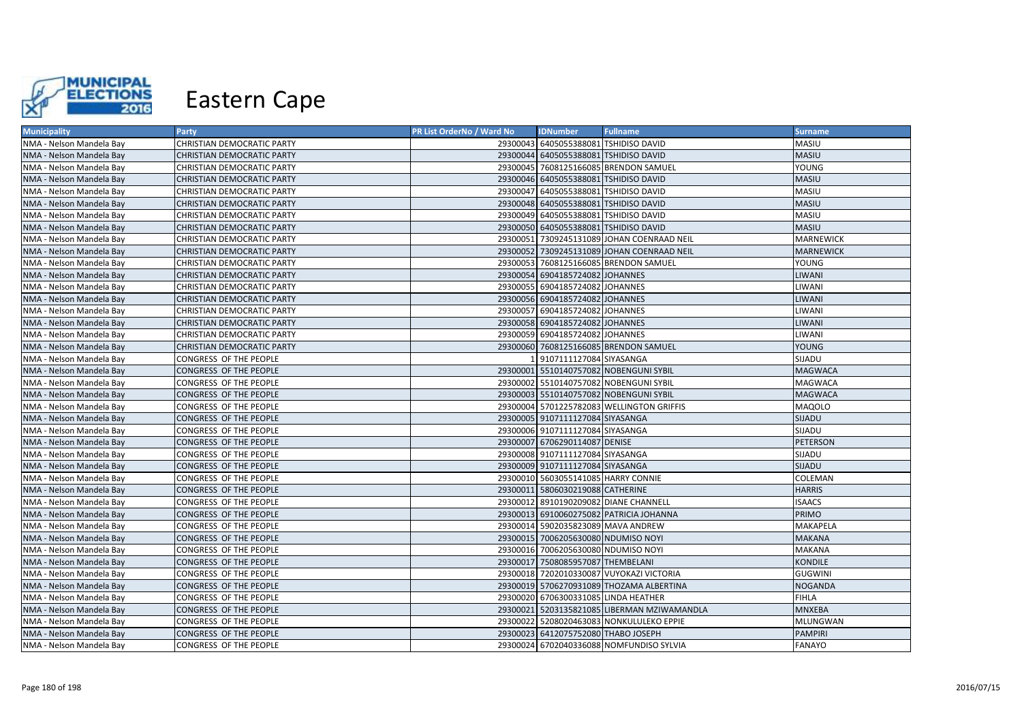

| <b>Municipality</b>      | Party                             | PR List OrderNo / Ward No | <b>IDNumber</b>                       | <b>Fullname</b>                             | <b>Surname</b>   |
|--------------------------|-----------------------------------|---------------------------|---------------------------------------|---------------------------------------------|------------------|
| NMA - Nelson Mandela Bay | <b>CHRISTIAN DEMOCRATIC PARTY</b> |                           | 29300043 6405055388081 TSHIDISO DAVID |                                             | MASIU            |
| NMA - Nelson Mandela Bay | <b>CHRISTIAN DEMOCRATIC PARTY</b> |                           | 29300044 6405055388081 TSHIDISO DAVID |                                             | <b>MASIU</b>     |
| NMA - Nelson Mandela Bay | CHRISTIAN DEMOCRATIC PARTY        |                           |                                       | 29300045 7608125166085 BRENDON SAMUEL       | YOUNG            |
| NMA - Nelson Mandela Bay | <b>CHRISTIAN DEMOCRATIC PARTY</b> |                           | 29300046 6405055388081 TSHIDISO DAVID |                                             | <b>MASIU</b>     |
| NMA - Nelson Mandela Bay | CHRISTIAN DEMOCRATIC PARTY        |                           | 29300047 6405055388081 TSHIDISO DAVID |                                             | MASIU            |
| NMA - Nelson Mandela Bay | CHRISTIAN DEMOCRATIC PARTY        |                           | 29300048 6405055388081 TSHIDISO DAVID |                                             | <b>MASIU</b>     |
| NMA - Nelson Mandela Bay | <b>CHRISTIAN DEMOCRATIC PARTY</b> |                           | 29300049 6405055388081 TSHIDISO DAVID |                                             | MASIU            |
| NMA - Nelson Mandela Bay | CHRISTIAN DEMOCRATIC PARTY        |                           | 29300050 6405055388081 TSHIDISO DAVID |                                             | <b>MASIU</b>     |
| NMA - Nelson Mandela Bay | CHRISTIAN DEMOCRATIC PARTY        |                           |                                       | 29300051 7309245131089 JOHAN COENRAAD NEIL  | <b>MARNEWICK</b> |
| NMA - Nelson Mandela Bay | CHRISTIAN DEMOCRATIC PARTY        |                           |                                       | 29300052 7309245131089 JOHAN COENRAAD NEIL  | <b>MARNEWICK</b> |
| NMA - Nelson Mandela Bay | CHRISTIAN DEMOCRATIC PARTY        |                           |                                       | 29300053 7608125166085 BRENDON SAMUEL       | YOUNG            |
| NMA - Nelson Mandela Bay | <b>CHRISTIAN DEMOCRATIC PARTY</b> |                           | 29300054 6904185724082 JOHANNES       |                                             | <b>LIWANI</b>    |
| NMA - Nelson Mandela Bay | CHRISTIAN DEMOCRATIC PARTY        |                           | 29300055 6904185724082 JOHANNES       |                                             | LIWANI           |
| NMA - Nelson Mandela Bay | <b>CHRISTIAN DEMOCRATIC PARTY</b> |                           | 29300056 6904185724082 JOHANNES       |                                             | <b>LIWANI</b>    |
| NMA - Nelson Mandela Bay | <b>CHRISTIAN DEMOCRATIC PARTY</b> | 29300057                  | 6904185724082 JOHANNES                |                                             | LIWANI           |
| NMA - Nelson Mandela Bay | CHRISTIAN DEMOCRATIC PARTY        |                           | 29300058 6904185724082 JOHANNES       |                                             | <b>LIWANI</b>    |
| NMA - Nelson Mandela Bay | CHRISTIAN DEMOCRATIC PARTY        |                           | 29300059 6904185724082 JOHANNES       |                                             | LIWANI           |
| NMA - Nelson Mandela Bay | <b>CHRISTIAN DEMOCRATIC PARTY</b> |                           |                                       | 29300060 7608125166085 BRENDON SAMUEL       | <b>YOUNG</b>     |
| NMA - Nelson Mandela Bay | CONGRESS OF THE PEOPLE            |                           | 9107111127084 SIYASANGA               |                                             | SIJADU           |
| NMA - Nelson Mandela Bay | CONGRESS OF THE PEOPLE            |                           |                                       | 29300001 5510140757082 NOBENGUNI SYBIL      | <b>MAGWACA</b>   |
| NMA - Nelson Mandela Bay | CONGRESS OF THE PEOPLE            |                           |                                       | 29300002 5510140757082 NOBENGUNI SYBIL      | <b>MAGWACA</b>   |
| NMA - Nelson Mandela Bay | CONGRESS OF THE PEOPLE            |                           |                                       | 29300003 5510140757082 NOBENGUNI SYBIL      | <b>MAGWACA</b>   |
| NMA - Nelson Mandela Bay | CONGRESS OF THE PEOPLE            |                           |                                       | 29300004 5701225782083 WELLINGTON GRIFFIS   | <b>MAQOLO</b>    |
| NMA - Nelson Mandela Bay | CONGRESS OF THE PEOPLE            |                           | 29300005 9107111127084 SIYASANGA      |                                             | SIJADU           |
| NMA - Nelson Mandela Bay | CONGRESS OF THE PEOPLE            |                           | 29300006 9107111127084 SIYASANGA      |                                             | SIJADU           |
| NMA - Nelson Mandela Bay | CONGRESS OF THE PEOPLE            |                           | 29300007 6706290114087 DENISE         |                                             | <b>PETERSON</b>  |
| NMA - Nelson Mandela Bay | CONGRESS OF THE PEOPLE            |                           | 29300008 9107111127084 SIYASANGA      |                                             | SIJADU           |
| NMA - Nelson Mandela Bay | CONGRESS OF THE PEOPLE            |                           | 29300009 9107111127084 SIYASANGA      |                                             | <b>SIJADU</b>    |
| NMA - Nelson Mandela Bay | CONGRESS OF THE PEOPLE            |                           | 29300010 5603055141085 HARRY CONNIE   |                                             | COLEMAN          |
| NMA - Nelson Mandela Bay | CONGRESS OF THE PEOPLE            |                           | 29300011 5806030219088 CATHERINE      |                                             | <b>HARRIS</b>    |
| NMA - Nelson Mandela Bay | CONGRESS OF THE PEOPLE            |                           |                                       | 29300012 8910190209082 DIANE CHANNELL       | <b>ISAACS</b>    |
| NMA - Nelson Mandela Bay | CONGRESS OF THE PEOPLE            |                           |                                       | 29300013 6910060275082 PATRICIA JOHANNA     | PRIMO            |
| NMA - Nelson Mandela Bay | CONGRESS OF THE PEOPLE            |                           | 29300014 5902035823089 MAVA ANDREW    |                                             | <b>MAKAPELA</b>  |
| NMA - Nelson Mandela Bay | CONGRESS OF THE PEOPLE            |                           | 29300015 7006205630080 NDUMISO NOYI   |                                             | <b>MAKANA</b>    |
| NMA - Nelson Mandela Bay | CONGRESS OF THE PEOPLE            | 29300016                  | 7006205630080 NDUMISO NOYI            |                                             | <b>MAKANA</b>    |
| NMA - Nelson Mandela Bay | CONGRESS OF THE PEOPLE            |                           | 29300017 7508085957087 THEMBELANI     |                                             | <b>KONDILE</b>   |
| NMA - Nelson Mandela Bay | CONGRESS OF THE PEOPLE            |                           |                                       | 29300018 7202010330087 VUYOKAZI VICTORIA    | <b>GUGWINI</b>   |
| NMA - Nelson Mandela Bay | CONGRESS OF THE PEOPLE            |                           |                                       | 29300019 5706270931089 THOZAMA ALBERTINA    | <b>NOGANDA</b>   |
| NMA - Nelson Mandela Bay | CONGRESS OF THE PEOPLE            |                           | 29300020 6706300331085 LINDA HEATHER  |                                             | <b>FIHLA</b>     |
| NMA - Nelson Mandela Bay | CONGRESS OF THE PEOPLE            |                           |                                       | 29300021 5203135821085 LIBERMAN MZIWAMANDLA | <b>MNXEBA</b>    |
| NMA - Nelson Mandela Bay | CONGRESS OF THE PEOPLE            |                           |                                       | 29300022 5208020463083 NONKULULEKO EPPIE    | <b>MLUNGWAN</b>  |
| NMA - Nelson Mandela Bay | CONGRESS OF THE PEOPLE            |                           | 29300023 6412075752080 THABO JOSEPH   |                                             | <b>PAMPIRI</b>   |
| NMA - Nelson Mandela Bay | CONGRESS OF THE PEOPLE            |                           |                                       | 29300024 6702040336088 NOMFUNDISO SYLVIA    | <b>FANAYO</b>    |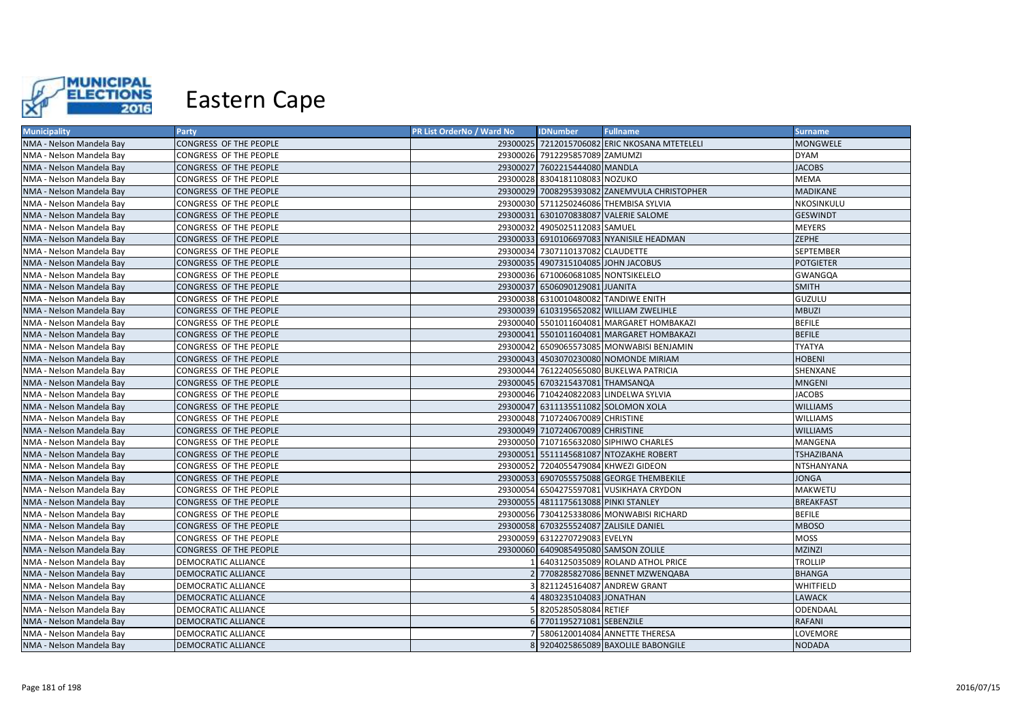

| <b>Municipality</b>      | Party                      | PR List OrderNo / Ward No | <b>IDNumber</b>                        | <b>Fullname</b>                               | <b>Surname</b>    |
|--------------------------|----------------------------|---------------------------|----------------------------------------|-----------------------------------------------|-------------------|
| NMA - Nelson Mandela Bay | CONGRESS OF THE PEOPLE     |                           |                                        | 29300025 7212015706082 ERIC NKOSANA MTETELELI | <b>MONGWELE</b>   |
| NMA - Nelson Mandela Bay | CONGRESS OF THE PEOPLE     |                           | 29300026 7912295857089 ZAMUMZI         |                                               | <b>DYAM</b>       |
| NMA - Nelson Mandela Bay | CONGRESS OF THE PEOPLE     |                           | 29300027 7602215444080 MANDLA          |                                               | <b>JACOBS</b>     |
| NMA - Nelson Mandela Bay | CONGRESS OF THE PEOPLE     |                           | 29300028 8304181108083 NOZUKO          |                                               | <b>MEMA</b>       |
| NMA - Nelson Mandela Bay | CONGRESS OF THE PEOPLE     |                           |                                        | 29300029 7008295393082 ZANEMVULA CHRISTOPHER  | <b>MADIKANE</b>   |
| NMA - Nelson Mandela Bay | CONGRESS OF THE PEOPLE     |                           |                                        | 29300030 5711250246086 THEMBISA SYLVIA        | NKOSINKULU        |
| NMA - Nelson Mandela Bay | CONGRESS OF THE PEOPLE     |                           |                                        | 29300031 6301070838087 VALERIE SALOME         | <b>GESWINDT</b>   |
| NMA - Nelson Mandela Bay | CONGRESS OF THE PEOPLE     |                           | 29300032 4905025112083 SAMUEL          |                                               | <b>MEYERS</b>     |
| NMA - Nelson Mandela Bay | CONGRESS OF THE PEOPLE     |                           |                                        | 29300033 6910106697083 NYANISILE HEADMAN      | <b>ZEPHE</b>      |
| NMA - Nelson Mandela Bay | CONGRESS OF THE PEOPLE     |                           | 29300034 7307110137082 CLAUDETTE       |                                               | <b>SEPTEMBER</b>  |
| NMA - Nelson Mandela Bay | CONGRESS OF THE PEOPLE     |                           | 29300035 4907315104085 JOHN JACOBUS    |                                               | <b>POTGIETER</b>  |
| NMA - Nelson Mandela Bay | CONGRESS OF THE PEOPLE     |                           | 29300036 6710060681085 NONTSIKELELO    |                                               | <b>GWANGQA</b>    |
| NMA - Nelson Mandela Bay | CONGRESS OF THE PEOPLE     |                           | 29300037 6506090129081 JUANITA         |                                               | <b>SMITH</b>      |
| NMA - Nelson Mandela Bay | CONGRESS OF THE PEOPLE     |                           | 29300038 6310010480082 TANDIWE ENITH   |                                               | GUZULU            |
| NMA - Nelson Mandela Bay | CONGRESS OF THE PEOPLE     |                           |                                        | 29300039 6103195652082 WILLIAM ZWELIHLE       | <b>MBUZI</b>      |
| NMA - Nelson Mandela Bay | CONGRESS OF THE PEOPLE     |                           |                                        | 29300040 5501011604081 MARGARET HOMBAKAZI     | <b>BEFILE</b>     |
| NMA - Nelson Mandela Bay | CONGRESS OF THE PEOPLE     |                           |                                        | 29300041 5501011604081 MARGARET HOMBAKAZI     | <b>BEFILE</b>     |
| NMA - Nelson Mandela Bay | CONGRESS OF THE PEOPLE     |                           |                                        | 29300042 6509065573085 MONWABISI BENJAMIN     | <b>TYATYA</b>     |
| NMA - Nelson Mandela Bay | CONGRESS OF THE PEOPLE     |                           |                                        | 29300043 4503070230080 NOMONDE MIRIAM         | <b>HOBENI</b>     |
| NMA - Nelson Mandela Bay | CONGRESS OF THE PEOPLE     |                           |                                        | 29300044 7612240565080 BUKELWA PATRICIA       | SHENXANE          |
| NMA - Nelson Mandela Bay | CONGRESS OF THE PEOPLE     |                           | 29300045 6703215437081 THAMSANQA       |                                               | <b>MNGENI</b>     |
| NMA - Nelson Mandela Bay | CONGRESS OF THE PEOPLE     |                           |                                        | 29300046 7104240822083 LINDELWA SYLVIA        | <b>JACOBS</b>     |
| NMA - Nelson Mandela Bay | CONGRESS OF THE PEOPLE     |                           |                                        | 29300047 6311135511082 SOLOMON XOLA           | <b>WILLIAMS</b>   |
| NMA - Nelson Mandela Bay | CONGRESS OF THE PEOPLE     |                           | 29300048 7107240670089 CHRISTINE       |                                               | <b>WILLIAMS</b>   |
| NMA - Nelson Mandela Bay | CONGRESS OF THE PEOPLE     |                           | 29300049 7107240670089 CHRISTINE       |                                               | <b>WILLIAMS</b>   |
| NMA - Nelson Mandela Bay | CONGRESS OF THE PEOPLE     |                           |                                        | 29300050 7107165632080 SIPHIWO CHARLES        | MANGENA           |
| NMA - Nelson Mandela Bay | CONGRESS OF THE PEOPLE     |                           |                                        | 29300051 5511145681087 NTOZAKHE ROBERT        | <b>TSHAZIBANA</b> |
| NMA - Nelson Mandela Bay | CONGRESS OF THE PEOPLE     |                           |                                        | 29300052 7204055479084 KHWEZI GIDEON          | NTSHANYANA        |
| NMA - Nelson Mandela Bay | CONGRESS OF THE PEOPLE     |                           |                                        | 29300053 6907055575088 GEORGE THEMBEKILE      | <b>JONGA</b>      |
| NMA - Nelson Mandela Bay | CONGRESS OF THE PEOPLE     |                           |                                        | 29300054 6504275597081 VUSIKHAYA CRYDON       | MAKWETU           |
| NMA - Nelson Mandela Bay | CONGRESS OF THE PEOPLE     |                           | 29300055 4811175613088 PINKI STANLEY   |                                               | <b>BREAKFAST</b>  |
| NMA - Nelson Mandela Bay | CONGRESS OF THE PEOPLE     |                           |                                        | 29300056 7304125338086 MONWABISI RICHARD      | <b>BEFILE</b>     |
| NMA - Nelson Mandela Bay | CONGRESS OF THE PEOPLE     |                           | 29300058 6703255524087 ZALISILE DANIEL |                                               | <b>MBOSO</b>      |
| NMA - Nelson Mandela Bay | CONGRESS OF THE PEOPLE     |                           | 29300059 6312270729083 EVELYN          |                                               | MOSS              |
| NMA - Nelson Mandela Bay | CONGRESS OF THE PEOPLE     |                           | 29300060 6409085495080 SAMSON ZOLILE   |                                               | <b>MZINZI</b>     |
| NMA - Nelson Mandela Bay | DEMOCRATIC ALLIANCE        |                           |                                        | 6403125035089 ROLAND ATHOL PRICE              | <b>TROLLIP</b>    |
| NMA - Nelson Mandela Bay | <b>DEMOCRATIC ALLIANCE</b> |                           |                                        | 2 7708285827086 BENNET MZWENQABA              | <b>BHANGA</b>     |
| NMA - Nelson Mandela Bay | DEMOCRATIC ALLIANCE        |                           |                                        | 3 8211245164087 ANDREW GRANT                  | WHITFIELD         |
| NMA - Nelson Mandela Bay | DEMOCRATIC ALLIANCE        |                           | 4803235104083 JONATHAN                 |                                               | <b>LAWACK</b>     |
| NMA - Nelson Mandela Bay | DEMOCRATIC ALLIANCE        |                           | 5 8205285058084 RETIEF                 |                                               | ODENDAAL          |
| NMA - Nelson Mandela Bay | DEMOCRATIC ALLIANCE        |                           | 6 7701195271081 SEBENZILE              |                                               | <b>RAFANI</b>     |
| NMA - Nelson Mandela Bay | DEMOCRATIC ALLIANCE        |                           |                                        | 5806120014084 ANNETTE THERESA                 | LOVEMORE          |
| NMA - Nelson Mandela Bay | <b>DEMOCRATIC ALLIANCE</b> |                           |                                        | 8 9204025865089 BAXOLILE BABONGILE            | <b>NODADA</b>     |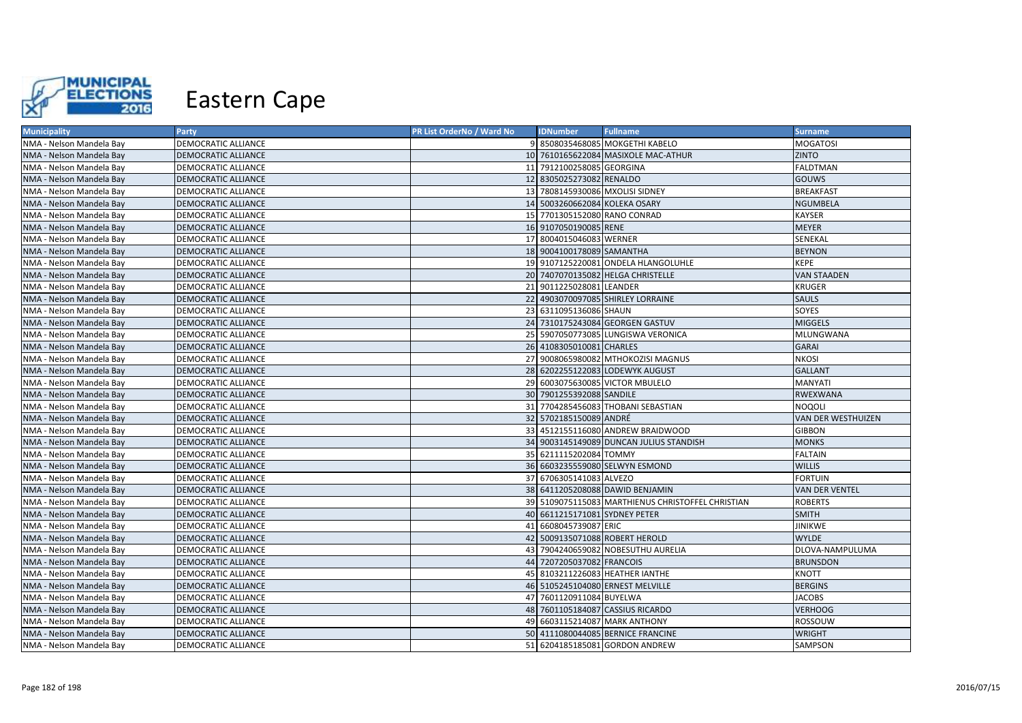

| <b>Municipality</b>      | Party                      | PR List OrderNo / Ward No | <b>IDNumber</b>                 | <b>Fullname</b>                                   | <b>Surname</b>        |
|--------------------------|----------------------------|---------------------------|---------------------------------|---------------------------------------------------|-----------------------|
| NMA - Nelson Mandela Bay | DEMOCRATIC ALLIANCE        |                           |                                 | 9 8508035468085 MOKGETHI KABELO                   | <b>MOGATOSI</b>       |
| NMA - Nelson Mandela Bay | DEMOCRATIC ALLIANCE        |                           |                                 | 10 7610165622084 MASIXOLE MAC-ATHUR               | <b>ZINTO</b>          |
| NMA - Nelson Mandela Bay | <b>DEMOCRATIC ALLIANCE</b> |                           | 11 7912100258085 GEORGINA       |                                                   | <b>FALDTMAN</b>       |
| NMA - Nelson Mandela Bay | DEMOCRATIC ALLIANCE        |                           | 12 8305025273082 RENALDO        |                                                   | <b>GOUWS</b>          |
| NMA - Nelson Mandela Bay | DEMOCRATIC ALLIANCE        |                           | 13 7808145930086 MXOLISI SIDNEY |                                                   | <b>BREAKFAST</b>      |
| NMA - Nelson Mandela Bay | <b>DEMOCRATIC ALLIANCE</b> |                           | 14 5003260662084 KOLEKA OSARY   |                                                   | <b>NGUMBELA</b>       |
| NMA - Nelson Mandela Bay | DEMOCRATIC ALLIANCE        |                           | 15 7701305152080 RANO CONRAD    |                                                   | <b>KAYSER</b>         |
| NMA - Nelson Mandela Bay | <b>DEMOCRATIC ALLIANCE</b> |                           | 16 9107050190085 RENE           |                                                   | <b>MEYER</b>          |
| NMA - Nelson Mandela Bay | DEMOCRATIC ALLIANCE        |                           | 17 8004015046083 WERNER         |                                                   | SENEKAL               |
| NMA - Nelson Mandela Bay | <b>DEMOCRATIC ALLIANCE</b> |                           | 18 9004100178089 SAMANTHA       |                                                   | <b>BEYNON</b>         |
| NMA - Nelson Mandela Bay | DEMOCRATIC ALLIANCE        |                           |                                 | 19 9107125220081 ONDELA HLANGOLUHLE               | KEPE                  |
| NMA - Nelson Mandela Bay | DEMOCRATIC ALLIANCE        |                           |                                 | 20 7407070135082 HELGA CHRISTELLE                 | <b>VAN STAADEN</b>    |
| NMA - Nelson Mandela Bay | DEMOCRATIC ALLIANCE        |                           | 21 9011225028081 LEANDER        |                                                   | KRUGER                |
| NMA - Nelson Mandela Bay | <b>DEMOCRATIC ALLIANCE</b> |                           |                                 | 22 4903070097085 SHIRLEY LORRAINE                 | <b>SAULS</b>          |
| NMA - Nelson Mandela Bay | DEMOCRATIC ALLIANCE        |                           | 23 6311095136086 SHAUN          |                                                   | SOYES                 |
| NMA - Nelson Mandela Bay | DEMOCRATIC ALLIANCE        |                           |                                 | 24 7310175243084 GEORGEN GASTUV                   | <b>MIGGELS</b>        |
| NMA - Nelson Mandela Bay | <b>DEMOCRATIC ALLIANCE</b> |                           |                                 | 25 5907050773085 LUNGISWA VERONICA                | <b>MLUNGWANA</b>      |
| NMA - Nelson Mandela Bay | DEMOCRATIC ALLIANCE        |                           | 26 4108305010081 CHARLES        |                                                   | <b>GARAI</b>          |
| NMA - Nelson Mandela Bay | DEMOCRATIC ALLIANCE        |                           |                                 | 27 9008065980082 MTHOKOZISI MAGNUS                | <b>NKOSI</b>          |
| NMA - Nelson Mandela Bay | <b>DEMOCRATIC ALLIANCE</b> |                           |                                 | 28 6202255122083 LODEWYK AUGUST                   | <b>GALLANT</b>        |
| NMA - Nelson Mandela Bay | <b>DEMOCRATIC ALLIANCE</b> |                           |                                 | 29 6003075630085 VICTOR MBULELO                   | <b>MANYATI</b>        |
| NMA - Nelson Mandela Bay | <b>DEMOCRATIC ALLIANCE</b> |                           | 30 7901255392088 SANDILE        |                                                   | <b>RWEXWANA</b>       |
| NMA - Nelson Mandela Bay | DEMOCRATIC ALLIANCE        |                           |                                 | 31 7704285456083 THOBANI SEBASTIAN                | <b>NOQOLI</b>         |
| NMA - Nelson Mandela Bay | <b>DEMOCRATIC ALLIANCE</b> |                           | 32 5702185150089 ANDRÉ          |                                                   | VAN DER WESTHUIZEN    |
| NMA - Nelson Mandela Bay | DEMOCRATIC ALLIANCE        |                           |                                 | 33 4512155116080 ANDREW BRAIDWOOD                 | <b>GIBBON</b>         |
| NMA - Nelson Mandela Bay | DEMOCRATIC ALLIANCE        |                           |                                 | 34 9003145149089 DUNCAN JULIUS STANDISH           | <b>MONKS</b>          |
| NMA - Nelson Mandela Bay | DEMOCRATIC ALLIANCE        |                           | 35 6211115202084 TOMMY          |                                                   | <b>FALTAIN</b>        |
| NMA - Nelson Mandela Bay | <b>DEMOCRATIC ALLIANCE</b> |                           |                                 | 36 6603235559080 SELWYN ESMOND                    | <b>WILLIS</b>         |
| NMA - Nelson Mandela Bay | DEMOCRATIC ALLIANCE        |                           | 37 6706305141083 ALVEZO         |                                                   | <b>FORTUIN</b>        |
| NMA - Nelson Mandela Bay | <b>DEMOCRATIC ALLIANCE</b> |                           |                                 | 38 6411205208088 DAWID BENJAMIN                   | <b>VAN DER VENTEL</b> |
| NMA - Nelson Mandela Bay | DEMOCRATIC ALLIANCE        |                           |                                 | 39 5109075115083 MARTHIENUS CHRISTOFFEL CHRISTIAN | <b>ROBERTS</b>        |
| NMA - Nelson Mandela Bay | <b>DEMOCRATIC ALLIANCE</b> |                           | 40 6611215171081 SYDNEY PETER   |                                                   | <b>SMITH</b>          |
| NMA - Nelson Mandela Bay | DEMOCRATIC ALLIANCE        |                           | 41 6608045739087 ERIC           |                                                   | <b>JINIKWE</b>        |
| NMA - Nelson Mandela Bay | DEMOCRATIC ALLIANCE        |                           |                                 | 42 5009135071088 ROBERT HEROLD                    | <b>WYLDE</b>          |
| NMA - Nelson Mandela Bay | DEMOCRATIC ALLIANCE        | 43                        |                                 | 7904240659082 NOBESUTHU AURELIA                   | DLOVA-NAMPULUMA       |
| NMA - Nelson Mandela Bay | <b>DEMOCRATIC ALLIANCE</b> |                           | 44 7207205037082 FRANCOIS       |                                                   | <b>BRUNSDON</b>       |
| NMA - Nelson Mandela Bay | DEMOCRATIC ALLIANCE        |                           |                                 | 45 8103211226083 HEATHER IANTHE                   | KNOTT                 |
| NMA - Nelson Mandela Bay | DEMOCRATIC ALLIANCE        |                           |                                 | 46 5105245104080 ERNEST MELVILLE                  | <b>BERGINS</b>        |
| NMA - Nelson Mandela Bay | DEMOCRATIC ALLIANCE        |                           | 47 7601120911084 BUYELWA        |                                                   | <b>JACOBS</b>         |
| NMA - Nelson Mandela Bay | DEMOCRATIC ALLIANCE        |                           |                                 | 48 7601105184087 CASSIUS RICARDO                  | <b>VERHOOG</b>        |
| NMA - Nelson Mandela Bay | <b>DEMOCRATIC ALLIANCE</b> |                           |                                 | 49 6603115214087 MARK ANTHONY                     | ROSSOUW               |
| NMA - Nelson Mandela Bay | DEMOCRATIC ALLIANCE        |                           |                                 | 50 4111080044085 BERNICE FRANCINE                 | <b>WRIGHT</b>         |
| NMA - Nelson Mandela Bay | <b>DEMOCRATIC ALLIANCE</b> |                           |                                 | 51 6204185185081 GORDON ANDREW                    | SAMPSON               |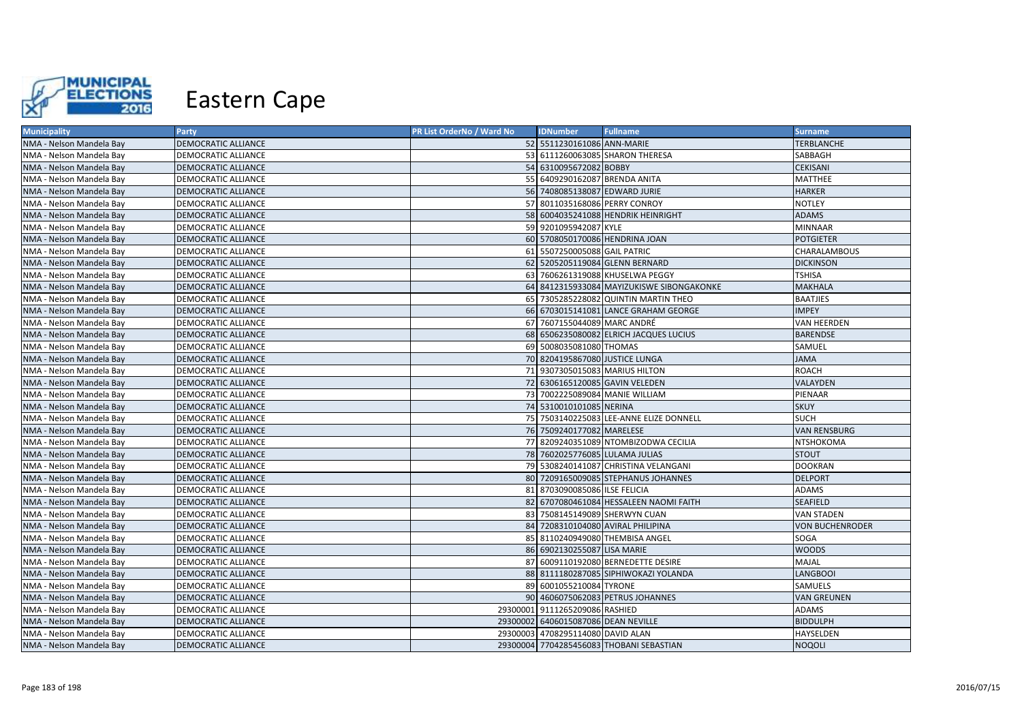

| <b>Municipality</b>      | Party                      | PR List OrderNo / Ward No | <b>IDNumber</b>                     | <b>Fullname</b>                           | <b>Surname</b>         |
|--------------------------|----------------------------|---------------------------|-------------------------------------|-------------------------------------------|------------------------|
| NMA - Nelson Mandela Bay | <b>DEMOCRATIC ALLIANCE</b> |                           | 52 5511230161086 ANN-MARIE          |                                           | <b>TERBLANCHE</b>      |
| NMA - Nelson Mandela Bay | DEMOCRATIC ALLIANCE        |                           |                                     | 53 6111260063085 SHARON THERESA           | SABBAGH                |
| NMA - Nelson Mandela Bay | <b>DEMOCRATIC ALLIANCE</b> |                           | 54 6310095672082 BOBBY              |                                           | <b>CEKISANI</b>        |
| NMA - Nelson Mandela Bay | DEMOCRATIC ALLIANCE        |                           | 55 6409290162087 BRENDA ANITA       |                                           | <b>MATTHEE</b>         |
| NMA - Nelson Mandela Bay | <b>DEMOCRATIC ALLIANCE</b> |                           | 56 7408085138087 EDWARD JURIE       |                                           | <b>HARKER</b>          |
| NMA - Nelson Mandela Bay | DEMOCRATIC ALLIANCE        |                           | 57 8011035168086 PERRY CONROY       |                                           | <b>NOTLEY</b>          |
| NMA - Nelson Mandela Bay | <b>DEMOCRATIC ALLIANCE</b> |                           |                                     | 58 6004035241088 HENDRIK HEINRIGHT        | <b>ADAMS</b>           |
| NMA - Nelson Mandela Bay | DEMOCRATIC ALLIANCE        |                           | 59 9201095942087 KYLE               |                                           | <b>MINNAAR</b>         |
| NMA - Nelson Mandela Bay | DEMOCRATIC ALLIANCE        |                           |                                     | 60 5708050170086 HENDRINA JOAN            | <b>POTGIETER</b>       |
| NMA - Nelson Mandela Bay | <b>DEMOCRATIC ALLIANCE</b> |                           | 61 5507250005088 GAIL PATRIC        |                                           | CHARALAMBOUS           |
| NMA - Nelson Mandela Bay | <b>DEMOCRATIC ALLIANCE</b> |                           |                                     | 62 5205205119084 GLENN BERNARD            | <b>DICKINSON</b>       |
| NMA - Nelson Mandela Bay | DEMOCRATIC ALLIANCE        |                           |                                     | 63 7606261319088 KHUSELWA PEGGY           | <b>TSHISA</b>          |
| NMA - Nelson Mandela Bay | <b>DEMOCRATIC ALLIANCE</b> |                           |                                     | 64 8412315933084 MAYIZUKISWE SIBONGAKONKE | <b>MAKHALA</b>         |
| NMA - Nelson Mandela Bay | <b>DEMOCRATIC ALLIANCE</b> |                           |                                     | 65 7305285228082 QUINTIN MARTIN THEO      | <b>BAATJIES</b>        |
| NMA - Nelson Mandela Bay | <b>DEMOCRATIC ALLIANCE</b> |                           |                                     | 66 6703015141081 LANCE GRAHAM GEORGE      | <b>IMPEY</b>           |
| NMA - Nelson Mandela Bay | <b>DEMOCRATIC ALLIANCE</b> |                           | 67 7607155044089 MARC ANDRÉ         |                                           | <b>VAN HEERDEN</b>     |
| NMA - Nelson Mandela Bay | <b>DEMOCRATIC ALLIANCE</b> |                           |                                     | 68 6506235080082 ELRICH JACQUES LUCIUS    | <b>BARENDSE</b>        |
| NMA - Nelson Mandela Bay | DEMOCRATIC ALLIANCE        |                           | 69 5008035081080 THOMAS             |                                           | SAMUEL                 |
| NMA - Nelson Mandela Bay | DEMOCRATIC ALLIANCE        |                           | 70 8204195867080 JUSTICE LUNGA      |                                           | <b>JAMA</b>            |
| NMA - Nelson Mandela Bay | <b>DEMOCRATIC ALLIANCE</b> |                           | 71 9307305015083 MARIUS HILTON      |                                           | <b>ROACH</b>           |
| NMA - Nelson Mandela Bay | <b>DEMOCRATIC ALLIANCE</b> |                           |                                     | 72 6306165120085 GAVIN VELEDEN            | <b>VALAYDEN</b>        |
| NMA - Nelson Mandela Bay | <b>DEMOCRATIC ALLIANCE</b> |                           |                                     | 73 7002225089084 MANIE WILLIAM            | PIENAAR                |
| NMA - Nelson Mandela Bay | <b>DEMOCRATIC ALLIANCE</b> |                           | 74 5310010101085 NERINA             |                                           | <b>SKUY</b>            |
| NMA - Nelson Mandela Bay | <b>DEMOCRATIC ALLIANCE</b> |                           |                                     | 75 7503140225083 LEE-ANNE ELIZE DONNELL   | <b>SUCH</b>            |
| NMA - Nelson Mandela Bay | <b>DEMOCRATIC ALLIANCE</b> |                           | 76 7509240177082 MARELESE           |                                           | <b>VAN RENSBURG</b>    |
| NMA - Nelson Mandela Bay | <b>DEMOCRATIC ALLIANCE</b> |                           |                                     | 77 8209240351089 NTOMBIZODWA CECILIA      | NTSHOKOMA              |
| NMA - Nelson Mandela Bay | <b>DEMOCRATIC ALLIANCE</b> |                           | 78 7602025776085 LULAMA JULIAS      |                                           | <b>STOUT</b>           |
| NMA - Nelson Mandela Bay | <b>DEMOCRATIC ALLIANCE</b> |                           |                                     | 79 5308240141087 CHRISTINA VELANGANI      | <b>DOOKRAN</b>         |
| NMA - Nelson Mandela Bay | <b>DEMOCRATIC ALLIANCE</b> |                           |                                     | 80 7209165009085 STEPHANUS JOHANNES       | <b>DELPORT</b>         |
| NMA - Nelson Mandela Bay | <b>DEMOCRATIC ALLIANCE</b> |                           | 81 8703090085086 ILSE FELICIA       |                                           | <b>ADAMS</b>           |
| NMA - Nelson Mandela Bay | <b>DEMOCRATIC ALLIANCE</b> |                           |                                     | 82 6707080461084 HESSALEEN NAOMI FAITH    | <b>SEAFIELD</b>        |
| NMA - Nelson Mandela Bay | <b>DEMOCRATIC ALLIANCE</b> |                           |                                     | 83 7508145149089 SHERWYN CUAN             | <b>VAN STADEN</b>      |
| NMA - Nelson Mandela Bay | <b>DEMOCRATIC ALLIANCE</b> |                           |                                     | 84 7208310104080 AVIRAL PHILIPINA         | <b>VON BUCHENRODER</b> |
| NMA - Nelson Mandela Bay | <b>DEMOCRATIC ALLIANCE</b> |                           |                                     | 85 8110240949080 THEMBISA ANGEL           | SOGA                   |
| NMA - Nelson Mandela Bay | DEMOCRATIC ALLIANCE        |                           | 86 6902130255087 LISA MARIE         |                                           | <b>WOODS</b>           |
| NMA - Nelson Mandela Bay | DEMOCRATIC ALLIANCE        |                           |                                     | 87 6009110192080 BERNEDETTE DESIRE        | MAJAL                  |
| NMA - Nelson Mandela Bay | <b>DEMOCRATIC ALLIANCE</b> |                           |                                     | 88 8111180287085 SIPHIWOKAZI YOLANDA      | <b>LANGBOOI</b>        |
| NMA - Nelson Mandela Bay | DEMOCRATIC ALLIANCE        |                           | 89 6001055210084 TYRONE             |                                           | SAMUELS                |
| NMA - Nelson Mandela Bay | DEMOCRATIC ALLIANCE        |                           |                                     | 90 4606075062083 PETRUS JOHANNES          | <b>VAN GREUNEN</b>     |
| NMA - Nelson Mandela Bay | DEMOCRATIC ALLIANCE        |                           | 29300001 9111265209086 RASHIED      |                                           | <b>ADAMS</b>           |
| NMA - Nelson Mandela Bay | <b>DEMOCRATIC ALLIANCE</b> |                           | 29300002 6406015087086 DEAN NEVILLE |                                           | <b>BIDDULPH</b>        |
| NMA - Nelson Mandela Bay | <b>DEMOCRATIC ALLIANCE</b> |                           | 29300003 4708295114080 DAVID ALAN   |                                           | HAYSELDEN              |
| NMA - Nelson Mandela Bay | <b>DEMOCRATIC ALLIANCE</b> |                           |                                     | 29300004 7704285456083 THOBANI SEBASTIAN  | <b>NOQOLI</b>          |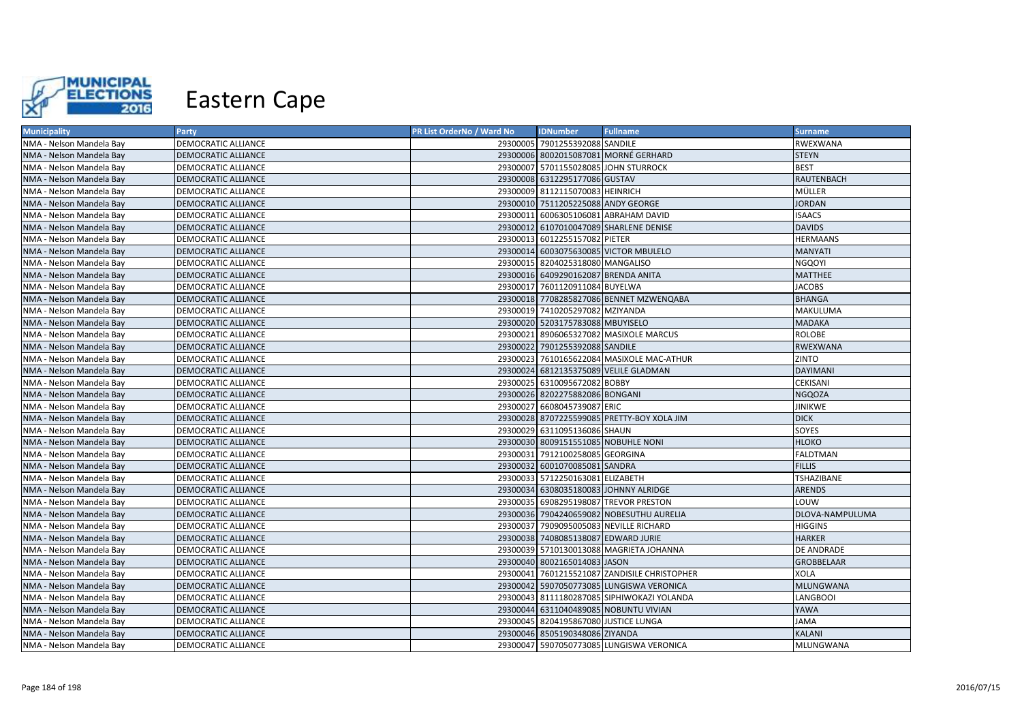

| <b>Municipality</b>      | Party                      | <b>PR List OrderNo / Ward No</b> | <b>IDNumber</b>                      | <b>Fullname</b>                              | <b>Surname</b>  |
|--------------------------|----------------------------|----------------------------------|--------------------------------------|----------------------------------------------|-----------------|
| NMA - Nelson Mandela Bay | <b>DEMOCRATIC ALLIANCE</b> |                                  | 29300005 7901255392088 SANDILE       |                                              | RWEXWANA        |
| NMA - Nelson Mandela Bay | <b>DEMOCRATIC ALLIANCE</b> |                                  |                                      | 29300006 8002015087081 MORNÉ GERHARD         | <b>STEYN</b>    |
| NMA - Nelson Mandela Bay | DEMOCRATIC ALLIANCE        |                                  |                                      | 29300007 5701155028085 JOHN STURROCK         | <b>BEST</b>     |
| NMA - Nelson Mandela Bay | <b>DEMOCRATIC ALLIANCE</b> |                                  | 29300008 6312295177086 GUSTAV        |                                              | RAUTENBACH      |
| NMA - Nelson Mandela Bay | DEMOCRATIC ALLIANCE        |                                  | 29300009 8112115070083 HEINRICH      |                                              | MÜLLER          |
| NMA - Nelson Mandela Bay | <b>DEMOCRATIC ALLIANCE</b> |                                  | 29300010 7511205225088 ANDY GEORGE   |                                              | <b>JORDAN</b>   |
| NMA - Nelson Mandela Bay | <b>DEMOCRATIC ALLIANCE</b> |                                  |                                      | 29300011 6006305106081 ABRAHAM DAVID         | <b>ISAACS</b>   |
| NMA - Nelson Mandela Bay | DEMOCRATIC ALLIANCE        |                                  |                                      | 29300012 6107010047089 SHARLENE DENISE       | <b>DAVIDS</b>   |
| NMA - Nelson Mandela Bay | DEMOCRATIC ALLIANCE        |                                  | 29300013 6012255157082 PIETER        |                                              | HERMAANS        |
| NMA - Nelson Mandela Bay | <b>DEMOCRATIC ALLIANCE</b> |                                  |                                      | 29300014 6003075630085 VICTOR MBULELO        | <b>MANYATI</b>  |
| NMA - Nelson Mandela Bay | DEMOCRATIC ALLIANCE        |                                  | 29300015 8204025318080 MANGALISO     |                                              | NGQOYI          |
| NMA - Nelson Mandela Bay | <b>DEMOCRATIC ALLIANCE</b> |                                  | 29300016 6409290162087 BRENDA ANITA  |                                              | MATTHEE         |
| NMA - Nelson Mandela Bay | DEMOCRATIC ALLIANCE        |                                  | 29300017 7601120911084 BUYELWA       |                                              | <b>JACOBS</b>   |
| NMA - Nelson Mandela Bay | <b>DEMOCRATIC ALLIANCE</b> |                                  |                                      | 29300018 7708285827086 BENNET MZWENQABA      | <b>BHANGA</b>   |
| NMA - Nelson Mandela Bay | <b>DEMOCRATIC ALLIANCE</b> |                                  | 29300019 7410205297082 MZIYANDA      |                                              | MAKULUMA        |
| NMA - Nelson Mandela Bay | <b>DEMOCRATIC ALLIANCE</b> |                                  | 29300020 5203175783088 MBUYISELO     |                                              | MADAKA          |
| NMA - Nelson Mandela Bay | <b>DEMOCRATIC ALLIANCE</b> |                                  |                                      | 29300021 8906065327082 MASIXOLE MARCUS       | ROLOBE          |
| NMA - Nelson Mandela Bay | <b>DEMOCRATIC ALLIANCE</b> |                                  | 29300022 7901255392088 SANDILE       |                                              | RWEXWANA        |
| NMA - Nelson Mandela Bay | DEMOCRATIC ALLIANCE        |                                  |                                      | 29300023 7610165622084 MASIXOLE MAC-ATHUR    | ZINTO           |
| NMA - Nelson Mandela Bay | <b>DEMOCRATIC ALLIANCE</b> |                                  |                                      | 29300024 6812135375089 VELILE GLADMAN        | <b>DAYIMANI</b> |
| NMA - Nelson Mandela Bay | <b>DEMOCRATIC ALLIANCE</b> |                                  | 29300025 6310095672082 BOBBY         |                                              | CEKISANI        |
| NMA - Nelson Mandela Bay | <b>DEMOCRATIC ALLIANCE</b> |                                  | 29300026 8202275882086 BONGANI       |                                              | NGQOZA          |
| NMA - Nelson Mandela Bay | DEMOCRATIC ALLIANCE        |                                  | 29300027 6608045739087 ERIC          |                                              | JINIKWE         |
| NMA - Nelson Mandela Bay | <b>DEMOCRATIC ALLIANCE</b> |                                  |                                      | 29300028 8707225599085 PRETTY-BOY XOLA JIM   | <b>DICK</b>     |
| NMA - Nelson Mandela Bay | DEMOCRATIC ALLIANCE        |                                  | 29300029 6311095136086 SHAUN         |                                              | SOYES           |
| NMA - Nelson Mandela Bay | <b>DEMOCRATIC ALLIANCE</b> |                                  | 29300030 8009151551085 NOBUHLE NONI  |                                              | HLOKO           |
| NMA - Nelson Mandela Bay | <b>DEMOCRATIC ALLIANCE</b> |                                  | 29300031 7912100258085 GEORGINA      |                                              | FALDTMAN        |
| NMA - Nelson Mandela Bay | <b>DEMOCRATIC ALLIANCE</b> |                                  | 29300032 6001070085081 SANDRA        |                                              | <b>FILLIS</b>   |
| NMA - Nelson Mandela Bay | DEMOCRATIC ALLIANCE        |                                  | 29300033 5712250163081 ELIZABETH     |                                              | TSHAZIBANE      |
| NMA - Nelson Mandela Bay | <b>DEMOCRATIC ALLIANCE</b> |                                  |                                      | 29300034 6308035180083 JOHNNY ALRIDGE        | <b>ARENDS</b>   |
| NMA - Nelson Mandela Bay | <b>DEMOCRATIC ALLIANCE</b> |                                  |                                      | 29300035 6908295198087 TREVOR PRESTON        | LOUW            |
| NMA - Nelson Mandela Bay | <b>DEMOCRATIC ALLIANCE</b> |                                  |                                      | 29300036 7904240659082 NOBESUTHU AURELIA     | DLOVA-NAMPULUMA |
| NMA - Nelson Mandela Bay | DEMOCRATIC ALLIANCE        |                                  |                                      | 29300037 7909095005083 NEVILLE RICHARD       | <b>HIGGINS</b>  |
| NMA - Nelson Mandela Bay | <b>DEMOCRATIC ALLIANCE</b> |                                  | 29300038 7408085138087 EDWARD JURIE  |                                              | <b>HARKER</b>   |
| NMA - Nelson Mandela Bay | DEMOCRATIC ALLIANCE        |                                  |                                      | 29300039 5710130013088 MAGRIETA JOHANNA      | DE ANDRADE      |
| NMA - Nelson Mandela Bay | <b>DEMOCRATIC ALLIANCE</b> |                                  | 29300040 8002165014083 JASON         |                                              | GROBBELAAR      |
| NMA - Nelson Mandela Bay | <b>DEMOCRATIC ALLIANCE</b> |                                  |                                      | 29300041 7601215521087 ZANDISILE CHRISTOPHER | XOLA            |
| NMA - Nelson Mandela Bay | <b>DEMOCRATIC ALLIANCE</b> |                                  |                                      | 29300042 5907050773085 LUNGISWA VERONICA     | MLUNGWANA       |
| NMA - Nelson Mandela Bay | DEMOCRATIC ALLIANCE        |                                  |                                      | 29300043 8111180287085 SIPHIWOKAZI YOLANDA   | LANGBOOI        |
| NMA - Nelson Mandela Bay | <b>DEMOCRATIC ALLIANCE</b> |                                  |                                      | 29300044 6311040489085 NOBUNTU VIVIAN        | YAWA            |
| NMA - Nelson Mandela Bay | <b>DEMOCRATIC ALLIANCE</b> |                                  | 29300045 8204195867080 JUSTICE LUNGA |                                              | <b>JAMA</b>     |
| NMA - Nelson Mandela Bay | <b>DEMOCRATIC ALLIANCE</b> |                                  | 29300046 8505190348086 ZIYANDA       |                                              | KALANI          |
| NMA - Nelson Mandela Bay | <b>DEMOCRATIC ALLIANCE</b> |                                  |                                      | 29300047 5907050773085 LUNGISWA VERONICA     | MLUNGWANA       |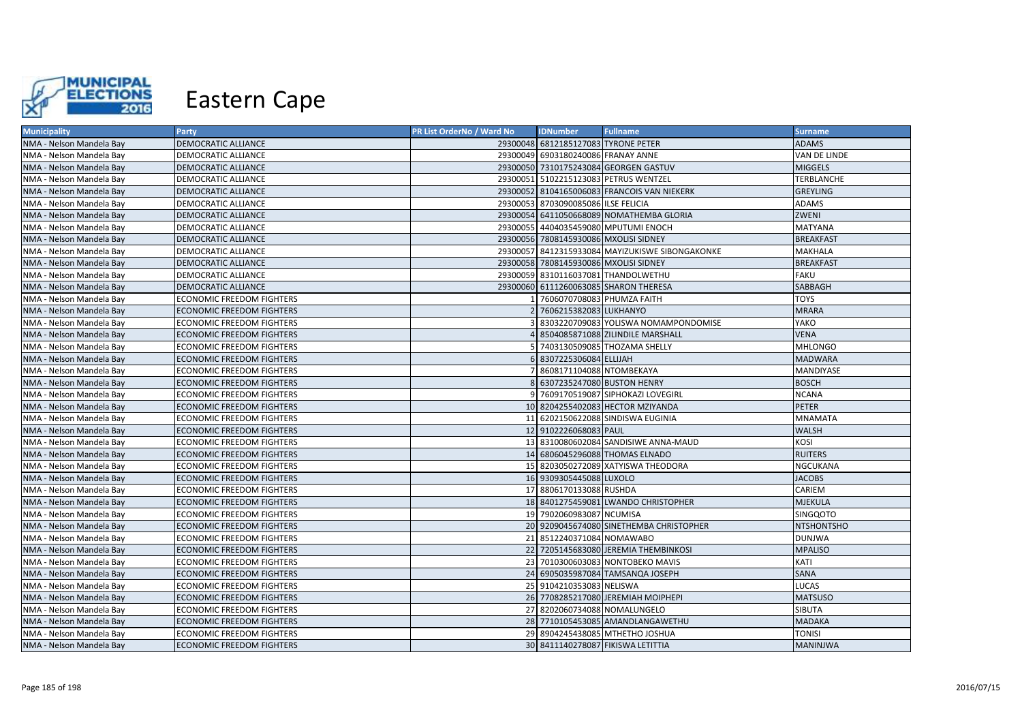

| <b>Municipality</b>      | Party                            | PR List OrderNo / Ward No | <b>IDNumber</b>                       | <b>Fullname</b>                                 | <b>Surname</b>    |
|--------------------------|----------------------------------|---------------------------|---------------------------------------|-------------------------------------------------|-------------------|
| NMA - Nelson Mandela Bay | <b>DEMOCRATIC ALLIANCE</b>       |                           | 29300048 6812185127083 TYRONE PETER   |                                                 | <b>ADAMS</b>      |
| NMA - Nelson Mandela Bay | DEMOCRATIC ALLIANCE              |                           | 29300049 6903180240086 FRANAY ANNE    |                                                 | VAN DE LINDE      |
| NMA - Nelson Mandela Bay | DEMOCRATIC ALLIANCE              |                           |                                       | 29300050 7310175243084 GEORGEN GASTUV           | <b>MIGGELS</b>    |
| NMA - Nelson Mandela Bay | DEMOCRATIC ALLIANCE              |                           |                                       | 29300051 5102215123083 PETRUS WENTZEL           | <b>TERBLANCHE</b> |
| NMA - Nelson Mandela Bay | <b>DEMOCRATIC ALLIANCE</b>       |                           |                                       | 29300052 8104165006083 FRANCOIS VAN NIEKERK     | <b>GREYLING</b>   |
| NMA - Nelson Mandela Bay | DEMOCRATIC ALLIANCE              |                           | 29300053 8703090085086 ILSE FELICIA   |                                                 | ADAMS             |
| NMA - Nelson Mandela Bay | <b>DEMOCRATIC ALLIANCE</b>       |                           |                                       | 29300054 6411050668089 NOMATHEMBA GLORIA        | ZWENI             |
| NMA - Nelson Mandela Bay | DEMOCRATIC ALLIANCE              |                           |                                       | 29300055 4404035459080 MPUTUMI ENOCH            | MATYANA           |
| NMA - Nelson Mandela Bay | <b>DEMOCRATIC ALLIANCE</b>       |                           | 29300056 7808145930086 MXOLISI SIDNEY |                                                 | <b>BREAKFAST</b>  |
| NMA - Nelson Mandela Bay | <b>DEMOCRATIC ALLIANCE</b>       |                           |                                       | 29300057 8412315933084 MAYIZUKISWE SIBONGAKONKE | <b>MAKHALA</b>    |
| NMA - Nelson Mandela Bay | <b>DEMOCRATIC ALLIANCE</b>       |                           | 29300058 7808145930086 MXOLISI SIDNEY |                                                 | <b>BREAKFAST</b>  |
| NMA - Nelson Mandela Bay | <b>DEMOCRATIC ALLIANCE</b>       |                           |                                       | 29300059 8310116037081 THANDOLWETHU             | <b>FAKU</b>       |
| NMA - Nelson Mandela Bay | <b>DEMOCRATIC ALLIANCE</b>       |                           |                                       | 29300060 6111260063085 SHARON THERESA           | SABBAGH           |
| NMA - Nelson Mandela Bay | <b>ECONOMIC FREEDOM FIGHTERS</b> |                           | 1 7606070708083 PHUMZA FAITH          |                                                 | <b>TOYS</b>       |
| NMA - Nelson Mandela Bay | <b>ECONOMIC FREEDOM FIGHTERS</b> |                           | 7606215382083 LUKHANYO                |                                                 | <b>MRARA</b>      |
| NMA - Nelson Mandela Bay | <b>ECONOMIC FREEDOM FIGHTERS</b> |                           |                                       | 3 8303220709083 YOLISWA NOMAMPONDOMISE          | YAKO              |
| NMA - Nelson Mandela Bay | <b>ECONOMIC FREEDOM FIGHTERS</b> |                           |                                       | 4 8504085871088 ZILINDILE MARSHALL              | <b>VENA</b>       |
| NMA - Nelson Mandela Bay | <b>ECONOMIC FREEDOM FIGHTERS</b> |                           |                                       | 5 7403130509085 THOZAMA SHELLY                  | <b>MHLONGO</b>    |
| NMA - Nelson Mandela Bay | ECONOMIC FREEDOM FIGHTERS        |                           | 6 8307225306084 ELLIJAH               |                                                 | <b>MADWARA</b>    |
| NMA - Nelson Mandela Bay | <b>ECONOMIC FREEDOM FIGHTERS</b> |                           | 7 8608171104088 NTOMBEKAYA            |                                                 | <b>MANDIYASE</b>  |
| NMA - Nelson Mandela Bay | <b>ECONOMIC FREEDOM FIGHTERS</b> |                           | 8 6307235247080 BUSTON HENRY          |                                                 | <b>BOSCH</b>      |
| NMA - Nelson Mandela Bay | <b>ECONOMIC FREEDOM FIGHTERS</b> |                           |                                       | 9 7609170519087 SIPHOKAZI LOVEGIRL              | <b>NCANA</b>      |
| NMA - Nelson Mandela Bay | <b>ECONOMIC FREEDOM FIGHTERS</b> |                           |                                       | 10 8204255402083 HECTOR MZIYANDA                | <b>PETER</b>      |
| NMA - Nelson Mandela Bay | <b>ECONOMIC FREEDOM FIGHTERS</b> |                           |                                       | 11 6202150622088 SINDISWA EUGINIA               | <b>MNAMATA</b>    |
| NMA - Nelson Mandela Bay | <b>ECONOMIC FREEDOM FIGHTERS</b> |                           | 12 9102226068083 PAUL                 |                                                 | <b>WALSH</b>      |
| NMA - Nelson Mandela Bay | ECONOMIC FREEDOM FIGHTERS        |                           |                                       | 13 8310080602084 SANDISIWE ANNA-MAUD            | KOSI              |
| NMA - Nelson Mandela Bay | <b>ECONOMIC FREEDOM FIGHTERS</b> |                           |                                       | 14 6806045296088 THOMAS ELNADO                  | <b>RUITERS</b>    |
| NMA - Nelson Mandela Bay | <b>ECONOMIC FREEDOM FIGHTERS</b> |                           |                                       | 15 8203050272089 XATYISWA THEODORA              | NGCUKANA          |
| NMA - Nelson Mandela Bay | <b>ECONOMIC FREEDOM FIGHTERS</b> |                           | 16 9309305445088 LUXOLO               |                                                 | <b>JACOBS</b>     |
| NMA - Nelson Mandela Bay | <b>ECONOMIC FREEDOM FIGHTERS</b> |                           | 17 8806170133088 RUSHDA               |                                                 | CARIEM            |
| NMA - Nelson Mandela Bay | <b>ECONOMIC FREEDOM FIGHTERS</b> |                           |                                       | 18 8401275459081 LWANDO CHRISTOPHER             | <b>MJEKULA</b>    |
| NMA - Nelson Mandela Bay | ECONOMIC FREEDOM FIGHTERS        |                           | 19 7902060983087 NCUMISA              |                                                 | <b>SINGQOTO</b>   |
| NMA - Nelson Mandela Bay | <b>ECONOMIC FREEDOM FIGHTERS</b> |                           |                                       | 20 9209045674080 SINETHEMBA CHRISTOPHER         | <b>NTSHONTSHO</b> |
| NMA - Nelson Mandela Bay | <b>ECONOMIC FREEDOM FIGHTERS</b> |                           | 21 8512240371084 NOMAWABO             |                                                 | <b>DUNJWA</b>     |
| NMA - Nelson Mandela Bay | <b>ECONOMIC FREEDOM FIGHTERS</b> |                           |                                       | 22 7205145683080 JEREMIA THEMBINKOSI            | <b>MPALISO</b>    |
| NMA - Nelson Mandela Bay | ECONOMIC FREEDOM FIGHTERS        |                           |                                       | 23 7010300603083 NONTOBEKO MAVIS                | KATI              |
| NMA - Nelson Mandela Bay | <b>ECONOMIC FREEDOM FIGHTERS</b> |                           |                                       | 24 6905035987084 TAMSANQA JOSEPH                | SANA              |
| NMA - Nelson Mandela Bay | ECONOMIC FREEDOM FIGHTERS        |                           | 25 9104210353083 NELISWA              |                                                 | <b>LUCAS</b>      |
| NMA - Nelson Mandela Bay | <b>ECONOMIC FREEDOM FIGHTERS</b> |                           |                                       | 26 7708285217080 JEREMIAH MOIPHEPI              | <b>MATSUSO</b>    |
| NMA - Nelson Mandela Bay | ECONOMIC FREEDOM FIGHTERS        |                           | 27 8202060734088 NOMALUNGELO          |                                                 | <b>SIBUTA</b>     |
| NMA - Nelson Mandela Bay | <b>ECONOMIC FREEDOM FIGHTERS</b> |                           |                                       | 28 7710105453085 AMANDLANGAWETHU                | <b>MADAKA</b>     |
| NMA - Nelson Mandela Bay | ECONOMIC FREEDOM FIGHTERS        |                           |                                       | 29 8904245438085 MTHETHO JOSHUA                 | <b>TONISI</b>     |
| NMA - Nelson Mandela Bay | <b>ECONOMIC FREEDOM FIGHTERS</b> |                           |                                       | 30 8411140278087 FIKISWA LETITTIA               | <b>MANINJWA</b>   |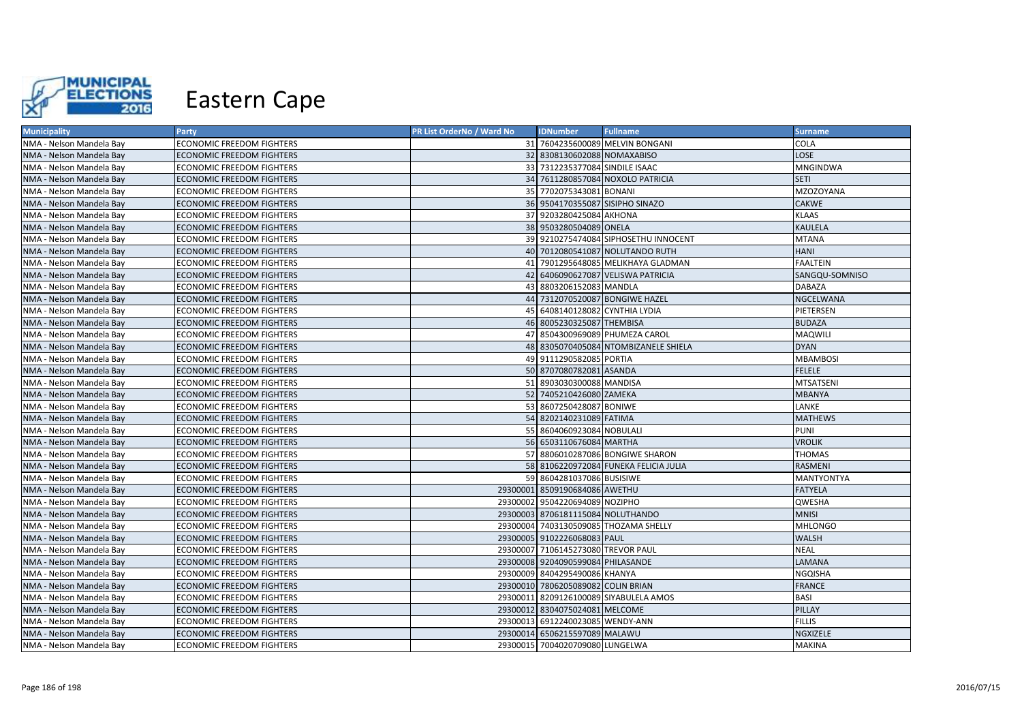

| <b>Municipality</b>      | <b>Party</b>                     | PR List OrderNo / Ward No | <b>IDNumber</b>                    | <b>Fullname</b>                        | <b>Surname</b>  |
|--------------------------|----------------------------------|---------------------------|------------------------------------|----------------------------------------|-----------------|
| NMA - Nelson Mandela Bay | ECONOMIC FREEDOM FIGHTERS        |                           |                                    | 31 7604235600089 MELVIN BONGANI        | COLA            |
| NMA - Nelson Mandela Bay | <b>ECONOMIC FREEDOM FIGHTERS</b> |                           | 32 8308130602088 NOMAXABISO        |                                        | LOSE            |
| NMA - Nelson Mandela Bay | <b>ECONOMIC FREEDOM FIGHTERS</b> |                           | 33 7312235377084 SINDILE ISAAC     |                                        | MNGINDWA        |
| NMA - Nelson Mandela Bay | <b>ECONOMIC FREEDOM FIGHTERS</b> |                           |                                    | 34 7611280857084 NOXOLO PATRICIA       | <b>SETI</b>     |
| NMA - Nelson Mandela Bay | ECONOMIC FREEDOM FIGHTERS        |                           | 35 7702075343081 BONANI            |                                        | MZOZOYANA       |
| NMA - Nelson Mandela Bay | <b>ECONOMIC FREEDOM FIGHTERS</b> |                           | 36 9504170355087 SISIPHO SINAZO    |                                        | <b>CAKWE</b>    |
| NMA - Nelson Mandela Bay | <b>ECONOMIC FREEDOM FIGHTERS</b> |                           | 37 9203280425084 AKHONA            |                                        | <b>KLAAS</b>    |
| NMA - Nelson Mandela Bay | <b>ECONOMIC FREEDOM FIGHTERS</b> |                           | 38 9503280504089 ONELA             |                                        | <b>KAULELA</b>  |
| NMA - Nelson Mandela Bay | ECONOMIC FREEDOM FIGHTERS        |                           |                                    | 39 9210275474084 SIPHOSETHU INNOCENT   | <b>MTANA</b>    |
| NMA - Nelson Mandela Bay | <b>ECONOMIC FREEDOM FIGHTERS</b> |                           |                                    | 40 7012080541087 NOLUTANDO RUTH        | <b>HANI</b>     |
| NMA - Nelson Mandela Bay | ECONOMIC FREEDOM FIGHTERS        |                           |                                    | 41 7901295648085 MELIKHAYA GLADMAN     | <b>FAALTEIN</b> |
| NMA - Nelson Mandela Bay | ECONOMIC FREEDOM FIGHTERS        |                           |                                    | 42 6406090627087 VELISWA PATRICIA      | SANGQU-SOMNISO  |
| NMA - Nelson Mandela Bay | ECONOMIC FREEDOM FIGHTERS        |                           | 43 8803206152083 MANDLA            |                                        | <b>DABAZA</b>   |
| NMA - Nelson Mandela Bay | <b>ECONOMIC FREEDOM FIGHTERS</b> |                           |                                    | 44 7312070520087 BONGIWE HAZEL         | NGCELWANA       |
| NMA - Nelson Mandela Bay | ECONOMIC FREEDOM FIGHTERS        |                           | 45 6408140128082 CYNTHIA LYDIA     |                                        | PIETERSEN       |
| NMA - Nelson Mandela Bay | <b>ECONOMIC FREEDOM FIGHTERS</b> |                           | 46 8005230325087 THEMBISA          |                                        | <b>BUDAZA</b>   |
| NMA - Nelson Mandela Bay | <b>ECONOMIC FREEDOM FIGHTERS</b> |                           |                                    | 47 8504300969089 PHUMEZA CAROL         | <b>MAQWILI</b>  |
| NMA - Nelson Mandela Bay | <b>ECONOMIC FREEDOM FIGHTERS</b> |                           |                                    | 48 8305070405084 NTOMBIZANELE SHIELA   | <b>DYAN</b>     |
| NMA - Nelson Mandela Bay | ECONOMIC FREEDOM FIGHTERS        |                           | 49 9111290582085 PORTIA            |                                        | <b>MBAMBOSI</b> |
| NMA - Nelson Mandela Bay | <b>ECONOMIC FREEDOM FIGHTERS</b> |                           | 50 8707080782081 ASANDA            |                                        | <b>FELELE</b>   |
| NMA - Nelson Mandela Bay | <b>ECONOMIC FREEDOM FIGHTERS</b> |                           | 51 8903030300088 MANDISA           |                                        | MTSATSENI       |
| NMA - Nelson Mandela Bay | <b>ECONOMIC FREEDOM FIGHTERS</b> |                           | 52 7405210426080 ZAMEKA            |                                        | <b>MBANYA</b>   |
| NMA - Nelson Mandela Bay | ECONOMIC FREEDOM FIGHTERS        |                           | 53 8607250428087 BONIWE            |                                        | LANKE           |
| NMA - Nelson Mandela Bay | <b>ECONOMIC FREEDOM FIGHTERS</b> |                           | 54 8202140231089 FATIMA            |                                        | <b>MATHEWS</b>  |
| NMA - Nelson Mandela Bay | <b>ECONOMIC FREEDOM FIGHTERS</b> |                           | 55 8604060923084 NOBULALI          |                                        | <b>PUNI</b>     |
| NMA - Nelson Mandela Bay | <b>ECONOMIC FREEDOM FIGHTERS</b> |                           | 56 6503110676084 MARTHA            |                                        | <b>VROLIK</b>   |
| NMA - Nelson Mandela Bay | <b>ECONOMIC FREEDOM FIGHTERS</b> |                           |                                    | 57 8806010287086 BONGIWE SHARON        | <b>THOMAS</b>   |
| NMA - Nelson Mandela Bay | <b>ECONOMIC FREEDOM FIGHTERS</b> |                           |                                    | 58 8106220972084 FUNEKA FELICIA JULIA  | RASMENI         |
| NMA - Nelson Mandela Bay | ECONOMIC FREEDOM FIGHTERS        |                           | 59 8604281037086 BUSISIWE          |                                        | MANTYONTYA      |
| NMA - Nelson Mandela Bay | <b>ECONOMIC FREEDOM FIGHTERS</b> |                           | 29300001 8509190684086 AWETHU      |                                        | <b>FATYELA</b>  |
| NMA - Nelson Mandela Bay | ECONOMIC FREEDOM FIGHTERS        |                           | 29300002 9504220694089 NOZIPHO     |                                        | QWESHA          |
| NMA - Nelson Mandela Bay | <b>ECONOMIC FREEDOM FIGHTERS</b> |                           | 29300003 8706181115084 NOLUTHANDO  |                                        | <b>MNISI</b>    |
| NMA - Nelson Mandela Bay | <b>ECONOMIC FREEDOM FIGHTERS</b> |                           |                                    | 29300004 7403130509085 THOZAMA SHELLY  | <b>MHLONGO</b>  |
| NMA - Nelson Mandela Bay | <b>ECONOMIC FREEDOM FIGHTERS</b> |                           | 29300005 9102226068083 PAUL        |                                        | <b>WALSH</b>    |
| NMA - Nelson Mandela Bay | <b>ECONOMIC FREEDOM FIGHTERS</b> |                           | 29300007 7106145273080 TREVOR PAUL |                                        | <b>NEAL</b>     |
| NMA - Nelson Mandela Bay | <b>ECONOMIC FREEDOM FIGHTERS</b> |                           | 29300008 9204090599084 PHILASANDE  |                                        | LAMANA          |
| NMA - Nelson Mandela Bay | ECONOMIC FREEDOM FIGHTERS        |                           | 29300009 8404295490086 KHANYA      |                                        | NGQISHA         |
| NMA - Nelson Mandela Bay | <b>ECONOMIC FREEDOM FIGHTERS</b> |                           | 29300010 7806205089082 COLIN BRIAN |                                        | <b>FRANCE</b>   |
| NMA - Nelson Mandela Bay | ECONOMIC FREEDOM FIGHTERS        |                           |                                    | 29300011 8209126100089 SIYABULELA AMOS | <b>BASI</b>     |
| NMA - Nelson Mandela Bay | <b>ECONOMIC FREEDOM FIGHTERS</b> |                           | 29300012 8304075024081 MELCOME     |                                        | PILLAY          |
| NMA - Nelson Mandela Bay | <b>ECONOMIC FREEDOM FIGHTERS</b> |                           | 29300013 6912240023085 WENDY-ANN   |                                        | <b>FILLIS</b>   |
| NMA - Nelson Mandela Bay | <b>ECONOMIC FREEDOM FIGHTERS</b> |                           | 29300014 6506215597089 MALAWU      |                                        | NGXIZELE        |
| NMA - Nelson Mandela Bay | <b>ECONOMIC FREEDOM FIGHTERS</b> |                           | 29300015 7004020709080 LUNGELWA    |                                        | <b>MAKINA</b>   |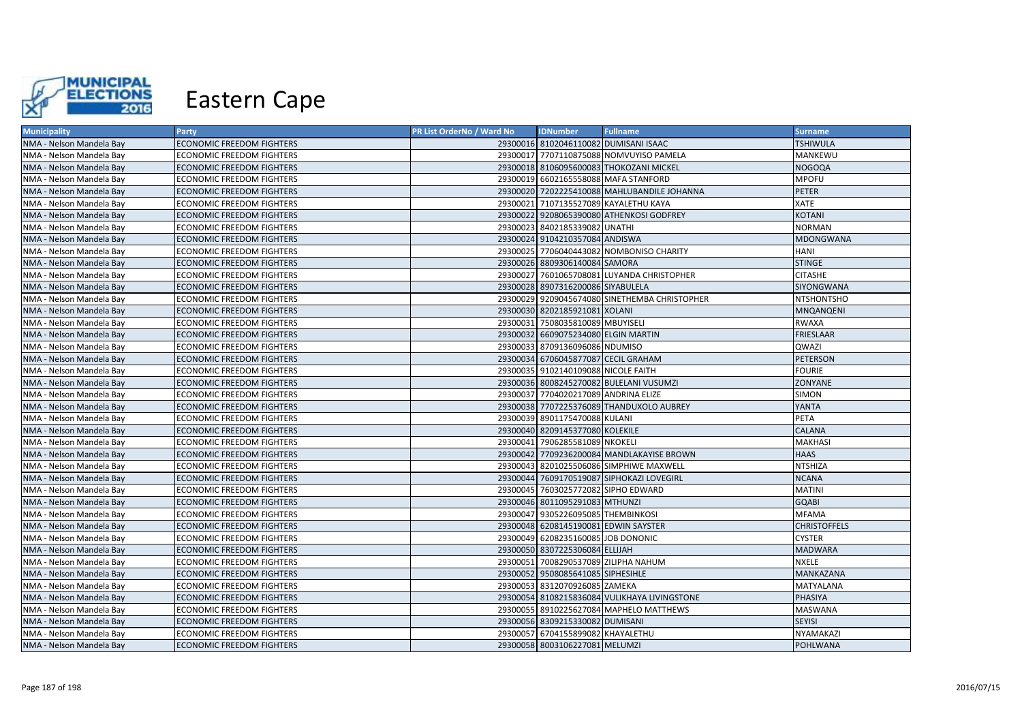

| <b>Municipality</b>      | Party                            | PR List OrderNo / Ward No | <b>IDNumber</b>                      | <b>Fullname</b>                               | <b>Surname</b>      |
|--------------------------|----------------------------------|---------------------------|--------------------------------------|-----------------------------------------------|---------------------|
| NMA - Nelson Mandela Bay | <b>ECONOMIC FREEDOM FIGHTERS</b> |                           |                                      | 29300016 8102046110082 DUMISANI ISAAC         | <b>TSHIWULA</b>     |
| NMA - Nelson Mandela Bay | ECONOMIC FREEDOM FIGHTERS        |                           |                                      | 29300017 7707110875088 NOMVUYISO PAMELA       | MANKEWU             |
| NMA - Nelson Mandela Bay | <b>ECONOMIC FREEDOM FIGHTERS</b> |                           |                                      | 29300018 8106095600083 THOKOZANI MICKEL       | <b>NOGOQA</b>       |
| NMA - Nelson Mandela Bay | <b>ECONOMIC FREEDOM FIGHTERS</b> |                           |                                      | 29300019 6602165558088 MAFA STANFORD          | <b>MPOFU</b>        |
| NMA - Nelson Mandela Bay | ECONOMIC FREEDOM FIGHTERS        |                           |                                      | 29300020 7202225410088 MAHLUBANDILE JOHANNA   | <b>PETER</b>        |
| NMA - Nelson Mandela Bay | ECONOMIC FREEDOM FIGHTERS        |                           |                                      | 29300021 7107135527089 KAYALETHU KAYA         | <b>XATE</b>         |
| NMA - Nelson Mandela Bay | <b>ECONOMIC FREEDOM FIGHTERS</b> |                           |                                      | 29300022 9208065390080 ATHENKOSI GODFREY      | <b>KOTANI</b>       |
| NMA - Nelson Mandela Bay | ECONOMIC FREEDOM FIGHTERS        |                           | 29300023 8402185339082 UNATHI        |                                               | <b>NORMAN</b>       |
| NMA - Nelson Mandela Bay | ECONOMIC FREEDOM FIGHTERS        |                           | 29300024 9104210357084 ANDISWA       |                                               | <b>MDONGWANA</b>    |
| NMA - Nelson Mandela Bay | <b>ECONOMIC FREEDOM FIGHTERS</b> |                           |                                      | 29300025 7706040443082 NOMBONISO CHARITY      | <b>HANI</b>         |
| NMA - Nelson Mandela Bay | ECONOMIC FREEDOM FIGHTERS        |                           | 29300026 8809306140084 SAMORA        |                                               | <b>STINGE</b>       |
| NMA - Nelson Mandela Bay | ECONOMIC FREEDOM FIGHTERS        |                           |                                      | 29300027 7601065708081 LUYANDA CHRISTOPHER    | <b>CITASHE</b>      |
| NMA - Nelson Mandela Bay | <b>ECONOMIC FREEDOM FIGHTERS</b> |                           | 29300028 8907316200086 SIYABULELA    |                                               | SIYONGWANA          |
| NMA - Nelson Mandela Bay | <b>ECONOMIC FREEDOM FIGHTERS</b> |                           |                                      | 29300029 9209045674080 SINETHEMBA CHRISTOPHER | <b>NTSHONTSHO</b>   |
| NMA - Nelson Mandela Bay | <b>ECONOMIC FREEDOM FIGHTERS</b> |                           | 29300030 8202185921081 XOLANI        |                                               | <b>MNQANQENI</b>    |
| NMA - Nelson Mandela Bay | <b>ECONOMIC FREEDOM FIGHTERS</b> |                           | 29300031 7508035810089 MBUYISELI     |                                               | <b>RWAXA</b>        |
| NMA - Nelson Mandela Bay | <b>ECONOMIC FREEDOM FIGHTERS</b> |                           | 29300032 6609075234080 ELGIN MARTIN  |                                               | <b>FRIESLAAR</b>    |
| NMA - Nelson Mandela Bay | ECONOMIC FREEDOM FIGHTERS        |                           | 29300033 8709136096086 NDUMISO       |                                               | QWAZI               |
| NMA - Nelson Mandela Bay | <b>ECONOMIC FREEDOM FIGHTERS</b> |                           | 29300034 6706045877087 CECIL GRAHAM  |                                               | <b>PETERSON</b>     |
| NMA - Nelson Mandela Bay | <b>ECONOMIC FREEDOM FIGHTERS</b> |                           | 29300035 9102140109088 NICOLE FAITH  |                                               | <b>FOURIE</b>       |
| NMA - Nelson Mandela Bay | <b>ECONOMIC FREEDOM FIGHTERS</b> |                           |                                      | 29300036 8008245270082 BULELANI VUSUMZI       | <b>ZONYANE</b>      |
| NMA - Nelson Mandela Bay | <b>ECONOMIC FREEDOM FIGHTERS</b> |                           | 29300037 7704020217089 ANDRINA ELIZE |                                               | <b>SIMON</b>        |
| NMA - Nelson Mandela Bay | <b>ECONOMIC FREEDOM FIGHTERS</b> |                           |                                      | 29300038 7707225376089 THANDUXOLO AUBREY      | YANTA               |
| NMA - Nelson Mandela Bay | <b>ECONOMIC FREEDOM FIGHTERS</b> |                           | 29300039 8901175470088 KULANI        |                                               | <b>PETA</b>         |
| NMA - Nelson Mandela Bay | <b>ECONOMIC FREEDOM FIGHTERS</b> |                           | 29300040 8209145377080 KOLEKILE      |                                               | <b>CALANA</b>       |
| NMA - Nelson Mandela Bay | <b>ECONOMIC FREEDOM FIGHTERS</b> |                           | 29300041 7906285581089 NKOKELI       |                                               | <b>MAKHASI</b>      |
| NMA - Nelson Mandela Bay | <b>ECONOMIC FREEDOM FIGHTERS</b> |                           |                                      | 29300042 7709236200084 MANDLAKAYISE BROWN     | <b>HAAS</b>         |
| NMA - Nelson Mandela Bay | ECONOMIC FREEDOM FIGHTERS        |                           |                                      | 29300043 8201025506086 SIMPHIWE MAXWELL       | <b>NTSHIZA</b>      |
| NMA - Nelson Mandela Bay | <b>ECONOMIC FREEDOM FIGHTERS</b> |                           |                                      | 29300044 7609170519087 SIPHOKAZI LOVEGIRL     | <b>NCANA</b>        |
| NMA - Nelson Mandela Bay | ECONOMIC FREEDOM FIGHTERS        |                           | 29300045 7603025772082 SIPHO EDWARD  |                                               | <b>MATINI</b>       |
| NMA - Nelson Mandela Bay | <b>ECONOMIC FREEDOM FIGHTERS</b> |                           | 29300046 8011095291083 MTHUNZI       |                                               | <b>GOABI</b>        |
| NMA - Nelson Mandela Bay | ECONOMIC FREEDOM FIGHTERS        |                           | 29300047 9305226095085 THEMBINKOSI   |                                               | <b>MFAMA</b>        |
| NMA - Nelson Mandela Bay | <b>ECONOMIC FREEDOM FIGHTERS</b> |                           | 29300048 6208145190081 EDWIN SAYSTER |                                               | <b>CHRISTOFFELS</b> |
| NMA - Nelson Mandela Bay | <b>ECONOMIC FREEDOM FIGHTERS</b> |                           | 29300049 6208235160085 JOB DONONIC   |                                               | <b>CYSTER</b>       |
| NMA - Nelson Mandela Bay | ECONOMIC FREEDOM FIGHTERS        |                           | 29300050 8307225306084 ELLIJAH       |                                               | <b>MADWARA</b>      |
| NMA - Nelson Mandela Bay | ECONOMIC FREEDOM FIGHTERS        |                           | 29300051 7008290537089 ZILIPHA NAHUM |                                               | <b>NXELE</b>        |
| NMA - Nelson Mandela Bay | ECONOMIC FREEDOM FIGHTERS        |                           | 29300052 9508085641085 SIPHESIHLE    |                                               | <b>MANKAZANA</b>    |
| NMA - Nelson Mandela Bay | ECONOMIC FREEDOM FIGHTERS        |                           | 29300053 8312070926085 ZAMEKA        |                                               | MATYALANA           |
| NMA - Nelson Mandela Bay | ECONOMIC FREEDOM FIGHTERS        |                           |                                      | 29300054 8108215836084 VULIKHAYA LIVINGSTONE  | PHASIYA             |
| NMA - Nelson Mandela Bay | ECONOMIC FREEDOM FIGHTERS        |                           |                                      | 29300055 8910225627084 MAPHELO MATTHEWS       | <b>MASWANA</b>      |
| NMA - Nelson Mandela Bay | <b>ECONOMIC FREEDOM FIGHTERS</b> |                           | 29300056 8309215330082 DUMISANI      |                                               | <b>SEYISI</b>       |
| NMA - Nelson Mandela Bay | ECONOMIC FREEDOM FIGHTERS        |                           | 29300057 6704155899082 KHAYALETHU    |                                               | NYAMAKAZI           |
| NMA - Nelson Mandela Bay | <b>ECONOMIC FREEDOM FIGHTERS</b> |                           | 29300058 8003106227081 MELUMZI       |                                               | <b>POHLWANA</b>     |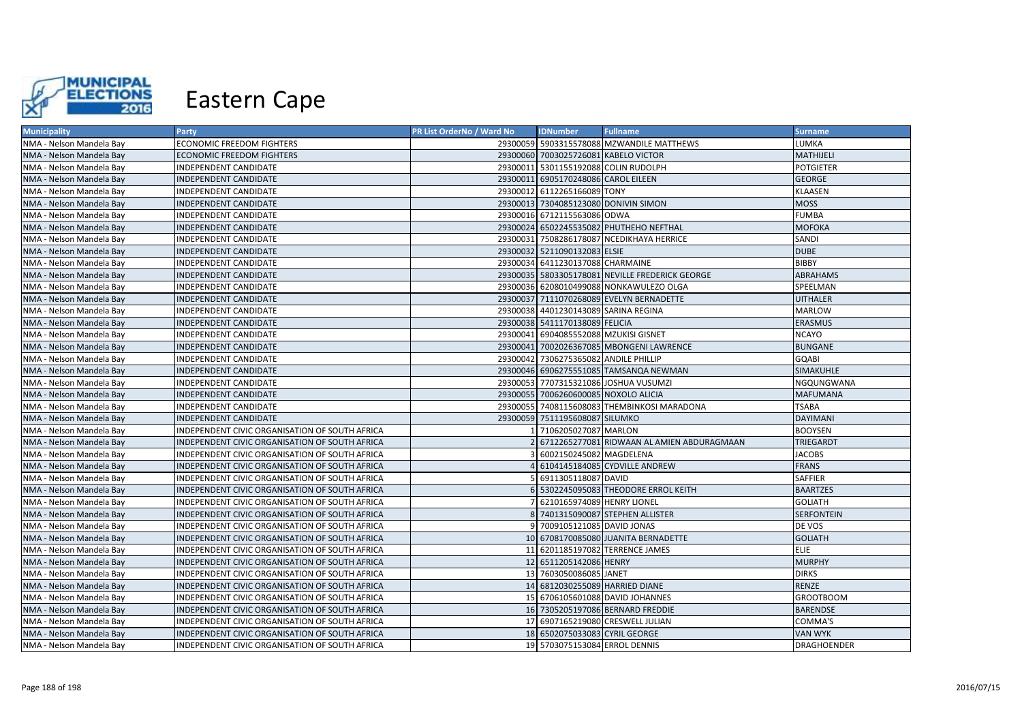

| <b>Municipality</b>      | Party                                          | PR List OrderNo / Ward No | <b>IDNumber</b>                       | <b>Fullname</b>                                 | <b>Surname</b>   |
|--------------------------|------------------------------------------------|---------------------------|---------------------------------------|-------------------------------------------------|------------------|
| NMA - Nelson Mandela Bay | ECONOMIC FREEDOM FIGHTERS                      |                           |                                       | 29300059 5903315578088 MZWANDILE MATTHEWS       | LUMKA            |
| NMA - Nelson Mandela Bay | <b>ECONOMIC FREEDOM FIGHTERS</b>               |                           | 29300060 7003025726081 KABELO VICTOR  |                                                 | MATHIJELI        |
| NMA - Nelson Mandela Bay | INDEPENDENT CANDIDATE                          |                           | 29300011 5301155192088 COLIN RUDOLPH  |                                                 | <b>POTGIETER</b> |
| NMA - Nelson Mandela Bay | INDEPENDENT CANDIDATE                          |                           | 29300011 6905170248086 CAROL EILEEN   |                                                 | <b>GEORGE</b>    |
| NMA - Nelson Mandela Bay | INDEPENDENT CANDIDATE                          |                           | 29300012 6112265166089 TONY           |                                                 | KLAASEN          |
| NMA - Nelson Mandela Bay | INDEPENDENT CANDIDATE                          |                           |                                       | 29300013 7304085123080 DONIVIN SIMON            | MOSS             |
| NMA - Nelson Mandela Bay | INDEPENDENT CANDIDATE                          |                           | 29300016 6712115563086 ODWA           |                                                 | FUMBA            |
| NMA - Nelson Mandela Bay | INDEPENDENT CANDIDATE                          |                           |                                       | 29300024 6502245535082 PHUTHEHO NEFTHAL         | MOFOKA           |
| NMA - Nelson Mandela Bay | INDEPENDENT CANDIDATE                          |                           |                                       | 29300031 7508286178087 NCEDIKHAYA HERRICE       | SANDI            |
| NMA - Nelson Mandela Bay | INDEPENDENT CANDIDATE                          |                           | 29300032 5211090132083 ELSIE          |                                                 | <b>DUBE</b>      |
| NMA - Nelson Mandela Bay | INDEPENDENT CANDIDATE                          |                           | 29300034 6411230137088 CHARMAINE      |                                                 | <b>BIBBY</b>     |
| NMA - Nelson Mandela Bay | INDEPENDENT CANDIDATE                          |                           |                                       | 29300035 5803305178081 NEVILLE FREDERICK GEORGE | ABRAHAMS         |
| NMA - Nelson Mandela Bay | INDEPENDENT CANDIDATE                          |                           |                                       | 29300036 6208010499088 NONKAWULEZO OLGA         | SPEELMAN         |
| NMA - Nelson Mandela Bay | INDEPENDENT CANDIDATE                          |                           |                                       | 29300037 7111070268089 EVELYN BERNADETTE        | <b>UITHALER</b>  |
| NMA - Nelson Mandela Bay | INDEPENDENT CANDIDATE                          | 29300038                  | 4401230143089 SARINA REGINA           |                                                 | <b>MARLOW</b>    |
| NMA - Nelson Mandela Bay | INDEPENDENT CANDIDATE                          |                           | 29300038 5411170138089 FELICIA        |                                                 | ERASMUS          |
| NMA - Nelson Mandela Bay | <b>INDEPENDENT CANDIDATE</b>                   |                           | 29300041 6904085552088 MZUKISI GISNET |                                                 | NCAYO            |
| NMA - Nelson Mandela Bay | INDEPENDENT CANDIDATE                          |                           |                                       | 29300041 7002026367085 MBONGENI LAWRENCE        | <b>BUNGANE</b>   |
| NMA - Nelson Mandela Bay | INDEPENDENT CANDIDATE                          |                           | 29300042 7306275365082 ANDILE PHILLIP |                                                 | GQABI            |
| NMA - Nelson Mandela Bay | INDEPENDENT CANDIDATE                          |                           |                                       | 29300046 6906275551085 TAMSANQA NEWMAN          | SIMAKUHLE        |
| NMA - Nelson Mandela Bay | INDEPENDENT CANDIDATE                          |                           |                                       | 29300053 7707315321086 JOSHUA VUSUMZI           | NGQUNGWANA       |
| NMA - Nelson Mandela Bay | INDEPENDENT CANDIDATE                          |                           | 29300055 7006260600085 NOXOLO ALICIA  |                                                 | <b>MAFUMANA</b>  |
| NMA - Nelson Mandela Bay | INDEPENDENT CANDIDATE                          |                           |                                       | 29300055 7408115608083 THEMBINKOSI MARADONA     | <b>TSABA</b>     |
| NMA - Nelson Mandela Bay | INDEPENDENT CANDIDATE                          |                           | 29300059 7511195608087 SILUMKO        |                                                 | <b>DAYIMANI</b>  |
| NMA - Nelson Mandela Bay | INDEPENDENT CIVIC ORGANISATION OF SOUTH AFRICA |                           | 7106205027087 MARLON                  |                                                 | <b>BOOYSEN</b>   |
| NMA - Nelson Mandela Bay | INDEPENDENT CIVIC ORGANISATION OF SOUTH AFRICA |                           |                                       | 6712265277081 RIDWAAN AL AMIEN ABDURAGMAAN      | TRIEGARDT        |
| NMA - Nelson Mandela Bay | INDEPENDENT CIVIC ORGANISATION OF SOUTH AFRICA |                           | 6002150245082 MAGDELENA               |                                                 | <b>JACOBS</b>    |
| NMA - Nelson Mandela Bay | INDEPENDENT CIVIC ORGANISATION OF SOUTH AFRICA |                           |                                       | 6104145184085 CYDVILLE ANDREW                   | <b>FRANS</b>     |
| NMA - Nelson Mandela Bay | INDEPENDENT CIVIC ORGANISATION OF SOUTH AFRICA |                           | 6911305118087 DAVID                   |                                                 | SAFFIER          |
| NMA - Nelson Mandela Bay | INDEPENDENT CIVIC ORGANISATION OF SOUTH AFRICA |                           |                                       | 5302245095083 THEODORE ERROL KEITH              | <b>BAARTZES</b>  |
| NMA - Nelson Mandela Bay | INDEPENDENT CIVIC ORGANISATION OF SOUTH AFRICA |                           | 6210165974089 HENRY LIONEL            |                                                 | GOLIATH          |
| NMA - Nelson Mandela Bay | INDEPENDENT CIVIC ORGANISATION OF SOUTH AFRICA |                           |                                       | 8 7401315090087 STEPHEN ALLISTER                | SERFONTEIN       |
| NMA - Nelson Mandela Bay | INDEPENDENT CIVIC ORGANISATION OF SOUTH AFRICA |                           | 9 7009105121085 DAVID JONAS           |                                                 | DE VOS           |
| NMA - Nelson Mandela Bay | INDEPENDENT CIVIC ORGANISATION OF SOUTH AFRICA |                           |                                       | 10 6708170085080 JUANITA BERNADETTE             | <b>GOLIATH</b>   |
| NMA - Nelson Mandela Bay | INDEPENDENT CIVIC ORGANISATION OF SOUTH AFRICA |                           |                                       | 11 6201185197082 TERRENCE JAMES                 | <b>ELIE</b>      |
| NMA - Nelson Mandela Bay | INDEPENDENT CIVIC ORGANISATION OF SOUTH AFRICA |                           | 12 6511205142086 HENRY                |                                                 | <b>MURPHY</b>    |
| NMA - Nelson Mandela Bay | INDEPENDENT CIVIC ORGANISATION OF SOUTH AFRICA |                           | 13 7603050086085 JANET                |                                                 | <b>DIRKS</b>     |
| NMA - Nelson Mandela Bay | INDEPENDENT CIVIC ORGANISATION OF SOUTH AFRICA |                           | 14 6812030255089 HARRIED DIANE        |                                                 | RENZE            |
| NMA - Nelson Mandela Bay | INDEPENDENT CIVIC ORGANISATION OF SOUTH AFRICA |                           |                                       | 15 6706105601088 DAVID JOHANNES                 | <b>GROOTBOOM</b> |
| NMA - Nelson Mandela Bay | INDEPENDENT CIVIC ORGANISATION OF SOUTH AFRICA |                           |                                       | 16 7305205197086 BERNARD FREDDIE                | <b>BARENDSE</b>  |
| NMA - Nelson Mandela Bay | INDEPENDENT CIVIC ORGANISATION OF SOUTH AFRICA |                           |                                       | 17 6907165219080 CRESWELL JULIAN                | COMMA'S          |
| NMA - Nelson Mandela Bay | INDEPENDENT CIVIC ORGANISATION OF SOUTH AFRICA |                           | 18 6502075033083 CYRIL GEORGE         |                                                 | <b>VAN WYK</b>   |
| NMA - Nelson Mandela Bay | INDEPENDENT CIVIC ORGANISATION OF SOUTH AFRICA |                           | 19 5703075153084 ERROL DENNIS         |                                                 | DRAGHOENDER      |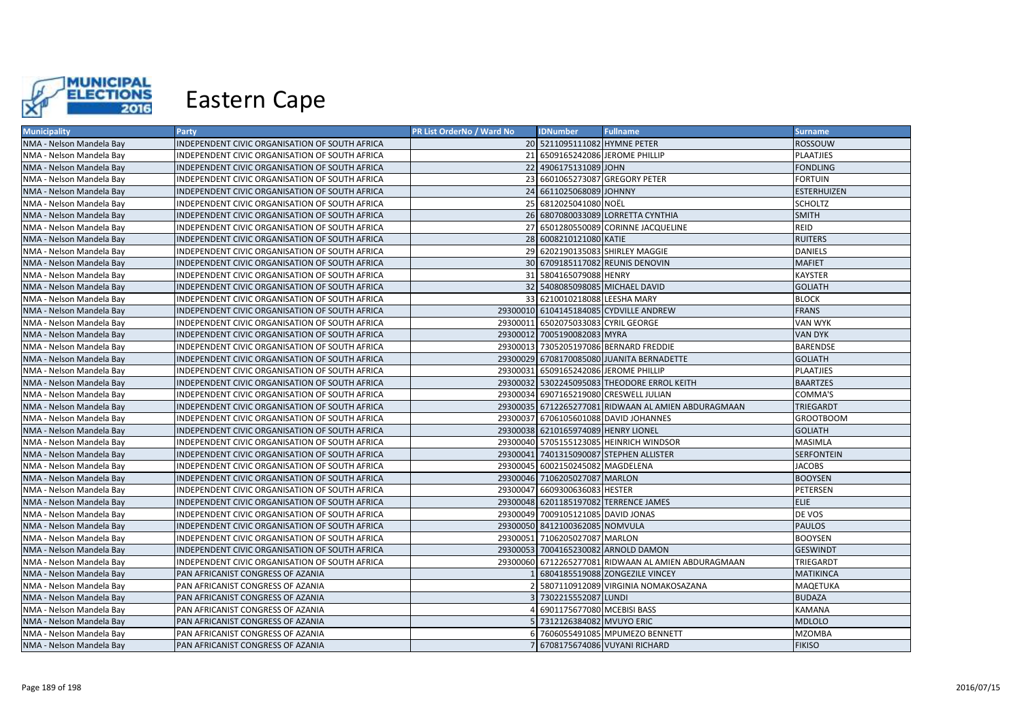

| <b>Municipality</b>      | Party                                          | <b>PR List OrderNo / Ward No</b> | <b>IDNumber</b>                       | <b>Fullname</b>                                     | <b>Surname</b>     |
|--------------------------|------------------------------------------------|----------------------------------|---------------------------------------|-----------------------------------------------------|--------------------|
| NMA - Nelson Mandela Bay | INDEPENDENT CIVIC ORGANISATION OF SOUTH AFRICA |                                  | 20 5211095111082 HYMNE PETER          |                                                     | <b>ROSSOUW</b>     |
| NMA - Nelson Mandela Bay | INDEPENDENT CIVIC ORGANISATION OF SOUTH AFRICA |                                  | 21 6509165242086 JEROME PHILLIP       |                                                     | <b>PLAATJIES</b>   |
| NMA - Nelson Mandela Bay | INDEPENDENT CIVIC ORGANISATION OF SOUTH AFRICA |                                  | 22 4906175131089 JOHN                 |                                                     | <b>FONDLING</b>    |
| NMA - Nelson Mandela Bay | INDEPENDENT CIVIC ORGANISATION OF SOUTH AFRICA |                                  | 23 6601065273087 GREGORY PETER        |                                                     | <b>FORTUIN</b>     |
| NMA - Nelson Mandela Bay | INDEPENDENT CIVIC ORGANISATION OF SOUTH AFRICA |                                  | 24 6611025068089 JOHNNY               |                                                     | <b>ESTERHUIZEN</b> |
| NMA - Nelson Mandela Bay | INDEPENDENT CIVIC ORGANISATION OF SOUTH AFRICA |                                  | 25 6812025041080 NOËL                 |                                                     | <b>SCHOLTZ</b>     |
| NMA - Nelson Mandela Bay | INDEPENDENT CIVIC ORGANISATION OF SOUTH AFRICA |                                  |                                       | 26 6807080033089 LORRETTA CYNTHIA                   | <b>SMITH</b>       |
| NMA - Nelson Mandela Bay | INDEPENDENT CIVIC ORGANISATION OF SOUTH AFRICA |                                  |                                       | 27 6501280550089 CORINNE JACQUELINE                 | REID               |
| NMA - Nelson Mandela Bay | INDEPENDENT CIVIC ORGANISATION OF SOUTH AFRICA |                                  | 28 6008210121080 KATIE                |                                                     | <b>RUITERS</b>     |
| NMA - Nelson Mandela Bay | INDEPENDENT CIVIC ORGANISATION OF SOUTH AFRICA |                                  |                                       | 29 6202190135083 SHIRLEY MAGGIE                     | <b>DANIELS</b>     |
| NMA - Nelson Mandela Bay | INDEPENDENT CIVIC ORGANISATION OF SOUTH AFRICA |                                  |                                       | 30 6709185117082 REUNIS DENOVIN                     | <b>MAFIET</b>      |
| NMA - Nelson Mandela Bay | INDEPENDENT CIVIC ORGANISATION OF SOUTH AFRICA |                                  | 31 5804165079088 HENRY                |                                                     | <b>KAYSTER</b>     |
| NMA - Nelson Mandela Bay | INDEPENDENT CIVIC ORGANISATION OF SOUTH AFRICA |                                  | 32 5408085098085 MICHAEL DAVID        |                                                     | <b>GOLIATH</b>     |
| NMA - Nelson Mandela Bay | INDEPENDENT CIVIC ORGANISATION OF SOUTH AFRICA |                                  | 33 6210010218088 LEESHA MARY          |                                                     | <b>BLOCK</b>       |
| NMA - Nelson Mandela Bay | INDEPENDENT CIVIC ORGANISATION OF SOUTH AFRICA |                                  |                                       | 29300010 6104145184085 CYDVILLE ANDREW              | <b>FRANS</b>       |
| NMA - Nelson Mandela Bay | INDEPENDENT CIVIC ORGANISATION OF SOUTH AFRICA |                                  | 29300011 6502075033083 CYRIL GEORGE   |                                                     | <b>VAN WYK</b>     |
| NMA - Nelson Mandela Bay | INDEPENDENT CIVIC ORGANISATION OF SOUTH AFRICA |                                  | 29300012 7005190082083 MYRA           |                                                     | <b>VAN DYK</b>     |
| NMA - Nelson Mandela Bay | INDEPENDENT CIVIC ORGANISATION OF SOUTH AFRICA |                                  |                                       | 29300013 7305205197086 BERNARD FREDDIE              | <b>BARENDSE</b>    |
| NMA - Nelson Mandela Bay | INDEPENDENT CIVIC ORGANISATION OF SOUTH AFRICA |                                  |                                       | 29300029 6708170085080 JUANITA BERNADETTE           | <b>GOLIATH</b>     |
| NMA - Nelson Mandela Bay | INDEPENDENT CIVIC ORGANISATION OF SOUTH AFRICA |                                  | 29300031 6509165242086 JEROME PHILLIP |                                                     | <b>PLAATJIES</b>   |
| NMA - Nelson Mandela Bay | INDEPENDENT CIVIC ORGANISATION OF SOUTH AFRICA |                                  |                                       | 29300032 5302245095083 THEODORE ERROL KEITH         | <b>BAARTZES</b>    |
| NMA - Nelson Mandela Bay | INDEPENDENT CIVIC ORGANISATION OF SOUTH AFRICA |                                  |                                       | 29300034 6907165219080 CRESWELL JULIAN              | COMMA'S            |
| NMA - Nelson Mandela Bay | INDEPENDENT CIVIC ORGANISATION OF SOUTH AFRICA |                                  |                                       | 29300035 6712265277081 RIDWAAN AL AMIEN ABDURAGMAAN | <b>TRIEGARDT</b>   |
| NMA - Nelson Mandela Bay | INDEPENDENT CIVIC ORGANISATION OF SOUTH AFRICA |                                  |                                       | 29300037 6706105601088 DAVID JOHANNES               | <b>GROOTBOOM</b>   |
| NMA - Nelson Mandela Bay | INDEPENDENT CIVIC ORGANISATION OF SOUTH AFRICA |                                  | 29300038 6210165974089 HENRY LIONEL   |                                                     | <b>GOLIATH</b>     |
| NMA - Nelson Mandela Bay | INDEPENDENT CIVIC ORGANISATION OF SOUTH AFRICA |                                  |                                       | 29300040 5705155123085 HEINRICH WINDSOR             | <b>MASIMLA</b>     |
| NMA - Nelson Mandela Bay | INDEPENDENT CIVIC ORGANISATION OF SOUTH AFRICA |                                  |                                       | 29300041 7401315090087 STEPHEN ALLISTER             | <b>SERFONTEIN</b>  |
| NMA - Nelson Mandela Bay | INDEPENDENT CIVIC ORGANISATION OF SOUTH AFRICA |                                  | 29300045 6002150245082 MAGDELENA      |                                                     | <b>JACOBS</b>      |
| NMA - Nelson Mandela Bay | INDEPENDENT CIVIC ORGANISATION OF SOUTH AFRICA |                                  | 29300046 7106205027087 MARLON         |                                                     | <b>BOOYSEN</b>     |
| NMA - Nelson Mandela Bay | INDEPENDENT CIVIC ORGANISATION OF SOUTH AFRICA |                                  | 29300047 6609300636083 HESTER         |                                                     | <b>PETERSEN</b>    |
| NMA - Nelson Mandela Bay | INDEPENDENT CIVIC ORGANISATION OF SOUTH AFRICA |                                  |                                       | 29300048 6201185197082 TERRENCE JAMES               | ELIE.              |
| NMA - Nelson Mandela Bay | INDEPENDENT CIVIC ORGANISATION OF SOUTH AFRICA |                                  | 29300049 7009105121085 DAVID JONAS    |                                                     | DE VOS             |
| NMA - Nelson Mandela Bay | INDEPENDENT CIVIC ORGANISATION OF SOUTH AFRICA |                                  | 29300050 8412100362085 NOMVULA        |                                                     | <b>PAULOS</b>      |
| NMA - Nelson Mandela Bay | INDEPENDENT CIVIC ORGANISATION OF SOUTH AFRICA |                                  | 29300051 7106205027087 MARLON         |                                                     | <b>BOOYSEN</b>     |
| NMA - Nelson Mandela Bay | INDEPENDENT CIVIC ORGANISATION OF SOUTH AFRICA |                                  |                                       | 29300053 7004165230082 ARNOLD DAMON                 | <b>GESWINDT</b>    |
| NMA - Nelson Mandela Bay | INDEPENDENT CIVIC ORGANISATION OF SOUTH AFRICA |                                  |                                       | 29300060 6712265277081 RIDWAAN AL AMIEN ABDURAGMAAN | TRIEGARDT          |
| NMA - Nelson Mandela Bay | PAN AFRICANIST CONGRESS OF AZANIA              |                                  |                                       | 6804185519088 ZONGEZILE VINCEY                      | <b>MATIKINCA</b>   |
| NMA - Nelson Mandela Bay | PAN AFRICANIST CONGRESS OF AZANIA              |                                  |                                       | 5807110912089 VIRGINIA NOMAKOSAZANA                 | <b>MAQETUKA</b>    |
| NMA - Nelson Mandela Bay | PAN AFRICANIST CONGRESS OF AZANIA              |                                  | 7302215552087 LUNDI                   |                                                     | <b>BUDAZA</b>      |
| NMA - Nelson Mandela Bay | PAN AFRICANIST CONGRESS OF AZANIA              |                                  | 6901175677080 MCEBISI BASS            |                                                     | <b>KAMANA</b>      |
| NMA - Nelson Mandela Bay | PAN AFRICANIST CONGRESS OF AZANIA              |                                  | 7312126384082 MVUYO ERIC              |                                                     | <b>MDLOLO</b>      |
| NMA - Nelson Mandela Bay | PAN AFRICANIST CONGRESS OF AZANIA              |                                  |                                       | 7606055491085 MPUMEZO BENNETT                       | <b>MZOMBA</b>      |
| NMA - Nelson Mandela Bay | PAN AFRICANIST CONGRESS OF AZANIA              |                                  |                                       | 6708175674086 VUYANI RICHARD                        | <b>FIKISO</b>      |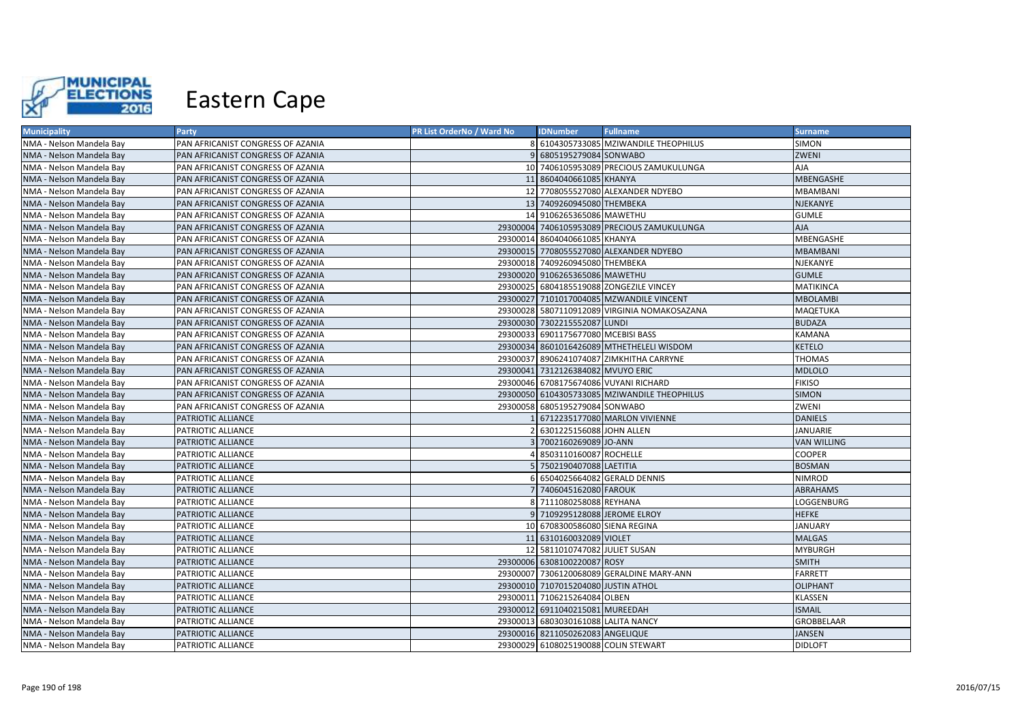

| <b>Municipality</b>      | Party                             | PR List OrderNo / Ward No | <b>IDNumber</b>                      | <b>Fullname</b>                              | <b>Surname</b>     |
|--------------------------|-----------------------------------|---------------------------|--------------------------------------|----------------------------------------------|--------------------|
| NMA - Nelson Mandela Bay | PAN AFRICANIST CONGRESS OF AZANIA | 81                        |                                      | 6104305733085 MZIWANDILE THEOPHILUS          | SIMON              |
| NMA - Nelson Mandela Bay | PAN AFRICANIST CONGRESS OF AZANIA |                           | 9 6805195279084 SONWABO              |                                              | ZWENI              |
| NMA - Nelson Mandela Bay | PAN AFRICANIST CONGRESS OF AZANIA |                           |                                      | 10 7406105953089 PRECIOUS ZAMUKULUNGA        | AJA                |
| NMA - Nelson Mandela Bay | PAN AFRICANIST CONGRESS OF AZANIA |                           | 11 8604040661085 KHANYA              |                                              | MBENGASHE          |
| NMA - Nelson Mandela Bay | PAN AFRICANIST CONGRESS OF AZANIA |                           |                                      | 12 7708055527080 ALEXANDER NDYEBO            | <b>MBAMBANI</b>    |
| NMA - Nelson Mandela Bay | PAN AFRICANIST CONGRESS OF AZANIA |                           | 13 7409260945080 THEMBEKA            |                                              | <b>NJEKANYE</b>    |
| NMA - Nelson Mandela Bay | PAN AFRICANIST CONGRESS OF AZANIA |                           | 14 9106265365086 MAWETHU             |                                              | <b>GUMLE</b>       |
| NMA - Nelson Mandela Bay | PAN AFRICANIST CONGRESS OF AZANIA |                           |                                      | 29300004 7406105953089 PRECIOUS ZAMUKULUNGA  | <b>AJA</b>         |
| NMA - Nelson Mandela Bay | PAN AFRICANIST CONGRESS OF AZANIA |                           | 29300014 8604040661085 KHANYA        |                                              | <b>MBENGASHE</b>   |
| NMA - Nelson Mandela Bay | PAN AFRICANIST CONGRESS OF AZANIA |                           |                                      | 29300015 7708055527080 ALEXANDER NDYEBO      | <b>MBAMBANI</b>    |
| NMA - Nelson Mandela Bay | PAN AFRICANIST CONGRESS OF AZANIA |                           | 29300018 7409260945080 THEMBEKA      |                                              | NJEKANYE           |
| NMA - Nelson Mandela Bay | PAN AFRICANIST CONGRESS OF AZANIA |                           | 29300020 9106265365086 MAWETHU       |                                              | <b>GUMLE</b>       |
| NMA - Nelson Mandela Bay | PAN AFRICANIST CONGRESS OF AZANIA |                           |                                      | 29300025 6804185519088 ZONGEZILE VINCEY      | <b>MATIKINCA</b>   |
| NMA - Nelson Mandela Bay | PAN AFRICANIST CONGRESS OF AZANIA |                           |                                      | 29300027 7101017004085 MZWANDILE VINCENT     | <b>MBOLAMBI</b>    |
| NMA - Nelson Mandela Bay | PAN AFRICANIST CONGRESS OF AZANIA |                           |                                      | 29300028 5807110912089 VIRGINIA NOMAKOSAZANA | <b>MAQETUKA</b>    |
| NMA - Nelson Mandela Bay | PAN AFRICANIST CONGRESS OF AZANIA |                           | 29300030 7302215552087 LUNDI         |                                              | <b>BUDAZA</b>      |
| NMA - Nelson Mandela Bay | PAN AFRICANIST CONGRESS OF AZANIA |                           | 29300033 6901175677080 MCEBISI BASS  |                                              | <b>KAMANA</b>      |
| NMA - Nelson Mandela Bay | PAN AFRICANIST CONGRESS OF AZANIA |                           |                                      | 29300034 8601016426089 MTHETHELELI WISDOM    | <b>KETELO</b>      |
| NMA - Nelson Mandela Bay | PAN AFRICANIST CONGRESS OF AZANIA |                           |                                      | 29300037 8906241074087 ZIMKHITHA CARRYNE     | <b>THOMAS</b>      |
| NMA - Nelson Mandela Bay | PAN AFRICANIST CONGRESS OF AZANIA |                           | 29300041 7312126384082 MVUYO ERIC    |                                              | <b>MDLOLO</b>      |
| NMA - Nelson Mandela Bay | PAN AFRICANIST CONGRESS OF AZANIA |                           |                                      | 29300046 6708175674086 VUYANI RICHARD        | <b>FIKISO</b>      |
| NMA - Nelson Mandela Bay | PAN AFRICANIST CONGRESS OF AZANIA |                           |                                      | 29300050 6104305733085 MZIWANDILE THEOPHILUS | <b>SIMON</b>       |
| NMA - Nelson Mandela Bay | PAN AFRICANIST CONGRESS OF AZANIA |                           | 29300058 6805195279084 SONWABO       |                                              | ZWENI              |
| NMA - Nelson Mandela Bay | PATRIOTIC ALLIANCE                |                           |                                      | 6712235177080 MARLON VIVIENNE                | <b>DANIELS</b>     |
| NMA - Nelson Mandela Bay | PATRIOTIC ALLIANCE                |                           | 6301225156088 JOHN ALLEN             |                                              | <b>JANUARIE</b>    |
| NMA - Nelson Mandela Bay | PATRIOTIC ALLIANCE                |                           | 7002160269089 JO-ANN                 |                                              | <b>VAN WILLING</b> |
| NMA - Nelson Mandela Bay | PATRIOTIC ALLIANCE                |                           | 8503110160087 ROCHELLE               |                                              | <b>COOPER</b>      |
| NMA - Nelson Mandela Bay | PATRIOTIC ALLIANCE                |                           | 7502190407088 LAETITIA               |                                              | <b>BOSMAN</b>      |
| NMA - Nelson Mandela Bay | PATRIOTIC ALLIANCE                |                           |                                      | 6504025664082 GERALD DENNIS                  | <b>NIMROD</b>      |
| NMA - Nelson Mandela Bay | PATRIOTIC ALLIANCE                |                           | 7406045162080 FAROUK                 |                                              | <b>ABRAHAMS</b>    |
| NMA - Nelson Mandela Bay | PATRIOTIC ALLIANCE                | 81                        | 7111080258088 REYHANA                |                                              | LOGGENBURG         |
| NMA - Nelson Mandela Bay | PATRIOTIC ALLIANCE                |                           | 7109295128088 JEROME ELROY           |                                              | <b>HEFKE</b>       |
| NMA - Nelson Mandela Bay | PATRIOTIC ALLIANCE                |                           | 10 6708300586080 SIENA REGINA        |                                              | <b>JANUARY</b>     |
| NMA - Nelson Mandela Bay | PATRIOTIC ALLIANCE                |                           | 11 6310160032089 VIOLET              |                                              | <b>MALGAS</b>      |
| NMA - Nelson Mandela Bay | PATRIOTIC ALLIANCE                |                           | 12 5811010747082 JULIET SUSAN        |                                              | <b>MYBURGH</b>     |
| NMA - Nelson Mandela Bay | PATRIOTIC ALLIANCE                |                           | 29300006 6308100220087 ROSY          |                                              | <b>SMITH</b>       |
| NMA - Nelson Mandela Bay | PATRIOTIC ALLIANCE                |                           |                                      | 29300007 7306120068089 GERALDINE MARY-ANN    | <b>FARRETT</b>     |
| NMA - Nelson Mandela Bay | PATRIOTIC ALLIANCE                |                           | 29300010 7107015204080 JUSTIN ATHOL  |                                              | <b>OLIPHANT</b>    |
| NMA - Nelson Mandela Bay | PATRIOTIC ALLIANCE                |                           | 29300011 7106215264084 OLBEN         |                                              | <b>KLASSEN</b>     |
| NMA - Nelson Mandela Bay | PATRIOTIC ALLIANCE                |                           | 29300012 6911040215081 MUREEDAH      |                                              | <b>ISMAIL</b>      |
| NMA - Nelson Mandela Bay | PATRIOTIC ALLIANCE                |                           | 29300013 6803030161088 LALITA NANCY  |                                              | <b>GROBBELAAR</b>  |
| NMA - Nelson Mandela Bay | PATRIOTIC ALLIANCE                |                           | 29300016 8211050262083 ANGELIQUE     |                                              | <b>JANSEN</b>      |
| NMA - Nelson Mandela Bay | PATRIOTIC ALLIANCE                |                           | 29300029 6108025190088 COLIN STEWART |                                              | <b>DIDLOFT</b>     |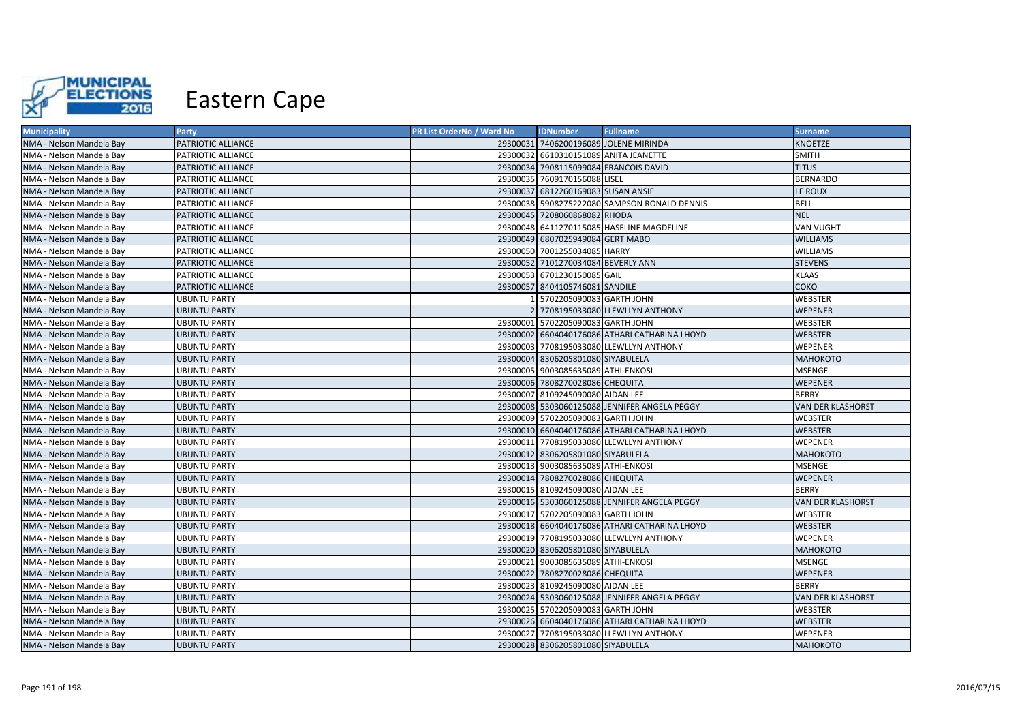

| <b>Municipality</b>      | Party               | <b>PR List OrderNo / Ward No</b> | <b>IDNumber</b>                    | <b>Fullname</b>                               | <b>Surname</b>    |
|--------------------------|---------------------|----------------------------------|------------------------------------|-----------------------------------------------|-------------------|
| NMA - Nelson Mandela Bay | PATRIOTIC ALLIANCE  |                                  |                                    | 29300031 7406200196089 JOLENE MIRINDA         | KNOETZE           |
| NMA - Nelson Mandela Bay | PATRIOTIC ALLIANCE  |                                  |                                    | 29300032 6610310151089 ANITA JEANETTE         | <b>SMITH</b>      |
| NMA - Nelson Mandela Bay | PATRIOTIC ALLIANCE  |                                  |                                    | 29300034 7908115099084 FRANCOIS DAVID         | <b>TITUS</b>      |
| NMA - Nelson Mandela Bay | PATRIOTIC ALLIANCE  |                                  | 29300035 7609170156088 LISEL       |                                               | <b>BERNARDO</b>   |
| NMA - Nelson Mandela Bay | PATRIOTIC ALLIANCE  |                                  | 29300037 6812260169083 SUSAN ANSIE |                                               | LE ROUX           |
| NMA - Nelson Mandela Bay | PATRIOTIC ALLIANCE  |                                  |                                    | 29300038 5908275222080 SAMPSON RONALD DENNIS  | BELL              |
| NMA - Nelson Mandela Bay | PATRIOTIC ALLIANCE  |                                  | 29300045 7208060868082 RHODA       |                                               | <b>NEL</b>        |
| NMA - Nelson Mandela Bay | PATRIOTIC ALLIANCE  |                                  |                                    | 29300048 6411270115085 HASELINE MAGDELINE     | VAN VUGHT         |
| NMA - Nelson Mandela Bay | PATRIOTIC ALLIANCE  |                                  | 29300049 6807025949084 GERT MABO   |                                               | WILLIAMS          |
| NMA - Nelson Mandela Bay | PATRIOTIC ALLIANCE  |                                  | 29300050 7001255034085 HARRY       |                                               | WILLIAMS          |
| NMA - Nelson Mandela Bay | PATRIOTIC ALLIANCE  |                                  | 29300052 7101270034084 BEVERLY ANN |                                               | <b>STEVENS</b>    |
| NMA - Nelson Mandela Bay | PATRIOTIC ALLIANCE  |                                  | 29300053 6701230150085 GAIL        |                                               | KLAAS             |
| NMA - Nelson Mandela Bay | PATRIOTIC ALLIANCE  |                                  | 29300057 8404105746081 SANDILE     |                                               | соко              |
| NMA - Nelson Mandela Bay | <b>UBUNTU PARTY</b> |                                  | 5702205090083 GARTH JOHN           |                                               | WEBSTER           |
| NMA - Nelson Mandela Bay | <b>UBUNTU PARTY</b> |                                  |                                    | 2 7708195033080 LLEWLLYN ANTHONY              | WEPENER           |
| NMA - Nelson Mandela Bay | <b>UBUNTU PARTY</b> |                                  | 29300001 5702205090083 GARTH JOHN  |                                               | WEBSTER           |
| NMA - Nelson Mandela Bay | <b>UBUNTU PARTY</b> |                                  |                                    | 29300002 6604040176086 ATHARI CATHARINA LHOYD | WEBSTER           |
| NMA - Nelson Mandela Bay | <b>UBUNTU PARTY</b> |                                  |                                    | 29300003 7708195033080 LLEWLLYN ANTHONY       | WEPENER           |
| NMA - Nelson Mandela Bay | <b>UBUNTU PARTY</b> |                                  | 29300004 8306205801080 SIYABULELA  |                                               | <b>МАНОКОТО</b>   |
| NMA - Nelson Mandela Bay | <b>UBUNTU PARTY</b> |                                  | 29300005 9003085635089 ATHI-ENKOSI |                                               | <b>MSENGE</b>     |
| NMA - Nelson Mandela Bay | <b>UBUNTU PARTY</b> |                                  | 29300006 7808270028086 CHEQUITA    |                                               | WEPENER           |
| NMA - Nelson Mandela Bay | <b>UBUNTU PARTY</b> |                                  | 29300007 8109245090080 AIDAN LEE   |                                               | <b>BERRY</b>      |
| NMA - Nelson Mandela Bay | <b>UBUNTU PARTY</b> |                                  |                                    | 29300008 5303060125088 JENNIFER ANGELA PEGGY  | VAN DER KLASHORST |
| NMA - Nelson Mandela Bay | <b>UBUNTU PARTY</b> |                                  | 29300009 5702205090083 GARTH JOHN  |                                               | WEBSTER           |
| NMA - Nelson Mandela Bay | <b>UBUNTU PARTY</b> |                                  |                                    | 29300010 6604040176086 ATHARI CATHARINA LHOYD | WEBSTER           |
| NMA - Nelson Mandela Bay | <b>UBUNTU PARTY</b> |                                  |                                    | 29300011 7708195033080 LLEWLLYN ANTHONY       | WEPENER           |
| NMA - Nelson Mandela Bay | <b>UBUNTU PARTY</b> |                                  | 29300012 8306205801080 SIYABULELA  |                                               | МАНОКОТО          |
| NMA - Nelson Mandela Bay | <b>UBUNTU PARTY</b> |                                  | 29300013 9003085635089 ATHI-ENKOSI |                                               | MSENGE            |
| NMA - Nelson Mandela Bay | <b>UBUNTU PARTY</b> |                                  | 29300014 7808270028086 CHEQUITA    |                                               | WEPENER           |
| NMA - Nelson Mandela Bay | <b>UBUNTU PARTY</b> |                                  | 29300015 8109245090080 AIDAN LEE   |                                               | <b>BERRY</b>      |
| NMA - Nelson Mandela Bay | <b>UBUNTU PARTY</b> |                                  |                                    | 29300016 5303060125088 JENNIFER ANGELA PEGGY  | VAN DER KLASHORST |
| NMA - Nelson Mandela Bay | <b>UBUNTU PARTY</b> |                                  | 29300017 5702205090083 GARTH JOHN  |                                               | WEBSTER           |
| NMA - Nelson Mandela Bay | <b>UBUNTU PARTY</b> |                                  |                                    | 29300018 6604040176086 ATHARI CATHARINA LHOYD | <b>WEBSTER</b>    |
| NMA - Nelson Mandela Bay | <b>UBUNTU PARTY</b> |                                  |                                    | 29300019 7708195033080 LLEWLLYN ANTHONY       | WEPENER           |
| NMA - Nelson Mandela Bay | <b>UBUNTU PARTY</b> |                                  | 29300020 8306205801080 SIYABULELA  |                                               | <b>МАНОКОТО</b>   |
| NMA - Nelson Mandela Bay | <b>UBUNTU PARTY</b> |                                  | 29300021 9003085635089 ATHI-ENKOSI |                                               | MSENGE            |
| NMA - Nelson Mandela Bay | <b>UBUNTU PARTY</b> |                                  | 29300022 7808270028086 CHEQUITA    |                                               | WEPENER           |
| NMA - Nelson Mandela Bay | <b>UBUNTU PARTY</b> |                                  | 29300023 8109245090080 AIDAN LEE   |                                               | <b>BERRY</b>      |
| NMA - Nelson Mandela Bay | <b>UBUNTU PARTY</b> |                                  |                                    | 29300024 5303060125088 JENNIFER ANGELA PEGGY  | VAN DER KLASHORST |
| NMA - Nelson Mandela Bay | <b>UBUNTU PARTY</b> |                                  | 29300025 5702205090083 GARTH JOHN  |                                               | WEBSTER           |
| NMA - Nelson Mandela Bay | <b>UBUNTU PARTY</b> |                                  |                                    | 29300026 6604040176086 ATHARI CATHARINA LHOYD | <b>WEBSTER</b>    |
| NMA - Nelson Mandela Bay | <b>UBUNTU PARTY</b> |                                  |                                    | 29300027 7708195033080 LLEWLLYN ANTHONY       | WEPENER           |
| NMA - Nelson Mandela Bay | <b>UBUNTU PARTY</b> |                                  | 29300028 8306205801080 SIYABULELA  |                                               | <b>МАНОКОТО</b>   |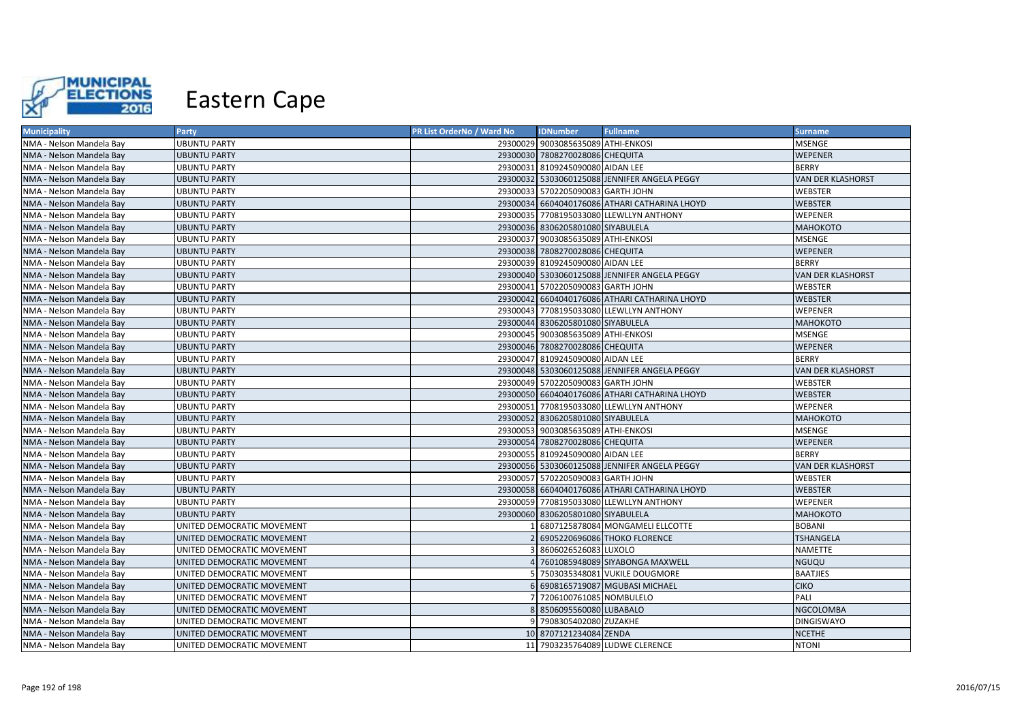

| <b>Municipality</b>      | Party                      | PR List OrderNo / Ward No | <b>IDNumber</b>                    | <b>Fullname</b>                               | <b>Surname</b>           |
|--------------------------|----------------------------|---------------------------|------------------------------------|-----------------------------------------------|--------------------------|
| NMA - Nelson Mandela Bay | <b>UBUNTU PARTY</b>        |                           | 29300029 9003085635089 ATHI-ENKOSI |                                               | MSENGE                   |
| NMA - Nelson Mandela Bay | <b>UBUNTU PARTY</b>        |                           | 29300030 7808270028086 CHEQUITA    |                                               | WEPENER                  |
| NMA - Nelson Mandela Bay | <b>UBUNTU PARTY</b>        |                           | 29300031 8109245090080 AIDAN LEE   |                                               | <b>BERRY</b>             |
| NMA - Nelson Mandela Bay | <b>UBUNTU PARTY</b>        |                           |                                    | 29300032 5303060125088 JENNIFER ANGELA PEGGY  | <b>VAN DER KLASHORST</b> |
| NMA - Nelson Mandela Bay | UBUNTU PARTY               |                           | 29300033 5702205090083 GARTH JOHN  |                                               | WEBSTER                  |
| NMA - Nelson Mandela Bay | <b>UBUNTU PARTY</b>        |                           |                                    | 29300034 6604040176086 ATHARI CATHARINA LHOYD | <b>WEBSTER</b>           |
| NMA - Nelson Mandela Bay | <b>UBUNTU PARTY</b>        |                           |                                    | 29300035 7708195033080 LLEWLLYN ANTHONY       | WEPENER                  |
| NMA - Nelson Mandela Bay | <b>UBUNTU PARTY</b>        |                           | 29300036 8306205801080 SIYABULELA  |                                               | <b>МАНОКОТО</b>          |
| NMA - Nelson Mandela Bay | UBUNTU PARTY               |                           | 29300037 9003085635089 ATHI-ENKOSI |                                               | MSENGE                   |
| NMA - Nelson Mandela Bay | <b>UBUNTU PARTY</b>        |                           | 29300038 7808270028086 CHEQUITA    |                                               | WEPENER                  |
| NMA - Nelson Mandela Bay | <b>UBUNTU PARTY</b>        |                           | 29300039 8109245090080 AIDAN LEE   |                                               | <b>BERRY</b>             |
| NMA - Nelson Mandela Bay | <b>UBUNTU PARTY</b>        |                           |                                    | 29300040 5303060125088 JENNIFER ANGELA PEGGY  | <b>VAN DER KLASHORST</b> |
| NMA - Nelson Mandela Bay | UBUNTU PARTY               |                           | 29300041 5702205090083 GARTH JOHN  |                                               | WEBSTER                  |
| NMA - Nelson Mandela Bay | <b>UBUNTU PARTY</b>        |                           |                                    | 29300042 6604040176086 ATHARI CATHARINA LHOYD | <b>WEBSTER</b>           |
| NMA - Nelson Mandela Bay | UBUNTU PARTY               |                           |                                    | 29300043 7708195033080 LLEWLLYN ANTHONY       | WEPENER                  |
| NMA - Nelson Mandela Bay | <b>UBUNTU PARTY</b>        |                           | 29300044 8306205801080 SIYABULELA  |                                               | <b>МАНОКОТО</b>          |
| NMA - Nelson Mandela Bay | <b>UBUNTU PARTY</b>        |                           | 29300045 9003085635089 ATHI-ENKOSI |                                               | <b>MSENGE</b>            |
| NMA - Nelson Mandela Bay | <b>UBUNTU PARTY</b>        |                           | 29300046 7808270028086 CHEQUITA    |                                               | <b>WEPENER</b>           |
| NMA - Nelson Mandela Bay | <b>UBUNTU PARTY</b>        |                           | 29300047 8109245090080 AIDAN LEE   |                                               | <b>BERRY</b>             |
| NMA - Nelson Mandela Bay | <b>UBUNTU PARTY</b>        |                           |                                    | 29300048 5303060125088 JENNIFER ANGELA PEGGY  | VAN DER KLASHORST        |
| NMA - Nelson Mandela Bay | <b>UBUNTU PARTY</b>        |                           | 29300049 5702205090083 GARTH JOHN  |                                               | <b>WEBSTER</b>           |
| NMA - Nelson Mandela Bay | <b>UBUNTU PARTY</b>        |                           |                                    | 29300050 6604040176086 ATHARI CATHARINA LHOYD | <b>WEBSTER</b>           |
| NMA - Nelson Mandela Bay | UBUNTU PARTY               |                           |                                    | 29300051 7708195033080 LLEWLLYN ANTHONY       | WEPENER                  |
| NMA - Nelson Mandela Bay | <b>UBUNTU PARTY</b>        |                           | 29300052 8306205801080 SIYABULELA  |                                               | <b>МАНОКОТО</b>          |
| NMA - Nelson Mandela Bay | <b>UBUNTU PARTY</b>        |                           | 29300053 9003085635089 ATHI-ENKOSI |                                               | MSENGE                   |
| NMA - Nelson Mandela Bay | <b>UBUNTU PARTY</b>        |                           | 29300054 7808270028086 CHEQUITA    |                                               | WEPENER                  |
| NMA - Nelson Mandela Bay | <b>UBUNTU PARTY</b>        |                           | 29300055 8109245090080 AIDAN LEE   |                                               | <b>BERRY</b>             |
| NMA - Nelson Mandela Bay | <b>UBUNTU PARTY</b>        |                           |                                    | 29300056 5303060125088 JENNIFER ANGELA PEGGY  | VAN DER KLASHORST        |
| NMA - Nelson Mandela Bay | <b>UBUNTU PARTY</b>        |                           | 29300057 5702205090083 GARTH JOHN  |                                               | WEBSTER                  |
| NMA - Nelson Mandela Bay | <b>UBUNTU PARTY</b>        |                           |                                    | 29300058 6604040176086 ATHARI CATHARINA LHOYD | <b>WEBSTER</b>           |
| NMA - Nelson Mandela Bay | <b>UBUNTU PARTY</b>        |                           |                                    | 29300059 7708195033080 LLEWLLYN ANTHONY       | WEPENER                  |
| NMA - Nelson Mandela Bay | <b>UBUNTU PARTY</b>        |                           | 29300060 8306205801080 SIYABULELA  |                                               | <b>МАНОКОТО</b>          |
| NMA - Nelson Mandela Bay | UNITED DEMOCRATIC MOVEMENT |                           |                                    | 6807125878084 MONGAMELI ELLCOTTE              | BOBANI                   |
| NMA - Nelson Mandela Bay | UNITED DEMOCRATIC MOVEMENT |                           |                                    | 6905220696086 THOKO FLORENCE                  | <b>TSHANGELA</b>         |
| NMA - Nelson Mandela Bay | UNITED DEMOCRATIC MOVEMENT |                           | 8606026526083 LUXOLO               |                                               | NAMETTE                  |
| NMA - Nelson Mandela Bay | UNITED DEMOCRATIC MOVEMENT |                           |                                    | 7601085948089 SIYABONGA MAXWELL               | NGUQU                    |
| NMA - Nelson Mandela Bay | UNITED DEMOCRATIC MOVEMENT |                           |                                    | 7503035348081 VUKILE DOUGMORE                 | <b>BAATJIES</b>          |
| NMA - Nelson Mandela Bay | UNITED DEMOCRATIC MOVEMENT |                           |                                    | 6908165719087 MGUBASI MICHAEL                 | <b>CIKO</b>              |
| NMA - Nelson Mandela Bay | UNITED DEMOCRATIC MOVEMENT |                           | 7206100761085 NOMBULELO            |                                               | PALI                     |
| NMA - Nelson Mandela Bay | UNITED DEMOCRATIC MOVEMENT |                           | 8506095560080 LUBABALO             |                                               | NGCOLOMBA                |
| NMA - Nelson Mandela Bay | UNITED DEMOCRATIC MOVEMENT |                           | 9 7908305402080 ZUZAKHE            |                                               | DINGISWAYO               |
| NMA - Nelson Mandela Bay | UNITED DEMOCRATIC MOVEMENT |                           | 10 8707121234084 ZENDA             |                                               | NCETHE                   |
| NMA - Nelson Mandela Bay | UNITED DEMOCRATIC MOVEMENT |                           |                                    | 11 7903235764089 LUDWE CLERENCE               | <b>NTONI</b>             |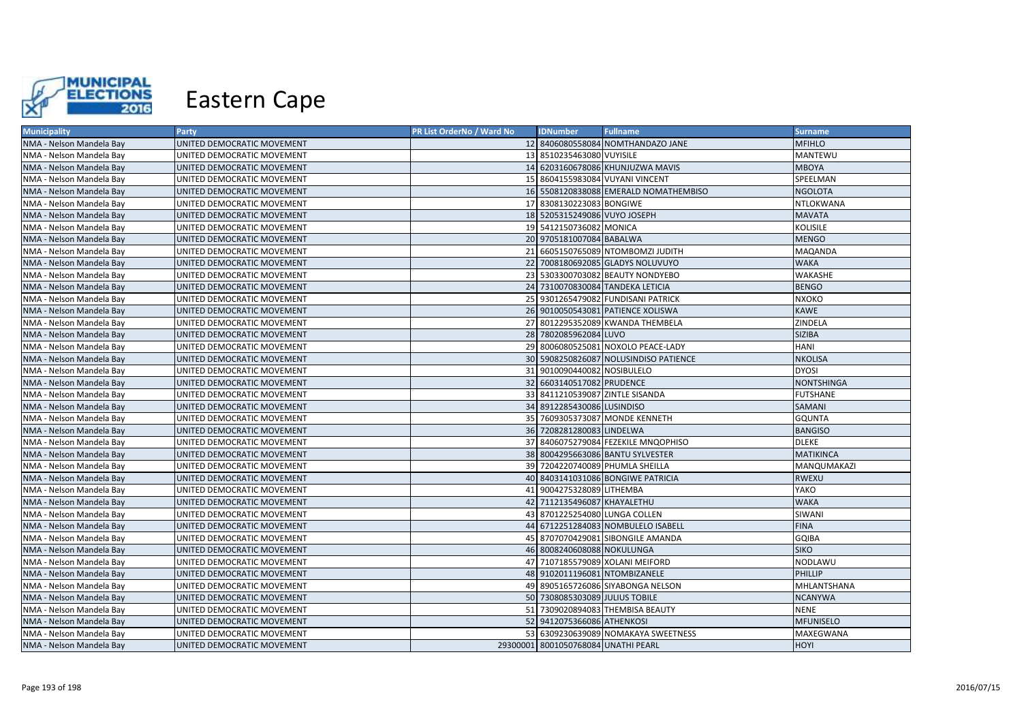

| <b>Municipality</b>      | Party                      | PR List OrderNo / Ward No | <b>IDNumber</b>                     | <b>Fullname</b>                       | <b>Surname</b>    |
|--------------------------|----------------------------|---------------------------|-------------------------------------|---------------------------------------|-------------------|
| NMA - Nelson Mandela Bay | UNITED DEMOCRATIC MOVEMENT |                           |                                     | 12 8406080558084 NOMTHANDAZO JANE     | <b>MFIHLO</b>     |
| NMA - Nelson Mandela Bay | UNITED DEMOCRATIC MOVEMENT |                           | 13 8510235463080 VUYISILE           |                                       | MANTEWU           |
| NMA - Nelson Mandela Bay | UNITED DEMOCRATIC MOVEMENT |                           |                                     | 14 6203160678086 KHUNJUZWA MAVIS      | <b>MBOYA</b>      |
| NMA - Nelson Mandela Bay | UNITED DEMOCRATIC MOVEMENT |                           |                                     | 15 8604155983084 VUYANI VINCENT       | SPEELMAN          |
| NMA - Nelson Mandela Bay | UNITED DEMOCRATIC MOVEMENT |                           |                                     | 16 5508120838088 EMERALD NOMATHEMBISO | <b>NGOLOTA</b>    |
| NMA - Nelson Mandela Bay | UNITED DEMOCRATIC MOVEMENT |                           | 17 8308130223083 BONGIWE            |                                       | NTLOKWANA         |
| NMA - Nelson Mandela Bay | UNITED DEMOCRATIC MOVEMENT |                           | 18 5205315249086 VUYO JOSEPH        |                                       | <b>MAVATA</b>     |
| NMA - Nelson Mandela Bay | UNITED DEMOCRATIC MOVEMENT |                           | 19 5412150736082 MONICA             |                                       | <b>KOLISILE</b>   |
| NMA - Nelson Mandela Bay | UNITED DEMOCRATIC MOVEMENT |                           | 20 9705181007084 BABALWA            |                                       | <b>MENGO</b>      |
| NMA - Nelson Mandela Bay | UNITED DEMOCRATIC MOVEMENT |                           |                                     | 21 6605150765089 NTOMBOMZI JUDITH     | <b>MAQANDA</b>    |
| NMA - Nelson Mandela Bay | UNITED DEMOCRATIC MOVEMENT |                           |                                     | 22 7008180692085 GLADYS NOLUVUYO      | <b>WAKA</b>       |
| NMA - Nelson Mandela Bay | UNITED DEMOCRATIC MOVEMENT |                           |                                     | 23 5303300703082 BEAUTY NONDYEBO      | WAKASHE           |
| NMA - Nelson Mandela Bay | UNITED DEMOCRATIC MOVEMENT |                           |                                     | 24 7310070830084 TANDEKA LETICIA      | <b>BENGO</b>      |
| NMA - Nelson Mandela Bay | UNITED DEMOCRATIC MOVEMENT |                           |                                     | 25 9301265479082 FUNDISANI PATRICK    | <b>NXOKO</b>      |
| NMA - Nelson Mandela Bay | UNITED DEMOCRATIC MOVEMENT |                           |                                     | 26 9010050543081 PATIENCE XOLISWA     | <b>KAWE</b>       |
| NMA - Nelson Mandela Bay | UNITED DEMOCRATIC MOVEMENT |                           |                                     | 27 8012295352089 KWANDA THEMBELA      | ZINDELA           |
| NMA - Nelson Mandela Bay | UNITED DEMOCRATIC MOVEMENT |                           | 28 7802085962084 LUVO               |                                       | <b>SIZIBA</b>     |
| NMA - Nelson Mandela Bay | UNITED DEMOCRATIC MOVEMENT |                           |                                     | 29 8006080525081 NOXOLO PEACE-LADY    | <b>HANI</b>       |
| NMA - Nelson Mandela Bay | UNITED DEMOCRATIC MOVEMENT |                           |                                     | 30 5908250826087 NOLUSINDISO PATIENCE | <b>NKOLISA</b>    |
| NMA - Nelson Mandela Bay | UNITED DEMOCRATIC MOVEMENT |                           | 31 9010090440082 NOSIBULELO         |                                       | <b>DYOSI</b>      |
| NMA - Nelson Mandela Bay | UNITED DEMOCRATIC MOVEMENT |                           | 32 6603140517082 PRUDENCE           |                                       | <b>NONTSHINGA</b> |
| NMA - Nelson Mandela Bay | UNITED DEMOCRATIC MOVEMENT |                           | 33 8411210539087 ZINTLE SISANDA     |                                       | <b>FUTSHANE</b>   |
| NMA - Nelson Mandela Bay | UNITED DEMOCRATIC MOVEMENT |                           | 34 8912285430086 LUSINDISO          |                                       | SAMANI            |
| NMA - Nelson Mandela Bay | UNITED DEMOCRATIC MOVEMENT |                           |                                     | 35 7609305373087 MONDE KENNETH        | <b>GQUNTA</b>     |
| NMA - Nelson Mandela Bay | UNITED DEMOCRATIC MOVEMENT |                           | 36 7208281280083 LINDELWA           |                                       | <b>BANGISO</b>    |
| NMA - Nelson Mandela Bay | UNITED DEMOCRATIC MOVEMENT |                           |                                     | 37 8406075279084 FEZEKILE MNQOPHISO   | <b>DLEKE</b>      |
| NMA - Nelson Mandela Bay | UNITED DEMOCRATIC MOVEMENT |                           |                                     | 38 8004295663086 BANTU SYLVESTER      | <b>MATIKINCA</b>  |
| NMA - Nelson Mandela Bay | UNITED DEMOCRATIC MOVEMENT |                           |                                     | 39 7204220740089 PHUMLA SHEILLA       | MANQUMAKAZI       |
| NMA - Nelson Mandela Bay | UNITED DEMOCRATIC MOVEMENT |                           |                                     | 40 8403141031086 BONGIWE PATRICIA     | <b>RWEXU</b>      |
| NMA - Nelson Mandela Bay | UNITED DEMOCRATIC MOVEMENT |                           | 41 9004275328089 LITHEMBA           |                                       | YAKO              |
| NMA - Nelson Mandela Bay | UNITED DEMOCRATIC MOVEMENT |                           | 42 7112135496087 KHAYALETHU         |                                       | <b>WAKA</b>       |
| NMA - Nelson Mandela Bay | UNITED DEMOCRATIC MOVEMENT |                           | 43 8701225254080 LUNGA COLLEN       |                                       | SIWANI            |
| NMA - Nelson Mandela Bay | UNITED DEMOCRATIC MOVEMENT |                           |                                     | 44 6712251284083 NOMBULELO ISABELL    | <b>FINA</b>       |
| NMA - Nelson Mandela Bay | UNITED DEMOCRATIC MOVEMENT |                           |                                     | 45 8707070429081 SIBONGILE AMANDA     | <b>GQIBA</b>      |
| NMA - Nelson Mandela Bay | UNITED DEMOCRATIC MOVEMENT |                           | 46 8008240608088 NOKULUNGA          |                                       | <b>SIKO</b>       |
| NMA - Nelson Mandela Bay | UNITED DEMOCRATIC MOVEMENT |                           |                                     | 47 7107185579089 XOLANI MEIFORD       | NODLAWU           |
| NMA - Nelson Mandela Bay | UNITED DEMOCRATIC MOVEMENT |                           | 48 9102011196081 NTOMBIZANELE       |                                       | PHILLIP           |
| NMA - Nelson Mandela Bay | UNITED DEMOCRATIC MOVEMENT |                           |                                     | 49 8905165726086 SIYABONGA NELSON     | MHLANTSHANA       |
| NMA - Nelson Mandela Bay | UNITED DEMOCRATIC MOVEMENT |                           | 50 7308085303089 JULIUS TOBILE      |                                       | <b>NCANYWA</b>    |
| NMA - Nelson Mandela Bay | UNITED DEMOCRATIC MOVEMENT |                           |                                     | 51 7309020894083 THEMBISA BEAUTY      | <b>NENE</b>       |
| NMA - Nelson Mandela Bay | UNITED DEMOCRATIC MOVEMENT |                           | 52 9412075366086 ATHENKOSI          |                                       | <b>MFUNISELO</b>  |
| NMA - Nelson Mandela Bay | UNITED DEMOCRATIC MOVEMENT |                           |                                     | 53 6309230639089 NOMAKAYA SWEETNESS   | MAXEGWANA         |
| NMA - Nelson Mandela Bay | UNITED DEMOCRATIC MOVEMENT |                           | 29300001 8001050768084 UNATHI PEARL |                                       | HOYI              |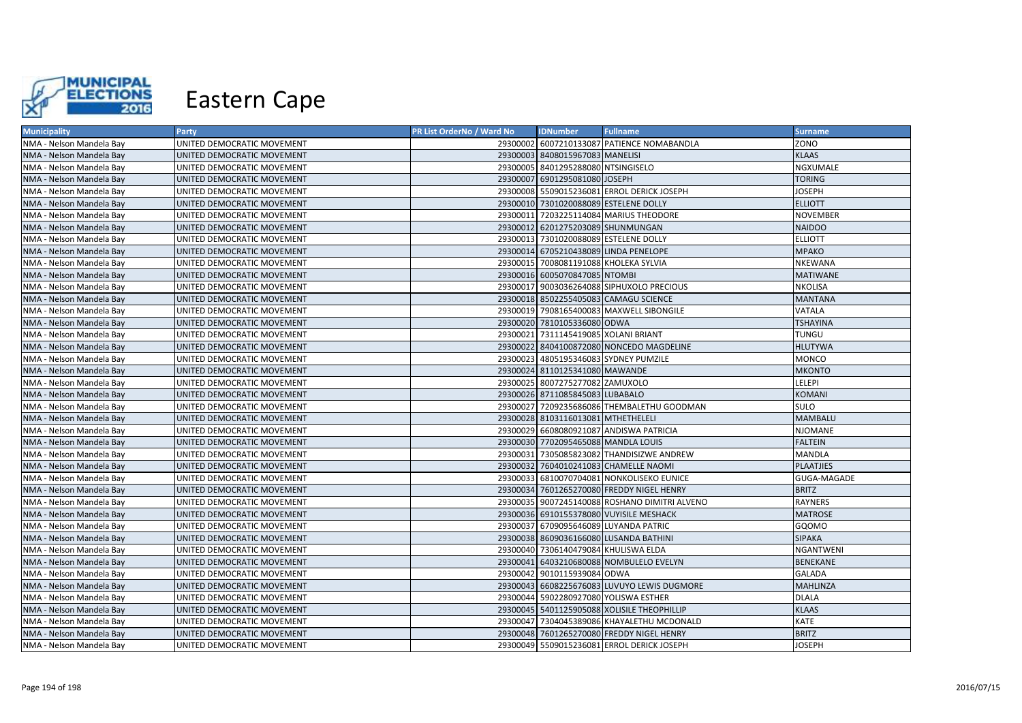

| <b>Municipality</b>      | Party                      | PR List OrderNo / Ward No | <b>IDNumber</b>                      | <b>Fullname</b>                               | <b>Surname</b>   |
|--------------------------|----------------------------|---------------------------|--------------------------------------|-----------------------------------------------|------------------|
| NMA - Nelson Mandela Bay | UNITED DEMOCRATIC MOVEMENT |                           |                                      | 29300002 6007210133087 PATIENCE NOMABANDLA    | ZONO             |
| NMA - Nelson Mandela Bay | UNITED DEMOCRATIC MOVEMENT |                           | 29300003 8408015967083 MANELISI      |                                               | <b>KLAAS</b>     |
| NMA - Nelson Mandela Bay | UNITED DEMOCRATIC MOVEMENT |                           | 29300005 8401295288080 NTSINGISELO   |                                               | NGXUMALE         |
| NMA - Nelson Mandela Bay | UNITED DEMOCRATIC MOVEMENT |                           | 29300007 6901295081080 JOSEPH        |                                               | <b>TORING</b>    |
| NMA - Nelson Mandela Bay | UNITED DEMOCRATIC MOVEMENT |                           |                                      | 29300008 5509015236081 ERROL DERICK JOSEPH    | <b>JOSEPH</b>    |
| NMA - Nelson Mandela Bay | UNITED DEMOCRATIC MOVEMENT |                           |                                      | 29300010 7301020088089 ESTELENE DOLLY         | <b>ELLIOTT</b>   |
| NMA - Nelson Mandela Bay | UNITED DEMOCRATIC MOVEMENT |                           |                                      | 29300011 7203225114084 MARIUS THEODORE        | <b>NOVEMBER</b>  |
| NMA - Nelson Mandela Bay | UNITED DEMOCRATIC MOVEMENT |                           | 29300012 6201275203089 SHUNMUNGAN    |                                               | <b>NAIDOO</b>    |
| NMA - Nelson Mandela Bay | UNITED DEMOCRATIC MOVEMENT |                           |                                      | 29300013 7301020088089 ESTELENE DOLLY         | <b>ELLIOTT</b>   |
| NMA - Nelson Mandela Bay | UNITED DEMOCRATIC MOVEMENT |                           |                                      | 29300014 6705210438089 LINDA PENELOPE         | <b>MPAKO</b>     |
| NMA - Nelson Mandela Bay | UNITED DEMOCRATIC MOVEMENT |                           |                                      | 29300015 7008081191088 KHOLEKA SYLVIA         | NKEWANA          |
| NMA - Nelson Mandela Bay | UNITED DEMOCRATIC MOVEMENT |                           | 29300016 6005070847085 NTOMBI        |                                               | <b>MATIWANE</b>  |
| NMA - Nelson Mandela Bay | UNITED DEMOCRATIC MOVEMENT |                           |                                      | 29300017 9003036264088 SIPHUXOLO PRECIOUS     | NKOLISA          |
| NMA - Nelson Mandela Bay | UNITED DEMOCRATIC MOVEMENT |                           |                                      | 29300018 8502255405083 CAMAGU SCIENCE         | <b>MANTANA</b>   |
| NMA - Nelson Mandela Bay | UNITED DEMOCRATIC MOVEMENT |                           |                                      | 29300019 7908165400083 MAXWELL SIBONGILE      | <b>VATALA</b>    |
| NMA - Nelson Mandela Bay | UNITED DEMOCRATIC MOVEMENT |                           | 29300020 7810105336080 ODWA          |                                               | <b>TSHAYINA</b>  |
| NMA - Nelson Mandela Bay | UNITED DEMOCRATIC MOVEMENT |                           | 29300021 7311145419085 XOLANI BRIANT |                                               | <b>TUNGU</b>     |
| NMA - Nelson Mandela Bay | UNITED DEMOCRATIC MOVEMENT |                           |                                      | 29300022 8404100872080 NONCEDO MAGDELINE      | <b>HLUTYWA</b>   |
| NMA - Nelson Mandela Bay | UNITED DEMOCRATIC MOVEMENT |                           |                                      | 29300023 4805195346083 SYDNEY PUMZILE         | <b>MONCO</b>     |
| NMA - Nelson Mandela Bay | UNITED DEMOCRATIC MOVEMENT |                           | 29300024 8110125341080 MAWANDE       |                                               | <b>MKONTO</b>    |
| NMA - Nelson Mandela Bay | UNITED DEMOCRATIC MOVEMENT |                           | 29300025 8007275277082 ZAMUXOLO      |                                               | LELEPI           |
| NMA - Nelson Mandela Bay | UNITED DEMOCRATIC MOVEMENT |                           | 29300026 8711085845083 LUBABALO      |                                               | <b>KOMANI</b>    |
| NMA - Nelson Mandela Bay | UNITED DEMOCRATIC MOVEMENT |                           |                                      | 29300027 7209235686086 THEMBALETHU GOODMAN    | <b>SULO</b>      |
| NMA - Nelson Mandela Bay | UNITED DEMOCRATIC MOVEMENT |                           | 29300028 8103116013081 MTHETHELELI   |                                               | <b>MAMBALU</b>   |
| NMA - Nelson Mandela Bay | UNITED DEMOCRATIC MOVEMENT |                           |                                      | 29300029 6608080921087 ANDISWA PATRICIA       | <b>NJOMANE</b>   |
| NMA - Nelson Mandela Bay | UNITED DEMOCRATIC MOVEMENT |                           | 29300030 7702095465088 MANDLA LOUIS  |                                               | <b>FALTEIN</b>   |
| NMA - Nelson Mandela Bay | UNITED DEMOCRATIC MOVEMENT |                           |                                      | 29300031 7305085823082 THANDISIZWE ANDREW     | <b>MANDLA</b>    |
| NMA - Nelson Mandela Bay | UNITED DEMOCRATIC MOVEMENT |                           |                                      | 29300032 7604010241083 CHAMELLE NAOMI         | <b>PLAATJIES</b> |
| NMA - Nelson Mandela Bay | UNITED DEMOCRATIC MOVEMENT |                           |                                      | 29300033 6810070704081 NONKOLISEKO EUNICE     | GUGA-MAGADE      |
| NMA - Nelson Mandela Bay | UNITED DEMOCRATIC MOVEMENT |                           |                                      | 29300034 7601265270080 FREDDY NIGEL HENRY     | <b>BRITZ</b>     |
| NMA - Nelson Mandela Bay | UNITED DEMOCRATIC MOVEMENT |                           |                                      | 29300035 9007245140088 ROSHANO DIMITRI ALVENO | RAYNERS          |
| NMA - Nelson Mandela Bay | UNITED DEMOCRATIC MOVEMENT |                           |                                      | 29300036 6910155378080 VUYISILE MESHACK       | <b>MATROSE</b>   |
| NMA - Nelson Mandela Bay | UNITED DEMOCRATIC MOVEMENT |                           |                                      | 29300037 6709095646089 LUYANDA PATRIC         | GQOMO            |
| NMA - Nelson Mandela Bay | UNITED DEMOCRATIC MOVEMENT |                           |                                      | 29300038 8609036166080 LUSANDA BATHINI        | <b>SIPAKA</b>    |
| NMA - Nelson Mandela Bay | UNITED DEMOCRATIC MOVEMENT |                           | 29300040 7306140479084 KHULISWA ELDA |                                               | <b>NGANTWENI</b> |
| NMA - Nelson Mandela Bay | UNITED DEMOCRATIC MOVEMENT |                           |                                      | 29300041 6403210680088 NOMBULELO EVELYN       | BENEKANE         |
| NMA - Nelson Mandela Bay | UNITED DEMOCRATIC MOVEMENT |                           | 29300042 9010115939084 ODWA          |                                               | <b>GALADA</b>    |
| NMA - Nelson Mandela Bay | UNITED DEMOCRATIC MOVEMENT |                           |                                      | 29300043 6608225676083 LUVUYO LEWIS DUGMORE   | <b>MAHLINZA</b>  |
| NMA - Nelson Mandela Bay | UNITED DEMOCRATIC MOVEMENT |                           |                                      | 29300044 5902280927080 YOLISWA ESTHER         | <b>DLALA</b>     |
| NMA - Nelson Mandela Bay | UNITED DEMOCRATIC MOVEMENT |                           |                                      | 29300045 5401125905088 XOLISILE THEOPHILLIP   | <b>KLAAS</b>     |
| NMA - Nelson Mandela Bay | UNITED DEMOCRATIC MOVEMENT |                           |                                      | 29300047 7304045389086 KHAYALETHU MCDONALD    | KATE             |
| NMA - Nelson Mandela Bay | UNITED DEMOCRATIC MOVEMENT |                           |                                      | 29300048 7601265270080 FREDDY NIGEL HENRY     | <b>BRITZ</b>     |
| NMA - Nelson Mandela Bay | UNITED DEMOCRATIC MOVEMENT |                           |                                      | 29300049 5509015236081 ERROL DERICK JOSEPH    | <b>JOSEPH</b>    |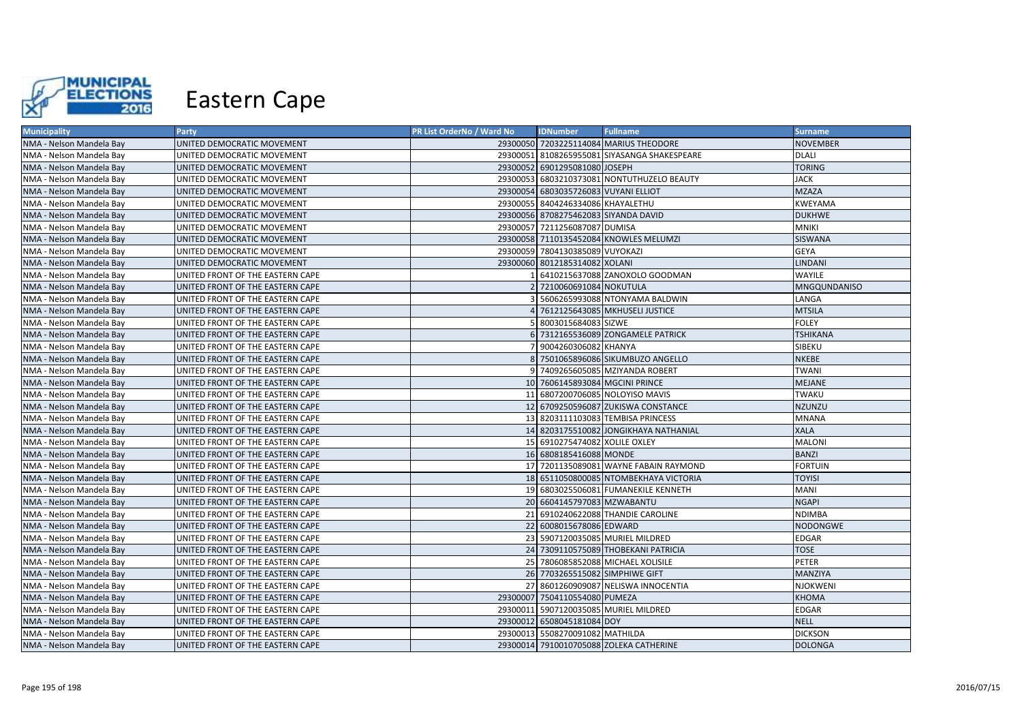

| <b>Municipality</b>      | Party                            | PR List OrderNo / Ward No | <b>IDNumber</b>                      | <b>Fullname</b>                              | <b>Surname</b>      |
|--------------------------|----------------------------------|---------------------------|--------------------------------------|----------------------------------------------|---------------------|
| NMA - Nelson Mandela Bay | UNITED DEMOCRATIC MOVEMENT       |                           |                                      | 29300050 7203225114084 MARIUS THEODORE       | <b>NOVEMBER</b>     |
| NMA - Nelson Mandela Bay | UNITED DEMOCRATIC MOVEMENT       |                           |                                      | 29300051 8108265955081 SIYASANGA SHAKESPEARE | <b>DLALI</b>        |
| NMA - Nelson Mandela Bay | UNITED DEMOCRATIC MOVEMENT       |                           | 29300052 6901295081080 JOSEPH        |                                              | <b>TORING</b>       |
| NMA - Nelson Mandela Bay | UNITED DEMOCRATIC MOVEMENT       |                           |                                      | 29300053 6803210373081 NONTUTHUZELO BEAUTY   | <b>JACK</b>         |
| NMA - Nelson Mandela Bay | UNITED DEMOCRATIC MOVEMENT       |                           | 29300054 6803035726083 VUYANI ELLIOT |                                              | <b>MZAZA</b>        |
| NMA - Nelson Mandela Bay | UNITED DEMOCRATIC MOVEMENT       |                           | 29300055 8404246334086 KHAYALETHU    |                                              | KWEYAMA             |
| NMA - Nelson Mandela Bay | UNITED DEMOCRATIC MOVEMENT       |                           | 29300056 8708275462083 SIYANDA DAVID |                                              | <b>DUKHWE</b>       |
| NMA - Nelson Mandela Bay | UNITED DEMOCRATIC MOVEMENT       |                           | 29300057 7211256087087 DUMISA        |                                              | <b>MNIKI</b>        |
| NMA - Nelson Mandela Bay | UNITED DEMOCRATIC MOVEMENT       |                           |                                      | 29300058 7110135452084 KNOWLES MELUMZI       | <b>SISWANA</b>      |
| NMA - Nelson Mandela Bay | UNITED DEMOCRATIC MOVEMENT       |                           | 29300059 7804130385089 VUYOKAZI      |                                              | <b>GEYA</b>         |
| NMA - Nelson Mandela Bay | UNITED DEMOCRATIC MOVEMENT       |                           | 29300060 8012185314082 XOLANI        |                                              | LINDANI             |
| NMA - Nelson Mandela Bay | UNITED FRONT OF THE EASTERN CAPE |                           |                                      | 6410215637088 ZANOXOLO GOODMAN               | WAYILE              |
| NMA - Nelson Mandela Bay | UNITED FRONT OF THE EASTERN CAPE |                           | 2 7210060691084 NOKUTULA             |                                              | <b>MNGQUNDANISO</b> |
| NMA - Nelson Mandela Bay | UNITED FRONT OF THE EASTERN CAPE |                           |                                      | 5606265993088 NTONYAMA BALDWIN               | LANGA               |
| NMA - Nelson Mandela Bay | UNITED FRONT OF THE EASTERN CAPE |                           |                                      | 7612125643085 MKHUSELI JUSTICE               | <b>MTSILA</b>       |
| NMA - Nelson Mandela Bay | UNITED FRONT OF THE EASTERN CAPE |                           | 5 8003015684083 SIZWE                |                                              | <b>FOLEY</b>        |
| NMA - Nelson Mandela Bay | UNITED FRONT OF THE EASTERN CAPE |                           |                                      | 6 7312165536089 ZONGAMELE PATRICK            | <b>TSHIKANA</b>     |
| NMA - Nelson Mandela Bay | UNITED FRONT OF THE EASTERN CAPE |                           | 7 9004260306082 KHANYA               |                                              | SIBEKU              |
| NMA - Nelson Mandela Bay | UNITED FRONT OF THE EASTERN CAPE |                           |                                      | 8 7501065896086 SIKUMBUZO ANGELLO            | <b>NKEBE</b>        |
| NMA - Nelson Mandela Bay | UNITED FRONT OF THE EASTERN CAPE |                           |                                      | 9 7409265605085 MZIYANDA ROBERT              | <b>TWANI</b>        |
| NMA - Nelson Mandela Bay | UNITED FRONT OF THE EASTERN CAPE |                           | 10 7606145893084 MGCINI PRINCE       |                                              | <b>MEJANE</b>       |
| NMA - Nelson Mandela Bay | UNITED FRONT OF THE EASTERN CAPE |                           |                                      | 11 6807200706085 NOLOYISO MAVIS              | <b>TWAKU</b>        |
| NMA - Nelson Mandela Bay | UNITED FRONT OF THE EASTERN CAPE |                           |                                      | 12 6709250596087 ZUKISWA CONSTANCE           | <b>NZUNZU</b>       |
| NMA - Nelson Mandela Bay | UNITED FRONT OF THE EASTERN CAPE |                           |                                      | 13 8203111103083 TEMBISA PRINCESS            | <b>MNANA</b>        |
| NMA - Nelson Mandela Bay | UNITED FRONT OF THE EASTERN CAPE |                           |                                      | 14 8203175510082 JONGIKHAYA NATHANIAL        | <b>XALA</b>         |
| NMA - Nelson Mandela Bay | UNITED FRONT OF THE EASTERN CAPE |                           | 15 6910275474082 XOLILE OXLEY        |                                              | <b>MALONI</b>       |
| NMA - Nelson Mandela Bay | UNITED FRONT OF THE EASTERN CAPE |                           | 16 6808185416088 MONDE               |                                              | <b>BANZI</b>        |
| NMA - Nelson Mandela Bay | UNITED FRONT OF THE EASTERN CAPE |                           |                                      | 17 7201135089081 WAYNE FABAIN RAYMOND        | <b>FORTUIN</b>      |
| NMA - Nelson Mandela Bay | UNITED FRONT OF THE EASTERN CAPE |                           |                                      | 18 6511050800085 NTOMBEKHAYA VICTORIA        | <b>TOYISI</b>       |
| NMA - Nelson Mandela Bay | UNITED FRONT OF THE EASTERN CAPE |                           |                                      | 19 6803025506081 FUMANEKILE KENNETH          | MANI                |
| NMA - Nelson Mandela Bay | UNITED FRONT OF THE EASTERN CAPE |                           | 20 6604145797083 MZWABANTU           |                                              | <b>NGAPI</b>        |
| NMA - Nelson Mandela Bay | UNITED FRONT OF THE EASTERN CAPE |                           |                                      | 21 6910240622088 THANDIE CAROLINE            | NDIMBA              |
| NMA - Nelson Mandela Bay | UNITED FRONT OF THE EASTERN CAPE |                           | 22 6008015678086 EDWARD              |                                              | <b>NODONGWE</b>     |
| NMA - Nelson Mandela Bay | UNITED FRONT OF THE EASTERN CAPE |                           |                                      | 23 5907120035085 MURIEL MILDRED              | EDGAR               |
| NMA - Nelson Mandela Bay | UNITED FRONT OF THE EASTERN CAPE |                           |                                      | 24 7309110575089 THOBEKANI PATRICIA          | <b>TOSE</b>         |
| NMA - Nelson Mandela Bay | UNITED FRONT OF THE EASTERN CAPE |                           |                                      | 25 7806085852088 MICHAEL XOLISILE            | PETER               |
| NMA - Nelson Mandela Bay | UNITED FRONT OF THE EASTERN CAPE |                           | 26 7703265515082 SIMPHIWE GIFT       |                                              | MANZIYA             |
| NMA - Nelson Mandela Bay | UNITED FRONT OF THE EASTERN CAPE |                           |                                      | 27 8601260909087 NELISWA INNOCENTIA          | <b>NJOKWENI</b>     |
| NMA - Nelson Mandela Bay | UNITED FRONT OF THE EASTERN CAPE |                           | 29300007 7504110554080 PUMEZA        |                                              | <b>KHOMA</b>        |
| NMA - Nelson Mandela Bay | UNITED FRONT OF THE EASTERN CAPE |                           |                                      | 29300011 5907120035085 MURIEL MILDRED        | EDGAR               |
| NMA - Nelson Mandela Bay | UNITED FRONT OF THE EASTERN CAPE |                           | 29300012 6508045181084 DOY           |                                              | <b>NELL</b>         |
| NMA - Nelson Mandela Bay | UNITED FRONT OF THE EASTERN CAPE |                           | 29300013 5508270091082 MATHILDA      |                                              | <b>DICKSON</b>      |
| NMA - Nelson Mandela Bay | UNITED FRONT OF THE EASTERN CAPE |                           |                                      | 29300014 7910010705088 ZOLEKA CATHERINE      | <b>DOLONGA</b>      |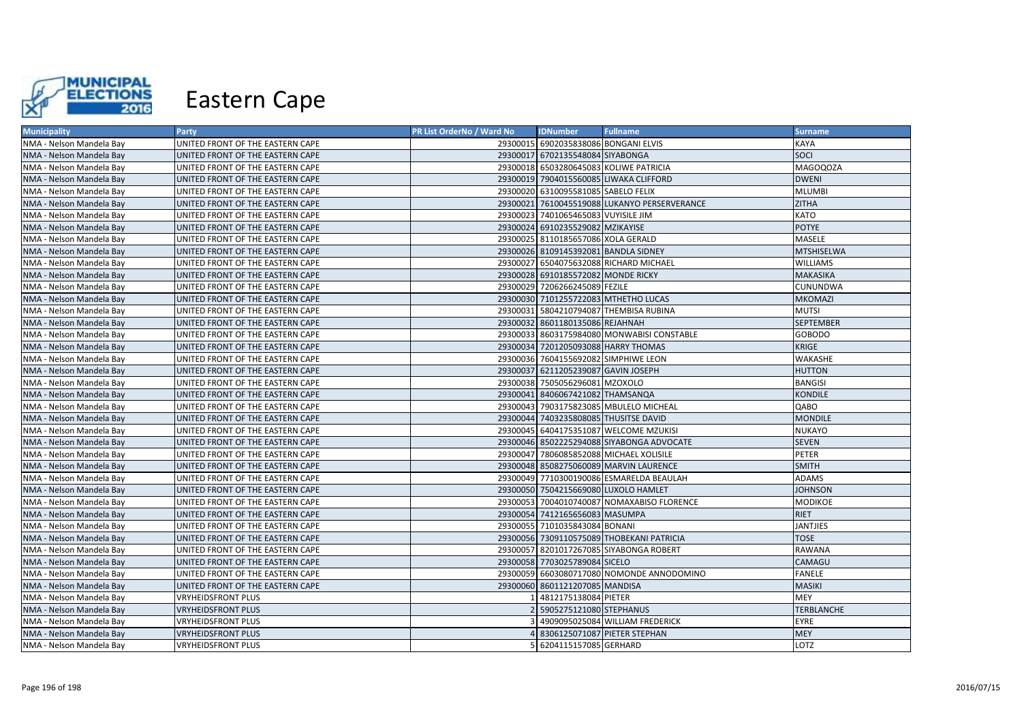

| <b>Municipality</b>      | Party                            | <b>PR List OrderNo / Ward No</b> | <b>IDNumber</b>                       | <b>Fullname</b>                              | <b>Surname</b>    |
|--------------------------|----------------------------------|----------------------------------|---------------------------------------|----------------------------------------------|-------------------|
| NMA - Nelson Mandela Bay | UNITED FRONT OF THE EASTERN CAPE |                                  | 29300015 6902035838086 BONGANI ELVIS  |                                              | KAYA              |
| NMA - Nelson Mandela Bay | UNITED FRONT OF THE EASTERN CAPE |                                  | 29300017 6702135548084 SIYABONGA      |                                              | SOCI              |
| NMA - Nelson Mandela Bay | UNITED FRONT OF THE EASTERN CAPE |                                  |                                       | 29300018 6503280645083 KOLIWE PATRICIA       | <b>MAGOQOZA</b>   |
| NMA - Nelson Mandela Bay | UNITED FRONT OF THE EASTERN CAPE |                                  |                                       | 29300019 7904015560085 LIWAKA CLIFFORD       | <b>DWENI</b>      |
| NMA - Nelson Mandela Bay | UNITED FRONT OF THE EASTERN CAPE |                                  | 29300020 6310095581085 SABELO FELIX   |                                              | MLUMBI            |
| NMA - Nelson Mandela Bay | UNITED FRONT OF THE EASTERN CAPE |                                  |                                       | 29300021 7610045519088 LUKANYO PERSERVERANCE | <b>ZITHA</b>      |
| NMA - Nelson Mandela Bay | UNITED FRONT OF THE EASTERN CAPE |                                  | 29300023 7401065465083 VUYISILE JIM   |                                              | KATO              |
| NMA - Nelson Mandela Bay | UNITED FRONT OF THE EASTERN CAPE |                                  | 29300024 6910235529082 MZIKAYISE      |                                              | <b>POTYE</b>      |
| NMA - Nelson Mandela Bay | UNITED FRONT OF THE EASTERN CAPE |                                  | 29300025 8110185657086 XOLA GERALD    |                                              | MASELE            |
| NMA - Nelson Mandela Bay | UNITED FRONT OF THE EASTERN CAPE |                                  | 29300026 8109145392081 BANDLA SIDNEY  |                                              | <b>MTSHISELWA</b> |
| NMA - Nelson Mandela Bay | UNITED FRONT OF THE EASTERN CAPE |                                  |                                       | 29300027 6504075632088 RICHARD MICHAEL       | <b>WILLIAMS</b>   |
| NMA - Nelson Mandela Bay | UNITED FRONT OF THE EASTERN CAPE |                                  | 29300028 6910185572082 MONDE RICKY    |                                              | MAKASIKA          |
| NMA - Nelson Mandela Bay | UNITED FRONT OF THE EASTERN CAPE |                                  | 29300029 7206266245089 FEZILE         |                                              | CUNUNDWA          |
| NMA - Nelson Mandela Bay | UNITED FRONT OF THE EASTERN CAPE |                                  |                                       | 29300030 7101255722083 MTHETHO LUCAS         | MKOMAZI           |
| NMA - Nelson Mandela Bay | UNITED FRONT OF THE EASTERN CAPE |                                  |                                       | 29300031 5804210794087 THEMBISA RUBINA       | MUTSI             |
| NMA - Nelson Mandela Bay | UNITED FRONT OF THE EASTERN CAPE |                                  | 29300032 8601180135086 REJAHNAH       |                                              | SEPTEMBER         |
| NMA - Nelson Mandela Bay | UNITED FRONT OF THE EASTERN CAPE |                                  |                                       | 29300033 8603175984080 MONWABISI CONSTABLE   | <b>GOBODO</b>     |
| NMA - Nelson Mandela Bay | UNITED FRONT OF THE EASTERN CAPE |                                  | 29300034 7201205093088 HARRY THOMAS   |                                              | KRIGE             |
| NMA - Nelson Mandela Bay | UNITED FRONT OF THE EASTERN CAPE |                                  |                                       | 29300036 7604155692082 SIMPHIWE LEON         | WAKASHE           |
| NMA - Nelson Mandela Bay | UNITED FRONT OF THE EASTERN CAPE |                                  | 29300037 6211205239087 GAVIN JOSEPH   |                                              | HUTTON            |
| NMA - Nelson Mandela Bay | UNITED FRONT OF THE EASTERN CAPE |                                  | 29300038 7505056296081 MZOXOLO        |                                              | <b>BANGISI</b>    |
| NMA - Nelson Mandela Bay | UNITED FRONT OF THE EASTERN CAPE |                                  | 29300041 8406067421082 THAMSANQA      |                                              | <b>KONDILE</b>    |
| NMA - Nelson Mandela Bay | UNITED FRONT OF THE EASTERN CAPE |                                  |                                       | 29300043 7903175823085 MBULELO MICHEAL       | QABO              |
| NMA - Nelson Mandela Bay | UNITED FRONT OF THE EASTERN CAPE |                                  | 29300044 7403235808085 THUSITSE DAVID |                                              | <b>MONDILE</b>    |
| NMA - Nelson Mandela Bay | UNITED FRONT OF THE EASTERN CAPE |                                  |                                       | 29300045 6404175351087 WELCOME MZUKISI       | NUKAYO            |
| NMA - Nelson Mandela Bay | UNITED FRONT OF THE EASTERN CAPE |                                  |                                       | 29300046 8502225294088 SIYABONGA ADVOCATE    | <b>SEVEN</b>      |
| NMA - Nelson Mandela Bay | UNITED FRONT OF THE EASTERN CAPE |                                  |                                       | 29300047 7806085852088 MICHAEL XOLISILE      | PETER             |
| NMA - Nelson Mandela Bay | UNITED FRONT OF THE EASTERN CAPE |                                  |                                       | 29300048 8508275060089 MARVIN LAURENCE       | <b>SMITH</b>      |
| NMA - Nelson Mandela Bay | UNITED FRONT OF THE EASTERN CAPE |                                  |                                       | 29300049 7710300190086 ESMARELDA BEAULAH     | ADAMS             |
| NMA - Nelson Mandela Bay | UNITED FRONT OF THE EASTERN CAPE |                                  |                                       | 29300050 7504215669080 LUXOLO HAMLET         | JOHNSON           |
| NMA - Nelson Mandela Bay | UNITED FRONT OF THE EASTERN CAPE |                                  |                                       | 29300053 7004010740087 NOMAXABISO FLORENCE   | MODIKOE           |
| NMA - Nelson Mandela Bay | UNITED FRONT OF THE EASTERN CAPE |                                  | 29300054 7412165656083 MASUMPA        |                                              | RIET              |
| NMA - Nelson Mandela Bay | UNITED FRONT OF THE EASTERN CAPE |                                  | 29300055 7101035843084 BONANI         |                                              | JANTJIES          |
| NMA - Nelson Mandela Bay | UNITED FRONT OF THE EASTERN CAPE |                                  |                                       | 29300056 7309110575089 THOBEKANI PATRICIA    | <b>TOSE</b>       |
| NMA - Nelson Mandela Bay | UNITED FRONT OF THE EASTERN CAPE |                                  |                                       | 29300057 8201017267085 SIYABONGA ROBERT      | RAWANA            |
| NMA - Nelson Mandela Bay | UNITED FRONT OF THE EASTERN CAPE |                                  | 29300058 7703025789084 SICELO         |                                              | CAMAGU            |
| NMA - Nelson Mandela Bay | UNITED FRONT OF THE EASTERN CAPE |                                  |                                       | 29300059 6603080717080 NOMONDE ANNODOMINO    | FANELE            |
| NMA - Nelson Mandela Bay | UNITED FRONT OF THE EASTERN CAPE |                                  | 29300060 8601121207085 MANDISA        |                                              | MASIKI            |
| NMA - Nelson Mandela Bay | <b>VRYHEIDSFRONT PLUS</b>        |                                  | 4812175138084 PIETER                  |                                              | <b>MEY</b>        |
| NMA - Nelson Mandela Bay | <b>VRYHEIDSFRONT PLUS</b>        |                                  | 5905275121080 STEPHANUS               |                                              | TERBLANCHE        |
| NMA - Nelson Mandela Bay | <b>VRYHEIDSFRONT PLUS</b>        |                                  |                                       | 4909095025084 WILLIAM FREDERICK              | EYRE              |
| NMA - Nelson Mandela Bay | <b>VRYHEIDSFRONT PLUS</b>        |                                  |                                       | 8306125071087 PIETER STEPHAN                 | MEY               |
| NMA - Nelson Mandela Bay | <b>VRYHEIDSFRONT PLUS</b>        |                                  | 6204115157085 GERHARD                 |                                              | LOTZ              |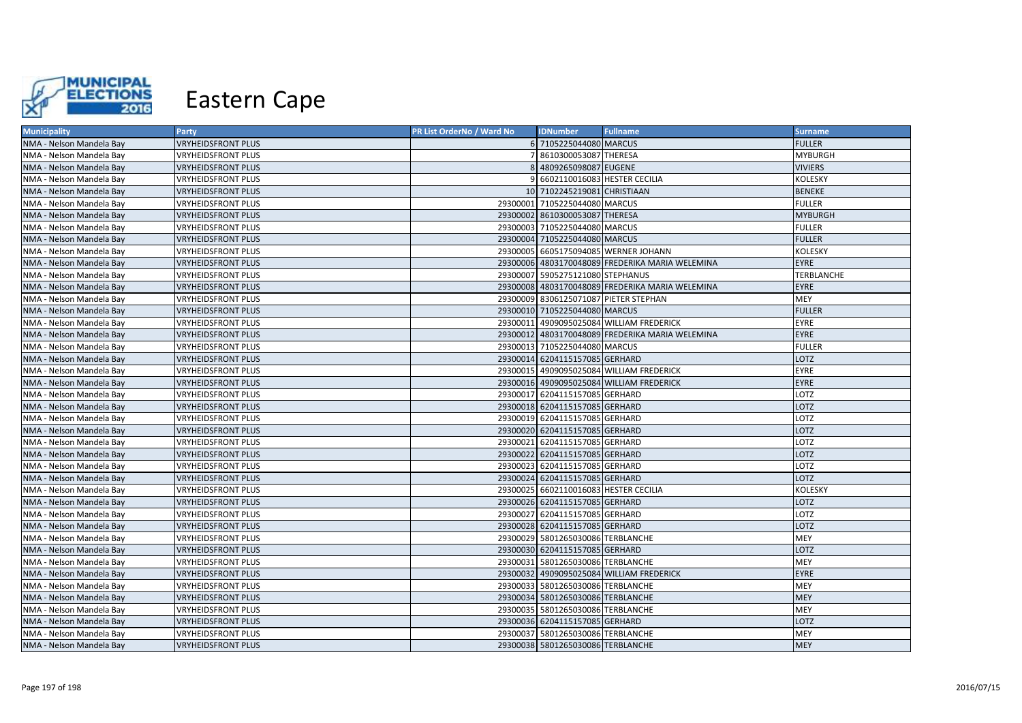

| <b>Municipality</b>      | Party                     | <b>PR List OrderNo / Ward No</b> | <b>IDNumber</b>                       | <b>Fullname</b>                                 | <b>Surname</b>    |
|--------------------------|---------------------------|----------------------------------|---------------------------------------|-------------------------------------------------|-------------------|
| NMA - Nelson Mandela Bay | <b>VRYHEIDSFRONT PLUS</b> |                                  | 6 7105225044080 MARCUS                |                                                 | <b>FULLER</b>     |
| NMA - Nelson Mandela Bay | VRYHEIDSFRONT PLUS        |                                  | 7 8610300053087 THERESA               |                                                 | <b>MYBURGH</b>    |
| NMA - Nelson Mandela Bay | <b>VRYHEIDSFRONT PLUS</b> |                                  | 8 4809265098087 EUGENE                |                                                 | <b>VIVIERS</b>    |
| NMA - Nelson Mandela Bay | VRYHEIDSFRONT PLUS        |                                  | 9 6602110016083 HESTER CECILIA        |                                                 | <b>KOLESKY</b>    |
| NMA - Nelson Mandela Bay | <b>VRYHEIDSFRONT PLUS</b> |                                  | 10 7102245219081 CHRISTIAAN           |                                                 | <b>BENEKE</b>     |
| NMA - Nelson Mandela Bay | <b>VRYHEIDSFRONT PLUS</b> |                                  | 29300001 7105225044080 MARCUS         |                                                 | <b>FULLER</b>     |
| NMA - Nelson Mandela Bay | <b>VRYHEIDSFRONT PLUS</b> |                                  | 29300002 8610300053087 THERESA        |                                                 | <b>MYBURGH</b>    |
| NMA - Nelson Mandela Bay | VRYHEIDSFRONT PLUS        |                                  | 29300003 7105225044080 MARCUS         |                                                 | <b>FULLER</b>     |
| NMA - Nelson Mandela Bay | <b>VRYHEIDSFRONT PLUS</b> |                                  | 29300004 7105225044080 MARCUS         |                                                 | <b>FULLER</b>     |
| NMA - Nelson Mandela Bay | VRYHEIDSFRONT PLUS        |                                  |                                       | 29300005 6605175094085 WERNER JOHANN            | KOLESKY           |
| NMA - Nelson Mandela Bay | <b>VRYHEIDSFRONT PLUS</b> |                                  |                                       | 29300006 4803170048089 FREDERIKA MARIA WELEMINA | <b>EYRE</b>       |
| NMA - Nelson Mandela Bay | VRYHEIDSFRONT PLUS        |                                  | 29300007 5905275121080 STEPHANUS      |                                                 | <b>TERBLANCHE</b> |
| NMA - Nelson Mandela Bay | <b>VRYHEIDSFRONT PLUS</b> |                                  |                                       | 29300008 4803170048089 FREDERIKA MARIA WELEMINA | <b>EYRE</b>       |
| NMA - Nelson Mandela Bay | VRYHEIDSFRONT PLUS        |                                  |                                       | 29300009 8306125071087 PIETER STEPHAN           | <b>MEY</b>        |
| NMA - Nelson Mandela Bay | <b>VRYHEIDSFRONT PLUS</b> |                                  | 29300010 7105225044080 MARCUS         |                                                 | <b>FULLER</b>     |
| NMA - Nelson Mandela Bay | VRYHEIDSFRONT PLUS        |                                  |                                       | 29300011 4909095025084 WILLIAM FREDERICK        | <b>EYRE</b>       |
| NMA - Nelson Mandela Bay | <b>VRYHEIDSFRONT PLUS</b> |                                  |                                       | 29300012 4803170048089 FREDERIKA MARIA WELEMINA | <b>EYRE</b>       |
| NMA - Nelson Mandela Bay | <b>VRYHEIDSFRONT PLUS</b> |                                  | 29300013 7105225044080 MARCUS         |                                                 | <b>FULLER</b>     |
| NMA - Nelson Mandela Bay | VRYHEIDSFRONT PLUS        |                                  | 29300014 6204115157085 GERHARD        |                                                 | <b>LOTZ</b>       |
| NMA - Nelson Mandela Bay | VRYHEIDSFRONT PLUS        |                                  |                                       | 29300015 4909095025084 WILLIAM FREDERICK        | <b>EYRE</b>       |
| NMA - Nelson Mandela Bay | <b>VRYHEIDSFRONT PLUS</b> |                                  |                                       | 29300016 4909095025084 WILLIAM FREDERICK        | EYRE              |
| NMA - Nelson Mandela Bay | VRYHEIDSFRONT PLUS        |                                  | 29300017 6204115157085 GERHARD        |                                                 | LOTZ              |
| NMA - Nelson Mandela Bay | <b>VRYHEIDSFRONT PLUS</b> |                                  | 29300018 6204115157085 GERHARD        |                                                 | LOTZ              |
| NMA - Nelson Mandela Bay | VRYHEIDSFRONT PLUS        |                                  | 29300019 6204115157085 GERHARD        |                                                 | LOTZ              |
| NMA - Nelson Mandela Bay | <b>VRYHEIDSFRONT PLUS</b> |                                  | 29300020 6204115157085 GERHARD        |                                                 | LOTZ              |
| NMA - Nelson Mandela Bay | VRYHEIDSFRONT PLUS        |                                  | 29300021 6204115157085 GERHARD        |                                                 | LOTZ              |
| NMA - Nelson Mandela Bay | <b>VRYHEIDSFRONT PLUS</b> |                                  | 29300022 6204115157085 GERHARD        |                                                 | LOTZ              |
| NMA - Nelson Mandela Bay | VRYHEIDSFRONT PLUS        |                                  | 29300023 6204115157085 GERHARD        |                                                 | LOTZ              |
| NMA - Nelson Mandela Bay | <b>VRYHEIDSFRONT PLUS</b> |                                  | 29300024 6204115157085 GERHARD        |                                                 | <b>LOTZ</b>       |
| NMA - Nelson Mandela Bay | VRYHEIDSFRONT PLUS        |                                  | 29300025 6602110016083 HESTER CECILIA |                                                 | KOLESKY           |
| NMA - Nelson Mandela Bay | <b>VRYHEIDSFRONT PLUS</b> |                                  | 29300026 6204115157085 GERHARD        |                                                 | LOTZ              |
| NMA - Nelson Mandela Bay | VRYHEIDSFRONT PLUS        |                                  | 29300027 6204115157085 GERHARD        |                                                 | LOTZ              |
| NMA - Nelson Mandela Bay | VRYHEIDSFRONT PLUS        |                                  | 29300028 6204115157085 GERHARD        |                                                 | LOTZ              |
| NMA - Nelson Mandela Bay | VRYHEIDSFRONT PLUS        |                                  | 29300029 5801265030086 TERBLANCHE     |                                                 | MEY               |
| NMA - Nelson Mandela Bay | <b>VRYHEIDSFRONT PLUS</b> |                                  | 29300030 6204115157085 GERHARD        |                                                 | LOTZ              |
| NMA - Nelson Mandela Bay | <b>VRYHEIDSFRONT PLUS</b> |                                  | 29300031 5801265030086 TERBLANCHE     |                                                 | <b>MEY</b>        |
| NMA - Nelson Mandela Bay | <b>VRYHEIDSFRONT PLUS</b> |                                  |                                       | 29300032 4909095025084 WILLIAM FREDERICK        | <b>EYRE</b>       |
| NMA - Nelson Mandela Bay | <b>VRYHEIDSFRONT PLUS</b> |                                  | 29300033 5801265030086 TERBLANCHE     |                                                 | <b>MEY</b>        |
| NMA - Nelson Mandela Bay | <b>VRYHEIDSFRONT PLUS</b> |                                  | 29300034 5801265030086 TERBLANCHE     |                                                 | <b>MEY</b>        |
| NMA - Nelson Mandela Bay | <b>VRYHEIDSFRONT PLUS</b> |                                  | 29300035 5801265030086 TERBLANCHE     |                                                 | <b>MEY</b>        |
| NMA - Nelson Mandela Bay | <b>VRYHEIDSFRONT PLUS</b> |                                  | 29300036 6204115157085 GERHARD        |                                                 | LOTZ              |
| NMA - Nelson Mandela Bay | <b>VRYHEIDSFRONT PLUS</b> |                                  | 29300037 5801265030086 TERBLANCHE     |                                                 | <b>MEY</b>        |
| NMA - Nelson Mandela Bay | <b>VRYHEIDSFRONT PLUS</b> |                                  | 29300038 5801265030086 TERBLANCHE     |                                                 | <b>MEY</b>        |